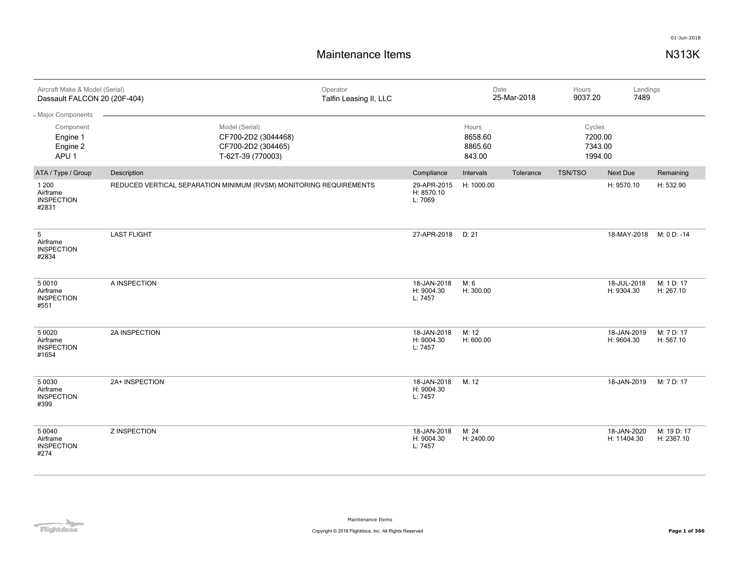| Aircraft Make & Model (Serial)<br>Dassault FALCON 20 (20F-404)              |                     | Operator<br>Talfin Leasing II, LLC                                               |                                      | Date                                  | 25-Mar-2018 | Hours<br>9037.20                        | Landings<br>7489           |                           |
|-----------------------------------------------------------------------------|---------------------|----------------------------------------------------------------------------------|--------------------------------------|---------------------------------------|-------------|-----------------------------------------|----------------------------|---------------------------|
| - Major Components<br>Component<br>Engine 1<br>Engine 2<br>APU <sub>1</sub> |                     | Model (Serial)<br>CF700-2D2 (3044468)<br>CF700-2D2 (304465)<br>T-62T-39 (770003) |                                      | Hours<br>8658.60<br>8865.60<br>843.00 |             | Cycles<br>7200.00<br>7343.00<br>1994.00 |                            |                           |
| ATA / Type / Group                                                          | Description         |                                                                                  | Compliance                           | Intervals                             | Tolerance   | <b>TSN/TSO</b>                          | Next Due                   | Remaining                 |
| 1 200<br>Airframe<br><b>INSPECTION</b><br>#2831                             |                     | REDUCED VERTICAL SEPARATION MINIMUM (RVSM) MONITORING REQUIREMENTS               | 29-APR-2015<br>H: 8570.10<br>L: 7069 | H: 1000.00                            |             |                                         | H: 9570.10                 | H: 532.90                 |
| 5<br>Airframe<br><b>INSPECTION</b><br>#2834                                 | <b>LAST FLIGHT</b>  |                                                                                  | 27-APR-2018                          | D: 21                                 |             |                                         | 18-MAY-2018                | M: 0 D: -14               |
| 5 0 0 1 0<br>Airframe<br><b>INSPECTION</b><br>#551                          | A INSPECTION        |                                                                                  | 18-JAN-2018<br>H: 9004.30<br>L: 7457 | M: 6<br>H: 300.00                     |             |                                         | 18-JUL-2018<br>H: 9304.30  | M: 1 D: 17<br>H: 267.10   |
| 5 0 0 2 0<br>Airframe<br><b>INSPECTION</b><br>#1654                         | 2A INSPECTION       |                                                                                  | 18-JAN-2018<br>H: 9004.30<br>L: 7457 | M: 12<br>H: 600.00                    |             |                                         | 18-JAN-2019<br>H: 9604.30  | M: 7 D: 17<br>H: 567.10   |
| 5 0 0 3 0<br>Airframe<br><b>INSPECTION</b><br>#399                          | 2A+ INSPECTION      |                                                                                  | 18-JAN-2018<br>H: 9004.30<br>L: 7457 | M: 12                                 |             |                                         | 18-JAN-2019                | M: 7 D: 17                |
| 5 0 0 4 0<br>Airframe<br><b>INSPECTION</b><br>#274                          | <b>Z INSPECTION</b> |                                                                                  | 18-JAN-2018<br>H: 9004.30<br>L: 7457 | M: 24<br>H: 2400.00                   |             |                                         | 18-JAN-2020<br>H: 11404.30 | M: 19 D: 17<br>H: 2367.10 |

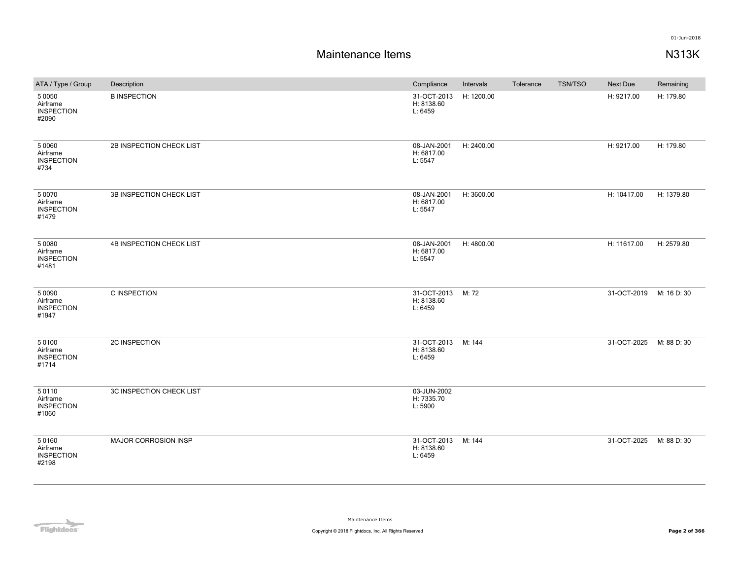| ATA / Type / Group                                  | Description                 | Compliance                           | Intervals  | Tolerance | TSN/TSO | Next Due    | Remaining   |
|-----------------------------------------------------|-----------------------------|--------------------------------------|------------|-----------|---------|-------------|-------------|
| 5 0 0 5 0<br>Airframe<br><b>INSPECTION</b><br>#2090 | <b>B INSPECTION</b>         | 31-OCT-2013<br>H: 8138.60<br>L: 6459 | H: 1200.00 |           |         | H: 9217.00  | H: 179.80   |
| 5 0 0 6 0<br>Airframe<br><b>INSPECTION</b><br>#734  | 2B INSPECTION CHECK LIST    | 08-JAN-2001<br>H: 6817.00<br>L: 5547 | H: 2400.00 |           |         | H: 9217.00  | H: 179.80   |
| 5 0 0 7 0<br>Airframe<br><b>INSPECTION</b><br>#1479 | 3B INSPECTION CHECK LIST    | 08-JAN-2001<br>H: 6817.00<br>L: 5547 | H: 3600.00 |           |         | H: 10417.00 | H: 1379.80  |
| 5 0 0 8 0<br>Airframe<br><b>INSPECTION</b><br>#1481 | 4B INSPECTION CHECK LIST    | 08-JAN-2001<br>H: 6817.00<br>L: 5547 | H: 4800.00 |           |         | H: 11617.00 | H: 2579.80  |
| 5 0 0 9 0<br>Airframe<br><b>INSPECTION</b><br>#1947 | C INSPECTION                | 31-OCT-2013<br>H: 8138.60<br>L: 6459 | M: 72      |           |         | 31-OCT-2019 | M: 16 D: 30 |
| 50100<br>Airframe<br><b>INSPECTION</b><br>#1714     | 2C INSPECTION               | 31-OCT-2013<br>H: 8138.60<br>L: 6459 | M: 144     |           |         | 31-OCT-2025 | M: 88 D: 30 |
| 50110<br>Airframe<br><b>INSPECTION</b><br>#1060     | 3C INSPECTION CHECK LIST    | 03-JUN-2002<br>H: 7335.70<br>L: 5900 |            |           |         |             |             |
| 50160<br>Airframe<br><b>INSPECTION</b><br>#2198     | <b>MAJOR CORROSION INSP</b> | 31-OCT-2013<br>H: 8138.60<br>L: 6459 | M: 144     |           |         | 31-OCT-2025 | M: 88 D: 30 |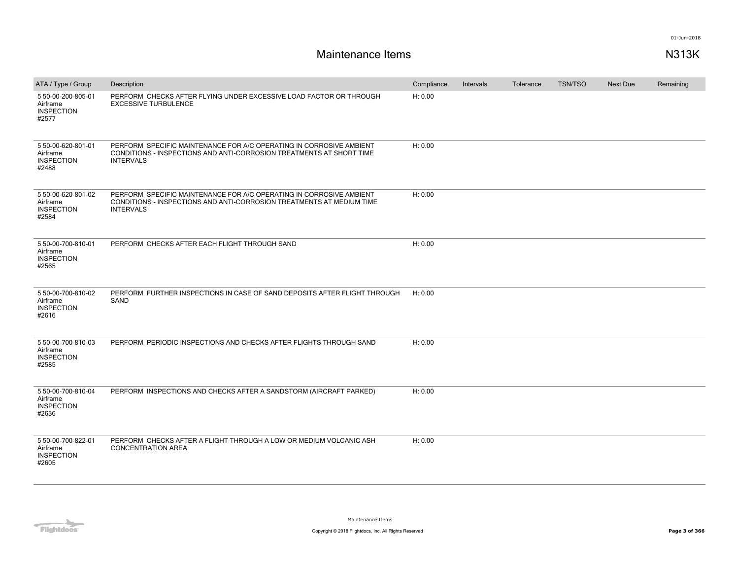| ATA / Type / Group                                           | Description                                                                                                                                                      | Compliance | Intervals | Tolerance | <b>TSN/TSO</b> | <b>Next Due</b> | Remaining |
|--------------------------------------------------------------|------------------------------------------------------------------------------------------------------------------------------------------------------------------|------------|-----------|-----------|----------------|-----------------|-----------|
| 5 50-00-200-805-01<br>Airframe<br><b>INSPECTION</b><br>#2577 | PERFORM CHECKS AFTER FLYING UNDER EXCESSIVE LOAD FACTOR OR THROUGH<br><b>EXCESSIVE TURBULENCE</b>                                                                | H: 0.00    |           |           |                |                 |           |
| 5 50-00-620-801-01<br>Airframe<br><b>INSPECTION</b><br>#2488 | PERFORM SPECIFIC MAINTENANCE FOR A/C OPERATING IN CORROSIVE AMBIENT<br>CONDITIONS - INSPECTIONS AND ANTI-CORROSION TREATMENTS AT SHORT TIME<br><b>INTERVALS</b>  | H: 0.00    |           |           |                |                 |           |
| 5 50-00-620-801-02<br>Airframe<br><b>INSPECTION</b><br>#2584 | PERFORM SPECIFIC MAINTENANCE FOR A/C OPERATING IN CORROSIVE AMBIENT<br>CONDITIONS - INSPECTIONS AND ANTI-CORROSION TREATMENTS AT MEDIUM TIME<br><b>INTERVALS</b> | H: 0.00    |           |           |                |                 |           |
| 5 50-00-700-810-01<br>Airframe<br><b>INSPECTION</b><br>#2565 | PERFORM CHECKS AFTER EACH FLIGHT THROUGH SAND                                                                                                                    | H: 0.00    |           |           |                |                 |           |
| 5 50-00-700-810-02<br>Airframe<br><b>INSPECTION</b><br>#2616 | PERFORM FURTHER INSPECTIONS IN CASE OF SAND DEPOSITS AFTER FLIGHT THROUGH<br>SAND                                                                                | H: 0.00    |           |           |                |                 |           |
| 5 50-00-700-810-03<br>Airframe<br><b>INSPECTION</b><br>#2585 | PERFORM PERIODIC INSPECTIONS AND CHECKS AFTER FLIGHTS THROUGH SAND                                                                                               | H: 0.00    |           |           |                |                 |           |
| 5 50-00-700-810-04<br>Airframe<br><b>INSPECTION</b><br>#2636 | PERFORM INSPECTIONS AND CHECKS AFTER A SANDSTORM (AIRCRAFT PARKED)                                                                                               | H: 0.00    |           |           |                |                 |           |
| 5 50-00-700-822-01<br>Airframe<br><b>INSPECTION</b><br>#2605 | PERFORM CHECKS AFTER A FLIGHT THROUGH A LOW OR MEDIUM VOLCANIC ASH<br><b>CONCENTRATION AREA</b>                                                                  | H: 0.00    |           |           |                |                 |           |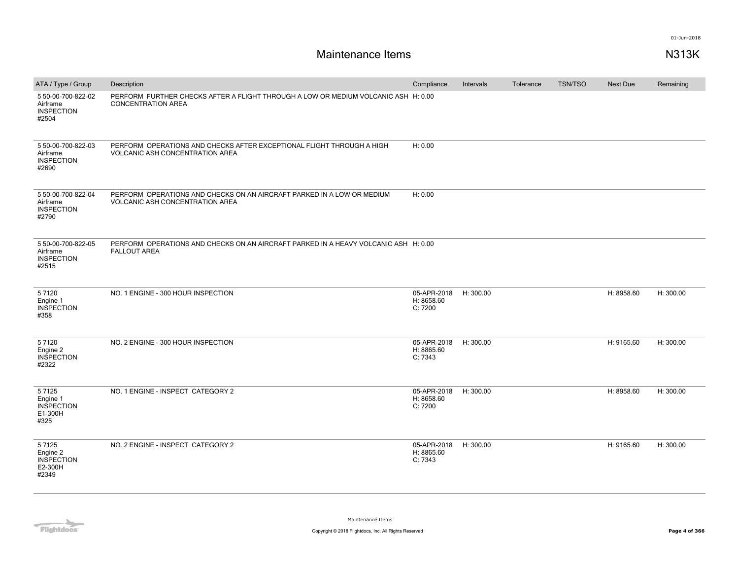| ATA / Type / Group                                           | Description                                                                                                      | Compliance                           | Intervals | Tolerance | <b>TSN/TSO</b> | <b>Next Due</b> | Remaining |
|--------------------------------------------------------------|------------------------------------------------------------------------------------------------------------------|--------------------------------------|-----------|-----------|----------------|-----------------|-----------|
| 5 50-00-700-822-02<br>Airframe<br><b>INSPECTION</b><br>#2504 | PERFORM FURTHER CHECKS AFTER A FLIGHT THROUGH A LOW OR MEDIUM VOLCANIC ASH H: 0.00<br><b>CONCENTRATION AREA</b>  |                                      |           |           |                |                 |           |
| 5 50-00-700-822-03<br>Airframe<br><b>INSPECTION</b><br>#2690 | PERFORM OPERATIONS AND CHECKS AFTER EXCEPTIONAL FLIGHT THROUGH A HIGH<br><b>VOLCANIC ASH CONCENTRATION AREA</b>  | H: 0.00                              |           |           |                |                 |           |
| 5 50-00-700-822-04<br>Airframe<br><b>INSPECTION</b><br>#2790 | PERFORM OPERATIONS AND CHECKS ON AN AIRCRAFT PARKED IN A LOW OR MEDIUM<br><b>VOLCANIC ASH CONCENTRATION AREA</b> | H: 0.00                              |           |           |                |                 |           |
| 5 50-00-700-822-05<br>Airframe<br><b>INSPECTION</b><br>#2515 | PERFORM OPERATIONS AND CHECKS ON AN AIRCRAFT PARKED IN A HEAVY VOLCANIC ASH H: 0.00<br><b>FALLOUT AREA</b>       |                                      |           |           |                |                 |           |
| 57120<br>Engine 1<br><b>INSPECTION</b><br>#358               | NO. 1 ENGINE - 300 HOUR INSPECTION                                                                               | 05-APR-2018<br>H: 8658.60<br>C: 7200 | H: 300.00 |           |                | H: 8958.60      | H: 300.00 |
| 57120<br>Engine 2<br><b>INSPECTION</b><br>#2322              | NO. 2 ENGINE - 300 HOUR INSPECTION                                                                               | 05-APR-2018<br>H: 8865.60<br>C: 7343 | H: 300.00 |           |                | H: 9165.60      | H: 300.00 |
| 57125<br>Engine 1<br><b>INSPECTION</b><br>E1-300H<br>#325    | NO. 1 ENGINE - INSPECT CATEGORY 2                                                                                | 05-APR-2018<br>H: 8658.60<br>C: 7200 | H: 300.00 |           |                | H: 8958.60      | H: 300.00 |
| 57125<br>Engine 2<br><b>INSPECTION</b><br>E2-300H<br>#2349   | NO. 2 ENGINE - INSPECT CATEGORY 2                                                                                | 05-APR-2018<br>H: 8865.60<br>C: 7343 | H: 300.00 |           |                | H: 9165.60      | H: 300.00 |

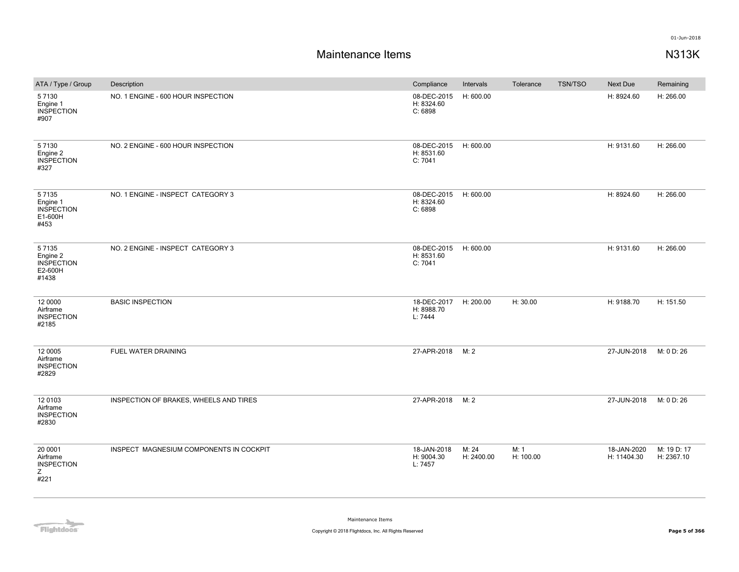| ATA / Type / Group                                         | Description                             | Compliance                                     | Intervals           | Tolerance         | <b>TSN/TSO</b> | Next Due                   | Remaining                 |
|------------------------------------------------------------|-----------------------------------------|------------------------------------------------|---------------------|-------------------|----------------|----------------------------|---------------------------|
| 57130<br>Engine 1<br><b>INSPECTION</b><br>#907             | NO. 1 ENGINE - 600 HOUR INSPECTION      | 08-DEC-2015<br>H: 8324.60<br>C: 6898           | H: 600.00           |                   |                | H: 8924.60                 | H: 266.00                 |
| 5 7 1 3 0<br>Engine 2<br><b>INSPECTION</b><br>#327         | NO. 2 ENGINE - 600 HOUR INSPECTION      | 08-DEC-2015 H: 600.00<br>H: 8531.60<br>C: 7041 |                     |                   |                | H: 9131.60                 | H: 266.00                 |
| 57135<br>Engine 1<br><b>INSPECTION</b><br>E1-600H<br>#453  | NO. 1 ENGINE - INSPECT CATEGORY 3       | 08-DEC-2015<br>H: 8324.60<br>C: 6898           | H: 600.00           |                   |                | H: 8924.60                 | H: 266.00                 |
| 57135<br>Engine 2<br><b>INSPECTION</b><br>E2-600H<br>#1438 | NO. 2 ENGINE - INSPECT CATEGORY 3       | 08-DEC-2015<br>H: 8531.60<br>C: 7041           | H: 600.00           |                   |                | H: 9131.60                 | H: 266.00                 |
| 12 0000<br>Airframe<br><b>INSPECTION</b><br>#2185          | <b>BASIC INSPECTION</b>                 | 18-DEC-2017<br>H: 8988.70<br>L: 7444           | H: 200.00           | H: 30.00          |                | H: 9188.70                 | H: 151.50                 |
| 12 0005<br>Airframe<br><b>INSPECTION</b><br>#2829          | FUEL WATER DRAINING                     | 27-APR-2018                                    | M: 2                |                   |                | 27-JUN-2018                | M: 0 D: 26                |
| 12 0103<br>Airframe<br><b>INSPECTION</b><br>#2830          | INSPECTION OF BRAKES, WHEELS AND TIRES  | 27-APR-2018                                    | M: 2                |                   |                | 27-JUN-2018                | M: 0 D: 26                |
| 20 0001<br>Airframe<br><b>INSPECTION</b><br>Z<br>#221      | INSPECT MAGNESIUM COMPONENTS IN COCKPIT | 18-JAN-2018<br>H: 9004.30<br>L: 7457           | M: 24<br>H: 2400.00 | M: 1<br>H: 100.00 |                | 18-JAN-2020<br>H: 11404.30 | M: 19 D: 17<br>H: 2367.10 |

Flightdocs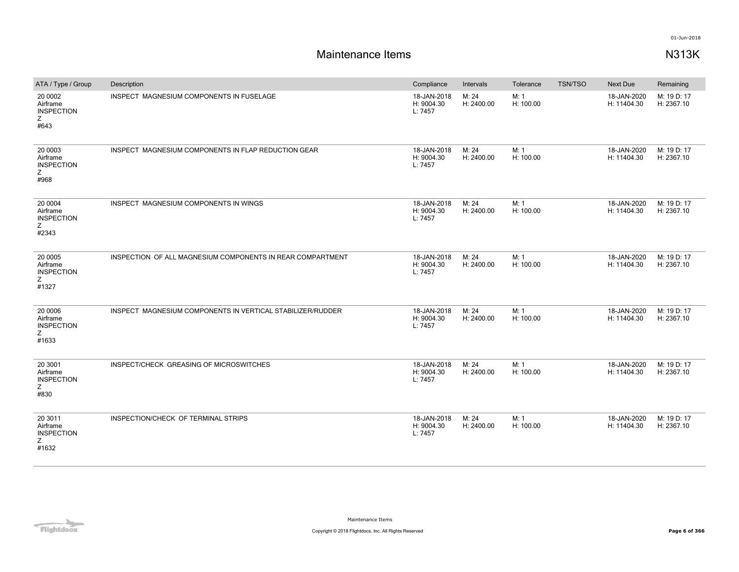| ATA / Type / Group                                     | Description                                                | Compliance                           | Intervals           | Tolerance         | <b>TSN/TSO</b> | <b>Next Due</b>            | Remaining                 |
|--------------------------------------------------------|------------------------------------------------------------|--------------------------------------|---------------------|-------------------|----------------|----------------------------|---------------------------|
| 20 0002<br>Airframe<br><b>INSPECTION</b><br>Ζ<br>#643  | <b>INSPECT MAGNESIUM COMPONENTS IN FUSELAGE</b>            | 18-JAN-2018<br>H: 9004.30<br>L: 7457 | M: 24<br>H: 2400.00 | M: 1<br>H: 100.00 |                | 18-JAN-2020<br>H: 11404.30 | M: 19 D: 17<br>H: 2367.10 |
| 20 0003<br>Airframe<br><b>INSPECTION</b><br>Z<br>#968  | INSPECT MAGNESIUM COMPONENTS IN FLAP REDUCTION GEAR        | 18-JAN-2018<br>H: 9004.30<br>L: 7457 | M: 24<br>H: 2400.00 | M: 1<br>H: 100.00 |                | 18-JAN-2020<br>H: 11404.30 | M: 19 D: 17<br>H: 2367.10 |
| 20 0004<br>Airframe<br><b>INSPECTION</b><br>Z<br>#2343 | INSPECT MAGNESIUM COMPONENTS IN WINGS                      | 18-JAN-2018<br>H: 9004.30<br>L: 7457 | M: 24<br>H: 2400.00 | M: 1<br>H: 100.00 |                | 18-JAN-2020<br>H: 11404.30 | M: 19 D: 17<br>H: 2367.10 |
| 20 0005<br>Airframe<br><b>INSPECTION</b><br>Z<br>#1327 | INSPECTION OF ALL MAGNESIUM COMPONENTS IN REAR COMPARTMENT | 18-JAN-2018<br>H: 9004.30<br>L: 7457 | M: 24<br>H: 2400.00 | M: 1<br>H: 100.00 |                | 18-JAN-2020<br>H: 11404.30 | M: 19 D: 17<br>H: 2367.10 |
| 20 0006<br>Airframe<br><b>INSPECTION</b><br>Ζ<br>#1633 | INSPECT MAGNESIUM COMPONENTS IN VERTICAL STABILIZER/RUDDER | 18-JAN-2018<br>H: 9004.30<br>L: 7457 | M: 24<br>H: 2400.00 | M: 1<br>H: 100.00 |                | 18-JAN-2020<br>H: 11404.30 | M: 19 D: 17<br>H: 2367.10 |
| 20 3001<br>Airframe<br><b>INSPECTION</b><br>Ζ<br>#830  | INSPECT/CHECK GREASING OF MICROSWITCHES                    | 18-JAN-2018<br>H: 9004.30<br>L: 7457 | M: 24<br>H: 2400.00 | M: 1<br>H: 100.00 |                | 18-JAN-2020<br>H: 11404.30 | M: 19 D: 17<br>H: 2367.10 |
| 20 3011<br>Airframe<br><b>INSPECTION</b><br>Ζ<br>#1632 | INSPECTION/CHECK OF TERMINAL STRIPS                        | 18-JAN-2018<br>H: 9004.30<br>L: 7457 | M: 24<br>H: 2400.00 | M: 1<br>H: 100.00 |                | 18-JAN-2020<br>H: 11404.30 | M: 19 D: 17<br>H: 2367.10 |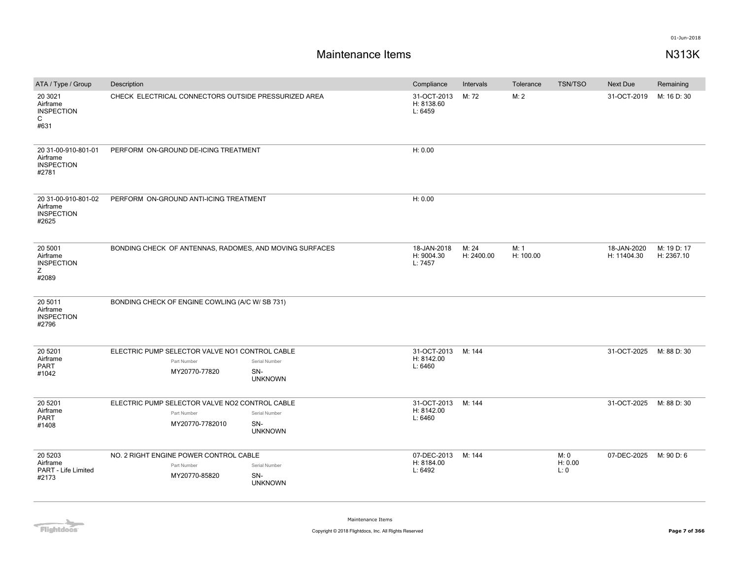| ATA / Type / Group                                                | Description                                                                      |                                        | Compliance                           | Intervals           | Tolerance         | <b>TSN/TSO</b>          | Next Due                   | Remaining                 |
|-------------------------------------------------------------------|----------------------------------------------------------------------------------|----------------------------------------|--------------------------------------|---------------------|-------------------|-------------------------|----------------------------|---------------------------|
| 20 30 21<br>Airframe<br><b>INSPECTION</b><br>$\mathsf{C}$<br>#631 | CHECK ELECTRICAL CONNECTORS OUTSIDE PRESSURIZED AREA                             |                                        | 31-OCT-2013<br>H: 8138.60<br>L: 6459 | M: 72               | M: 2              |                         | 31-OCT-2019                | M: 16 D: 30               |
| 20 31-00-910-801-01<br>Airframe<br><b>INSPECTION</b><br>#2781     | PERFORM ON-GROUND DE-ICING TREATMENT                                             |                                        | H: 0.00                              |                     |                   |                         |                            |                           |
| 20 31-00-910-801-02<br>Airframe<br><b>INSPECTION</b><br>#2625     | PERFORM ON-GROUND ANTI-ICING TREATMENT                                           |                                        | H: 0.00                              |                     |                   |                         |                            |                           |
| 20 5001<br>Airframe<br><b>INSPECTION</b><br>Z<br>#2089            | BONDING CHECK OF ANTENNAS, RADOMES, AND MOVING SURFACES                          |                                        | 18-JAN-2018<br>H: 9004.30<br>L: 7457 | M: 24<br>H: 2400.00 | M: 1<br>H: 100.00 |                         | 18-JAN-2020<br>H: 11404.30 | M: 19 D: 17<br>H: 2367.10 |
| 20 5011<br>Airframe<br><b>INSPECTION</b><br>#2796                 | BONDING CHECK OF ENGINE COWLING (A/C W/ SB 731)                                  |                                        |                                      |                     |                   |                         |                            |                           |
| 20 5 201<br>Airframe<br>PART<br>#1042                             | ELECTRIC PUMP SELECTOR VALVE NO1 CONTROL CABLE<br>Part Number<br>MY20770-77820   | Serial Number<br>SN-<br><b>UNKNOWN</b> | 31-OCT-2013<br>H: 8142.00<br>L: 6460 | M: 144              |                   |                         | 31-OCT-2025                | M: 88 D: 30               |
| 20 5 201<br>Airframe<br>PART<br>#1408                             | ELECTRIC PUMP SELECTOR VALVE NO2 CONTROL CABLE<br>Part Number<br>MY20770-7782010 | Serial Number<br>SN-<br><b>UNKNOWN</b> | 31-OCT-2013<br>H: 8142.00<br>L: 6460 | M: 144              |                   |                         | 31-OCT-2025                | M: 88 D: 30               |
| 20 5 20 3<br>Airframe<br>PART - Life Limited<br>#2173             | NO. 2 RIGHT ENGINE POWER CONTROL CABLE<br>Part Number<br>MY20770-85820           | Serial Number<br>SN-<br><b>UNKNOWN</b> | 07-DEC-2013<br>H: 8184.00<br>L: 6492 | M: 144              |                   | M: 0<br>H: 0.00<br>L: 0 | 07-DEC-2025                | M: 90 D: 6                |

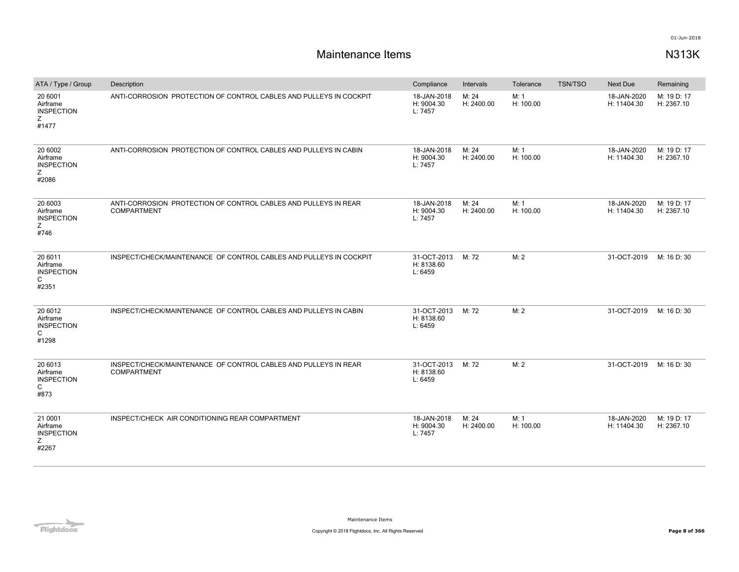| ATA / Type / Group                                               | Description                                                                           | Compliance                           | Intervals           | Tolerance         | <b>TSN/TSO</b> | <b>Next Due</b>            | Remaining                 |
|------------------------------------------------------------------|---------------------------------------------------------------------------------------|--------------------------------------|---------------------|-------------------|----------------|----------------------------|---------------------------|
| 20 6001<br>Airframe<br><b>INSPECTION</b><br>Ζ<br>#1477           | ANTI-CORROSION PROTECTION OF CONTROL CABLES AND PULLEYS IN COCKPIT                    | 18-JAN-2018<br>H: 9004.30<br>L: 7457 | M: 24<br>H: 2400.00 | M: 1<br>H: 100.00 |                | 18-JAN-2020<br>H: 11404.30 | M: 19 D: 17<br>H: 2367.10 |
| 20 6002<br>Airframe<br><b>INSPECTION</b><br>Z<br>#2086           | ANTI-CORROSION PROTECTION OF CONTROL CABLES AND PULLEYS IN CABIN                      | 18-JAN-2018<br>H: 9004.30<br>L: 7457 | M: 24<br>H: 2400.00 | M: 1<br>H: 100.00 |                | 18-JAN-2020<br>H: 11404.30 | M: 19 D: 17<br>H: 2367.10 |
| 20 6003<br>Airframe<br><b>INSPECTION</b><br>Ζ<br>#746            | ANTI-CORROSION PROTECTION OF CONTROL CABLES AND PULLEYS IN REAR<br><b>COMPARTMENT</b> | 18-JAN-2018<br>H: 9004.30<br>L: 7457 | M: 24<br>H: 2400.00 | M: 1<br>H: 100.00 |                | 18-JAN-2020<br>H: 11404.30 | M: 19 D: 17<br>H: 2367.10 |
| 20 6011<br>Airframe<br><b>INSPECTION</b><br>C<br>#2351           | INSPECT/CHECK/MAINTENANCE OF CONTROL CABLES AND PULLEYS IN COCKPIT                    | 31-OCT-2013<br>H: 8138.60<br>L: 6459 | M: 72               | M: 2              |                | 31-OCT-2019                | M: 16 D: 30               |
| 20 6012<br>Airframe<br><b>INSPECTION</b><br>C<br>#1298           | INSPECT/CHECK/MAINTENANCE OF CONTROL CABLES AND PULLEYS IN CABIN                      | 31-OCT-2013<br>H: 8138.60<br>L: 6459 | M: 72               | M: 2              |                | 31-OCT-2019                | M: 16 D: 30               |
| 20 6013<br>Airframe<br><b>INSPECTION</b><br>$\mathsf{C}$<br>#873 | INSPECT/CHECK/MAINTENANCE OF CONTROL CABLES AND PULLEYS IN REAR<br><b>COMPARTMENT</b> | 31-OCT-2013<br>H: 8138.60<br>L: 6459 | M: 72               | M: 2              |                | 31-OCT-2019                | M: 16 D: 30               |
| 21 0001<br>Airframe<br><b>INSPECTION</b><br>Z<br>#2267           | INSPECT/CHECK AIR CONDITIONING REAR COMPARTMENT                                       | 18-JAN-2018<br>H: 9004.30<br>L: 7457 | M: 24<br>H: 2400.00 | M: 1<br>H: 100.00 |                | 18-JAN-2020<br>H: 11404.30 | M: 19 D: 17<br>H: 2367.10 |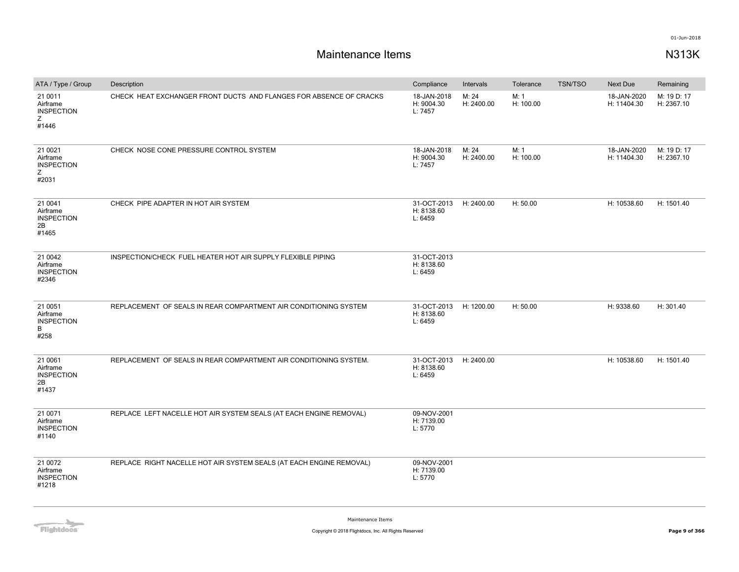| ATA / Type / Group                                      | Description                                                         | Compliance                                      | Intervals           | Tolerance         | <b>TSN/TSO</b> | Next Due                   | Remaining                 |
|---------------------------------------------------------|---------------------------------------------------------------------|-------------------------------------------------|---------------------|-------------------|----------------|----------------------------|---------------------------|
| 21 0011<br>Airframe<br><b>INSPECTION</b><br>Z<br>#1446  | CHECK HEAT EXCHANGER FRONT DUCTS AND FLANGES FOR ABSENCE OF CRACKS  | 18-JAN-2018<br>H: 9004.30<br>L: 7457            | M: 24<br>H: 2400.00 | M: 1<br>H: 100.00 |                | 18-JAN-2020<br>H: 11404.30 | M: 19 D: 17<br>H: 2367.10 |
| 21 0021<br>Airframe<br><b>INSPECTION</b><br>Z<br>#2031  | CHECK NOSE CONE PRESSURE CONTROL SYSTEM                             | 18-JAN-2018<br>H: 9004.30<br>L: 7457            | M: 24<br>H: 2400.00 | M: 1<br>H: 100.00 |                | 18-JAN-2020<br>H: 11404.30 | M: 19 D: 17<br>H: 2367.10 |
| 21 0041<br>Airframe<br><b>INSPECTION</b><br>2B<br>#1465 | CHECK PIPE ADAPTER IN HOT AIR SYSTEM                                | 31-OCT-2013 H: 2400.00<br>H: 8138.60<br>L: 6459 |                     | H: 50.00          |                | H: 10538.60                | H: 1501.40                |
| 21 0042<br>Airframe<br><b>INSPECTION</b><br>#2346       | INSPECTION/CHECK FUEL HEATER HOT AIR SUPPLY FLEXIBLE PIPING         | 31-OCT-2013<br>H: 8138.60<br>L: 6459            |                     |                   |                |                            |                           |
| 21 0051<br>Airframe<br><b>INSPECTION</b><br>B.<br>#258  | REPLACEMENT OF SEALS IN REAR COMPARTMENT AIR CONDITIONING SYSTEM    | 31-OCT-2013 H: 1200.00<br>H: 8138.60<br>L: 6459 |                     | H: 50.00          |                | H: 9338.60                 | H: 301.40                 |
| 21 0061<br>Airframe<br><b>INSPECTION</b><br>2B<br>#1437 | REPLACEMENT OF SEALS IN REAR COMPARTMENT AIR CONDITIONING SYSTEM.   | 31-OCT-2013<br>H: 8138.60<br>L: 6459            | H: 2400.00          |                   |                | H: 10538.60                | H: 1501.40                |
| 21 0071<br>Airframe<br><b>INSPECTION</b><br>#1140       | REPLACE LEFT NACELLE HOT AIR SYSTEM SEALS (AT EACH ENGINE REMOVAL)  | 09-NOV-2001<br>H: 7139.00<br>L: 5770            |                     |                   |                |                            |                           |
| 21 0072<br>Airframe<br><b>INSPECTION</b><br>#1218       | REPLACE RIGHT NACELLE HOT AIR SYSTEM SEALS (AT EACH ENGINE REMOVAL) | 09-NOV-2001<br>H: 7139.00<br>L: 5770            |                     |                   |                |                            |                           |

**Flightdocs**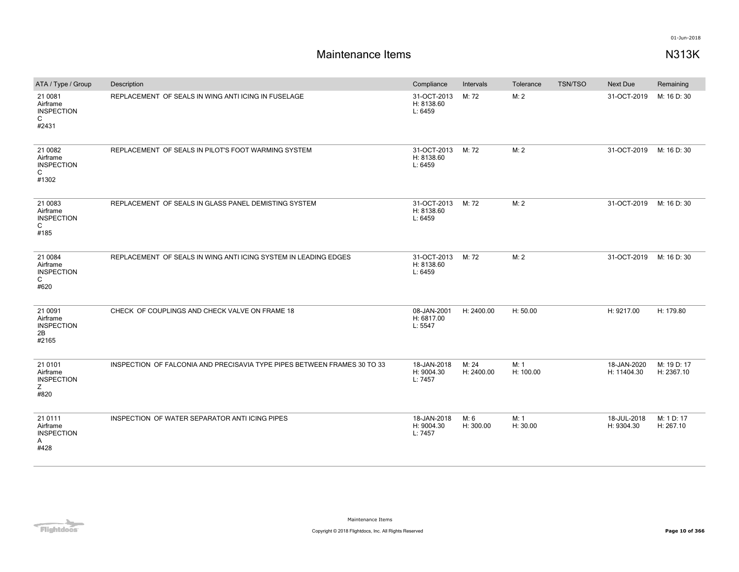| ATA / Type / Group                                      | Description                                                              | Compliance                           | Intervals           | Tolerance         | <b>TSN/TSO</b> | Next Due                   | Remaining                 |
|---------------------------------------------------------|--------------------------------------------------------------------------|--------------------------------------|---------------------|-------------------|----------------|----------------------------|---------------------------|
| 21 0081<br>Airframe<br><b>INSPECTION</b><br>C<br>#2431  | REPLACEMENT OF SEALS IN WING ANTI ICING IN FUSELAGE                      | 31-OCT-2013<br>H: 8138.60<br>L: 6459 | M: 72               | M: 2              |                | 31-OCT-2019                | M: 16 D: 30               |
| 21 0082<br>Airframe<br><b>INSPECTION</b><br>C<br>#1302  | REPLACEMENT OF SEALS IN PILOT'S FOOT WARMING SYSTEM                      | 31-OCT-2013<br>H: 8138.60<br>L: 6459 | M: 72               | M: 2              |                | 31-OCT-2019                | M: 16 D: 30               |
| 21 0083<br>Airframe<br><b>INSPECTION</b><br>C<br>#185   | REPLACEMENT OF SEALS IN GLASS PANEL DEMISTING SYSTEM                     | 31-OCT-2013<br>H: 8138.60<br>L: 6459 | M: 72               | M: 2              |                | 31-OCT-2019                | M: 16 D: 30               |
| 21 0084<br>Airframe<br><b>INSPECTION</b><br>C<br>#620   | REPLACEMENT OF SEALS IN WING ANTI ICING SYSTEM IN LEADING EDGES          | 31-OCT-2013<br>H: 8138.60<br>L: 6459 | M: 72               | M: 2              |                | 31-OCT-2019                | M: 16 D: 30               |
| 21 0091<br>Airframe<br><b>INSPECTION</b><br>2B<br>#2165 | CHECK OF COUPLINGS AND CHECK VALVE ON FRAME 18                           | 08-JAN-2001<br>H: 6817.00<br>L: 5547 | H: 2400.00          | H: 50.00          |                | H: 9217.00                 | H: 179.80                 |
| 21 0101<br>Airframe<br><b>INSPECTION</b><br>Z<br>#820   | INSPECTION OF FALCONIA AND PRECISAVIA TYPE PIPES BETWEEN FRAMES 30 TO 33 | 18-JAN-2018<br>H: 9004.30<br>L: 7457 | M: 24<br>H: 2400.00 | M: 1<br>H: 100.00 |                | 18-JAN-2020<br>H: 11404.30 | M: 19 D: 17<br>H: 2367.10 |
| 21 0111<br>Airframe<br><b>INSPECTION</b><br>A<br>#428   | INSPECTION OF WATER SEPARATOR ANTI ICING PIPES                           | 18-JAN-2018<br>H: 9004.30<br>L: 7457 | M: 6<br>H: 300.00   | M: 1<br>H: 30.00  |                | 18-JUL-2018<br>H: 9304.30  | M: 1 D: 17<br>H: 267.10   |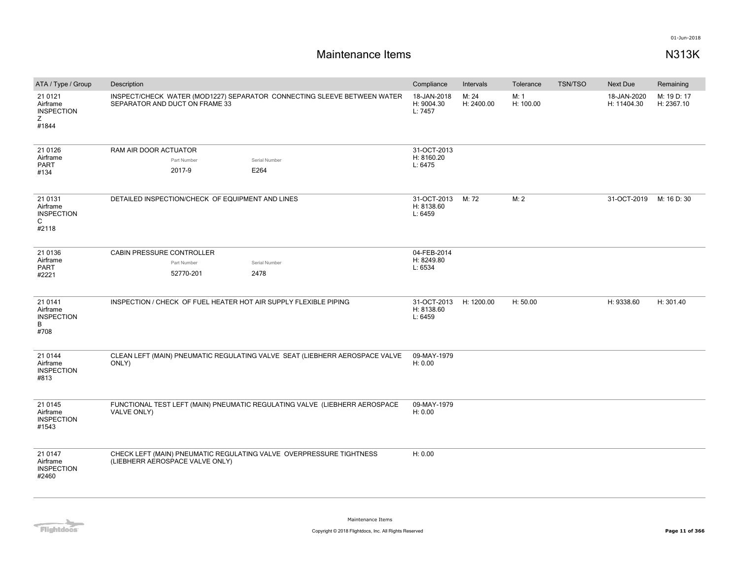| ATA / Type / Group                                     | Description                                                                                               | Compliance                           | Intervals           | Tolerance         | <b>TSN/TSO</b> | <b>Next Due</b>            | Remaining                 |
|--------------------------------------------------------|-----------------------------------------------------------------------------------------------------------|--------------------------------------|---------------------|-------------------|----------------|----------------------------|---------------------------|
| 21 0121<br>Airframe<br><b>INSPECTION</b><br>Ζ<br>#1844 | INSPECT/CHECK WATER (MOD1227) SEPARATOR CONNECTING SLEEVE BETWEEN WATER<br>SEPARATOR AND DUCT ON FRAME 33 | 18-JAN-2018<br>H: 9004.30<br>L: 7457 | M: 24<br>H: 2400.00 | M: 1<br>H: 100.00 |                | 18-JAN-2020<br>H: 11404.30 | M: 19 D: 17<br>H: 2367.10 |
| 21 01 26<br>Airframe<br><b>PART</b><br>#134            | RAM AIR DOOR ACTUATOR<br>Part Number<br>Serial Number<br>2017-9<br>E264                                   | 31-OCT-2013<br>H: 8160.20<br>L: 6475 |                     |                   |                |                            |                           |
| 21 0131<br>Airframe<br><b>INSPECTION</b><br>C<br>#2118 | DETAILED INSPECTION/CHECK OF EQUIPMENT AND LINES                                                          | 31-OCT-2013<br>H: 8138.60<br>L: 6459 | M: 72               | M: 2              |                | 31-OCT-2019                | M: 16 D: 30               |
| 21 0136                                                | CABIN PRESSURE CONTROLLER                                                                                 | 04-FEB-2014                          |                     |                   |                |                            |                           |
| Airframe<br>PART                                       | Part Number<br>Serial Number                                                                              | H: 8249.80<br>L: 6534                |                     |                   |                |                            |                           |
| #2221                                                  | 52770-201<br>2478                                                                                         |                                      |                     |                   |                |                            |                           |
| 21 0141<br>Airframe<br><b>INSPECTION</b><br>B<br>#708  | INSPECTION / CHECK OF FUEL HEATER HOT AIR SUPPLY FLEXIBLE PIPING                                          | 31-OCT-2013<br>H: 8138.60<br>L: 6459 | H: 1200.00          | H: 50.00          |                | H: 9338.60                 | H: 301.40                 |
| 21 0 1 4 4<br>Airframe<br><b>INSPECTION</b><br>#813    | CLEAN LEFT (MAIN) PNEUMATIC REGULATING VALVE SEAT (LIEBHERR AEROSPACE VALVE<br>ONLY)                      | 09-MAY-1979<br>H: 0.00               |                     |                   |                |                            |                           |
| 21 0 1 4 5<br>Airframe<br><b>INSPECTION</b><br>#1543   | FUNCTIONAL TEST LEFT (MAIN) PNEUMATIC REGULATING VALVE (LIEBHERR AEROSPACE<br>VALVE ONLY)                 | 09-MAY-1979<br>H: 0.00               |                     |                   |                |                            |                           |
| 21 0 147<br>Airframe<br><b>INSPECTION</b><br>#2460     | CHECK LEFT (MAIN) PNEUMATIC REGULATING VALVE OVERPRESSURE TIGHTNESS<br>(LIEBHERR AEROSPACE VALVE ONLY)    | H: 0.00                              |                     |                   |                |                            |                           |

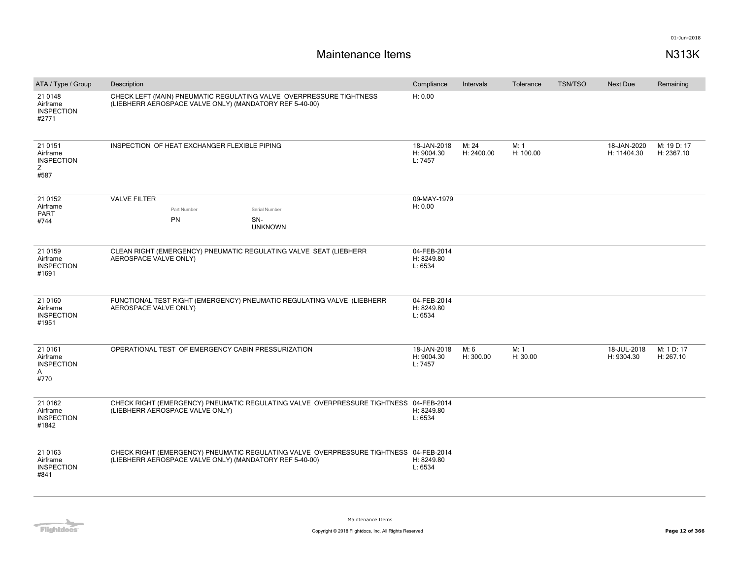| ATA / Type / Group                                     | Description                                                                                                                                      | Compliance                           | Intervals           | Tolerance         | <b>TSN/TSO</b> | Next Due                   | Remaining                 |
|--------------------------------------------------------|--------------------------------------------------------------------------------------------------------------------------------------------------|--------------------------------------|---------------------|-------------------|----------------|----------------------------|---------------------------|
| 21 0148<br>Airframe<br><b>INSPECTION</b><br>#2771      | CHECK LEFT (MAIN) PNEUMATIC REGULATING VALVE OVERPRESSURE TIGHTNESS<br>(LIEBHERR AEROSPACE VALVE ONLY) (MANDATORY REF 5-40-00)                   | H: 0.00                              |                     |                   |                |                            |                           |
| 21 0151<br>Airframe<br><b>INSPECTION</b><br>Ζ<br>#587  | INSPECTION OF HEAT EXCHANGER FLEXIBLE PIPING                                                                                                     | 18-JAN-2018<br>H: 9004.30<br>L: 7457 | M: 24<br>H: 2400.00 | M: 1<br>H: 100.00 |                | 18-JAN-2020<br>H: 11404.30 | M: 19 D: 17<br>H: 2367.10 |
| 21 0152                                                | <b>VALVE FILTER</b>                                                                                                                              | 09-MAY-1979                          |                     |                   |                |                            |                           |
| Airframe<br><b>PART</b>                                | Part Number<br>Serial Number                                                                                                                     | H: 0.00                              |                     |                   |                |                            |                           |
| #744                                                   | PN<br>SN-<br><b>UNKNOWN</b>                                                                                                                      |                                      |                     |                   |                |                            |                           |
| 21 0159<br>Airframe<br><b>INSPECTION</b><br>#1691      | CLEAN RIGHT (EMERGENCY) PNEUMATIC REGULATING VALVE SEAT (LIEBHERR<br>AEROSPACE VALVE ONLY)                                                       | 04-FEB-2014<br>H: 8249.80<br>L: 6534 |                     |                   |                |                            |                           |
| 21 0160<br>Airframe<br><b>INSPECTION</b><br>#1951      | FUNCTIONAL TEST RIGHT (EMERGENCY) PNEUMATIC REGULATING VALVE (LIEBHERR<br>AEROSPACE VALVE ONLY)                                                  | 04-FEB-2014<br>H: 8249.80<br>L: 6534 |                     |                   |                |                            |                           |
| 21 01 61<br>Airframe<br><b>INSPECTION</b><br>Α<br>#770 | OPERATIONAL TEST OF EMERGENCY CABIN PRESSURIZATION                                                                                               | 18-JAN-2018<br>H: 9004.30<br>L: 7457 | M: 6<br>H: 300.00   | M: 1<br>H: 30.00  |                | 18-JUL-2018<br>H: 9304.30  | M: 1 D: 17<br>H: 267.10   |
| 21 0162<br>Airframe<br><b>INSPECTION</b><br>#1842      | CHECK RIGHT (EMERGENCY) PNEUMATIC REGULATING VALVE OVERPRESSURE TIGHTNESS 04-FEB-2014<br>(LIEBHERR AEROSPACE VALVE ONLY)                         | H: 8249.80<br>L: 6534                |                     |                   |                |                            |                           |
| 21 0163<br>Airframe<br><b>INSPECTION</b><br>#841       | CHECK RIGHT (EMERGENCY) PNEUMATIC REGULATING VALVE OVERPRESSURE TIGHTNESS 04-FEB-2014<br>(LIEBHERR AEROSPACE VALVE ONLY) (MANDATORY REF 5-40-00) | H: 8249.80<br>L: 6534                |                     |                   |                |                            |                           |

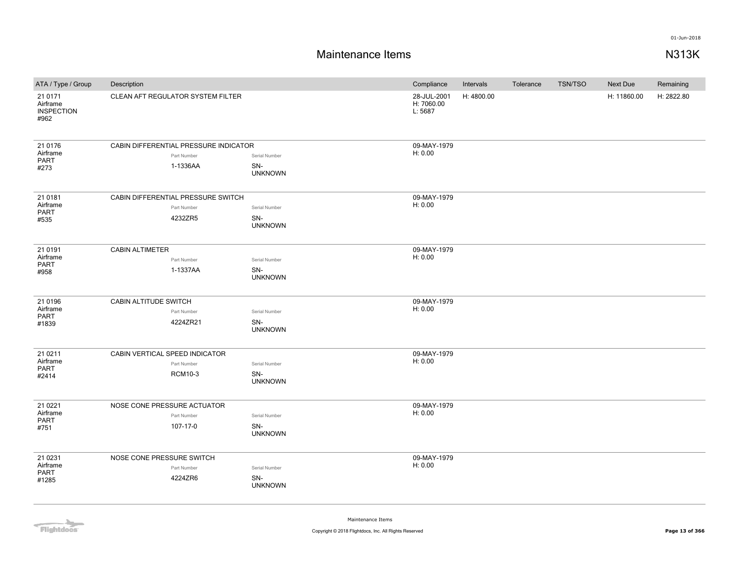## **Maintenance Items N313K**

| ATA / Type / Group                               | Description                           |                       | Compliance                           | Intervals  | Tolerance | <b>TSN/TSO</b> | Next Due    | Remaining  |
|--------------------------------------------------|---------------------------------------|-----------------------|--------------------------------------|------------|-----------|----------------|-------------|------------|
| 21 0171<br>Airframe<br><b>INSPECTION</b><br>#962 | CLEAN AFT REGULATOR SYSTEM FILTER     |                       | 28-JUL-2001<br>H: 7060.00<br>L: 5687 | H: 4800.00 |           |                | H: 11860.00 | H: 2822.80 |
| 21 0176                                          | CABIN DIFFERENTIAL PRESSURE INDICATOR |                       | 09-MAY-1979                          |            |           |                |             |            |
| Airframe<br><b>PART</b>                          | Part Number                           | Serial Number         | H: 0.00                              |            |           |                |             |            |
| #273                                             | 1-1336AA                              | SN-<br><b>UNKNOWN</b> |                                      |            |           |                |             |            |
| 21 0181                                          | CABIN DIFFERENTIAL PRESSURE SWITCH    |                       | 09-MAY-1979                          |            |           |                |             |            |
| Airframe<br>PART                                 | Part Number                           | Serial Number         | H: 0.00                              |            |           |                |             |            |
| #535                                             | 4232ZR5                               | SN-<br><b>UNKNOWN</b> |                                      |            |           |                |             |            |
| 21 0191                                          | <b>CABIN ALTIMETER</b>                |                       | 09-MAY-1979                          |            |           |                |             |            |
| Airframe<br><b>PART</b>                          | Part Number                           | Serial Number         | H: 0.00                              |            |           |                |             |            |
| #958                                             | 1-1337AA                              | SN-<br><b>UNKNOWN</b> |                                      |            |           |                |             |            |
| 21 0196                                          | CABIN ALTITUDE SWITCH                 |                       | 09-MAY-1979                          |            |           |                |             |            |
| Airframe<br><b>PART</b>                          | Part Number                           | Serial Number         | H: 0.00                              |            |           |                |             |            |
| #1839                                            | 4224ZR21                              | SN-<br><b>UNKNOWN</b> |                                      |            |           |                |             |            |
| 21 0 21 1                                        | CABIN VERTICAL SPEED INDICATOR        |                       | 09-MAY-1979                          |            |           |                |             |            |
| Airframe                                         | Part Number                           | Serial Number         | H: 0.00                              |            |           |                |             |            |
| PART<br>#2414                                    | <b>RCM10-3</b>                        | SN-<br><b>UNKNOWN</b> |                                      |            |           |                |             |            |
| 21 0221                                          | NOSE CONE PRESSURE ACTUATOR           |                       | 09-MAY-1979                          |            |           |                |             |            |
| Airframe                                         | Part Number                           | Serial Number         | H: 0.00                              |            |           |                |             |            |
| <b>PART</b><br>#751                              | 107-17-0                              | SN-<br><b>UNKNOWN</b> |                                      |            |           |                |             |            |
| 21 0 231                                         | NOSE CONE PRESSURE SWITCH             |                       | 09-MAY-1979                          |            |           |                |             |            |
| Airframe<br><b>PART</b>                          | Part Number                           | Serial Number         | H: 0.00                              |            |           |                |             |            |
| #1285                                            | 4224ZR6                               | SN-<br><b>UNKNOWN</b> |                                      |            |           |                |             |            |

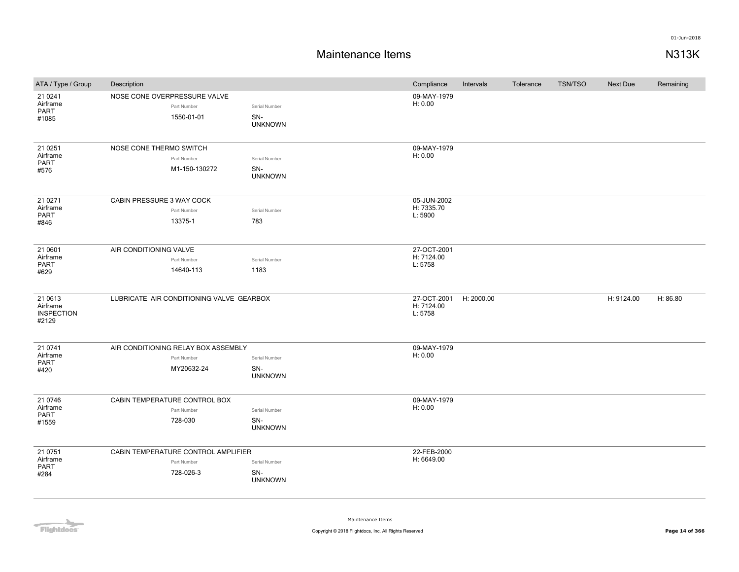| ATA / Type / Group                                | Description                                                      |                                        | Compliance                           | Intervals  | Tolerance | <b>TSN/TSO</b> | Next Due   | Remaining |
|---------------------------------------------------|------------------------------------------------------------------|----------------------------------------|--------------------------------------|------------|-----------|----------------|------------|-----------|
| 21 0 24 1<br>Airframe<br>PART<br>#1085            | NOSE CONE OVERPRESSURE VALVE<br>Part Number<br>1550-01-01        | Serial Number<br>SN-<br><b>UNKNOWN</b> | 09-MAY-1979<br>H: 0.00               |            |           |                |            |           |
| 21 0 251<br>Airframe<br>PART<br>#576              | NOSE CONE THERMO SWITCH<br>Part Number<br>M1-150-130272          | Serial Number<br>SN-<br><b>UNKNOWN</b> | 09-MAY-1979<br>H: 0.00               |            |           |                |            |           |
| 21 0 27 1<br>Airframe<br><b>PART</b><br>#846      | CABIN PRESSURE 3 WAY COCK<br>Part Number<br>13375-1              | Serial Number<br>783                   | 05-JUN-2002<br>H: 7335.70<br>L: 5900 |            |           |                |            |           |
| 21 0601<br>Airframe<br>PART<br>#629               | AIR CONDITIONING VALVE<br>Part Number<br>14640-113               | Serial Number<br>1183                  | 27-OCT-2001<br>H: 7124.00<br>L: 5758 |            |           |                |            |           |
| 21 0613<br>Airframe<br><b>INSPECTION</b><br>#2129 | LUBRICATE AIR CONDITIONING VALVE GEARBOX                         |                                        | 27-OCT-2001<br>H: 7124.00<br>L: 5758 | H: 2000.00 |           |                | H: 9124.00 | H: 86.80  |
| 21 0741<br>Airframe<br><b>PART</b><br>#420        | AIR CONDITIONING RELAY BOX ASSEMBLY<br>Part Number<br>MY20632-24 | Serial Number<br>SN-<br><b>UNKNOWN</b> | 09-MAY-1979<br>H: 0.00               |            |           |                |            |           |
| 21 0 746<br>Airframe<br><b>PART</b><br>#1559      | CABIN TEMPERATURE CONTROL BOX<br>Part Number<br>728-030          | Serial Number<br>SN-<br><b>UNKNOWN</b> | 09-MAY-1979<br>H: 0.00               |            |           |                |            |           |
| 21 0751<br>Airframe<br><b>PART</b><br>#284        | CABIN TEMPERATURE CONTROL AMPLIFIER<br>Part Number<br>728-026-3  | Serial Number<br>SN-<br><b>UNKNOWN</b> | 22-FEB-2000<br>H: 6649.00            |            |           |                |            |           |

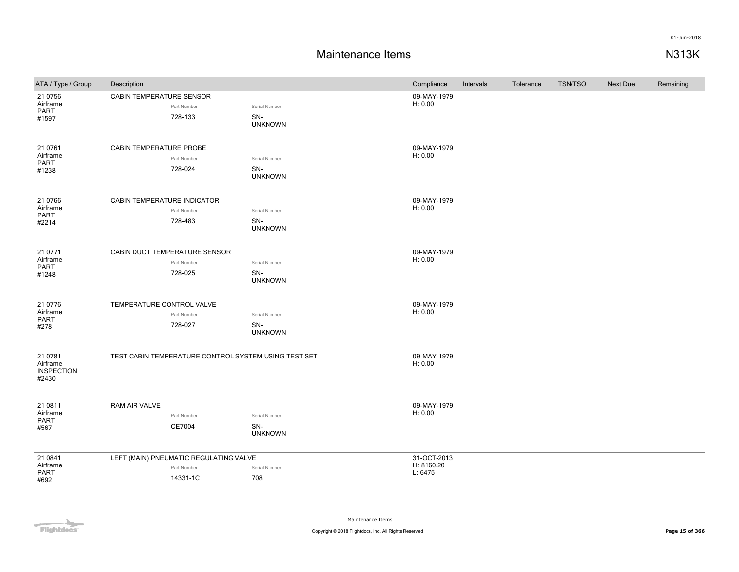## **Maintenance Items N313K**

| ATA / Type / Group                                | Description                   |                                        |                                                      | Compliance             | Intervals | Tolerance | <b>TSN/TSO</b> | Next Due | Remaining |
|---------------------------------------------------|-------------------------------|----------------------------------------|------------------------------------------------------|------------------------|-----------|-----------|----------------|----------|-----------|
| 21 0756                                           | CABIN TEMPERATURE SENSOR      |                                        |                                                      | 09-MAY-1979            |           |           |                |          |           |
| Airframe<br>PART                                  |                               | Part Number                            | Serial Number                                        | H: 0.00                |           |           |                |          |           |
| #1597                                             |                               | 728-133                                | SN-                                                  |                        |           |           |                |          |           |
|                                                   |                               |                                        | <b>UNKNOWN</b>                                       |                        |           |           |                |          |           |
| 21 0761                                           | CABIN TEMPERATURE PROBE       |                                        |                                                      | 09-MAY-1979            |           |           |                |          |           |
| Airframe                                          |                               | Part Number                            | Serial Number                                        | H: 0.00                |           |           |                |          |           |
| PART<br>#1238                                     |                               | 728-024                                | SN-                                                  |                        |           |           |                |          |           |
|                                                   |                               |                                        | <b>UNKNOWN</b>                                       |                        |           |           |                |          |           |
| 21 0766                                           | CABIN TEMPERATURE INDICATOR   |                                        |                                                      | 09-MAY-1979            |           |           |                |          |           |
| Airframe<br>PART                                  |                               | Part Number                            | Serial Number                                        | H: 0.00                |           |           |                |          |           |
| #2214                                             |                               | 728-483                                | SN-                                                  |                        |           |           |                |          |           |
|                                                   |                               |                                        | <b>UNKNOWN</b>                                       |                        |           |           |                |          |           |
| 21 0771                                           | CABIN DUCT TEMPERATURE SENSOR |                                        |                                                      | 09-MAY-1979            |           |           |                |          |           |
| Airframe<br>PART                                  |                               | Part Number                            | Serial Number                                        | H: 0.00                |           |           |                |          |           |
| #1248                                             |                               | 728-025                                | SN-                                                  |                        |           |           |                |          |           |
|                                                   |                               |                                        | <b>UNKNOWN</b>                                       |                        |           |           |                |          |           |
| 21 0776                                           | TEMPERATURE CONTROL VALVE     |                                        |                                                      | 09-MAY-1979            |           |           |                |          |           |
| Airframe<br>PART                                  |                               | Part Number                            | Serial Number                                        | H: 0.00                |           |           |                |          |           |
| #278                                              |                               | 728-027                                | SN-<br><b>UNKNOWN</b>                                |                        |           |           |                |          |           |
| 21 0781<br>Airframe<br><b>INSPECTION</b><br>#2430 |                               |                                        | TEST CABIN TEMPERATURE CONTROL SYSTEM USING TEST SET | 09-MAY-1979<br>H: 0.00 |           |           |                |          |           |
|                                                   |                               |                                        |                                                      |                        |           |           |                |          |           |
| 21 0811<br>Airframe                               | RAM AIR VALVE                 | Part Number                            | Serial Number                                        | 09-MAY-1979<br>H: 0.00 |           |           |                |          |           |
| PART<br>#567                                      |                               | CE7004                                 | SN-                                                  |                        |           |           |                |          |           |
|                                                   |                               |                                        | <b>UNKNOWN</b>                                       |                        |           |           |                |          |           |
| 21 0841                                           |                               | LEFT (MAIN) PNEUMATIC REGULATING VALVE |                                                      | 31-OCT-2013            |           |           |                |          |           |
| Airframe<br>PART                                  |                               | Part Number                            | Serial Number                                        | H: 8160.20<br>L: 6475  |           |           |                |          |           |
| #692                                              |                               | 14331-1C                               | 708                                                  |                        |           |           |                |          |           |
|                                                   |                               |                                        |                                                      |                        |           |           |                |          |           |

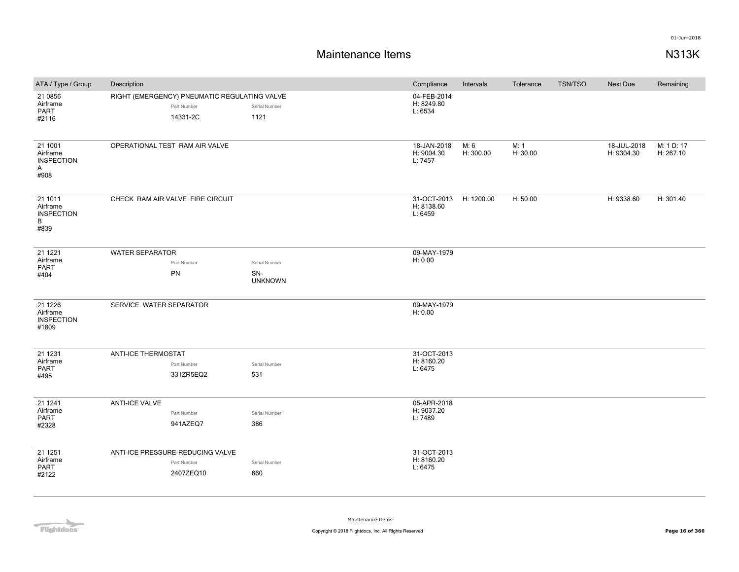| ATA / Type / Group                                               | Description                                                             |                                        |                                      |                   | Tolerance        | <b>TSN/TSO</b> | Next Due                  | Remaining               |
|------------------------------------------------------------------|-------------------------------------------------------------------------|----------------------------------------|--------------------------------------|-------------------|------------------|----------------|---------------------------|-------------------------|
| 21 0856<br>Airframe<br>PART<br>#2116                             | RIGHT (EMERGENCY) PNEUMATIC REGULATING VALVE<br>Part Number<br>14331-2C | Serial Number<br>1121                  | 04-FEB-2014<br>H: 8249.80<br>L: 6534 |                   |                  |                |                           |                         |
| 21 1001<br>Airframe<br><b>INSPECTION</b><br>$\mathsf{A}$<br>#908 | OPERATIONAL TEST RAM AIR VALVE                                          |                                        | 18-JAN-2018<br>H: 9004.30<br>L: 7457 | M: 6<br>H: 300.00 | M: 1<br>H: 30.00 |                | 18-JUL-2018<br>H: 9304.30 | M: 1 D: 17<br>H: 267.10 |
| 21 1011<br>Airframe<br><b>INSPECTION</b><br>B<br>#839            | CHECK RAM AIR VALVE FIRE CIRCUIT                                        |                                        | 31-OCT-2013<br>H: 8138.60<br>L: 6459 | H: 1200.00        | H: 50.00         |                | H: 9338.60                | H: 301.40               |
| 21 1221<br>Airframe<br><b>PART</b><br>#404                       | <b>WATER SEPARATOR</b><br>Part Number<br>PN                             | Serial Number<br>SN-<br><b>UNKNOWN</b> | 09-MAY-1979<br>H: 0.00               |                   |                  |                |                           |                         |
| 21 1226<br>Airframe<br><b>INSPECTION</b><br>#1809                | SERVICE WATER SEPARATOR                                                 |                                        | 09-MAY-1979<br>H: 0.00               |                   |                  |                |                           |                         |
| 21 1231<br>Airframe<br><b>PART</b><br>#495                       | <b>ANTI-ICE THERMOSTAT</b><br>Part Number<br>331ZR5EQ2                  | Serial Number<br>531                   | 31-OCT-2013<br>H: 8160.20<br>L: 6475 |                   |                  |                |                           |                         |
| 21 1 24 1<br>Airframe<br>PART<br>#2328                           | <b>ANTI-ICE VALVE</b><br>Part Number<br>941AZEQ7                        | Serial Number<br>386                   | 05-APR-2018<br>H: 9037.20<br>L: 7489 |                   |                  |                |                           |                         |
| 21 1 25 1<br>Airframe<br><b>PART</b><br>#2122                    | ANTI-ICE PRESSURE-REDUCING VALVE<br>Part Number<br>2407ZEQ10            | Serial Number<br>660                   | 31-OCT-2013<br>H: 8160.20<br>L: 6475 |                   |                  |                |                           |                         |

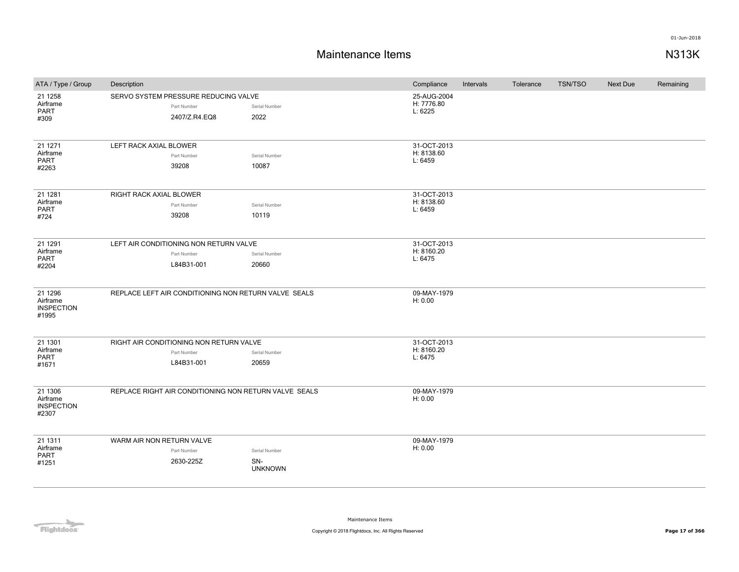## **Maintenance Items N313K**

| ATA / Type / Group                                  | Description                                                          |  |                                        | Compliance                           | Intervals | Tolerance | TSN/TSO | Next Due | Remaining |
|-----------------------------------------------------|----------------------------------------------------------------------|--|----------------------------------------|--------------------------------------|-----------|-----------|---------|----------|-----------|
| 21 1 258<br>Airframe<br>PART<br>#309                | SERVO SYSTEM PRESSURE REDUCING VALVE<br>Part Number<br>2407/Z.R4.EQ8 |  | Serial Number<br>2022                  | 25-AUG-2004<br>H: 7776.80<br>L: 6225 |           |           |         |          |           |
| 21 1271<br>Airframe<br>PART<br>#2263                | LEFT RACK AXIAL BLOWER<br>Part Number<br>39208                       |  | Serial Number<br>10087                 | 31-OCT-2013<br>H: 8138.60<br>L: 6459 |           |           |         |          |           |
| 21 1281<br>Airframe<br><b>PART</b><br>#724          | RIGHT RACK AXIAL BLOWER<br>Part Number<br>39208                      |  | Serial Number<br>10119                 | 31-OCT-2013<br>H: 8138.60<br>L: 6459 |           |           |         |          |           |
| 21 1291<br>Airframe<br>PART<br>#2204                | LEFT AIR CONDITIONING NON RETURN VALVE<br>Part Number<br>L84B31-001  |  | Serial Number<br>20660                 | 31-OCT-2013<br>H: 8160.20<br>L: 6475 |           |           |         |          |           |
| 21 1 29 6<br>Airframe<br><b>INSPECTION</b><br>#1995 | REPLACE LEFT AIR CONDITIONING NON RETURN VALVE SEALS                 |  |                                        | 09-MAY-1979<br>H: 0.00               |           |           |         |          |           |
| 21 1301<br>Airframe<br><b>PART</b><br>#1671         | RIGHT AIR CONDITIONING NON RETURN VALVE<br>Part Number<br>L84B31-001 |  | Serial Number<br>20659                 | 31-OCT-2013<br>H: 8160.20<br>L: 6475 |           |           |         |          |           |
| 21 1306<br>Airframe<br><b>INSPECTION</b><br>#2307   | REPLACE RIGHT AIR CONDITIONING NON RETURN VALVE SEALS                |  |                                        | 09-MAY-1979<br>H: 0.00               |           |           |         |          |           |
| 21 1311<br>Airframe<br>PART<br>#1251                | WARM AIR NON RETURN VALVE<br>Part Number<br>2630-225Z                |  | Serial Number<br>SN-<br><b>UNKNOWN</b> | 09-MAY-1979<br>H: 0.00               |           |           |         |          |           |

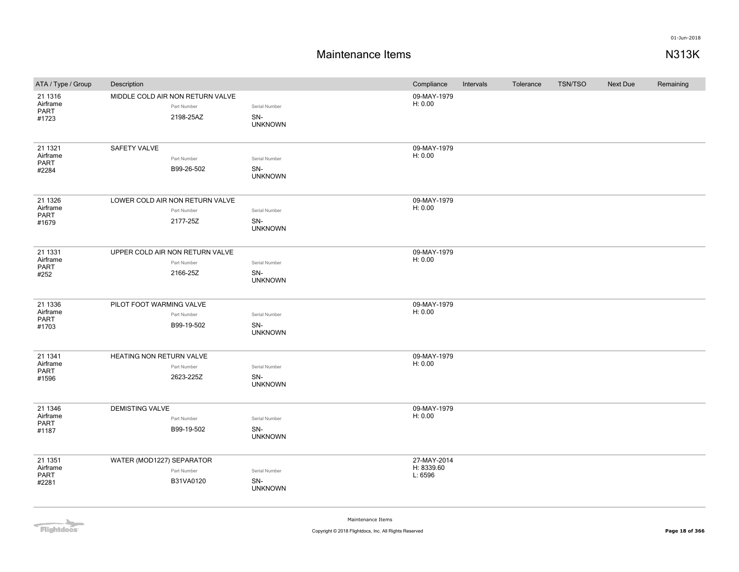## **Maintenance Items N313K**

| ATA / Type / Group | Description                      |             |                       | Compliance            | Intervals | Tolerance | <b>TSN/TSO</b> | Next Due | Remaining |
|--------------------|----------------------------------|-------------|-----------------------|-----------------------|-----------|-----------|----------------|----------|-----------|
| 21 1316            | MIDDLE COLD AIR NON RETURN VALVE |             |                       | 09-MAY-1979           |           |           |                |          |           |
| Airframe<br>PART   |                                  | Part Number | Serial Number         | H: 0.00               |           |           |                |          |           |
| #1723              |                                  | 2198-25AZ   | SN-<br><b>UNKNOWN</b> |                       |           |           |                |          |           |
|                    |                                  |             |                       |                       |           |           |                |          |           |
| 21 1321            | SAFETY VALVE                     |             |                       | 09-MAY-1979           |           |           |                |          |           |
| Airframe           |                                  | Part Number | Serial Number         | H: 0.00               |           |           |                |          |           |
| PART<br>#2284      |                                  | B99-26-502  | SN-                   |                       |           |           |                |          |           |
|                    |                                  |             | <b>UNKNOWN</b>        |                       |           |           |                |          |           |
| 21 1326            | LOWER COLD AIR NON RETURN VALVE  |             |                       | 09-MAY-1979           |           |           |                |          |           |
| Airframe<br>PART   |                                  | Part Number | Serial Number         | H: 0.00               |           |           |                |          |           |
| #1679              |                                  | 2177-25Z    | SN-                   |                       |           |           |                |          |           |
|                    |                                  |             | <b>UNKNOWN</b>        |                       |           |           |                |          |           |
| 21 1331            | UPPER COLD AIR NON RETURN VALVE  |             |                       | 09-MAY-1979           |           |           |                |          |           |
| Airframe<br>PART   |                                  | Part Number | Serial Number         | H: 0.00               |           |           |                |          |           |
| #252               |                                  | 2166-25Z    | SN-                   |                       |           |           |                |          |           |
|                    |                                  |             | <b>UNKNOWN</b>        |                       |           |           |                |          |           |
| 21 1336            | PILOT FOOT WARMING VALVE         |             |                       | 09-MAY-1979           |           |           |                |          |           |
| Airframe<br>PART   |                                  | Part Number | Serial Number         | H: 0.00               |           |           |                |          |           |
| #1703              |                                  | B99-19-502  | SN-<br><b>UNKNOWN</b> |                       |           |           |                |          |           |
|                    |                                  |             |                       |                       |           |           |                |          |           |
| 21 1341            | HEATING NON RETURN VALVE         |             |                       | 09-MAY-1979           |           |           |                |          |           |
| Airframe<br>PART   |                                  | Part Number | Serial Number         | H: 0.00               |           |           |                |          |           |
| #1596              |                                  | 2623-225Z   | SN-<br><b>UNKNOWN</b> |                       |           |           |                |          |           |
| 21 1346            | <b>DEMISTING VALVE</b>           |             |                       | 09-MAY-1979           |           |           |                |          |           |
| Airframe           |                                  | Part Number | Serial Number         | H: 0.00               |           |           |                |          |           |
| PART<br>#1187      |                                  | B99-19-502  | SN-                   |                       |           |           |                |          |           |
|                    |                                  |             | <b>UNKNOWN</b>        |                       |           |           |                |          |           |
| 21 1351            | WATER (MOD1227) SEPARATOR        |             |                       | 27-MAY-2014           |           |           |                |          |           |
| Airframe<br>PART   |                                  | Part Number | Serial Number         | H: 8339.60<br>L: 6596 |           |           |                |          |           |
| #2281              |                                  | B31VA0120   | SN-<br><b>UNKNOWN</b> |                       |           |           |                |          |           |
|                    |                                  |             |                       |                       |           |           |                |          |           |

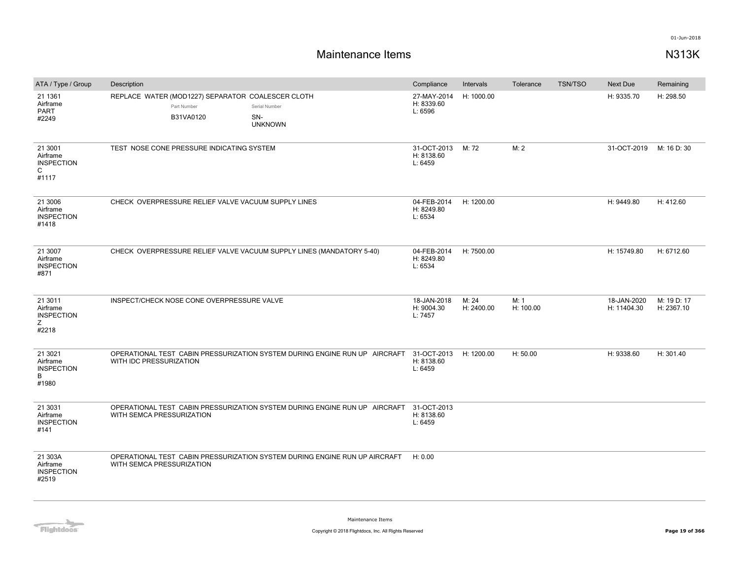| ATA / Type / Group                                                | Description                                                                   |                                                                            | Compliance                           | Intervals           | Tolerance         | <b>TSN/TSO</b> | Next Due                   | Remaining                 |
|-------------------------------------------------------------------|-------------------------------------------------------------------------------|----------------------------------------------------------------------------|--------------------------------------|---------------------|-------------------|----------------|----------------------------|---------------------------|
| 21 1361<br>Airframe<br>PART<br>#2249                              | REPLACE WATER (MOD1227) SEPARATOR COALESCER CLOTH<br>Part Number<br>B31VA0120 | Serial Number<br>SN-<br><b>UNKNOWN</b>                                     | 27-MAY-2014<br>H: 8339.60<br>L: 6596 | H: 1000.00          |                   |                | H: 9335.70                 | H: 298.50                 |
| 21 3001<br>Airframe<br><b>INSPECTION</b><br>$\mathsf{C}$<br>#1117 | TEST NOSE CONE PRESSURE INDICATING SYSTEM                                     |                                                                            | 31-OCT-2013<br>H: 8138.60<br>L: 6459 | M: 72               | M: 2              |                | 31-OCT-2019                | M: 16 D: 30               |
| 21 3006<br>Airframe<br><b>INSPECTION</b><br>#1418                 | CHECK OVERPRESSURE RELIEF VALVE VACUUM SUPPLY LINES                           |                                                                            | 04-FEB-2014<br>H: 8249.80<br>L: 6534 | H: 1200.00          |                   |                | H: 9449.80                 | H: 412.60                 |
| 21 3007<br>Airframe<br><b>INSPECTION</b><br>#871                  | CHECK OVERPRESSURE RELIEF VALVE VACUUM SUPPLY LINES (MANDATORY 5-40)          |                                                                            | 04-FEB-2014<br>H: 8249.80<br>L: 6534 | H: 7500.00          |                   |                | H: 15749.80                | H: 6712.60                |
| 21 3011<br>Airframe<br><b>INSPECTION</b><br>Z<br>#2218            | INSPECT/CHECK NOSE CONE OVERPRESSURE VALVE                                    |                                                                            | 18-JAN-2018<br>H: 9004.30<br>L: 7457 | M: 24<br>H: 2400.00 | M: 1<br>H: 100.00 |                | 18-JAN-2020<br>H: 11404.30 | M: 19 D: 17<br>H: 2367.10 |
| 21 3021<br>Airframe<br><b>INSPECTION</b><br>B<br>#1980            | WITH IDC PRESSURIZATION                                                       | OPERATIONAL TEST CABIN PRESSURIZATION SYSTEM DURING ENGINE RUN UP AIRCRAFT | 31-OCT-2013<br>H: 8138.60<br>L: 6459 | H: 1200.00          | H: 50.00          |                | H: 9338.60                 | H: 301.40                 |
| 21 3031<br>Airframe<br><b>INSPECTION</b><br>#141                  | WITH SEMCA PRESSURIZATION                                                     | OPERATIONAL TEST CABIN PRESSURIZATION SYSTEM DURING ENGINE RUN UP AIRCRAFT | 31-OCT-2013<br>H: 8138.60<br>L: 6459 |                     |                   |                |                            |                           |
| 21 303A<br>Airframe<br><b>INSPECTION</b><br>#2519                 | WITH SEMCA PRESSURIZATION                                                     | OPERATIONAL TEST CABIN PRESSURIZATION SYSTEM DURING ENGINE RUN UP AIRCRAFT | H: 0.00                              |                     |                   |                |                            |                           |

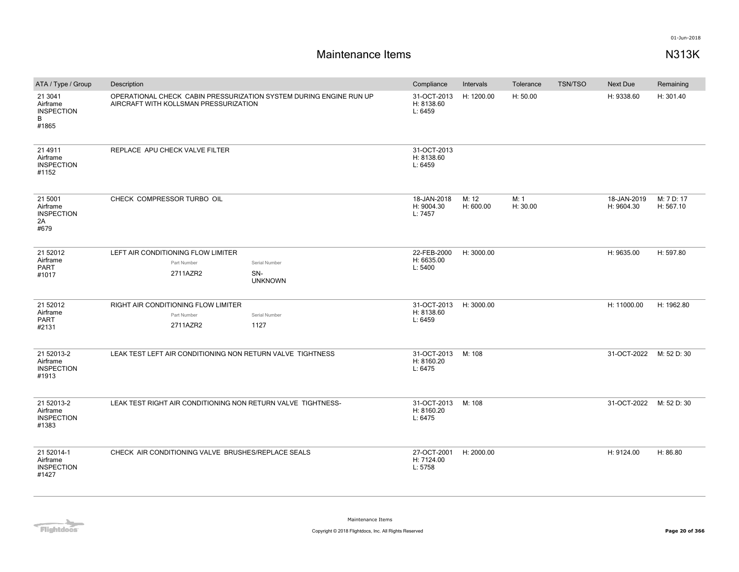| ATA / Type / Group                                     | Description                                                                                                 |                       | Compliance                           | Intervals          | Tolerance        | <b>TSN/TSO</b> | Next Due                  | Remaining               |
|--------------------------------------------------------|-------------------------------------------------------------------------------------------------------------|-----------------------|--------------------------------------|--------------------|------------------|----------------|---------------------------|-------------------------|
| 21 3041<br>Airframe<br><b>INSPECTION</b><br>B<br>#1865 | OPERATIONAL CHECK CABIN PRESSURIZATION SYSTEM DURING ENGINE RUN UP<br>AIRCRAFT WITH KOLLSMAN PRESSURIZATION |                       | 31-OCT-2013<br>H: 8138.60<br>L: 6459 | H: 1200.00         | H: 50.00         |                | H: 9338.60                | H: 301.40               |
| 21 4911<br>Airframe<br><b>INSPECTION</b><br>#1152      | REPLACE APU CHECK VALVE FILTER                                                                              |                       | 31-OCT-2013<br>H: 8138.60<br>L: 6459 |                    |                  |                |                           |                         |
| 21 5001<br>Airframe<br><b>INSPECTION</b><br>2A<br>#679 | CHECK COMPRESSOR TURBO OIL                                                                                  |                       | 18-JAN-2018<br>H: 9004.30<br>L: 7457 | M: 12<br>H: 600.00 | M: 1<br>H: 30.00 |                | 18-JAN-2019<br>H: 9604.30 | M: 7 D: 17<br>H: 567.10 |
| 21 52012                                               | LEFT AIR CONDITIONING FLOW LIMITER                                                                          |                       | 22-FEB-2000<br>H: 6635.00            | H: 3000.00         |                  |                | H: 9635.00                | H: 597.80               |
| Airframe<br><b>PART</b>                                | Part Number                                                                                                 | Serial Number         | L: 5400                              |                    |                  |                |                           |                         |
| #1017                                                  | 2711AZR2                                                                                                    | SN-<br><b>UNKNOWN</b> |                                      |                    |                  |                |                           |                         |
| 21 52012                                               | RIGHT AIR CONDITIONING FLOW LIMITER                                                                         |                       | 31-OCT-2013                          | H: 3000.00         |                  |                | H: 11000.00               | H: 1962.80              |
| Airframe<br><b>PART</b>                                | Part Number                                                                                                 | Serial Number         | H: 8138.60<br>L: 6459                |                    |                  |                |                           |                         |
| #2131                                                  | 2711AZR2                                                                                                    | 1127                  |                                      |                    |                  |                |                           |                         |
| 21 52013-2<br>Airframe<br><b>INSPECTION</b><br>#1913   | LEAK TEST LEFT AIR CONDITIONING NON RETURN VALVE TIGHTNESS                                                  |                       | 31-OCT-2013<br>H: 8160.20<br>L: 6475 | M: 108             |                  |                | 31-OCT-2022               | M: 52 D: 30             |
| 21 52013-2<br>Airframe<br><b>INSPECTION</b><br>#1383   | LEAK TEST RIGHT AIR CONDITIONING NON RETURN VALVE TIGHTNESS-                                                |                       | 31-OCT-2013<br>H: 8160.20<br>L: 6475 | M: 108             |                  |                | 31-OCT-2022 M: 52 D: 30   |                         |
| 21 52014-1<br>Airframe<br><b>INSPECTION</b><br>#1427   | CHECK AIR CONDITIONING VALVE BRUSHES/REPLACE SEALS                                                          |                       | 27-OCT-2001<br>H: 7124.00<br>L: 5758 | H: 2000.00         |                  |                | H: 9124.00                | H: 86.80                |

**Flightdocs**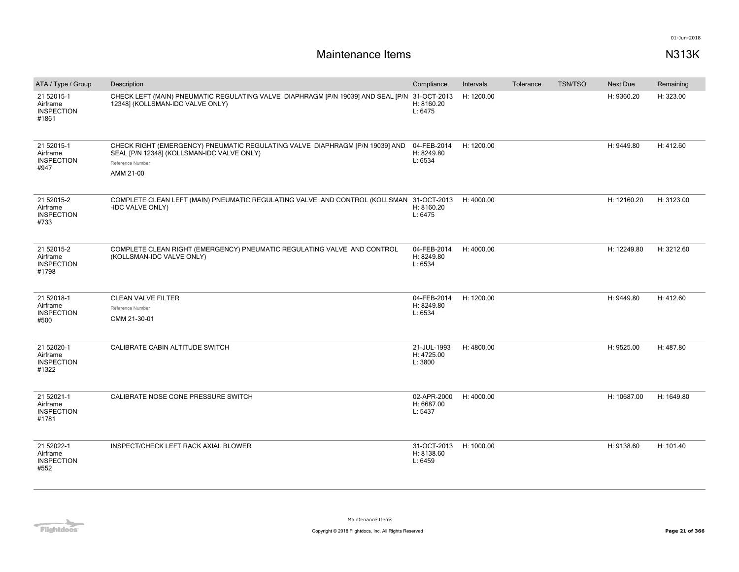| ATA / Type / Group                                   | Description                                                                                                                                                 | Compliance                           | Intervals  | Tolerance | <b>TSN/TSO</b> | Next Due    | Remaining  |
|------------------------------------------------------|-------------------------------------------------------------------------------------------------------------------------------------------------------------|--------------------------------------|------------|-----------|----------------|-------------|------------|
| 21 52015-1<br>Airframe<br><b>INSPECTION</b><br>#1861 | CHECK LEFT (MAIN) PNEUMATIC REGULATING VALVE DIAPHRAGM [P/N 19039] AND SEAL [P/N 31-OCT-2013<br>12348] (KOLLSMAN-IDC VALVE ONLY)                            | H: 8160.20<br>L: 6475                | H: 1200.00 |           |                | H: 9360.20  | H: 323.00  |
| 21 52015-1<br>Airframe<br><b>INSPECTION</b><br>#947  | CHECK RIGHT (EMERGENCY) PNEUMATIC REGULATING VALVE DIAPHRAGM [P/N 19039] AND<br>SEAL [P/N 12348] (KOLLSMAN-IDC VALVE ONLY)<br>Reference Number<br>AMM 21-00 | 04-FEB-2014<br>H: 8249.80<br>L: 6534 | H: 1200.00 |           |                | H: 9449.80  | H: 412.60  |
| 21 52015-2<br>Airframe<br><b>INSPECTION</b><br>#733  | COMPLETE CLEAN LEFT (MAIN) PNEUMATIC REGULATING VALVE AND CONTROL (KOLLSMAN 31-OCT-2013<br>-IDC VALVE ONLY)                                                 | H: 8160.20<br>L: 6475                | H: 4000.00 |           |                | H: 12160.20 | H: 3123.00 |
| 21 52015-2<br>Airframe<br><b>INSPECTION</b><br>#1798 | COMPLETE CLEAN RIGHT (EMERGENCY) PNEUMATIC REGULATING VALVE AND CONTROL<br>(KOLLSMAN-IDC VALVE ONLY)                                                        | 04-FEB-2014<br>H: 8249.80<br>L: 6534 | H: 4000.00 |           |                | H: 12249.80 | H: 3212.60 |
| 21 52018-1<br>Airframe<br><b>INSPECTION</b><br>#500  | <b>CLEAN VALVE FILTER</b><br>Reference Number<br>CMM 21-30-01                                                                                               | 04-FEB-2014<br>H: 8249.80<br>L: 6534 | H: 1200.00 |           |                | H: 9449.80  | H: 412.60  |
| 21 52020-1<br>Airframe<br><b>INSPECTION</b><br>#1322 | CALIBRATE CABIN ALTITUDE SWITCH                                                                                                                             | 21-JUL-1993<br>H: 4725.00<br>L: 3800 | H: 4800.00 |           |                | H: 9525.00  | H: 487.80  |
| 21 52021-1<br>Airframe<br><b>INSPECTION</b><br>#1781 | CALIBRATE NOSE CONE PRESSURE SWITCH                                                                                                                         | 02-APR-2000<br>H: 6687.00<br>L: 5437 | H: 4000.00 |           |                | H: 10687.00 | H: 1649.80 |
| 21 52022-1<br>Airframe<br><b>INSPECTION</b><br>#552  | INSPECT/CHECK LEFT RACK AXIAL BLOWER                                                                                                                        | 31-OCT-2013<br>H: 8138.60<br>L: 6459 | H: 1000.00 |           |                | H: 9138.60  | H: 101.40  |

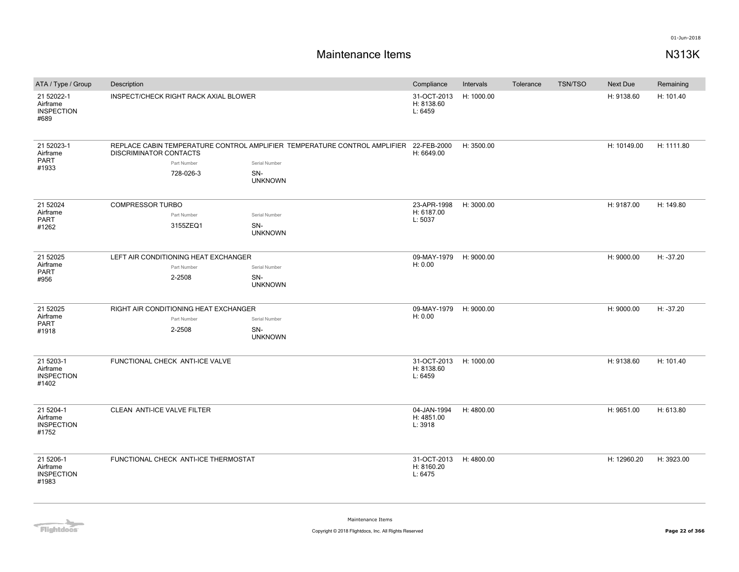| ATA / Type / Group                                  | Description                           |           |                                                                                       |                                      | Intervals  | Tolerance | <b>TSN/TSO</b> | Next Due    | Remaining   |
|-----------------------------------------------------|---------------------------------------|-----------|---------------------------------------------------------------------------------------|--------------------------------------|------------|-----------|----------------|-------------|-------------|
| 21 52022-1<br>Airframe<br><b>INSPECTION</b><br>#689 | INSPECT/CHECK RIGHT RACK AXIAL BLOWER |           |                                                                                       | 31-OCT-2013<br>H: 8138.60<br>L: 6459 | H: 1000.00 |           |                | H: 9138.60  | H: 101.40   |
| 21 52023-1<br>Airframe                              | <b>DISCRIMINATOR CONTACTS</b>         |           | REPLACE CABIN TEMPERATURE CONTROL AMPLIFIER TEMPERATURE CONTROL AMPLIFIER 22-FEB-2000 | H: 6649.00                           | H: 3500.00 |           |                | H: 10149.00 | H: 1111.80  |
| PART<br>#1933                                       | Part Number                           |           | Serial Number                                                                         |                                      |            |           |                |             |             |
|                                                     |                                       | 728-026-3 | SN-<br><b>UNKNOWN</b>                                                                 |                                      |            |           |                |             |             |
| 21 52024                                            | <b>COMPRESSOR TURBO</b>               |           |                                                                                       | 23-APR-1998                          | H: 3000.00 |           |                | H: 9187.00  | H: 149.80   |
| Airframe<br><b>PART</b>                             | Part Number                           |           | Serial Number                                                                         | H: 6187.00<br>L: 5037                |            |           |                |             |             |
| #1262                                               |                                       | 3155ZEQ1  | SN-<br><b>UNKNOWN</b>                                                                 |                                      |            |           |                |             |             |
| 21 52025                                            | LEFT AIR CONDITIONING HEAT EXCHANGER  |           |                                                                                       | 09-MAY-1979                          | H: 9000.00 |           |                | H: 9000.00  | $H: -37.20$ |
| Airframe<br>PART                                    | Part Number                           |           | Serial Number                                                                         | H: 0.00                              |            |           |                |             |             |
| #956                                                | 2-2508                                |           | SN-<br><b>UNKNOWN</b>                                                                 |                                      |            |           |                |             |             |
| 21 52025                                            | RIGHT AIR CONDITIONING HEAT EXCHANGER |           |                                                                                       | 09-MAY-1979                          | H: 9000.00 |           |                | H: 9000.00  | H: -37.20   |
| Airframe<br><b>PART</b>                             | Part Number                           |           | Serial Number                                                                         | H: 0.00                              |            |           |                |             |             |
| #1918                                               | 2-2508                                |           | SN-<br><b>UNKNOWN</b>                                                                 |                                      |            |           |                |             |             |
| 21 5203-1<br>Airframe<br><b>INSPECTION</b><br>#1402 | FUNCTIONAL CHECK ANTI-ICE VALVE       |           |                                                                                       | 31-OCT-2013<br>H: 8138.60<br>L: 6459 | H: 1000.00 |           |                | H: 9138.60  | H: 101.40   |
| 21 5204-1<br>Airframe<br><b>INSPECTION</b><br>#1752 | CLEAN ANTI-ICE VALVE FILTER           |           |                                                                                       | 04-JAN-1994<br>H: 4851.00<br>L: 3918 | H: 4800.00 |           |                | H: 9651.00  | H: 613.80   |
| 21 5206-1<br>Airframe<br><b>INSPECTION</b><br>#1983 | FUNCTIONAL CHECK ANTI-ICE THERMOSTAT  |           |                                                                                       | 31-OCT-2013<br>H: 8160.20<br>L: 6475 | H: 4800.00 |           |                | H: 12960.20 | H: 3923.00  |

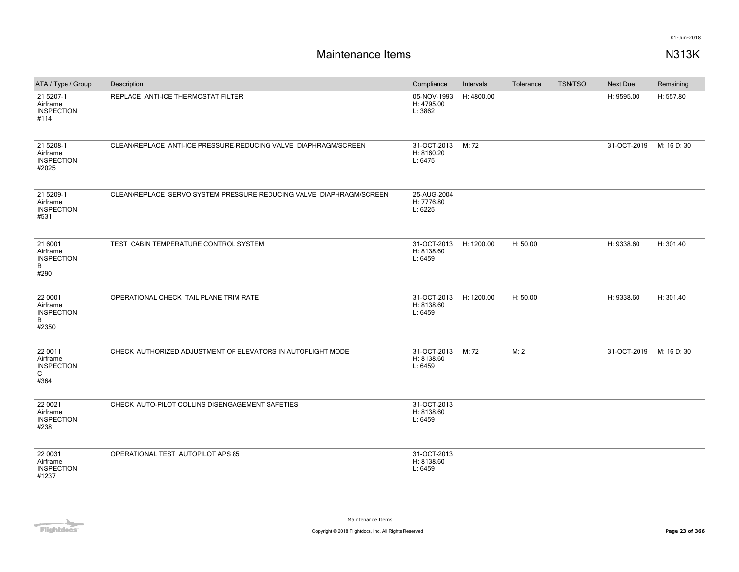| ATA / Type / Group                                               | Description                                                         | Compliance                                 | Intervals  | Tolerance | <b>TSN/TSO</b> | <b>Next Due</b>         | Remaining |
|------------------------------------------------------------------|---------------------------------------------------------------------|--------------------------------------------|------------|-----------|----------------|-------------------------|-----------|
| 21 5207-1<br>Airframe<br><b>INSPECTION</b><br>#114               | REPLACE ANTI-ICE THERMOSTAT FILTER                                  | 05-NOV-1993<br>H: 4795.00<br>L: 3862       | H: 4800.00 |           |                | H: 9595.00              | H: 557.80 |
| 21 5208-1<br>Airframe<br><b>INSPECTION</b><br>#2025              | CLEAN/REPLACE ANTI-ICE PRESSURE-REDUCING VALVE DIAPHRAGM/SCREEN     | 31-OCT-2013 M: 72<br>H: 8160.20<br>L: 6475 |            |           |                | 31-OCT-2019 M: 16 D: 30 |           |
| 21 5209-1<br>Airframe<br><b>INSPECTION</b><br>#531               | CLEAN/REPLACE SERVO SYSTEM PRESSURE REDUCING VALVE DIAPHRAGM/SCREEN | 25-AUG-2004<br>H: 7776.80<br>L: 6225       |            |           |                |                         |           |
| 21 6001<br>Airframe<br><b>INSPECTION</b><br>B<br>#290            | TEST CABIN TEMPERATURE CONTROL SYSTEM                               | 31-OCT-2013<br>H: 8138.60<br>L: 6459       | H: 1200.00 | H: 50.00  |                | H: 9338.60              | H: 301.40 |
| 22 0001<br>Airframe<br><b>INSPECTION</b><br>B<br>#2350           | OPERATIONAL CHECK TAIL PLANE TRIM RATE                              | 31-OCT-2013<br>H: 8138.60<br>L: 6459       | H: 1200.00 | H: 50.00  |                | H: 9338.60              | H: 301.40 |
| 22 0011<br>Airframe<br><b>INSPECTION</b><br>$\mathsf{C}$<br>#364 | CHECK AUTHORIZED ADJUSTMENT OF ELEVATORS IN AUTOFLIGHT MODE         | 31-OCT-2013 M: 72<br>H: 8138.60<br>L: 6459 |            | M: 2      |                | 31-OCT-2019 M: 16 D: 30 |           |
| 22 0021<br>Airframe<br><b>INSPECTION</b><br>#238                 | CHECK AUTO-PILOT COLLINS DISENGAGEMENT SAFETIES                     | 31-OCT-2013<br>H: 8138.60<br>L: 6459       |            |           |                |                         |           |
| 22 0031<br>Airframe<br><b>INSPECTION</b><br>#1237                | OPERATIONAL TEST AUTOPILOT APS 85                                   | 31-OCT-2013<br>H: 8138.60<br>L: 6459       |            |           |                |                         |           |

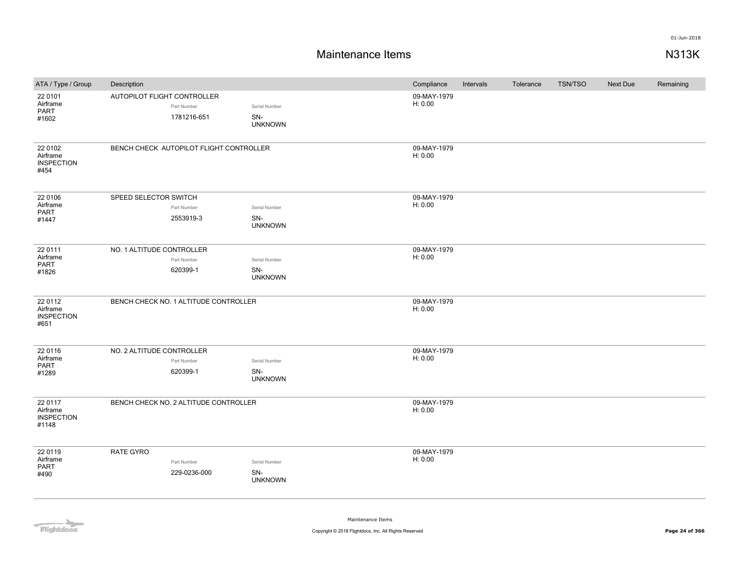## **Maintenance Items N313K**

| ATA / Type / Group                                | Description                                               |                                        | Compliance             | Intervals | Tolerance | TSN/TSO | Next Due | Remaining |
|---------------------------------------------------|-----------------------------------------------------------|----------------------------------------|------------------------|-----------|-----------|---------|----------|-----------|
| 22 0101<br>Airframe<br>PART<br>#1602              | AUTOPILOT FLIGHT CONTROLLER<br>Part Number<br>1781216-651 | Serial Number<br>SN-<br><b>UNKNOWN</b> | 09-MAY-1979<br>H: 0.00 |           |           |         |          |           |
| 22 0102<br>Airframe<br><b>INSPECTION</b><br>#454  | BENCH CHECK AUTOPILOT FLIGHT CONTROLLER                   |                                        | 09-MAY-1979<br>H: 0.00 |           |           |         |          |           |
| 22 0106<br>Airframe<br>PART<br>#1447              | SPEED SELECTOR SWITCH<br>Part Number<br>2553919-3         | Serial Number<br>SN-<br><b>UNKNOWN</b> | 09-MAY-1979<br>H: 0.00 |           |           |         |          |           |
| 22 0111<br>Airframe<br>PART<br>#1826              | NO. 1 ALTITUDE CONTROLLER<br>Part Number<br>620399-1      | Serial Number<br>SN-<br><b>UNKNOWN</b> | 09-MAY-1979<br>H: 0.00 |           |           |         |          |           |
| 22 0112<br>Airframe<br><b>INSPECTION</b><br>#651  | BENCH CHECK NO. 1 ALTITUDE CONTROLLER                     |                                        | 09-MAY-1979<br>H: 0.00 |           |           |         |          |           |
| 22 0116<br>Airframe<br>PART<br>#1289              | NO. 2 ALTITUDE CONTROLLER<br>Part Number<br>620399-1      | Serial Number<br>SN-<br><b>UNKNOWN</b> | 09-MAY-1979<br>H: 0.00 |           |           |         |          |           |
| 22 0117<br>Airframe<br><b>INSPECTION</b><br>#1148 | BENCH CHECK NO. 2 ALTITUDE CONTROLLER                     |                                        | 09-MAY-1979<br>H: 0.00 |           |           |         |          |           |
| 22 0119<br>Airframe<br>PART<br>#490               | RATE GYRO<br>Part Number<br>229-0236-000                  | Serial Number<br>SN-<br><b>UNKNOWN</b> | 09-MAY-1979<br>H: 0.00 |           |           |         |          |           |

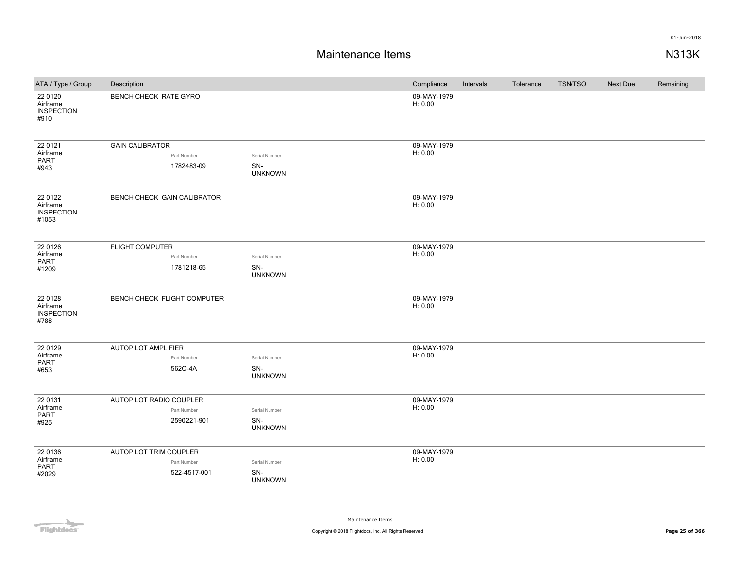## **Maintenance Items N313K**

| ATA / Type / Group                                | Description                                           |                                        | Compliance             | Intervals | Tolerance | <b>TSN/TSO</b> | Next Due | Remaining |
|---------------------------------------------------|-------------------------------------------------------|----------------------------------------|------------------------|-----------|-----------|----------------|----------|-----------|
| 22 01 20<br>Airframe<br><b>INSPECTION</b><br>#910 | BENCH CHECK RATE GYRO                                 |                                        | 09-MAY-1979<br>H: 0.00 |           |           |                |          |           |
| 22 0121<br>Airframe<br>PART<br>#943               | <b>GAIN CALIBRATOR</b><br>Part Number<br>1782483-09   | Serial Number<br>SN-<br><b>UNKNOWN</b> | 09-MAY-1979<br>H: 0.00 |           |           |                |          |           |
| 22 0122<br>Airframe<br><b>INSPECTION</b><br>#1053 | BENCH CHECK GAIN CALIBRATOR                           |                                        | 09-MAY-1979<br>H: 0.00 |           |           |                |          |           |
| 22 0126<br>Airframe<br>PART<br>#1209              | <b>FLIGHT COMPUTER</b><br>Part Number<br>1781218-65   | Serial Number<br>SN-<br><b>UNKNOWN</b> | 09-MAY-1979<br>H: 0.00 |           |           |                |          |           |
| 22 0128<br>Airframe<br><b>INSPECTION</b><br>#788  | BENCH CHECK FLIGHT COMPUTER                           |                                        | 09-MAY-1979<br>H: 0.00 |           |           |                |          |           |
| 22 0129<br>Airframe<br>PART<br>#653               | <b>AUTOPILOT AMPLIFIER</b><br>Part Number<br>562C-4A  | Serial Number<br>SN-<br><b>UNKNOWN</b> | 09-MAY-1979<br>H: 0.00 |           |           |                |          |           |
| 22 0131<br>Airframe<br>PART<br>#925               | AUTOPILOT RADIO COUPLER<br>Part Number<br>2590221-901 | Serial Number<br>SN-<br><b>UNKNOWN</b> | 09-MAY-1979<br>H: 0.00 |           |           |                |          |           |
| 22 0136<br>Airframe<br>PART<br>#2029              | AUTOPILOT TRIM COUPLER<br>Part Number<br>522-4517-001 | Serial Number<br>SN-<br><b>UNKNOWN</b> | 09-MAY-1979<br>H: 0.00 |           |           |                |          |           |

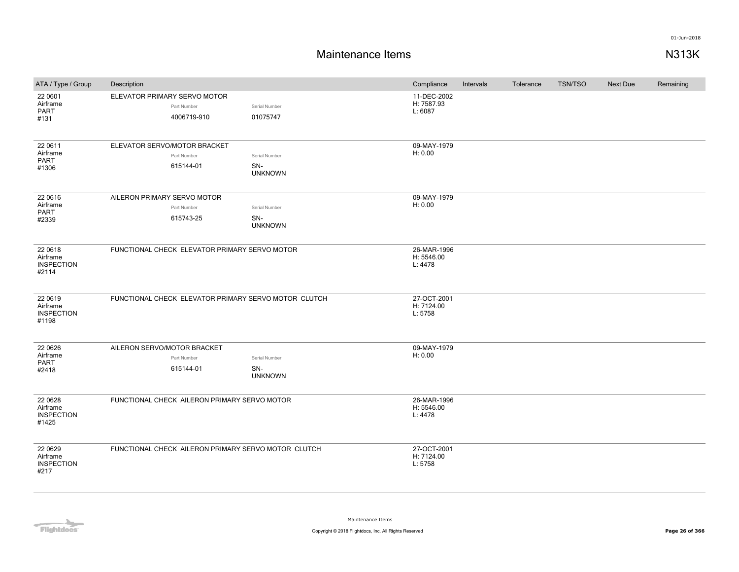| ATA / Type / Group                                 | Description                                                |                                        | Compliance                           | Intervals | Tolerance | <b>TSN/TSO</b> | Next Due | Remaining |
|----------------------------------------------------|------------------------------------------------------------|----------------------------------------|--------------------------------------|-----------|-----------|----------------|----------|-----------|
| 22 0601<br>Airframe<br><b>PART</b><br>#131         | ELEVATOR PRIMARY SERVO MOTOR<br>Part Number<br>4006719-910 | Serial Number<br>01075747              | 11-DEC-2002<br>H: 7587.93<br>L: 6087 |           |           |                |          |           |
| 22 0611<br>Airframe<br><b>PART</b><br>#1306        | ELEVATOR SERVO/MOTOR BRACKET<br>Part Number<br>615144-01   | Serial Number<br>SN-<br><b>UNKNOWN</b> | 09-MAY-1979<br>H: 0.00               |           |           |                |          |           |
| 22 0616<br>Airframe<br><b>PART</b><br>#2339        | AILERON PRIMARY SERVO MOTOR<br>Part Number<br>615743-25    | Serial Number<br>SN-<br><b>UNKNOWN</b> | 09-MAY-1979<br>H: 0.00               |           |           |                |          |           |
| 22 0618<br>Airframe<br><b>INSPECTION</b><br>#2114  | FUNCTIONAL CHECK ELEVATOR PRIMARY SERVO MOTOR              |                                        | 26-MAR-1996<br>H: 5546.00<br>L: 4478 |           |           |                |          |           |
| 22 0619<br>Airframe<br><b>INSPECTION</b><br>#1198  | FUNCTIONAL CHECK ELEVATOR PRIMARY SERVO MOTOR CLUTCH       |                                        | 27-OCT-2001<br>H: 7124.00<br>L: 5758 |           |           |                |          |           |
| 22 06 26<br>Airframe<br><b>PART</b><br>#2418       | AILERON SERVO/MOTOR BRACKET<br>Part Number<br>615144-01    | Serial Number<br>SN-<br><b>UNKNOWN</b> | 09-MAY-1979<br>H: 0.00               |           |           |                |          |           |
| 22 06 28<br>Airframe<br><b>INSPECTION</b><br>#1425 | FUNCTIONAL CHECK AILERON PRIMARY SERVO MOTOR               |                                        | 26-MAR-1996<br>H: 5546.00<br>L: 4478 |           |           |                |          |           |
| 22 06 29<br>Airframe<br><b>INSPECTION</b><br>#217  | FUNCTIONAL CHECK AILERON PRIMARY SERVO MOTOR CLUTCH        |                                        | 27-OCT-2001<br>H: 7124.00<br>L: 5758 |           |           |                |          |           |

Flightdocs<sup>-</sup>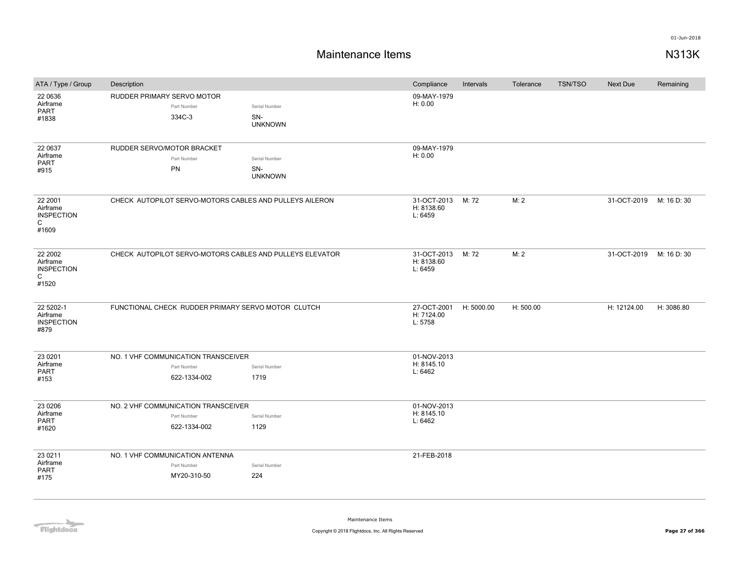## **Maintenance Items N313K**

| ATA / Type / Group                                     | Description                                                        |                                        | Compliance                           | Intervals  | Tolerance | <b>TSN/TSO</b> | <b>Next Due</b>         | Remaining   |
|--------------------------------------------------------|--------------------------------------------------------------------|----------------------------------------|--------------------------------------|------------|-----------|----------------|-------------------------|-------------|
| 22 0636<br>Airframe<br>PART<br>#1838                   | RUDDER PRIMARY SERVO MOTOR<br>Part Number<br>334C-3                | Serial Number<br>SN-<br><b>UNKNOWN</b> | 09-MAY-1979<br>H: 0.00               |            |           |                |                         |             |
| 22 0637<br>Airframe<br><b>PART</b><br>#915             | RUDDER SERVO/MOTOR BRACKET<br>Part Number<br><b>PN</b>             | Serial Number<br>SN-<br><b>UNKNOWN</b> | 09-MAY-1979<br>H: 0.00               |            |           |                |                         |             |
| 22 2001<br>Airframe<br><b>INSPECTION</b><br>C<br>#1609 | CHECK AUTOPILOT SERVO-MOTORS CABLES AND PULLEYS AILERON            |                                        | 31-OCT-2013<br>H: 8138.60<br>L: 6459 | M: 72      | M: 2      |                | 31-OCT-2019 M: 16 D: 30 |             |
| 22 2002<br>Airframe<br><b>INSPECTION</b><br>C<br>#1520 | CHECK AUTOPILOT SERVO-MOTORS CABLES AND PULLEYS ELEVATOR           |                                        | 31-OCT-2013<br>H: 8138.60<br>L: 6459 | M: 72      | M: 2      |                | 31-OCT-2019             | M: 16 D: 30 |
| 22 5202-1<br>Airframe<br><b>INSPECTION</b><br>#879     | FUNCTIONAL CHECK RUDDER PRIMARY SERVO MOTOR CLUTCH                 |                                        | 27-OCT-2001<br>H: 7124.00<br>L: 5758 | H: 5000.00 | H: 500.00 |                | H: 12124.00             | H: 3086.80  |
| 23 0 201<br>Airframe<br><b>PART</b><br>#153            | NO. 1 VHF COMMUNICATION TRANSCEIVER<br>Part Number<br>622-1334-002 | Serial Number<br>1719                  | 01-NOV-2013<br>H: 8145.10<br>L: 6462 |            |           |                |                         |             |
| 23 0 206<br>Airframe<br><b>PART</b><br>#1620           | NO. 2 VHF COMMUNICATION TRANSCEIVER<br>Part Number<br>622-1334-002 | Serial Number<br>1129                  | 01-NOV-2013<br>H: 8145.10<br>L: 6462 |            |           |                |                         |             |
| 23 0 211<br>Airframe<br><b>PART</b><br>#175            | NO. 1 VHF COMMUNICATION ANTENNA<br>Part Number<br>MY20-310-50      | Serial Number<br>224                   | 21-FEB-2018                          |            |           |                |                         |             |

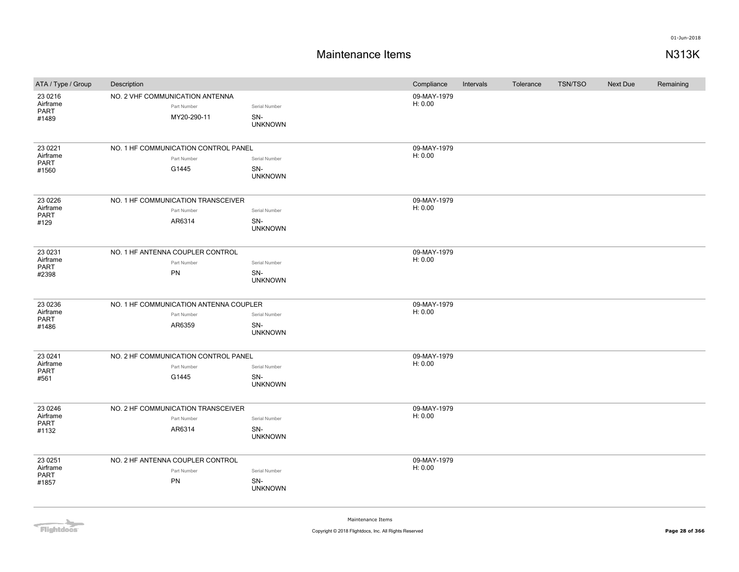## **Maintenance Items N313K**

| ATA / Type / Group                     | Description                                                     |                                        | Compliance             | Intervals | Tolerance | <b>TSN/TSO</b> | Next Due | Remaining |
|----------------------------------------|-----------------------------------------------------------------|----------------------------------------|------------------------|-----------|-----------|----------------|----------|-----------|
| 23 0 216<br>Airframe<br>PART<br>#1489  | NO. 2 VHF COMMUNICATION ANTENNA<br>Part Number<br>MY20-290-11   | Serial Number<br>SN-<br><b>UNKNOWN</b> | 09-MAY-1979<br>H: 0.00 |           |           |                |          |           |
| 23 0 22 1<br>Airframe<br>PART<br>#1560 | NO. 1 HF COMMUNICATION CONTROL PANEL<br>Part Number<br>G1445    | Serial Number<br>SN-<br><b>UNKNOWN</b> | 09-MAY-1979<br>H: 0.00 |           |           |                |          |           |
| 23 0 226<br>Airframe<br>PART<br>#129   | NO. 1 HF COMMUNICATION TRANSCEIVER<br>Part Number<br>AR6314     | Serial Number<br>SN-<br><b>UNKNOWN</b> | 09-MAY-1979<br>H: 0.00 |           |           |                |          |           |
| 23 0 23 1<br>Airframe<br>PART<br>#2398 | NO. 1 HF ANTENNA COUPLER CONTROL<br>Part Number<br>PN           | Serial Number<br>SN-<br><b>UNKNOWN</b> | 09-MAY-1979<br>H: 0.00 |           |           |                |          |           |
| 23 0 236<br>Airframe<br>PART<br>#1486  | NO. 1 HF COMMUNICATION ANTENNA COUPLER<br>Part Number<br>AR6359 | Serial Number<br>SN-<br><b>UNKNOWN</b> | 09-MAY-1979<br>H: 0.00 |           |           |                |          |           |
| 23 0 241<br>Airframe<br>PART<br>#561   | NO. 2 HF COMMUNICATION CONTROL PANEL<br>Part Number<br>G1445    | Serial Number<br>SN-<br><b>UNKNOWN</b> | 09-MAY-1979<br>H: 0.00 |           |           |                |          |           |
| 23 0 246<br>Airframe<br>PART<br>#1132  | NO. 2 HF COMMUNICATION TRANSCEIVER<br>Part Number<br>AR6314     | Serial Number<br>SN-<br><b>UNKNOWN</b> | 09-MAY-1979<br>H: 0.00 |           |           |                |          |           |
| 23 0 251<br>Airframe<br>PART<br>#1857  | NO. 2 HF ANTENNA COUPLER CONTROL<br>Part Number<br>PN           | Serial Number<br>SN-<br><b>UNKNOWN</b> | 09-MAY-1979<br>H: 0.00 |           |           |                |          |           |

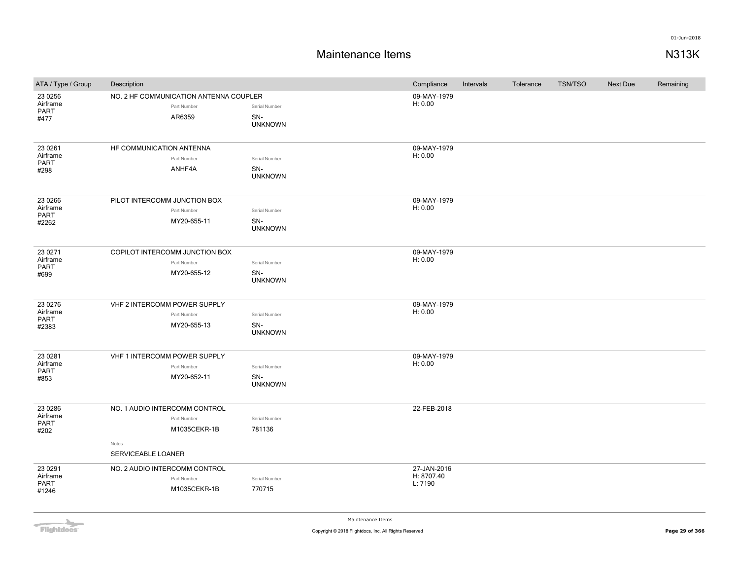## **Maintenance Items N313K**

| ATA / Type / Group                          | Description                                                                                 |                                        | Compliance                           | Intervals | Tolerance | <b>TSN/TSO</b> | Next Due | Remaining |
|---------------------------------------------|---------------------------------------------------------------------------------------------|----------------------------------------|--------------------------------------|-----------|-----------|----------------|----------|-----------|
| 23 0 256<br>Airframe<br>PART<br>#477        | NO. 2 HF COMMUNICATION ANTENNA COUPLER<br>Part Number<br>AR6359                             | Serial Number<br>SN-<br><b>UNKNOWN</b> | 09-MAY-1979<br>H: 0.00               |           |           |                |          |           |
| 23 0 261<br>Airframe<br>PART<br>#298        | HF COMMUNICATION ANTENNA<br>Part Number<br>ANHF4A                                           | Serial Number<br>SN-<br><b>UNKNOWN</b> | 09-MAY-1979<br>H: 0.00               |           |           |                |          |           |
| 23 0 266<br>Airframe<br>PART<br>#2262       | PILOT INTERCOMM JUNCTION BOX<br>Part Number<br>MY20-655-11                                  | Serial Number<br>SN-<br><b>UNKNOWN</b> | 09-MAY-1979<br>H: 0.00               |           |           |                |          |           |
| 23 0 271<br>Airframe<br><b>PART</b><br>#699 | COPILOT INTERCOMM JUNCTION BOX<br>Part Number<br>MY20-655-12                                | Serial Number<br>SN-<br><b>UNKNOWN</b> | 09-MAY-1979<br>H: 0.00               |           |           |                |          |           |
| 23 0276<br>Airframe<br>PART<br>#2383        | VHF 2 INTERCOMM POWER SUPPLY<br>Part Number<br>MY20-655-13                                  | Serial Number<br>SN-<br><b>UNKNOWN</b> | 09-MAY-1979<br>H: 0.00               |           |           |                |          |           |
| 23 0 28 1<br>Airframe<br>PART<br>#853       | VHF 1 INTERCOMM POWER SUPPLY<br>Part Number<br>MY20-652-11                                  | Serial Number<br>SN-<br><b>UNKNOWN</b> | 09-MAY-1979<br>H: 0.00               |           |           |                |          |           |
| 23 0 286<br>Airframe<br>PART<br>#202        | NO. 1 AUDIO INTERCOMM CONTROL<br>Part Number<br>M1035CEKR-1B<br>Notes<br>SERVICEABLE LOANER | Serial Number<br>781136                | 22-FEB-2018                          |           |           |                |          |           |
| 23 0 291<br>Airframe<br>PART<br>#1246       | NO. 2 AUDIO INTERCOMM CONTROL<br>Part Number<br>M1035CEKR-1B                                | Serial Number<br>770715                | 27-JAN-2016<br>H: 8707.40<br>L: 7190 |           |           |                |          |           |

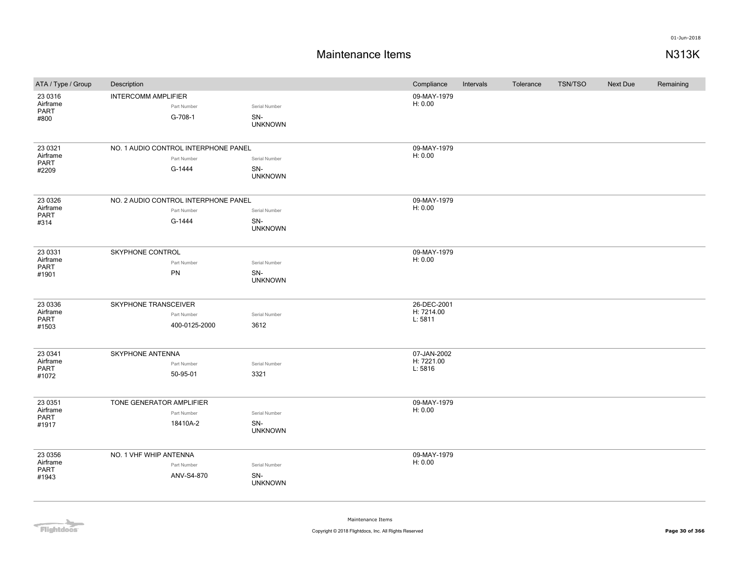## **Maintenance Items N313K**

| ATA / Type / Group | Description                          |                | Compliance            | Intervals | Tolerance | <b>TSN/TSO</b> | Next Due | Remaining |
|--------------------|--------------------------------------|----------------|-----------------------|-----------|-----------|----------------|----------|-----------|
| 23 0316            | <b>INTERCOMM AMPLIFIER</b>           |                | 09-MAY-1979           |           |           |                |          |           |
| Airframe<br>PART   | Part Number                          | Serial Number  | H: 0.00               |           |           |                |          |           |
| #800               | G-708-1                              | SN-            |                       |           |           |                |          |           |
|                    |                                      | <b>UNKNOWN</b> |                       |           |           |                |          |           |
| 23 0321            | NO. 1 AUDIO CONTROL INTERPHONE PANEL |                | 09-MAY-1979           |           |           |                |          |           |
| Airframe           | Part Number                          | Serial Number  | H: 0.00               |           |           |                |          |           |
| PART<br>#2209      | G-1444                               | SN-            |                       |           |           |                |          |           |
|                    |                                      | <b>UNKNOWN</b> |                       |           |           |                |          |           |
| 23 0326            | NO. 2 AUDIO CONTROL INTERPHONE PANEL |                | 09-MAY-1979           |           |           |                |          |           |
| Airframe           | Part Number                          | Serial Number  | H: 0.00               |           |           |                |          |           |
| PART<br>#314       | G-1444                               | SN-            |                       |           |           |                |          |           |
|                    |                                      | <b>UNKNOWN</b> |                       |           |           |                |          |           |
| 23 0331            | SKYPHONE CONTROL                     |                | 09-MAY-1979           |           |           |                |          |           |
| Airframe<br>PART   | Part Number                          | Serial Number  | H: 0.00               |           |           |                |          |           |
| #1901              | PN                                   | SN-            |                       |           |           |                |          |           |
|                    |                                      | <b>UNKNOWN</b> |                       |           |           |                |          |           |
| 23 0336            | SKYPHONE TRANSCEIVER                 |                | 26-DEC-2001           |           |           |                |          |           |
| Airframe           | Part Number                          | Serial Number  | H: 7214.00            |           |           |                |          |           |
| PART<br>#1503      | 400-0125-2000                        | 3612           | L: 5811               |           |           |                |          |           |
|                    |                                      |                |                       |           |           |                |          |           |
| 23 0341            | SKYPHONE ANTENNA                     |                | 07-JAN-2002           |           |           |                |          |           |
| Airframe<br>PART   | Part Number                          | Serial Number  | H: 7221.00<br>L: 5816 |           |           |                |          |           |
| #1072              | 50-95-01                             | 3321           |                       |           |           |                |          |           |
| 23 0351            | TONE GENERATOR AMPLIFIER             |                | 09-MAY-1979           |           |           |                |          |           |
| Airframe           | Part Number                          | Serial Number  | H: 0.00               |           |           |                |          |           |
| PART               | 18410A-2                             | SN-            |                       |           |           |                |          |           |
| #1917              |                                      | <b>UNKNOWN</b> |                       |           |           |                |          |           |
| 23 0356            | NO. 1 VHF WHIP ANTENNA               |                | 09-MAY-1979           |           |           |                |          |           |
| Airframe           | Part Number                          | Serial Number  | H: 0.00               |           |           |                |          |           |
| PART<br>#1943      | ANV-S4-870                           | SN-            |                       |           |           |                |          |           |
|                    |                                      | <b>UNKNOWN</b> |                       |           |           |                |          |           |
|                    |                                      |                |                       |           |           |                |          |           |

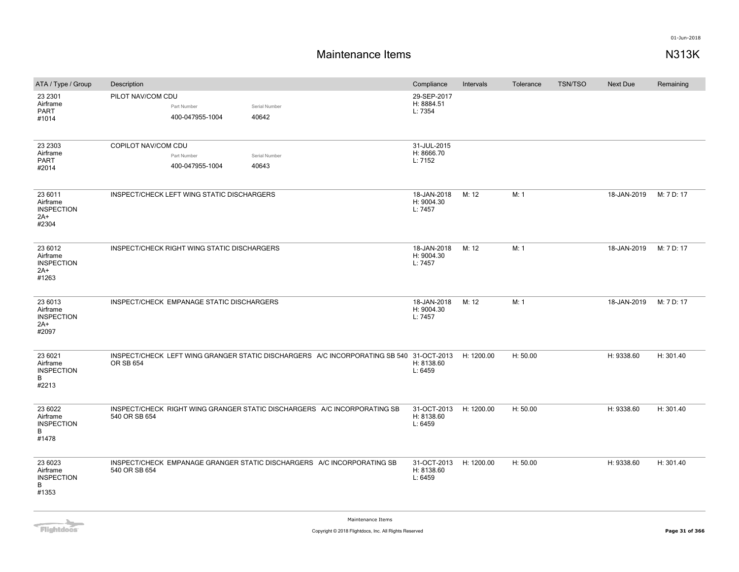| ATA / Type / Group                                         | Description                                 |                                |                        |                                                                                                    | Compliance                           | Intervals  | Tolerance | <b>TSN/TSO</b> | <b>Next Due</b> | Remaining  |
|------------------------------------------------------------|---------------------------------------------|--------------------------------|------------------------|----------------------------------------------------------------------------------------------------|--------------------------------------|------------|-----------|----------------|-----------------|------------|
| 23 2301<br>Airframe<br>PART<br>#1014                       | PILOT NAV/COM CDU                           | Part Number<br>400-047955-1004 | Serial Number<br>40642 |                                                                                                    | 29-SEP-2017<br>H: 8884.51<br>L: 7354 |            |           |                |                 |            |
| 23 23 03<br>Airframe<br>PART<br>#2014                      | COPILOT NAV/COM CDU                         | Part Number<br>400-047955-1004 | Serial Number<br>40643 |                                                                                                    | 31-JUL-2015<br>H: 8666.70<br>L: 7152 |            |           |                |                 |            |
| 23 6011<br>Airframe<br><b>INSPECTION</b><br>$2A+$<br>#2304 | INSPECT/CHECK LEFT WING STATIC DISCHARGERS  |                                |                        |                                                                                                    | 18-JAN-2018<br>H: 9004.30<br>L: 7457 | M: 12      | M: 1      |                | 18-JAN-2019     | M: 7 D: 17 |
| 23 6012<br>Airframe<br><b>INSPECTION</b><br>$2A+$<br>#1263 | INSPECT/CHECK RIGHT WING STATIC DISCHARGERS |                                |                        |                                                                                                    | 18-JAN-2018<br>H: 9004.30<br>L: 7457 | M: 12      | M: 1      |                | 18-JAN-2019     | M: 7 D: 17 |
| 23 6013<br>Airframe<br><b>INSPECTION</b><br>$2A+$<br>#2097 | INSPECT/CHECK EMPANAGE STATIC DISCHARGERS   |                                |                        |                                                                                                    | 18-JAN-2018<br>H: 9004.30<br>L: 7457 | M: 12      | M: 1      |                | 18-JAN-2019     | M: 7 D: 17 |
| 23 6021<br>Airframe<br><b>INSPECTION</b><br>B<br>#2213     | <b>OR SB 654</b>                            |                                |                        | INSPECT/CHECK LEFT WING GRANGER STATIC DISCHARGERS A/C INCORPORATING SB 540 31-OCT-2013 H: 1200.00 | H: 8138.60<br>L: 6459                |            | H: 50.00  |                | H: 9338.60      | H: 301.40  |
| 23 6022<br>Airframe<br><b>INSPECTION</b><br>B<br>#1478     | 540 OR SB 654                               |                                |                        | INSPECT/CHECK RIGHT WING GRANGER STATIC DISCHARGERS A/C INCORPORATING SB                           | 31-OCT-2013<br>H: 8138.60<br>L: 6459 | H: 1200.00 | H: 50.00  |                | H: 9338.60      | H: 301.40  |
| 23 6023<br>Airframe<br><b>INSPECTION</b><br>В<br>#1353     | 540 OR SB 654                               |                                |                        | INSPECT/CHECK EMPANAGE GRANGER STATIC DISCHARGERS A/C INCORPORATING SB                             | 31-OCT-2013<br>H: 8138.60<br>L: 6459 | H: 1200.00 | H: 50.00  |                | H: 9338.60      | H: 301.40  |

**Flightdocs**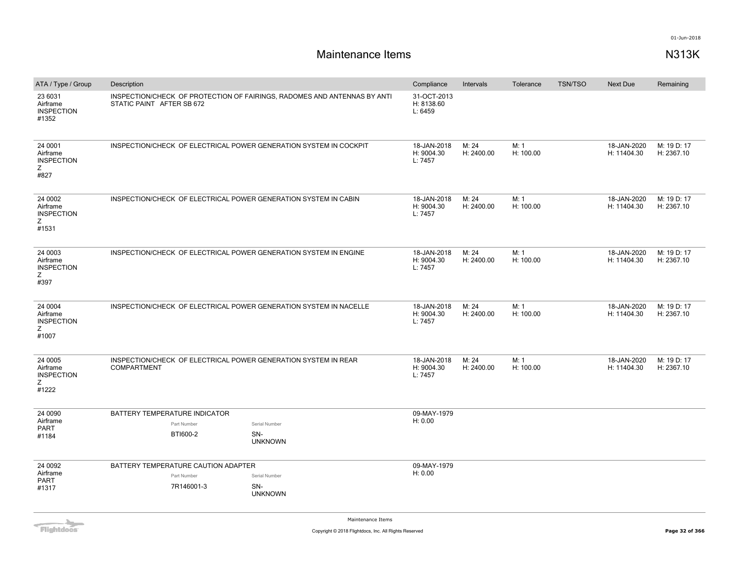| ATA / Type / Group                                     | Description               |                                                                  |                                                                          | Compliance                           | Intervals           | Tolerance         | <b>TSN/TSO</b> | <b>Next Due</b>            | Remaining                 |
|--------------------------------------------------------|---------------------------|------------------------------------------------------------------|--------------------------------------------------------------------------|--------------------------------------|---------------------|-------------------|----------------|----------------------------|---------------------------|
| 23 6031<br>Airframe<br><b>INSPECTION</b><br>#1352      | STATIC PAINT AFTER SB 672 |                                                                  | INSPECTION/CHECK OF PROTECTION OF FAIRINGS, RADOMES AND ANTENNAS BY ANTI | 31-OCT-2013<br>H: 8138.60<br>L: 6459 |                     |                   |                |                            |                           |
| 24 0001<br>Airframe<br><b>INSPECTION</b><br>Ζ<br>#827  |                           |                                                                  | INSPECTION/CHECK OF ELECTRICAL POWER GENERATION SYSTEM IN COCKPIT        | 18-JAN-2018<br>H: 9004.30<br>L: 7457 | M: 24<br>H: 2400.00 | M: 1<br>H: 100.00 |                | 18-JAN-2020<br>H: 11404.30 | M: 19 D: 17<br>H: 2367.10 |
| 24 0002<br>Airframe<br><b>INSPECTION</b><br>Ζ<br>#1531 |                           |                                                                  | INSPECTION/CHECK OF ELECTRICAL POWER GENERATION SYSTEM IN CABIN          | 18-JAN-2018<br>H: 9004.30<br>L: 7457 | M: 24<br>H: 2400.00 | M: 1<br>H: 100.00 |                | 18-JAN-2020<br>H: 11404.30 | M: 19 D: 17<br>H: 2367.10 |
| 24 0003<br>Airframe<br><b>INSPECTION</b><br>Ζ<br>#397  |                           |                                                                  | INSPECTION/CHECK OF ELECTRICAL POWER GENERATION SYSTEM IN ENGINE         | 18-JAN-2018<br>H: 9004.30<br>L: 7457 | M: 24<br>H: 2400.00 | M: 1<br>H: 100.00 |                | 18-JAN-2020<br>H: 11404.30 | M: 19 D: 17<br>H: 2367.10 |
| 24 0004<br>Airframe<br><b>INSPECTION</b><br>Ζ<br>#1007 |                           |                                                                  | INSPECTION/CHECK OF ELECTRICAL POWER GENERATION SYSTEM IN NACELLE        | 18-JAN-2018<br>H: 9004.30<br>L: 7457 | M: 24<br>H: 2400.00 | M: 1<br>H: 100.00 |                | 18-JAN-2020<br>H: 11404.30 | M: 19 D: 17<br>H: 2367.10 |
| 24 0005<br>Airframe<br><b>INSPECTION</b><br>Z<br>#1222 | <b>COMPARTMENT</b>        |                                                                  | INSPECTION/CHECK OF ELECTRICAL POWER GENERATION SYSTEM IN REAR           | 18-JAN-2018<br>H: 9004.30<br>L: 7457 | M: 24<br>H: 2400.00 | M: 1<br>H: 100.00 |                | 18-JAN-2020<br>H: 11404.30 | M: 19 D: 17<br>H: 2367.10 |
| 24 0090<br>Airframe<br><b>PART</b><br>#1184            |                           | BATTERY TEMPERATURE INDICATOR<br>Part Number<br>BTI600-2         | Serial Number<br>SN-<br><b>UNKNOWN</b>                                   | 09-MAY-1979<br>H: 0.00               |                     |                   |                |                            |                           |
| 24 0092<br>Airframe<br>PART<br>#1317                   |                           | BATTERY TEMPERATURE CAUTION ADAPTER<br>Part Number<br>7R146001-3 | Serial Number<br>SN-<br><b>UNKNOWN</b>                                   | 09-MAY-1979<br>H: 0.00               |                     |                   |                |                            |                           |

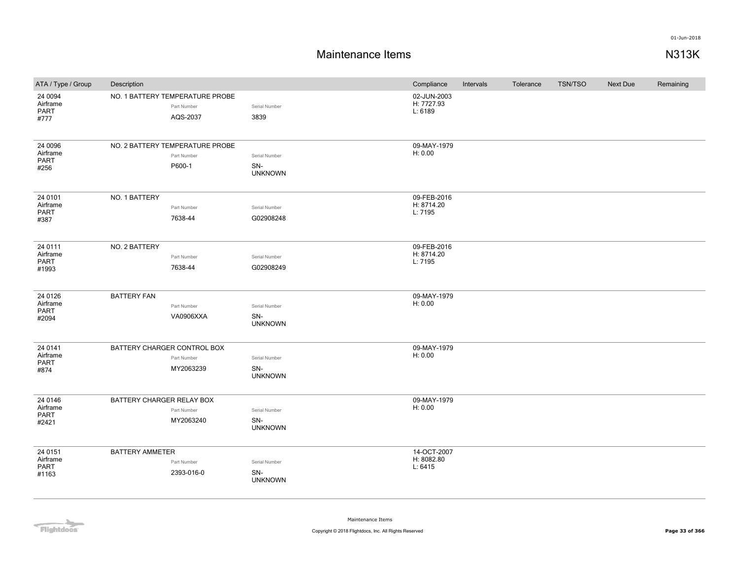## **Maintenance Items N313K**

| ATA / Type / Group                          | Description                                                |                                        | Compliance                           | Intervals | Tolerance | <b>TSN/TSO</b> | <b>Next Due</b> | Remaining |
|---------------------------------------------|------------------------------------------------------------|----------------------------------------|--------------------------------------|-----------|-----------|----------------|-----------------|-----------|
| 24 0094<br>Airframe<br>PART<br>#777         | NO. 1 BATTERY TEMPERATURE PROBE<br>Part Number<br>AQS-2037 | Serial Number<br>3839                  | 02-JUN-2003<br>H: 7727.93<br>L: 6189 |           |           |                |                 |           |
| 24 0096<br>Airframe<br><b>PART</b><br>#256  | NO. 2 BATTERY TEMPERATURE PROBE<br>Part Number<br>P600-1   | Serial Number<br>SN-<br><b>UNKNOWN</b> | 09-MAY-1979<br>H: 0.00               |           |           |                |                 |           |
| 24 0101<br>Airframe<br><b>PART</b><br>#387  | NO. 1 BATTERY<br>Part Number<br>7638-44                    | Serial Number<br>G02908248             | 09-FEB-2016<br>H: 8714.20<br>L: 7195 |           |           |                |                 |           |
| 24 0111<br>Airframe<br>PART<br>#1993        | NO. 2 BATTERY<br>Part Number<br>7638-44                    | Serial Number<br>G02908249             | 09-FEB-2016<br>H: 8714.20<br>L: 7195 |           |           |                |                 |           |
| 24 0126<br>Airframe<br>PART<br>#2094        | <b>BATTERY FAN</b><br>Part Number<br><b>VA0906XXA</b>      | Serial Number<br>SN-<br><b>UNKNOWN</b> | 09-MAY-1979<br>H: 0.00               |           |           |                |                 |           |
| 24 0141<br>Airframe<br>PART<br>#874         | BATTERY CHARGER CONTROL BOX<br>Part Number<br>MY2063239    | Serial Number<br>SN-<br><b>UNKNOWN</b> | 09-MAY-1979<br>H: 0.00               |           |           |                |                 |           |
| 24 0146<br>Airframe<br><b>PART</b><br>#2421 | BATTERY CHARGER RELAY BOX<br>Part Number<br>MY2063240      | Serial Number<br>SN-<br><b>UNKNOWN</b> | 09-MAY-1979<br>H: 0.00               |           |           |                |                 |           |
| 24 0151<br>Airframe<br>PART<br>#1163        | <b>BATTERY AMMETER</b><br>Part Number<br>2393-016-0        | Serial Number<br>SN-<br><b>UNKNOWN</b> | 14-OCT-2007<br>H: 8082.80<br>L: 6415 |           |           |                |                 |           |

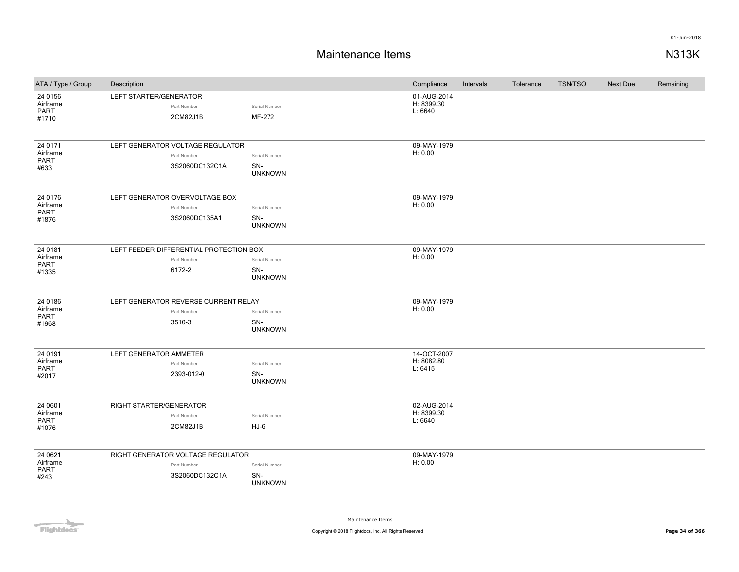## **Maintenance Items N313K**

| ATA / Type / Group                          | Description                                                        |                                        | Compliance                           | Intervals | Tolerance | <b>TSN/TSO</b> | Next Due | Remaining |
|---------------------------------------------|--------------------------------------------------------------------|----------------------------------------|--------------------------------------|-----------|-----------|----------------|----------|-----------|
| 24 0156<br>Airframe<br>PART<br>#1710        | LEFT STARTER/GENERATOR<br>Part Number<br>2CM82J1B                  | Serial Number<br>MF-272                | 01-AUG-2014<br>H: 8399.30<br>L: 6640 |           |           |                |          |           |
| 24 0171<br>Airframe<br>PART<br>#633         | LEFT GENERATOR VOLTAGE REGULATOR<br>Part Number<br>3S2060DC132C1A  | Serial Number<br>SN-<br><b>UNKNOWN</b> | 09-MAY-1979<br>H: 0.00               |           |           |                |          |           |
| 24 0176<br>Airframe<br>PART<br>#1876        | LEFT GENERATOR OVERVOLTAGE BOX<br>Part Number<br>3S2060DC135A1     | Serial Number<br>SN-<br><b>UNKNOWN</b> | 09-MAY-1979<br>H: 0.00               |           |           |                |          |           |
| 24 0181<br>Airframe<br>PART<br>#1335        | LEFT FEEDER DIFFERENTIAL PROTECTION BOX<br>Part Number<br>6172-2   | Serial Number<br>SN-<br><b>UNKNOWN</b> | 09-MAY-1979<br>H: 0.00               |           |           |                |          |           |
| 24 0186<br>Airframe<br>PART<br>#1968        | LEFT GENERATOR REVERSE CURRENT RELAY<br>Part Number<br>3510-3      | Serial Number<br>SN-<br><b>UNKNOWN</b> | 09-MAY-1979<br>H: 0.00               |           |           |                |          |           |
| 24 0191<br>Airframe<br>PART<br>#2017        | LEFT GENERATOR AMMETER<br>Part Number<br>2393-012-0                | Serial Number<br>SN-<br><b>UNKNOWN</b> | 14-OCT-2007<br>H: 8082.80<br>L: 6415 |           |           |                |          |           |
| 24 0601<br>Airframe<br><b>PART</b><br>#1076 | RIGHT STARTER/GENERATOR<br>Part Number<br>2CM82J1B                 | Serial Number<br>$HJ-6$                | 02-AUG-2014<br>H: 8399.30<br>L: 6640 |           |           |                |          |           |
| 24 0621<br>Airframe<br>PART<br>#243         | RIGHT GENERATOR VOLTAGE REGULATOR<br>Part Number<br>3S2060DC132C1A | Serial Number<br>SN-<br><b>UNKNOWN</b> | 09-MAY-1979<br>H: 0.00               |           |           |                |          |           |

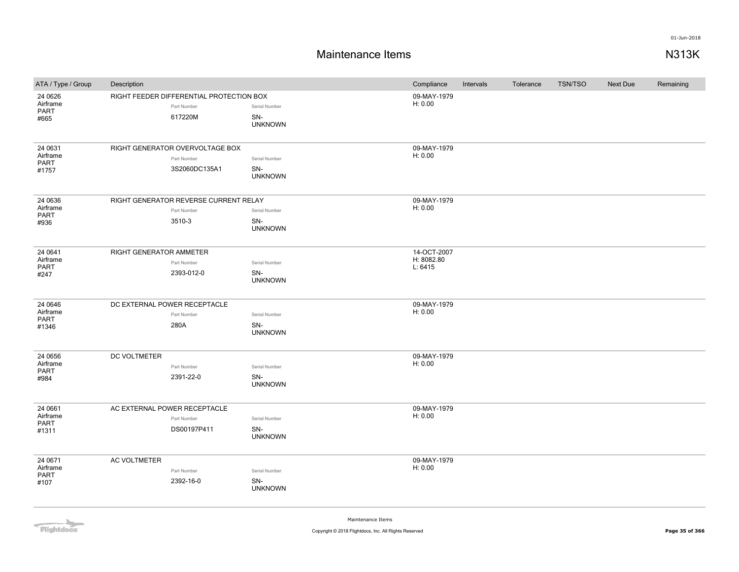## **Maintenance Items N313K**

| ATA / Type / Group      | Description             |                                          |                       | Compliance             | Intervals | Tolerance | <b>TSN/TSO</b> | <b>Next Due</b> | Remaining |
|-------------------------|-------------------------|------------------------------------------|-----------------------|------------------------|-----------|-----------|----------------|-----------------|-----------|
| 24 06 26                |                         | RIGHT FEEDER DIFFERENTIAL PROTECTION BOX |                       | 09-MAY-1979            |           |           |                |                 |           |
| Airframe<br>PART        |                         | Part Number                              | Serial Number         | H: 0.00                |           |           |                |                 |           |
| #665                    |                         | 617220M                                  | SN-                   |                        |           |           |                |                 |           |
|                         |                         |                                          | <b>UNKNOWN</b>        |                        |           |           |                |                 |           |
| 24 0631                 |                         | RIGHT GENERATOR OVERVOLTAGE BOX          |                       | 09-MAY-1979            |           |           |                |                 |           |
| Airframe                |                         | Part Number                              | Serial Number         | H: 0.00                |           |           |                |                 |           |
| PART<br>#1757           |                         | 3S2060DC135A1                            | SN-                   |                        |           |           |                |                 |           |
|                         |                         |                                          | <b>UNKNOWN</b>        |                        |           |           |                |                 |           |
| 24 0636                 |                         | RIGHT GENERATOR REVERSE CURRENT RELAY    |                       | 09-MAY-1979            |           |           |                |                 |           |
| Airframe<br>PART        |                         | Part Number                              | Serial Number         | H: 0.00                |           |           |                |                 |           |
| #936                    |                         | 3510-3                                   | SN-                   |                        |           |           |                |                 |           |
|                         |                         |                                          | <b>UNKNOWN</b>        |                        |           |           |                |                 |           |
| 24 0641                 | RIGHT GENERATOR AMMETER |                                          |                       | 14-OCT-2007            |           |           |                |                 |           |
| Airframe<br>PART        |                         | Part Number                              | Serial Number         | H: 8082.80<br>L: 6415  |           |           |                |                 |           |
| #247                    |                         | 2393-012-0                               | SN-                   |                        |           |           |                |                 |           |
|                         |                         |                                          | <b>UNKNOWN</b>        |                        |           |           |                |                 |           |
| 24 0646                 |                         | DC EXTERNAL POWER RECEPTACLE             |                       | 09-MAY-1979            |           |           |                |                 |           |
| Airframe<br>PART        |                         | Part Number                              | Serial Number         | H: 0.00                |           |           |                |                 |           |
| #1346                   |                         | 280A                                     | SN-<br><b>UNKNOWN</b> |                        |           |           |                |                 |           |
|                         |                         |                                          |                       |                        |           |           |                |                 |           |
| 24 0656<br>Airframe     | DC VOLTMETER            | Part Number                              | Serial Number         | 09-MAY-1979<br>H: 0.00 |           |           |                |                 |           |
| <b>PART</b>             |                         | 2391-22-0                                | SN-                   |                        |           |           |                |                 |           |
| #984                    |                         |                                          | <b>UNKNOWN</b>        |                        |           |           |                |                 |           |
| 24 0661                 |                         | AC EXTERNAL POWER RECEPTACLE             |                       | 09-MAY-1979            |           |           |                |                 |           |
| Airframe                |                         | Part Number                              | Serial Number         | H: 0.00                |           |           |                |                 |           |
| <b>PART</b><br>#1311    |                         | DS00197P411                              | SN-                   |                        |           |           |                |                 |           |
|                         |                         |                                          | <b>UNKNOWN</b>        |                        |           |           |                |                 |           |
| 24 0671                 | <b>AC VOLTMETER</b>     |                                          |                       | 09-MAY-1979            |           |           |                |                 |           |
| Airframe<br><b>PART</b> |                         | Part Number                              | Serial Number         | H: 0.00                |           |           |                |                 |           |
| #107                    |                         | 2392-16-0                                | SN-<br><b>UNKNOWN</b> |                        |           |           |                |                 |           |
|                         |                         |                                          |                       |                        |           |           |                |                 |           |

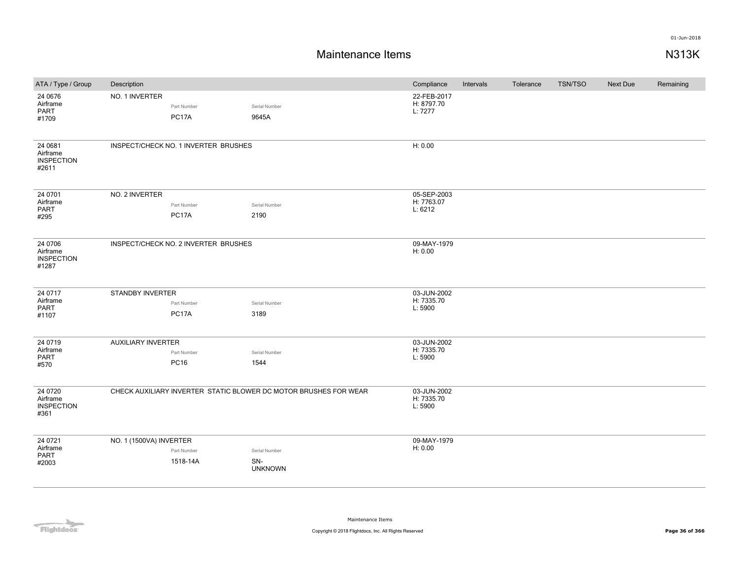| ATA / Type / Group                                | Description               |                                      |                                                                  | Compliance                           | Intervals | Tolerance | <b>TSN/TSO</b> | Next Due | Remaining |
|---------------------------------------------------|---------------------------|--------------------------------------|------------------------------------------------------------------|--------------------------------------|-----------|-----------|----------------|----------|-----------|
| 24 0676<br>Airframe<br><b>PART</b><br>#1709       | NO. 1 INVERTER            | Part Number<br>PC17A                 | Serial Number<br>9645A                                           | 22-FEB-2017<br>H: 8797.70<br>L: 7277 |           |           |                |          |           |
| 24 0681<br>Airframe<br><b>INSPECTION</b><br>#2611 |                           | INSPECT/CHECK NO. 1 INVERTER BRUSHES |                                                                  | H: 0.00                              |           |           |                |          |           |
| 24 0701<br>Airframe<br>PART<br>#295               | NO. 2 INVERTER            | Part Number<br>PC17A                 | Serial Number<br>2190                                            | 05-SEP-2003<br>H: 7763.07<br>L: 6212 |           |           |                |          |           |
| 24 0706<br>Airframe<br><b>INSPECTION</b><br>#1287 |                           | INSPECT/CHECK NO. 2 INVERTER BRUSHES |                                                                  | 09-MAY-1979<br>H: 0.00               |           |           |                |          |           |
| 24 0717<br>Airframe<br><b>PART</b><br>#1107       | STANDBY INVERTER          | Part Number<br>PC17A                 | Serial Number<br>3189                                            | 03-JUN-2002<br>H: 7335.70<br>L: 5900 |           |           |                |          |           |
| 24 0719<br>Airframe<br><b>PART</b><br>#570        | <b>AUXILIARY INVERTER</b> | Part Number<br><b>PC16</b>           | Serial Number<br>1544                                            | 03-JUN-2002<br>H: 7335.70<br>L: 5900 |           |           |                |          |           |
| 24 07 20<br>Airframe<br><b>INSPECTION</b><br>#361 |                           |                                      | CHECK AUXILIARY INVERTER STATIC BLOWER DC MOTOR BRUSHES FOR WEAR | 03-JUN-2002<br>H: 7335.70<br>L: 5900 |           |           |                |          |           |
| 24 07 21<br>Airframe<br>PART<br>#2003             | NO. 1 (1500VA) INVERTER   | Part Number<br>1518-14A              | Serial Number<br>SN-<br><b>UNKNOWN</b>                           | 09-MAY-1979<br>H: 0.00               |           |           |                |          |           |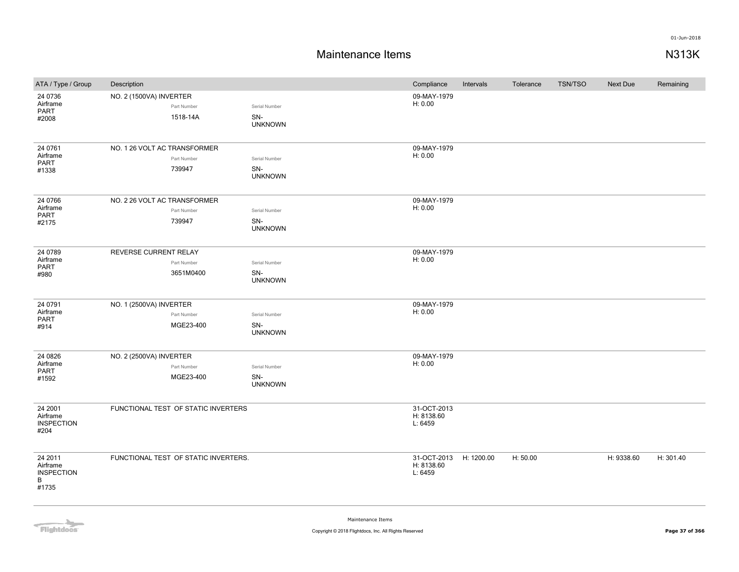| ATA / Type / Group            | Description                  |                                      |                       | Compliance                | Intervals | Tolerance | <b>TSN/TSO</b> | <b>Next Due</b> | Remaining |
|-------------------------------|------------------------------|--------------------------------------|-----------------------|---------------------------|-----------|-----------|----------------|-----------------|-----------|
| 24 0736                       | NO. 2 (1500VA) INVERTER      |                                      |                       | 09-MAY-1979               |           |           |                |                 |           |
| Airframe<br>PART              |                              | Part Number                          | Serial Number         | H: 0.00                   |           |           |                |                 |           |
| #2008                         |                              | 1518-14A                             | SN-                   |                           |           |           |                |                 |           |
|                               |                              |                                      | <b>UNKNOWN</b>        |                           |           |           |                |                 |           |
|                               |                              |                                      |                       |                           |           |           |                |                 |           |
| 24 0761<br>Airframe           | NO. 1 26 VOLT AC TRANSFORMER | Part Number                          | Serial Number         | 09-MAY-1979<br>H: 0.00    |           |           |                |                 |           |
| PART                          |                              | 739947                               | SN-                   |                           |           |           |                |                 |           |
| #1338                         |                              |                                      | <b>UNKNOWN</b>        |                           |           |           |                |                 |           |
|                               |                              |                                      |                       |                           |           |           |                |                 |           |
| 24 0766                       | NO. 2 26 VOLT AC TRANSFORMER |                                      |                       | 09-MAY-1979               |           |           |                |                 |           |
| Airframe<br>PART              |                              | Part Number                          | Serial Number         | H: 0.00                   |           |           |                |                 |           |
| #2175                         |                              | 739947                               | SN-                   |                           |           |           |                |                 |           |
|                               |                              |                                      | <b>UNKNOWN</b>        |                           |           |           |                |                 |           |
| 24 0789                       | REVERSE CURRENT RELAY        |                                      |                       | 09-MAY-1979               |           |           |                |                 |           |
| Airframe                      |                              | Part Number                          | Serial Number         | H: 0.00                   |           |           |                |                 |           |
| PART<br>#980                  |                              | 3651M0400                            | SN-                   |                           |           |           |                |                 |           |
|                               |                              |                                      | <b>UNKNOWN</b>        |                           |           |           |                |                 |           |
|                               |                              |                                      |                       |                           |           |           |                |                 |           |
| 24 0791                       | NO. 1 (2500VA) INVERTER      |                                      |                       | 09-MAY-1979               |           |           |                |                 |           |
| Airframe<br>PART              |                              | Part Number                          | Serial Number         | H: 0.00                   |           |           |                |                 |           |
| #914                          |                              | MGE23-400                            | SN-<br><b>UNKNOWN</b> |                           |           |           |                |                 |           |
|                               |                              |                                      |                       |                           |           |           |                |                 |           |
| 24 08 26                      | NO. 2 (2500VA) INVERTER      |                                      |                       | 09-MAY-1979               |           |           |                |                 |           |
| Airframe                      |                              | Part Number                          | Serial Number         | H: 0.00                   |           |           |                |                 |           |
| PART<br>#1592                 |                              | MGE23-400                            | SN-                   |                           |           |           |                |                 |           |
|                               |                              |                                      | <b>UNKNOWN</b>        |                           |           |           |                |                 |           |
|                               |                              |                                      |                       |                           |           |           |                |                 |           |
| 24 2001<br>Airframe           |                              | FUNCTIONAL TEST OF STATIC INVERTERS  |                       | 31-OCT-2013<br>H: 8138.60 |           |           |                |                 |           |
| <b>INSPECTION</b>             |                              |                                      |                       | L: 6459                   |           |           |                |                 |           |
| #204                          |                              |                                      |                       |                           |           |           |                |                 |           |
|                               |                              |                                      |                       |                           |           |           |                |                 |           |
| 24 2011                       |                              | FUNCTIONAL TEST OF STATIC INVERTERS. |                       | 31-OCT-2013 H: 1200.00    |           | H: 50.00  |                | H: 9338.60      | H: 301.40 |
| Airframe<br><b>INSPECTION</b> |                              |                                      |                       | H: 8138.60<br>L: 6459     |           |           |                |                 |           |
| B                             |                              |                                      |                       |                           |           |           |                |                 |           |
| #1735                         |                              |                                      |                       |                           |           |           |                |                 |           |
|                               |                              |                                      |                       |                           |           |           |                |                 |           |

Flightdocs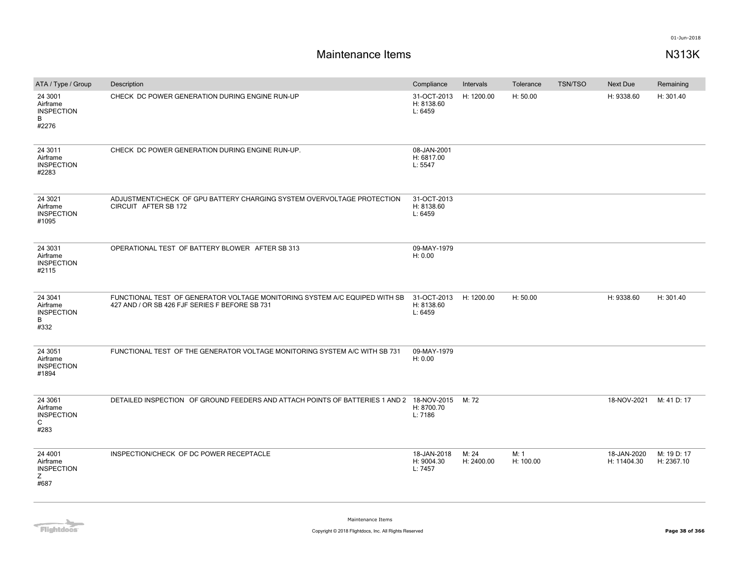| ATA / Type / Group                                               | Description                                                                                                                  | Compliance                           | Intervals           | Tolerance         | <b>TSN/TSO</b> | Next Due                   | Remaining                 |
|------------------------------------------------------------------|------------------------------------------------------------------------------------------------------------------------------|--------------------------------------|---------------------|-------------------|----------------|----------------------------|---------------------------|
| 24 3001<br>Airframe<br><b>INSPECTION</b><br>B<br>#2276           | CHECK DC POWER GENERATION DURING ENGINE RUN-UP                                                                               | 31-OCT-2013<br>H: 8138.60<br>L: 6459 | H: 1200.00          | H: 50.00          |                | H: 9338.60                 | H: 301.40                 |
| 24 3011<br>Airframe<br><b>INSPECTION</b><br>#2283                | CHECK DC POWER GENERATION DURING ENGINE RUN-UP.                                                                              | 08-JAN-2001<br>H: 6817.00<br>L: 5547 |                     |                   |                |                            |                           |
| 24 3021<br>Airframe<br><b>INSPECTION</b><br>#1095                | ADJUSTMENT/CHECK OF GPU BATTERY CHARGING SYSTEM OVERVOLTAGE PROTECTION<br>CIRCUIT AFTER SB 172                               | 31-OCT-2013<br>H: 8138.60<br>L: 6459 |                     |                   |                |                            |                           |
| 24 3031<br>Airframe<br><b>INSPECTION</b><br>#2115                | OPERATIONAL TEST OF BATTERY BLOWER AFTER SB 313                                                                              | 09-MAY-1979<br>H: 0.00               |                     |                   |                |                            |                           |
| 24 3041<br>Airframe<br><b>INSPECTION</b><br>B<br>#332            | FUNCTIONAL TEST OF GENERATOR VOLTAGE MONITORING SYSTEM A/C EQUIPED WITH SB<br>427 AND / OR SB 426 FJF SERIES F BEFORE SB 731 | 31-OCT-2013<br>H: 8138.60<br>L: 6459 | H: 1200.00          | H: 50.00          |                | H: 9338.60                 | H: 301.40                 |
| 24 30 51<br>Airframe<br><b>INSPECTION</b><br>#1894               | FUNCTIONAL TEST OF THE GENERATOR VOLTAGE MONITORING SYSTEM A/C WITH SB 731                                                   | 09-MAY-1979<br>H: 0.00               |                     |                   |                |                            |                           |
| 24 30 61<br>Airframe<br><b>INSPECTION</b><br>$\mathsf C$<br>#283 | DETAILED INSPECTION OF GROUND FEEDERS AND ATTACH POINTS OF BATTERIES 1 AND 2 18-NOV-2015                                     | H: 8700.70<br>L: 7186                | M: 72               |                   |                | 18-NOV-2021                | M: 41 D: 17               |
| 24 4001<br>Airframe<br><b>INSPECTION</b><br>Z<br>#687            | INSPECTION/CHECK OF DC POWER RECEPTACLE                                                                                      | 18-JAN-2018<br>H: 9004.30<br>L: 7457 | M: 24<br>H: 2400.00 | M: 1<br>H: 100.00 |                | 18-JAN-2020<br>H: 11404.30 | M: 19 D: 17<br>H: 2367.10 |

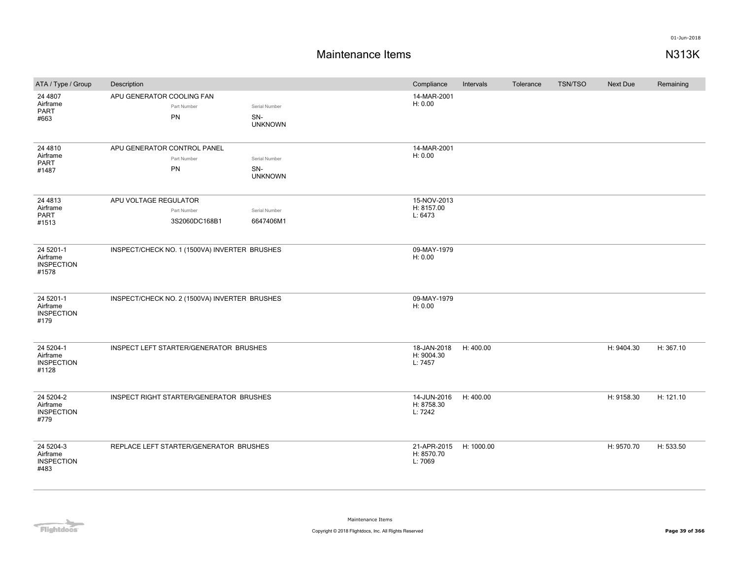| ATA / Type / Group                                  | Description                                           |                                        | Compliance                           | Intervals  | Tolerance | <b>TSN/TSO</b> | Next Due   | Remaining |
|-----------------------------------------------------|-------------------------------------------------------|----------------------------------------|--------------------------------------|------------|-----------|----------------|------------|-----------|
| 24 4807<br>Airframe<br>PART<br>#663                 | APU GENERATOR COOLING FAN<br>Part Number<br>PN        | Serial Number<br>SN-<br><b>UNKNOWN</b> | 14-MAR-2001<br>H: 0.00               |            |           |                |            |           |
| 24 48 10<br>Airframe<br>PART<br>#1487               | APU GENERATOR CONTROL PANEL<br>Part Number<br>PN      | Serial Number<br>SN-<br><b>UNKNOWN</b> | 14-MAR-2001<br>H: 0.00               |            |           |                |            |           |
| 24 48 13<br>Airframe<br>PART<br>#1513               | APU VOLTAGE REGULATOR<br>Part Number<br>3S2060DC168B1 | Serial Number<br>6647406M1             | 15-NOV-2013<br>H: 8157.00<br>L: 6473 |            |           |                |            |           |
| 24 5201-1<br>Airframe<br><b>INSPECTION</b><br>#1578 | INSPECT/CHECK NO. 1 (1500VA) INVERTER BRUSHES         |                                        | 09-MAY-1979<br>H: 0.00               |            |           |                |            |           |
| 24 5201-1<br>Airframe<br><b>INSPECTION</b><br>#179  | INSPECT/CHECK NO. 2 (1500VA) INVERTER BRUSHES         |                                        | 09-MAY-1979<br>H: 0.00               |            |           |                |            |           |
| 24 5204-1<br>Airframe<br><b>INSPECTION</b><br>#1128 | INSPECT LEFT STARTER/GENERATOR BRUSHES                |                                        | 18-JAN-2018<br>H: 9004.30<br>L: 7457 | H: 400.00  |           |                | H: 9404.30 | H: 367.10 |
| 24 5204-2<br>Airframe<br><b>INSPECTION</b><br>#779  | INSPECT RIGHT STARTER/GENERATOR BRUSHES               |                                        | 14-JUN-2016<br>H: 8758.30<br>L: 7242 | H: 400.00  |           |                | H: 9158.30 | H: 121.10 |
| 24 5204-3<br>Airframe<br><b>INSPECTION</b><br>#483  | REPLACE LEFT STARTER/GENERATOR BRUSHES                |                                        | 21-APR-2015<br>H: 8570.70<br>L: 7069 | H: 1000.00 |           |                | H: 9570.70 | H: 533.50 |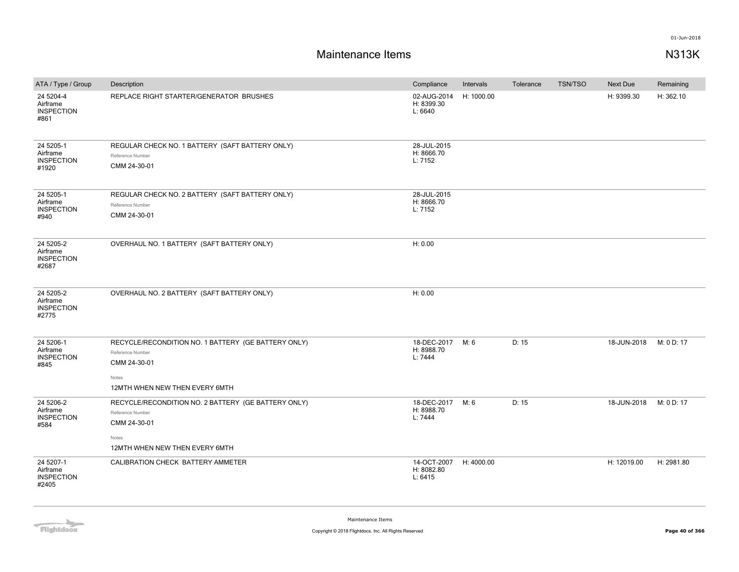| ATA / Type / Group                                  | Description                                                                                                                        | Compliance                           | Intervals  | Tolerance | <b>TSN/TSO</b> | <b>Next Due</b> | Remaining  |
|-----------------------------------------------------|------------------------------------------------------------------------------------------------------------------------------------|--------------------------------------|------------|-----------|----------------|-----------------|------------|
| 24 5204-4<br>Airframe<br><b>INSPECTION</b><br>#861  | REPLACE RIGHT STARTER/GENERATOR BRUSHES                                                                                            | 02-AUG-2014<br>H: 8399.30<br>L: 6640 | H: 1000.00 |           |                | H: 9399.30      | H: 362.10  |
| 24 5205-1<br>Airframe<br><b>INSPECTION</b><br>#1920 | REGULAR CHECK NO. 1 BATTERY (SAFT BATTERY ONLY)<br>Reference Number<br>CMM 24-30-01                                                | 28-JUL-2015<br>H: 8666.70<br>L: 7152 |            |           |                |                 |            |
| 24 5205-1<br>Airframe<br><b>INSPECTION</b><br>#940  | REGULAR CHECK NO. 2 BATTERY (SAFT BATTERY ONLY)<br>Reference Number<br>CMM 24-30-01                                                | 28-JUL-2015<br>H: 8666.70<br>L: 7152 |            |           |                |                 |            |
| 24 5205-2<br>Airframe<br><b>INSPECTION</b><br>#2687 | OVERHAUL NO. 1 BATTERY (SAFT BATTERY ONLY)                                                                                         | H: 0.00                              |            |           |                |                 |            |
| 24 5205-2<br>Airframe<br><b>INSPECTION</b><br>#2775 | OVERHAUL NO. 2 BATTERY (SAFT BATTERY ONLY)                                                                                         | H: 0.00                              |            |           |                |                 |            |
| 24 5206-1<br>Airframe<br><b>INSPECTION</b><br>#845  | RECYCLE/RECONDITION NO. 1 BATTERY (GE BATTERY ONLY)<br>Reference Number<br>CMM 24-30-01<br>Notes<br>12MTH WHEN NEW THEN EVERY 6MTH | 18-DEC-2017<br>H: 8988.70<br>L: 7444 | M: 6       | D: 15     |                | 18-JUN-2018     | M: 0 D: 17 |
| 24 5206-2<br>Airframe<br><b>INSPECTION</b><br>#584  | RECYCLE/RECONDITION NO. 2 BATTERY (GE BATTERY ONLY)<br>Reference Number<br>CMM 24-30-01<br>Notes<br>12MTH WHEN NEW THEN EVERY 6MTH | 18-DEC-2017<br>H: 8988.70<br>L: 7444 | M: 6       | D: 15     |                | 18-JUN-2018     | M: 0 D: 17 |
| 24 5207-1<br>Airframe<br><b>INSPECTION</b><br>#2405 | CALIBRATION CHECK BATTERY AMMETER                                                                                                  | 14-OCT-2007<br>H: 8082.80<br>L: 6415 | H: 4000.00 |           |                | H: 12019.00     | H: 2981.80 |

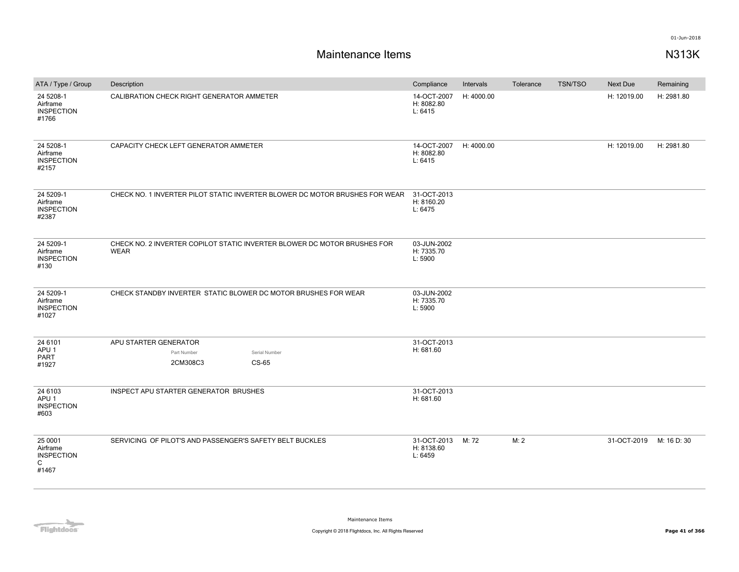| ATA / Type / Group                                                | Description                                                                             | Compliance                           | Intervals  | Tolerance | <b>TSN/TSO</b> | Next Due    | Remaining   |
|-------------------------------------------------------------------|-----------------------------------------------------------------------------------------|--------------------------------------|------------|-----------|----------------|-------------|-------------|
| 24 5208-1<br>Airframe<br><b>INSPECTION</b><br>#1766               | CALIBRATION CHECK RIGHT GENERATOR AMMETER                                               | 14-OCT-2007<br>H: 8082.80<br>L: 6415 | H: 4000.00 |           |                | H: 12019.00 | H: 2981.80  |
| 24 5208-1<br>Airframe<br><b>INSPECTION</b><br>#2157               | CAPACITY CHECK LEFT GENERATOR AMMETER                                                   | 14-OCT-2007<br>H: 8082.80<br>L: 6415 | H: 4000.00 |           |                | H: 12019.00 | H: 2981.80  |
| 24 5209-1<br>Airframe<br><b>INSPECTION</b><br>#2387               | CHECK NO. 1 INVERTER PILOT STATIC INVERTER BLOWER DC MOTOR BRUSHES FOR WEAR             | 31-OCT-2013<br>H: 8160.20<br>L: 6475 |            |           |                |             |             |
| 24 5209-1<br>Airframe<br><b>INSPECTION</b><br>#130                | CHECK NO. 2 INVERTER COPILOT STATIC INVERTER BLOWER DC MOTOR BRUSHES FOR<br><b>WEAR</b> | 03-JUN-2002<br>H: 7335.70<br>L: 5900 |            |           |                |             |             |
| 24 5209-1<br>Airframe<br><b>INSPECTION</b><br>#1027               | CHECK STANDBY INVERTER STATIC BLOWER DC MOTOR BRUSHES FOR WEAR                          | 03-JUN-2002<br>H: 7335.70<br>L: 5900 |            |           |                |             |             |
| 24 6101                                                           | APU STARTER GENERATOR                                                                   | 31-OCT-2013                          |            |           |                |             |             |
| APU <sub>1</sub><br><b>PART</b>                                   | Part Number<br>Serial Number                                                            | H: 681.60                            |            |           |                |             |             |
| #1927                                                             | 2CM308C3<br>CS-65                                                                       |                                      |            |           |                |             |             |
| 24 6103<br>APU <sub>1</sub><br><b>INSPECTION</b><br>#603          | INSPECT APU STARTER GENERATOR BRUSHES                                                   | 31-OCT-2013<br>H: 681.60             |            |           |                |             |             |
| 25 0001<br>Airframe<br><b>INSPECTION</b><br>$\mathsf{C}$<br>#1467 | SERVICING OF PILOT'S AND PASSENGER'S SAFETY BELT BUCKLES                                | 31-OCT-2013<br>H: 8138.60<br>L: 6459 | M: 72      | M: 2      |                | 31-OCT-2019 | M: 16 D: 30 |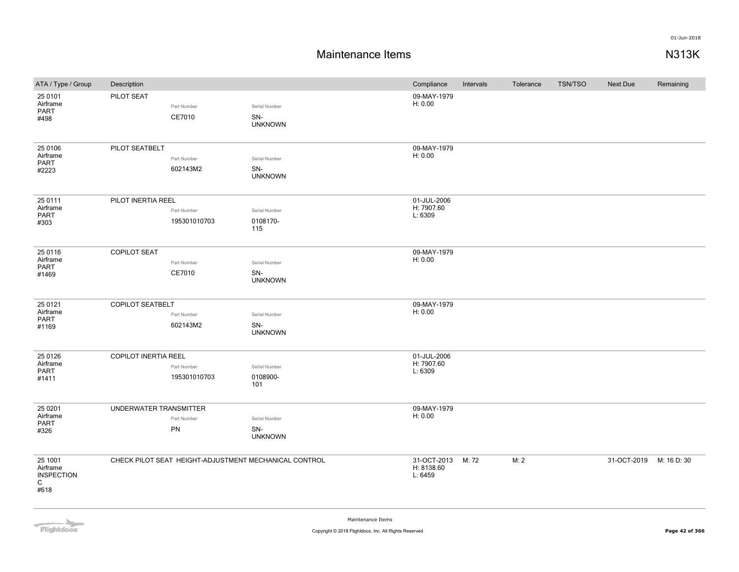| ATA / Type / Group                                    | Description                 |                             |                                                       | Compliance                           | Intervals | Tolerance | <b>TSN/TSO</b> | Next Due    | Remaining   |
|-------------------------------------------------------|-----------------------------|-----------------------------|-------------------------------------------------------|--------------------------------------|-----------|-----------|----------------|-------------|-------------|
| 25 0101<br>Airframe<br>PART<br>#498                   | PILOT SEAT                  | Part Number<br>CE7010       | Serial Number<br>SN-<br><b>UNKNOWN</b>                | 09-MAY-1979<br>H: 0.00               |           |           |                |             |             |
| 25 0106<br>Airframe<br>PART<br>#2223                  | PILOT SEATBELT              | Part Number<br>602143M2     | Serial Number<br>SN-<br><b>UNKNOWN</b>                | 09-MAY-1979<br>H: 0.00               |           |           |                |             |             |
| 25 0111<br>Airframe<br>PART<br>#303                   | PILOT INERTIA REEL          | Part Number<br>195301010703 | Serial Number<br>0108170-<br>115                      | 01-JUL-2006<br>H: 7907.60<br>L: 6309 |           |           |                |             |             |
| 25 0116<br>Airframe<br>PART<br>#1469                  | <b>COPILOT SEAT</b>         | Part Number<br>CE7010       | Serial Number<br>SN-<br><b>UNKNOWN</b>                | 09-MAY-1979<br>H: 0.00               |           |           |                |             |             |
| 25 0121<br>Airframe<br>PART<br>#1169                  | <b>COPILOT SEATBELT</b>     | Part Number<br>602143M2     | Serial Number<br>SN-<br><b>UNKNOWN</b>                | 09-MAY-1979<br>H: 0.00               |           |           |                |             |             |
| 25 0126<br>Airframe<br>PART<br>#1411                  | <b>COPILOT INERTIA REEL</b> | Part Number<br>195301010703 | Serial Number<br>0108900-<br>101                      | 01-JUL-2006<br>H: 7907.60<br>L: 6309 |           |           |                |             |             |
| 25 0 201<br>Airframe<br>PART<br>#326                  | UNDERWATER TRANSMITTER      | Part Number<br>PN           | Serial Number<br>SN-<br><b>UNKNOWN</b>                | 09-MAY-1979<br>H: 0.00               |           |           |                |             |             |
| 25 1001<br>Airframe<br><b>INSPECTION</b><br>C<br>#618 |                             |                             | CHECK PILOT SEAT HEIGHT-ADJUSTMENT MECHANICAL CONTROL | 31-OCT-2013<br>H: 8138.60<br>L: 6459 | M: 72     | M: 2      |                | 31-OCT-2019 | M: 16 D: 30 |

**Flightdocs**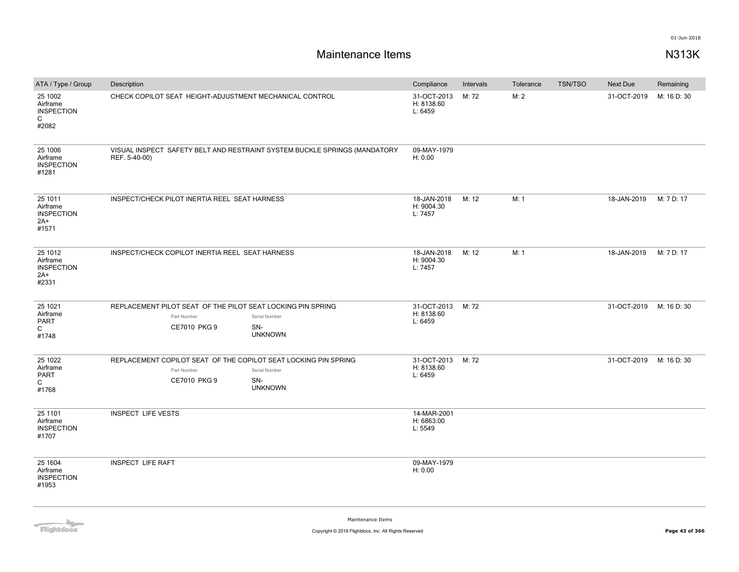# **Maintenance Items N313K**

| ATA / Type / Group                                                | Description                                                                                                                              | Compliance                                 | Intervals | Tolerance | <b>TSN/TSO</b> | Next Due    | Remaining   |
|-------------------------------------------------------------------|------------------------------------------------------------------------------------------------------------------------------------------|--------------------------------------------|-----------|-----------|----------------|-------------|-------------|
| 25 1002<br>Airframe<br><b>INSPECTION</b><br>$\mathsf{C}$<br>#2082 | CHECK COPILOT SEAT HEIGHT-ADJUSTMENT MECHANICAL CONTROL                                                                                  | 31-OCT-2013<br>H: 8138.60<br>L: 6459       | M: 72     | M: 2      |                | 31-OCT-2019 | M: 16 D: 30 |
| 25 1006<br>Airframe<br><b>INSPECTION</b><br>#1281                 | VISUAL INSPECT SAFETY BELT AND RESTRAINT SYSTEM BUCKLE SPRINGS (MANDATORY<br>REF. 5-40-00)                                               | 09-MAY-1979<br>H: 0.00                     |           |           |                |             |             |
| 25 1011<br>Airframe<br><b>INSPECTION</b><br>$2A+$<br>#1571        | INSPECT/CHECK PILOT INERTIA REEL SEAT HARNESS                                                                                            | 18-JAN-2018<br>H: 9004.30<br>L: 7457       | M: 12     | M: 1      |                | 18-JAN-2019 | M: 7 D: 17  |
| 25 1012<br>Airframe<br><b>INSPECTION</b><br>$2A+$<br>#2331        | INSPECT/CHECK COPILOT INERTIA REEL SEAT HARNESS                                                                                          | 18-JAN-2018<br>H: 9004.30<br>L: 7457       | M: 12     | M: 1      |                | 18-JAN-2019 | M: 7 D: 17  |
| 25 1021<br>Airframe<br>PART<br>$\mathsf{C}$<br>#1748              | REPLACEMENT PILOT SEAT OF THE PILOT SEAT LOCKING PIN SPRING<br>Part Number<br>Serial Number<br>CE7010 PKG 9<br>SN-<br><b>UNKNOWN</b>     | 31-OCT-2013 M: 72<br>H: 8138.60<br>L: 6459 |           |           |                | 31-OCT-2019 | M: 16 D: 30 |
| 25 1022<br>Airframe<br>PART<br>C<br>#1768                         | REPLACEMENT COPILOT SEAT OF THE COPILOT SEAT LOCKING PIN SPRING<br>Part Number<br>Serial Number<br>CE7010 PKG 9<br>SN-<br><b>UNKNOWN</b> | 31-OCT-2013<br>H: 8138.60<br>L: 6459       | M: 72     |           |                | 31-OCT-2019 | M: 16 D: 30 |
| 25 1101<br>Airframe<br><b>INSPECTION</b><br>#1707                 | <b>INSPECT LIFE VESTS</b>                                                                                                                | 14-MAR-2001<br>H: 6863.00<br>L: 5549       |           |           |                |             |             |
| 25 1604<br>Airframe<br><b>INSPECTION</b><br>#1953                 | <b>INSPECT LIFE RAFT</b>                                                                                                                 | 09-MAY-1979<br>H: 0.00                     |           |           |                |             |             |

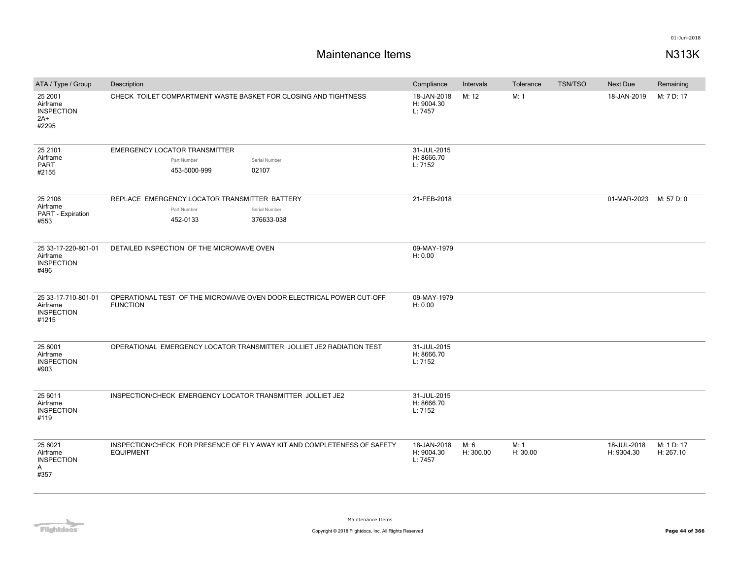| ATA / Type / Group                                            | Description                                                                                             | Compliance                           | Intervals         | Tolerance        | <b>TSN/TSO</b> | <b>Next Due</b>           | Remaining               |
|---------------------------------------------------------------|---------------------------------------------------------------------------------------------------------|--------------------------------------|-------------------|------------------|----------------|---------------------------|-------------------------|
| 25 2001<br>Airframe<br><b>INSPECTION</b><br>$2A+$<br>#2295    | CHECK TOILET COMPARTMENT WASTE BASKET FOR CLOSING AND TIGHTNESS                                         | 18-JAN-2018<br>H: 9004.30<br>L: 7457 | M: 12             | M: 1             |                | 18-JAN-2019               | M: 7 D: 17              |
| 25 2101<br>Airframe<br><b>PART</b><br>#2155                   | <b>EMERGENCY LOCATOR TRANSMITTER</b><br>Serial Number<br>Part Number<br>02107<br>453-5000-999           | 31-JUL-2015<br>H: 8666.70<br>L: 7152 |                   |                  |                |                           |                         |
| 25 2106<br>Airframe<br>PART - Expiration<br>#553              | REPLACE EMERGENCY LOCATOR TRANSMITTER BATTERY<br>Part Number<br>Serial Number<br>452-0133<br>376633-038 | 21-FEB-2018                          |                   |                  |                | 01-MAR-2023               | M: 57 D: 0              |
| 25 33-17-220-801-01<br>Airframe<br><b>INSPECTION</b><br>#496  | DETAILED INSPECTION OF THE MICROWAVE OVEN                                                               | 09-MAY-1979<br>H: 0.00               |                   |                  |                |                           |                         |
| 25 33-17-710-801-01<br>Airframe<br><b>INSPECTION</b><br>#1215 | OPERATIONAL TEST OF THE MICROWAVE OVEN DOOR ELECTRICAL POWER CUT-OFF<br><b>FUNCTION</b>                 | 09-MAY-1979<br>H: 0.00               |                   |                  |                |                           |                         |
| 25 6001<br>Airframe<br><b>INSPECTION</b><br>#903              | OPERATIONAL EMERGENCY LOCATOR TRANSMITTER JOLLIET JE2 RADIATION TEST                                    | 31-JUL-2015<br>H: 8666.70<br>L: 7152 |                   |                  |                |                           |                         |
| 25 6011<br>Airframe<br><b>INSPECTION</b><br>#119              | INSPECTION/CHECK EMERGENCY LOCATOR TRANSMITTER JOLLIET JE2                                              | 31-JUL-2015<br>H: 8666.70<br>L: 7152 |                   |                  |                |                           |                         |
| 25 6021<br>Airframe<br><b>INSPECTION</b><br>Α<br>#357         | INSPECTION/CHECK FOR PRESENCE OF FLY AWAY KIT AND COMPLETENESS OF SAFETY<br><b>EQUIPMENT</b>            | 18-JAN-2018<br>H: 9004.30<br>L: 7457 | M: 6<br>H: 300.00 | M: 1<br>H: 30.00 |                | 18-JUL-2018<br>H: 9304.30 | M: 1 D: 17<br>H: 267.10 |

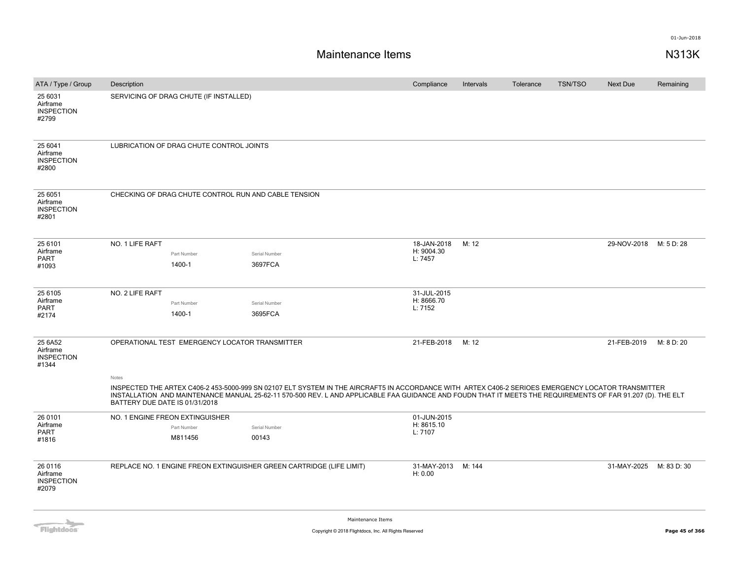| ATA / Type / Group                                | Description                    |                                          |                                                                                                                                                                                                                                                                                                                  | Compliance                    | Intervals | Tolerance | <b>TSN/TSO</b> | <b>Next Due</b>         | Remaining  |
|---------------------------------------------------|--------------------------------|------------------------------------------|------------------------------------------------------------------------------------------------------------------------------------------------------------------------------------------------------------------------------------------------------------------------------------------------------------------|-------------------------------|-----------|-----------|----------------|-------------------------|------------|
| 25 6031<br>Airframe<br><b>INSPECTION</b><br>#2799 |                                | SERVICING OF DRAG CHUTE (IF INSTALLED)   |                                                                                                                                                                                                                                                                                                                  |                               |           |           |                |                         |            |
| 25 6041<br>Airframe<br><b>INSPECTION</b><br>#2800 |                                | LUBRICATION OF DRAG CHUTE CONTROL JOINTS |                                                                                                                                                                                                                                                                                                                  |                               |           |           |                |                         |            |
| 25 6051<br>Airframe<br><b>INSPECTION</b><br>#2801 |                                |                                          | CHECKING OF DRAG CHUTE CONTROL RUN AND CABLE TENSION                                                                                                                                                                                                                                                             |                               |           |           |                |                         |            |
| 25 6101                                           | NO. 1 LIFE RAFT                |                                          |                                                                                                                                                                                                                                                                                                                  | 18-JAN-2018                   | M: 12     |           |                | 29-NOV-2018             | M: 5 D: 28 |
| Airframe                                          |                                | Part Number                              | Serial Number                                                                                                                                                                                                                                                                                                    | H: 9004.30                    |           |           |                |                         |            |
| <b>PART</b><br>#1093                              |                                | 1400-1                                   | 3697FCA                                                                                                                                                                                                                                                                                                          | L: 7457                       |           |           |                |                         |            |
|                                                   |                                |                                          |                                                                                                                                                                                                                                                                                                                  |                               |           |           |                |                         |            |
| 25 6105                                           | NO. 2 LIFE RAFT                |                                          |                                                                                                                                                                                                                                                                                                                  | 31-JUL-2015                   |           |           |                |                         |            |
| Airframe                                          |                                | Part Number                              | Serial Number                                                                                                                                                                                                                                                                                                    | H: 8666.70                    |           |           |                |                         |            |
| <b>PART</b><br>#2174                              |                                | 1400-1                                   | 3695FCA                                                                                                                                                                                                                                                                                                          | L: 7152                       |           |           |                |                         |            |
|                                                   |                                |                                          |                                                                                                                                                                                                                                                                                                                  |                               |           |           |                |                         |            |
| 25 6A52<br>Airframe<br><b>INSPECTION</b><br>#1344 |                                |                                          | OPERATIONAL TEST EMERGENCY LOCATOR TRANSMITTER                                                                                                                                                                                                                                                                   | 21-FEB-2018                   | M: 12     |           |                | 21-FEB-2019             | M: 8 D: 20 |
|                                                   | Notes                          |                                          |                                                                                                                                                                                                                                                                                                                  |                               |           |           |                |                         |            |
|                                                   | BATTERY DUE DATE IS 01/31/2018 |                                          | INSPECTED THE ARTEX C406-2 453-5000-999 SN 02107 ELT SYSTEM IN THE AIRCRAFT5 IN ACCORDANCE WITH ARTEX C406-2 SERIOES EMERGENCY LOCATOR TRANSMITTER<br>INSTALLATION AND MAINTENANCE MANUAL 25-62-11 570-500 REV. LAND APPLICABLE FAA GUIDANCE AND FOUDN THAT IT MEETS THE REQUIREMENTS OF FAR 91.207 (D). THE ELT |                               |           |           |                |                         |            |
| 26 0101                                           |                                | NO. 1 ENGINE FREON EXTINGUISHER          |                                                                                                                                                                                                                                                                                                                  | 01-JUN-2015                   |           |           |                |                         |            |
| Airframe<br>PART                                  |                                | Part Number                              | Serial Number                                                                                                                                                                                                                                                                                                    | H: 8615.10<br>L: 7107         |           |           |                |                         |            |
| #1816                                             |                                | M811456                                  | 00143                                                                                                                                                                                                                                                                                                            |                               |           |           |                |                         |            |
|                                                   |                                |                                          |                                                                                                                                                                                                                                                                                                                  |                               |           |           |                |                         |            |
| 26 0116<br>Airframe<br><b>INSPECTION</b><br>#2079 |                                |                                          | REPLACE NO. 1 ENGINE FREON EXTINGUISHER GREEN CARTRIDGE (LIFE LIMIT)                                                                                                                                                                                                                                             | 31-MAY-2013 M: 144<br>H: 0.00 |           |           |                | 31-MAY-2025 M: 83 D: 30 |            |
|                                                   |                                |                                          |                                                                                                                                                                                                                                                                                                                  |                               |           |           |                |                         |            |

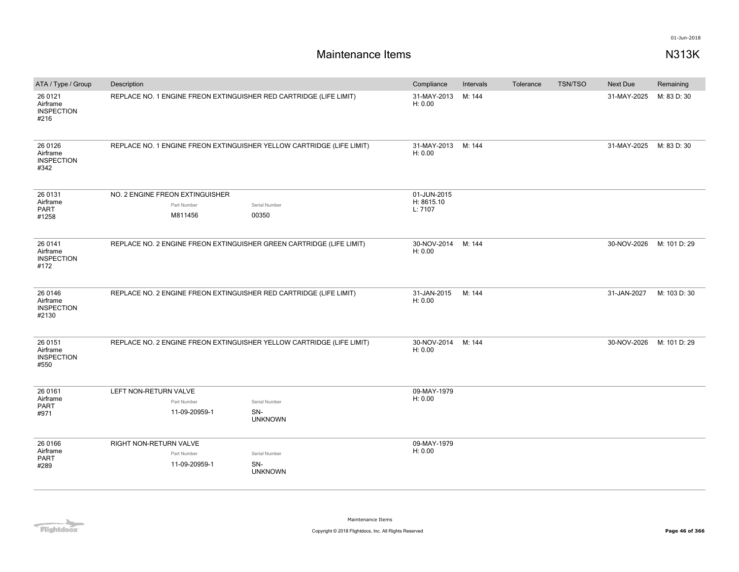| ATA / Type / Group                                | Description                                                                         |                | Compliance                           | Intervals | Tolerance | <b>TSN/TSO</b> | Next Due    | Remaining    |
|---------------------------------------------------|-------------------------------------------------------------------------------------|----------------|--------------------------------------|-----------|-----------|----------------|-------------|--------------|
| 26 0121<br>Airframe<br><b>INSPECTION</b><br>#216  | REPLACE NO. 1 ENGINE FREON EXTINGUISHER RED CARTRIDGE (LIFE LIMIT)                  |                | 31-MAY-2013<br>H: 0.00               | M: 144    |           |                | 31-MAY-2025 | M: 83 D: 30  |
| 26 0126<br>Airframe<br><b>INSPECTION</b><br>#342  | REPLACE NO. 1 ENGINE FREON EXTINGUISHER YELLOW CARTRIDGE (LIFE LIMIT)               |                | 31-MAY-2013<br>H: 0.00               | M: 144    |           |                | 31-MAY-2025 | M: 83 D: 30  |
| 26 0131<br>Airframe<br>PART<br>#1258              | NO. 2 ENGINE FREON EXTINGUISHER<br>Part Number<br>Serial Number<br>00350<br>M811456 |                | 01-JUN-2015<br>H: 8615.10<br>L: 7107 |           |           |                |             |              |
| 26 0141<br>Airframe<br><b>INSPECTION</b><br>#172  | REPLACE NO. 2 ENGINE FREON EXTINGUISHER GREEN CARTRIDGE (LIFE LIMIT)                |                | 30-NOV-2014<br>H: 0.00               | M: 144    |           |                | 30-NOV-2026 | M: 101 D: 29 |
| 26 0146<br>Airframe<br><b>INSPECTION</b><br>#2130 | REPLACE NO. 2 ENGINE FREON EXTINGUISHER RED CARTRIDGE (LIFE LIMIT)                  |                | 31-JAN-2015<br>H: 0.00               | M: 144    |           |                | 31-JAN-2027 | M: 103 D: 30 |
| 26 0151<br>Airframe<br><b>INSPECTION</b><br>#550  | REPLACE NO. 2 ENGINE FREON EXTINGUISHER YELLOW CARTRIDGE (LIFE LIMIT)               |                | 30-NOV-2014<br>H: 0.00               | M: 144    |           |                | 30-NOV-2026 | M: 101 D: 29 |
| 26 0161<br>Airframe<br>PART<br>#971               | LEFT NON-RETURN VALVE<br>Part Number<br>Serial Number<br>11-09-20959-1<br>SN-       | <b>UNKNOWN</b> | 09-MAY-1979<br>H: 0.00               |           |           |                |             |              |
| 26 0166<br>Airframe<br>PART<br>#289               | RIGHT NON-RETURN VALVE<br>Part Number<br>Serial Number<br>SN-<br>11-09-20959-1      | <b>UNKNOWN</b> | 09-MAY-1979<br>H: 0.00               |           |           |                |             |              |

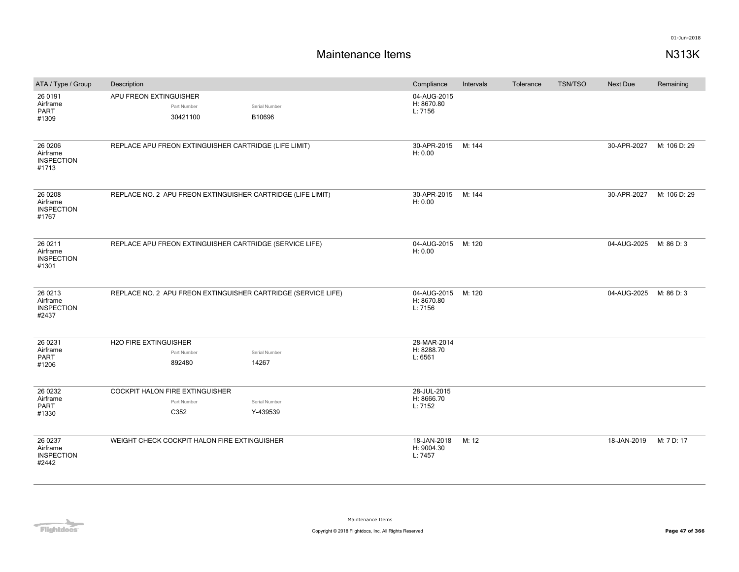| ATA / Type / Group                                 | Description                                                   |                         | Compliance                           | Intervals | Tolerance | <b>TSN/TSO</b> | Next Due    | Remaining    |
|----------------------------------------------------|---------------------------------------------------------------|-------------------------|--------------------------------------|-----------|-----------|----------------|-------------|--------------|
| 26 0191<br>Airframe<br>PART<br>#1309               | APU FREON EXTINGUISHER<br>Part Number<br>30421100             | Serial Number<br>B10696 | 04-AUG-2015<br>H: 8670.80<br>L: 7156 |           |           |                |             |              |
| 26 0 206<br>Airframe<br><b>INSPECTION</b><br>#1713 | REPLACE APU FREON EXTINGUISHER CARTRIDGE (LIFE LIMIT)         |                         | 30-APR-2015<br>H: 0.00               | M: 144    |           |                | 30-APR-2027 | M: 106 D: 29 |
| 26 0 208<br>Airframe<br><b>INSPECTION</b><br>#1767 | REPLACE NO. 2 APU FREON EXTINGUISHER CARTRIDGE (LIFE LIMIT)   |                         | 30-APR-2015<br>H: 0.00               | M: 144    |           |                | 30-APR-2027 | M: 106 D: 29 |
| 26 0211<br>Airframe<br><b>INSPECTION</b><br>#1301  | REPLACE APU FREON EXTINGUISHER CARTRIDGE (SERVICE LIFE)       |                         | 04-AUG-2015<br>H: 0.00               | M: 120    |           |                | 04-AUG-2025 | M: 86 D: 3   |
| 26 0213<br>Airframe<br><b>INSPECTION</b><br>#2437  | REPLACE NO. 2 APU FREON EXTINGUISHER CARTRIDGE (SERVICE LIFE) |                         | 04-AUG-2015<br>H: 8670.80<br>L: 7156 | M: 120    |           |                | 04-AUG-2025 | M: 86 D: 3   |
| 26 0231                                            | H2O FIRE EXTINGUISHER                                         |                         | 28-MAR-2014                          |           |           |                |             |              |
| Airframe<br>PART                                   | Part Number                                                   | Serial Number           | H: 8288.70<br>L: 6561                |           |           |                |             |              |
| #1206                                              | 892480                                                        | 14267                   |                                      |           |           |                |             |              |
| 26 0232                                            | COCKPIT HALON FIRE EXTINGUISHER                               |                         | 28-JUL-2015                          |           |           |                |             |              |
| Airframe<br>PART                                   | Part Number                                                   | Serial Number           | H: 8666.70<br>L: 7152                |           |           |                |             |              |
| #1330                                              | C352                                                          | Y-439539                |                                      |           |           |                |             |              |
| 26 0237<br>Airframe<br><b>INSPECTION</b><br>#2442  | WEIGHT CHECK COCKPIT HALON FIRE EXTINGUISHER                  |                         | 18-JAN-2018<br>H: 9004.30<br>L: 7457 | M: 12     |           |                | 18-JAN-2019 | M: 7 D: 17   |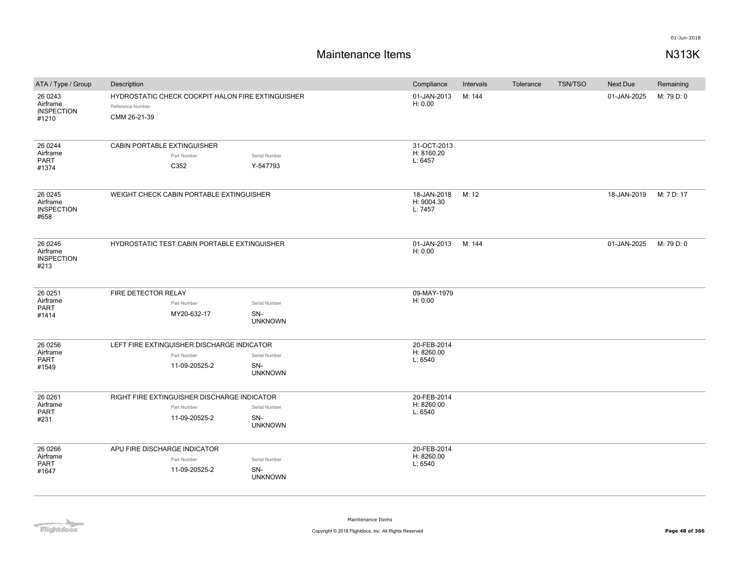| ATA / Type / Group                                 | Description                                                                                                           | Compliance                           | Intervals | Tolerance | <b>TSN/TSO</b> | Next Due    | Remaining  |
|----------------------------------------------------|-----------------------------------------------------------------------------------------------------------------------|--------------------------------------|-----------|-----------|----------------|-------------|------------|
| 26 0 243<br>Airframe<br><b>INSPECTION</b><br>#1210 | HYDROSTATIC CHECK COCKPIT HALON FIRE EXTINGUISHER<br>Reference Number<br>CMM 26-21-39                                 | 01-JAN-2013<br>H: 0.00               | M: 144    |           |                | 01-JAN-2025 | M: 79 D: 0 |
| 26 0 244<br>Airframe<br><b>PART</b><br>#1374       | CABIN PORTABLE EXTINGUISHER<br>Part Number<br>Serial Number<br>C352<br>Y-547793                                       | 31-OCT-2013<br>H: 8160.20<br>L: 6457 |           |           |                |             |            |
| 26 0 245<br>Airframe<br><b>INSPECTION</b><br>#658  | WEIGHT CHECK CABIN PORTABLE EXTINGUISHER                                                                              | 18-JAN-2018<br>H: 9004.30<br>L: 7457 | M: 12     |           |                | 18-JAN-2019 | M: 7 D: 17 |
| 26 0 246<br>Airframe<br><b>INSPECTION</b><br>#213  | HYDROSTATIC TEST CABIN PORTABLE EXTINGUISHER                                                                          | 01-JAN-2013<br>H: 0.00               | M: 144    |           |                | 01-JAN-2025 | M: 79 D: 0 |
| 26 0 251<br>Airframe<br><b>PART</b><br>#1414       | FIRE DETECTOR RELAY<br>Part Number<br>Serial Number<br>SN-<br>MY20-632-17<br><b>UNKNOWN</b>                           | 09-MAY-1979<br>H: 0.00               |           |           |                |             |            |
| 26 0 256<br>Airframe<br>PART<br>#1549              | LEFT FIRE EXTINGUISHER DISCHARGE INDICATOR<br>Part Number<br>Serial Number<br>SN-<br>11-09-20525-2<br><b>UNKNOWN</b>  | 20-FEB-2014<br>H: 8260.00<br>L: 6540 |           |           |                |             |            |
| 26 0 261<br>Airframe<br><b>PART</b><br>#231        | RIGHT FIRE EXTINGUISHER DISCHARGE INDICATOR<br>Part Number<br>Serial Number<br>11-09-20525-2<br>SN-<br><b>UNKNOWN</b> | 20-FEB-2014<br>H: 8260.00<br>L: 6540 |           |           |                |             |            |
| 26 0 266<br>Airframe<br>PART<br>#1647              | APU FIRE DISCHARGE INDICATOR<br>Part Number<br>Serial Number<br>11-09-20525-2<br>SN-<br><b>UNKNOWN</b>                | 20-FEB-2014<br>H: 8260.00<br>L: 6540 |           |           |                |             |            |

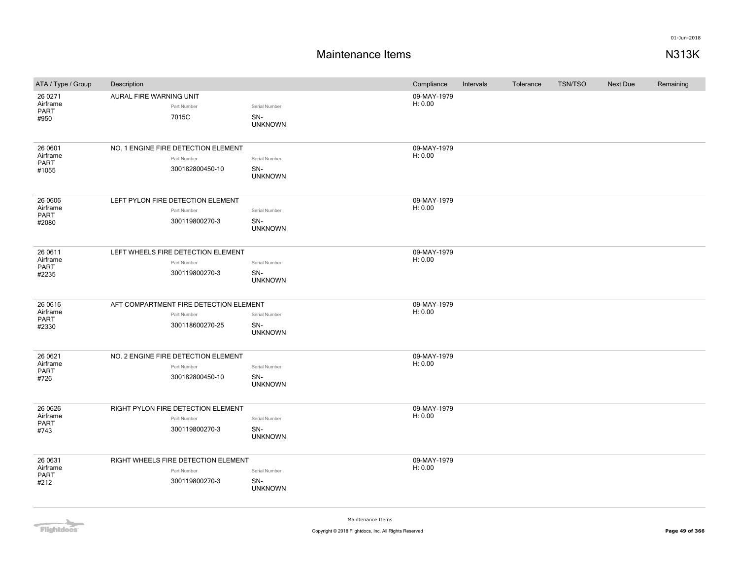### **Maintenance Items N313K**

| ATA / Type / Group                    | Description                                                              |                                        | Compliance             | Intervals | Tolerance | <b>TSN/TSO</b> | Next Due | Remaining |
|---------------------------------------|--------------------------------------------------------------------------|----------------------------------------|------------------------|-----------|-----------|----------------|----------|-----------|
| 26 0 271<br>Airframe<br>PART<br>#950  | AURAL FIRE WARNING UNIT<br>Part Number<br>7015C                          | Serial Number<br>SN-<br><b>UNKNOWN</b> | 09-MAY-1979<br>H: 0.00 |           |           |                |          |           |
| 26 0601<br>Airframe<br>PART<br>#1055  | NO. 1 ENGINE FIRE DETECTION ELEMENT<br>Part Number<br>300182800450-10    | Serial Number<br>SN-<br><b>UNKNOWN</b> | 09-MAY-1979<br>H: 0.00 |           |           |                |          |           |
| 26 0606<br>Airframe<br>PART<br>#2080  | LEFT PYLON FIRE DETECTION ELEMENT<br>Part Number<br>300119800270-3       | Serial Number<br>SN-<br><b>UNKNOWN</b> | 09-MAY-1979<br>H: 0.00 |           |           |                |          |           |
| 26 0611<br>Airframe<br>PART<br>#2235  | LEFT WHEELS FIRE DETECTION ELEMENT<br>Part Number<br>300119800270-3      | Serial Number<br>SN-<br><b>UNKNOWN</b> | 09-MAY-1979<br>H: 0.00 |           |           |                |          |           |
| 26 06 16<br>Airframe<br>PART<br>#2330 | AFT COMPARTMENT FIRE DETECTION ELEMENT<br>Part Number<br>300118600270-25 | Serial Number<br>SN-<br><b>UNKNOWN</b> | 09-MAY-1979<br>H: 0.00 |           |           |                |          |           |
| 26 06 21<br>Airframe<br>PART<br>#726  | NO. 2 ENGINE FIRE DETECTION ELEMENT<br>Part Number<br>300182800450-10    | Serial Number<br>SN-<br><b>UNKNOWN</b> | 09-MAY-1979<br>H: 0.00 |           |           |                |          |           |
| 26 06 26<br>Airframe<br>PART<br>#743  | RIGHT PYLON FIRE DETECTION ELEMENT<br>Part Number<br>300119800270-3      | Serial Number<br>SN-<br><b>UNKNOWN</b> | 09-MAY-1979<br>H: 0.00 |           |           |                |          |           |
| 26 0631<br>Airframe<br>PART<br>#212   | RIGHT WHEELS FIRE DETECTION ELEMENT<br>Part Number<br>300119800270-3     | Serial Number<br>SN-<br><b>UNKNOWN</b> | 09-MAY-1979<br>H: 0.00 |           |           |                |          |           |

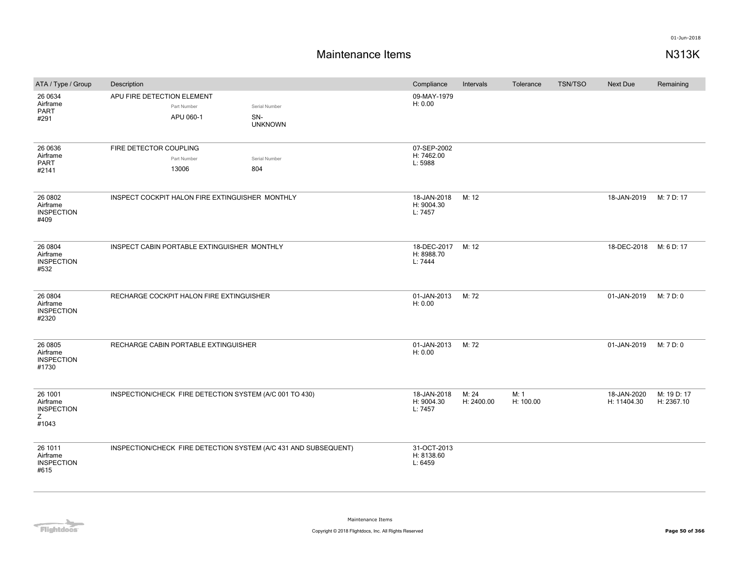| ATA / Type / Group                                     | Description                                             |                                                                 | Compliance                           | Intervals           | Tolerance         | <b>TSN/TSO</b> | <b>Next Due</b>            | Remaining                 |
|--------------------------------------------------------|---------------------------------------------------------|-----------------------------------------------------------------|--------------------------------------|---------------------|-------------------|----------------|----------------------------|---------------------------|
| 26 0634<br>Airframe<br>PART<br>#291                    | APU FIRE DETECTION ELEMENT<br>Part Number<br>APU 060-1  | Serial Number<br>SN-<br><b>UNKNOWN</b>                          | 09-MAY-1979<br>H: 0.00               |                     |                   |                |                            |                           |
| 26 0636<br>Airframe<br>PART<br>#2141                   | FIRE DETECTOR COUPLING<br>Part Number<br>13006          | Serial Number<br>804                                            | 07-SEP-2002<br>H: 7462.00<br>L: 5988 |                     |                   |                |                            |                           |
| 26 0802<br>Airframe<br><b>INSPECTION</b><br>#409       | INSPECT COCKPIT HALON FIRE EXTINGUISHER MONTHLY         |                                                                 | 18-JAN-2018<br>H: 9004.30<br>L: 7457 | M: 12               |                   |                | 18-JAN-2019                | M: 7 D: 17                |
| 26 0804<br>Airframe<br><b>INSPECTION</b><br>#532       | INSPECT CABIN PORTABLE EXTINGUISHER MONTHLY             |                                                                 | 18-DEC-2017<br>H: 8988.70<br>L: 7444 | M: 12               |                   |                | 18-DEC-2018                | M: 6 D: 17                |
| 26 0804<br>Airframe<br><b>INSPECTION</b><br>#2320      | RECHARGE COCKPIT HALON FIRE EXTINGUISHER                |                                                                 | 01-JAN-2013<br>H: 0.00               | M: 72               |                   |                | 01-JAN-2019                | M: 7 D: 0                 |
| 26 0805<br>Airframe<br><b>INSPECTION</b><br>#1730      | RECHARGE CABIN PORTABLE EXTINGUISHER                    |                                                                 | 01-JAN-2013<br>H: 0.00               | M: 72               |                   |                | 01-JAN-2019                | M: 7 D: 0                 |
| 26 1001<br>Airframe<br><b>INSPECTION</b><br>Ζ<br>#1043 | INSPECTION/CHECK FIRE DETECTION SYSTEM (A/C 001 TO 430) |                                                                 | 18-JAN-2018<br>H: 9004.30<br>L: 7457 | M: 24<br>H: 2400.00 | M: 1<br>H: 100.00 |                | 18-JAN-2020<br>H: 11404.30 | M: 19 D: 17<br>H: 2367.10 |
| 26 1011<br>Airframe<br><b>INSPECTION</b><br>#615       |                                                         | INSPECTION/CHECK FIRE DETECTION SYSTEM (A/C 431 AND SUBSEQUENT) | 31-OCT-2013<br>H: 8138.60<br>L: 6459 |                     |                   |                |                            |                           |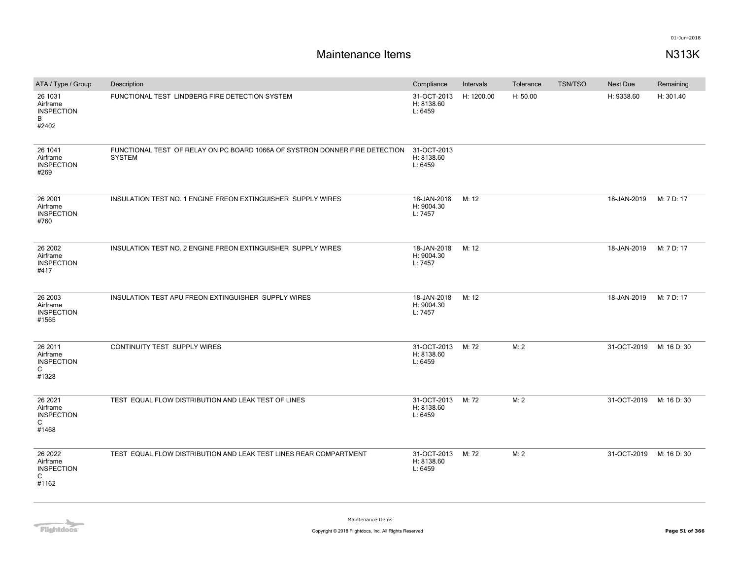# **Maintenance Items N313K**

| ATA / Type / Group                                     | Description                                                                                  | Compliance                                 | Intervals  | Tolerance | <b>TSN/TSO</b> | Next Due    | Remaining   |
|--------------------------------------------------------|----------------------------------------------------------------------------------------------|--------------------------------------------|------------|-----------|----------------|-------------|-------------|
| 26 1031<br>Airframe<br><b>INSPECTION</b><br>B<br>#2402 | FUNCTIONAL TEST LINDBERG FIRE DETECTION SYSTEM                                               | 31-OCT-2013<br>H: 8138.60<br>L: 6459       | H: 1200.00 | H: 50.00  |                | H: 9338.60  | H: 301.40   |
| 26 1041<br>Airframe<br><b>INSPECTION</b><br>#269       | FUNCTIONAL TEST OF RELAY ON PC BOARD 1066A OF SYSTRON DONNER FIRE DETECTION<br><b>SYSTEM</b> | 31-OCT-2013<br>H: 8138.60<br>L: 6459       |            |           |                |             |             |
| 26 2001<br>Airframe<br><b>INSPECTION</b><br>#760       | INSULATION TEST NO. 1 ENGINE FREON EXTINGUISHER SUPPLY WIRES                                 | 18-JAN-2018<br>H: 9004.30<br>L: 7457       | M: 12      |           |                | 18-JAN-2019 | M: 7 D: 17  |
| 26 2002<br>Airframe<br><b>INSPECTION</b><br>#417       | INSULATION TEST NO. 2 ENGINE FREON EXTINGUISHER SUPPLY WIRES                                 | 18-JAN-2018<br>H: 9004.30<br>L: 7457       | M: 12      |           |                | 18-JAN-2019 | M: 7 D: 17  |
| 26 2003<br>Airframe<br><b>INSPECTION</b><br>#1565      | INSULATION TEST APU FREON EXTINGUISHER SUPPLY WIRES                                          | 18-JAN-2018<br>H: 9004.30<br>L: 7457       | M: 12      |           |                | 18-JAN-2019 | M: 7 D: 17  |
| 26 2011<br>Airframe<br><b>INSPECTION</b><br>C<br>#1328 | CONTINUITY TEST SUPPLY WIRES                                                                 | 31-OCT-2013<br>H: 8138.60<br>L: 6459       | M: 72      | M: 2      |                | 31-OCT-2019 | M: 16 D: 30 |
| 26 2021<br>Airframe<br><b>INSPECTION</b><br>C<br>#1468 | TEST EQUAL FLOW DISTRIBUTION AND LEAK TEST OF LINES                                          | 31-OCT-2013 M: 72<br>H: 8138.60<br>L: 6459 |            | M: 2      |                | 31-OCT-2019 | M: 16 D: 30 |
| 26 2022<br>Airframe<br><b>INSPECTION</b><br>C<br>#1162 | TEST EQUAL FLOW DISTRIBUTION AND LEAK TEST LINES REAR COMPARTMENT                            | 31-OCT-2013<br>H: 8138.60<br>L: 6459       | M: 72      | M: 2      |                | 31-OCT-2019 | M: 16 D: 30 |

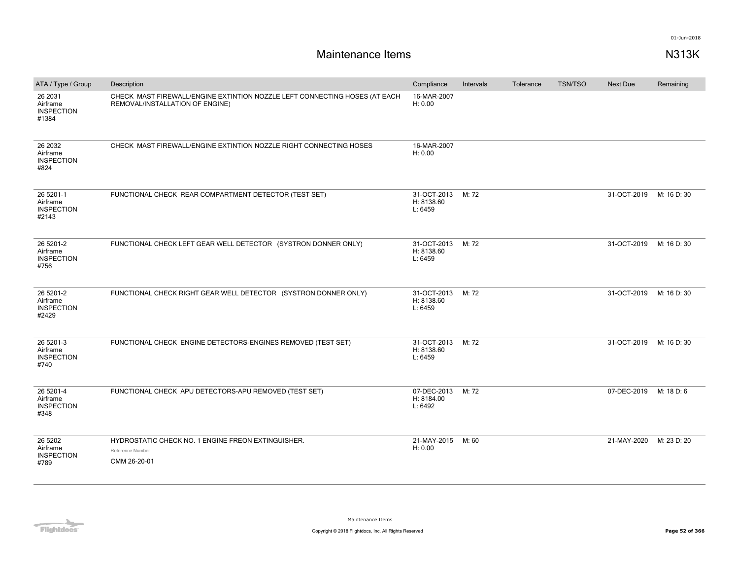| ATA / Type / Group                                  | Description                                                                                                   | Compliance                           | Intervals | Tolerance | <b>TSN/TSO</b> | Next Due    | Remaining   |
|-----------------------------------------------------|---------------------------------------------------------------------------------------------------------------|--------------------------------------|-----------|-----------|----------------|-------------|-------------|
| 26 2031<br>Airframe<br><b>INSPECTION</b><br>#1384   | CHECK MAST FIREWALL/ENGINE EXTINTION NOZZLE LEFT CONNECTING HOSES (AT EACH<br>REMOVAL/INSTALLATION OF ENGINE) | 16-MAR-2007<br>H: 0.00               |           |           |                |             |             |
| 26 2032<br>Airframe<br><b>INSPECTION</b><br>#824    | CHECK MAST FIREWALL/ENGINE EXTINTION NOZZLE RIGHT CONNECTING HOSES                                            | 16-MAR-2007<br>H: 0.00               |           |           |                |             |             |
| 26 5201-1<br>Airframe<br><b>INSPECTION</b><br>#2143 | FUNCTIONAL CHECK REAR COMPARTMENT DETECTOR (TEST SET)                                                         | 31-OCT-2013<br>H: 8138.60<br>L: 6459 | M: 72     |           |                | 31-OCT-2019 | M: 16 D: 30 |
| 26 5201-2<br>Airframe<br><b>INSPECTION</b><br>#756  | FUNCTIONAL CHECK LEFT GEAR WELL DETECTOR (SYSTRON DONNER ONLY)                                                | 31-OCT-2013<br>H: 8138.60<br>L: 6459 | M: 72     |           |                | 31-OCT-2019 | M: 16 D: 30 |
| 26 5201-2<br>Airframe<br><b>INSPECTION</b><br>#2429 | FUNCTIONAL CHECK RIGHT GEAR WELL DETECTOR (SYSTRON DONNER ONLY)                                               | 31-OCT-2013<br>H: 8138.60<br>L: 6459 | M: 72     |           |                | 31-OCT-2019 | M: 16 D: 30 |
| 26 5201-3<br>Airframe<br><b>INSPECTION</b><br>#740  | FUNCTIONAL CHECK ENGINE DETECTORS-ENGINES REMOVED (TEST SET)                                                  | 31-OCT-2013<br>H: 8138.60<br>L: 6459 | M: 72     |           |                | 31-OCT-2019 | M: 16 D: 30 |
| 26 5201-4<br>Airframe<br><b>INSPECTION</b><br>#348  | FUNCTIONAL CHECK APU DETECTORS-APU REMOVED (TEST SET)                                                         | 07-DEC-2013<br>H: 8184.00<br>L: 6492 | M: 72     |           |                | 07-DEC-2019 | M: 18 D: 6  |
| 26 5 20 2<br>Airframe<br><b>INSPECTION</b><br>#789  | HYDROSTATIC CHECK NO. 1 ENGINE FREON EXTINGUISHER.<br>Reference Number<br>CMM 26-20-01                        | 21-MAY-2015<br>H: 0.00               | M: 60     |           |                | 21-MAY-2020 | M: 23 D: 20 |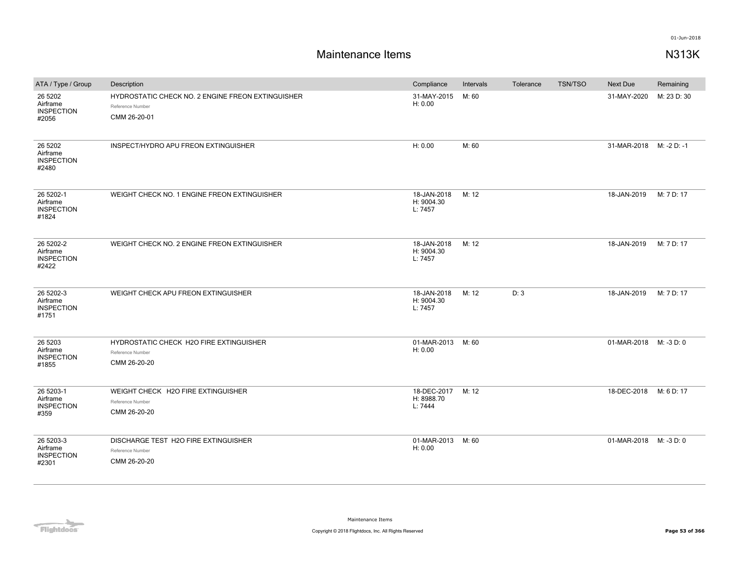| ATA / Type / Group                                  | Description                                                                           | Compliance                           | Intervals | Tolerance | TSN/TSO | <b>Next Due</b>        | Remaining   |
|-----------------------------------------------------|---------------------------------------------------------------------------------------|--------------------------------------|-----------|-----------|---------|------------------------|-------------|
| 26 5 20 2<br>Airframe<br><b>INSPECTION</b><br>#2056 | HYDROSTATIC CHECK NO. 2 ENGINE FREON EXTINGUISHER<br>Reference Number<br>CMM 26-20-01 | 31-MAY-2015<br>H: 0.00               | M: 60     |           |         | 31-MAY-2020            | M: 23 D: 30 |
| 26 5 20 2<br>Airframe<br><b>INSPECTION</b><br>#2480 | INSPECT/HYDRO APU FREON EXTINGUISHER                                                  | H: 0.00                              | M: 60     |           |         | 31-MAR-2018            | M: -2 D: -1 |
| 26 5202-1<br>Airframe<br><b>INSPECTION</b><br>#1824 | WEIGHT CHECK NO. 1 ENGINE FREON EXTINGUISHER                                          | 18-JAN-2018<br>H: 9004.30<br>L: 7457 | M: 12     |           |         | 18-JAN-2019            | M: 7 D: 17  |
| 26 5202-2<br>Airframe<br><b>INSPECTION</b><br>#2422 | WEIGHT CHECK NO. 2 ENGINE FREON EXTINGUISHER                                          | 18-JAN-2018<br>H: 9004.30<br>L: 7457 | M: 12     |           |         | 18-JAN-2019            | M: 7 D: 17  |
| 26 5202-3<br>Airframe<br><b>INSPECTION</b><br>#1751 | WEIGHT CHECK APU FREON EXTINGUISHER                                                   | 18-JAN-2018<br>H: 9004.30<br>L: 7457 | M: 12     | D: 3      |         | 18-JAN-2019            | M: 7 D: 17  |
| 26 5 203<br>Airframe<br><b>INSPECTION</b><br>#1855  | HYDROSTATIC CHECK H2O FIRE EXTINGUISHER<br>Reference Number<br>CMM 26-20-20           | 01-MAR-2013<br>H: 0.00               | M: 60     |           |         | 01-MAR-2018 M: -3 D: 0 |             |
| 26 5203-1<br>Airframe<br><b>INSPECTION</b><br>#359  | WEIGHT CHECK H2O FIRE EXTINGUISHER<br>Reference Number<br>CMM 26-20-20                | 18-DEC-2017<br>H: 8988.70<br>L: 7444 | M: 12     |           |         | 18-DEC-2018            | M: 6 D: 17  |
| 26 5203-3<br>Airframe<br><b>INSPECTION</b><br>#2301 | DISCHARGE TEST H2O FIRE EXTINGUISHER<br>Reference Number<br>CMM 26-20-20              | 01-MAR-2013<br>H: 0.00               | M: 60     |           |         | 01-MAR-2018 M: -3 D: 0 |             |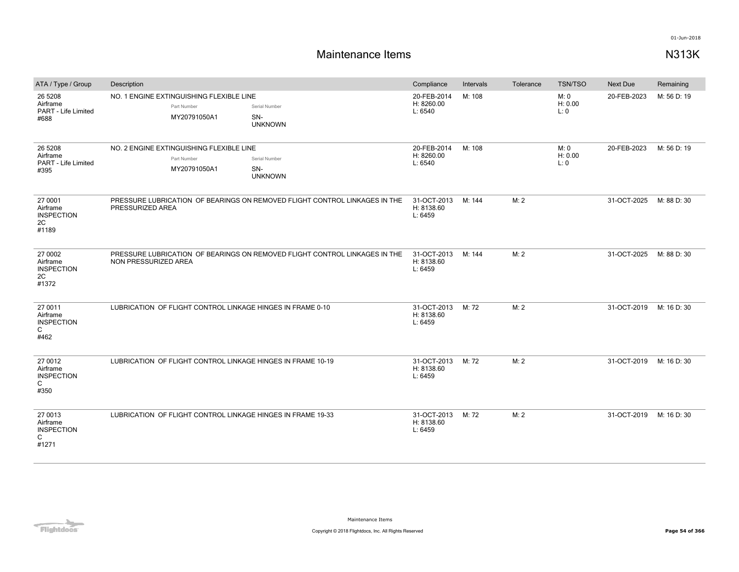| ATA / Type / Group                                                | Description                                                                                                       | Compliance                           | Intervals | Tolerance | <b>TSN/TSO</b>         | Next Due    | Remaining   |
|-------------------------------------------------------------------|-------------------------------------------------------------------------------------------------------------------|--------------------------------------|-----------|-----------|------------------------|-------------|-------------|
| 26 5 208<br>Airframe<br>PART - Life Limited<br>#688               | NO. 1 ENGINE EXTINGUISHING FLEXIBLE LINE<br>Part Number<br>Serial Number<br>MY20791050A1<br>SN-<br><b>UNKNOWN</b> | 20-FEB-2014<br>H: 8260.00<br>L: 6540 | M: 108    |           | M: 0<br>H: 0.00<br>L:0 | 20-FEB-2023 | M: 56 D: 19 |
| 26 5 208<br>Airframe<br>PART - Life Limited<br>#395               | NO. 2 ENGINE EXTINGUISHING FLEXIBLE LINE<br>Part Number<br>Serial Number<br>MY20791050A1<br>SN-<br><b>UNKNOWN</b> | 20-FEB-2014<br>H: 8260.00<br>L: 6540 | M: 108    |           | M: 0<br>H: 0.00<br>L:0 | 20-FEB-2023 | M: 56 D: 19 |
| 27 0001<br>Airframe<br><b>INSPECTION</b><br>2C<br>#1189           | PRESSURE LUBRICATION OF BEARINGS ON REMOVED FLIGHT CONTROL LINKAGES IN THE<br>PRESSURIZED AREA                    | 31-OCT-2013<br>H: 8138.60<br>L: 6459 | M: 144    | M: 2      |                        | 31-OCT-2025 | M: 88 D: 30 |
| 27 0002<br>Airframe<br><b>INSPECTION</b><br>2C<br>#1372           | PRESSURE LUBRICATION OF BEARINGS ON REMOVED FLIGHT CONTROL LINKAGES IN THE<br>NON PRESSURIZED AREA                | 31-OCT-2013<br>H: 8138.60<br>L: 6459 | M: 144    | M: 2      |                        | 31-OCT-2025 | M: 88 D: 30 |
| 27 0011<br>Airframe<br><b>INSPECTION</b><br>C<br>#462             | LUBRICATION OF FLIGHT CONTROL LINKAGE HINGES IN FRAME 0-10                                                        | 31-OCT-2013<br>H: 8138.60<br>L: 6459 | M: 72     | M: 2      |                        | 31-OCT-2019 | M: 16 D: 30 |
| 27 0012<br>Airframe<br><b>INSPECTION</b><br>C<br>#350             | LUBRICATION OF FLIGHT CONTROL LINKAGE HINGES IN FRAME 10-19                                                       | 31-OCT-2013<br>H: 8138.60<br>L: 6459 | M: 72     | M: 2      |                        | 31-OCT-2019 | M: 16 D: 30 |
| 27 0013<br>Airframe<br><b>INSPECTION</b><br>$\mathsf{C}$<br>#1271 | LUBRICATION OF FLIGHT CONTROL LINKAGE HINGES IN FRAME 19-33                                                       | 31-OCT-2013<br>H: 8138.60<br>L: 6459 | M: 72     | M: 2      |                        | 31-OCT-2019 | M: 16 D: 30 |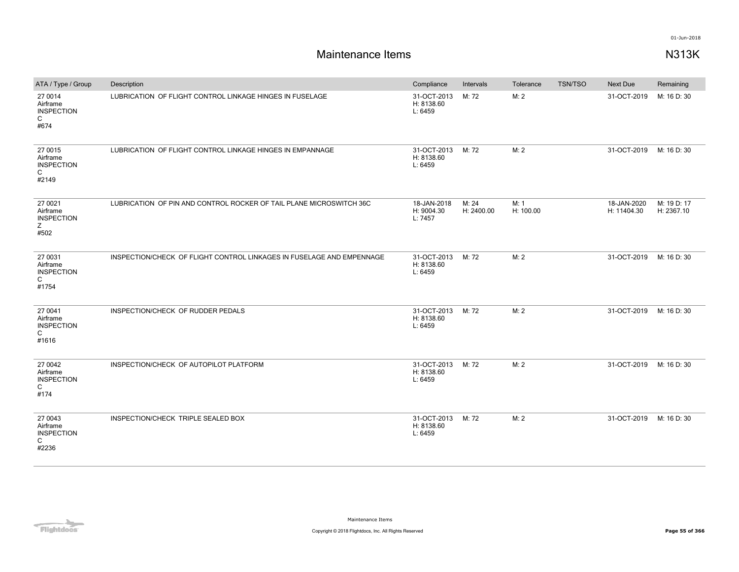| ATA / Type / Group                                                | Description                                                           | Compliance                                 | Intervals           | Tolerance         | TSN/TSO | Next Due                   | Remaining                 |
|-------------------------------------------------------------------|-----------------------------------------------------------------------|--------------------------------------------|---------------------|-------------------|---------|----------------------------|---------------------------|
| 27 0014<br>Airframe<br><b>INSPECTION</b><br>$\mathsf{C}$<br>#674  | LUBRICATION OF FLIGHT CONTROL LINKAGE HINGES IN FUSELAGE              | 31-OCT-2013<br>H: 8138.60<br>L: 6459       | M: 72               | M: 2              |         | 31-OCT-2019                | M: 16 D: 30               |
| 27 0015<br>Airframe<br><b>INSPECTION</b><br>$\mathsf{C}$<br>#2149 | LUBRICATION OF FLIGHT CONTROL LINKAGE HINGES IN EMPANNAGE             | 31-OCT-2013<br>H: 8138.60<br>L: 6459       | M: 72               | M: 2              |         | 31-OCT-2019                | M: 16 D: 30               |
| 27 0021<br>Airframe<br><b>INSPECTION</b><br>Ζ<br>#502             | LUBRICATION OF PIN AND CONTROL ROCKER OF TAIL PLANE MICROSWITCH 36C   | 18-JAN-2018<br>H: 9004.30<br>L: 7457       | M: 24<br>H: 2400.00 | M: 1<br>H: 100.00 |         | 18-JAN-2020<br>H: 11404.30 | M: 19 D: 17<br>H: 2367.10 |
| 27 0031<br>Airframe<br><b>INSPECTION</b><br>C<br>#1754            | INSPECTION/CHECK OF FLIGHT CONTROL LINKAGES IN FUSELAGE AND EMPENNAGE | 31-OCT-2013 M: 72<br>H: 8138.60<br>L: 6459 |                     | M: 2              |         | 31-OCT-2019                | M: 16 D: 30               |
| 27 0041<br>Airframe<br><b>INSPECTION</b><br>C<br>#1616            | INSPECTION/CHECK OF RUDDER PEDALS                                     | 31-OCT-2013<br>H: 8138.60<br>L: 6459       | M: 72               | M: 2              |         | 31-OCT-2019                | M: 16 D: 30               |
| 27 0042<br>Airframe<br><b>INSPECTION</b><br>$\mathsf{C}$<br>#174  | INSPECTION/CHECK OF AUTOPILOT PLATFORM                                | 31-OCT-2013<br>H: 8138.60<br>L: 6459       | M: 72               | M: 2              |         | 31-OCT-2019                | M: 16 D: 30               |
| 27 0043<br>Airframe<br><b>INSPECTION</b><br>C<br>#2236            | INSPECTION/CHECK TRIPLE SEALED BOX                                    | 31-OCT-2013<br>H: 8138.60<br>L: 6459       | M: 72               | M: 2              |         | 31-OCT-2019                | M: 16 D: 30               |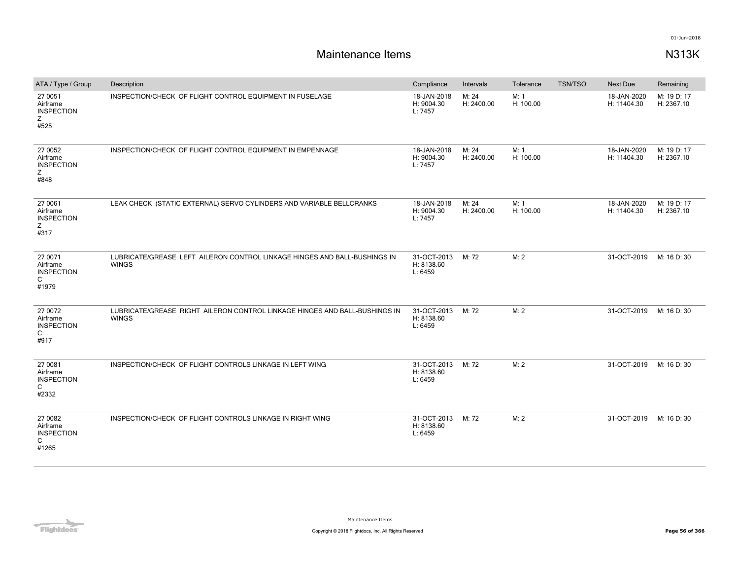| ATA / Type / Group                                     | Description                                                                                | Compliance                           | Intervals           | Tolerance         | TSN/TSO | Next Due                   | Remaining                 |
|--------------------------------------------------------|--------------------------------------------------------------------------------------------|--------------------------------------|---------------------|-------------------|---------|----------------------------|---------------------------|
| 27 0051<br>Airframe<br><b>INSPECTION</b><br>Ζ<br>#525  | INSPECTION/CHECK OF FLIGHT CONTROL EQUIPMENT IN FUSELAGE                                   | 18-JAN-2018<br>H: 9004.30<br>L: 7457 | M: 24<br>H: 2400.00 | M: 1<br>H: 100.00 |         | 18-JAN-2020<br>H: 11404.30 | M: 19 D: 17<br>H: 2367.10 |
| 27 0052<br>Airframe<br><b>INSPECTION</b><br>Ζ<br>#848  | INSPECTION/CHECK OF FLIGHT CONTROL EQUIPMENT IN EMPENNAGE                                  | 18-JAN-2018<br>H: 9004.30<br>L: 7457 | M: 24<br>H: 2400.00 | M: 1<br>H: 100.00 |         | 18-JAN-2020<br>H: 11404.30 | M: 19 D: 17<br>H: 2367.10 |
| 27 0061<br>Airframe<br><b>INSPECTION</b><br>Z<br>#317  | LEAK CHECK (STATIC EXTERNAL) SERVO CYLINDERS AND VARIABLE BELLCRANKS                       | 18-JAN-2018<br>H: 9004.30<br>L: 7457 | M: 24<br>H: 2400.00 | M: 1<br>H: 100.00 |         | 18-JAN-2020<br>H: 11404.30 | M: 19 D: 17<br>H: 2367.10 |
| 27 0071<br>Airframe<br><b>INSPECTION</b><br>C<br>#1979 | LUBRICATE/GREASE LEFT AILERON CONTROL LINKAGE HINGES AND BALL-BUSHINGS IN<br><b>WINGS</b>  | 31-OCT-2013<br>H: 8138.60<br>L: 6459 | M: 72               | M:2               |         | 31-OCT-2019                | M: 16 D: 30               |
| 27 0072<br>Airframe<br><b>INSPECTION</b><br>C<br>#917  | LUBRICATE/GREASE RIGHT AILERON CONTROL LINKAGE HINGES AND BALL-BUSHINGS IN<br><b>WINGS</b> | 31-OCT-2013<br>H: 8138.60<br>L: 6459 | M: 72               | M: 2              |         | 31-OCT-2019                | M: 16 D: 30               |
| 27 0081<br>Airframe<br><b>INSPECTION</b><br>C<br>#2332 | INSPECTION/CHECK OF FLIGHT CONTROLS LINKAGE IN LEFT WING                                   | 31-OCT-2013<br>H: 8138.60<br>L: 6459 | M: 72               | M: 2              |         | 31-OCT-2019                | M: 16 D: 30               |
| 27 0082<br>Airframe<br><b>INSPECTION</b><br>C<br>#1265 | INSPECTION/CHECK OF FLIGHT CONTROLS LINKAGE IN RIGHT WING                                  | 31-OCT-2013<br>H: 8138.60<br>L: 6459 | M: 72               | M: 2              |         | 31-OCT-2019                | M: 16 D: 30               |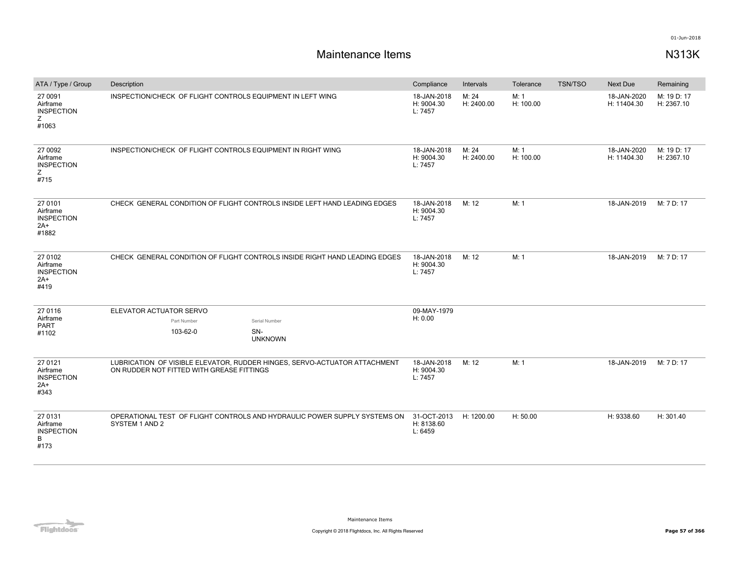| ATA / Type / Group                                         | Description                                                                                                            | Compliance                           | Intervals           | Tolerance         | <b>TSN/TSO</b> | <b>Next Due</b>            | Remaining                 |
|------------------------------------------------------------|------------------------------------------------------------------------------------------------------------------------|--------------------------------------|---------------------|-------------------|----------------|----------------------------|---------------------------|
| 27 0091<br>Airframe<br><b>INSPECTION</b><br>z<br>#1063     | INSPECTION/CHECK OF FLIGHT CONTROLS EQUIPMENT IN LEFT WING                                                             | 18-JAN-2018<br>H: 9004.30<br>L: 7457 | M: 24<br>H: 2400.00 | M: 1<br>H: 100.00 |                | 18-JAN-2020<br>H: 11404.30 | M: 19 D: 17<br>H: 2367.10 |
| 27 0092<br>Airframe<br><b>INSPECTION</b><br>Z<br>#715      | INSPECTION/CHECK OF FLIGHT CONTROLS EQUIPMENT IN RIGHT WING                                                            | 18-JAN-2018<br>H: 9004.30<br>L: 7457 | M: 24<br>H: 2400.00 | M: 1<br>H: 100.00 |                | 18-JAN-2020<br>H: 11404.30 | M: 19 D: 17<br>H: 2367.10 |
| 27 0101<br>Airframe<br><b>INSPECTION</b><br>$2A+$<br>#1882 | CHECK GENERAL CONDITION OF FLIGHT CONTROLS INSIDE LEFT HAND LEADING EDGES                                              | 18-JAN-2018<br>H: 9004.30<br>L: 7457 | M: 12               | M: 1              |                | 18-JAN-2019                | M: 7 D: 17                |
| 27 0102<br>Airframe<br><b>INSPECTION</b><br>2A+<br>#419    | CHECK GENERAL CONDITION OF FLIGHT CONTROLS INSIDE RIGHT HAND LEADING EDGES                                             | 18-JAN-2018<br>H: 9004.30<br>L: 7457 | M: 12               | M: 1              |                | 18-JAN-2019                | M: 7 D: 17                |
| 27 0116                                                    | ELEVATOR ACTUATOR SERVO                                                                                                | 09-MAY-1979                          |                     |                   |                |                            |                           |
| Airframe<br><b>PART</b>                                    | Part Number<br>Serial Number                                                                                           | H: 0.00                              |                     |                   |                |                            |                           |
| #1102                                                      | 103-62-0<br>SN-<br><b>UNKNOWN</b>                                                                                      |                                      |                     |                   |                |                            |                           |
| 27 0121<br>Airframe<br><b>INSPECTION</b><br>$2A+$<br>#343  | LUBRICATION OF VISIBLE ELEVATOR, RUDDER HINGES, SERVO-ACTUATOR ATTACHMENT<br>ON RUDDER NOT FITTED WITH GREASE FITTINGS | 18-JAN-2018<br>H: 9004.30<br>L: 7457 | M: 12               | M: 1              |                | 18-JAN-2019                | M: 7 D: 17                |
| 27 0131<br>Airframe<br><b>INSPECTION</b><br>B<br>#173      | OPERATIONAL TEST OF FLIGHT CONTROLS AND HYDRAULIC POWER SUPPLY SYSTEMS ON<br>SYSTEM 1 AND 2                            | 31-OCT-2013<br>H: 8138.60<br>L: 6459 | H: 1200.00          | H: 50.00          |                | H: 9338.60                 | H: 301.40                 |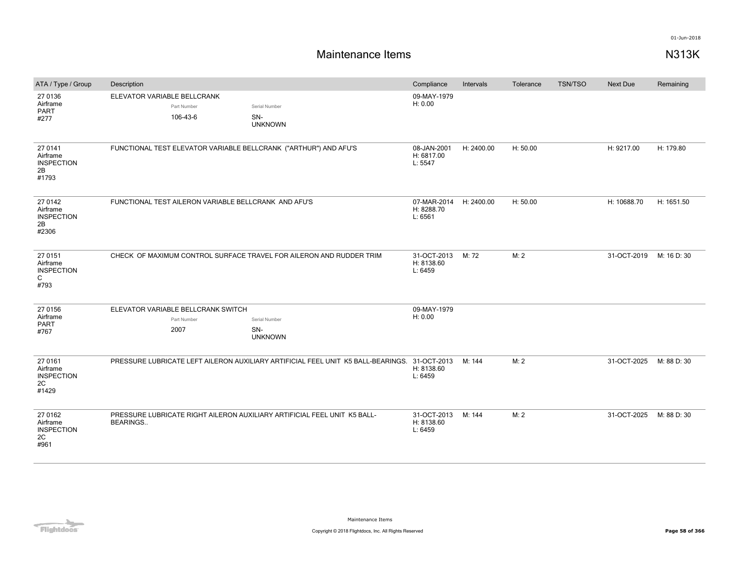| ATA / Type / Group                                               | Description                 |                                                           |                                                                                              | Compliance                           | Intervals  | Tolerance | <b>TSN/TSO</b> | <b>Next Due</b> | Remaining   |
|------------------------------------------------------------------|-----------------------------|-----------------------------------------------------------|----------------------------------------------------------------------------------------------|--------------------------------------|------------|-----------|----------------|-----------------|-------------|
| 27 0136<br>Airframe<br><b>PART</b><br>#277                       | ELEVATOR VARIABLE BELLCRANK | Part Number<br>106-43-6                                   | Serial Number<br>SN-<br><b>UNKNOWN</b>                                                       | 09-MAY-1979<br>H: 0.00               |            |           |                |                 |             |
| 27 0141<br>Airframe<br><b>INSPECTION</b><br>2B<br>#1793          |                             |                                                           | FUNCTIONAL TEST ELEVATOR VARIABLE BELLCRANK ("ARTHUR") AND AFU'S                             | 08-JAN-2001<br>H: 6817.00<br>L: 5547 | H: 2400.00 | H: 50.00  |                | H: 9217.00      | H: 179.80   |
| 27 0142<br>Airframe<br><b>INSPECTION</b><br>2B<br>#2306          |                             | FUNCTIONAL TEST AILERON VARIABLE BELLCRANK AND AFU'S      |                                                                                              | 07-MAR-2014<br>H: 8288.70<br>L: 6561 | H: 2400.00 | H: 50.00  |                | H: 10688.70     | H: 1651.50  |
| 27 0151<br>Airframe<br><b>INSPECTION</b><br>$\mathsf{C}$<br>#793 |                             |                                                           | CHECK OF MAXIMUM CONTROL SURFACE TRAVEL FOR AILERON AND RUDDER TRIM                          | 31-OCT-2013<br>H: 8138.60<br>L: 6459 | M: 72      | M: 2      |                | 31-OCT-2019     | M: 16 D: 30 |
| 27 0156<br>Airframe<br>PART<br>#767                              |                             | ELEVATOR VARIABLE BELLCRANK SWITCH<br>Part Number<br>2007 | Serial Number<br>SN-<br><b>UNKNOWN</b>                                                       | 09-MAY-1979<br>H: 0.00               |            |           |                |                 |             |
| 27 0161<br>Airframe<br><b>INSPECTION</b><br>2C<br>#1429          |                             |                                                           | PRESSURE LUBRICATE LEFT AILERON AUXILIARY ARTIFICIAL FEEL UNIT K5 BALL-BEARINGS. 31-OCT-2013 | H: 8138.60<br>L: 6459                | M: 144     | M: 2      |                | 31-OCT-2025     | M: 88 D: 30 |
| 27 0162<br>Airframe<br><b>INSPECTION</b><br>2C<br>#961           | <b>BEARINGS</b>             |                                                           | PRESSURE LUBRICATE RIGHT AILERON AUXILIARY ARTIFICIAL FEEL UNIT K5 BALL-                     | 31-OCT-2013<br>H: 8138.60<br>L: 6459 | M: 144     | M: 2      |                | 31-OCT-2025     | M: 88 D: 30 |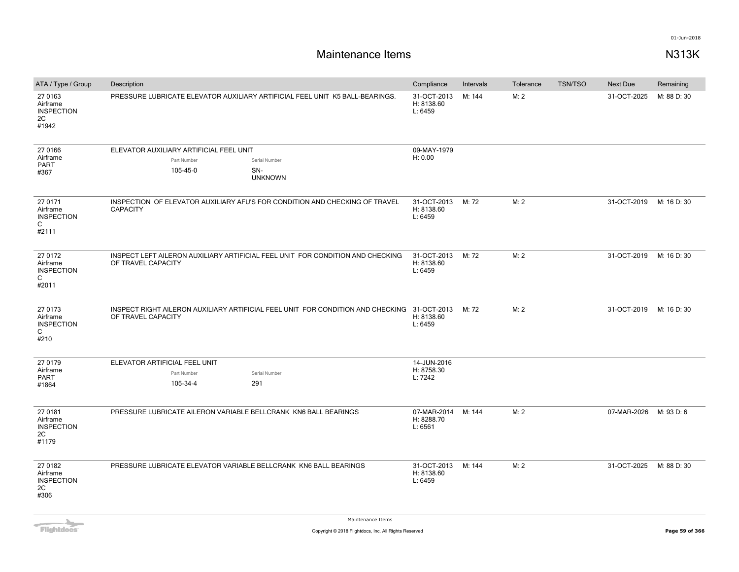| ATA / Type / Group                                      | Description                                                                  |                                                                                             | Compliance                           | Intervals | Tolerance | <b>TSN/TSO</b> | <b>Next Due</b> | Remaining   |
|---------------------------------------------------------|------------------------------------------------------------------------------|---------------------------------------------------------------------------------------------|--------------------------------------|-----------|-----------|----------------|-----------------|-------------|
| 27 0163<br>Airframe<br><b>INSPECTION</b><br>2C<br>#1942 | PRESSURE LUBRICATE ELEVATOR AUXILIARY ARTIFICIAL FEEL UNIT K5 BALL-BEARINGS. |                                                                                             | 31-OCT-2013<br>H: 8138.60<br>L: 6459 | M: 144    | M: 2      |                | 31-OCT-2025     | M: 88 D: 30 |
| 27 0166<br>Airframe                                     | ELEVATOR AUXILIARY ARTIFICIAL FEEL UNIT                                      |                                                                                             | 09-MAY-1979<br>H: 0.00               |           |           |                |                 |             |
| PART                                                    | Part Number<br>105-45-0                                                      | Serial Number<br>SN-                                                                        |                                      |           |           |                |                 |             |
| #367                                                    |                                                                              | <b>UNKNOWN</b>                                                                              |                                      |           |           |                |                 |             |
| 27 0171<br>Airframe<br><b>INSPECTION</b><br>C<br>#2111  | <b>CAPACITY</b>                                                              | INSPECTION OF ELEVATOR AUXILIARY AFU'S FOR CONDITION AND CHECKING OF TRAVEL                 | 31-OCT-2013<br>H: 8138.60<br>L: 6459 | M: 72     | M: 2      |                | 31-OCT-2019     | M: 16 D: 30 |
| 27 0172<br>Airframe<br><b>INSPECTION</b><br>C<br>#2011  | OF TRAVEL CAPACITY                                                           | INSPECT LEFT AILERON AUXILIARY ARTIFICIAL FEEL UNIT FOR CONDITION AND CHECKING              | 31-OCT-2013<br>H: 8138.60<br>L: 6459 | M: 72     | M: 2      |                | 31-OCT-2019     | M: 16 D: 30 |
| 27 0173<br>Airframe<br><b>INSPECTION</b><br>C<br>#210   | OF TRAVEL CAPACITY                                                           | INSPECT RIGHT AILERON AUXILIARY ARTIFICIAL FEEL UNIT FOR CONDITION AND CHECKING 31-OCT-2013 | H: 8138.60<br>L: 6459                | M: 72     | M: 2      |                | 31-OCT-2019     | M: 16 D: 30 |
| 27 0179                                                 | ELEVATOR ARTIFICIAL FEEL UNIT                                                |                                                                                             | 14-JUN-2016                          |           |           |                |                 |             |
| Airframe<br>PART                                        | Part Number                                                                  | Serial Number                                                                               | H: 8758.30<br>L: 7242                |           |           |                |                 |             |
| #1864                                                   | 105-34-4                                                                     | 291                                                                                         |                                      |           |           |                |                 |             |
| 27 0181<br>Airframe<br><b>INSPECTION</b><br>2C<br>#1179 | PRESSURE LUBRICATE AILERON VARIABLE BELLCRANK KN6 BALL BEARINGS              |                                                                                             | 07-MAR-2014<br>H: 8288.70<br>L: 6561 | M: 144    | M: 2      |                | 07-MAR-2026     | M: 93 D: 6  |
| 27 0182<br>Airframe<br><b>INSPECTION</b><br>2C<br>#306  | PRESSURE LUBRICATE ELEVATOR VARIABLE BELLCRANK KN6 BALL BEARINGS             |                                                                                             | 31-OCT-2013<br>H: 8138.60<br>L: 6459 | M: 144    | M: 2      |                | 31-OCT-2025     | M: 88 D: 30 |

Flightdocs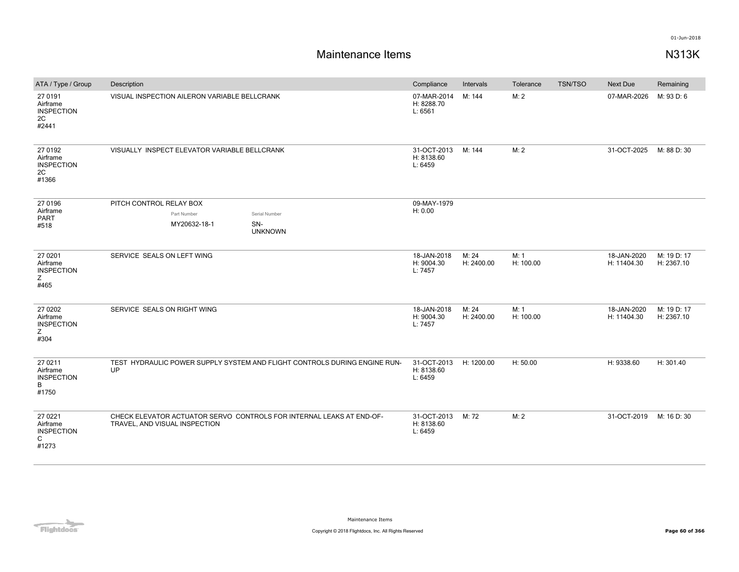| ATA / Type / Group                                      | Description                                  |                                                                           | Compliance                           | Intervals           | Tolerance         | <b>TSN/TSO</b> | Next Due                   | Remaining                 |
|---------------------------------------------------------|----------------------------------------------|---------------------------------------------------------------------------|--------------------------------------|---------------------|-------------------|----------------|----------------------------|---------------------------|
| 27 0191<br>Airframe<br><b>INSPECTION</b><br>2C<br>#2441 | VISUAL INSPECTION AILERON VARIABLE BELLCRANK |                                                                           | 07-MAR-2014<br>H: 8288.70<br>L: 6561 | M: 144              | M: 2              |                | 07-MAR-2026                | M: 93 D: 6                |
| 27 0192<br>Airframe<br><b>INSPECTION</b><br>2C<br>#1366 | VISUALLY INSPECT ELEVATOR VARIABLE BELLCRANK |                                                                           |                                      | M: 144              | M: 2              |                | 31-OCT-2025                | M: 88 D: 30               |
| 27 0196                                                 | PITCH CONTROL RELAY BOX                      |                                                                           | 09-MAY-1979<br>H: 0.00               |                     |                   |                |                            |                           |
| Airframe<br>PART                                        | Part Number                                  | Serial Number                                                             |                                      |                     |                   |                |                            |                           |
| #518                                                    | MY20632-18-1                                 | SN-<br><b>UNKNOWN</b>                                                     |                                      |                     |                   |                |                            |                           |
| 27 0201<br>Airframe<br><b>INSPECTION</b><br>Z<br>#465   | SERVICE SEALS ON LEFT WING                   |                                                                           | 18-JAN-2018<br>H: 9004.30<br>L: 7457 | M: 24<br>H: 2400.00 | M: 1<br>H: 100.00 |                | 18-JAN-2020<br>H: 11404.30 | M: 19 D: 17<br>H: 2367.10 |
| 27 0 20 2<br>Airframe<br><b>INSPECTION</b><br>Ζ<br>#304 | SERVICE SEALS ON RIGHT WING                  |                                                                           | 18-JAN-2018<br>H: 9004.30<br>L: 7457 | M: 24<br>H: 2400.00 | M: 1<br>H: 100.00 |                | 18-JAN-2020<br>H: 11404.30 | M: 19 D: 17<br>H: 2367.10 |
| 27 0211<br>Airframe<br><b>INSPECTION</b><br>B<br>#1750  | UP                                           | TEST HYDRAULIC POWER SUPPLY SYSTEM AND FLIGHT CONTROLS DURING ENGINE RUN- | 31-OCT-2013<br>H: 8138.60<br>L: 6459 | H: 1200.00          | H: 50.00          |                | H: 9338.60                 | H: 301.40                 |
| 27 0221<br>Airframe<br><b>INSPECTION</b><br>C<br>#1273  | TRAVEL, AND VISUAL INSPECTION                | CHECK ELEVATOR ACTUATOR SERVO CONTROLS FOR INTERNAL LEAKS AT END-OF-      | 31-OCT-2013<br>H: 8138.60<br>L: 6459 | M: 72               | M: 2              |                | 31-OCT-2019                | M: 16 D: 30               |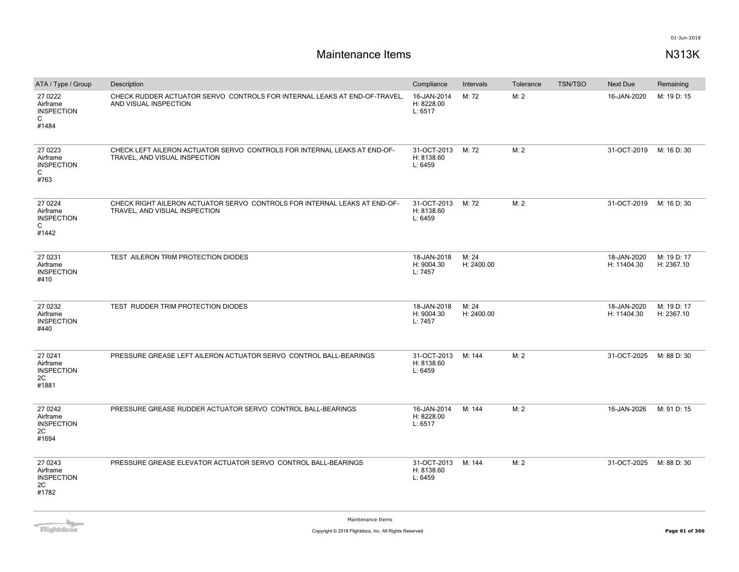# **Maintenance Items N313K**

| ATA / Type / Group                                                | Description                                                                                                | Compliance                           | Intervals           | Tolerance | <b>TSN/TSO</b> | <b>Next Due</b>            | Remaining                 |
|-------------------------------------------------------------------|------------------------------------------------------------------------------------------------------------|--------------------------------------|---------------------|-----------|----------------|----------------------------|---------------------------|
| 27 0222<br>Airframe<br><b>INSPECTION</b><br>C<br>#1484            | CHECK RUDDER ACTUATOR SERVO CONTROLS FOR INTERNAL LEAKS AT END-OF-TRAVEL.<br>AND VISUAL INSPECTION         | 16-JAN-2014<br>H: 8228.00<br>L: 6517 | M: 72               | M: 2      |                | 16-JAN-2020                | M: 19 D: 15               |
| 27 0223<br>Airframe<br><b>INSPECTION</b><br>$\mathsf{C}$<br>#763  | CHECK LEFT AILERON ACTUATOR SERVO CONTROLS FOR INTERNAL LEAKS AT END-OF-<br>TRAVEL, AND VISUAL INSPECTION  | 31-OCT-2013<br>H: 8138.60<br>L: 6459 | M: 72               | M: 2      |                | 31-OCT-2019                | M: 16 D: 30               |
| 27 0224<br>Airframe<br><b>INSPECTION</b><br>$\mathsf{C}$<br>#1442 | CHECK RIGHT AILERON ACTUATOR SERVO CONTROLS FOR INTERNAL LEAKS AT END-OF-<br>TRAVEL, AND VISUAL INSPECTION | 31-OCT-2013<br>H: 8138.60<br>L: 6459 | M: 72               | M: 2      |                | 31-OCT-2019                | M: 16 D: 30               |
| 27 0231<br>Airframe<br><b>INSPECTION</b><br>#410                  | TEST AILERON TRIM PROTECTION DIODES                                                                        | 18-JAN-2018<br>H: 9004.30<br>L: 7457 | M: 24<br>H: 2400.00 |           |                | 18-JAN-2020<br>H: 11404.30 | M: 19 D: 17<br>H: 2367.10 |
| 27 0232<br>Airframe<br><b>INSPECTION</b><br>#440                  | TEST RUDDER TRIM PROTECTION DIODES                                                                         | 18-JAN-2018<br>H: 9004.30<br>L: 7457 | M: 24<br>H: 2400.00 |           |                | 18-JAN-2020<br>H: 11404.30 | M: 19 D: 17<br>H: 2367.10 |
| 27 0241<br>Airframe<br><b>INSPECTION</b><br>2C<br>#1881           | PRESSURE GREASE LEFT AILERON ACTUATOR SERVO CONTROL BALL-BEARINGS                                          | 31-OCT-2013<br>H: 8138.60<br>L: 6459 | M: 144              | M: 2      |                | 31-OCT-2025                | M: 88 D: 30               |
| 27 0 24 2<br>Airframe<br><b>INSPECTION</b><br>2C<br>#1694         | PRESSURE GREASE RUDDER ACTUATOR SERVO CONTROL BALL-BEARINGS                                                | 16-JAN-2014<br>H: 8228.00<br>L: 6517 | M: 144              | M: 2      |                | 16-JAN-2026                | M: 91 D: 15               |
| 27 0243<br>Airframe<br><b>INSPECTION</b><br>2C<br>#1782           | PRESSURE GREASE ELEVATOR ACTUATOR SERVO CONTROL BALL-BEARINGS                                              | 31-OCT-2013<br>H: 8138.60<br>L: 6459 | M: 144              | M: 2      |                | 31-OCT-2025                | M: 88 D: 30               |

**Flightdocs**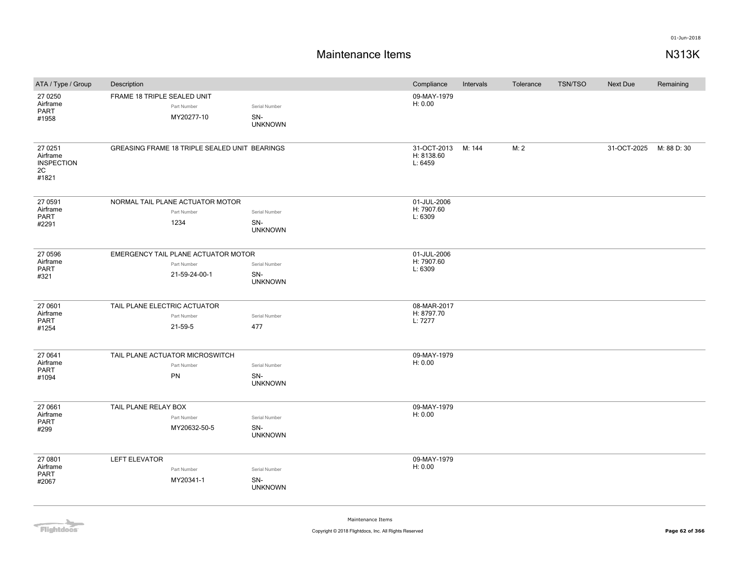# **Maintenance Items N313K**

| ATA / Type / Group                                      | Description                  |                                               |                                        | Compliance                           | Intervals | Tolerance | <b>TSN/TSO</b> | <b>Next Due</b> | Remaining   |
|---------------------------------------------------------|------------------------------|-----------------------------------------------|----------------------------------------|--------------------------------------|-----------|-----------|----------------|-----------------|-------------|
| 27 0250<br>Airframe<br>PART<br>#1958                    | FRAME 18 TRIPLE SEALED UNIT  | Part Number<br>MY20277-10                     | Serial Number<br>SN-<br><b>UNKNOWN</b> | 09-MAY-1979<br>H: 0.00               |           |           |                |                 |             |
| 27 0251<br>Airframe<br><b>INSPECTION</b><br>2C<br>#1821 |                              | GREASING FRAME 18 TRIPLE SEALED UNIT BEARINGS |                                        | 31-OCT-2013<br>H: 8138.60<br>L: 6459 | M: 144    | M: 2      |                | 31-OCT-2025     | M: 88 D: 30 |
| 27 0591<br>Airframe                                     |                              | NORMAL TAIL PLANE ACTUATOR MOTOR              |                                        | 01-JUL-2006<br>H: 7907.60            |           |           |                |                 |             |
| <b>PART</b>                                             |                              | Part Number                                   | Serial Number                          | L: 6309                              |           |           |                |                 |             |
| #2291                                                   |                              | 1234                                          | SN-<br><b>UNKNOWN</b>                  |                                      |           |           |                |                 |             |
| 27 0596                                                 |                              | EMERGENCY TAIL PLANE ACTUATOR MOTOR           |                                        | 01-JUL-2006                          |           |           |                |                 |             |
| Airframe<br>PART                                        |                              | Part Number                                   | Serial Number                          | H: 7907.60<br>L: 6309                |           |           |                |                 |             |
| #321                                                    |                              | 21-59-24-00-1                                 | SN-<br><b>UNKNOWN</b>                  |                                      |           |           |                |                 |             |
| 27 0601                                                 | TAIL PLANE ELECTRIC ACTUATOR |                                               |                                        |                                      |           |           |                |                 |             |
| Airframe<br>PART                                        |                              | Part Number                                   | Serial Number                          | H: 8797.70<br>L: 7277                |           |           |                |                 |             |
| #1254                                                   |                              | 21-59-5                                       | 477                                    |                                      |           |           |                |                 |             |
| 27 0641                                                 |                              | TAIL PLANE ACTUATOR MICROSWITCH               |                                        | 09-MAY-1979                          |           |           |                |                 |             |
| Airframe<br><b>PART</b>                                 |                              | Part Number                                   | Serial Number                          | H: 0.00                              |           |           |                |                 |             |
| #1094                                                   |                              | PN                                            | SN-<br><b>UNKNOWN</b>                  |                                      |           |           |                |                 |             |
| 27 0661                                                 | TAIL PLANE RELAY BOX         |                                               |                                        | 09-MAY-1979                          |           |           |                |                 |             |
| Airframe<br>PART                                        |                              | Part Number                                   | Serial Number                          | H: 0.00                              |           |           |                |                 |             |
| #299                                                    |                              | MY20632-50-5                                  | SN-<br><b>UNKNOWN</b>                  |                                      |           |           |                |                 |             |
| 27 0801                                                 | <b>LEFT ELEVATOR</b>         |                                               |                                        | 09-MAY-1979                          |           |           |                |                 |             |
| Airframe                                                |                              | Part Number                                   | Serial Number                          | H: 0.00                              |           |           |                |                 |             |
| PART<br>#2067                                           |                              | MY20341-1                                     | SN-<br><b>UNKNOWN</b>                  |                                      |           |           |                |                 |             |

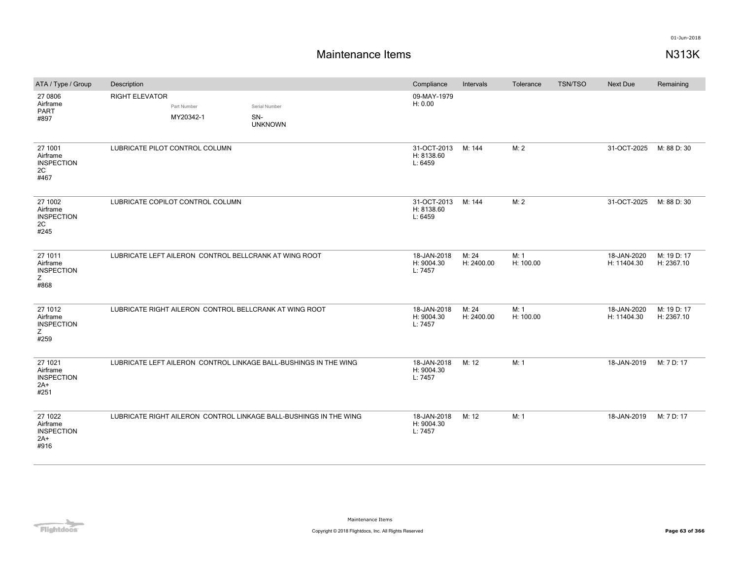| ATA / Type / Group                                        | Description           |                                                       |                                                                   | Compliance                           | Intervals           | Tolerance         | <b>TSN/TSO</b> | <b>Next Due</b>            | Remaining                 |
|-----------------------------------------------------------|-----------------------|-------------------------------------------------------|-------------------------------------------------------------------|--------------------------------------|---------------------|-------------------|----------------|----------------------------|---------------------------|
| 27 0806<br>Airframe<br><b>PART</b><br>#897                | <b>RIGHT ELEVATOR</b> | Part Number<br>MY20342-1                              | Serial Number<br>SN-<br><b>UNKNOWN</b>                            | 09-MAY-1979<br>H: 0.00               |                     |                   |                |                            |                           |
| 27 1001<br>Airframe<br><b>INSPECTION</b><br>2C<br>#467    |                       | LUBRICATE PILOT CONTROL COLUMN                        |                                                                   | 31-OCT-2013<br>H: 8138.60<br>L: 6459 | M: 144              | M: 2              |                | 31-OCT-2025                | M: 88 D: 30               |
| 27 1002<br>Airframe<br><b>INSPECTION</b><br>2C<br>#245    |                       | LUBRICATE COPILOT CONTROL COLUMN                      |                                                                   | 31-OCT-2013<br>H: 8138.60<br>L: 6459 | M: 144              | M: 2              |                | 31-OCT-2025                | M: 88 D: 30               |
| 27 1011<br>Airframe<br><b>INSPECTION</b><br>Z<br>#868     |                       | LUBRICATE LEFT AILERON CONTROL BELLCRANK AT WING ROOT |                                                                   | 18-JAN-2018<br>H: 9004.30<br>L: 7457 | M: 24<br>H: 2400.00 | M: 1<br>H: 100.00 |                | 18-JAN-2020<br>H: 11404.30 | M: 19 D: 17<br>H: 2367.10 |
| 27 1012<br>Airframe<br><b>INSPECTION</b><br>Z<br>#259     |                       |                                                       | LUBRICATE RIGHT AILERON CONTROL BELLCRANK AT WING ROOT            | 18-JAN-2018<br>H: 9004.30<br>L: 7457 | M: 24<br>H: 2400.00 | M: 1<br>H: 100.00 |                | 18-JAN-2020<br>H: 11404.30 | M: 19 D: 17<br>H: 2367.10 |
| 27 1021<br>Airframe<br><b>INSPECTION</b><br>$2A+$<br>#251 |                       |                                                       | LUBRICATE LEFT AILERON CONTROL LINKAGE BALL-BUSHINGS IN THE WING  | 18-JAN-2018<br>H: 9004.30<br>L: 7457 | M: 12               | M: 1              |                | 18-JAN-2019                | M: 7 D: 17                |
| 27 1022<br>Airframe<br><b>INSPECTION</b><br>$2A+$<br>#916 |                       |                                                       | LUBRICATE RIGHT AILERON CONTROL LINKAGE BALL-BUSHINGS IN THE WING | 18-JAN-2018<br>H: 9004.30<br>L: 7457 | M: 12               | M: 1              |                | 18-JAN-2019                | M: 7 D: 17                |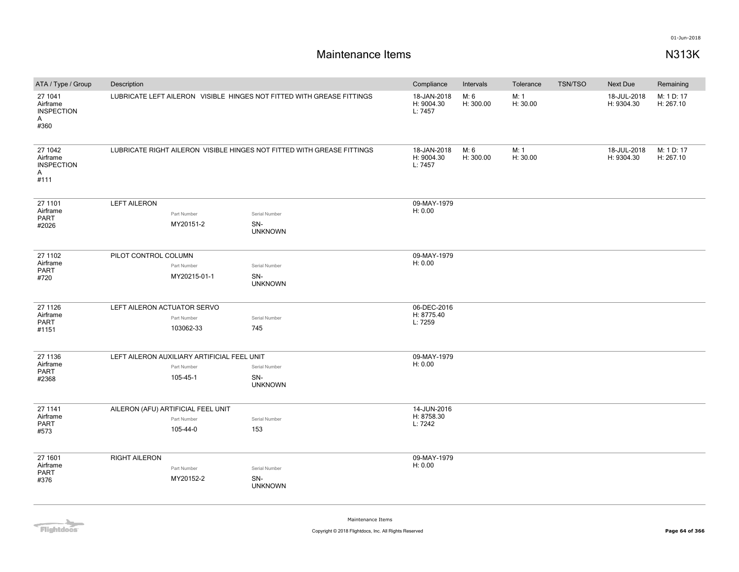# **Maintenance Items N313K**

| ATA / Type / Group                                    | Description                 |                                                                        |                                      | Compliance            | Intervals         | Tolerance        | <b>TSN/TSO</b>            | Next Due                  | Remaining               |
|-------------------------------------------------------|-----------------------------|------------------------------------------------------------------------|--------------------------------------|-----------------------|-------------------|------------------|---------------------------|---------------------------|-------------------------|
| 27 1041<br>Airframe<br><b>INSPECTION</b><br>A<br>#360 |                             | LUBRICATE LEFT AILERON VISIBLE HINGES NOT FITTED WITH GREASE FITTINGS  | 18-JAN-2018<br>H: 9004.30<br>L: 7457 | M: 6<br>H: 300.00     | M: 1<br>H: 30.00  |                  | 18-JUL-2018<br>H: 9304.30 | M: 1 D: 17<br>H: 267.10   |                         |
| 27 1042<br>Airframe<br><b>INSPECTION</b><br>A<br>#111 |                             | LUBRICATE RIGHT AILERON VISIBLE HINGES NOT FITTED WITH GREASE FITTINGS |                                      |                       | M: 6<br>H: 300.00 | M: 1<br>H: 30.00 |                           | 18-JUL-2018<br>H: 9304.30 | M: 1 D: 17<br>H: 267.10 |
| 27 1101                                               | <b>LEFT AILERON</b>         |                                                                        |                                      | 09-MAY-1979           |                   |                  |                           |                           |                         |
| Airframe<br>PART                                      |                             | Part Number                                                            | Serial Number                        | H: 0.00               |                   |                  |                           |                           |                         |
| #2026                                                 |                             | MY20151-2                                                              | SN-<br><b>UNKNOWN</b>                |                       |                   |                  |                           |                           |                         |
| 27 1102                                               | PILOT CONTROL COLUMN        |                                                                        |                                      | 09-MAY-1979           |                   |                  |                           |                           |                         |
| Airframe<br><b>PART</b>                               |                             | Part Number                                                            | Serial Number                        | H: 0.00               |                   |                  |                           |                           |                         |
| #720                                                  |                             | MY20215-01-1                                                           | SN-<br><b>UNKNOWN</b>                |                       |                   |                  |                           |                           |                         |
| 27 1126                                               | LEFT AILERON ACTUATOR SERVO |                                                                        | 06-DEC-2016                          |                       |                   |                  |                           |                           |                         |
| Airframe<br><b>PART</b>                               |                             | Part Number                                                            | Serial Number                        | H: 8775.40<br>L: 7259 |                   |                  |                           |                           |                         |
| #1151                                                 |                             | 103062-33                                                              | 745                                  |                       |                   |                  |                           |                           |                         |
| 27 1136                                               |                             | LEFT AILERON AUXILIARY ARTIFICIAL FEEL UNIT                            |                                      | 09-MAY-1979           |                   |                  |                           |                           |                         |
| Airframe<br>PART                                      |                             | Part Number                                                            | Serial Number                        | H: 0.00               |                   |                  |                           |                           |                         |
| #2368                                                 |                             | 105-45-1                                                               | SN-<br><b>UNKNOWN</b>                |                       |                   |                  |                           |                           |                         |
| 27 1141                                               |                             | AILERON (AFU) ARTIFICIAL FEEL UNIT                                     |                                      | 14-JUN-2016           |                   |                  |                           |                           |                         |
| Airframe<br>PART                                      |                             | Part Number                                                            | Serial Number                        | H: 8758.30<br>L: 7242 |                   |                  |                           |                           |                         |
| #573                                                  |                             | 105-44-0                                                               | 153                                  |                       |                   |                  |                           |                           |                         |
| 27 1601                                               | <b>RIGHT AILERON</b>        |                                                                        |                                      | 09-MAY-1979           |                   |                  |                           |                           |                         |
| Airframe                                              |                             | Part Number                                                            | Serial Number                        | H: 0.00               |                   |                  |                           |                           |                         |
| PART<br>#376                                          |                             | MY20152-2                                                              | SN-<br><b>UNKNOWN</b>                |                       |                   |                  |                           |                           |                         |

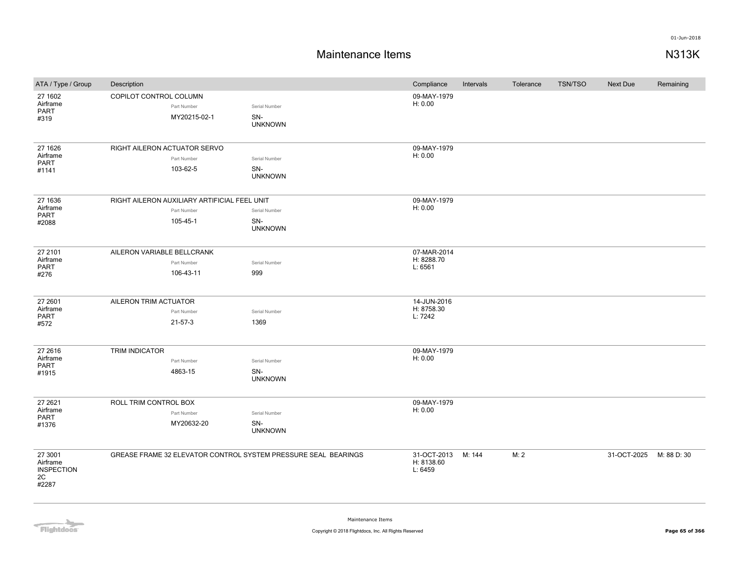### **Maintenance Items N313K**

| ATA / Type / Group                                      | Description                                                    |                                        | Compliance                           | Intervals | Tolerance | <b>TSN/TSO</b> | <b>Next Due</b> | Remaining   |
|---------------------------------------------------------|----------------------------------------------------------------|----------------------------------------|--------------------------------------|-----------|-----------|----------------|-----------------|-------------|
| 27 1602<br>Airframe<br>PART<br>#319                     | COPILOT CONTROL COLUMN<br>Part Number<br>MY20215-02-1          | Serial Number<br>SN-<br><b>UNKNOWN</b> | 09-MAY-1979<br>H: 0.00               |           |           |                |                 |             |
| 27 1626                                                 | RIGHT AILERON ACTUATOR SERVO                                   |                                        | 09-MAY-1979                          |           |           |                |                 |             |
| Airframe<br><b>PART</b>                                 | Part Number                                                    | Serial Number                          | H: 0.00                              |           |           |                |                 |             |
| #1141                                                   | 103-62-5                                                       | SN-<br><b>UNKNOWN</b>                  |                                      |           |           |                |                 |             |
| 27 1636                                                 | RIGHT AILERON AUXILIARY ARTIFICIAL FEEL UNIT                   |                                        | 09-MAY-1979                          |           |           |                |                 |             |
| Airframe<br><b>PART</b>                                 | Part Number                                                    | Serial Number                          | H: 0.00                              |           |           |                |                 |             |
| #2088                                                   | 105-45-1                                                       | SN-<br><b>UNKNOWN</b>                  |                                      |           |           |                |                 |             |
| 27 2101                                                 | AILERON VARIABLE BELLCRANK                                     |                                        | 07-MAR-2014                          |           |           |                |                 |             |
| Airframe<br>PART                                        | Part Number                                                    | Serial Number                          | H: 8288.70<br>L: 6561                |           |           |                |                 |             |
| #276                                                    | 106-43-11                                                      | 999                                    |                                      |           |           |                |                 |             |
| 27 2601                                                 | AILERON TRIM ACTUATOR                                          |                                        | 14-JUN-2016                          |           |           |                |                 |             |
| Airframe<br><b>PART</b>                                 | Part Number                                                    | Serial Number                          | H: 8758.30<br>L: 7242                |           |           |                |                 |             |
| #572                                                    | $21 - 57 - 3$                                                  | 1369                                   |                                      |           |           |                |                 |             |
| 27 26 16<br>Airframe                                    | TRIM INDICATOR                                                 |                                        | 09-MAY-1979<br>H: 0.00               |           |           |                |                 |             |
| PART                                                    | Part Number                                                    | Serial Number                          |                                      |           |           |                |                 |             |
| #1915                                                   | 4863-15                                                        | SN-<br><b>UNKNOWN</b>                  |                                      |           |           |                |                 |             |
| 27 26 21                                                | ROLL TRIM CONTROL BOX                                          |                                        | 09-MAY-1979                          |           |           |                |                 |             |
| Airframe<br>PART                                        | Part Number                                                    | Serial Number                          | H: 0.00                              |           |           |                |                 |             |
| #1376                                                   | MY20632-20                                                     | SN-<br><b>UNKNOWN</b>                  |                                      |           |           |                |                 |             |
| 27 3001<br>Airframe<br><b>INSPECTION</b><br>2C<br>#2287 | GREASE FRAME 32 ELEVATOR CONTROL SYSTEM PRESSURE SEAL BEARINGS |                                        | 31-OCT-2013<br>H: 8138.60<br>L: 6459 | M: 144    | M: 2      |                | 31-OCT-2025     | M: 88 D: 30 |

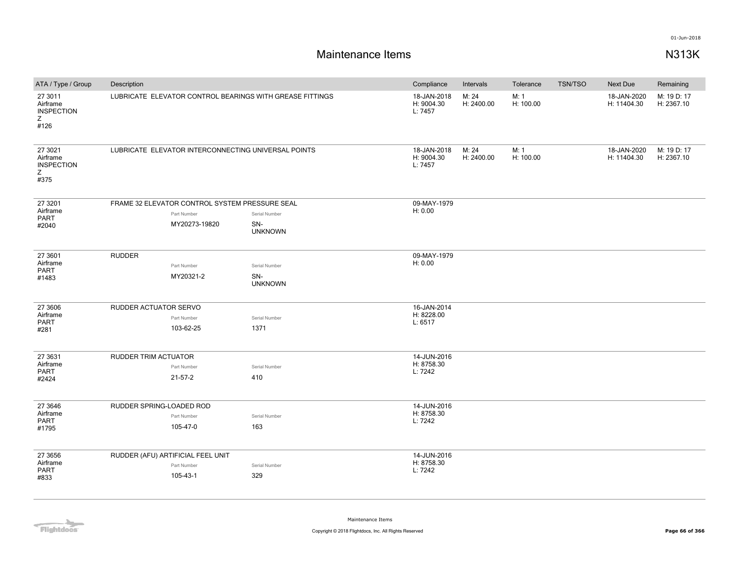| ATA / Type / Group                                     | Description                                              |                                                                                                       |                                        | Compliance                           | Intervals           | Tolerance         | <b>TSN/TSO</b> | Next Due                   | Remaining                 |
|--------------------------------------------------------|----------------------------------------------------------|-------------------------------------------------------------------------------------------------------|----------------------------------------|--------------------------------------|---------------------|-------------------|----------------|----------------------------|---------------------------|
| 27 3011<br>Airframe<br><b>INSPECTION</b><br>Z<br>#126  | LUBRICATE ELEVATOR CONTROL BEARINGS WITH GREASE FITTINGS |                                                                                                       |                                        | 18-JAN-2018<br>H: 9004.30<br>L: 7457 | M: 24<br>H: 2400.00 | M: 1<br>H: 100.00 |                | 18-JAN-2020<br>H: 11404.30 | M: 19 D: 17<br>H: 2367.10 |
| 27 30 21<br>Airframe<br><b>INSPECTION</b><br>Z<br>#375 |                                                          | LUBRICATE ELEVATOR INTERCONNECTING UNIVERSAL POINTS<br>FRAME 32 ELEVATOR CONTROL SYSTEM PRESSURE SEAL |                                        |                                      | M: 24<br>H: 2400.00 | M: 1<br>H: 100.00 |                | 18-JAN-2020<br>H: 11404.30 | M: 19 D: 17<br>H: 2367.10 |
| 27 3201                                                |                                                          |                                                                                                       |                                        | 09-MAY-1979                          |                     |                   |                |                            |                           |
| Airframe<br><b>PART</b><br>#2040                       |                                                          | Part Number<br>MY20273-19820                                                                          | Serial Number<br>SN-<br><b>UNKNOWN</b> | H: 0.00                              |                     |                   |                |                            |                           |
| 27 3601<br>Airframe<br><b>PART</b><br>#1483            | <b>RUDDER</b>                                            | Part Number<br>MY20321-2                                                                              | Serial Number<br>SN-<br><b>UNKNOWN</b> | 09-MAY-1979<br>H: 0.00               |                     |                   |                |                            |                           |
| 27 3606<br>Airframe                                    | RUDDER ACTUATOR SERVO                                    |                                                                                                       |                                        | 16-JAN-2014<br>H: 8228.00            |                     |                   |                |                            |                           |
| <b>PART</b><br>#281                                    |                                                          | Part Number<br>103-62-25                                                                              | Serial Number<br>1371                  | L: 6517                              |                     |                   |                |                            |                           |
| 27 3631                                                | RUDDER TRIM ACTUATOR                                     |                                                                                                       |                                        | 14-JUN-2016                          |                     |                   |                |                            |                           |
| Airframe<br><b>PART</b>                                |                                                          | Part Number                                                                                           | Serial Number                          | H: 8758.30<br>L: 7242                |                     |                   |                |                            |                           |
| #2424                                                  |                                                          | $21 - 57 - 2$                                                                                         | 410                                    |                                      |                     |                   |                |                            |                           |
| 27 3646                                                | RUDDER SPRING-LOADED ROD                                 |                                                                                                       |                                        | 14-JUN-2016                          |                     |                   |                |                            |                           |
| Airframe<br><b>PART</b>                                |                                                          | Part Number                                                                                           | Serial Number                          | H: 8758.30<br>L: 7242                |                     |                   |                |                            |                           |
| #1795                                                  |                                                          | 105-47-0                                                                                              | 163                                    |                                      |                     |                   |                |                            |                           |
| 27 3656                                                |                                                          | RUDDER (AFU) ARTIFICIAL FEEL UNIT                                                                     |                                        | 14-JUN-2016                          |                     |                   |                |                            |                           |
| Airframe                                               |                                                          | Part Number                                                                                           | Serial Number                          | H: 8758.30                           |                     |                   |                |                            |                           |
| <b>PART</b><br>#833                                    |                                                          | 105-43-1                                                                                              | 329                                    | L: 7242                              |                     |                   |                |                            |                           |
|                                                        |                                                          |                                                                                                       |                                        |                                      |                     |                   |                |                            |                           |

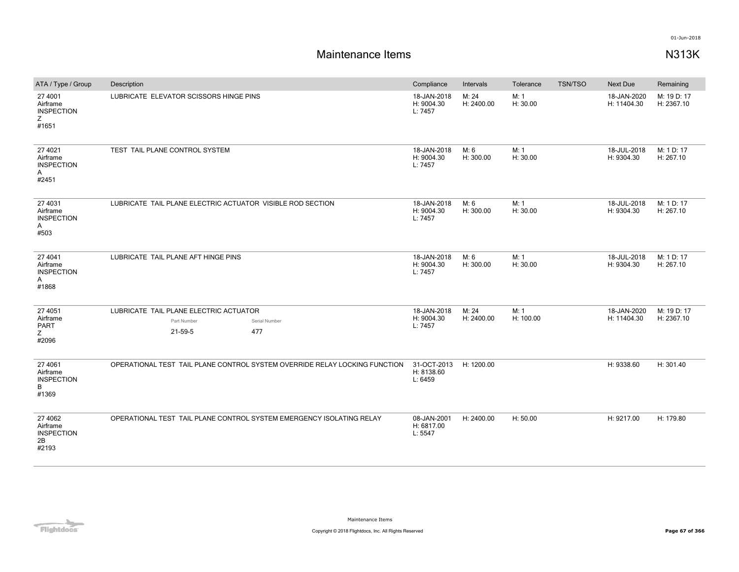| ATA / Type / Group                                       | Description                                                                              | Compliance                           | Intervals           | Tolerance         | TSN/TSO | <b>Next Due</b>            | Remaining                 |
|----------------------------------------------------------|------------------------------------------------------------------------------------------|--------------------------------------|---------------------|-------------------|---------|----------------------------|---------------------------|
| 27 4001<br>Airframe<br><b>INSPECTION</b><br>Ζ<br>#1651   | LUBRICATE ELEVATOR SCISSORS HINGE PINS                                                   | 18-JAN-2018<br>H: 9004.30<br>L: 7457 | M: 24<br>H: 2400.00 | M: 1<br>H: 30.00  |         | 18-JAN-2020<br>H: 11404.30 | M: 19 D: 17<br>H: 2367.10 |
| 27 4021<br>Airframe<br><b>INSPECTION</b><br>Α<br>#2451   | TEST TAIL PLANE CONTROL SYSTEM                                                           | 18-JAN-2018<br>H: 9004.30<br>L: 7457 | M: 6<br>H: 300.00   | M: 1<br>H: 30.00  |         | 18-JUL-2018<br>H: 9304.30  | M: 1 D: 17<br>H: 267.10   |
| 27 4031<br>Airframe<br><b>INSPECTION</b><br>Α<br>#503    | LUBRICATE TAIL PLANE ELECTRIC ACTUATOR VISIBLE ROD SECTION                               | 18-JAN-2018<br>H: 9004.30<br>L: 7457 | M: 6<br>H: 300.00   | M: 1<br>H: 30.00  |         | 18-JUL-2018<br>H: 9304.30  | M: 1 D: 17<br>H: 267.10   |
| 27 4041<br>Airframe<br><b>INSPECTION</b><br>Α<br>#1868   | LUBRICATE TAIL PLANE AFT HINGE PINS                                                      | 18-JAN-2018<br>H: 9004.30<br>L: 7457 | M: 6<br>H: 300.00   | M: 1<br>H: 30.00  |         | 18-JUL-2018<br>H: 9304.30  | M: 1 D: 17<br>H: 267.10   |
| 27 4051<br>Airframe<br><b>PART</b><br>Z<br>#2096         | LUBRICATE TAIL PLANE ELECTRIC ACTUATOR<br>Part Number<br>Serial Number<br>21-59-5<br>477 | 18-JAN-2018<br>H: 9004.30<br>L: 7457 | M: 24<br>H: 2400.00 | M: 1<br>H: 100.00 |         | 18-JAN-2020<br>H: 11404.30 | M: 19 D: 17<br>H: 2367.10 |
| 27 40 61<br>Airframe<br><b>INSPECTION</b><br>B<br>#1369  | OPERATIONAL TEST TAIL PLANE CONTROL SYSTEM OVERRIDE RELAY LOCKING FUNCTION               | 31-OCT-2013<br>H: 8138.60<br>L: 6459 | H: 1200.00          |                   |         | H: 9338.60                 | H: 301.40                 |
| 27 40 62<br>Airframe<br><b>INSPECTION</b><br>2B<br>#2193 | OPERATIONAL TEST TAIL PLANE CONTROL SYSTEM EMERGENCY ISOLATING RELAY                     | 08-JAN-2001<br>H: 6817.00<br>L: 5547 | H: 2400.00          | H: 50.00          |         | H: 9217.00                 | H: 179.80                 |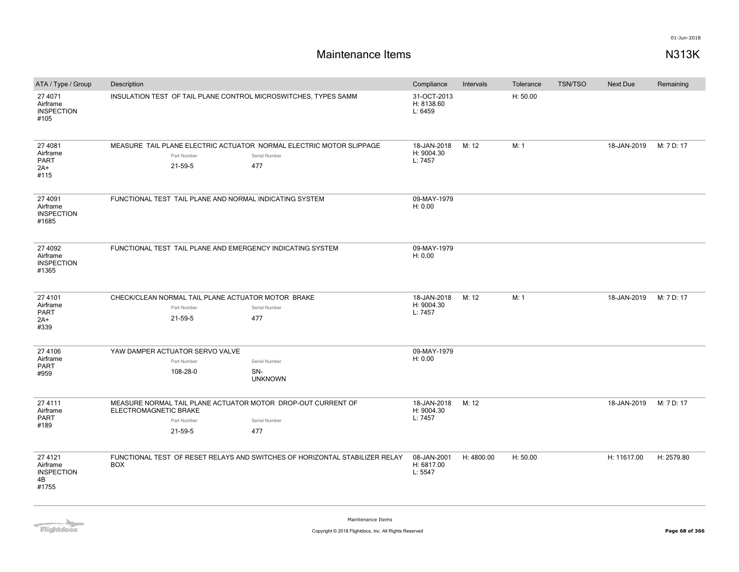| ATA / Type / Group                                       | Description                                                                                                                             |                        | Compliance                           | Intervals  | Tolerance | <b>TSN/TSO</b> | <b>Next Due</b> | Remaining  |
|----------------------------------------------------------|-----------------------------------------------------------------------------------------------------------------------------------------|------------------------|--------------------------------------|------------|-----------|----------------|-----------------|------------|
| 27 4071<br>Airframe<br><b>INSPECTION</b><br>#105         | 31-OCT-2013<br>H: 50.00<br>INSULATION TEST OF TAIL PLANE CONTROL MICROSWITCHES, TYPES SAMM<br>H: 8138.60<br>L: 6459                     |                        |                                      |            |           |                |                 |            |
| 27 4081<br>Airframe<br><b>PART</b><br>$2A+$<br>#115      | MEASURE TAIL PLANE ELECTRIC ACTUATOR NORMAL ELECTRIC MOTOR SLIPPAGE<br>Part Number<br>Serial Number<br>21-59-5<br>477                   |                        | 18-JAN-2018<br>H: 9004.30<br>L: 7457 | M: 12      | M: 1      |                | 18-JAN-2019     | M: 7 D: 17 |
| 27 4091<br>Airframe<br><b>INSPECTION</b><br>#1685        | FUNCTIONAL TEST TAIL PLANE AND NORMAL INDICATING SYSTEM                                                                                 | 09-MAY-1979<br>H: 0.00 |                                      |            |           |                |                 |            |
| 27 4092<br>Airframe<br><b>INSPECTION</b><br>#1365        | FUNCTIONAL TEST TAIL PLANE AND EMERGENCY INDICATING SYSTEM                                                                              | 09-MAY-1979<br>H: 0.00 |                                      |            |           |                |                 |            |
| 27 4101<br>Airframe<br>PART<br>$2A+$<br>#339             | CHECK/CLEAN NORMAL TAIL PLANE ACTUATOR MOTOR BRAKE<br>Part Number<br>Serial Number<br>477<br>21-59-5                                    |                        | 18-JAN-2018<br>H: 9004.30<br>L: 7457 | M: 12      | M: 1      |                | 18-JAN-2019     | M: 7 D: 17 |
| 27 4106<br>Airframe<br><b>PART</b>                       | YAW DAMPER ACTUATOR SERVO VALVE<br>Part Number<br>Serial Number                                                                         |                        | 09-MAY-1979<br>H: 0.00               |            |           |                |                 |            |
| #959                                                     | 108-28-0<br>SN-<br><b>UNKNOWN</b>                                                                                                       |                        |                                      |            |           |                |                 |            |
| 27 4111<br>Airframe<br><b>PART</b><br>#189               | MEASURE NORMAL TAIL PLANE ACTUATOR MOTOR DROP-OUT CURRENT OF<br>ELECTROMAGNETIC BRAKE<br>Part Number<br>Serial Number<br>21-59-5<br>477 |                        | 18-JAN-2018<br>H: 9004.30<br>L: 7457 | M: 12      |           |                | 18-JAN-2019     | M: 7 D: 17 |
|                                                          |                                                                                                                                         |                        |                                      |            |           |                |                 |            |
| 27 41 21<br>Airframe<br><b>INSPECTION</b><br>4B<br>#1755 | FUNCTIONAL TEST OF RESET RELAYS AND SWITCHES OF HORIZONTAL STABILIZER RELAY<br><b>BOX</b>                                               |                        | 08-JAN-2001<br>H: 6817.00<br>L: 5547 | H: 4800.00 | H: 50.00  |                | H: 11617.00     | H: 2579.80 |

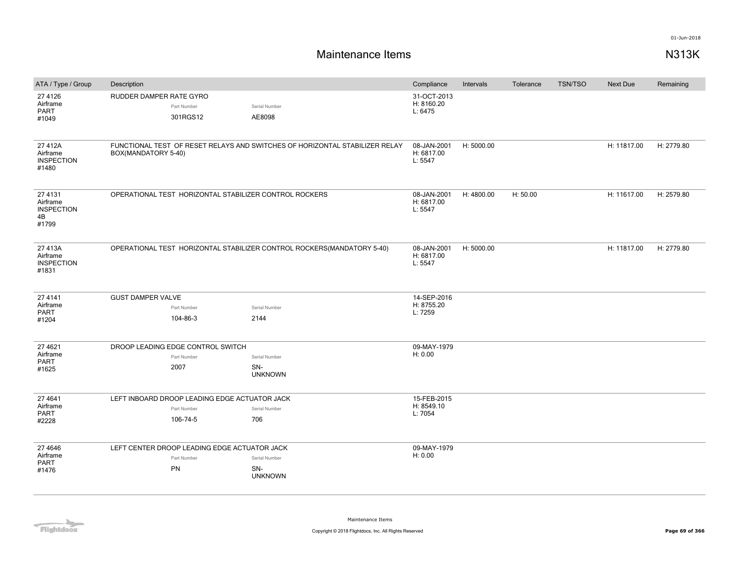| ATA / Type / Group                                      | Description                                                            |                                                                             | Compliance                           | Intervals  | Tolerance | <b>TSN/TSO</b> | <b>Next Due</b> | Remaining  |
|---------------------------------------------------------|------------------------------------------------------------------------|-----------------------------------------------------------------------------|--------------------------------------|------------|-----------|----------------|-----------------|------------|
| 27 4126<br>Airframe<br>PART<br>#1049                    | RUDDER DAMPER RATE GYRO<br>Part Number<br>301RGS12                     | Serial Number<br>AE8098                                                     | 31-OCT-2013<br>H: 8160.20<br>L: 6475 |            |           |                |                 |            |
| 27412A<br>Airframe<br><b>INSPECTION</b><br>#1480        | BOX(MANDATORY 5-40)                                                    | FUNCTIONAL TEST OF RESET RELAYS AND SWITCHES OF HORIZONTAL STABILIZER RELAY | 08-JAN-2001<br>H: 6817.00<br>L: 5547 | H: 5000.00 |           |                | H: 11817.00     | H: 2779.80 |
| 27 4131<br>Airframe<br><b>INSPECTION</b><br>4B<br>#1799 | OPERATIONAL TEST HORIZONTAL STABILIZER CONTROL ROCKERS                 |                                                                             | 08-JAN-2001<br>H: 6817.00<br>L: 5547 | H: 4800.00 | H: 50.00  |                | H: 11617.00     | H: 2579.80 |
| 27413A<br>Airframe<br><b>INSPECTION</b><br>#1831        | OPERATIONAL TEST HORIZONTAL STABILIZER CONTROL ROCKERS(MANDATORY 5-40) | 08-JAN-2001<br>H: 6817.00<br>L: 5547                                        | H: 5000.00                           |            |           | H: 11817.00    | H: 2779.80      |            |
| 27 4 1 4 1                                              | <b>GUST DAMPER VALVE</b>                                               |                                                                             | 14-SEP-2016                          |            |           |                |                 |            |
| Airframe<br>PART                                        | Part Number                                                            | Serial Number                                                               | H: 8755.20<br>L: 7259                |            |           |                |                 |            |
| #1204                                                   | 104-86-3                                                               | 2144                                                                        |                                      |            |           |                |                 |            |
| 27 4621                                                 | DROOP LEADING EDGE CONTROL SWITCH                                      |                                                                             | 09-MAY-1979                          |            |           |                |                 |            |
| Airframe                                                | Part Number                                                            | Serial Number                                                               | H: 0.00                              |            |           |                |                 |            |
| <b>PART</b><br>#1625                                    | 2007                                                                   | SN-<br><b>UNKNOWN</b>                                                       |                                      |            |           |                |                 |            |
| 27 4 64 1                                               | LEFT INBOARD DROOP LEADING EDGE ACTUATOR JACK                          |                                                                             | 15-FEB-2015                          |            |           |                |                 |            |
| Airframe                                                | Part Number                                                            | Serial Number                                                               | H: 8549.10                           |            |           |                |                 |            |
| <b>PART</b><br>#2228                                    | 106-74-5                                                               | 706                                                                         | L: 7054                              |            |           |                |                 |            |
| 27 4 64 6                                               | LEFT CENTER DROOP LEADING EDGE ACTUATOR JACK                           |                                                                             | 09-MAY-1979                          |            |           |                |                 |            |
| Airframe                                                | Part Number                                                            | Serial Number                                                               | H: 0.00                              |            |           |                |                 |            |
| PART<br>#1476                                           | PN                                                                     | SN-<br><b>UNKNOWN</b>                                                       |                                      |            |           |                |                 |            |

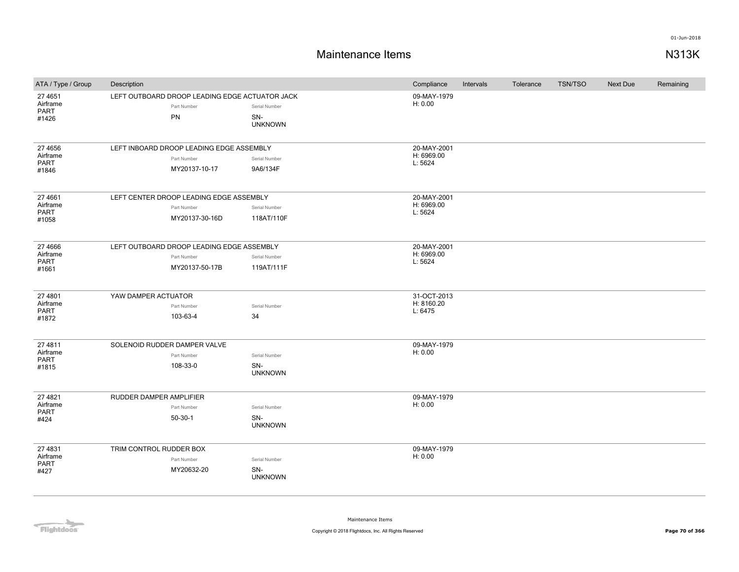### **Maintenance Items N313K**

| ATA / Type / Group                             | Description             |                                                                            |                                        | Compliance                           | Intervals | Tolerance | TSN/TSO | <b>Next Due</b> | Remaining |
|------------------------------------------------|-------------------------|----------------------------------------------------------------------------|----------------------------------------|--------------------------------------|-----------|-----------|---------|-----------------|-----------|
| 27 4 651<br>Airframe<br>PART<br>#1426          |                         | LEFT OUTBOARD DROOP LEADING EDGE ACTUATOR JACK<br>Part Number<br>PN        | Serial Number<br>SN-<br><b>UNKNOWN</b> | 09-MAY-1979<br>H: 0.00               |           |           |         |                 |           |
| 27 4 65 6<br>Airframe<br>PART<br>#1846         |                         | LEFT INBOARD DROOP LEADING EDGE ASSEMBLY<br>Part Number<br>MY20137-10-17   | Serial Number<br>9A6/134F              | 20-MAY-2001<br>H: 6969.00<br>L: 5624 |           |           |         |                 |           |
| 27 4 661<br>Airframe<br><b>PART</b><br>#1058   |                         | LEFT CENTER DROOP LEADING EDGE ASSEMBLY<br>Part Number<br>MY20137-30-16D   | Serial Number<br>118AT/110F            | 20-MAY-2001<br>H: 6969.00<br>L: 5624 |           |           |         |                 |           |
| 27 4 6 6 6<br>Airframe<br><b>PART</b><br>#1661 |                         | LEFT OUTBOARD DROOP LEADING EDGE ASSEMBLY<br>Part Number<br>MY20137-50-17B | Serial Number<br>119AT/111F            | 20-MAY-2001<br>H: 6969.00<br>L: 5624 |           |           |         |                 |           |
| 27 4801<br>Airframe<br>PART<br>#1872           | YAW DAMPER ACTUATOR     | Part Number<br>103-63-4                                                    | Serial Number<br>34                    | 31-OCT-2013<br>H: 8160.20<br>L: 6475 |           |           |         |                 |           |
| 27 4811<br>Airframe<br>PART<br>#1815           |                         | SOLENOID RUDDER DAMPER VALVE<br>Part Number<br>108-33-0                    | Serial Number<br>SN-<br><b>UNKNOWN</b> | 09-MAY-1979<br>H: 0.00               |           |           |         |                 |           |
| 27 4821<br>Airframe<br><b>PART</b><br>#424     | RUDDER DAMPER AMPLIFIER | Part Number<br>$50-30-1$                                                   | Serial Number<br>SN-<br><b>UNKNOWN</b> | 09-MAY-1979<br>H: 0.00               |           |           |         |                 |           |
| 27 4831<br>Airframe<br><b>PART</b><br>#427     | TRIM CONTROL RUDDER BOX | Part Number<br>MY20632-20                                                  | Serial Number<br>SN-<br><b>UNKNOWN</b> | 09-MAY-1979<br>H: 0.00               |           |           |         |                 |           |

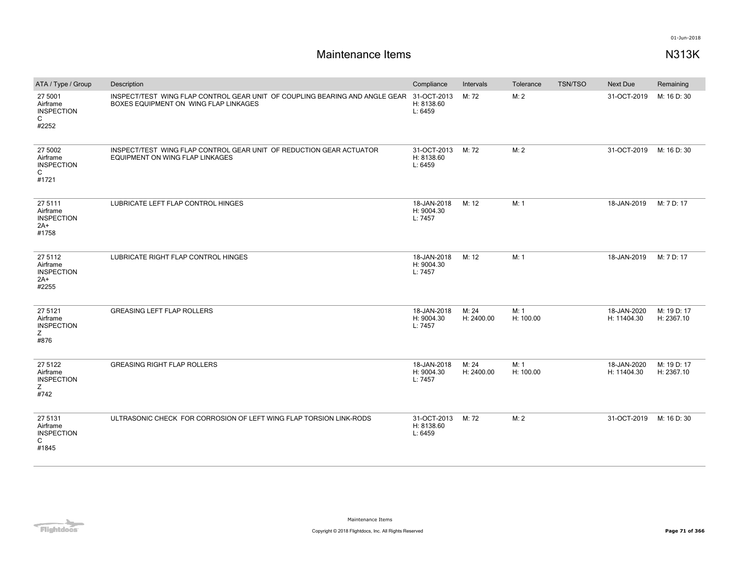| ATA / Type / Group                                        | Description                                                                                                                      | Compliance                           | Intervals           | Tolerance         | <b>TSN/TSO</b> | <b>Next Due</b>            | Remaining                 |
|-----------------------------------------------------------|----------------------------------------------------------------------------------------------------------------------------------|--------------------------------------|---------------------|-------------------|----------------|----------------------------|---------------------------|
| 27 5001<br>Airframe<br><b>INSPECTION</b><br>C<br>#2252    | INSPECT/TEST WING FLAP CONTROL GEAR UNIT OF COUPLING BEARING AND ANGLE GEAR 31-OCT-2013<br>BOXES EQUIPMENT ON WING FLAP LINKAGES | H: 8138.60<br>L: 6459                | M: 72               | M: 2              |                | 31-OCT-2019                | M: 16 D: 30               |
| 27 5002<br>Airframe<br><b>INSPECTION</b><br>C<br>#1721    | INSPECT/TEST WING FLAP CONTROL GEAR UNIT OF REDUCTION GEAR ACTUATOR<br>EQUIPMENT ON WING FLAP LINKAGES                           | 31-OCT-2013<br>H: 8138.60<br>L: 6459 | M: 72               | M: 2              |                | 31-OCT-2019                | M: 16 D: 30               |
| 275111<br>Airframe<br><b>INSPECTION</b><br>$2A+$<br>#1758 | LUBRICATE LEFT FLAP CONTROL HINGES                                                                                               | 18-JAN-2018<br>H: 9004.30<br>L: 7457 | M: 12               | M: 1              |                | 18-JAN-2019                | M: 7 D: 17                |
| 27 5112<br>Airframe<br><b>INSPECTION</b><br>2A+<br>#2255  | LUBRICATE RIGHT FLAP CONTROL HINGES                                                                                              | 18-JAN-2018<br>H: 9004.30<br>L: 7457 | M: 12               | M: 1              |                | 18-JAN-2019                | M: 7 D: 17                |
| 27 5121<br>Airframe<br><b>INSPECTION</b><br>Z.<br>#876    | <b>GREASING LEFT FLAP ROLLERS</b>                                                                                                | 18-JAN-2018<br>H: 9004.30<br>L: 7457 | M: 24<br>H: 2400.00 | M: 1<br>H: 100.00 |                | 18-JAN-2020<br>H: 11404.30 | M: 19 D: 17<br>H: 2367.10 |
| 27 5122<br>Airframe<br><b>INSPECTION</b><br>Ζ<br>#742     | <b>GREASING RIGHT FLAP ROLLERS</b>                                                                                               | 18-JAN-2018<br>H: 9004.30<br>L: 7457 | M: 24<br>H: 2400.00 | M: 1<br>H: 100.00 |                | 18-JAN-2020<br>H: 11404.30 | M: 19 D: 17<br>H: 2367.10 |
| 27 5131<br>Airframe<br><b>INSPECTION</b><br>C<br>#1845    | ULTRASONIC CHECK FOR CORROSION OF LEFT WING FLAP TORSION LINK-RODS                                                               | 31-OCT-2013<br>H: 8138.60<br>L: 6459 | M: 72               | M: 2              |                | 31-OCT-2019                | M: 16 D: 30               |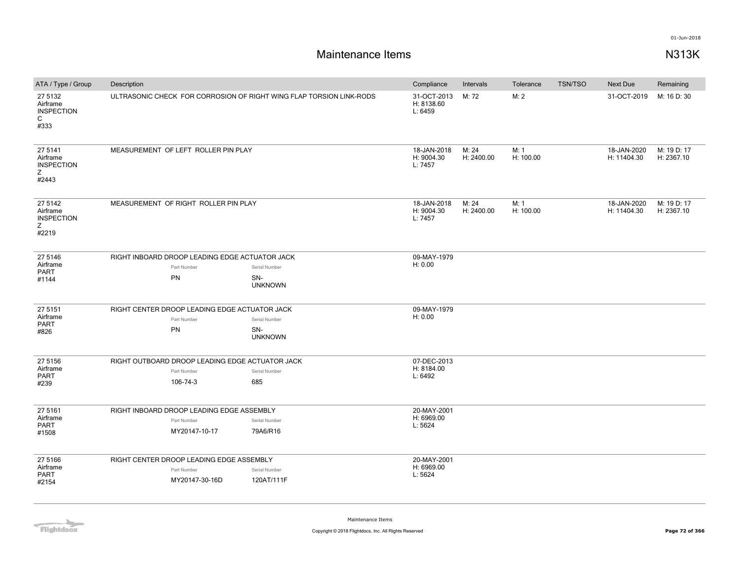# **Maintenance Items N313K**

| ATA / Type / Group                                     | Description |                                                 |                                                                     | Compliance                           | Intervals         | Tolerance | TSN/TSO                    | <b>Next Due</b>           | Remaining   |
|--------------------------------------------------------|-------------|-------------------------------------------------|---------------------------------------------------------------------|--------------------------------------|-------------------|-----------|----------------------------|---------------------------|-------------|
| 27 5132<br>Airframe<br><b>INSPECTION</b><br>C<br>#333  |             |                                                 | ULTRASONIC CHECK FOR CORROSION OF RIGHT WING FLAP TORSION LINK-RODS | 31-OCT-2013<br>H: 8138.60<br>L: 6459 | M: 72             | M: 2      |                            | 31-OCT-2019               | M: 16 D: 30 |
| 27 5141<br>Airframe<br><b>INSPECTION</b><br>Z<br>#2443 |             | MEASUREMENT OF LEFT ROLLER PIN PLAY             | 18-JAN-2018<br>H: 9004.30<br>L: 7457                                | M: 24<br>H: 2400.00                  | M: 1<br>H: 100.00 |           | 18-JAN-2020<br>H: 11404.30 | M: 19 D: 17<br>H: 2367.10 |             |
| 27 5142<br>Airframe<br><b>INSPECTION</b><br>Z<br>#2219 |             | MEASUREMENT OF RIGHT ROLLER PIN PLAY            | 18-JAN-2018<br>H: 9004.30<br>L: 7457                                | M: 24<br>H: 2400.00                  | M: 1<br>H: 100.00 |           | 18-JAN-2020<br>H: 11404.30 | M: 19 D: 17<br>H: 2367.10 |             |
| 27 5146<br>Airframe                                    |             | RIGHT INBOARD DROOP LEADING EDGE ACTUATOR JACK  |                                                                     | 09-MAY-1979                          |                   |           |                            |                           |             |
| PART                                                   |             | Part Number                                     | Serial Number                                                       | H: 0.00                              |                   |           |                            |                           |             |
| #1144                                                  |             | PN                                              | SN-<br><b>UNKNOWN</b>                                               |                                      |                   |           |                            |                           |             |
| 27 51 51                                               |             | RIGHT CENTER DROOP LEADING EDGE ACTUATOR JACK   |                                                                     | 09-MAY-1979                          |                   |           |                            |                           |             |
| Airframe<br><b>PART</b>                                |             | Part Number                                     | Serial Number                                                       | H: 0.00                              |                   |           |                            |                           |             |
| #826                                                   |             | PN                                              | SN-<br><b>UNKNOWN</b>                                               |                                      |                   |           |                            |                           |             |
| 27 5156                                                |             | RIGHT OUTBOARD DROOP LEADING EDGE ACTUATOR JACK |                                                                     | 07-DEC-2013                          |                   |           |                            |                           |             |
| Airframe                                               |             | Part Number                                     | Serial Number                                                       | H: 8184.00                           |                   |           |                            |                           |             |
| PART<br>#239                                           |             | 106-74-3                                        | 685                                                                 | L: 6492                              |                   |           |                            |                           |             |
| 27 51 61                                               |             | RIGHT INBOARD DROOP LEADING EDGE ASSEMBLY       |                                                                     | 20-MAY-2001                          |                   |           |                            |                           |             |
| Airframe<br>PART                                       |             | Part Number                                     | Serial Number                                                       | H: 6969.00<br>L: 5624                |                   |           |                            |                           |             |
| #1508                                                  |             | MY20147-10-17                                   | 79A6/R16                                                            |                                      |                   |           |                            |                           |             |
| 27 5166                                                |             | RIGHT CENTER DROOP LEADING EDGE ASSEMBLY        |                                                                     | 20-MAY-2001                          |                   |           |                            |                           |             |
| Airframe                                               |             | Part Number                                     | Serial Number                                                       | H: 6969.00                           |                   |           |                            |                           |             |
| PART<br>#2154                                          |             | MY20147-30-16D                                  | 120AT/111F                                                          | L: 5624                              |                   |           |                            |                           |             |

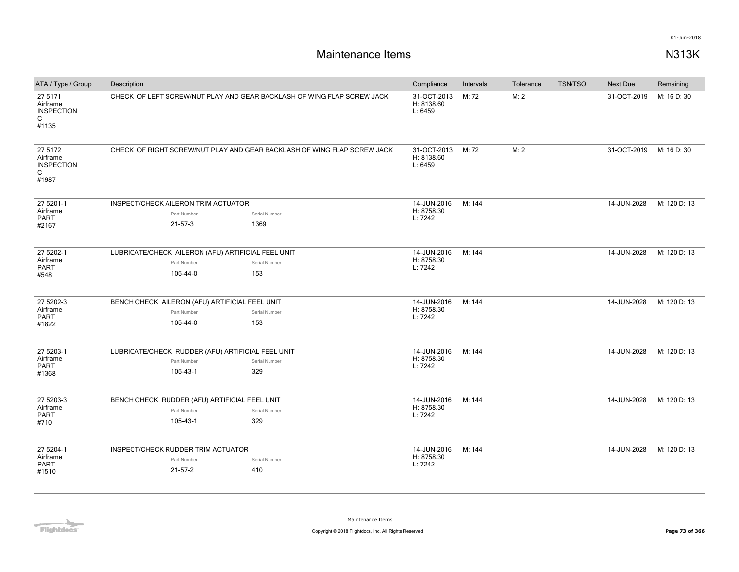| ATA / Type / Group                                     | Description                                                             |                                                    |               |                                            | Intervals | Tolerance | <b>TSN/TSO</b> | <b>Next Due</b>         | Remaining    |
|--------------------------------------------------------|-------------------------------------------------------------------------|----------------------------------------------------|---------------|--------------------------------------------|-----------|-----------|----------------|-------------------------|--------------|
| 27 5171<br>Airframe<br><b>INSPECTION</b><br>C<br>#1135 | CHECK OF LEFT SCREW/NUT PLAY AND GEAR BACKLASH OF WING FLAP SCREW JACK  |                                                    |               | 31-OCT-2013<br>H: 8138.60<br>L: 6459       | M: 72     | M: 2      |                | 31-OCT-2019             | M: 16 D: 30  |
| 27 5172<br>Airframe<br><b>INSPECTION</b><br>C<br>#1987 | CHECK OF RIGHT SCREW/NUT PLAY AND GEAR BACKLASH OF WING FLAP SCREW JACK |                                                    |               | 31-OCT-2013 M: 72<br>H: 8138.60<br>L: 6459 |           | M: 2      |                | 31-OCT-2019 M: 16 D: 30 |              |
| 27 5201-1                                              |                                                                         | INSPECT/CHECK AILERON TRIM ACTUATOR                |               | 14-JUN-2016                                | M: 144    |           |                | 14-JUN-2028             | M: 120 D: 13 |
| Airframe<br>PART                                       |                                                                         | Part Number                                        | Serial Number | H: 8758.30<br>L: 7242                      |           |           |                |                         |              |
| #2167                                                  |                                                                         | $21 - 57 - 3$                                      | 1369          |                                            |           |           |                |                         |              |
| 27 5202-1                                              |                                                                         | LUBRICATE/CHECK AILERON (AFU) ARTIFICIAL FEEL UNIT |               | 14-JUN-2016                                | M: 144    |           |                | 14-JUN-2028             | M: 120 D: 13 |
| Airframe<br>PART                                       |                                                                         | Part Number                                        | Serial Number | H: 8758.30<br>L: 7242                      |           |           |                |                         |              |
| #548                                                   |                                                                         | 105-44-0                                           | 153           |                                            |           |           |                |                         |              |
| 27 5202-3                                              |                                                                         | BENCH CHECK AILERON (AFU) ARTIFICIAL FEEL UNIT     |               | 14-JUN-2016                                | M: 144    |           |                | 14-JUN-2028             | M: 120 D: 13 |
| Airframe<br>PART                                       |                                                                         | Part Number                                        | Serial Number | H: 8758.30<br>L: 7242                      |           |           |                |                         |              |
| #1822                                                  |                                                                         | 105-44-0                                           | 153           |                                            |           |           |                |                         |              |
| 27 5203-1                                              |                                                                         | LUBRICATE/CHECK RUDDER (AFU) ARTIFICIAL FEEL UNIT  |               | 14-JUN-2016                                | M: 144    |           |                | 14-JUN-2028             | M: 120 D: 13 |
| Airframe<br>PART                                       |                                                                         | Part Number                                        | Serial Number | H: 8758.30<br>L: 7242                      |           |           |                |                         |              |
| #1368                                                  |                                                                         | 105-43-1                                           | 329           |                                            |           |           |                |                         |              |
| 27 5203-3                                              |                                                                         | BENCH CHECK RUDDER (AFU) ARTIFICIAL FEEL UNIT      |               | 14-JUN-2016                                | M: 144    |           |                | 14-JUN-2028             | M: 120 D: 13 |
| Airframe<br><b>PART</b>                                |                                                                         | Part Number                                        | Serial Number | H: 8758.30<br>L: 7242                      |           |           |                |                         |              |
| #710                                                   |                                                                         | 105-43-1                                           | 329           |                                            |           |           |                |                         |              |
| 27 5204-1                                              |                                                                         | INSPECT/CHECK RUDDER TRIM ACTUATOR                 |               | 14-JUN-2016                                | M: 144    |           |                | 14-JUN-2028             | M: 120 D: 13 |
| Airframe<br>PART                                       |                                                                         | Part Number                                        | Serial Number | H: 8758.30<br>L: 7242                      |           |           |                |                         |              |
| #1510                                                  |                                                                         | $21 - 57 - 2$                                      | 410           |                                            |           |           |                |                         |              |

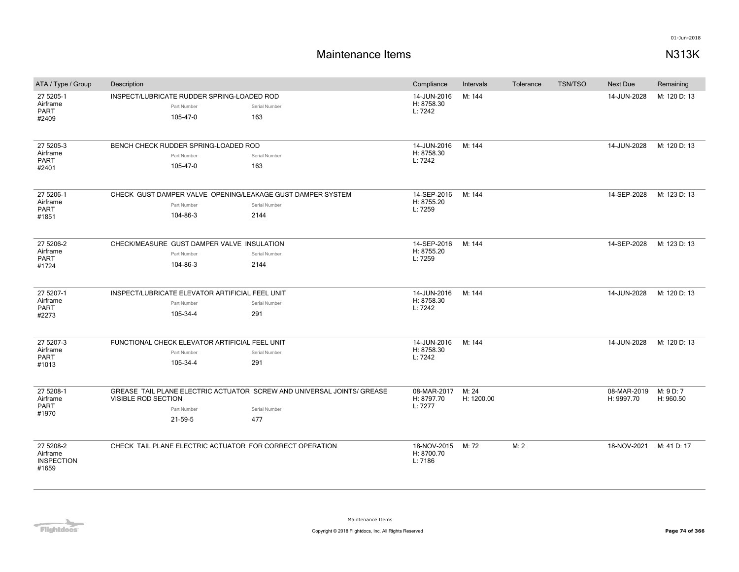| ATA / Type / Group                                  | Description                                                                           |                                                                                                | Compliance                           | Intervals           | Tolerance | <b>TSN/TSO</b> | Next Due                  | Remaining              |
|-----------------------------------------------------|---------------------------------------------------------------------------------------|------------------------------------------------------------------------------------------------|--------------------------------------|---------------------|-----------|----------------|---------------------------|------------------------|
| 27 5205-1<br>Airframe<br><b>PART</b><br>#2409       | INSPECT/LUBRICATE RUDDER SPRING-LOADED ROD<br>Part Number<br>105-47-0                 | Serial Number<br>163                                                                           | 14-JUN-2016<br>H: 8758.30<br>L: 7242 | M: 144              |           |                | 14-JUN-2028               | M: 120 D: 13           |
| 27 5205-3<br>Airframe<br><b>PART</b><br>#2401       | BENCH CHECK RUDDER SPRING-LOADED ROD<br>Part Number<br>105-47-0                       | Serial Number<br>163                                                                           | 14-JUN-2016<br>H: 8758.30<br>L: 7242 | M: 144              |           |                | 14-JUN-2028               | M: 120 D: 13           |
| 27 5206-1<br>Airframe<br><b>PART</b><br>#1851       | CHECK GUST DAMPER VALVE OPENING/LEAKAGE GUST DAMPER SYSTEM<br>Part Number<br>104-86-3 | Serial Number<br>2144                                                                          | 14-SEP-2016<br>H: 8755.20<br>L: 7259 | M: 144              |           |                | 14-SEP-2028               | M: 123 D: 13           |
| 27 5206-2<br>Airframe<br><b>PART</b><br>#1724       | CHECK/MEASURE GUST DAMPER VALVE INSULATION<br>Part Number<br>104-86-3                 | Serial Number<br>2144                                                                          | 14-SEP-2016<br>H: 8755.20<br>L: 7259 | M: 144              |           |                | 14-SEP-2028               | M: 123 D: 13           |
| 27 5207-1<br>Airframe<br>PART<br>#2273              | INSPECT/LUBRICATE ELEVATOR ARTIFICIAL FEEL UNIT<br>Part Number<br>105-34-4            | Serial Number<br>291                                                                           | 14-JUN-2016<br>H: 8758.30<br>L: 7242 | M: 144              |           |                | 14-JUN-2028               | M: 120 D: 13           |
| 27 5207-3<br>Airframe<br><b>PART</b><br>#1013       | FUNCTIONAL CHECK ELEVATOR ARTIFICIAL FEEL UNIT<br>Part Number<br>105-34-4             | Serial Number<br>291                                                                           | 14-JUN-2016<br>H: 8758.30<br>L: 7242 | M: 144              |           |                | 14-JUN-2028               | M: 120 D: 13           |
| 27 5208-1<br>Airframe<br><b>PART</b><br>#1970       | VISIBLE ROD SECTION<br>Part Number<br>21-59-5                                         | GREASE TAIL PLANE ELECTRIC ACTUATOR SCREW AND UNIVERSAL JOINTS/ GREASE<br>Serial Number<br>477 | 08-MAR-2017<br>H: 8797.70<br>L: 7277 | M: 24<br>H: 1200.00 |           |                | 08-MAR-2019<br>H: 9997.70 | M: 9 D: 7<br>H: 960.50 |
| 27 5208-2<br>Airframe<br><b>INSPECTION</b><br>#1659 | CHECK TAIL PLANE ELECTRIC ACTUATOR FOR CORRECT OPERATION                              |                                                                                                | 18-NOV-2015<br>H: 8700.70<br>L: 7186 | M: 72               | M: 2      |                | 18-NOV-2021               | M: 41 D: 17            |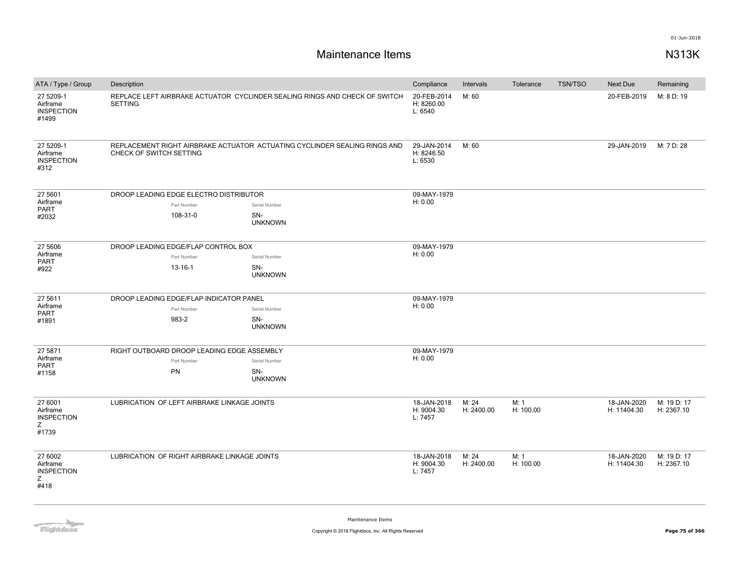# **Maintenance Items N313K**

| ATA / Type / Group                                     | Description                                                                                          |  |                                      | Compliance                           | Intervals           | Tolerance         | <b>TSN/TSO</b> | Next Due                   | Remaining                 |
|--------------------------------------------------------|------------------------------------------------------------------------------------------------------|--|--------------------------------------|--------------------------------------|---------------------|-------------------|----------------|----------------------------|---------------------------|
| 27 5209-1<br>Airframe<br><b>INSPECTION</b><br>#1499    | REPLACE LEFT AIRBRAKE ACTUATOR CYCLINDER SEALING RINGS AND CHECK OF SWITCH<br><b>SETTING</b>         |  |                                      | 20-FEB-2014<br>H: 8260.00<br>L: 6540 | M: 60               |                   |                | 20-FEB-2019                | M: 8 D: 19                |
| 27 5209-1<br>Airframe<br><b>INSPECTION</b><br>#312     | REPLACEMENT RIGHT AIRBRAKE ACTUATOR ACTUATING CYCLINDER SEALING RINGS AND<br>CHECK OF SWITCH SETTING |  | 29-JAN-2014<br>H: 8246.50<br>L: 6530 | M: 60                                |                     |                   | 29-JAN-2019    | M: 7 D: 28                 |                           |
| 27 5601                                                | DROOP LEADING EDGE ELECTRO DISTRIBUTOR                                                               |  |                                      | 09-MAY-1979                          |                     |                   |                |                            |                           |
| Airframe<br>PART                                       | Part Number                                                                                          |  | Serial Number                        | H: 0.00                              |                     |                   |                |                            |                           |
| #2032                                                  | 108-31-0                                                                                             |  | SN-<br><b>UNKNOWN</b>                |                                      |                     |                   |                |                            |                           |
| 27 5606                                                | DROOP LEADING EDGE/FLAP CONTROL BOX                                                                  |  |                                      | 09-MAY-1979                          |                     |                   |                |                            |                           |
| Airframe                                               | Part Number                                                                                          |  | Serial Number                        | H: 0.00                              |                     |                   |                |                            |                           |
| PART<br>#922                                           | $13 - 16 - 1$                                                                                        |  | SN-<br><b>UNKNOWN</b>                |                                      |                     |                   |                |                            |                           |
| 27 5611                                                | DROOP LEADING EDGE/FLAP INDICATOR PANEL                                                              |  |                                      | 09-MAY-1979                          |                     |                   |                |                            |                           |
| Airframe                                               | Part Number                                                                                          |  | Serial Number                        | H: 0.00                              |                     |                   |                |                            |                           |
| PART<br>#1891                                          | 983-2                                                                                                |  | SN-<br><b>UNKNOWN</b>                |                                      |                     |                   |                |                            |                           |
| 27 5871                                                | RIGHT OUTBOARD DROOP LEADING EDGE ASSEMBLY                                                           |  |                                      | 09-MAY-1979                          |                     |                   |                |                            |                           |
| Airframe                                               | Part Number                                                                                          |  | Serial Number                        | H: 0.00                              |                     |                   |                |                            |                           |
| PART<br>#1158                                          | PN                                                                                                   |  | SN-<br><b>UNKNOWN</b>                |                                      |                     |                   |                |                            |                           |
| 27 6001<br>Airframe<br><b>INSPECTION</b><br>Ζ<br>#1739 | LUBRICATION OF LEFT AIRBRAKE LINKAGE JOINTS                                                          |  |                                      | 18-JAN-2018<br>H: 9004.30<br>L: 7457 | M: 24<br>H: 2400.00 | M: 1<br>H: 100.00 |                | 18-JAN-2020<br>H: 11404.30 | M: 19 D: 17<br>H: 2367.10 |
| 27 6002<br>Airframe<br><b>INSPECTION</b><br>Z<br>#418  | LUBRICATION OF RIGHT AIRBRAKE LINKAGE JOINTS                                                         |  |                                      | 18-JAN-2018<br>H: 9004.30<br>L: 7457 | M: 24<br>H: 2400.00 | M: 1<br>H: 100.00 |                | 18-JAN-2020<br>H: 11404.30 | M: 19 D: 17<br>H: 2367.10 |

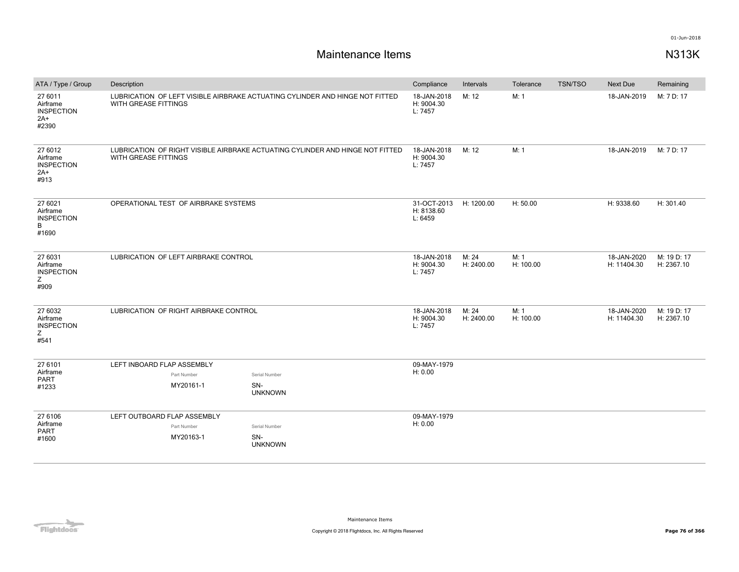| ATA / Type / Group                                         | Description                                                                                           |                                       |                       |                                      | Compliance                           | Intervals           | Tolerance         | <b>TSN/TSO</b>             | <b>Next Due</b>            | Remaining                 |
|------------------------------------------------------------|-------------------------------------------------------------------------------------------------------|---------------------------------------|-----------------------|--------------------------------------|--------------------------------------|---------------------|-------------------|----------------------------|----------------------------|---------------------------|
| 27 6011<br>Airframe<br><b>INSPECTION</b><br>$2A+$<br>#2390 | LUBRICATION OF LEFT VISIBLE AIRBRAKE ACTUATING CYLINDER AND HINGE NOT FITTED<br>WITH GREASE FITTINGS  |                                       |                       | 18-JAN-2018<br>H: 9004.30<br>L: 7457 | M: 12                                | M: 1                |                   | 18-JAN-2019                | M: 7 D: 17                 |                           |
| 27 6012<br>Airframe<br><b>INSPECTION</b><br>$2A+$<br>#913  | LUBRICATION OF RIGHT VISIBLE AIRBRAKE ACTUATING CYLINDER AND HINGE NOT FITTED<br>WITH GREASE FITTINGS |                                       |                       | 18-JAN-2018<br>H: 9004.30<br>L: 7457 | M: 12                                | M: 1                |                   | 18-JAN-2019                | M: 7 D: 17                 |                           |
| 27 6021<br>Airframe<br><b>INSPECTION</b><br>B<br>#1690     |                                                                                                       | OPERATIONAL TEST OF AIRBRAKE SYSTEMS  |                       |                                      | 31-OCT-2013<br>H: 8138.60<br>L: 6459 | H: 1200.00          | H: 50.00          |                            | H: 9338.60                 | H: 301.40                 |
| 27 6031<br>Airframe<br><b>INSPECTION</b><br>Z<br>#909      | LUBRICATION OF LEFT AIRBRAKE CONTROL                                                                  |                                       |                       | 18-JAN-2018<br>H: 9004.30<br>L: 7457 | M: 24<br>H: 2400.00                  | M: 1<br>H: 100.00   |                   | 18-JAN-2020<br>H: 11404.30 | M: 19 D: 17<br>H: 2367.10  |                           |
| 27 6032<br>Airframe<br><b>INSPECTION</b><br>Ζ<br>#541      |                                                                                                       | LUBRICATION OF RIGHT AIRBRAKE CONTROL |                       |                                      | 18-JAN-2018<br>H: 9004.30<br>L: 7457 | M: 24<br>H: 2400.00 | M: 1<br>H: 100.00 |                            | 18-JAN-2020<br>H: 11404.30 | M: 19 D: 17<br>H: 2367.10 |
| 27 6101                                                    | LEFT INBOARD FLAP ASSEMBLY                                                                            |                                       |                       |                                      | 09-MAY-1979                          |                     |                   |                            |                            |                           |
| Airframe<br>PART                                           |                                                                                                       | Part Number                           | Serial Number         |                                      | H: 0.00                              |                     |                   |                            |                            |                           |
| #1233                                                      |                                                                                                       | MY20161-1                             | SN-<br><b>UNKNOWN</b> |                                      |                                      |                     |                   |                            |                            |                           |
| 27 6106                                                    | LEFT OUTBOARD FLAP ASSEMBLY                                                                           |                                       |                       |                                      | 09-MAY-1979                          |                     |                   |                            |                            |                           |
| Airframe<br><b>PART</b>                                    |                                                                                                       | Part Number                           | Serial Number         |                                      | H: 0.00                              |                     |                   |                            |                            |                           |
| #1600                                                      |                                                                                                       | MY20163-1                             | SN-<br><b>UNKNOWN</b> |                                      |                                      |                     |                   |                            |                            |                           |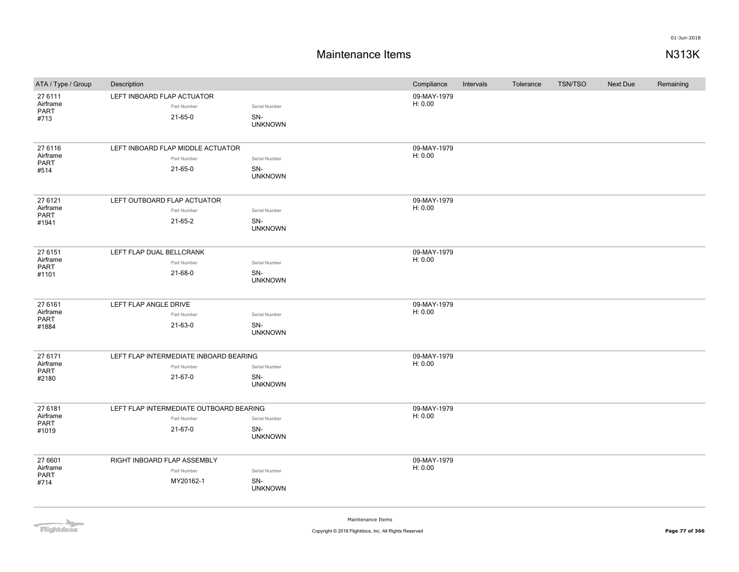| ATA / Type / Group                          | Description                                                       |                                        | Compliance             | Intervals | Tolerance | <b>TSN/TSO</b> | <b>Next Due</b> | Remaining |
|---------------------------------------------|-------------------------------------------------------------------|----------------------------------------|------------------------|-----------|-----------|----------------|-----------------|-----------|
| 27 6111<br>Airframe<br>PART<br>#713         | LEFT INBOARD FLAP ACTUATOR<br>Part Number<br>$21 - 65 - 0$        | Serial Number<br>SN-<br><b>UNKNOWN</b> | 09-MAY-1979<br>H: 0.00 |           |           |                |                 |           |
| 27 6116<br>Airframe<br>PART<br>#514         | LEFT INBOARD FLAP MIDDLE ACTUATOR<br>Part Number<br>$21 - 65 - 0$ | Serial Number<br>SN-<br><b>UNKNOWN</b> | 09-MAY-1979<br>H: 0.00 |           |           |                |                 |           |
| 27 6121<br>Airframe<br>PART<br>#1941        | LEFT OUTBOARD FLAP ACTUATOR<br>Part Number<br>21-65-2             | Serial Number<br>SN-<br><b>UNKNOWN</b> | 09-MAY-1979<br>H: 0.00 |           |           |                |                 |           |
| 27 6151<br>Airframe<br>PART<br>#1101        | LEFT FLAP DUAL BELLCRANK<br>Part Number<br>21-68-0                | Serial Number<br>SN-<br><b>UNKNOWN</b> | 09-MAY-1979<br>H: 0.00 |           |           |                |                 |           |
| 27 6161<br>Airframe<br>PART<br>#1884        | LEFT FLAP ANGLE DRIVE<br>Part Number<br>21-63-0                   | Serial Number<br>SN-<br><b>UNKNOWN</b> | 09-MAY-1979<br>H: 0.00 |           |           |                |                 |           |
| 27 6171<br>Airframe<br>PART<br>#2180        | LEFT FLAP INTERMEDIATE INBOARD BEARING<br>Part Number<br>21-67-0  | Serial Number<br>SN-<br><b>UNKNOWN</b> | 09-MAY-1979<br>H: 0.00 |           |           |                |                 |           |
| 27 6181<br>Airframe<br><b>PART</b><br>#1019 | LEFT FLAP INTERMEDIATE OUTBOARD BEARING<br>Part Number<br>21-67-0 | Serial Number<br>SN-<br><b>UNKNOWN</b> | 09-MAY-1979<br>H: 0.00 |           |           |                |                 |           |
| 27 6601<br>Airframe<br>PART<br>#714         | RIGHT INBOARD FLAP ASSEMBLY<br>Part Number<br>MY20162-1           | Serial Number<br>SN-<br><b>UNKNOWN</b> | 09-MAY-1979<br>H: 0.00 |           |           |                |                 |           |

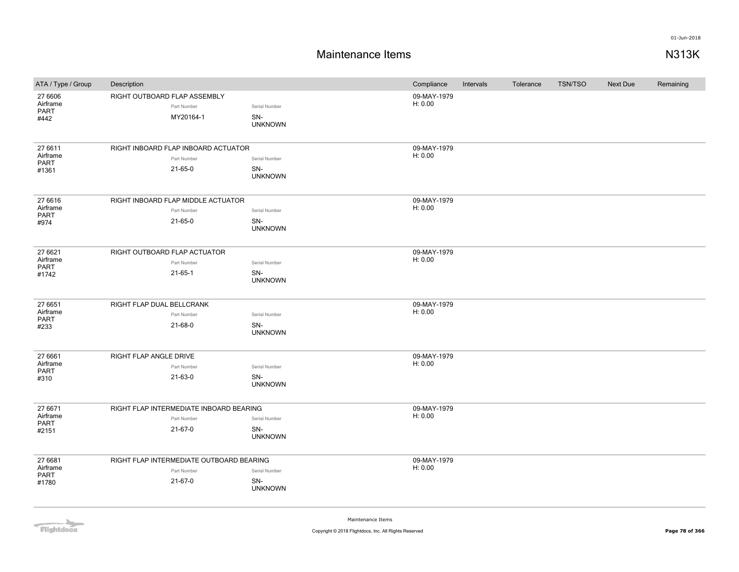| ATA / Type / Group                   | Description                                                          |                                        | Compliance             | Intervals | Tolerance | <b>TSN/TSO</b> | <b>Next Due</b> | Remaining |
|--------------------------------------|----------------------------------------------------------------------|----------------------------------------|------------------------|-----------|-----------|----------------|-----------------|-----------|
| 27 6606<br>Airframe<br>PART<br>#442  | RIGHT OUTBOARD FLAP ASSEMBLY<br>Part Number<br>MY20164-1             | Serial Number<br>SN-<br><b>UNKNOWN</b> | 09-MAY-1979<br>H: 0.00 |           |           |                |                 |           |
| 27 6611<br>Airframe<br>PART<br>#1361 | RIGHT INBOARD FLAP INBOARD ACTUATOR<br>Part Number<br>21-65-0        | Serial Number<br>SN-<br><b>UNKNOWN</b> | 09-MAY-1979<br>H: 0.00 |           |           |                |                 |           |
| 27 6616<br>Airframe<br>PART<br>#974  | RIGHT INBOARD FLAP MIDDLE ACTUATOR<br>Part Number<br>21-65-0         | Serial Number<br>SN-<br><b>UNKNOWN</b> | 09-MAY-1979<br>H: 0.00 |           |           |                |                 |           |
| 27 6621<br>Airframe<br>PART<br>#1742 | RIGHT OUTBOARD FLAP ACTUATOR<br>Part Number<br>$21 - 65 - 1$         | Serial Number<br>SN-<br><b>UNKNOWN</b> | 09-MAY-1979<br>H: 0.00 |           |           |                |                 |           |
| 27 6651<br>Airframe<br>PART<br>#233  | RIGHT FLAP DUAL BELLCRANK<br>Part Number<br>21-68-0                  | Serial Number<br>SN-<br><b>UNKNOWN</b> | 09-MAY-1979<br>H: 0.00 |           |           |                |                 |           |
| 27 6661<br>Airframe<br>PART<br>#310  | RIGHT FLAP ANGLE DRIVE<br>Part Number<br>21-63-0                     | Serial Number<br>SN-<br><b>UNKNOWN</b> | 09-MAY-1979<br>H: 0.00 |           |           |                |                 |           |
| 27 6671<br>Airframe<br>PART<br>#2151 | RIGHT FLAP INTERMEDIATE INBOARD BEARING<br>Part Number<br>21-67-0    | Serial Number<br>SN-<br><b>UNKNOWN</b> | 09-MAY-1979<br>H: 0.00 |           |           |                |                 |           |
| 27 6681<br>Airframe<br>PART<br>#1780 | RIGHT FLAP INTERMEDIATE OUTBOARD BEARING<br>Part Number<br>$21-67-0$ | Serial Number<br>SN-<br><b>UNKNOWN</b> | 09-MAY-1979<br>H: 0.00 |           |           |                |                 |           |

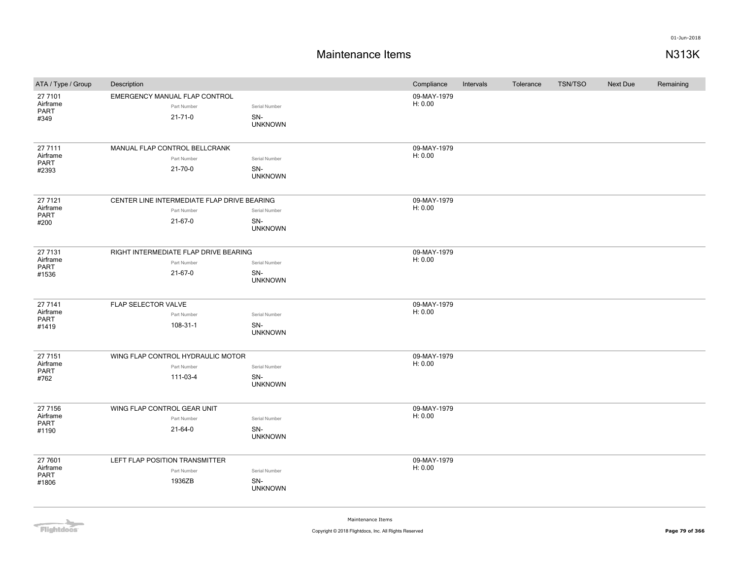| ATA / Type / Group  | Description                                 |                       | Compliance             | Intervals | Tolerance | <b>TSN/TSO</b> | Next Due | Remaining |
|---------------------|---------------------------------------------|-----------------------|------------------------|-----------|-----------|----------------|----------|-----------|
| 27 7101             | EMERGENCY MANUAL FLAP CONTROL               |                       | 09-MAY-1979            |           |           |                |          |           |
| Airframe<br>PART    | Part Number                                 | Serial Number         | H: 0.00                |           |           |                |          |           |
| #349                | $21 - 71 - 0$                               | SN-                   |                        |           |           |                |          |           |
|                     |                                             | <b>UNKNOWN</b>        |                        |           |           |                |          |           |
| 27 7111             | MANUAL FLAP CONTROL BELLCRANK               |                       | 09-MAY-1979            |           |           |                |          |           |
| Airframe            | Part Number                                 | Serial Number         | H: 0.00                |           |           |                |          |           |
| PART<br>#2393       | $21 - 70 - 0$                               | SN-                   |                        |           |           |                |          |           |
|                     |                                             | <b>UNKNOWN</b>        |                        |           |           |                |          |           |
| 27 7121             | CENTER LINE INTERMEDIATE FLAP DRIVE BEARING |                       | 09-MAY-1979            |           |           |                |          |           |
| Airframe            | Part Number                                 | Serial Number         | H: 0.00                |           |           |                |          |           |
| PART<br>#200        | 21-67-0                                     | SN-                   |                        |           |           |                |          |           |
|                     |                                             | <b>UNKNOWN</b>        |                        |           |           |                |          |           |
| 27 7131             | RIGHT INTERMEDIATE FLAP DRIVE BEARING       |                       | 09-MAY-1979            |           |           |                |          |           |
| Airframe            | Part Number                                 | Serial Number         | H: 0.00                |           |           |                |          |           |
| PART<br>#1536       | $21-67-0$                                   | SN-                   |                        |           |           |                |          |           |
|                     |                                             | <b>UNKNOWN</b>        |                        |           |           |                |          |           |
|                     |                                             |                       |                        |           |           |                |          |           |
| 27 7141<br>Airframe | FLAP SELECTOR VALVE                         |                       | 09-MAY-1979<br>H: 0.00 |           |           |                |          |           |
| PART                | Part Number                                 | Serial Number         |                        |           |           |                |          |           |
| #1419               | 108-31-1                                    | SN-<br><b>UNKNOWN</b> |                        |           |           |                |          |           |
|                     |                                             |                       |                        |           |           |                |          |           |
| 27 7151<br>Airframe | WING FLAP CONTROL HYDRAULIC MOTOR           |                       | 09-MAY-1979<br>H: 0.00 |           |           |                |          |           |
| <b>PART</b>         | Part Number                                 | Serial Number         |                        |           |           |                |          |           |
| #762                | 111-03-4                                    | SN-<br><b>UNKNOWN</b> |                        |           |           |                |          |           |
|                     |                                             |                       | 09-MAY-1979            |           |           |                |          |           |
| 27 7156<br>Airframe | WING FLAP CONTROL GEAR UNIT<br>Part Number  | Serial Number         | H: 0.00                |           |           |                |          |           |
| PART                | 21-64-0                                     | SN-                   |                        |           |           |                |          |           |
| #1190               |                                             | <b>UNKNOWN</b>        |                        |           |           |                |          |           |
| 27 7601             | LEFT FLAP POSITION TRANSMITTER              |                       | 09-MAY-1979            |           |           |                |          |           |
| Airframe            | Part Number                                 | Serial Number         | H: 0.00                |           |           |                |          |           |
| PART<br>#1806       | 1936ZB                                      | SN-                   |                        |           |           |                |          |           |
|                     |                                             | <b>UNKNOWN</b>        |                        |           |           |                |          |           |

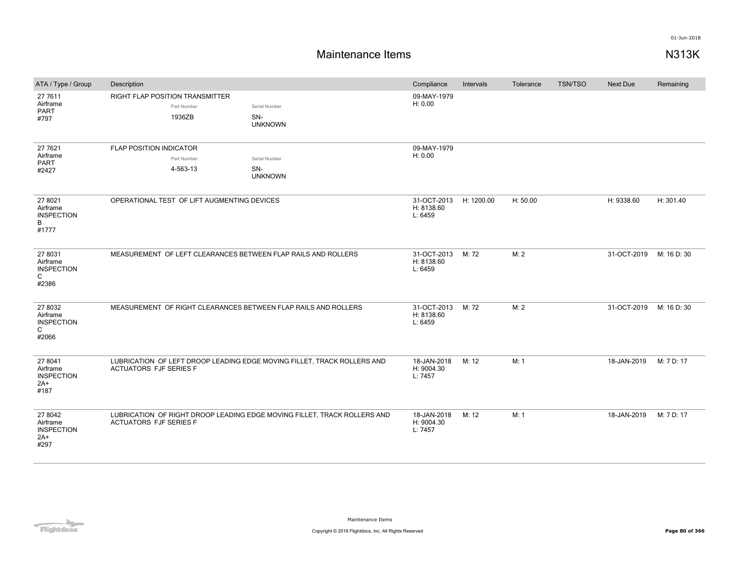| ATA / Type / Group                                        | Description                                                    |                                                                          | Compliance                                      | Intervals | Tolerance | <b>TSN/TSO</b> | <b>Next Due</b> | Remaining   |
|-----------------------------------------------------------|----------------------------------------------------------------|--------------------------------------------------------------------------|-------------------------------------------------|-----------|-----------|----------------|-----------------|-------------|
| 27 7611<br>Airframe<br><b>PART</b><br>#797                | RIGHT FLAP POSITION TRANSMITTER<br>Part Number<br>1936ZB       | Serial Number<br>SN-<br><b>UNKNOWN</b>                                   | 09-MAY-1979<br>H: 0.00                          |           |           |                |                 |             |
| 27 7621                                                   | <b>FLAP POSITION INDICATOR</b>                                 |                                                                          | 09-MAY-1979                                     |           |           |                |                 |             |
| Airframe<br><b>PART</b><br>#2427                          | Part Number<br>4-563-13                                        | Serial Number<br>SN-<br><b>UNKNOWN</b>                                   | H: 0.00                                         |           |           |                |                 |             |
| 27 8021<br>Airframe<br><b>INSPECTION</b><br>B<br>#1777    | OPERATIONAL TEST OF LIFT AUGMENTING DEVICES                    |                                                                          | 31-OCT-2013 H: 1200.00<br>H: 8138.60<br>L: 6459 |           | H: 50.00  |                | H: 9338.60      | H: 301.40   |
| 27 8031<br>Airframe<br><b>INSPECTION</b><br>C<br>#2386    | MEASUREMENT OF LEFT CLEARANCES BETWEEN FLAP RAILS AND ROLLERS  |                                                                          | 31-OCT-2013<br>H: 8138.60<br>L: 6459            | M: 72     | M: 2      |                | 31-OCT-2019     | M: 16 D: 30 |
| 27 8032<br>Airframe<br><b>INSPECTION</b><br>C<br>#2066    | MEASUREMENT OF RIGHT CLEARANCES BETWEEN FLAP RAILS AND ROLLERS |                                                                          | 31-OCT-2013<br>H: 8138.60<br>L: 6459            | M: 72     | M: 2      |                | 31-OCT-2019     | M: 16 D: 30 |
| 27 8041<br>Airframe<br><b>INSPECTION</b><br>$2A+$<br>#187 | <b>ACTUATORS FJF SERIES F</b>                                  | LUBRICATION OF LEFT DROOP LEADING EDGE MOVING FILLET, TRACK ROLLERS AND  | 18-JAN-2018<br>H: 9004.30<br>L: 7457            | M: 12     | M: 1      |                | 18-JAN-2019     | M: 7 D: 17  |
| 27 8042<br>Airframe<br><b>INSPECTION</b><br>$2A+$<br>#297 | <b>ACTUATORS FJF SERIES F</b>                                  | LUBRICATION OF RIGHT DROOP LEADING EDGE MOVING FILLET, TRACK ROLLERS AND | 18-JAN-2018<br>H: 9004.30<br>L: 7457            | M: 12     | M: 1      |                | 18-JAN-2019     | M: 7 D: 17  |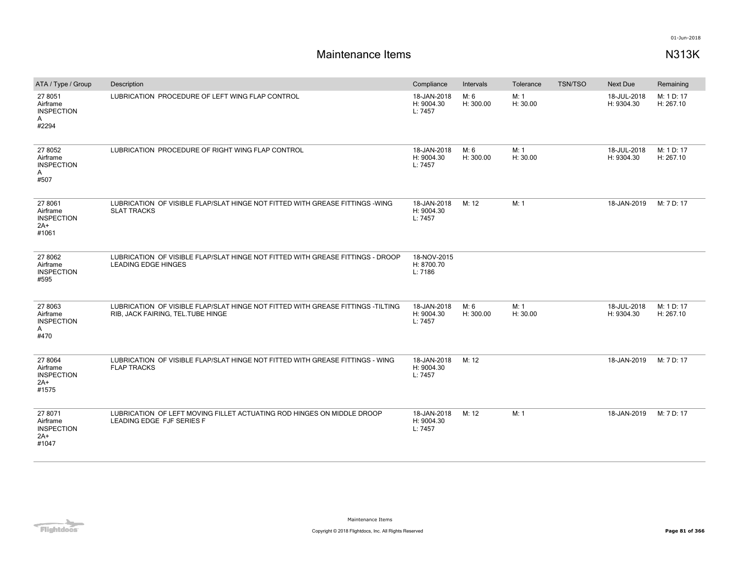| ATA / Type / Group                                         | Description                                                                                                          | Compliance                           | Intervals         | Tolerance        | <b>TSN/TSO</b> | <b>Next Due</b>           | Remaining               |
|------------------------------------------------------------|----------------------------------------------------------------------------------------------------------------------|--------------------------------------|-------------------|------------------|----------------|---------------------------|-------------------------|
| 27 8051<br>Airframe<br><b>INSPECTION</b><br>A<br>#2294     | LUBRICATION PROCEDURE OF LEFT WING FLAP CONTROL                                                                      | 18-JAN-2018<br>H: 9004.30<br>L: 7457 | M: 6<br>H: 300.00 | M: 1<br>H: 30.00 |                | 18-JUL-2018<br>H: 9304.30 | M: 1 D: 17<br>H: 267.10 |
| 27 8052<br>Airframe<br><b>INSPECTION</b><br>A<br>#507      | LUBRICATION PROCEDURE OF RIGHT WING FLAP CONTROL                                                                     | 18-JAN-2018<br>H: 9004.30<br>L: 7457 | M: 6<br>H: 300.00 | M: 1<br>H: 30.00 |                | 18-JUL-2018<br>H: 9304.30 | M: 1 D: 17<br>H: 267.10 |
| 27 8061<br>Airframe<br><b>INSPECTION</b><br>2A+<br>#1061   | LUBRICATION OF VISIBLE FLAP/SLAT HINGE NOT FITTED WITH GREASE FITTINGS -WING<br><b>SLAT TRACKS</b>                   | 18-JAN-2018<br>H: 9004.30<br>L: 7457 | M: 12             | M: 1             |                | 18-JAN-2019               | M: 7 D: 17              |
| 27 8062<br>Airframe<br><b>INSPECTION</b><br>#595           | LUBRICATION OF VISIBLE FLAP/SLAT HINGE NOT FITTED WITH GREASE FITTINGS - DROOP<br><b>LEADING EDGE HINGES</b>         | 18-NOV-2015<br>H: 8700.70<br>L: 7186 |                   |                  |                |                           |                         |
| 27 8063<br>Airframe<br><b>INSPECTION</b><br>A<br>#470      | LUBRICATION OF VISIBLE FLAP/SLAT HINGE NOT FITTED WITH GREASE FITTINGS -TILTING<br>RIB, JACK FAIRING, TEL.TUBE HINGE | 18-JAN-2018<br>H: 9004.30<br>L: 7457 | M: 6<br>H: 300.00 | M: 1<br>H: 30.00 |                | 18-JUL-2018<br>H: 9304.30 | M: 1 D: 17<br>H: 267.10 |
| 27 8064<br>Airframe<br><b>INSPECTION</b><br>$2A+$<br>#1575 | LUBRICATION OF VISIBLE FLAP/SLAT HINGE NOT FITTED WITH GREASE FITTINGS - WING<br><b>FLAP TRACKS</b>                  | 18-JAN-2018<br>H: 9004.30<br>L: 7457 | M: 12             |                  |                | 18-JAN-2019               | M: 7 D: 17              |
| 27 8071<br>Airframe<br><b>INSPECTION</b><br>$2A+$<br>#1047 | LUBRICATION OF LEFT MOVING FILLET ACTUATING ROD HINGES ON MIDDLE DROOP<br>LEADING EDGE FJF SERIES F                  | 18-JAN-2018<br>H: 9004.30<br>L: 7457 | M: 12             | M: 1             |                | 18-JAN-2019               | M: 7 D: 17              |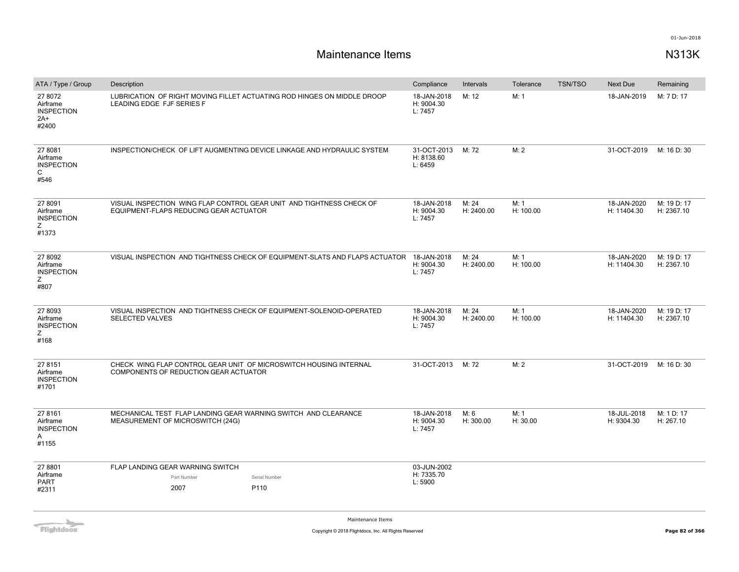# **Maintenance Items N313K**

| ATA / Type / Group                                         | Description                                                                                                    |                                                                                         | Compliance                           | Intervals           | Tolerance         | <b>TSN/TSO</b> | Next Due                   | Remaining                 |
|------------------------------------------------------------|----------------------------------------------------------------------------------------------------------------|-----------------------------------------------------------------------------------------|--------------------------------------|---------------------|-------------------|----------------|----------------------------|---------------------------|
| 27 8072<br>Airframe<br><b>INSPECTION</b><br>$2A+$<br>#2400 | LEADING EDGE FJF SERIES F                                                                                      | LUBRICATION OF RIGHT MOVING FILLET ACTUATING ROD HINGES ON MIDDLE DROOP                 | 18-JAN-2018<br>H: 9004.30<br>L: 7457 | M: 12               | M: 1              |                | 18-JAN-2019                | M: 7 D: 17                |
| 27 8081<br>Airframe<br><b>INSPECTION</b><br>C<br>#546      |                                                                                                                | INSPECTION/CHECK OF LIFT AUGMENTING DEVICE LINKAGE AND HYDRAULIC SYSTEM                 | 31-OCT-2013<br>H: 8138.60<br>L: 6459 | M: 72               | M: 2              |                | 31-OCT-2019                | M: 16 D: 30               |
| 27 8091<br>Airframe<br><b>INSPECTION</b><br>Ζ<br>#1373     | VISUAL INSPECTION WING FLAP CONTROL GEAR UNIT AND TIGHTNESS CHECK OF<br>EQUIPMENT-FLAPS REDUCING GEAR ACTUATOR |                                                                                         | 18-JAN-2018<br>H: 9004.30<br>L: 7457 | M: 24<br>H: 2400.00 | M: 1<br>H: 100.00 |                | 18-JAN-2020<br>H: 11404.30 | M: 19 D: 17<br>H: 2367.10 |
| 27 8092<br>Airframe<br><b>INSPECTION</b><br>Ζ<br>#807      |                                                                                                                | VISUAL INSPECTION AND TIGHTNESS CHECK OF EQUIPMENT-SLATS AND FLAPS ACTUATOR 18-JAN-2018 | H: 9004.30<br>L: 7457                | M: 24<br>H: 2400.00 | M: 1<br>H: 100.00 |                | 18-JAN-2020<br>H: 11404.30 | M: 19 D: 17<br>H: 2367.10 |
| 27 8093<br>Airframe<br><b>INSPECTION</b><br>Ζ<br>#168      | VISUAL INSPECTION AND TIGHTNESS CHECK OF EQUIPMENT-SOLENOID-OPERATED<br><b>SELECTED VALVES</b>                 |                                                                                         | 18-JAN-2018<br>H: 9004.30<br>L: 7457 | M: 24<br>H: 2400.00 | M: 1<br>H: 100.00 |                | 18-JAN-2020<br>H: 11404.30 | M: 19 D: 17<br>H: 2367.10 |
| 27 8151<br>Airframe<br><b>INSPECTION</b><br>#1701          | CHECK WING FLAP CONTROL GEAR UNIT OF MICROSWITCH HOUSING INTERNAL<br>COMPONENTS OF REDUCTION GEAR ACTUATOR     |                                                                                         | 31-OCT-2013                          | M: 72               | M: 2              |                | 31-OCT-2019                | M: 16 D: 30               |
| 27 8161<br>Airframe<br><b>INSPECTION</b><br>Α<br>#1155     | MECHANICAL TEST FLAP LANDING GEAR WARNING SWITCH AND CLEARANCE<br>MEASUREMENT OF MICROSWITCH (24G)             |                                                                                         | 18-JAN-2018<br>H: 9004.30<br>L: 7457 | M: 6<br>H: 300.00   | M: 1<br>H: 30.00  |                | 18-JUL-2018<br>H: 9304.30  | M: 1 D: 17<br>H: 267.10   |
| 27 8801<br>Airframe<br><b>PART</b><br>#2311                | FLAP LANDING GEAR WARNING SWITCH<br>Part Number<br>2007                                                        | Serial Number<br>P110                                                                   | 03-JUN-2002<br>H: 7335.70<br>L: 5900 |                     |                   |                |                            |                           |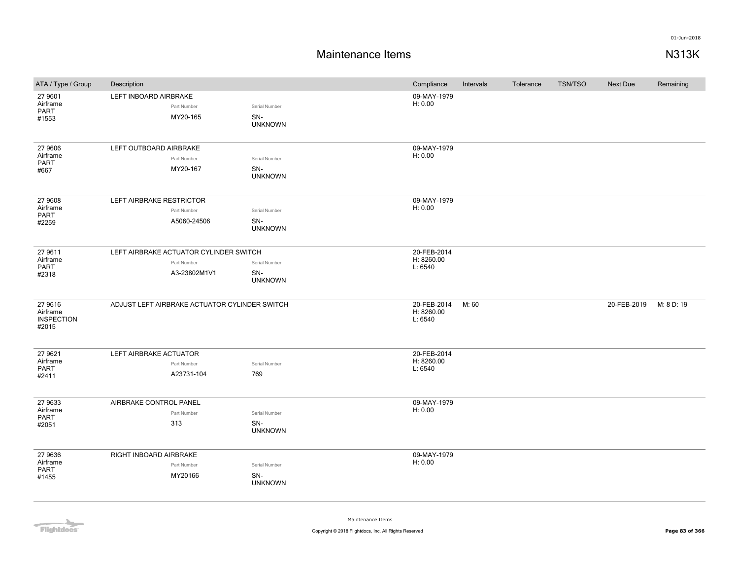## **Maintenance Items N313K**

| ATA / Type / Group                                | Description                                                           |                                        | Compliance                           | Intervals | Tolerance | <b>TSN/TSO</b> | Next Due    | Remaining  |
|---------------------------------------------------|-----------------------------------------------------------------------|----------------------------------------|--------------------------------------|-----------|-----------|----------------|-------------|------------|
| 27 9601<br>Airframe<br>PART<br>#1553              | LEFT INBOARD AIRBRAKE<br>Part Number<br>MY20-165                      | Serial Number<br>SN-<br><b>UNKNOWN</b> | 09-MAY-1979<br>H: 0.00               |           |           |                |             |            |
| 27 9606<br>Airframe<br><b>PART</b><br>#667        | LEFT OUTBOARD AIRBRAKE<br>Part Number<br>MY20-167                     | Serial Number<br>SN-<br><b>UNKNOWN</b> | 09-MAY-1979<br>H: 0.00               |           |           |                |             |            |
| 27 9608<br>Airframe<br>PART<br>#2259              | LEFT AIRBRAKE RESTRICTOR<br>Part Number<br>A5060-24506                | Serial Number<br>SN-<br><b>UNKNOWN</b> | 09-MAY-1979<br>H: 0.00               |           |           |                |             |            |
| 27 9611<br>Airframe<br><b>PART</b><br>#2318       | LEFT AIRBRAKE ACTUATOR CYLINDER SWITCH<br>Part Number<br>A3-23802M1V1 | Serial Number<br>SN-<br><b>UNKNOWN</b> | 20-FEB-2014<br>H: 8260.00<br>L: 6540 |           |           |                |             |            |
| 27 9616<br>Airframe<br><b>INSPECTION</b><br>#2015 | ADJUST LEFT AIRBRAKE ACTUATOR CYLINDER SWITCH                         |                                        | 20-FEB-2014<br>H: 8260.00<br>L: 6540 | M: 60     |           |                | 20-FEB-2019 | M: 8 D: 19 |
| 27 9621<br>Airframe<br>PART<br>#2411              | LEFT AIRBRAKE ACTUATOR<br>Part Number<br>A23731-104                   | Serial Number<br>769                   | 20-FEB-2014<br>H: 8260.00<br>L: 6540 |           |           |                |             |            |
| 27 9633<br>Airframe<br><b>PART</b><br>#2051       | AIRBRAKE CONTROL PANEL<br>Part Number<br>313                          | Serial Number<br>SN-<br><b>UNKNOWN</b> | 09-MAY-1979<br>H: 0.00               |           |           |                |             |            |
| 27 9636<br>Airframe<br>PART<br>#1455              | RIGHT INBOARD AIRBRAKE<br>Part Number<br>MY20166                      | Serial Number<br>SN-<br><b>UNKNOWN</b> | 09-MAY-1979<br>H: 0.00               |           |           |                |             |            |

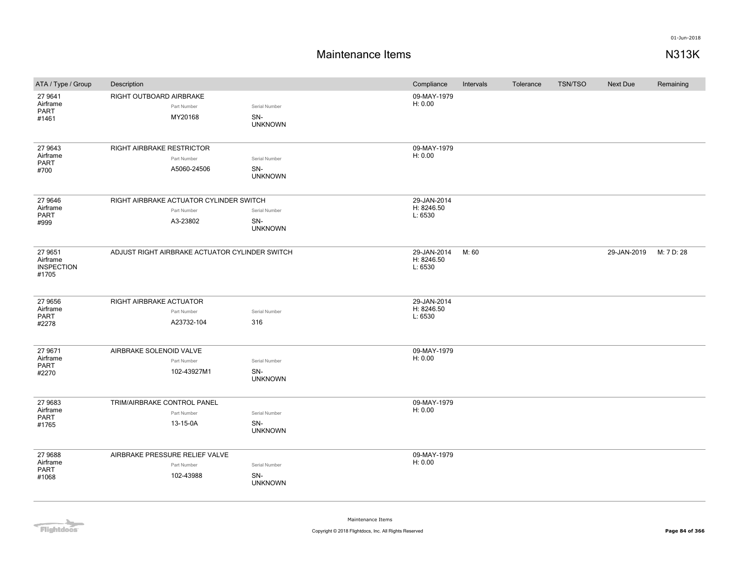## **Maintenance Items N313K**

| ATA / Type / Group                                | Description                                                        |                                        | Compliance                           | Intervals | Tolerance | <b>TSN/TSO</b> | <b>Next Due</b> | Remaining  |
|---------------------------------------------------|--------------------------------------------------------------------|----------------------------------------|--------------------------------------|-----------|-----------|----------------|-----------------|------------|
| 27 9641<br>Airframe<br>PART<br>#1461              | RIGHT OUTBOARD AIRBRAKE<br>Part Number<br>MY20168                  | Serial Number<br>SN-<br><b>UNKNOWN</b> | 09-MAY-1979<br>H: 0.00               |           |           |                |                 |            |
| 27 9643<br>Airframe<br>PART<br>#700               | <b>RIGHT AIRBRAKE RESTRICTOR</b><br>Part Number<br>A5060-24506     | Serial Number<br>SN-<br><b>UNKNOWN</b> | 09-MAY-1979<br>H: 0.00               |           |           |                |                 |            |
| 27 9646<br>Airframe<br><b>PART</b><br>#999        | RIGHT AIRBRAKE ACTUATOR CYLINDER SWITCH<br>Part Number<br>A3-23802 | Serial Number<br>SN-<br><b>UNKNOWN</b> | 29-JAN-2014<br>H: 8246.50<br>L: 6530 |           |           |                |                 |            |
| 27 9651<br>Airframe<br><b>INSPECTION</b><br>#1705 | ADJUST RIGHT AIRBRAKE ACTUATOR CYLINDER SWITCH                     |                                        | 29-JAN-2014<br>H: 8246.50<br>L: 6530 | M: 60     |           |                | 29-JAN-2019     | M: 7 D: 28 |
| 27 9656<br>Airframe<br><b>PART</b><br>#2278       | RIGHT AIRBRAKE ACTUATOR<br>Part Number<br>A23732-104               | Serial Number<br>316                   | 29-JAN-2014<br>H: 8246.50<br>L: 6530 |           |           |                |                 |            |
| 27 9671<br>Airframe<br>PART<br>#2270              | AIRBRAKE SOLENOID VALVE<br>Part Number<br>102-43927M1              | Serial Number<br>SN-<br><b>UNKNOWN</b> | 09-MAY-1979<br>H: 0.00               |           |           |                |                 |            |
| 27 9683<br>Airframe<br><b>PART</b><br>#1765       | TRIM/AIRBRAKE CONTROL PANEL<br>Part Number<br>13-15-0A             | Serial Number<br>SN-<br><b>UNKNOWN</b> | 09-MAY-1979<br>H: 0.00               |           |           |                |                 |            |
| 27 9688<br>Airframe<br>PART<br>#1068              | AIRBRAKE PRESSURE RELIEF VALVE<br>Part Number<br>102-43988         | Serial Number<br>SN-<br><b>UNKNOWN</b> | 09-MAY-1979<br>H: 0.00               |           |           |                |                 |            |

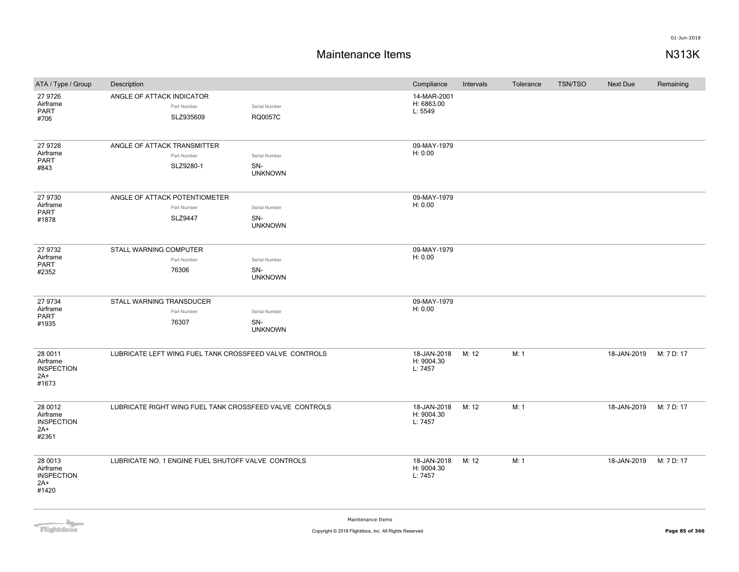| ATA / Type / Group                                       | Description                                             |                                        | Compliance                           | Intervals | Tolerance | <b>TSN/TSO</b> | <b>Next Due</b> | Remaining  |
|----------------------------------------------------------|---------------------------------------------------------|----------------------------------------|--------------------------------------|-----------|-----------|----------------|-----------------|------------|
| 27 9726<br>Airframe<br>PART<br>#706                      | ANGLE OF ATTACK INDICATOR<br>Part Number<br>SLZ935609   | Serial Number<br>RQ0057C               | 14-MAR-2001<br>H: 6863.00<br>L: 5549 |           |           |                |                 |            |
| 27 9728<br>Airframe<br>PART<br>#843                      | ANGLE OF ATTACK TRANSMITTER<br>Part Number<br>SLZ9280-1 | Serial Number<br>SN-<br><b>UNKNOWN</b> | 09-MAY-1979<br>H: 0.00               |           |           |                |                 |            |
| 27 9730<br>Airframe<br>PART<br>#1878                     | ANGLE OF ATTACK POTENTIOMETER<br>Part Number<br>SLZ9447 | Serial Number<br>SN-<br><b>UNKNOWN</b> | 09-MAY-1979<br>H: 0.00               |           |           |                |                 |            |
| 27 9732<br>Airframe<br>PART<br>#2352                     | STALL WARNING COMPUTER<br>Part Number<br>76306          | Serial Number<br>SN-<br><b>UNKNOWN</b> | 09-MAY-1979<br>H: 0.00               |           |           |                |                 |            |
| 27 9734<br>Airframe<br>PART<br>#1935                     | STALL WARNING TRANSDUCER<br>Part Number<br>76307        | Serial Number<br>SN-<br><b>UNKNOWN</b> | 09-MAY-1979<br>H: 0.00               |           |           |                |                 |            |
| 28 0011<br>Airframe<br><b>INSPECTION</b><br>2A+<br>#1673 | LUBRICATE LEFT WING FUEL TANK CROSSFEED VALVE CONTROLS  |                                        | 18-JAN-2018<br>H: 9004.30<br>L: 7457 | M: 12     | M: 1      |                | 18-JAN-2019     | M: 7 D: 17 |
| 28 0012<br>Airframe<br><b>INSPECTION</b><br>2A+<br>#2361 | LUBRICATE RIGHT WING FUEL TANK CROSSFEED VALVE CONTROLS |                                        | 18-JAN-2018<br>H: 9004.30<br>L: 7457 | M: 12     | M: 1      |                | 18-JAN-2019     | M: 7 D: 17 |
| 28 0013<br>Airframe<br><b>INSPECTION</b><br>2A+<br>#1420 | LUBRICATE NO. 1 ENGINE FUEL SHUTOFF VALVE CONTROLS      |                                        | 18-JAN-2018<br>H: 9004.30<br>L: 7457 | M: 12     | M: 1      |                | 18-JAN-2019     | M: 7 D: 17 |

**Flightdocs**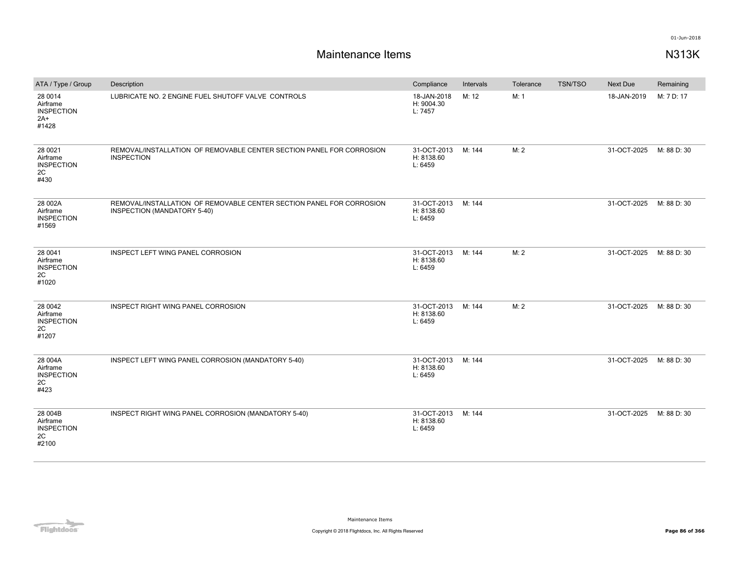| ATA / Type / Group                                         | Description                                                                                         | Compliance                           | Intervals | Tolerance | <b>TSN/TSO</b> | <b>Next Due</b> | Remaining   |
|------------------------------------------------------------|-----------------------------------------------------------------------------------------------------|--------------------------------------|-----------|-----------|----------------|-----------------|-------------|
| 28 0014<br>Airframe<br><b>INSPECTION</b><br>$2A+$<br>#1428 | LUBRICATE NO. 2 ENGINE FUEL SHUTOFF VALVE CONTROLS                                                  | 18-JAN-2018<br>H: 9004.30<br>L: 7457 | M: 12     | M: 1      |                | 18-JAN-2019     | M: 7 D: 17  |
| 28 0021<br>Airframe<br><b>INSPECTION</b><br>2C<br>#430     | REMOVAL/INSTALLATION OF REMOVABLE CENTER SECTION PANEL FOR CORROSION<br><b>INSPECTION</b>           | 31-OCT-2013<br>H: 8138.60<br>L: 6459 | M: 144    | M: 2      |                | 31-OCT-2025     | M: 88 D: 30 |
| 28 002A<br>Airframe<br><b>INSPECTION</b><br>#1569          | REMOVAL/INSTALLATION OF REMOVABLE CENTER SECTION PANEL FOR CORROSION<br>INSPECTION (MANDATORY 5-40) | 31-OCT-2013<br>H: 8138.60<br>L: 6459 | M: 144    |           |                | 31-OCT-2025     | M: 88 D: 30 |
| 28 0041<br>Airframe<br><b>INSPECTION</b><br>2C<br>#1020    | INSPECT LEFT WING PANEL CORROSION                                                                   | 31-OCT-2013<br>H: 8138.60<br>L: 6459 | M: 144    | M: 2      |                | 31-OCT-2025     | M: 88 D: 30 |
| 28 0042<br>Airframe<br><b>INSPECTION</b><br>2C<br>#1207    | INSPECT RIGHT WING PANEL CORROSION                                                                  | 31-OCT-2013<br>H: 8138.60<br>L: 6459 | M: 144    | M: 2      |                | 31-OCT-2025     | M: 88 D: 30 |
| 28 004A<br>Airframe<br><b>INSPECTION</b><br>2C<br>#423     | INSPECT LEFT WING PANEL CORROSION (MANDATORY 5-40)                                                  | 31-OCT-2013<br>H: 8138.60<br>L: 6459 | M: 144    |           |                | 31-OCT-2025     | M: 88 D: 30 |
| 28 004B<br>Airframe<br><b>INSPECTION</b><br>2C<br>#2100    | INSPECT RIGHT WING PANEL CORROSION (MANDATORY 5-40)                                                 | 31-OCT-2013<br>H: 8138.60<br>L: 6459 | M: 144    |           |                | 31-OCT-2025     | M: 88 D: 30 |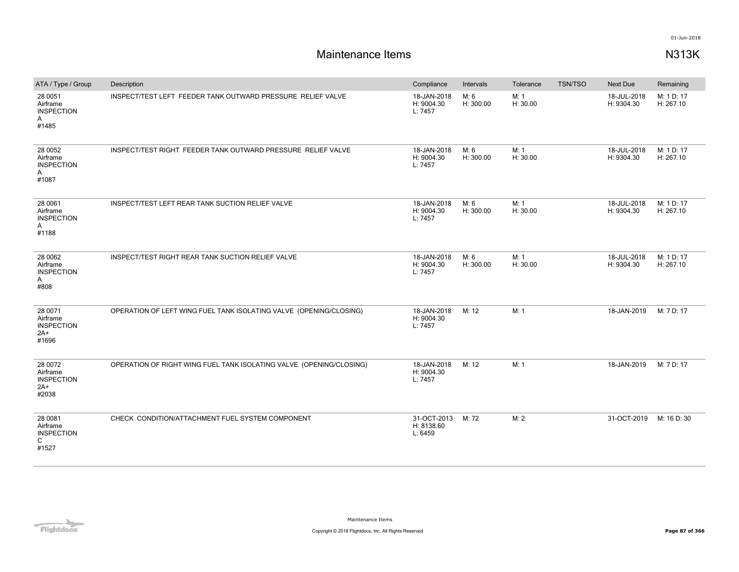| ATA / Type / Group                                         | Description                                                         | Compliance                           | Intervals         | Tolerance        | <b>TSN/TSO</b> | Next Due                  | Remaining               |
|------------------------------------------------------------|---------------------------------------------------------------------|--------------------------------------|-------------------|------------------|----------------|---------------------------|-------------------------|
| 28 0051<br>Airframe<br><b>INSPECTION</b><br>A<br>#1485     | INSPECT/TEST LEFT FEEDER TANK OUTWARD PRESSURE RELIEF VALVE         | 18-JAN-2018<br>H: 9004.30<br>L: 7457 | M: 6<br>H: 300.00 | M: 1<br>H: 30.00 |                | 18-JUL-2018<br>H: 9304.30 | M: 1 D: 17<br>H: 267.10 |
| 28 0052<br>Airframe<br><b>INSPECTION</b><br>A<br>#1087     | INSPECT/TEST RIGHT FEEDER TANK OUTWARD PRESSURE RELIEF VALVE        | 18-JAN-2018<br>H: 9004.30<br>L: 7457 | M: 6<br>H: 300.00 | M: 1<br>H: 30.00 |                | 18-JUL-2018<br>H: 9304.30 | M: 1 D: 17<br>H: 267.10 |
| 28 0061<br>Airframe<br><b>INSPECTION</b><br>A<br>#1188     | INSPECT/TEST LEFT REAR TANK SUCTION RELIEF VALVE                    | 18-JAN-2018<br>H: 9004.30<br>L: 7457 | M: 6<br>H: 300.00 | M: 1<br>H: 30.00 |                | 18-JUL-2018<br>H: 9304.30 | M: 1 D: 17<br>H: 267.10 |
| 28 0062<br>Airframe<br><b>INSPECTION</b><br>A<br>#808      | INSPECT/TEST RIGHT REAR TANK SUCTION RELIEF VALVE                   | 18-JAN-2018<br>H: 9004.30<br>L: 7457 | M: 6<br>H: 300.00 | M: 1<br>H: 30.00 |                | 18-JUL-2018<br>H: 9304.30 | M: 1 D: 17<br>H: 267.10 |
| 28 0071<br>Airframe<br><b>INSPECTION</b><br>$2A+$<br>#1696 | OPERATION OF LEFT WING FUEL TANK ISOLATING VALVE (OPENING/CLOSING)  | 18-JAN-2018<br>H: 9004.30<br>L: 7457 | M: 12             | M: 1             |                | 18-JAN-2019               | M: 7 D: 17              |
| 28 0072<br>Airframe<br><b>INSPECTION</b><br>$2A+$<br>#2038 | OPERATION OF RIGHT WING FUEL TANK ISOLATING VALVE (OPENING/CLOSING) | 18-JAN-2018<br>H: 9004.30<br>L: 7457 | M: 12             | M: 1             |                | 18-JAN-2019               | M: 7 D: 17              |
| 28 0081<br>Airframe<br><b>INSPECTION</b><br>C<br>#1527     | CHECK CONDITION/ATTACHMENT FUEL SYSTEM COMPONENT                    | 31-OCT-2013<br>H: 8138.60<br>L: 6459 | M: 72             | M: 2             |                | 31-OCT-2019               | M: 16 D: 30             |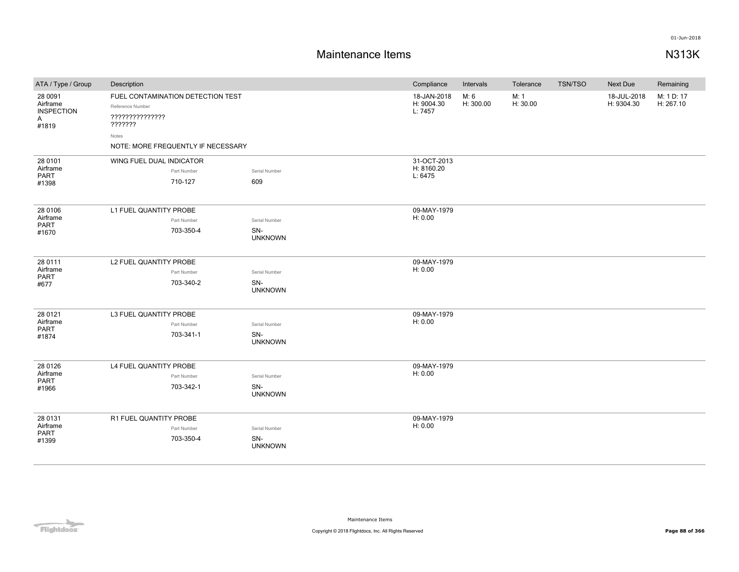| ATA / Type / Group                                                | Description                                                                                                                        |                                        | Compliance                           | Intervals         | Tolerance        | TSN/TSO | Next Due                  | Remaining               |
|-------------------------------------------------------------------|------------------------------------------------------------------------------------------------------------------------------------|----------------------------------------|--------------------------------------|-------------------|------------------|---------|---------------------------|-------------------------|
| 28 0091<br>Airframe<br><b>INSPECTION</b><br>$\mathsf{A}$<br>#1819 | FUEL CONTAMINATION DETECTION TEST<br>Reference Number<br>???????????????<br>???????<br>Notes<br>NOTE: MORE FREQUENTLY IF NECESSARY |                                        | 18-JAN-2018<br>H: 9004.30<br>L: 7457 | M: 6<br>H: 300.00 | M: 1<br>H: 30.00 |         | 18-JUL-2018<br>H: 9304.30 | M: 1 D: 17<br>H: 267.10 |
| 28 0101<br>Airframe<br><b>PART</b><br>#1398                       | WING FUEL DUAL INDICATOR<br>Part Number<br>710-127                                                                                 | Serial Number<br>609                   | 31-OCT-2013<br>H: 8160.20<br>L: 6475 |                   |                  |         |                           |                         |
| 28 0106<br>Airframe<br>PART<br>#1670                              | L1 FUEL QUANTITY PROBE<br>Part Number<br>703-350-4                                                                                 | Serial Number<br>SN-<br><b>UNKNOWN</b> | 09-MAY-1979<br>H: 0.00               |                   |                  |         |                           |                         |
| 28 0111<br>Airframe<br>PART<br>#677                               | L2 FUEL QUANTITY PROBE<br>Part Number<br>703-340-2                                                                                 | Serial Number<br>SN-<br><b>UNKNOWN</b> | 09-MAY-1979<br>H: 0.00               |                   |                  |         |                           |                         |
| 28 0121<br>Airframe<br>PART<br>#1874                              | L3 FUEL QUANTITY PROBE<br>Part Number<br>703-341-1                                                                                 | Serial Number<br>SN-<br><b>UNKNOWN</b> | 09-MAY-1979<br>H: 0.00               |                   |                  |         |                           |                         |
| 28 0126<br>Airframe<br>PART<br>#1966                              | L4 FUEL QUANTITY PROBE<br>Part Number<br>703-342-1                                                                                 | Serial Number<br>SN-<br><b>UNKNOWN</b> | 09-MAY-1979<br>H: 0.00               |                   |                  |         |                           |                         |
| 28 0131<br>Airframe<br>PART<br>#1399                              | R1 FUEL QUANTITY PROBE<br>Part Number<br>703-350-4                                                                                 | Serial Number<br>SN-<br><b>UNKNOWN</b> | 09-MAY-1979<br>H: 0.00               |                   |                  |         |                           |                         |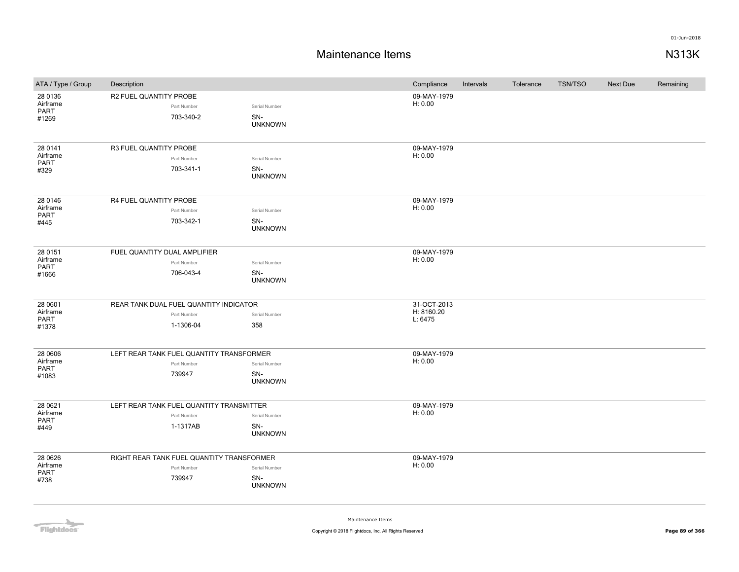## **Maintenance Items N313K**

| ATA / Type / Group                   | Description                                                         |                                        | Compliance                           | Intervals | Tolerance | <b>TSN/TSO</b> | <b>Next Due</b> | Remaining |
|--------------------------------------|---------------------------------------------------------------------|----------------------------------------|--------------------------------------|-----------|-----------|----------------|-----------------|-----------|
| 28 0136<br>Airframe<br>PART<br>#1269 | R2 FUEL QUANTITY PROBE<br>Part Number<br>703-340-2                  | Serial Number<br>SN-<br><b>UNKNOWN</b> | 09-MAY-1979<br>H: 0.00               |           |           |                |                 |           |
| 28 0141<br>Airframe<br>PART<br>#329  | R3 FUEL QUANTITY PROBE<br>Part Number<br>703-341-1                  | Serial Number<br>SN-<br><b>UNKNOWN</b> | 09-MAY-1979<br>H: 0.00               |           |           |                |                 |           |
| 28 0146<br>Airframe<br>PART<br>#445  | R4 FUEL QUANTITY PROBE<br>Part Number<br>703-342-1                  | Serial Number<br>SN-<br><b>UNKNOWN</b> | 09-MAY-1979<br>H: 0.00               |           |           |                |                 |           |
| 28 0151<br>Airframe<br>PART<br>#1666 | FUEL QUANTITY DUAL AMPLIFIER<br>Part Number<br>706-043-4            | Serial Number<br>SN-<br><b>UNKNOWN</b> | 09-MAY-1979<br>H: 0.00               |           |           |                |                 |           |
| 28 0601<br>Airframe<br>PART<br>#1378 | REAR TANK DUAL FUEL QUANTITY INDICATOR<br>Part Number<br>1-1306-04  | Serial Number<br>358                   | 31-OCT-2013<br>H: 8160.20<br>L: 6475 |           |           |                |                 |           |
| 28 0606<br>Airframe<br>PART<br>#1083 | LEFT REAR TANK FUEL QUANTITY TRANSFORMER<br>Part Number<br>739947   | Serial Number<br>SN-<br><b>UNKNOWN</b> | 09-MAY-1979<br>H: 0.00               |           |           |                |                 |           |
| 28 0621<br>Airframe<br>PART<br>#449  | LEFT REAR TANK FUEL QUANTITY TRANSMITTER<br>Part Number<br>1-1317AB | Serial Number<br>SN-<br><b>UNKNOWN</b> | 09-MAY-1979<br>H: 0.00               |           |           |                |                 |           |
| 28 06 26<br>Airframe<br>PART<br>#738 | RIGHT REAR TANK FUEL QUANTITY TRANSFORMER<br>Part Number<br>739947  | Serial Number<br>SN-<br><b>UNKNOWN</b> | 09-MAY-1979<br>H: 0.00               |           |           |                |                 |           |

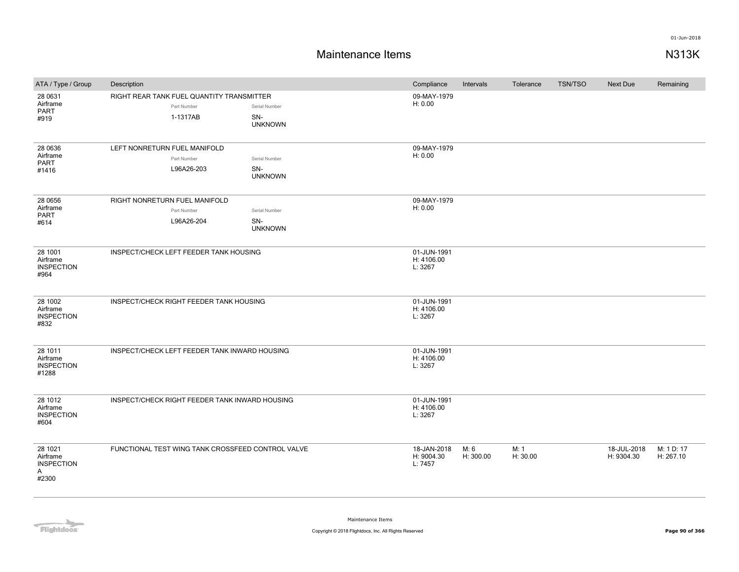| ATA / Type / Group                                     | Description                                                          |                                        | Compliance                           | Intervals         | Tolerance        | <b>TSN/TSO</b> | Next Due                  | Remaining               |
|--------------------------------------------------------|----------------------------------------------------------------------|----------------------------------------|--------------------------------------|-------------------|------------------|----------------|---------------------------|-------------------------|
| 28 0631<br>Airframe<br><b>PART</b><br>#919             | RIGHT REAR TANK FUEL QUANTITY TRANSMITTER<br>Part Number<br>1-1317AB | Serial Number<br>SN-<br><b>UNKNOWN</b> | 09-MAY-1979<br>H: 0.00               |                   |                  |                |                           |                         |
| 28 0636<br>Airframe<br>PART<br>#1416                   | LEFT NONRETURN FUEL MANIFOLD<br>Part Number<br>L96A26-203            | Serial Number<br>SN-<br><b>UNKNOWN</b> | 09-MAY-1979<br>H: 0.00               |                   |                  |                |                           |                         |
| 28 0656<br>Airframe<br><b>PART</b><br>#614             | RIGHT NONRETURN FUEL MANIFOLD<br>Part Number<br>L96A26-204           | Serial Number<br>SN-<br><b>UNKNOWN</b> | 09-MAY-1979<br>H: 0.00               |                   |                  |                |                           |                         |
| 28 1001<br>Airframe<br><b>INSPECTION</b><br>#964       | INSPECT/CHECK LEFT FEEDER TANK HOUSING                               |                                        | 01-JUN-1991<br>H: 4106.00<br>L: 3267 |                   |                  |                |                           |                         |
| 28 1002<br>Airframe<br><b>INSPECTION</b><br>#832       | INSPECT/CHECK RIGHT FEEDER TANK HOUSING                              |                                        | 01-JUN-1991<br>H: 4106.00<br>L: 3267 |                   |                  |                |                           |                         |
| 28 1011<br>Airframe<br><b>INSPECTION</b><br>#1288      | INSPECT/CHECK LEFT FEEDER TANK INWARD HOUSING                        |                                        | 01-JUN-1991<br>H: 4106.00<br>L: 3267 |                   |                  |                |                           |                         |
| 28 1012<br>Airframe<br><b>INSPECTION</b><br>#604       | INSPECT/CHECK RIGHT FEEDER TANK INWARD HOUSING                       |                                        | 01-JUN-1991<br>H: 4106.00<br>L: 3267 |                   |                  |                |                           |                         |
| 28 1021<br>Airframe<br><b>INSPECTION</b><br>Α<br>#2300 | FUNCTIONAL TEST WING TANK CROSSFEED CONTROL VALVE                    |                                        | 18-JAN-2018<br>H: 9004.30<br>L: 7457 | M: 6<br>H: 300.00 | M: 1<br>H: 30.00 |                | 18-JUL-2018<br>H: 9304.30 | M: 1 D: 17<br>H: 267.10 |

Flightdocs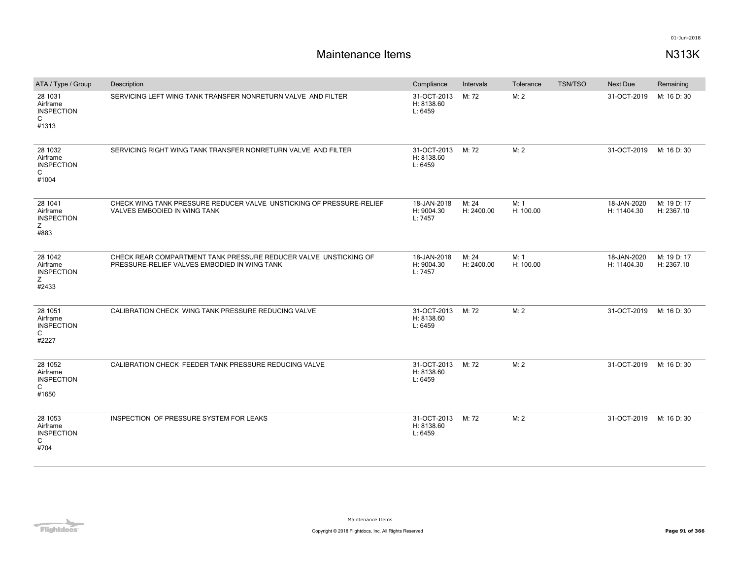| ATA / Type / Group                                     | Description                                                                                                      | Compliance                           | Intervals           | Tolerance         | <b>TSN/TSO</b> | Next Due                   | Remaining                 |
|--------------------------------------------------------|------------------------------------------------------------------------------------------------------------------|--------------------------------------|---------------------|-------------------|----------------|----------------------------|---------------------------|
| 28 1031<br>Airframe<br><b>INSPECTION</b><br>C<br>#1313 | SERVICING LEFT WING TANK TRANSFER NONRETURN VALVE AND FILTER                                                     | 31-OCT-2013<br>H: 8138.60<br>L: 6459 | M: 72               | M: 2              |                | 31-OCT-2019                | M: 16 D: 30               |
| 28 1032<br>Airframe<br><b>INSPECTION</b><br>C<br>#1004 | SERVICING RIGHT WING TANK TRANSFER NONRETURN VALVE AND FILTER                                                    | 31-OCT-2013<br>H: 8138.60<br>L: 6459 | M: 72               | M: 2              |                | 31-OCT-2019                | M: 16 D: 30               |
| 28 1041<br>Airframe<br><b>INSPECTION</b><br>Ζ<br>#883  | CHECK WING TANK PRESSURE REDUCER VALVE UNSTICKING OF PRESSURE-RELIEF<br>VALVES EMBODIED IN WING TANK             | 18-JAN-2018<br>H: 9004.30<br>L: 7457 | M: 24<br>H: 2400.00 | M: 1<br>H: 100.00 |                | 18-JAN-2020<br>H: 11404.30 | M: 19 D: 17<br>H: 2367.10 |
| 28 1042<br>Airframe<br><b>INSPECTION</b><br>Ζ<br>#2433 | CHECK REAR COMPARTMENT TANK PRESSURE REDUCER VALVE UNSTICKING OF<br>PRESSURE-RELIEF VALVES EMBODIED IN WING TANK | 18-JAN-2018<br>H: 9004.30<br>L: 7457 | M: 24<br>H: 2400.00 | M: 1<br>H: 100.00 |                | 18-JAN-2020<br>H: 11404.30 | M: 19 D: 17<br>H: 2367.10 |
| 28 1051<br>Airframe<br><b>INSPECTION</b><br>C<br>#2227 | CALIBRATION CHECK WING TANK PRESSURE REDUCING VALVE                                                              | 31-OCT-2013<br>H: 8138.60<br>L: 6459 | M: 72               | M: 2              |                | 31-OCT-2019                | M: 16 D: 30               |
| 28 1052<br>Airframe<br><b>INSPECTION</b><br>C<br>#1650 | CALIBRATION CHECK FEEDER TANK PRESSURE REDUCING VALVE                                                            | 31-OCT-2013<br>H: 8138.60<br>L: 6459 | M: 72               | M: 2              |                | 31-OCT-2019                | M: 16 D: 30               |
| 28 1053<br>Airframe<br><b>INSPECTION</b><br>C<br>#704  | INSPECTION OF PRESSURE SYSTEM FOR LEAKS                                                                          | 31-OCT-2013<br>H: 8138.60<br>L: 6459 | M: 72               | M: 2              |                | 31-OCT-2019                | M: 16 D: 30               |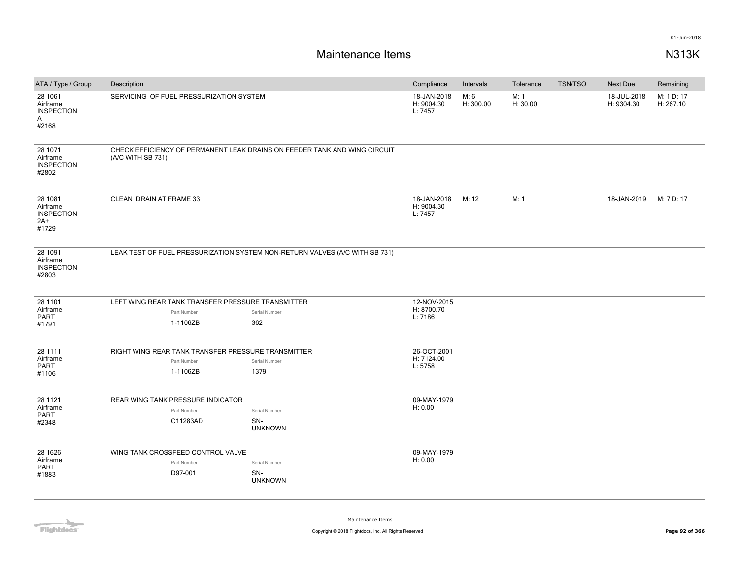| ATA / Type / Group                                                | Description                                        |                                                                             | Compliance                           | Intervals         | Tolerance        | <b>TSN/TSO</b> | Next Due                  | Remaining               |
|-------------------------------------------------------------------|----------------------------------------------------|-----------------------------------------------------------------------------|--------------------------------------|-------------------|------------------|----------------|---------------------------|-------------------------|
| 28 1061<br>Airframe<br><b>INSPECTION</b><br>$\mathsf{A}$<br>#2168 | SERVICING OF FUEL PRESSURIZATION SYSTEM            |                                                                             | 18-JAN-2018<br>H: 9004.30<br>L: 7457 | M: 6<br>H: 300.00 | M: 1<br>H: 30.00 |                | 18-JUL-2018<br>H: 9304.30 | M: 1 D: 17<br>H: 267.10 |
| 28 1071<br>Airframe<br><b>INSPECTION</b><br>#2802                 | (A/C WITH SB 731)                                  | CHECK EFFICIENCY OF PERMANENT LEAK DRAINS ON FEEDER TANK AND WING CIRCUIT   |                                      |                   |                  |                |                           |                         |
| 28 1081<br>Airframe<br><b>INSPECTION</b><br>$2A+$<br>#1729        | CLEAN DRAIN AT FRAME 33                            |                                                                             | 18-JAN-2018<br>H: 9004.30<br>L: 7457 | M: 12             | M: 1             |                | 18-JAN-2019               | M: 7 D: 17              |
| 28 1091<br>Airframe<br><b>INSPECTION</b><br>#2803                 |                                                    | LEAK TEST OF FUEL PRESSURIZATION SYSTEM NON-RETURN VALVES (A/C WITH SB 731) |                                      |                   |                  |                |                           |                         |
| 28 1101                                                           | LEFT WING REAR TANK TRANSFER PRESSURE TRANSMITTER  |                                                                             | 12-NOV-2015                          |                   |                  |                |                           |                         |
| Airframe<br><b>PART</b>                                           | Part Number                                        | Serial Number                                                               | H: 8700.70<br>L: 7186                |                   |                  |                |                           |                         |
| #1791                                                             | 1-1106ZB                                           | 362                                                                         |                                      |                   |                  |                |                           |                         |
| 28 1111                                                           | RIGHT WING REAR TANK TRANSFER PRESSURE TRANSMITTER |                                                                             | 26-OCT-2001                          |                   |                  |                |                           |                         |
| Airframe                                                          | Part Number                                        | Serial Number                                                               | H: 7124.00                           |                   |                  |                |                           |                         |
| <b>PART</b><br>#1106                                              | 1-1106ZB                                           | 1379                                                                        | L: 5758                              |                   |                  |                |                           |                         |
| 28 11 21                                                          | REAR WING TANK PRESSURE INDICATOR                  |                                                                             | 09-MAY-1979                          |                   |                  |                |                           |                         |
| Airframe                                                          | Part Number                                        | Serial Number                                                               | H: 0.00                              |                   |                  |                |                           |                         |
| <b>PART</b><br>#2348                                              | C11283AD                                           | SN-<br><b>UNKNOWN</b>                                                       |                                      |                   |                  |                |                           |                         |
| 28 16 26                                                          | WING TANK CROSSFEED CONTROL VALVE                  |                                                                             | 09-MAY-1979                          |                   |                  |                |                           |                         |
| Airframe<br><b>PART</b>                                           | Part Number                                        | Serial Number                                                               | H: 0.00                              |                   |                  |                |                           |                         |
| #1883                                                             | D97-001                                            | SN-<br><b>UNKNOWN</b>                                                       |                                      |                   |                  |                |                           |                         |
|                                                                   |                                                    |                                                                             |                                      |                   |                  |                |                           |                         |

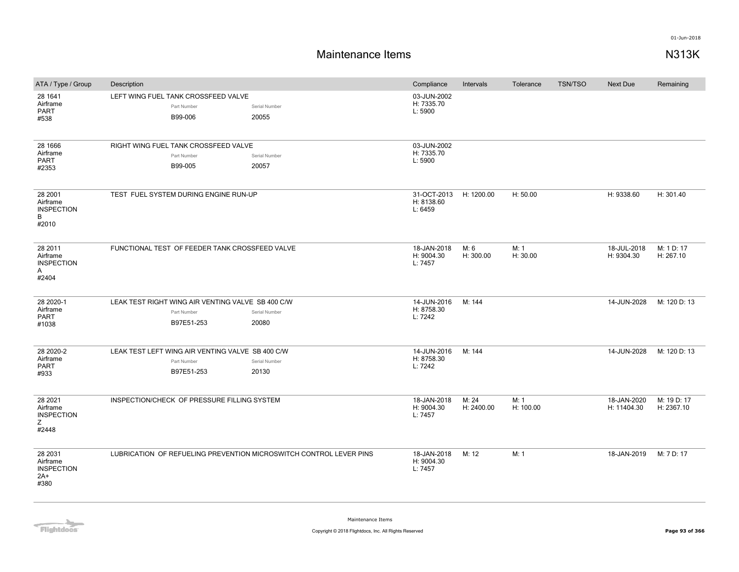# **Maintenance Items N313K**

| ATA / Type / Group                                                | Description                                                                    |                        | Compliance                           | Intervals           | Tolerance         | <b>TSN/TSO</b> | Next Due                   | Remaining                 |
|-------------------------------------------------------------------|--------------------------------------------------------------------------------|------------------------|--------------------------------------|---------------------|-------------------|----------------|----------------------------|---------------------------|
| 28 1641<br>Airframe<br><b>PART</b><br>#538                        | LEFT WING FUEL TANK CROSSFEED VALVE<br>Part Number<br>B99-006                  | Serial Number<br>20055 | 03-JUN-2002<br>H: 7335.70<br>L: 5900 |                     |                   |                |                            |                           |
| 28 1666<br>Airframe<br><b>PART</b><br>#2353                       | RIGHT WING FUEL TANK CROSSFEED VALVE<br>Part Number<br>B99-005                 | Serial Number<br>20057 | 03-JUN-2002<br>H: 7335.70<br>L: 5900 |                     |                   |                |                            |                           |
| 28 2001<br>Airframe<br><b>INSPECTION</b><br>B<br>#2010            | TEST FUEL SYSTEM DURING ENGINE RUN-UP                                          |                        | 31-OCT-2013<br>H: 8138.60<br>L: 6459 | H: 1200.00          | H: 50.00          |                | H: 9338.60                 | H: 301.40                 |
| 28 2011<br>Airframe<br><b>INSPECTION</b><br>$\mathsf{A}$<br>#2404 | FUNCTIONAL TEST OF FEEDER TANK CROSSFEED VALVE                                 |                        | 18-JAN-2018<br>H: 9004.30<br>L: 7457 | M: 6<br>H: 300.00   | M: 1<br>H: 30.00  |                | 18-JUL-2018<br>H: 9304.30  | M: 1 D: 17<br>H: 267.10   |
| 28 2020-1<br>Airframe<br><b>PART</b><br>#1038                     | LEAK TEST RIGHT WING AIR VENTING VALVE SB 400 C/W<br>Part Number<br>B97E51-253 | Serial Number<br>20080 | 14-JUN-2016<br>H: 8758.30<br>L: 7242 | M: 144              |                   |                | 14-JUN-2028                | M: 120 D: 13              |
| 28 2020-2<br>Airframe<br><b>PART</b><br>#933                      | LEAK TEST LEFT WING AIR VENTING VALVE SB 400 C/W<br>Part Number<br>B97E51-253  | Serial Number<br>20130 | 14-JUN-2016<br>H: 8758.30<br>L: 7242 | M: 144              |                   |                | 14-JUN-2028                | M: 120 D: 13              |
| 28 2021<br>Airframe<br><b>INSPECTION</b><br>Z<br>#2448            | INSPECTION/CHECK OF PRESSURE FILLING SYSTEM                                    |                        | 18-JAN-2018<br>H: 9004.30<br>L: 7457 | M: 24<br>H: 2400.00 | M: 1<br>H: 100.00 |                | 18-JAN-2020<br>H: 11404.30 | M: 19 D: 17<br>H: 2367.10 |
| 28 2031<br>Airframe<br><b>INSPECTION</b><br>$2A+$<br>#380         | LUBRICATION OF REFUELING PREVENTION MICROSWITCH CONTROL LEVER PINS             |                        | 18-JAN-2018<br>H: 9004.30<br>L: 7457 | M: 12               | M: 1              |                | 18-JAN-2019                | M: 7 D: 17                |

**Flightdocs**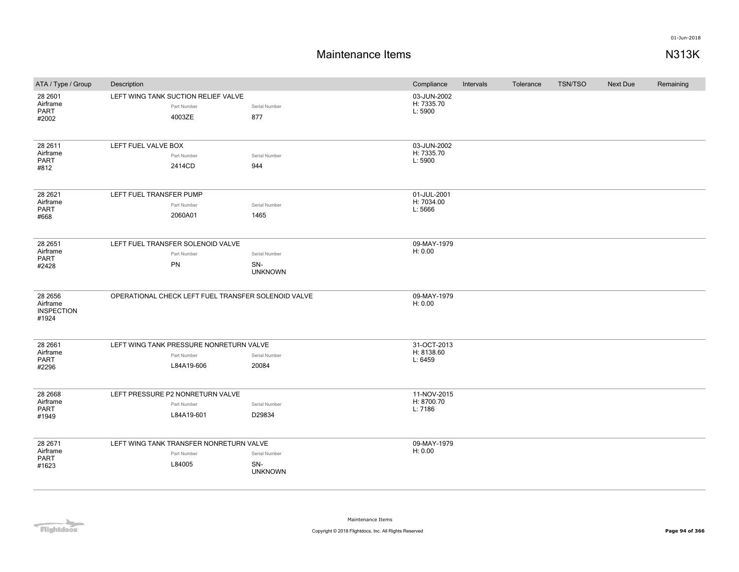| ATA / Type / Group                                | Description             |                                                                      |                                        | Compliance                           | Intervals | Tolerance | TSN/TSO | Next Due | Remaining |
|---------------------------------------------------|-------------------------|----------------------------------------------------------------------|----------------------------------------|--------------------------------------|-----------|-----------|---------|----------|-----------|
| 28 2601<br>Airframe<br><b>PART</b><br>#2002       |                         | LEFT WING TANK SUCTION RELIEF VALVE<br>Part Number<br>4003ZE         | Serial Number<br>877                   | 03-JUN-2002<br>H: 7335.70<br>L: 5900 |           |           |         |          |           |
| 28 26 11<br>Airframe<br>PART<br>#812              | LEFT FUEL VALVE BOX     | Part Number<br>2414CD                                                | Serial Number<br>944                   | 03-JUN-2002<br>H: 7335.70<br>L: 5900 |           |           |         |          |           |
| 28 26 21<br>Airframe<br><b>PART</b><br>#668       | LEFT FUEL TRANSFER PUMP | Part Number<br>2060A01                                               | Serial Number<br>1465                  | 01-JUL-2001<br>H: 7034.00<br>L: 5666 |           |           |         |          |           |
| 28 2651<br>Airframe<br><b>PART</b><br>#2428       |                         | LEFT FUEL TRANSFER SOLENOID VALVE<br>Part Number<br>PN               | Serial Number<br>SN-<br><b>UNKNOWN</b> | 09-MAY-1979<br>H: 0.00               |           |           |         |          |           |
| 28 2656<br>Airframe<br><b>INSPECTION</b><br>#1924 |                         | OPERATIONAL CHECK LEFT FUEL TRANSFER SOLENOID VALVE                  |                                        | 09-MAY-1979<br>H: 0.00               |           |           |         |          |           |
| 28 26 61<br>Airframe<br><b>PART</b><br>#2296      |                         | LEFT WING TANK PRESSURE NONRETURN VALVE<br>Part Number<br>L84A19-606 | Serial Number<br>20084                 | 31-OCT-2013<br>H: 8138.60<br>L: 6459 |           |           |         |          |           |
| 28 26 68<br>Airframe<br><b>PART</b><br>#1949      |                         | LEFT PRESSURE P2 NONRETURN VALVE<br>Part Number<br>L84A19-601        | Serial Number<br>D29834                | 11-NOV-2015<br>H: 8700.70<br>L: 7186 |           |           |         |          |           |
| 28 2671<br>Airframe<br>PART<br>#1623              |                         | LEFT WING TANK TRANSFER NONRETURN VALVE<br>Part Number<br>L84005     | Serial Number<br>SN-<br><b>UNKNOWN</b> | 09-MAY-1979<br>H: 0.00               |           |           |         |          |           |

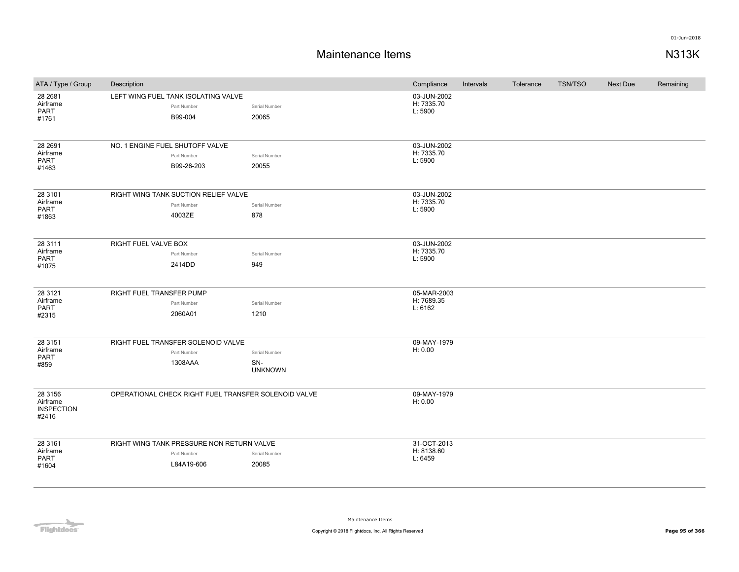| ATA / Type / Group                                | Description                                                            |                                        | Compliance                           | Intervals | Tolerance | <b>TSN/TSO</b> | <b>Next Due</b> | Remaining |
|---------------------------------------------------|------------------------------------------------------------------------|----------------------------------------|--------------------------------------|-----------|-----------|----------------|-----------------|-----------|
| 28 26 81<br>Airframe<br><b>PART</b><br>#1761      | LEFT WING FUEL TANK ISOLATING VALVE<br>Part Number<br>B99-004          | Serial Number<br>20065                 | 03-JUN-2002<br>H: 7335.70<br>L: 5900 |           |           |                |                 |           |
| 28 2691<br>Airframe<br><b>PART</b><br>#1463       | NO. 1 ENGINE FUEL SHUTOFF VALVE<br>Part Number<br>B99-26-203           | Serial Number<br>20055                 | 03-JUN-2002<br>H: 7335.70<br>L: 5900 |           |           |                |                 |           |
| 28 3101<br>Airframe<br><b>PART</b><br>#1863       | RIGHT WING TANK SUCTION RELIEF VALVE<br>Part Number<br>4003ZE          | Serial Number<br>878                   | 03-JUN-2002<br>H: 7335.70<br>L: 5900 |           |           |                |                 |           |
| 28 3111<br>Airframe<br><b>PART</b><br>#1075       | RIGHT FUEL VALVE BOX<br>Part Number<br>2414DD                          | Serial Number<br>949                   | 03-JUN-2002<br>H: 7335.70<br>L: 5900 |           |           |                |                 |           |
| 28 31 21<br>Airframe<br><b>PART</b><br>#2315      | RIGHT FUEL TRANSFER PUMP<br>Part Number<br>2060A01                     | Serial Number<br>1210                  | 05-MAR-2003<br>H: 7689.35<br>L: 6162 |           |           |                |                 |           |
| 28 31 51<br>Airframe<br>PART<br>#859              | RIGHT FUEL TRANSFER SOLENOID VALVE<br>Part Number<br>1308AAA           | Serial Number<br>SN-<br><b>UNKNOWN</b> | 09-MAY-1979<br>H: 0.00               |           |           |                |                 |           |
| 28 3156<br>Airframe<br><b>INSPECTION</b><br>#2416 | OPERATIONAL CHECK RIGHT FUEL TRANSFER SOLENOID VALVE                   |                                        | 09-MAY-1979<br>H: 0.00               |           |           |                |                 |           |
| 28 31 61<br>Airframe<br>PART<br>#1604             | RIGHT WING TANK PRESSURE NON RETURN VALVE<br>Part Number<br>L84A19-606 | Serial Number<br>20085                 | 31-OCT-2013<br>H: 8138.60<br>L: 6459 |           |           |                |                 |           |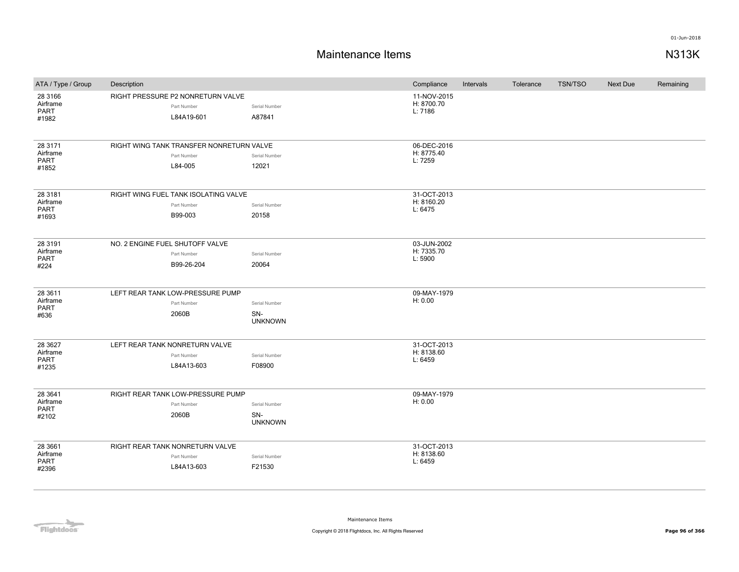## **Maintenance Items N313K**

| ATA / Type / Group                           | Description                     |                                                                    |                                        | Compliance                           | Intervals | Tolerance | <b>TSN/TSO</b> | Next Due | Remaining |
|----------------------------------------------|---------------------------------|--------------------------------------------------------------------|----------------------------------------|--------------------------------------|-----------|-----------|----------------|----------|-----------|
| 28 3166<br>Airframe<br><b>PART</b><br>#1982  |                                 | RIGHT PRESSURE P2 NONRETURN VALVE<br>Part Number<br>L84A19-601     | Serial Number<br>A87841                | 11-NOV-2015<br>H: 8700.70<br>L: 7186 |           |           |                |          |           |
| 28 3171<br>Airframe<br><b>PART</b><br>#1852  |                                 | RIGHT WING TANK TRANSFER NONRETURN VALVE<br>Part Number<br>L84-005 | Serial Number<br>12021                 | 06-DEC-2016<br>H: 8775.40<br>L: 7259 |           |           |                |          |           |
| 28 31 81<br>Airframe<br><b>PART</b><br>#1693 |                                 | RIGHT WING FUEL TANK ISOLATING VALVE<br>Part Number<br>B99-003     | Serial Number<br>20158                 | 31-OCT-2013<br>H: 8160.20<br>L: 6475 |           |           |                |          |           |
| 28 3191<br>Airframe<br><b>PART</b><br>#224   | NO. 2 ENGINE FUEL SHUTOFF VALVE | Part Number<br>B99-26-204                                          | Serial Number<br>20064                 | 03-JUN-2002<br>H: 7335.70<br>L: 5900 |           |           |                |          |           |
| 28 3611<br>Airframe<br><b>PART</b><br>#636   |                                 | LEFT REAR TANK LOW-PRESSURE PUMP<br>Part Number<br>2060B           | Serial Number<br>SN-<br><b>UNKNOWN</b> | 09-MAY-1979<br>H: 0.00               |           |           |                |          |           |
| 28 36 27<br>Airframe<br>PART<br>#1235        | LEFT REAR TANK NONRETURN VALVE  | Part Number<br>L84A13-603                                          | Serial Number<br>F08900                | 31-OCT-2013<br>H: 8138.60<br>L: 6459 |           |           |                |          |           |
| 28 3 641<br>Airframe<br><b>PART</b><br>#2102 |                                 | RIGHT REAR TANK LOW-PRESSURE PUMP<br>Part Number<br>2060B          | Serial Number<br>SN-<br><b>UNKNOWN</b> | 09-MAY-1979<br>H: 0.00               |           |           |                |          |           |
| 28 3661<br>Airframe<br>PART<br>#2396         |                                 | RIGHT REAR TANK NONRETURN VALVE<br>Part Number<br>L84A13-603       | Serial Number<br>F21530                | 31-OCT-2013<br>H: 8138.60<br>L: 6459 |           |           |                |          |           |

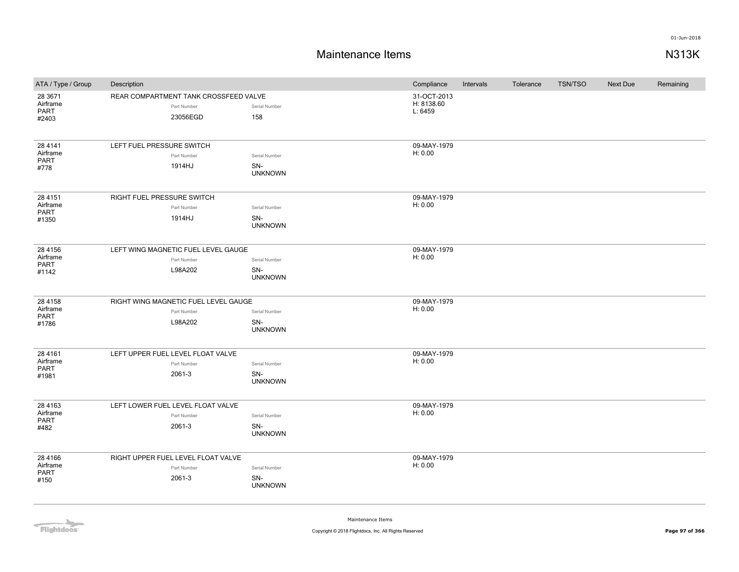## **Maintenance Items N313K**

| ATA / Type / Group      | Description |                                                                                                                                                                                                                                                                                                                                                                                                                                                                                                                                                                                                                                                                                                                                                                                                                                                                                                   |                | Compliance             | Intervals | Tolerance | <b>TSN/TSO</b> | <b>Next Due</b> | Remaining |
|-------------------------|-------------|---------------------------------------------------------------------------------------------------------------------------------------------------------------------------------------------------------------------------------------------------------------------------------------------------------------------------------------------------------------------------------------------------------------------------------------------------------------------------------------------------------------------------------------------------------------------------------------------------------------------------------------------------------------------------------------------------------------------------------------------------------------------------------------------------------------------------------------------------------------------------------------------------|----------------|------------------------|-----------|-----------|----------------|-----------------|-----------|
| 28 3671<br>Airframe     |             | REAR COMPARTMENT TANK CROSSFEED VALVE<br>31-OCT-2013<br>H: 8138.60<br>Serial Number<br>Part Number<br>L: 6459<br>158<br>23056EGD<br>LEFT FUEL PRESSURE SWITCH<br>09-MAY-1979<br>H: 0.00<br>Part Number<br>Serial Number<br>1914HJ<br>SN-<br><b>UNKNOWN</b><br>RIGHT FUEL PRESSURE SWITCH<br>09-MAY-1979<br>H: 0.00<br>Part Number<br>Serial Number<br>1914HJ<br>SN-<br><b>UNKNOWN</b><br>LEFT WING MAGNETIC FUEL LEVEL GAUGE<br>09-MAY-1979<br>H: 0.00<br>Part Number<br>Serial Number<br>L98A202<br>SN-<br><b>UNKNOWN</b><br>09-MAY-1979<br>RIGHT WING MAGNETIC FUEL LEVEL GAUGE<br>H: 0.00<br>Part Number<br>Serial Number<br>L98A202<br>SN-<br><b>UNKNOWN</b><br>LEFT UPPER FUEL LEVEL FLOAT VALVE<br>09-MAY-1979<br>H: 0.00<br>Serial Number<br>Part Number<br>SN-<br>2061-3<br><b>UNKNOWN</b><br>LEFT LOWER FUEL LEVEL FLOAT VALVE<br>09-MAY-1979<br>H: 0.00<br>Part Number<br>Serial Number |                |                        |           |           |                |                 |           |
| PART                    |             |                                                                                                                                                                                                                                                                                                                                                                                                                                                                                                                                                                                                                                                                                                                                                                                                                                                                                                   |                |                        |           |           |                |                 |           |
| #2403                   |             |                                                                                                                                                                                                                                                                                                                                                                                                                                                                                                                                                                                                                                                                                                                                                                                                                                                                                                   |                |                        |           |           |                |                 |           |
|                         |             |                                                                                                                                                                                                                                                                                                                                                                                                                                                                                                                                                                                                                                                                                                                                                                                                                                                                                                   |                |                        |           |           |                |                 |           |
| 28 4 1 4 1              |             |                                                                                                                                                                                                                                                                                                                                                                                                                                                                                                                                                                                                                                                                                                                                                                                                                                                                                                   |                |                        |           |           |                |                 |           |
| Airframe<br><b>PART</b> |             |                                                                                                                                                                                                                                                                                                                                                                                                                                                                                                                                                                                                                                                                                                                                                                                                                                                                                                   |                |                        |           |           |                |                 |           |
| #778                    |             |                                                                                                                                                                                                                                                                                                                                                                                                                                                                                                                                                                                                                                                                                                                                                                                                                                                                                                   |                |                        |           |           |                |                 |           |
|                         |             |                                                                                                                                                                                                                                                                                                                                                                                                                                                                                                                                                                                                                                                                                                                                                                                                                                                                                                   |                |                        |           |           |                |                 |           |
| 28 4 1 5 1              |             |                                                                                                                                                                                                                                                                                                                                                                                                                                                                                                                                                                                                                                                                                                                                                                                                                                                                                                   |                |                        |           |           |                |                 |           |
| Airframe<br>PART        |             |                                                                                                                                                                                                                                                                                                                                                                                                                                                                                                                                                                                                                                                                                                                                                                                                                                                                                                   |                |                        |           |           |                |                 |           |
| #1350                   |             |                                                                                                                                                                                                                                                                                                                                                                                                                                                                                                                                                                                                                                                                                                                                                                                                                                                                                                   |                |                        |           |           |                |                 |           |
|                         |             |                                                                                                                                                                                                                                                                                                                                                                                                                                                                                                                                                                                                                                                                                                                                                                                                                                                                                                   |                |                        |           |           |                |                 |           |
| 28 4 1 5 6              |             |                                                                                                                                                                                                                                                                                                                                                                                                                                                                                                                                                                                                                                                                                                                                                                                                                                                                                                   |                |                        |           |           |                |                 |           |
| Airframe                |             |                                                                                                                                                                                                                                                                                                                                                                                                                                                                                                                                                                                                                                                                                                                                                                                                                                                                                                   |                |                        |           |           |                |                 |           |
| PART                    |             |                                                                                                                                                                                                                                                                                                                                                                                                                                                                                                                                                                                                                                                                                                                                                                                                                                                                                                   |                |                        |           |           |                |                 |           |
| #1142                   |             |                                                                                                                                                                                                                                                                                                                                                                                                                                                                                                                                                                                                                                                                                                                                                                                                                                                                                                   |                |                        |           |           |                |                 |           |
|                         |             |                                                                                                                                                                                                                                                                                                                                                                                                                                                                                                                                                                                                                                                                                                                                                                                                                                                                                                   |                |                        |           |           |                |                 |           |
| 28 4 1 5 8              |             |                                                                                                                                                                                                                                                                                                                                                                                                                                                                                                                                                                                                                                                                                                                                                                                                                                                                                                   |                |                        |           |           |                |                 |           |
| Airframe<br>PART        |             |                                                                                                                                                                                                                                                                                                                                                                                                                                                                                                                                                                                                                                                                                                                                                                                                                                                                                                   |                |                        |           |           |                |                 |           |
| #1786                   |             |                                                                                                                                                                                                                                                                                                                                                                                                                                                                                                                                                                                                                                                                                                                                                                                                                                                                                                   |                |                        |           |           |                |                 |           |
|                         |             |                                                                                                                                                                                                                                                                                                                                                                                                                                                                                                                                                                                                                                                                                                                                                                                                                                                                                                   |                |                        |           |           |                |                 |           |
| 28 4 1 6 1              |             |                                                                                                                                                                                                                                                                                                                                                                                                                                                                                                                                                                                                                                                                                                                                                                                                                                                                                                   |                |                        |           |           |                |                 |           |
| Airframe                |             |                                                                                                                                                                                                                                                                                                                                                                                                                                                                                                                                                                                                                                                                                                                                                                                                                                                                                                   |                |                        |           |           |                |                 |           |
| PART<br>#1981           |             |                                                                                                                                                                                                                                                                                                                                                                                                                                                                                                                                                                                                                                                                                                                                                                                                                                                                                                   |                |                        |           |           |                |                 |           |
|                         |             |                                                                                                                                                                                                                                                                                                                                                                                                                                                                                                                                                                                                                                                                                                                                                                                                                                                                                                   |                |                        |           |           |                |                 |           |
| 28 4 1 6 3              |             |                                                                                                                                                                                                                                                                                                                                                                                                                                                                                                                                                                                                                                                                                                                                                                                                                                                                                                   |                |                        |           |           |                |                 |           |
| Airframe                |             |                                                                                                                                                                                                                                                                                                                                                                                                                                                                                                                                                                                                                                                                                                                                                                                                                                                                                                   |                |                        |           |           |                |                 |           |
| <b>PART</b><br>#482     |             | 2061-3                                                                                                                                                                                                                                                                                                                                                                                                                                                                                                                                                                                                                                                                                                                                                                                                                                                                                            | SN-            |                        |           |           |                |                 |           |
|                         |             |                                                                                                                                                                                                                                                                                                                                                                                                                                                                                                                                                                                                                                                                                                                                                                                                                                                                                                   | <b>UNKNOWN</b> |                        |           |           |                |                 |           |
|                         |             |                                                                                                                                                                                                                                                                                                                                                                                                                                                                                                                                                                                                                                                                                                                                                                                                                                                                                                   |                |                        |           |           |                |                 |           |
| 28 4 166<br>Airframe    |             | RIGHT UPPER FUEL LEVEL FLOAT VALVE<br>Part Number                                                                                                                                                                                                                                                                                                                                                                                                                                                                                                                                                                                                                                                                                                                                                                                                                                                 | Serial Number  | 09-MAY-1979<br>H: 0.00 |           |           |                |                 |           |
| PART                    |             | 2061-3                                                                                                                                                                                                                                                                                                                                                                                                                                                                                                                                                                                                                                                                                                                                                                                                                                                                                            | SN-            |                        |           |           |                |                 |           |
| #150                    |             |                                                                                                                                                                                                                                                                                                                                                                                                                                                                                                                                                                                                                                                                                                                                                                                                                                                                                                   | <b>UNKNOWN</b> |                        |           |           |                |                 |           |
|                         |             |                                                                                                                                                                                                                                                                                                                                                                                                                                                                                                                                                                                                                                                                                                                                                                                                                                                                                                   |                |                        |           |           |                |                 |           |

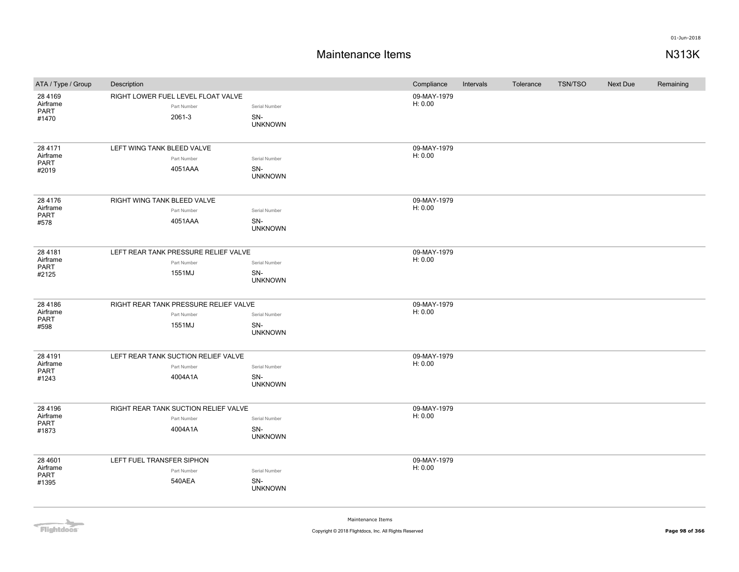| ATA / Type / Group                             | Description                                                 |                                        | Compliance             | Intervals | Tolerance | <b>TSN/TSO</b> | Next Due | Remaining |
|------------------------------------------------|-------------------------------------------------------------|----------------------------------------|------------------------|-----------|-----------|----------------|----------|-----------|
| 28 4 1 6 9<br>Airframe<br><b>PART</b><br>#1470 | RIGHT LOWER FUEL LEVEL FLOAT VALVE<br>Part Number<br>2061-3 | Serial Number<br>SN-<br><b>UNKNOWN</b> | 09-MAY-1979<br>H: 0.00 |           |           |                |          |           |
|                                                |                                                             |                                        |                        |           |           |                |          |           |
| 28 4171<br>Airframe                            | LEFT WING TANK BLEED VALVE                                  |                                        | 09-MAY-1979<br>H: 0.00 |           |           |                |          |           |
| <b>PART</b>                                    | Part Number                                                 | Serial Number                          |                        |           |           |                |          |           |
| #2019                                          | 4051AAA                                                     | SN-<br><b>UNKNOWN</b>                  |                        |           |           |                |          |           |
| 28 4176                                        | RIGHT WING TANK BLEED VALVE                                 |                                        | 09-MAY-1979            |           |           |                |          |           |
| Airframe<br><b>PART</b>                        | Part Number                                                 | Serial Number                          | H: 0.00                |           |           |                |          |           |
| #578                                           | 4051AAA                                                     | SN-<br><b>UNKNOWN</b>                  |                        |           |           |                |          |           |
| 28 4 18 1                                      | LEFT REAR TANK PRESSURE RELIEF VALVE                        |                                        | 09-MAY-1979            |           |           |                |          |           |
| Airframe<br>PART                               | Part Number                                                 | Serial Number                          | H: 0.00                |           |           |                |          |           |
| #2125                                          | 1551MJ                                                      | SN-<br><b>UNKNOWN</b>                  |                        |           |           |                |          |           |
| 28 4 18 6                                      | RIGHT REAR TANK PRESSURE RELIEF VALVE                       |                                        | 09-MAY-1979            |           |           |                |          |           |
| Airframe<br><b>PART</b>                        | Part Number                                                 | Serial Number                          | H: 0.00                |           |           |                |          |           |
| #598                                           | 1551MJ                                                      | SN-<br><b>UNKNOWN</b>                  |                        |           |           |                |          |           |
| 28 4 1 9 1                                     | LEFT REAR TANK SUCTION RELIEF VALVE                         |                                        | 09-MAY-1979            |           |           |                |          |           |
| Airframe<br>PART                               | Part Number                                                 | Serial Number                          | H: 0.00                |           |           |                |          |           |
| #1243                                          | 4004A1A                                                     | SN-<br><b>UNKNOWN</b>                  |                        |           |           |                |          |           |
| 28 4 1 9 6                                     | RIGHT REAR TANK SUCTION RELIEF VALVE                        |                                        | 09-MAY-1979            |           |           |                |          |           |
| Airframe<br><b>PART</b>                        | Part Number                                                 | Serial Number                          | H: 0.00                |           |           |                |          |           |
| #1873                                          | 4004A1A                                                     | SN-<br><b>UNKNOWN</b>                  |                        |           |           |                |          |           |
| 28 4601                                        | LEFT FUEL TRANSFER SIPHON                                   |                                        | 09-MAY-1979            |           |           |                |          |           |
| Airframe<br><b>PART</b>                        | Part Number                                                 | Serial Number                          | H: 0.00                |           |           |                |          |           |
| #1395                                          | 540AEA                                                      | SN-<br><b>UNKNOWN</b>                  |                        |           |           |                |          |           |
|                                                |                                                             |                                        |                        |           |           |                |          |           |

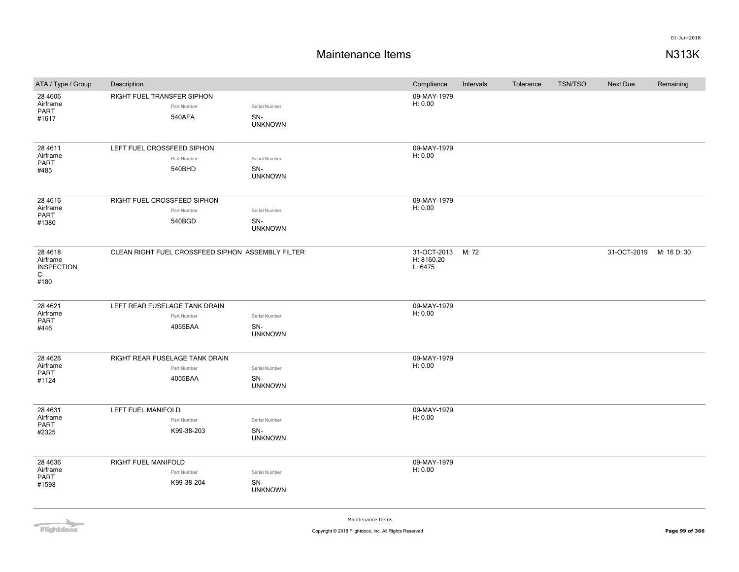## **Maintenance Items N313K**

| ATA / Type / Group                                                 | Description                                              |                                        | Compliance                           | Intervals | Tolerance | <b>TSN/TSO</b> | <b>Next Due</b> | Remaining   |
|--------------------------------------------------------------------|----------------------------------------------------------|----------------------------------------|--------------------------------------|-----------|-----------|----------------|-----------------|-------------|
| 28 4 6 0 6<br>Airframe<br>PART<br>#1617                            | RIGHT FUEL TRANSFER SIPHON<br>Part Number<br>540AFA      | Serial Number<br>SN-<br><b>UNKNOWN</b> | 09-MAY-1979<br>H: 0.00               |           |           |                |                 |             |
| 28 4 6 1 1<br>Airframe<br>PART<br>#485                             | LEFT FUEL CROSSFEED SIPHON<br>Part Number<br>540BHD      | Serial Number<br>SN-<br><b>UNKNOWN</b> | 09-MAY-1979<br>H: 0.00               |           |           |                |                 |             |
| 28 4 6 1 6<br>Airframe<br>PART<br>#1380                            | RIGHT FUEL CROSSFEED SIPHON<br>Part Number<br>540BGD     | Serial Number<br>SN-<br><b>UNKNOWN</b> | 09-MAY-1979<br>H: 0.00               |           |           |                |                 |             |
| 28 4 6 18<br>Airframe<br><b>INSPECTION</b><br>$\mathsf{C}$<br>#180 | CLEAN RIGHT FUEL CROSSFEED SIPHON ASSEMBLY FILTER        |                                        | 31-OCT-2013<br>H: 8160.20<br>L: 6475 | M: 72     |           |                | 31-OCT-2019     | M: 16 D: 30 |
| 28 4 6 21<br>Airframe<br><b>PART</b><br>#446                       | LEFT REAR FUSELAGE TANK DRAIN<br>Part Number<br>4055BAA  | Serial Number<br>SN-<br><b>UNKNOWN</b> | 09-MAY-1979<br>H: 0.00               |           |           |                |                 |             |
| 28 4 6 2 6<br>Airframe<br><b>PART</b><br>#1124                     | RIGHT REAR FUSELAGE TANK DRAIN<br>Part Number<br>4055BAA | Serial Number<br>SN-<br><b>UNKNOWN</b> | 09-MAY-1979<br>H: 0.00               |           |           |                |                 |             |
| 28 4 631<br>Airframe<br><b>PART</b><br>#2325                       | LEFT FUEL MANIFOLD<br>Part Number<br>K99-38-203          | Serial Number<br>SN-<br><b>UNKNOWN</b> | 09-MAY-1979<br>H: 0.00               |           |           |                |                 |             |
| 28 4 6 3 6<br>Airframe<br>PART<br>#1598                            | RIGHT FUEL MANIFOLD<br>Part Number<br>K99-38-204         | Serial Number<br>SN-<br><b>UNKNOWN</b> | 09-MAY-1979<br>H: 0.00               |           |           |                |                 |             |

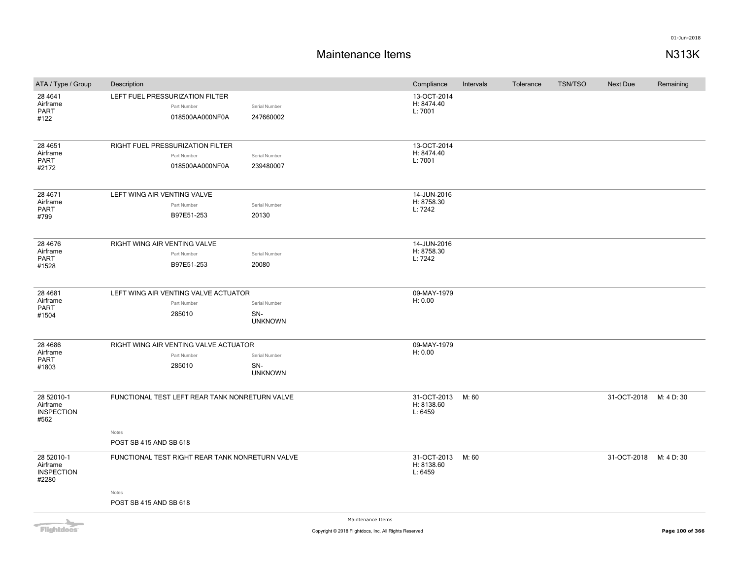## **Maintenance Items N313K**

| ATA / Type / Group                                   | Description                                                        |                                        | Compliance                           | Intervals | Tolerance | <b>TSN/TSO</b> | Next Due               | Remaining  |
|------------------------------------------------------|--------------------------------------------------------------------|----------------------------------------|--------------------------------------|-----------|-----------|----------------|------------------------|------------|
| 28 4 641<br>Airframe<br>PART<br>#122                 | LEFT FUEL PRESSURIZATION FILTER<br>Part Number<br>018500AA000NF0A  | Serial Number<br>247660002             | 13-OCT-2014<br>H: 8474.40<br>L: 7001 |           |           |                |                        |            |
| 28 4 6 5 1<br>Airframe<br>PART<br>#2172              | RIGHT FUEL PRESSURIZATION FILTER<br>Part Number<br>018500AA000NF0A | Serial Number<br>239480007             | 13-OCT-2014<br>H: 8474.40<br>L: 7001 |           |           |                |                        |            |
| 28 4671<br>Airframe<br>PART<br>#799                  | LEFT WING AIR VENTING VALVE<br>Part Number<br>B97E51-253           | Serial Number<br>20130                 | 14-JUN-2016<br>H: 8758.30<br>L: 7242 |           |           |                |                        |            |
| 28 4 6 7 6<br>Airframe<br><b>PART</b><br>#1528       | RIGHT WING AIR VENTING VALVE<br>Part Number<br>B97E51-253          | Serial Number<br>20080                 | 14-JUN-2016<br>H: 8758.30<br>L: 7242 |           |           |                |                        |            |
| 28 4 68 1<br>Airframe<br>PART<br>#1504               | LEFT WING AIR VENTING VALVE ACTUATOR<br>Part Number<br>285010      | Serial Number<br>SN-<br><b>UNKNOWN</b> | 09-MAY-1979<br>H: 0.00               |           |           |                |                        |            |
| 28 4 6 8 6<br>Airframe<br><b>PART</b><br>#1803       | RIGHT WING AIR VENTING VALVE ACTUATOR<br>Part Number<br>285010     | Serial Number<br>SN-<br><b>UNKNOWN</b> | 09-MAY-1979<br>H: 0.00               |           |           |                |                        |            |
| 28 52010-1<br>Airframe<br><b>INSPECTION</b><br>#562  | FUNCTIONAL TEST LEFT REAR TANK NONRETURN VALVE<br>Notes            |                                        | 31-OCT-2013<br>H: 8138.60<br>L: 6459 | M: 60     |           |                | 31-OCT-2018            | M: 4 D: 30 |
|                                                      | POST SB 415 AND SB 618                                             |                                        |                                      |           |           |                |                        |            |
| 28 52010-1<br>Airframe<br><b>INSPECTION</b><br>#2280 | FUNCTIONAL TEST RIGHT REAR TANK NONRETURN VALVE                    |                                        | 31-OCT-2013<br>H: 8138.60<br>L: 6459 | M: 60     |           |                | 31-OCT-2018 M: 4 D: 30 |            |
|                                                      | Notes<br>POST SB 415 AND SB 618                                    |                                        |                                      |           |           |                |                        |            |

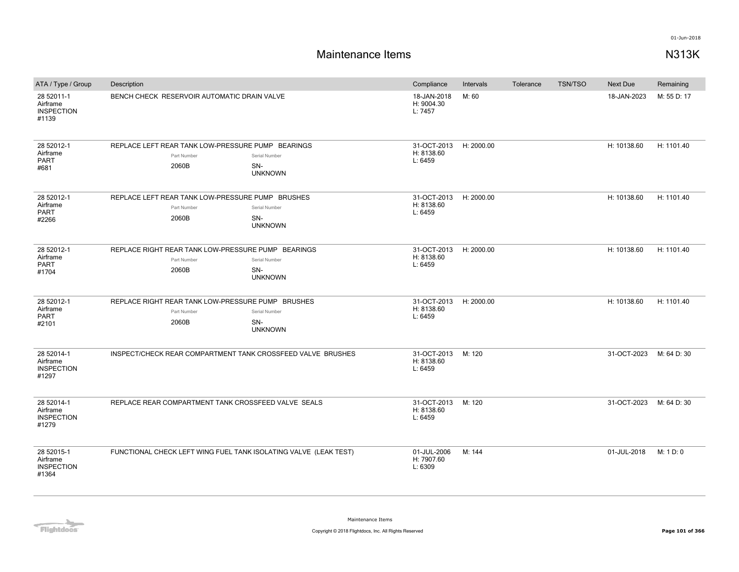| ATA / Type / Group                                   | Description                                                                                                          | Compliance                                      | Intervals  | Tolerance | <b>TSN/TSO</b> | <b>Next Due</b> | Remaining   |
|------------------------------------------------------|----------------------------------------------------------------------------------------------------------------------|-------------------------------------------------|------------|-----------|----------------|-----------------|-------------|
| 28 52011-1<br>Airframe<br><b>INSPECTION</b><br>#1139 | BENCH CHECK RESERVOIR AUTOMATIC DRAIN VALVE                                                                          | 18-JAN-2018<br>H: 9004.30<br>L: 7457            | M: 60      |           |                | 18-JAN-2023     | M: 55 D: 17 |
| 28 52012-1<br>Airframe<br>PART<br>#681               | REPLACE LEFT REAR TANK LOW-PRESSURE PUMP BEARINGS<br>Part Number<br>Serial Number<br>2060B<br>SN-<br><b>UNKNOWN</b>  | 31-OCT-2013 H: 2000.00<br>H: 8138.60<br>L: 6459 |            |           |                | H: 10138.60     | H: 1101.40  |
| 28 52012-1<br>Airframe<br><b>PART</b><br>#2266       | REPLACE LEFT REAR TANK LOW-PRESSURE PUMP BRUSHES<br>Part Number<br>Serial Number<br>2060B<br>SN-<br><b>UNKNOWN</b>   | 31-OCT-2013<br>H: 8138.60<br>L: 6459            | H: 2000.00 |           |                | H: 10138.60     | H: 1101.40  |
| 28 52012-1<br>Airframe<br>PART<br>#1704              | REPLACE RIGHT REAR TANK LOW-PRESSURE PUMP BEARINGS<br>Part Number<br>Serial Number<br>2060B<br>SN-<br><b>UNKNOWN</b> | 31-OCT-2013<br>H: 8138.60<br>L: 6459            | H: 2000.00 |           |                | H: 10138.60     | H: 1101.40  |
| 28 52012-1<br>Airframe<br><b>PART</b><br>#2101       | REPLACE RIGHT REAR TANK LOW-PRESSURE PUMP BRUSHES<br>Part Number<br>Serial Number<br>2060B<br>SN-<br><b>UNKNOWN</b>  | 31-OCT-2013<br>H: 8138.60<br>L: 6459            | H: 2000.00 |           |                | H: 10138.60     | H: 1101.40  |
| 28 52014-1<br>Airframe<br><b>INSPECTION</b><br>#1297 | INSPECT/CHECK REAR COMPARTMENT TANK CROSSFEED VALVE BRUSHES                                                          | 31-OCT-2013<br>H: 8138.60<br>L: 6459            | M: 120     |           |                | 31-OCT-2023     | M: 64 D: 30 |
| 28 52014-1<br>Airframe<br><b>INSPECTION</b><br>#1279 | REPLACE REAR COMPARTMENT TANK CROSSFEED VALVE SEALS                                                                  | 31-OCT-2013<br>H: 8138.60<br>L: 6459            | M: 120     |           |                | 31-OCT-2023     | M: 64 D: 30 |
| 28 52015-1<br>Airframe<br><b>INSPECTION</b><br>#1364 | FUNCTIONAL CHECK LEFT WING FUEL TANK ISOLATING VALVE (LEAK TEST)                                                     | 01-JUL-2006<br>H: 7907.60<br>L: 6309            | M: 144     |           |                | 01-JUL-2018     | M: 1 D: 0   |

**Flightdocs**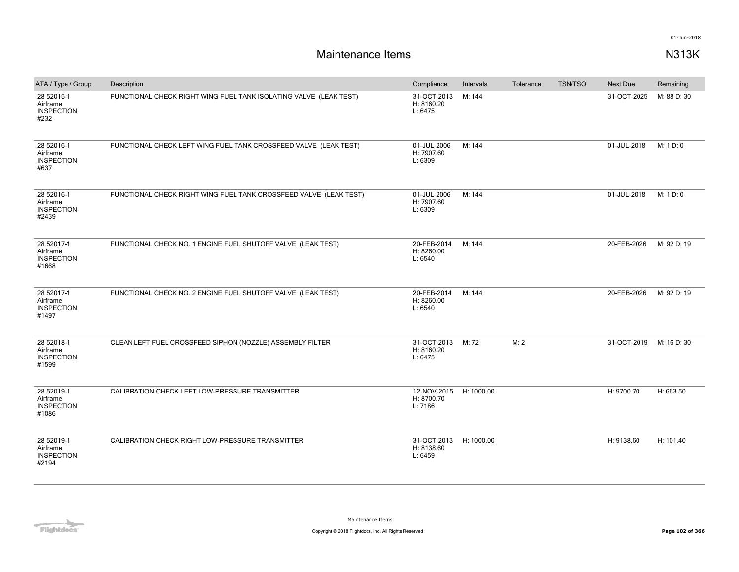| ATA / Type / Group                                   | Description                                                       | Compliance                                      | Intervals  | Tolerance | <b>TSN/TSO</b> | Next Due    | Remaining   |
|------------------------------------------------------|-------------------------------------------------------------------|-------------------------------------------------|------------|-----------|----------------|-------------|-------------|
| 28 52015-1<br>Airframe<br><b>INSPECTION</b><br>#232  | FUNCTIONAL CHECK RIGHT WING FUEL TANK ISOLATING VALVE (LEAK TEST) | 31-OCT-2013<br>H: 8160.20<br>L: 6475            | M: 144     |           |                | 31-OCT-2025 | M: 88 D: 30 |
| 28 52016-1<br>Airframe<br><b>INSPECTION</b><br>#637  | FUNCTIONAL CHECK LEFT WING FUEL TANK CROSSFEED VALVE (LEAK TEST)  | 01-JUL-2006<br>H: 7907.60<br>L: 6309            | M: 144     |           |                | 01-JUL-2018 | M: 1 D: 0   |
| 28 52016-1<br>Airframe<br><b>INSPECTION</b><br>#2439 | FUNCTIONAL CHECK RIGHT WING FUEL TANK CROSSFEED VALVE (LEAK TEST) | 01-JUL-2006<br>H: 7907.60<br>L: 6309            | M: 144     |           |                | 01-JUL-2018 | M: 1 D: 0   |
| 28 52017-1<br>Airframe<br><b>INSPECTION</b><br>#1668 | FUNCTIONAL CHECK NO. 1 ENGINE FUEL SHUTOFF VALVE (LEAK TEST)      | 20-FEB-2014<br>H: 8260.00<br>L: 6540            | M: 144     |           |                | 20-FEB-2026 | M: 92 D: 19 |
| 28 52017-1<br>Airframe<br><b>INSPECTION</b><br>#1497 | FUNCTIONAL CHECK NO. 2 ENGINE FUEL SHUTOFF VALVE (LEAK TEST)      | 20-FEB-2014<br>H: 8260.00<br>L: 6540            | M: 144     |           |                | 20-FEB-2026 | M: 92 D: 19 |
| 28 52018-1<br>Airframe<br><b>INSPECTION</b><br>#1599 | CLEAN LEFT FUEL CROSSFEED SIPHON (NOZZLE) ASSEMBLY FILTER         | 31-OCT-2013<br>H: 8160.20<br>L: 6475            | M: 72      | M: 2      |                | 31-OCT-2019 | M: 16 D: 30 |
| 28 52019-1<br>Airframe<br><b>INSPECTION</b><br>#1086 | CALIBRATION CHECK LEFT LOW-PRESSURE TRANSMITTER                   | 12-NOV-2015 H: 1000.00<br>H: 8700.70<br>L: 7186 |            |           |                | H: 9700.70  | H: 663.50   |
| 28 52019-1<br>Airframe<br><b>INSPECTION</b><br>#2194 | CALIBRATION CHECK RIGHT LOW-PRESSURE TRANSMITTER                  | 31-OCT-2013<br>H: 8138.60<br>L: 6459            | H: 1000.00 |           |                | H: 9138.60  | H: 101.40   |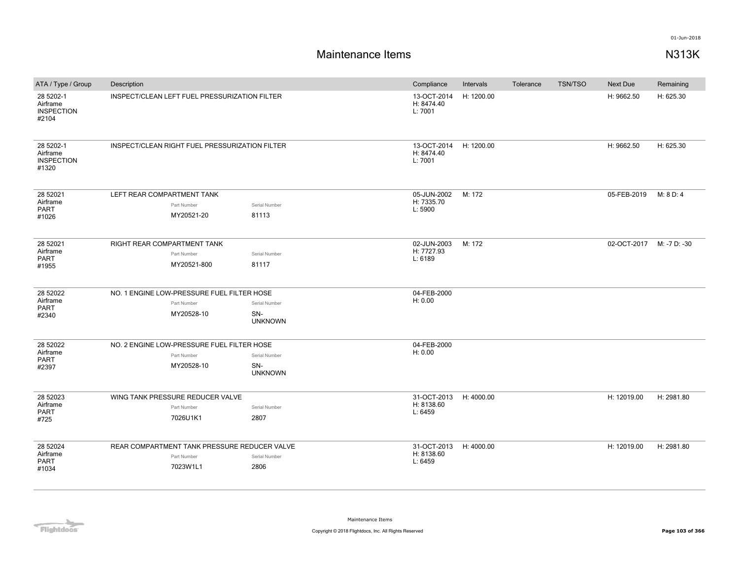| ATA / Type / Group                                  | Description                 |                                                |                       | Compliance                           | Intervals  | Tolerance | <b>TSN/TSO</b> | Next Due                 | Remaining  |
|-----------------------------------------------------|-----------------------------|------------------------------------------------|-----------------------|--------------------------------------|------------|-----------|----------------|--------------------------|------------|
| 28 5202-1<br>Airframe<br><b>INSPECTION</b><br>#2104 |                             | INSPECT/CLEAN LEFT FUEL PRESSURIZATION FILTER  |                       | 13-OCT-2014<br>H: 8474.40<br>L: 7001 | H: 1200.00 |           |                | H: 9662.50               | H: 625.30  |
| 28 5202-1<br>Airframe<br><b>INSPECTION</b><br>#1320 |                             | INSPECT/CLEAN RIGHT FUEL PRESSURIZATION FILTER |                       | 13-OCT-2014<br>H: 8474.40<br>L: 7001 | H: 1200.00 |           |                | H: 9662.50               | H: 625.30  |
| 28 52021<br>Airframe                                | LEFT REAR COMPARTMENT TANK  |                                                |                       | 05-JUN-2002<br>H: 7335.70            | M: 172     |           |                | 05-FEB-2019              | M: 8 D: 4  |
| <b>PART</b>                                         |                             | Part Number                                    | Serial Number         | L: 5900                              |            |           |                |                          |            |
| #1026                                               |                             | MY20521-20                                     | 81113                 |                                      |            |           |                |                          |            |
| 28 52021                                            | RIGHT REAR COMPARTMENT TANK |                                                |                       | 02-JUN-2003                          | M: 172     |           |                | 02-OCT-2017 M: -7 D: -30 |            |
| Airframe<br>PART                                    |                             | Part Number                                    | Serial Number         | H: 7727.93<br>L: 6189                |            |           |                |                          |            |
| #1955                                               |                             | MY20521-800                                    | 81117                 |                                      |            |           |                |                          |            |
| 28 52022                                            |                             | NO. 1 ENGINE LOW-PRESSURE FUEL FILTER HOSE     |                       | 04-FEB-2000                          |            |           |                |                          |            |
| Airframe<br><b>PART</b>                             |                             | Part Number                                    | Serial Number         | H: 0.00                              |            |           |                |                          |            |
| #2340                                               |                             | MY20528-10                                     | SN-<br><b>UNKNOWN</b> |                                      |            |           |                |                          |            |
| 28 52022                                            |                             | NO. 2 ENGINE LOW-PRESSURE FUEL FILTER HOSE     |                       | 04-FEB-2000                          |            |           |                |                          |            |
| Airframe                                            |                             | Part Number                                    | Serial Number         | H: 0.00                              |            |           |                |                          |            |
| PART<br>#2397                                       |                             | MY20528-10                                     | SN-<br><b>UNKNOWN</b> |                                      |            |           |                |                          |            |
| 28 52023                                            |                             | WING TANK PRESSURE REDUCER VALVE               |                       | 31-OCT-2013 H: 4000.00               |            |           |                | H: 12019.00              | H: 2981.80 |
| Airframe<br><b>PART</b>                             |                             | Part Number                                    | Serial Number         | H: 8138.60<br>L: 6459                |            |           |                |                          |            |
| #725                                                |                             | 7026U1K1                                       | 2807                  |                                      |            |           |                |                          |            |
| 28 52024                                            |                             | REAR COMPARTMENT TANK PRESSURE REDUCER VALVE   |                       | 31-OCT-2013                          | H: 4000.00 |           |                | H: 12019.00              | H: 2981.80 |
| Airframe                                            |                             | Part Number                                    | Serial Number         | H: 8138.60                           |            |           |                |                          |            |
| <b>PART</b>                                         |                             | 7023W1L1                                       | 2806                  | L: 6459                              |            |           |                |                          |            |
| #1034                                               |                             |                                                |                       |                                      |            |           |                |                          |            |

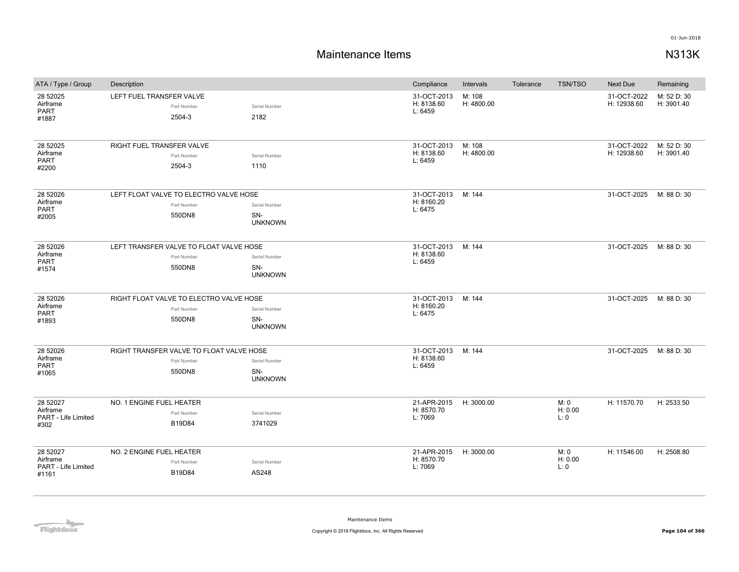| ATA / Type / Group                                   | Description                                                       |                                        | Compliance                           | Intervals            | Tolerance | <b>TSN/TSO</b>          | <b>Next Due</b>            | Remaining                 |
|------------------------------------------------------|-------------------------------------------------------------------|----------------------------------------|--------------------------------------|----------------------|-----------|-------------------------|----------------------------|---------------------------|
| 28 52025<br>Airframe<br>PART<br>#1887                | LEFT FUEL TRANSFER VALVE<br>Part Number<br>2504-3                 | Serial Number<br>2182                  | 31-OCT-2013<br>H: 8138.60<br>L: 6459 | M: 108<br>H: 4800.00 |           |                         | 31-OCT-2022<br>H: 12938.60 | M: 52 D: 30<br>H: 3901.40 |
| 28 52025<br>Airframe<br>PART<br>#2200                | RIGHT FUEL TRANSFER VALVE<br>Part Number<br>2504-3                | Serial Number<br>1110                  | 31-OCT-2013<br>H: 8138.60<br>L: 6459 | M: 108<br>H: 4800.00 |           |                         | 31-OCT-2022<br>H: 12938.60 | M: 52 D: 30<br>H: 3901.40 |
| 28 52026<br>Airframe<br>PART<br>#2005                | LEFT FLOAT VALVE TO ELECTRO VALVE HOSE<br>Part Number<br>550DN8   | Serial Number<br>SN-<br><b>UNKNOWN</b> | 31-OCT-2013<br>H: 8160.20<br>L: 6475 | M: 144               |           |                         | 31-OCT-2025                | M: 88 D: 30               |
| 28 52026<br>Airframe<br>PART<br>#1574                | LEFT TRANSFER VALVE TO FLOAT VALVE HOSE<br>Part Number<br>550DN8  | Serial Number<br>SN-<br><b>UNKNOWN</b> | 31-OCT-2013<br>H: 8138.60<br>L: 6459 | M: 144               |           |                         | 31-OCT-2025                | M: 88 D: 30               |
| 28 52026<br>Airframe<br>PART<br>#1893                | RIGHT FLOAT VALVE TO ELECTRO VALVE HOSE<br>Part Number<br>550DN8  | Serial Number<br>SN-<br><b>UNKNOWN</b> | 31-OCT-2013<br>H: 8160.20<br>L: 6475 | M: 144               |           |                         | 31-OCT-2025                | M: 88 D: 30               |
| 28 52026<br>Airframe<br>PART<br>#1065                | RIGHT TRANSFER VALVE TO FLOAT VALVE HOSE<br>Part Number<br>550DN8 | Serial Number<br>SN-<br><b>UNKNOWN</b> | 31-OCT-2013<br>H: 8138.60<br>L: 6459 | M: 144               |           |                         | 31-OCT-2025                | M: 88 D: 30               |
| 28 52027<br>Airframe<br>PART - Life Limited<br>#302  | NO. 1 ENGINE FUEL HEATER<br>Part Number<br>B19D84                 | Serial Number<br>3741029               | 21-APR-2015<br>H: 8570.70<br>L: 7069 | H: 3000.00           |           | M: 0<br>H: 0.00<br>L:0  | H: 11570.70                | H: 2533.50                |
| 28 52027<br>Airframe<br>PART - Life Limited<br>#1161 | NO. 2 ENGINE FUEL HEATER<br>Part Number<br>B19D84                 | Serial Number<br>AS248                 | 21-APR-2015<br>H: 8570.70<br>L: 7069 | H: 3000.00           |           | M: 0<br>H: 0.00<br>L: 0 | H: 11546.00                | H: 2508.80                |

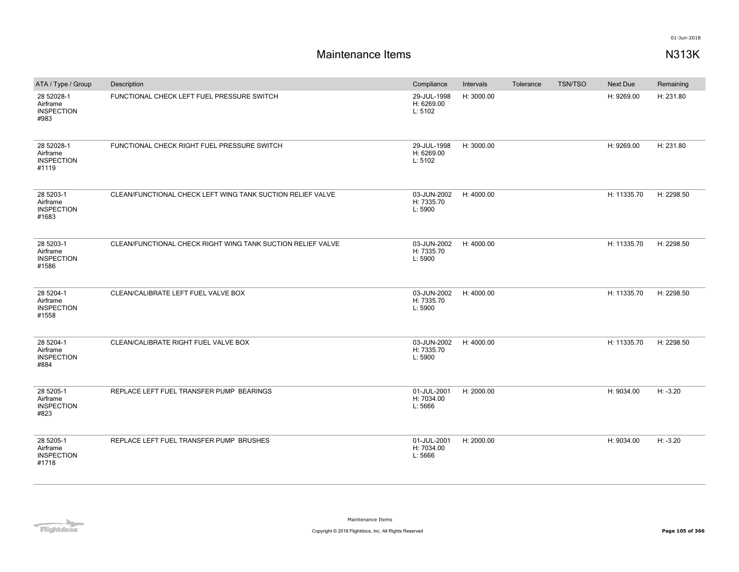| ATA / Type / Group                                   | Description                                                 | Compliance                           | Intervals  | Tolerance | <b>TSN/TSO</b> | Next Due    | Remaining  |
|------------------------------------------------------|-------------------------------------------------------------|--------------------------------------|------------|-----------|----------------|-------------|------------|
| 28 52028-1<br>Airframe<br><b>INSPECTION</b><br>#983  | FUNCTIONAL CHECK LEFT FUEL PRESSURE SWITCH                  | 29-JUL-1998<br>H: 6269.00<br>L: 5102 | H: 3000.00 |           |                | H: 9269.00  | H: 231.80  |
| 28 52028-1<br>Airframe<br><b>INSPECTION</b><br>#1119 | FUNCTIONAL CHECK RIGHT FUEL PRESSURE SWITCH                 | 29-JUL-1998<br>H: 6269.00<br>L: 5102 | H: 3000.00 |           |                | H: 9269.00  | H: 231.80  |
| 28 5203-1<br>Airframe<br><b>INSPECTION</b><br>#1683  | CLEAN/FUNCTIONAL CHECK LEFT WING TANK SUCTION RELIEF VALVE  | 03-JUN-2002<br>H: 7335.70<br>L: 5900 | H: 4000.00 |           |                | H: 11335.70 | H: 2298.50 |
| 28 5203-1<br>Airframe<br><b>INSPECTION</b><br>#1586  | CLEAN/FUNCTIONAL CHECK RIGHT WING TANK SUCTION RELIEF VALVE | 03-JUN-2002<br>H: 7335.70<br>L: 5900 | H: 4000.00 |           |                | H: 11335.70 | H: 2298.50 |
| 28 5204-1<br>Airframe<br><b>INSPECTION</b><br>#1558  | CLEAN/CALIBRATE LEFT FUEL VALVE BOX                         | 03-JUN-2002<br>H: 7335.70<br>L: 5900 | H: 4000.00 |           |                | H: 11335.70 | H: 2298.50 |
| 28 5204-1<br>Airframe<br><b>INSPECTION</b><br>#884   | CLEAN/CALIBRATE RIGHT FUEL VALVE BOX                        | 03-JUN-2002<br>H: 7335.70<br>L: 5900 | H: 4000.00 |           |                | H: 11335.70 | H: 2298.50 |
| 28 5205-1<br>Airframe<br><b>INSPECTION</b><br>#823   | REPLACE LEFT FUEL TRANSFER PUMP BEARINGS                    | 01-JUL-2001<br>H: 7034.00<br>L: 5666 | H: 2000.00 |           |                | H: 9034.00  | $H: -3.20$ |
| 28 5205-1<br>Airframe<br><b>INSPECTION</b><br>#1718  | REPLACE LEFT FUEL TRANSFER PUMP BRUSHES                     | 01-JUL-2001<br>H: 7034.00<br>L: 5666 | H: 2000.00 |           |                | H: 9034.00  | $H: -3.20$ |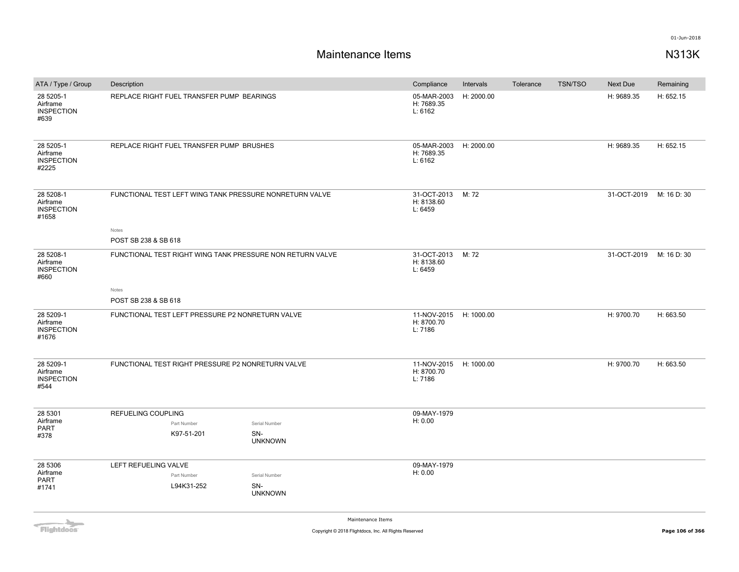# **Maintenance Items N313K**

| ATA / Type / Group                                  | Description                                               |                                        | Compliance                                      | Intervals  | Tolerance | <b>TSN/TSO</b> | Next Due    | Remaining   |
|-----------------------------------------------------|-----------------------------------------------------------|----------------------------------------|-------------------------------------------------|------------|-----------|----------------|-------------|-------------|
| 28 5205-1<br>Airframe<br><b>INSPECTION</b><br>#639  | REPLACE RIGHT FUEL TRANSFER PUMP BEARINGS                 |                                        | 05-MAR-2003<br>H: 7689.35<br>L: 6162            | H: 2000.00 |           |                | H: 9689.35  | H: 652.15   |
| 28 5205-1<br>Airframe<br><b>INSPECTION</b><br>#2225 | REPLACE RIGHT FUEL TRANSFER PUMP BRUSHES                  |                                        | 05-MAR-2003 H: 2000.00<br>H: 7689.35<br>L: 6162 |            |           |                | H: 9689.35  | H: 652.15   |
| 28 5208-1<br>Airframe<br><b>INSPECTION</b><br>#1658 | FUNCTIONAL TEST LEFT WING TANK PRESSURE NONRETURN VALVE   |                                        | 31-OCT-2013<br>H: 8138.60<br>L: 6459            | M: 72      |           |                | 31-OCT-2019 | M: 16 D: 30 |
|                                                     | Notes<br>POST SB 238 & SB 618                             |                                        |                                                 |            |           |                |             |             |
| 28 5208-1<br>Airframe<br><b>INSPECTION</b><br>#660  | FUNCTIONAL TEST RIGHT WING TANK PRESSURE NON RETURN VALVE |                                        | 31-OCT-2013<br>H: 8138.60<br>L: 6459            | M: 72      |           |                | 31-OCT-2019 | M: 16 D: 30 |
|                                                     | Notes                                                     |                                        |                                                 |            |           |                |             |             |
|                                                     | POST SB 238 & SB 618                                      |                                        |                                                 |            |           |                |             |             |
| 28 5209-1<br>Airframe<br><b>INSPECTION</b><br>#1676 | FUNCTIONAL TEST LEFT PRESSURE P2 NONRETURN VALVE          |                                        | 11-NOV-2015 H: 1000.00<br>H: 8700.70<br>L: 7186 |            |           |                | H: 9700.70  | H: 663.50   |
| 28 5209-1<br>Airframe<br><b>INSPECTION</b><br>#544  | FUNCTIONAL TEST RIGHT PRESSURE P2 NONRETURN VALVE         |                                        | 11-NOV-2015 H: 1000.00<br>H: 8700.70<br>L: 7186 |            |           |                | H: 9700.70  | H: 663.50   |
| 28 5301<br>Airframe<br><b>PART</b><br>#378          | REFUELING COUPLING<br>Part Number<br>K97-51-201           | Serial Number<br>SN-<br><b>UNKNOWN</b> | 09-MAY-1979<br>H: 0.00                          |            |           |                |             |             |
| 28 5306<br>Airframe<br>PART<br>#1741                | LEFT REFUELING VALVE<br>Part Number<br>L94K31-252         | Serial Number<br>SN-<br><b>UNKNOWN</b> | 09-MAY-1979<br>H: 0.00                          |            |           |                |             |             |

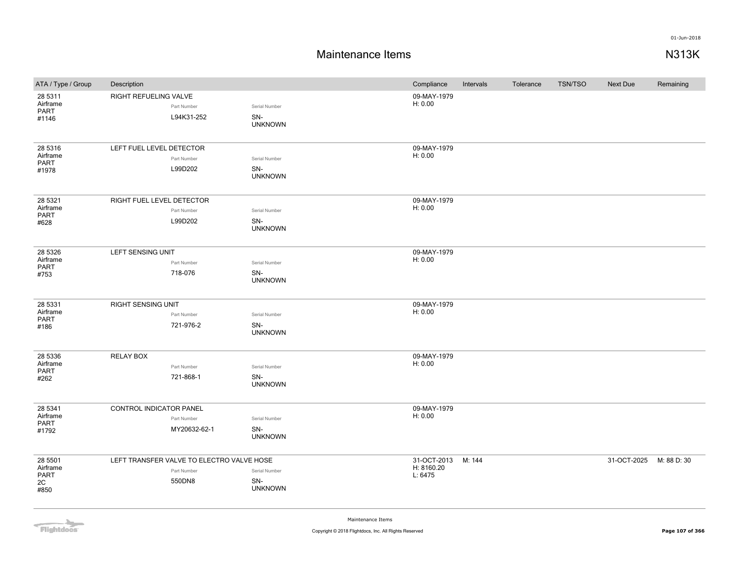| ATA / Type / Group                        | Description                                                        |                                        | Compliance                           | Intervals | Tolerance | <b>TSN/TSO</b> | <b>Next Due</b> | Remaining   |
|-------------------------------------------|--------------------------------------------------------------------|----------------------------------------|--------------------------------------|-----------|-----------|----------------|-----------------|-------------|
| 28 5311<br>Airframe<br>PART<br>#1146      | RIGHT REFUELING VALVE<br>Part Number<br>L94K31-252                 | Serial Number<br>SN-<br><b>UNKNOWN</b> | 09-MAY-1979<br>H: 0.00               |           |           |                |                 |             |
| 28 5316<br>Airframe<br>PART<br>#1978      | LEFT FUEL LEVEL DETECTOR<br>Part Number<br>L99D202                 | Serial Number<br>SN-<br><b>UNKNOWN</b> | 09-MAY-1979<br>H: 0.00               |           |           |                |                 |             |
| 28 5321<br>Airframe<br>PART<br>#628       | RIGHT FUEL LEVEL DETECTOR<br>Part Number<br>L99D202                | Serial Number<br>SN-<br><b>UNKNOWN</b> | 09-MAY-1979<br>H: 0.00               |           |           |                |                 |             |
| 28 5326<br>Airframe<br>PART<br>#753       | LEFT SENSING UNIT<br>Part Number<br>718-076                        | Serial Number<br>SN-<br><b>UNKNOWN</b> | 09-MAY-1979<br>H: 0.00               |           |           |                |                 |             |
| 28 5331<br>Airframe<br>PART<br>#186       | <b>RIGHT SENSING UNIT</b><br>Part Number<br>721-976-2              | Serial Number<br>SN-<br><b>UNKNOWN</b> | 09-MAY-1979<br>H: 0.00               |           |           |                |                 |             |
| 28 5336<br>Airframe<br>PART<br>#262       | <b>RELAY BOX</b><br>Part Number<br>721-868-1                       | Serial Number<br>SN-<br><b>UNKNOWN</b> | 09-MAY-1979<br>H: 0.00               |           |           |                |                 |             |
| 28 5341<br>Airframe<br>PART<br>#1792      | CONTROL INDICATOR PANEL<br>Part Number<br>MY20632-62-1             | Serial Number<br>SN-<br><b>UNKNOWN</b> | 09-MAY-1979<br>H: 0.00               |           |           |                |                 |             |
| 28 5501<br>Airframe<br>PART<br>2C<br>#850 | LEFT TRANSFER VALVE TO ELECTRO VALVE HOSE<br>Part Number<br>550DN8 | Serial Number<br>SN-<br><b>UNKNOWN</b> | 31-OCT-2013<br>H: 8160.20<br>L: 6475 | M: 144    |           |                | 31-OCT-2025     | M: 88 D: 30 |

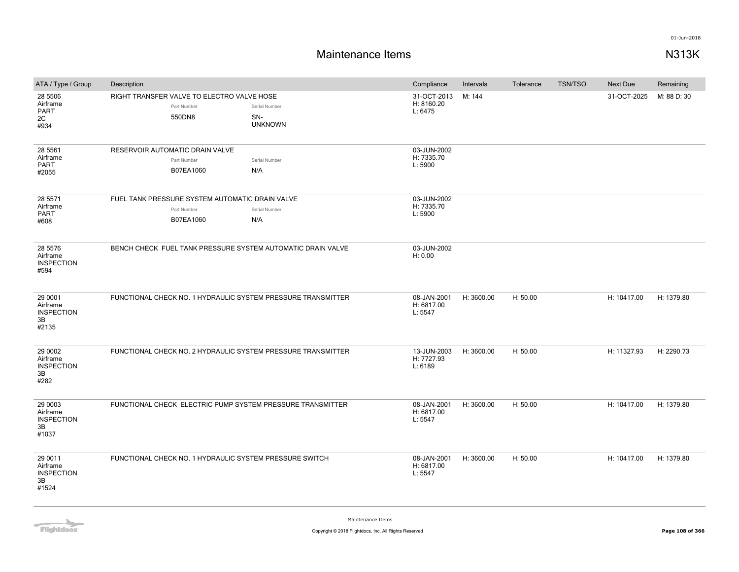| ATA / Type / Group                                      | Description                                                                 |                                        | Compliance                           | Intervals  | Tolerance | <b>TSN/TSO</b> | <b>Next Due</b> | Remaining   |
|---------------------------------------------------------|-----------------------------------------------------------------------------|----------------------------------------|--------------------------------------|------------|-----------|----------------|-----------------|-------------|
| 28 5506<br>Airframe<br>PART<br>2C<br>#934               | RIGHT TRANSFER VALVE TO ELECTRO VALVE HOSE<br>Part Number<br>550DN8         | Serial Number<br>SN-<br><b>UNKNOWN</b> | 31-OCT-2013<br>H: 8160.20<br>L: 6475 | M: 144     |           |                | 31-OCT-2025     | M: 88 D: 30 |
| 28 5561<br>Airframe<br><b>PART</b><br>#2055             | RESERVOIR AUTOMATIC DRAIN VALVE<br>Part Number<br>B07EA1060                 | Serial Number<br>N/A                   | 03-JUN-2002<br>H: 7335.70<br>L: 5900 |            |           |                |                 |             |
| 28 5571<br>Airframe<br><b>PART</b><br>#608              | FUEL TANK PRESSURE SYSTEM AUTOMATIC DRAIN VALVE<br>Part Number<br>B07EA1060 | Serial Number<br>N/A                   | 03-JUN-2002<br>H: 7335.70<br>L: 5900 |            |           |                |                 |             |
| 28 5576<br>Airframe<br><b>INSPECTION</b><br>#594        | BENCH CHECK FUEL TANK PRESSURE SYSTEM AUTOMATIC DRAIN VALVE                 |                                        | 03-JUN-2002<br>H: 0.00               |            |           |                |                 |             |
| 29 0001<br>Airframe<br><b>INSPECTION</b><br>3B<br>#2135 | FUNCTIONAL CHECK NO. 1 HYDRAULIC SYSTEM PRESSURE TRANSMITTER                |                                        | 08-JAN-2001<br>H: 6817.00<br>L: 5547 | H: 3600.00 | H: 50.00  |                | H: 10417.00     | H: 1379.80  |
| 29 0002<br>Airframe<br><b>INSPECTION</b><br>3B<br>#282  | FUNCTIONAL CHECK NO. 2 HYDRAULIC SYSTEM PRESSURE TRANSMITTER                |                                        | 13-JUN-2003<br>H: 7727.93<br>L: 6189 | H: 3600.00 | H: 50.00  |                | H: 11327.93     | H: 2290.73  |
| 29 0003<br>Airframe<br><b>INSPECTION</b><br>3B<br>#1037 | FUNCTIONAL CHECK ELECTRIC PUMP SYSTEM PRESSURE TRANSMITTER                  |                                        | 08-JAN-2001<br>H: 6817.00<br>L: 5547 | H: 3600.00 | H: 50.00  |                | H: 10417.00     | H: 1379.80  |
| 29 0011<br>Airframe<br><b>INSPECTION</b><br>3B<br>#1524 | FUNCTIONAL CHECK NO. 1 HYDRAULIC SYSTEM PRESSURE SWITCH                     |                                        | 08-JAN-2001<br>H: 6817.00<br>L: 5547 | H: 3600.00 | H: 50.00  |                | H: 10417.00     | H: 1379.80  |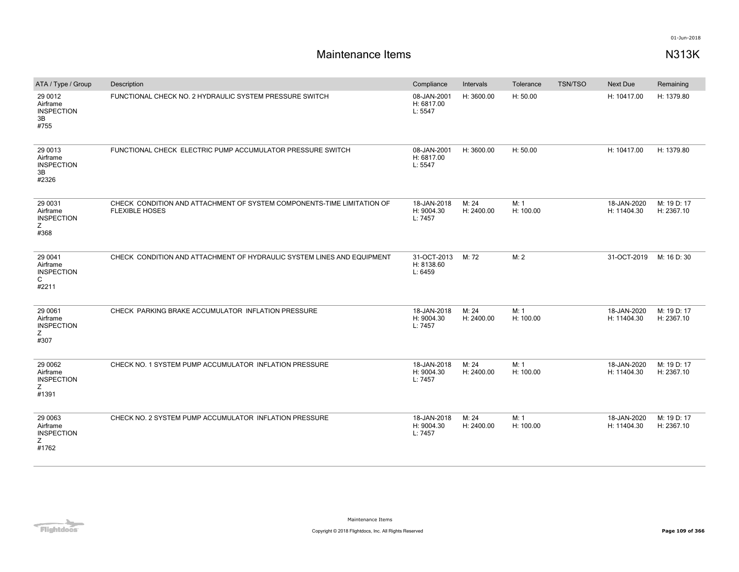| ATA / Type / Group                                      | Description                                                                                     | Compliance                           | Intervals           | Tolerance         | <b>TSN/TSO</b> | Next Due                   | Remaining                 |
|---------------------------------------------------------|-------------------------------------------------------------------------------------------------|--------------------------------------|---------------------|-------------------|----------------|----------------------------|---------------------------|
| 29 0012<br>Airframe<br><b>INSPECTION</b><br>3B<br>#755  | FUNCTIONAL CHECK NO. 2 HYDRAULIC SYSTEM PRESSURE SWITCH                                         | 08-JAN-2001<br>H: 6817.00<br>L: 5547 | H: 3600.00          | H: 50.00          |                | H: 10417.00                | H: 1379.80                |
| 29 0013<br>Airframe<br><b>INSPECTION</b><br>3B<br>#2326 | FUNCTIONAL CHECK ELECTRIC PUMP ACCUMULATOR PRESSURE SWITCH                                      | 08-JAN-2001<br>H: 6817.00<br>L: 5547 | H: 3600.00          | H: 50.00          |                | H: 10417.00                | H: 1379.80                |
| 29 0031<br>Airframe<br><b>INSPECTION</b><br>Ζ<br>#368   | CHECK CONDITION AND ATTACHMENT OF SYSTEM COMPONENTS-TIME LIMITATION OF<br><b>FLEXIBLE HOSES</b> | 18-JAN-2018<br>H: 9004.30<br>L: 7457 | M: 24<br>H: 2400.00 | M: 1<br>H: 100.00 |                | 18-JAN-2020<br>H: 11404.30 | M: 19 D: 17<br>H: 2367.10 |
| 29 0041<br>Airframe<br><b>INSPECTION</b><br>C<br>#2211  | CHECK CONDITION AND ATTACHMENT OF HYDRAULIC SYSTEM LINES AND EQUIPMENT                          | 31-OCT-2013<br>H: 8138.60<br>L: 6459 | M: 72               | M: 2              |                | 31-OCT-2019                | M: 16 D: 30               |
| 29 0061<br>Airframe<br><b>INSPECTION</b><br>Z<br>#307   | CHECK PARKING BRAKE ACCUMULATOR INFLATION PRESSURE                                              | 18-JAN-2018<br>H: 9004.30<br>L: 7457 | M: 24<br>H: 2400.00 | M: 1<br>H: 100.00 |                | 18-JAN-2020<br>H: 11404.30 | M: 19 D: 17<br>H: 2367.10 |
| 29 0062<br>Airframe<br><b>INSPECTION</b><br>Ζ<br>#1391  | CHECK NO. 1 SYSTEM PUMP ACCUMULATOR INFLATION PRESSURE                                          | 18-JAN-2018<br>H: 9004.30<br>L: 7457 | M: 24<br>H: 2400.00 | M: 1<br>H: 100.00 |                | 18-JAN-2020<br>H: 11404.30 | M: 19 D: 17<br>H: 2367.10 |
| 29 0063<br>Airframe<br><b>INSPECTION</b><br>Ζ<br>#1762  | CHECK NO. 2 SYSTEM PUMP ACCUMULATOR INFLATION PRESSURE                                          | 18-JAN-2018<br>H: 9004.30<br>L: 7457 | M: 24<br>H: 2400.00 | M: 1<br>H: 100.00 |                | 18-JAN-2020<br>H: 11404.30 | M: 19 D: 17<br>H: 2367.10 |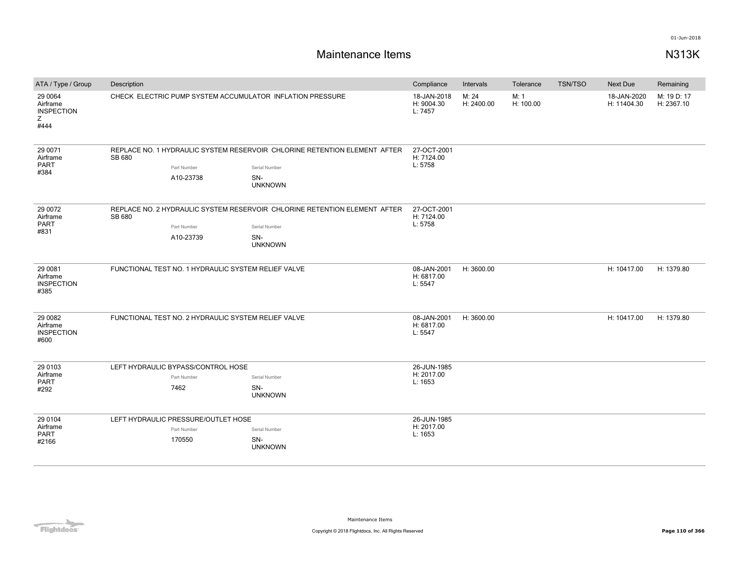| ATA / Type / Group                                    | Description                                                                                            |                          |                                                                                                                     |                                      | Intervals           | Tolerance         | <b>TSN/TSO</b> | <b>Next Due</b>            | Remaining                 |
|-------------------------------------------------------|--------------------------------------------------------------------------------------------------------|--------------------------|---------------------------------------------------------------------------------------------------------------------|--------------------------------------|---------------------|-------------------|----------------|----------------------------|---------------------------|
| 29 0064<br>Airframe<br><b>INSPECTION</b><br>Ζ<br>#444 | CHECK ELECTRIC PUMP SYSTEM ACCUMULATOR INFLATION PRESSURE                                              |                          |                                                                                                                     | 18-JAN-2018<br>H: 9004.30<br>L: 7457 | M: 24<br>H: 2400.00 | M: 1<br>H: 100.00 |                | 18-JAN-2020<br>H: 11404.30 | M: 19 D: 17<br>H: 2367.10 |
| 29 0071<br>Airframe<br>PART<br>#384                   | SB 680                                                                                                 | Part Number<br>A10-23738 | REPLACE NO. 1 HYDRAULIC SYSTEM RESERVOIR CHLORINE RETENTION ELEMENT AFTER<br>Serial Number<br>SN-<br><b>UNKNOWN</b> | 27-OCT-2001<br>H: 7124.00<br>L: 5758 |                     |                   |                |                            |                           |
| 29 0072<br>Airframe<br><b>PART</b><br>#831            | SB 680                                                                                                 | Part Number<br>A10-23739 | REPLACE NO. 2 HYDRAULIC SYSTEM RESERVOIR CHLORINE RETENTION ELEMENT AFTER<br>Serial Number<br>SN-<br><b>UNKNOWN</b> | 27-OCT-2001<br>H: 7124.00<br>L: 5758 |                     |                   |                |                            |                           |
| 29 0081<br>Airframe<br><b>INSPECTION</b><br>#385      | FUNCTIONAL TEST NO. 1 HYDRAULIC SYSTEM RELIEF VALVE                                                    |                          |                                                                                                                     | 08-JAN-2001<br>H: 6817.00<br>L: 5547 | H: 3600.00          |                   |                | H: 10417.00                | H: 1379.80                |
| 29 0082<br>Airframe<br><b>INSPECTION</b><br>#600      |                                                                                                        |                          | FUNCTIONAL TEST NO. 2 HYDRAULIC SYSTEM RELIEF VALVE                                                                 | 08-JAN-2001<br>H: 6817.00<br>L: 5547 | H: 3600.00          |                   |                | H: 10417.00                | H: 1379.80                |
| 29 0103<br>Airframe<br><b>PART</b><br>#292            | LEFT HYDRAULIC BYPASS/CONTROL HOSE<br>Part Number<br>Serial Number<br>7462<br>SN-<br><b>UNKNOWN</b>    |                          | 26-JUN-1985<br>H: 2017.00<br>L: 1653                                                                                |                                      |                     |                   |                |                            |                           |
| 29 0104<br>Airframe<br>PART<br>#2166                  | LEFT HYDRAULIC PRESSURE/OUTLET HOSE<br>Part Number<br>Serial Number<br>170550<br>SN-<br><b>UNKNOWN</b> |                          | 26-JUN-1985<br>H: 2017.00<br>L: 1653                                                                                |                                      |                     |                   |                |                            |                           |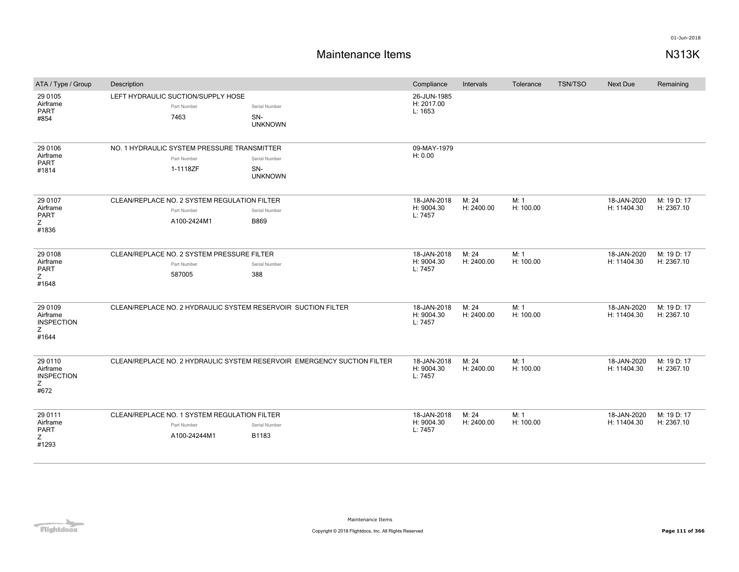| ATA / Type / Group                                     | Description |                                                                             |                                                                         | Compliance                           | Intervals           | Tolerance         | <b>TSN/TSO</b> | Next Due                   | Remaining                 |
|--------------------------------------------------------|-------------|-----------------------------------------------------------------------------|-------------------------------------------------------------------------|--------------------------------------|---------------------|-------------------|----------------|----------------------------|---------------------------|
| 29 0105<br>Airframe<br><b>PART</b><br>#854             |             | LEFT HYDRAULIC SUCTION/SUPPLY HOSE<br>Part Number<br>7463                   | Serial Number<br>SN-<br><b>UNKNOWN</b>                                  | 26-JUN-1985<br>H: 2017.00<br>L: 1653 |                     |                   |                |                            |                           |
| 29 0106<br>Airframe<br><b>PART</b><br>#1814            |             | NO. 1 HYDRAULIC SYSTEM PRESSURE TRANSMITTER<br>Part Number<br>1-1118ZF      | Serial Number<br>SN-<br><b>UNKNOWN</b>                                  | 09-MAY-1979<br>H: 0.00               |                     |                   |                |                            |                           |
| 29 0107<br>Airframe<br>PART<br>Z<br>#1836              |             | CLEAN/REPLACE NO. 2 SYSTEM REGULATION FILTER<br>Part Number<br>A100-2424M1  | Serial Number<br>B869                                                   | 18-JAN-2018<br>H: 9004.30<br>L: 7457 | M: 24<br>H: 2400.00 | M: 1<br>H: 100.00 |                | 18-JAN-2020<br>H: 11404.30 | M: 19 D: 17<br>H: 2367.10 |
| 29 0108<br>Airframe<br>PART<br>Z<br>#1648              |             | CLEAN/REPLACE NO. 2 SYSTEM PRESSURE FILTER<br>Part Number<br>587005         | Serial Number<br>388                                                    | 18-JAN-2018<br>H: 9004.30<br>L: 7457 | M: 24<br>H: 2400.00 | M: 1<br>H: 100.00 |                | 18-JAN-2020<br>H: 11404.30 | M: 19 D: 17<br>H: 2367.10 |
| 29 0109<br>Airframe<br><b>INSPECTION</b><br>Ζ<br>#1644 |             |                                                                             | CLEAN/REPLACE NO. 2 HYDRAULIC SYSTEM RESERVOIR SUCTION FILTER           | 18-JAN-2018<br>H: 9004.30<br>L: 7457 | M: 24<br>H: 2400.00 | M: 1<br>H: 100.00 |                | 18-JAN-2020<br>H: 11404.30 | M: 19 D: 17<br>H: 2367.10 |
| 29 0110<br>Airframe<br><b>INSPECTION</b><br>Z<br>#672  |             |                                                                             | CLEAN/REPLACE NO. 2 HYDRAULIC SYSTEM RESERVOIR EMERGENCY SUCTION FILTER | 18-JAN-2018<br>H: 9004.30<br>L: 7457 | M: 24<br>H: 2400.00 | M: 1<br>H: 100.00 |                | 18-JAN-2020<br>H: 11404.30 | M: 19 D: 17<br>H: 2367.10 |
| 29 0111<br>Airframe<br>PART<br>Ζ<br>#1293              |             | CLEAN/REPLACE NO. 1 SYSTEM REGULATION FILTER<br>Part Number<br>A100-24244M1 | Serial Number<br>B1183                                                  | 18-JAN-2018<br>H: 9004.30<br>L: 7457 | M: 24<br>H: 2400.00 | M: 1<br>H: 100.00 |                | 18-JAN-2020<br>H: 11404.30 | M: 19 D: 17<br>H: 2367.10 |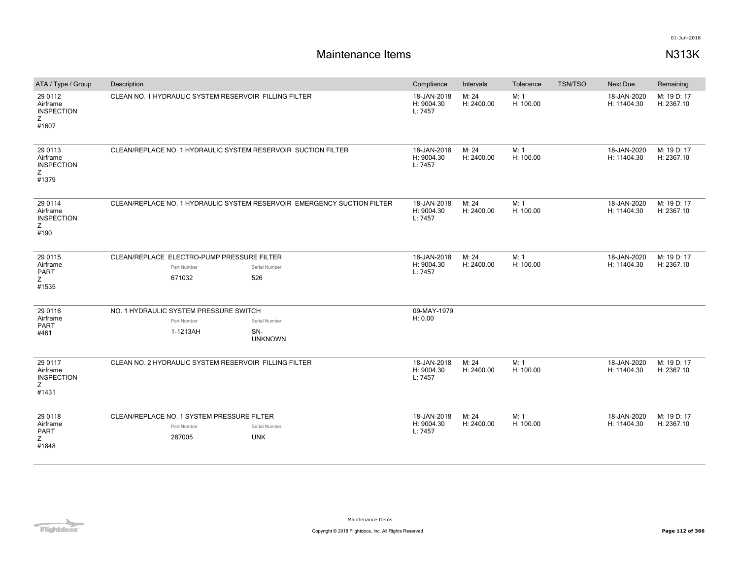| ATA / Type / Group                                      | Description                                                                                                 | Compliance                           | Intervals           | Tolerance         | <b>TSN/TSO</b> | Next Due                   | Remaining                 |
|---------------------------------------------------------|-------------------------------------------------------------------------------------------------------------|--------------------------------------|---------------------|-------------------|----------------|----------------------------|---------------------------|
| 29 0112<br>Airframe<br><b>INSPECTION</b><br>Z.<br>#1607 | CLEAN NO. 1 HYDRAULIC SYSTEM RESERVOIR FILLING FILTER                                                       | 18-JAN-2018<br>H: 9004.30<br>L: 7457 | M: 24<br>H: 2400.00 | M: 1<br>H: 100.00 |                | 18-JAN-2020<br>H: 11404.30 | M: 19 D: 17<br>H: 2367.10 |
| 29 0113<br>Airframe<br><b>INSPECTION</b><br>Ζ<br>#1379  | CLEAN/REPLACE NO. 1 HYDRAULIC SYSTEM RESERVOIR SUCTION FILTER                                               | 18-JAN-2018<br>H: 9004.30<br>L: 7457 | M: 24<br>H: 2400.00 | M: 1<br>H: 100.00 |                | 18-JAN-2020<br>H: 11404.30 | M: 19 D: 17<br>H: 2367.10 |
| 29 0114<br>Airframe<br><b>INSPECTION</b><br>Ζ<br>#190   | CLEAN/REPLACE NO. 1 HYDRAULIC SYSTEM RESERVOIR EMERGENCY SUCTION FILTER                                     | 18-JAN-2018<br>H: 9004.30<br>L: 7457 | M: 24<br>H: 2400.00 | M: 1<br>H: 100.00 |                | 18-JAN-2020<br>H: 11404.30 | M: 19 D: 17<br>H: 2367.10 |
| 29 0115<br>Airframe<br><b>PART</b><br>Z.<br>#1535       | CLEAN/REPLACE ELECTRO-PUMP PRESSURE FILTER<br>Part Number<br>Serial Number<br>671032<br>526                 | 18-JAN-2018<br>H: 9004.30<br>L: 7457 | M: 24<br>H: 2400.00 | M: 1<br>H: 100.00 |                | 18-JAN-2020<br>H: 11404.30 | M: 19 D: 17<br>H: 2367.10 |
| 29 0116<br>Airframe<br><b>PART</b><br>#461              | NO. 1 HYDRAULIC SYSTEM PRESSURE SWITCH<br>Part Number<br>Serial Number<br>1-1213AH<br>SN-<br><b>UNKNOWN</b> | 09-MAY-1979<br>H: 0.00               |                     |                   |                |                            |                           |
| 29 0117<br>Airframe<br><b>INSPECTION</b><br>Z.<br>#1431 | CLEAN NO. 2 HYDRAULIC SYSTEM RESERVOIR FILLING FILTER                                                       | 18-JAN-2018<br>H: 9004.30<br>L: 7457 | M: 24<br>H: 2400.00 | M: 1<br>H: 100.00 |                | 18-JAN-2020<br>H: 11404.30 | M: 19 D: 17<br>H: 2367.10 |
| 29 0118<br>Airframe<br><b>PART</b><br>Z.<br>#1848       | CLEAN/REPLACE NO. 1 SYSTEM PRESSURE FILTER<br>Serial Number<br>Part Number<br><b>UNK</b><br>287005          | 18-JAN-2018<br>H: 9004.30<br>L: 7457 | M: 24<br>H: 2400.00 | M: 1<br>H: 100.00 |                | 18-JAN-2020<br>H: 11404.30 | M: 19 D: 17<br>H: 2367.10 |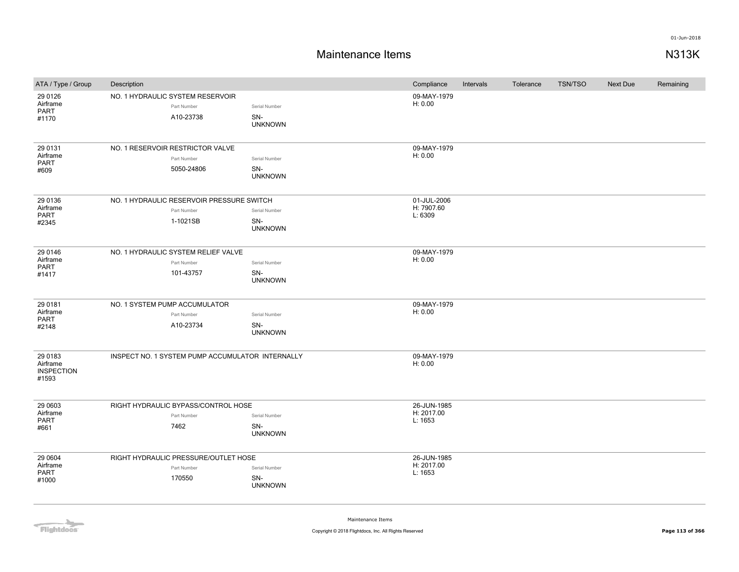## **Maintenance Items N313K**

| ATA / Type / Group                                | Description                                                          |                                        | Compliance                           | Intervals | Tolerance | <b>TSN/TSO</b> | <b>Next Due</b> | Remaining |
|---------------------------------------------------|----------------------------------------------------------------------|----------------------------------------|--------------------------------------|-----------|-----------|----------------|-----------------|-----------|
| 29 01 26<br>Airframe<br>PART<br>#1170             | NO. 1 HYDRAULIC SYSTEM RESERVOIR<br>Part Number<br>A10-23738         | Serial Number<br>SN-<br><b>UNKNOWN</b> | 09-MAY-1979<br>H: 0.00               |           |           |                |                 |           |
| 29 0131<br>Airframe<br>PART<br>#609               | NO. 1 RESERVOIR RESTRICTOR VALVE<br>Part Number<br>5050-24806        | Serial Number<br>SN-<br><b>UNKNOWN</b> | 09-MAY-1979<br>H: 0.00               |           |           |                |                 |           |
| 29 0136<br>Airframe<br>PART<br>#2345              | NO. 1 HYDRAULIC RESERVOIR PRESSURE SWITCH<br>Part Number<br>1-1021SB | Serial Number<br>SN-<br><b>UNKNOWN</b> | 01-JUL-2006<br>H: 7907.60<br>L: 6309 |           |           |                |                 |           |
| 29 0 146<br>Airframe<br>PART<br>#1417             | NO. 1 HYDRAULIC SYSTEM RELIEF VALVE<br>Part Number<br>101-43757      | Serial Number<br>SN-<br><b>UNKNOWN</b> | 09-MAY-1979<br>H: 0.00               |           |           |                |                 |           |
| 29 0181<br>Airframe<br>PART<br>#2148              | NO. 1 SYSTEM PUMP ACCUMULATOR<br>Part Number<br>A10-23734            | Serial Number<br>SN-<br><b>UNKNOWN</b> | 09-MAY-1979<br>H: 0.00               |           |           |                |                 |           |
| 29 0183<br>Airframe<br><b>INSPECTION</b><br>#1593 | INSPECT NO. 1 SYSTEM PUMP ACCUMULATOR INTERNALLY                     |                                        | 09-MAY-1979<br>H: 0.00               |           |           |                |                 |           |
| 29 0603<br>Airframe<br>PART<br>#661               | RIGHT HYDRAULIC BYPASS/CONTROL HOSE<br>Part Number<br>7462           | Serial Number<br>SN-<br><b>UNKNOWN</b> | 26-JUN-1985<br>H: 2017.00<br>L: 1653 |           |           |                |                 |           |
| 29 0604<br>Airframe<br>PART<br>#1000              | RIGHT HYDRAULIC PRESSURE/OUTLET HOSE<br>Part Number<br>170550        | Serial Number<br>SN-<br><b>UNKNOWN</b> | 26-JUN-1985<br>H: 2017.00<br>L: 1653 |           |           |                |                 |           |

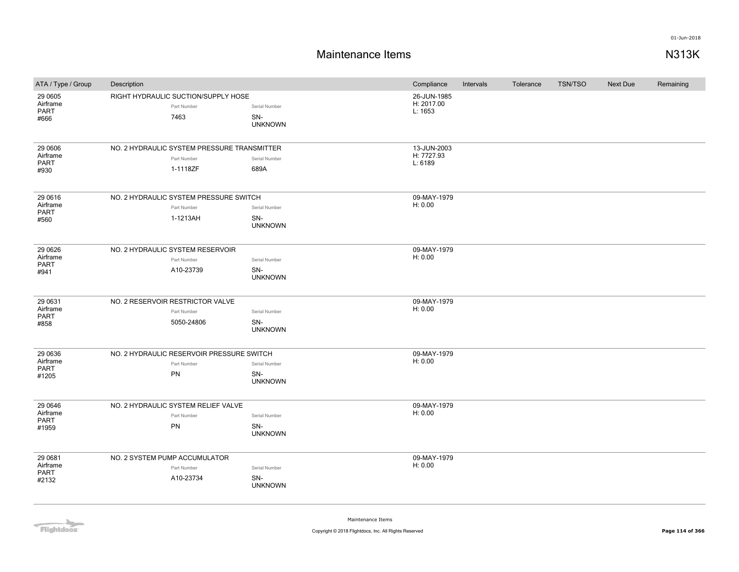## **Maintenance Items N313K**

| ATA / Type / Group                          | Description                                                            |                                        | Compliance                           | Intervals | Tolerance | <b>TSN/TSO</b> | <b>Next Due</b> | Remaining |
|---------------------------------------------|------------------------------------------------------------------------|----------------------------------------|--------------------------------------|-----------|-----------|----------------|-----------------|-----------|
| 29 0605<br>Airframe<br>PART<br>#666         | RIGHT HYDRAULIC SUCTION/SUPPLY HOSE<br>Part Number<br>7463             | Serial Number<br>SN-<br><b>UNKNOWN</b> | 26-JUN-1985<br>H: 2017.00<br>L: 1653 |           |           |                |                 |           |
| 29 0606<br>Airframe<br>PART<br>#930         | NO. 2 HYDRAULIC SYSTEM PRESSURE TRANSMITTER<br>Part Number<br>1-1118ZF | Serial Number<br>689A                  | 13-JUN-2003<br>H: 7727.93<br>L: 6189 |           |           |                |                 |           |
| 29 06 16<br>Airframe<br><b>PART</b><br>#560 | NO. 2 HYDRAULIC SYSTEM PRESSURE SWITCH<br>Part Number<br>1-1213AH      | Serial Number<br>SN-<br><b>UNKNOWN</b> | 09-MAY-1979<br>H: 0.00               |           |           |                |                 |           |
| 29 06 26<br>Airframe<br><b>PART</b><br>#941 | NO. 2 HYDRAULIC SYSTEM RESERVOIR<br>Part Number<br>A10-23739           | Serial Number<br>SN-<br><b>UNKNOWN</b> | 09-MAY-1979<br>H: 0.00               |           |           |                |                 |           |
| 29 0631<br>Airframe<br>PART<br>#858         | NO. 2 RESERVOIR RESTRICTOR VALVE<br>Part Number<br>5050-24806          | Serial Number<br>SN-<br><b>UNKNOWN</b> | 09-MAY-1979<br>H: 0.00               |           |           |                |                 |           |
| 29 0636<br>Airframe<br>PART<br>#1205        | NO. 2 HYDRAULIC RESERVOIR PRESSURE SWITCH<br>Part Number<br>PN         | Serial Number<br>SN-<br><b>UNKNOWN</b> | 09-MAY-1979<br>H: 0.00               |           |           |                |                 |           |
| 29 0 646<br>Airframe<br>PART<br>#1959       | NO. 2 HYDRAULIC SYSTEM RELIEF VALVE<br>Part Number<br>PN               | Serial Number<br>SN-<br><b>UNKNOWN</b> | 09-MAY-1979<br>H: 0.00               |           |           |                |                 |           |
| 29 0681<br>Airframe<br>PART<br>#2132        | NO. 2 SYSTEM PUMP ACCUMULATOR<br>Part Number<br>A10-23734              | Serial Number<br>SN-<br><b>UNKNOWN</b> | 09-MAY-1979<br>H: 0.00               |           |           |                |                 |           |

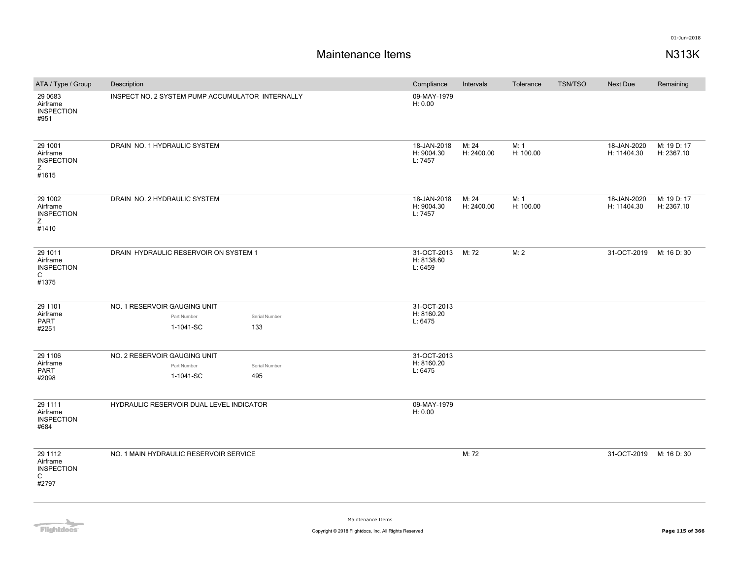# **Maintenance Items N313K**

| ATA / Type / Group                                     | Description                                                                      | Compliance                           | Intervals           | Tolerance         | <b>TSN/TSO</b> | <b>Next Due</b>            | Remaining                 |
|--------------------------------------------------------|----------------------------------------------------------------------------------|--------------------------------------|---------------------|-------------------|----------------|----------------------------|---------------------------|
| 29 0683<br>Airframe<br><b>INSPECTION</b><br>#951       | INSPECT NO. 2 SYSTEM PUMP ACCUMULATOR INTERNALLY                                 | 09-MAY-1979<br>H: 0.00               |                     |                   |                |                            |                           |
| 29 1001<br>Airframe<br><b>INSPECTION</b><br>Ζ<br>#1615 | DRAIN NO. 1 HYDRAULIC SYSTEM                                                     | 18-JAN-2018<br>H: 9004.30<br>L: 7457 | M: 24<br>H: 2400.00 | M: 1<br>H: 100.00 |                | 18-JAN-2020<br>H: 11404.30 | M: 19 D: 17<br>H: 2367.10 |
| 29 1002<br>Airframe<br><b>INSPECTION</b><br>Z<br>#1410 | DRAIN NO. 2 HYDRAULIC SYSTEM                                                     | 18-JAN-2018<br>H: 9004.30<br>L: 7457 | M: 24<br>H: 2400.00 | M: 1<br>H: 100.00 |                | 18-JAN-2020<br>H: 11404.30 | M: 19 D: 17<br>H: 2367.10 |
| 29 1011<br>Airframe<br><b>INSPECTION</b><br>C<br>#1375 | DRAIN HYDRAULIC RESERVOIR ON SYSTEM 1                                            | 31-OCT-2013<br>H: 8138.60<br>L: 6459 | M: 72               | M: 2              |                | 31-OCT-2019                | M: 16 D: 30               |
| 29 1101<br>Airframe<br><b>PART</b><br>#2251            | NO. 1 RESERVOIR GAUGING UNIT<br>Part Number<br>Serial Number<br>1-1041-SC<br>133 | 31-OCT-2013<br>H: 8160.20<br>L: 6475 |                     |                   |                |                            |                           |
| 29 1106<br>Airframe<br><b>PART</b><br>#2098            | NO. 2 RESERVOIR GAUGING UNIT<br>Part Number<br>Serial Number<br>1-1041-SC<br>495 | 31-OCT-2013<br>H: 8160.20<br>L: 6475 |                     |                   |                |                            |                           |
| 29 1111<br>Airframe<br><b>INSPECTION</b><br>#684       | HYDRAULIC RESERVOIR DUAL LEVEL INDICATOR                                         | 09-MAY-1979<br>H: 0.00               |                     |                   |                |                            |                           |
| 29 1112<br>Airframe<br><b>INSPECTION</b><br>C<br>#2797 | NO. 1 MAIN HYDRAULIC RESERVOIR SERVICE                                           |                                      | M: 72               |                   |                | 31-OCT-2019                | M: 16 D: 30               |

Flightdocs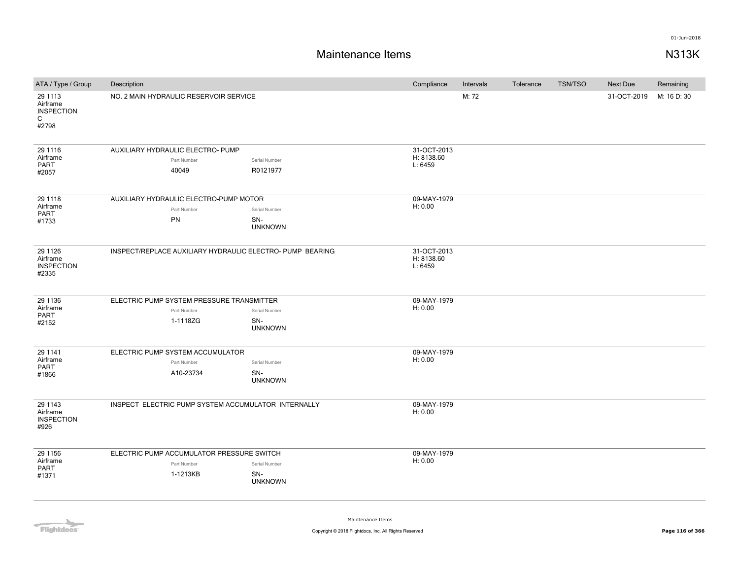### **Maintenance Items N313K**

| ATA / Type / Group                                                | Description                                                                                                    |                                                           |                                      |                           | Intervals | Tolerance | <b>TSN/TSO</b> | <b>Next Due</b> | Remaining   |
|-------------------------------------------------------------------|----------------------------------------------------------------------------------------------------------------|-----------------------------------------------------------|--------------------------------------|---------------------------|-----------|-----------|----------------|-----------------|-------------|
| 29 1113<br>Airframe<br><b>INSPECTION</b><br>$\mathsf{C}$<br>#2798 |                                                                                                                | NO. 2 MAIN HYDRAULIC RESERVOIR SERVICE                    |                                      |                           | M: 72     |           |                | 31-OCT-2019     | M: 16 D: 30 |
| 29 1116<br>Airframe                                               |                                                                                                                | AUXILIARY HYDRAULIC ELECTRO- PUMP                         |                                      | 31-OCT-2013<br>H: 8138.60 |           |           |                |                 |             |
| PART                                                              |                                                                                                                | Part Number<br>40049                                      | Serial Number<br>R0121977            | L: 6459                   |           |           |                |                 |             |
| #2057                                                             |                                                                                                                |                                                           |                                      |                           |           |           |                |                 |             |
| 29 1118                                                           |                                                                                                                | AUXILIARY HYDRAULIC ELECTRO-PUMP MOTOR                    |                                      | 09-MAY-1979               |           |           |                |                 |             |
| Airframe<br>PART                                                  |                                                                                                                | Part Number                                               | Serial Number                        | H: 0.00                   |           |           |                |                 |             |
| #1733                                                             |                                                                                                                | PN                                                        | SN-<br><b>UNKNOWN</b>                |                           |           |           |                |                 |             |
| 29 11 26<br>Airframe<br><b>INSPECTION</b><br>#2335                |                                                                                                                | INSPECT/REPLACE AUXILIARY HYDRAULIC ELECTRO- PUMP BEARING | 31-OCT-2013<br>H: 8138.60<br>L: 6459 |                           |           |           |                |                 |             |
| 29 1136                                                           | ELECTRIC PUMP SYSTEM PRESSURE TRANSMITTER                                                                      |                                                           |                                      | 09-MAY-1979               |           |           |                |                 |             |
| Airframe<br><b>PART</b>                                           |                                                                                                                | Part Number                                               | Serial Number                        | H: 0.00                   |           |           |                |                 |             |
| #2152                                                             |                                                                                                                | 1-1118ZG                                                  | SN-<br><b>UNKNOWN</b>                |                           |           |           |                |                 |             |
| 29 1141                                                           |                                                                                                                | ELECTRIC PUMP SYSTEM ACCUMULATOR                          |                                      | 09-MAY-1979               |           |           |                |                 |             |
| Airframe<br><b>PART</b>                                           |                                                                                                                | Part Number                                               | Serial Number                        | H: 0.00                   |           |           |                |                 |             |
| #1866                                                             |                                                                                                                | A10-23734                                                 | SN-<br><b>UNKNOWN</b>                |                           |           |           |                |                 |             |
| 29 1143<br>Airframe<br><b>INSPECTION</b><br>#926                  | INSPECT ELECTRIC PUMP SYSTEM ACCUMULATOR INTERNALLY                                                            |                                                           |                                      | 09-MAY-1979<br>H: 0.00    |           |           |                |                 |             |
| 29 1156                                                           | ELECTRIC PUMP ACCUMULATOR PRESSURE SWITCH<br>Part Number<br>Serial Number<br>1-1213KB<br>SN-<br><b>UNKNOWN</b> |                                                           |                                      | 09-MAY-1979               |           |           |                |                 |             |
| Airframe                                                          |                                                                                                                |                                                           |                                      | H: 0.00                   |           |           |                |                 |             |
| <b>PART</b><br>#1371                                              |                                                                                                                |                                                           |                                      |                           |           |           |                |                 |             |
|                                                                   |                                                                                                                |                                                           |                                      |                           |           |           |                |                 |             |

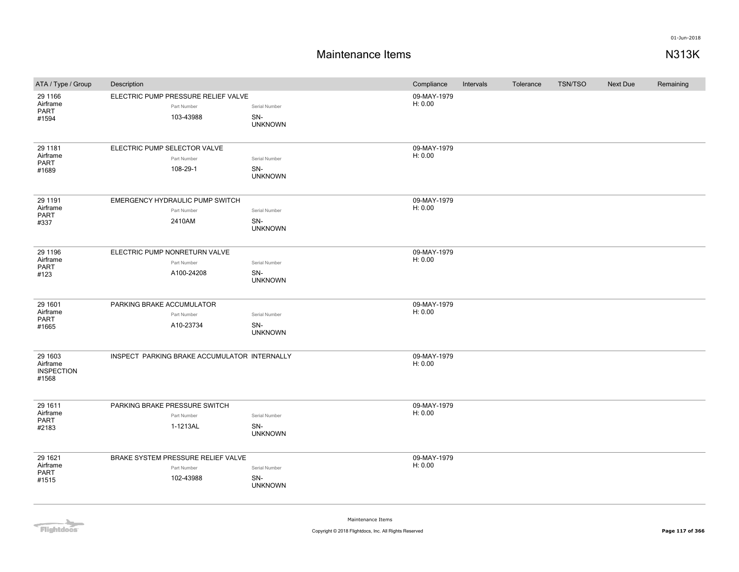## **Maintenance Items N313K**

| ATA / Type / Group                                | Description                                                     |                                        | Compliance             | Intervals | Tolerance | <b>TSN/TSO</b> | Next Due | Remaining |
|---------------------------------------------------|-----------------------------------------------------------------|----------------------------------------|------------------------|-----------|-----------|----------------|----------|-----------|
| 29 1166<br>Airframe<br>PART<br>#1594              | ELECTRIC PUMP PRESSURE RELIEF VALVE<br>Part Number<br>103-43988 | Serial Number<br>SN-<br><b>UNKNOWN</b> | 09-MAY-1979<br>H: 0.00 |           |           |                |          |           |
| 29 11 81<br>Airframe<br>PART<br>#1689             | ELECTRIC PUMP SELECTOR VALVE<br>Part Number<br>108-29-1         | Serial Number<br>SN-<br><b>UNKNOWN</b> | 09-MAY-1979<br>H: 0.00 |           |           |                |          |           |
| 29 11 91<br>Airframe<br><b>PART</b><br>#337       | EMERGENCY HYDRAULIC PUMP SWITCH<br>Part Number<br>2410AM        | Serial Number<br>SN-<br><b>UNKNOWN</b> | 09-MAY-1979<br>H: 0.00 |           |           |                |          |           |
| 29 1196<br>Airframe<br>PART<br>#123               | ELECTRIC PUMP NONRETURN VALVE<br>Part Number<br>A100-24208      | Serial Number<br>SN-<br><b>UNKNOWN</b> | 09-MAY-1979<br>H: 0.00 |           |           |                |          |           |
| 29 1601<br>Airframe<br><b>PART</b><br>#1665       | PARKING BRAKE ACCUMULATOR<br>Part Number<br>A10-23734           | Serial Number<br>SN-<br><b>UNKNOWN</b> | 09-MAY-1979<br>H: 0.00 |           |           |                |          |           |
| 29 1603<br>Airframe<br><b>INSPECTION</b><br>#1568 | INSPECT PARKING BRAKE ACCUMULATOR INTERNALLY                    |                                        | 09-MAY-1979<br>H: 0.00 |           |           |                |          |           |
| 29 16 11<br>Airframe<br>PART<br>#2183             | PARKING BRAKE PRESSURE SWITCH<br>Part Number<br>1-1213AL        | Serial Number<br>SN-<br><b>UNKNOWN</b> | 09-MAY-1979<br>H: 0.00 |           |           |                |          |           |
| 29 16 21<br>Airframe<br>PART<br>#1515             | BRAKE SYSTEM PRESSURE RELIEF VALVE<br>Part Number<br>102-43988  | Serial Number<br>SN-<br><b>UNKNOWN</b> | 09-MAY-1979<br>H: 0.00 |           |           |                |          |           |

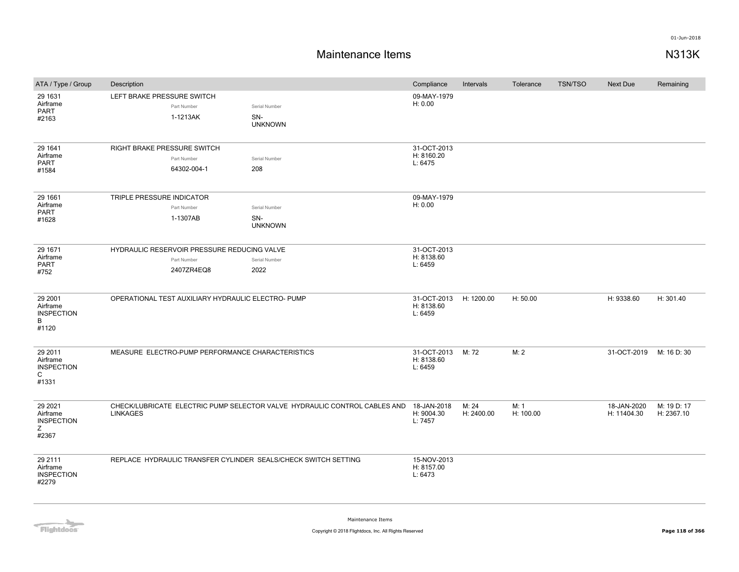## **Maintenance Items N313K**

| ATA / Type / Group                                      | Description                                        |                                                                          |                                                                           | Compliance                           | Intervals           | Tolerance         | <b>TSN/TSO</b> | <b>Next Due</b>            | Remaining                 |
|---------------------------------------------------------|----------------------------------------------------|--------------------------------------------------------------------------|---------------------------------------------------------------------------|--------------------------------------|---------------------|-------------------|----------------|----------------------------|---------------------------|
| 29 1631<br>Airframe<br>PART<br>#2163                    | LEFT BRAKE PRESSURE SWITCH                         | Part Number<br>1-1213AK                                                  | Serial Number<br>SN-<br><b>UNKNOWN</b>                                    | 09-MAY-1979<br>H: 0.00               |                     |                   |                |                            |                           |
| 29 1641<br>Airframe<br><b>PART</b><br>#1584             | RIGHT BRAKE PRESSURE SWITCH                        | Part Number<br>64302-004-1                                               | Serial Number<br>208                                                      | 31-OCT-2013<br>H: 8160.20<br>L: 6475 |                     |                   |                |                            |                           |
| 29 1661<br>Airframe<br>PART<br>#1628                    | TRIPLE PRESSURE INDICATOR                          | Part Number<br>1-1307AB                                                  | Serial Number<br>SN-<br><b>UNKNOWN</b>                                    | 09-MAY-1979<br>H: 0.00               |                     |                   |                |                            |                           |
| 29 1671<br>Airframe<br>PART<br>#752                     |                                                    | HYDRAULIC RESERVOIR PRESSURE REDUCING VALVE<br>Part Number<br>2407ZR4EQ8 | Serial Number<br>2022                                                     | 31-OCT-2013<br>H: 8138.60<br>L: 6459 |                     |                   |                |                            |                           |
| 29 2001<br>Airframe<br><b>INSPECTION</b><br>B<br>#1120  | OPERATIONAL TEST AUXILIARY HYDRAULIC ELECTRO- PUMP |                                                                          |                                                                           | 31-OCT-2013<br>H: 8138.60<br>L: 6459 | H: 1200.00          | H: 50.00          |                | H: 9338.60                 | H: 301.40                 |
| 29 2011<br>Airframe<br><b>INSPECTION</b><br>C<br>#1331  |                                                    | MEASURE ELECTRO-PUMP PERFORMANCE CHARACTERISTICS                         |                                                                           | 31-OCT-2013<br>H: 8138.60<br>L: 6459 | M: 72               | M: 2              |                | 31-OCT-2019                | M: 16 D: 30               |
| 29 20 21<br>Airframe<br><b>INSPECTION</b><br>Z<br>#2367 | <b>LINKAGES</b>                                    |                                                                          | CHECK/LUBRICATE ELECTRIC PUMP SELECTOR VALVE HYDRAULIC CONTROL CABLES AND | 18-JAN-2018<br>H: 9004.30<br>L: 7457 | M: 24<br>H: 2400.00 | M: 1<br>H: 100.00 |                | 18-JAN-2020<br>H: 11404.30 | M: 19 D: 17<br>H: 2367.10 |
| 29 2111<br>Airframe<br><b>INSPECTION</b><br>#2279       |                                                    |                                                                          | REPLACE HYDRAULIC TRANSFER CYLINDER SEALS/CHECK SWITCH SETTING            | 15-NOV-2013<br>H: 8157.00<br>L: 6473 |                     |                   |                |                            |                           |



Maintenance Items

**Copyright © 2018 Flightdocs, Inc. All Rights Reserved Page 118 of 366**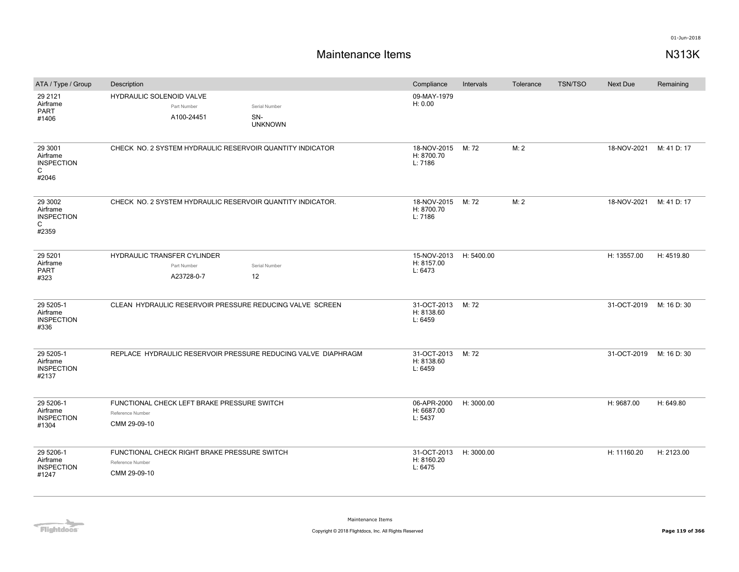| ATA / Type / Group                                                | Description                                                                      |                                        | Compliance                                      | Intervals  | Tolerance | <b>TSN/TSO</b> | <b>Next Due</b> | Remaining   |
|-------------------------------------------------------------------|----------------------------------------------------------------------------------|----------------------------------------|-------------------------------------------------|------------|-----------|----------------|-----------------|-------------|
| 29 21 21<br>Airframe<br>PART<br>#1406                             | HYDRAULIC SOLENOID VALVE<br>Part Number<br>A100-24451                            | Serial Number<br>SN-<br><b>UNKNOWN</b> | 09-MAY-1979<br>H: 0.00                          |            |           |                |                 |             |
| 29 3001<br>Airframe<br><b>INSPECTION</b><br>$\mathsf{C}$<br>#2046 | CHECK NO. 2 SYSTEM HYDRAULIC RESERVOIR QUANTITY INDICATOR                        |                                        | 18-NOV-2015 M: 72<br>H: 8700.70<br>L: 7186      |            | M: 2      |                | 18-NOV-2021     | M: 41 D: 17 |
| 29 3002<br>Airframe<br><b>INSPECTION</b><br>C<br>#2359            | CHECK NO. 2 SYSTEM HYDRAULIC RESERVOIR QUANTITY INDICATOR.                       |                                        | 18-NOV-2015<br>H: 8700.70<br>L: 7186            | M: 72      | M: 2      |                | 18-NOV-2021     | M: 41 D: 17 |
| 29 5 201<br>Airframe<br>PART<br>#323                              | <b>HYDRAULIC TRANSFER CYLINDER</b><br>Part Number<br>A23728-0-7                  | Serial Number<br>12                    | 15-NOV-2013 H: 5400.00<br>H: 8157.00<br>L: 6473 |            |           |                | H: 13557.00     | H: 4519.80  |
| 29 5205-1<br>Airframe<br><b>INSPECTION</b><br>#336                | CLEAN HYDRAULIC RESERVOIR PRESSURE REDUCING VALVE SCREEN                         |                                        | 31-OCT-2013 M: 72<br>H: 8138.60<br>L: 6459      |            |           |                | 31-OCT-2019     | M: 16 D: 30 |
| 29 5205-1<br>Airframe<br><b>INSPECTION</b><br>#2137               | REPLACE HYDRAULIC RESERVOIR PRESSURE REDUCING VALVE DIAPHRAGM                    |                                        | 31-OCT-2013 M: 72<br>H: 8138.60<br>L: 6459      |            |           |                | 31-OCT-2019     | M: 16 D: 30 |
| 29 5206-1<br>Airframe<br><b>INSPECTION</b><br>#1304               | FUNCTIONAL CHECK LEFT BRAKE PRESSURE SWITCH<br>Reference Number<br>CMM 29-09-10  |                                        | 06-APR-2000<br>H: 6687.00<br>L: 5437            | H: 3000.00 |           |                | H: 9687.00      | H: 649.80   |
| 29 5206-1<br>Airframe<br><b>INSPECTION</b><br>#1247               | FUNCTIONAL CHECK RIGHT BRAKE PRESSURE SWITCH<br>Reference Number<br>CMM 29-09-10 |                                        | 31-OCT-2013<br>H: 8160.20<br>L: 6475            | H: 3000.00 |           |                | H: 11160.20     | H: 2123.00  |

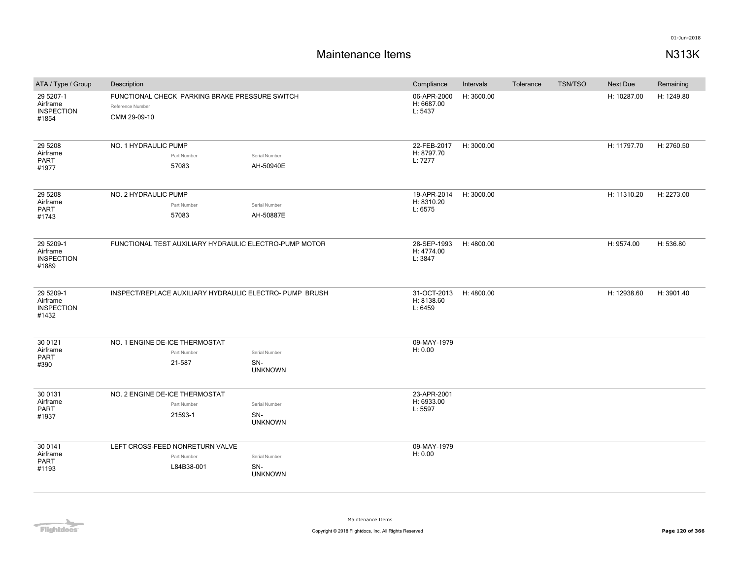| ATA / Type / Group                                  | Description                                                                        |                                        | Compliance                           | Intervals  | Tolerance | <b>TSN/TSO</b> | Next Due    | Remaining  |
|-----------------------------------------------------|------------------------------------------------------------------------------------|----------------------------------------|--------------------------------------|------------|-----------|----------------|-------------|------------|
| 29 5207-1<br>Airframe<br><b>INSPECTION</b><br>#1854 | FUNCTIONAL CHECK PARKING BRAKE PRESSURE SWITCH<br>Reference Number<br>CMM 29-09-10 |                                        | 06-APR-2000<br>H: 6687.00<br>L: 5437 | H: 3600.00 |           |                | H: 10287.00 | H: 1249.80 |
| 29 5 208<br>Airframe<br><b>PART</b><br>#1977        | NO. 1 HYDRAULIC PUMP<br>Part Number<br>57083                                       | Serial Number<br>AH-50940E             | 22-FEB-2017<br>H: 8797.70<br>L: 7277 | H: 3000.00 |           |                | H: 11797.70 | H: 2760.50 |
| 29 5 208<br>Airframe<br>PART<br>#1743               | NO. 2 HYDRAULIC PUMP<br>Part Number<br>57083                                       | Serial Number<br>AH-50887E             | 19-APR-2014<br>H: 8310.20<br>L: 6575 | H: 3000.00 |           |                | H: 11310.20 | H: 2273.00 |
| 29 5209-1<br>Airframe<br><b>INSPECTION</b><br>#1889 | FUNCTIONAL TEST AUXILIARY HYDRAULIC ELECTRO-PUMP MOTOR                             |                                        | 28-SEP-1993<br>H: 4774.00<br>L: 3847 | H: 4800.00 |           |                | H: 9574.00  | H: 536.80  |
| 29 5209-1<br>Airframe<br><b>INSPECTION</b><br>#1432 | INSPECT/REPLACE AUXILIARY HYDRAULIC ELECTRO- PUMP BRUSH                            |                                        | 31-OCT-2013<br>H: 8138.60<br>L: 6459 | H: 4800.00 |           |                | H: 12938.60 | H: 3901.40 |
| 30 0121<br>Airframe<br><b>PART</b><br>#390          | NO. 1 ENGINE DE-ICE THERMOSTAT<br>Part Number<br>21-587                            | Serial Number<br>SN-<br><b>UNKNOWN</b> | 09-MAY-1979<br>H: 0.00               |            |           |                |             |            |
| 30 0131<br>Airframe<br><b>PART</b><br>#1937         | NO. 2 ENGINE DE-ICE THERMOSTAT<br>Part Number<br>21593-1                           | Serial Number<br>SN-<br><b>UNKNOWN</b> | 23-APR-2001<br>H: 6933.00<br>L: 5597 |            |           |                |             |            |
| 30 0141<br>Airframe<br><b>PART</b><br>#1193         | LEFT CROSS-FEED NONRETURN VALVE<br>Part Number<br>L84B38-001                       | Serial Number<br>SN-<br><b>UNKNOWN</b> | 09-MAY-1979<br>H: 0.00               |            |           |                |             |            |

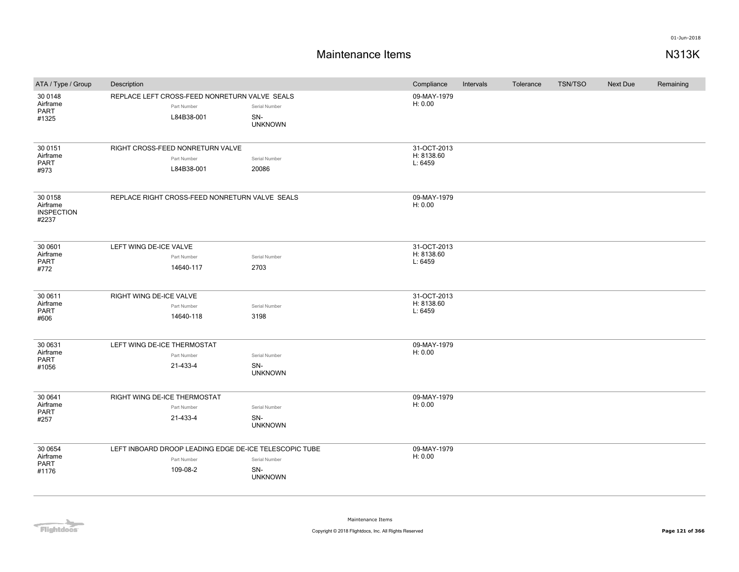| ATA / Type / Group            | Description                                            |                       | Compliance                | Intervals | Tolerance | TSN/TSO | <b>Next Due</b> | Remaining |
|-------------------------------|--------------------------------------------------------|-----------------------|---------------------------|-----------|-----------|---------|-----------------|-----------|
| 30 0148                       | REPLACE LEFT CROSS-FEED NONRETURN VALVE SEALS          |                       | 09-MAY-1979               |           |           |         |                 |           |
| Airframe<br>PART              | Part Number                                            | Serial Number         | H: 0.00                   |           |           |         |                 |           |
| #1325                         | L84B38-001                                             | SN-                   |                           |           |           |         |                 |           |
|                               |                                                        | <b>UNKNOWN</b>        |                           |           |           |         |                 |           |
|                               |                                                        |                       |                           |           |           |         |                 |           |
| 30 0151<br>Airframe           | RIGHT CROSS-FEED NONRETURN VALVE                       |                       | 31-OCT-2013<br>H: 8138.60 |           |           |         |                 |           |
| PART                          | Part Number                                            | Serial Number         | L: 6459                   |           |           |         |                 |           |
| #973                          | L84B38-001                                             | 20086                 |                           |           |           |         |                 |           |
|                               |                                                        |                       |                           |           |           |         |                 |           |
| 30 0158                       | REPLACE RIGHT CROSS-FEED NONRETURN VALVE SEALS         |                       | 09-MAY-1979               |           |           |         |                 |           |
| Airframe<br><b>INSPECTION</b> |                                                        |                       | H: 0.00                   |           |           |         |                 |           |
| #2237                         |                                                        |                       |                           |           |           |         |                 |           |
|                               |                                                        |                       |                           |           |           |         |                 |           |
| 30 0601                       | LEFT WING DE-ICE VALVE                                 |                       | 31-OCT-2013               |           |           |         |                 |           |
| Airframe                      | Part Number                                            | Serial Number         | H: 8138.60                |           |           |         |                 |           |
| PART<br>#772                  | 14640-117                                              | 2703                  | L: 6459                   |           |           |         |                 |           |
|                               |                                                        |                       |                           |           |           |         |                 |           |
|                               |                                                        |                       |                           |           |           |         |                 |           |
| 30 0611<br>Airframe           | RIGHT WING DE-ICE VALVE                                |                       | 31-OCT-2013<br>H: 8138.60 |           |           |         |                 |           |
| PART                          | Part Number                                            | Serial Number         | L: 6459                   |           |           |         |                 |           |
| #606                          | 14640-118                                              | 3198                  |                           |           |           |         |                 |           |
|                               |                                                        |                       |                           |           |           |         |                 |           |
| 30 0631                       | LEFT WING DE-ICE THERMOSTAT                            |                       | 09-MAY-1979               |           |           |         |                 |           |
| Airframe<br>PART              | Part Number                                            | Serial Number         | H: 0.00                   |           |           |         |                 |           |
| #1056                         | 21-433-4                                               | SN-<br><b>UNKNOWN</b> |                           |           |           |         |                 |           |
|                               |                                                        |                       |                           |           |           |         |                 |           |
| 30 0641                       | RIGHT WING DE-ICE THERMOSTAT                           |                       | 09-MAY-1979               |           |           |         |                 |           |
| Airframe                      | Part Number                                            | Serial Number         | H: 0.00                   |           |           |         |                 |           |
| <b>PART</b><br>#257           | 21-433-4                                               | SN-                   |                           |           |           |         |                 |           |
|                               |                                                        | <b>UNKNOWN</b>        |                           |           |           |         |                 |           |
|                               |                                                        |                       |                           |           |           |         |                 |           |
| 30 0654                       | LEFT INBOARD DROOP LEADING EDGE DE-ICE TELESCOPIC TUBE |                       | 09-MAY-1979               |           |           |         |                 |           |
| Airframe<br>PART              | Part Number                                            | Serial Number         | H: 0.00                   |           |           |         |                 |           |
| #1176                         | 109-08-2                                               | SN-<br><b>UNKNOWN</b> |                           |           |           |         |                 |           |
|                               |                                                        |                       |                           |           |           |         |                 |           |
|                               |                                                        |                       |                           |           |           |         |                 |           |

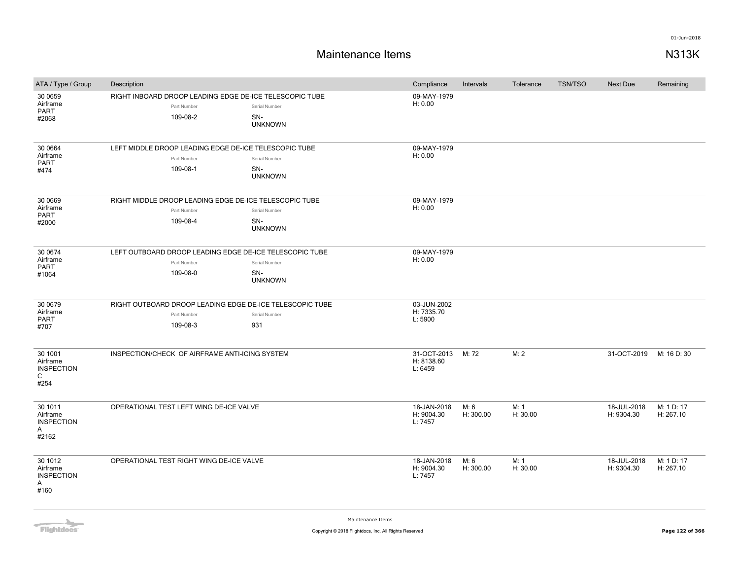| ATA / Type / Group                                                | Description                                                                         |                                        | Compliance                           | Intervals         | Tolerance        | <b>TSN/TSO</b> | Next Due                  | Remaining               |
|-------------------------------------------------------------------|-------------------------------------------------------------------------------------|----------------------------------------|--------------------------------------|-------------------|------------------|----------------|---------------------------|-------------------------|
| 30 0659<br>Airframe<br><b>PART</b><br>#2068                       | RIGHT INBOARD DROOP LEADING EDGE DE-ICE TELESCOPIC TUBE<br>Part Number<br>109-08-2  | Serial Number<br>SN-<br><b>UNKNOWN</b> | 09-MAY-1979<br>H: 0.00               |                   |                  |                |                           |                         |
| 30 0664<br>Airframe<br>PART<br>#474                               | LEFT MIDDLE DROOP LEADING EDGE DE-ICE TELESCOPIC TUBE<br>Part Number<br>109-08-1    | Serial Number<br>SN-<br><b>UNKNOWN</b> | 09-MAY-1979<br>H: 0.00               |                   |                  |                |                           |                         |
| 30 0669<br>Airframe<br><b>PART</b><br>#2000                       | RIGHT MIDDLE DROOP LEADING EDGE DE-ICE TELESCOPIC TUBE<br>Part Number<br>109-08-4   | Serial Number<br>SN-<br><b>UNKNOWN</b> | 09-MAY-1979<br>H: 0.00               |                   |                  |                |                           |                         |
| 30 0674<br>Airframe<br>PART<br>#1064                              | LEFT OUTBOARD DROOP LEADING EDGE DE-ICE TELESCOPIC TUBE<br>Part Number<br>109-08-0  | Serial Number<br>SN-<br><b>UNKNOWN</b> | 09-MAY-1979<br>H: 0.00               |                   |                  |                |                           |                         |
| 30 0679<br>Airframe<br><b>PART</b><br>#707                        | RIGHT OUTBOARD DROOP LEADING EDGE DE-ICE TELESCOPIC TUBE<br>Part Number<br>109-08-3 | Serial Number<br>931                   | 03-JUN-2002<br>H: 7335.70<br>L: 5900 |                   |                  |                |                           |                         |
| 30 1001<br>Airframe<br><b>INSPECTION</b><br>C<br>#254             | INSPECTION/CHECK OF AIRFRAME ANTI-ICING SYSTEM                                      |                                        | 31-OCT-2013<br>H: 8138.60<br>L: 6459 | M: 72             | M: 2             |                | 31-OCT-2019               | M: 16 D: 30             |
| 30 1011<br>Airframe<br><b>INSPECTION</b><br>$\mathsf{A}$<br>#2162 | OPERATIONAL TEST LEFT WING DE-ICE VALVE                                             |                                        | 18-JAN-2018<br>H: 9004.30<br>L: 7457 | M: 6<br>H: 300.00 | M: 1<br>H: 30.00 |                | 18-JUL-2018<br>H: 9304.30 | M: 1 D: 17<br>H: 267.10 |
| 30 1012<br>Airframe<br><b>INSPECTION</b><br>$\mathsf{A}$<br>#160  | OPERATIONAL TEST RIGHT WING DE-ICE VALVE                                            |                                        | 18-JAN-2018<br>H: 9004.30<br>L: 7457 | M: 6<br>H: 300.00 | M: 1<br>H: 30.00 |                | 18-JUL-2018<br>H: 9304.30 | M: 1 D: 17<br>H: 267.10 |

**Flightdocs**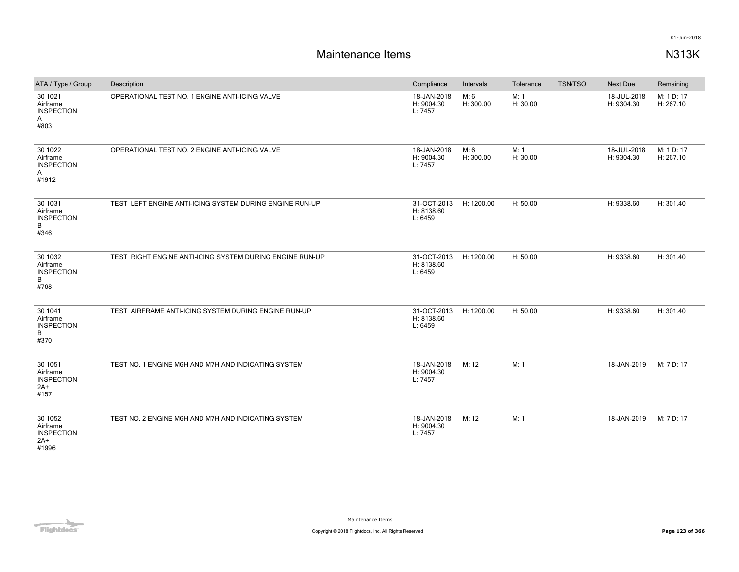| ATA / Type / Group                                         | Description                                              | Compliance                           | Intervals         | Tolerance        | <b>TSN/TSO</b> | Next Due                  | Remaining               |
|------------------------------------------------------------|----------------------------------------------------------|--------------------------------------|-------------------|------------------|----------------|---------------------------|-------------------------|
| 30 10 21<br>Airframe<br><b>INSPECTION</b><br>A<br>#803     | OPERATIONAL TEST NO. 1 ENGINE ANTI-ICING VALVE           | 18-JAN-2018<br>H: 9004.30<br>L: 7457 | M: 6<br>H: 300.00 | M: 1<br>H: 30.00 |                | 18-JUL-2018<br>H: 9304.30 | M: 1 D: 17<br>H: 267.10 |
| 30 1022<br>Airframe<br><b>INSPECTION</b><br>A<br>#1912     | OPERATIONAL TEST NO. 2 ENGINE ANTI-ICING VALVE           | 18-JAN-2018<br>H: 9004.30<br>L: 7457 | M: 6<br>H: 300.00 | M: 1<br>H: 30.00 |                | 18-JUL-2018<br>H: 9304.30 | M: 1 D: 17<br>H: 267.10 |
| 30 1031<br>Airframe<br><b>INSPECTION</b><br>B<br>#346      | TEST LEFT ENGINE ANTI-ICING SYSTEM DURING ENGINE RUN-UP  | 31-OCT-2013<br>H: 8138.60<br>L: 6459 | H: 1200.00        | H: 50.00         |                | H: 9338.60                | H: 301.40               |
| 30 1032<br>Airframe<br><b>INSPECTION</b><br>B<br>#768      | TEST RIGHT ENGINE ANTI-ICING SYSTEM DURING ENGINE RUN-UP | 31-OCT-2013<br>H: 8138.60<br>L: 6459 | H: 1200.00        | H: 50.00         |                | H: 9338.60                | H: 301.40               |
| 30 1041<br>Airframe<br><b>INSPECTION</b><br>B<br>#370      | TEST AIRFRAME ANTI-ICING SYSTEM DURING ENGINE RUN-UP     | 31-OCT-2013<br>H: 8138.60<br>L: 6459 | H: 1200.00        | H: 50.00         |                | H: 9338.60                | H: 301.40               |
| 30 1051<br>Airframe<br><b>INSPECTION</b><br>$2A+$<br>#157  | TEST NO. 1 ENGINE M6H AND M7H AND INDICATING SYSTEM      | 18-JAN-2018<br>H: 9004.30<br>L: 7457 | M: 12             | M: 1             |                | 18-JAN-2019               | M: 7 D: 17              |
| 30 1052<br>Airframe<br><b>INSPECTION</b><br>$2A+$<br>#1996 | TEST NO. 2 ENGINE M6H AND M7H AND INDICATING SYSTEM      | 18-JAN-2018<br>H: 9004.30<br>L: 7457 | M: 12             | M: 1             |                | 18-JAN-2019               | M: 7 D: 17              |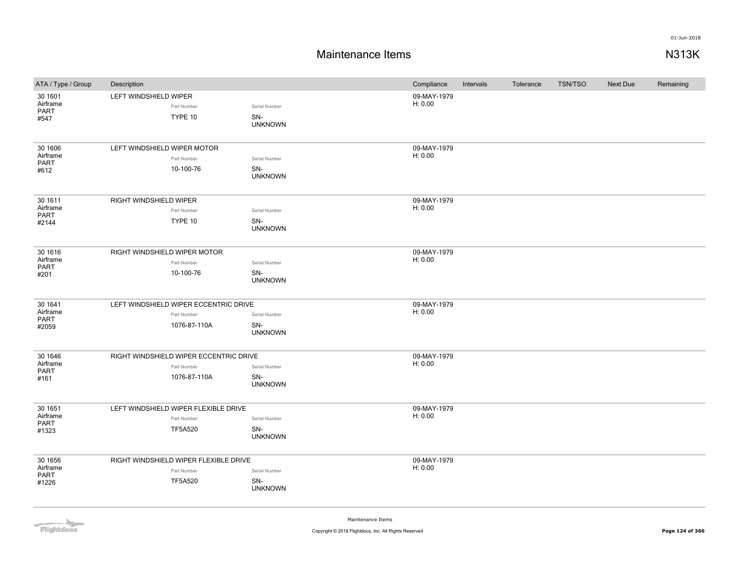| ATA / Type / Group                          | Description                  |                                                                        |                                        | Compliance             | Intervals | Tolerance | TSN/TSO | Next Due | Remaining |
|---------------------------------------------|------------------------------|------------------------------------------------------------------------|----------------------------------------|------------------------|-----------|-----------|---------|----------|-----------|
| 30 1601<br>Airframe<br>PART<br>#547         | LEFT WINDSHIELD WIPER        | Part Number<br>TYPE 10                                                 | Serial Number<br>SN-<br><b>UNKNOWN</b> | 09-MAY-1979<br>H: 0.00 |           |           |         |          |           |
| 30 1606<br>Airframe<br>PART<br>#612         | LEFT WINDSHIELD WIPER MOTOR  | Part Number<br>10-100-76                                               | Serial Number<br>SN-<br><b>UNKNOWN</b> | 09-MAY-1979<br>H: 0.00 |           |           |         |          |           |
| 30 1611<br>Airframe<br>PART<br>#2144        | RIGHT WINDSHIELD WIPER       | Part Number<br>TYPE 10                                                 | Serial Number<br>SN-<br><b>UNKNOWN</b> | 09-MAY-1979<br>H: 0.00 |           |           |         |          |           |
| 30 16 16<br>Airframe<br><b>PART</b><br>#201 | RIGHT WINDSHIELD WIPER MOTOR | Part Number<br>10-100-76                                               | Serial Number<br>SN-<br><b>UNKNOWN</b> | 09-MAY-1979<br>H: 0.00 |           |           |         |          |           |
| 30 1641<br>Airframe<br>PART<br>#2059        |                              | LEFT WINDSHIELD WIPER ECCENTRIC DRIVE<br>Part Number<br>1076-87-110A   | Serial Number<br>SN-<br><b>UNKNOWN</b> | 09-MAY-1979<br>H: 0.00 |           |           |         |          |           |
| 30 1646<br>Airframe<br>PART<br>#161         |                              | RIGHT WINDSHIELD WIPER ECCENTRIC DRIVE<br>Part Number<br>1076-87-110A  | Serial Number<br>SN-<br><b>UNKNOWN</b> | 09-MAY-1979<br>H: 0.00 |           |           |         |          |           |
| 30 1651<br>Airframe<br>PART<br>#1323        |                              | LEFT WINDSHIELD WIPER FLEXIBLE DRIVE<br>Part Number<br><b>TF5A520</b>  | Serial Number<br>SN-<br><b>UNKNOWN</b> | 09-MAY-1979<br>H: 0.00 |           |           |         |          |           |
| 30 1656<br>Airframe<br>PART<br>#1226        |                              | RIGHT WINDSHIELD WIPER FLEXIBLE DRIVE<br>Part Number<br><b>TF5A520</b> | Serial Number<br>SN-<br><b>UNKNOWN</b> | 09-MAY-1979<br>H: 0.00 |           |           |         |          |           |

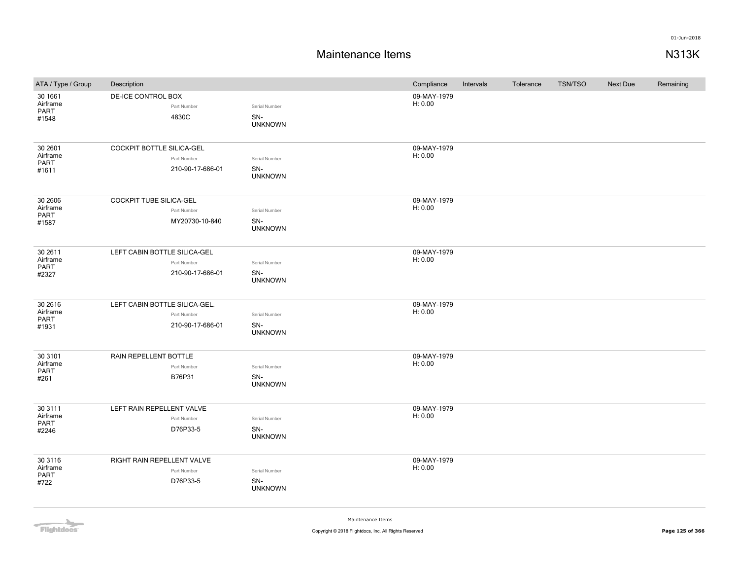### **Maintenance Items N313K**

| ATA / Type / Group                    | Description                                                      |                                        | Compliance             | Intervals | Tolerance | <b>TSN/TSO</b> | <b>Next Due</b> | Remaining |
|---------------------------------------|------------------------------------------------------------------|----------------------------------------|------------------------|-----------|-----------|----------------|-----------------|-----------|
| 30 1661<br>Airframe<br>PART<br>#1548  | DE-ICE CONTROL BOX<br>Part Number<br>4830C                       | Serial Number<br>SN-<br><b>UNKNOWN</b> | 09-MAY-1979<br>H: 0.00 |           |           |                |                 |           |
| 30 2601<br>Airframe<br>PART<br>#1611  | COCKPIT BOTTLE SILICA-GEL<br>Part Number<br>210-90-17-686-01     | Serial Number<br>SN-<br><b>UNKNOWN</b> | 09-MAY-1979<br>H: 0.00 |           |           |                |                 |           |
| 30 2606<br>Airframe<br>PART<br>#1587  | COCKPIT TUBE SILICA-GEL<br>Part Number<br>MY20730-10-840         | Serial Number<br>SN-<br><b>UNKNOWN</b> | 09-MAY-1979<br>H: 0.00 |           |           |                |                 |           |
| 30 2611<br>Airframe<br>PART<br>#2327  | LEFT CABIN BOTTLE SILICA-GEL<br>Part Number<br>210-90-17-686-01  | Serial Number<br>SN-<br><b>UNKNOWN</b> | 09-MAY-1979<br>H: 0.00 |           |           |                |                 |           |
| 30 26 16<br>Airframe<br>PART<br>#1931 | LEFT CABIN BOTTLE SILICA-GEL.<br>Part Number<br>210-90-17-686-01 | Serial Number<br>SN-<br><b>UNKNOWN</b> | 09-MAY-1979<br>H: 0.00 |           |           |                |                 |           |
| 30 3101<br>Airframe<br>PART<br>#261   | RAIN REPELLENT BOTTLE<br>Part Number<br>B76P31                   | Serial Number<br>SN-<br><b>UNKNOWN</b> | 09-MAY-1979<br>H: 0.00 |           |           |                |                 |           |
| 30 3111<br>Airframe<br>PART<br>#2246  | LEFT RAIN REPELLENT VALVE<br>Part Number<br>D76P33-5             | Serial Number<br>SN-<br><b>UNKNOWN</b> | 09-MAY-1979<br>H: 0.00 |           |           |                |                 |           |
| 30 3116<br>Airframe<br>PART<br>#722   | RIGHT RAIN REPELLENT VALVE<br>Part Number<br>D76P33-5            | Serial Number<br>SN-<br><b>UNKNOWN</b> | 09-MAY-1979<br>H: 0.00 |           |           |                |                 |           |

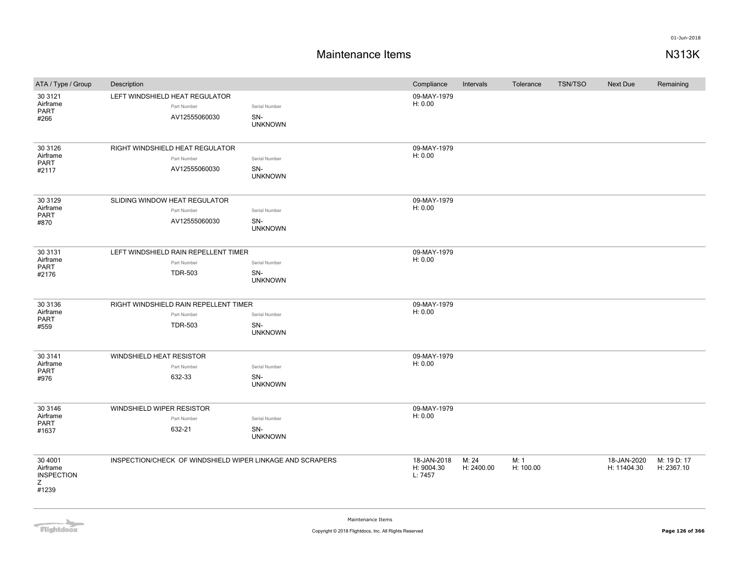| ATA / Type / Group                                     | Description                                                            |                                        | Compliance                           | Intervals           | Tolerance         | <b>TSN/TSO</b> | Next Due                   | Remaining                 |
|--------------------------------------------------------|------------------------------------------------------------------------|----------------------------------------|--------------------------------------|---------------------|-------------------|----------------|----------------------------|---------------------------|
| 30 31 21<br>Airframe<br><b>PART</b><br>#266            | LEFT WINDSHIELD HEAT REGULATOR<br>Part Number<br>AV12555060030         | Serial Number<br>SN-<br><b>UNKNOWN</b> | 09-MAY-1979<br>H: 0.00               |                     |                   |                |                            |                           |
| 30 31 26<br>Airframe<br><b>PART</b><br>#2117           | RIGHT WINDSHIELD HEAT REGULATOR<br>Part Number<br>AV12555060030        | Serial Number<br>SN-<br><b>UNKNOWN</b> | 09-MAY-1979<br>H: 0.00               |                     |                   |                |                            |                           |
| 30 31 29<br>Airframe<br><b>PART</b><br>#870            | SLIDING WINDOW HEAT REGULATOR<br>Part Number<br>AV12555060030          | Serial Number<br>SN-<br><b>UNKNOWN</b> | 09-MAY-1979<br>H: 0.00               |                     |                   |                |                            |                           |
| 30 31 31<br>Airframe<br>PART<br>#2176                  | LEFT WINDSHIELD RAIN REPELLENT TIMER<br>Part Number<br><b>TDR-503</b>  | Serial Number<br>SN-<br><b>UNKNOWN</b> | 09-MAY-1979<br>H: 0.00               |                     |                   |                |                            |                           |
| 30 31 36<br>Airframe<br>PART<br>#559                   | RIGHT WINDSHIELD RAIN REPELLENT TIMER<br>Part Number<br><b>TDR-503</b> | Serial Number<br>SN-<br><b>UNKNOWN</b> | 09-MAY-1979<br>H: 0.00               |                     |                   |                |                            |                           |
| 30 3141<br>Airframe<br>PART<br>#976                    | WINDSHIELD HEAT RESISTOR<br>Part Number<br>632-33                      | Serial Number<br>SN-<br><b>UNKNOWN</b> | 09-MAY-1979<br>H: 0.00               |                     |                   |                |                            |                           |
| 30 3146<br>Airframe<br>PART<br>#1637                   | WINDSHIELD WIPER RESISTOR<br>Part Number<br>632-21                     | Serial Number<br>SN-<br><b>UNKNOWN</b> | 09-MAY-1979<br>H: 0.00               |                     |                   |                |                            |                           |
| 30 4001<br>Airframe<br><b>INSPECTION</b><br>Z<br>#1239 | INSPECTION/CHECK OF WINDSHIELD WIPER LINKAGE AND SCRAPERS              |                                        | 18-JAN-2018<br>H: 9004.30<br>L: 7457 | M: 24<br>H: 2400.00 | M: 1<br>H: 100.00 |                | 18-JAN-2020<br>H: 11404.30 | M: 19 D: 17<br>H: 2367.10 |

**Flightdocs**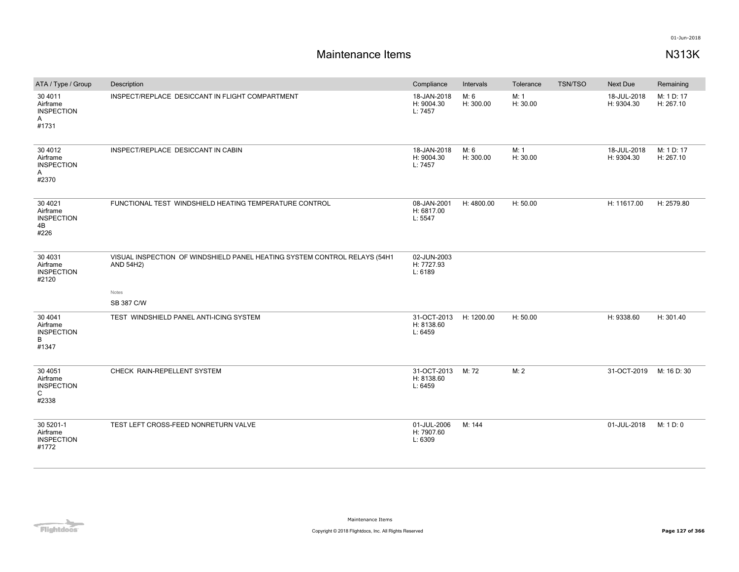| ATA / Type / Group                                      | Description                                                                            | Compliance                           | Intervals         | Tolerance        | TSN/TSO | Next Due                  | Remaining               |
|---------------------------------------------------------|----------------------------------------------------------------------------------------|--------------------------------------|-------------------|------------------|---------|---------------------------|-------------------------|
| 30 4011<br>Airframe<br><b>INSPECTION</b><br>A<br>#1731  | INSPECT/REPLACE DESICCANT IN FLIGHT COMPARTMENT                                        | 18-JAN-2018<br>H: 9004.30<br>L: 7457 | M: 6<br>H: 300.00 | M: 1<br>H: 30.00 |         | 18-JUL-2018<br>H: 9304.30 | M: 1 D: 17<br>H: 267.10 |
| 30 40 12<br>Airframe<br><b>INSPECTION</b><br>Α<br>#2370 | INSPECT/REPLACE DESICCANT IN CABIN                                                     | 18-JAN-2018<br>H: 9004.30<br>L: 7457 | M: 6<br>H: 300.00 | M: 1<br>H: 30.00 |         | 18-JUL-2018<br>H: 9304.30 | M: 1 D: 17<br>H: 267.10 |
| 30 40 21<br>Airframe<br><b>INSPECTION</b><br>4B<br>#226 | FUNCTIONAL TEST WINDSHIELD HEATING TEMPERATURE CONTROL                                 | 08-JAN-2001<br>H: 6817.00<br>L: 5547 | H: 4800.00        | H: 50.00         |         | H: 11617.00               | H: 2579.80              |
| 30 40 31<br>Airframe<br><b>INSPECTION</b><br>#2120      | VISUAL INSPECTION OF WINDSHIELD PANEL HEATING SYSTEM CONTROL RELAYS (54H1<br>AND 54H2) | 02-JUN-2003<br>H: 7727.93<br>L: 6189 |                   |                  |         |                           |                         |
|                                                         | Notes<br>SB 387 C/W                                                                    |                                      |                   |                  |         |                           |                         |
| 30 40 41<br>Airframe<br><b>INSPECTION</b><br>B<br>#1347 | TEST WINDSHIELD PANEL ANTI-ICING SYSTEM                                                | 31-OCT-2013<br>H: 8138.60<br>L: 6459 | H: 1200.00        | H: 50.00         |         | H: 9338.60                | H: 301.40               |
| 30 40 51<br>Airframe<br><b>INSPECTION</b><br>C<br>#2338 | CHECK RAIN-REPELLENT SYSTEM                                                            | 31-OCT-2013<br>H: 8138.60<br>L: 6459 | M: 72             | M: 2             |         | 31-OCT-2019               | M: 16 D: 30             |
| 30 5201-1<br>Airframe<br><b>INSPECTION</b><br>#1772     | TEST LEFT CROSS-FEED NONRETURN VALVE                                                   | 01-JUL-2006<br>H: 7907.60<br>L: 6309 | M: 144            |                  |         | 01-JUL-2018               | M: 1 D: 0               |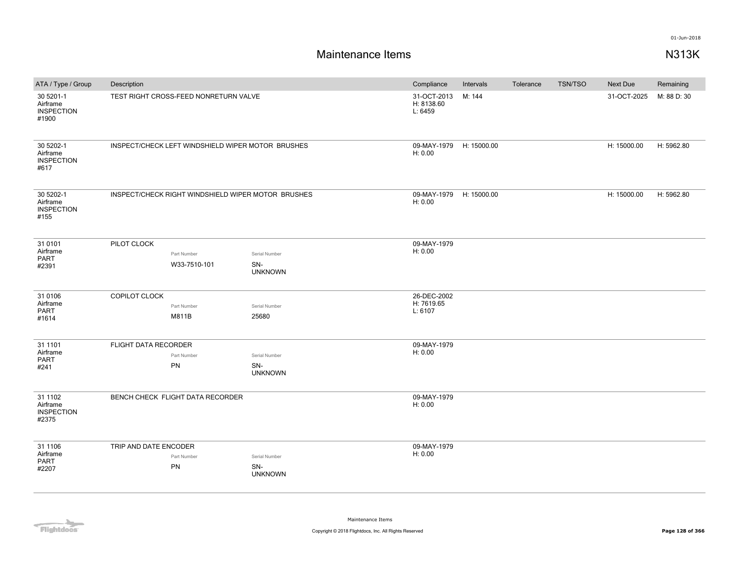# **Maintenance Items N313K**

| ATA / Type / Group                                  | Description                                        |                       | Compliance                           | Intervals   | Tolerance | <b>TSN/TSO</b> | Next Due    | Remaining   |
|-----------------------------------------------------|----------------------------------------------------|-----------------------|--------------------------------------|-------------|-----------|----------------|-------------|-------------|
| 30 5201-1<br>Airframe<br><b>INSPECTION</b><br>#1900 | TEST RIGHT CROSS-FEED NONRETURN VALVE              |                       | 31-OCT-2013<br>H: 8138.60<br>L: 6459 | M: 144      |           |                | 31-OCT-2025 | M: 88 D: 30 |
| 30 5202-1<br>Airframe<br><b>INSPECTION</b><br>#617  | INSPECT/CHECK LEFT WINDSHIELD WIPER MOTOR BRUSHES  |                       | 09-MAY-1979<br>H: 0.00               | H: 15000.00 |           |                | H: 15000.00 | H: 5962.80  |
| 30 5202-1<br>Airframe<br><b>INSPECTION</b><br>#155  | INSPECT/CHECK RIGHT WINDSHIELD WIPER MOTOR BRUSHES |                       | 09-MAY-1979<br>H: 0.00               | H: 15000.00 |           |                | H: 15000.00 | H: 5962.80  |
| 31 0101                                             | PILOT CLOCK                                        |                       | 09-MAY-1979                          |             |           |                |             |             |
| Airframe<br>PART                                    | Part Number                                        | Serial Number         | H: 0.00                              |             |           |                |             |             |
| #2391                                               | W33-7510-101                                       | SN-<br><b>UNKNOWN</b> |                                      |             |           |                |             |             |
| 31 0106                                             | COPILOT CLOCK                                      |                       | 26-DEC-2002                          |             |           |                |             |             |
| Airframe                                            | Part Number                                        | Serial Number         | H: 7619.65                           |             |           |                |             |             |
| PART<br>#1614                                       | M811B                                              | 25680                 | L: 6107                              |             |           |                |             |             |
| 31 1101                                             | FLIGHT DATA RECORDER                               |                       | 09-MAY-1979                          |             |           |                |             |             |
| Airframe                                            | Part Number                                        | Serial Number         | H: 0.00                              |             |           |                |             |             |
| PART<br>#241                                        | PN                                                 | SN-<br><b>UNKNOWN</b> |                                      |             |           |                |             |             |
| 31 1102<br>Airframe<br><b>INSPECTION</b><br>#2375   | BENCH CHECK FLIGHT DATA RECORDER                   |                       | 09-MAY-1979<br>H: 0.00               |             |           |                |             |             |
| 31 1106                                             | TRIP AND DATE ENCODER                              |                       | 09-MAY-1979                          |             |           |                |             |             |
| Airframe                                            | Part Number                                        | Serial Number         | H: 0.00                              |             |           |                |             |             |
| PART<br>#2207                                       | PN                                                 | SN-<br><b>UNKNOWN</b> |                                      |             |           |                |             |             |
|                                                     |                                                    |                       |                                      |             |           |                |             |             |

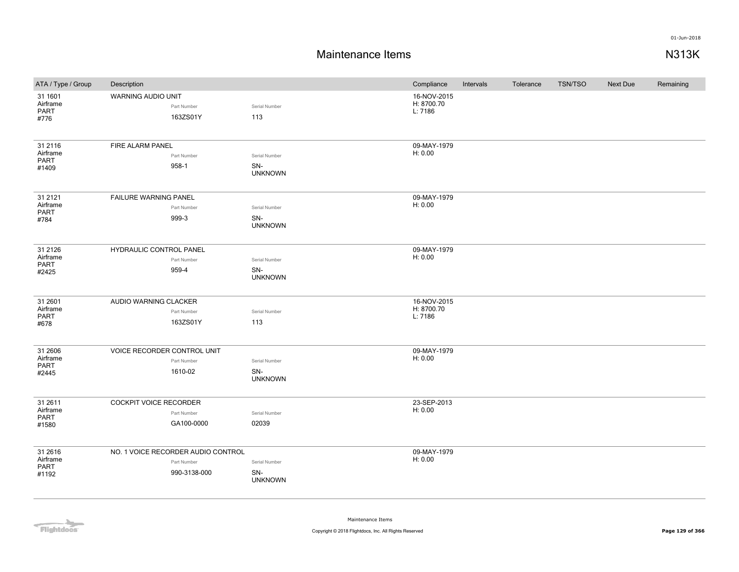### **Maintenance Items N313K**

| ATA / Type / Group                    | Description                                                       |                                        | Compliance                           | Intervals | Tolerance | TSN/TSO | <b>Next Due</b> | Remaining |
|---------------------------------------|-------------------------------------------------------------------|----------------------------------------|--------------------------------------|-----------|-----------|---------|-----------------|-----------|
| 31 1601<br>Airframe<br>PART<br>#776   | WARNING AUDIO UNIT<br>Part Number<br>163ZS01Y                     | Serial Number<br>113                   | 16-NOV-2015<br>H: 8700.70<br>L: 7186 |           |           |         |                 |           |
| 31 21 16<br>Airframe<br>PART<br>#1409 | FIRE ALARM PANEL<br>Part Number<br>958-1                          | Serial Number<br>SN-<br><b>UNKNOWN</b> | 09-MAY-1979<br>H: 0.00               |           |           |         |                 |           |
| 31 21 21<br>Airframe<br>PART<br>#784  | FAILURE WARNING PANEL<br>Part Number<br>999-3                     | Serial Number<br>SN-<br><b>UNKNOWN</b> | 09-MAY-1979<br>H: 0.00               |           |           |         |                 |           |
| 31 21 26<br>Airframe<br>PART<br>#2425 | HYDRAULIC CONTROL PANEL<br>Part Number<br>959-4                   | Serial Number<br>SN-<br><b>UNKNOWN</b> | 09-MAY-1979<br>H: 0.00               |           |           |         |                 |           |
| 31 2601<br>Airframe<br>PART<br>#678   | AUDIO WARNING CLACKER<br>Part Number<br>163ZS01Y                  | Serial Number<br>113                   | 16-NOV-2015<br>H: 8700.70<br>L: 7186 |           |           |         |                 |           |
| 31 2606<br>Airframe<br>PART<br>#2445  | VOICE RECORDER CONTROL UNIT<br>Part Number<br>1610-02             | Serial Number<br>SN-<br><b>UNKNOWN</b> | 09-MAY-1979<br>H: 0.00               |           |           |         |                 |           |
| 31 2611<br>Airframe<br>PART<br>#1580  | COCKPIT VOICE RECORDER<br>Part Number<br>GA100-0000               | Serial Number<br>02039                 | 23-SEP-2013<br>H: 0.00               |           |           |         |                 |           |
| 31 2616<br>Airframe<br>PART<br>#1192  | NO. 1 VOICE RECORDER AUDIO CONTROL<br>Part Number<br>990-3138-000 | Serial Number<br>SN-<br><b>UNKNOWN</b> | 09-MAY-1979<br>H: 0.00               |           |           |         |                 |           |

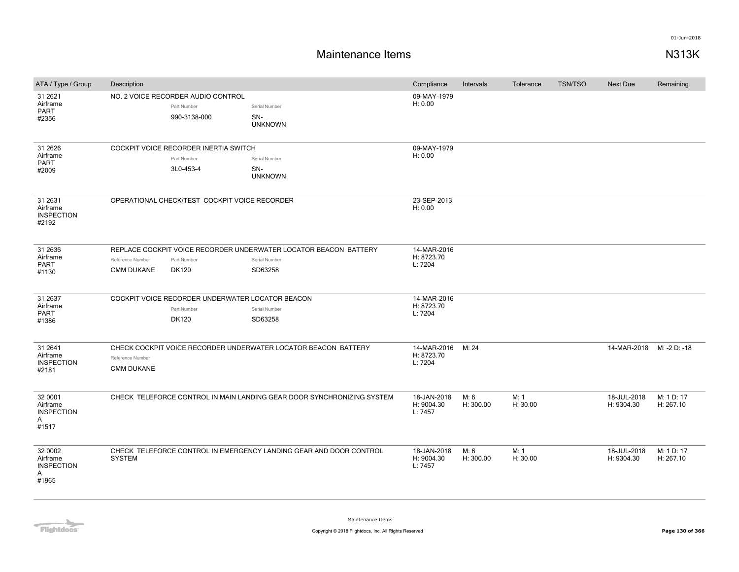| ATA / Type / Group                                     | Description                                                            |                                                                                 |                                                                                              | Compliance                                 | Intervals         | Tolerance        | <b>TSN/TSO</b> | <b>Next Due</b>           | Remaining               |
|--------------------------------------------------------|------------------------------------------------------------------------|---------------------------------------------------------------------------------|----------------------------------------------------------------------------------------------|--------------------------------------------|-------------------|------------------|----------------|---------------------------|-------------------------|
| 31 26 21<br>Airframe<br>PART<br>#2356                  |                                                                        | NO. 2 VOICE RECORDER AUDIO CONTROL<br>Part Number<br>990-3138-000               | Serial Number<br>SN-<br><b>UNKNOWN</b>                                                       | 09-MAY-1979<br>H: 0.00                     |                   |                  |                |                           |                         |
| 31 26 26<br>Airframe<br>PART<br>#2009                  |                                                                        | COCKPIT VOICE RECORDER INERTIA SWITCH<br>Part Number<br>3L0-453-4               | Serial Number<br>SN-<br><b>UNKNOWN</b>                                                       | 09-MAY-1979<br>H: 0.00                     |                   |                  |                |                           |                         |
| 31 26 31<br>Airframe<br><b>INSPECTION</b><br>#2192     |                                                                        | OPERATIONAL CHECK/TEST COCKPIT VOICE RECORDER                                   |                                                                                              | 23-SEP-2013<br>H: 0.00                     |                   |                  |                |                           |                         |
| 31 26 36<br>Airframe<br>PART<br>#1130                  | Reference Number<br><b>CMM DUKANE</b>                                  | Part Number<br><b>DK120</b>                                                     | REPLACE COCKPIT VOICE RECORDER UNDERWATER LOCATOR BEACON BATTERY<br>Serial Number<br>SD63258 | 14-MAR-2016<br>H: 8723.70<br>L: 7204       |                   |                  |                |                           |                         |
| 31 2637<br>Airframe<br>PART<br>#1386                   |                                                                        | COCKPIT VOICE RECORDER UNDERWATER LOCATOR BEACON<br>Part Number<br><b>DK120</b> | Serial Number<br>SD63258                                                                     | 14-MAR-2016<br>H: 8723.70<br>L: 7204       |                   |                  |                |                           |                         |
| 31 2641<br>Airframe<br><b>INSPECTION</b><br>#2181      | Reference Number<br><b>CMM DUKANE</b>                                  |                                                                                 | CHECK COCKPIT VOICE RECORDER UNDERWATER LOCATOR BEACON BATTERY                               | 14-MAR-2016 M: 24<br>H: 8723.70<br>L: 7204 |                   |                  |                | 14-MAR-2018               | M: -2 D: -18            |
| 32 0001<br>Airframe<br><b>INSPECTION</b><br>A<br>#1517 | CHECK TELEFORCE CONTROL IN MAIN LANDING GEAR DOOR SYNCHRONIZING SYSTEM |                                                                                 |                                                                                              | 18-JAN-2018<br>H: 9004.30<br>L: 7457       | M: 6<br>H: 300.00 | M: 1<br>H: 30.00 |                | 18-JUL-2018<br>H: 9304.30 | M: 1 D: 17<br>H: 267.10 |
| 32 0002<br>Airframe<br><b>INSPECTION</b><br>Α<br>#1965 | <b>SYSTEM</b>                                                          |                                                                                 | CHECK TELEFORCE CONTROL IN EMERGENCY LANDING GEAR AND DOOR CONTROL                           | 18-JAN-2018<br>H: 9004.30<br>L: 7457       | M: 6<br>H: 300.00 | M: 1<br>H: 30.00 |                | 18-JUL-2018<br>H: 9304.30 | M: 1 D: 17<br>H: 267.10 |

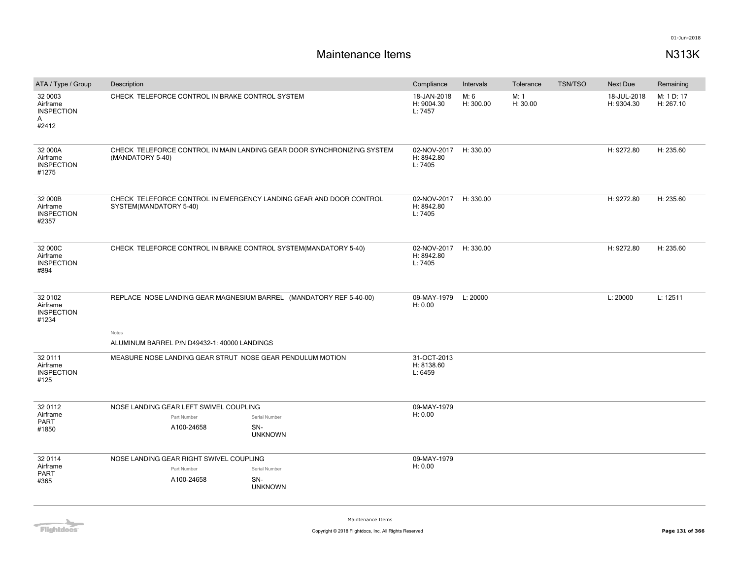| ATA / Type / Group                                     | Description                                                                                  |  |                                                                        |                   | Compliance                                     | Intervals | Tolerance                 | <b>TSN/TSO</b>          | Next Due   | Remaining |
|--------------------------------------------------------|----------------------------------------------------------------------------------------------|--|------------------------------------------------------------------------|-------------------|------------------------------------------------|-----------|---------------------------|-------------------------|------------|-----------|
| 32 0003<br>Airframe<br><b>INSPECTION</b><br>A<br>#2412 | CHECK TELEFORCE CONTROL IN BRAKE CONTROL SYSTEM                                              |  | 18-JAN-2018<br>H: 9004.30<br>L: 7457                                   | M: 6<br>H: 300.00 | M: 1<br>H: 30.00                               |           | 18-JUL-2018<br>H: 9304.30 | M: 1 D: 17<br>H: 267.10 |            |           |
| 32 000A<br>Airframe<br><b>INSPECTION</b><br>#1275      | (MANDATORY 5-40)                                                                             |  | CHECK TELEFORCE CONTROL IN MAIN LANDING GEAR DOOR SYNCHRONIZING SYSTEM |                   | 02-NOV-2017 H: 330.00<br>H: 8942.80<br>L: 7405 |           |                           |                         | H: 9272.80 | H: 235.60 |
| 32 000B<br>Airframe<br><b>INSPECTION</b><br>#2357      | CHECK TELEFORCE CONTROL IN EMERGENCY LANDING GEAR AND DOOR CONTROL<br>SYSTEM(MANDATORY 5-40) |  | 02-NOV-2017 H: 330.00<br>H: 8942.80<br>L: 7405                         |                   |                                                |           | H: 9272.80                | H: 235.60               |            |           |
| 32 000C<br>Airframe<br><b>INSPECTION</b><br>#894       | CHECK TELEFORCE CONTROL IN BRAKE CONTROL SYSTEM(MANDATORY 5-40)                              |  |                                                                        |                   | 02-NOV-2017<br>H: 8942.80<br>L: 7405           | H: 330.00 |                           |                         | H: 9272.80 | H: 235.60 |
| 32 0102<br>Airframe<br><b>INSPECTION</b><br>#1234      | REPLACE NOSE LANDING GEAR MAGNESIUM BARREL (MANDATORY REF 5-40-00)                           |  |                                                                        |                   | 09-MAY-1979 L: 20000<br>H: 0.00                |           |                           |                         | L: 20000   | L: 12511  |
|                                                        | Notes<br>ALUMINUM BARREL P/N D49432-1: 40000 LANDINGS                                        |  |                                                                        |                   |                                                |           |                           |                         |            |           |
| 32 0111<br>Airframe<br><b>INSPECTION</b><br>#125       |                                                                                              |  | MEASURE NOSE LANDING GEAR STRUT NOSE GEAR PENDULUM MOTION              |                   | 31-OCT-2013<br>H: 8138.60<br>L: 6459           |           |                           |                         |            |           |
| 32 0112                                                | NOSE LANDING GEAR LEFT SWIVEL COUPLING                                                       |  |                                                                        |                   | 09-MAY-1979                                    |           |                           |                         |            |           |
| Airframe<br><b>PART</b>                                | Part Number                                                                                  |  | Serial Number                                                          |                   | H: 0.00                                        |           |                           |                         |            |           |
| #1850                                                  | A100-24658                                                                                   |  | SN-<br><b>UNKNOWN</b>                                                  |                   |                                                |           |                           |                         |            |           |
| 32 0114                                                | NOSE LANDING GEAR RIGHT SWIVEL COUPLING                                                      |  |                                                                        |                   | 09-MAY-1979                                    |           |                           |                         |            |           |
| Airframe<br><b>PART</b>                                | Part Number                                                                                  |  | Serial Number                                                          |                   | H: 0.00                                        |           |                           |                         |            |           |
| #365                                                   | A100-24658                                                                                   |  | SN-<br><b>UNKNOWN</b>                                                  |                   |                                                |           |                           |                         |            |           |
|                                                        |                                                                                              |  |                                                                        |                   |                                                |           |                           |                         |            |           |

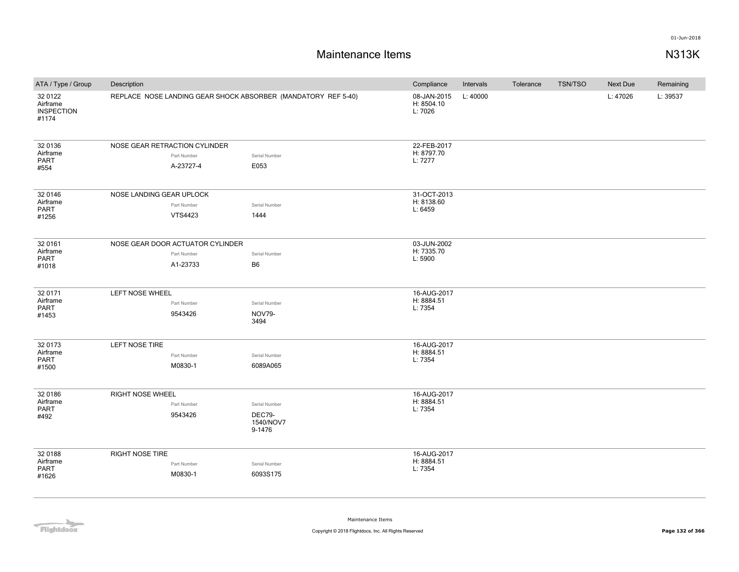## **Maintenance Items N313K**

| ATA / Type / Group                                | Description                      |                |                                                               | Compliance                           | Intervals | Tolerance | TSN/TSO | Next Due | Remaining |
|---------------------------------------------------|----------------------------------|----------------|---------------------------------------------------------------|--------------------------------------|-----------|-----------|---------|----------|-----------|
| 32 0122<br>Airframe<br><b>INSPECTION</b><br>#1174 |                                  |                | REPLACE NOSE LANDING GEAR SHOCK ABSORBER (MANDATORY REF 5-40) | 08-JAN-2015<br>H: 8504.10<br>L: 7026 | L: 40000  |           |         | L: 47026 | L: 39537  |
| 32 0136                                           | NOSE GEAR RETRACTION CYLINDER    |                |                                                               | 22-FEB-2017                          |           |           |         |          |           |
| Airframe<br><b>PART</b>                           |                                  | Part Number    | Serial Number                                                 | H: 8797.70<br>L: 7277                |           |           |         |          |           |
| #554                                              |                                  | A-23727-4      | E053                                                          |                                      |           |           |         |          |           |
| 32 0146                                           | NOSE LANDING GEAR UPLOCK         |                |                                                               | 31-OCT-2013                          |           |           |         |          |           |
| Airframe<br>PART                                  |                                  | Part Number    | Serial Number                                                 | H: 8138.60                           |           |           |         |          |           |
| #1256                                             |                                  | <b>VTS4423</b> | 1444                                                          |                                      | L: 6459   |           |         |          |           |
| 32 0161                                           | NOSE GEAR DOOR ACTUATOR CYLINDER |                |                                                               | 03-JUN-2002                          |           |           |         |          |           |
| Airframe                                          |                                  | Part Number    | Serial Number                                                 | H: 7335.70                           |           |           |         |          |           |
| <b>PART</b><br>#1018                              |                                  | A1-23733       | <b>B6</b>                                                     | L: 5900                              |           |           |         |          |           |
| 32 0171                                           | LEFT NOSE WHEEL                  |                |                                                               | 16-AUG-2017                          |           |           |         |          |           |
| Airframe                                          |                                  | Part Number    | Serial Number                                                 | H: 8884.51                           |           |           |         |          |           |
| PART<br>#1453                                     |                                  | 9543426        | <b>NOV79-</b><br>3494                                         | L: 7354                              |           |           |         |          |           |
| 32 0173                                           | LEFT NOSE TIRE                   |                |                                                               | 16-AUG-2017                          |           |           |         |          |           |
| Airframe                                          |                                  | Part Number    | Serial Number                                                 | H: 8884.51                           |           |           |         |          |           |
| PART<br>#1500                                     |                                  | M0830-1        | 6089A065                                                      | L: 7354                              |           |           |         |          |           |
| 32 0186                                           | <b>RIGHT NOSE WHEEL</b>          |                |                                                               | 16-AUG-2017                          |           |           |         |          |           |
| Airframe<br>PART                                  |                                  | Part Number    | Serial Number                                                 | H: 8884.51<br>L: 7354                |           |           |         |          |           |
| #492                                              |                                  | 9543426        | <b>DEC79-</b><br>1540/NOV7<br>9-1476                          |                                      |           |           |         |          |           |
| 32 0188                                           | <b>RIGHT NOSE TIRE</b>           |                |                                                               | 16-AUG-2017                          |           |           |         |          |           |
| Airframe                                          |                                  | Part Number    | Serial Number                                                 | H: 8884.51                           |           |           |         |          |           |
| <b>PART</b><br>#1626                              |                                  | M0830-1        | 6093S175                                                      | L: 7354                              |           |           |         |          |           |

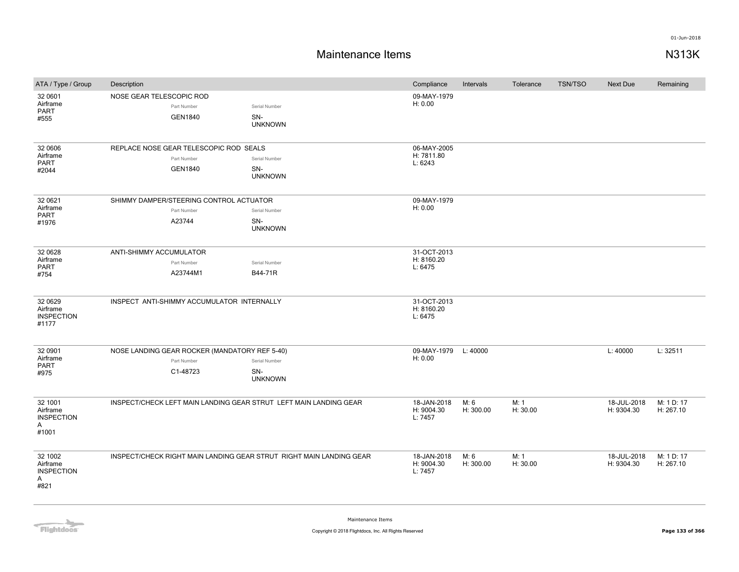## **Maintenance Items N313K**

| ATA / Type / Group                                     | Description                                                              |                                        | Compliance                           | Intervals         | Tolerance        | <b>TSN/TSO</b> | <b>Next Due</b>           | Remaining               |
|--------------------------------------------------------|--------------------------------------------------------------------------|----------------------------------------|--------------------------------------|-------------------|------------------|----------------|---------------------------|-------------------------|
| 32 0601<br>Airframe<br>PART<br>#555                    | NOSE GEAR TELESCOPIC ROD<br>Part Number<br><b>GEN1840</b>                | Serial Number<br>SN-<br><b>UNKNOWN</b> | 09-MAY-1979<br>H: 0.00               |                   |                  |                |                           |                         |
| 32 0606<br>Airframe<br>PART<br>#2044                   | REPLACE NOSE GEAR TELESCOPIC ROD SEALS<br>Part Number<br><b>GEN1840</b>  | Serial Number<br>SN-<br><b>UNKNOWN</b> | 06-MAY-2005<br>H: 7811.80<br>L: 6243 |                   |                  |                |                           |                         |
| 32 0621<br>Airframe<br>PART<br>#1976                   | SHIMMY DAMPER/STEERING CONTROL ACTUATOR<br>Part Number<br>A23744         | Serial Number<br>SN-<br><b>UNKNOWN</b> | 09-MAY-1979<br>H: 0.00               |                   |                  |                |                           |                         |
| 32 0628<br>Airframe<br><b>PART</b><br>#754             | ANTI-SHIMMY ACCUMULATOR<br>Part Number<br>A23744M1                       | Serial Number<br>B44-71R               | 31-OCT-2013<br>H: 8160.20<br>L: 6475 |                   |                  |                |                           |                         |
| 32 06 29<br>Airframe<br><b>INSPECTION</b><br>#1177     | INSPECT ANTI-SHIMMY ACCUMULATOR INTERNALLY                               |                                        | 31-OCT-2013<br>H: 8160.20<br>L: 6475 |                   |                  |                |                           |                         |
| 32 0901<br>Airframe<br><b>PART</b><br>#975             | NOSE LANDING GEAR ROCKER (MANDATORY REF 5-40)<br>Part Number<br>C1-48723 | Serial Number<br>SN-<br><b>UNKNOWN</b> | 09-MAY-1979<br>H: 0.00               | L: 40000          |                  |                | L: 40000                  | L: 32511                |
| 32 1001<br>Airframe<br><b>INSPECTION</b><br>A<br>#1001 | INSPECT/CHECK LEFT MAIN LANDING GEAR STRUT LEFT MAIN LANDING GEAR        |                                        | 18-JAN-2018<br>H: 9004.30<br>L: 7457 | M: 6<br>H: 300.00 | M: 1<br>H: 30.00 |                | 18-JUL-2018<br>H: 9304.30 | M: 1 D: 17<br>H: 267.10 |
| 32 1002<br>Airframe<br><b>INSPECTION</b><br>A<br>#821  | INSPECT/CHECK RIGHT MAIN LANDING GEAR STRUT RIGHT MAIN LANDING GEAR      |                                        | 18-JAN-2018<br>H: 9004.30<br>L: 7457 | M: 6<br>H: 300.00 | M: 1<br>H: 30.00 |                | 18-JUL-2018<br>H: 9304.30 | M: 1 D: 17<br>H: 267.10 |

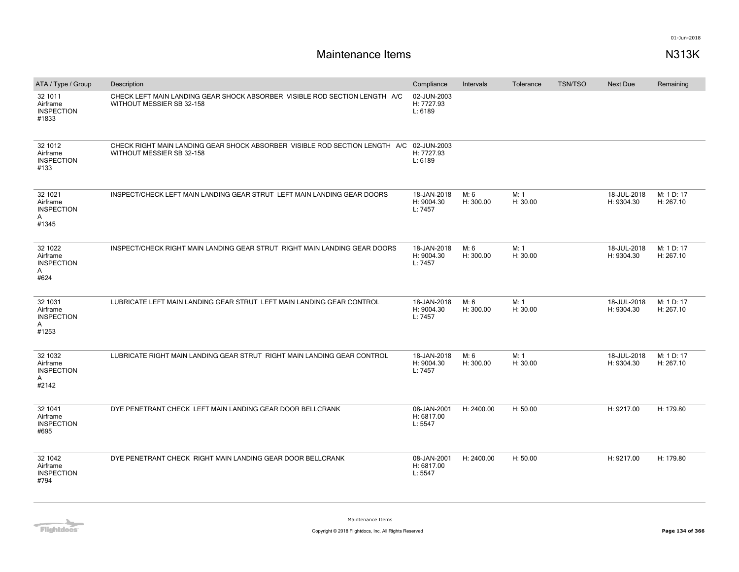# **Maintenance Items N313K**

| ATA / Type / Group                                     | Description                                                                                                          | Compliance                           | Intervals         | Tolerance        | <b>TSN/TSO</b> | <b>Next Due</b>           | Remaining               |
|--------------------------------------------------------|----------------------------------------------------------------------------------------------------------------------|--------------------------------------|-------------------|------------------|----------------|---------------------------|-------------------------|
| 32 1011<br>Airframe<br><b>INSPECTION</b><br>#1833      | CHECK LEFT MAIN LANDING GEAR SHOCK ABSORBER VISIBLE ROD SECTION LENGTH A/C<br>WITHOUT MESSIER SB 32-158              | 02-JUN-2003<br>H: 7727.93<br>L: 6189 |                   |                  |                |                           |                         |
| 32 1012<br>Airframe<br><b>INSPECTION</b><br>#133       | CHECK RIGHT MAIN LANDING GEAR SHOCK ABSORBER VISIBLE ROD SECTION LENGTH A/C 02-JUN-2003<br>WITHOUT MESSIER SB 32-158 | H: 7727.93<br>L: 6189                |                   |                  |                |                           |                         |
| 32 1021<br>Airframe<br><b>INSPECTION</b><br>Α<br>#1345 | INSPECT/CHECK LEFT MAIN LANDING GEAR STRUT LEFT MAIN LANDING GEAR DOORS                                              | 18-JAN-2018<br>H: 9004.30<br>L: 7457 | M: 6<br>H: 300.00 | M: 1<br>H: 30.00 |                | 18-JUL-2018<br>H: 9304.30 | M: 1 D: 17<br>H: 267.10 |
| 32 1022<br>Airframe<br><b>INSPECTION</b><br>A<br>#624  | INSPECT/CHECK RIGHT MAIN LANDING GEAR STRUT RIGHT MAIN LANDING GEAR DOORS                                            | 18-JAN-2018<br>H: 9004.30<br>L: 7457 | M: 6<br>H: 300.00 | M: 1<br>H: 30.00 |                | 18-JUL-2018<br>H: 9304.30 | M: 1 D: 17<br>H: 267.10 |
| 32 1031<br>Airframe<br><b>INSPECTION</b><br>Α<br>#1253 | LUBRICATE LEFT MAIN LANDING GEAR STRUT LEFT MAIN LANDING GEAR CONTROL                                                | 18-JAN-2018<br>H: 9004.30<br>L: 7457 | M: 6<br>H: 300.00 | M: 1<br>H: 30.00 |                | 18-JUL-2018<br>H: 9304.30 | M: 1 D: 17<br>H: 267.10 |
| 32 1032<br>Airframe<br><b>INSPECTION</b><br>A<br>#2142 | LUBRICATE RIGHT MAIN LANDING GEAR STRUT RIGHT MAIN LANDING GEAR CONTROL                                              | 18-JAN-2018<br>H: 9004.30<br>L: 7457 | M: 6<br>H: 300.00 | M: 1<br>H: 30.00 |                | 18-JUL-2018<br>H: 9304.30 | M: 1 D: 17<br>H: 267.10 |
| 32 1041<br>Airframe<br><b>INSPECTION</b><br>#695       | DYE PENETRANT CHECK LEFT MAIN LANDING GEAR DOOR BELLCRANK                                                            | 08-JAN-2001<br>H: 6817.00<br>L: 5547 | H: 2400.00        | H: 50.00         |                | H: 9217.00                | H: 179.80               |
| 32 1042<br>Airframe<br><b>INSPECTION</b><br>#794       | DYE PENETRANT CHECK RIGHT MAIN LANDING GEAR DOOR BELLCRANK                                                           | 08-JAN-2001<br>H: 6817.00<br>L: 5547 | H: 2400.00        | H: 50.00         |                | H: 9217.00                | H: 179.80               |

**Flightdocs**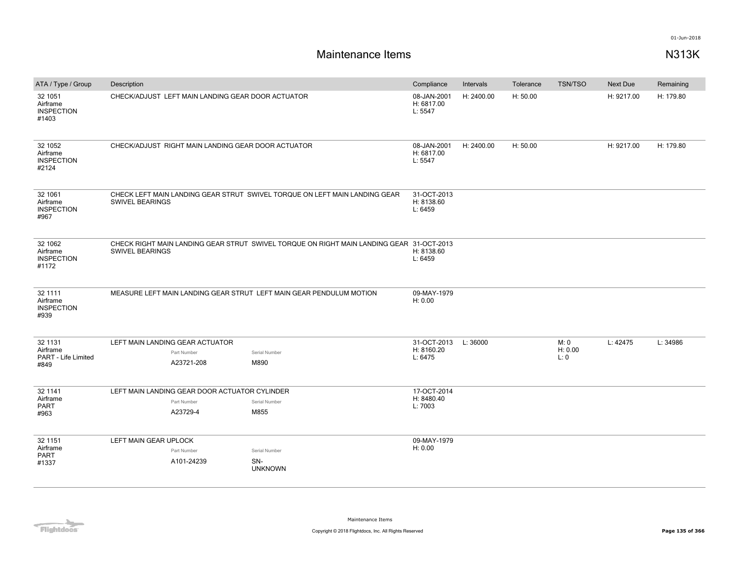| ATA / Type / Group                                | Description                                        |                                                                                          | Compliance                           | Intervals  | Tolerance | <b>TSN/TSO</b> | Next Due   | Remaining |
|---------------------------------------------------|----------------------------------------------------|------------------------------------------------------------------------------------------|--------------------------------------|------------|-----------|----------------|------------|-----------|
| 32 1051<br>Airframe<br><b>INSPECTION</b><br>#1403 | CHECK/ADJUST LEFT MAIN LANDING GEAR DOOR ACTUATOR  |                                                                                          | 08-JAN-2001<br>H: 6817.00<br>L: 5547 | H: 2400.00 | H: 50.00  |                | H: 9217.00 | H: 179.80 |
| 32 1052<br>Airframe<br><b>INSPECTION</b><br>#2124 | CHECK/ADJUST RIGHT MAIN LANDING GEAR DOOR ACTUATOR |                                                                                          | 08-JAN-2001<br>H: 6817.00<br>L: 5547 | H: 2400.00 | H: 50.00  |                | H: 9217.00 | H: 179.80 |
| 32 1061<br>Airframe<br><b>INSPECTION</b><br>#967  | SWIVEL BEARINGS                                    | CHECK LEFT MAIN LANDING GEAR STRUT SWIVEL TORQUE ON LEFT MAIN LANDING GEAR               | 31-OCT-2013<br>H: 8138.60<br>L: 6459 |            |           |                |            |           |
| 32 1062<br>Airframe<br><b>INSPECTION</b><br>#1172 | <b>SWIVEL BEARINGS</b>                             | CHECK RIGHT MAIN LANDING GEAR STRUT SWIVEL TORQUE ON RIGHT MAIN LANDING GEAR 31-OCT-2013 | H: 8138.60<br>L: 6459                |            |           |                |            |           |
| 32 1111<br>Airframe<br><b>INSPECTION</b><br>#939  |                                                    | MEASURE LEFT MAIN LANDING GEAR STRUT LEFT MAIN GEAR PENDULUM MOTION                      | 09-MAY-1979<br>H: 0.00               |            |           |                |            |           |
| 32 1131                                           | LEFT MAIN LANDING GEAR ACTUATOR                    |                                                                                          | 31-OCT-2013                          | L: 36000   |           | M: 0           | L: 42475   | L: 34986  |
| Airframe                                          | Part Number                                        | Serial Number                                                                            | H: 8160.20                           |            |           | H: 0.00        |            |           |
| PART - Life Limited<br>#849                       | A23721-208                                         | M890                                                                                     | L: 6475                              |            |           | L: 0           |            |           |
| 32 1141                                           | LEFT MAIN LANDING GEAR DOOR ACTUATOR CYLINDER      |                                                                                          | 17-OCT-2014                          |            |           |                |            |           |
| Airframe                                          | Part Number                                        | Serial Number                                                                            | H: 8480.40                           |            |           |                |            |           |
| PART<br>#963                                      | A23729-4                                           | M855                                                                                     | L: 7003                              |            |           |                |            |           |
| 32 1151                                           | LEFT MAIN GEAR UPLOCK                              |                                                                                          | 09-MAY-1979                          |            |           |                |            |           |
| Airframe                                          | Part Number                                        | Serial Number                                                                            | H: 0.00                              |            |           |                |            |           |
| PART<br>#1337                                     | A101-24239                                         | SN-<br><b>UNKNOWN</b>                                                                    |                                      |            |           |                |            |           |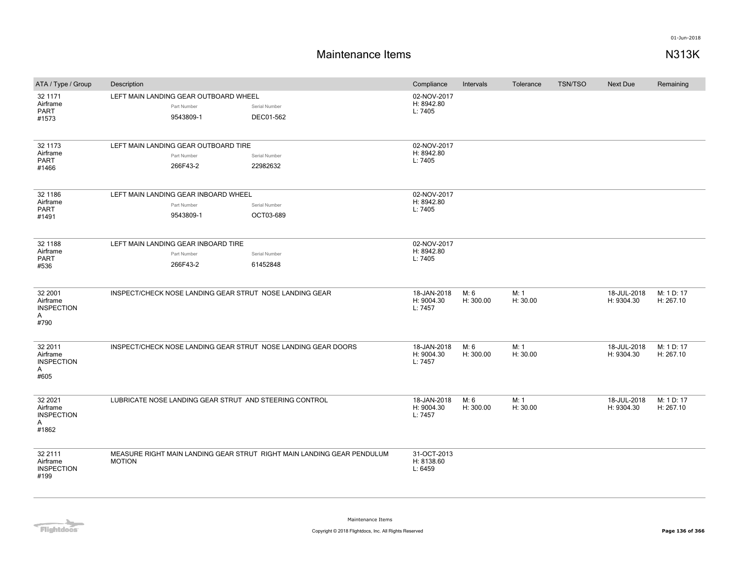# **Maintenance Items N313K**

| ATA / Type / Group                                     | Description                                                       |                                                                        | Compliance                           | Intervals         | Tolerance        | <b>TSN/TSO</b><br><b>Next Due</b><br>18-JUL-2018<br>H: 9304.30<br>18-JUL-2018<br>H: 9304.30<br>18-JUL-2018 |            | Remaining               |
|--------------------------------------------------------|-------------------------------------------------------------------|------------------------------------------------------------------------|--------------------------------------|-------------------|------------------|------------------------------------------------------------------------------------------------------------|------------|-------------------------|
| 32 1171<br>Airframe<br><b>PART</b><br>#1573            | LEFT MAIN LANDING GEAR OUTBOARD WHEEL<br>Part Number<br>9543809-1 | Serial Number<br>DEC01-562                                             | 02-NOV-2017<br>H: 8942.80<br>L: 7405 |                   |                  |                                                                                                            |            |                         |
| 32 1173<br>Airframe<br><b>PART</b><br>#1466            | LEFT MAIN LANDING GEAR OUTBOARD TIRE<br>Part Number<br>266F43-2   | Serial Number<br>22982632                                              | 02-NOV-2017<br>H: 8942.80<br>L: 7405 |                   |                  |                                                                                                            |            |                         |
| 32 1186<br>Airframe<br><b>PART</b><br>#1491            | LEFT MAIN LANDING GEAR INBOARD WHEEL<br>Part Number<br>9543809-1  | Serial Number<br>OCT03-689                                             | 02-NOV-2017<br>H: 8942.80<br>L: 7405 |                   |                  |                                                                                                            |            |                         |
| 32 1188<br>Airframe<br><b>PART</b><br>#536             | LEFT MAIN LANDING GEAR INBOARD TIRE<br>Part Number<br>266F43-2    | Serial Number<br>61452848                                              | 02-NOV-2017<br>H: 8942.80<br>L: 7405 |                   |                  |                                                                                                            |            |                         |
| 32 2001<br>Airframe<br><b>INSPECTION</b><br>A<br>#790  | INSPECT/CHECK NOSE LANDING GEAR STRUT NOSE LANDING GEAR           |                                                                        | 18-JAN-2018<br>H: 9004.30<br>L: 7457 | M: 6<br>H: 300.00 | M: 1<br>H: 30.00 |                                                                                                            |            | M: 1 D: 17<br>H: 267.10 |
| 32 2011<br>Airframe<br><b>INSPECTION</b><br>A<br>#605  | INSPECT/CHECK NOSE LANDING GEAR STRUT NOSE LANDING GEAR DOORS     |                                                                        | 18-JAN-2018<br>H: 9004.30<br>L: 7457 | M: 6<br>H: 300.00 | M: 1<br>H: 30.00 |                                                                                                            |            | M: 1 D: 17<br>H: 267.10 |
| 32 2021<br>Airframe<br><b>INSPECTION</b><br>Α<br>#1862 | LUBRICATE NOSE LANDING GEAR STRUT AND STEERING CONTROL            |                                                                        | 18-JAN-2018<br>H: 9004.30<br>L: 7457 | M: 6<br>H: 300.00 | M: 1<br>H: 30.00 |                                                                                                            | H: 9304.30 | M: 1 D: 17<br>H: 267.10 |
| 32 2111<br>Airframe<br><b>INSPECTION</b><br>#199       | <b>MOTION</b>                                                     | MEASURE RIGHT MAIN LANDING GEAR STRUT RIGHT MAIN LANDING GEAR PENDULUM | 31-OCT-2013<br>H: 8138.60<br>L: 6459 |                   |                  |                                                                                                            |            |                         |

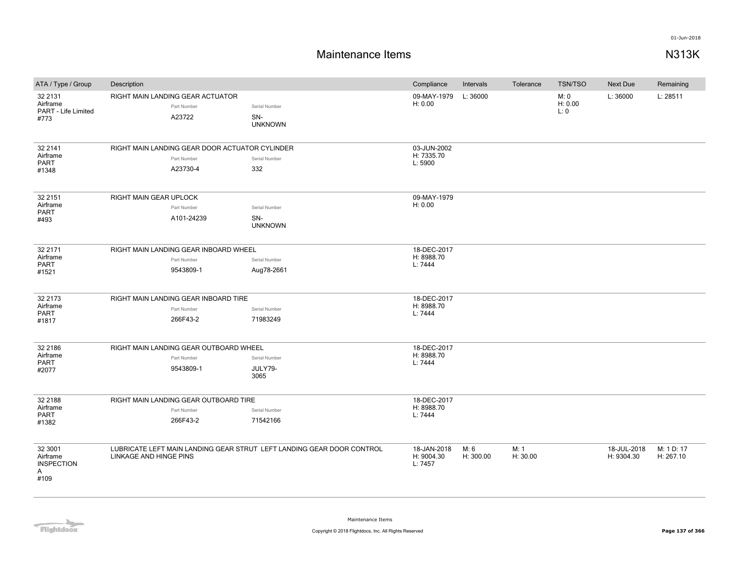# **Maintenance Items N313K**

| ATA / Type / Group                                    | Description                                                               |                                                                       | Compliance                           | Intervals         | Tolerance        | <b>TSN/TSO</b>          | Next Due                  | Remaining               |
|-------------------------------------------------------|---------------------------------------------------------------------------|-----------------------------------------------------------------------|--------------------------------------|-------------------|------------------|-------------------------|---------------------------|-------------------------|
| 32 21 31<br>Airframe<br>PART - Life Limited<br>#773   | RIGHT MAIN LANDING GEAR ACTUATOR<br>Part Number<br>A23722                 | Serial Number<br>SN-<br><b>UNKNOWN</b>                                | 09-MAY-1979<br>H: 0.00               | L: 36000          |                  | M: 0<br>H: 0.00<br>L: 0 | L: 36000                  | L: 28511                |
| 32 2141<br>Airframe<br>PART<br>#1348                  | RIGHT MAIN LANDING GEAR DOOR ACTUATOR CYLINDER<br>Part Number<br>A23730-4 | Serial Number<br>332                                                  | 03-JUN-2002<br>H: 7335.70<br>L: 5900 |                   |                  |                         |                           |                         |
| 32 2151<br>Airframe<br>PART<br>#493                   | <b>RIGHT MAIN GEAR UPLOCK</b><br>Part Number<br>A101-24239                | Serial Number<br>SN-<br><b>UNKNOWN</b>                                | 09-MAY-1979<br>H: 0.00               |                   |                  |                         |                           |                         |
| 32 2171<br>Airframe<br>PART<br>#1521                  | RIGHT MAIN LANDING GEAR INBOARD WHEEL<br>Part Number<br>9543809-1         | Serial Number<br>Aug78-2661                                           | 18-DEC-2017<br>H: 8988.70<br>L: 7444 |                   |                  |                         |                           |                         |
| 32 2173<br>Airframe<br>PART<br>#1817                  | RIGHT MAIN LANDING GEAR INBOARD TIRE<br>Part Number<br>266F43-2           | Serial Number<br>71983249                                             | 18-DEC-2017<br>H: 8988.70<br>L: 7444 |                   |                  |                         |                           |                         |
| 32 2186<br>Airframe<br>PART<br>#2077                  | RIGHT MAIN LANDING GEAR OUTBOARD WHEEL<br>Part Number<br>9543809-1        | Serial Number<br>JULY79-<br>3065                                      | 18-DEC-2017<br>H: 8988.70<br>L: 7444 |                   |                  |                         |                           |                         |
| 32 2188<br>Airframe<br><b>PART</b><br>#1382           | RIGHT MAIN LANDING GEAR OUTBOARD TIRE<br>Part Number<br>266F43-2          | Serial Number<br>71542166                                             | 18-DEC-2017<br>H: 8988.70<br>L: 7444 |                   |                  |                         |                           |                         |
| 32 3001<br>Airframe<br><b>INSPECTION</b><br>A<br>#109 | LINKAGE AND HINGE PINS                                                    | LUBRICATE LEFT MAIN LANDING GEAR STRUT LEFT LANDING GEAR DOOR CONTROL | 18-JAN-2018<br>H: 9004.30<br>L: 7457 | M: 6<br>H: 300.00 | M: 1<br>H: 30.00 |                         | 18-JUL-2018<br>H: 9304.30 | M: 1 D: 17<br>H: 267.10 |

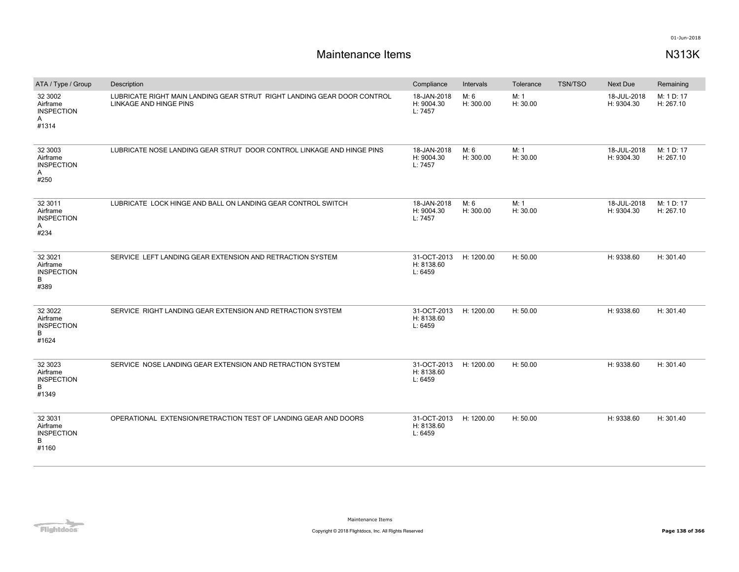| ATA / Type / Group                                      | Description                                                                                       | Compliance                           | Intervals         | Tolerance        | <b>TSN/TSO</b> | <b>Next Due</b>           | Remaining               |
|---------------------------------------------------------|---------------------------------------------------------------------------------------------------|--------------------------------------|-------------------|------------------|----------------|---------------------------|-------------------------|
| 32 3002<br>Airframe<br><b>INSPECTION</b><br>Α<br>#1314  | LUBRICATE RIGHT MAIN LANDING GEAR STRUT RIGHT LANDING GEAR DOOR CONTROL<br>LINKAGE AND HINGE PINS | 18-JAN-2018<br>H: 9004.30<br>L: 7457 | M: 6<br>H: 300.00 | M: 1<br>H: 30.00 |                | 18-JUL-2018<br>H: 9304.30 | M: 1 D: 17<br>H: 267.10 |
| 32 3003<br>Airframe<br><b>INSPECTION</b><br>A<br>#250   | LUBRICATE NOSE LANDING GEAR STRUT DOOR CONTROL LINKAGE AND HINGE PINS                             | 18-JAN-2018<br>H: 9004.30<br>L: 7457 | M: 6<br>H: 300.00 | M: 1<br>H: 30.00 |                | 18-JUL-2018<br>H: 9304.30 | M: 1 D: 17<br>H: 267.10 |
| 32 3011<br>Airframe<br><b>INSPECTION</b><br>Α<br>#234   | LUBRICATE LOCK HINGE AND BALL ON LANDING GEAR CONTROL SWITCH                                      | 18-JAN-2018<br>H: 9004.30<br>L: 7457 | M: 6<br>H: 300.00 | M: 1<br>H: 30.00 |                | 18-JUL-2018<br>H: 9304.30 | M: 1 D: 17<br>H: 267.10 |
| 32 30 21<br>Airframe<br><b>INSPECTION</b><br>B<br>#389  | SERVICE LEFT LANDING GEAR EXTENSION AND RETRACTION SYSTEM                                         | 31-OCT-2013<br>H: 8138.60<br>L: 6459 | H: 1200.00        | H: 50.00         |                | H: 9338.60                | H: 301.40               |
| 32 30 22<br>Airframe<br><b>INSPECTION</b><br>B<br>#1624 | SERVICE RIGHT LANDING GEAR EXTENSION AND RETRACTION SYSTEM                                        | 31-OCT-2013<br>H: 8138.60<br>L: 6459 | H: 1200.00        | H: 50.00         |                | H: 9338.60                | H: 301.40               |
| 32 30 23<br>Airframe<br><b>INSPECTION</b><br>B<br>#1349 | SERVICE NOSE LANDING GEAR EXTENSION AND RETRACTION SYSTEM                                         | 31-OCT-2013<br>H: 8138.60<br>L: 6459 | H: 1200.00        | H: 50.00         |                | H: 9338.60                | H: 301.40               |
| 32 30 31<br>Airframe<br><b>INSPECTION</b><br>B<br>#1160 | OPERATIONAL EXTENSION/RETRACTION TEST OF LANDING GEAR AND DOORS                                   | 31-OCT-2013<br>H: 8138.60<br>L: 6459 | H: 1200.00        | H: 50.00         |                | H: 9338.60                | H: 301.40               |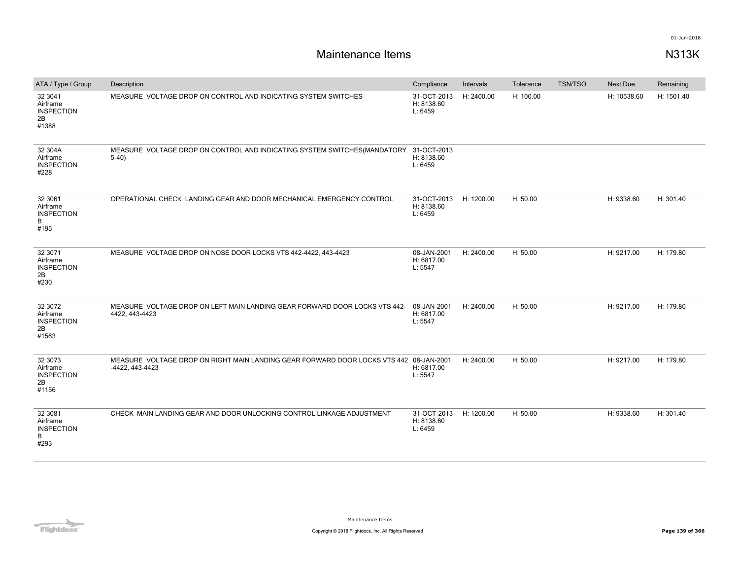| ATA / Type / Group                                      | Description                                                                                               | Compliance                           | Intervals  | Tolerance | <b>TSN/TSO</b> | Next Due    | Remaining  |
|---------------------------------------------------------|-----------------------------------------------------------------------------------------------------------|--------------------------------------|------------|-----------|----------------|-------------|------------|
| 32 3041<br>Airframe<br><b>INSPECTION</b><br>2B<br>#1388 | MEASURE VOLTAGE DROP ON CONTROL AND INDICATING SYSTEM SWITCHES                                            | 31-OCT-2013<br>H: 8138.60<br>L: 6459 | H: 2400.00 | H: 100.00 |                | H: 10538.60 | H: 1501.40 |
| 32 304A<br>Airframe<br><b>INSPECTION</b><br>#228        | MEASURE VOLTAGE DROP ON CONTROL AND INDICATING SYSTEM SWITCHES(MANDATORY<br>$5-40$                        | 31-OCT-2013<br>H: 8138.60<br>L: 6459 |            |           |                |             |            |
| 32 30 61<br>Airframe<br><b>INSPECTION</b><br>B<br>#195  | OPERATIONAL CHECK LANDING GEAR AND DOOR MECHANICAL EMERGENCY CONTROL                                      | 31-OCT-2013<br>H: 8138.60<br>L: 6459 | H: 1200.00 | H: 50.00  |                | H: 9338.60  | H: 301.40  |
| 32 3071<br>Airframe<br><b>INSPECTION</b><br>2B<br>#230  | MEASURE VOLTAGE DROP ON NOSE DOOR LOCKS VTS 442-4422, 443-4423                                            | 08-JAN-2001<br>H: 6817.00<br>L: 5547 | H: 2400.00 | H: 50.00  |                | H: 9217.00  | H: 179.80  |
| 32 3072<br>Airframe<br><b>INSPECTION</b><br>2B<br>#1563 | MEASURE VOLTAGE DROP ON LEFT MAIN LANDING GEAR FORWARD DOOR LOCKS VTS 442-<br>4422, 443-4423              | 08-JAN-2001<br>H: 6817.00<br>L: 5547 | H: 2400.00 | H: 50.00  |                | H: 9217.00  | H: 179.80  |
| 32 3073<br>Airframe<br><b>INSPECTION</b><br>2B<br>#1156 | MEASURE VOLTAGE DROP ON RIGHT MAIN LANDING GEAR FORWARD DOOR LOCKS VTS 442 08-JAN-2001<br>-4422, 443-4423 | H: 6817.00<br>L: 5547                | H: 2400.00 | H: 50.00  |                | H: 9217.00  | H: 179.80  |
| 32 30 81<br>Airframe<br><b>INSPECTION</b><br>B<br>#293  | CHECK MAIN LANDING GEAR AND DOOR UNLOCKING CONTROL LINKAGE ADJUSTMENT                                     | 31-OCT-2013<br>H: 8138.60<br>L: 6459 | H: 1200.00 | H: 50.00  |                | H: 9338.60  | H: 301.40  |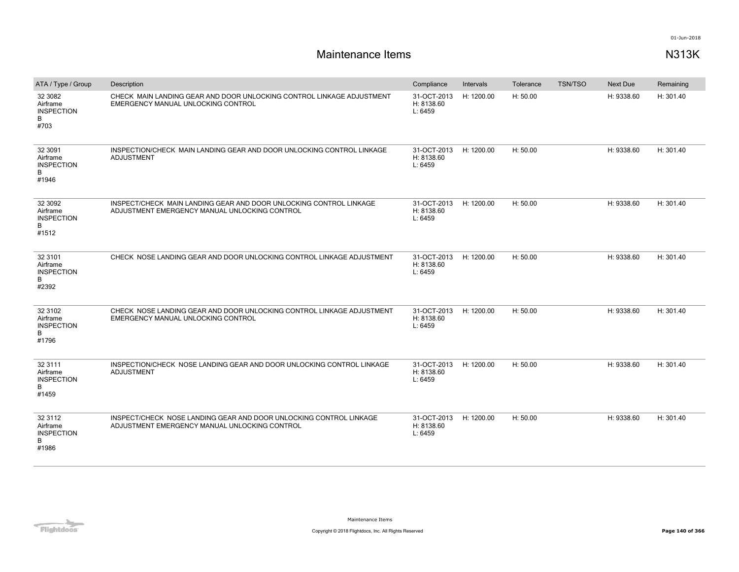| ATA / Type / Group                                      | Description                                                                                                         | Compliance                           | Intervals  | Tolerance | <b>TSN/TSO</b> | <b>Next Due</b> | Remaining |
|---------------------------------------------------------|---------------------------------------------------------------------------------------------------------------------|--------------------------------------|------------|-----------|----------------|-----------------|-----------|
| 32 30 82<br>Airframe<br><b>INSPECTION</b><br>B<br>#703  | CHECK MAIN LANDING GEAR AND DOOR UNLOCKING CONTROL LINKAGE ADJUSTMENT<br>EMERGENCY MANUAL UNLOCKING CONTROL         | 31-OCT-2013<br>H: 8138.60<br>L: 6459 | H: 1200.00 | H: 50.00  |                | H: 9338.60      | H: 301.40 |
| 32 3091<br>Airframe<br><b>INSPECTION</b><br>B<br>#1946  | INSPECTION/CHECK MAIN LANDING GEAR AND DOOR UNLOCKING CONTROL LINKAGE<br>ADJUSTMENT                                 | 31-OCT-2013<br>H: 8138.60<br>L: 6459 | H: 1200.00 | H: 50.00  |                | H: 9338.60      | H: 301.40 |
| 32 30 92<br>Airframe<br><b>INSPECTION</b><br>B<br>#1512 | INSPECT/CHECK MAIN LANDING GEAR AND DOOR UNLOCKING CONTROL LINKAGE<br>ADJUSTMENT EMERGENCY MANUAL UNLOCKING CONTROL | 31-OCT-2013<br>H: 8138.60<br>L: 6459 | H: 1200.00 | H: 50.00  |                | H: 9338.60      | H: 301.40 |
| 32 3101<br>Airframe<br><b>INSPECTION</b><br>B<br>#2392  | CHECK NOSE LANDING GEAR AND DOOR UNLOCKING CONTROL LINKAGE ADJUSTMENT                                               | 31-OCT-2013<br>H: 8138.60<br>L: 6459 | H: 1200.00 | H: 50.00  |                | H: 9338.60      | H: 301.40 |
| 32 3102<br>Airframe<br><b>INSPECTION</b><br>B<br>#1796  | CHECK NOSE LANDING GEAR AND DOOR UNLOCKING CONTROL LINKAGE ADJUSTMENT<br>EMERGENCY MANUAL UNLOCKING CONTROL         | 31-OCT-2013<br>H: 8138.60<br>L: 6459 | H: 1200.00 | H: 50.00  |                | H: 9338.60      | H: 301.40 |
| 32 3111<br>Airframe<br><b>INSPECTION</b><br>B<br>#1459  | INSPECTION/CHECK NOSE LANDING GEAR AND DOOR UNLOCKING CONTROL LINKAGE<br><b>ADJUSTMENT</b>                          | 31-OCT-2013<br>H: 8138.60<br>L: 6459 | H: 1200.00 | H: 50.00  |                | H: 9338.60      | H: 301.40 |
| 32 3112<br>Airframe<br><b>INSPECTION</b><br>B<br>#1986  | INSPECT/CHECK NOSE LANDING GEAR AND DOOR UNLOCKING CONTROL LINKAGE<br>ADJUSTMENT EMERGENCY MANUAL UNLOCKING CONTROL | 31-OCT-2013<br>H: 8138.60<br>L: 6459 | H: 1200.00 | H: 50.00  |                | H: 9338.60      | H: 301.40 |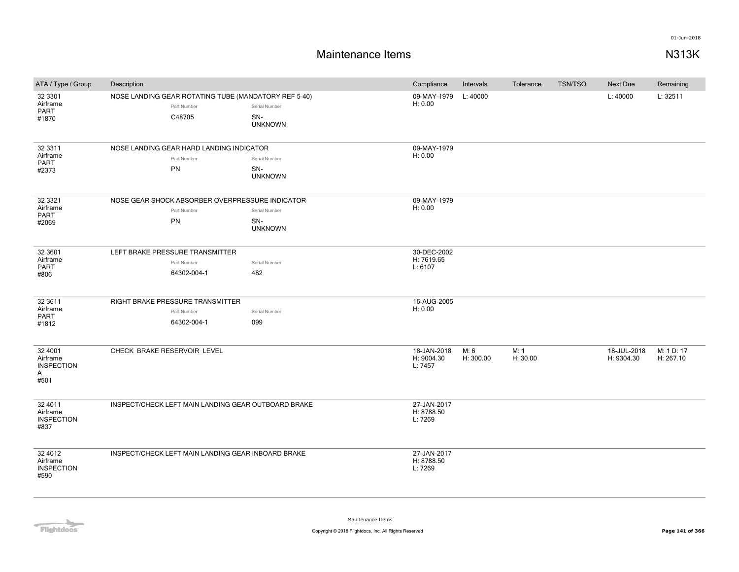| ATA / Type / Group                                    | Description                                                                   |                                        | Compliance                           | Intervals         | Tolerance        | <b>TSN/TSO</b> | Next Due                  | Remaining               |
|-------------------------------------------------------|-------------------------------------------------------------------------------|----------------------------------------|--------------------------------------|-------------------|------------------|----------------|---------------------------|-------------------------|
| 32 3301<br>Airframe<br>PART<br>#1870                  | NOSE LANDING GEAR ROTATING TUBE (MANDATORY REF 5-40)<br>Part Number<br>C48705 | Serial Number<br>SN-<br><b>UNKNOWN</b> | 09-MAY-1979<br>H: 0.00               | L: 40000          |                  |                | L: 40000                  | L: 32511                |
| 32 3311<br>Airframe<br><b>PART</b><br>#2373           | NOSE LANDING GEAR HARD LANDING INDICATOR<br>Part Number<br>PN                 | Serial Number<br>SN-<br><b>UNKNOWN</b> | 09-MAY-1979<br>H: 0.00               |                   |                  |                |                           |                         |
| 32 3321<br>Airframe<br>PART<br>#2069                  | NOSE GEAR SHOCK ABSORBER OVERPRESSURE INDICATOR<br>Part Number<br>PN          | Serial Number<br>SN-<br><b>UNKNOWN</b> | 09-MAY-1979<br>H: 0.00               |                   |                  |                |                           |                         |
| 32 3601<br>Airframe<br>PART<br>#806                   | LEFT BRAKE PRESSURE TRANSMITTER<br>Part Number<br>64302-004-1                 | Serial Number<br>482                   | 30-DEC-2002<br>H: 7619.65<br>L: 6107 |                   |                  |                |                           |                         |
| 32 3611<br>Airframe<br>PART<br>#1812                  | RIGHT BRAKE PRESSURE TRANSMITTER<br>Part Number<br>64302-004-1                | Serial Number<br>099                   | 16-AUG-2005<br>H: 0.00               |                   |                  |                |                           |                         |
| 32 4001<br>Airframe<br><b>INSPECTION</b><br>A<br>#501 | CHECK BRAKE RESERVOIR LEVEL                                                   |                                        | 18-JAN-2018<br>H: 9004.30<br>L: 7457 | M: 6<br>H: 300.00 | M: 1<br>H: 30.00 |                | 18-JUL-2018<br>H: 9304.30 | M: 1 D: 17<br>H: 267.10 |
| 32 4011<br>Airframe<br><b>INSPECTION</b><br>#837      | INSPECT/CHECK LEFT MAIN LANDING GEAR OUTBOARD BRAKE                           |                                        | 27-JAN-2017<br>H: 8788.50<br>L: 7269 |                   |                  |                |                           |                         |
| 32 4012<br>Airframe<br><b>INSPECTION</b><br>#590      | INSPECT/CHECK LEFT MAIN LANDING GEAR INBOARD BRAKE                            |                                        | 27-JAN-2017<br>H: 8788.50<br>L: 7269 |                   |                  |                |                           |                         |

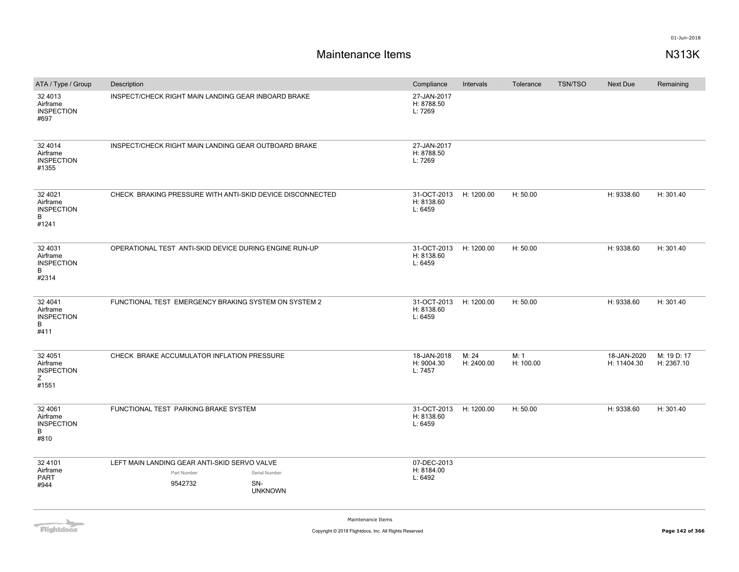| ATA / Type / Group                                      | Description                                                            |                                        | Compliance                           | Intervals           | Tolerance         | <b>TSN/TSO</b> | Next Due                   | Remaining                 |
|---------------------------------------------------------|------------------------------------------------------------------------|----------------------------------------|--------------------------------------|---------------------|-------------------|----------------|----------------------------|---------------------------|
| 32 4013<br>Airframe<br><b>INSPECTION</b><br>#697        | INSPECT/CHECK RIGHT MAIN LANDING GEAR INBOARD BRAKE                    |                                        | 27-JAN-2017<br>H: 8788.50<br>L: 7269 |                     |                   |                |                            |                           |
| 32 4014<br>Airframe<br><b>INSPECTION</b><br>#1355       | INSPECT/CHECK RIGHT MAIN LANDING GEAR OUTBOARD BRAKE                   |                                        | 27-JAN-2017<br>H: 8788.50<br>L: 7269 |                     |                   |                |                            |                           |
| 32 4021<br>Airframe<br><b>INSPECTION</b><br>B<br>#1241  | CHECK BRAKING PRESSURE WITH ANTI-SKID DEVICE DISCONNECTED              |                                        | 31-OCT-2013<br>H: 8138.60<br>L: 6459 | H: 1200.00          | H: 50.00          |                | H: 9338.60                 | H: 301.40                 |
| 32 4031<br>Airframe<br><b>INSPECTION</b><br>B<br>#2314  | OPERATIONAL TEST ANTI-SKID DEVICE DURING ENGINE RUN-UP                 |                                        | 31-OCT-2013<br>H: 8138.60<br>L: 6459 | H: 1200.00          | H: 50.00          |                | H: 9338.60                 | H: 301.40                 |
| 32 4041<br>Airframe<br><b>INSPECTION</b><br>B<br>#411   | FUNCTIONAL TEST EMERGENCY BRAKING SYSTEM ON SYSTEM 2                   |                                        | 31-OCT-2013<br>H: 8138.60<br>L: 6459 | H: 1200.00          | H: 50.00          |                | H: 9338.60                 | H: 301.40                 |
| 32 4051<br>Airframe<br><b>INSPECTION</b><br>Z.<br>#1551 | CHECK BRAKE ACCUMULATOR INFLATION PRESSURE                             |                                        | 18-JAN-2018<br>H: 9004.30<br>L: 7457 | M: 24<br>H: 2400.00 | M: 1<br>H: 100.00 |                | 18-JAN-2020<br>H: 11404.30 | M: 19 D: 17<br>H: 2367.10 |
| 32 40 61<br>Airframe<br><b>INSPECTION</b><br>B<br>#810  | FUNCTIONAL TEST PARKING BRAKE SYSTEM                                   |                                        | 31-OCT-2013<br>H: 8138.60<br>L: 6459 | H: 1200.00          | H: 50.00          |                | H: 9338.60                 | H: 301.40                 |
| 32 4101<br>Airframe<br><b>PART</b><br>#944              | LEFT MAIN LANDING GEAR ANTI-SKID SERVO VALVE<br>Part Number<br>9542732 | Serial Number<br>SN-<br><b>UNKNOWN</b> | 07-DEC-2013<br>H: 8184.00<br>L: 6492 |                     |                   |                |                            |                           |

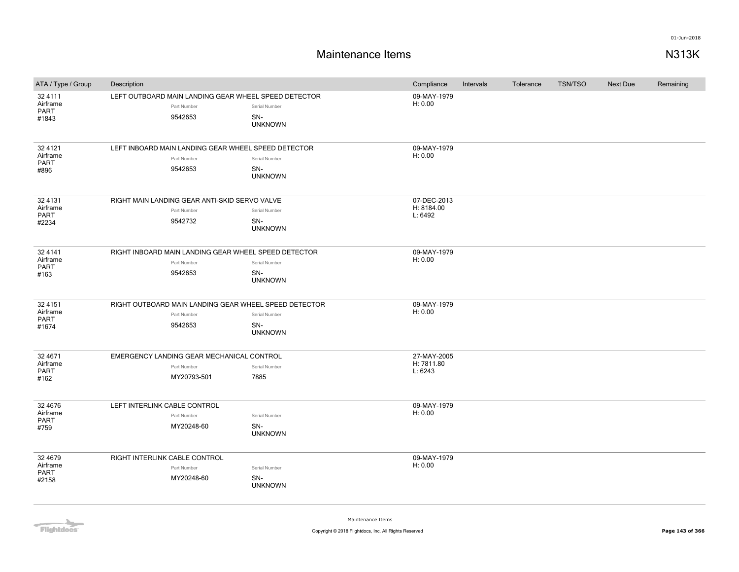# **Maintenance Items N313K**

| ATA / Type / Group                          | Description                                                                     |                                        | Compliance                           | Intervals | Tolerance | <b>TSN/TSO</b> | <b>Next Due</b> | Remaining |
|---------------------------------------------|---------------------------------------------------------------------------------|----------------------------------------|--------------------------------------|-----------|-----------|----------------|-----------------|-----------|
| 32 4111<br>Airframe<br><b>PART</b><br>#1843 | LEFT OUTBOARD MAIN LANDING GEAR WHEEL SPEED DETECTOR<br>Part Number<br>9542653  | Serial Number<br>SN-<br><b>UNKNOWN</b> | 09-MAY-1979<br>H: 0.00               |           |           |                |                 |           |
| 32 4121<br>Airframe<br>PART<br>#896         | LEFT INBOARD MAIN LANDING GEAR WHEEL SPEED DETECTOR<br>Part Number<br>9542653   | Serial Number<br>SN-<br><b>UNKNOWN</b> | 09-MAY-1979<br>H: 0.00               |           |           |                |                 |           |
| 32 4131<br>Airframe<br><b>PART</b><br>#2234 | RIGHT MAIN LANDING GEAR ANTI-SKID SERVO VALVE<br>Part Number<br>9542732         | Serial Number<br>SN-<br><b>UNKNOWN</b> | 07-DEC-2013<br>H: 8184.00<br>L: 6492 |           |           |                |                 |           |
| 32 4 1 4 1<br>Airframe<br>PART<br>#163      | RIGHT INBOARD MAIN LANDING GEAR WHEEL SPEED DETECTOR<br>Part Number<br>9542653  | Serial Number<br>SN-<br><b>UNKNOWN</b> | 09-MAY-1979<br>H: 0.00               |           |           |                |                 |           |
| 32 4151<br>Airframe<br><b>PART</b><br>#1674 | RIGHT OUTBOARD MAIN LANDING GEAR WHEEL SPEED DETECTOR<br>Part Number<br>9542653 | Serial Number<br>SN-<br><b>UNKNOWN</b> | 09-MAY-1979<br>H: 0.00               |           |           |                |                 |           |
| 32 4671<br>Airframe<br><b>PART</b><br>#162  | EMERGENCY LANDING GEAR MECHANICAL CONTROL<br>Part Number<br>MY20793-501         | Serial Number<br>7885                  | 27-MAY-2005<br>H: 7811.80<br>L: 6243 |           |           |                |                 |           |
| 32 4676<br>Airframe<br>PART<br>#759         | LEFT INTERLINK CABLE CONTROL<br>Part Number<br>MY20248-60                       | Serial Number<br>SN-<br><b>UNKNOWN</b> | 09-MAY-1979<br>H: 0.00               |           |           |                |                 |           |
| 32 4679<br>Airframe<br><b>PART</b><br>#2158 | RIGHT INTERLINK CABLE CONTROL<br>Part Number<br>MY20248-60                      | Serial Number<br>SN-<br><b>UNKNOWN</b> | 09-MAY-1979<br>H: 0.00               |           |           |                |                 |           |

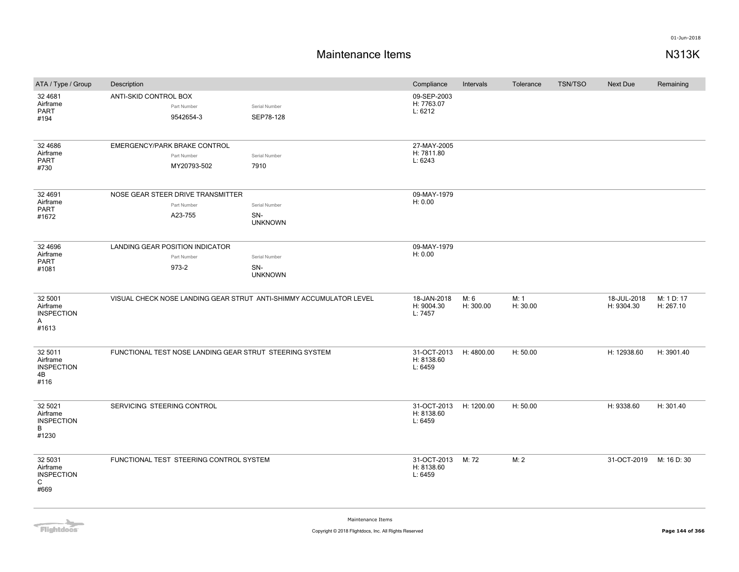| ATA / Type / Group                                     | Description                |                                                             |                                                                    | Compliance                           | Intervals         | Tolerance        | TSN/TSO | <b>Next Due</b>           | Remaining               |
|--------------------------------------------------------|----------------------------|-------------------------------------------------------------|--------------------------------------------------------------------|--------------------------------------|-------------------|------------------|---------|---------------------------|-------------------------|
| 32 4 6 8 1<br>Airframe<br><b>PART</b><br>#194          | ANTI-SKID CONTROL BOX      | Part Number<br>9542654-3                                    | Serial Number<br>SEP78-128                                         | 09-SEP-2003<br>H: 7763.07<br>L: 6212 |                   |                  |         |                           |                         |
| 32 4 6 8 6<br>Airframe<br>PART<br>#730                 |                            | EMERGENCY/PARK BRAKE CONTROL<br>Part Number<br>MY20793-502  | Serial Number<br>7910                                              | 27-MAY-2005<br>H: 7811.80<br>L: 6243 |                   |                  |         |                           |                         |
| 32 4691<br>Airframe<br>PART<br>#1672                   |                            | NOSE GEAR STEER DRIVE TRANSMITTER<br>Part Number<br>A23-755 | Serial Number<br>SN-<br><b>UNKNOWN</b>                             | 09-MAY-1979<br>H: 0.00               |                   |                  |         |                           |                         |
| 32 4696<br>Airframe<br>PART<br>#1081                   |                            | LANDING GEAR POSITION INDICATOR<br>Part Number<br>973-2     | Serial Number<br>SN-<br><b>UNKNOWN</b>                             | 09-MAY-1979<br>H: 0.00               |                   |                  |         |                           |                         |
| 32 5001<br>Airframe<br><b>INSPECTION</b><br>A<br>#1613 |                            |                                                             | VISUAL CHECK NOSE LANDING GEAR STRUT ANTI-SHIMMY ACCUMULATOR LEVEL | 18-JAN-2018<br>H: 9004.30<br>L: 7457 | M: 6<br>H: 300.00 | M: 1<br>H: 30.00 |         | 18-JUL-2018<br>H: 9304.30 | M: 1 D: 17<br>H: 267.10 |
| 32 5011<br>Airframe<br><b>INSPECTION</b><br>4B<br>#116 |                            |                                                             | FUNCTIONAL TEST NOSE LANDING GEAR STRUT STEERING SYSTEM            | 31-OCT-2013<br>H: 8138.60<br>L: 6459 | H: 4800.00        | H: 50.00         |         | H: 12938.60               | H: 3901.40              |
| 32 5021<br>Airframe<br><b>INSPECTION</b><br>B<br>#1230 | SERVICING STEERING CONTROL |                                                             |                                                                    | 31-OCT-2013<br>H: 8138.60<br>L: 6459 | H: 1200.00        | H: 50.00         |         | H: 9338.60                | H: 301.40               |
| 32 5031<br>Airframe<br><b>INSPECTION</b><br>C<br>#669  |                            | FUNCTIONAL TEST STEERING CONTROL SYSTEM                     |                                                                    | 31-OCT-2013<br>H: 8138.60<br>L: 6459 | M: 72             | M: 2             |         | 31-OCT-2019               | M: 16 D: 30             |

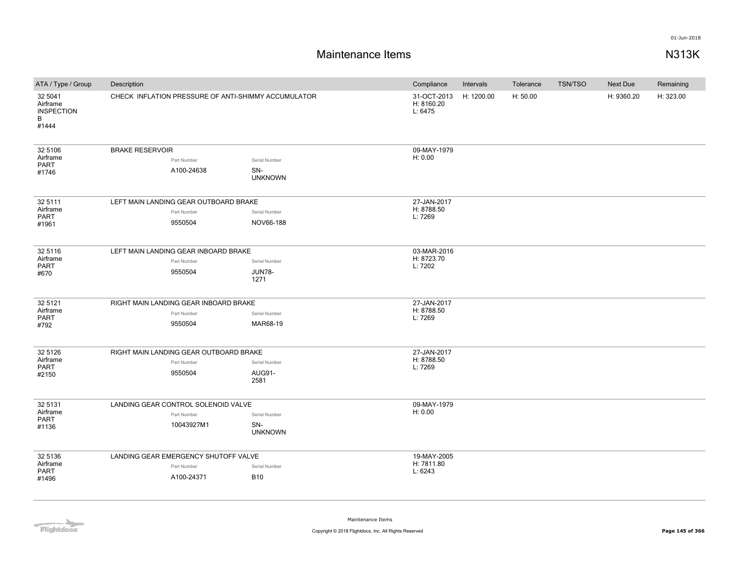# **Maintenance Items N313K**

| ATA / Type / Group                                     | Description                                                       | Compliance                             | Intervals                            | Tolerance  | <b>TSN/TSO</b> | Next Due | Remaining  |           |
|--------------------------------------------------------|-------------------------------------------------------------------|----------------------------------------|--------------------------------------|------------|----------------|----------|------------|-----------|
| 32 5041<br>Airframe<br><b>INSPECTION</b><br>В<br>#1444 | CHECK INFLATION PRESSURE OF ANTI-SHIMMY ACCUMULATOR               |                                        | 31-OCT-2013<br>H: 8160.20<br>L: 6475 | H: 1200.00 | H: 50.00       |          | H: 9360.20 | H: 323.00 |
| 32 5106<br>Airframe<br>PART<br>#1746                   | <b>BRAKE RESERVOIR</b><br>Part Number<br>A100-24638               | Serial Number<br>SN-<br><b>UNKNOWN</b> | 09-MAY-1979<br>H: 0.00               |            |                |          |            |           |
| 32 5111<br>Airframe<br>PART<br>#1961                   | LEFT MAIN LANDING GEAR OUTBOARD BRAKE<br>Part Number<br>9550504   | Serial Number<br>NOV66-188             | 27-JAN-2017<br>H: 8788.50<br>L: 7269 |            |                |          |            |           |
| 32 5116<br>Airframe<br>PART<br>#670                    | LEFT MAIN LANDING GEAR INBOARD BRAKE<br>Part Number<br>9550504    | Serial Number<br><b>JUN78-</b><br>1271 | 03-MAR-2016<br>H: 8723.70<br>L: 7202 |            |                |          |            |           |
| 32 5121<br>Airframe<br>PART<br>#792                    | RIGHT MAIN LANDING GEAR INBOARD BRAKE<br>Part Number<br>9550504   | Serial Number<br>MAR68-19              | 27-JAN-2017<br>H: 8788.50<br>L: 7269 |            |                |          |            |           |
| 32 5126<br>Airframe<br>PART<br>#2150                   | RIGHT MAIN LANDING GEAR OUTBOARD BRAKE<br>Part Number<br>9550504  | Serial Number<br>AUG91-<br>2581        | 27-JAN-2017<br>H: 8788.50<br>L: 7269 |            |                |          |            |           |
| 32 5131<br>Airframe<br>PART<br>#1136                   | LANDING GEAR CONTROL SOLENOID VALVE<br>Part Number<br>10043927M1  | Serial Number<br>SN-<br><b>UNKNOWN</b> | 09-MAY-1979<br>H: 0.00               |            |                |          |            |           |
| 32 5136<br>Airframe<br>PART<br>#1496                   | LANDING GEAR EMERGENCY SHUTOFF VALVE<br>Part Number<br>A100-24371 | Serial Number<br><b>B10</b>            | 19-MAY-2005<br>H: 7811.80<br>L: 6243 |            |                |          |            |           |

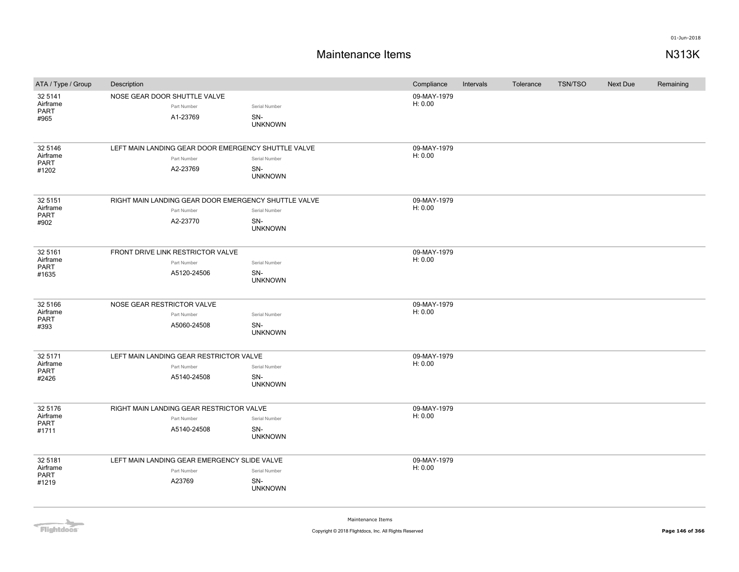| ATA / Type / Group   | Description                |                                                     |                                                      | Compliance             | Intervals | Tolerance | <b>TSN/TSO</b> | Next Due | Remaining |
|----------------------|----------------------------|-----------------------------------------------------|------------------------------------------------------|------------------------|-----------|-----------|----------------|----------|-----------|
| 32 5141<br>Airframe  |                            | NOSE GEAR DOOR SHUTTLE VALVE                        |                                                      | 09-MAY-1979<br>H: 0.00 |           |           |                |          |           |
| PART                 |                            | Part Number                                         | Serial Number                                        |                        |           |           |                |          |           |
| #965                 |                            | A1-23769                                            | SN-<br><b>UNKNOWN</b>                                |                        |           |           |                |          |           |
|                      |                            |                                                     |                                                      |                        |           |           |                |          |           |
| 32 5146              |                            | LEFT MAIN LANDING GEAR DOOR EMERGENCY SHUTTLE VALVE |                                                      | 09-MAY-1979            |           |           |                |          |           |
| Airframe<br>PART     |                            | Part Number                                         | Serial Number                                        | H: 0.00                |           |           |                |          |           |
| #1202                |                            | A2-23769                                            | SN-                                                  |                        |           |           |                |          |           |
|                      |                            |                                                     | <b>UNKNOWN</b>                                       |                        |           |           |                |          |           |
| 32 51 51             |                            |                                                     | RIGHT MAIN LANDING GEAR DOOR EMERGENCY SHUTTLE VALVE | 09-MAY-1979            |           |           |                |          |           |
| Airframe             |                            | Part Number                                         | Serial Number                                        | H: 0.00                |           |           |                |          |           |
| PART<br>#902         |                            | A2-23770                                            | SN-                                                  |                        |           |           |                |          |           |
|                      |                            |                                                     | <b>UNKNOWN</b>                                       |                        |           |           |                |          |           |
| 32 5161              |                            | FRONT DRIVE LINK RESTRICTOR VALVE                   |                                                      | 09-MAY-1979            |           |           |                |          |           |
| Airframe             |                            | Part Number                                         | Serial Number                                        | H: 0.00                |           |           |                |          |           |
| <b>PART</b><br>#1635 |                            | A5120-24506                                         | SN-                                                  |                        |           |           |                |          |           |
|                      |                            |                                                     | <b>UNKNOWN</b>                                       |                        |           |           |                |          |           |
|                      |                            |                                                     |                                                      |                        |           |           |                |          |           |
| 32 5166<br>Airframe  | NOSE GEAR RESTRICTOR VALVE | Part Number                                         | Serial Number                                        | 09-MAY-1979<br>H: 0.00 |           |           |                |          |           |
| PART                 |                            | A5060-24508                                         | SN-                                                  |                        |           |           |                |          |           |
| #393                 |                            |                                                     | <b>UNKNOWN</b>                                       |                        |           |           |                |          |           |
|                      |                            |                                                     |                                                      |                        |           |           |                |          |           |
| 32 5171<br>Airframe  |                            | LEFT MAIN LANDING GEAR RESTRICTOR VALVE             |                                                      | 09-MAY-1979<br>H: 0.00 |           |           |                |          |           |
| PART                 |                            | Part Number                                         | Serial Number                                        |                        |           |           |                |          |           |
| #2426                |                            | A5140-24508                                         | SN-<br><b>UNKNOWN</b>                                |                        |           |           |                |          |           |
| 32 5176              |                            | RIGHT MAIN LANDING GEAR RESTRICTOR VALVE            |                                                      | 09-MAY-1979            |           |           |                |          |           |
| Airframe             |                            | Part Number                                         | Serial Number                                        | H: 0.00                |           |           |                |          |           |
| PART<br>#1711        |                            | A5140-24508                                         | SN-                                                  |                        |           |           |                |          |           |
|                      |                            |                                                     | <b>UNKNOWN</b>                                       |                        |           |           |                |          |           |
| 32 5181              |                            | LEFT MAIN LANDING GEAR EMERGENCY SLIDE VALVE        |                                                      | 09-MAY-1979            |           |           |                |          |           |
| Airframe             |                            | Part Number                                         | Serial Number                                        | H: 0.00                |           |           |                |          |           |
| PART<br>#1219        |                            | A23769                                              | SN-                                                  |                        |           |           |                |          |           |
|                      |                            |                                                     | <b>UNKNOWN</b>                                       |                        |           |           |                |          |           |
|                      |                            |                                                     |                                                      |                        |           |           |                |          |           |

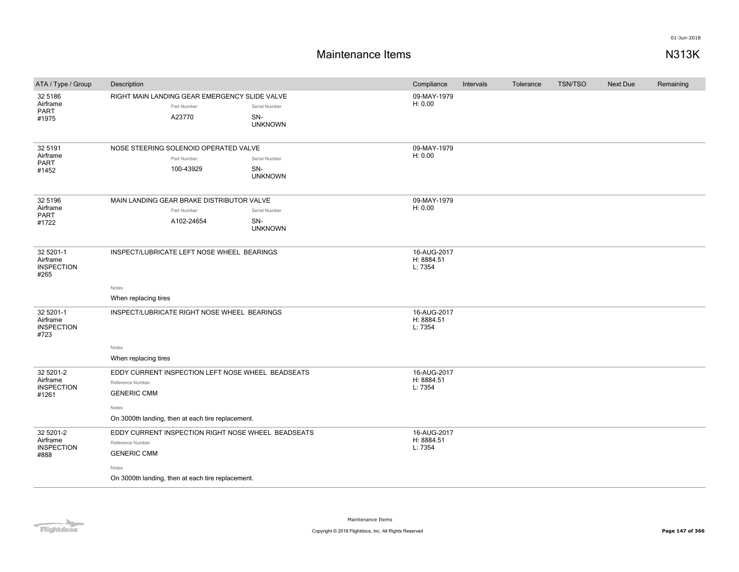| ATA / Type / Group                                  | Description                                                                                                                                                |                                        | Compliance                           | Intervals | Tolerance | <b>TSN/TSO</b> | <b>Next Due</b> | Remaining |
|-----------------------------------------------------|------------------------------------------------------------------------------------------------------------------------------------------------------------|----------------------------------------|--------------------------------------|-----------|-----------|----------------|-----------------|-----------|
| 32 5186<br>Airframe<br><b>PART</b><br>#1975         | RIGHT MAIN LANDING GEAR EMERGENCY SLIDE VALVE<br>Part Number<br>A23770                                                                                     | Serial Number<br>SN-<br><b>UNKNOWN</b> | 09-MAY-1979<br>H: 0.00               |           |           |                |                 |           |
| 32 5191<br>Airframe<br><b>PART</b><br>#1452         | NOSE STEERING SOLENOID OPERATED VALVE<br>Part Number<br>100-43929                                                                                          | Serial Number<br>SN-<br><b>UNKNOWN</b> | 09-MAY-1979<br>H: 0.00               |           |           |                |                 |           |
| 32 5196<br>Airframe<br>PART<br>#1722                | MAIN LANDING GEAR BRAKE DISTRIBUTOR VALVE<br>Part Number<br>A102-24654                                                                                     | Serial Number<br>SN-<br><b>UNKNOWN</b> | 09-MAY-1979<br>H: 0.00               |           |           |                |                 |           |
| 32 5201-1<br>Airframe<br><b>INSPECTION</b><br>#265  | INSPECT/LUBRICATE LEFT NOSE WHEEL BEARINGS                                                                                                                 |                                        | 16-AUG-2017<br>H: 8884.51<br>L: 7354 |           |           |                |                 |           |
|                                                     | Notes<br>When replacing tires                                                                                                                              |                                        |                                      |           |           |                |                 |           |
| 32 5201-1<br>Airframe<br><b>INSPECTION</b><br>#723  | INSPECT/LUBRICATE RIGHT NOSE WHEEL BEARINGS                                                                                                                |                                        | 16-AUG-2017<br>H: 8884.51<br>L: 7354 |           |           |                |                 |           |
|                                                     | Notes<br>When replacing tires                                                                                                                              |                                        |                                      |           |           |                |                 |           |
| 32 5201-2<br>Airframe<br><b>INSPECTION</b><br>#1261 | EDDY CURRENT INSPECTION LEFT NOSE WHEEL BEADSEATS<br>Reference Number<br><b>GENERIC CMM</b><br>Notes<br>On 3000th landing, then at each tire replacement.  |                                        | 16-AUG-2017<br>H: 8884.51<br>L: 7354 |           |           |                |                 |           |
| 32 5201-2<br>Airframe<br><b>INSPECTION</b><br>#888  | EDDY CURRENT INSPECTION RIGHT NOSE WHEEL BEADSEATS<br>Reference Number<br><b>GENERIC CMM</b><br>Notes<br>On 3000th landing, then at each tire replacement. |                                        | 16-AUG-2017<br>H: 8884.51<br>L: 7354 |           |           |                |                 |           |

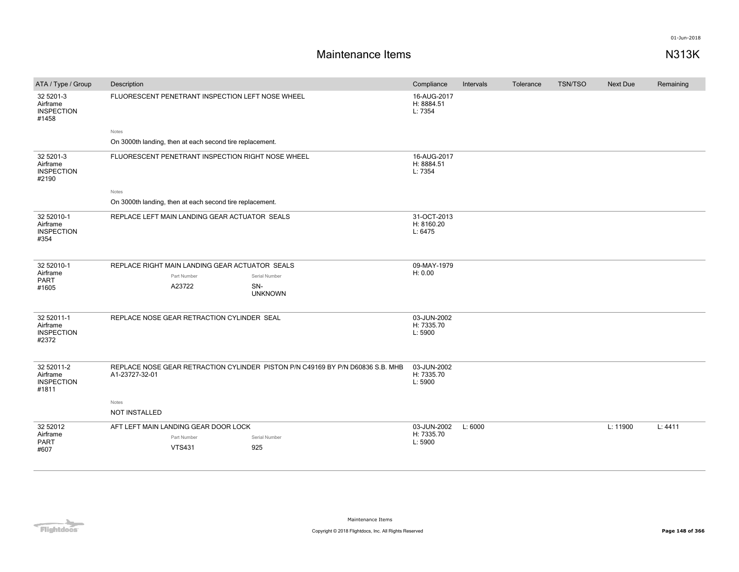| ATA / Type / Group                                   | Description                                                                                      | Compliance                           | Intervals | Tolerance | <b>TSN/TSO</b> | <b>Next Due</b> | Remaining |
|------------------------------------------------------|--------------------------------------------------------------------------------------------------|--------------------------------------|-----------|-----------|----------------|-----------------|-----------|
| 32 5201-3<br>Airframe<br><b>INSPECTION</b><br>#1458  | FLUORESCENT PENETRANT INSPECTION LEFT NOSE WHEEL                                                 | 16-AUG-2017<br>H: 8884.51<br>L: 7354 |           |           |                |                 |           |
|                                                      | Notes                                                                                            |                                      |           |           |                |                 |           |
|                                                      | On 3000th landing, then at each second tire replacement.                                         |                                      |           |           |                |                 |           |
| 32 5201-3<br>Airframe<br><b>INSPECTION</b><br>#2190  | FLUORESCENT PENETRANT INSPECTION RIGHT NOSE WHEEL                                                | 16-AUG-2017<br>H: 8884.51<br>L: 7354 |           |           |                |                 |           |
|                                                      | Notes                                                                                            |                                      |           |           |                |                 |           |
|                                                      | On 3000th landing, then at each second tire replacement.                                         |                                      |           |           |                |                 |           |
| 32 52010-1<br>Airframe<br><b>INSPECTION</b><br>#354  | REPLACE LEFT MAIN LANDING GEAR ACTUATOR SEALS                                                    | 31-OCT-2013<br>H: 8160.20<br>L: 6475 |           |           |                |                 |           |
| 32 52010-1                                           | REPLACE RIGHT MAIN LANDING GEAR ACTUATOR SEALS                                                   | 09-MAY-1979                          |           |           |                |                 |           |
| Airframe<br><b>PART</b>                              | Part Number<br>Serial Number                                                                     | H: 0.00                              |           |           |                |                 |           |
| #1605                                                | A23722<br>SN-<br><b>UNKNOWN</b>                                                                  |                                      |           |           |                |                 |           |
| 32 52011-1<br>Airframe<br><b>INSPECTION</b><br>#2372 | REPLACE NOSE GEAR RETRACTION CYLINDER SEAL                                                       | 03-JUN-2002<br>H: 7335.70<br>L: 5900 |           |           |                |                 |           |
| 32 52011-2<br>Airframe<br><b>INSPECTION</b><br>#1811 | REPLACE NOSE GEAR RETRACTION CYLINDER PISTON P/N C49169 BY P/N D60836 S.B. MHB<br>A1-23727-32-01 | 03-JUN-2002<br>H: 7335.70<br>L: 5900 |           |           |                |                 |           |
|                                                      | Notes<br>NOT INSTALLED                                                                           |                                      |           |           |                |                 |           |
| 32 52012                                             | AFT LEFT MAIN LANDING GEAR DOOR LOCK                                                             | 03-JUN-2002                          | L: 6000   |           |                | L: 11900        | L: 4411   |
| Airframe<br>PART                                     | Part Number<br>Serial Number                                                                     | H: 7335.70<br>L: 5900                |           |           |                |                 |           |
| #607                                                 | <b>VTS431</b><br>925                                                                             |                                      |           |           |                |                 |           |
|                                                      |                                                                                                  |                                      |           |           |                |                 |           |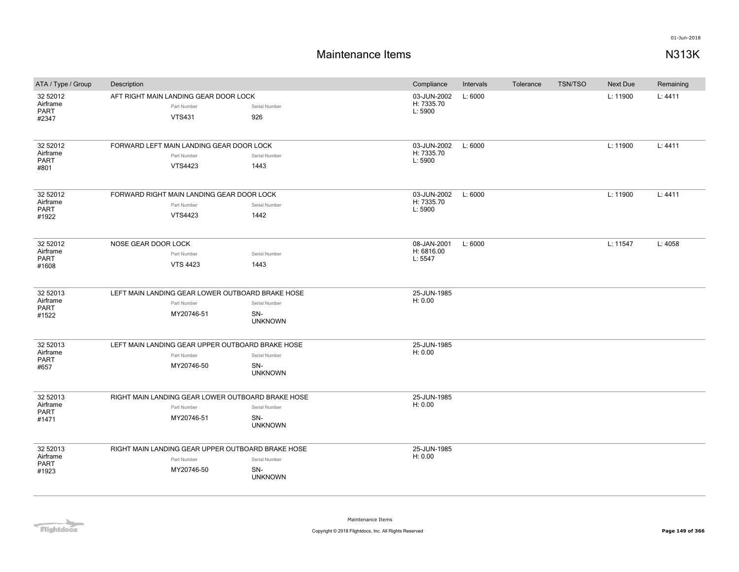| ATA / Type / Group           | Description                                          | Compliance            | Intervals                            | Tolerance | <b>TSN/TSO</b> | Next Due | Remaining |         |
|------------------------------|------------------------------------------------------|-----------------------|--------------------------------------|-----------|----------------|----------|-----------|---------|
| 32 52012<br>Airframe<br>PART | AFT RIGHT MAIN LANDING GEAR DOOR LOCK<br>Part Number | Serial Number         | 03-JUN-2002<br>H: 7335.70<br>L: 5900 | L: 6000   |                |          | L: 11900  | L: 4411 |
| #2347                        | <b>VTS431</b>                                        | 926                   |                                      |           |                |          |           |         |
| 32 52012                     | FORWARD LEFT MAIN LANDING GEAR DOOR LOCK             |                       | 03-JUN-2002                          | L: 6000   |                |          | L: 11900  | L: 4411 |
| Airframe<br>PART             | Part Number                                          | Serial Number         | H: 7335.70<br>L: 5900                |           |                |          |           |         |
| #801                         | <b>VTS4423</b>                                       | 1443                  |                                      |           |                |          |           |         |
| 32 52012                     | FORWARD RIGHT MAIN LANDING GEAR DOOR LOCK            |                       | 03-JUN-2002                          | L: 6000   |                |          | L: 11900  | L: 4411 |
| Airframe<br><b>PART</b>      | Part Number                                          | Serial Number         | H: 7335.70<br>L: 5900                |           |                |          |           |         |
| #1922                        | VTS4423                                              | 1442                  |                                      |           |                |          |           |         |
| 32 52012                     | NOSE GEAR DOOR LOCK                                  |                       | 08-JAN-2001                          | L: 6000   |                |          | L: 11547  | L: 4058 |
| Airframe<br>PART             | Part Number                                          | Serial Number         | H: 6816.00<br>L: 5547                |           |                |          |           |         |
| #1608                        | <b>VTS 4423</b>                                      | 1443                  |                                      |           |                |          |           |         |
| 32 52013                     | LEFT MAIN LANDING GEAR LOWER OUTBOARD BRAKE HOSE     |                       | 25-JUN-1985                          |           |                |          |           |         |
| Airframe                     | Part Number                                          | Serial Number         | H: 0.00                              |           |                |          |           |         |
| <b>PART</b><br>#1522         | MY20746-51                                           | SN-<br><b>UNKNOWN</b> |                                      |           |                |          |           |         |
| 32 52013                     | LEFT MAIN LANDING GEAR UPPER OUTBOARD BRAKE HOSE     |                       | 25-JUN-1985                          |           |                |          |           |         |
| Airframe<br>PART             | Part Number                                          | Serial Number         | H: 0.00                              |           |                |          |           |         |
| #657                         | MY20746-50                                           | SN-<br><b>UNKNOWN</b> |                                      |           |                |          |           |         |
| 32 52013                     | RIGHT MAIN LANDING GEAR LOWER OUTBOARD BRAKE HOSE    |                       | 25-JUN-1985                          |           |                |          |           |         |
| Airframe<br><b>PART</b>      | Part Number                                          | Serial Number         | H: 0.00                              |           |                |          |           |         |
| #1471                        | MY20746-51                                           | SN-<br><b>UNKNOWN</b> |                                      |           |                |          |           |         |
| 32 52013                     | RIGHT MAIN LANDING GEAR UPPER OUTBOARD BRAKE HOSE    |                       | 25-JUN-1985                          |           |                |          |           |         |
| Airframe<br>PART             | Part Number                                          | Serial Number         | H: 0.00                              |           |                |          |           |         |
| #1923                        | MY20746-50                                           | SN-<br><b>UNKNOWN</b> |                                      |           |                |          |           |         |
|                              |                                                      |                       |                                      |           |                |          |           |         |

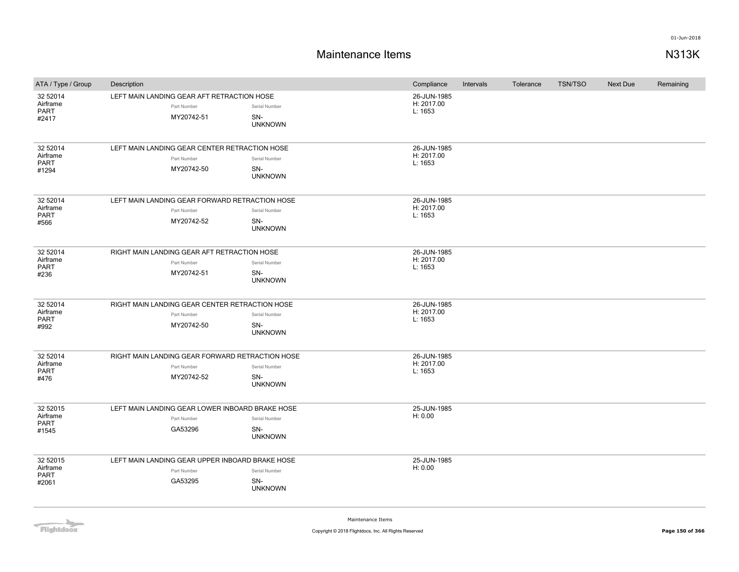| ATA / Type / Group                           | Description                                                                  |                                        | Compliance                           | Intervals | Tolerance | <b>TSN/TSO</b> | <b>Next Due</b> | Remaining |
|----------------------------------------------|------------------------------------------------------------------------------|----------------------------------------|--------------------------------------|-----------|-----------|----------------|-----------------|-----------|
| 32 52014<br>Airframe<br><b>PART</b><br>#2417 | LEFT MAIN LANDING GEAR AFT RETRACTION HOSE<br>Part Number<br>MY20742-51      | Serial Number<br>SN-<br><b>UNKNOWN</b> | 26-JUN-1985<br>H: 2017.00<br>L: 1653 |           |           |                |                 |           |
| 32 52014<br>Airframe<br>PART<br>#1294        | LEFT MAIN LANDING GEAR CENTER RETRACTION HOSE<br>Part Number<br>MY20742-50   | Serial Number<br>SN-<br><b>UNKNOWN</b> | 26-JUN-1985<br>H: 2017.00<br>L: 1653 |           |           |                |                 |           |
| 32 52014<br>Airframe<br><b>PART</b><br>#566  | LEFT MAIN LANDING GEAR FORWARD RETRACTION HOSE<br>Part Number<br>MY20742-52  | Serial Number<br>SN-<br><b>UNKNOWN</b> | 26-JUN-1985<br>H: 2017.00<br>L: 1653 |           |           |                |                 |           |
| 32 52014<br>Airframe<br><b>PART</b><br>#236  | RIGHT MAIN LANDING GEAR AFT RETRACTION HOSE<br>Part Number<br>MY20742-51     | Serial Number<br>SN-<br><b>UNKNOWN</b> | 26-JUN-1985<br>H: 2017.00<br>L: 1653 |           |           |                |                 |           |
| 32 52014<br>Airframe<br>PART<br>#992         | RIGHT MAIN LANDING GEAR CENTER RETRACTION HOSE<br>Part Number<br>MY20742-50  | Serial Number<br>SN-<br><b>UNKNOWN</b> | 26-JUN-1985<br>H: 2017.00<br>L: 1653 |           |           |                |                 |           |
| 32 52014<br>Airframe<br>PART<br>#476         | RIGHT MAIN LANDING GEAR FORWARD RETRACTION HOSE<br>Part Number<br>MY20742-52 | Serial Number<br>SN-<br><b>UNKNOWN</b> | 26-JUN-1985<br>H: 2017.00<br>L: 1653 |           |           |                |                 |           |
| 32 52015<br>Airframe<br>PART<br>#1545        | LEFT MAIN LANDING GEAR LOWER INBOARD BRAKE HOSE<br>Part Number<br>GA53296    | Serial Number<br>SN-<br><b>UNKNOWN</b> | 25-JUN-1985<br>H: 0.00               |           |           |                |                 |           |
| 32 52015<br>Airframe<br><b>PART</b><br>#2061 | LEFT MAIN LANDING GEAR UPPER INBOARD BRAKE HOSE<br>Part Number<br>GA53295    | Serial Number<br>SN-<br><b>UNKNOWN</b> | 25-JUN-1985<br>H: 0.00               |           |           |                |                 |           |

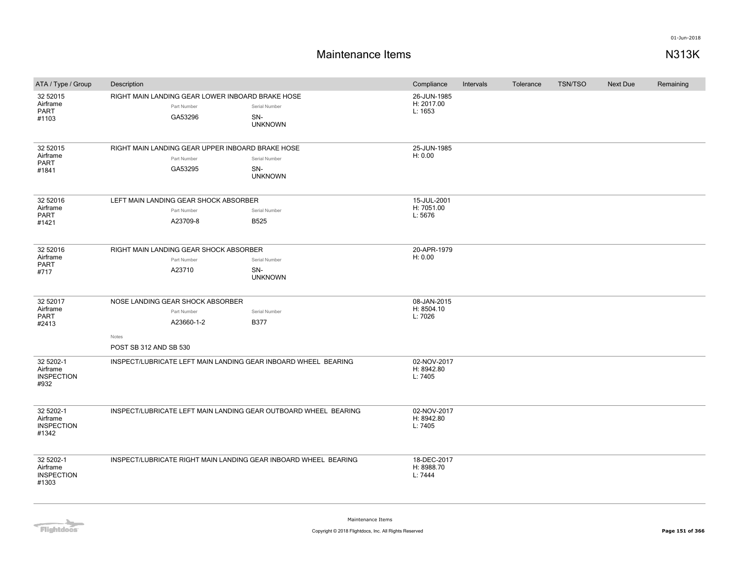# **Maintenance Items N313K**

| ATA / Type / Group                                  | Description                                                                                      |                                        | Compliance                           | Intervals | Tolerance | <b>TSN/TSO</b> | <b>Next Due</b> | Remaining |
|-----------------------------------------------------|--------------------------------------------------------------------------------------------------|----------------------------------------|--------------------------------------|-----------|-----------|----------------|-----------------|-----------|
| 32 52015<br>Airframe<br>PART<br>#1103               | RIGHT MAIN LANDING GEAR LOWER INBOARD BRAKE HOSE<br>Part Number<br>GA53296                       | Serial Number<br>SN-<br><b>UNKNOWN</b> | 26-JUN-1985<br>H: 2017.00<br>L: 1653 |           |           |                |                 |           |
| 32 52015<br>Airframe<br>PART<br>#1841               | RIGHT MAIN LANDING GEAR UPPER INBOARD BRAKE HOSE<br>Part Number<br>GA53295                       | Serial Number<br>SN-<br><b>UNKNOWN</b> | 25-JUN-1985<br>H: 0.00               |           |           |                |                 |           |
| 32 52016<br>Airframe<br><b>PART</b><br>#1421        | LEFT MAIN LANDING GEAR SHOCK ABSORBER<br>Part Number<br>A23709-8                                 | Serial Number<br><b>B525</b>           | 15-JUL-2001<br>H: 7051.00<br>L: 5676 |           |           |                |                 |           |
| 32 52016<br>Airframe<br><b>PART</b><br>#717         | RIGHT MAIN LANDING GEAR SHOCK ABSORBER<br>Part Number<br>A23710                                  | Serial Number<br>SN-<br><b>UNKNOWN</b> | 20-APR-1979<br>H: 0.00               |           |           |                |                 |           |
| 32 52017<br>Airframe<br><b>PART</b><br>#2413        | NOSE LANDING GEAR SHOCK ABSORBER<br>Part Number<br>A23660-1-2<br>Notes<br>POST SB 312 AND SB 530 | Serial Number<br><b>B377</b>           | 08-JAN-2015<br>H: 8504.10<br>L: 7026 |           |           |                |                 |           |
| 32 5202-1<br>Airframe<br><b>INSPECTION</b><br>#932  | INSPECT/LUBRICATE LEFT MAIN LANDING GEAR INBOARD WHEEL BEARING                                   |                                        | 02-NOV-2017<br>H: 8942.80<br>L: 7405 |           |           |                |                 |           |
| 32 5202-1<br>Airframe<br><b>INSPECTION</b><br>#1342 | INSPECT/LUBRICATE LEFT MAIN LANDING GEAR OUTBOARD WHEEL BEARING                                  |                                        | 02-NOV-2017<br>H: 8942.80<br>L: 7405 |           |           |                |                 |           |
| 32 5202-1<br>Airframe<br><b>INSPECTION</b><br>#1303 | INSPECT/LUBRICATE RIGHT MAIN LANDING GEAR INBOARD WHEEL BEARING                                  |                                        | 18-DEC-2017<br>H: 8988.70<br>L: 7444 |           |           |                |                 |           |

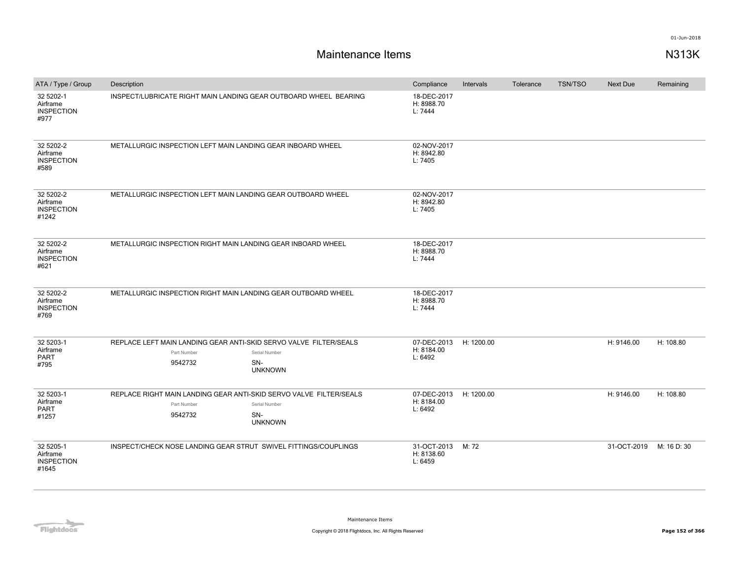| ATA / Type / Group                                  | Description                                                                                  |                                        | Compliance                           | Intervals  | Tolerance | <b>TSN/TSO</b> | Next Due    | Remaining   |
|-----------------------------------------------------|----------------------------------------------------------------------------------------------|----------------------------------------|--------------------------------------|------------|-----------|----------------|-------------|-------------|
| 32 5202-1<br>Airframe<br><b>INSPECTION</b><br>#977  | INSPECT/LUBRICATE RIGHT MAIN LANDING GEAR OUTBOARD WHEEL BEARING                             |                                        | 18-DEC-2017<br>H: 8988.70<br>L: 7444 |            |           |                |             |             |
| 32 5202-2<br>Airframe<br><b>INSPECTION</b><br>#589  | METALLURGIC INSPECTION LEFT MAIN LANDING GEAR INBOARD WHEEL                                  |                                        | 02-NOV-2017<br>H: 8942.80<br>L: 7405 |            |           |                |             |             |
| 32 5202-2<br>Airframe<br><b>INSPECTION</b><br>#1242 | METALLURGIC INSPECTION LEFT MAIN LANDING GEAR OUTBOARD WHEEL                                 |                                        | 02-NOV-2017<br>H: 8942.80<br>L: 7405 |            |           |                |             |             |
| 32 5202-2<br>Airframe<br><b>INSPECTION</b><br>#621  | METALLURGIC INSPECTION RIGHT MAIN LANDING GEAR INBOARD WHEEL                                 |                                        | 18-DEC-2017<br>H: 8988.70<br>L: 7444 |            |           |                |             |             |
| 32 5202-2<br>Airframe<br><b>INSPECTION</b><br>#769  | METALLURGIC INSPECTION RIGHT MAIN LANDING GEAR OUTBOARD WHEEL                                |                                        | 18-DEC-2017<br>H: 8988.70<br>L: 7444 |            |           |                |             |             |
| 32 5203-1<br>Airframe<br><b>PART</b><br>#795        | REPLACE LEFT MAIN LANDING GEAR ANTI-SKID SERVO VALVE FILTER/SEALS<br>Part Number<br>9542732  | Serial Number<br>SN-<br><b>UNKNOWN</b> | 07-DEC-2013<br>H: 8184.00<br>L: 6492 | H: 1200.00 |           |                | H: 9146.00  | H: 108.80   |
| 32 5203-1<br>Airframe<br>PART<br>#1257              | REPLACE RIGHT MAIN LANDING GEAR ANTI-SKID SERVO VALVE FILTER/SEALS<br>Part Number<br>9542732 | Serial Number<br>SN-<br><b>UNKNOWN</b> | 07-DEC-2013<br>H: 8184.00<br>L: 6492 | H: 1200.00 |           |                | H: 9146.00  | H: 108.80   |
| 32 5205-1<br>Airframe<br><b>INSPECTION</b><br>#1645 | INSPECT/CHECK NOSE LANDING GEAR STRUT SWIVEL FITTINGS/COUPLINGS                              |                                        | 31-OCT-2013<br>H: 8138.60<br>L: 6459 | M: 72      |           |                | 31-OCT-2019 | M: 16 D: 30 |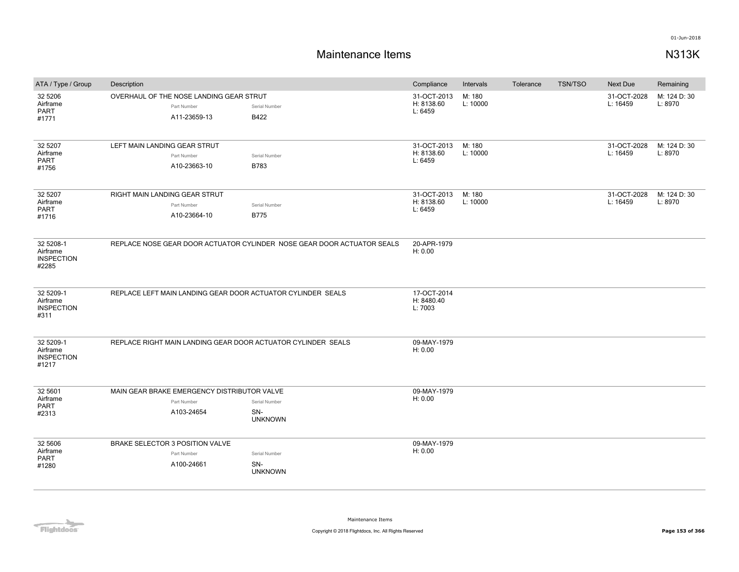# **Maintenance Items N313K**

| ATA / Type / Group                                  | Description                                                              |                                                                        | Compliance                           | Intervals          | Tolerance | <b>TSN/TSO</b> | <b>Next Due</b>         | Remaining               |
|-----------------------------------------------------|--------------------------------------------------------------------------|------------------------------------------------------------------------|--------------------------------------|--------------------|-----------|----------------|-------------------------|-------------------------|
| 32 5206<br>Airframe<br><b>PART</b><br>#1771         | OVERHAUL OF THE NOSE LANDING GEAR STRUT<br>Part Number<br>A11-23659-13   | Serial Number<br>B422                                                  | 31-OCT-2013<br>H: 8138.60<br>L: 6459 | M: 180<br>L: 10000 |           |                | 31-OCT-2028<br>L: 16459 | M: 124 D: 30<br>L: 8970 |
| 32 5207<br>Airframe<br><b>PART</b><br>#1756         | LEFT MAIN LANDING GEAR STRUT<br>Part Number<br>A10-23663-10              | Serial Number<br>B783                                                  | 31-OCT-2013<br>H: 8138.60<br>L: 6459 | M: 180<br>L: 10000 |           |                | 31-OCT-2028<br>L: 16459 | M: 124 D: 30<br>L: 8970 |
| 32 5207<br>Airframe<br><b>PART</b><br>#1716         | RIGHT MAIN LANDING GEAR STRUT<br>Part Number<br>A10-23664-10             | Serial Number<br><b>B775</b>                                           | 31-OCT-2013<br>H: 8138.60<br>L: 6459 | M: 180<br>L: 10000 |           |                | 31-OCT-2028<br>L: 16459 | M: 124 D: 30<br>L: 8970 |
| 32 5208-1<br>Airframe<br><b>INSPECTION</b><br>#2285 |                                                                          | REPLACE NOSE GEAR DOOR ACTUATOR CYLINDER NOSE GEAR DOOR ACTUATOR SEALS | 20-APR-1979<br>H: 0.00               |                    |           |                |                         |                         |
| 32 5209-1<br>Airframe<br><b>INSPECTION</b><br>#311  | REPLACE LEFT MAIN LANDING GEAR DOOR ACTUATOR CYLINDER SEALS              |                                                                        | 17-OCT-2014<br>H: 8480.40<br>L: 7003 |                    |           |                |                         |                         |
| 32 5209-1<br>Airframe<br><b>INSPECTION</b><br>#1217 | REPLACE RIGHT MAIN LANDING GEAR DOOR ACTUATOR CYLINDER SEALS             |                                                                        | 09-MAY-1979<br>H: 0.00               |                    |           |                |                         |                         |
| 32 5601<br>Airframe<br><b>PART</b><br>#2313         | MAIN GEAR BRAKE EMERGENCY DISTRIBUTOR VALVE<br>Part Number<br>A103-24654 | Serial Number<br>SN-<br><b>UNKNOWN</b>                                 | 09-MAY-1979<br>H: 0.00               |                    |           |                |                         |                         |
| 32 5606<br>Airframe<br><b>PART</b><br>#1280         | BRAKE SELECTOR 3 POSITION VALVE<br>Part Number<br>A100-24661             | Serial Number<br>SN-<br><b>UNKNOWN</b>                                 | 09-MAY-1979<br>H: 0.00               |                    |           |                |                         |                         |

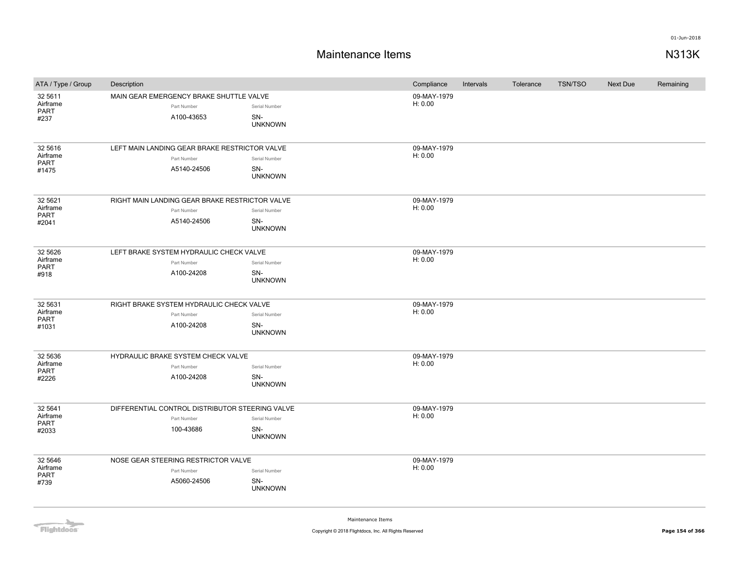# **Maintenance Items N313K**

| ATA / Type / Group  | Description |                                                 |                       | Compliance             | Intervals | Tolerance | <b>TSN/TSO</b> | Next Due | Remaining |
|---------------------|-------------|-------------------------------------------------|-----------------------|------------------------|-----------|-----------|----------------|----------|-----------|
| 32 5611             |             | MAIN GEAR EMERGENCY BRAKE SHUTTLE VALVE         |                       | 09-MAY-1979            |           |           |                |          |           |
| Airframe<br>PART    |             | Part Number                                     | Serial Number         | H: 0.00                |           |           |                |          |           |
| #237                |             | A100-43653                                      | SN-                   |                        |           |           |                |          |           |
|                     |             |                                                 | <b>UNKNOWN</b>        |                        |           |           |                |          |           |
|                     |             |                                                 |                       |                        |           |           |                |          |           |
| 32 5616             |             | LEFT MAIN LANDING GEAR BRAKE RESTRICTOR VALVE   |                       | 09-MAY-1979            |           |           |                |          |           |
| Airframe<br>PART    |             | Part Number                                     | Serial Number         | H: 0.00                |           |           |                |          |           |
| #1475               |             | A5140-24506                                     | SN-<br><b>UNKNOWN</b> |                        |           |           |                |          |           |
|                     |             |                                                 |                       |                        |           |           |                |          |           |
| 32 5621             |             | RIGHT MAIN LANDING GEAR BRAKE RESTRICTOR VALVE  |                       | 09-MAY-1979            |           |           |                |          |           |
| Airframe            |             | Part Number                                     | Serial Number         | H: 0.00                |           |           |                |          |           |
| PART<br>#2041       |             | A5140-24506                                     | SN-                   |                        |           |           |                |          |           |
|                     |             |                                                 | <b>UNKNOWN</b>        |                        |           |           |                |          |           |
|                     |             |                                                 |                       |                        |           |           |                |          |           |
| 32 5626             |             | LEFT BRAKE SYSTEM HYDRAULIC CHECK VALVE         |                       | 09-MAY-1979            |           |           |                |          |           |
| Airframe<br>PART    |             | Part Number                                     | Serial Number         | H: 0.00                |           |           |                |          |           |
| #918                |             | A100-24208                                      | SN-                   |                        |           |           |                |          |           |
|                     |             |                                                 | <b>UNKNOWN</b>        |                        |           |           |                |          |           |
|                     |             |                                                 |                       |                        |           |           |                |          |           |
| 32 5631<br>Airframe |             | RIGHT BRAKE SYSTEM HYDRAULIC CHECK VALVE        |                       | 09-MAY-1979<br>H: 0.00 |           |           |                |          |           |
| PART                |             | Part Number                                     | Serial Number         |                        |           |           |                |          |           |
| #1031               |             | A100-24208                                      | SN-<br><b>UNKNOWN</b> |                        |           |           |                |          |           |
|                     |             |                                                 |                       |                        |           |           |                |          |           |
| 32 5636             |             | HYDRAULIC BRAKE SYSTEM CHECK VALVE              |                       | 09-MAY-1979            |           |           |                |          |           |
| Airframe            |             | Part Number                                     | Serial Number         | H: 0.00                |           |           |                |          |           |
| PART<br>#2226       |             | A100-24208                                      | SN-                   |                        |           |           |                |          |           |
|                     |             |                                                 | <b>UNKNOWN</b>        |                        |           |           |                |          |           |
|                     |             |                                                 |                       |                        |           |           |                |          |           |
| 32 5641<br>Airframe |             | DIFFERENTIAL CONTROL DISTRIBUTOR STEERING VALVE |                       | 09-MAY-1979<br>H: 0.00 |           |           |                |          |           |
| PART                |             | Part Number                                     | Serial Number         |                        |           |           |                |          |           |
| #2033               |             | 100-43686                                       | SN-<br><b>UNKNOWN</b> |                        |           |           |                |          |           |
|                     |             |                                                 |                       |                        |           |           |                |          |           |
| 32 5646             |             | NOSE GEAR STEERING RESTRICTOR VALVE             |                       | 09-MAY-1979            |           |           |                |          |           |
| Airframe            |             | Part Number                                     | Serial Number         | H: 0.00                |           |           |                |          |           |
| <b>PART</b><br>#739 |             | A5060-24506                                     | SN-                   |                        |           |           |                |          |           |
|                     |             |                                                 | <b>UNKNOWN</b>        |                        |           |           |                |          |           |
|                     |             |                                                 |                       |                        |           |           |                |          |           |
|                     |             |                                                 |                       |                        |           |           |                |          |           |

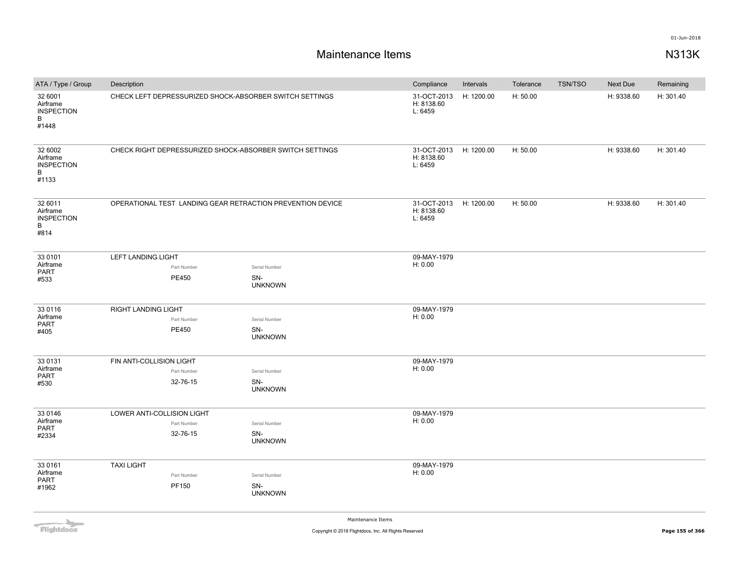| ATA / Type / Group                                     | Description                |                                                            |                                                          |  | Compliance                           | Intervals  | Tolerance | <b>TSN/TSO</b> | Next Due   | Remaining |
|--------------------------------------------------------|----------------------------|------------------------------------------------------------|----------------------------------------------------------|--|--------------------------------------|------------|-----------|----------------|------------|-----------|
| 32 6001<br>Airframe<br><b>INSPECTION</b><br>B<br>#1448 |                            |                                                            | CHECK LEFT DEPRESSURIZED SHOCK-ABSORBER SWITCH SETTINGS  |  | 31-OCT-2013<br>H: 8138.60<br>L: 6459 | H: 1200.00 | H: 50.00  |                | H: 9338.60 | H: 301.40 |
| 32 6002<br>Airframe<br><b>INSPECTION</b><br>B<br>#1133 |                            |                                                            | CHECK RIGHT DEPRESSURIZED SHOCK-ABSORBER SWITCH SETTINGS |  | 31-OCT-2013<br>H: 8138.60<br>L: 6459 | H: 1200.00 | H: 50.00  |                | H: 9338.60 | H: 301.40 |
| 32 6011<br>Airframe<br><b>INSPECTION</b><br>В<br>#814  |                            | OPERATIONAL TEST LANDING GEAR RETRACTION PREVENTION DEVICE |                                                          |  | 31-OCT-2013<br>H: 8138.60<br>L: 6459 | H: 1200.00 | H: 50.00  |                | H: 9338.60 | H: 301.40 |
| 33 0101                                                | LEFT LANDING LIGHT         |                                                            |                                                          |  | 09-MAY-1979                          |            |           |                |            |           |
| Airframe<br>PART                                       |                            | Part Number                                                | Serial Number                                            |  | H: 0.00                              |            |           |                |            |           |
| #533                                                   |                            | PE450                                                      | SN-<br><b>UNKNOWN</b>                                    |  |                                      |            |           |                |            |           |
| 33 0116                                                | RIGHT LANDING LIGHT        |                                                            |                                                          |  | 09-MAY-1979                          |            |           |                |            |           |
| Airframe<br>PART                                       |                            | Part Number                                                | Serial Number                                            |  | H: 0.00                              |            |           |                |            |           |
| #405                                                   |                            | PE450                                                      | SN-<br><b>UNKNOWN</b>                                    |  |                                      |            |           |                |            |           |
| 33 0131                                                | FIN ANTI-COLLISION LIGHT   |                                                            |                                                          |  | 09-MAY-1979                          |            |           |                |            |           |
| Airframe                                               |                            | Part Number                                                | Serial Number                                            |  | H: 0.00                              |            |           |                |            |           |
| PART<br>#530                                           |                            | 32-76-15                                                   | SN-<br><b>UNKNOWN</b>                                    |  |                                      |            |           |                |            |           |
| 33 0146                                                | LOWER ANTI-COLLISION LIGHT |                                                            |                                                          |  | 09-MAY-1979                          |            |           |                |            |           |
| Airframe                                               |                            | Part Number                                                | Serial Number                                            |  | H: 0.00                              |            |           |                |            |           |
| PART<br>#2334                                          |                            | 32-76-15                                                   | SN-<br><b>UNKNOWN</b>                                    |  |                                      |            |           |                |            |           |
| 33 0161                                                | <b>TAXI LIGHT</b>          |                                                            |                                                          |  | 09-MAY-1979                          |            |           |                |            |           |
| Airframe<br>PART                                       |                            | Part Number                                                | Serial Number                                            |  | H: 0.00                              |            |           |                |            |           |
| #1962                                                  |                            | PF150                                                      | SN-<br><b>UNKNOWN</b>                                    |  |                                      |            |           |                |            |           |

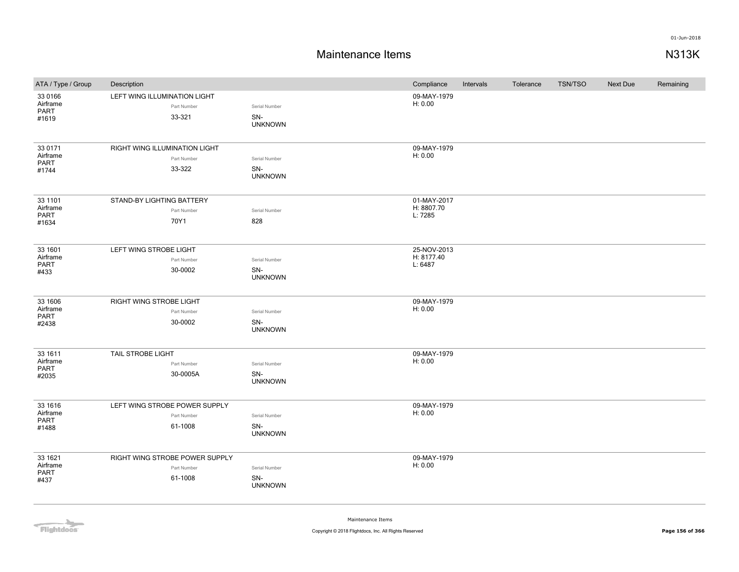# **Maintenance Items N313K**

| ATA / Type / Group                   | Description                                           |                                        | Compliance             | Intervals | Tolerance | <b>TSN/TSO</b> | Next Due | Remaining |
|--------------------------------------|-------------------------------------------------------|----------------------------------------|------------------------|-----------|-----------|----------------|----------|-----------|
| 33 0166<br>Airframe<br>PART<br>#1619 | LEFT WING ILLUMINATION LIGHT<br>Part Number<br>33-321 | Serial Number<br>SN-<br><b>UNKNOWN</b> | 09-MAY-1979<br>H: 0.00 |           |           |                |          |           |
|                                      |                                                       |                                        |                        |           |           |                |          |           |
| 33 0171<br>Airframe                  | RIGHT WING ILLUMINATION LIGHT                         |                                        | 09-MAY-1979<br>H: 0.00 |           |           |                |          |           |
| PART                                 | Part Number                                           | Serial Number                          |                        |           |           |                |          |           |
| #1744                                | 33-322                                                | SN-<br><b>UNKNOWN</b>                  |                        |           |           |                |          |           |
| 33 1101                              | STAND-BY LIGHTING BATTERY                             |                                        | 01-MAY-2017            |           |           |                |          |           |
| Airframe<br>PART                     | Part Number                                           | Serial Number                          | H: 8807.70<br>L: 7285  |           |           |                |          |           |
| #1634                                | 70Y1                                                  | 828                                    |                        |           |           |                |          |           |
| 33 1601                              | LEFT WING STROBE LIGHT                                |                                        | 25-NOV-2013            |           |           |                |          |           |
| Airframe<br>PART                     | Part Number                                           | Serial Number                          | H: 8177.40<br>L: 6487  |           |           |                |          |           |
| #433                                 | 30-0002                                               | SN-<br><b>UNKNOWN</b>                  |                        |           |           |                |          |           |
| 33 1606                              | RIGHT WING STROBE LIGHT                               |                                        | 09-MAY-1979            |           |           |                |          |           |
| Airframe<br>PART                     | Part Number                                           | Serial Number                          | H: 0.00                |           |           |                |          |           |
| #2438                                | 30-0002                                               | SN-<br><b>UNKNOWN</b>                  |                        |           |           |                |          |           |
| 33 1611                              | <b>TAIL STROBE LIGHT</b>                              |                                        | 09-MAY-1979            |           |           |                |          |           |
| Airframe<br>PART                     | Part Number                                           | Serial Number                          | H: 0.00                |           |           |                |          |           |
| #2035                                | 30-0005A                                              | SN-<br><b>UNKNOWN</b>                  |                        |           |           |                |          |           |
| 33 1616                              | LEFT WING STROBE POWER SUPPLY                         |                                        | 09-MAY-1979            |           |           |                |          |           |
| Airframe<br>PART                     | Part Number                                           | Serial Number                          | H: 0.00                |           |           |                |          |           |
| #1488                                | 61-1008                                               | SN-<br><b>UNKNOWN</b>                  |                        |           |           |                |          |           |
| 33 1621                              | RIGHT WING STROBE POWER SUPPLY                        |                                        | 09-MAY-1979            |           |           |                |          |           |
| Airframe<br><b>PART</b>              | Part Number                                           | Serial Number                          | H: 0.00                |           |           |                |          |           |
| #437                                 | 61-1008                                               | SN-<br><b>UNKNOWN</b>                  |                        |           |           |                |          |           |
|                                      |                                                       |                                        |                        |           |           |                |          |           |

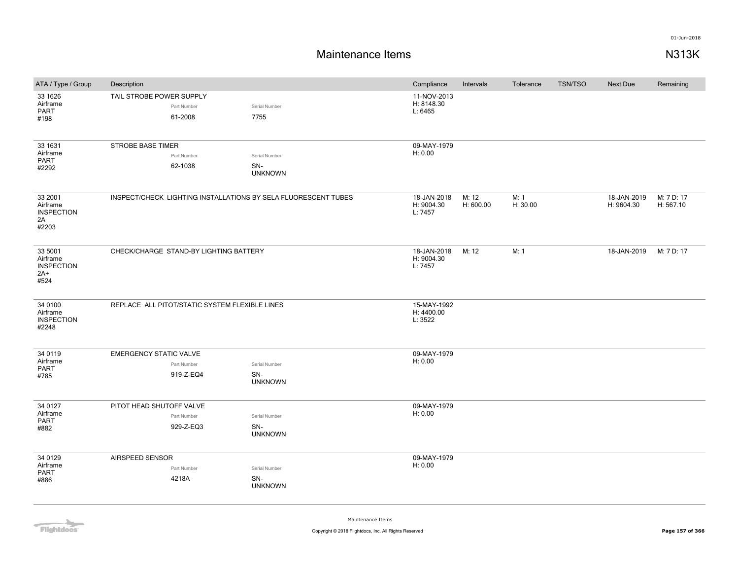## **Maintenance Items N313K**

| ATA / Type / Group                                        | Description                                                    |                                        | Compliance                           | Intervals          | Tolerance        | <b>TSN/TSO</b> | <b>Next Due</b>           | Remaining               |
|-----------------------------------------------------------|----------------------------------------------------------------|----------------------------------------|--------------------------------------|--------------------|------------------|----------------|---------------------------|-------------------------|
| 33 1626<br>Airframe<br>PART<br>#198                       | TAIL STROBE POWER SUPPLY<br>Part Number<br>61-2008             | Serial Number<br>7755                  | 11-NOV-2013<br>H: 8148.30<br>L: 6465 |                    |                  |                |                           |                         |
| 33 1631<br>Airframe<br><b>PART</b><br>#2292               | <b>STROBE BASE TIMER</b><br>Part Number<br>62-1038             | Serial Number<br>SN-<br><b>UNKNOWN</b> | 09-MAY-1979<br>H: 0.00               |                    |                  |                |                           |                         |
| 33 2001<br>Airframe<br><b>INSPECTION</b><br>2A<br>#2203   | INSPECT/CHECK LIGHTING INSTALLATIONS BY SELA FLUORESCENT TUBES |                                        | 18-JAN-2018<br>H: 9004.30<br>L: 7457 | M: 12<br>H: 600.00 | M: 1<br>H: 30.00 |                | 18-JAN-2019<br>H: 9604.30 | M: 7 D: 17<br>H: 567.10 |
| 33 5001<br>Airframe<br><b>INSPECTION</b><br>$2A+$<br>#524 | CHECK/CHARGE STAND-BY LIGHTING BATTERY                         |                                        | 18-JAN-2018<br>H: 9004.30<br>L: 7457 | M: 12              | M: 1             |                | 18-JAN-2019               | M: 7 D: 17              |
| 34 0100<br>Airframe<br><b>INSPECTION</b><br>#2248         | REPLACE ALL PITOT/STATIC SYSTEM FLEXIBLE LINES                 |                                        | 15-MAY-1992<br>H: 4400.00<br>L: 3522 |                    |                  |                |                           |                         |
| 34 0119<br>Airframe<br><b>PART</b><br>#785                | <b>EMERGENCY STATIC VALVE</b><br>Part Number<br>919-Z-EQ4      | Serial Number<br>SN-<br><b>UNKNOWN</b> | 09-MAY-1979<br>H: 0.00               |                    |                  |                |                           |                         |
| 34 0127<br>Airframe<br><b>PART</b><br>#882                | PITOT HEAD SHUTOFF VALVE<br>Part Number<br>929-Z-EQ3           | Serial Number<br>SN-<br><b>UNKNOWN</b> | 09-MAY-1979<br>H: 0.00               |                    |                  |                |                           |                         |
| 34 0129<br>Airframe<br><b>PART</b><br>#886                | AIRSPEED SENSOR<br>Part Number<br>4218A                        | Serial Number<br>SN-<br><b>UNKNOWN</b> | 09-MAY-1979<br>H: 0.00               |                    |                  |                |                           |                         |

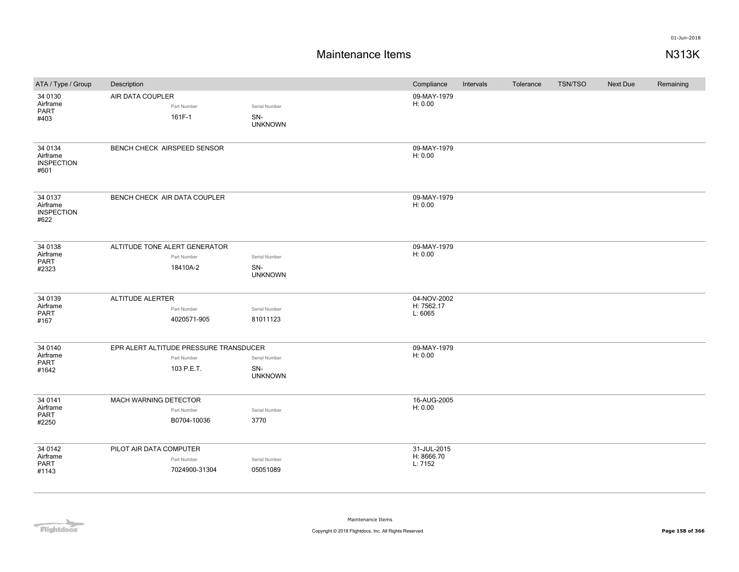| ATA / Type / Group                               | Description                               |                                        | Compliance             | Intervals | Tolerance | TSN/TSO | <b>Next Due</b> | Remaining |
|--------------------------------------------------|-------------------------------------------|----------------------------------------|------------------------|-----------|-----------|---------|-----------------|-----------|
| 34 0130<br>Airframe<br>PART<br>#403              | AIR DATA COUPLER<br>Part Number<br>161F-1 | Serial Number<br>SN-<br><b>UNKNOWN</b> | 09-MAY-1979<br>H: 0.00 |           |           |         |                 |           |
| 34 0134<br>Airframe<br><b>INSPECTION</b><br>#601 | BENCH CHECK AIRSPEED SENSOR               |                                        | 09-MAY-1979<br>H: 0.00 |           |           |         |                 |           |
| 34 0137<br>Airframe<br><b>INSPECTION</b><br>#622 | BENCH CHECK AIR DATA COUPLER              |                                        | 09-MAY-1979<br>H: 0.00 |           |           |         |                 |           |
| 34 0138                                          | ALTITUDE TONE ALERT GENERATOR             |                                        | 09-MAY-1979            |           |           |         |                 |           |
| Airframe<br>PART                                 | Part Number                               | Serial Number                          | H: 0.00                |           |           |         |                 |           |
| #2323                                            | 18410A-2                                  | SN-<br><b>UNKNOWN</b>                  |                        |           |           |         |                 |           |
| 34 0139                                          | <b>ALTITUDE ALERTER</b>                   |                                        | 04-NOV-2002            |           |           |         |                 |           |
| Airframe<br>PART                                 | Part Number                               | Serial Number                          | H: 7562.17<br>L: 6065  |           |           |         |                 |           |
| #167                                             | 4020571-905                               | 81011123                               |                        |           |           |         |                 |           |
| 34 0140                                          | EPR ALERT ALTITUDE PRESSURE TRANSDUCER    |                                        | 09-MAY-1979            |           |           |         |                 |           |
| Airframe<br>PART                                 | Part Number                               | Serial Number                          | H: 0.00                |           |           |         |                 |           |
| #1642                                            | 103 P.E.T.                                | SN-<br><b>UNKNOWN</b>                  |                        |           |           |         |                 |           |
| 34 0141                                          | MACH WARNING DETECTOR                     |                                        | 16-AUG-2005            |           |           |         |                 |           |
| Airframe<br>PART                                 | Part Number                               | Serial Number                          | H: 0.00                |           |           |         |                 |           |
| #2250                                            | B0704-10036                               | 3770                                   |                        |           |           |         |                 |           |
| 34 0142                                          | PILOT AIR DATA COMPUTER                   |                                        | 31-JUL-2015            |           |           |         |                 |           |
| Airframe<br>PART                                 | Part Number                               | Serial Number                          | H: 8666.70<br>L: 7152  |           |           |         |                 |           |
| #1143                                            | 7024900-31304                             | 05051089                               |                        |           |           |         |                 |           |

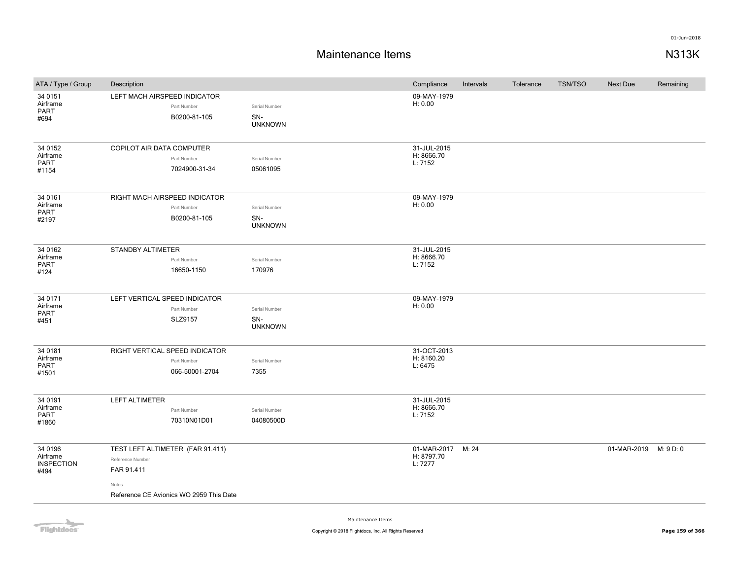| ATA / Type / Group                               | Description                                                                                                            |                                        | Compliance                                 | Intervals | Tolerance | <b>TSN/TSO</b> | Next Due              | Remaining |
|--------------------------------------------------|------------------------------------------------------------------------------------------------------------------------|----------------------------------------|--------------------------------------------|-----------|-----------|----------------|-----------------------|-----------|
| 34 0151<br>Airframe<br><b>PART</b><br>#694       | LEFT MACH AIRSPEED INDICATOR<br>Part Number<br>B0200-81-105                                                            | Serial Number<br>SN-<br><b>UNKNOWN</b> | 09-MAY-1979<br>H: 0.00                     |           |           |                |                       |           |
| 34 0152<br>Airframe<br><b>PART</b><br>#1154      | COPILOT AIR DATA COMPUTER<br>Part Number<br>7024900-31-34                                                              | Serial Number<br>05061095              | 31-JUL-2015<br>H: 8666.70<br>L: 7152       |           |           |                |                       |           |
| 34 0161<br>Airframe<br><b>PART</b><br>#2197      | RIGHT MACH AIRSPEED INDICATOR<br>Part Number<br>B0200-81-105                                                           | Serial Number<br>SN-<br><b>UNKNOWN</b> | 09-MAY-1979<br>H: 0.00                     |           |           |                |                       |           |
| 34 0162<br>Airframe<br><b>PART</b><br>#124       | STANDBY ALTIMETER<br>Part Number<br>16650-1150                                                                         | Serial Number<br>170976                | 31-JUL-2015<br>H: 8666.70<br>L: 7152       |           |           |                |                       |           |
| 34 0171<br>Airframe<br><b>PART</b><br>#451       | LEFT VERTICAL SPEED INDICATOR<br>Part Number<br>SLZ9157                                                                | Serial Number<br>SN-<br><b>UNKNOWN</b> | 09-MAY-1979<br>H: 0.00                     |           |           |                |                       |           |
| 34 0181<br>Airframe<br><b>PART</b><br>#1501      | RIGHT VERTICAL SPEED INDICATOR<br>Part Number<br>066-50001-2704                                                        | Serial Number<br>7355                  | 31-OCT-2013<br>H: 8160.20<br>L: 6475       |           |           |                |                       |           |
| 34 0191<br>Airframe<br><b>PART</b><br>#1860      | <b>LEFT ALTIMETER</b><br>Part Number<br>70310N01D01                                                                    | Serial Number<br>04080500D             | 31-JUL-2015<br>H: 8666.70<br>L: 7152       |           |           |                |                       |           |
| 34 0196<br>Airframe<br><b>INSPECTION</b><br>#494 | TEST LEFT ALTIMETER (FAR 91.411)<br>Reference Number<br>FAR 91.411<br>Notes<br>Reference CE Avionics WO 2959 This Date |                                        | 01-MAR-2017 M: 24<br>H: 8797.70<br>L: 7277 |           |           |                | 01-MAR-2019 M: 9 D: 0 |           |

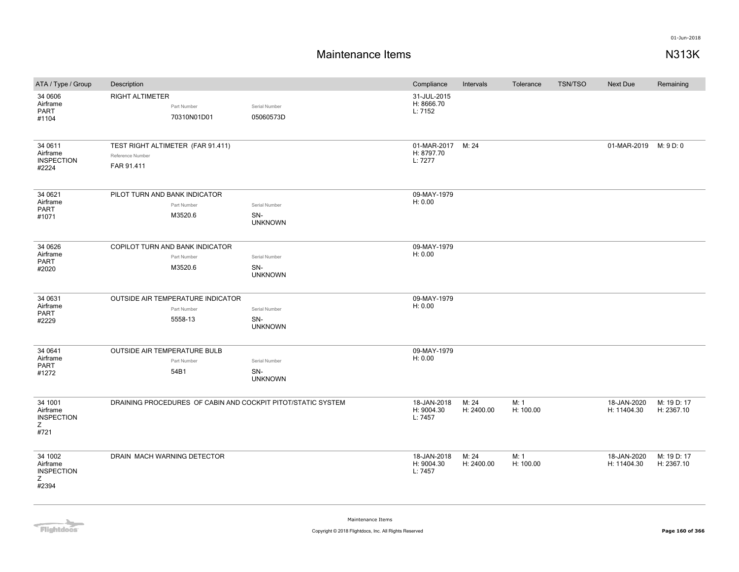# **Maintenance Items N313K**

| ATA / Type / Group                                     | Description                                                         |                                        | Compliance                                 | Intervals           | Tolerance         | <b>TSN/TSO</b> | Next Due                   | Remaining                 |
|--------------------------------------------------------|---------------------------------------------------------------------|----------------------------------------|--------------------------------------------|---------------------|-------------------|----------------|----------------------------|---------------------------|
| 34 0606<br>Airframe<br><b>PART</b><br>#1104            | <b>RIGHT ALTIMETER</b><br>Part Number<br>70310N01D01                | Serial Number<br>05060573D             | 31-JUL-2015<br>H: 8666.70<br>L: 7152       |                     |                   |                |                            |                           |
| 34 0611<br>Airframe<br><b>INSPECTION</b><br>#2224      | TEST RIGHT ALTIMETER (FAR 91.411)<br>Reference Number<br>FAR 91.411 |                                        | 01-MAR-2017 M: 24<br>H: 8797.70<br>L: 7277 |                     |                   |                | 01-MAR-2019 M: 9 D: 0      |                           |
| 34 0621<br>Airframe<br><b>PART</b><br>#1071            | PILOT TURN AND BANK INDICATOR<br>Part Number<br>M3520.6             | Serial Number<br>SN-<br><b>UNKNOWN</b> | 09-MAY-1979<br>H: 0.00                     |                     |                   |                |                            |                           |
| 34 0626<br>Airframe<br><b>PART</b><br>#2020            | COPILOT TURN AND BANK INDICATOR<br>Part Number<br>M3520.6           | Serial Number<br>SN-<br><b>UNKNOWN</b> | 09-MAY-1979<br>H: 0.00                     |                     |                   |                |                            |                           |
| 34 0631<br>Airframe<br>PART<br>#2229                   | OUTSIDE AIR TEMPERATURE INDICATOR<br>Part Number<br>5558-13         | Serial Number<br>SN-<br><b>UNKNOWN</b> | 09-MAY-1979<br>H: 0.00                     |                     |                   |                |                            |                           |
| 34 0641<br>Airframe<br>PART<br>#1272                   | <b>OUTSIDE AIR TEMPERATURE BULB</b><br>Part Number<br>54B1          | Serial Number<br>SN-<br><b>UNKNOWN</b> | 09-MAY-1979<br>H: 0.00                     |                     |                   |                |                            |                           |
| 34 1001<br>Airframe<br><b>INSPECTION</b><br>Z<br>#721  | DRAINING PROCEDURES OF CABIN AND COCKPIT PITOT/STATIC SYSTEM        |                                        | 18-JAN-2018<br>H: 9004.30<br>L: 7457       | M: 24<br>H: 2400.00 | M: 1<br>H: 100.00 |                | 18-JAN-2020<br>H: 11404.30 | M: 19 D: 17<br>H: 2367.10 |
| 34 1002<br>Airframe<br><b>INSPECTION</b><br>Z<br>#2394 | DRAIN MACH WARNING DETECTOR                                         |                                        | 18-JAN-2018<br>H: 9004.30<br>L: 7457       | M: 24<br>H: 2400.00 | M: 1<br>H: 100.00 |                | 18-JAN-2020<br>H: 11404.30 | M: 19 D: 17<br>H: 2367.10 |

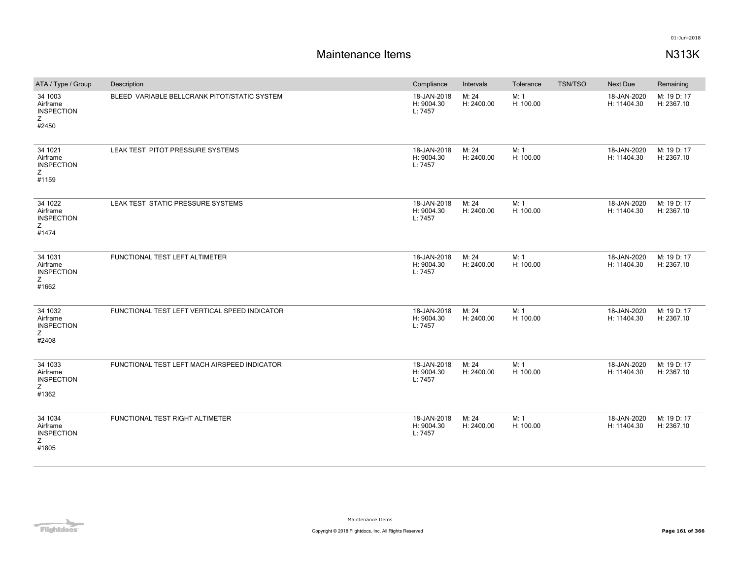| ATA / Type / Group                                     | Description                                   | Compliance                           | Intervals           | Tolerance         | <b>TSN/TSO</b> | Next Due                   | Remaining                 |
|--------------------------------------------------------|-----------------------------------------------|--------------------------------------|---------------------|-------------------|----------------|----------------------------|---------------------------|
| 34 1003<br>Airframe<br><b>INSPECTION</b><br>Z<br>#2450 | BLEED VARIABLE BELLCRANK PITOT/STATIC SYSTEM  | 18-JAN-2018<br>H: 9004.30<br>L: 7457 | M: 24<br>H: 2400.00 | M: 1<br>H: 100.00 |                | 18-JAN-2020<br>H: 11404.30 | M: 19 D: 17<br>H: 2367.10 |
| 34 1021<br>Airframe<br><b>INSPECTION</b><br>Z<br>#1159 | LEAK TEST PITOT PRESSURE SYSTEMS              | 18-JAN-2018<br>H: 9004.30<br>L: 7457 | M: 24<br>H: 2400.00 | M: 1<br>H: 100.00 |                | 18-JAN-2020<br>H: 11404.30 | M: 19 D: 17<br>H: 2367.10 |
| 34 1022<br>Airframe<br><b>INSPECTION</b><br>Ζ<br>#1474 | LEAK TEST STATIC PRESSURE SYSTEMS             | 18-JAN-2018<br>H: 9004.30<br>L: 7457 | M: 24<br>H: 2400.00 | M: 1<br>H: 100.00 |                | 18-JAN-2020<br>H: 11404.30 | M: 19 D: 17<br>H: 2367.10 |
| 34 1031<br>Airframe<br><b>INSPECTION</b><br>Z<br>#1662 | FUNCTIONAL TEST LEFT ALTIMETER                | 18-JAN-2018<br>H: 9004.30<br>L: 7457 | M: 24<br>H: 2400.00 | M: 1<br>H: 100.00 |                | 18-JAN-2020<br>H: 11404.30 | M: 19 D: 17<br>H: 2367.10 |
| 34 1032<br>Airframe<br><b>INSPECTION</b><br>Z<br>#2408 | FUNCTIONAL TEST LEFT VERTICAL SPEED INDICATOR | 18-JAN-2018<br>H: 9004.30<br>L: 7457 | M: 24<br>H: 2400.00 | M: 1<br>H: 100.00 |                | 18-JAN-2020<br>H: 11404.30 | M: 19 D: 17<br>H: 2367.10 |
| 34 1033<br>Airframe<br><b>INSPECTION</b><br>Z<br>#1362 | FUNCTIONAL TEST LEFT MACH AIRSPEED INDICATOR  | 18-JAN-2018<br>H: 9004.30<br>L: 7457 | M: 24<br>H: 2400.00 | M: 1<br>H: 100.00 |                | 18-JAN-2020<br>H: 11404.30 | M: 19 D: 17<br>H: 2367.10 |
| 34 1034<br>Airframe<br><b>INSPECTION</b><br>Z<br>#1805 | FUNCTIONAL TEST RIGHT ALTIMETER               | 18-JAN-2018<br>H: 9004.30<br>L: 7457 | M: 24<br>H: 2400.00 | M: 1<br>H: 100.00 |                | 18-JAN-2020<br>H: 11404.30 | M: 19 D: 17<br>H: 2367.10 |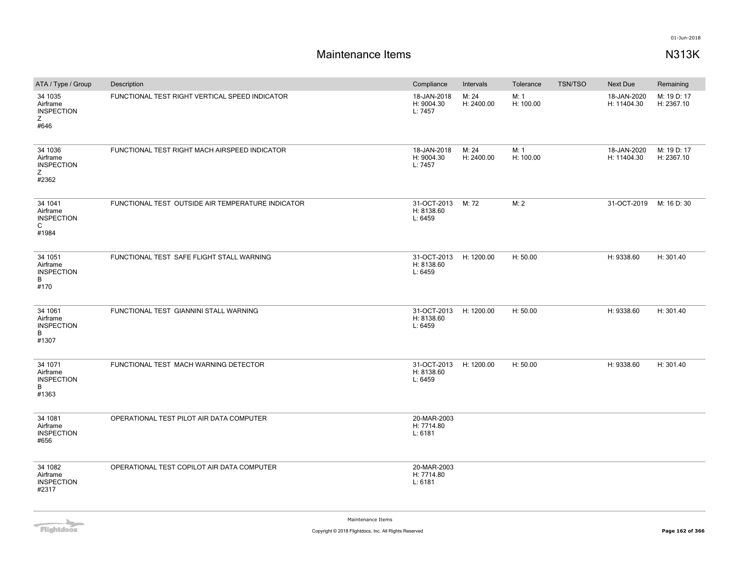| ATA / Type / Group                                     | Description                                       | Compliance                                      | Intervals           | Tolerance         | <b>TSN/TSO</b> | <b>Next Due</b>            | Remaining                 |
|--------------------------------------------------------|---------------------------------------------------|-------------------------------------------------|---------------------|-------------------|----------------|----------------------------|---------------------------|
| 34 1035<br>Airframe<br><b>INSPECTION</b><br>Z<br>#646  | FUNCTIONAL TEST RIGHT VERTICAL SPEED INDICATOR    | 18-JAN-2018<br>H: 9004.30<br>L: 7457            | M: 24<br>H: 2400.00 | M: 1<br>H: 100.00 |                | 18-JAN-2020<br>H: 11404.30 | M: 19 D: 17<br>H: 2367.10 |
| 34 1036<br>Airframe<br><b>INSPECTION</b><br>Ζ<br>#2362 | FUNCTIONAL TEST RIGHT MACH AIRSPEED INDICATOR     | 18-JAN-2018<br>H: 9004.30<br>L: 7457            | M: 24<br>H: 2400.00 | M: 1<br>H: 100.00 |                | 18-JAN-2020<br>H: 11404.30 | M: 19 D: 17<br>H: 2367.10 |
| 34 1041<br>Airframe<br><b>INSPECTION</b><br>C<br>#1984 | FUNCTIONAL TEST OUTSIDE AIR TEMPERATURE INDICATOR | 31-OCT-2013<br>H: 8138.60<br>L: 6459            | M: 72               | M: 2              |                | 31-OCT-2019                | M: 16 D: 30               |
| 34 1051<br>Airframe<br><b>INSPECTION</b><br>B<br>#170  | FUNCTIONAL TEST SAFE FLIGHT STALL WARNING         | 31-OCT-2013 H: 1200.00<br>H: 8138.60<br>L: 6459 |                     | H: 50.00          |                | H: 9338.60                 | H: 301.40                 |
| 34 1061<br>Airframe<br><b>INSPECTION</b><br>B<br>#1307 | FUNCTIONAL TEST GIANNINI STALL WARNING            | 31-OCT-2013 H: 1200.00<br>H: 8138.60<br>L: 6459 |                     | H: 50.00          |                | H: 9338.60                 | H: 301.40                 |
| 34 1071<br>Airframe<br><b>INSPECTION</b><br>B<br>#1363 | FUNCTIONAL TEST MACH WARNING DETECTOR             | 31-OCT-2013 H: 1200.00<br>H: 8138.60<br>L: 6459 |                     | H: 50.00          |                | H: 9338.60                 | H: 301.40                 |
| 34 1081<br>Airframe<br><b>INSPECTION</b><br>#656       | OPERATIONAL TEST PILOT AIR DATA COMPUTER          | 20-MAR-2003<br>H: 7714.80<br>L: 6181            |                     |                   |                |                            |                           |
| 34 1082<br>Airframe<br><b>INSPECTION</b><br>#2317      | OPERATIONAL TEST COPILOT AIR DATA COMPUTER        | 20-MAR-2003<br>H: 7714.80<br>L: 6181            |                     |                   |                |                            |                           |

**Flightdocs**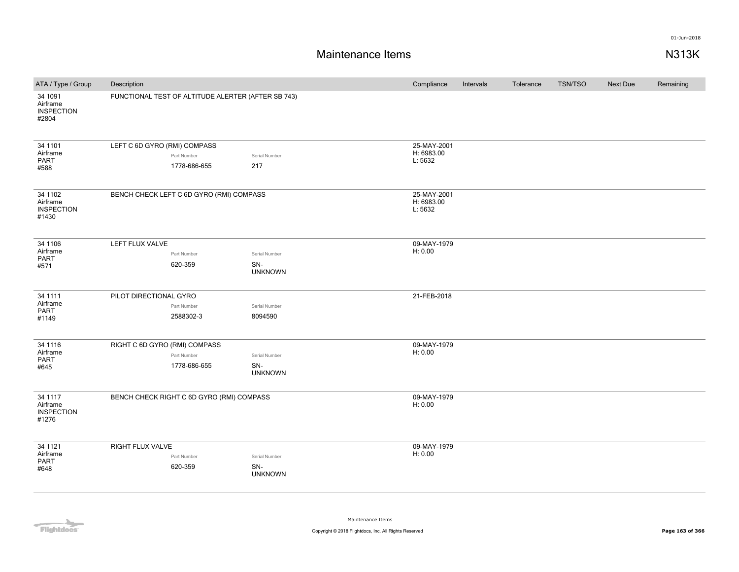### **Maintenance Items N313K**

| ATA / Type / Group                                | Description                                                  |                                        | Compliance                           | Intervals | Tolerance | <b>TSN/TSO</b> | Next Due | Remaining |
|---------------------------------------------------|--------------------------------------------------------------|----------------------------------------|--------------------------------------|-----------|-----------|----------------|----------|-----------|
| 34 1091<br>Airframe<br><b>INSPECTION</b><br>#2804 | FUNCTIONAL TEST OF ALTITUDE ALERTER (AFTER SB 743)           |                                        |                                      |           |           |                |          |           |
| 34 1101<br>Airframe<br><b>PART</b><br>#588        | LEFT C 6D GYRO (RMI) COMPASS<br>Part Number<br>1778-686-655  | Serial Number<br>217                   | 25-MAY-2001<br>H: 6983.00<br>L: 5632 |           |           |                |          |           |
| 34 1102<br>Airframe<br><b>INSPECTION</b><br>#1430 | BENCH CHECK LEFT C 6D GYRO (RMI) COMPASS                     |                                        | 25-MAY-2001<br>H: 6983.00<br>L: 5632 |           |           |                |          |           |
| 34 1106<br>Airframe<br><b>PART</b><br>#571        | LEFT FLUX VALVE<br>Part Number<br>620-359                    | Serial Number<br>SN-<br><b>UNKNOWN</b> | 09-MAY-1979<br>H: 0.00               |           |           |                |          |           |
| 34 1111<br>Airframe<br><b>PART</b><br>#1149       | PILOT DIRECTIONAL GYRO<br>Part Number<br>2588302-3           | Serial Number<br>8094590               | 21-FEB-2018                          |           |           |                |          |           |
| 34 1116<br>Airframe<br>PART<br>#645               | RIGHT C 6D GYRO (RMI) COMPASS<br>Part Number<br>1778-686-655 | Serial Number<br>SN-<br><b>UNKNOWN</b> | 09-MAY-1979<br>H: 0.00               |           |           |                |          |           |
| 34 1117<br>Airframe<br><b>INSPECTION</b><br>#1276 | BENCH CHECK RIGHT C 6D GYRO (RMI) COMPASS                    |                                        | 09-MAY-1979<br>H: 0.00               |           |           |                |          |           |
| 34 1121<br>Airframe<br><b>PART</b><br>#648        | <b>RIGHT FLUX VALVE</b><br>Part Number<br>620-359            | Serial Number<br>SN-<br><b>UNKNOWN</b> | 09-MAY-1979<br>H: 0.00               |           |           |                |          |           |

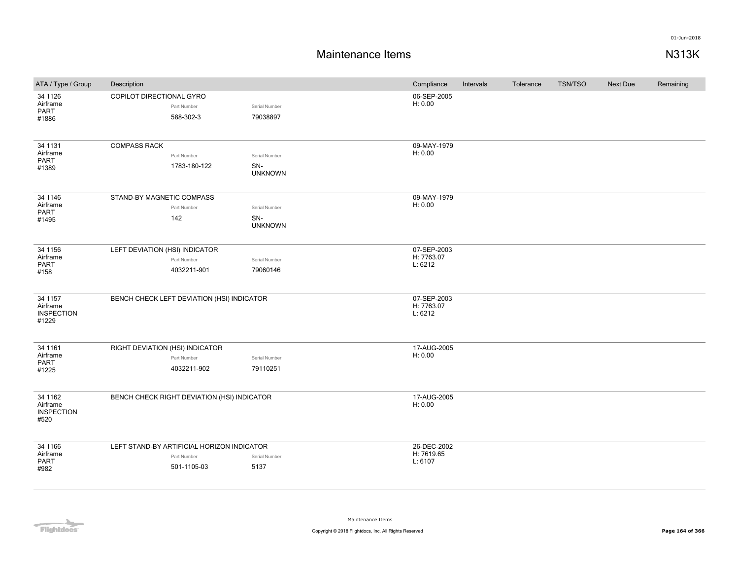| ATA / Type / Group                                | Description                     |                                                                          |                                        | Compliance                           | Intervals | Tolerance | TSN/TSO | Next Due | Remaining |
|---------------------------------------------------|---------------------------------|--------------------------------------------------------------------------|----------------------------------------|--------------------------------------|-----------|-----------|---------|----------|-----------|
| 34 1126<br>Airframe<br><b>PART</b><br>#1886       | COPILOT DIRECTIONAL GYRO        | Part Number<br>588-302-3                                                 | Serial Number<br>79038897              | 06-SEP-2005<br>H: 0.00               |           |           |         |          |           |
| 34 1131<br>Airframe<br>PART<br>#1389              | <b>COMPASS RACK</b>             | Part Number<br>1783-180-122                                              | Serial Number<br>SN-<br><b>UNKNOWN</b> | 09-MAY-1979<br>H: 0.00               |           |           |         |          |           |
| 34 1146<br>Airframe<br>PART<br>#1495              | STAND-BY MAGNETIC COMPASS       | Part Number<br>142                                                       | Serial Number<br>SN-<br><b>UNKNOWN</b> | 09-MAY-1979<br>H: 0.00               |           |           |         |          |           |
| 34 1156<br>Airframe<br>PART<br>#158               | LEFT DEVIATION (HSI) INDICATOR  | Part Number<br>4032211-901                                               | Serial Number<br>79060146              | 07-SEP-2003<br>H: 7763.07<br>L: 6212 |           |           |         |          |           |
| 34 1157<br>Airframe<br><b>INSPECTION</b><br>#1229 |                                 | BENCH CHECK LEFT DEVIATION (HSI) INDICATOR                               |                                        | 07-SEP-2003<br>H: 7763.07<br>L: 6212 |           |           |         |          |           |
| 34 1161<br>Airframe<br>PART<br>#1225              | RIGHT DEVIATION (HSI) INDICATOR | Part Number<br>4032211-902                                               | Serial Number<br>79110251              | 17-AUG-2005<br>H: 0.00               |           |           |         |          |           |
| 34 1162<br>Airframe<br><b>INSPECTION</b><br>#520  |                                 | BENCH CHECK RIGHT DEVIATION (HSI) INDICATOR                              |                                        | 17-AUG-2005<br>H: 0.00               |           |           |         |          |           |
| 34 1166<br>Airframe<br>PART<br>#982               |                                 | LEFT STAND-BY ARTIFICIAL HORIZON INDICATOR<br>Part Number<br>501-1105-03 | Serial Number<br>5137                  | 26-DEC-2002<br>H: 7619.65<br>L: 6107 |           |           |         |          |           |

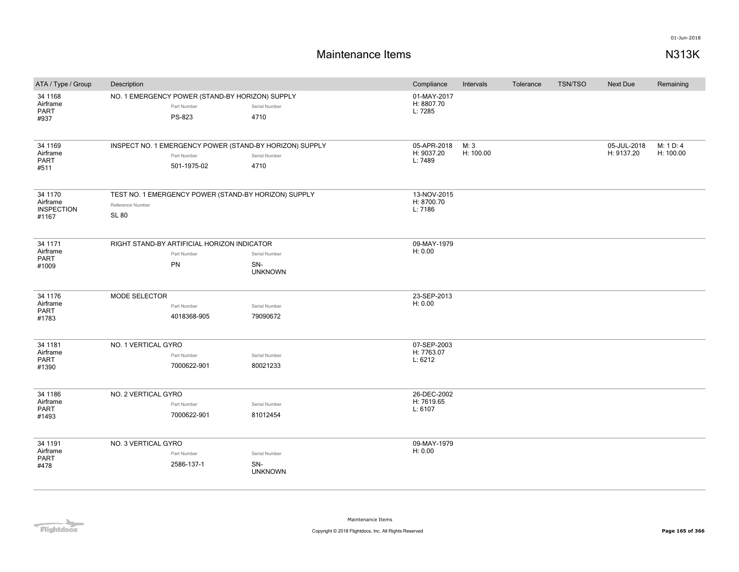| ATA / Type / Group                                | Description                                                                              |                            |                                                                                  | Compliance                           | Intervals         | Tolerance | <b>TSN/TSO</b> | Next Due                  | Remaining              |
|---------------------------------------------------|------------------------------------------------------------------------------------------|----------------------------|----------------------------------------------------------------------------------|--------------------------------------|-------------------|-----------|----------------|---------------------------|------------------------|
| 34 1168<br>Airframe<br>PART<br>#937               | NO. 1 EMERGENCY POWER (STAND-BY HORIZON) SUPPLY                                          | Part Number<br>PS-823      | Serial Number<br>4710                                                            | 01-MAY-2017<br>H: 8807.70<br>L: 7285 |                   |           |                |                           |                        |
| 34 1169<br>Airframe<br><b>PART</b><br>#511        |                                                                                          | Part Number<br>501-1975-02 | INSPECT NO. 1 EMERGENCY POWER (STAND-BY HORIZON) SUPPLY<br>Serial Number<br>4710 | 05-APR-2018<br>H: 9037.20<br>L: 7489 | M: 3<br>H: 100.00 |           |                | 05-JUL-2018<br>H: 9137.20 | M: 1 D: 4<br>H: 100.00 |
| 34 1170<br>Airframe<br><b>INSPECTION</b><br>#1167 | TEST NO. 1 EMERGENCY POWER (STAND-BY HORIZON) SUPPLY<br>Reference Number<br><b>SL 80</b> |                            |                                                                                  | 13-NOV-2015<br>H: 8700.70<br>L: 7186 |                   |           |                |                           |                        |
| 34 1171<br>Airframe<br><b>PART</b><br>#1009       | RIGHT STAND-BY ARTIFICIAL HORIZON INDICATOR<br>PN                                        | Part Number                | Serial Number<br>SN-<br><b>UNKNOWN</b>                                           | 09-MAY-1979<br>H: 0.00               |                   |           |                |                           |                        |
| 34 1176<br>Airframe<br>PART<br>#1783              | MODE SELECTOR                                                                            | Part Number<br>4018368-905 | Serial Number<br>79090672                                                        | 23-SEP-2013<br>H: 0.00               |                   |           |                |                           |                        |
| 34 1181<br>Airframe<br><b>PART</b><br>#1390       | NO. 1 VERTICAL GYRO                                                                      | Part Number<br>7000622-901 | Serial Number<br>80021233                                                        | 07-SEP-2003<br>H: 7763.07<br>L: 6212 |                   |           |                |                           |                        |
| 34 1186<br>Airframe<br><b>PART</b><br>#1493       | NO. 2 VERTICAL GYRO                                                                      | Part Number<br>7000622-901 | Serial Number<br>81012454                                                        | 26-DEC-2002<br>H: 7619.65<br>L: 6107 |                   |           |                |                           |                        |
| 34 1191<br>Airframe<br><b>PART</b><br>#478        | NO. 3 VERTICAL GYRO                                                                      | Part Number<br>2586-137-1  | Serial Number<br>SN-<br><b>UNKNOWN</b>                                           | 09-MAY-1979<br>H: 0.00               |                   |           |                |                           |                        |

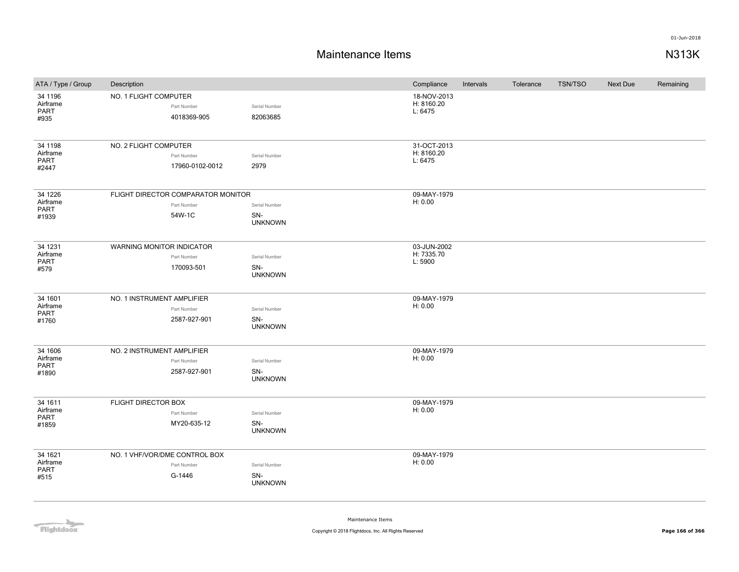## **Maintenance Items N313K**

| ATA / Type / Group                          | Description                                                 |                                        | Compliance                           | Intervals | Tolerance | <b>TSN/TSO</b> | <b>Next Due</b> | Remaining |
|---------------------------------------------|-------------------------------------------------------------|----------------------------------------|--------------------------------------|-----------|-----------|----------------|-----------------|-----------|
| 34 1196<br>Airframe<br>PART<br>#935         | NO. 1 FLIGHT COMPUTER<br>Part Number<br>4018369-905         | Serial Number<br>82063685              | 18-NOV-2013<br>H: 8160.20<br>L: 6475 |           |           |                |                 |           |
| 34 1198<br>Airframe<br>PART<br>#2447        | NO. 2 FLIGHT COMPUTER<br>Part Number<br>17960-0102-0012     | Serial Number<br>2979                  | 31-OCT-2013<br>H: 8160.20<br>L: 6475 |           |           |                |                 |           |
| 34 1226<br>Airframe<br>PART<br>#1939        | FLIGHT DIRECTOR COMPARATOR MONITOR<br>Part Number<br>54W-1C | Serial Number<br>SN-<br><b>UNKNOWN</b> | 09-MAY-1979<br>H: 0.00               |           |           |                |                 |           |
| 34 1231<br>Airframe<br><b>PART</b><br>#579  | WARNING MONITOR INDICATOR<br>Part Number<br>170093-501      | Serial Number<br>SN-<br><b>UNKNOWN</b> | 03-JUN-2002<br>H: 7335.70<br>L: 5900 |           |           |                |                 |           |
| 34 1601<br>Airframe<br><b>PART</b><br>#1760 | NO. 1 INSTRUMENT AMPLIFIER<br>Part Number<br>2587-927-901   | Serial Number<br>SN-<br><b>UNKNOWN</b> | 09-MAY-1979<br>H: 0.00               |           |           |                |                 |           |
| 34 1606<br>Airframe<br><b>PART</b><br>#1890 | NO. 2 INSTRUMENT AMPLIFIER<br>Part Number<br>2587-927-901   | Serial Number<br>SN-<br><b>UNKNOWN</b> | 09-MAY-1979<br>H: 0.00               |           |           |                |                 |           |
| 34 1611<br>Airframe<br>PART<br>#1859        | FLIGHT DIRECTOR BOX<br>Part Number<br>MY20-635-12           | Serial Number<br>SN-<br><b>UNKNOWN</b> | 09-MAY-1979<br>H: 0.00               |           |           |                |                 |           |
| 34 1621<br>Airframe<br>PART<br>#515         | NO. 1 VHF/VOR/DME CONTROL BOX<br>Part Number<br>G-1446      | Serial Number<br>SN-<br><b>UNKNOWN</b> | 09-MAY-1979<br>H: 0.00               |           |           |                |                 |           |

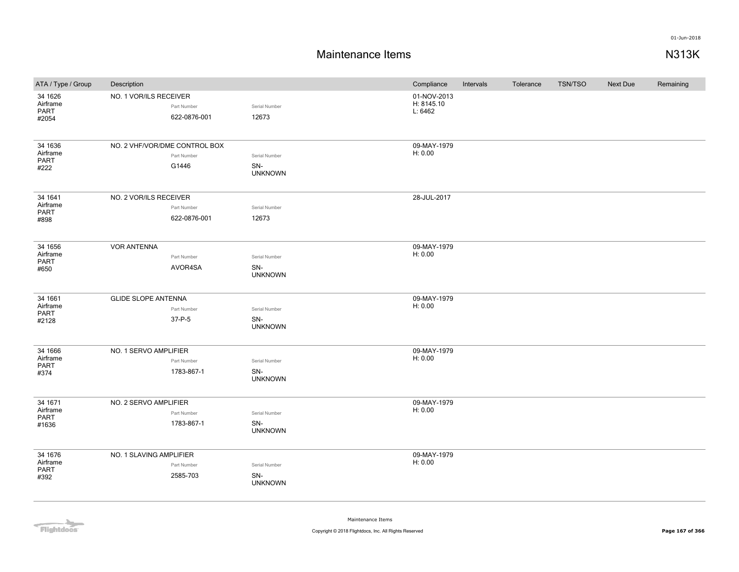## **Maintenance Items N313K**

| ATA / Type / Group                   | Description                   |                             |                                        | Compliance                           | Intervals | Tolerance | <b>TSN/TSO</b> | Next Due | Remaining |
|--------------------------------------|-------------------------------|-----------------------------|----------------------------------------|--------------------------------------|-----------|-----------|----------------|----------|-----------|
| 34 1626<br>Airframe<br>PART<br>#2054 | NO. 1 VOR/ILS RECEIVER        | Part Number<br>622-0876-001 | Serial Number<br>12673                 | 01-NOV-2013<br>H: 8145.10<br>L: 6462 |           |           |                |          |           |
| 34 1636<br>Airframe<br>PART<br>#222  | NO. 2 VHF/VOR/DME CONTROL BOX | Part Number<br>G1446        | Serial Number<br>SN-<br><b>UNKNOWN</b> | 09-MAY-1979<br>H: 0.00               |           |           |                |          |           |
| 34 1641<br>Airframe<br>PART<br>#898  | NO. 2 VOR/ILS RECEIVER        | Part Number<br>622-0876-001 | Serial Number<br>12673                 | 28-JUL-2017                          |           |           |                |          |           |
| 34 1656<br>Airframe<br>PART<br>#650  | <b>VOR ANTENNA</b>            | Part Number<br>AVOR4SA      | Serial Number<br>SN-<br><b>UNKNOWN</b> | 09-MAY-1979<br>H: 0.00               |           |           |                |          |           |
| 34 1661<br>Airframe<br>PART<br>#2128 | <b>GLIDE SLOPE ANTENNA</b>    | Part Number<br>37-P-5       | Serial Number<br>SN-<br><b>UNKNOWN</b> | 09-MAY-1979<br>H: 0.00               |           |           |                |          |           |
| 34 1666<br>Airframe<br>PART<br>#374  | NO. 1 SERVO AMPLIFIER         | Part Number<br>1783-867-1   | Serial Number<br>SN-<br><b>UNKNOWN</b> | 09-MAY-1979<br>H: 0.00               |           |           |                |          |           |
| 34 1671<br>Airframe<br>PART<br>#1636 | NO. 2 SERVO AMPLIFIER         | Part Number<br>1783-867-1   | Serial Number<br>SN-<br><b>UNKNOWN</b> | 09-MAY-1979<br>H: 0.00               |           |           |                |          |           |
| 34 1676<br>Airframe<br>PART<br>#392  | NO. 1 SLAVING AMPLIFIER       | Part Number<br>2585-703     | Serial Number<br>SN-<br><b>UNKNOWN</b> | 09-MAY-1979<br>H: 0.00               |           |           |                |          |           |

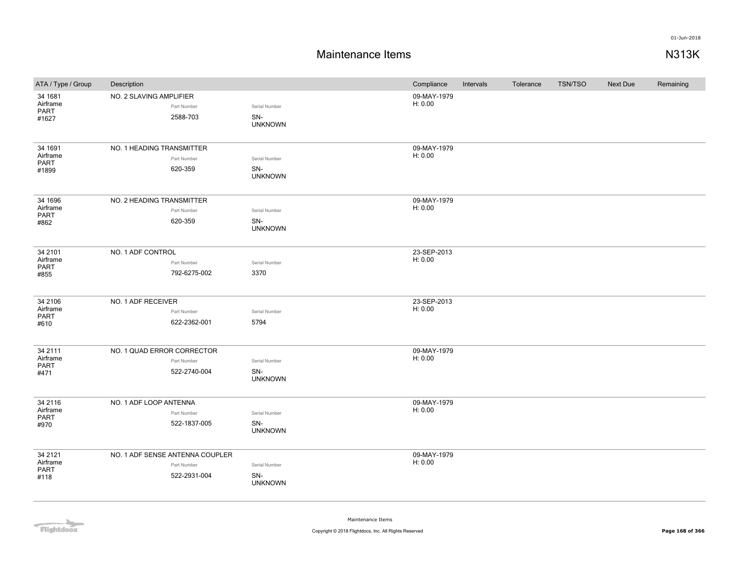# **Maintenance Items N313K**

| ATA / Type / Group  | Description                     |                | Compliance  | Intervals | Tolerance | <b>TSN/TSO</b> | Next Due | Remaining |
|---------------------|---------------------------------|----------------|-------------|-----------|-----------|----------------|----------|-----------|
| 34 1681             | NO. 2 SLAVING AMPLIFIER         |                | 09-MAY-1979 |           |           |                |          |           |
| Airframe<br>PART    | Part Number                     | Serial Number  | H: 0.00     |           |           |                |          |           |
| #1627               | 2588-703                        | SN-            |             |           |           |                |          |           |
|                     |                                 | <b>UNKNOWN</b> |             |           |           |                |          |           |
| 34 1691             | NO. 1 HEADING TRANSMITTER       |                | 09-MAY-1979 |           |           |                |          |           |
| Airframe            | Part Number                     | Serial Number  | H: 0.00     |           |           |                |          |           |
| PART<br>#1899       | 620-359                         | SN-            |             |           |           |                |          |           |
|                     |                                 | <b>UNKNOWN</b> |             |           |           |                |          |           |
| 34 1696             | NO. 2 HEADING TRANSMITTER       |                | 09-MAY-1979 |           |           |                |          |           |
| Airframe            | Part Number                     | Serial Number  | H: 0.00     |           |           |                |          |           |
| PART<br>#862        | 620-359                         | SN-            |             |           |           |                |          |           |
|                     |                                 | <b>UNKNOWN</b> |             |           |           |                |          |           |
| 34 2101             | NO. 1 ADF CONTROL               |                | 23-SEP-2013 |           |           |                |          |           |
| Airframe<br>PART    | Part Number                     | Serial Number  | H: 0.00     |           |           |                |          |           |
| #855                | 792-6275-002                    | 3370           |             |           |           |                |          |           |
|                     |                                 |                |             |           |           |                |          |           |
| 34 2106             | NO. 1 ADF RECEIVER              |                | 23-SEP-2013 |           |           |                |          |           |
| Airframe<br>PART    | Part Number                     | Serial Number  | H: 0.00     |           |           |                |          |           |
| #610                | 622-2362-001                    | 5794           |             |           |           |                |          |           |
| 34 2111             | NO. 1 QUAD ERROR CORRECTOR      |                | 09-MAY-1979 |           |           |                |          |           |
| Airframe            | Part Number                     | Serial Number  | H: 0.00     |           |           |                |          |           |
| <b>PART</b>         | 522-2740-004                    | SN-            |             |           |           |                |          |           |
| #471                |                                 | <b>UNKNOWN</b> |             |           |           |                |          |           |
| 34 2116             | NO. 1 ADF LOOP ANTENNA          |                | 09-MAY-1979 |           |           |                |          |           |
| Airframe            | Part Number                     | Serial Number  | H: 0.00     |           |           |                |          |           |
| <b>PART</b><br>#970 | 522-1837-005                    | SN-            |             |           |           |                |          |           |
|                     |                                 | <b>UNKNOWN</b> |             |           |           |                |          |           |
| 34 21 21            | NO. 1 ADF SENSE ANTENNA COUPLER |                | 09-MAY-1979 |           |           |                |          |           |
| Airframe            | Part Number                     | Serial Number  | H: 0.00     |           |           |                |          |           |
| PART<br>#118        | 522-2931-004                    | SN-            |             |           |           |                |          |           |
|                     |                                 | <b>UNKNOWN</b> |             |           |           |                |          |           |

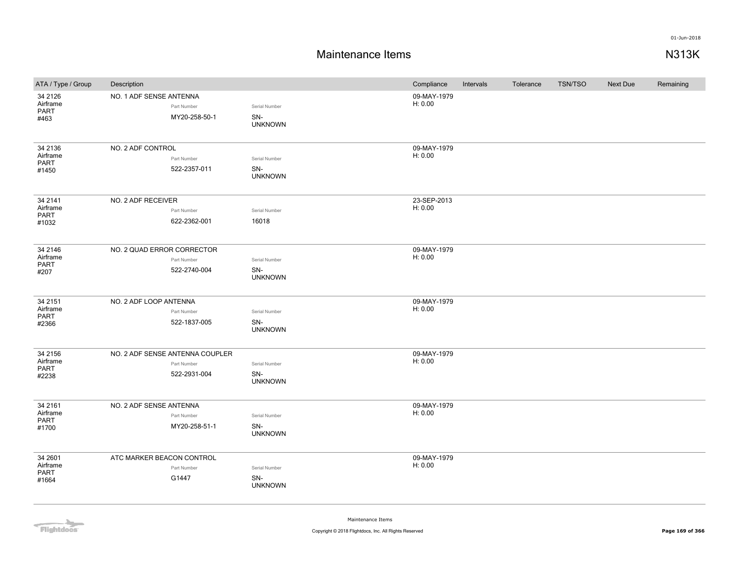# **Maintenance Items N313K**

| ATA / Type / Group                   | Description                                                    |                                        | Compliance             | Intervals | Tolerance | <b>TSN/TSO</b> | <b>Next Due</b> | Remaining |
|--------------------------------------|----------------------------------------------------------------|----------------------------------------|------------------------|-----------|-----------|----------------|-----------------|-----------|
| 34 21 26<br>Airframe<br>PART<br>#463 | NO. 1 ADF SENSE ANTENNA<br>Part Number<br>MY20-258-50-1        | Serial Number<br>SN-<br><b>UNKNOWN</b> | 09-MAY-1979<br>H: 0.00 |           |           |                |                 |           |
| 34 2136<br>Airframe<br>PART<br>#1450 | NO. 2 ADF CONTROL<br>Part Number<br>522-2357-011               | Serial Number<br>SN-<br><b>UNKNOWN</b> | 09-MAY-1979<br>H: 0.00 |           |           |                |                 |           |
| 34 2141<br>Airframe<br>PART<br>#1032 | NO. 2 ADF RECEIVER<br>Part Number<br>622-2362-001              | Serial Number<br>16018                 | 23-SEP-2013<br>H: 0.00 |           |           |                |                 |           |
| 34 2146<br>Airframe<br>PART<br>#207  | NO. 2 QUAD ERROR CORRECTOR<br>Part Number<br>522-2740-004      | Serial Number<br>SN-<br><b>UNKNOWN</b> | 09-MAY-1979<br>H: 0.00 |           |           |                |                 |           |
| 34 2151<br>Airframe<br>PART<br>#2366 | NO. 2 ADF LOOP ANTENNA<br>Part Number<br>522-1837-005          | Serial Number<br>SN-<br><b>UNKNOWN</b> | 09-MAY-1979<br>H: 0.00 |           |           |                |                 |           |
| 34 2156<br>Airframe<br>PART<br>#2238 | NO. 2 ADF SENSE ANTENNA COUPLER<br>Part Number<br>522-2931-004 | Serial Number<br>SN-<br><b>UNKNOWN</b> | 09-MAY-1979<br>H: 0.00 |           |           |                |                 |           |
| 34 2161<br>Airframe<br>PART<br>#1700 | NO. 2 ADF SENSE ANTENNA<br>Part Number<br>MY20-258-51-1        | Serial Number<br>SN-<br><b>UNKNOWN</b> | 09-MAY-1979<br>H: 0.00 |           |           |                |                 |           |
| 34 2601<br>Airframe<br>PART<br>#1664 | ATC MARKER BEACON CONTROL<br>Part Number<br>G1447              | Serial Number<br>SN-<br><b>UNKNOWN</b> | 09-MAY-1979<br>H: 0.00 |           |           |                |                 |           |

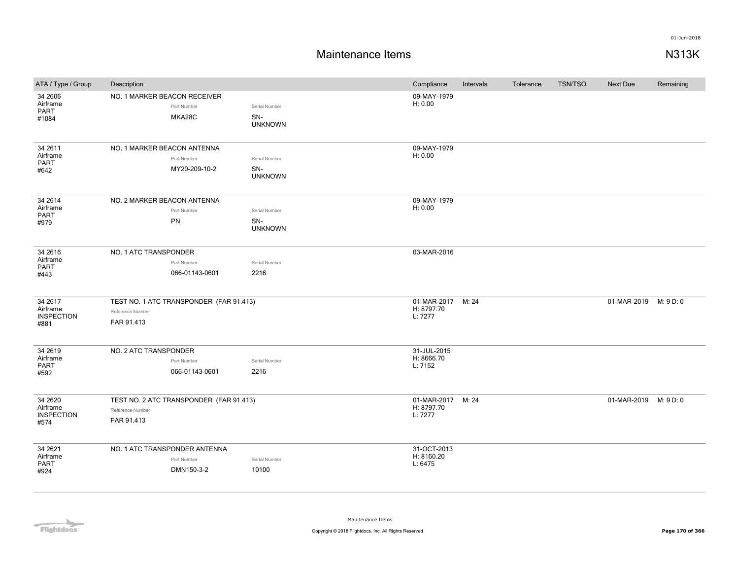| ATA / Type / Group                                | Description                    |                                                            |                                        | Compliance                           | Intervals | Tolerance | <b>TSN/TSO</b> | Next Due              | Remaining |
|---------------------------------------------------|--------------------------------|------------------------------------------------------------|----------------------------------------|--------------------------------------|-----------|-----------|----------------|-----------------------|-----------|
| 34 2606<br>Airframe<br>PART<br>#1084              |                                | NO. 1 MARKER BEACON RECEIVER<br>Part Number<br>MKA28C      | Serial Number<br>SN-<br><b>UNKNOWN</b> | 09-MAY-1979<br>H: 0.00               |           |           |                |                       |           |
| 34 26 11<br>Airframe<br><b>PART</b><br>#642       | NO. 1 MARKER BEACON ANTENNA    | Part Number<br>MY20-209-10-2                               | Serial Number<br>SN-<br><b>UNKNOWN</b> | 09-MAY-1979<br>H: 0.00               |           |           |                |                       |           |
| 34 26 14<br>Airframe<br>PART<br>#979              | NO. 2 MARKER BEACON ANTENNA    | Part Number<br><b>PN</b>                                   | Serial Number<br>SN-<br><b>UNKNOWN</b> | 09-MAY-1979<br>H: 0.00               |           |           |                |                       |           |
| 34 26 16<br>Airframe<br><b>PART</b><br>#443       | NO. 1 ATC TRANSPONDER          | Part Number<br>066-01143-0601                              | Serial Number<br>2216                  | 03-MAR-2016                          |           |           |                |                       |           |
| 34 26 17<br>Airframe<br><b>INSPECTION</b><br>#881 | Reference Number<br>FAR 91.413 | TEST NO. 1 ATC TRANSPONDER (FAR 91.413)                    |                                        | 01-MAR-2017<br>H: 8797.70<br>L: 7277 | M: 24     |           |                | 01-MAR-2019           | M: 9 D: 0 |
| 34 26 19<br>Airframe<br><b>PART</b><br>#592       | NO. 2 ATC TRANSPONDER          | Part Number<br>066-01143-0601                              | Serial Number<br>2216                  | 31-JUL-2015<br>H: 8666.70<br>L: 7152 |           |           |                |                       |           |
| 34 26 20<br>Airframe<br><b>INSPECTION</b><br>#574 | Reference Number<br>FAR 91.413 | TEST NO. 2 ATC TRANSPONDER (FAR 91.413)                    |                                        | 01-MAR-2017<br>H: 8797.70<br>L: 7277 | M: 24     |           |                | 01-MAR-2019 M: 9 D: 0 |           |
| 34 26 21<br>Airframe<br><b>PART</b><br>#924       |                                | NO. 1 ATC TRANSPONDER ANTENNA<br>Part Number<br>DMN150-3-2 | Serial Number<br>10100                 | 31-OCT-2013<br>H: 8160.20<br>L: 6475 |           |           |                |                       |           |

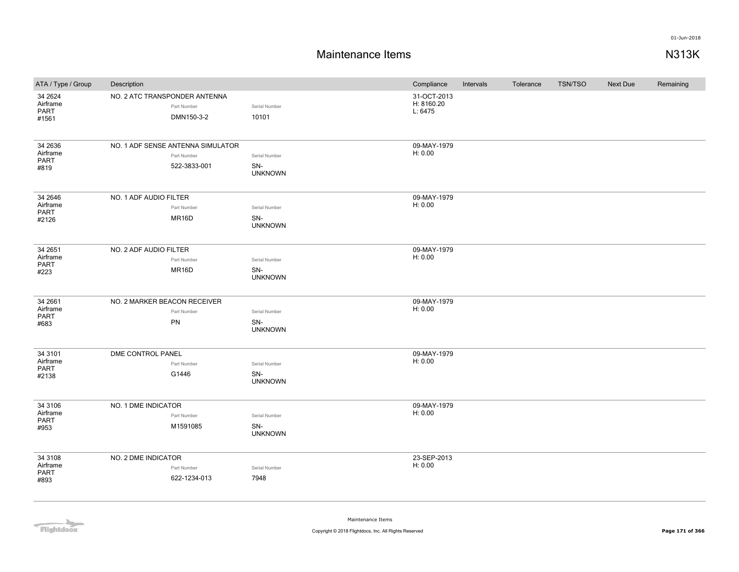# **Maintenance Items N313K**

| ATA / Type / Group                         | Description                        |                             |                                        | Compliance                           | Intervals | Tolerance | <b>TSN/TSO</b> | <b>Next Due</b> | Remaining |
|--------------------------------------------|------------------------------------|-----------------------------|----------------------------------------|--------------------------------------|-----------|-----------|----------------|-----------------|-----------|
| 34 26 24<br>Airframe<br>PART<br>#1561      | NO. 2 ATC TRANSPONDER ANTENNA      | Part Number<br>DMN150-3-2   | Serial Number<br>10101                 | 31-OCT-2013<br>H: 8160.20<br>L: 6475 |           |           |                |                 |           |
| 34 26 36<br>Airframe<br>PART<br>#819       | NO. 1 ADF SENSE ANTENNA SIMULATOR  | Part Number<br>522-3833-001 | Serial Number<br>SN-<br><b>UNKNOWN</b> | 09-MAY-1979<br>H: 0.00               |           |           |                |                 |           |
| 34 2646<br>Airframe<br>PART<br>#2126       | NO. 1 ADF AUDIO FILTER             | Part Number<br>MR16D        | Serial Number<br>SN-<br><b>UNKNOWN</b> | 09-MAY-1979<br>H: 0.00               |           |           |                |                 |           |
| 34 2651<br>Airframe<br><b>PART</b><br>#223 | NO. 2 ADF AUDIO FILTER             | Part Number<br>MR16D        | Serial Number<br>SN-<br><b>UNKNOWN</b> | 09-MAY-1979<br>H: 0.00               |           |           |                |                 |           |
| 34 2661<br>Airframe<br>PART<br>#683        | NO. 2 MARKER BEACON RECEIVER<br>PN | Part Number                 | Serial Number<br>SN-<br><b>UNKNOWN</b> | 09-MAY-1979<br>H: 0.00               |           |           |                |                 |           |
| 34 3101<br>Airframe<br>PART<br>#2138       | DME CONTROL PANEL                  | Part Number<br>G1446        | Serial Number<br>SN-<br><b>UNKNOWN</b> | 09-MAY-1979<br>H: 0.00               |           |           |                |                 |           |
| 34 3106<br>Airframe<br>PART<br>#953        | NO. 1 DME INDICATOR                | Part Number<br>M1591085     | Serial Number<br>SN-<br><b>UNKNOWN</b> | 09-MAY-1979<br>H: 0.00               |           |           |                |                 |           |
| 34 3108<br>Airframe<br>PART<br>#893        | NO. 2 DME INDICATOR                | Part Number<br>622-1234-013 | Serial Number<br>7948                  | 23-SEP-2013<br>H: 0.00               |           |           |                |                 |           |

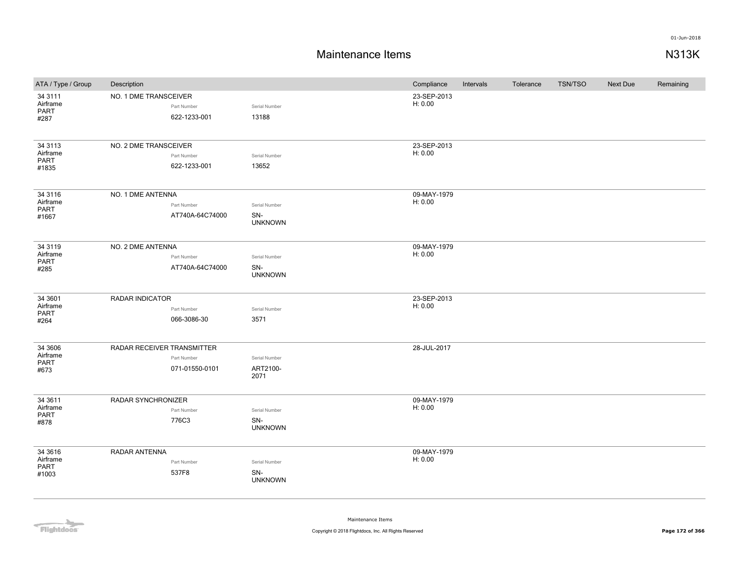### **Maintenance Items N313K**

| ATA / Type / Group                         | Description                |                                |                                        | Compliance             | Intervals | Tolerance | <b>TSN/TSO</b> | <b>Next Due</b> | Remaining |
|--------------------------------------------|----------------------------|--------------------------------|----------------------------------------|------------------------|-----------|-----------|----------------|-----------------|-----------|
| 34 3111<br>Airframe<br><b>PART</b><br>#287 | NO. 1 DME TRANSCEIVER      | Part Number<br>622-1233-001    | Serial Number<br>13188                 | 23-SEP-2013<br>H: 0.00 |           |           |                |                 |           |
| 34 3113<br>Airframe<br>PART<br>#1835       | NO. 2 DME TRANSCEIVER      | Part Number<br>622-1233-001    | Serial Number<br>13652                 | 23-SEP-2013<br>H: 0.00 |           |           |                |                 |           |
| 34 31 16<br>Airframe<br>PART<br>#1667      | NO. 1 DME ANTENNA          | Part Number<br>AT740A-64C74000 | Serial Number<br>SN-<br><b>UNKNOWN</b> | 09-MAY-1979<br>H: 0.00 |           |           |                |                 |           |
| 34 3119<br>Airframe<br>PART<br>#285        | NO. 2 DME ANTENNA          | Part Number<br>AT740A-64C74000 | Serial Number<br>SN-<br><b>UNKNOWN</b> | 09-MAY-1979<br>H: 0.00 |           |           |                |                 |           |
| 34 3601<br>Airframe<br>PART<br>#264        | <b>RADAR INDICATOR</b>     | Part Number<br>066-3086-30     | Serial Number<br>3571                  | 23-SEP-2013<br>H: 0.00 |           |           |                |                 |           |
| 34 3606<br>Airframe<br><b>PART</b><br>#673 | RADAR RECEIVER TRANSMITTER | Part Number<br>071-01550-0101  | Serial Number<br>ART2100-<br>2071      | 28-JUL-2017            |           |           |                |                 |           |
| 34 3611<br>Airframe<br>PART<br>#878        | RADAR SYNCHRONIZER         | Part Number<br>776C3           | Serial Number<br>SN-<br><b>UNKNOWN</b> | 09-MAY-1979<br>H: 0.00 |           |           |                |                 |           |
| 34 36 16<br>Airframe<br>PART<br>#1003      | RADAR ANTENNA              | Part Number<br>537F8           | Serial Number<br>SN-<br><b>UNKNOWN</b> | 09-MAY-1979<br>H: 0.00 |           |           |                |                 |           |

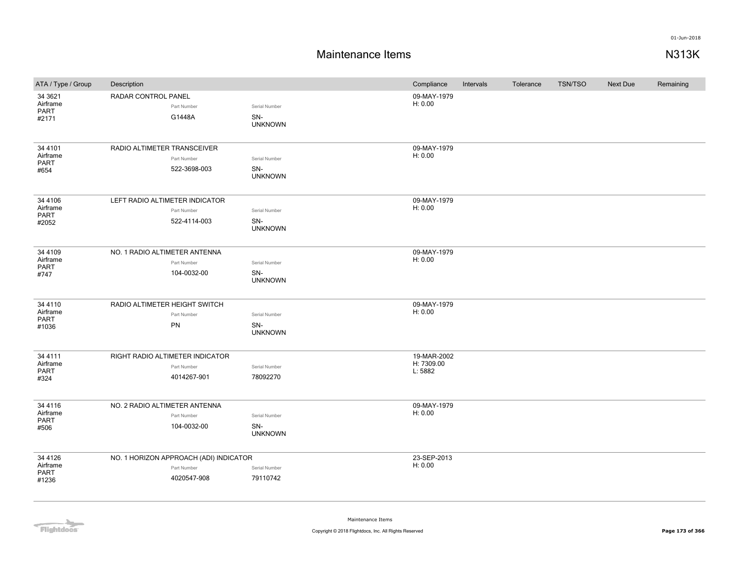## **Maintenance Items N313K**

| ATA / Type / Group                          | Description                                                          |                                        | Compliance                           | Intervals | Tolerance | <b>TSN/TSO</b> | Next Due | Remaining |
|---------------------------------------------|----------------------------------------------------------------------|----------------------------------------|--------------------------------------|-----------|-----------|----------------|----------|-----------|
| 34 3621<br>Airframe<br><b>PART</b><br>#2171 | RADAR CONTROL PANEL<br>Part Number<br>G1448A                         | Serial Number<br>SN-<br><b>UNKNOWN</b> | 09-MAY-1979<br>H: 0.00               |           |           |                |          |           |
| 34 4101<br>Airframe<br><b>PART</b><br>#654  | RADIO ALTIMETER TRANSCEIVER<br>Part Number<br>522-3698-003           | Serial Number<br>SN-<br><b>UNKNOWN</b> | 09-MAY-1979<br>H: 0.00               |           |           |                |          |           |
| 34 4106<br>Airframe<br><b>PART</b><br>#2052 | LEFT RADIO ALTIMETER INDICATOR<br>Part Number<br>522-4114-003        | Serial Number<br>SN-<br><b>UNKNOWN</b> | 09-MAY-1979<br>H: 0.00               |           |           |                |          |           |
| 34 4109<br>Airframe<br>PART<br>#747         | NO. 1 RADIO ALTIMETER ANTENNA<br>Part Number<br>104-0032-00          | Serial Number<br>SN-<br><b>UNKNOWN</b> | 09-MAY-1979<br>H: 0.00               |           |           |                |          |           |
| 34 4110<br>Airframe<br>PART<br>#1036        | RADIO ALTIMETER HEIGHT SWITCH<br>Part Number<br>PN                   | Serial Number<br>SN-<br><b>UNKNOWN</b> | 09-MAY-1979<br>H: 0.00               |           |           |                |          |           |
| 34 4111<br>Airframe<br><b>PART</b><br>#324  | RIGHT RADIO ALTIMETER INDICATOR<br>Part Number<br>4014267-901        | Serial Number<br>78092270              | 19-MAR-2002<br>H: 7309.00<br>L: 5882 |           |           |                |          |           |
| 34 4116<br>Airframe<br>PART<br>#506         | NO. 2 RADIO ALTIMETER ANTENNA<br>Part Number<br>104-0032-00          | Serial Number<br>SN-<br><b>UNKNOWN</b> | 09-MAY-1979<br>H: 0.00               |           |           |                |          |           |
| 34 4126<br>Airframe<br>PART<br>#1236        | NO. 1 HORIZON APPROACH (ADI) INDICATOR<br>Part Number<br>4020547-908 | Serial Number<br>79110742              | 23-SEP-2013<br>H: 0.00               |           |           |                |          |           |

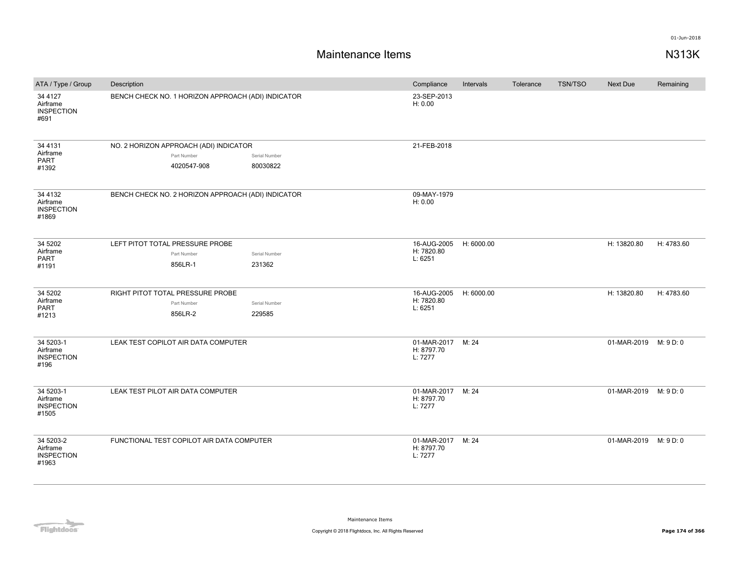| ATA / Type / Group                                  | Description |                                                    |               | Compliance                                 | Intervals  | Tolerance | <b>TSN/TSO</b> | Next Due              | Remaining  |
|-----------------------------------------------------|-------------|----------------------------------------------------|---------------|--------------------------------------------|------------|-----------|----------------|-----------------------|------------|
| 34 4 1 2 7<br>Airframe<br><b>INSPECTION</b><br>#691 |             | BENCH CHECK NO. 1 HORIZON APPROACH (ADI) INDICATOR |               | 23-SEP-2013<br>H: 0.00                     |            |           |                |                       |            |
| 34 4131                                             |             | NO. 2 HORIZON APPROACH (ADI) INDICATOR             |               | 21-FEB-2018                                |            |           |                |                       |            |
| Airframe<br><b>PART</b>                             |             | Part Number                                        | Serial Number |                                            |            |           |                |                       |            |
| #1392                                               |             | 4020547-908                                        | 80030822      |                                            |            |           |                |                       |            |
| 34 4132<br>Airframe<br><b>INSPECTION</b><br>#1869   |             | BENCH CHECK NO. 2 HORIZON APPROACH (ADI) INDICATOR |               | 09-MAY-1979<br>H: 0.00                     |            |           |                |                       |            |
| 34 5202                                             |             | LEFT PITOT TOTAL PRESSURE PROBE                    |               | 16-AUG-2005                                | H: 6000.00 |           |                | H: 13820.80           | H: 4783.60 |
| Airframe                                            |             | Part Number                                        | Serial Number | H: 7820.80                                 |            |           |                |                       |            |
| PART<br>#1191                                       |             | 856LR-1                                            | 231362        | L: 6251                                    |            |           |                |                       |            |
| 34 5202                                             |             | RIGHT PITOT TOTAL PRESSURE PROBE                   |               | 16-AUG-2005                                | H: 6000.00 |           |                | H: 13820.80           | H: 4783.60 |
| Airframe<br>PART                                    |             | Part Number                                        | Serial Number | H: 7820.80<br>L: 6251                      |            |           |                |                       |            |
| #1213                                               |             | 856LR-2                                            | 229585        |                                            |            |           |                |                       |            |
| 34 5203-1<br>Airframe<br><b>INSPECTION</b><br>#196  |             | LEAK TEST COPILOT AIR DATA COMPUTER                |               | 01-MAR-2017<br>H: 8797.70<br>L: 7277       | M: 24      |           |                | 01-MAR-2019 M: 9 D: 0 |            |
| 34 5203-1<br>Airframe<br><b>INSPECTION</b><br>#1505 |             | LEAK TEST PILOT AIR DATA COMPUTER                  |               | 01-MAR-2017 M: 24<br>H: 8797.70<br>L: 7277 |            |           |                | 01-MAR-2019 M: 9 D: 0 |            |
| 34 5203-2<br>Airframe<br><b>INSPECTION</b><br>#1963 |             | FUNCTIONAL TEST COPILOT AIR DATA COMPUTER          |               | 01-MAR-2017 M: 24<br>H: 8797.70<br>L: 7277 |            |           |                | 01-MAR-2019 M: 9 D: 0 |            |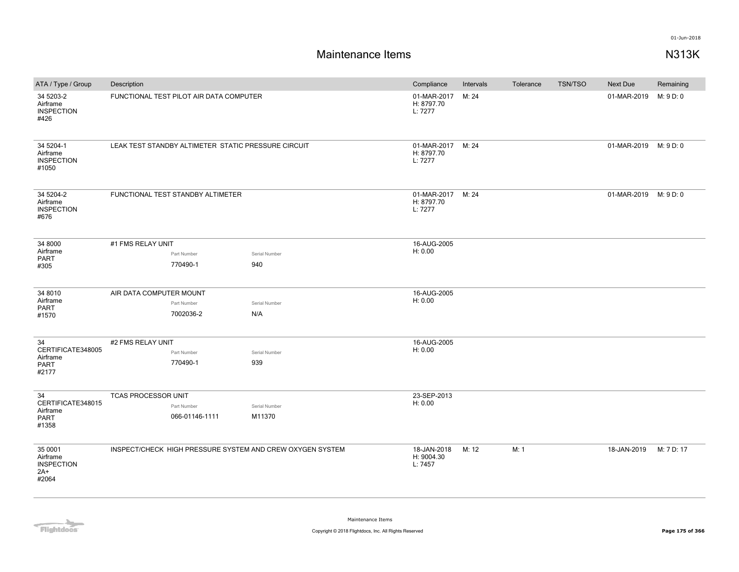| ATA / Type / Group                                         | Description                |                                                     |                                                           | Compliance                                 | Intervals | Tolerance | <b>TSN/TSO</b> | <b>Next Due</b>       | Remaining  |
|------------------------------------------------------------|----------------------------|-----------------------------------------------------|-----------------------------------------------------------|--------------------------------------------|-----------|-----------|----------------|-----------------------|------------|
| 34 5203-2<br>Airframe<br><b>INSPECTION</b><br>#426         |                            | FUNCTIONAL TEST PILOT AIR DATA COMPUTER             |                                                           | 01-MAR-2017<br>H: 8797.70<br>L: 7277       | M: 24     |           |                | 01-MAR-2019           | M: 9 D: 0  |
| 34 5204-1<br>Airframe<br><b>INSPECTION</b><br>#1050        |                            | LEAK TEST STANDBY ALTIMETER STATIC PRESSURE CIRCUIT |                                                           | 01-MAR-2017 M: 24<br>H: 8797.70<br>L: 7277 |           |           |                | 01-MAR-2019 M: 9 D: 0 |            |
| 34 5204-2<br>Airframe<br><b>INSPECTION</b><br>#676         |                            | FUNCTIONAL TEST STANDBY ALTIMETER                   |                                                           | 01-MAR-2017<br>H: 8797.70<br>L: 7277       | M: 24     |           |                | 01-MAR-2019 M: 9 D: 0 |            |
| 34 8000                                                    | #1 FMS RELAY UNIT          |                                                     |                                                           | 16-AUG-2005                                |           |           |                |                       |            |
| Airframe<br>PART                                           |                            | Part Number                                         | Serial Number                                             | H: 0.00                                    |           |           |                |                       |            |
| #305                                                       |                            | 770490-1                                            | 940                                                       |                                            |           |           |                |                       |            |
| 34 8010                                                    | AIR DATA COMPUTER MOUNT    |                                                     |                                                           | 16-AUG-2005                                |           |           |                |                       |            |
| Airframe<br>PART                                           |                            | Part Number                                         | Serial Number                                             | H: 0.00                                    |           |           |                |                       |            |
| #1570                                                      |                            | 7002036-2                                           | N/A                                                       |                                            |           |           |                |                       |            |
| 34                                                         | #2 FMS RELAY UNIT          |                                                     |                                                           | 16-AUG-2005                                |           |           |                |                       |            |
| CERTIFICATE348005                                          |                            | Part Number                                         | Serial Number                                             | H: 0.00                                    |           |           |                |                       |            |
| Airframe<br><b>PART</b><br>#2177                           |                            | 770490-1                                            | 939                                                       |                                            |           |           |                |                       |            |
| 34                                                         | <b>TCAS PROCESSOR UNIT</b> |                                                     |                                                           | 23-SEP-2013                                |           |           |                |                       |            |
| CERTIFICATE348015                                          |                            | Part Number                                         | Serial Number                                             | H: 0.00                                    |           |           |                |                       |            |
| Airframe<br>PART<br>#1358                                  |                            | 066-01146-1111                                      | M11370                                                    |                                            |           |           |                |                       |            |
| 35 0001<br>Airframe<br><b>INSPECTION</b><br>$2A+$<br>#2064 |                            |                                                     | INSPECT/CHECK HIGH PRESSURE SYSTEM AND CREW OXYGEN SYSTEM | 18-JAN-2018<br>H: 9004.30<br>L: 7457       | M: 12     | M: 1      |                | 18-JAN-2019           | M: 7 D: 17 |

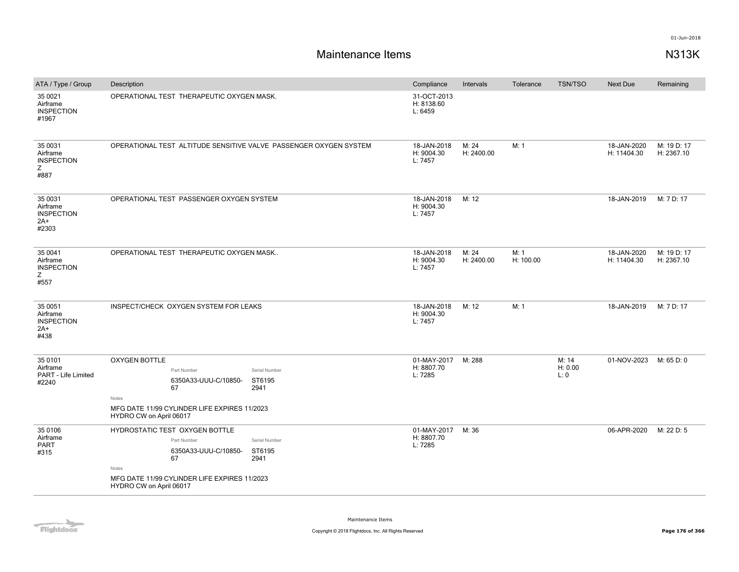| ATA / Type / Group                                         | Description                                                                                                                                                                                        | Compliance                           | Intervals           | Tolerance         | <b>TSN/TSO</b>          | <b>Next Due</b>            | Remaining                 |
|------------------------------------------------------------|----------------------------------------------------------------------------------------------------------------------------------------------------------------------------------------------------|--------------------------------------|---------------------|-------------------|-------------------------|----------------------------|---------------------------|
| 35 0021<br>Airframe<br><b>INSPECTION</b><br>#1967          | OPERATIONAL TEST THERAPEUTIC OXYGEN MASK.                                                                                                                                                          | 31-OCT-2013<br>H: 8138.60<br>L: 6459 |                     |                   |                         |                            |                           |
| 35 0031<br>Airframe<br><b>INSPECTION</b><br>Z<br>#887      | OPERATIONAL TEST ALTITUDE SENSITIVE VALVE PASSENGER OXYGEN SYSTEM                                                                                                                                  | 18-JAN-2018<br>H: 9004.30<br>L: 7457 | M: 24<br>H: 2400.00 | M: 1              |                         | 18-JAN-2020<br>H: 11404.30 | M: 19 D: 17<br>H: 2367.10 |
| 35 0031<br>Airframe<br><b>INSPECTION</b><br>$2A+$<br>#2303 | OPERATIONAL TEST PASSENGER OXYGEN SYSTEM                                                                                                                                                           | 18-JAN-2018<br>H: 9004.30<br>L: 7457 | M: 12               |                   |                         | 18-JAN-2019                | M: 7 D: 17                |
| 35 0041<br>Airframe<br><b>INSPECTION</b><br>Z<br>#557      | OPERATIONAL TEST THERAPEUTIC OXYGEN MASK                                                                                                                                                           | 18-JAN-2018<br>H: 9004.30<br>L: 7457 | M: 24<br>H: 2400.00 | M: 1<br>H: 100.00 |                         | 18-JAN-2020<br>H: 11404.30 | M: 19 D: 17<br>H: 2367.10 |
| 35 0051<br>Airframe<br><b>INSPECTION</b><br>$2A+$<br>#438  | INSPECT/CHECK OXYGEN SYSTEM FOR LEAKS                                                                                                                                                              | 18-JAN-2018<br>H: 9004.30<br>L: 7457 | M: 12               | M: 1              |                         | 18-JAN-2019                | M: 7 D: 17                |
| 35 0101<br>Airframe<br>PART - Life Limited<br>#2240        | <b>OXYGEN BOTTLE</b><br>Part Number<br>Serial Number<br>6350A33-UUU-C/10850-<br>ST6195<br>67<br>2941<br>Notes<br>MFG DATE 11/99 CYLINDER LIFE EXPIRES 11/2023<br>HYDRO CW on April 06017           | 01-MAY-2017<br>H: 8807.70<br>L: 7285 | M: 288              |                   | M: 14<br>H: 0.00<br>L:0 | 01-NOV-2023                | M: 65 D: 0                |
| 35 0106<br>Airframe<br>PART<br>#315                        | HYDROSTATIC TEST OXYGEN BOTTLE<br>Part Number<br>Serial Number<br>6350A33-UUU-C/10850-<br>ST6195<br>67<br>2941<br>Notes<br>MFG DATE 11/99 CYLINDER LIFE EXPIRES 11/2023<br>HYDRO CW on April 06017 | 01-MAY-2017<br>H: 8807.70<br>L: 7285 | M: 36               |                   |                         | 06-APR-2020                | M: 22 D: 5                |

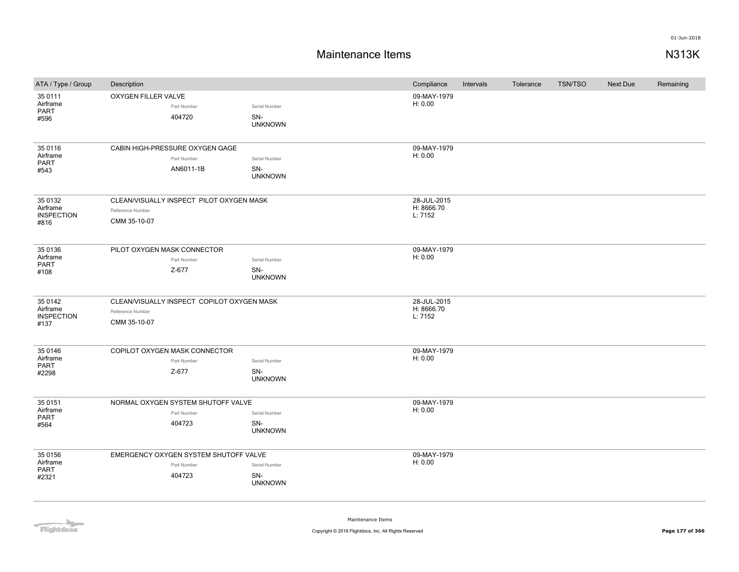# **Maintenance Items N313K**

| ATA / Type / Group                               | Description                      |                                                                |                                        | Compliance                           | Intervals | Tolerance | <b>TSN/TSO</b> | Next Due | Remaining |
|--------------------------------------------------|----------------------------------|----------------------------------------------------------------|----------------------------------------|--------------------------------------|-----------|-----------|----------------|----------|-----------|
| 35 0111<br>Airframe<br>PART<br>#596              | OXYGEN FILLER VALVE              | Part Number<br>404720                                          | Serial Number<br>SN-<br><b>UNKNOWN</b> | 09-MAY-1979<br>H: 0.00               |           |           |                |          |           |
| 35 0116<br>Airframe<br><b>PART</b><br>#543       |                                  | CABIN HIGH-PRESSURE OXYGEN GAGE<br>Part Number<br>AN6011-1B    | Serial Number<br>SN-<br><b>UNKNOWN</b> | 09-MAY-1979<br>H: 0.00               |           |           |                |          |           |
| 35 0132<br>Airframe<br><b>INSPECTION</b><br>#816 | Reference Number<br>CMM 35-10-07 | CLEAN/VISUALLY INSPECT PILOT OXYGEN MASK                       |                                        | 28-JUL-2015<br>H: 8666.70<br>L: 7152 |           |           |                |          |           |
| 35 0136<br>Airframe<br><b>PART</b><br>#108       | PILOT OXYGEN MASK CONNECTOR      | Part Number<br>Z-677                                           | Serial Number<br>SN-<br><b>UNKNOWN</b> | 09-MAY-1979<br>H: 0.00               |           |           |                |          |           |
| 35 0142<br>Airframe<br><b>INSPECTION</b><br>#137 | Reference Number<br>CMM 35-10-07 | CLEAN/VISUALLY INSPECT COPILOT OXYGEN MASK                     |                                        | 28-JUL-2015<br>H: 8666.70<br>L: 7152 |           |           |                |          |           |
| 35 0146<br>Airframe<br>PART<br>#2298             |                                  | COPILOT OXYGEN MASK CONNECTOR<br>Part Number<br>Z-677          | Serial Number<br>SN-<br><b>UNKNOWN</b> | 09-MAY-1979<br>H: 0.00               |           |           |                |          |           |
| 35 0151<br>Airframe<br>PART<br>#564              |                                  | NORMAL OXYGEN SYSTEM SHUTOFF VALVE<br>Part Number<br>404723    | Serial Number<br>SN-<br><b>UNKNOWN</b> | 09-MAY-1979<br>H: 0.00               |           |           |                |          |           |
| 35 0156<br>Airframe<br><b>PART</b><br>#2321      |                                  | EMERGENCY OXYGEN SYSTEM SHUTOFF VALVE<br>Part Number<br>404723 | Serial Number<br>SN-<br><b>UNKNOWN</b> | 09-MAY-1979<br>H: 0.00               |           |           |                |          |           |

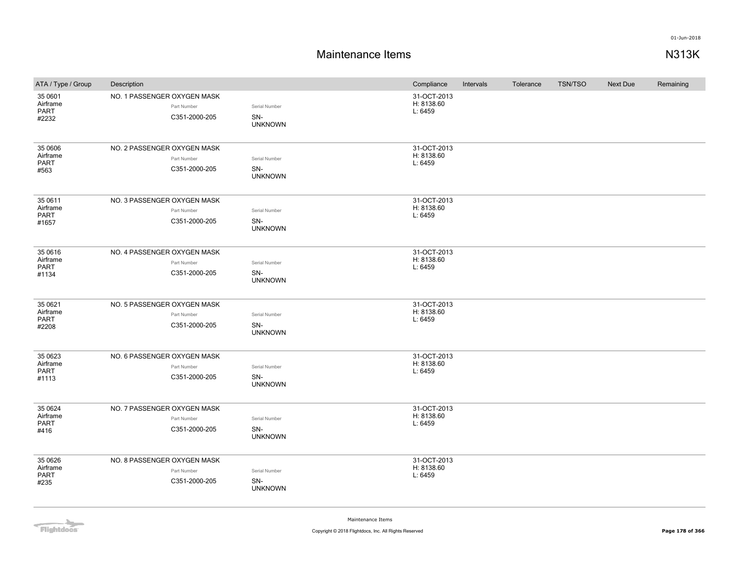## **Maintenance Items N313K**

| ATA / Type / Group                          | Description                                                 |                                        | Compliance                           | Intervals | Tolerance | <b>TSN/TSO</b> | Next Due | Remaining |
|---------------------------------------------|-------------------------------------------------------------|----------------------------------------|--------------------------------------|-----------|-----------|----------------|----------|-----------|
| 35 0601<br>Airframe<br>PART<br>#2232        | NO. 1 PASSENGER OXYGEN MASK<br>Part Number<br>C351-2000-205 | Serial Number<br>SN-<br><b>UNKNOWN</b> | 31-OCT-2013<br>H: 8138.60<br>L: 6459 |           |           |                |          |           |
| 35 0606<br>Airframe<br>PART<br>#563         | NO. 2 PASSENGER OXYGEN MASK<br>Part Number<br>C351-2000-205 | Serial Number<br>SN-<br><b>UNKNOWN</b> | 31-OCT-2013<br>H: 8138.60<br>L: 6459 |           |           |                |          |           |
| 35 0611<br>Airframe<br>PART<br>#1657        | NO. 3 PASSENGER OXYGEN MASK<br>Part Number<br>C351-2000-205 | Serial Number<br>SN-<br><b>UNKNOWN</b> | 31-OCT-2013<br>H: 8138.60<br>L: 6459 |           |           |                |          |           |
| 35 06 16<br>Airframe<br>PART<br>#1134       | NO. 4 PASSENGER OXYGEN MASK<br>Part Number<br>C351-2000-205 | Serial Number<br>SN-<br><b>UNKNOWN</b> | 31-OCT-2013<br>H: 8138.60<br>L: 6459 |           |           |                |          |           |
| 35 0621<br>Airframe<br>PART<br>#2208        | NO. 5 PASSENGER OXYGEN MASK<br>Part Number<br>C351-2000-205 | Serial Number<br>SN-<br><b>UNKNOWN</b> | 31-OCT-2013<br>H: 8138.60<br>L: 6459 |           |           |                |          |           |
| 35 0623<br>Airframe<br>PART<br>#1113        | NO. 6 PASSENGER OXYGEN MASK<br>Part Number<br>C351-2000-205 | Serial Number<br>SN-<br><b>UNKNOWN</b> | 31-OCT-2013<br>H: 8138.60<br>L: 6459 |           |           |                |          |           |
| 35 0624<br>Airframe<br><b>PART</b><br>#416  | NO. 7 PASSENGER OXYGEN MASK<br>Part Number<br>C351-2000-205 | Serial Number<br>SN-<br><b>UNKNOWN</b> | 31-OCT-2013<br>H: 8138.60<br>L: 6459 |           |           |                |          |           |
| 35 06 26<br>Airframe<br><b>PART</b><br>#235 | NO. 8 PASSENGER OXYGEN MASK<br>Part Number<br>C351-2000-205 | Serial Number<br>SN-<br><b>UNKNOWN</b> | 31-OCT-2013<br>H: 8138.60<br>L: 6459 |           |           |                |          |           |

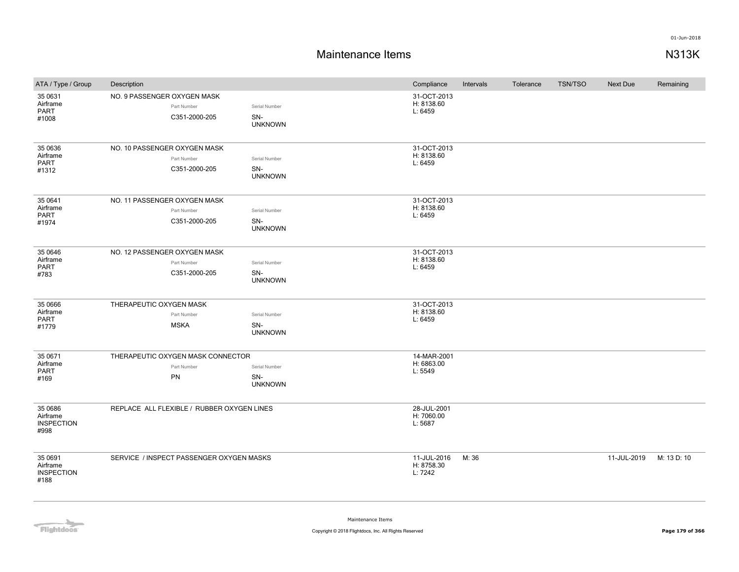| ATA / Type / Group                               | Description                                                  |                                        | Compliance                           | Intervals | Tolerance | <b>TSN/TSO</b> | Next Due    | Remaining   |
|--------------------------------------------------|--------------------------------------------------------------|----------------------------------------|--------------------------------------|-----------|-----------|----------------|-------------|-------------|
| 35 0631<br>Airframe<br>PART<br>#1008             | NO. 9 PASSENGER OXYGEN MASK<br>Part Number<br>C351-2000-205  | Serial Number<br>SN-<br><b>UNKNOWN</b> | 31-OCT-2013<br>H: 8138.60<br>L: 6459 |           |           |                |             |             |
| 35 0636<br>Airframe<br>PART<br>#1312             | NO. 10 PASSENGER OXYGEN MASK<br>Part Number<br>C351-2000-205 | Serial Number<br>SN-<br><b>UNKNOWN</b> | 31-OCT-2013<br>H: 8138.60<br>L: 6459 |           |           |                |             |             |
| 35 0641<br>Airframe<br>PART<br>#1974             | NO. 11 PASSENGER OXYGEN MASK<br>Part Number<br>C351-2000-205 | Serial Number<br>SN-<br><b>UNKNOWN</b> | 31-OCT-2013<br>H: 8138.60<br>L: 6459 |           |           |                |             |             |
| 35 0646<br>Airframe<br>PART<br>#783              | NO. 12 PASSENGER OXYGEN MASK<br>Part Number<br>C351-2000-205 | Serial Number<br>SN-<br><b>UNKNOWN</b> | 31-OCT-2013<br>H: 8138.60<br>L: 6459 |           |           |                |             |             |
| 35 0666<br>Airframe<br>PART<br>#1779             | THERAPEUTIC OXYGEN MASK<br>Part Number<br><b>MSKA</b>        | Serial Number<br>SN-<br><b>UNKNOWN</b> | 31-OCT-2013<br>H: 8138.60<br>L: 6459 |           |           |                |             |             |
| 35 0671<br>Airframe<br>PART<br>#169              | THERAPEUTIC OXYGEN MASK CONNECTOR<br>Part Number<br>PN       | Serial Number<br>SN-<br><b>UNKNOWN</b> | 14-MAR-2001<br>H: 6863.00<br>L: 5549 |           |           |                |             |             |
| 35 0686<br>Airframe<br><b>INSPECTION</b><br>#998 | REPLACE ALL FLEXIBLE / RUBBER OXYGEN LINES                   |                                        | 28-JUL-2001<br>H: 7060.00<br>L: 5687 |           |           |                |             |             |
| 35 0691<br>Airframe<br><b>INSPECTION</b><br>#188 | SERVICE / INSPECT PASSENGER OXYGEN MASKS                     |                                        | 11-JUL-2016<br>H: 8758.30<br>L: 7242 | M: 36     |           |                | 11-JUL-2019 | M: 13 D: 10 |

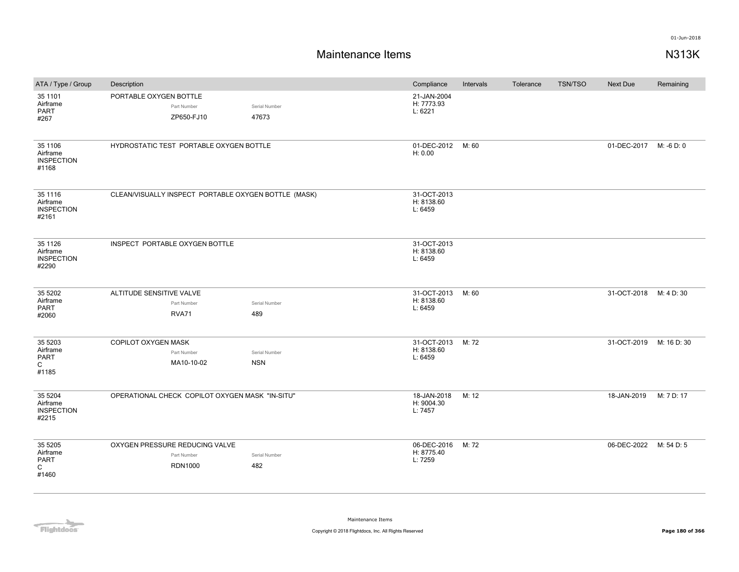| ATA / Type / Group                                   | Description                                                     |                             | Compliance                           | Intervals | Tolerance | <b>TSN/TSO</b> | Next Due               | Remaining   |
|------------------------------------------------------|-----------------------------------------------------------------|-----------------------------|--------------------------------------|-----------|-----------|----------------|------------------------|-------------|
| 35 1101<br>Airframe<br><b>PART</b><br>#267           | PORTABLE OXYGEN BOTTLE<br>Part Number<br>ZP650-FJ10             | Serial Number<br>47673      | 21-JAN-2004<br>H: 7773.93<br>L: 6221 |           |           |                |                        |             |
| 35 1106<br>Airframe<br><b>INSPECTION</b><br>#1168    | HYDROSTATIC TEST PORTABLE OXYGEN BOTTLE                         |                             | 01-DEC-2012<br>H: 0.00               | M: 60     |           |                | 01-DEC-2017 M: -6 D: 0 |             |
| 35 1116<br>Airframe<br><b>INSPECTION</b><br>#2161    | CLEAN/VISUALLY INSPECT PORTABLE OXYGEN BOTTLE (MASK)            |                             | 31-OCT-2013<br>H: 8138.60<br>L: 6459 |           |           |                |                        |             |
| 35 1126<br>Airframe<br><b>INSPECTION</b><br>#2290    | INSPECT PORTABLE OXYGEN BOTTLE                                  |                             | 31-OCT-2013<br>H: 8138.60<br>L: 6459 |           |           |                |                        |             |
| 35 5202<br>Airframe<br>PART<br>#2060                 | ALTITUDE SENSITIVE VALVE<br>Part Number<br><b>RVA71</b>         | Serial Number<br>489        | 31-OCT-2013<br>H: 8138.60<br>L: 6459 | M: 60     |           |                | 31-OCT-2018 M: 4 D: 30 |             |
| 35 5203<br>Airframe<br>PART<br>$\mathsf{C}$<br>#1185 | COPILOT OXYGEN MASK<br>Part Number<br>MA10-10-02                | Serial Number<br><b>NSN</b> | 31-OCT-2013<br>H: 8138.60<br>L: 6459 | M: 72     |           |                | 31-OCT-2019            | M: 16 D: 30 |
| 35 5204<br>Airframe<br><b>INSPECTION</b><br>#2215    | OPERATIONAL CHECK COPILOT OXYGEN MASK "IN-SITU"                 |                             | 18-JAN-2018<br>H: 9004.30<br>L: 7457 | M: 12     |           |                | 18-JAN-2019            | M: 7 D: 17  |
| 35 5205<br>Airframe<br>PART<br>$\mathsf{C}$<br>#1460 | OXYGEN PRESSURE REDUCING VALVE<br>Part Number<br><b>RDN1000</b> | Serial Number<br>482        | 06-DEC-2016<br>H: 8775.40<br>L: 7259 | M: 72     |           |                | 06-DEC-2022            | M: 54 D: 5  |

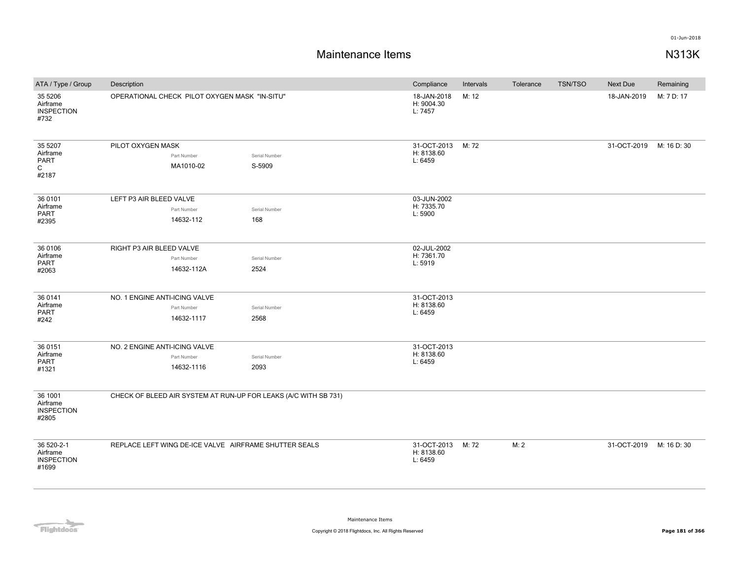| ATA / Type / Group                                   | Description                                                     |                         | Compliance                           | Intervals | Tolerance | TSN/TSO | <b>Next Due</b> | Remaining   |
|------------------------------------------------------|-----------------------------------------------------------------|-------------------------|--------------------------------------|-----------|-----------|---------|-----------------|-------------|
| 35 5 206<br>Airframe<br><b>INSPECTION</b><br>#732    | OPERATIONAL CHECK PILOT OXYGEN MASK "IN-SITU"                   |                         | 18-JAN-2018<br>H: 9004.30<br>L: 7457 | M: 12     |           |         | 18-JAN-2019     | M: 7 D: 17  |
| 35 5207<br>Airframe<br>PART<br>C<br>#2187            | PILOT OXYGEN MASK<br>Part Number<br>MA1010-02                   | Serial Number<br>S-5909 | 31-OCT-2013<br>H: 8138.60<br>L: 6459 | M: 72     |           |         | 31-OCT-2019     | M: 16 D: 30 |
| 36 0101<br>Airframe<br>PART<br>#2395                 | LEFT P3 AIR BLEED VALVE<br>Part Number<br>14632-112             | Serial Number<br>168    | 03-JUN-2002<br>H: 7335.70<br>L: 5900 |           |           |         |                 |             |
| 36 0106<br>Airframe<br>PART<br>#2063                 | RIGHT P3 AIR BLEED VALVE<br>Part Number<br>14632-112A           | Serial Number<br>2524   | 02-JUL-2002<br>H: 7361.70<br>L: 5919 |           |           |         |                 |             |
| 36 0141<br>Airframe<br>PART<br>#242                  | NO. 1 ENGINE ANTI-ICING VALVE<br>Part Number<br>14632-1117      | Serial Number<br>2568   | 31-OCT-2013<br>H: 8138.60<br>L: 6459 |           |           |         |                 |             |
| 36 0151<br>Airframe<br>PART<br>#1321                 | NO. 2 ENGINE ANTI-ICING VALVE<br>Part Number<br>14632-1116      | Serial Number<br>2093   | 31-OCT-2013<br>H: 8138.60<br>L: 6459 |           |           |         |                 |             |
| 36 1001<br>Airframe<br><b>INSPECTION</b><br>#2805    | CHECK OF BLEED AIR SYSTEM AT RUN-UP FOR LEAKS (A/C WITH SB 731) |                         |                                      |           |           |         |                 |             |
| 36 520-2-1<br>Airframe<br><b>INSPECTION</b><br>#1699 | REPLACE LEFT WING DE-ICE VALVE AIRFRAME SHUTTER SEALS           |                         | 31-OCT-2013<br>H: 8138.60<br>L: 6459 | M: 72     | M: 2      |         | 31-OCT-2019     | M: 16 D: 30 |

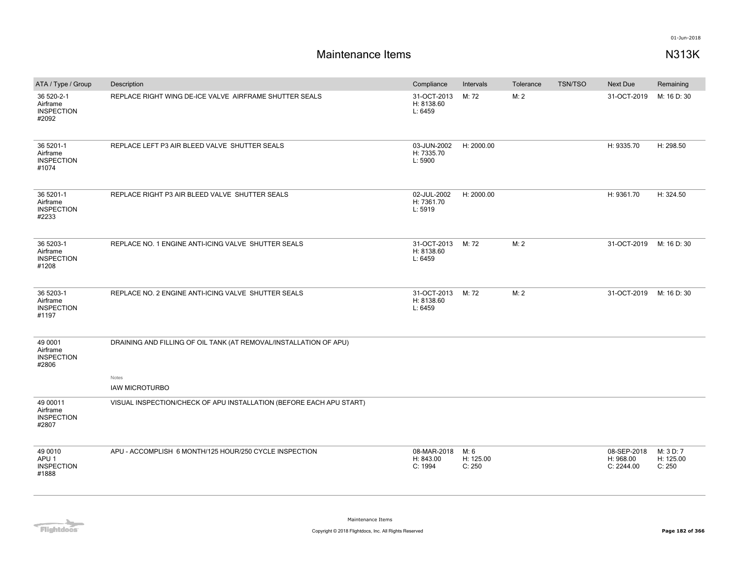| Description                                                         | Compliance                           | Intervals                   | Tolerance         | <b>TSN/TSO</b> | Next Due                               | Remaining                        |
|---------------------------------------------------------------------|--------------------------------------|-----------------------------|-------------------|----------------|----------------------------------------|----------------------------------|
| REPLACE RIGHT WING DE-ICE VALVE AIRFRAME SHUTTER SEALS              | 31-OCT-2013<br>H: 8138.60<br>L: 6459 | M: 72                       | M: 2              |                | 31-OCT-2019                            | M: 16 D: 30                      |
| REPLACE LEFT P3 AIR BLEED VALVE SHUTTER SEALS                       | 03-JUN-2002<br>H: 7335.70<br>L: 5900 | H: 2000.00                  |                   |                | H: 9335.70                             | H: 298.50                        |
| REPLACE RIGHT P3 AIR BLEED VALVE SHUTTER SEALS                      | 02-JUL-2002<br>H: 7361.70<br>L: 5919 | H: 2000.00                  |                   |                | H: 9361.70                             | H: 324.50                        |
| REPLACE NO. 1 ENGINE ANTI-ICING VALVE SHUTTER SEALS                 | 31-OCT-2013<br>H: 8138.60<br>L: 6459 | M: 72                       | M: 2              |                | 31-OCT-2019                            | M: 16 D: 30                      |
| REPLACE NO. 2 ENGINE ANTI-ICING VALVE SHUTTER SEALS                 | H: 8138.60<br>L: 6459                |                             | M: 2              |                | 31-OCT-2019                            | M: 16 D: 30                      |
| DRAINING AND FILLING OF OIL TANK (AT REMOVAL/INSTALLATION OF APU)   |                                      |                             |                   |                |                                        |                                  |
| Notes                                                               |                                      |                             |                   |                |                                        |                                  |
| VISUAL INSPECTION/CHECK OF APU INSTALLATION (BEFORE EACH APU START) |                                      |                             |                   |                |                                        |                                  |
| APU - ACCOMPLISH 6 MONTH/125 HOUR/250 CYCLE INSPECTION              | 08-MAR-2018<br>H: 843.00<br>C: 1994  | M: 6<br>H: 125.00<br>C: 250 |                   |                | 08-SEP-2018<br>H: 968.00<br>C: 2244.00 | M: 3 D: 7<br>H: 125.00<br>C: 250 |
|                                                                     | <b>IAW MICROTURBO</b>                |                             | 31-OCT-2013 M: 72 |                |                                        |                                  |

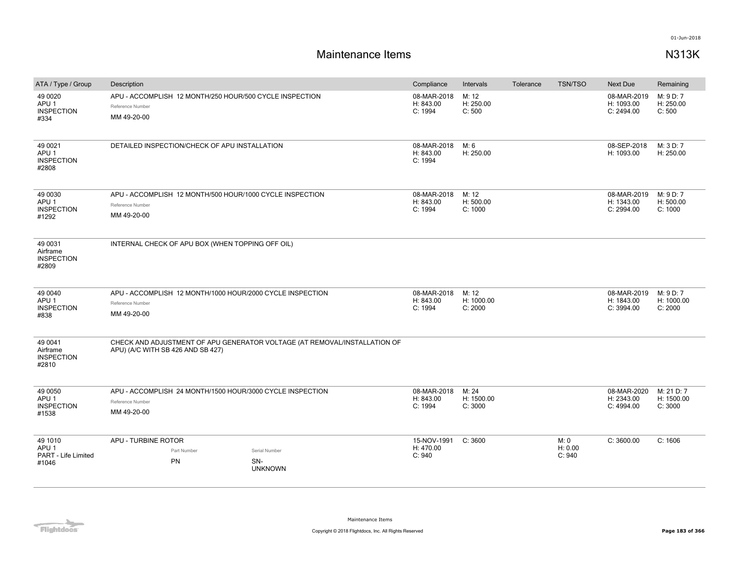| ATA / Type / Group                                          | Description                                                                                                    |                                        | Compliance                          | Intervals                      | Tolerance | <b>TSN/TSO</b>            | <b>Next Due</b>                         | Remaining                           |
|-------------------------------------------------------------|----------------------------------------------------------------------------------------------------------------|----------------------------------------|-------------------------------------|--------------------------------|-----------|---------------------------|-----------------------------------------|-------------------------------------|
| 49 00 20<br>APU <sub>1</sub><br><b>INSPECTION</b><br>#334   | APU - ACCOMPLISH 12 MONTH/250 HOUR/500 CYCLE INSPECTION<br>Reference Number<br>MM 49-20-00                     |                                        | 08-MAR-2018<br>H: 843.00<br>C: 1994 | M: 12<br>H: 250.00<br>C: 500   |           |                           | 08-MAR-2019<br>H: 1093.00<br>C: 2494.00 | M: 9 D: 7<br>H: 250.00<br>C: 500    |
| 49 0021<br>APU <sub>1</sub><br><b>INSPECTION</b><br>#2808   | DETAILED INSPECTION/CHECK OF APU INSTALLATION                                                                  |                                        | 08-MAR-2018<br>H: 843.00<br>C: 1994 | M: 6<br>H: 250.00              |           |                           | 08-SEP-2018<br>H: 1093.00               | M: 3 D: 7<br>H: 250.00              |
| 49 0030<br>APU <sub>1</sub><br><b>INSPECTION</b><br>#1292   | APU - ACCOMPLISH 12 MONTH/500 HOUR/1000 CYCLE INSPECTION<br>Reference Number<br>MM 49-20-00                    |                                        | 08-MAR-2018<br>H: 843.00<br>C: 1994 | M: 12<br>H: 500.00<br>C: 1000  |           |                           | 08-MAR-2019<br>H: 1343.00<br>C: 2994.00 | M: 9 D: 7<br>H: 500.00<br>C: 1000   |
| 49 0031<br>Airframe<br><b>INSPECTION</b><br>#2809           | INTERNAL CHECK OF APU BOX (WHEN TOPPING OFF OIL)                                                               |                                        |                                     |                                |           |                           |                                         |                                     |
| 49 0040<br>APU <sub>1</sub><br><b>INSPECTION</b><br>#838    | APU - ACCOMPLISH 12 MONTH/1000 HOUR/2000 CYCLE INSPECTION<br>Reference Number<br>MM 49-20-00                   |                                        | 08-MAR-2018<br>H: 843.00<br>C: 1994 | M: 12<br>H: 1000.00<br>C: 2000 |           |                           | 08-MAR-2019<br>H: 1843.00<br>C: 3994.00 | M: 9 D: 7<br>H: 1000.00<br>C: 2000  |
| 49 0041<br>Airframe<br><b>INSPECTION</b><br>#2810           | CHECK AND ADJUSTMENT OF APU GENERATOR VOLTAGE (AT REMOVAL/INSTALLATION OF<br>APU) (A/C WITH SB 426 AND SB 427) |                                        |                                     |                                |           |                           |                                         |                                     |
| 49 0050<br>APU <sub>1</sub><br><b>INSPECTION</b><br>#1538   | APU - ACCOMPLISH 24 MONTH/1500 HOUR/3000 CYCLE INSPECTION<br>Reference Number<br>MM 49-20-00                   |                                        | 08-MAR-2018<br>H: 843.00<br>C: 1994 | M: 24<br>H: 1500.00<br>C: 3000 |           |                           | 08-MAR-2020<br>H: 2343.00<br>C: 4994.00 | M: 21 D: 7<br>H: 1500.00<br>C: 3000 |
| 49 1010<br>APU <sub>1</sub><br>PART - Life Limited<br>#1046 | APU - TURBINE ROTOR<br>Part Number<br>PN                                                                       | Serial Number<br>SN-<br><b>UNKNOWN</b> | 15-NOV-1991<br>H: 470.00<br>C: 940  | C: 3600                        |           | M: 0<br>H: 0.00<br>C: 940 | C: 3600.00                              | C: 1606                             |

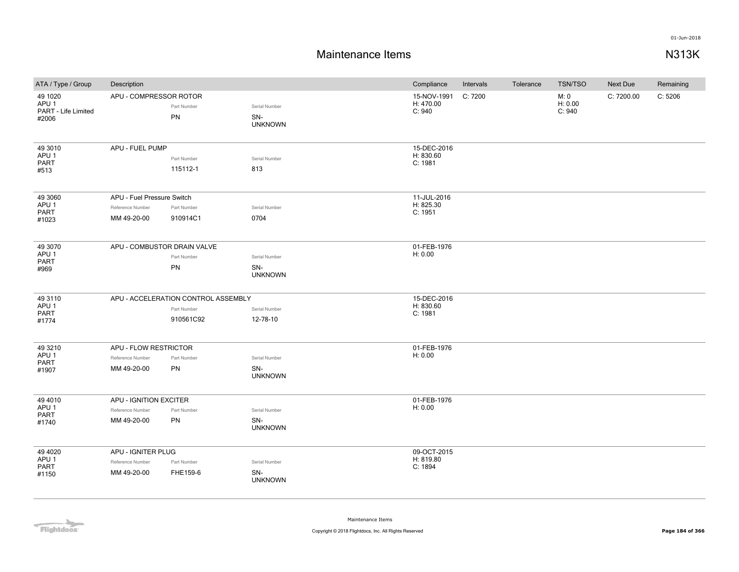### **Maintenance Items N313K**

| ATA / Type / Group                                          | Description                                                   |                                                                 |                                        | Compliance                          | Intervals | Tolerance | TSN/TSO                   | Next Due   | Remaining |
|-------------------------------------------------------------|---------------------------------------------------------------|-----------------------------------------------------------------|----------------------------------------|-------------------------------------|-----------|-----------|---------------------------|------------|-----------|
| 49 1020<br>APU <sub>1</sub><br>PART - Life Limited<br>#2006 | APU - COMPRESSOR ROTOR                                        | Part Number<br>PN                                               | Serial Number<br>SN-<br><b>UNKNOWN</b> | 15-NOV-1991<br>H: 470.00<br>C: 940  | C: 7200   |           | M: 0<br>H: 0.00<br>C: 940 | C: 7200.00 | C: 5206   |
| 49 30 10<br>APU <sub>1</sub><br>PART<br>#513                | APU - FUEL PUMP                                               | Part Number<br>115112-1                                         | Serial Number<br>813                   | 15-DEC-2016<br>H: 830.60<br>C: 1981 |           |           |                           |            |           |
| 49 3060<br>APU <sub>1</sub><br><b>PART</b><br>#1023         | APU - Fuel Pressure Switch<br>Reference Number<br>MM 49-20-00 | Part Number<br>910914C1                                         | Serial Number<br>0704                  | 11-JUL-2016<br>H: 825.30<br>C: 1951 |           |           |                           |            |           |
| 49 30 70<br>APU <sub>1</sub><br>PART<br>#969                | APU - COMBUSTOR DRAIN VALVE                                   | Part Number<br>PN                                               | Serial Number<br>SN-<br><b>UNKNOWN</b> | 01-FEB-1976<br>H: 0.00              |           |           |                           |            |           |
| 49 3110<br>APU <sub>1</sub><br>PART<br>#1774                |                                                               | APU - ACCELERATION CONTROL ASSEMBLY<br>Part Number<br>910561C92 | Serial Number<br>12-78-10              | 15-DEC-2016<br>H: 830.60<br>C: 1981 |           |           |                           |            |           |
| 49 3210<br>APU <sub>1</sub><br>PART<br>#1907                | APU - FLOW RESTRICTOR<br>Reference Number<br>MM 49-20-00      | Part Number<br>PN                                               | Serial Number<br>SN-<br><b>UNKNOWN</b> | 01-FEB-1976<br>H: 0.00              |           |           |                           |            |           |
| 49 4010<br>APU <sub>1</sub><br>PART<br>#1740                | APU - IGNITION EXCITER<br>Reference Number<br>MM 49-20-00     | Part Number<br>PN                                               | Serial Number<br>SN-<br><b>UNKNOWN</b> | 01-FEB-1976<br>H: 0.00              |           |           |                           |            |           |
| 49 40 20<br>APU <sub>1</sub><br>PART<br>#1150               | APU - IGNITER PLUG<br>Reference Number<br>MM 49-20-00         | Part Number<br>FHE159-6                                         | Serial Number<br>SN-<br><b>UNKNOWN</b> | 09-OCT-2015<br>H: 819.80<br>C: 1894 |           |           |                           |            |           |

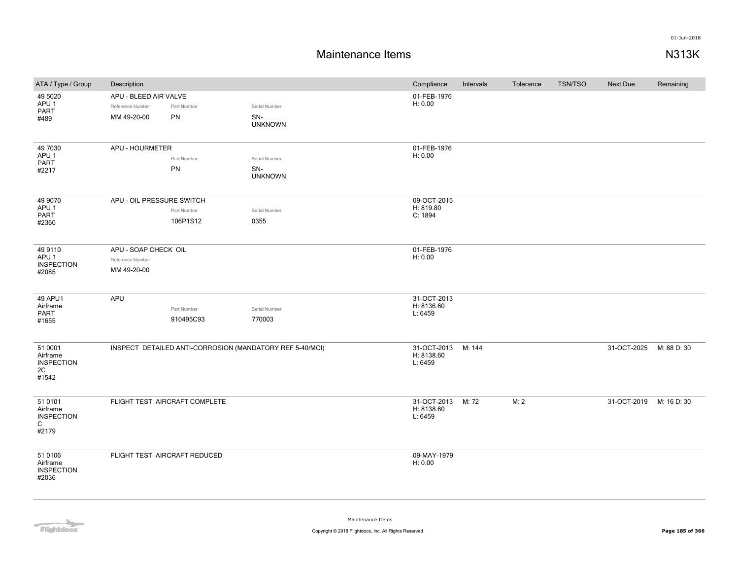| ATA / Type / Group                                                | Description                                              |                               |                                                          | Compliance                           | Intervals | Tolerance | <b>TSN/TSO</b> | Next Due                | Remaining   |
|-------------------------------------------------------------------|----------------------------------------------------------|-------------------------------|----------------------------------------------------------|--------------------------------------|-----------|-----------|----------------|-------------------------|-------------|
| 49 5020<br>APU <sub>1</sub><br><b>PART</b>                        | APU - BLEED AIR VALVE<br>Reference Number<br>MM 49-20-00 | Part Number<br>PN             | Serial Number<br>SN-                                     | 01-FEB-1976<br>H: 0.00               |           |           |                |                         |             |
| #489                                                              |                                                          |                               | <b>UNKNOWN</b>                                           |                                      |           |           |                |                         |             |
| 49 7030<br>APU <sub>1</sub><br>PART                               | APU - HOURMETER                                          | Part Number<br>PN             | Serial Number<br>SN-                                     | 01-FEB-1976<br>H: 0.00               |           |           |                |                         |             |
| #2217                                                             |                                                          |                               | <b>UNKNOWN</b>                                           |                                      |           |           |                |                         |             |
| 49 9070<br>APU <sub>1</sub>                                       | APU - OIL PRESSURE SWITCH                                |                               |                                                          | 09-OCT-2015<br>H: 819.80             |           |           |                |                         |             |
| PART<br>#2360                                                     |                                                          | Part Number<br>106P1S12       | Serial Number<br>0355                                    | C: 1894                              |           |           |                |                         |             |
| 49 9110<br>APU <sub>1</sub><br><b>INSPECTION</b><br>#2085         | APU - SOAP CHECK OIL<br>Reference Number<br>MM 49-20-00  |                               |                                                          | 01-FEB-1976<br>H: 0.00               |           |           |                |                         |             |
| 49 APU1<br>Airframe<br>PART<br>#1655                              | APU                                                      | Part Number<br>910495C93      | Serial Number<br>770003                                  | 31-OCT-2013<br>H: 8136.60<br>L: 6459 |           |           |                |                         |             |
| 51 0001<br>Airframe<br><b>INSPECTION</b><br>2C<br>#1542           |                                                          |                               | INSPECT DETAILED ANTI-CORROSION (MANDATORY REF 5-40/MCI) | 31-OCT-2013<br>H: 8138.60<br>L: 6459 | M: 144    |           |                | 31-OCT-2025             | M: 88 D: 30 |
| 51 0101<br>Airframe<br><b>INSPECTION</b><br>$\mathsf{C}$<br>#2179 |                                                          | FLIGHT TEST AIRCRAFT COMPLETE |                                                          | 31-OCT-2013<br>H: 8138.60<br>L: 6459 | M: 72     | M: 2      |                | 31-OCT-2019 M: 16 D: 30 |             |
| 51 0106<br>Airframe<br><b>INSPECTION</b><br>#2036                 |                                                          | FLIGHT TEST AIRCRAFT REDUCED  |                                                          | 09-MAY-1979<br>H: 0.00               |           |           |                |                         |             |

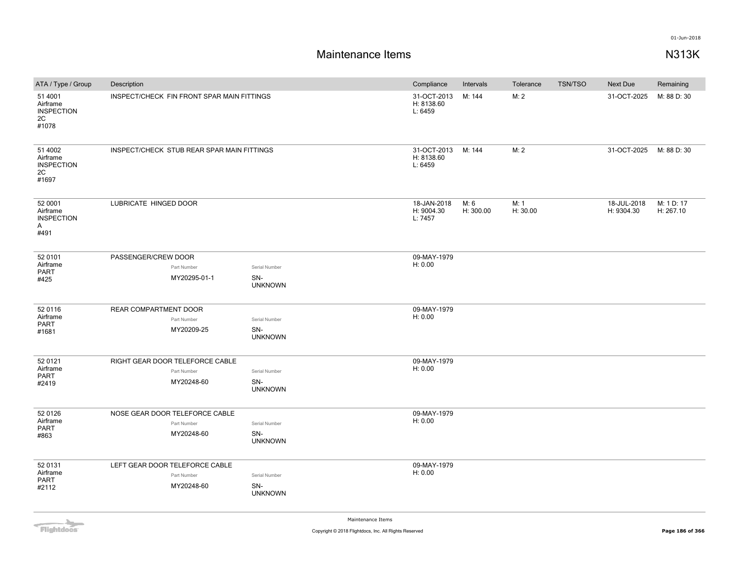| ATA / Type / Group                                               | Description                                |                       | Compliance                           | Intervals         | Tolerance        | <b>TSN/TSO</b> | Next Due                  | Remaining               |
|------------------------------------------------------------------|--------------------------------------------|-----------------------|--------------------------------------|-------------------|------------------|----------------|---------------------------|-------------------------|
| 51 4001<br>Airframe<br><b>INSPECTION</b><br>2C<br>#1078          | INSPECT/CHECK FIN FRONT SPAR MAIN FITTINGS |                       | 31-OCT-2013<br>H: 8138.60<br>L: 6459 | M: 144            | M: 2             |                | 31-OCT-2025               | M: 88 D: 30             |
| 51 4002<br>Airframe<br><b>INSPECTION</b><br>2C<br>#1697          | INSPECT/CHECK STUB REAR SPAR MAIN FITTINGS |                       | 31-OCT-2013<br>H: 8138.60<br>L: 6459 | M: 144            | M: 2             |                | 31-OCT-2025               | M: 88 D: 30             |
| 52 0001<br>Airframe<br><b>INSPECTION</b><br>$\mathsf{A}$<br>#491 | LUBRICATE HINGED DOOR                      |                       | 18-JAN-2018<br>H: 9004.30<br>L: 7457 | M: 6<br>H: 300.00 | M: 1<br>H: 30.00 |                | 18-JUL-2018<br>H: 9304.30 | M: 1 D: 17<br>H: 267.10 |
| 52 0101                                                          | PASSENGER/CREW DOOR                        |                       | 09-MAY-1979                          |                   |                  |                |                           |                         |
| Airframe<br><b>PART</b>                                          | Part Number                                | Serial Number         | H: 0.00                              |                   |                  |                |                           |                         |
| #425                                                             | MY20295-01-1                               | SN-<br><b>UNKNOWN</b> |                                      |                   |                  |                |                           |                         |
| 52 0116                                                          | REAR COMPARTMENT DOOR                      |                       | 09-MAY-1979                          |                   |                  |                |                           |                         |
| Airframe<br><b>PART</b>                                          | Part Number                                | Serial Number         | H: 0.00                              |                   |                  |                |                           |                         |
| #1681                                                            | MY20209-25                                 | SN-<br><b>UNKNOWN</b> |                                      |                   |                  |                |                           |                         |
| 52 0121                                                          | RIGHT GEAR DOOR TELEFORCE CABLE            |                       | 09-MAY-1979                          |                   |                  |                |                           |                         |
| Airframe<br>PART                                                 | Part Number                                | Serial Number         | H: 0.00                              |                   |                  |                |                           |                         |
| #2419                                                            | MY20248-60                                 | SN-<br><b>UNKNOWN</b> |                                      |                   |                  |                |                           |                         |
| 52 0126                                                          | NOSE GEAR DOOR TELEFORCE CABLE             |                       | 09-MAY-1979                          |                   |                  |                |                           |                         |
| Airframe<br><b>PART</b>                                          | Part Number                                | Serial Number         | H: 0.00                              |                   |                  |                |                           |                         |
| #863                                                             | MY20248-60                                 | SN-<br><b>UNKNOWN</b> |                                      |                   |                  |                |                           |                         |
| 52 0131                                                          | LEFT GEAR DOOR TELEFORCE CABLE             |                       | 09-MAY-1979                          |                   |                  |                |                           |                         |
| Airframe<br><b>PART</b>                                          | Part Number                                | Serial Number         | H: 0.00                              |                   |                  |                |                           |                         |
| #2112                                                            | MY20248-60                                 | SN-<br><b>UNKNOWN</b> |                                      |                   |                  |                |                           |                         |

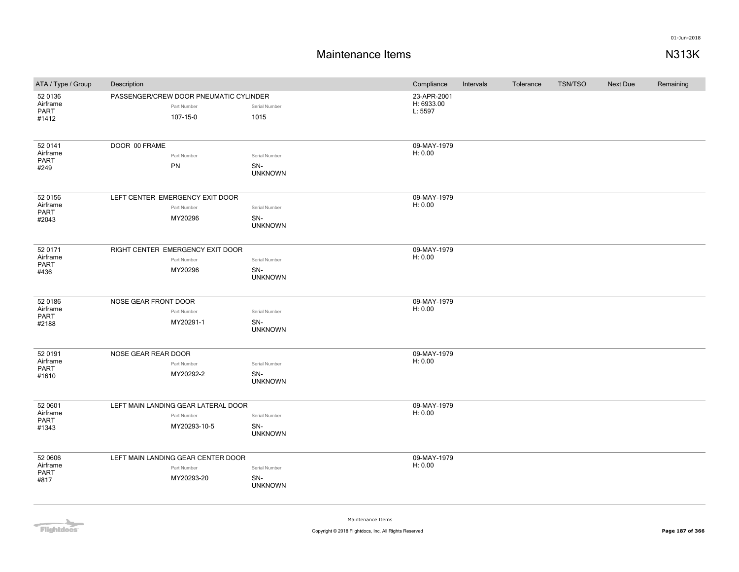## **Maintenance Items N313K**

| ATA / Type / Group                          | Description                                                        |                                        | Compliance                           | Intervals | Tolerance | <b>TSN/TSO</b> | Next Due | Remaining |
|---------------------------------------------|--------------------------------------------------------------------|----------------------------------------|--------------------------------------|-----------|-----------|----------------|----------|-----------|
| 52 0136<br>Airframe<br>PART<br>#1412        | PASSENGER/CREW DOOR PNEUMATIC CYLINDER<br>Part Number<br>107-15-0  | Serial Number<br>1015                  | 23-APR-2001<br>H: 6933.00<br>L: 5597 |           |           |                |          |           |
| 52 0141<br>Airframe<br>PART<br>#249         | DOOR 00 FRAME<br>Part Number<br>PN                                 | Serial Number<br>SN-<br><b>UNKNOWN</b> | 09-MAY-1979<br>H: 0.00               |           |           |                |          |           |
| 52 0156<br>Airframe<br><b>PART</b><br>#2043 | LEFT CENTER EMERGENCY EXIT DOOR<br>Part Number<br>MY20296          | Serial Number<br>SN-<br><b>UNKNOWN</b> | 09-MAY-1979<br>H: 0.00               |           |           |                |          |           |
| 52 0171<br>Airframe<br><b>PART</b><br>#436  | RIGHT CENTER EMERGENCY EXIT DOOR<br>Part Number<br>MY20296         | Serial Number<br>SN-<br><b>UNKNOWN</b> | 09-MAY-1979<br>H: 0.00               |           |           |                |          |           |
| 52 0186<br>Airframe<br>PART<br>#2188        | NOSE GEAR FRONT DOOR<br>Part Number<br>MY20291-1                   | Serial Number<br>SN-<br><b>UNKNOWN</b> | 09-MAY-1979<br>H: 0.00               |           |           |                |          |           |
| 52 0191<br>Airframe<br><b>PART</b><br>#1610 | NOSE GEAR REAR DOOR<br>Part Number<br>MY20292-2                    | Serial Number<br>SN-<br><b>UNKNOWN</b> | 09-MAY-1979<br>H: 0.00               |           |           |                |          |           |
| 52 0601<br>Airframe<br><b>PART</b><br>#1343 | LEFT MAIN LANDING GEAR LATERAL DOOR<br>Part Number<br>MY20293-10-5 | Serial Number<br>SN-<br><b>UNKNOWN</b> | 09-MAY-1979<br>H: 0.00               |           |           |                |          |           |
| 52 0606<br>Airframe<br>PART<br>#817         | LEFT MAIN LANDING GEAR CENTER DOOR<br>Part Number<br>MY20293-20    | Serial Number<br>SN-<br><b>UNKNOWN</b> | 09-MAY-1979<br>H: 0.00               |           |           |                |          |           |

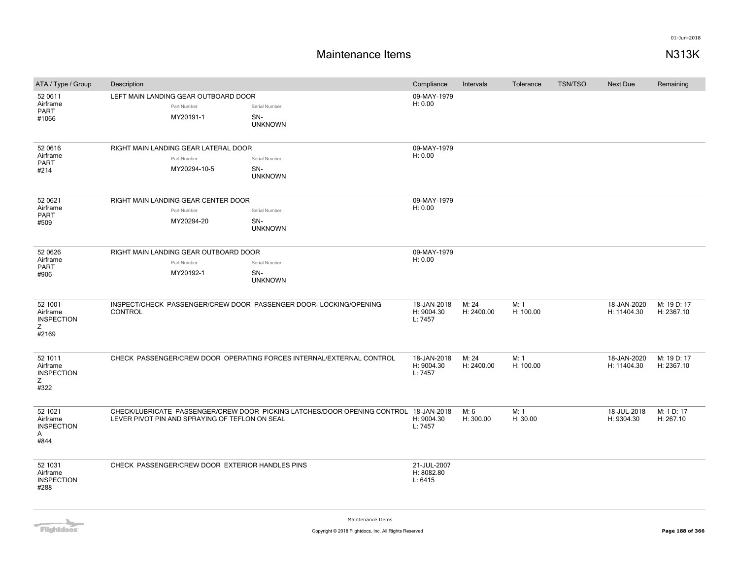## **Maintenance Items N313K**

| ATA / Type / Group                                     | Description |                                                                     |                                                                                      | Compliance                           | Intervals           | Tolerance         | <b>TSN/TSO</b> | Next Due                   | Remaining                 |
|--------------------------------------------------------|-------------|---------------------------------------------------------------------|--------------------------------------------------------------------------------------|--------------------------------------|---------------------|-------------------|----------------|----------------------------|---------------------------|
| 52 0611<br>Airframe<br><b>PART</b><br>#1066            |             | LEFT MAIN LANDING GEAR OUTBOARD DOOR<br>Part Number<br>MY20191-1    | Serial Number<br>SN-<br><b>UNKNOWN</b>                                               | 09-MAY-1979<br>H: 0.00               |                     |                   |                |                            |                           |
| 52 0616<br>Airframe<br><b>PART</b><br>#214             |             | RIGHT MAIN LANDING GEAR LATERAL DOOR<br>Part Number<br>MY20294-10-5 | Serial Number<br>SN-<br><b>UNKNOWN</b>                                               | 09-MAY-1979<br>H: 0.00               |                     |                   |                |                            |                           |
| 52 0621<br>Airframe<br><b>PART</b><br>#509             |             | RIGHT MAIN LANDING GEAR CENTER DOOR<br>Part Number<br>MY20294-20    | Serial Number<br>SN-<br><b>UNKNOWN</b>                                               | 09-MAY-1979<br>H: 0.00               |                     |                   |                |                            |                           |
| 52 0626<br>Airframe<br><b>PART</b><br>#906             |             | RIGHT MAIN LANDING GEAR OUTBOARD DOOR<br>Part Number<br>MY20192-1   | Serial Number<br>SN-<br><b>UNKNOWN</b>                                               | 09-MAY-1979<br>H: 0.00               |                     |                   |                |                            |                           |
| 52 1001<br>Airframe<br><b>INSPECTION</b><br>Z<br>#2169 | CONTROL     |                                                                     | INSPECT/CHECK PASSENGER/CREW DOOR PASSENGER DOOR- LOCKING/OPENING                    | 18-JAN-2018<br>H: 9004.30<br>L: 7457 | M: 24<br>H: 2400.00 | M: 1<br>H: 100.00 |                | 18-JAN-2020<br>H: 11404.30 | M: 19 D: 17<br>H: 2367.10 |
| 52 1011<br>Airframe<br><b>INSPECTION</b><br>Z<br>#322  |             |                                                                     | CHECK PASSENGER/CREW DOOR OPERATING FORCES INTERNAL/EXTERNAL CONTROL                 | 18-JAN-2018<br>H: 9004.30<br>L: 7457 | M: 24<br>H: 2400.00 | M: 1<br>H: 100.00 |                | 18-JAN-2020<br>H: 11404.30 | M: 19 D: 17<br>H: 2367.10 |
| 52 1021<br>Airframe<br><b>INSPECTION</b><br>Α<br>#844  |             | LEVER PIVOT PIN AND SPRAYING OF TEFLON ON SEAL                      | CHECK/LUBRICATE PASSENGER/CREW DOOR PICKING LATCHES/DOOR OPENING CONTROL 18-JAN-2018 | H: 9004.30<br>L: 7457                | M: 6<br>H: 300.00   | M: 1<br>H: 30.00  |                | 18-JUL-2018<br>H: 9304.30  | M: 1 D: 17<br>H: 267.10   |
| 52 1031<br>Airframe<br><b>INSPECTION</b><br>#288       |             | CHECK PASSENGER/CREW DOOR EXTERIOR HANDLES PINS                     |                                                                                      | 21-JUL-2007<br>H: 8082.80<br>L: 6415 |                     |                   |                |                            |                           |

**Flightdocs**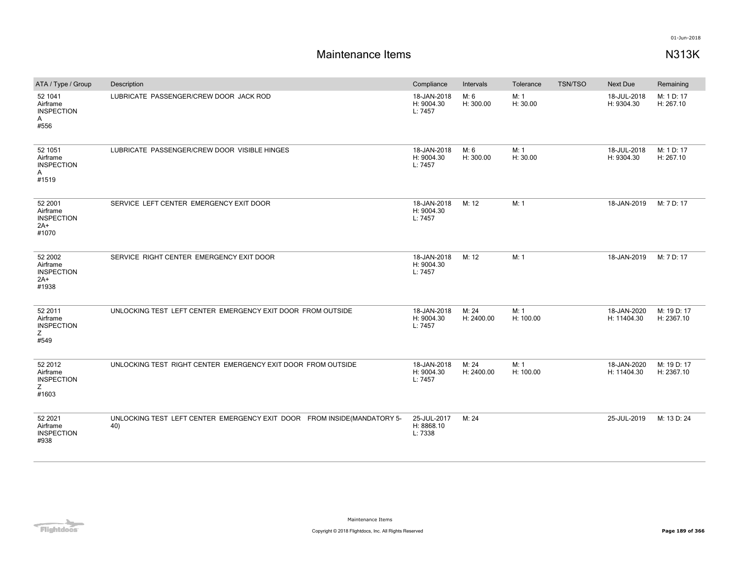# **Maintenance Items N313K**

| ATA / Type / Group                                                | Description                                                                    | Compliance                           | Intervals           | Tolerance         | <b>TSN/TSO</b> | Next Due                   | Remaining                 |
|-------------------------------------------------------------------|--------------------------------------------------------------------------------|--------------------------------------|---------------------|-------------------|----------------|----------------------------|---------------------------|
| 52 1041<br>Airframe<br><b>INSPECTION</b><br>A<br>#556             | LUBRICATE PASSENGER/CREW DOOR JACK ROD                                         | 18-JAN-2018<br>H: 9004.30<br>L: 7457 | M: 6<br>H: 300.00   | M: 1<br>H: 30.00  |                | 18-JUL-2018<br>H: 9304.30  | M: 1 D: 17<br>H: 267.10   |
| 52 1051<br>Airframe<br><b>INSPECTION</b><br>$\mathsf{A}$<br>#1519 | LUBRICATE PASSENGER/CREW DOOR VISIBLE HINGES                                   | 18-JAN-2018<br>H: 9004.30<br>L: 7457 | M: 6<br>H: 300.00   | M: 1<br>H: 30.00  |                | 18-JUL-2018<br>H: 9304.30  | M: 1 D: 17<br>H: 267.10   |
| 52 2001<br>Airframe<br><b>INSPECTION</b><br>2A+<br>#1070          | SERVICE LEFT CENTER EMERGENCY EXIT DOOR                                        | 18-JAN-2018<br>H: 9004.30<br>L: 7457 | M: 12               | M: 1              |                | 18-JAN-2019                | M: 7 D: 17                |
| 52 2002<br>Airframe<br><b>INSPECTION</b><br>$2A+$<br>#1938        | SERVICE RIGHT CENTER EMERGENCY EXIT DOOR                                       | 18-JAN-2018<br>H: 9004.30<br>L: 7457 | M: 12               | M: 1              |                | 18-JAN-2019                | M: 7 D: 17                |
| 52 2011<br>Airframe<br><b>INSPECTION</b><br>Ζ<br>#549             | UNLOCKING TEST LEFT CENTER EMERGENCY EXIT DOOR FROM OUTSIDE                    | 18-JAN-2018<br>H: 9004.30<br>L: 7457 | M: 24<br>H: 2400.00 | M: 1<br>H: 100.00 |                | 18-JAN-2020<br>H: 11404.30 | M: 19 D: 17<br>H: 2367.10 |
| 52 2012<br>Airframe<br><b>INSPECTION</b><br>Ζ<br>#1603            | UNLOCKING TEST RIGHT CENTER EMERGENCY EXIT DOOR FROM OUTSIDE                   | 18-JAN-2018<br>H: 9004.30<br>L: 7457 | M: 24<br>H: 2400.00 | M: 1<br>H: 100.00 |                | 18-JAN-2020<br>H: 11404.30 | M: 19 D: 17<br>H: 2367.10 |
| 52 2021<br>Airframe<br><b>INSPECTION</b><br>#938                  | UNLOCKING TEST LEFT CENTER EMERGENCY EXIT DOOR FROM INSIDE(MANDATORY 5-<br>40) | 25-JUL-2017<br>H: 8868.10<br>L: 7338 | M: 24               |                   |                | 25-JUL-2019                | M: 13 D: 24               |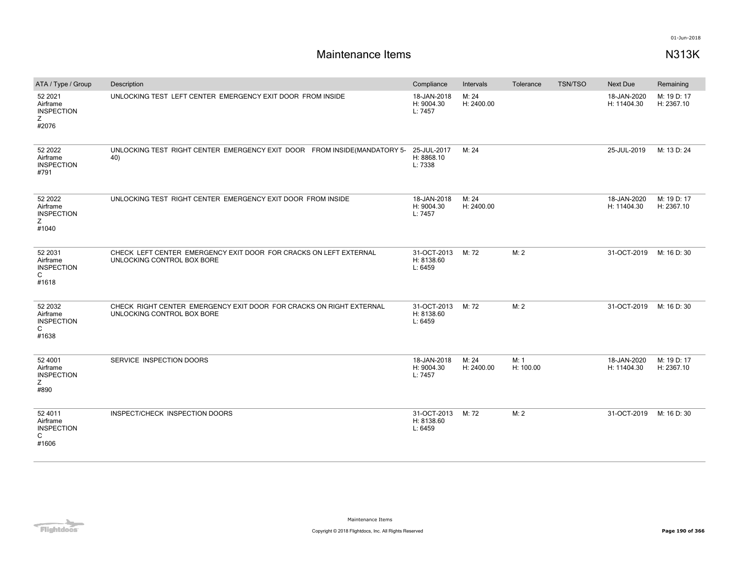| ATA / Type / Group                                     | Description                                                                                       | Compliance                           | Intervals           | Tolerance         | <b>TSN/TSO</b> | <b>Next Due</b>            | Remaining                 |
|--------------------------------------------------------|---------------------------------------------------------------------------------------------------|--------------------------------------|---------------------|-------------------|----------------|----------------------------|---------------------------|
| 52 2021<br>Airframe<br><b>INSPECTION</b><br>Ζ<br>#2076 | UNLOCKING TEST LEFT CENTER EMERGENCY EXIT DOOR FROM INSIDE                                        | 18-JAN-2018<br>H: 9004.30<br>L: 7457 | M: 24<br>H: 2400.00 |                   |                | 18-JAN-2020<br>H: 11404.30 | M: 19 D: 17<br>H: 2367.10 |
| 52 2022<br>Airframe<br><b>INSPECTION</b><br>#791       | UNLOCKING TEST RIGHT CENTER EMERGENCY EXIT DOOR FROM INSIDE(MANDATORY 5- 25-JUL-2017<br>40)       | H: 8868.10<br>L: 7338                | M: 24               |                   |                | 25-JUL-2019                | M: 13 D: 24               |
| 52 2022<br>Airframe<br><b>INSPECTION</b><br>Ζ<br>#1040 | UNLOCKING TEST RIGHT CENTER EMERGENCY EXIT DOOR FROM INSIDE                                       | 18-JAN-2018<br>H: 9004.30<br>L: 7457 | M: 24<br>H: 2400.00 |                   |                | 18-JAN-2020<br>H: 11404.30 | M: 19 D: 17<br>H: 2367.10 |
| 52 2031<br>Airframe<br><b>INSPECTION</b><br>C<br>#1618 | CHECK LEFT CENTER EMERGENCY EXIT DOOR FOR CRACKS ON LEFT EXTERNAL<br>UNLOCKING CONTROL BOX BORE   | 31-OCT-2013<br>H: 8138.60<br>L: 6459 | M: 72               | M: 2              |                | 31-OCT-2019                | M: 16 D: 30               |
| 52 2032<br>Airframe<br><b>INSPECTION</b><br>C<br>#1638 | CHECK RIGHT CENTER EMERGENCY EXIT DOOR FOR CRACKS ON RIGHT EXTERNAL<br>UNLOCKING CONTROL BOX BORE | 31-OCT-2013<br>H: 8138.60<br>L: 6459 | M: 72               | M: 2              |                | 31-OCT-2019                | M: 16 D: 30               |
| 52 4001<br>Airframe<br><b>INSPECTION</b><br>Ζ<br>#890  | SERVICE INSPECTION DOORS                                                                          | 18-JAN-2018<br>H: 9004.30<br>L: 7457 | M: 24<br>H: 2400.00 | M: 1<br>H: 100.00 |                | 18-JAN-2020<br>H: 11404.30 | M: 19 D: 17<br>H: 2367.10 |
| 52 4011<br>Airframe<br><b>INSPECTION</b><br>C<br>#1606 | INSPECT/CHECK INSPECTION DOORS                                                                    | 31-OCT-2013<br>H: 8138.60<br>L: 6459 | M: 72               | M:2               |                | 31-OCT-2019                | M: 16 D: 30               |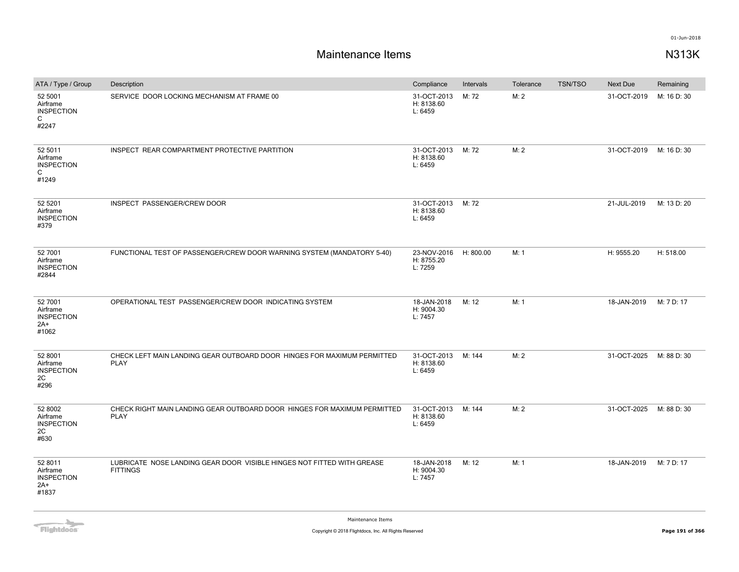| ATA / Type / Group                                         | Description                                                                               | Compliance                           | Intervals | Tolerance | <b>TSN/TSO</b> | <b>Next Due</b> | Remaining   |
|------------------------------------------------------------|-------------------------------------------------------------------------------------------|--------------------------------------|-----------|-----------|----------------|-----------------|-------------|
| 52 5001<br>Airframe<br><b>INSPECTION</b><br>C<br>#2247     | SERVICE DOOR LOCKING MECHANISM AT FRAME 00                                                | 31-OCT-2013<br>H: 8138.60<br>L: 6459 | M: 72     | M: 2      |                | 31-OCT-2019     | M: 16 D: 30 |
| 52 5011<br>Airframe<br><b>INSPECTION</b><br>C<br>#1249     | INSPECT REAR COMPARTMENT PROTECTIVE PARTITION                                             | 31-OCT-2013<br>H: 8138.60<br>L: 6459 | M: 72     | M: 2      |                | 31-OCT-2019     | M: 16 D: 30 |
| 52 5201<br>Airframe<br><b>INSPECTION</b><br>#379           | INSPECT PASSENGER/CREW DOOR                                                               | 31-OCT-2013<br>H: 8138.60<br>L: 6459 | M: 72     |           |                | 21-JUL-2019     | M: 13 D: 20 |
| 52 7001<br>Airframe<br><b>INSPECTION</b><br>#2844          | FUNCTIONAL TEST OF PASSENGER/CREW DOOR WARNING SYSTEM (MANDATORY 5-40)                    | 23-NOV-2016<br>H: 8755.20<br>L: 7259 | H: 800.00 | M: 1      |                | H: 9555.20      | H: 518.00   |
| 52 7001<br>Airframe<br><b>INSPECTION</b><br>$2A+$<br>#1062 | OPERATIONAL TEST PASSENGER/CREW DOOR INDICATING SYSTEM                                    | 18-JAN-2018<br>H: 9004.30<br>L: 7457 | M: 12     | M: 1      |                | 18-JAN-2019     | M: 7 D: 17  |
| 52 8001<br>Airframe<br><b>INSPECTION</b><br>2C<br>#296     | CHECK LEFT MAIN LANDING GEAR OUTBOARD DOOR HINGES FOR MAXIMUM PERMITTED<br><b>PLAY</b>    | 31-OCT-2013<br>H: 8138.60<br>L: 6459 | M: 144    | M: 2      |                | 31-OCT-2025     | M: 88 D: 30 |
| 52 8002<br>Airframe<br><b>INSPECTION</b><br>2C<br>#630     | CHECK RIGHT MAIN LANDING GEAR OUTBOARD DOOR HINGES FOR MAXIMUM PERMITTED<br><b>PLAY</b>   | 31-OCT-2013<br>H: 8138.60<br>L: 6459 | M: 144    | M: 2      |                | 31-OCT-2025     | M: 88 D: 30 |
| 52 8011<br>Airframe<br><b>INSPECTION</b><br>2A+<br>#1837   | LUBRICATE NOSE LANDING GEAR DOOR VISIBLE HINGES NOT FITTED WITH GREASE<br><b>FITTINGS</b> | 18-JAN-2018<br>H: 9004.30<br>L: 7457 | M: 12     | M: 1      |                | 18-JAN-2019     | M: 7 D: 17  |

**Flightdocs**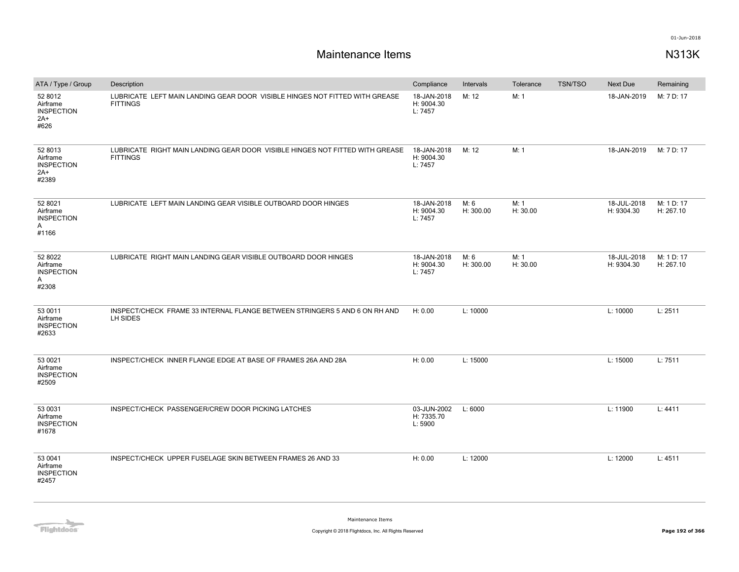| ATA / Type / Group                                       | Description                                                                                     | Compliance                           | Intervals         | Tolerance        | <b>TSN/TSO</b> | Next Due                  | Remaining               |
|----------------------------------------------------------|-------------------------------------------------------------------------------------------------|--------------------------------------|-------------------|------------------|----------------|---------------------------|-------------------------|
| 52 8012<br>Airframe<br><b>INSPECTION</b><br>2A+<br>#626  | LUBRICATE LEFT MAIN LANDING GEAR DOOR VISIBLE HINGES NOT FITTED WITH GREASE<br><b>FITTINGS</b>  | 18-JAN-2018<br>H: 9004.30<br>L: 7457 | M: 12             | M: 1             |                | 18-JAN-2019               | M: 7 D: 17              |
| 52 8013<br>Airframe<br><b>INSPECTION</b><br>2A+<br>#2389 | LUBRICATE RIGHT MAIN LANDING GEAR DOOR VISIBLE HINGES NOT FITTED WITH GREASE<br><b>FITTINGS</b> | 18-JAN-2018<br>H: 9004.30<br>L: 7457 | M: 12             | M: 1             |                | 18-JAN-2019               | M: 7 D: 17              |
| 52 8021<br>Airframe<br><b>INSPECTION</b><br>Α<br>#1166   | LUBRICATE LEFT MAIN LANDING GEAR VISIBLE OUTBOARD DOOR HINGES                                   | 18-JAN-2018<br>H: 9004.30<br>L: 7457 | M: 6<br>H: 300.00 | M: 1<br>H: 30.00 |                | 18-JUL-2018<br>H: 9304.30 | M: 1 D: 17<br>H: 267.10 |
| 52 8022<br>Airframe<br><b>INSPECTION</b><br>Α<br>#2308   | LUBRICATE RIGHT MAIN LANDING GEAR VISIBLE OUTBOARD DOOR HINGES                                  | 18-JAN-2018<br>H: 9004.30<br>L: 7457 | M: 6<br>H: 300.00 | M: 1<br>H: 30.00 |                | 18-JUL-2018<br>H: 9304.30 | M: 1 D: 17<br>H: 267.10 |
| 53 0011<br>Airframe<br><b>INSPECTION</b><br>#2633        | INSPECT/CHECK FRAME 33 INTERNAL FLANGE BETWEEN STRINGERS 5 AND 6 ON RH AND<br>LH SIDES          | H: 0.00                              | L: 10000          |                  |                | L: 10000                  | L: 2511                 |
| 53 0021<br>Airframe<br><b>INSPECTION</b><br>#2509        | INSPECT/CHECK INNER FLANGE EDGE AT BASE OF FRAMES 26A AND 28A                                   | H: 0.00                              | L: 15000          |                  |                | L: 15000                  | L: 7511                 |
| 53 0031<br>Airframe<br><b>INSPECTION</b><br>#1678        | INSPECT/CHECK PASSENGER/CREW DOOR PICKING LATCHES                                               | 03-JUN-2002<br>H: 7335.70<br>L: 5900 | L: 6000           |                  |                | L: 11900                  | L: 4411                 |
| 53 0041<br>Airframe<br><b>INSPECTION</b><br>#2457        | INSPECT/CHECK UPPER FUSELAGE SKIN BETWEEN FRAMES 26 AND 33                                      | H: 0.00                              | L: 12000          |                  |                | L: 12000                  | L: 4511                 |

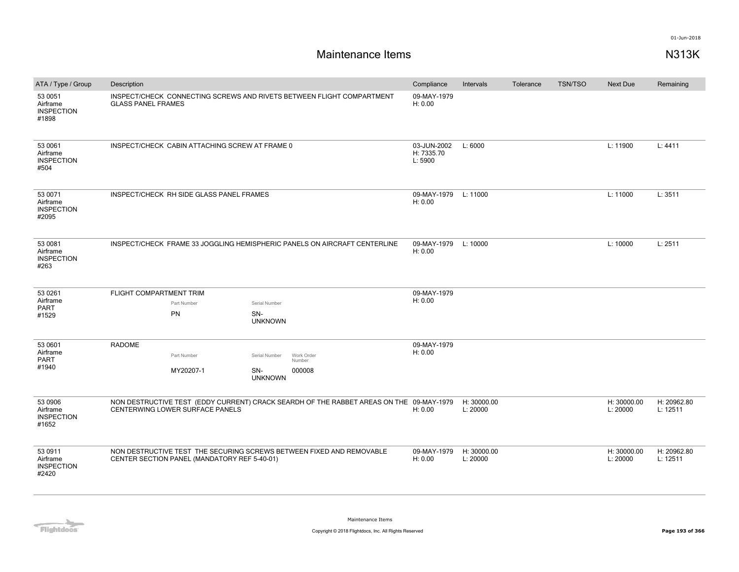| ATA / Type / Group                                | Description                                                                                        |                                              |                                      |                                                                                         | Compliance                      | Intervals               | Tolerance | <b>TSN/TSO</b> | <b>Next Due</b>         | Remaining               |
|---------------------------------------------------|----------------------------------------------------------------------------------------------------|----------------------------------------------|--------------------------------------|-----------------------------------------------------------------------------------------|---------------------------------|-------------------------|-----------|----------------|-------------------------|-------------------------|
| 53 0051<br>Airframe<br><b>INSPECTION</b><br>#1898 | INSPECT/CHECK CONNECTING SCREWS AND RIVETS BETWEEN FLIGHT COMPARTMENT<br><b>GLASS PANEL FRAMES</b> |                                              |                                      | 09-MAY-1979<br>H: 0.00                                                                  |                                 |                         |           |                |                         |                         |
| 53 0061<br>Airframe<br><b>INSPECTION</b><br>#504  | INSPECT/CHECK CABIN ATTACHING SCREW AT FRAME 0                                                     |                                              | 03-JUN-2002<br>H: 7335.70<br>L: 5900 | L: 6000                                                                                 |                                 |                         | L: 11900  | L: 4411        |                         |                         |
| 53 0071<br>Airframe<br><b>INSPECTION</b><br>#2095 |                                                                                                    | INSPECT/CHECK RH SIDE GLASS PANEL FRAMES     |                                      |                                                                                         | 09-MAY-1979 L: 11000<br>H: 0.00 |                         |           |                | L: 11000                | L: 3511                 |
| 53 0081<br>Airframe<br><b>INSPECTION</b><br>#263  |                                                                                                    |                                              |                                      | INSPECT/CHECK FRAME 33 JOGGLING HEMISPHERIC PANELS ON AIRCRAFT CENTERLINE               | 09-MAY-1979 L: 10000<br>H: 0.00 |                         |           |                | L: 10000                | L: 2511                 |
| 53 0261                                           | FLIGHT COMPARTMENT TRIM                                                                            |                                              |                                      |                                                                                         | 09-MAY-1979                     |                         |           |                |                         |                         |
| Airframe<br>PART                                  |                                                                                                    | Part Number                                  | Serial Number                        |                                                                                         | H: 0.00                         |                         |           |                |                         |                         |
| #1529                                             |                                                                                                    | PN                                           | SN-<br><b>UNKNOWN</b>                |                                                                                         |                                 |                         |           |                |                         |                         |
| 53 0601                                           | <b>RADOME</b>                                                                                      |                                              |                                      |                                                                                         | 09-MAY-1979                     |                         |           |                |                         |                         |
| Airframe<br>PART                                  |                                                                                                    | Part Number                                  | Serial Number                        | Work Order<br>Number                                                                    | H: 0.00                         |                         |           |                |                         |                         |
| #1940                                             |                                                                                                    | MY20207-1                                    | SN-<br><b>UNKNOWN</b>                | 000008                                                                                  |                                 |                         |           |                |                         |                         |
| 53 0906<br>Airframe<br><b>INSPECTION</b><br>#1652 |                                                                                                    | CENTERWING LOWER SURFACE PANELS              |                                      | NON DESTRUCTIVE TEST (EDDY CURRENT) CRACK SEARDH OF THE RABBET AREAS ON THE 09-MAY-1979 | H: 0.00                         | H: 30000.00<br>L: 20000 |           |                | H: 30000.00<br>L: 20000 | H: 20962.80<br>L: 12511 |
| 53 0911<br>Airframe<br><b>INSPECTION</b><br>#2420 |                                                                                                    | CENTER SECTION PANEL (MANDATORY REF 5-40-01) |                                      | NON DESTRUCTIVE TEST THE SECURING SCREWS BETWEEN FIXED AND REMOVABLE                    | 09-MAY-1979<br>H: 0.00          | H: 30000.00<br>L: 20000 |           |                | H: 30000.00<br>L: 20000 | H: 20962.80<br>L: 12511 |

**Flightdocs**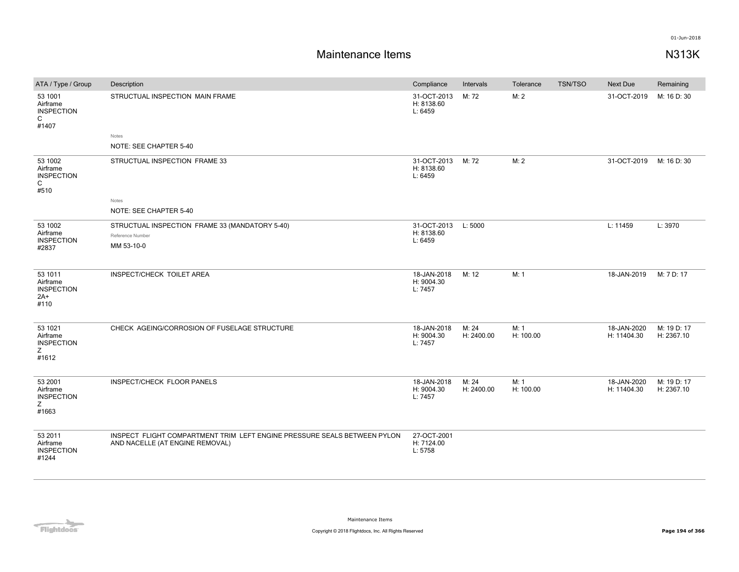| ATA / Type / Group                                      | Description                                                                                                 | Compliance                           | Intervals           | Tolerance         | <b>TSN/TSO</b> | Next Due                   | Remaining                 |
|---------------------------------------------------------|-------------------------------------------------------------------------------------------------------------|--------------------------------------|---------------------|-------------------|----------------|----------------------------|---------------------------|
| 53 1001<br>Airframe<br><b>INSPECTION</b><br>C<br>#1407  | STRUCTUAL INSPECTION MAIN FRAME<br>Notes<br>NOTE: SEE CHAPTER 5-40                                          | 31-OCT-2013<br>H: 8138.60<br>L: 6459 | M: 72               | M: 2              |                | 31-OCT-2019                | M: 16 D: 30               |
| 53 1002<br>Airframe<br><b>INSPECTION</b><br>C<br>#510   | STRUCTUAL INSPECTION FRAME 33<br>Notes<br>NOTE: SEE CHAPTER 5-40                                            | 31-OCT-2013<br>H: 8138.60<br>L: 6459 | M: 72               | M: 2              |                | 31-OCT-2019                | M: 16 D: 30               |
| 53 1002<br>Airframe<br><b>INSPECTION</b><br>#2837       | STRUCTUAL INSPECTION FRAME 33 (MANDATORY 5-40)<br>Reference Number<br>MM 53-10-0                            | 31-OCT-2013<br>H: 8138.60<br>L: 6459 | L: 5000             |                   |                | L: 11459                   | L: 3970                   |
| 53 1011<br>Airframe<br><b>INSPECTION</b><br>2A+<br>#110 | INSPECT/CHECK TOILET AREA                                                                                   | 18-JAN-2018<br>H: 9004.30<br>L: 7457 | M: 12               | M: 1              |                | 18-JAN-2019                | M: 7 D: 17                |
| 53 1021<br>Airframe<br><b>INSPECTION</b><br>Ζ<br>#1612  | CHECK AGEING/CORROSION OF FUSELAGE STRUCTURE                                                                | 18-JAN-2018<br>H: 9004.30<br>L: 7457 | M: 24<br>H: 2400.00 | M: 1<br>H: 100.00 |                | 18-JAN-2020<br>H: 11404.30 | M: 19 D: 17<br>H: 2367.10 |
| 53 2001<br>Airframe<br><b>INSPECTION</b><br>Ζ<br>#1663  | INSPECT/CHECK FLOOR PANELS                                                                                  | 18-JAN-2018<br>H: 9004.30<br>L: 7457 | M: 24<br>H: 2400.00 | M: 1<br>H: 100.00 |                | 18-JAN-2020<br>H: 11404.30 | M: 19 D: 17<br>H: 2367.10 |
| 53 2011<br>Airframe<br><b>INSPECTION</b><br>#1244       | INSPECT FLIGHT COMPARTMENT TRIM LEFT ENGINE PRESSURE SEALS BETWEEN PYLON<br>AND NACELLE (AT ENGINE REMOVAL) | 27-OCT-2001<br>H: 7124.00<br>L: 5758 |                     |                   |                |                            |                           |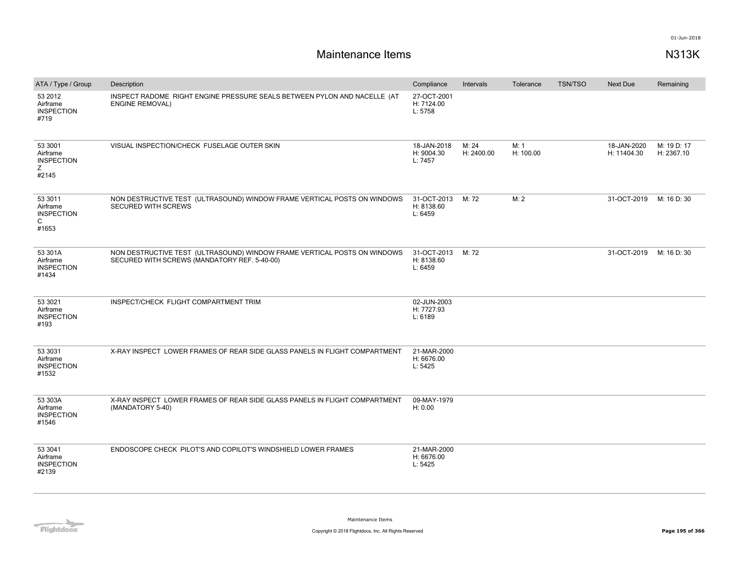| ATA / Type / Group                                      | Description                                                                                                              | Compliance                                 | Intervals           | Tolerance         | <b>TSN/TSO</b> | <b>Next Due</b>            | Remaining                 |
|---------------------------------------------------------|--------------------------------------------------------------------------------------------------------------------------|--------------------------------------------|---------------------|-------------------|----------------|----------------------------|---------------------------|
| 53 2012<br>Airframe<br><b>INSPECTION</b><br>#719        | INSPECT RADOME RIGHT ENGINE PRESSURE SEALS BETWEEN PYLON AND NACELLE (AT<br><b>ENGINE REMOVAL)</b>                       | 27-OCT-2001<br>H: 7124.00<br>L: 5758       |                     |                   |                |                            |                           |
| 53 3001<br>Airframe<br><b>INSPECTION</b><br>Z.<br>#2145 | VISUAL INSPECTION/CHECK FUSELAGE OUTER SKIN                                                                              | 18-JAN-2018<br>H: 9004.30<br>L: 7457       | M: 24<br>H: 2400.00 | M: 1<br>H: 100.00 |                | 18-JAN-2020<br>H: 11404.30 | M: 19 D: 17<br>H: 2367.10 |
| 53 3011<br>Airframe<br><b>INSPECTION</b><br>C<br>#1653  | NON DESTRUCTIVE TEST (ULTRASOUND) WINDOW FRAME VERTICAL POSTS ON WINDOWS<br><b>SECURED WITH SCREWS</b>                   | 31-OCT-2013 M: 72<br>H: 8138.60<br>L: 6459 |                     | M: 2              |                | 31-OCT-2019                | M: 16 D: 30               |
| 53 301A<br>Airframe<br><b>INSPECTION</b><br>#1434       | NON DESTRUCTIVE TEST (ULTRASOUND) WINDOW FRAME VERTICAL POSTS ON WINDOWS<br>SECURED WITH SCREWS (MANDATORY REF. 5-40-00) | 31-OCT-2013<br>H: 8138.60<br>L: 6459       | M: 72               |                   |                | 31-OCT-2019                | M: 16 D: 30               |
| 53 3021<br>Airframe<br><b>INSPECTION</b><br>#193        | INSPECT/CHECK FLIGHT COMPARTMENT TRIM                                                                                    | 02-JUN-2003<br>H: 7727.93<br>L: 6189       |                     |                   |                |                            |                           |
| 53 3031<br>Airframe<br><b>INSPECTION</b><br>#1532       | X-RAY INSPECT LOWER FRAMES OF REAR SIDE GLASS PANELS IN FLIGHT COMPARTMENT                                               | 21-MAR-2000<br>H: 6676.00<br>L: 5425       |                     |                   |                |                            |                           |
| 53 303A<br>Airframe<br><b>INSPECTION</b><br>#1546       | X-RAY INSPECT LOWER FRAMES OF REAR SIDE GLASS PANELS IN FLIGHT COMPARTMENT<br>(MANDATORY 5-40)                           | 09-MAY-1979<br>H: 0.00                     |                     |                   |                |                            |                           |
| 53 3041<br>Airframe<br><b>INSPECTION</b><br>#2139       | ENDOSCOPE CHECK PILOT'S AND COPILOT'S WINDSHIELD LOWER FRAMES                                                            | 21-MAR-2000<br>H: 6676.00<br>L: 5425       |                     |                   |                |                            |                           |

**Flightdocs**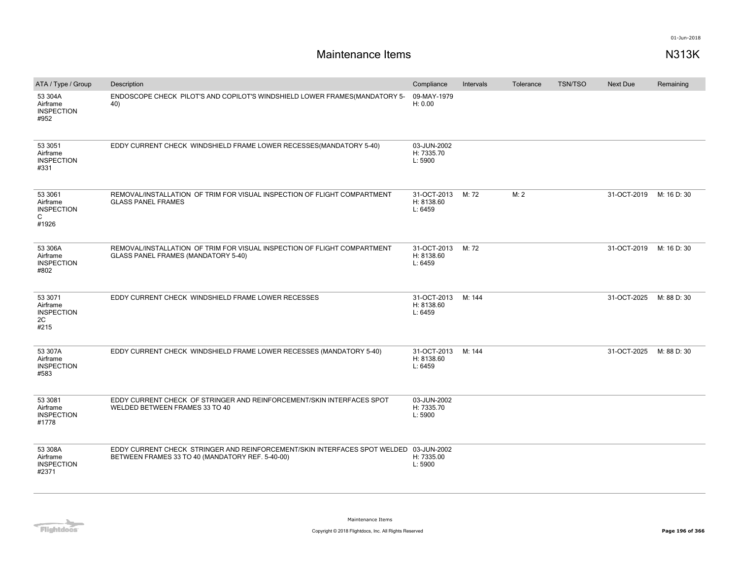| ATA / Type / Group                                     | Description                                                                                                                               | Compliance                           | Intervals | Tolerance | <b>TSN/TSO</b> | <b>Next Due</b> | Remaining   |
|--------------------------------------------------------|-------------------------------------------------------------------------------------------------------------------------------------------|--------------------------------------|-----------|-----------|----------------|-----------------|-------------|
| 53 304A<br>Airframe<br><b>INSPECTION</b><br>#952       | ENDOSCOPE CHECK PILOT'S AND COPILOT'S WINDSHIELD LOWER FRAMES(MANDATORY 5-<br>40)                                                         | 09-MAY-1979<br>H: 0.00               |           |           |                |                 |             |
| 53 30 51<br>Airframe<br><b>INSPECTION</b><br>#331      | EDDY CURRENT CHECK WINDSHIELD FRAME LOWER RECESSES(MANDATORY 5-40)                                                                        | 03-JUN-2002<br>H: 7335.70<br>L: 5900 |           |           |                |                 |             |
| 53 3061<br>Airframe<br><b>INSPECTION</b><br>C<br>#1926 | REMOVAL/INSTALLATION OF TRIM FOR VISUAL INSPECTION OF FLIGHT COMPARTMENT<br><b>GLASS PANEL FRAMES</b>                                     | 31-OCT-2013<br>H: 8138.60<br>L: 6459 | M: 72     | M: 2      |                | 31-OCT-2019     | M: 16 D: 30 |
| 53 306A<br>Airframe<br><b>INSPECTION</b><br>#802       | REMOVAL/INSTALLATION OF TRIM FOR VISUAL INSPECTION OF FLIGHT COMPARTMENT<br>GLASS PANEL FRAMES (MANDATORY 5-40)                           | 31-OCT-2013<br>H: 8138.60<br>L: 6459 | M: 72     |           |                | 31-OCT-2019     | M: 16 D: 30 |
| 53 3071<br>Airframe<br><b>INSPECTION</b><br>2C<br>#215 | EDDY CURRENT CHECK WINDSHIELD FRAME LOWER RECESSES                                                                                        | 31-OCT-2013<br>H: 8138.60<br>L: 6459 | M: 144    |           |                | 31-OCT-2025     | M: 88 D: 30 |
| 53 307A<br>Airframe<br><b>INSPECTION</b><br>#583       | EDDY CURRENT CHECK WINDSHIELD FRAME LOWER RECESSES (MANDATORY 5-40)                                                                       | 31-OCT-2013<br>H: 8138.60<br>L: 6459 | M: 144    |           |                | 31-OCT-2025     | M: 88 D: 30 |
| 53 3081<br>Airframe<br><b>INSPECTION</b><br>#1778      | EDDY CURRENT CHECK OF STRINGER AND REINFORCEMENT/SKIN INTERFACES SPOT<br>WELDED BETWEEN FRAMES 33 TO 40                                   | 03-JUN-2002<br>H: 7335.70<br>L: 5900 |           |           |                |                 |             |
| 53 308A<br>Airframe<br><b>INSPECTION</b><br>#2371      | EDDY CURRENT CHECK STRINGER AND REINFORCEMENT/SKIN INTERFACES SPOT WELDED 03-JUN-2002<br>BETWEEN FRAMES 33 TO 40 (MANDATORY REF. 5-40-00) | H: 7335.00<br>L: 5900                |           |           |                |                 |             |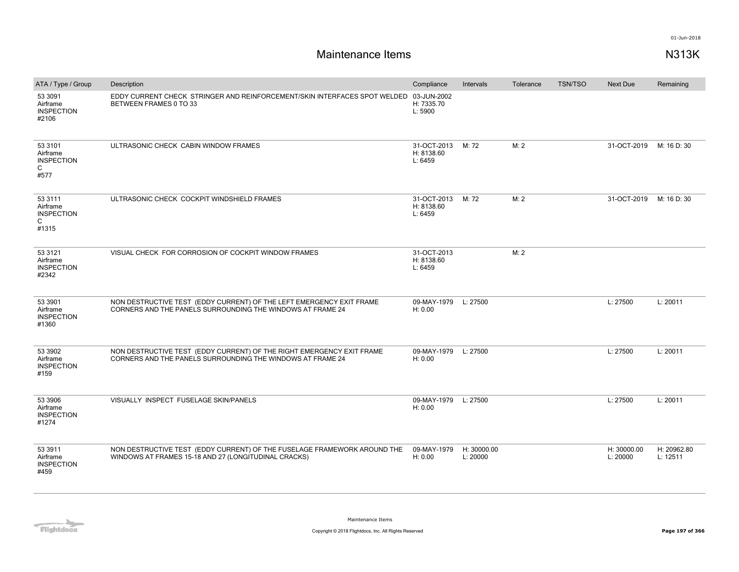| ATA / Type / Group                                                | Description                                                                                                                         | Compliance                           | Intervals               | Tolerance | <b>TSN/TSO</b> | Next Due                | Remaining               |
|-------------------------------------------------------------------|-------------------------------------------------------------------------------------------------------------------------------------|--------------------------------------|-------------------------|-----------|----------------|-------------------------|-------------------------|
| 53 3091<br>Airframe<br><b>INSPECTION</b><br>#2106                 | EDDY CURRENT CHECK STRINGER AND REINFORCEMENT/SKIN INTERFACES SPOT WELDED 03-JUN-2002<br>BETWEEN FRAMES 0 TO 33                     | H: 7335.70<br>L: 5900                |                         |           |                |                         |                         |
| 53 3101<br>Airframe<br><b>INSPECTION</b><br>C<br>#577             | ULTRASONIC CHECK CABIN WINDOW FRAMES                                                                                                | 31-OCT-2013<br>H: 8138.60<br>L: 6459 | M: 72                   | M: 2      |                | 31-OCT-2019             | M: 16 D: 30             |
| 53 3111<br>Airframe<br><b>INSPECTION</b><br>$\mathsf{C}$<br>#1315 | ULTRASONIC CHECK COCKPIT WINDSHIELD FRAMES                                                                                          | 31-OCT-2013<br>H: 8138.60<br>L: 6459 | M: 72                   | M: 2      |                | 31-OCT-2019             | M: 16 D: 30             |
| 53 31 21<br>Airframe<br><b>INSPECTION</b><br>#2342                | VISUAL CHECK FOR CORROSION OF COCKPIT WINDOW FRAMES                                                                                 | 31-OCT-2013<br>H: 8138.60<br>L: 6459 |                         | M: 2      |                |                         |                         |
| 53 3901<br>Airframe<br><b>INSPECTION</b><br>#1360                 | NON DESTRUCTIVE TEST (EDDY CURRENT) OF THE LEFT EMERGENCY EXIT FRAME<br>CORNERS AND THE PANELS SURROUNDING THE WINDOWS AT FRAME 24  | 09-MAY-1979<br>H: 0.00               | L: 27500                |           |                | L: 27500                | L: 20011                |
| 53 3902<br>Airframe<br><b>INSPECTION</b><br>#159                  | NON DESTRUCTIVE TEST (EDDY CURRENT) OF THE RIGHT EMERGENCY EXIT FRAME<br>CORNERS AND THE PANELS SURROUNDING THE WINDOWS AT FRAME 24 | 09-MAY-1979<br>H: 0.00               | L: 27500                |           |                | L: 27500                | L: 20011                |
| 53 3906<br>Airframe<br><b>INSPECTION</b><br>#1274                 | VISUALLY INSPECT FUSELAGE SKIN/PANELS                                                                                               | 09-MAY-1979<br>H: 0.00               | L: 27500                |           |                | L: 27500                | L: 20011                |
| 53 3911<br>Airframe<br><b>INSPECTION</b><br>#459                  | NON DESTRUCTIVE TEST (EDDY CURRENT) OF THE FUSELAGE FRAMEWORK AROUND THE<br>WINDOWS AT FRAMES 15-18 AND 27 (LONGITUDINAL CRACKS)    | 09-MAY-1979<br>H: 0.00               | H: 30000.00<br>L: 20000 |           |                | H: 30000.00<br>L: 20000 | H: 20962.80<br>L: 12511 |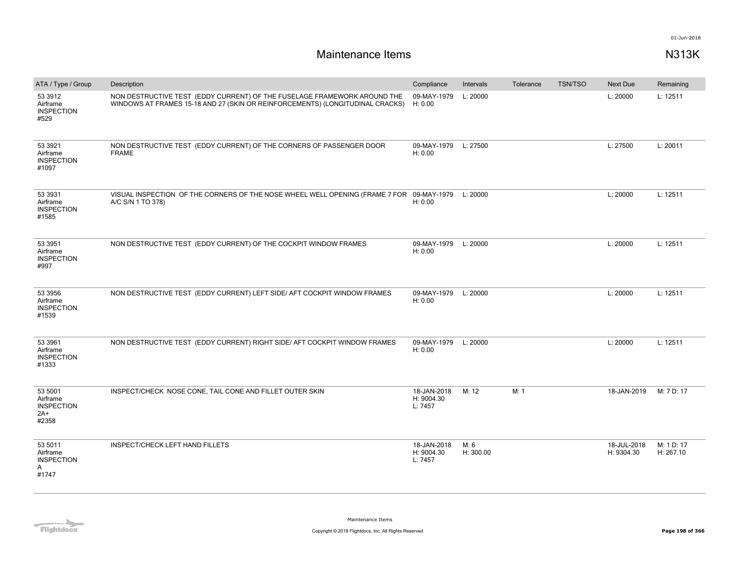| ATA / Type / Group                                       | Description                                                                                                                                               | Compliance                           | Intervals         | Tolerance | <b>TSN/TSO</b> | Next Due                  | Remaining               |
|----------------------------------------------------------|-----------------------------------------------------------------------------------------------------------------------------------------------------------|--------------------------------------|-------------------|-----------|----------------|---------------------------|-------------------------|
| 53 3912<br>Airframe<br><b>INSPECTION</b><br>#529         | NON DESTRUCTIVE TEST (EDDY CURRENT) OF THE FUSELAGE FRAMEWORK AROUND THE<br>WINDOWS AT FRAMES 15-18 AND 27 (SKIN OR REINFORCEMENTS) (LONGITUDINAL CRACKS) | 09-MAY-1979<br>H: 0.00               | L: 20000          |           |                | L: 20000                  | L: 12511                |
| 53 3921<br>Airframe<br><b>INSPECTION</b><br>#1097        | NON DESTRUCTIVE TEST (EDDY CURRENT) OF THE CORNERS OF PASSENGER DOOR<br><b>FRAME</b>                                                                      | 09-MAY-1979 L: 27500<br>H: 0.00      |                   |           |                | L: 27500                  | L: 20011                |
| 53 3931<br>Airframe<br><b>INSPECTION</b><br>#1585        | VISUAL INSPECTION OF THE CORNERS OF THE NOSE WHEEL WELL OPENING (FRAME 7 FOR 09-MAY-1979<br>A/C S/N 1 TO 378)                                             | H: 0.00                              | L: 20000          |           |                | L: 20000                  | L: 12511                |
| 53 3951<br>Airframe<br><b>INSPECTION</b><br>#997         | NON DESTRUCTIVE TEST (EDDY CURRENT) OF THE COCKPIT WINDOW FRAMES                                                                                          | 09-MAY-1979<br>H: 0.00               | L: 20000          |           |                | L: 20000                  | L: 12511                |
| 53 3956<br>Airframe<br><b>INSPECTION</b><br>#1539        | NON DESTRUCTIVE TEST (EDDY CURRENT) LEFT SIDE/ AFT COCKPIT WINDOW FRAMES                                                                                  | 09-MAY-1979<br>H: 0.00               | L: 20000          |           |                | L: 20000                  | L: 12511                |
| 53 3961<br>Airframe<br><b>INSPECTION</b><br>#1333        | NON DESTRUCTIVE TEST (EDDY CURRENT) RIGHT SIDE/ AFT COCKPIT WINDOW FRAMES                                                                                 | 09-MAY-1979<br>H: 0.00               | L: 20000          |           |                | L: 20000                  | L: 12511                |
| 53 5001<br>Airframe<br><b>INSPECTION</b><br>2A+<br>#2358 | INSPECT/CHECK NOSE CONE, TAIL CONE AND FILLET OUTER SKIN                                                                                                  | 18-JAN-2018<br>H: 9004.30<br>L: 7457 | M: 12             | M: 1      |                | 18-JAN-2019               | M: 7 D: 17              |
| 53 5011<br>Airframe<br><b>INSPECTION</b><br>Α<br>#1747   | INSPECT/CHECK LEFT HAND FILLETS                                                                                                                           | 18-JAN-2018<br>H: 9004.30<br>L: 7457 | M: 6<br>H: 300.00 |           |                | 18-JUL-2018<br>H: 9304.30 | M: 1 D: 17<br>H: 267.10 |

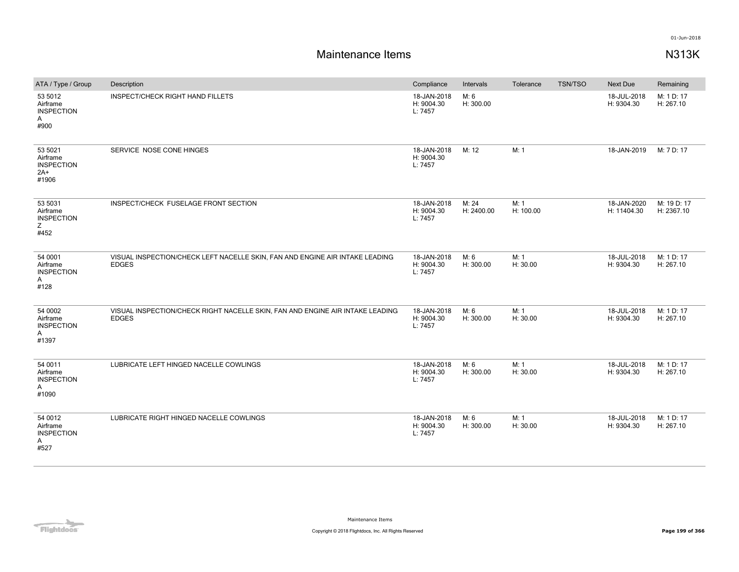| ATA / Type / Group                                         | Description                                                                                   | Compliance                           | Intervals           | Tolerance         | TSN/TSO | <b>Next Due</b>            | Remaining                 |
|------------------------------------------------------------|-----------------------------------------------------------------------------------------------|--------------------------------------|---------------------|-------------------|---------|----------------------------|---------------------------|
| 53 5012<br>Airframe<br><b>INSPECTION</b><br>Α<br>#900      | <b>INSPECT/CHECK RIGHT HAND FILLETS</b>                                                       | 18-JAN-2018<br>H: 9004.30<br>L: 7457 | M: 6<br>H: 300.00   |                   |         | 18-JUL-2018<br>H: 9304.30  | M: 1 D: 17<br>H: 267.10   |
| 53 5021<br>Airframe<br><b>INSPECTION</b><br>$2A+$<br>#1906 | SERVICE NOSE CONE HINGES                                                                      | 18-JAN-2018<br>H: 9004.30<br>L: 7457 | M: 12               | M: 1              |         | 18-JAN-2019                | M: 7 D: 17                |
| 53 5031<br>Airframe<br><b>INSPECTION</b><br>Ζ<br>#452      | INSPECT/CHECK FUSELAGE FRONT SECTION                                                          | 18-JAN-2018<br>H: 9004.30<br>L: 7457 | M: 24<br>H: 2400.00 | M: 1<br>H: 100.00 |         | 18-JAN-2020<br>H: 11404.30 | M: 19 D: 17<br>H: 2367.10 |
| 54 0001<br>Airframe<br><b>INSPECTION</b><br>Α<br>#128      | VISUAL INSPECTION/CHECK LEFT NACELLE SKIN, FAN AND ENGINE AIR INTAKE LEADING<br><b>EDGES</b>  | 18-JAN-2018<br>H: 9004.30<br>L: 7457 | M: 6<br>H: 300.00   | M: 1<br>H: 30.00  |         | 18-JUL-2018<br>H: 9304.30  | M: 1 D: 17<br>H: 267.10   |
| 54 0002<br>Airframe<br><b>INSPECTION</b><br>Α<br>#1397     | VISUAL INSPECTION/CHECK RIGHT NACELLE SKIN, FAN AND ENGINE AIR INTAKE LEADING<br><b>EDGES</b> | 18-JAN-2018<br>H: 9004.30<br>L: 7457 | M: 6<br>H: 300.00   | M: 1<br>H: 30.00  |         | 18-JUL-2018<br>H: 9304.30  | M: 1 D: 17<br>H: 267.10   |
| 54 0011<br>Airframe<br><b>INSPECTION</b><br>Α<br>#1090     | LUBRICATE LEFT HINGED NACELLE COWLINGS                                                        | 18-JAN-2018<br>H: 9004.30<br>L: 7457 | M: 6<br>H: 300.00   | M: 1<br>H: 30.00  |         | 18-JUL-2018<br>H: 9304.30  | M: 1 D: 17<br>H: 267.10   |
| 54 0012<br>Airframe<br><b>INSPECTION</b><br>Α<br>#527      | LUBRICATE RIGHT HINGED NACELLE COWLINGS                                                       | 18-JAN-2018<br>H: 9004.30<br>L: 7457 | M: 6<br>H: 300.00   | M: 1<br>H: 30.00  |         | 18-JUL-2018<br>H: 9304.30  | M: 1 D: 17<br>H: 267.10   |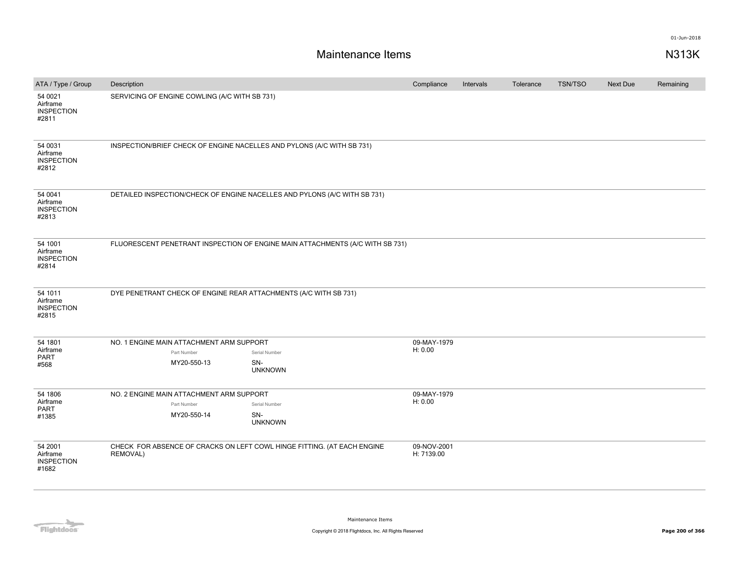| ATA / Type / Group                                | Description                                                                         |                                                                               | Compliance                | Intervals | Tolerance | <b>TSN/TSO</b> | <b>Next Due</b> | Remaining |
|---------------------------------------------------|-------------------------------------------------------------------------------------|-------------------------------------------------------------------------------|---------------------------|-----------|-----------|----------------|-----------------|-----------|
| 54 0021<br>Airframe<br><b>INSPECTION</b><br>#2811 | SERVICING OF ENGINE COWLING (A/C WITH SB 731)                                       |                                                                               |                           |           |           |                |                 |           |
| 54 0031<br>Airframe<br><b>INSPECTION</b><br>#2812 | INSPECTION/BRIEF CHECK OF ENGINE NACELLES AND PYLONS (A/C WITH SB 731)              |                                                                               |                           |           |           |                |                 |           |
| 54 0041<br>Airframe<br><b>INSPECTION</b><br>#2813 | DETAILED INSPECTION/CHECK OF ENGINE NACELLES AND PYLONS (A/C WITH SB 731)           |                                                                               |                           |           |           |                |                 |           |
| 54 1001<br>Airframe<br><b>INSPECTION</b><br>#2814 |                                                                                     | FLUORESCENT PENETRANT INSPECTION OF ENGINE MAIN ATTACHMENTS (A/C WITH SB 731) |                           |           |           |                |                 |           |
| 54 1011<br>Airframe<br><b>INSPECTION</b><br>#2815 | DYE PENETRANT CHECK OF ENGINE REAR ATTACHMENTS (A/C WITH SB 731)                    |                                                                               |                           |           |           |                |                 |           |
| 54 1801<br>Airframe<br>PART<br>#568               | NO. 1 ENGINE MAIN ATTACHMENT ARM SUPPORT<br>Part Number<br>MY20-550-13              | Serial Number<br>SN-                                                          | 09-MAY-1979<br>H: 0.00    |           |           |                |                 |           |
|                                                   |                                                                                     | <b>UNKNOWN</b>                                                                |                           |           |           |                |                 |           |
| 54 1806<br>Airframe<br>PART<br>#1385              | NO. 2 ENGINE MAIN ATTACHMENT ARM SUPPORT<br>Part Number<br>MY20-550-14              | Serial Number<br>SN-<br><b>UNKNOWN</b>                                        | 09-MAY-1979<br>H: 0.00    |           |           |                |                 |           |
| 54 2001<br>Airframe<br><b>INSPECTION</b><br>#1682 | CHECK FOR ABSENCE OF CRACKS ON LEFT COWL HINGE FITTING. (AT EACH ENGINE<br>REMOVAL) |                                                                               | 09-NOV-2001<br>H: 7139.00 |           |           |                |                 |           |

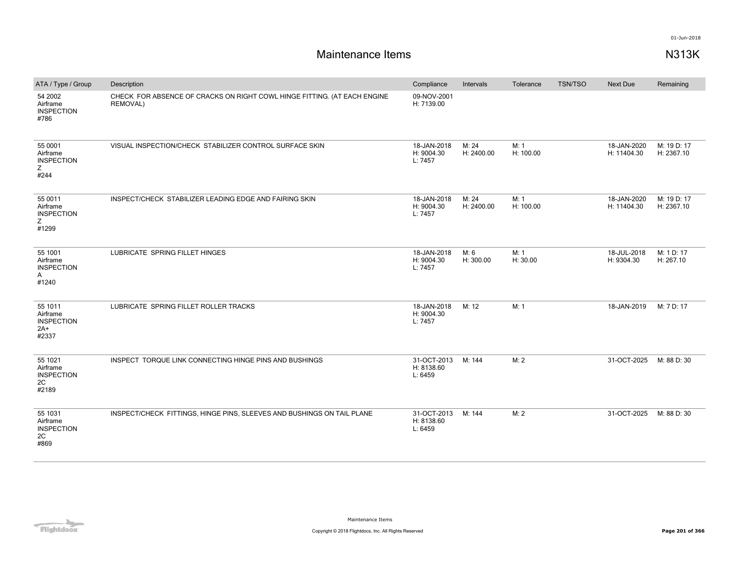| ATA / Type / Group                                       | Description                                                                                 | Compliance                           | Intervals           | Tolerance         | <b>TSN/TSO</b> | Next Due                   | Remaining                 |
|----------------------------------------------------------|---------------------------------------------------------------------------------------------|--------------------------------------|---------------------|-------------------|----------------|----------------------------|---------------------------|
| 54 2002<br>Airframe<br><b>INSPECTION</b><br>#786         | CHECK FOR ABSENCE OF CRACKS ON RIGHT COWL HINGE FITTING. (AT EACH ENGINE<br><b>REMOVAL)</b> | 09-NOV-2001<br>H: 7139.00            |                     |                   |                |                            |                           |
| 55 0001<br>Airframe<br><b>INSPECTION</b><br>Ζ<br>#244    | VISUAL INSPECTION/CHECK STABILIZER CONTROL SURFACE SKIN                                     | 18-JAN-2018<br>H: 9004.30<br>L: 7457 | M: 24<br>H: 2400.00 | M: 1<br>H: 100.00 |                | 18-JAN-2020<br>H: 11404.30 | M: 19 D: 17<br>H: 2367.10 |
| 55 0011<br>Airframe<br><b>INSPECTION</b><br>Ζ<br>#1299   | INSPECT/CHECK STABILIZER LEADING EDGE AND FAIRING SKIN                                      | 18-JAN-2018<br>H: 9004.30<br>L: 7457 | M: 24<br>H: 2400.00 | M: 1<br>H: 100.00 |                | 18-JAN-2020<br>H: 11404.30 | M: 19 D: 17<br>H: 2367.10 |
| 55 1001<br>Airframe<br><b>INSPECTION</b><br>Α<br>#1240   | LUBRICATE SPRING FILLET HINGES                                                              | 18-JAN-2018<br>H: 9004.30<br>L: 7457 | M: 6<br>H: 300.00   | M: 1<br>H: 30.00  |                | 18-JUL-2018<br>H: 9304.30  | M: 1 D: 17<br>H: 267.10   |
| 55 1011<br>Airframe<br><b>INSPECTION</b><br>2A+<br>#2337 | LUBRICATE SPRING FILLET ROLLER TRACKS                                                       | 18-JAN-2018<br>H: 9004.30<br>L: 7457 | M: 12               | M: 1              |                | 18-JAN-2019                | M: 7 D: 17                |
| 55 1021<br>Airframe<br><b>INSPECTION</b><br>2C<br>#2189  | INSPECT TORQUE LINK CONNECTING HINGE PINS AND BUSHINGS                                      | 31-OCT-2013<br>H: 8138.60<br>L: 6459 | M: 144              | M: 2              |                | 31-OCT-2025                | M: 88 D: 30               |
| 55 1031<br>Airframe<br><b>INSPECTION</b><br>2C<br>#869   | INSPECT/CHECK FITTINGS, HINGE PINS, SLEEVES AND BUSHINGS ON TAIL PLANE                      | 31-OCT-2013<br>H: 8138.60<br>L: 6459 | M: 144              | M: 2              |                | 31-OCT-2025                | M: 88 D: 30               |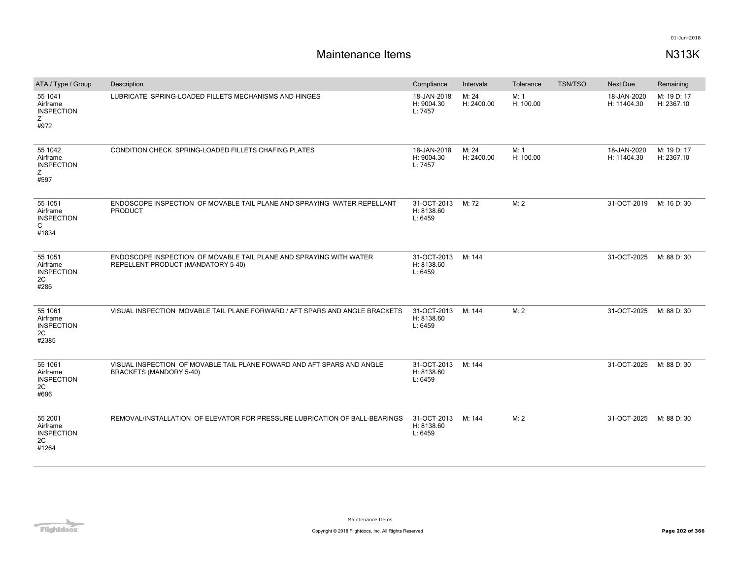| ATA / Type / Group                                      | Description                                                                                              | Compliance                           | Intervals           | Tolerance         | <b>TSN/TSO</b> | Next Due                   | Remaining                 |
|---------------------------------------------------------|----------------------------------------------------------------------------------------------------------|--------------------------------------|---------------------|-------------------|----------------|----------------------------|---------------------------|
| 55 1041<br>Airframe<br><b>INSPECTION</b><br>z<br>#972   | LUBRICATE SPRING-LOADED FILLETS MECHANISMS AND HINGES                                                    | 18-JAN-2018<br>H: 9004.30<br>L: 7457 | M: 24<br>H: 2400.00 | M: 1<br>H: 100.00 |                | 18-JAN-2020<br>H: 11404.30 | M: 19 D: 17<br>H: 2367.10 |
| 55 1042<br>Airframe<br><b>INSPECTION</b><br>Z<br>#597   | CONDITION CHECK SPRING-LOADED FILLETS CHAFING PLATES                                                     | 18-JAN-2018<br>H: 9004.30<br>L: 7457 | M: 24<br>H: 2400.00 | M: 1<br>H: 100.00 |                | 18-JAN-2020<br>H: 11404.30 | M: 19 D: 17<br>H: 2367.10 |
| 55 1051<br>Airframe<br><b>INSPECTION</b><br>C<br>#1834  | ENDOSCOPE INSPECTION OF MOVABLE TAIL PLANE AND SPRAYING WATER REPELLANT<br>PRODUCT                       | 31-OCT-2013<br>H: 8138.60<br>L: 6459 | M: 72               | M: 2              |                | 31-OCT-2019                | M: 16 D: 30               |
| 55 1051<br>Airframe<br><b>INSPECTION</b><br>2C<br>#286  | ENDOSCOPE INSPECTION OF MOVABLE TAIL PLANE AND SPRAYING WITH WATER<br>REPELLENT PRODUCT (MANDATORY 5-40) | 31-OCT-2013<br>H: 8138.60<br>L: 6459 | M: 144              |                   |                | 31-OCT-2025                | M: 88 D: 30               |
| 55 1061<br>Airframe<br><b>INSPECTION</b><br>2C<br>#2385 | VISUAL INSPECTION MOVABLE TAIL PLANE FORWARD / AFT SPARS AND ANGLE BRACKETS                              | 31-OCT-2013<br>H: 8138.60<br>L: 6459 | M: 144              | M: 2              |                | 31-OCT-2025                | M: 88 D: 30               |
| 55 1061<br>Airframe<br><b>INSPECTION</b><br>2C<br>#696  | VISUAL INSPECTION OF MOVABLE TAIL PLANE FOWARD AND AFT SPARS AND ANGLE<br><b>BRACKETS (MANDORY 5-40)</b> | 31-OCT-2013<br>H: 8138.60<br>L: 6459 | M: 144              |                   |                | 31-OCT-2025                | M: 88 D: 30               |
| 55 2001<br>Airframe<br><b>INSPECTION</b><br>2C<br>#1264 | REMOVAL/INSTALLATION OF ELEVATOR FOR PRESSURE LUBRICATION OF BALL-BEARINGS                               | 31-OCT-2013<br>H: 8138.60<br>L: 6459 | M: 144              | M: 2              |                | 31-OCT-2025                | M: 88 D: 30               |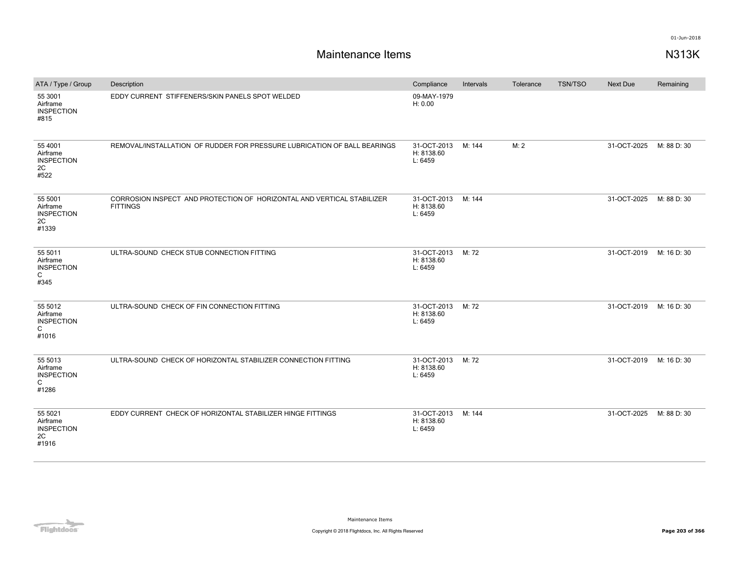| ATA / Type / Group                                                | Description                                                                               | Compliance                           | Intervals | Tolerance | <b>TSN/TSO</b> | <b>Next Due</b> | Remaining   |
|-------------------------------------------------------------------|-------------------------------------------------------------------------------------------|--------------------------------------|-----------|-----------|----------------|-----------------|-------------|
| 55 3001<br>Airframe<br><b>INSPECTION</b><br>#815                  | EDDY CURRENT STIFFENERS/SKIN PANELS SPOT WELDED                                           | 09-MAY-1979<br>H: 0.00               |           |           |                |                 |             |
| 55 4001<br>Airframe<br><b>INSPECTION</b><br>2C<br>#522            | REMOVAL/INSTALLATION OF RUDDER FOR PRESSURE LUBRICATION OF BALL BEARINGS                  | 31-OCT-2013<br>H: 8138.60<br>L: 6459 | M: 144    | M: 2      |                | 31-OCT-2025     | M: 88 D: 30 |
| 55 5001<br>Airframe<br><b>INSPECTION</b><br>2C<br>#1339           | CORROSION INSPECT AND PROTECTION OF HORIZONTAL AND VERTICAL STABILIZER<br><b>FITTINGS</b> | 31-OCT-2013<br>H: 8138.60<br>L: 6459 | M: 144    |           |                | 31-OCT-2025     | M: 88 D: 30 |
| 55 5011<br>Airframe<br><b>INSPECTION</b><br>$\mathsf{C}$<br>#345  | ULTRA-SOUND CHECK STUB CONNECTION FITTING                                                 | 31-OCT-2013<br>H: 8138.60<br>L: 6459 | M: 72     |           |                | 31-OCT-2019     | M: 16 D: 30 |
| 55 5012<br>Airframe<br><b>INSPECTION</b><br>C<br>#1016            | ULTRA-SOUND CHECK OF FIN CONNECTION FITTING                                               | 31-OCT-2013<br>H: 8138.60<br>L: 6459 | M: 72     |           |                | 31-OCT-2019     | M: 16 D: 30 |
| 55 5013<br>Airframe<br><b>INSPECTION</b><br>$\mathsf{C}$<br>#1286 | ULTRA-SOUND CHECK OF HORIZONTAL STABILIZER CONNECTION FITTING                             | 31-OCT-2013<br>H: 8138.60<br>L: 6459 | M: 72     |           |                | 31-OCT-2019     | M: 16 D: 30 |
| 55 5021<br>Airframe<br><b>INSPECTION</b><br>2C<br>#1916           | EDDY CURRENT CHECK OF HORIZONTAL STABILIZER HINGE FITTINGS                                | 31-OCT-2013<br>H: 8138.60<br>L: 6459 | M: 144    |           |                | 31-OCT-2025     | M: 88 D: 30 |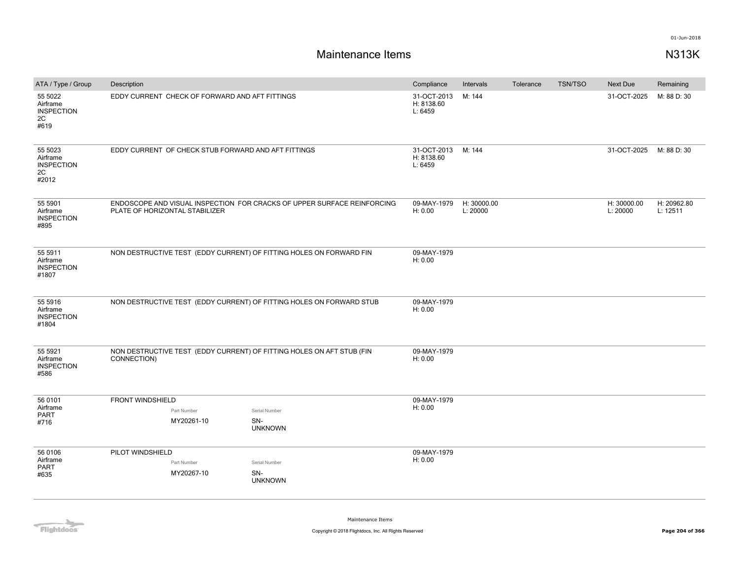| ATA / Type / Group                                      | Description                                                                          |                                                                         | Compliance                           | Intervals               | Tolerance | <b>TSN/TSO</b> | Next Due                | Remaining               |
|---------------------------------------------------------|--------------------------------------------------------------------------------------|-------------------------------------------------------------------------|--------------------------------------|-------------------------|-----------|----------------|-------------------------|-------------------------|
| 55 5022<br>Airframe<br><b>INSPECTION</b><br>2C<br>#619  | EDDY CURRENT CHECK OF FORWARD AND AFT FITTINGS                                       |                                                                         | 31-OCT-2013<br>H: 8138.60<br>L: 6459 | M: 144                  |           |                | 31-OCT-2025             | M: 88 D: 30             |
| 55 5023<br>Airframe<br><b>INSPECTION</b><br>2C<br>#2012 | EDDY CURRENT OF CHECK STUB FORWARD AND AFT FITTINGS                                  |                                                                         | 31-OCT-2013<br>H: 8138.60<br>L: 6459 | M: 144                  |           |                | 31-OCT-2025             | M: 88 D: 30             |
| 55 5901<br>Airframe<br><b>INSPECTION</b><br>#895        | PLATE OF HORIZONTAL STABILIZER                                                       | ENDOSCOPE AND VISUAL INSPECTION FOR CRACKS OF UPPER SURFACE REINFORCING | 09-MAY-1979<br>H: 0.00               | H: 30000.00<br>L: 20000 |           |                | H: 30000.00<br>L: 20000 | H: 20962.80<br>L: 12511 |
| 55 5911<br>Airframe<br><b>INSPECTION</b><br>#1807       | NON DESTRUCTIVE TEST (EDDY CURRENT) OF FITTING HOLES ON FORWARD FIN                  |                                                                         | 09-MAY-1979<br>H: 0.00               |                         |           |                |                         |                         |
| 55 5916<br>Airframe<br><b>INSPECTION</b><br>#1804       | NON DESTRUCTIVE TEST (EDDY CURRENT) OF FITTING HOLES ON FORWARD STUB                 |                                                                         | 09-MAY-1979<br>H: 0.00               |                         |           |                |                         |                         |
| 55 5921<br>Airframe<br><b>INSPECTION</b><br>#586        | NON DESTRUCTIVE TEST (EDDY CURRENT) OF FITTING HOLES ON AFT STUB (FIN<br>CONNECTION) |                                                                         | 09-MAY-1979<br>H: 0.00               |                         |           |                |                         |                         |
| 56 0101<br>Airframe                                     | <b>FRONT WINDSHIELD</b>                                                              |                                                                         | 09-MAY-1979<br>H: 0.00               |                         |           |                |                         |                         |
| <b>PART</b>                                             | Part Number                                                                          | Serial Number                                                           |                                      |                         |           |                |                         |                         |
| #716                                                    | MY20261-10                                                                           | SN-<br><b>UNKNOWN</b>                                                   |                                      |                         |           |                |                         |                         |
| 56 0106                                                 | PILOT WINDSHIELD                                                                     |                                                                         | 09-MAY-1979                          |                         |           |                |                         |                         |
| Airframe<br><b>PART</b>                                 | Part Number                                                                          | Serial Number                                                           | H: 0.00                              |                         |           |                |                         |                         |
| #635                                                    | MY20267-10                                                                           | SN-<br><b>UNKNOWN</b>                                                   |                                      |                         |           |                |                         |                         |

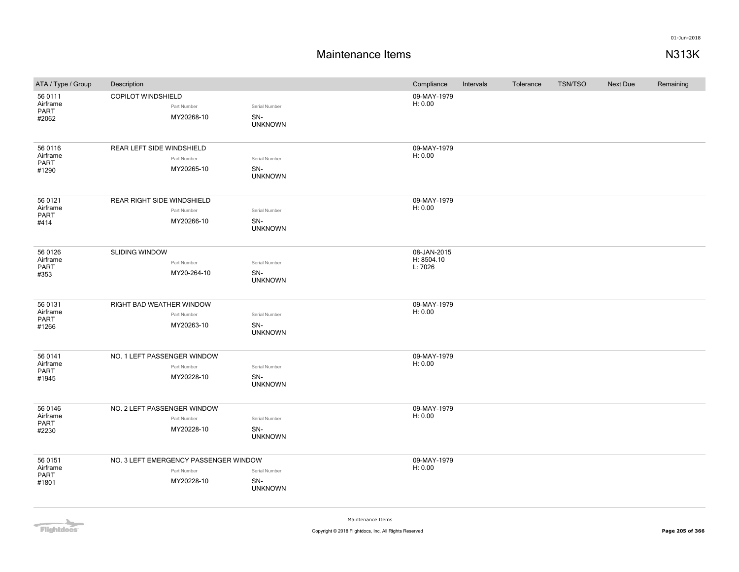| ATA / Type / Group                   | Description                                                        |                                        | Compliance                           | Intervals | Tolerance | <b>TSN/TSO</b> | Next Due | Remaining |
|--------------------------------------|--------------------------------------------------------------------|----------------------------------------|--------------------------------------|-----------|-----------|----------------|----------|-----------|
| 56 0111<br>Airframe<br>PART<br>#2062 | COPILOT WINDSHIELD<br>Part Number<br>MY20268-10                    | Serial Number<br>SN-<br><b>UNKNOWN</b> | 09-MAY-1979<br>H: 0.00               |           |           |                |          |           |
| 56 0116<br>Airframe<br>PART<br>#1290 | REAR LEFT SIDE WINDSHIELD<br>Part Number<br>MY20265-10             | Serial Number<br>SN-<br><b>UNKNOWN</b> | 09-MAY-1979<br>H: 0.00               |           |           |                |          |           |
| 56 0121<br>Airframe<br>PART<br>#414  | REAR RIGHT SIDE WINDSHIELD<br>Part Number<br>MY20266-10            | Serial Number<br>SN-<br><b>UNKNOWN</b> | 09-MAY-1979<br>H: 0.00               |           |           |                |          |           |
| 56 0126<br>Airframe<br>PART<br>#353  | <b>SLIDING WINDOW</b><br>Part Number<br>MY20-264-10                | Serial Number<br>SN-<br><b>UNKNOWN</b> | 08-JAN-2015<br>H: 8504.10<br>L: 7026 |           |           |                |          |           |
| 56 0131<br>Airframe<br>PART<br>#1266 | RIGHT BAD WEATHER WINDOW<br>Part Number<br>MY20263-10              | Serial Number<br>SN-<br><b>UNKNOWN</b> | 09-MAY-1979<br>H: 0.00               |           |           |                |          |           |
| 56 0141<br>Airframe<br>PART<br>#1945 | NO. 1 LEFT PASSENGER WINDOW<br>Part Number<br>MY20228-10           | Serial Number<br>SN-<br><b>UNKNOWN</b> | 09-MAY-1979<br>H: 0.00               |           |           |                |          |           |
| 56 0146<br>Airframe<br>PART<br>#2230 | NO. 2 LEFT PASSENGER WINDOW<br>Part Number<br>MY20228-10           | Serial Number<br>SN-<br><b>UNKNOWN</b> | 09-MAY-1979<br>H: 0.00               |           |           |                |          |           |
| 56 0151<br>Airframe<br>PART<br>#1801 | NO. 3 LEFT EMERGENCY PASSENGER WINDOW<br>Part Number<br>MY20228-10 | Serial Number<br>SN-<br><b>UNKNOWN</b> | 09-MAY-1979<br>H: 0.00               |           |           |                |          |           |

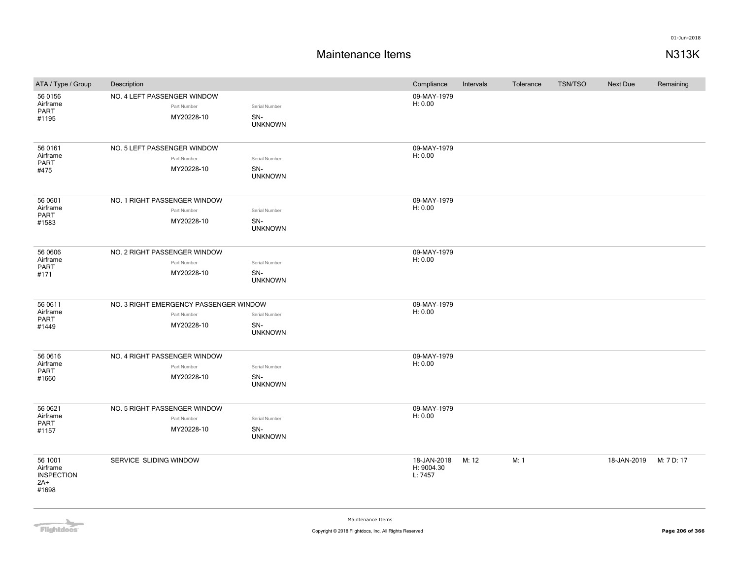| ATA / Type / Group                                       | Description                                                         |                                        | Compliance                           | Intervals | Tolerance | <b>TSN/TSO</b> | <b>Next Due</b> | Remaining  |
|----------------------------------------------------------|---------------------------------------------------------------------|----------------------------------------|--------------------------------------|-----------|-----------|----------------|-----------------|------------|
| 56 0156<br>Airframe<br><b>PART</b><br>#1195              | NO. 4 LEFT PASSENGER WINDOW<br>Part Number<br>MY20228-10            | Serial Number<br>SN-<br><b>UNKNOWN</b> | 09-MAY-1979<br>H: 0.00               |           |           |                |                 |            |
| 56 0161<br>Airframe<br>PART<br>#475                      | NO. 5 LEFT PASSENGER WINDOW<br>Part Number<br>MY20228-10            | Serial Number<br>SN-<br><b>UNKNOWN</b> | 09-MAY-1979<br>H: 0.00               |           |           |                |                 |            |
| 56 0601<br>Airframe<br>PART<br>#1583                     | NO. 1 RIGHT PASSENGER WINDOW<br>Part Number<br>MY20228-10           | Serial Number<br>SN-<br><b>UNKNOWN</b> | 09-MAY-1979<br>H: 0.00               |           |           |                |                 |            |
| 56 0606<br>Airframe<br><b>PART</b><br>#171               | NO. 2 RIGHT PASSENGER WINDOW<br>Part Number<br>MY20228-10           | Serial Number<br>SN-<br><b>UNKNOWN</b> | 09-MAY-1979<br>H: 0.00               |           |           |                |                 |            |
| 56 0611<br>Airframe<br><b>PART</b><br>#1449              | NO. 3 RIGHT EMERGENCY PASSENGER WINDOW<br>Part Number<br>MY20228-10 | Serial Number<br>SN-<br><b>UNKNOWN</b> | 09-MAY-1979<br>H: 0.00               |           |           |                |                 |            |
| 56 06 16<br>Airframe<br>PART<br>#1660                    | NO. 4 RIGHT PASSENGER WINDOW<br>Part Number<br>MY20228-10           | Serial Number<br>SN-<br><b>UNKNOWN</b> | 09-MAY-1979<br>H: 0.00               |           |           |                |                 |            |
| 56 0621<br>Airframe<br><b>PART</b><br>#1157              | NO. 5 RIGHT PASSENGER WINDOW<br>Part Number<br>MY20228-10           | Serial Number<br>SN-<br><b>UNKNOWN</b> | 09-MAY-1979<br>H: 0.00               |           |           |                |                 |            |
| 56 1001<br>Airframe<br><b>INSPECTION</b><br>2A+<br>#1698 | SERVICE SLIDING WINDOW                                              |                                        | 18-JAN-2018<br>H: 9004.30<br>L: 7457 | M: 12     | M: 1      |                | 18-JAN-2019     | M: 7 D: 17 |

Flightdocs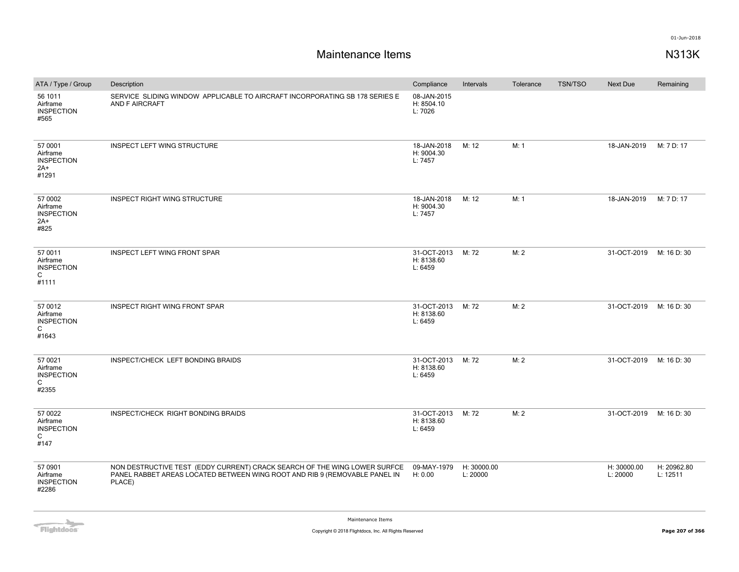| ATA / Type / Group                                         | Description                                                                                                                                                       | Compliance                           | Intervals               | Tolerance | <b>TSN/TSO</b> | <b>Next Due</b>         | Remaining               |
|------------------------------------------------------------|-------------------------------------------------------------------------------------------------------------------------------------------------------------------|--------------------------------------|-------------------------|-----------|----------------|-------------------------|-------------------------|
| 56 1011<br>Airframe<br><b>INSPECTION</b><br>#565           | SERVICE SLIDING WINDOW APPLICABLE TO AIRCRAFT INCORPORATING SB 178 SERIES E<br>AND F AIRCRAFT                                                                     | 08-JAN-2015<br>H: 8504.10<br>L: 7026 |                         |           |                |                         |                         |
| 57 0001<br>Airframe<br><b>INSPECTION</b><br>$2A+$<br>#1291 | INSPECT LEFT WING STRUCTURE                                                                                                                                       | 18-JAN-2018<br>H: 9004.30<br>L: 7457 | M: 12                   | M: 1      |                | 18-JAN-2019             | M: 7 D: 17              |
| 57 0002<br>Airframe<br><b>INSPECTION</b><br>2A+<br>#825    | INSPECT RIGHT WING STRUCTURE                                                                                                                                      | 18-JAN-2018<br>H: 9004.30<br>L: 7457 | M: 12                   | M: 1      |                | 18-JAN-2019             | M: 7 D: 17              |
| 57 0011<br>Airframe<br><b>INSPECTION</b><br>C<br>#1111     | INSPECT LEFT WING FRONT SPAR                                                                                                                                      | 31-OCT-2013<br>H: 8138.60<br>L: 6459 | M: 72                   | M: 2      |                | 31-OCT-2019             | M: 16 D: 30             |
| 57 0012<br>Airframe<br><b>INSPECTION</b><br>C<br>#1643     | <b>INSPECT RIGHT WING FRONT SPAR</b>                                                                                                                              | 31-OCT-2013<br>H: 8138.60<br>L: 6459 | M: 72                   | M: 2      |                | 31-OCT-2019             | M: 16 D: 30             |
| 57 0021<br>Airframe<br><b>INSPECTION</b><br>C<br>#2355     | INSPECT/CHECK LEFT BONDING BRAIDS                                                                                                                                 | 31-OCT-2013<br>H: 8138.60<br>L: 6459 | M: 72                   | M: 2      |                | 31-OCT-2019 M: 16 D: 30 |                         |
| 57 0022<br>Airframe<br><b>INSPECTION</b><br>C<br>#147      | INSPECT/CHECK RIGHT BONDING BRAIDS                                                                                                                                | 31-OCT-2013<br>H: 8138.60<br>L: 6459 | M: 72                   | M: 2      |                | 31-OCT-2019             | M: 16 D: 30             |
| 57 0901<br>Airframe<br><b>INSPECTION</b><br>#2286          | NON DESTRUCTIVE TEST (EDDY CURRENT) CRACK SEARCH OF THE WING LOWER SURFCE<br>PANEL RABBET AREAS LOCATED BETWEEN WING ROOT AND RIB 9 (REMOVABLE PANEL IN<br>PLACE) | 09-MAY-1979<br>H: 0.00               | H: 30000.00<br>L: 20000 |           |                | H: 30000.00<br>L: 20000 | H: 20962.80<br>L: 12511 |

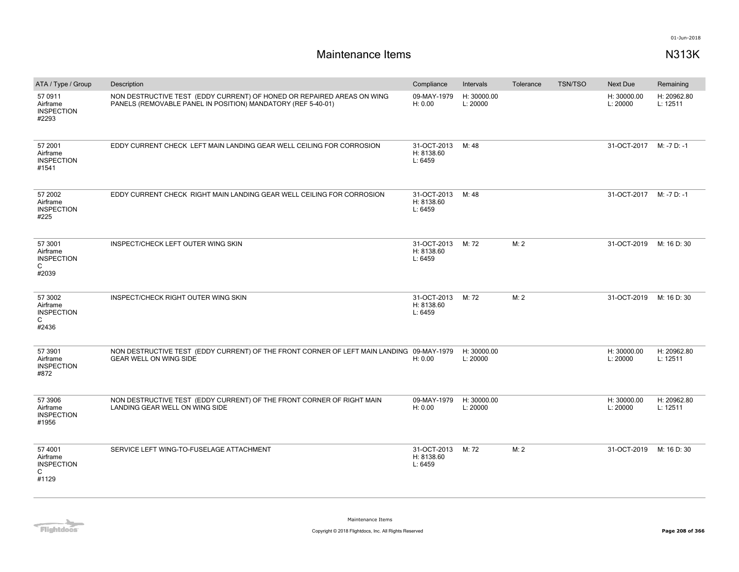| ATA / Type / Group                                     | Description                                                                                                                            | Compliance                           | Intervals               | Tolerance | <b>TSN/TSO</b> | Next Due                | Remaining               |
|--------------------------------------------------------|----------------------------------------------------------------------------------------------------------------------------------------|--------------------------------------|-------------------------|-----------|----------------|-------------------------|-------------------------|
| 57 0911<br>Airframe<br><b>INSPECTION</b><br>#2293      | NON DESTRUCTIVE TEST (EDDY CURRENT) OF HONED OR REPAIRED AREAS ON WING<br>PANELS (REMOVABLE PANEL IN POSITION) MANDATORY (REF 5-40-01) | 09-MAY-1979<br>H: 0.00               | H: 30000.00<br>L: 20000 |           |                | H: 30000.00<br>L: 20000 | H: 20962.80<br>L: 12511 |
| 57 2001<br>Airframe<br><b>INSPECTION</b><br>#1541      | EDDY CURRENT CHECK LEFT MAIN LANDING GEAR WELL CEILING FOR CORROSION                                                                   | 31-OCT-2013<br>H: 8138.60<br>L: 6459 | M: 48                   |           |                | 31-OCT-2017             | M: -7 D: -1             |
| 57 2002<br>Airframe<br><b>INSPECTION</b><br>#225       | EDDY CURRENT CHECK RIGHT MAIN LANDING GEAR WELL CEILING FOR CORROSION                                                                  | 31-OCT-2013<br>H: 8138.60<br>L: 6459 | M: 48                   |           |                | 31-OCT-2017             | M: -7 D: -1             |
| 57 3001<br>Airframe<br><b>INSPECTION</b><br>C<br>#2039 | INSPECT/CHECK LEFT OUTER WING SKIN                                                                                                     | 31-OCT-2013<br>H: 8138.60<br>L: 6459 | M: 72                   | M: 2      |                | 31-OCT-2019             | M: 16 D: 30             |
| 57 3002<br>Airframe<br><b>INSPECTION</b><br>C<br>#2436 | INSPECT/CHECK RIGHT OUTER WING SKIN                                                                                                    | 31-OCT-2013<br>H: 8138.60<br>L: 6459 | M: 72                   | M: 2      |                | 31-OCT-2019             | M: 16 D: 30             |
| 57 3901<br>Airframe<br><b>INSPECTION</b><br>#872       | NON DESTRUCTIVE TEST (EDDY CURRENT) OF THE FRONT CORNER OF LEFT MAIN LANDING 09-MAY-1979<br><b>GEAR WELL ON WING SIDE</b>              | H: 0.00                              | H: 30000.00<br>L: 20000 |           |                | H: 30000.00<br>L: 20000 | H: 20962.80<br>L: 12511 |
| 57 3906<br>Airframe<br><b>INSPECTION</b><br>#1956      | NON DESTRUCTIVE TEST (EDDY CURRENT) OF THE FRONT CORNER OF RIGHT MAIN<br>LANDING GEAR WELL ON WING SIDE                                | 09-MAY-1979<br>H: 0.00               | H: 30000.00<br>L: 20000 |           |                | H: 30000.00<br>L: 20000 | H: 20962.80<br>L: 12511 |
| 57 4001<br>Airframe<br><b>INSPECTION</b><br>C<br>#1129 | SERVICE LEFT WING-TO-FUSELAGE ATTACHMENT                                                                                               | 31-OCT-2013<br>H: 8138.60<br>L: 6459 | M: 72                   | M: 2      |                | 31-OCT-2019             | M: 16 D: 30             |

**Flightdocs**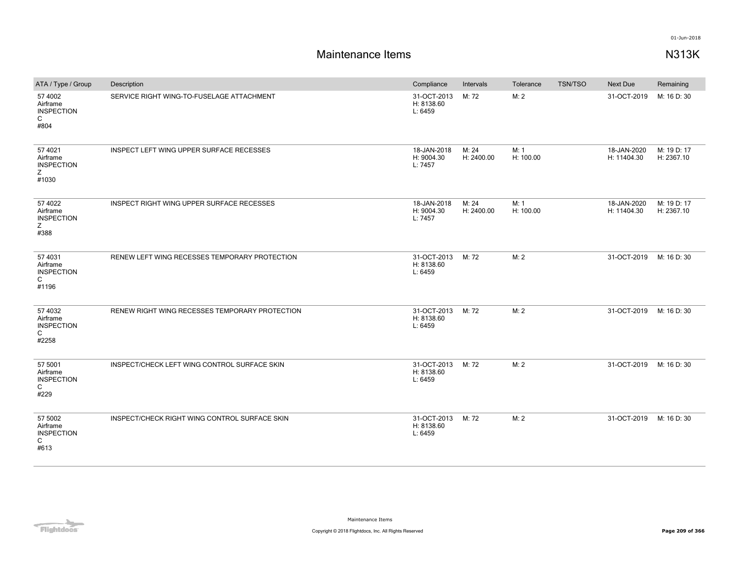| ATA / Type / Group                                                | Description                                    | Compliance                           | Intervals           | Tolerance         | <b>TSN/TSO</b> | <b>Next Due</b>            | Remaining                 |
|-------------------------------------------------------------------|------------------------------------------------|--------------------------------------|---------------------|-------------------|----------------|----------------------------|---------------------------|
| 57 4002<br>Airframe<br><b>INSPECTION</b><br>$\mathsf{C}$<br>#804  | SERVICE RIGHT WING-TO-FUSELAGE ATTACHMENT      | 31-OCT-2013<br>H: 8138.60<br>L: 6459 | M: 72               | M: 2              |                | 31-OCT-2019                | M: 16 D: 30               |
| 57 4021<br>Airframe<br><b>INSPECTION</b><br>Z<br>#1030            | INSPECT LEFT WING UPPER SURFACE RECESSES       | 18-JAN-2018<br>H: 9004.30<br>L: 7457 | M: 24<br>H: 2400.00 | M: 1<br>H: 100.00 |                | 18-JAN-2020<br>H: 11404.30 | M: 19 D: 17<br>H: 2367.10 |
| 57 4022<br>Airframe<br><b>INSPECTION</b><br>Z<br>#388             | INSPECT RIGHT WING UPPER SURFACE RECESSES      | 18-JAN-2018<br>H: 9004.30<br>L: 7457 | M: 24<br>H: 2400.00 | M: 1<br>H: 100.00 |                | 18-JAN-2020<br>H: 11404.30 | M: 19 D: 17<br>H: 2367.10 |
| 57 4031<br>Airframe<br><b>INSPECTION</b><br>C<br>#1196            | RENEW LEFT WING RECESSES TEMPORARY PROTECTION  | 31-OCT-2013<br>H: 8138.60<br>L: 6459 | M: 72               | M:2               |                | 31-OCT-2019                | M: 16 D: 30               |
| 57 4032<br>Airframe<br><b>INSPECTION</b><br>$\mathsf{C}$<br>#2258 | RENEW RIGHT WING RECESSES TEMPORARY PROTECTION | 31-OCT-2013<br>H: 8138.60<br>L: 6459 | M: 72               | M: 2              |                | 31-OCT-2019                | M: 16 D: 30               |
| 57 5001<br>Airframe<br><b>INSPECTION</b><br>C<br>#229             | INSPECT/CHECK LEFT WING CONTROL SURFACE SKIN   | 31-OCT-2013<br>H: 8138.60<br>L: 6459 | M: 72               | M: 2              |                | 31-OCT-2019                | M: 16 D: 30               |
| 57 5002<br>Airframe<br><b>INSPECTION</b><br>C<br>#613             | INSPECT/CHECK RIGHT WING CONTROL SURFACE SKIN  | 31-OCT-2013<br>H: 8138.60<br>L: 6459 | M: 72               | M:2               |                | 31-OCT-2019                | M: 16 D: 30               |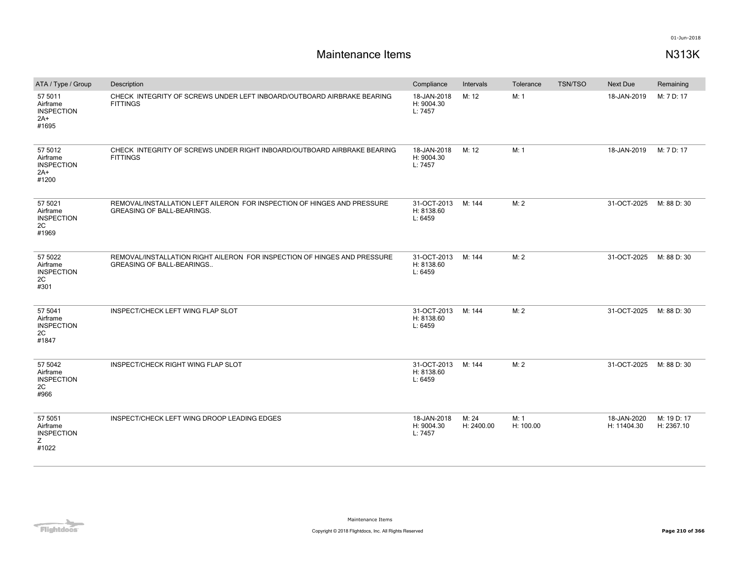| ATA / Type / Group                                         | Description                                                                                                  | Compliance                           | Intervals           | Tolerance         | <b>TSN/TSO</b> | <b>Next Due</b>            | Remaining                 |
|------------------------------------------------------------|--------------------------------------------------------------------------------------------------------------|--------------------------------------|---------------------|-------------------|----------------|----------------------------|---------------------------|
| 57 5011<br>Airframe<br><b>INSPECTION</b><br>$2A+$<br>#1695 | CHECK INTEGRITY OF SCREWS UNDER LEFT INBOARD/OUTBOARD AIRBRAKE BEARING<br><b>FITTINGS</b>                    | 18-JAN-2018<br>H: 9004.30<br>L: 7457 | M: 12               | M: 1              |                | 18-JAN-2019                | M: 7 D: 17                |
| 57 5012<br>Airframe<br><b>INSPECTION</b><br>$2A+$<br>#1200 | CHECK INTEGRITY OF SCREWS UNDER RIGHT INBOARD/OUTBOARD AIRBRAKE BEARING<br><b>FITTINGS</b>                   | 18-JAN-2018<br>H: 9004.30<br>L: 7457 | M: 12               | M: 1              |                | 18-JAN-2019                | M: 7 D: 17                |
| 57 5021<br>Airframe<br><b>INSPECTION</b><br>2C<br>#1969    | REMOVAL/INSTALLATION LEFT AILERON FOR INSPECTION OF HINGES AND PRESSURE<br><b>GREASING OF BALL-BEARINGS.</b> | 31-OCT-2013<br>H: 8138.60<br>L: 6459 | M: 144              | M: 2              |                | 31-OCT-2025                | M: 88 D: 30               |
| 57 5022<br>Airframe<br><b>INSPECTION</b><br>2C<br>#301     | REMOVAL/INSTALLATION RIGHT AILERON FOR INSPECTION OF HINGES AND PRESSURE<br><b>GREASING OF BALL-BEARINGS</b> | 31-OCT-2013<br>H: 8138.60<br>L: 6459 | M: 144              | M: 2              |                | 31-OCT-2025                | M: 88 D: 30               |
| 57 5041<br>Airframe<br><b>INSPECTION</b><br>2C<br>#1847    | INSPECT/CHECK LEFT WING FLAP SLOT                                                                            | 31-OCT-2013<br>H: 8138.60<br>L: 6459 | M: 144              | M: 2              |                | 31-OCT-2025                | M: 88 D: 30               |
| 57 5042<br>Airframe<br><b>INSPECTION</b><br>2C<br>#966     | INSPECT/CHECK RIGHT WING FLAP SLOT                                                                           | 31-OCT-2013<br>H: 8138.60<br>L: 6459 | M: 144              | M: 2              |                | 31-OCT-2025                | M: 88 D: 30               |
| 57 5051<br>Airframe<br><b>INSPECTION</b><br>Ζ<br>#1022     | INSPECT/CHECK LEFT WING DROOP LEADING EDGES                                                                  | 18-JAN-2018<br>H: 9004.30<br>L: 7457 | M: 24<br>H: 2400.00 | M: 1<br>H: 100.00 |                | 18-JAN-2020<br>H: 11404.30 | M: 19 D: 17<br>H: 2367.10 |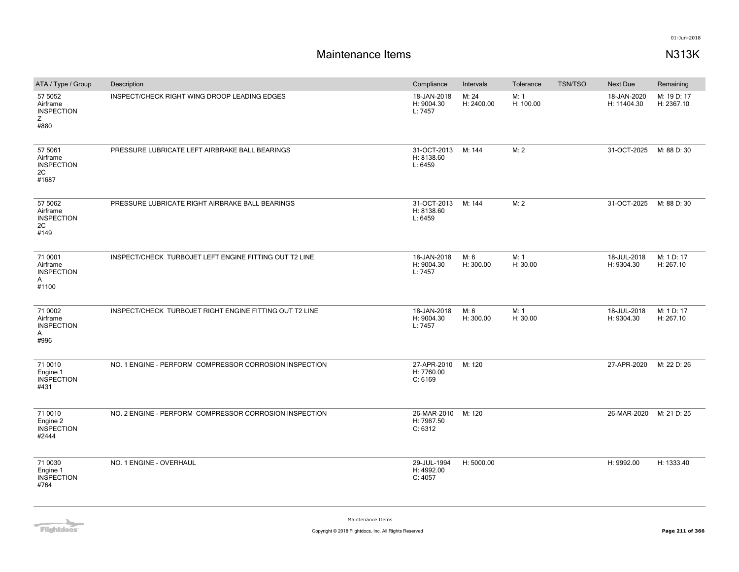| ATA / Type / Group                                      | Description                                             | Compliance                           | Intervals           | Tolerance         | <b>TSN/TSO</b> | Next Due                   | Remaining                 |
|---------------------------------------------------------|---------------------------------------------------------|--------------------------------------|---------------------|-------------------|----------------|----------------------------|---------------------------|
| 57 5052<br>Airframe<br><b>INSPECTION</b><br>Z.<br>#880  | INSPECT/CHECK RIGHT WING DROOP LEADING EDGES            | 18-JAN-2018<br>H: 9004.30<br>L: 7457 | M: 24<br>H: 2400.00 | M: 1<br>H: 100.00 |                | 18-JAN-2020<br>H: 11404.30 | M: 19 D: 17<br>H: 2367.10 |
| 57 5061<br>Airframe<br><b>INSPECTION</b><br>2C<br>#1687 | PRESSURE LUBRICATE LEFT AIRBRAKE BALL BEARINGS          | 31-OCT-2013<br>H: 8138.60<br>L: 6459 | M: 144              | M: 2              |                | 31-OCT-2025                | M: 88 D: 30               |
| 57 5062<br>Airframe<br><b>INSPECTION</b><br>2C<br>#149  | PRESSURE LUBRICATE RIGHT AIRBRAKE BALL BEARINGS         | 31-OCT-2013<br>H: 8138.60<br>L: 6459 | M: 144              | M: 2              |                | 31-OCT-2025                | M: 88 D: 30               |
| 71 0001<br>Airframe<br><b>INSPECTION</b><br>A<br>#1100  | INSPECT/CHECK TURBOJET LEFT ENGINE FITTING OUT T2 LINE  | 18-JAN-2018<br>H: 9004.30<br>L: 7457 | M: 6<br>H: 300.00   | M: 1<br>H: 30.00  |                | 18-JUL-2018<br>H: 9304.30  | M: 1 D: 17<br>H: 267.10   |
| 71 0002<br>Airframe<br><b>INSPECTION</b><br>A<br>#996   | INSPECT/CHECK TURBOJET RIGHT ENGINE FITTING OUT T2 LINE | 18-JAN-2018<br>H: 9004.30<br>L: 7457 | M: 6<br>H: 300.00   | M: 1<br>H: 30.00  |                | 18-JUL-2018<br>H: 9304.30  | M: 1 D: 17<br>H: 267.10   |
| 71 0010<br>Engine 1<br><b>INSPECTION</b><br>#431        | NO. 1 ENGINE - PERFORM COMPRESSOR CORROSION INSPECTION  | 27-APR-2010<br>H: 7760.00<br>C: 6169 | M: 120              |                   |                | 27-APR-2020                | M: 22 D: 26               |
| 71 0010<br>Engine 2<br><b>INSPECTION</b><br>#2444       | NO. 2 ENGINE - PERFORM COMPRESSOR CORROSION INSPECTION  | 26-MAR-2010<br>H: 7967.50<br>C: 6312 | M: 120              |                   |                | 26-MAR-2020                | M: 21 D: 25               |
| 71 0030<br>Engine 1<br><b>INSPECTION</b><br>#764        | NO. 1 ENGINE - OVERHAUL                                 | 29-JUL-1994<br>H: 4992.00<br>C: 4057 | H: 5000.00          |                   |                | H: 9992.00                 | H: 1333.40                |

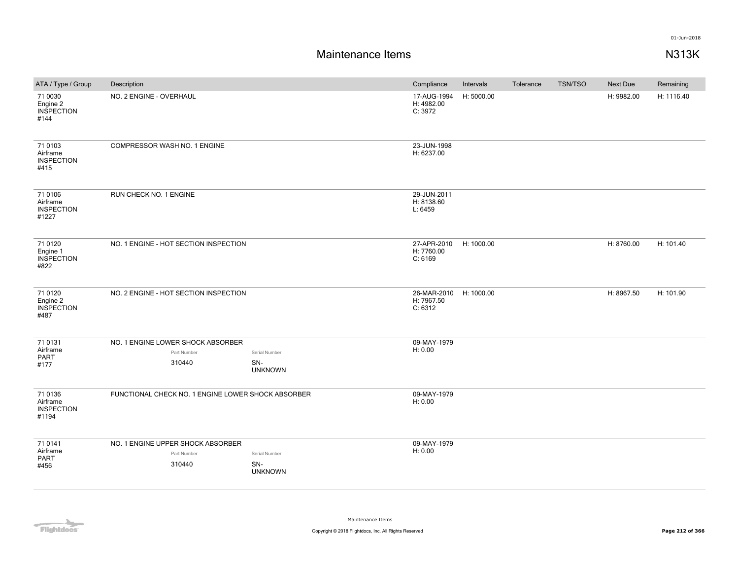| ATA / Type / Group                                | Description                                                |                                        | Compliance                           | Intervals  | Tolerance | TSN/TSO | Next Due   | Remaining  |
|---------------------------------------------------|------------------------------------------------------------|----------------------------------------|--------------------------------------|------------|-----------|---------|------------|------------|
| 71 0030<br>Engine 2<br><b>INSPECTION</b><br>#144  | NO. 2 ENGINE - OVERHAUL                                    |                                        | 17-AUG-1994<br>H: 4982.00<br>C: 3972 | H: 5000.00 |           |         | H: 9982.00 | H: 1116.40 |
| 71 0103<br>Airframe<br><b>INSPECTION</b><br>#415  | COMPRESSOR WASH NO. 1 ENGINE                               |                                        | 23-JUN-1998<br>H: 6237.00            |            |           |         |            |            |
| 71 0106<br>Airframe<br><b>INSPECTION</b><br>#1227 | RUN CHECK NO. 1 ENGINE                                     |                                        | 29-JUN-2011<br>H: 8138.60<br>L: 6459 |            |           |         |            |            |
| 71 0120<br>Engine 1<br><b>INSPECTION</b><br>#822  | NO. 1 ENGINE - HOT SECTION INSPECTION                      |                                        | 27-APR-2010<br>H: 7760.00<br>C: 6169 | H: 1000.00 |           |         | H: 8760.00 | H: 101.40  |
| 71 0120<br>Engine 2<br><b>INSPECTION</b><br>#487  | NO. 2 ENGINE - HOT SECTION INSPECTION                      |                                        | 26-MAR-2010<br>H: 7967.50<br>C: 6312 | H: 1000.00 |           |         | H: 8967.50 | H: 101.90  |
| 71 0131<br>Airframe<br><b>PART</b><br>#177        | NO. 1 ENGINE LOWER SHOCK ABSORBER<br>Part Number<br>310440 | Serial Number<br>SN-<br><b>UNKNOWN</b> | 09-MAY-1979<br>H: 0.00               |            |           |         |            |            |
| 71 0136<br>Airframe<br><b>INSPECTION</b><br>#1194 | FUNCTIONAL CHECK NO. 1 ENGINE LOWER SHOCK ABSORBER         |                                        | 09-MAY-1979<br>H: 0.00               |            |           |         |            |            |
| 71 0141<br>Airframe<br>PART<br>#456               | NO. 1 ENGINE UPPER SHOCK ABSORBER<br>Part Number<br>310440 | Serial Number<br>SN-<br><b>UNKNOWN</b> | 09-MAY-1979<br>H: 0.00               |            |           |         |            |            |

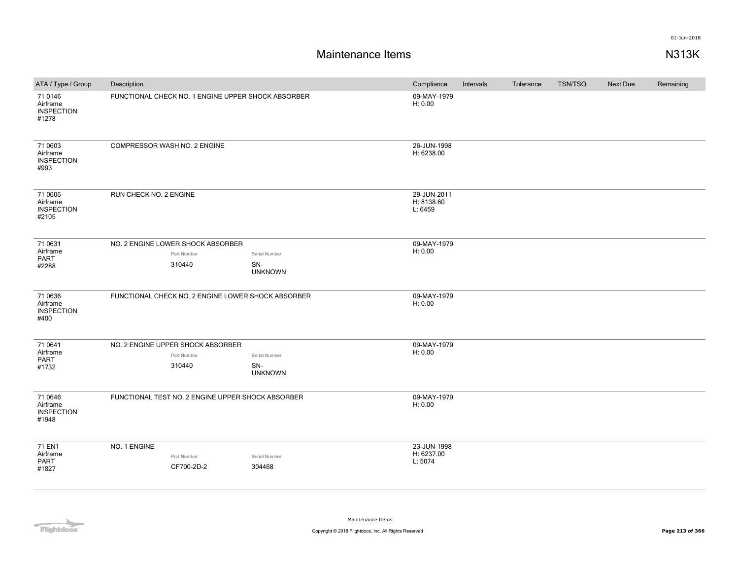| ATA / Type / Group                                | Description                                        |                         | Compliance                           | Intervals | Tolerance | <b>TSN/TSO</b> | Next Due | Remaining |
|---------------------------------------------------|----------------------------------------------------|-------------------------|--------------------------------------|-----------|-----------|----------------|----------|-----------|
| 71 0146<br>Airframe<br><b>INSPECTION</b><br>#1278 | FUNCTIONAL CHECK NO. 1 ENGINE UPPER SHOCK ABSORBER |                         | 09-MAY-1979<br>H: 0.00               |           |           |                |          |           |
| 71 0603<br>Airframe<br><b>INSPECTION</b><br>#993  | COMPRESSOR WASH NO. 2 ENGINE                       |                         | 26-JUN-1998<br>H: 6238.00            |           |           |                |          |           |
| 71 0606<br>Airframe<br><b>INSPECTION</b><br>#2105 | RUN CHECK NO. 2 ENGINE                             |                         | 29-JUN-2011<br>H: 8138.60<br>L: 6459 |           |           |                |          |           |
| 71 0631                                           | NO. 2 ENGINE LOWER SHOCK ABSORBER                  |                         | 09-MAY-1979                          |           |           |                |          |           |
| Airframe<br><b>PART</b>                           | Part Number                                        | Serial Number           | H: 0.00                              |           |           |                |          |           |
| #2288                                             | 310440                                             | SN-<br><b>UNKNOWN</b>   |                                      |           |           |                |          |           |
| 71 0636<br>Airframe<br><b>INSPECTION</b><br>#400  | FUNCTIONAL CHECK NO. 2 ENGINE LOWER SHOCK ABSORBER |                         | 09-MAY-1979<br>H: 0.00               |           |           |                |          |           |
| 71 0641                                           | NO. 2 ENGINE UPPER SHOCK ABSORBER                  |                         | 09-MAY-1979                          |           |           |                |          |           |
| Airframe                                          | Part Number                                        | Serial Number           | H: 0.00                              |           |           |                |          |           |
| PART<br>#1732                                     | 310440                                             | SN-<br><b>UNKNOWN</b>   |                                      |           |           |                |          |           |
| 71 0646<br>Airframe<br><b>INSPECTION</b><br>#1948 | FUNCTIONAL TEST NO. 2 ENGINE UPPER SHOCK ABSORBER  |                         | 09-MAY-1979<br>H: 0.00               |           |           |                |          |           |
| 71 EN1<br>Airframe<br>PART<br>#1827               | NO. 1 ENGINE<br>Part Number<br>CF700-2D-2          | Serial Number<br>304468 | 23-JUN-1998<br>H: 6237.00<br>L: 5074 |           |           |                |          |           |

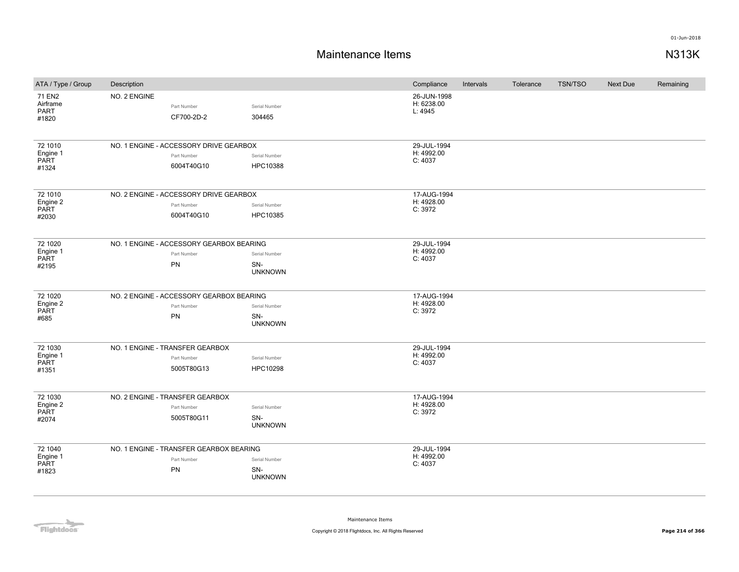| ATA / Type / Group                          | Description                                                         |                                        | Compliance                           | Intervals | Tolerance | <b>TSN/TSO</b> | Next Due | Remaining |
|---------------------------------------------|---------------------------------------------------------------------|----------------------------------------|--------------------------------------|-----------|-----------|----------------|----------|-----------|
| 71 EN2<br>Airframe<br>PART<br>#1820         | NO. 2 ENGINE<br>Part Number<br>CF700-2D-2                           | Serial Number<br>304465                | 26-JUN-1998<br>H: 6238.00<br>L: 4945 |           |           |                |          |           |
| 72 1010<br>Engine 1<br>PART<br>#1324        | NO. 1 ENGINE - ACCESSORY DRIVE GEARBOX<br>Part Number<br>6004T40G10 | Serial Number<br>HPC10388              | 29-JUL-1994<br>H: 4992.00<br>C: 4037 |           |           |                |          |           |
| 72 1010<br>Engine 2<br>PART<br>#2030        | NO. 2 ENGINE - ACCESSORY DRIVE GEARBOX<br>Part Number<br>6004T40G10 | Serial Number<br>HPC10385              | 17-AUG-1994<br>H: 4928.00<br>C: 3972 |           |           |                |          |           |
| 72 1020<br>Engine 1<br>PART<br>#2195        | NO. 1 ENGINE - ACCESSORY GEARBOX BEARING<br>Part Number<br>PN       | Serial Number<br>SN-<br><b>UNKNOWN</b> | 29-JUL-1994<br>H: 4992.00<br>C: 4037 |           |           |                |          |           |
| 72 1020<br>Engine 2<br>PART<br>#685         | NO. 2 ENGINE - ACCESSORY GEARBOX BEARING<br>Part Number<br>PN       | Serial Number<br>SN-<br><b>UNKNOWN</b> | 17-AUG-1994<br>H: 4928.00<br>C: 3972 |           |           |                |          |           |
| 72 1030<br>Engine 1<br>PART<br>#1351        | NO. 1 ENGINE - TRANSFER GEARBOX<br>Part Number<br>5005T80G13        | Serial Number<br>HPC10298              | 29-JUL-1994<br>H: 4992.00<br>C: 4037 |           |           |                |          |           |
| 72 1030<br>Engine 2<br><b>PART</b><br>#2074 | NO. 2 ENGINE - TRANSFER GEARBOX<br>Part Number<br>5005T80G11        | Serial Number<br>SN-<br><b>UNKNOWN</b> | 17-AUG-1994<br>H: 4928.00<br>C: 3972 |           |           |                |          |           |
| 72 1040<br>Engine 1<br>PART<br>#1823        | NO. 1 ENGINE - TRANSFER GEARBOX BEARING<br>Part Number<br>PN        | Serial Number<br>SN-<br><b>UNKNOWN</b> | 29-JUL-1994<br>H: 4992.00<br>C: 4037 |           |           |                |          |           |

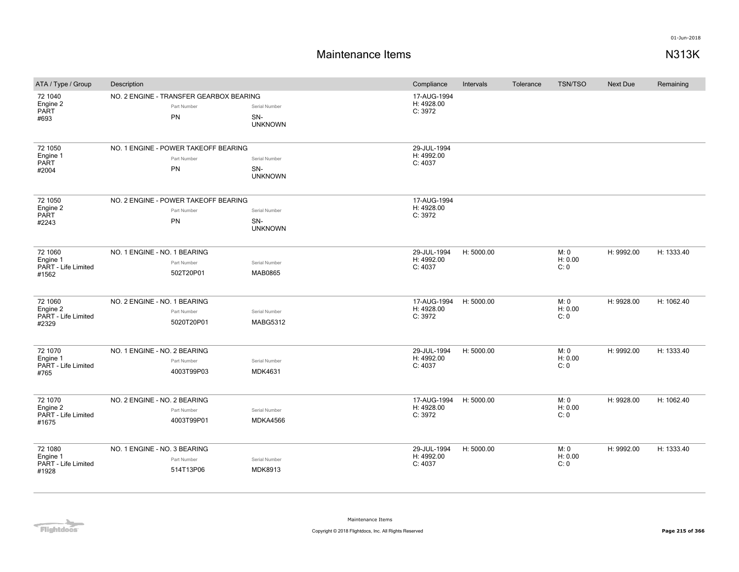| ATA / Type / Group                                  | Description                                                         |                                        | Compliance                           | Intervals  | Tolerance | <b>TSN/TSO</b>          | <b>Next Due</b> | Remaining  |
|-----------------------------------------------------|---------------------------------------------------------------------|----------------------------------------|--------------------------------------|------------|-----------|-------------------------|-----------------|------------|
| 72 1040<br>Engine 2<br><b>PART</b><br>#693          | NO. 2 ENGINE - TRANSFER GEARBOX BEARING<br>Part Number<br><b>PN</b> | Serial Number<br>SN-<br><b>UNKNOWN</b> | 17-AUG-1994<br>H: 4928.00<br>C: 3972 |            |           |                         |                 |            |
| 72 1050<br>Engine 1<br>PART<br>#2004                | NO. 1 ENGINE - POWER TAKEOFF BEARING<br>Part Number<br>PN           | Serial Number<br>SN-<br><b>UNKNOWN</b> | 29-JUL-1994<br>H: 4992.00<br>C: 4037 |            |           |                         |                 |            |
| 72 1050<br>Engine 2<br><b>PART</b><br>#2243         | NO. 2 ENGINE - POWER TAKEOFF BEARING<br>Part Number<br>PN           | Serial Number<br>SN-<br><b>UNKNOWN</b> | 17-AUG-1994<br>H: 4928.00<br>C: 3972 |            |           |                         |                 |            |
| 72 1060<br>Engine 1<br>PART - Life Limited<br>#1562 | NO. 1 ENGINE - NO. 1 BEARING<br>Part Number<br>502T20P01            | Serial Number<br><b>MAB0865</b>        | 29-JUL-1994<br>H: 4992.00<br>C: 4037 | H: 5000.00 |           | M: 0<br>H: 0.00<br>C: 0 | H: 9992.00      | H: 1333.40 |
| 72 1060<br>Engine 2<br>PART - Life Limited<br>#2329 | NO. 2 ENGINE - NO. 1 BEARING<br>Part Number<br>5020T20P01           | Serial Number<br><b>MABG5312</b>       | 17-AUG-1994<br>H: 4928.00<br>C: 3972 | H: 5000.00 |           | M: 0<br>H: 0.00<br>C: 0 | H: 9928.00      | H: 1062.40 |
| 72 1070<br>Engine 1<br>PART - Life Limited<br>#765  | NO. 1 ENGINE - NO. 2 BEARING<br>Part Number<br>4003T99P03           | Serial Number<br><b>MDK4631</b>        | 29-JUL-1994<br>H: 4992.00<br>C: 4037 | H: 5000.00 |           | M: 0<br>H: 0.00<br>C: 0 | H: 9992.00      | H: 1333.40 |
| 72 1070<br>Engine 2<br>PART - Life Limited<br>#1675 | NO. 2 ENGINE - NO. 2 BEARING<br>Part Number<br>4003T99P01           | Serial Number<br>MDKA4566              | 17-AUG-1994<br>H: 4928.00<br>C: 3972 | H: 5000.00 |           | M: 0<br>H: 0.00<br>C: 0 | H: 9928.00      | H: 1062.40 |
| 72 1080<br>Engine 1<br>PART - Life Limited<br>#1928 | NO. 1 ENGINE - NO. 3 BEARING<br>Part Number<br>514T13P06            | Serial Number<br><b>MDK8913</b>        | 29-JUL-1994<br>H: 4992.00<br>C: 4037 | H: 5000.00 |           | M: 0<br>H: 0.00<br>C: 0 | H: 9992.00      | H: 1333.40 |

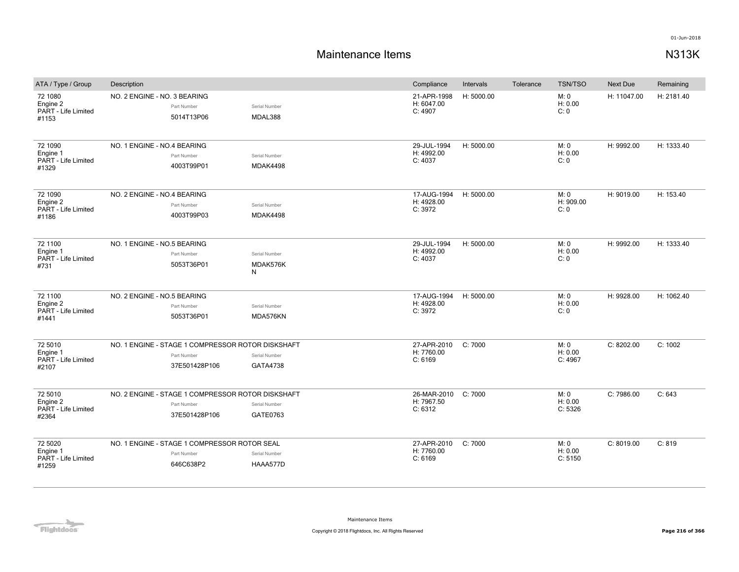## **Maintenance Items N313K**

| ATA / Type / Group                                  | Description                                                                       |                                  | Compliance                           | Intervals  | Tolerance | <b>TSN/TSO</b>             | Next Due    | Remaining  |
|-----------------------------------------------------|-----------------------------------------------------------------------------------|----------------------------------|--------------------------------------|------------|-----------|----------------------------|-------------|------------|
| 72 1080<br>Engine 2<br>PART - Life Limited<br>#1153 | NO. 2 ENGINE - NO. 3 BEARING<br>Part Number<br>5014T13P06                         | Serial Number<br>MDAL388         | 21-APR-1998<br>H: 6047.00<br>C: 4907 | H: 5000.00 |           | M: 0<br>H: 0.00<br>C: 0    | H: 11047.00 | H: 2181.40 |
| 72 1090<br>Engine 1<br>PART - Life Limited<br>#1329 | NO. 1 ENGINE - NO.4 BEARING<br>Part Number<br>4003T99P01                          | Serial Number<br><b>MDAK4498</b> | 29-JUL-1994<br>H: 4992.00<br>C: 4037 | H: 5000.00 |           | M: 0<br>H: 0.00<br>C:0     | H: 9992.00  | H: 1333.40 |
| 72 1090<br>Engine 2<br>PART - Life Limited<br>#1186 | NO. 2 ENGINE - NO.4 BEARING<br>Part Number<br>4003T99P03                          | Serial Number<br><b>MDAK4498</b> | 17-AUG-1994<br>H: 4928.00<br>C: 3972 | H: 5000.00 |           | M: 0<br>H: 909.00<br>C: 0  | H: 9019.00  | H: 153.40  |
| 72 1100<br>Engine 1<br>PART - Life Limited<br>#731  | NO. 1 ENGINE - NO.5 BEARING<br>Part Number<br>5053T36P01                          | Serial Number<br>MDAK576K<br>N   | 29-JUL-1994<br>H: 4992.00<br>C: 4037 | H: 5000.00 |           | M: 0<br>H: 0.00<br>C: 0    | H: 9992.00  | H: 1333.40 |
| 72 1100<br>Engine 2<br>PART - Life Limited<br>#1441 | NO. 2 ENGINE - NO.5 BEARING<br>Part Number<br>5053T36P01                          | Serial Number<br>MDA576KN        | 17-AUG-1994<br>H: 4928.00<br>C: 3972 | H: 5000.00 |           | M: 0<br>H: 0.00<br>C: 0    | H: 9928.00  | H: 1062.40 |
| 72 5010<br>Engine 1<br>PART - Life Limited<br>#2107 | NO. 1 ENGINE - STAGE 1 COMPRESSOR ROTOR DISKSHAFT<br>Part Number<br>37E501428P106 | Serial Number<br>GATA4738        | 27-APR-2010<br>H: 7760.00<br>C: 6169 | C: 7000    |           | M: 0<br>H: 0.00<br>C: 4967 | C: 8202.00  | C: 1002    |
| 72 5010<br>Engine 2<br>PART - Life Limited<br>#2364 | NO. 2 ENGINE - STAGE 1 COMPRESSOR ROTOR DISKSHAFT<br>Part Number<br>37E501428P106 | Serial Number<br>GATE0763        | 26-MAR-2010<br>H: 7967.50<br>C: 6312 | C:7000     |           | M: 0<br>H: 0.00<br>C: 5326 | C: 7986.00  | C: 643     |
| 72 5020<br>Engine 1<br>PART - Life Limited<br>#1259 | NO. 1 ENGINE - STAGE 1 COMPRESSOR ROTOR SEAL<br>Part Number<br>646C638P2          | Serial Number<br>HAAA577D        | 27-APR-2010<br>H: 7760.00<br>C: 6169 | C:7000     |           | M: 0<br>H: 0.00<br>C: 5150 | C: 8019.00  | C: 819     |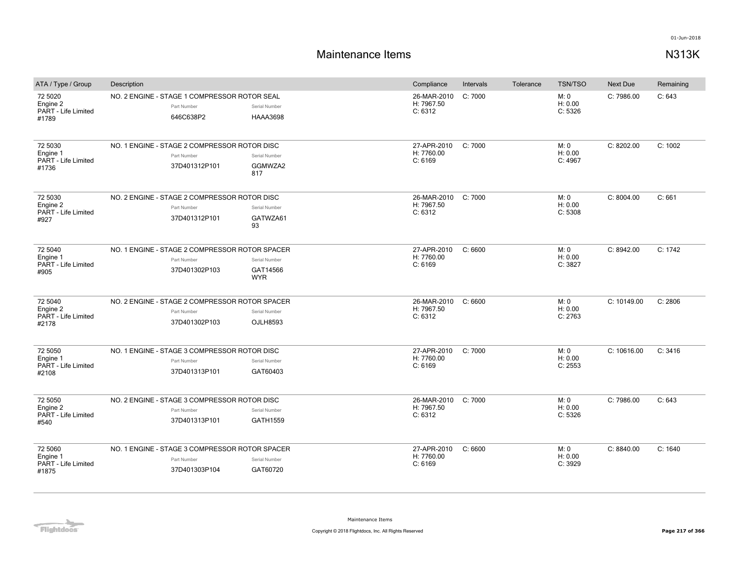| ATA / Type / Group                                  | Description                                                                    |                                         | Compliance                                   | Intervals | Tolerance | <b>TSN/TSO</b>             | <b>Next Due</b> | Remaining |
|-----------------------------------------------------|--------------------------------------------------------------------------------|-----------------------------------------|----------------------------------------------|-----------|-----------|----------------------------|-----------------|-----------|
| 72 5020<br>Engine 2<br>PART - Life Limited<br>#1789 | NO. 2 ENGINE - STAGE 1 COMPRESSOR ROTOR SEAL<br>Part Number<br>646C638P2       | Serial Number<br><b>HAAA3698</b>        | 26-MAR-2010<br>H: 7967.50<br>C: 6312         | C:7000    |           | M: 0<br>H: 0.00<br>C: 5326 | C: 7986.00      | C: 643    |
| 72 5030<br>Engine 1<br>PART - Life Limited<br>#1736 | NO. 1 ENGINE - STAGE 2 COMPRESSOR ROTOR DISC<br>Part Number<br>37D401312P101   | Serial Number<br>GGMWZA2<br>817         | 27-APR-2010<br>H: 7760.00<br>C: 6169         | C: 7000   |           | M: 0<br>H: 0.00<br>C: 4967 | C: 8202.00      | C: 1002   |
| 72 5030<br>Engine 2<br>PART - Life Limited<br>#927  | NO. 2 ENGINE - STAGE 2 COMPRESSOR ROTOR DISC<br>Part Number<br>37D401312P101   | Serial Number<br>GATWZA61<br>93         | 26-MAR-2010<br>H: 7967.50<br>C: 6312         | C:7000    |           | M: 0<br>H: 0.00<br>C: 5308 | C: 8004.00      | C: 661    |
| 72 5040<br>Engine 1<br>PART - Life Limited<br>#905  | NO. 1 ENGINE - STAGE 2 COMPRESSOR ROTOR SPACER<br>Part Number<br>37D401302P103 | Serial Number<br>GAT14566<br><b>WYR</b> | 27-APR-2010<br>H: 7760.00<br>C: 6169         | C: 6600   |           | M: 0<br>H: 0.00<br>C: 3827 | C: 8942.00      | C: 1742   |
| 72 5040<br>Engine 2<br>PART - Life Limited<br>#2178 | NO. 2 ENGINE - STAGE 2 COMPRESSOR ROTOR SPACER<br>Part Number<br>37D401302P103 | Serial Number<br>OJLH8593               | 26-MAR-2010 C: 6600<br>H: 7967.50<br>C: 6312 |           |           | M: 0<br>H: 0.00<br>C: 2763 | C: 10149.00     | C: 2806   |
| 72 5050<br>Engine 1<br>PART - Life Limited<br>#2108 | NO. 1 ENGINE - STAGE 3 COMPRESSOR ROTOR DISC<br>Part Number<br>37D401313P101   | Serial Number<br>GAT60403               | 27-APR-2010<br>H: 7760.00<br>C: 6169         | C: 7000   |           | M: 0<br>H: 0.00<br>C: 2553 | C: 10616.00     | C: 3416   |
| 72 5050<br>Engine 2<br>PART - Life Limited<br>#540  | NO. 2 ENGINE - STAGE 3 COMPRESSOR ROTOR DISC<br>Part Number<br>37D401313P101   | Serial Number<br>GATH1559               | 26-MAR-2010<br>H: 7967.50<br>C: 6312         | C:7000    |           | M: 0<br>H: 0.00<br>C: 5326 | C: 7986.00      | C: 643    |
| 72 5060<br>Engine 1<br>PART - Life Limited<br>#1875 | NO. 1 ENGINE - STAGE 3 COMPRESSOR ROTOR SPACER<br>Part Number<br>37D401303P104 | Serial Number<br>GAT60720               | 27-APR-2010<br>H: 7760.00<br>C: 6169         | C: 6600   |           | M: 0<br>H: 0.00<br>C: 3929 | C: 8840.00      | C: 1640   |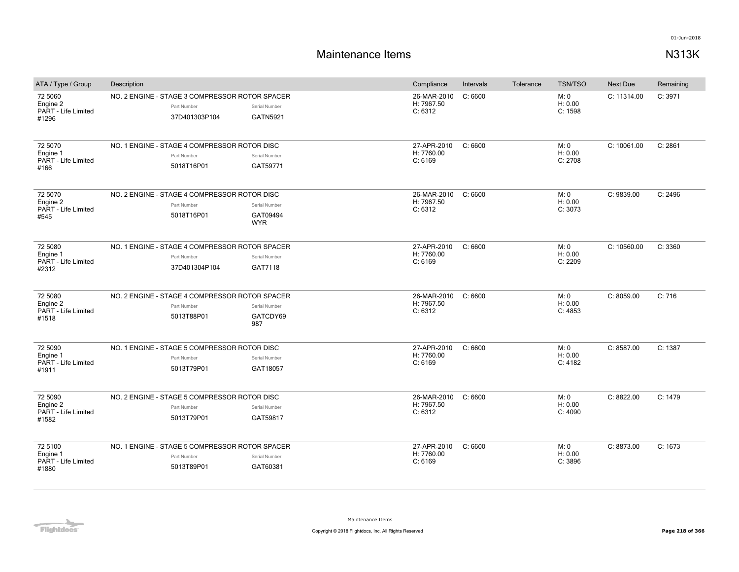| ATA / Type / Group                                  | Description                                                                    |                                   | Compliance                           | Intervals | Tolerance | <b>TSN/TSO</b>             | <b>Next Due</b> | Remaining |
|-----------------------------------------------------|--------------------------------------------------------------------------------|-----------------------------------|--------------------------------------|-----------|-----------|----------------------------|-----------------|-----------|
| 72 5060<br>Engine 2<br>PART - Life Limited<br>#1296 | NO. 2 ENGINE - STAGE 3 COMPRESSOR ROTOR SPACER<br>Part Number<br>37D401303P104 | Serial Number<br><b>GATN5921</b>  | 26-MAR-2010<br>H: 7967.50<br>C: 6312 | C: 6600   |           | M: 0<br>H: 0.00<br>C: 1598 | C: 11314.00     | C: 3971   |
| 72 5070<br>Engine 1<br>PART - Life Limited<br>#166  | NO. 1 ENGINE - STAGE 4 COMPRESSOR ROTOR DISC<br>Part Number<br>5018T16P01      | Serial Number<br>GAT59771         | 27-APR-2010<br>H: 7760.00<br>C: 6169 | C: 6600   |           | M: 0<br>H: 0.00<br>C: 2708 | C: 10061.00     | C: 2861   |
| 72 5070<br>Engine 2<br>PART - Life Limited<br>#545  | NO. 2 ENGINE - STAGE 4 COMPRESSOR ROTOR DISC<br>Part Number<br>5018T16P01      | Serial Number<br>GAT09494<br>WYR. | 26-MAR-2010<br>H: 7967.50<br>C: 6312 | C: 6600   |           | M: 0<br>H: 0.00<br>C: 3073 | C: 9839.00      | C: 2496   |
| 72 5080<br>Engine 1<br>PART - Life Limited<br>#2312 | NO. 1 ENGINE - STAGE 4 COMPRESSOR ROTOR SPACER<br>Part Number<br>37D401304P104 | Serial Number<br>GAT7118          | 27-APR-2010<br>H: 7760.00<br>C: 6169 | C: 6600   |           | M: 0<br>H: 0.00<br>C: 2209 | C: 10560.00     | C: 3360   |
| 72 5080<br>Engine 2<br>PART - Life Limited<br>#1518 | NO. 2 ENGINE - STAGE 4 COMPRESSOR ROTOR SPACER<br>Part Number<br>5013T88P01    | Serial Number<br>GATCDY69<br>987  | 26-MAR-2010<br>H: 7967.50<br>C: 6312 | C: 6600   |           | M: 0<br>H: 0.00<br>C: 4853 | C: 8059.00      | C: 716    |
| 72 5090<br>Engine 1<br>PART - Life Limited<br>#1911 | NO. 1 ENGINE - STAGE 5 COMPRESSOR ROTOR DISC<br>Part Number<br>5013T79P01      | Serial Number<br>GAT18057         | 27-APR-2010<br>H: 7760.00<br>C: 6169 | C: 6600   |           | M: 0<br>H: 0.00<br>C: 4182 | C: 8587.00      | C: 1387   |
| 72 5090<br>Engine 2<br>PART - Life Limited<br>#1582 | NO. 2 ENGINE - STAGE 5 COMPRESSOR ROTOR DISC<br>Part Number<br>5013T79P01      | Serial Number<br>GAT59817         | 26-MAR-2010<br>H: 7967.50<br>C: 6312 | C: 6600   |           | M: 0<br>H: 0.00<br>C: 4090 | C: 8822.00      | C: 1479   |
| 72 5100<br>Engine 1<br>PART - Life Limited<br>#1880 | NO. 1 ENGINE - STAGE 5 COMPRESSOR ROTOR SPACER<br>Part Number<br>5013T89P01    | Serial Number<br>GAT60381         | 27-APR-2010<br>H: 7760.00<br>C: 6169 | C: 6600   |           | M: 0<br>H: 0.00<br>C: 3896 | C: 8873.00      | C: 1673   |

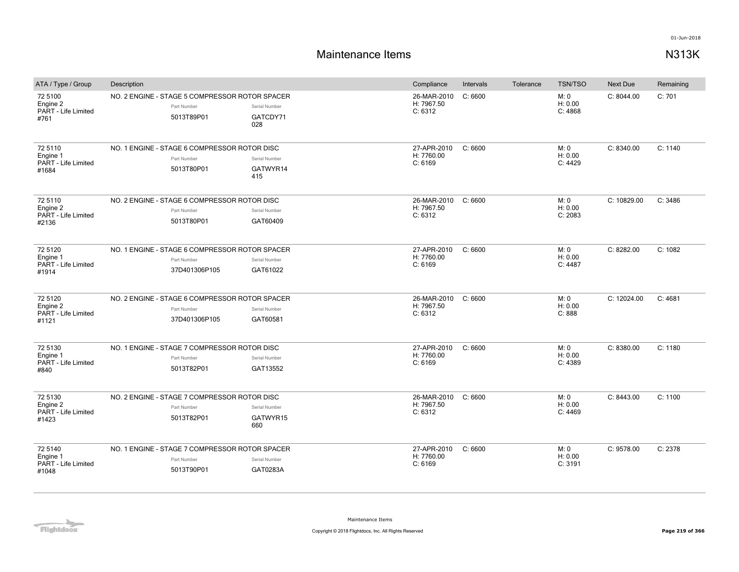| ATA / Type / Group                                  | Description                                                                    |                                  | Compliance                           | Intervals | Tolerance | <b>TSN/TSO</b>             | Next Due    | Remaining |
|-----------------------------------------------------|--------------------------------------------------------------------------------|----------------------------------|--------------------------------------|-----------|-----------|----------------------------|-------------|-----------|
| 72 5100<br>Engine 2<br>PART - Life Limited<br>#761  | NO. 2 ENGINE - STAGE 5 COMPRESSOR ROTOR SPACER<br>Part Number<br>5013T89P01    | Serial Number<br>GATCDY71<br>028 | 26-MAR-2010<br>H: 7967.50<br>C: 6312 | C: 6600   |           | M: 0<br>H: 0.00<br>C: 4868 | C: 8044.00  | C: 701    |
| 72 5110<br>Engine 1<br>PART - Life Limited<br>#1684 | NO. 1 ENGINE - STAGE 6 COMPRESSOR ROTOR DISC<br>Part Number<br>5013T80P01      | Serial Number<br>GATWYR14<br>415 | 27-APR-2010<br>H: 7760.00<br>C: 6169 | C: 6600   |           | M: 0<br>H: 0.00<br>C: 4429 | C: 8340.00  | C: 1140   |
| 72 5110<br>Engine 2<br>PART - Life Limited<br>#2136 | NO. 2 ENGINE - STAGE 6 COMPRESSOR ROTOR DISC<br>Part Number<br>5013T80P01      | Serial Number<br>GAT60409        | 26-MAR-2010<br>H: 7967.50<br>C: 6312 | C: 6600   |           | M: 0<br>H: 0.00<br>C: 2083 | C: 10829.00 | C: 3486   |
| 72 5120<br>Engine 1<br>PART - Life Limited<br>#1914 | NO. 1 ENGINE - STAGE 6 COMPRESSOR ROTOR SPACER<br>Part Number<br>37D401306P105 | Serial Number<br>GAT61022        | 27-APR-2010<br>H: 7760.00<br>C: 6169 | C: 6600   |           | M: 0<br>H: 0.00<br>C: 4487 | C: 8282.00  | C: 1082   |
| 72 5120<br>Engine 2<br>PART - Life Limited<br>#1121 | NO. 2 ENGINE - STAGE 6 COMPRESSOR ROTOR SPACER<br>Part Number<br>37D401306P105 | Serial Number<br>GAT60581        | 26-MAR-2010<br>H: 7967.50<br>C: 6312 | C: 6600   |           | M: 0<br>H: 0.00<br>C: 888  | C: 12024.00 | C: 4681   |
| 72 5130<br>Engine 1<br>PART - Life Limited<br>#840  | NO. 1 ENGINE - STAGE 7 COMPRESSOR ROTOR DISC<br>Part Number<br>5013T82P01      | Serial Number<br>GAT13552        | 27-APR-2010<br>H: 7760.00<br>C: 6169 | C: 6600   |           | M: 0<br>H: 0.00<br>C: 4389 | C: 8380.00  | C: 1180   |
| 72 5130<br>Engine 2<br>PART - Life Limited<br>#1423 | NO. 2 ENGINE - STAGE 7 COMPRESSOR ROTOR DISC<br>Part Number<br>5013T82P01      | Serial Number<br>GATWYR15<br>660 | 26-MAR-2010<br>H: 7967.50<br>C: 6312 | C: 6600   |           | M: 0<br>H: 0.00<br>C: 4469 | C: 8443.00  | C: 1100   |
| 72 5140<br>Engine 1<br>PART - Life Limited<br>#1048 | NO. 1 ENGINE - STAGE 7 COMPRESSOR ROTOR SPACER<br>Part Number<br>5013T90P01    | Serial Number<br>GAT0283A        | 27-APR-2010<br>H: 7760.00<br>C: 6169 | C: 6600   |           | M: 0<br>H: 0.00<br>C: 3191 | C: 9578.00  | C: 2378   |

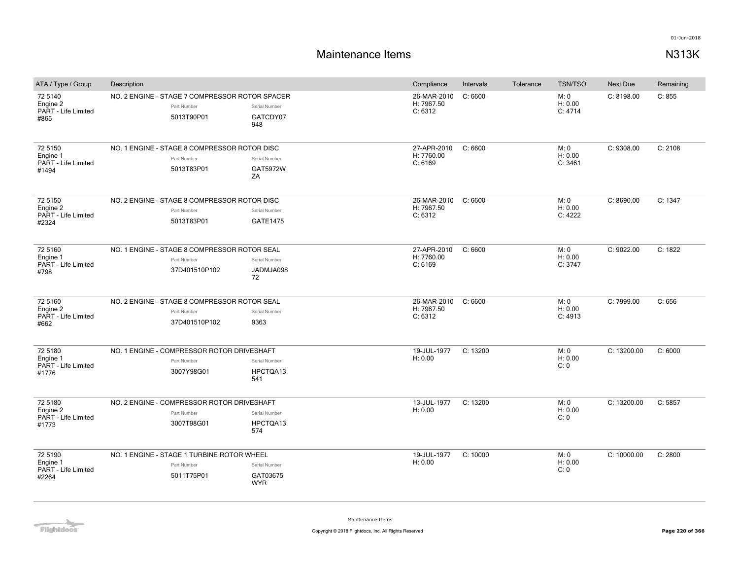## **Maintenance Items N313K**

| ATA / Type / Group                                  | Description                                                                  |                                         | Compliance                           | Intervals | Tolerance | <b>TSN/TSO</b>             | <b>Next Due</b> | Remaining |
|-----------------------------------------------------|------------------------------------------------------------------------------|-----------------------------------------|--------------------------------------|-----------|-----------|----------------------------|-----------------|-----------|
| 72 5140<br>Engine 2<br>PART - Life Limited<br>#865  | NO. 2 ENGINE - STAGE 7 COMPRESSOR ROTOR SPACER<br>Part Number<br>5013T90P01  | Serial Number<br>GATCDY07<br>948        | 26-MAR-2010<br>H: 7967.50<br>C: 6312 | C: 6600   |           | M: 0<br>H: 0.00<br>C: 4714 | C: 8198.00      | C: 855    |
| 72 5150<br>Engine 1<br>PART - Life Limited<br>#1494 | NO. 1 ENGINE - STAGE 8 COMPRESSOR ROTOR DISC<br>Part Number<br>5013T83P01    | Serial Number<br>GAT5972W<br>ZA         | 27-APR-2010<br>H: 7760.00<br>C: 6169 | C: 6600   |           | M: 0<br>H: 0.00<br>C: 3461 | C: 9308.00      | C: 2108   |
| 72 5150<br>Engine 2<br>PART - Life Limited<br>#2324 | NO. 2 ENGINE - STAGE 8 COMPRESSOR ROTOR DISC<br>Part Number<br>5013T83P01    | Serial Number<br><b>GATE1475</b>        | 26-MAR-2010<br>H: 7967.50<br>C: 6312 | C: 6600   |           | M: 0<br>H: 0.00<br>C: 4222 | C: 8690.00      | C: 1347   |
| 72 5160<br>Engine 1<br>PART - Life Limited<br>#798  | NO. 1 ENGINE - STAGE 8 COMPRESSOR ROTOR SEAL<br>Part Number<br>37D401510P102 | Serial Number<br>JADMJA098<br>72        | 27-APR-2010<br>H: 7760.00<br>C: 6169 | C: 6600   |           | M: 0<br>H: 0.00<br>C: 3747 | C: 9022.00      | C: 1822   |
| 72 5160<br>Engine 2<br>PART - Life Limited<br>#662  | NO. 2 ENGINE - STAGE 8 COMPRESSOR ROTOR SEAL<br>Part Number<br>37D401510P102 | Serial Number<br>9363                   | 26-MAR-2010<br>H: 7967.50<br>C: 6312 | C: 6600   |           | M: 0<br>H: 0.00<br>C: 4913 | C: 7999.00      | C: 656    |
| 72 5180<br>Engine 1<br>PART - Life Limited<br>#1776 | NO. 1 ENGINE - COMPRESSOR ROTOR DRIVESHAFT<br>Part Number<br>3007Y98G01      | Serial Number<br>HPCTQA13<br>541        | 19-JUL-1977<br>H: 0.00               | C: 13200  |           | M: 0<br>H: 0.00<br>C: 0    | C: 13200.00     | C: 6000   |
| 72 5180<br>Engine 2<br>PART - Life Limited<br>#1773 | NO. 2 ENGINE - COMPRESSOR ROTOR DRIVESHAFT<br>Part Number<br>3007T98G01      | Serial Number<br>HPCTQA13<br>574        | 13-JUL-1977<br>H: 0.00               | C: 13200  |           | M: 0<br>H: 0.00<br>C:0     | C: 13200.00     | C: 5857   |
| 72 5190<br>Engine 1<br>PART - Life Limited<br>#2264 | NO. 1 ENGINE - STAGE 1 TURBINE ROTOR WHEEL<br>Part Number<br>5011T75P01      | Serial Number<br>GAT03675<br><b>WYR</b> | 19-JUL-1977<br>H: 0.00               | C: 10000  |           | M: 0<br>H: 0.00<br>C: 0    | C: 10000.00     | C: 2800   |

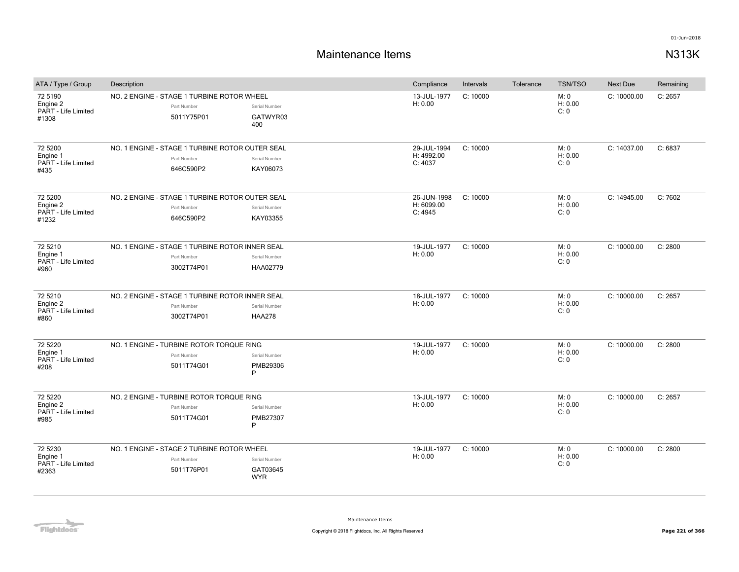| ATA / Type / Group                                  | Description                                                                  |                                         | Compliance                           | Intervals | Tolerance | <b>TSN/TSO</b>          | <b>Next Due</b> | Remaining |
|-----------------------------------------------------|------------------------------------------------------------------------------|-----------------------------------------|--------------------------------------|-----------|-----------|-------------------------|-----------------|-----------|
| 72 5190<br>Engine 2<br>PART - Life Limited<br>#1308 | NO. 2 ENGINE - STAGE 1 TURBINE ROTOR WHEEL<br>Part Number<br>5011Y75P01      | Serial Number<br>GATWYR03<br>400        | 13-JUL-1977<br>H: 0.00               | C: 10000  |           | M: 0<br>H: 0.00<br>C: 0 | C: 10000.00     | C: 2657   |
| 72 5200<br>Engine 1<br>PART - Life Limited<br>#435  | NO. 1 ENGINE - STAGE 1 TURBINE ROTOR OUTER SEAL<br>Part Number<br>646C590P2  | Serial Number<br>KAY06073               | 29-JUL-1994<br>H: 4992.00<br>C: 4037 | C: 10000  |           | M: 0<br>H: 0.00<br>C: 0 | C: 14037.00     | C: 6837   |
| 72 5200<br>Engine 2<br>PART - Life Limited<br>#1232 | NO. 2 ENGINE - STAGE 1 TURBINE ROTOR OUTER SEAL<br>Part Number<br>646C590P2  | Serial Number<br>KAY03355               | 26-JUN-1998<br>H: 6099.00<br>C: 4945 | C: 10000  |           | M: 0<br>H: 0.00<br>C: 0 | C: 14945.00     | C: 7602   |
| 72 5210<br>Engine 1<br>PART - Life Limited<br>#960  | NO. 1 ENGINE - STAGE 1 TURBINE ROTOR INNER SEAL<br>Part Number<br>3002T74P01 | Serial Number<br>HAA02779               | 19-JUL-1977<br>H: 0.00               | C: 10000  |           | M: 0<br>H: 0.00<br>C: 0 | C: 10000.00     | C: 2800   |
| 72 5210<br>Engine 2<br>PART - Life Limited<br>#860  | NO. 2 ENGINE - STAGE 1 TURBINE ROTOR INNER SEAL<br>Part Number<br>3002T74P01 | Serial Number<br><b>HAA278</b>          | 18-JUL-1977<br>H: 0.00               | C: 10000  |           | M: 0<br>H: 0.00<br>C: 0 | C: 10000.00     | C: 2657   |
| 72 5220<br>Engine 1<br>PART - Life Limited<br>#208  | NO. 1 ENGINE - TURBINE ROTOR TORQUE RING<br>Part Number<br>5011T74G01        | Serial Number<br>PMB29306<br>P          | 19-JUL-1977<br>H: 0.00               | C: 10000  |           | M: 0<br>H: 0.00<br>C: 0 | C: 10000.00     | C: 2800   |
| 72 5220<br>Engine 2<br>PART - Life Limited<br>#985  | NO. 2 ENGINE - TURBINE ROTOR TORQUE RING<br>Part Number<br>5011T74G01        | Serial Number<br>PMB27307<br>P          | 13-JUL-1977<br>H: 0.00               | C: 10000  |           | M: 0<br>H: 0.00<br>C: 0 | C: 10000.00     | C: 2657   |
| 72 5230<br>Engine 1<br>PART - Life Limited<br>#2363 | NO. 1 ENGINE - STAGE 2 TURBINE ROTOR WHEEL<br>Part Number<br>5011T76P01      | Serial Number<br>GAT03645<br><b>WYR</b> | 19-JUL-1977<br>H: 0.00               | C: 10000  |           | M: 0<br>H: 0.00<br>C: 0 | C: 10000.00     | C: 2800   |

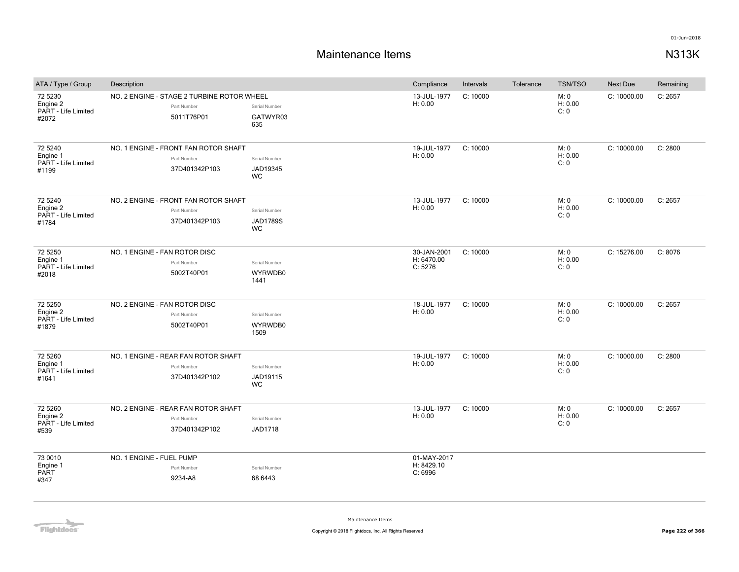# **Maintenance Items N313K**

| ATA / Type / Group                                  | Description                                                             |                                        | Compliance                           | Intervals | Tolerance | <b>TSN/TSO</b>          | <b>Next Due</b> | Remaining |
|-----------------------------------------------------|-------------------------------------------------------------------------|----------------------------------------|--------------------------------------|-----------|-----------|-------------------------|-----------------|-----------|
| 72 5230<br>Engine 2<br>PART - Life Limited<br>#2072 | NO. 2 ENGINE - STAGE 2 TURBINE ROTOR WHEEL<br>Part Number<br>5011T76P01 | Serial Number<br>GATWYR03<br>635       | 13-JUL-1977<br>H: 0.00               | C: 10000  |           | M: 0<br>H: 0.00<br>C: 0 | C: 10000.00     | C: 2657   |
| 72 5240<br>Engine 1<br>PART - Life Limited<br>#1199 | NO. 1 ENGINE - FRONT FAN ROTOR SHAFT<br>Part Number<br>37D401342P103    | Serial Number<br>JAD19345<br>WC        | 19-JUL-1977<br>H: 0.00               | C: 10000  |           | M: 0<br>H: 0.00<br>C: 0 | C: 10000.00     | C: 2800   |
| 72 5240<br>Engine 2<br>PART - Life Limited<br>#1784 | NO. 2 ENGINE - FRONT FAN ROTOR SHAFT<br>Part Number<br>37D401342P103    | Serial Number<br><b>JAD1789S</b><br>WC | 13-JUL-1977<br>H: 0.00               | C: 10000  |           | M: 0<br>H: 0.00<br>C: 0 | C: 10000.00     | C: 2657   |
| 72 5250<br>Engine 1<br>PART - Life Limited<br>#2018 | NO. 1 ENGINE - FAN ROTOR DISC<br>Part Number<br>5002T40P01              | Serial Number<br>WYRWDB0<br>1441       | 30-JAN-2001<br>H: 6470.00<br>C: 5276 | C: 10000  |           | M: 0<br>H: 0.00<br>C: 0 | C: 15276.00     | C: 8076   |
| 72 5250<br>Engine 2<br>PART - Life Limited<br>#1879 | NO. 2 ENGINE - FAN ROTOR DISC<br>Part Number<br>5002T40P01              | Serial Number<br>WYRWDB0<br>1509       | 18-JUL-1977<br>H: 0.00               | C: 10000  |           | M: 0<br>H: 0.00<br>C: 0 | C: 10000.00     | C: 2657   |
| 72 5260<br>Engine 1<br>PART - Life Limited<br>#1641 | NO. 1 ENGINE - REAR FAN ROTOR SHAFT<br>Part Number<br>37D401342P102     | Serial Number<br>JAD19115<br>WC        | 19-JUL-1977<br>H: 0.00               | C: 10000  |           | M: 0<br>H: 0.00<br>C: 0 | C: 10000.00     | C: 2800   |
| 72 5260<br>Engine 2<br>PART - Life Limited<br>#539  | NO. 2 ENGINE - REAR FAN ROTOR SHAFT<br>Part Number<br>37D401342P102     | Serial Number<br><b>JAD1718</b>        | 13-JUL-1977<br>H: 0.00               | C: 10000  |           | M: 0<br>H: 0.00<br>C: 0 | C: 10000.00     | C: 2657   |
| 73 0010<br>Engine 1<br>PART<br>#347                 | NO. 1 ENGINE - FUEL PUMP<br>Part Number<br>9234-A8                      | Serial Number<br>68 6443               | 01-MAY-2017<br>H: 8429.10<br>C: 6996 |           |           |                         |                 |           |

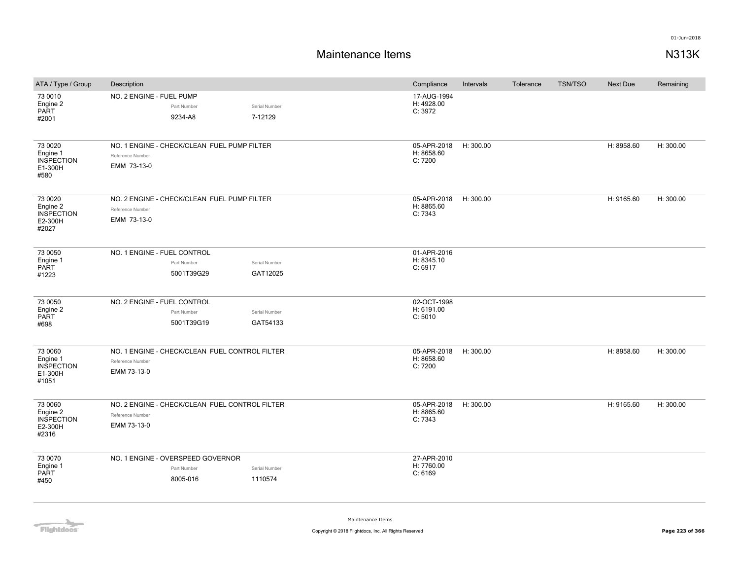| ATA / Type / Group                                           | Description                                                                       |                           | Compliance                           | Intervals | Tolerance | <b>TSN/TSO</b> | <b>Next Due</b> | Remaining |
|--------------------------------------------------------------|-----------------------------------------------------------------------------------|---------------------------|--------------------------------------|-----------|-----------|----------------|-----------------|-----------|
| 73 0010<br>Engine 2<br>PART<br>#2001                         | NO. 2 ENGINE - FUEL PUMP<br>Part Number<br>9234-A8                                | Serial Number<br>7-12129  | 17-AUG-1994<br>H: 4928.00<br>C: 3972 |           |           |                |                 |           |
| 73 0020<br>Engine 1<br><b>INSPECTION</b><br>E1-300H<br>#580  | NO. 1 ENGINE - CHECK/CLEAN FUEL PUMP FILTER<br>Reference Number<br>EMM 73-13-0    |                           | 05-APR-2018<br>H: 8658.60<br>C: 7200 | H: 300.00 |           |                | H: 8958.60      | H: 300.00 |
| 73 0020<br>Engine 2<br><b>INSPECTION</b><br>E2-300H<br>#2027 | NO. 2 ENGINE - CHECK/CLEAN FUEL PUMP FILTER<br>Reference Number<br>EMM 73-13-0    |                           | 05-APR-2018<br>H: 8865.60<br>C: 7343 | H: 300.00 |           |                | H: 9165.60      | H: 300.00 |
| 73 0050<br>Engine 1<br>PART<br>#1223                         | NO. 1 ENGINE - FUEL CONTROL<br>Part Number<br>5001T39G29                          | Serial Number<br>GAT12025 | 01-APR-2016<br>H: 8345.10<br>C: 6917 |           |           |                |                 |           |
| 73 0050<br>Engine 2<br><b>PART</b><br>#698                   | NO. 2 ENGINE - FUEL CONTROL<br>Part Number<br>5001T39G19                          | Serial Number<br>GAT54133 | 02-OCT-1998<br>H: 6191.00<br>C: 5010 |           |           |                |                 |           |
| 73 0060<br>Engine 1<br><b>INSPECTION</b><br>E1-300H<br>#1051 | NO. 1 ENGINE - CHECK/CLEAN FUEL CONTROL FILTER<br>Reference Number<br>EMM 73-13-0 |                           | 05-APR-2018<br>H: 8658.60<br>C: 7200 | H: 300.00 |           |                | H: 8958.60      | H: 300.00 |
| 73 0060<br>Engine 2<br><b>INSPECTION</b><br>E2-300H<br>#2316 | NO. 2 ENGINE - CHECK/CLEAN FUEL CONTROL FILTER<br>Reference Number<br>EMM 73-13-0 |                           | 05-APR-2018<br>H: 8865.60<br>C: 7343 | H: 300.00 |           |                | H: 9165.60      | H: 300.00 |
| 73 0070<br>Engine 1<br>PART<br>#450                          | NO. 1 ENGINE - OVERSPEED GOVERNOR<br>Part Number<br>8005-016                      | Serial Number<br>1110574  | 27-APR-2010<br>H: 7760.00<br>C: 6169 |           |           |                |                 |           |

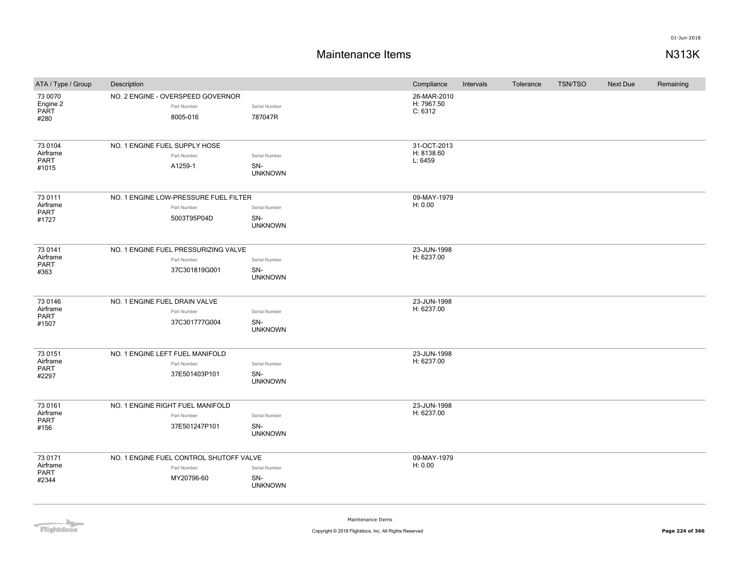## **Maintenance Items N313K**

| ATA / Type / Group                          | Description                                                          |                                        | Compliance                           | Intervals | Tolerance | <b>TSN/TSO</b> | <b>Next Due</b> | Remaining |
|---------------------------------------------|----------------------------------------------------------------------|----------------------------------------|--------------------------------------|-----------|-----------|----------------|-----------------|-----------|
| 73 0070<br>Engine 2<br>PART<br>#280         | NO. 2 ENGINE - OVERSPEED GOVERNOR<br>Part Number<br>8005-016         | Serial Number<br>787047R               | 26-MAR-2010<br>H: 7967.50<br>C: 6312 |           |           |                |                 |           |
| 73 0104<br>Airframe<br><b>PART</b><br>#1015 | NO. 1 ENGINE FUEL SUPPLY HOSE<br>Part Number<br>A1259-1              | Serial Number<br>SN-<br><b>UNKNOWN</b> | 31-OCT-2013<br>H: 8138.60<br>L: 6459 |           |           |                |                 |           |
| 73 0111<br>Airframe<br><b>PART</b><br>#1727 | NO. 1 ENGINE LOW-PRESSURE FUEL FILTER<br>Part Number<br>5003T95P04D  | Serial Number<br>SN-<br><b>UNKNOWN</b> | 09-MAY-1979<br>H: 0.00               |           |           |                |                 |           |
| 73 0141<br>Airframe<br><b>PART</b><br>#363  | NO. 1 ENGINE FUEL PRESSURIZING VALVE<br>Part Number<br>37C301819G001 | Serial Number<br>SN-<br><b>UNKNOWN</b> | 23-JUN-1998<br>H: 6237.00            |           |           |                |                 |           |
| 73 0146<br>Airframe<br><b>PART</b><br>#1507 | NO. 1 ENGINE FUEL DRAIN VALVE<br>Part Number<br>37C301777G004        | Serial Number<br>SN-<br><b>UNKNOWN</b> | 23-JUN-1998<br>H: 6237.00            |           |           |                |                 |           |
| 73 0151<br>Airframe<br><b>PART</b><br>#2297 | NO. 1 ENGINE LEFT FUEL MANIFOLD<br>Part Number<br>37E501403P101      | Serial Number<br>SN-<br><b>UNKNOWN</b> | 23-JUN-1998<br>H: 6237.00            |           |           |                |                 |           |
| 73 0161<br>Airframe<br><b>PART</b><br>#156  | NO. 1 ENGINE RIGHT FUEL MANIFOLD<br>Part Number<br>37E501247P101     | Serial Number<br>SN-<br><b>UNKNOWN</b> | 23-JUN-1998<br>H: 6237.00            |           |           |                |                 |           |
| 73 0171<br>Airframe<br>PART<br>#2344        | NO. 1 ENGINE FUEL CONTROL SHUTOFF VALVE<br>Part Number<br>MY20796-60 | Serial Number<br>SN-<br><b>UNKNOWN</b> | 09-MAY-1979<br>H: 0.00               |           |           |                |                 |           |

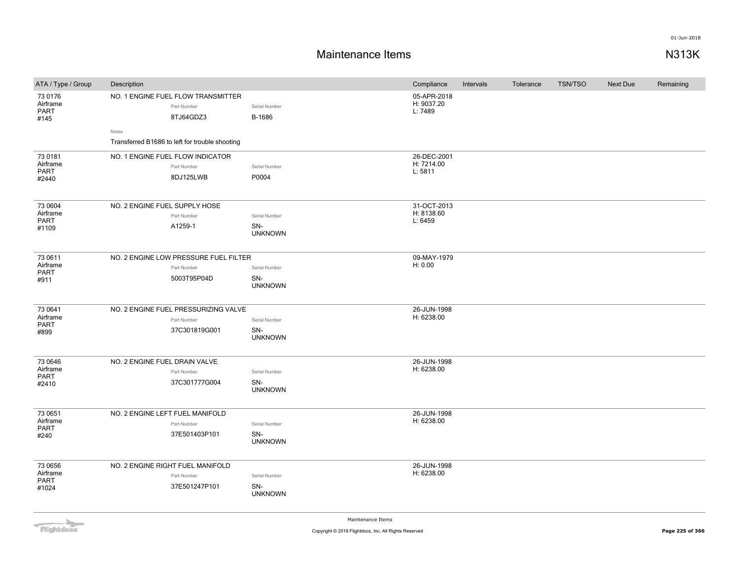## **Maintenance Items N313K**

| ATA / Type / Group                          | Description                                                                                                               |                                        | Compliance                           | Intervals | Tolerance | <b>TSN/TSO</b> | Next Due | Remaining |
|---------------------------------------------|---------------------------------------------------------------------------------------------------------------------------|----------------------------------------|--------------------------------------|-----------|-----------|----------------|----------|-----------|
| 73 0176<br>Airframe<br><b>PART</b><br>#145  | NO. 1 ENGINE FUEL FLOW TRANSMITTER<br>Part Number<br>8TJ64GDZ3<br>Notes<br>Transferred B1686 to left for trouble shooting | Serial Number<br>B-1686                | 05-APR-2018<br>H: 9037.20<br>L: 7489 |           |           |                |          |           |
| 73 0181<br>Airframe<br><b>PART</b><br>#2440 | NO. 1 ENGINE FUEL FLOW INDICATOR<br>Part Number<br>8DJ125LWB                                                              | Serial Number<br>P0004                 | 26-DEC-2001<br>H: 7214.00<br>L: 5811 |           |           |                |          |           |
| 73 0604<br>Airframe<br><b>PART</b><br>#1109 | NO. 2 ENGINE FUEL SUPPLY HOSE<br>Part Number<br>A1259-1                                                                   | Serial Number<br>SN-<br><b>UNKNOWN</b> | 31-OCT-2013<br>H: 8138.60<br>L: 6459 |           |           |                |          |           |
| 73 0611<br>Airframe<br><b>PART</b><br>#911  | NO. 2 ENGINE LOW PRESSURE FUEL FILTER<br>Part Number<br>5003T95P04D                                                       | Serial Number<br>SN-<br><b>UNKNOWN</b> | 09-MAY-1979<br>H: 0.00               |           |           |                |          |           |
| 73 0641<br>Airframe<br>PART<br>#899         | NO. 2 ENGINE FUEL PRESSURIZING VALVE<br>Part Number<br>37C301819G001                                                      | Serial Number<br>SN-<br><b>UNKNOWN</b> | 26-JUN-1998<br>H: 6238.00            |           |           |                |          |           |
| 73 0646<br>Airframe<br><b>PART</b><br>#2410 | NO. 2 ENGINE FUEL DRAIN VALVE<br>Part Number<br>37C301777G004                                                             | Serial Number<br>SN-<br><b>UNKNOWN</b> | 26-JUN-1998<br>H: 6238.00            |           |           |                |          |           |
| 73 0651<br>Airframe<br><b>PART</b><br>#240  | NO. 2 ENGINE LEFT FUEL MANIFOLD<br>Part Number<br>37E501403P101                                                           | Serial Number<br>SN-<br><b>UNKNOWN</b> | 26-JUN-1998<br>H: 6238.00            |           |           |                |          |           |
| 73 0656<br>Airframe<br><b>PART</b><br>#1024 | NO. 2 ENGINE RIGHT FUEL MANIFOLD<br>Part Number<br>37E501247P101                                                          | Serial Number<br>SN-<br><b>UNKNOWN</b> | 26-JUN-1998<br>H: 6238.00            |           |           |                |          |           |

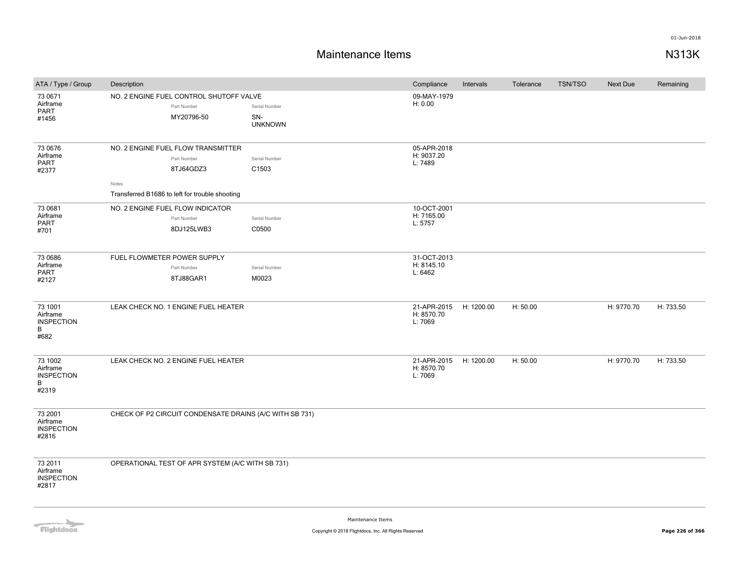# **Maintenance Items N313K**

| ATA / Type / Group                                     | Description                                                                                                               |                                        | Compliance                           | Intervals  | Tolerance | <b>TSN/TSO</b> | Next Due   | Remaining |
|--------------------------------------------------------|---------------------------------------------------------------------------------------------------------------------------|----------------------------------------|--------------------------------------|------------|-----------|----------------|------------|-----------|
| 73 0671<br>Airframe<br>PART<br>#1456                   | NO. 2 ENGINE FUEL CONTROL SHUTOFF VALVE<br>Part Number<br>MY20796-50                                                      | Serial Number<br>SN-<br><b>UNKNOWN</b> | 09-MAY-1979<br>H: 0.00               |            |           |                |            |           |
| 73 0676<br>Airframe<br>PART<br>#2377                   | NO. 2 ENGINE FUEL FLOW TRANSMITTER<br>Part Number<br>8TJ64GDZ3<br>Notes<br>Transferred B1686 to left for trouble shooting | Serial Number<br>C1503                 | 05-APR-2018<br>H: 9037.20<br>L: 7489 |            |           |                |            |           |
| 73 0681<br>Airframe<br>PART<br>#701                    | NO. 2 ENGINE FUEL FLOW INDICATOR<br>Part Number<br>8DJ125LWB3                                                             | Serial Number<br>C0500                 | 10-OCT-2001<br>H: 7165.00<br>L: 5757 |            |           |                |            |           |
| 73 0686<br>Airframe<br>PART<br>#2127                   | FUEL FLOWMETER POWER SUPPLY<br>Part Number<br>8TJ88GAR1                                                                   | Serial Number<br>M0023                 | 31-OCT-2013<br>H: 8145.10<br>L: 6462 |            |           |                |            |           |
| 73 1001<br>Airframe<br><b>INSPECTION</b><br>B<br>#682  | LEAK CHECK NO. 1 ENGINE FUEL HEATER                                                                                       |                                        | 21-APR-2015<br>H: 8570.70<br>L: 7069 | H: 1200.00 | H: 50.00  |                | H: 9770.70 | H: 733.50 |
| 73 1002<br>Airframe<br><b>INSPECTION</b><br>B<br>#2319 | LEAK CHECK NO. 2 ENGINE FUEL HEATER                                                                                       |                                        | 21-APR-2015<br>H: 8570.70<br>L: 7069 | H: 1200.00 | H: 50.00  |                | H: 9770.70 | H: 733.50 |
| 73 2001<br>Airframe<br><b>INSPECTION</b><br>#2816      | CHECK OF P2 CIRCUIT CONDENSATE DRAINS (A/C WITH SB 731)                                                                   |                                        |                                      |            |           |                |            |           |
| 73 2011<br>Airframe<br><b>INSPECTION</b><br>#2817      | OPERATIONAL TEST OF APR SYSTEM (A/C WITH SB 731)                                                                          |                                        |                                      |            |           |                |            |           |

Flightdocs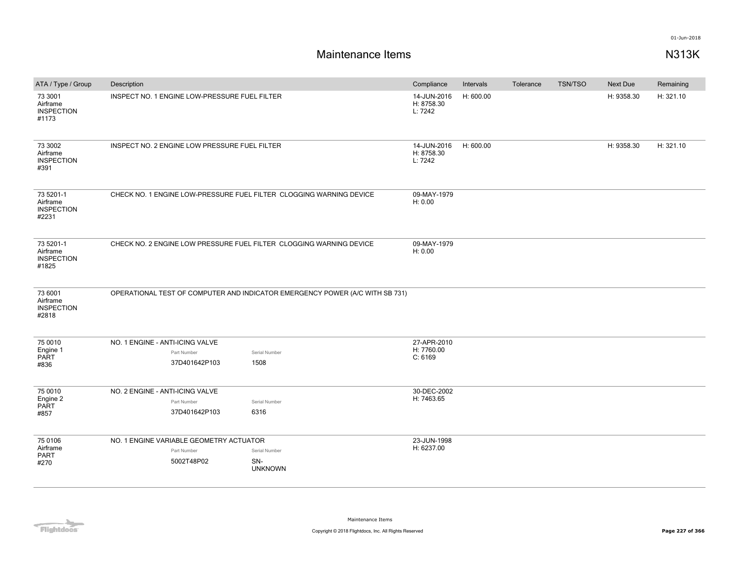| ATA / Type / Group                                  | Description                                                         |                                                                              | Compliance                           | Intervals | Tolerance | TSN/TSO | Next Due   | Remaining |
|-----------------------------------------------------|---------------------------------------------------------------------|------------------------------------------------------------------------------|--------------------------------------|-----------|-----------|---------|------------|-----------|
| 73 3001<br>Airframe<br><b>INSPECTION</b><br>#1173   | INSPECT NO. 1 ENGINE LOW-PRESSURE FUEL FILTER                       |                                                                              | 14-JUN-2016<br>H: 8758.30<br>L: 7242 | H: 600.00 |           |         | H: 9358.30 | H: 321.10 |
| 73 3002<br>Airframe<br><b>INSPECTION</b><br>#391    | INSPECT NO. 2 ENGINE LOW PRESSURE FUEL FILTER                       |                                                                              | 14-JUN-2016<br>H: 8758.30<br>L: 7242 | H: 600.00 |           |         | H: 9358.30 | H: 321.10 |
| 73 5201-1<br>Airframe<br><b>INSPECTION</b><br>#2231 |                                                                     | CHECK NO. 1 ENGINE LOW-PRESSURE FUEL FILTER CLOGGING WARNING DEVICE          | 09-MAY-1979<br>H: 0.00               |           |           |         |            |           |
| 73 5201-1<br>Airframe<br><b>INSPECTION</b><br>#1825 | CHECK NO. 2 ENGINE LOW PRESSURE FUEL FILTER CLOGGING WARNING DEVICE | 09-MAY-1979<br>H: 0.00                                                       |                                      |           |           |         |            |           |
| 73 6001<br>Airframe<br><b>INSPECTION</b><br>#2818   |                                                                     | OPERATIONAL TEST OF COMPUTER AND INDICATOR EMERGENCY POWER (A/C WITH SB 731) |                                      |           |           |         |            |           |
| 75 0010                                             | NO. 1 ENGINE - ANTI-ICING VALVE                                     |                                                                              | 27-APR-2010                          |           |           |         |            |           |
| Engine 1                                            | Part Number                                                         | Serial Number                                                                | H: 7760.00                           |           |           |         |            |           |
| PART<br>#836                                        | 37D401642P103                                                       | 1508                                                                         | C: 6169                              |           |           |         |            |           |
| 75 0010                                             | NO. 2 ENGINE - ANTI-ICING VALVE                                     |                                                                              | 30-DEC-2002                          |           |           |         |            |           |
| Engine 2                                            | Part Number                                                         | Serial Number                                                                | H: 7463.65                           |           |           |         |            |           |
| <b>PART</b><br>#857                                 | 37D401642P103                                                       | 6316                                                                         |                                      |           |           |         |            |           |
| 75 0106                                             | NO. 1 ENGINE VARIABLE GEOMETRY ACTUATOR                             |                                                                              | 23-JUN-1998                          |           |           |         |            |           |
| Airframe                                            | Part Number                                                         | Serial Number                                                                | H: 6237.00                           |           |           |         |            |           |
| PART<br>#270                                        | 5002T48P02                                                          | SN-<br><b>UNKNOWN</b>                                                        |                                      |           |           |         |            |           |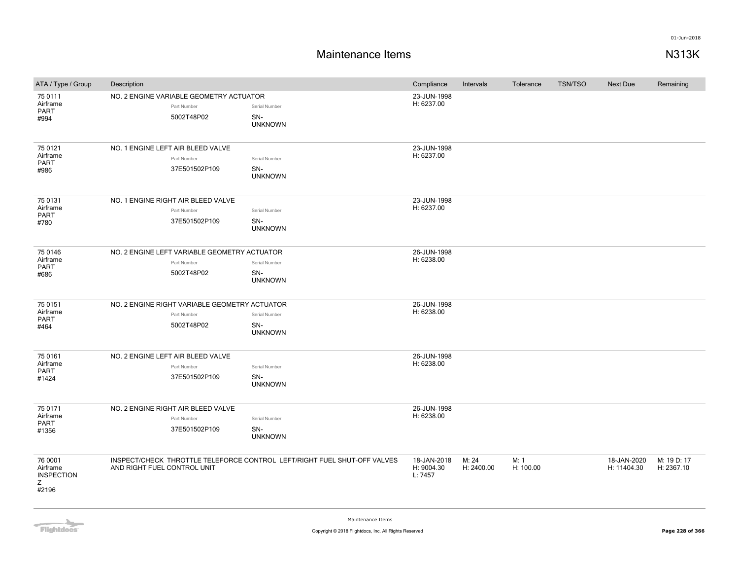| ATA / Type / Group                                     | Description                                                                |                                                                          | Compliance                           | Intervals           | Tolerance         | <b>TSN/TSO</b> | <b>Next Due</b>            | Remaining                 |
|--------------------------------------------------------|----------------------------------------------------------------------------|--------------------------------------------------------------------------|--------------------------------------|---------------------|-------------------|----------------|----------------------------|---------------------------|
| 75 0111<br>Airframe<br>PART<br>#994                    | NO. 2 ENGINE VARIABLE GEOMETRY ACTUATOR<br>Part Number<br>5002T48P02       | Serial Number<br>SN-<br><b>UNKNOWN</b>                                   | 23-JUN-1998<br>H: 6237.00            |                     |                   |                |                            |                           |
| 75 0121<br>Airframe<br><b>PART</b><br>#986             | NO. 1 ENGINE LEFT AIR BLEED VALVE<br>Part Number<br>37E501502P109          | Serial Number<br>SN-<br><b>UNKNOWN</b>                                   | 23-JUN-1998<br>H: 6237.00            |                     |                   |                |                            |                           |
| 75 0131<br>Airframe<br><b>PART</b><br>#780             | NO. 1 ENGINE RIGHT AIR BLEED VALVE<br>Part Number<br>37E501502P109         | Serial Number<br>SN-<br><b>UNKNOWN</b>                                   | 23-JUN-1998<br>H: 6237.00            |                     |                   |                |                            |                           |
| 75 0146<br>Airframe<br><b>PART</b><br>#686             | NO. 2 ENGINE LEFT VARIABLE GEOMETRY ACTUATOR<br>Part Number<br>5002T48P02  | Serial Number<br>SN-<br><b>UNKNOWN</b>                                   | 26-JUN-1998<br>H: 6238.00            |                     |                   |                |                            |                           |
| 75 0151<br>Airframe<br><b>PART</b><br>#464             | NO. 2 ENGINE RIGHT VARIABLE GEOMETRY ACTUATOR<br>Part Number<br>5002T48P02 | Serial Number<br>SN-<br><b>UNKNOWN</b>                                   | 26-JUN-1998<br>H: 6238.00            |                     |                   |                |                            |                           |
| 75 0161<br>Airframe<br><b>PART</b><br>#1424            | NO. 2 ENGINE LEFT AIR BLEED VALVE<br>Part Number<br>37E501502P109          | Serial Number<br>SN-<br><b>UNKNOWN</b>                                   | 26-JUN-1998<br>H: 6238.00            |                     |                   |                |                            |                           |
| 75 0171<br>Airframe<br><b>PART</b><br>#1356            | NO. 2 ENGINE RIGHT AIR BLEED VALVE<br>Part Number<br>37E501502P109         | Serial Number<br>SN-<br><b>UNKNOWN</b>                                   | 26-JUN-1998<br>H: 6238.00            |                     |                   |                |                            |                           |
| 76 0001<br>Airframe<br><b>INSPECTION</b><br>Z<br>#2196 | AND RIGHT FUEL CONTROL UNIT                                                | INSPECT/CHECK THROTTLE TELEFORCE CONTROL LEFT/RIGHT FUEL SHUT-OFF VALVES | 18-JAN-2018<br>H: 9004.30<br>L: 7457 | M: 24<br>H: 2400.00 | M: 1<br>H: 100.00 |                | 18-JAN-2020<br>H: 11404.30 | M: 19 D: 17<br>H: 2367.10 |

Flightdocs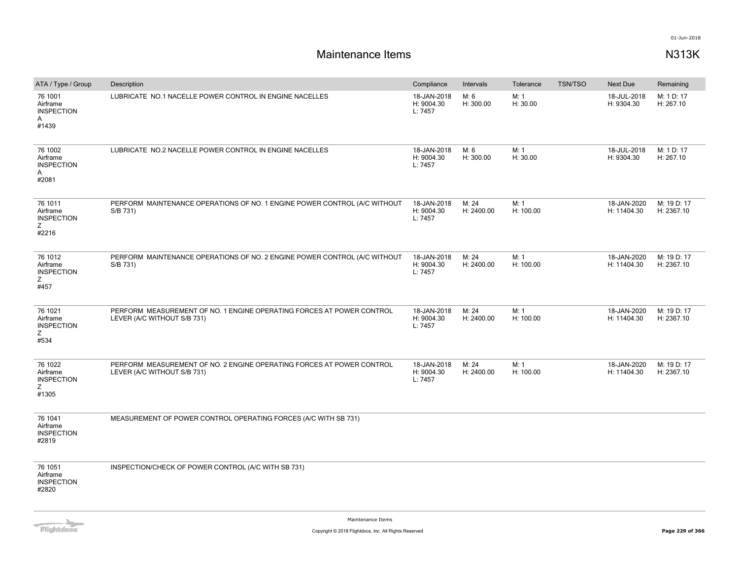# **Maintenance Items N313K**

| ATA / Type / Group                                     | Description                                                                                          | Compliance                           | Intervals           | Tolerance         | <b>TSN/TSO</b> | <b>Next Due</b>            | Remaining                 |
|--------------------------------------------------------|------------------------------------------------------------------------------------------------------|--------------------------------------|---------------------|-------------------|----------------|----------------------------|---------------------------|
| 76 1001<br>Airframe<br><b>INSPECTION</b><br>A<br>#1439 | LUBRICATE NO.1 NACELLE POWER CONTROL IN ENGINE NACELLES                                              | 18-JAN-2018<br>H: 9004.30<br>L: 7457 | M: 6<br>H: 300.00   | M: 1<br>H: 30.00  |                | 18-JUL-2018<br>H: 9304.30  | M: 1 D: 17<br>H: 267.10   |
| 76 1002<br>Airframe<br><b>INSPECTION</b><br>A<br>#2081 | LUBRICATE NO.2 NACELLE POWER CONTROL IN ENGINE NACELLES                                              | 18-JAN-2018<br>H: 9004.30<br>L: 7457 | M: 6<br>H: 300.00   | M: 1<br>H: 30.00  |                | 18-JUL-2018<br>H: 9304.30  | M: 1 D: 17<br>H: 267.10   |
| 76 1011<br>Airframe<br><b>INSPECTION</b><br>Ζ<br>#2216 | PERFORM MAINTENANCE OPERATIONS OF NO. 1 ENGINE POWER CONTROL (A/C WITHOUT<br>S/B 731)                | 18-JAN-2018<br>H: 9004.30<br>L: 7457 | M: 24<br>H: 2400.00 | M: 1<br>H: 100.00 |                | 18-JAN-2020<br>H: 11404.30 | M: 19 D: 17<br>H: 2367.10 |
| 76 1012<br>Airframe<br><b>INSPECTION</b><br>Ζ<br>#457  | PERFORM MAINTENANCE OPERATIONS OF NO. 2 ENGINE POWER CONTROL (A/C WITHOUT<br>S/B 731)                | 18-JAN-2018<br>H: 9004.30<br>L: 7457 | M: 24<br>H: 2400.00 | M: 1<br>H: 100.00 |                | 18-JAN-2020<br>H: 11404.30 | M: 19 D: 17<br>H: 2367.10 |
| 76 1021<br>Airframe<br><b>INSPECTION</b><br>Z<br>#534  | PERFORM MEASUREMENT OF NO. 1 ENGINE OPERATING FORCES AT POWER CONTROL<br>LEVER (A/C WITHOUT S/B 731) | 18-JAN-2018<br>H: 9004.30<br>L: 7457 | M: 24<br>H: 2400.00 | M: 1<br>H: 100.00 |                | 18-JAN-2020<br>H: 11404.30 | M: 19 D: 17<br>H: 2367.10 |
| 76 1022<br>Airframe<br><b>INSPECTION</b><br>Z<br>#1305 | PERFORM MEASUREMENT OF NO. 2 ENGINE OPERATING FORCES AT POWER CONTROL<br>LEVER (A/C WITHOUT S/B 731) | 18-JAN-2018<br>H: 9004.30<br>L: 7457 | M: 24<br>H: 2400.00 | M: 1<br>H: 100.00 |                | 18-JAN-2020<br>H: 11404.30 | M: 19 D: 17<br>H: 2367.10 |
| 76 1041<br>Airframe<br><b>INSPECTION</b><br>#2819      | MEASUREMENT OF POWER CONTROL OPERATING FORCES (A/C WITH SB 731)                                      |                                      |                     |                   |                |                            |                           |
| 76 1051<br>Airframe<br><b>INSPECTION</b><br>#2820      | INSPECTION/CHECK OF POWER CONTROL (A/C WITH SB 731)                                                  |                                      |                     |                   |                |                            |                           |

**Flightdocs**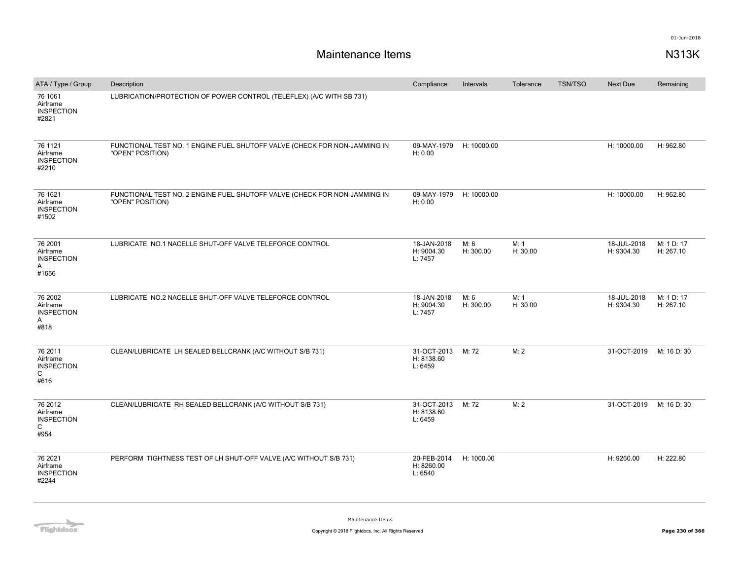| ATA / Type / Group                                               | Description                                                                                   | Compliance                           | Intervals         | Tolerance        | <b>TSN/TSO</b> | Next Due                  | Remaining               |
|------------------------------------------------------------------|-----------------------------------------------------------------------------------------------|--------------------------------------|-------------------|------------------|----------------|---------------------------|-------------------------|
| 76 1061<br>Airframe<br><b>INSPECTION</b><br>#2821                | LUBRICATION/PROTECTION OF POWER CONTROL (TELEFLEX) (A/C WITH SB 731)                          |                                      |                   |                  |                |                           |                         |
| 76 1121<br>Airframe<br><b>INSPECTION</b><br>#2210                | FUNCTIONAL TEST NO. 1 ENGINE FUEL SHUTOFF VALVE (CHECK FOR NON-JAMMING IN<br>"OPEN" POSITION) | 09-MAY-1979<br>H: 0.00               | H: 10000.00       |                  |                | H: 10000.00               | H: 962.80               |
| 76 1621<br>Airframe<br><b>INSPECTION</b><br>#1502                | FUNCTIONAL TEST NO. 2 ENGINE FUEL SHUTOFF VALVE (CHECK FOR NON-JAMMING IN<br>"OPEN" POSITION) | 09-MAY-1979<br>H: 0.00               | H: 10000.00       |                  |                | H: 10000.00               | H: 962.80               |
| 76 2001<br>Airframe<br><b>INSPECTION</b><br>Α<br>#1656           | LUBRICATE NO.1 NACELLE SHUT-OFF VALVE TELEFORCE CONTROL                                       | 18-JAN-2018<br>H: 9004.30<br>L: 7457 | M: 6<br>H: 300.00 | M: 1<br>H: 30.00 |                | 18-JUL-2018<br>H: 9304.30 | M: 1 D: 17<br>H: 267.10 |
| 76 2002<br>Airframe<br><b>INSPECTION</b><br>A<br>#818            | LUBRICATE NO.2 NACELLE SHUT-OFF VALVE TELEFORCE CONTROL                                       | 18-JAN-2018<br>H: 9004.30<br>L: 7457 | M: 6<br>H: 300.00 | M: 1<br>H: 30.00 |                | 18-JUL-2018<br>H: 9304.30 | M: 1 D: 17<br>H: 267.10 |
| 76 2011<br>Airframe<br><b>INSPECTION</b><br>C<br>#616            | CLEAN/LUBRICATE LH SEALED BELLCRANK (A/C WITHOUT S/B 731)                                     | 31-OCT-2013<br>H: 8138.60<br>L: 6459 | M: 72             | M: 2             |                | 31-OCT-2019               | M: 16 D: 30             |
| 76 2012<br>Airframe<br><b>INSPECTION</b><br>$\mathsf{C}$<br>#954 | CLEAN/LUBRICATE RH SEALED BELLCRANK (A/C WITHOUT S/B 731)                                     | 31-OCT-2013<br>H: 8138.60<br>L: 6459 | M: 72             | M: 2             |                | 31-OCT-2019               | M: 16 D: 30             |
| 76 2021<br>Airframe<br><b>INSPECTION</b><br>#2244                | PERFORM TIGHTNESS TEST OF LH SHUT-OFF VALVE (A/C WITHOUT S/B 731)                             | 20-FEB-2014<br>H: 8260.00<br>L: 6540 | H: 1000.00        |                  |                | H: 9260.00                | H: 222.80               |

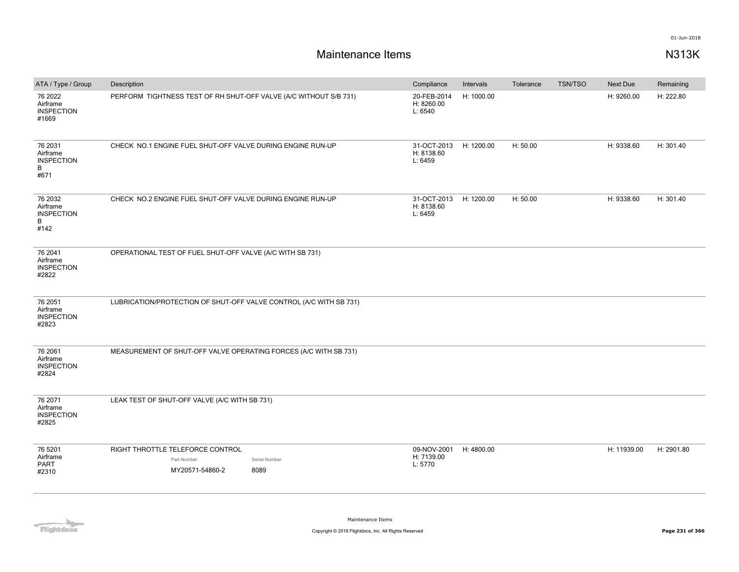| ATA / Type / Group                                    | Description                                                                                 | Compliance                           | Intervals  | Tolerance | TSN/TSO | <b>Next Due</b> | Remaining  |
|-------------------------------------------------------|---------------------------------------------------------------------------------------------|--------------------------------------|------------|-----------|---------|-----------------|------------|
| 76 2022<br>Airframe<br><b>INSPECTION</b><br>#1669     | PERFORM TIGHTNESS TEST OF RH SHUT-OFF VALVE (A/C WITHOUT S/B 731)                           | 20-FEB-2014<br>H: 8260.00<br>L: 6540 | H: 1000.00 |           |         | H: 9260.00      | H: 222.80  |
| 76 2031<br>Airframe<br><b>INSPECTION</b><br>B<br>#671 | CHECK NO.1 ENGINE FUEL SHUT-OFF VALVE DURING ENGINE RUN-UP                                  | 31-OCT-2013<br>H: 8138.60<br>L: 6459 | H: 1200.00 | H: 50.00  |         | H: 9338.60      | H: 301.40  |
| 76 2032<br>Airframe<br><b>INSPECTION</b><br>B<br>#142 | CHECK NO.2 ENGINE FUEL SHUT-OFF VALVE DURING ENGINE RUN-UP                                  | 31-OCT-2013<br>H: 8138.60<br>L: 6459 | H: 1200.00 | H: 50.00  |         | H: 9338.60      | H: 301.40  |
| 76 2041<br>Airframe<br><b>INSPECTION</b><br>#2822     | OPERATIONAL TEST OF FUEL SHUT-OFF VALVE (A/C WITH SB 731)                                   |                                      |            |           |         |                 |            |
| 76 2051<br>Airframe<br><b>INSPECTION</b><br>#2823     | LUBRICATION/PROTECTION OF SHUT-OFF VALVE CONTROL (A/C WITH SB 731)                          |                                      |            |           |         |                 |            |
| 76 2061<br>Airframe<br><b>INSPECTION</b><br>#2824     | MEASUREMENT OF SHUT-OFF VALVE OPERATING FORCES (A/C WITH SB 731)                            |                                      |            |           |         |                 |            |
| 76 2071<br>Airframe<br><b>INSPECTION</b><br>#2825     | LEAK TEST OF SHUT-OFF VALVE (A/C WITH SB 731)                                               |                                      |            |           |         |                 |            |
| 76 5201<br>Airframe<br><b>PART</b><br>#2310           | RIGHT THROTTLE TELEFORCE CONTROL<br>Part Number<br>Serial Number<br>MY20571-54860-2<br>8089 | 09-NOV-2001<br>H: 7139.00<br>L: 5770 | H: 4800.00 |           |         | H: 11939.00     | H: 2901.80 |

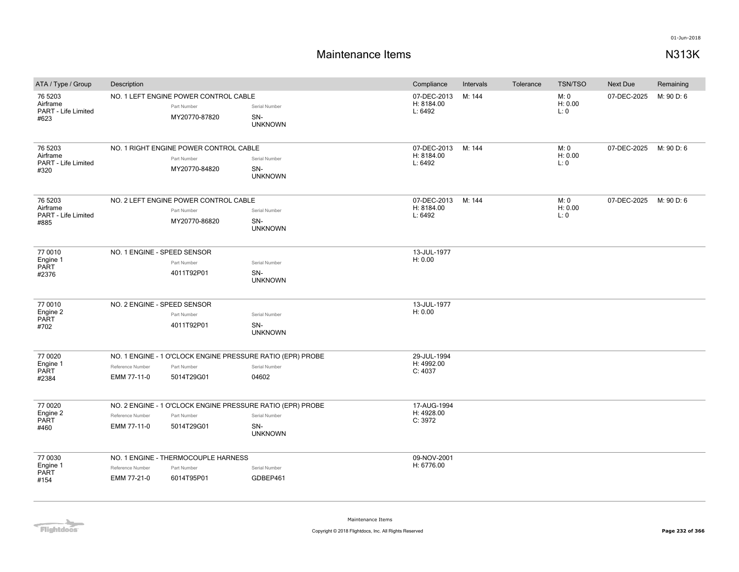# **Maintenance Items N313K**

| ATA / Type / Group                                 | Description                     |                                                                        |                                                                                                      | Compliance                           | Intervals | Tolerance | <b>TSN/TSO</b>          | Next Due    | Remaining  |
|----------------------------------------------------|---------------------------------|------------------------------------------------------------------------|------------------------------------------------------------------------------------------------------|--------------------------------------|-----------|-----------|-------------------------|-------------|------------|
| 76 5203<br>Airframe<br>PART - Life Limited<br>#623 |                                 | NO. 1 LEFT ENGINE POWER CONTROL CABLE<br>Part Number<br>MY20770-87820  | Serial Number<br>SN-<br><b>UNKNOWN</b>                                                               | 07-DEC-2013<br>H: 8184.00<br>L: 6492 | M: 144    |           | M: 0<br>H: 0.00<br>L: 0 | 07-DEC-2025 | M: 90 D: 6 |
| 76 5203<br>Airframe<br>PART - Life Limited<br>#320 |                                 | NO. 1 RIGHT ENGINE POWER CONTROL CABLE<br>Part Number<br>MY20770-84820 | Serial Number<br>SN-<br><b>UNKNOWN</b>                                                               | 07-DEC-2013<br>H: 8184.00<br>L: 6492 | M: 144    |           | M: 0<br>H: 0.00<br>L: 0 | 07-DEC-2025 | M: 90 D: 6 |
| 76 5203<br>Airframe<br>PART - Life Limited<br>#885 |                                 | NO. 2 LEFT ENGINE POWER CONTROL CABLE<br>Part Number<br>MY20770-86820  | Serial Number<br>SN-<br><b>UNKNOWN</b>                                                               | 07-DEC-2013<br>H: 8184.00<br>L: 6492 | M: 144    |           | M: 0<br>H: 0.00<br>L:0  | 07-DEC-2025 | M: 90 D: 6 |
| 77 0010<br>Engine 1<br>PART<br>#2376               | NO. 1 ENGINE - SPEED SENSOR     | Part Number<br>4011T92P01                                              | Serial Number<br>SN-<br><b>UNKNOWN</b>                                                               | 13-JUL-1977<br>H: 0.00               |           |           |                         |             |            |
| 77 0010<br>Engine 2<br>PART<br>#702                | NO. 2 ENGINE - SPEED SENSOR     | Part Number<br>4011T92P01                                              | Serial Number<br>SN-<br><b>UNKNOWN</b>                                                               | 13-JUL-1977<br>H: 0.00               |           |           |                         |             |            |
| 77 0020<br>Engine 1<br>PART<br>#2384               | Reference Number<br>EMM 77-11-0 | Part Number<br>5014T29G01                                              | NO. 1 ENGINE - 1 O'CLOCK ENGINE PRESSURE RATIO (EPR) PROBE<br>Serial Number<br>04602                 | 29-JUL-1994<br>H: 4992.00<br>C: 4037 |           |           |                         |             |            |
| 77 0020<br>Engine 2<br>PART<br>#460                | Reference Number<br>EMM 77-11-0 | Part Number<br>5014T29G01                                              | NO. 2 ENGINE - 1 O'CLOCK ENGINE PRESSURE RATIO (EPR) PROBE<br>Serial Number<br>SN-<br><b>UNKNOWN</b> | 17-AUG-1994<br>H: 4928.00<br>C: 3972 |           |           |                         |             |            |
| 77 0030<br>Engine 1<br>PART<br>#154                | Reference Number<br>EMM 77-21-0 | NO. 1 ENGINE - THERMOCOUPLE HARNESS<br>Part Number<br>6014T95P01       | Serial Number<br>GDBEP461                                                                            | 09-NOV-2001<br>H: 6776.00            |           |           |                         |             |            |

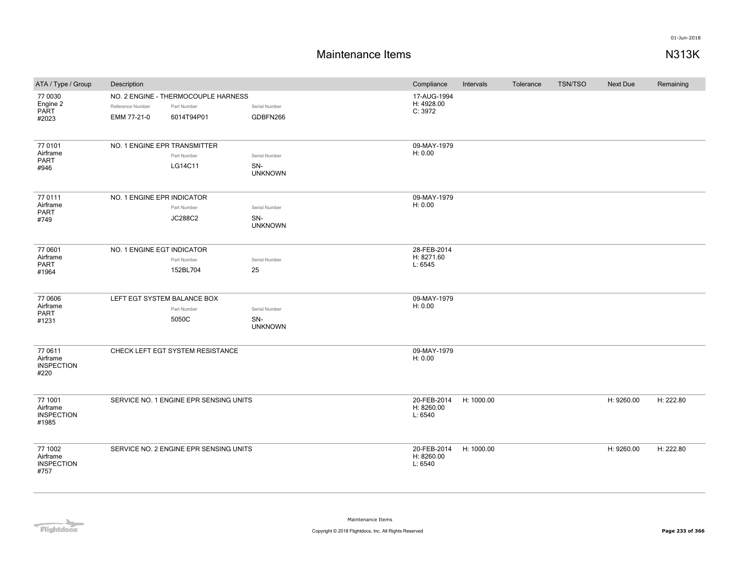| ATA / Type / Group                                | Description                     |                                                                  |                                        | Compliance                           | Intervals  | Tolerance | <b>TSN/TSO</b> | <b>Next Due</b> | Remaining |
|---------------------------------------------------|---------------------------------|------------------------------------------------------------------|----------------------------------------|--------------------------------------|------------|-----------|----------------|-----------------|-----------|
| 77 0030<br>Engine 2<br>PART<br>#2023              | Reference Number<br>EMM 77-21-0 | NO. 2 ENGINE - THERMOCOUPLE HARNESS<br>Part Number<br>6014T94P01 | Serial Number<br>GDBFN266              | 17-AUG-1994<br>H: 4928.00<br>C: 3972 |            |           |                |                 |           |
| 77 0101<br>Airframe<br>PART<br>#946               | NO. 1 ENGINE EPR TRANSMITTER    | Part Number<br>LG14C11                                           | Serial Number<br>SN-<br><b>UNKNOWN</b> | 09-MAY-1979<br>H: 0.00               |            |           |                |                 |           |
| 77 0111<br>Airframe<br><b>PART</b><br>#749        | NO. 1 ENGINE EPR INDICATOR      | Part Number<br><b>JC288C2</b>                                    | Serial Number<br>SN-<br><b>UNKNOWN</b> | 09-MAY-1979<br>H: 0.00               |            |           |                |                 |           |
| 77 0601<br>Airframe<br>PART<br>#1964              | NO. 1 ENGINE EGT INDICATOR      | Part Number<br>152BL704                                          | Serial Number<br>25                    | 28-FEB-2014<br>H: 8271.60<br>L: 6545 |            |           |                |                 |           |
| 77 0606<br>Airframe<br>PART<br>#1231              | LEFT EGT SYSTEM BALANCE BOX     | Part Number<br>5050C                                             | Serial Number<br>SN-<br><b>UNKNOWN</b> | 09-MAY-1979<br>H: 0.00               |            |           |                |                 |           |
| 77 0611<br>Airframe<br><b>INSPECTION</b><br>#220  |                                 | CHECK LEFT EGT SYSTEM RESISTANCE                                 |                                        | 09-MAY-1979<br>H: 0.00               |            |           |                |                 |           |
| 77 1001<br>Airframe<br><b>INSPECTION</b><br>#1985 |                                 | SERVICE NO. 1 ENGINE EPR SENSING UNITS                           |                                        | 20-FEB-2014<br>H: 8260.00<br>L: 6540 | H: 1000.00 |           |                | H: 9260.00      | H: 222.80 |
| 77 1002<br>Airframe<br><b>INSPECTION</b><br>#757  |                                 | SERVICE NO. 2 ENGINE EPR SENSING UNITS                           |                                        | 20-FEB-2014<br>H: 8260.00<br>L: 6540 | H: 1000.00 |           |                | H: 9260.00      | H: 222.80 |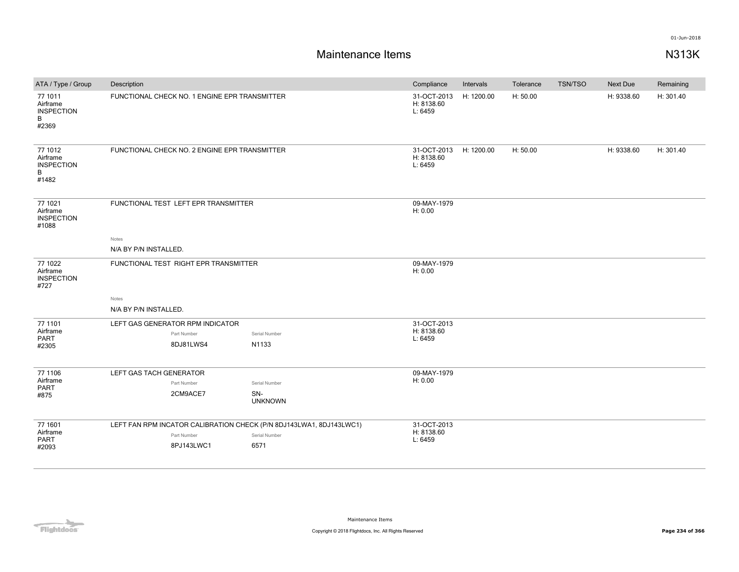| ATA / Type / Group                                     | Description                                                                                      |                                        | Compliance                           | Intervals  | Tolerance | TSN/TSO | Next Due   | Remaining |
|--------------------------------------------------------|--------------------------------------------------------------------------------------------------|----------------------------------------|--------------------------------------|------------|-----------|---------|------------|-----------|
| 77 1011<br>Airframe<br><b>INSPECTION</b><br>B<br>#2369 | FUNCTIONAL CHECK NO. 1 ENGINE EPR TRANSMITTER                                                    |                                        | 31-OCT-2013<br>H: 8138.60<br>L: 6459 | H: 1200.00 | H: 50.00  |         | H: 9338.60 | H: 301.40 |
| 77 1012<br>Airframe<br><b>INSPECTION</b><br>B<br>#1482 | FUNCTIONAL CHECK NO. 2 ENGINE EPR TRANSMITTER                                                    |                                        | 31-OCT-2013<br>H: 8138.60<br>L: 6459 | H: 1200.00 | H: 50.00  |         | H: 9338.60 | H: 301.40 |
| 77 1021<br>Airframe<br><b>INSPECTION</b><br>#1088      | FUNCTIONAL TEST LEFT EPR TRANSMITTER                                                             |                                        | 09-MAY-1979<br>H: 0.00               |            |           |         |            |           |
|                                                        | Notes                                                                                            |                                        |                                      |            |           |         |            |           |
|                                                        | N/A BY P/N INSTALLED.                                                                            |                                        |                                      |            |           |         |            |           |
| 77 1022<br>Airframe<br><b>INSPECTION</b><br>#727       | FUNCTIONAL TEST RIGHT EPR TRANSMITTER                                                            |                                        | 09-MAY-1979<br>H: 0.00               |            |           |         |            |           |
|                                                        | Notes                                                                                            |                                        |                                      |            |           |         |            |           |
|                                                        | N/A BY P/N INSTALLED.                                                                            |                                        |                                      |            |           |         |            |           |
| 77 1101<br>Airframe<br><b>PART</b><br>#2305            | LEFT GAS GENERATOR RPM INDICATOR<br>Part Number<br>8DJ81LWS4                                     | Serial Number<br>N1133                 | 31-OCT-2013<br>H: 8138.60<br>L: 6459 |            |           |         |            |           |
| 77 1106<br>Airframe<br>PART<br>#875                    | LEFT GAS TACH GENERATOR<br>Part Number<br>2CM9ACE7                                               | Serial Number<br>SN-<br><b>UNKNOWN</b> | 09-MAY-1979<br>H: 0.00               |            |           |         |            |           |
| 77 1601<br>Airframe<br>PART<br>#2093                   | LEFT FAN RPM INCATOR CALIBRATION CHECK (P/N 8DJ143LWA1, 8DJ143LWC1)<br>Part Number<br>8PJ143LWC1 | Serial Number<br>6571                  | 31-OCT-2013<br>H: 8138.60<br>L: 6459 |            |           |         |            |           |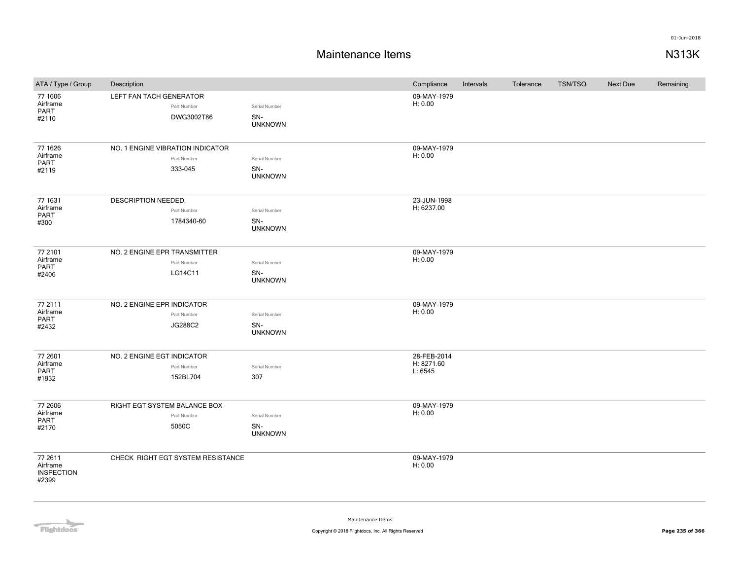| ATA / Type / Group                                | Description                                                |                                        | Compliance                           | Intervals | Tolerance | <b>TSN/TSO</b> | <b>Next Due</b> | Remaining |
|---------------------------------------------------|------------------------------------------------------------|----------------------------------------|--------------------------------------|-----------|-----------|----------------|-----------------|-----------|
| 77 1606<br>Airframe<br>PART<br>#2110              | LEFT FAN TACH GENERATOR<br>Part Number<br>DWG3002T86       | Serial Number<br>SN-<br><b>UNKNOWN</b> | 09-MAY-1979<br>H: 0.00               |           |           |                |                 |           |
| 77 1626<br>Airframe<br>PART<br>#2119              | NO. 1 ENGINE VIBRATION INDICATOR<br>Part Number<br>333-045 | Serial Number<br>SN-<br><b>UNKNOWN</b> | 09-MAY-1979<br>H: 0.00               |           |           |                |                 |           |
| 77 1631<br>Airframe<br>PART<br>#300               | DESCRIPTION NEEDED.<br>Part Number<br>1784340-60           | Serial Number<br>SN-<br><b>UNKNOWN</b> | 23-JUN-1998<br>H: 6237.00            |           |           |                |                 |           |
| 77 2101<br>Airframe<br>PART<br>#2406              | NO. 2 ENGINE EPR TRANSMITTER<br>Part Number<br>LG14C11     | Serial Number<br>SN-<br><b>UNKNOWN</b> | 09-MAY-1979<br>H: 0.00               |           |           |                |                 |           |
| 77 2111<br>Airframe<br>PART<br>#2432              | NO. 2 ENGINE EPR INDICATOR<br>Part Number<br>JG288C2       | Serial Number<br>SN-<br><b>UNKNOWN</b> | 09-MAY-1979<br>H: 0.00               |           |           |                |                 |           |
| 77 2601<br>Airframe<br>PART<br>#1932              | NO. 2 ENGINE EGT INDICATOR<br>Part Number<br>152BL704      | Serial Number<br>307                   | 28-FEB-2014<br>H: 8271.60<br>L: 6545 |           |           |                |                 |           |
| 77 2606<br>Airframe<br>PART<br>#2170              | RIGHT EGT SYSTEM BALANCE BOX<br>Part Number<br>5050C       | Serial Number<br>SN-<br><b>UNKNOWN</b> | 09-MAY-1979<br>H: 0.00               |           |           |                |                 |           |
| 77 2611<br>Airframe<br><b>INSPECTION</b><br>#2399 | CHECK RIGHT EGT SYSTEM RESISTANCE                          |                                        | 09-MAY-1979<br>H: 0.00               |           |           |                |                 |           |

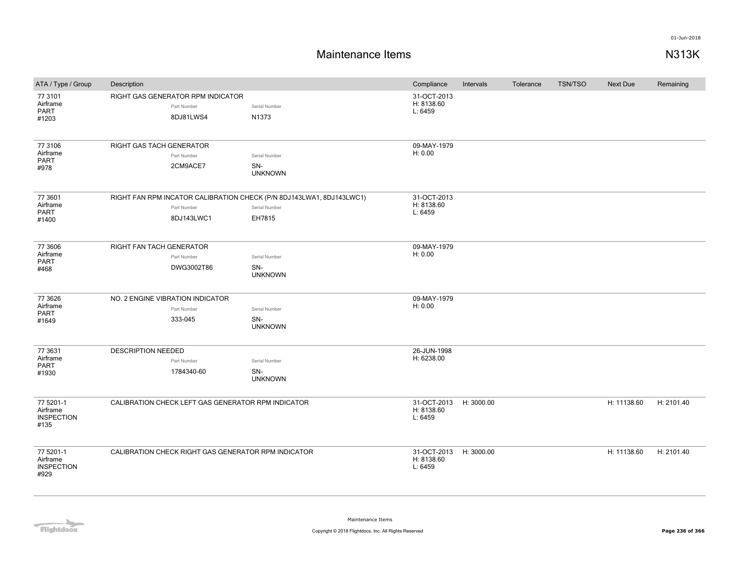| ATA / Type / Group                                 | Description                                                          |                       | Compliance                                      | Intervals  | Tolerance | <b>TSN/TSO</b> | Next Due    | Remaining  |
|----------------------------------------------------|----------------------------------------------------------------------|-----------------------|-------------------------------------------------|------------|-----------|----------------|-------------|------------|
| 77 3101<br>Airframe<br><b>PART</b>                 | RIGHT GAS GENERATOR RPM INDICATOR<br>Part Number                     | Serial Number         | 31-OCT-2013<br>H: 8138.60<br>L: 6459            |            |           |                |             |            |
| #1203                                              | 8DJ81LWS4                                                            | N1373                 |                                                 |            |           |                |             |            |
| 77 3106<br>Airframe                                | RIGHT GAS TACH GENERATOR                                             |                       | 09-MAY-1979<br>H: 0.00                          |            |           |                |             |            |
| <b>PART</b>                                        | Part Number                                                          | Serial Number         |                                                 |            |           |                |             |            |
| #978                                               | 2CM9ACE7                                                             | SN-<br><b>UNKNOWN</b> |                                                 |            |           |                |             |            |
| 77 3601                                            | RIGHT FAN RPM INCATOR CALIBRATION CHECK (P/N 8DJ143LWA1, 8DJ143LWC1) |                       | 31-OCT-2013                                     |            |           |                |             |            |
| Airframe<br><b>PART</b>                            | Part Number                                                          | Serial Number         | H: 8138.60<br>L: 6459                           |            |           |                |             |            |
| #1400                                              | 8DJ143LWC1                                                           | EH7815                |                                                 |            |           |                |             |            |
| 77 3606                                            | RIGHT FAN TACH GENERATOR                                             |                       | 09-MAY-1979                                     |            |           |                |             |            |
| Airframe<br>PART                                   | Part Number                                                          | Serial Number         | H: 0.00                                         |            |           |                |             |            |
| #468                                               | DWG3002T86                                                           | SN-<br><b>UNKNOWN</b> |                                                 |            |           |                |             |            |
| 77 3626                                            | NO. 2 ENGINE VIBRATION INDICATOR                                     |                       | 09-MAY-1979                                     |            |           |                |             |            |
| Airframe<br>PART                                   | Part Number                                                          | Serial Number         | H: 0.00                                         |            |           |                |             |            |
| #1649                                              | 333-045                                                              | SN-<br><b>UNKNOWN</b> |                                                 |            |           |                |             |            |
| 77 3631                                            | <b>DESCRIPTION NEEDED</b>                                            |                       | 26-JUN-1998                                     |            |           |                |             |            |
| Airframe<br>PART                                   | Part Number                                                          | Serial Number         | H: 6238.00                                      |            |           |                |             |            |
| #1930                                              | 1784340-60                                                           | SN-<br><b>UNKNOWN</b> |                                                 |            |           |                |             |            |
| 77 5201-1<br>Airframe<br><b>INSPECTION</b><br>#135 | CALIBRATION CHECK LEFT GAS GENERATOR RPM INDICATOR                   |                       | 31-OCT-2013 H: 3000.00<br>H: 8138.60<br>L: 6459 |            |           |                | H: 11138.60 | H: 2101.40 |
| 77 5201-1<br>Airframe<br><b>INSPECTION</b><br>#929 | CALIBRATION CHECK RIGHT GAS GENERATOR RPM INDICATOR                  |                       | 31-OCT-2013<br>H: 8138.60<br>L: 6459            | H: 3000.00 |           |                | H: 11138.60 | H: 2101.40 |

**Flightdocs**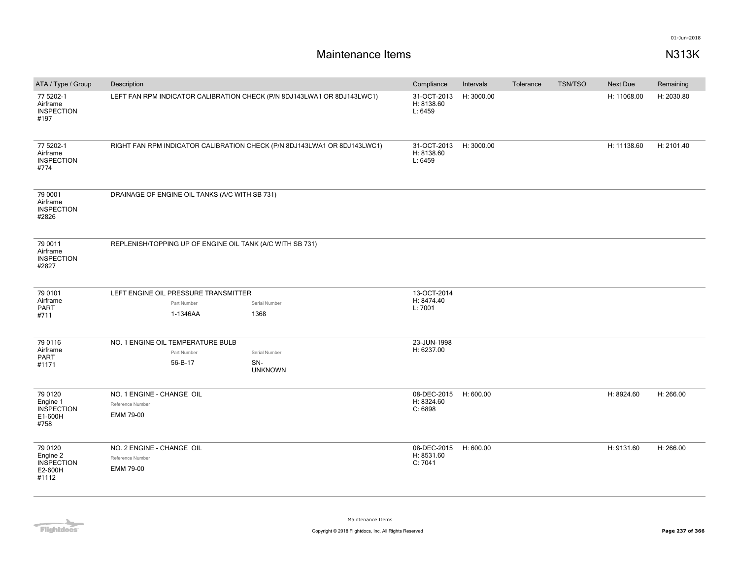| ATA / Type / Group                                 | Description                                                              |                       | Compliance                           | Intervals  | Tolerance | <b>TSN/TSO</b> | Next Due    | Remaining  |
|----------------------------------------------------|--------------------------------------------------------------------------|-----------------------|--------------------------------------|------------|-----------|----------------|-------------|------------|
| 77 5202-1<br>Airframe<br><b>INSPECTION</b><br>#197 | LEFT FAN RPM INDICATOR CALIBRATION CHECK (P/N 8DJ143LWA1 OR 8DJ143LWC1)  |                       | 31-OCT-2013<br>H: 8138.60<br>L: 6459 | H: 3000.00 |           |                | H: 11068.00 | H: 2030.80 |
| 77 5202-1<br>Airframe<br><b>INSPECTION</b><br>#774 | RIGHT FAN RPM INDICATOR CALIBRATION CHECK (P/N 8DJ143LWA1 OR 8DJ143LWC1) |                       | 31-OCT-2013<br>H: 8138.60<br>L: 6459 | H: 3000.00 |           |                | H: 11138.60 | H: 2101.40 |
| 79 0001<br>Airframe<br><b>INSPECTION</b><br>#2826  | DRAINAGE OF ENGINE OIL TANKS (A/C WITH SB 731)                           |                       |                                      |            |           |                |             |            |
| 79 0011<br>Airframe<br><b>INSPECTION</b><br>#2827  | REPLENISH/TOPPING UP OF ENGINE OIL TANK (A/C WITH SB 731)                |                       |                                      |            |           |                |             |            |
|                                                    |                                                                          |                       | 13-OCT-2014                          |            |           |                |             |            |
| 79 0101<br>Airframe                                | LEFT ENGINE OIL PRESSURE TRANSMITTER                                     |                       | H: 8474.40                           |            |           |                |             |            |
| PART                                               | Part Number                                                              | Serial Number         | L: 7001                              |            |           |                |             |            |
| #711                                               | 1-1346AA                                                                 | 1368                  |                                      |            |           |                |             |            |
| 79 0116                                            | NO. 1 ENGINE OIL TEMPERATURE BULB                                        |                       | 23-JUN-1998                          |            |           |                |             |            |
| Airframe<br><b>PART</b>                            | Part Number                                                              | Serial Number         | H: 6237.00                           |            |           |                |             |            |
| #1171                                              | 56-B-17                                                                  | SN-<br><b>UNKNOWN</b> |                                      |            |           |                |             |            |
| 79 0120                                            | NO. 1 ENGINE - CHANGE OIL                                                |                       | 08-DEC-2015                          | H: 600.00  |           |                | H: 8924.60  | H: 266.00  |
| Engine 1                                           | Reference Number                                                         |                       | H: 8324.60                           |            |           |                |             |            |
| <b>INSPECTION</b><br>E1-600H                       | EMM 79-00                                                                |                       | C: 6898                              |            |           |                |             |            |
| #758                                               |                                                                          |                       |                                      |            |           |                |             |            |
| 79 0120                                            | NO. 2 ENGINE - CHANGE OIL                                                |                       | 08-DEC-2015                          | H: 600.00  |           |                | H: 9131.60  | H: 266.00  |
| Engine 2                                           | Reference Number                                                         |                       | H: 8531.60                           |            |           |                |             |            |
| <b>INSPECTION</b><br>E2-600H                       | EMM 79-00                                                                |                       | C: 7041                              |            |           |                |             |            |
| #1112                                              |                                                                          |                       |                                      |            |           |                |             |            |
|                                                    |                                                                          |                       |                                      |            |           |                |             |            |

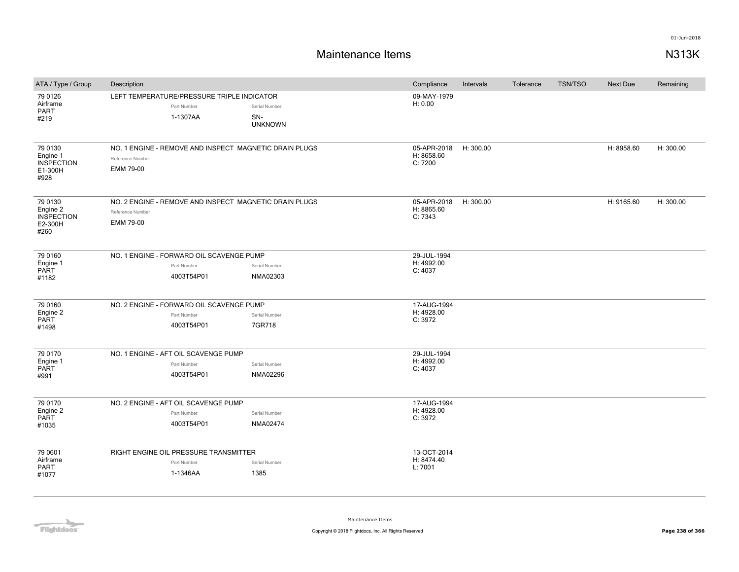| ATA / Type / Group                                          | Description                   |                                                                       |                                        | Compliance                           | Intervals | Tolerance | <b>TSN/TSO</b> | <b>Next Due</b> | Remaining |
|-------------------------------------------------------------|-------------------------------|-----------------------------------------------------------------------|----------------------------------------|--------------------------------------|-----------|-----------|----------------|-----------------|-----------|
| 79 0126<br>Airframe<br><b>PART</b><br>#219                  |                               | LEFT TEMPERATURE/PRESSURE TRIPLE INDICATOR<br>Part Number<br>1-1307AA | Serial Number<br>SN-<br><b>UNKNOWN</b> | 09-MAY-1979<br>H: 0.00               |           |           |                |                 |           |
| 79 0130<br>Engine 1<br><b>INSPECTION</b><br>E1-300H<br>#928 | Reference Number<br>EMM 79-00 | NO. 1 ENGINE - REMOVE AND INSPECT MAGNETIC DRAIN PLUGS                |                                        | 05-APR-2018<br>H: 8658.60<br>C: 7200 | H: 300.00 |           |                | H: 8958.60      | H: 300.00 |
| 79 0130<br>Engine 2<br><b>INSPECTION</b><br>E2-300H<br>#260 | Reference Number<br>EMM 79-00 | NO. 2 ENGINE - REMOVE AND INSPECT MAGNETIC DRAIN PLUGS                |                                        | 05-APR-2018<br>H: 8865.60<br>C: 7343 | H: 300.00 |           |                | H: 9165.60      | H: 300.00 |
| 79 0160<br>Engine 1<br><b>PART</b><br>#1182                 |                               | NO. 1 ENGINE - FORWARD OIL SCAVENGE PUMP<br>Part Number<br>4003T54P01 | Serial Number<br>NMA02303              | 29-JUL-1994<br>H: 4992.00<br>C: 4037 |           |           |                |                 |           |
| 79 0160<br>Engine 2<br><b>PART</b><br>#1498                 |                               | NO. 2 ENGINE - FORWARD OIL SCAVENGE PUMP<br>Part Number<br>4003T54P01 | Serial Number<br>7GR718                | 17-AUG-1994<br>H: 4928.00<br>C: 3972 |           |           |                |                 |           |
| 79 0170<br>Engine 1<br>PART<br>#991                         |                               | NO. 1 ENGINE - AFT OIL SCAVENGE PUMP<br>Part Number<br>4003T54P01     | Serial Number<br>NMA02296              | 29-JUL-1994<br>H: 4992.00<br>C: 4037 |           |           |                |                 |           |
| 79 0170<br>Engine 2<br>PART<br>#1035                        |                               | NO. 2 ENGINE - AFT OIL SCAVENGE PUMP<br>Part Number<br>4003T54P01     | Serial Number<br>NMA02474              | 17-AUG-1994<br>H: 4928.00<br>C: 3972 |           |           |                |                 |           |
| 79 0601<br>Airframe<br>PART<br>#1077                        |                               | RIGHT ENGINE OIL PRESSURE TRANSMITTER<br>Part Number<br>1-1346AA      | Serial Number<br>1385                  | 13-OCT-2014<br>H: 8474.40<br>L: 7001 |           |           |                |                 |           |

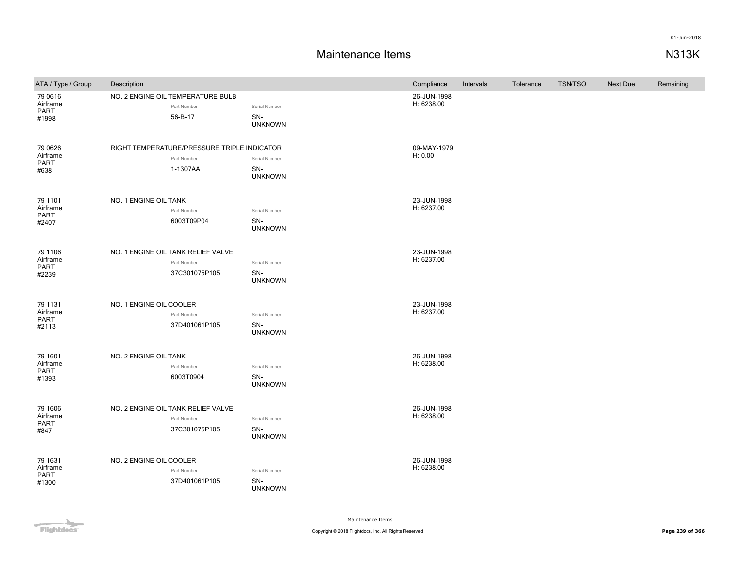### **Maintenance Items N313K**

| ATA / Type / Group                          | Description                                                            |                                        | Compliance                | Intervals | Tolerance | <b>TSN/TSO</b> | Next Due | Remaining |
|---------------------------------------------|------------------------------------------------------------------------|----------------------------------------|---------------------------|-----------|-----------|----------------|----------|-----------|
| 79 0616<br>Airframe<br>PART<br>#1998        | NO. 2 ENGINE OIL TEMPERATURE BULB<br>Part Number<br>56-B-17            | Serial Number<br>SN-<br><b>UNKNOWN</b> | 26-JUN-1998<br>H: 6238.00 |           |           |                |          |           |
| 79 0626<br>Airframe<br><b>PART</b><br>#638  | RIGHT TEMPERATURE/PRESSURE TRIPLE INDICATOR<br>Part Number<br>1-1307AA | Serial Number<br>SN-<br><b>UNKNOWN</b> | 09-MAY-1979<br>H: 0.00    |           |           |                |          |           |
| 79 1101<br>Airframe<br>PART<br>#2407        | NO. 1 ENGINE OIL TANK<br>Part Number<br>6003T09P04                     | Serial Number<br>SN-<br><b>UNKNOWN</b> | 23-JUN-1998<br>H: 6237.00 |           |           |                |          |           |
| 79 1106<br>Airframe<br>PART<br>#2239        | NO. 1 ENGINE OIL TANK RELIEF VALVE<br>Part Number<br>37C301075P105     | Serial Number<br>SN-<br><b>UNKNOWN</b> | 23-JUN-1998<br>H: 6237.00 |           |           |                |          |           |
| 79 1131<br>Airframe<br>PART<br>#2113        | NO. 1 ENGINE OIL COOLER<br>Part Number<br>37D401061P105                | Serial Number<br>SN-<br><b>UNKNOWN</b> | 23-JUN-1998<br>H: 6237.00 |           |           |                |          |           |
| 79 1601<br>Airframe<br>PART<br>#1393        | NO. 2 ENGINE OIL TANK<br>Part Number<br>6003T0904                      | Serial Number<br>SN-<br><b>UNKNOWN</b> | 26-JUN-1998<br>H: 6238.00 |           |           |                |          |           |
| 79 1606<br>Airframe<br><b>PART</b><br>#847  | NO. 2 ENGINE OIL TANK RELIEF VALVE<br>Part Number<br>37C301075P105     | Serial Number<br>SN-<br><b>UNKNOWN</b> | 26-JUN-1998<br>H: 6238.00 |           |           |                |          |           |
| 79 1631<br>Airframe<br><b>PART</b><br>#1300 | NO. 2 ENGINE OIL COOLER<br>Part Number<br>37D401061P105                | Serial Number<br>SN-<br><b>UNKNOWN</b> | 26-JUN-1998<br>H: 6238.00 |           |           |                |          |           |

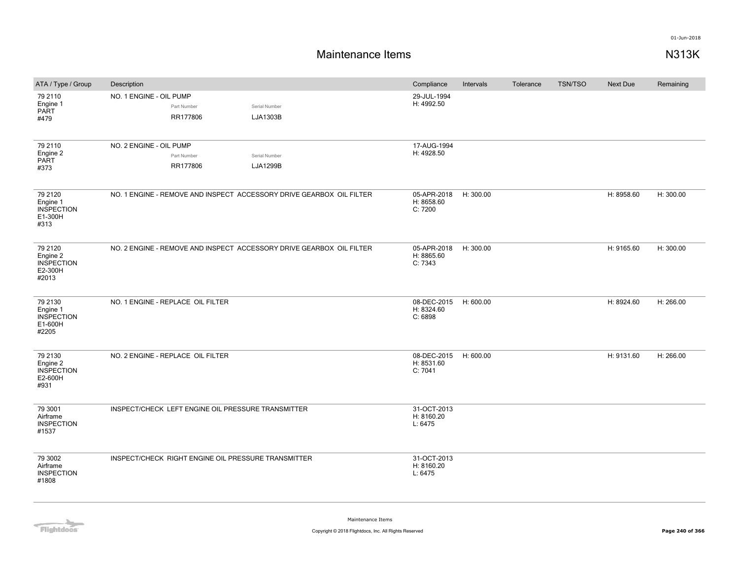| ATA / Type / Group                                            | Description                                                          |                                  | Compliance                           | Intervals | Tolerance | <b>TSN/TSO</b> | <b>Next Due</b> | Remaining |
|---------------------------------------------------------------|----------------------------------------------------------------------|----------------------------------|--------------------------------------|-----------|-----------|----------------|-----------------|-----------|
| 79 2110<br>Engine 1<br><b>PART</b><br>#479                    | NO. 1 ENGINE - OIL PUMP<br>Part Number<br>RR177806                   | Serial Number<br>LJA1303B        | 29-JUL-1994<br>H: 4992.50            |           |           |                |                 |           |
| 79 2110<br>Engine 2<br>PART<br>#373                           | NO. 2 ENGINE - OIL PUMP<br>Part Number<br>RR177806                   | Serial Number<br><b>LJA1299B</b> | 17-AUG-1994<br>H: 4928.50            |           |           |                |                 |           |
| 79 21 20<br>Engine 1<br><b>INSPECTION</b><br>E1-300H<br>#313  | NO. 1 ENGINE - REMOVE AND INSPECT ACCESSORY DRIVE GEARBOX OIL FILTER |                                  | 05-APR-2018<br>H: 8658.60<br>C: 7200 | H: 300.00 |           |                | H: 8958.60      | H: 300.00 |
| 79 21 20<br>Engine 2<br><b>INSPECTION</b><br>E2-300H<br>#2013 | NO. 2 ENGINE - REMOVE AND INSPECT ACCESSORY DRIVE GEARBOX OIL FILTER |                                  | 05-APR-2018<br>H: 8865.60<br>C: 7343 | H: 300.00 |           |                | H: 9165.60      | H: 300.00 |
| 79 2130<br>Engine 1<br><b>INSPECTION</b><br>E1-600H<br>#2205  | NO. 1 ENGINE - REPLACE OIL FILTER                                    |                                  | 08-DEC-2015<br>H: 8324.60<br>C: 6898 | H: 600.00 |           |                | H: 8924.60      | H: 266.00 |
| 79 2130<br>Engine 2<br><b>INSPECTION</b><br>E2-600H<br>#931   | NO. 2 ENGINE - REPLACE OIL FILTER                                    |                                  | 08-DEC-2015<br>H: 8531.60<br>C: 7041 | H: 600.00 |           |                | H: 9131.60      | H: 266.00 |
| 79 3001<br>Airframe<br><b>INSPECTION</b><br>#1537             | INSPECT/CHECK LEFT ENGINE OIL PRESSURE TRANSMITTER                   |                                  | 31-OCT-2013<br>H: 8160.20<br>L: 6475 |           |           |                |                 |           |
| 79 3002<br>Airframe<br><b>INSPECTION</b><br>#1808             | INSPECT/CHECK RIGHT ENGINE OIL PRESSURE TRANSMITTER                  |                                  | 31-OCT-2013<br>H: 8160.20<br>L: 6475 |           |           |                |                 |           |

Flightdocs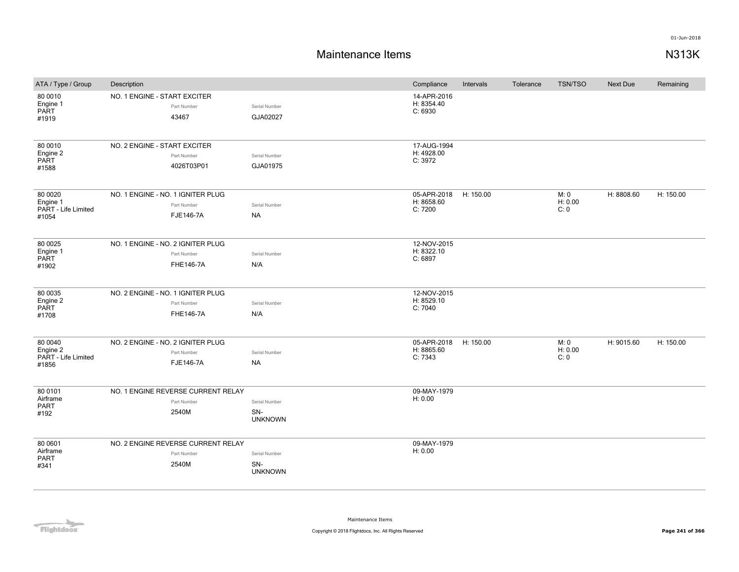| ATA / Type / Group                                   | Description                                                          |                                        | Compliance                           | Intervals | Tolerance | <b>TSN/TSO</b>          | Next Due   | Remaining |
|------------------------------------------------------|----------------------------------------------------------------------|----------------------------------------|--------------------------------------|-----------|-----------|-------------------------|------------|-----------|
| 80 0010<br>Engine 1<br><b>PART</b><br>#1919          | NO. 1 ENGINE - START EXCITER<br>Part Number<br>43467                 | Serial Number<br>GJA02027              | 14-APR-2016<br>H: 8354.40<br>C: 6930 |           |           |                         |            |           |
| 80 0010<br>Engine 2<br>PART<br>#1588                 | NO. 2 ENGINE - START EXCITER<br>Part Number<br>4026T03P01            | Serial Number<br>GJA01975              | 17-AUG-1994<br>H: 4928.00<br>C: 3972 |           |           |                         |            |           |
| 80 00 20<br>Engine 1<br>PART - Life Limited<br>#1054 | NO. 1 ENGINE - NO. 1 IGNITER PLUG<br>Part Number<br><b>FJE146-7A</b> | Serial Number<br><b>NA</b>             | 05-APR-2018<br>H: 8658.60<br>C: 7200 | H: 150.00 |           | M: 0<br>H: 0.00<br>C: 0 | H: 8808.60 | H: 150.00 |
| 80 0025<br>Engine 1<br>PART<br>#1902                 | NO. 1 ENGINE - NO. 2 IGNITER PLUG<br>Part Number<br><b>FHE146-7A</b> | Serial Number<br>N/A                   | 12-NOV-2015<br>H: 8322.10<br>C: 6897 |           |           |                         |            |           |
| 80 0035<br>Engine 2<br>PART<br>#1708                 | NO. 2 ENGINE - NO. 1 IGNITER PLUG<br>Part Number<br><b>FHE146-7A</b> | Serial Number<br>N/A                   | 12-NOV-2015<br>H: 8529.10<br>C: 7040 |           |           |                         |            |           |
| 80 0040<br>Engine 2<br>PART - Life Limited<br>#1856  | NO. 2 ENGINE - NO. 2 IGNITER PLUG<br>Part Number<br><b>FJE146-7A</b> | Serial Number<br><b>NA</b>             | 05-APR-2018<br>H: 8865.60<br>C: 7343 | H: 150.00 |           | M: 0<br>H: 0.00<br>C: 0 | H: 9015.60 | H: 150.00 |
| 80 0101<br>Airframe<br>PART<br>#192                  | NO. 1 ENGINE REVERSE CURRENT RELAY<br>Part Number<br>2540M           | Serial Number<br>SN-<br><b>UNKNOWN</b> | 09-MAY-1979<br>H: 0.00               |           |           |                         |            |           |
| 80 0601<br>Airframe<br>PART<br>#341                  | NO. 2 ENGINE REVERSE CURRENT RELAY<br>Part Number<br>2540M           | Serial Number<br>SN-<br><b>UNKNOWN</b> | 09-MAY-1979<br>H: 0.00               |           |           |                         |            |           |

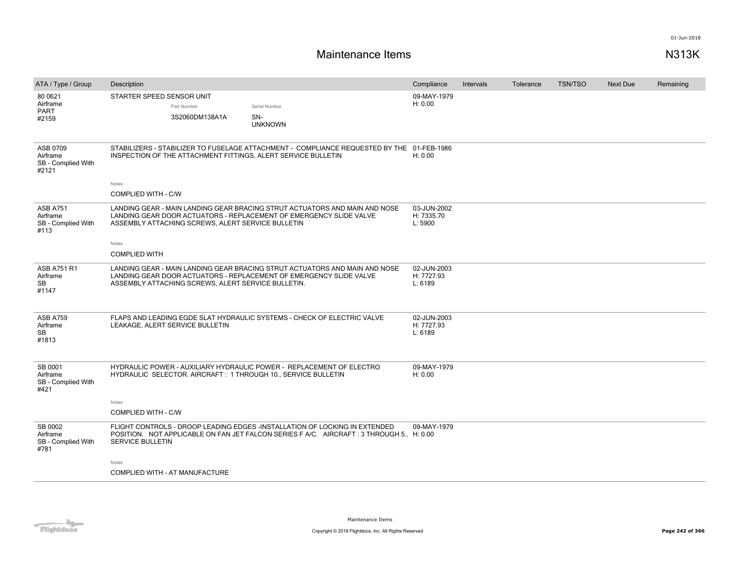| ATA / Type / Group                                  | Description                  |                                                    |                                                                                                                                                                        | Compliance                           | Intervals | Tolerance | <b>TSN/TSO</b> | <b>Next Due</b> | Remaining |
|-----------------------------------------------------|------------------------------|----------------------------------------------------|------------------------------------------------------------------------------------------------------------------------------------------------------------------------|--------------------------------------|-----------|-----------|----------------|-----------------|-----------|
| 80 0621<br>Airframe<br>PART<br>#2159                | STARTER SPEED SENSOR UNIT    | Part Number<br>3S2060DM138A1A                      | Serial Number<br>SN-<br><b>UNKNOWN</b>                                                                                                                                 | 09-MAY-1979<br>H: 0.00               |           |           |                |                 |           |
| ASB 0709<br>Airframe<br>SB - Complied With<br>#2121 |                              |                                                    | STABILIZERS - STABILIZER TO FUSELAGE ATTACHMENT - COMPLIANCE REQUESTED BY THE 01-FEB-1986<br>INSPECTION OF THE ATTACHMENT FITTINGS, ALERT SERVICE BULLETIN             | H: 0.00                              |           |           |                |                 |           |
|                                                     | Notes<br>COMPLIED WITH - C/W |                                                    |                                                                                                                                                                        |                                      |           |           |                |                 |           |
| ASB A751<br>Airframe<br>SB - Complied With<br>#113  |                              | ASSEMBLY ATTACHING SCREWS, ALERT SERVICE BULLETIN  | LANDING GEAR - MAIN LANDING GEAR BRACING STRUT ACTUATORS AND MAIN AND NOSE<br>LANDING GEAR DOOR ACTUATORS - REPLACEMENT OF EMERGENCY SLIDE VALVE                       | 03-JUN-2002<br>H: 7335.70<br>L: 5900 |           |           |                |                 |           |
|                                                     | Notes                        |                                                    |                                                                                                                                                                        |                                      |           |           |                |                 |           |
|                                                     | <b>COMPLIED WITH</b>         |                                                    |                                                                                                                                                                        |                                      |           |           |                |                 |           |
| ASB A751 R1<br>Airframe<br><b>SB</b><br>#1147       |                              | ASSEMBLY ATTACHING SCREWS, ALERT SERVICE BULLETIN. | LANDING GEAR - MAIN LANDING GEAR BRACING STRUT ACTUATORS AND MAIN AND NOSE<br>LANDING GEAR DOOR ACTUATORS - REPLACEMENT OF EMERGENCY SLIDE VALVE                       | 02-JUN-2003<br>H: 7727.93<br>L: 6189 |           |           |                |                 |           |
| ASB A759<br>Airframe<br><b>SB</b><br>#1813          |                              | LEAKAGE, ALERT SERVICE BULLETIN                    | FLAPS AND LEADING EGDE SLAT HYDRAULIC SYSTEMS - CHECK OF ELECTRIC VALVE                                                                                                | 02-JUN-2003<br>H: 7727.93<br>L: 6189 |           |           |                |                 |           |
| SB 0001<br>Airframe<br>SB - Complied With<br>#421   |                              |                                                    | HYDRAULIC POWER - AUXILIARY HYDRAULIC POWER - REPLACEMENT OF ELECTRO<br>HYDRAULIC SELECTOR. AIRCRAFT: 1 THROUGH 10., SERVICE BULLETIN                                  | 09-MAY-1979<br>H: 0.00               |           |           |                |                 |           |
|                                                     | Notes                        |                                                    |                                                                                                                                                                        |                                      |           |           |                |                 |           |
|                                                     | COMPLIED WITH - C/W          |                                                    |                                                                                                                                                                        |                                      |           |           |                |                 |           |
| SB 0002<br>Airframe<br>SB - Complied With<br>#781   | SERVICE BULLETIN             |                                                    | FLIGHT CONTROLS - DROOP LEADING EDGES -INSTALLATION OF LOCKING IN EXTENDED<br>POSITION. NOT APPLICABLE ON FAN JET FALCON SERIES F A/C. AIRCRAFT: 3 THROUGH 5., H: 0.00 | 09-MAY-1979                          |           |           |                |                 |           |
|                                                     | Notes                        | COMPLIED WITH - AT MANUFACTURE                     |                                                                                                                                                                        |                                      |           |           |                |                 |           |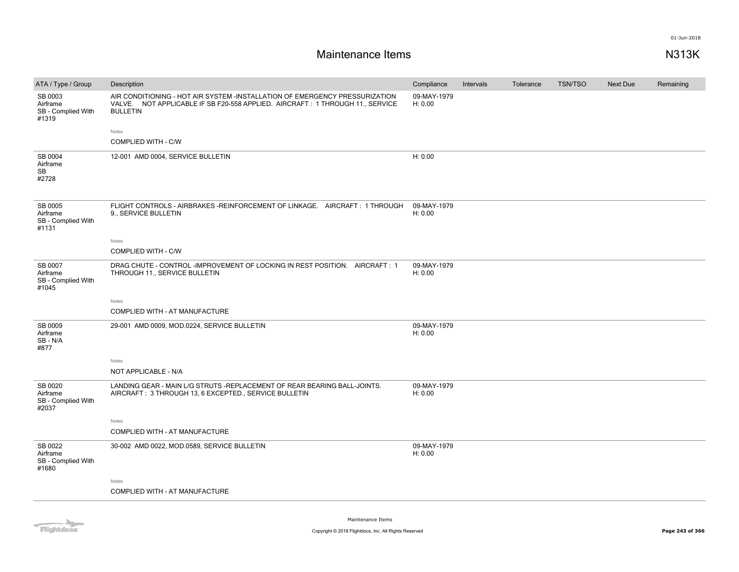| ATA / Type / Group                                 | Description                                                                                                                                                                     | Compliance             | Intervals | Tolerance | <b>TSN/TSO</b> | Next Due | Remaining |
|----------------------------------------------------|---------------------------------------------------------------------------------------------------------------------------------------------------------------------------------|------------------------|-----------|-----------|----------------|----------|-----------|
| SB 0003<br>Airframe<br>SB - Complied With<br>#1319 | AIR CONDITIONING - HOT AIR SYSTEM -INSTALLATION OF EMERGENCY PRESSURIZATION<br>VALVE. NOT APPLICABLE IF SB F20-558 APPLIED. AIRCRAFT: 1 THROUGH 11., SERVICE<br><b>BULLETIN</b> | 09-MAY-1979<br>H: 0.00 |           |           |                |          |           |
|                                                    | Notes<br>COMPLIED WITH - C/W                                                                                                                                                    |                        |           |           |                |          |           |
| SB 0004<br>Airframe<br>SB<br>#2728                 | 12-001 AMD 0004, SERVICE BULLETIN                                                                                                                                               | H: 0.00                |           |           |                |          |           |
| SB 0005<br>Airframe<br>SB - Complied With<br>#1131 | FLIGHT CONTROLS - AIRBRAKES -REINFORCEMENT OF LINKAGE. AIRCRAFT: 1 THROUGH<br>9., SERVICE BULLETIN                                                                              | 09-MAY-1979<br>H: 0.00 |           |           |                |          |           |
|                                                    | Notes<br>COMPLIED WITH - C/W                                                                                                                                                    |                        |           |           |                |          |           |
| SB 0007<br>Airframe<br>SB - Complied With<br>#1045 | DRAG CHUTE - CONTROL - IMPROVEMENT OF LOCKING IN REST POSITION. AIRCRAFT: 1<br>THROUGH 11., SERVICE BULLETIN                                                                    | 09-MAY-1979<br>H: 0.00 |           |           |                |          |           |
|                                                    | Notes                                                                                                                                                                           |                        |           |           |                |          |           |
|                                                    | COMPLIED WITH - AT MANUFACTURE                                                                                                                                                  |                        |           |           |                |          |           |
| SB 0009<br>Airframe<br>SB-N/A<br>#877              | 29-001 AMD 0009, MOD.0224, SERVICE BULLETIN                                                                                                                                     | 09-MAY-1979<br>H: 0.00 |           |           |                |          |           |
|                                                    | Notes                                                                                                                                                                           |                        |           |           |                |          |           |
|                                                    | NOT APPLICABLE - N/A                                                                                                                                                            |                        |           |           |                |          |           |
| SB 0020<br>Airframe<br>SB - Complied With<br>#2037 | LANDING GEAR - MAIN L/G STRUTS -REPLACEMENT OF REAR BEARING BALL-JOINTS.<br>AIRCRAFT: 3 THROUGH 13, 6 EXCEPTED., SERVICE BULLETIN                                               | 09-MAY-1979<br>H: 0.00 |           |           |                |          |           |
|                                                    | Notes                                                                                                                                                                           |                        |           |           |                |          |           |
|                                                    | COMPLIED WITH - AT MANUFACTURE                                                                                                                                                  |                        |           |           |                |          |           |
| SB 0022<br>Airframe<br>SB - Complied With<br>#1680 | 30-002 AMD 0022, MOD.0589, SERVICE BULLETIN                                                                                                                                     | 09-MAY-1979<br>H: 0.00 |           |           |                |          |           |
|                                                    | Notes<br>COMPLIED WITH - AT MANUFACTURE                                                                                                                                         |                        |           |           |                |          |           |
|                                                    |                                                                                                                                                                                 |                        |           |           |                |          |           |

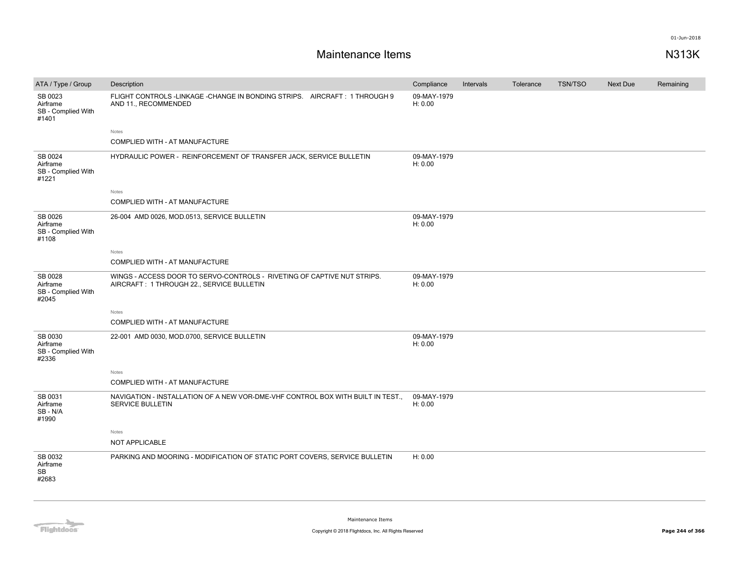| ATA / Type / Group                                 | Description                                                                                                          | Compliance             | Intervals | Tolerance | <b>TSN/TSO</b> | Next Due | Remaining |
|----------------------------------------------------|----------------------------------------------------------------------------------------------------------------------|------------------------|-----------|-----------|----------------|----------|-----------|
| SB 0023<br>Airframe<br>SB - Complied With<br>#1401 | FLIGHT CONTROLS-LINKAGE-CHANGE IN BONDING STRIPS. AIRCRAFT: 1 THROUGH 9<br>AND 11., RECOMMENDED                      | 09-MAY-1979<br>H: 0.00 |           |           |                |          |           |
|                                                    | Notes                                                                                                                |                        |           |           |                |          |           |
|                                                    | COMPLIED WITH - AT MANUFACTURE                                                                                       |                        |           |           |                |          |           |
| SB 0024<br>Airframe<br>SB - Complied With<br>#1221 | HYDRAULIC POWER - REINFORCEMENT OF TRANSFER JACK, SERVICE BULLETIN                                                   | 09-MAY-1979<br>H: 0.00 |           |           |                |          |           |
|                                                    | Notes                                                                                                                |                        |           |           |                |          |           |
|                                                    | COMPLIED WITH - AT MANUFACTURE                                                                                       |                        |           |           |                |          |           |
| SB 0026<br>Airframe<br>SB - Complied With<br>#1108 | 26-004 AMD 0026, MOD.0513, SERVICE BULLETIN                                                                          | 09-MAY-1979<br>H: 0.00 |           |           |                |          |           |
|                                                    | Notes                                                                                                                |                        |           |           |                |          |           |
|                                                    | COMPLIED WITH - AT MANUFACTURE                                                                                       |                        |           |           |                |          |           |
| SB 0028<br>Airframe<br>SB - Complied With<br>#2045 | WINGS - ACCESS DOOR TO SERVO-CONTROLS - RIVETING OF CAPTIVE NUT STRIPS.<br>AIRCRAFT: 1 THROUGH 22., SERVICE BULLETIN | 09-MAY-1979<br>H: 0.00 |           |           |                |          |           |
|                                                    | Notes                                                                                                                |                        |           |           |                |          |           |
|                                                    | COMPLIED WITH - AT MANUFACTURE                                                                                       |                        |           |           |                |          |           |
| SB 0030<br>Airframe<br>SB - Complied With<br>#2336 | 22-001 AMD 0030, MOD.0700, SERVICE BULLETIN                                                                          | 09-MAY-1979<br>H: 0.00 |           |           |                |          |           |
|                                                    | Notes                                                                                                                |                        |           |           |                |          |           |
|                                                    | COMPLIED WITH - AT MANUFACTURE                                                                                       |                        |           |           |                |          |           |
| SB 0031<br>Airframe<br>SB-N/A<br>#1990             | NAVIGATION - INSTALLATION OF A NEW VOR-DME-VHF CONTROL BOX WITH BUILT IN TEST.,<br>SERVICE BULLETIN                  | 09-MAY-1979<br>H: 0.00 |           |           |                |          |           |
|                                                    | Notes                                                                                                                |                        |           |           |                |          |           |
|                                                    | NOT APPLICABLE                                                                                                       |                        |           |           |                |          |           |
| SB 0032<br>Airframe<br>SB<br>#2683                 | PARKING AND MOORING - MODIFICATION OF STATIC PORT COVERS, SERVICE BULLETIN                                           | H: 0.00                |           |           |                |          |           |

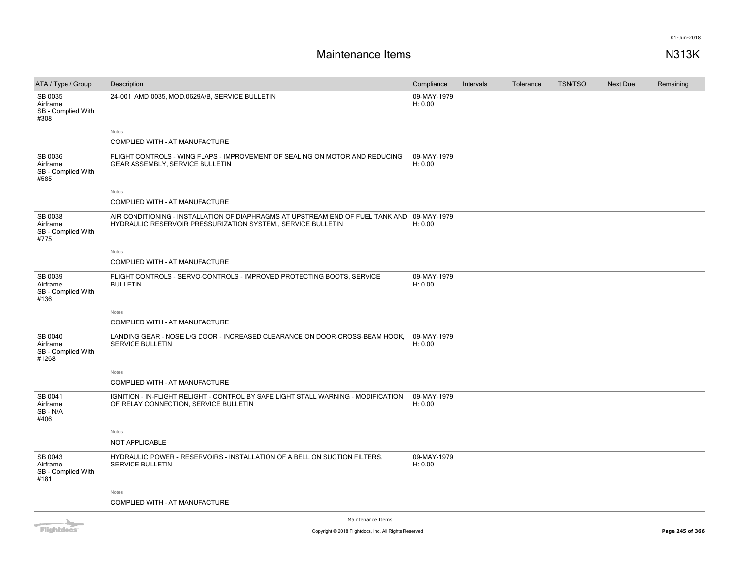## **Maintenance Items N313K**

| ATA / Type / Group                                 | Description                                                                                                                                                | Compliance             | Intervals | Tolerance | <b>TSN/TSO</b> | Next Due | Remaining |
|----------------------------------------------------|------------------------------------------------------------------------------------------------------------------------------------------------------------|------------------------|-----------|-----------|----------------|----------|-----------|
| SB 0035<br>Airframe<br>SB - Complied With<br>#308  | 24-001 AMD 0035, MOD.0629A/B, SERVICE BULLETIN                                                                                                             | 09-MAY-1979<br>H: 0.00 |           |           |                |          |           |
|                                                    | Notes                                                                                                                                                      |                        |           |           |                |          |           |
|                                                    | COMPLIED WITH - AT MANUFACTURE                                                                                                                             |                        |           |           |                |          |           |
| SB 0036<br>Airframe<br>SB - Complied With<br>#585  | FLIGHT CONTROLS - WING FLAPS - IMPROVEMENT OF SEALING ON MOTOR AND REDUCING<br>GEAR ASSEMBLY, SERVICE BULLETIN                                             | 09-MAY-1979<br>H: 0.00 |           |           |                |          |           |
|                                                    | Notes                                                                                                                                                      |                        |           |           |                |          |           |
|                                                    | COMPLIED WITH - AT MANUFACTURE                                                                                                                             |                        |           |           |                |          |           |
| SB 0038<br>Airframe<br>SB - Complied With<br>#775  | AIR CONDITIONING - INSTALLATION OF DIAPHRAGMS AT UPSTREAM END OF FUEL TANK AND 09-MAY-1979<br>HYDRAULIC RESERVOIR PRESSURIZATION SYSTEM., SERVICE BULLETIN | H: 0.00                |           |           |                |          |           |
|                                                    | Notes                                                                                                                                                      |                        |           |           |                |          |           |
|                                                    | COMPLIED WITH - AT MANUFACTURE                                                                                                                             |                        |           |           |                |          |           |
| SB 0039<br>Airframe<br>SB - Complied With<br>#136  | FLIGHT CONTROLS - SERVO-CONTROLS - IMPROVED PROTECTING BOOTS, SERVICE<br><b>BULLETIN</b>                                                                   | 09-MAY-1979<br>H: 0.00 |           |           |                |          |           |
|                                                    | Notes                                                                                                                                                      |                        |           |           |                |          |           |
|                                                    | COMPLIED WITH - AT MANUFACTURE                                                                                                                             |                        |           |           |                |          |           |
| SB 0040<br>Airframe<br>SB - Complied With<br>#1268 | LANDING GEAR - NOSE L/G DOOR - INCREASED CLEARANCE ON DOOR-CROSS-BEAM HOOK,<br>SERVICE BULLETIN                                                            | 09-MAY-1979<br>H: 0.00 |           |           |                |          |           |
|                                                    | Notes                                                                                                                                                      |                        |           |           |                |          |           |
|                                                    | COMPLIED WITH - AT MANUFACTURE                                                                                                                             |                        |           |           |                |          |           |
| SB 0041<br>Airframe<br>SB-N/A<br>#406              | IGNITION - IN-FLIGHT RELIGHT - CONTROL BY SAFE LIGHT STALL WARNING - MODIFICATION<br>OF RELAY CONNECTION, SERVICE BULLETIN                                 | 09-MAY-1979<br>H: 0.00 |           |           |                |          |           |
|                                                    | Notes                                                                                                                                                      |                        |           |           |                |          |           |
|                                                    | NOT APPLICABLE                                                                                                                                             |                        |           |           |                |          |           |
| SB 0043<br>Airframe<br>SB - Complied With<br>#181  | HYDRAULIC POWER - RESERVOIRS - INSTALLATION OF A BELL ON SUCTION FILTERS.<br>SERVICE BULLETIN                                                              | 09-MAY-1979<br>H: 0.00 |           |           |                |          |           |
|                                                    | Notes                                                                                                                                                      |                        |           |           |                |          |           |
|                                                    | COMPLIED WITH - AT MANUFACTURE                                                                                                                             |                        |           |           |                |          |           |
|                                                    |                                                                                                                                                            |                        |           |           |                |          |           |

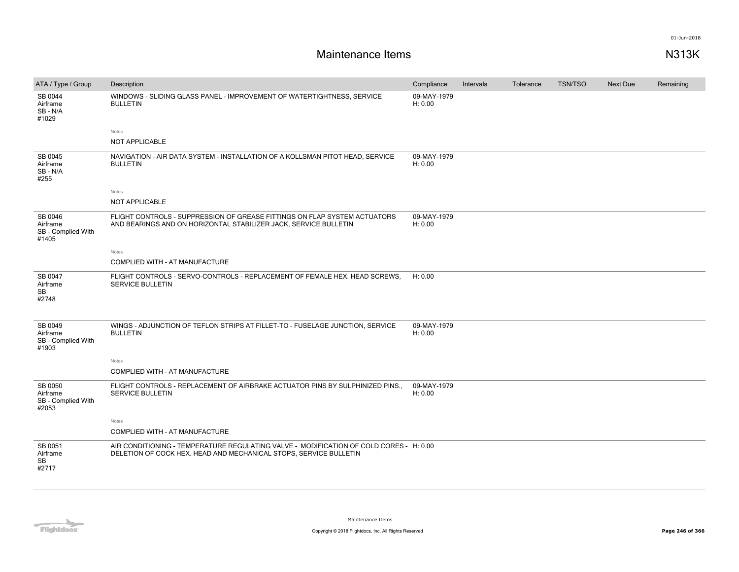| ATA / Type / Group                                 | Description                                                                                                                                                 | Compliance             | Intervals | Tolerance | <b>TSN/TSO</b> | <b>Next Due</b> | Remaining |
|----------------------------------------------------|-------------------------------------------------------------------------------------------------------------------------------------------------------------|------------------------|-----------|-----------|----------------|-----------------|-----------|
| SB 0044<br>Airframe<br>SB - N/A<br>#1029           | WINDOWS - SLIDING GLASS PANEL - IMPROVEMENT OF WATERTIGHTNESS, SERVICE<br><b>BULLETIN</b>                                                                   | 09-MAY-1979<br>H: 0.00 |           |           |                |                 |           |
|                                                    | Notes                                                                                                                                                       |                        |           |           |                |                 |           |
|                                                    | NOT APPLICABLE                                                                                                                                              |                        |           |           |                |                 |           |
| SB 0045<br>Airframe<br>SB-N/A<br>#255              | NAVIGATION - AIR DATA SYSTEM - INSTALLATION OF A KOLLSMAN PITOT HEAD, SERVICE<br><b>BULLETIN</b>                                                            | 09-MAY-1979<br>H: 0.00 |           |           |                |                 |           |
|                                                    | Notes                                                                                                                                                       |                        |           |           |                |                 |           |
|                                                    | NOT APPLICABLE                                                                                                                                              |                        |           |           |                |                 |           |
| SB 0046<br>Airframe<br>SB - Complied With<br>#1405 | FLIGHT CONTROLS - SUPPRESSION OF GREASE FITTINGS ON FLAP SYSTEM ACTUATORS<br>AND BEARINGS AND ON HORIZONTAL STABILIZER JACK, SERVICE BULLETIN               | 09-MAY-1979<br>H: 0.00 |           |           |                |                 |           |
|                                                    | Notes                                                                                                                                                       |                        |           |           |                |                 |           |
|                                                    | COMPLIED WITH - AT MANUFACTURE                                                                                                                              |                        |           |           |                |                 |           |
| SB 0047<br>Airframe<br><b>SB</b><br>#2748          | FLIGHT CONTROLS - SERVO-CONTROLS - REPLACEMENT OF FEMALE HEX. HEAD SCREWS.<br><b>SERVICE BULLETIN</b>                                                       | H: 0.00                |           |           |                |                 |           |
| SB 0049<br>Airframe<br>SB - Complied With<br>#1903 | WINGS - ADJUNCTION OF TEFLON STRIPS AT FILLET-TO - FUSELAGE JUNCTION, SERVICE<br><b>BULLETIN</b>                                                            | 09-MAY-1979<br>H: 0.00 |           |           |                |                 |           |
|                                                    | Notes                                                                                                                                                       |                        |           |           |                |                 |           |
|                                                    | COMPLIED WITH - AT MANUFACTURE                                                                                                                              |                        |           |           |                |                 |           |
| SB 0050<br>Airframe<br>SB - Complied With<br>#2053 | FLIGHT CONTROLS - REPLACEMENT OF AIRBRAKE ACTUATOR PINS BY SULPHINIZED PINS.<br>SERVICE BULLETIN                                                            | 09-MAY-1979<br>H: 0.00 |           |           |                |                 |           |
|                                                    | Notes                                                                                                                                                       |                        |           |           |                |                 |           |
|                                                    | COMPLIED WITH - AT MANUFACTURE                                                                                                                              |                        |           |           |                |                 |           |
| SB 0051<br>Airframe<br><b>SB</b><br>#2717          | AIR CONDITIONING - TEMPERATURE REGULATING VALVE - MODIFICATION OF COLD CORES - H: 0.00<br>DELETION OF COCK HEX. HEAD AND MECHANICAL STOPS, SERVICE BULLETIN |                        |           |           |                |                 |           |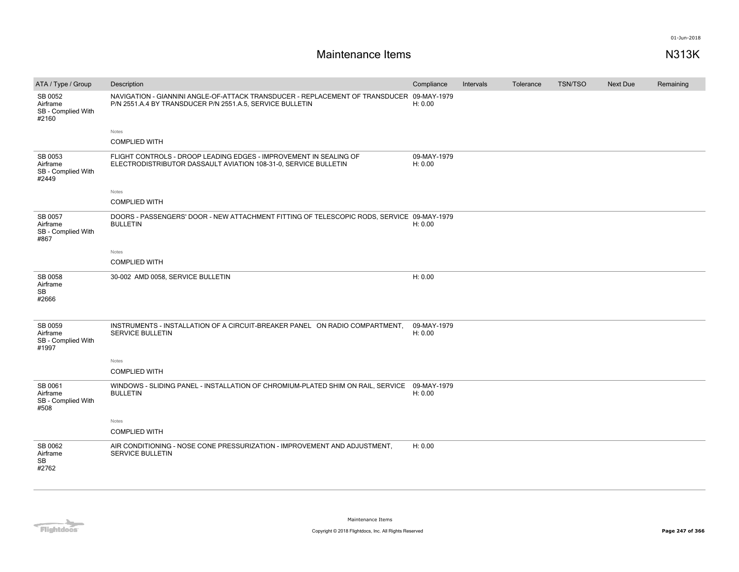| ATA / Type / Group                                 | Description                                                                                                                                           | Compliance             | Intervals | Tolerance | <b>TSN/TSO</b> | <b>Next Due</b> | Remaining |
|----------------------------------------------------|-------------------------------------------------------------------------------------------------------------------------------------------------------|------------------------|-----------|-----------|----------------|-----------------|-----------|
| SB 0052<br>Airframe<br>SB - Complied With<br>#2160 | NAVIGATION - GIANNINI ANGLE-OF-ATTACK TRANSDUCER - REPLACEMENT OF TRANSDUCER 09-MAY-1979<br>P/N 2551.A.4 BY TRANSDUCER P/N 2551.A.5, SERVICE BULLETIN | H: 0.00                |           |           |                |                 |           |
|                                                    | Notes                                                                                                                                                 |                        |           |           |                |                 |           |
|                                                    | <b>COMPLIED WITH</b>                                                                                                                                  |                        |           |           |                |                 |           |
| SB 0053<br>Airframe<br>SB - Complied With<br>#2449 | FLIGHT CONTROLS - DROOP LEADING EDGES - IMPROVEMENT IN SEALING OF<br>ELECTRODISTRIBUTOR DASSAULT AVIATION 108-31-0, SERVICE BULLETIN                  | 09-MAY-1979<br>H: 0.00 |           |           |                |                 |           |
|                                                    | Notes                                                                                                                                                 |                        |           |           |                |                 |           |
|                                                    | <b>COMPLIED WITH</b>                                                                                                                                  |                        |           |           |                |                 |           |
| SB 0057<br>Airframe<br>SB - Complied With<br>#867  | DOORS - PASSENGERS' DOOR - NEW ATTACHMENT FITTING OF TELESCOPIC RODS, SERVICE 09-MAY-1979<br><b>BULLETIN</b>                                          | H: 0.00                |           |           |                |                 |           |
|                                                    | Notes                                                                                                                                                 |                        |           |           |                |                 |           |
|                                                    | <b>COMPLIED WITH</b>                                                                                                                                  |                        |           |           |                |                 |           |
| SB 0058<br>Airframe<br>SB<br>#2666                 | 30-002 AMD 0058, SERVICE BULLETIN                                                                                                                     | H: 0.00                |           |           |                |                 |           |
| SB 0059<br>Airframe<br>SB - Complied With<br>#1997 | INSTRUMENTS - INSTALLATION OF A CIRCUIT-BREAKER PANEL ON RADIO COMPARTMENT,<br><b>SERVICE BULLETIN</b>                                                | 09-MAY-1979<br>H: 0.00 |           |           |                |                 |           |
|                                                    | Notes                                                                                                                                                 |                        |           |           |                |                 |           |
|                                                    | <b>COMPLIED WITH</b>                                                                                                                                  |                        |           |           |                |                 |           |
| SB 0061<br>Airframe<br>SB - Complied With<br>#508  | WINDOWS - SLIDING PANEL - INSTALLATION OF CHROMIUM-PLATED SHIM ON RAIL, SERVICE<br><b>BULLETIN</b>                                                    | 09-MAY-1979<br>H: 0.00 |           |           |                |                 |           |
|                                                    | Notes                                                                                                                                                 |                        |           |           |                |                 |           |
|                                                    | <b>COMPLIED WITH</b>                                                                                                                                  |                        |           |           |                |                 |           |
| SB 0062<br>Airframe<br><b>SB</b><br>#2762          | AIR CONDITIONING - NOSE CONE PRESSURIZATION - IMPROVEMENT AND ADJUSTMENT,<br><b>SERVICE BULLETIN</b>                                                  | H: 0.00                |           |           |                |                 |           |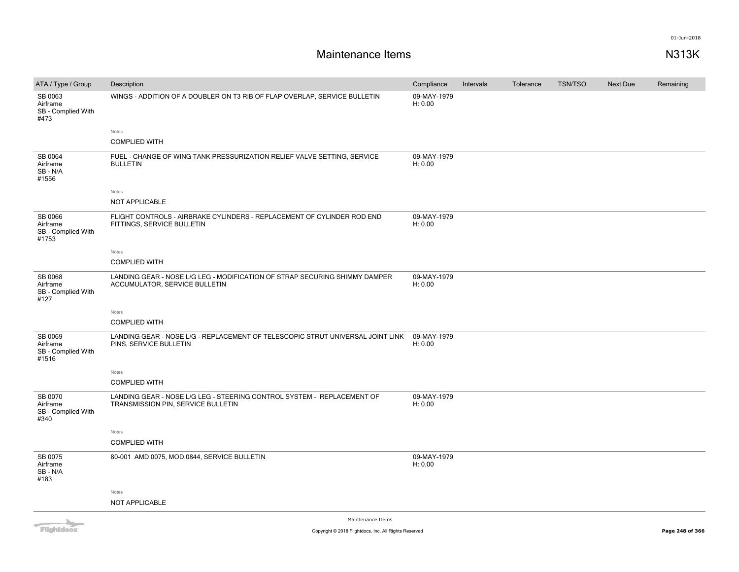| ATA / Type / Group                                                                                                                                                                                                                   | Description                                                                                                  | Compliance             | Intervals | Tolerance | <b>TSN/TSO</b> | Next Due | Remaining |
|--------------------------------------------------------------------------------------------------------------------------------------------------------------------------------------------------------------------------------------|--------------------------------------------------------------------------------------------------------------|------------------------|-----------|-----------|----------------|----------|-----------|
| SB 0063<br>Airframe<br>SB - Complied With<br>#473                                                                                                                                                                                    | WINGS - ADDITION OF A DOUBLER ON T3 RIB OF FLAP OVERLAP, SERVICE BULLETIN                                    | 09-MAY-1979<br>H: 0.00 |           |           |                |          |           |
|                                                                                                                                                                                                                                      | Notes                                                                                                        |                        |           |           |                |          |           |
|                                                                                                                                                                                                                                      | <b>COMPLIED WITH</b>                                                                                         |                        |           |           |                |          |           |
| SB 0064<br>Airframe<br>SB-N/A<br>#1556                                                                                                                                                                                               | FUEL - CHANGE OF WING TANK PRESSURIZATION RELIEF VALVE SETTING, SERVICE<br><b>BULLETIN</b>                   | 09-MAY-1979<br>H: 0.00 |           |           |                |          |           |
|                                                                                                                                                                                                                                      | Notes                                                                                                        |                        |           |           |                |          |           |
|                                                                                                                                                                                                                                      | NOT APPLICABLE                                                                                               |                        |           |           |                |          |           |
| SB 0066<br>Airframe<br>SB - Complied With<br>#1753                                                                                                                                                                                   | FLIGHT CONTROLS - AIRBRAKE CYLINDERS - REPLACEMENT OF CYLINDER ROD END<br>FITTINGS, SERVICE BULLETIN         | 09-MAY-1979<br>H: 0.00 |           |           |                |          |           |
|                                                                                                                                                                                                                                      | Notes                                                                                                        |                        |           |           |                |          |           |
|                                                                                                                                                                                                                                      | <b>COMPLIED WITH</b>                                                                                         |                        |           |           |                |          |           |
| <b>SB 0068</b><br>Airframe<br>SB - Complied With<br>#127                                                                                                                                                                             | LANDING GEAR - NOSE L/G LEG - MODIFICATION OF STRAP SECURING SHIMMY DAMPER<br>ACCUMULATOR, SERVICE BULLETIN  | 09-MAY-1979<br>H: 0.00 |           |           |                |          |           |
|                                                                                                                                                                                                                                      | Notes                                                                                                        |                        |           |           |                |          |           |
|                                                                                                                                                                                                                                      | <b>COMPLIED WITH</b>                                                                                         |                        |           |           |                |          |           |
| SB 0069<br>Airframe<br>SB - Complied With<br>#1516                                                                                                                                                                                   | LANDING GEAR - NOSE L/G - REPLACEMENT OF TELESCOPIC STRUT UNIVERSAL JOINT LINK<br>PINS, SERVICE BULLETIN     | 09-MAY-1979<br>H: 0.00 |           |           |                |          |           |
|                                                                                                                                                                                                                                      | Notes                                                                                                        |                        |           |           |                |          |           |
|                                                                                                                                                                                                                                      | <b>COMPLIED WITH</b>                                                                                         |                        |           |           |                |          |           |
| SB 0070<br>Airframe<br>SB - Complied With<br>#340                                                                                                                                                                                    | LANDING GEAR - NOSE L/G LEG - STEERING CONTROL SYSTEM - REPLACEMENT OF<br>TRANSMISSION PIN, SERVICE BULLETIN | 09-MAY-1979<br>H: 0.00 |           |           |                |          |           |
|                                                                                                                                                                                                                                      | Notes                                                                                                        |                        |           |           |                |          |           |
|                                                                                                                                                                                                                                      | <b>COMPLIED WITH</b>                                                                                         |                        |           |           |                |          |           |
| SB 0075<br>Airframe<br>SB-N/A<br>#183                                                                                                                                                                                                | 80-001 AMD 0075, MOD.0844, SERVICE BULLETIN                                                                  | 09-MAY-1979<br>H: 0.00 |           |           |                |          |           |
|                                                                                                                                                                                                                                      | Notes                                                                                                        |                        |           |           |                |          |           |
|                                                                                                                                                                                                                                      | NOT APPLICABLE                                                                                               |                        |           |           |                |          |           |
| <b>The Contract of the Contract of the Contract of the Contract of the Contract of the Contract of the Contract of the Contract of the Contract of The Contract of The Contract of The Contract of The Contract of The Contract </b> | Maintenance Items                                                                                            |                        |           |           |                |          |           |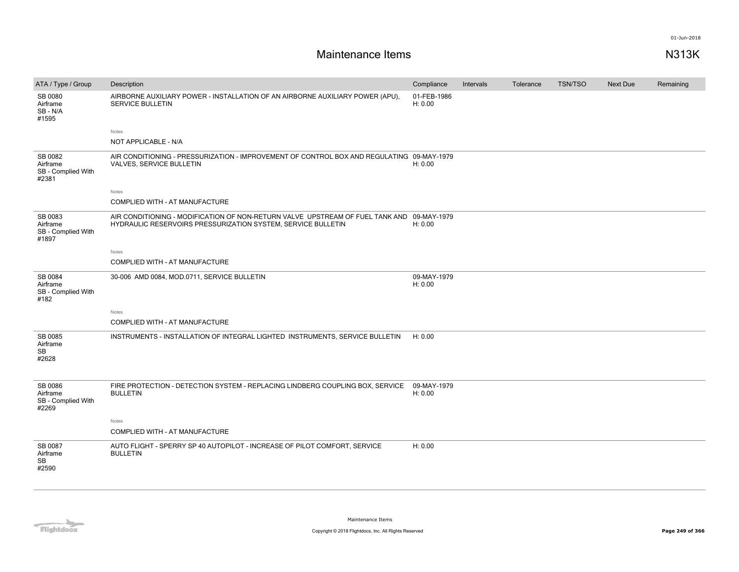| ATA / Type / Group                                 | Description                                                                                                                                               | Compliance             | Intervals | Tolerance | <b>TSN/TSO</b> | Next Due | Remaining |
|----------------------------------------------------|-----------------------------------------------------------------------------------------------------------------------------------------------------------|------------------------|-----------|-----------|----------------|----------|-----------|
| SB 0080<br>Airframe<br>SB - N/A<br>#1595           | AIRBORNE AUXILIARY POWER - INSTALLATION OF AN AIRBORNE AUXILIARY POWER (APU),<br><b>SERVICE BULLETIN</b>                                                  | 01-FEB-1986<br>H: 0.00 |           |           |                |          |           |
|                                                    | Notes                                                                                                                                                     |                        |           |           |                |          |           |
|                                                    | NOT APPLICABLE - N/A                                                                                                                                      |                        |           |           |                |          |           |
| SB 0082<br>Airframe<br>SB - Complied With<br>#2381 | AIR CONDITIONING - PRESSURIZATION - IMPROVEMENT OF CONTROL BOX AND REGULATING 09-MAY-1979<br>VALVES, SERVICE BULLETIN                                     | H: 0.00                |           |           |                |          |           |
|                                                    | Notes                                                                                                                                                     |                        |           |           |                |          |           |
|                                                    | COMPLIED WITH - AT MANUFACTURE                                                                                                                            |                        |           |           |                |          |           |
| SB 0083<br>Airframe<br>SB - Complied With<br>#1897 | AIR CONDITIONING - MODIFICATION OF NON-RETURN VALVE UPSTREAM OF FUEL TANK AND 09-MAY-1979<br>HYDRAULIC RESERVOIRS PRESSURIZATION SYSTEM, SERVICE BULLETIN | H: 0.00                |           |           |                |          |           |
|                                                    | Notes                                                                                                                                                     |                        |           |           |                |          |           |
|                                                    | COMPLIED WITH - AT MANUFACTURE                                                                                                                            |                        |           |           |                |          |           |
| SB 0084<br>Airframe<br>SB - Complied With<br>#182  | 30-006 AMD 0084, MOD.0711, SERVICE BULLETIN                                                                                                               | 09-MAY-1979<br>H: 0.00 |           |           |                |          |           |
|                                                    | Notes                                                                                                                                                     |                        |           |           |                |          |           |
|                                                    | COMPLIED WITH - AT MANUFACTURE                                                                                                                            |                        |           |           |                |          |           |
| SB 0085<br>Airframe<br>SB<br>#2628                 | INSTRUMENTS - INSTALLATION OF INTEGRAL LIGHTED INSTRUMENTS, SERVICE BULLETIN                                                                              | H: 0.00                |           |           |                |          |           |
| SB 0086<br>Airframe<br>SB - Complied With<br>#2269 | FIRE PROTECTION - DETECTION SYSTEM - REPLACING LINDBERG COUPLING BOX, SERVICE<br><b>BULLETIN</b>                                                          | 09-MAY-1979<br>H: 0.00 |           |           |                |          |           |
|                                                    | Notes                                                                                                                                                     |                        |           |           |                |          |           |
|                                                    | COMPLIED WITH - AT MANUFACTURE                                                                                                                            |                        |           |           |                |          |           |
| SB 0087<br>Airframe<br><b>SB</b><br>#2590          | AUTO FLIGHT - SPERRY SP 40 AUTOPILOT - INCREASE OF PILOT COMFORT, SERVICE<br><b>BULLETIN</b>                                                              | H: 0.00                |           |           |                |          |           |

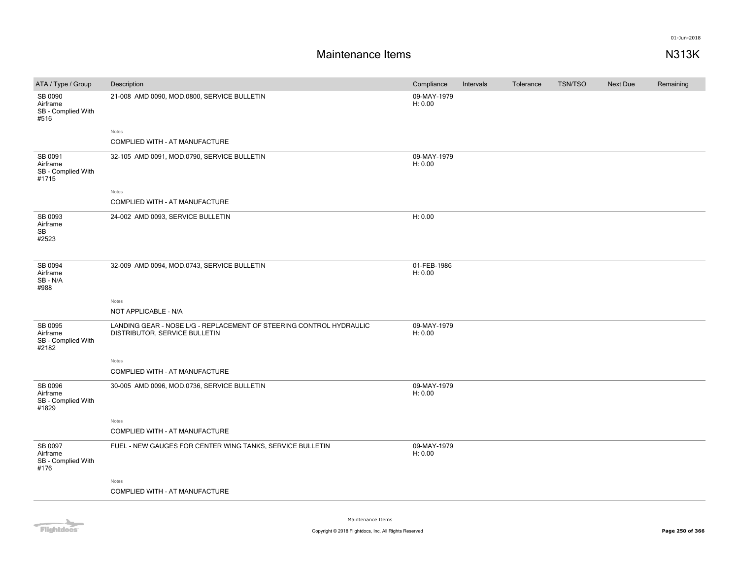### **Maintenance Items N313K**

| ATA / Type / Group                                 | Description                                                                                          | Compliance             | Intervals | Tolerance | <b>TSN/TSO</b> | <b>Next Due</b> | Remaining |
|----------------------------------------------------|------------------------------------------------------------------------------------------------------|------------------------|-----------|-----------|----------------|-----------------|-----------|
| SB 0090<br>Airframe<br>SB - Complied With<br>#516  | 21-008 AMD 0090, MOD.0800, SERVICE BULLETIN                                                          | 09-MAY-1979<br>H: 0.00 |           |           |                |                 |           |
|                                                    | Notes                                                                                                |                        |           |           |                |                 |           |
|                                                    | COMPLIED WITH - AT MANUFACTURE                                                                       |                        |           |           |                |                 |           |
| SB 0091<br>Airframe<br>SB - Complied With<br>#1715 | 32-105 AMD 0091, MOD.0790, SERVICE BULLETIN                                                          | 09-MAY-1979<br>H: 0.00 |           |           |                |                 |           |
|                                                    | Notes                                                                                                |                        |           |           |                |                 |           |
|                                                    | COMPLIED WITH - AT MANUFACTURE                                                                       |                        |           |           |                |                 |           |
| SB 0093<br>Airframe<br>SB<br>#2523                 | 24-002 AMD 0093, SERVICE BULLETIN                                                                    | H: 0.00                |           |           |                |                 |           |
| SB 0094<br>Airframe<br>SB-N/A<br>#988              | 32-009 AMD 0094, MOD.0743, SERVICE BULLETIN                                                          | 01-FEB-1986<br>H: 0.00 |           |           |                |                 |           |
|                                                    | Notes                                                                                                |                        |           |           |                |                 |           |
|                                                    | NOT APPLICABLE - N/A                                                                                 |                        |           |           |                |                 |           |
| SB 0095<br>Airframe<br>SB - Complied With<br>#2182 | LANDING GEAR - NOSE L/G - REPLACEMENT OF STEERING CONTROL HYDRAULIC<br>DISTRIBUTOR, SERVICE BULLETIN | 09-MAY-1979<br>H: 0.00 |           |           |                |                 |           |
|                                                    | Notes                                                                                                |                        |           |           |                |                 |           |
|                                                    | COMPLIED WITH - AT MANUFACTURE                                                                       |                        |           |           |                |                 |           |
| SB 0096<br>Airframe<br>SB - Complied With<br>#1829 | 30-005 AMD 0096, MOD.0736, SERVICE BULLETIN                                                          | 09-MAY-1979<br>H: 0.00 |           |           |                |                 |           |
|                                                    | Notes                                                                                                |                        |           |           |                |                 |           |
|                                                    | COMPLIED WITH - AT MANUFACTURE                                                                       |                        |           |           |                |                 |           |
| SB 0097<br>Airframe<br>SB - Complied With<br>#176  | FUEL - NEW GAUGES FOR CENTER WING TANKS, SERVICE BULLETIN                                            | 09-MAY-1979<br>H: 0.00 |           |           |                |                 |           |
|                                                    | Notes                                                                                                |                        |           |           |                |                 |           |
|                                                    | COMPLIED WITH - AT MANUFACTURE                                                                       |                        |           |           |                |                 |           |
|                                                    |                                                                                                      |                        |           |           |                |                 |           |

Flightdocs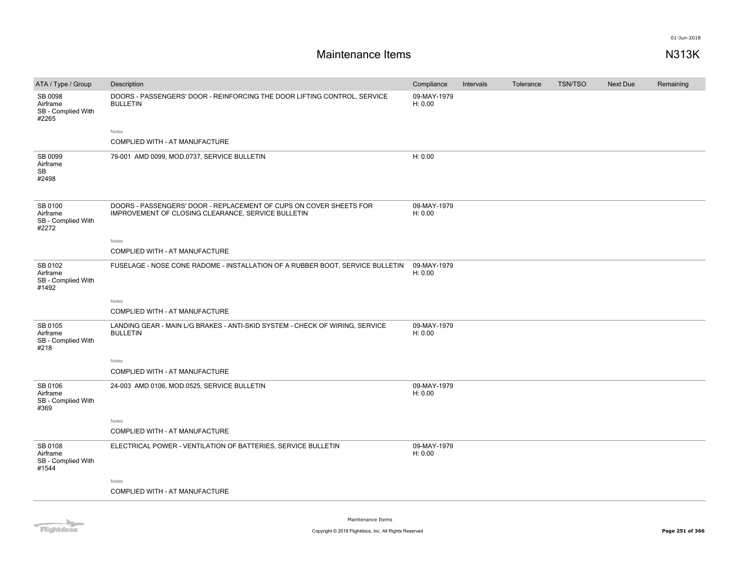| ATA / Type / Group                                 | Description                                                                                                              | Compliance             | Intervals | Tolerance | <b>TSN/TSO</b> | <b>Next Due</b> | Remaining |
|----------------------------------------------------|--------------------------------------------------------------------------------------------------------------------------|------------------------|-----------|-----------|----------------|-----------------|-----------|
| SB 0098<br>Airframe<br>SB - Complied With<br>#2265 | DOORS - PASSENGERS' DOOR - REINFORCING THE DOOR LIFTING CONTROL, SERVICE<br><b>BULLETIN</b>                              | 09-MAY-1979<br>H: 0.00 |           |           |                |                 |           |
|                                                    | Notes                                                                                                                    |                        |           |           |                |                 |           |
|                                                    | COMPLIED WITH - AT MANUFACTURE                                                                                           |                        |           |           |                |                 |           |
| SB 0099<br>Airframe<br><b>SB</b><br>#2498          | 79-001 AMD 0099, MOD.0737, SERVICE BULLETIN                                                                              | H: 0.00                |           |           |                |                 |           |
| SB 0100<br>Airframe<br>SB - Complied With<br>#2272 | DOORS - PASSENGERS' DOOR - REPLACEMENT OF CUPS ON COVER SHEETS FOR<br>IMPROVEMENT OF CLOSING CLEARANCE, SERVICE BULLETIN | 09-MAY-1979<br>H: 0.00 |           |           |                |                 |           |
|                                                    | Notes                                                                                                                    |                        |           |           |                |                 |           |
|                                                    | COMPLIED WITH - AT MANUFACTURE                                                                                           |                        |           |           |                |                 |           |
| SB 0102<br>Airframe<br>SB - Complied With<br>#1492 | FUSELAGE - NOSE CONE RADOME - INSTALLATION OF A RUBBER BOOT, SERVICE BULLETIN                                            | 09-MAY-1979<br>H: 0.00 |           |           |                |                 |           |
|                                                    | Notes                                                                                                                    |                        |           |           |                |                 |           |
|                                                    | COMPLIED WITH - AT MANUFACTURE                                                                                           |                        |           |           |                |                 |           |
| SB 0105<br>Airframe<br>SB - Complied With<br>#218  | LANDING GEAR - MAIN L/G BRAKES - ANTI-SKID SYSTEM - CHECK OF WIRING, SERVICE<br><b>BULLETIN</b>                          | 09-MAY-1979<br>H: 0.00 |           |           |                |                 |           |
|                                                    | Notes                                                                                                                    |                        |           |           |                |                 |           |
|                                                    | COMPLIED WITH - AT MANUFACTURE                                                                                           |                        |           |           |                |                 |           |
| SB 0106<br>Airframe<br>SB - Complied With<br>#369  | 24-003 AMD 0106, MOD.0525, SERVICE BULLETIN                                                                              | 09-MAY-1979<br>H: 0.00 |           |           |                |                 |           |
|                                                    | Notes                                                                                                                    |                        |           |           |                |                 |           |
|                                                    | COMPLIED WITH - AT MANUFACTURE                                                                                           |                        |           |           |                |                 |           |
| SB 0108<br>Airframe<br>SB - Complied With<br>#1544 | ELECTRICAL POWER - VENTILATION OF BATTERIES, SERVICE BULLETIN                                                            | 09-MAY-1979<br>H: 0.00 |           |           |                |                 |           |
|                                                    | Notes                                                                                                                    |                        |           |           |                |                 |           |
|                                                    | COMPLIED WITH - AT MANUFACTURE                                                                                           |                        |           |           |                |                 |           |
|                                                    |                                                                                                                          |                        |           |           |                |                 |           |

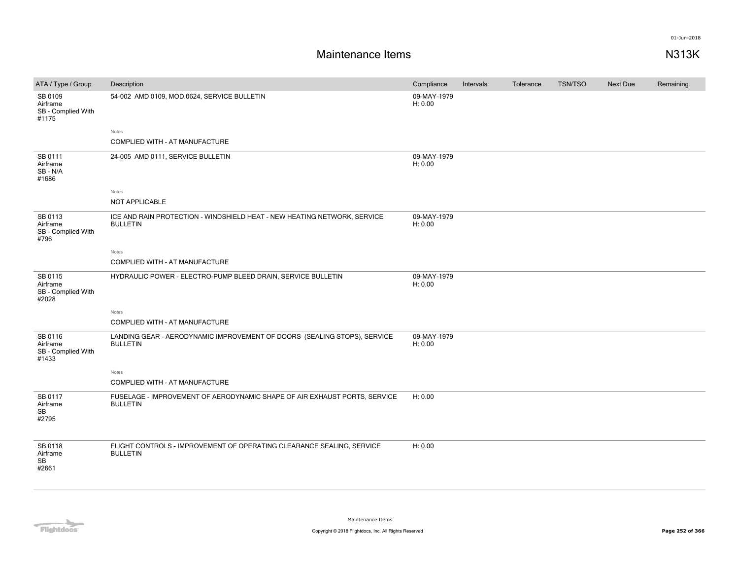| ATA / Type / Group                                 | Description                                                                                  | Compliance             | Intervals | Tolerance | <b>TSN/TSO</b> | <b>Next Due</b> | Remaining |
|----------------------------------------------------|----------------------------------------------------------------------------------------------|------------------------|-----------|-----------|----------------|-----------------|-----------|
| SB 0109<br>Airframe<br>SB - Complied With<br>#1175 | 54-002 AMD 0109, MOD.0624, SERVICE BULLETIN                                                  | 09-MAY-1979<br>H: 0.00 |           |           |                |                 |           |
|                                                    | Notes                                                                                        |                        |           |           |                |                 |           |
|                                                    | COMPLIED WITH - AT MANUFACTURE                                                               |                        |           |           |                |                 |           |
| SB 0111<br>Airframe<br>SB-N/A<br>#1686             | 24-005 AMD 0111, SERVICE BULLETIN                                                            | 09-MAY-1979<br>H: 0.00 |           |           |                |                 |           |
|                                                    | Notes                                                                                        |                        |           |           |                |                 |           |
|                                                    | NOT APPLICABLE                                                                               |                        |           |           |                |                 |           |
| SB 0113<br>Airframe<br>SB - Complied With<br>#796  | ICE AND RAIN PROTECTION - WINDSHIELD HEAT - NEW HEATING NETWORK, SERVICE<br><b>BULLETIN</b>  | 09-MAY-1979<br>H: 0.00 |           |           |                |                 |           |
|                                                    | Notes                                                                                        |                        |           |           |                |                 |           |
|                                                    | COMPLIED WITH - AT MANUFACTURE                                                               |                        |           |           |                |                 |           |
| SB 0115<br>Airframe<br>SB - Complied With<br>#2028 | HYDRAULIC POWER - ELECTRO-PUMP BLEED DRAIN, SERVICE BULLETIN                                 | 09-MAY-1979<br>H: 0.00 |           |           |                |                 |           |
|                                                    | Notes                                                                                        |                        |           |           |                |                 |           |
|                                                    | COMPLIED WITH - AT MANUFACTURE                                                               |                        |           |           |                |                 |           |
| SB 0116<br>Airframe<br>SB - Complied With<br>#1433 | LANDING GEAR - AERODYNAMIC IMPROVEMENT OF DOORS (SEALING STOPS), SERVICE<br><b>BULLETIN</b>  | 09-MAY-1979<br>H: 0.00 |           |           |                |                 |           |
|                                                    | Notes                                                                                        |                        |           |           |                |                 |           |
|                                                    | COMPLIED WITH - AT MANUFACTURE                                                               |                        |           |           |                |                 |           |
| SB 0117<br>Airframe<br>SB<br>#2795                 | FUSELAGE - IMPROVEMENT OF AERODYNAMIC SHAPE OF AIR EXHAUST PORTS, SERVICE<br><b>BULLETIN</b> | H: 0.00                |           |           |                |                 |           |
| SB 0118<br>Airframe<br>SB<br>#2661                 | FLIGHT CONTROLS - IMPROVEMENT OF OPERATING CLEARANCE SEALING, SERVICE<br><b>BULLETIN</b>     | H: 0.00                |           |           |                |                 |           |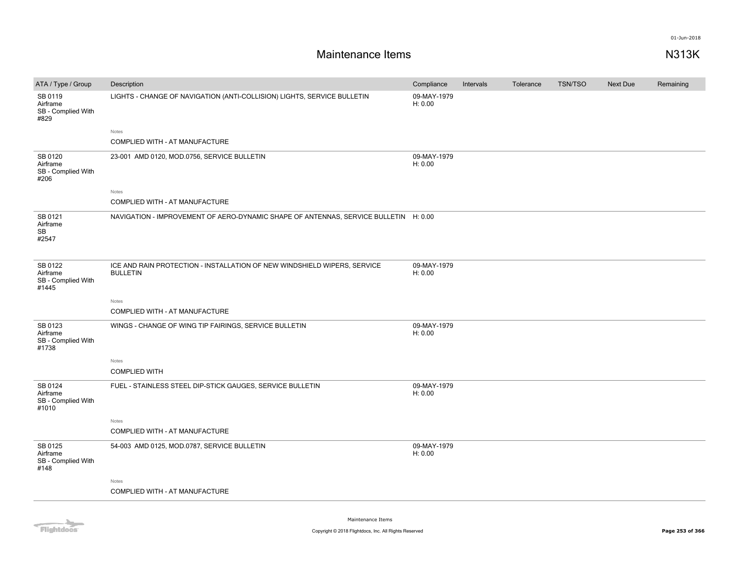| ATA / Type / Group                                 | Description                                                                                 | Compliance             | Intervals | Tolerance | <b>TSN/TSO</b> | Next Due | Remaining |
|----------------------------------------------------|---------------------------------------------------------------------------------------------|------------------------|-----------|-----------|----------------|----------|-----------|
| SB 0119<br>Airframe<br>SB - Complied With<br>#829  | LIGHTS - CHANGE OF NAVIGATION (ANTI-COLLISION) LIGHTS, SERVICE BULLETIN                     | 09-MAY-1979<br>H: 0.00 |           |           |                |          |           |
|                                                    | Notes<br>COMPLIED WITH - AT MANUFACTURE                                                     |                        |           |           |                |          |           |
| SB 0120<br>Airframe<br>SB - Complied With<br>#206  | 23-001 AMD 0120, MOD.0756, SERVICE BULLETIN                                                 | 09-MAY-1979<br>H: 0.00 |           |           |                |          |           |
|                                                    | Notes<br>COMPLIED WITH - AT MANUFACTURE                                                     |                        |           |           |                |          |           |
| SB 0121<br>Airframe<br><b>SB</b><br>#2547          | NAVIGATION - IMPROVEMENT OF AERO-DYNAMIC SHAPE OF ANTENNAS, SERVICE BULLETIN H: 0.00        |                        |           |           |                |          |           |
| SB 0122<br>Airframe<br>SB - Complied With<br>#1445 | ICE AND RAIN PROTECTION - INSTALLATION OF NEW WINDSHIELD WIPERS, SERVICE<br><b>BULLETIN</b> | 09-MAY-1979<br>H: 0.00 |           |           |                |          |           |
|                                                    | Notes                                                                                       |                        |           |           |                |          |           |
|                                                    | COMPLIED WITH - AT MANUFACTURE                                                              |                        |           |           |                |          |           |
| SB 0123<br>Airframe<br>SB - Complied With<br>#1738 | WINGS - CHANGE OF WING TIP FAIRINGS, SERVICE BULLETIN                                       | 09-MAY-1979<br>H: 0.00 |           |           |                |          |           |
|                                                    | Notes                                                                                       |                        |           |           |                |          |           |
| SB 0124<br>Airframe<br>SB - Complied With<br>#1010 | FUEL - STAINLESS STEEL DIP-STICK GAUGES, SERVICE BULLETIN                                   | 09-MAY-1979<br>H: 0.00 |           |           |                |          |           |
|                                                    | Notes<br>COMPLIED WITH - AT MANUFACTURE                                                     |                        |           |           |                |          |           |
| SB 0125<br>Airframe<br>SB - Complied With<br>#148  | 54-003 AMD 0125, MOD.0787, SERVICE BULLETIN                                                 | 09-MAY-1979<br>H: 0.00 |           |           |                |          |           |
|                                                    | Notes                                                                                       |                        |           |           |                |          |           |
|                                                    | COMPLIED WITH - AT MANUFACTURE                                                              |                        |           |           |                |          |           |
|                                                    | <b>COMPLIED WITH</b>                                                                        |                        |           |           |                |          |           |

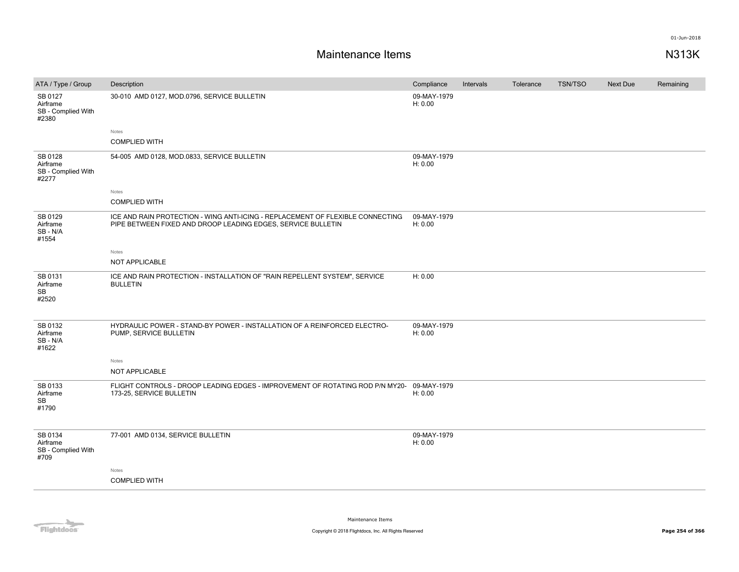| ATA / Type / Group                                 | Description                                                                                                                                    | Compliance             | Intervals | Tolerance | <b>TSN/TSO</b> | Next Due | Remaining |
|----------------------------------------------------|------------------------------------------------------------------------------------------------------------------------------------------------|------------------------|-----------|-----------|----------------|----------|-----------|
| SB 0127<br>Airframe<br>SB - Complied With<br>#2380 | 30-010 AMD 0127, MOD.0796, SERVICE BULLETIN                                                                                                    | 09-MAY-1979<br>H: 0.00 |           |           |                |          |           |
|                                                    | Notes                                                                                                                                          |                        |           |           |                |          |           |
|                                                    | <b>COMPLIED WITH</b>                                                                                                                           |                        |           |           |                |          |           |
| SB 0128<br>Airframe<br>SB - Complied With<br>#2277 | 54-005 AMD 0128, MOD.0833, SERVICE BULLETIN                                                                                                    | 09-MAY-1979<br>H: 0.00 |           |           |                |          |           |
|                                                    | Notes                                                                                                                                          |                        |           |           |                |          |           |
|                                                    | <b>COMPLIED WITH</b>                                                                                                                           |                        |           |           |                |          |           |
| SB 0129<br>Airframe<br>SB-N/A<br>#1554             | ICE AND RAIN PROTECTION - WING ANTI-ICING - REPLACEMENT OF FLEXIBLE CONNECTING<br>PIPE BETWEEN FIXED AND DROOP LEADING EDGES, SERVICE BULLETIN | 09-MAY-1979<br>H: 0.00 |           |           |                |          |           |
|                                                    | Notes                                                                                                                                          |                        |           |           |                |          |           |
|                                                    | NOT APPLICABLE                                                                                                                                 |                        |           |           |                |          |           |
| SB 0131<br>Airframe<br>SB<br>#2520                 | ICE AND RAIN PROTECTION - INSTALLATION OF "RAIN REPELLENT SYSTEM", SERVICE<br><b>BULLETIN</b>                                                  | H: 0.00                |           |           |                |          |           |
| SB 0132<br>Airframe<br>SB-N/A<br>#1622             | HYDRAULIC POWER - STAND-BY POWER - INSTALLATION OF A REINFORCED ELECTRO-<br>PUMP, SERVICE BULLETIN                                             | 09-MAY-1979<br>H: 0.00 |           |           |                |          |           |
|                                                    | Notes                                                                                                                                          |                        |           |           |                |          |           |
|                                                    | NOT APPLICABLE                                                                                                                                 |                        |           |           |                |          |           |
| SB 0133<br>Airframe<br>SB<br>#1790                 | FLIGHT CONTROLS - DROOP LEADING EDGES - IMPROVEMENT OF ROTATING ROD P/N MY20- 09-MAY-1979<br>173-25, SERVICE BULLETIN                          | H: 0.00                |           |           |                |          |           |
| SB 0134<br>Airframe<br>SB - Complied With<br>#709  | 77-001 AMD 0134, SERVICE BULLETIN                                                                                                              | 09-MAY-1979<br>H: 0.00 |           |           |                |          |           |
|                                                    | Notes                                                                                                                                          |                        |           |           |                |          |           |
|                                                    | <b>COMPLIED WITH</b>                                                                                                                           |                        |           |           |                |          |           |
|                                                    |                                                                                                                                                |                        |           |           |                |          |           |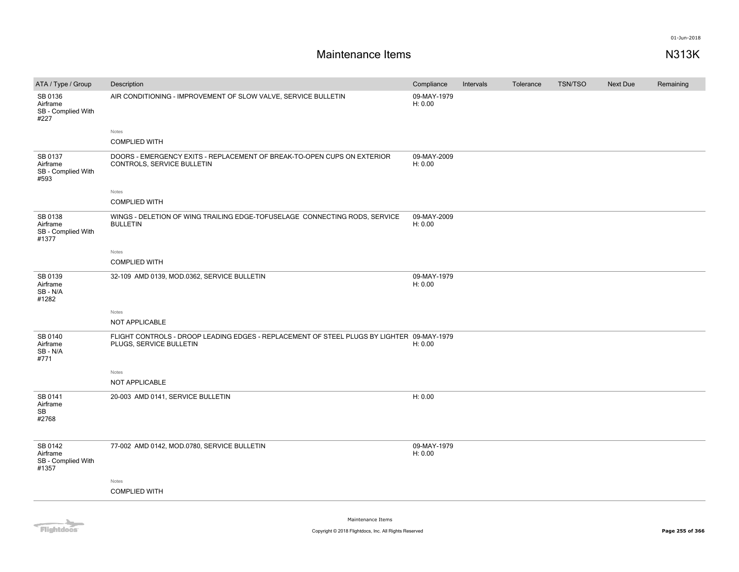| ATA / Type / Group                                 | Description                                                                                                          | Compliance             | Intervals | Tolerance | <b>TSN/TSO</b> | <b>Next Due</b> | Remaining |
|----------------------------------------------------|----------------------------------------------------------------------------------------------------------------------|------------------------|-----------|-----------|----------------|-----------------|-----------|
| SB 0136<br>Airframe<br>SB - Complied With<br>#227  | AIR CONDITIONING - IMPROVEMENT OF SLOW VALVE, SERVICE BULLETIN                                                       | 09-MAY-1979<br>H: 0.00 |           |           |                |                 |           |
|                                                    | Notes                                                                                                                |                        |           |           |                |                 |           |
|                                                    | <b>COMPLIED WITH</b>                                                                                                 |                        |           |           |                |                 |           |
| SB 0137<br>Airframe<br>SB - Complied With<br>#593  | DOORS - EMERGENCY EXITS - REPLACEMENT OF BREAK-TO-OPEN CUPS ON EXTERIOR<br>CONTROLS, SERVICE BULLETIN                | 09-MAY-2009<br>H: 0.00 |           |           |                |                 |           |
|                                                    | Notes                                                                                                                |                        |           |           |                |                 |           |
|                                                    | <b>COMPLIED WITH</b>                                                                                                 |                        |           |           |                |                 |           |
| SB 0138<br>Airframe<br>SB - Complied With<br>#1377 | WINGS - DELETION OF WING TRAILING EDGE-TOFUSELAGE CONNECTING RODS, SERVICE<br><b>BULLETIN</b>                        | 09-MAY-2009<br>H: 0.00 |           |           |                |                 |           |
|                                                    | Notes                                                                                                                |                        |           |           |                |                 |           |
|                                                    | <b>COMPLIED WITH</b>                                                                                                 |                        |           |           |                |                 |           |
| SB 0139<br>Airframe<br>SB-N/A<br>#1282             | 32-109 AMD 0139, MOD.0362, SERVICE BULLETIN                                                                          | 09-MAY-1979<br>H: 0.00 |           |           |                |                 |           |
|                                                    | Notes                                                                                                                |                        |           |           |                |                 |           |
|                                                    | <b>NOT APPLICABLE</b>                                                                                                |                        |           |           |                |                 |           |
| SB 0140<br>Airframe<br>SB - N/A<br>#771            | FLIGHT CONTROLS - DROOP LEADING EDGES - REPLACEMENT OF STEEL PLUGS BY LIGHTER 09-MAY-1979<br>PLUGS, SERVICE BULLETIN | H: 0.00                |           |           |                |                 |           |
|                                                    | Notes                                                                                                                |                        |           |           |                |                 |           |
|                                                    | NOT APPLICABLE                                                                                                       |                        |           |           |                |                 |           |
| SB 0141<br>Airframe<br><b>SB</b>                   | 20-003 AMD 0141, SERVICE BULLETIN                                                                                    | H: 0.00                |           |           |                |                 |           |
| #2768                                              |                                                                                                                      |                        |           |           |                |                 |           |
| SB 0142<br>Airframe<br>SB - Complied With<br>#1357 | 77-002 AMD 0142, MOD.0780, SERVICE BULLETIN                                                                          | 09-MAY-1979<br>H: 0.00 |           |           |                |                 |           |
|                                                    | Notes                                                                                                                |                        |           |           |                |                 |           |
|                                                    | <b>COMPLIED WITH</b>                                                                                                 |                        |           |           |                |                 |           |
|                                                    |                                                                                                                      |                        |           |           |                |                 |           |

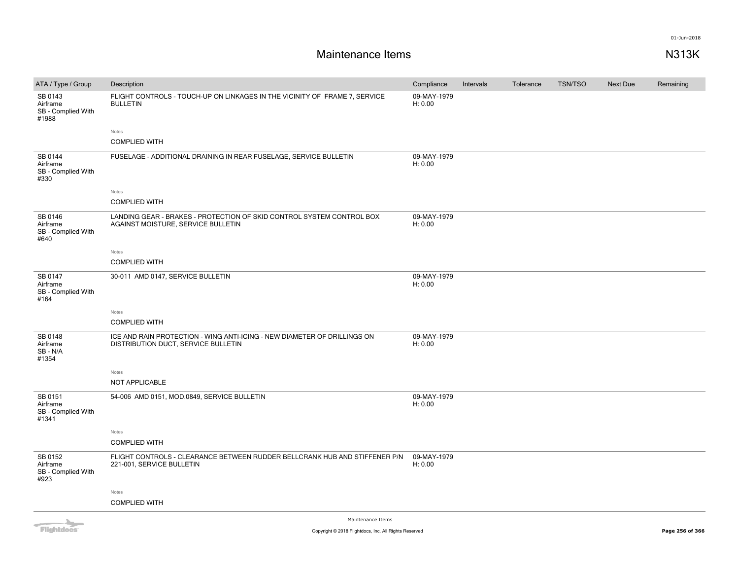| ATA / Type / Group                                 | Description                                                                                                     | Compliance             | Intervals | Tolerance | <b>TSN/TSO</b> | <b>Next Due</b> | Remaining |
|----------------------------------------------------|-----------------------------------------------------------------------------------------------------------------|------------------------|-----------|-----------|----------------|-----------------|-----------|
| SB 0143<br>Airframe<br>SB - Complied With<br>#1988 | FLIGHT CONTROLS - TOUCH-UP ON LINKAGES IN THE VICINITY OF FRAME 7, SERVICE<br><b>BULLETIN</b>                   | 09-MAY-1979<br>H: 0.00 |           |           |                |                 |           |
|                                                    | Notes                                                                                                           |                        |           |           |                |                 |           |
|                                                    | <b>COMPLIED WITH</b>                                                                                            |                        |           |           |                |                 |           |
| SB 0144<br>Airframe<br>SB - Complied With<br>#330  | FUSELAGE - ADDITIONAL DRAINING IN REAR FUSELAGE, SERVICE BULLETIN                                               | 09-MAY-1979<br>H: 0.00 |           |           |                |                 |           |
|                                                    | Notes                                                                                                           |                        |           |           |                |                 |           |
|                                                    | <b>COMPLIED WITH</b>                                                                                            |                        |           |           |                |                 |           |
| SB 0146<br>Airframe<br>SB - Complied With<br>#640  | LANDING GEAR - BRAKES - PROTECTION OF SKID CONTROL SYSTEM CONTROL BOX<br>AGAINST MOISTURE, SERVICE BULLETIN     | 09-MAY-1979<br>H: 0.00 |           |           |                |                 |           |
|                                                    | Notes                                                                                                           |                        |           |           |                |                 |           |
|                                                    | <b>COMPLIED WITH</b>                                                                                            |                        |           |           |                |                 |           |
| SB 0147<br>Airframe<br>SB - Complied With<br>#164  | 30-011 AMD 0147, SERVICE BULLETIN                                                                               | 09-MAY-1979<br>H: 0.00 |           |           |                |                 |           |
|                                                    | Notes                                                                                                           |                        |           |           |                |                 |           |
|                                                    | <b>COMPLIED WITH</b>                                                                                            |                        |           |           |                |                 |           |
| SB 0148<br>Airframe<br>SB-N/A<br>#1354             | ICE AND RAIN PROTECTION - WING ANTI-ICING - NEW DIAMETER OF DRILLINGS ON<br>DISTRIBUTION DUCT, SERVICE BULLETIN | 09-MAY-1979<br>H: 0.00 |           |           |                |                 |           |
|                                                    | Notes                                                                                                           |                        |           |           |                |                 |           |
|                                                    | NOT APPLICABLE                                                                                                  |                        |           |           |                |                 |           |
| SB 0151<br>Airframe<br>SB - Complied With<br>#1341 | 54-006 AMD 0151, MOD.0849, SERVICE BULLETIN                                                                     | 09-MAY-1979<br>H: 0.00 |           |           |                |                 |           |
|                                                    | Notes                                                                                                           |                        |           |           |                |                 |           |
|                                                    | <b>COMPLIED WITH</b>                                                                                            |                        |           |           |                |                 |           |
| SB 0152<br>Airframe<br>SB - Complied With<br>#923  | FLIGHT CONTROLS - CLEARANCE BETWEEN RUDDER BELLCRANK HUB AND STIFFENER P/N<br>221-001, SERVICE BULLETIN         | 09-MAY-1979<br>H: 0.00 |           |           |                |                 |           |
|                                                    | Notes                                                                                                           |                        |           |           |                |                 |           |
|                                                    | <b>COMPLIED WITH</b>                                                                                            |                        |           |           |                |                 |           |
|                                                    | Maintenance Items                                                                                               |                        |           |           |                |                 |           |

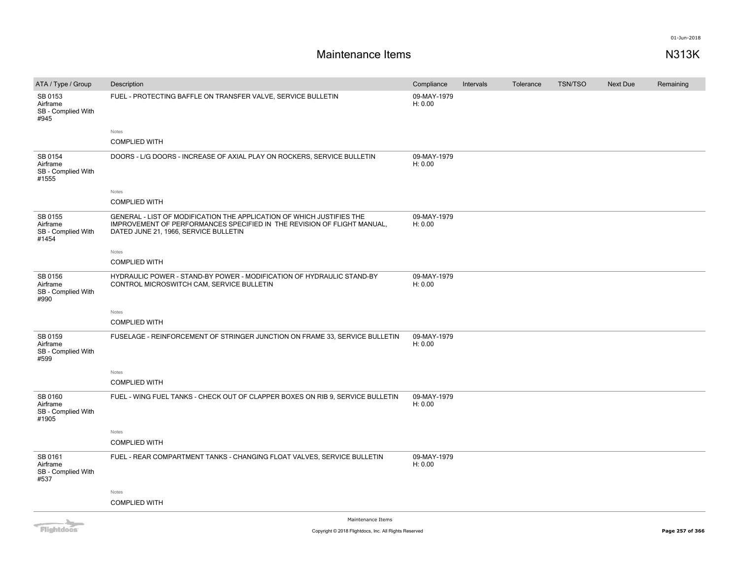| ATA / Type / Group                                 | Description                                                                                                                                                                               | Compliance             | Intervals | Tolerance | <b>TSN/TSO</b> | <b>Next Due</b> | Remaining |
|----------------------------------------------------|-------------------------------------------------------------------------------------------------------------------------------------------------------------------------------------------|------------------------|-----------|-----------|----------------|-----------------|-----------|
| SB 0153<br>Airframe<br>SB - Complied With<br>#945  | FUEL - PROTECTING BAFFLE ON TRANSFER VALVE, SERVICE BULLETIN                                                                                                                              | 09-MAY-1979<br>H: 0.00 |           |           |                |                 |           |
|                                                    | Notes                                                                                                                                                                                     |                        |           |           |                |                 |           |
|                                                    | <b>COMPLIED WITH</b>                                                                                                                                                                      |                        |           |           |                |                 |           |
| SB 0154<br>Airframe<br>SB - Complied With<br>#1555 | DOORS - L/G DOORS - INCREASE OF AXIAL PLAY ON ROCKERS, SERVICE BULLETIN                                                                                                                   | 09-MAY-1979<br>H: 0.00 |           |           |                |                 |           |
|                                                    | Notes                                                                                                                                                                                     |                        |           |           |                |                 |           |
|                                                    | <b>COMPLIED WITH</b>                                                                                                                                                                      |                        |           |           |                |                 |           |
| SB 0155<br>Airframe<br>SB - Complied With<br>#1454 | GENERAL - LIST OF MODIFICATION THE APPLICATION OF WHICH JUSTIFIES THE<br>IMPROVEMENT OF PERFORMANCES SPECIFIED IN THE REVISION OF FLIGHT MANUAL,<br>DATED JUNE 21, 1966, SERVICE BULLETIN | 09-MAY-1979<br>H: 0.00 |           |           |                |                 |           |
|                                                    | Notes                                                                                                                                                                                     |                        |           |           |                |                 |           |
|                                                    | <b>COMPLIED WITH</b>                                                                                                                                                                      |                        |           |           |                |                 |           |
| SB 0156<br>Airframe<br>SB - Complied With<br>#990  | HYDRAULIC POWER - STAND-BY POWER - MODIFICATION OF HYDRAULIC STAND-BY<br>CONTROL MICROSWITCH CAM, SERVICE BULLETIN                                                                        | 09-MAY-1979<br>H: 0.00 |           |           |                |                 |           |
|                                                    | Notes                                                                                                                                                                                     |                        |           |           |                |                 |           |
|                                                    | <b>COMPLIED WITH</b>                                                                                                                                                                      |                        |           |           |                |                 |           |
| SB 0159<br>Airframe<br>SB - Complied With<br>#599  | FUSELAGE - REINFORCEMENT OF STRINGER JUNCTION ON FRAME 33, SERVICE BULLETIN                                                                                                               | 09-MAY-1979<br>H: 0.00 |           |           |                |                 |           |
|                                                    | Notes                                                                                                                                                                                     |                        |           |           |                |                 |           |
|                                                    | <b>COMPLIED WITH</b>                                                                                                                                                                      |                        |           |           |                |                 |           |
| SB 0160<br>Airframe<br>SB - Complied With<br>#1905 | FUEL - WING FUEL TANKS - CHECK OUT OF CLAPPER BOXES ON RIB 9, SERVICE BULLETIN                                                                                                            | 09-MAY-1979<br>H: 0.00 |           |           |                |                 |           |
|                                                    | Notes                                                                                                                                                                                     |                        |           |           |                |                 |           |
|                                                    | <b>COMPLIED WITH</b>                                                                                                                                                                      |                        |           |           |                |                 |           |
| SB 0161<br>Airframe<br>SB - Complied With<br>#537  | FUEL - REAR COMPARTMENT TANKS - CHANGING FLOAT VALVES, SERVICE BULLETIN                                                                                                                   | 09-MAY-1979<br>H: 0.00 |           |           |                |                 |           |
|                                                    | Notes                                                                                                                                                                                     |                        |           |           |                |                 |           |
|                                                    | <b>COMPLIED WITH</b>                                                                                                                                                                      |                        |           |           |                |                 |           |
| $\sim$                                             | Maintenance Items                                                                                                                                                                         |                        |           |           |                |                 |           |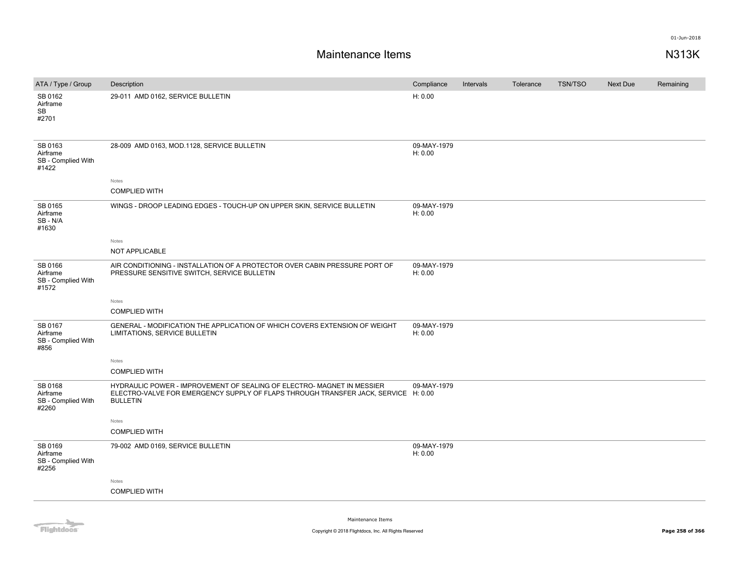| ATA / Type / Group                                 | Description                                                                                                                                                                     | Compliance             | Intervals | Tolerance | <b>TSN/TSO</b> | Next Due | Remaining |
|----------------------------------------------------|---------------------------------------------------------------------------------------------------------------------------------------------------------------------------------|------------------------|-----------|-----------|----------------|----------|-----------|
| SB 0162<br>Airframe<br>SB<br>#2701                 | 29-011 AMD 0162, SERVICE BULLETIN                                                                                                                                               | H: 0.00                |           |           |                |          |           |
| SB 0163<br>Airframe<br>SB - Complied With<br>#1422 | 28-009 AMD 0163, MOD.1128, SERVICE BULLETIN                                                                                                                                     | 09-MAY-1979<br>H: 0.00 |           |           |                |          |           |
|                                                    | Notes                                                                                                                                                                           |                        |           |           |                |          |           |
|                                                    | <b>COMPLIED WITH</b>                                                                                                                                                            |                        |           |           |                |          |           |
| SB 0165<br>Airframe<br>SB-N/A<br>#1630             | WINGS - DROOP LEADING EDGES - TOUCH-UP ON UPPER SKIN, SERVICE BULLETIN                                                                                                          | 09-MAY-1979<br>H: 0.00 |           |           |                |          |           |
|                                                    | Notes                                                                                                                                                                           |                        |           |           |                |          |           |
|                                                    | <b>NOT APPLICABLE</b>                                                                                                                                                           |                        |           |           |                |          |           |
| SB 0166<br>Airframe<br>SB - Complied With<br>#1572 | AIR CONDITIONING - INSTALLATION OF A PROTECTOR OVER CABIN PRESSURE PORT OF<br>PRESSURE SENSITIVE SWITCH, SERVICE BULLETIN                                                       | 09-MAY-1979<br>H: 0.00 |           |           |                |          |           |
|                                                    | Notes                                                                                                                                                                           |                        |           |           |                |          |           |
|                                                    | <b>COMPLIED WITH</b>                                                                                                                                                            |                        |           |           |                |          |           |
| SB 0167<br>Airframe<br>SB - Complied With<br>#856  | GENERAL - MODIFICATION THE APPLICATION OF WHICH COVERS EXTENSION OF WEIGHT<br>LIMITATIONS, SERVICE BULLETIN                                                                     | 09-MAY-1979<br>H: 0.00 |           |           |                |          |           |
|                                                    | Notes                                                                                                                                                                           |                        |           |           |                |          |           |
|                                                    | <b>COMPLIED WITH</b>                                                                                                                                                            |                        |           |           |                |          |           |
| SB 0168<br>Airframe<br>SB - Complied With<br>#2260 | HYDRAULIC POWER - IMPROVEMENT OF SEALING OF ELECTRO- MAGNET IN MESSIER<br>ELECTRO-VALVE FOR EMERGENCY SUPPLY OF FLAPS THROUGH TRANSFER JACK, SERVICE H: 0.00<br><b>BULLETIN</b> | 09-MAY-1979            |           |           |                |          |           |
|                                                    | Notes                                                                                                                                                                           |                        |           |           |                |          |           |
|                                                    | <b>COMPLIED WITH</b>                                                                                                                                                            |                        |           |           |                |          |           |
| SB 0169<br>Airframe<br>SB - Complied With<br>#2256 | 79-002 AMD 0169, SERVICE BULLETIN                                                                                                                                               | 09-MAY-1979<br>H: 0.00 |           |           |                |          |           |
|                                                    | Notes                                                                                                                                                                           |                        |           |           |                |          |           |
|                                                    | <b>COMPLIED WITH</b>                                                                                                                                                            |                        |           |           |                |          |           |
|                                                    |                                                                                                                                                                                 |                        |           |           |                |          |           |

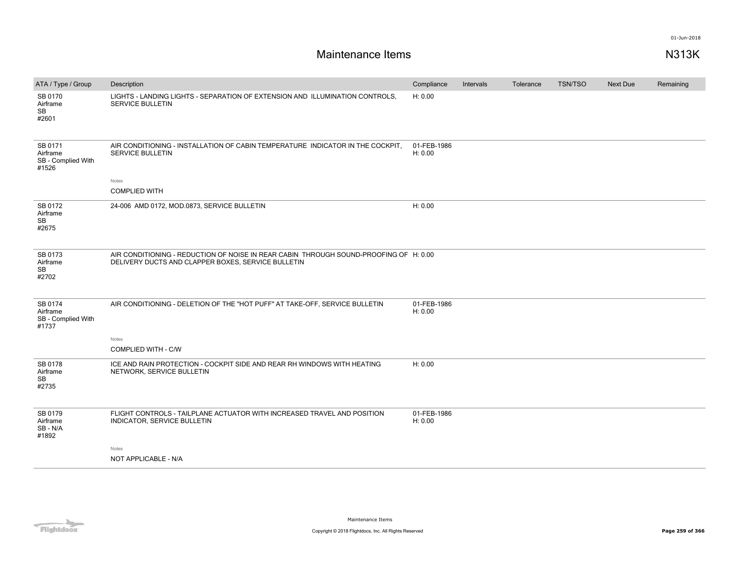| ATA / Type / Group                                 | Description                                                                                                                                 | Compliance             | Intervals | Tolerance | TSN/TSO | <b>Next Due</b> | Remaining |
|----------------------------------------------------|---------------------------------------------------------------------------------------------------------------------------------------------|------------------------|-----------|-----------|---------|-----------------|-----------|
| SB 0170<br>Airframe<br><b>SB</b><br>#2601          | LIGHTS - LANDING LIGHTS - SEPARATION OF EXTENSION AND ILLUMINATION CONTROLS,<br>SERVICE BULLETIN                                            | H: 0.00                |           |           |         |                 |           |
| SB 0171<br>Airframe<br>SB - Complied With<br>#1526 | AIR CONDITIONING - INSTALLATION OF CABIN TEMPERATURE INDICATOR IN THE COCKPIT,<br>SERVICE BULLETIN                                          | 01-FEB-1986<br>H: 0.00 |           |           |         |                 |           |
|                                                    | Notes                                                                                                                                       |                        |           |           |         |                 |           |
|                                                    | <b>COMPLIED WITH</b>                                                                                                                        |                        |           |           |         |                 |           |
| SB 0172<br>Airframe<br>SB<br>#2675                 | 24-006 AMD 0172, MOD.0873, SERVICE BULLETIN                                                                                                 | H: 0.00                |           |           |         |                 |           |
| SB 0173<br>Airframe<br>SB<br>#2702                 | AIR CONDITIONING - REDUCTION OF NOISE IN REAR CABIN THROUGH SOUND-PROOFING OF H: 0.00<br>DELIVERY DUCTS AND CLAPPER BOXES, SERVICE BULLETIN |                        |           |           |         |                 |           |
| SB 0174<br>Airframe<br>SB - Complied With<br>#1737 | AIR CONDITIONING - DELETION OF THE "HOT PUFF" AT TAKE-OFF, SERVICE BULLETIN                                                                 | 01-FEB-1986<br>H: 0.00 |           |           |         |                 |           |
|                                                    | Notes                                                                                                                                       |                        |           |           |         |                 |           |
|                                                    | COMPLIED WITH - C/W                                                                                                                         |                        |           |           |         |                 |           |
| SB 0178<br>Airframe<br>SB<br>#2735                 | ICE AND RAIN PROTECTION - COCKPIT SIDE AND REAR RH WINDOWS WITH HEATING<br>NETWORK, SERVICE BULLETIN                                        | H: 0.00                |           |           |         |                 |           |
| SB 0179<br>Airframe<br>SB - N/A<br>#1892           | FLIGHT CONTROLS - TAILPLANE ACTUATOR WITH INCREASED TRAVEL AND POSITION<br>INDICATOR, SERVICE BULLETIN                                      | 01-FEB-1986<br>H: 0.00 |           |           |         |                 |           |
|                                                    | Notes                                                                                                                                       |                        |           |           |         |                 |           |
|                                                    | NOT APPLICABLE - N/A                                                                                                                        |                        |           |           |         |                 |           |

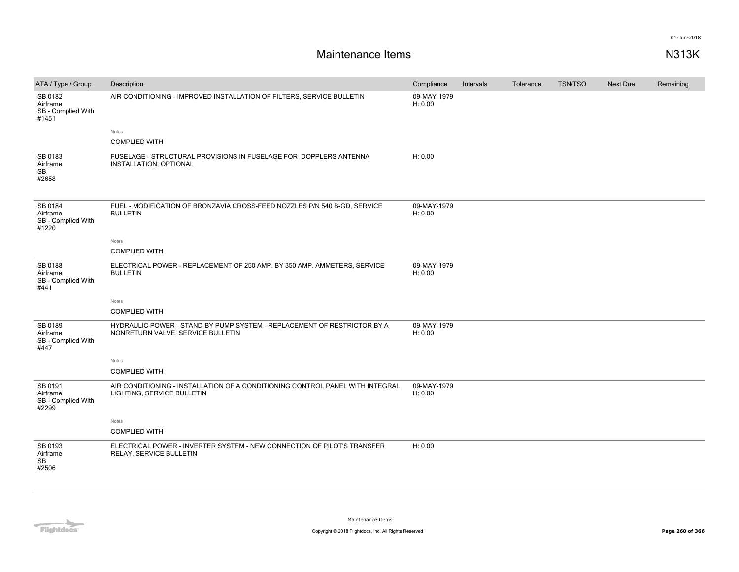| ATA / Type / Group                                 | Description                                                                                                  | Compliance             | Intervals | Tolerance | <b>TSN/TSO</b> | Next Due | Remaining |
|----------------------------------------------------|--------------------------------------------------------------------------------------------------------------|------------------------|-----------|-----------|----------------|----------|-----------|
| SB 0182<br>Airframe<br>SB - Complied With<br>#1451 | AIR CONDITIONING - IMPROVED INSTALLATION OF FILTERS, SERVICE BULLETIN                                        | 09-MAY-1979<br>H: 0.00 |           |           |                |          |           |
|                                                    | Notes                                                                                                        |                        |           |           |                |          |           |
|                                                    | <b>COMPLIED WITH</b>                                                                                         |                        |           |           |                |          |           |
| SB 0183<br>Airframe<br>SB<br>#2658                 | FUSELAGE - STRUCTURAL PROVISIONS IN FUSELAGE FOR DOPPLERS ANTENNA<br>INSTALLATION, OPTIONAL                  | H: 0.00                |           |           |                |          |           |
| SB 0184<br>Airframe<br>SB - Complied With<br>#1220 | FUEL - MODIFICATION OF BRONZAVIA CROSS-FEED NOZZLES P/N 540 B-GD, SERVICE<br><b>BULLETIN</b>                 | 09-MAY-1979<br>H: 0.00 |           |           |                |          |           |
|                                                    | Notes                                                                                                        |                        |           |           |                |          |           |
|                                                    | <b>COMPLIED WITH</b>                                                                                         |                        |           |           |                |          |           |
| SB 0188<br>Airframe<br>SB - Complied With<br>#441  | ELECTRICAL POWER - REPLACEMENT OF 250 AMP. BY 350 AMP. AMMETERS, SERVICE<br><b>BULLETIN</b>                  | 09-MAY-1979<br>H: 0.00 |           |           |                |          |           |
|                                                    | Notes                                                                                                        |                        |           |           |                |          |           |
|                                                    | <b>COMPLIED WITH</b>                                                                                         |                        |           |           |                |          |           |
| SB 0189<br>Airframe<br>SB - Complied With<br>#447  | HYDRAULIC POWER - STAND-BY PUMP SYSTEM - REPLACEMENT OF RESTRICTOR BY A<br>NONRETURN VALVE, SERVICE BULLETIN | 09-MAY-1979<br>H: 0.00 |           |           |                |          |           |
|                                                    | Notes                                                                                                        |                        |           |           |                |          |           |
|                                                    | <b>COMPLIED WITH</b>                                                                                         |                        |           |           |                |          |           |
| SB 0191<br>Airframe<br>SB - Complied With<br>#2299 | AIR CONDITIONING - INSTALLATION OF A CONDITIONING CONTROL PANEL WITH INTEGRAL<br>LIGHTING, SERVICE BULLETIN  | 09-MAY-1979<br>H: 0.00 |           |           |                |          |           |
|                                                    | Notes                                                                                                        |                        |           |           |                |          |           |
|                                                    | <b>COMPLIED WITH</b>                                                                                         |                        |           |           |                |          |           |
| SB 0193<br>Airframe<br><b>SB</b><br>#2506          | ELECTRICAL POWER - INVERTER SYSTEM - NEW CONNECTION OF PILOT'S TRANSFER<br>RELAY, SERVICE BULLETIN           | H: 0.00                |           |           |                |          |           |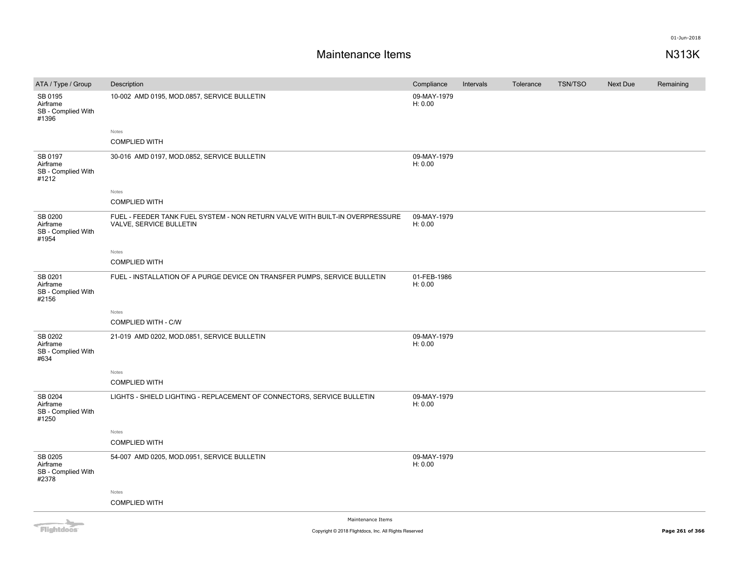| ATA / Type / Group                                 | Description                                                                                             | Compliance             | Intervals | Tolerance | <b>TSN/TSO</b> | <b>Next Due</b> | Remaining |
|----------------------------------------------------|---------------------------------------------------------------------------------------------------------|------------------------|-----------|-----------|----------------|-----------------|-----------|
| SB 0195<br>Airframe<br>SB - Complied With<br>#1396 | 10-002 AMD 0195, MOD.0857, SERVICE BULLETIN                                                             | 09-MAY-1979<br>H: 0.00 |           |           |                |                 |           |
|                                                    | Notes                                                                                                   |                        |           |           |                |                 |           |
|                                                    | <b>COMPLIED WITH</b>                                                                                    |                        |           |           |                |                 |           |
| SB 0197<br>Airframe<br>SB - Complied With<br>#1212 | 30-016 AMD 0197, MOD.0852, SERVICE BULLETIN                                                             | 09-MAY-1979<br>H: 0.00 |           |           |                |                 |           |
|                                                    | Notes                                                                                                   |                        |           |           |                |                 |           |
|                                                    | <b>COMPLIED WITH</b>                                                                                    |                        |           |           |                |                 |           |
| SB 0200<br>Airframe<br>SB - Complied With<br>#1954 | FUEL - FEEDER TANK FUEL SYSTEM - NON RETURN VALVE WITH BUILT-IN OVERPRESSURE<br>VALVE, SERVICE BULLETIN | 09-MAY-1979<br>H: 0.00 |           |           |                |                 |           |
|                                                    | Notes                                                                                                   |                        |           |           |                |                 |           |
|                                                    | <b>COMPLIED WITH</b>                                                                                    |                        |           |           |                |                 |           |
| SB 0201<br>Airframe<br>SB - Complied With<br>#2156 | FUEL - INSTALLATION OF A PURGE DEVICE ON TRANSFER PUMPS, SERVICE BULLETIN                               | 01-FEB-1986<br>H: 0.00 |           |           |                |                 |           |
|                                                    | Notes<br>COMPLIED WITH - C/W                                                                            |                        |           |           |                |                 |           |
| SB 0202<br>Airframe<br>SB - Complied With<br>#634  | 21-019 AMD 0202, MOD.0851, SERVICE BULLETIN                                                             | 09-MAY-1979<br>H: 0.00 |           |           |                |                 |           |
|                                                    | Notes                                                                                                   |                        |           |           |                |                 |           |
|                                                    | <b>COMPLIED WITH</b>                                                                                    |                        |           |           |                |                 |           |
| SB 0204<br>Airframe<br>SB - Complied With<br>#1250 | LIGHTS - SHIELD LIGHTING - REPLACEMENT OF CONNECTORS, SERVICE BULLETIN                                  | 09-MAY-1979<br>H: 0.00 |           |           |                |                 |           |
|                                                    | Notes                                                                                                   |                        |           |           |                |                 |           |
|                                                    | <b>COMPLIED WITH</b>                                                                                    |                        |           |           |                |                 |           |
| SB 0205<br>Airframe<br>SB - Complied With<br>#2378 | 54-007 AMD 0205, MOD.0951, SERVICE BULLETIN                                                             | 09-MAY-1979<br>H: 0.00 |           |           |                |                 |           |
|                                                    | Notes                                                                                                   |                        |           |           |                |                 |           |
|                                                    | <b>COMPLIED WITH</b>                                                                                    |                        |           |           |                |                 |           |
| $\overline{\phantom{a}}$                           | Maintenance Items                                                                                       |                        |           |           |                |                 |           |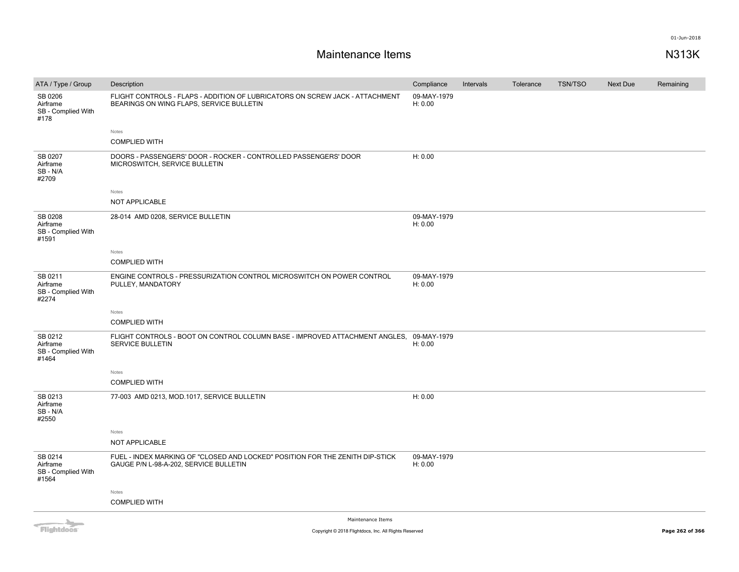# **Maintenance Items N313K**

| ATA / Type / Group                                 | Description                                                                                                              | Compliance             | Intervals | Tolerance | <b>TSN/TSO</b> | Next Due | Remaining |
|----------------------------------------------------|--------------------------------------------------------------------------------------------------------------------------|------------------------|-----------|-----------|----------------|----------|-----------|
| SB 0206<br>Airframe<br>SB - Complied With<br>#178  | FLIGHT CONTROLS - FLAPS - ADDITION OF LUBRICATORS ON SCREW JACK - ATTACHMENT<br>BEARINGS ON WING FLAPS, SERVICE BULLETIN | 09-MAY-1979<br>H: 0.00 |           |           |                |          |           |
|                                                    | Notes                                                                                                                    |                        |           |           |                |          |           |
|                                                    | <b>COMPLIED WITH</b>                                                                                                     |                        |           |           |                |          |           |
| SB 0207<br>Airframe<br>SB-N/A<br>#2709             | DOORS - PASSENGERS' DOOR - ROCKER - CONTROLLED PASSENGERS' DOOR<br>MICROSWITCH, SERVICE BULLETIN                         | H: 0.00                |           |           |                |          |           |
|                                                    | Notes                                                                                                                    |                        |           |           |                |          |           |
|                                                    | NOT APPLICABLE                                                                                                           |                        |           |           |                |          |           |
| SB 0208<br>Airframe<br>SB - Complied With<br>#1591 | 28-014 AMD 0208, SERVICE BULLETIN                                                                                        | 09-MAY-1979<br>H: 0.00 |           |           |                |          |           |
|                                                    | Notes                                                                                                                    |                        |           |           |                |          |           |
|                                                    | <b>COMPLIED WITH</b>                                                                                                     |                        |           |           |                |          |           |
| SB 0211<br>Airframe<br>SB - Complied With<br>#2274 | ENGINE CONTROLS - PRESSURIZATION CONTROL MICROSWITCH ON POWER CONTROL<br>PULLEY, MANDATORY                               | 09-MAY-1979<br>H: 0.00 |           |           |                |          |           |
|                                                    | Notes                                                                                                                    |                        |           |           |                |          |           |
|                                                    | <b>COMPLIED WITH</b>                                                                                                     |                        |           |           |                |          |           |
| SB 0212<br>Airframe<br>SB - Complied With<br>#1464 | FLIGHT CONTROLS - BOOT ON CONTROL COLUMN BASE - IMPROVED ATTACHMENT ANGLES, 09-MAY-1979<br>SERVICE BULLETIN              | H: 0.00                |           |           |                |          |           |
|                                                    | Notes                                                                                                                    |                        |           |           |                |          |           |
|                                                    | <b>COMPLIED WITH</b>                                                                                                     |                        |           |           |                |          |           |
| SB 0213<br>Airframe<br>SB - N/A<br>#2550           | 77-003 AMD 0213, MOD.1017, SERVICE BULLETIN                                                                              | H: 0.00                |           |           |                |          |           |
|                                                    | Notes                                                                                                                    |                        |           |           |                |          |           |
|                                                    | NOT APPLICABLE                                                                                                           |                        |           |           |                |          |           |
| SB 0214<br>Airframe<br>SB - Complied With<br>#1564 | FUEL - INDEX MARKING OF "CLOSED AND LOCKED" POSITION FOR THE ZENITH DIP-STICK<br>GAUGE P/N L-98-A-202, SERVICE BULLETIN  | 09-MAY-1979<br>H: 0.00 |           |           |                |          |           |
|                                                    | Notes                                                                                                                    |                        |           |           |                |          |           |
|                                                    | <b>COMPLIED WITH</b>                                                                                                     |                        |           |           |                |          |           |
|                                                    | Maintenance Trame                                                                                                        |                        |           |           |                |          |           |

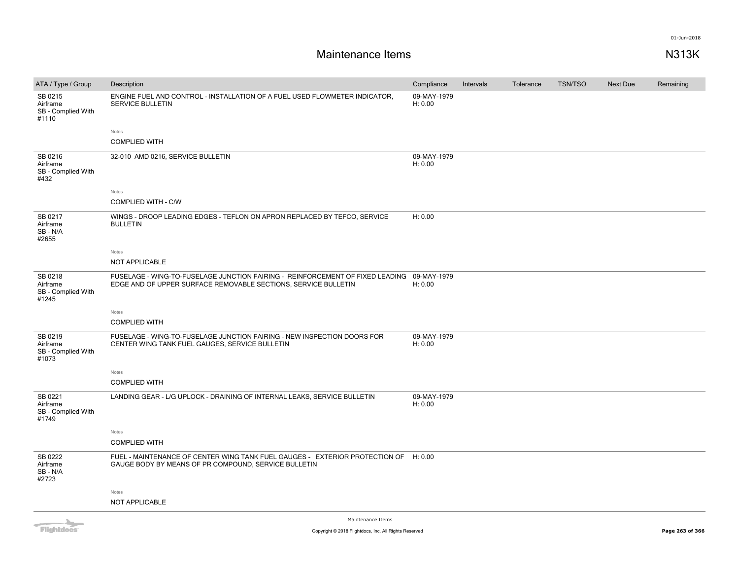| ATA / Type / Group                                                                                                                                                                                                                   | Description                                                                                                                                                 | Compliance             | Intervals | Tolerance | <b>TSN/TSO</b> | Next Due | Remaining |
|--------------------------------------------------------------------------------------------------------------------------------------------------------------------------------------------------------------------------------------|-------------------------------------------------------------------------------------------------------------------------------------------------------------|------------------------|-----------|-----------|----------------|----------|-----------|
| SB 0215<br>Airframe<br>SB - Complied With<br>#1110                                                                                                                                                                                   | ENGINE FUEL AND CONTROL - INSTALLATION OF A FUEL USED FLOWMETER INDICATOR,<br><b>SERVICE BULLETIN</b>                                                       | 09-MAY-1979<br>H: 0.00 |           |           |                |          |           |
|                                                                                                                                                                                                                                      | Notes                                                                                                                                                       |                        |           |           |                |          |           |
|                                                                                                                                                                                                                                      | <b>COMPLIED WITH</b>                                                                                                                                        |                        |           |           |                |          |           |
| SB 0216<br>Airframe<br>SB - Complied With<br>#432                                                                                                                                                                                    | 32-010 AMD 0216, SERVICE BULLETIN                                                                                                                           | 09-MAY-1979<br>H: 0.00 |           |           |                |          |           |
|                                                                                                                                                                                                                                      | Notes                                                                                                                                                       |                        |           |           |                |          |           |
|                                                                                                                                                                                                                                      | <b>COMPLIED WITH - C/W</b>                                                                                                                                  |                        |           |           |                |          |           |
| SB 0217<br>Airframe<br>SB-N/A<br>#2655                                                                                                                                                                                               | WINGS - DROOP LEADING EDGES - TEFLON ON APRON REPLACED BY TEFCO, SERVICE<br><b>BULLETIN</b>                                                                 | H: 0.00                |           |           |                |          |           |
|                                                                                                                                                                                                                                      | Notes                                                                                                                                                       |                        |           |           |                |          |           |
|                                                                                                                                                                                                                                      | NOT APPLICABLE                                                                                                                                              |                        |           |           |                |          |           |
| SB 0218<br>Airframe<br>SB - Complied With<br>#1245                                                                                                                                                                                   | FUSELAGE - WING-TO-FUSELAGE JUNCTION FAIRING - REINFORCEMENT OF FIXED LEADING 09-MAY-1979<br>EDGE AND OF UPPER SURFACE REMOVABLE SECTIONS, SERVICE BULLETIN | H: 0.00                |           |           |                |          |           |
|                                                                                                                                                                                                                                      | Notes                                                                                                                                                       |                        |           |           |                |          |           |
|                                                                                                                                                                                                                                      | <b>COMPLIED WITH</b>                                                                                                                                        |                        |           |           |                |          |           |
| SB 0219<br>Airframe<br>SB - Complied With<br>#1073                                                                                                                                                                                   | FUSELAGE - WING-TO-FUSELAGE JUNCTION FAIRING - NEW INSPECTION DOORS FOR<br>CENTER WING TANK FUEL GAUGES, SERVICE BULLETIN                                   | 09-MAY-1979<br>H: 0.00 |           |           |                |          |           |
|                                                                                                                                                                                                                                      | Notes                                                                                                                                                       |                        |           |           |                |          |           |
|                                                                                                                                                                                                                                      | <b>COMPLIED WITH</b>                                                                                                                                        |                        |           |           |                |          |           |
| SB 0221<br>Airframe<br>SB - Complied With<br>#1749                                                                                                                                                                                   | LANDING GEAR - L/G UPLOCK - DRAINING OF INTERNAL LEAKS, SERVICE BULLETIN                                                                                    | 09-MAY-1979<br>H: 0.00 |           |           |                |          |           |
|                                                                                                                                                                                                                                      | Notes                                                                                                                                                       |                        |           |           |                |          |           |
|                                                                                                                                                                                                                                      | <b>COMPLIED WITH</b>                                                                                                                                        |                        |           |           |                |          |           |
| SB 0222<br>Airframe<br>SB-N/A<br>#2723                                                                                                                                                                                               | FUEL - MAINTENANCE OF CENTER WING TANK FUEL GAUGES - EXTERIOR PROTECTION OF H: 0.00<br>GAUGE BODY BY MEANS OF PR COMPOUND, SERVICE BULLETIN                 |                        |           |           |                |          |           |
|                                                                                                                                                                                                                                      | Notes                                                                                                                                                       |                        |           |           |                |          |           |
|                                                                                                                                                                                                                                      | NOT APPLICABLE                                                                                                                                              |                        |           |           |                |          |           |
| <b>The Contract of the Contract of the Contract of the Contract of the Contract of the Contract of the Contract of the Contract of the Contract of The Contract of The Contract of The Contract of The Contract of The Contract </b> | Maintenance Items                                                                                                                                           |                        |           |           |                |          |           |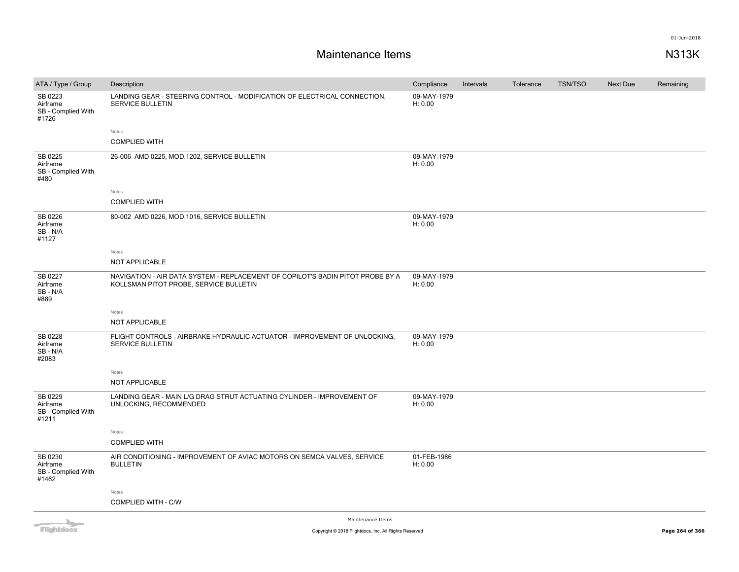| ATA / Type / Group                                 | Description                                                                                                              | Compliance             | Intervals | Tolerance | <b>TSN/TSO</b> | Next Due | Remaining |
|----------------------------------------------------|--------------------------------------------------------------------------------------------------------------------------|------------------------|-----------|-----------|----------------|----------|-----------|
| SB 0223<br>Airframe<br>SB - Complied With<br>#1726 | LANDING GEAR - STEERING CONTROL - MODIFICATION OF ELECTRICAL CONNECTION,<br><b>SERVICE BULLETIN</b>                      | 09-MAY-1979<br>H: 0.00 |           |           |                |          |           |
|                                                    | Notes                                                                                                                    |                        |           |           |                |          |           |
|                                                    | <b>COMPLIED WITH</b>                                                                                                     |                        |           |           |                |          |           |
| SB 0225<br>Airframe<br>SB - Complied With<br>#480  | 26-006 AMD 0225, MOD.1202, SERVICE BULLETIN                                                                              | 09-MAY-1979<br>H: 0.00 |           |           |                |          |           |
|                                                    | Notes                                                                                                                    |                        |           |           |                |          |           |
|                                                    | <b>COMPLIED WITH</b>                                                                                                     |                        |           |           |                |          |           |
| SB 0226<br>Airframe<br>SB-N/A<br>#1127             | 80-002 AMD 0226, MOD.1016, SERVICE BULLETIN                                                                              | 09-MAY-1979<br>H: 0.00 |           |           |                |          |           |
|                                                    | Notes                                                                                                                    |                        |           |           |                |          |           |
|                                                    | NOT APPLICABLE                                                                                                           |                        |           |           |                |          |           |
| SB 0227<br>Airframe<br>SB-N/A<br>#889              | NAVIGATION - AIR DATA SYSTEM - REPLACEMENT OF COPILOT'S BADIN PITOT PROBE BY A<br>KOLLSMAN PITOT PROBE, SERVICE BULLETIN | 09-MAY-1979<br>H: 0.00 |           |           |                |          |           |
|                                                    | Notes                                                                                                                    |                        |           |           |                |          |           |
|                                                    | <b>NOT APPLICABLE</b>                                                                                                    |                        |           |           |                |          |           |
| SB 0228<br>Airframe<br>SB-N/A<br>#2083             | FLIGHT CONTROLS - AIRBRAKE HYDRAULIC ACTUATOR - IMPROVEMENT OF UNLOCKING.<br><b>SERVICE BULLETIN</b>                     | 09-MAY-1979<br>H: 0.00 |           |           |                |          |           |
|                                                    | Notes                                                                                                                    |                        |           |           |                |          |           |
|                                                    | <b>NOT APPLICABLE</b>                                                                                                    |                        |           |           |                |          |           |
| SB 0229<br>Airframe<br>SB - Complied With<br>#1211 | LANDING GEAR - MAIN L/G DRAG STRUT ACTUATING CYLINDER - IMPROVEMENT OF<br>UNLOCKING, RECOMMENDED                         | 09-MAY-1979<br>H: 0.00 |           |           |                |          |           |
|                                                    | Notes                                                                                                                    |                        |           |           |                |          |           |
|                                                    | <b>COMPLIED WITH</b>                                                                                                     |                        |           |           |                |          |           |
| SB 0230<br>Airframe<br>SB - Complied With<br>#1462 | AIR CONDITIONING - IMPROVEMENT OF AVIAC MOTORS ON SEMCA VALVES, SERVICE<br><b>BULLETIN</b>                               | 01-FEB-1986<br>H: 0.00 |           |           |                |          |           |
|                                                    | Notes                                                                                                                    |                        |           |           |                |          |           |
|                                                    | COMPLIED WITH - C/W                                                                                                      |                        |           |           |                |          |           |
|                                                    | Administration of the cost                                                                                               |                        |           |           |                |          |           |

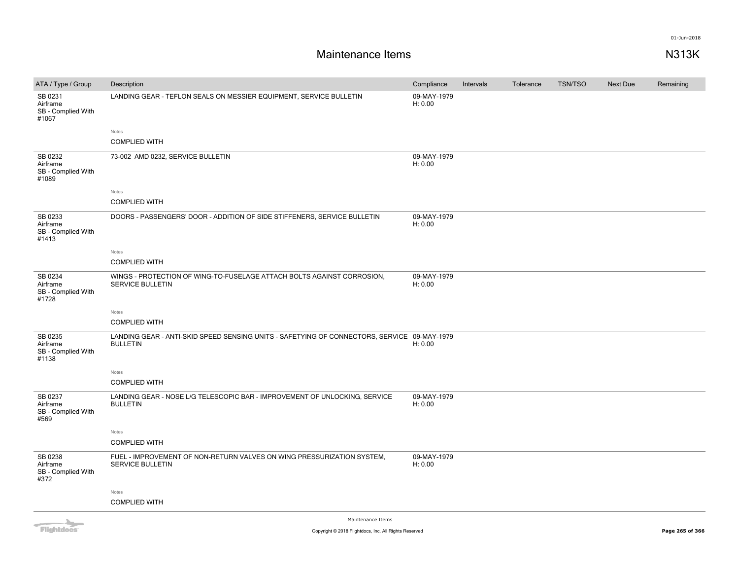# **Maintenance Items N313K**

| ATA / Type / Group                                 | Description                                                                                                    | Compliance             | Intervals | Tolerance | <b>TSN/TSO</b> | Next Due | Remaining |
|----------------------------------------------------|----------------------------------------------------------------------------------------------------------------|------------------------|-----------|-----------|----------------|----------|-----------|
| SB 0231<br>Airframe<br>SB - Complied With<br>#1067 | LANDING GEAR - TEFLON SEALS ON MESSIER EQUIPMENT, SERVICE BULLETIN                                             | 09-MAY-1979<br>H: 0.00 |           |           |                |          |           |
|                                                    | Notes                                                                                                          |                        |           |           |                |          |           |
|                                                    | <b>COMPLIED WITH</b>                                                                                           |                        |           |           |                |          |           |
| SB 0232<br>Airframe<br>SB - Complied With<br>#1089 | 73-002 AMD 0232, SERVICE BULLETIN                                                                              | 09-MAY-1979<br>H: 0.00 |           |           |                |          |           |
|                                                    | Notes                                                                                                          |                        |           |           |                |          |           |
|                                                    | <b>COMPLIED WITH</b>                                                                                           |                        |           |           |                |          |           |
| SB 0233<br>Airframe<br>SB - Complied With<br>#1413 | DOORS - PASSENGERS' DOOR - ADDITION OF SIDE STIFFENERS, SERVICE BULLETIN                                       | 09-MAY-1979<br>H: 0.00 |           |           |                |          |           |
|                                                    | Notes                                                                                                          |                        |           |           |                |          |           |
|                                                    | <b>COMPLIED WITH</b>                                                                                           |                        |           |           |                |          |           |
| SB 0234<br>Airframe<br>SB - Complied With<br>#1728 | WINGS - PROTECTION OF WING-TO-FUSELAGE ATTACH BOLTS AGAINST CORROSION,<br><b>SERVICE BULLETIN</b>              | 09-MAY-1979<br>H: 0.00 |           |           |                |          |           |
|                                                    | Notes                                                                                                          |                        |           |           |                |          |           |
|                                                    | <b>COMPLIED WITH</b>                                                                                           |                        |           |           |                |          |           |
| SB 0235<br>Airframe<br>SB - Complied With<br>#1138 | LANDING GEAR - ANTI-SKID SPEED SENSING UNITS - SAFETYING OF CONNECTORS, SERVICE 09-MAY-1979<br><b>BULLETIN</b> | H: 0.00                |           |           |                |          |           |
|                                                    | Notes                                                                                                          |                        |           |           |                |          |           |
|                                                    | <b>COMPLIED WITH</b>                                                                                           |                        |           |           |                |          |           |
| SB 0237<br>Airframe<br>SB - Complied With<br>#569  | LANDING GEAR - NOSE L/G TELESCOPIC BAR - IMPROVEMENT OF UNLOCKING, SERVICE<br><b>BULLETIN</b>                  | 09-MAY-1979<br>H: 0.00 |           |           |                |          |           |
|                                                    | Notes                                                                                                          |                        |           |           |                |          |           |
|                                                    | <b>COMPLIED WITH</b>                                                                                           |                        |           |           |                |          |           |
| SB 0238<br>Airframe<br>SB - Complied With<br>#372  | FUEL - IMPROVEMENT OF NON-RETURN VALVES ON WING PRESSURIZATION SYSTEM,<br><b>SERVICE BULLETIN</b>              | 09-MAY-1979<br>H: 0.00 |           |           |                |          |           |
|                                                    | Notes                                                                                                          |                        |           |           |                |          |           |
|                                                    | <b>COMPLIED WITH</b>                                                                                           |                        |           |           |                |          |           |
|                                                    | Maintenance Items                                                                                              |                        |           |           |                |          |           |

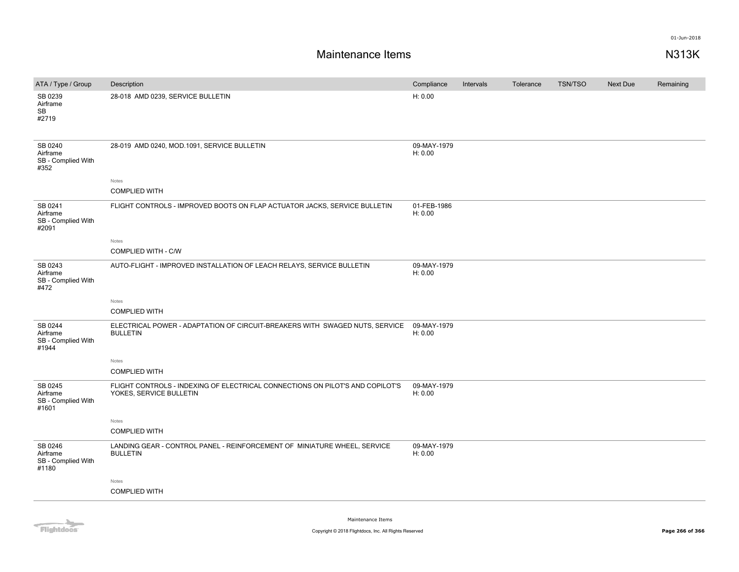| ATA / Type / Group                                 | Description                                                                                              | Compliance             | Intervals | Tolerance | <b>TSN/TSO</b> | Next Due | Remaining |
|----------------------------------------------------|----------------------------------------------------------------------------------------------------------|------------------------|-----------|-----------|----------------|----------|-----------|
| SB 0239<br>Airframe<br>SB<br>#2719                 | 28-018 AMD 0239, SERVICE BULLETIN                                                                        | H: 0.00                |           |           |                |          |           |
| SB 0240<br>Airframe<br>SB - Complied With<br>#352  | 28-019 AMD 0240, MOD.1091, SERVICE BULLETIN                                                              | 09-MAY-1979<br>H: 0.00 |           |           |                |          |           |
|                                                    | Notes                                                                                                    |                        |           |           |                |          |           |
|                                                    | <b>COMPLIED WITH</b>                                                                                     |                        |           |           |                |          |           |
| SB 0241<br>Airframe<br>SB - Complied With<br>#2091 | FLIGHT CONTROLS - IMPROVED BOOTS ON FLAP ACTUATOR JACKS, SERVICE BULLETIN                                | 01-FEB-1986<br>H: 0.00 |           |           |                |          |           |
|                                                    | Notes                                                                                                    |                        |           |           |                |          |           |
|                                                    | <b>COMPLIED WITH - C/W</b>                                                                               |                        |           |           |                |          |           |
| SB 0243<br>Airframe<br>SB - Complied With<br>#472  | AUTO-FLIGHT - IMPROVED INSTALLATION OF LEACH RELAYS, SERVICE BULLETIN                                    | 09-MAY-1979<br>H: 0.00 |           |           |                |          |           |
|                                                    | Notes                                                                                                    |                        |           |           |                |          |           |
|                                                    | <b>COMPLIED WITH</b>                                                                                     |                        |           |           |                |          |           |
| SB 0244<br>Airframe<br>SB - Complied With<br>#1944 | ELECTRICAL POWER - ADAPTATION OF CIRCUIT-BREAKERS WITH SWAGED NUTS, SERVICE<br><b>BULLETIN</b>           | 09-MAY-1979<br>H: 0.00 |           |           |                |          |           |
|                                                    | Notes                                                                                                    |                        |           |           |                |          |           |
|                                                    | <b>COMPLIED WITH</b>                                                                                     |                        |           |           |                |          |           |
| SB 0245<br>Airframe<br>SB - Complied With<br>#1601 | FLIGHT CONTROLS - INDEXING OF ELECTRICAL CONNECTIONS ON PILOT'S AND COPILOT'S<br>YOKES, SERVICE BULLETIN | 09-MAY-1979<br>H: 0.00 |           |           |                |          |           |
|                                                    | Notes                                                                                                    |                        |           |           |                |          |           |
|                                                    | <b>COMPLIED WITH</b>                                                                                     |                        |           |           |                |          |           |
| SB 0246<br>Airframe<br>SB - Complied With<br>#1180 | LANDING GEAR - CONTROL PANEL - REINFORCEMENT OF MINIATURE WHEEL, SERVICE<br><b>BULLETIN</b>              | 09-MAY-1979<br>H: 0.00 |           |           |                |          |           |
|                                                    | Notes                                                                                                    |                        |           |           |                |          |           |
|                                                    | <b>COMPLIED WITH</b>                                                                                     |                        |           |           |                |          |           |
|                                                    |                                                                                                          |                        |           |           |                |          |           |

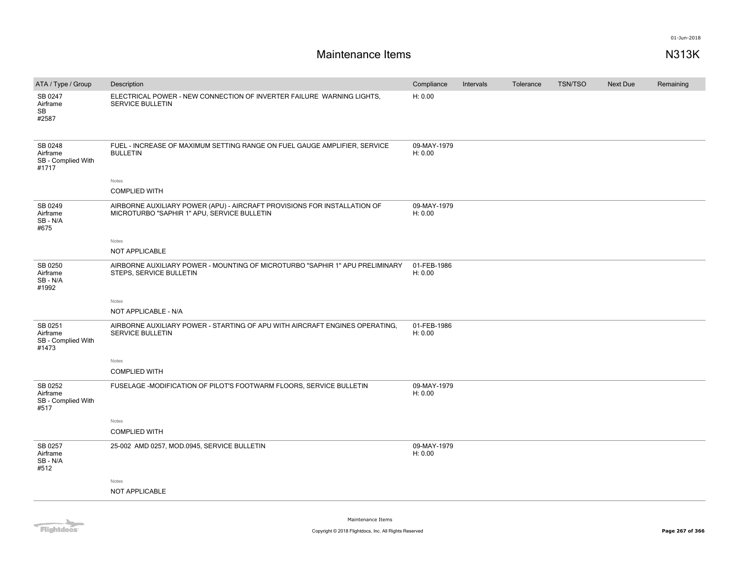| ATA / Type / Group                                 | Description                                                                                                             | Compliance             | Intervals | Tolerance | <b>TSN/TSO</b> | Next Due | Remaining |
|----------------------------------------------------|-------------------------------------------------------------------------------------------------------------------------|------------------------|-----------|-----------|----------------|----------|-----------|
| SB 0247<br>Airframe<br>SB<br>#2587                 | ELECTRICAL POWER - NEW CONNECTION OF INVERTER FAILURE WARNING LIGHTS,<br><b>SERVICE BULLETIN</b>                        | H: 0.00                |           |           |                |          |           |
| SB 0248<br>Airframe<br>SB - Complied With<br>#1717 | FUEL - INCREASE OF MAXIMUM SETTING RANGE ON FUEL GAUGE AMPLIFIER, SERVICE<br><b>BULLETIN</b>                            | 09-MAY-1979<br>H: 0.00 |           |           |                |          |           |
|                                                    | Notes                                                                                                                   |                        |           |           |                |          |           |
|                                                    | <b>COMPLIED WITH</b>                                                                                                    |                        |           |           |                |          |           |
| SB 0249<br>Airframe<br>SB - N/A<br>#675            | AIRBORNE AUXILIARY POWER (APU) - AIRCRAFT PROVISIONS FOR INSTALLATION OF<br>MICROTURBO "SAPHIR 1" APU, SERVICE BULLETIN | 09-MAY-1979<br>H: 0.00 |           |           |                |          |           |
|                                                    | Notes                                                                                                                   |                        |           |           |                |          |           |
|                                                    | <b>NOT APPLICABLE</b>                                                                                                   |                        |           |           |                |          |           |
| SB 0250<br>Airframe<br>SB - N/A<br>#1992           | AIRBORNE AUXILIARY POWER - MOUNTING OF MICROTURBO "SAPHIR 1" APU PRELIMINARY<br>STEPS, SERVICE BULLETIN                 | 01-FEB-1986<br>H: 0.00 |           |           |                |          |           |
|                                                    | Notes                                                                                                                   |                        |           |           |                |          |           |
|                                                    | NOT APPLICABLE - N/A                                                                                                    |                        |           |           |                |          |           |
| SB 0251<br>Airframe<br>SB - Complied With<br>#1473 | AIRBORNE AUXILIARY POWER - STARTING OF APU WITH AIRCRAFT ENGINES OPERATING.<br><b>SERVICE BULLETIN</b>                  | 01-FEB-1986<br>H: 0.00 |           |           |                |          |           |
|                                                    | Notes                                                                                                                   |                        |           |           |                |          |           |
|                                                    | <b>COMPLIED WITH</b>                                                                                                    |                        |           |           |                |          |           |
| SB 0252<br>Airframe<br>SB - Complied With<br>#517  | FUSELAGE - MODIFICATION OF PILOT'S FOOTWARM FLOORS, SERVICE BULLETIN                                                    | 09-MAY-1979<br>H: 0.00 |           |           |                |          |           |
|                                                    | Notes                                                                                                                   |                        |           |           |                |          |           |
|                                                    | <b>COMPLIED WITH</b>                                                                                                    |                        |           |           |                |          |           |
| SB 0257<br>Airframe<br>SB - N/A<br>#512            | 25-002 AMD 0257, MOD.0945, SERVICE BULLETIN                                                                             | 09-MAY-1979<br>H: 0.00 |           |           |                |          |           |
|                                                    | Notes                                                                                                                   |                        |           |           |                |          |           |
|                                                    | NOT APPLICABLE                                                                                                          |                        |           |           |                |          |           |
|                                                    |                                                                                                                         |                        |           |           |                |          |           |

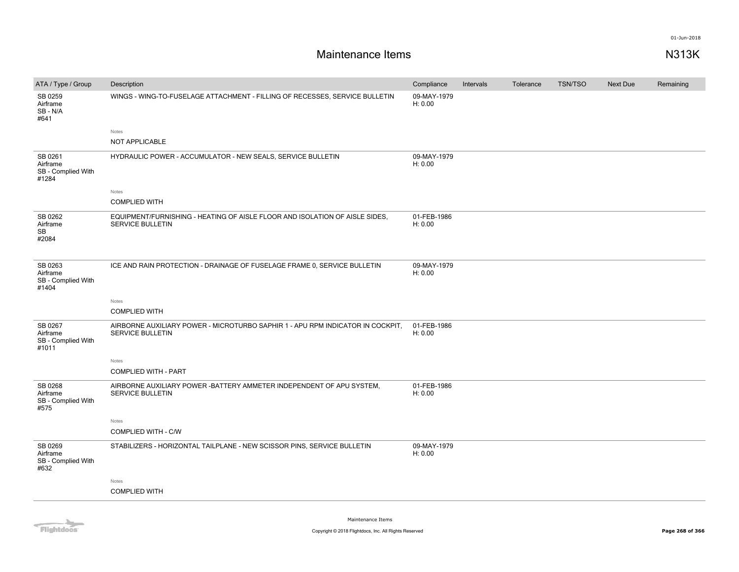| ATA / Type / Group                                 | Description                                                                                               | Compliance             | Intervals | Tolerance | <b>TSN/TSO</b> | <b>Next Due</b> | Remaining |
|----------------------------------------------------|-----------------------------------------------------------------------------------------------------------|------------------------|-----------|-----------|----------------|-----------------|-----------|
| SB 0259<br>Airframe<br>SB-N/A<br>#641              | WINGS - WING-TO-FUSELAGE ATTACHMENT - FILLING OF RECESSES, SERVICE BULLETIN                               | 09-MAY-1979<br>H: 0.00 |           |           |                |                 |           |
|                                                    | Notes<br><b>NOT APPLICABLE</b>                                                                            |                        |           |           |                |                 |           |
|                                                    |                                                                                                           |                        |           |           |                |                 |           |
| SB 0261<br>Airframe<br>SB - Complied With<br>#1284 | HYDRAULIC POWER - ACCUMULATOR - NEW SEALS, SERVICE BULLETIN                                               | 09-MAY-1979<br>H: 0.00 |           |           |                |                 |           |
|                                                    | Notes                                                                                                     |                        |           |           |                |                 |           |
|                                                    | <b>COMPLIED WITH</b>                                                                                      |                        |           |           |                |                 |           |
| SB 0262<br>Airframe<br>SB<br>#2084                 | EQUIPMENT/FURNISHING - HEATING OF AISLE FLOOR AND ISOLATION OF AISLE SIDES.<br><b>SERVICE BULLETIN</b>    | 01-FEB-1986<br>H: 0.00 |           |           |                |                 |           |
| SB 0263<br>Airframe<br>SB - Complied With<br>#1404 | ICE AND RAIN PROTECTION - DRAINAGE OF FUSELAGE FRAME 0, SERVICE BULLETIN                                  | 09-MAY-1979<br>H: 0.00 |           |           |                |                 |           |
|                                                    | Notes                                                                                                     |                        |           |           |                |                 |           |
|                                                    | <b>COMPLIED WITH</b>                                                                                      |                        |           |           |                |                 |           |
| SB 0267<br>Airframe<br>SB - Complied With<br>#1011 | AIRBORNE AUXILIARY POWER - MICROTURBO SAPHIR 1 - APU RPM INDICATOR IN COCKPIT,<br><b>SERVICE BULLETIN</b> | 01-FEB-1986<br>H: 0.00 |           |           |                |                 |           |
|                                                    | Notes                                                                                                     |                        |           |           |                |                 |           |
|                                                    | <b>COMPLIED WITH - PART</b>                                                                               |                        |           |           |                |                 |           |
| SB 0268<br>Airframe<br>SB - Complied With<br>#575  | AIRBORNE AUXILIARY POWER - BATTERY AMMETER INDEPENDENT OF APU SYSTEM,<br><b>SERVICE BULLETIN</b>          | 01-FEB-1986<br>H: 0.00 |           |           |                |                 |           |
|                                                    | Notes                                                                                                     |                        |           |           |                |                 |           |
|                                                    | <b>COMPLIED WITH - C/W</b>                                                                                |                        |           |           |                |                 |           |
| SB 0269<br>Airframe<br>SB - Complied With<br>#632  | STABILIZERS - HORIZONTAL TAILPLANE - NEW SCISSOR PINS, SERVICE BULLETIN                                   | 09-MAY-1979<br>H: 0.00 |           |           |                |                 |           |
|                                                    | Notes                                                                                                     |                        |           |           |                |                 |           |
|                                                    | <b>COMPLIED WITH</b>                                                                                      |                        |           |           |                |                 |           |
|                                                    |                                                                                                           |                        |           |           |                |                 |           |

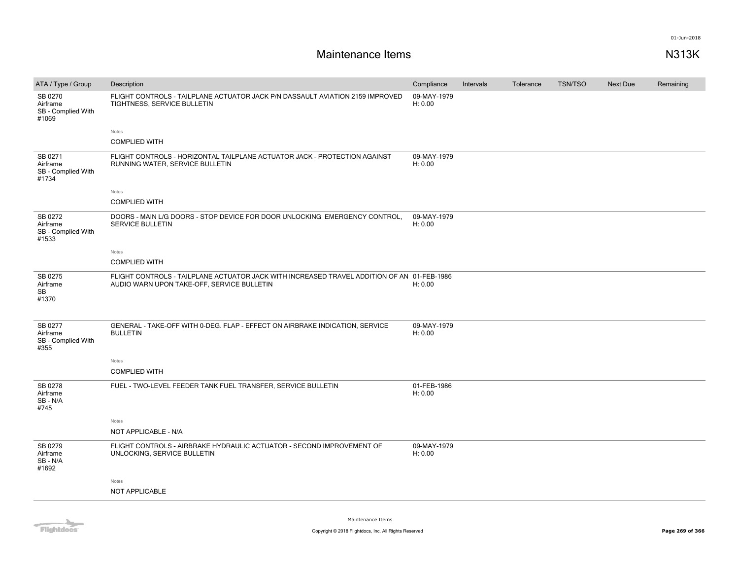| ATA / Type / Group                                 | Description                                                                                                                              | Compliance             | Intervals | Tolerance | <b>TSN/TSO</b> | Next Due | Remaining |
|----------------------------------------------------|------------------------------------------------------------------------------------------------------------------------------------------|------------------------|-----------|-----------|----------------|----------|-----------|
| SB 0270<br>Airframe<br>SB - Complied With<br>#1069 | FLIGHT CONTROLS - TAILPLANE ACTUATOR JACK P/N DASSAULT AVIATION 2159 IMPROVED<br>TIGHTNESS, SERVICE BULLETIN                             | 09-MAY-1979<br>H: 0.00 |           |           |                |          |           |
|                                                    | Notes                                                                                                                                    |                        |           |           |                |          |           |
|                                                    | <b>COMPLIED WITH</b>                                                                                                                     |                        |           |           |                |          |           |
| SB 0271<br>Airframe<br>SB - Complied With<br>#1734 | FLIGHT CONTROLS - HORIZONTAL TAILPLANE ACTUATOR JACK - PROTECTION AGAINST<br>RUNNING WATER, SERVICE BULLETIN                             | 09-MAY-1979<br>H: 0.00 |           |           |                |          |           |
|                                                    | Notes                                                                                                                                    |                        |           |           |                |          |           |
|                                                    | <b>COMPLIED WITH</b>                                                                                                                     |                        |           |           |                |          |           |
| SB 0272<br>Airframe<br>SB - Complied With<br>#1533 | DOORS - MAIN L/G DOORS - STOP DEVICE FOR DOOR UNLOCKING EMERGENCY CONTROL,<br>SERVICE BULLETIN                                           | 09-MAY-1979<br>H: 0.00 |           |           |                |          |           |
|                                                    | Notes                                                                                                                                    |                        |           |           |                |          |           |
|                                                    | <b>COMPLIED WITH</b>                                                                                                                     |                        |           |           |                |          |           |
| SB 0275<br>Airframe<br><b>SB</b><br>#1370          | FLIGHT CONTROLS - TAILPLANE ACTUATOR JACK WITH INCREASED TRAVEL ADDITION OF AN 01-FEB-1986<br>AUDIO WARN UPON TAKE-OFF, SERVICE BULLETIN | H: 0.00                |           |           |                |          |           |
| SB 0277<br>Airframe<br>SB - Complied With<br>#355  | GENERAL - TAKE-OFF WITH 0-DEG. FLAP - EFFECT ON AIRBRAKE INDICATION, SERVICE<br><b>BULLETIN</b>                                          | 09-MAY-1979<br>H: 0.00 |           |           |                |          |           |
|                                                    | Notes                                                                                                                                    |                        |           |           |                |          |           |
|                                                    | <b>COMPLIED WITH</b>                                                                                                                     |                        |           |           |                |          |           |
| SB 0278<br>Airframe<br>SB-N/A<br>#745              | FUEL - TWO-LEVEL FEEDER TANK FUEL TRANSFER, SERVICE BULLETIN                                                                             | 01-FEB-1986<br>H: 0.00 |           |           |                |          |           |
|                                                    | Notes                                                                                                                                    |                        |           |           |                |          |           |
|                                                    | NOT APPLICABLE - N/A                                                                                                                     |                        |           |           |                |          |           |
| SB 0279<br>Airframe<br>SB-N/A<br>#1692             | FLIGHT CONTROLS - AIRBRAKE HYDRAULIC ACTUATOR - SECOND IMPROVEMENT OF<br>UNLOCKING, SERVICE BULLETIN                                     | 09-MAY-1979<br>H: 0.00 |           |           |                |          |           |
|                                                    | Notes                                                                                                                                    |                        |           |           |                |          |           |
|                                                    | NOT APPLICABLE                                                                                                                           |                        |           |           |                |          |           |
|                                                    |                                                                                                                                          |                        |           |           |                |          |           |

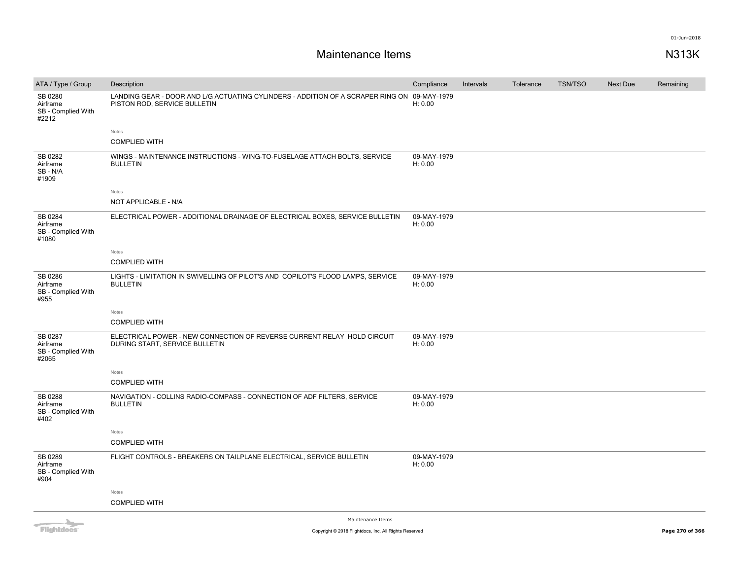# **Maintenance Items N313K**

| ATA / Type / Group                                 | Description                                                                                                                 | Compliance             | Intervals | Tolerance | <b>TSN/TSO</b> | Next Due | Remaining |
|----------------------------------------------------|-----------------------------------------------------------------------------------------------------------------------------|------------------------|-----------|-----------|----------------|----------|-----------|
| SB 0280<br>Airframe<br>SB - Complied With<br>#2212 | LANDING GEAR - DOOR AND L/G ACTUATING CYLINDERS - ADDITION OF A SCRAPER RING ON 09-MAY-1979<br>PISTON ROD, SERVICE BULLETIN | H: 0.00                |           |           |                |          |           |
|                                                    | Notes                                                                                                                       |                        |           |           |                |          |           |
|                                                    | <b>COMPLIED WITH</b>                                                                                                        |                        |           |           |                |          |           |
| SB 0282<br>Airframe<br>SB - N/A<br>#1909           | WINGS - MAINTENANCE INSTRUCTIONS - WING-TO-FUSELAGE ATTACH BOLTS, SERVICE<br><b>BULLETIN</b>                                | 09-MAY-1979<br>H: 0.00 |           |           |                |          |           |
|                                                    | Notes                                                                                                                       |                        |           |           |                |          |           |
|                                                    | NOT APPLICABLE - N/A                                                                                                        |                        |           |           |                |          |           |
| SB 0284<br>Airframe<br>SB - Complied With<br>#1080 | ELECTRICAL POWER - ADDITIONAL DRAINAGE OF ELECTRICAL BOXES, SERVICE BULLETIN                                                | 09-MAY-1979<br>H: 0.00 |           |           |                |          |           |
|                                                    | Notes                                                                                                                       |                        |           |           |                |          |           |
|                                                    | <b>COMPLIED WITH</b>                                                                                                        |                        |           |           |                |          |           |
| SB 0286<br>Airframe<br>SB - Complied With<br>#955  | LIGHTS - LIMITATION IN SWIVELLING OF PILOT'S AND COPILOT'S FLOOD LAMPS, SERVICE<br><b>BULLETIN</b>                          | 09-MAY-1979<br>H: 0.00 |           |           |                |          |           |
|                                                    | Notes                                                                                                                       |                        |           |           |                |          |           |
|                                                    | <b>COMPLIED WITH</b>                                                                                                        |                        |           |           |                |          |           |
| SB 0287<br>Airframe<br>SB - Complied With<br>#2065 | ELECTRICAL POWER - NEW CONNECTION OF REVERSE CURRENT RELAY HOLD CIRCUIT<br>DURING START, SERVICE BULLETIN                   | 09-MAY-1979<br>H: 0.00 |           |           |                |          |           |
|                                                    | Notes                                                                                                                       |                        |           |           |                |          |           |
|                                                    | <b>COMPLIED WITH</b>                                                                                                        |                        |           |           |                |          |           |
| SB 0288<br>Airframe<br>SB - Complied With<br>#402  | NAVIGATION - COLLINS RADIO-COMPASS - CONNECTION OF ADF FILTERS, SERVICE<br><b>BULLETIN</b>                                  | 09-MAY-1979<br>H: 0.00 |           |           |                |          |           |
|                                                    | Notes                                                                                                                       |                        |           |           |                |          |           |
|                                                    | <b>COMPLIED WITH</b>                                                                                                        |                        |           |           |                |          |           |
| SB 0289<br>Airframe<br>SB - Complied With<br>#904  | FLIGHT CONTROLS - BREAKERS ON TAILPLANE ELECTRICAL, SERVICE BULLETIN                                                        | 09-MAY-1979<br>H: 0.00 |           |           |                |          |           |
|                                                    | Notes                                                                                                                       |                        |           |           |                |          |           |
|                                                    | <b>COMPLIED WITH</b>                                                                                                        |                        |           |           |                |          |           |
|                                                    | Maintenance Trame                                                                                                           |                        |           |           |                |          |           |

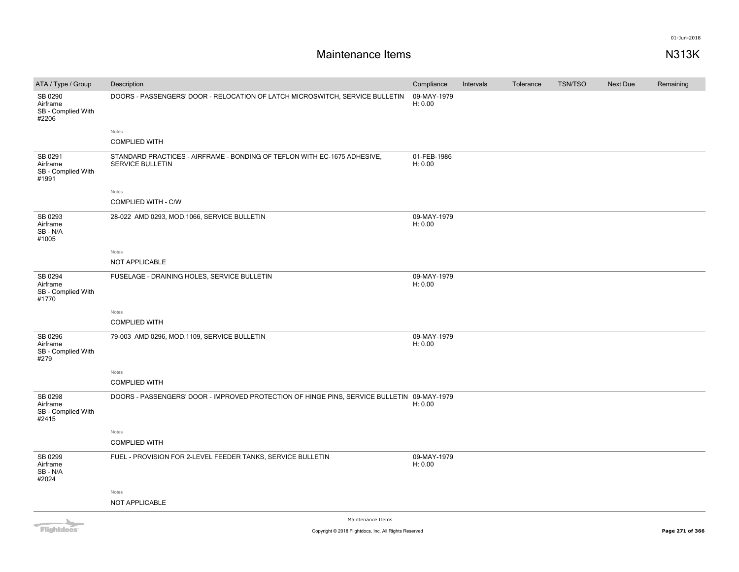# **Maintenance Items N313K**

| ATA / Type / Group                                 | Description                                                                                  | Compliance             | Intervals | Tolerance | <b>TSN/TSO</b> | Next Due | Remaining |
|----------------------------------------------------|----------------------------------------------------------------------------------------------|------------------------|-----------|-----------|----------------|----------|-----------|
| SB 0290<br>Airframe<br>SB - Complied With<br>#2206 | DOORS - PASSENGERS' DOOR - RELOCATION OF LATCH MICROSWITCH, SERVICE BULLETIN                 | 09-MAY-1979<br>H: 0.00 |           |           |                |          |           |
|                                                    | Notes                                                                                        |                        |           |           |                |          |           |
|                                                    | <b>COMPLIED WITH</b>                                                                         |                        |           |           |                |          |           |
| SB 0291<br>Airframe<br>SB - Complied With<br>#1991 | STANDARD PRACTICES - AIRFRAME - BONDING OF TEFLON WITH EC-1675 ADHESIVE,<br>SERVICE BULLETIN | 01-FEB-1986<br>H: 0.00 |           |           |                |          |           |
|                                                    | Notes                                                                                        |                        |           |           |                |          |           |
|                                                    | COMPLIED WITH - C/W                                                                          |                        |           |           |                |          |           |
| SB 0293<br>Airframe<br>SB-N/A<br>#1005             | 28-022 AMD 0293, MOD.1066, SERVICE BULLETIN                                                  | 09-MAY-1979<br>H: 0.00 |           |           |                |          |           |
|                                                    | Notes                                                                                        |                        |           |           |                |          |           |
|                                                    | NOT APPLICABLE                                                                               |                        |           |           |                |          |           |
| SB 0294<br>Airframe<br>SB - Complied With<br>#1770 | FUSELAGE - DRAINING HOLES, SERVICE BULLETIN                                                  | 09-MAY-1979<br>H: 0.00 |           |           |                |          |           |
|                                                    | Notes                                                                                        |                        |           |           |                |          |           |
|                                                    | <b>COMPLIED WITH</b>                                                                         |                        |           |           |                |          |           |
|                                                    |                                                                                              |                        |           |           |                |          |           |
| SB 0296<br>Airframe<br>SB - Complied With<br>#279  | 79-003 AMD 0296, MOD.1109, SERVICE BULLETIN                                                  | 09-MAY-1979<br>H: 0.00 |           |           |                |          |           |
|                                                    | Notes                                                                                        |                        |           |           |                |          |           |
|                                                    | <b>COMPLIED WITH</b>                                                                         |                        |           |           |                |          |           |
| SB 0298<br>Airframe<br>SB - Complied With<br>#2415 | DOORS - PASSENGERS' DOOR - IMPROVED PROTECTION OF HINGE PINS, SERVICE BULLETIN 09-MAY-1979   | H: 0.00                |           |           |                |          |           |
|                                                    | Notes                                                                                        |                        |           |           |                |          |           |
|                                                    | <b>COMPLIED WITH</b>                                                                         |                        |           |           |                |          |           |
| SB 0299<br>Airframe<br>SB-N/A<br>#2024             | FUEL - PROVISION FOR 2-LEVEL FEEDER TANKS, SERVICE BULLETIN                                  | 09-MAY-1979<br>H: 0.00 |           |           |                |          |           |
|                                                    | Notes                                                                                        |                        |           |           |                |          |           |
|                                                    | NOT APPLICABLE                                                                               |                        |           |           |                |          |           |
|                                                    | Maintenance Trame                                                                            |                        |           |           |                |          |           |

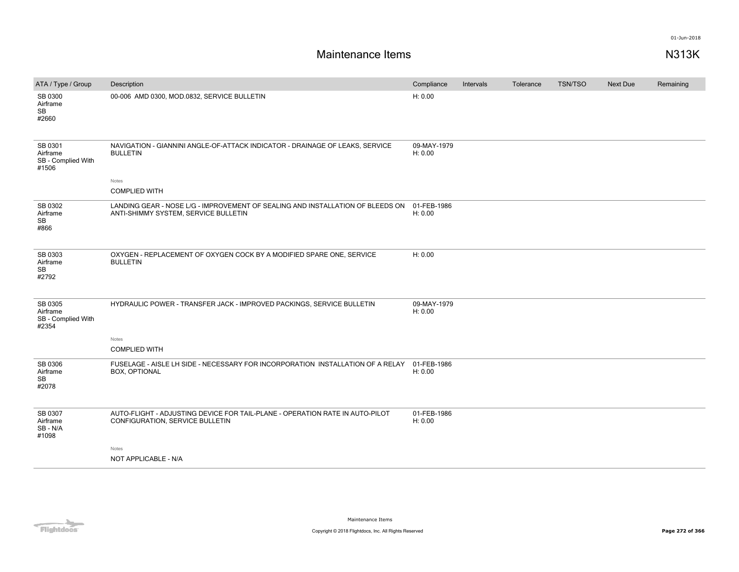| ATA / Type / Group                                 | Description                                                                                                            | Compliance             | Intervals | Tolerance | TSN/TSO | <b>Next Due</b> | Remaining |
|----------------------------------------------------|------------------------------------------------------------------------------------------------------------------------|------------------------|-----------|-----------|---------|-----------------|-----------|
| SB 0300<br>Airframe<br>SB<br>#2660                 | 00-006 AMD 0300, MOD.0832, SERVICE BULLETIN                                                                            | H: 0.00                |           |           |         |                 |           |
| SB 0301<br>Airframe<br>SB - Complied With<br>#1506 | NAVIGATION - GIANNINI ANGLE-OF-ATTACK INDICATOR - DRAINAGE OF LEAKS, SERVICE<br><b>BULLETIN</b>                        | 09-MAY-1979<br>H: 0.00 |           |           |         |                 |           |
|                                                    | Notes                                                                                                                  |                        |           |           |         |                 |           |
|                                                    | <b>COMPLIED WITH</b>                                                                                                   |                        |           |           |         |                 |           |
| SB 0302<br>Airframe<br><b>SB</b><br>#866           | LANDING GEAR - NOSE L/G - IMPROVEMENT OF SEALING AND INSTALLATION OF BLEEDS ON<br>ANTI-SHIMMY SYSTEM, SERVICE BULLETIN | 01-FEB-1986<br>H: 0.00 |           |           |         |                 |           |
| SB 0303<br>Airframe<br><b>SB</b><br>#2792          | OXYGEN - REPLACEMENT OF OXYGEN COCK BY A MODIFIED SPARE ONE, SERVICE<br><b>BULLETIN</b>                                | H: 0.00                |           |           |         |                 |           |
| SB 0305<br>Airframe<br>SB - Complied With<br>#2354 | HYDRAULIC POWER - TRANSFER JACK - IMPROVED PACKINGS, SERVICE BULLETIN                                                  | 09-MAY-1979<br>H: 0.00 |           |           |         |                 |           |
|                                                    | Notes                                                                                                                  |                        |           |           |         |                 |           |
|                                                    | <b>COMPLIED WITH</b>                                                                                                   |                        |           |           |         |                 |           |
| SB 0306<br>Airframe<br><b>SB</b><br>#2078          | FUSELAGE - AISLE LH SIDE - NECESSARY FOR INCORPORATION INSTALLATION OF A RELAY<br>BOX, OPTIONAL                        | 01-FEB-1986<br>H: 0.00 |           |           |         |                 |           |
| SB 0307<br>Airframe<br>SB-N/A<br>#1098             | AUTO-FLIGHT - ADJUSTING DEVICE FOR TAIL-PLANE - OPERATION RATE IN AUTO-PILOT<br>CONFIGURATION, SERVICE BULLETIN        | 01-FEB-1986<br>H: 0.00 |           |           |         |                 |           |
|                                                    | Notes<br>NOT APPLICABLE - N/A                                                                                          |                        |           |           |         |                 |           |

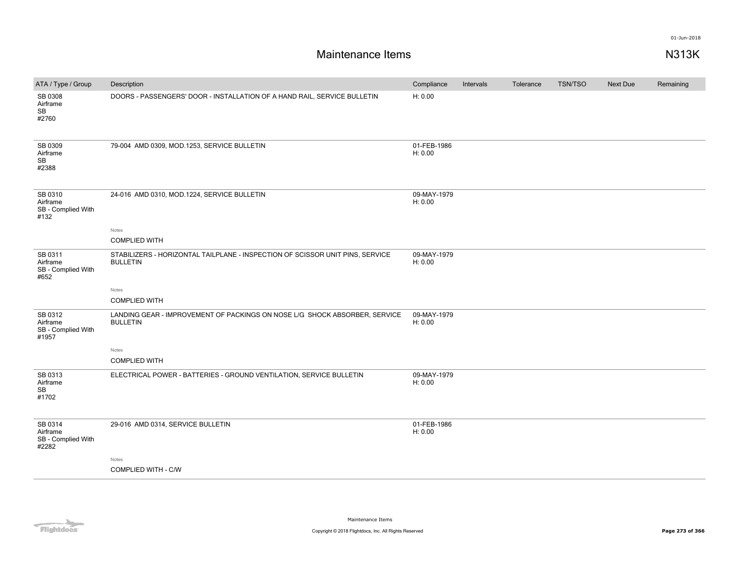| ATA / Type / Group                                     | Description                                                                                      | Compliance             | Intervals | Tolerance | <b>TSN/TSO</b> | <b>Next Due</b> | Remaining |
|--------------------------------------------------------|--------------------------------------------------------------------------------------------------|------------------------|-----------|-----------|----------------|-----------------|-----------|
| SB 0308<br>Airframe<br><b>SB</b><br>#2760              | DOORS - PASSENGERS' DOOR - INSTALLATION OF A HAND RAIL, SERVICE BULLETIN                         | H: 0.00                |           |           |                |                 |           |
| SB 0309<br>Airframe<br>$\mathbb{S}\mathbb{B}$<br>#2388 | 79-004 AMD 0309, MOD.1253, SERVICE BULLETIN                                                      | 01-FEB-1986<br>H: 0.00 |           |           |                |                 |           |
| SB 0310<br>Airframe<br>SB - Complied With<br>#132      | 24-016 AMD 0310, MOD.1224, SERVICE BULLETIN                                                      | 09-MAY-1979<br>H: 0.00 |           |           |                |                 |           |
|                                                        | Notes<br><b>COMPLIED WITH</b>                                                                    |                        |           |           |                |                 |           |
| SB 0311<br>Airframe<br>SB - Complied With<br>#652      | STABILIZERS - HORIZONTAL TAILPLANE - INSPECTION OF SCISSOR UNIT PINS, SERVICE<br><b>BULLETIN</b> | 09-MAY-1979<br>H: 0.00 |           |           |                |                 |           |
|                                                        | Notes                                                                                            |                        |           |           |                |                 |           |
|                                                        | <b>COMPLIED WITH</b>                                                                             |                        |           |           |                |                 |           |
| SB 0312<br>Airframe<br>SB - Complied With<br>#1957     | LANDING GEAR - IMPROVEMENT OF PACKINGS ON NOSE L/G SHOCK ABSORBER, SERVICE<br><b>BULLETIN</b>    | 09-MAY-1979<br>H: 0.00 |           |           |                |                 |           |
|                                                        | Notes<br><b>COMPLIED WITH</b>                                                                    |                        |           |           |                |                 |           |
| SB 0313<br>Airframe<br>SB<br>#1702                     | ELECTRICAL POWER - BATTERIES - GROUND VENTILATION, SERVICE BULLETIN                              | 09-MAY-1979<br>H: 0.00 |           |           |                |                 |           |
| SB 0314<br>Airframe<br>SB - Complied With<br>#2282     | 29-016 AMD 0314, SERVICE BULLETIN                                                                | 01-FEB-1986<br>H: 0.00 |           |           |                |                 |           |
|                                                        | Notes<br><b>COMPLIED WITH - C/W</b>                                                              |                        |           |           |                |                 |           |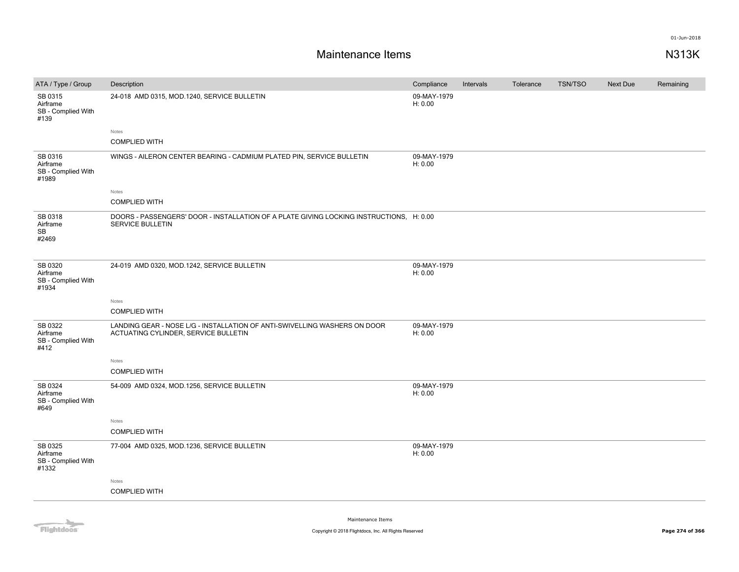| ATA / Type / Group                                 | Description                                                                                                        | Compliance             | Intervals | Tolerance | <b>TSN/TSO</b> | Next Due | Remaining |
|----------------------------------------------------|--------------------------------------------------------------------------------------------------------------------|------------------------|-----------|-----------|----------------|----------|-----------|
| SB 0315<br>Airframe<br>SB - Complied With<br>#139  | 24-018 AMD 0315, MOD.1240, SERVICE BULLETIN                                                                        | 09-MAY-1979<br>H: 0.00 |           |           |                |          |           |
|                                                    | Notes<br><b>COMPLIED WITH</b>                                                                                      |                        |           |           |                |          |           |
| SB 0316<br>Airframe<br>SB - Complied With<br>#1989 | WINGS - AILERON CENTER BEARING - CADMIUM PLATED PIN, SERVICE BULLETIN                                              | 09-MAY-1979<br>H: 0.00 |           |           |                |          |           |
|                                                    | Notes                                                                                                              |                        |           |           |                |          |           |
|                                                    | <b>COMPLIED WITH</b>                                                                                               |                        |           |           |                |          |           |
| SB 0318<br>Airframe<br>SB<br>#2469                 | DOORS - PASSENGERS' DOOR - INSTALLATION OF A PLATE GIVING LOCKING INSTRUCTIONS, H: 0.00<br><b>SERVICE BULLETIN</b> |                        |           |           |                |          |           |
| SB 0320<br>Airframe<br>SB - Complied With<br>#1934 | 24-019 AMD 0320, MOD.1242, SERVICE BULLETIN                                                                        | 09-MAY-1979<br>H: 0.00 |           |           |                |          |           |
|                                                    | Notes                                                                                                              |                        |           |           |                |          |           |
|                                                    | <b>COMPLIED WITH</b>                                                                                               |                        |           |           |                |          |           |
| SB 0322<br>Airframe<br>SB - Complied With<br>#412  | LANDING GEAR - NOSE L/G - INSTALLATION OF ANTI-SWIVELLING WASHERS ON DOOR<br>ACTUATING CYLINDER, SERVICE BULLETIN  | 09-MAY-1979<br>H: 0.00 |           |           |                |          |           |
|                                                    | Notes                                                                                                              |                        |           |           |                |          |           |
|                                                    | <b>COMPLIED WITH</b>                                                                                               |                        |           |           |                |          |           |
| SB 0324<br>Airframe<br>SB - Complied With<br>#649  | 54-009 AMD 0324, MOD.1256, SERVICE BULLETIN                                                                        | 09-MAY-1979<br>H: 0.00 |           |           |                |          |           |
|                                                    | Notes                                                                                                              |                        |           |           |                |          |           |
|                                                    | <b>COMPLIED WITH</b>                                                                                               |                        |           |           |                |          |           |
| SB 0325<br>Airframe<br>SB - Complied With<br>#1332 | 77-004 AMD 0325, MOD.1236, SERVICE BULLETIN                                                                        | 09-MAY-1979<br>H: 0.00 |           |           |                |          |           |
|                                                    | Notes                                                                                                              |                        |           |           |                |          |           |
|                                                    | <b>COMPLIED WITH</b>                                                                                               |                        |           |           |                |          |           |
|                                                    |                                                                                                                    |                        |           |           |                |          |           |

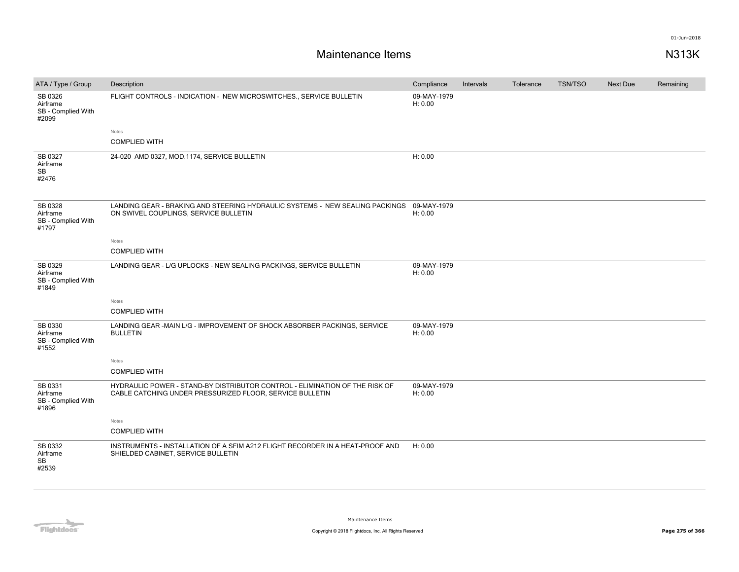| ATA / Type / Group                                 | Description                                                                                                                             | Compliance             | Intervals | Tolerance | <b>TSN/TSO</b> | Next Due | Remaining |
|----------------------------------------------------|-----------------------------------------------------------------------------------------------------------------------------------------|------------------------|-----------|-----------|----------------|----------|-----------|
| SB 0326<br>Airframe<br>SB - Complied With<br>#2099 | FLIGHT CONTROLS - INDICATION - NEW MICROSWITCHES., SERVICE BULLETIN                                                                     | 09-MAY-1979<br>H: 0.00 |           |           |                |          |           |
|                                                    | Notes                                                                                                                                   |                        |           |           |                |          |           |
|                                                    | <b>COMPLIED WITH</b>                                                                                                                    |                        |           |           |                |          |           |
| SB 0327<br>Airframe<br><b>SB</b><br>#2476          | 24-020 AMD 0327, MOD.1174, SERVICE BULLETIN                                                                                             | H: 0.00                |           |           |                |          |           |
| SB 0328<br>Airframe<br>SB - Complied With<br>#1797 | LANDING GEAR - BRAKING AND STEERING HYDRAULIC SYSTEMS - NEW SEALING PACKINGS 09-MAY-1979<br>ON SWIVEL COUPLINGS, SERVICE BULLETIN       | H: 0.00                |           |           |                |          |           |
|                                                    | Notes                                                                                                                                   |                        |           |           |                |          |           |
|                                                    | <b>COMPLIED WITH</b>                                                                                                                    |                        |           |           |                |          |           |
| SB 0329<br>Airframe<br>SB - Complied With<br>#1849 | LANDING GEAR - L/G UPLOCKS - NEW SEALING PACKINGS, SERVICE BULLETIN                                                                     | 09-MAY-1979<br>H: 0.00 |           |           |                |          |           |
|                                                    | Notes                                                                                                                                   |                        |           |           |                |          |           |
|                                                    | <b>COMPLIED WITH</b>                                                                                                                    |                        |           |           |                |          |           |
| SB 0330<br>Airframe<br>SB - Complied With<br>#1552 | LANDING GEAR -MAIN L/G - IMPROVEMENT OF SHOCK ABSORBER PACKINGS, SERVICE<br><b>BULLETIN</b>                                             | 09-MAY-1979<br>H: 0.00 |           |           |                |          |           |
|                                                    | Notes                                                                                                                                   |                        |           |           |                |          |           |
|                                                    | <b>COMPLIED WITH</b>                                                                                                                    |                        |           |           |                |          |           |
| SB 0331<br>Airframe<br>SB - Complied With<br>#1896 | HYDRAULIC POWER - STAND-BY DISTRIBUTOR CONTROL - ELIMINATION OF THE RISK OF<br>CABLE CATCHING UNDER PRESSURIZED FLOOR, SERVICE BULLETIN | 09-MAY-1979<br>H: 0.00 |           |           |                |          |           |
|                                                    | Notes                                                                                                                                   |                        |           |           |                |          |           |
|                                                    | <b>COMPLIED WITH</b>                                                                                                                    |                        |           |           |                |          |           |
| SB 0332<br>Airframe<br><b>SB</b><br>#2539          | INSTRUMENTS - INSTALLATION OF A SFIM A212 FLIGHT RECORDER IN A HEAT-PROOF AND<br>SHIELDED CABINET, SERVICE BULLETIN                     | H: 0.00                |           |           |                |          |           |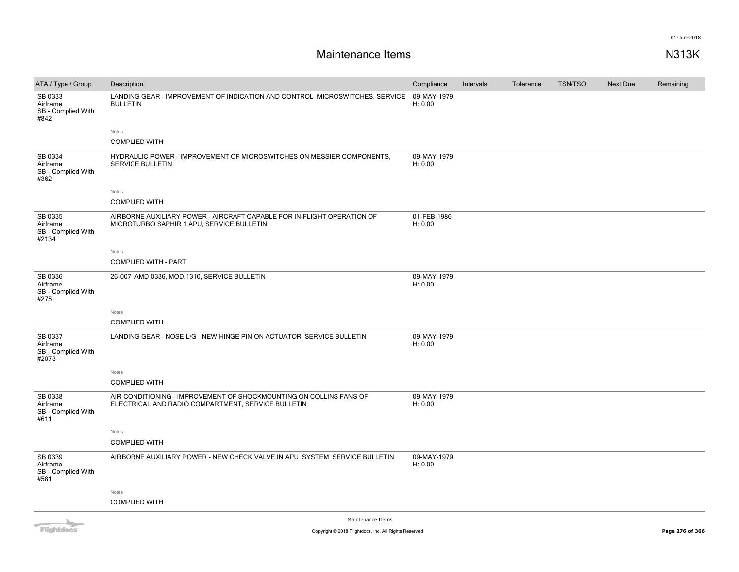# **Maintenance Items N313K**

| ATA / Type / Group                                 | Description                                                                                                              | Compliance             | Intervals | Tolerance | <b>TSN/TSO</b> | Next Due | Remaining |
|----------------------------------------------------|--------------------------------------------------------------------------------------------------------------------------|------------------------|-----------|-----------|----------------|----------|-----------|
| SB 0333<br>Airframe<br>SB - Complied With<br>#842  | LANDING GEAR - IMPROVEMENT OF INDICATION AND CONTROL MICROSWITCHES, SERVICE<br><b>BULLETIN</b>                           | 09-MAY-1979<br>H: 0.00 |           |           |                |          |           |
|                                                    | Notes                                                                                                                    |                        |           |           |                |          |           |
|                                                    | <b>COMPLIED WITH</b>                                                                                                     |                        |           |           |                |          |           |
| SB 0334<br>Airframe<br>SB - Complied With<br>#362  | HYDRAULIC POWER - IMPROVEMENT OF MICROSWITCHES ON MESSIER COMPONENTS,<br><b>SERVICE BULLETIN</b>                         | 09-MAY-1979<br>H: 0.00 |           |           |                |          |           |
|                                                    | Notes                                                                                                                    |                        |           |           |                |          |           |
|                                                    | <b>COMPLIED WITH</b>                                                                                                     |                        |           |           |                |          |           |
| SB 0335<br>Airframe<br>SB - Complied With<br>#2134 | AIRBORNE AUXILIARY POWER - AIRCRAFT CAPABLE FOR IN-FLIGHT OPERATION OF<br>MICROTURBO SAPHIR 1 APU, SERVICE BULLETIN      | 01-FEB-1986<br>H: 0.00 |           |           |                |          |           |
|                                                    | Notes                                                                                                                    |                        |           |           |                |          |           |
|                                                    | <b>COMPLIED WITH - PART</b>                                                                                              |                        |           |           |                |          |           |
| SB 0336<br>Airframe<br>SB - Complied With<br>#275  | 26-007 AMD 0336, MOD.1310, SERVICE BULLETIN                                                                              | 09-MAY-1979<br>H: 0.00 |           |           |                |          |           |
|                                                    | Notes                                                                                                                    |                        |           |           |                |          |           |
|                                                    | <b>COMPLIED WITH</b>                                                                                                     |                        |           |           |                |          |           |
| SB 0337<br>Airframe<br>SB - Complied With<br>#2073 | LANDING GEAR - NOSE L/G - NEW HINGE PIN ON ACTUATOR, SERVICE BULLETIN                                                    | 09-MAY-1979<br>H: 0.00 |           |           |                |          |           |
|                                                    | Notes                                                                                                                    |                        |           |           |                |          |           |
|                                                    | <b>COMPLIED WITH</b>                                                                                                     |                        |           |           |                |          |           |
| SB 0338<br>Airframe<br>SB - Complied With<br>#611  | AIR CONDITIONING - IMPROVEMENT OF SHOCKMOUNTING ON COLLINS FANS OF<br>ELECTRICAL AND RADIO COMPARTMENT, SERVICE BULLETIN | 09-MAY-1979<br>H: 0.00 |           |           |                |          |           |
|                                                    | Notes                                                                                                                    |                        |           |           |                |          |           |
|                                                    | <b>COMPLIED WITH</b>                                                                                                     |                        |           |           |                |          |           |
| SB 0339<br>Airframe<br>SB - Complied With<br>#581  | AIRBORNE AUXILIARY POWER - NEW CHECK VALVE IN APU SYSTEM, SERVICE BULLETIN                                               | 09-MAY-1979<br>H: 0.00 |           |           |                |          |           |
|                                                    | Notes                                                                                                                    |                        |           |           |                |          |           |
|                                                    | <b>COMPLIED WITH</b>                                                                                                     |                        |           |           |                |          |           |
|                                                    |                                                                                                                          |                        |           |           |                |          |           |

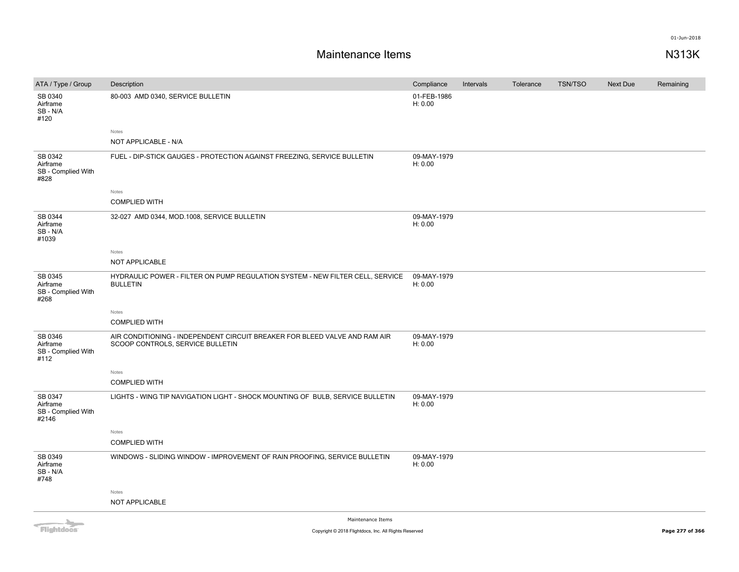| ATA / Type / Group                                 | Description                                                                                                    | Compliance             | Intervals | Tolerance | <b>TSN/TSO</b> | Next Due | Remaining |
|----------------------------------------------------|----------------------------------------------------------------------------------------------------------------|------------------------|-----------|-----------|----------------|----------|-----------|
| SB 0340<br>Airframe<br>SB-N/A<br>#120              | 80-003 AMD 0340, SERVICE BULLETIN                                                                              | 01-FEB-1986<br>H: 0.00 |           |           |                |          |           |
|                                                    | Notes                                                                                                          |                        |           |           |                |          |           |
|                                                    | NOT APPLICABLE - N/A                                                                                           |                        |           |           |                |          |           |
| SB 0342<br>Airframe<br>SB - Complied With<br>#828  | FUEL - DIP-STICK GAUGES - PROTECTION AGAINST FREEZING, SERVICE BULLETIN                                        | 09-MAY-1979<br>H: 0.00 |           |           |                |          |           |
|                                                    | Notes                                                                                                          |                        |           |           |                |          |           |
|                                                    | <b>COMPLIED WITH</b>                                                                                           |                        |           |           |                |          |           |
| SB 0344<br>Airframe<br>SB - N/A<br>#1039           | 32-027 AMD 0344, MOD.1008, SERVICE BULLETIN                                                                    | 09-MAY-1979<br>H: 0.00 |           |           |                |          |           |
|                                                    | Notes                                                                                                          |                        |           |           |                |          |           |
|                                                    | NOT APPLICABLE                                                                                                 |                        |           |           |                |          |           |
| SB 0345<br>Airframe<br>SB - Complied With<br>#268  | HYDRAULIC POWER - FILTER ON PUMP REGULATION SYSTEM - NEW FILTER CELL, SERVICE<br><b>BULLETIN</b>               | 09-MAY-1979<br>H: 0.00 |           |           |                |          |           |
|                                                    | Notes                                                                                                          |                        |           |           |                |          |           |
|                                                    | <b>COMPLIED WITH</b>                                                                                           |                        |           |           |                |          |           |
| SB 0346<br>Airframe<br>SB - Complied With<br>#112  | AIR CONDITIONING - INDEPENDENT CIRCUIT BREAKER FOR BLEED VALVE AND RAM AIR<br>SCOOP CONTROLS, SERVICE BULLETIN | 09-MAY-1979<br>H: 0.00 |           |           |                |          |           |
|                                                    | Notes                                                                                                          |                        |           |           |                |          |           |
|                                                    | <b>COMPLIED WITH</b>                                                                                           |                        |           |           |                |          |           |
| SB 0347<br>Airframe<br>SB - Complied With<br>#2146 | LIGHTS - WING TIP NAVIGATION LIGHT - SHOCK MOUNTING OF BULB, SERVICE BULLETIN                                  | 09-MAY-1979<br>H: 0.00 |           |           |                |          |           |
|                                                    | Notes                                                                                                          |                        |           |           |                |          |           |
|                                                    | <b>COMPLIED WITH</b>                                                                                           |                        |           |           |                |          |           |
| SB 0349<br>Airframe<br>SB - N/A<br>#748            | WINDOWS - SLIDING WINDOW - IMPROVEMENT OF RAIN PROOFING, SERVICE BULLETIN                                      | 09-MAY-1979<br>H: 0.00 |           |           |                |          |           |
|                                                    | Notes                                                                                                          |                        |           |           |                |          |           |
|                                                    | NOT APPLICABLE                                                                                                 |                        |           |           |                |          |           |
| <b>CONTRACTOR</b>                                  | Maintenance Items                                                                                              |                        |           |           |                |          |           |

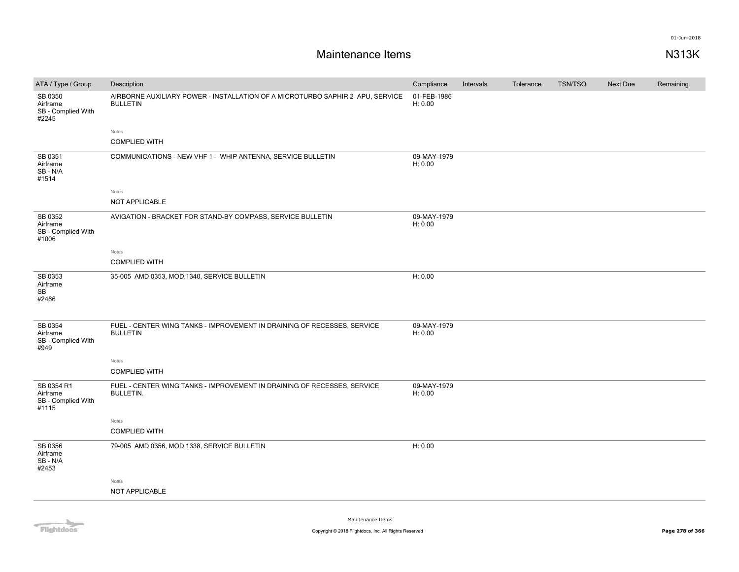# **Maintenance Items N313K**

| 01-FEB-1986<br>SB 0350<br>AIRBORNE AUXILIARY POWER - INSTALLATION OF A MICROTURBO SAPHIR 2 APU, SERVICE                                                                        |  |
|--------------------------------------------------------------------------------------------------------------------------------------------------------------------------------|--|
| H: 0.00<br>Airframe<br><b>BULLETIN</b><br>SB - Complied With<br>#2245                                                                                                          |  |
| Notes<br><b>COMPLIED WITH</b>                                                                                                                                                  |  |
| SB 0351<br>COMMUNICATIONS - NEW VHF 1 - WHIP ANTENNA, SERVICE BULLETIN<br>09-MAY-1979<br>H: 0.00<br>Airframe<br>SB-N/A<br>#1514                                                |  |
| Notes                                                                                                                                                                          |  |
| NOT APPLICABLE                                                                                                                                                                 |  |
| SB 0352<br>AVIGATION - BRACKET FOR STAND-BY COMPASS, SERVICE BULLETIN<br>09-MAY-1979<br>H: 0.00<br>Airframe<br>SB - Complied With<br>#1006                                     |  |
| Notes                                                                                                                                                                          |  |
| <b>COMPLIED WITH</b>                                                                                                                                                           |  |
| SB 0353<br>H: 0.00<br>35-005 AMD 0353, MOD.1340, SERVICE BULLETIN<br>Airframe<br><b>SB</b><br>#2466                                                                            |  |
| SB 0354<br>09-MAY-1979<br>FUEL - CENTER WING TANKS - IMPROVEMENT IN DRAINING OF RECESSES, SERVICE<br><b>BULLETIN</b><br>H: 0.00<br>Airframe<br>SB - Complied With<br>#949      |  |
| Notes                                                                                                                                                                          |  |
| <b>COMPLIED WITH</b>                                                                                                                                                           |  |
| SB 0354 R1<br>FUEL - CENTER WING TANKS - IMPROVEMENT IN DRAINING OF RECESSES, SERVICE<br>09-MAY-1979<br>Airframe<br><b>BULLETIN.</b><br>H: 0.00<br>SB - Complied With<br>#1115 |  |
| Notes                                                                                                                                                                          |  |
| <b>COMPLIED WITH</b>                                                                                                                                                           |  |
| SB 0356<br>79-005 AMD 0356, MOD.1338, SERVICE BULLETIN<br>H: 0.00<br>Airframe<br>SB-N/A<br>#2453                                                                               |  |
| Notes                                                                                                                                                                          |  |
| NOT APPLICABLE                                                                                                                                                                 |  |

Flightdocs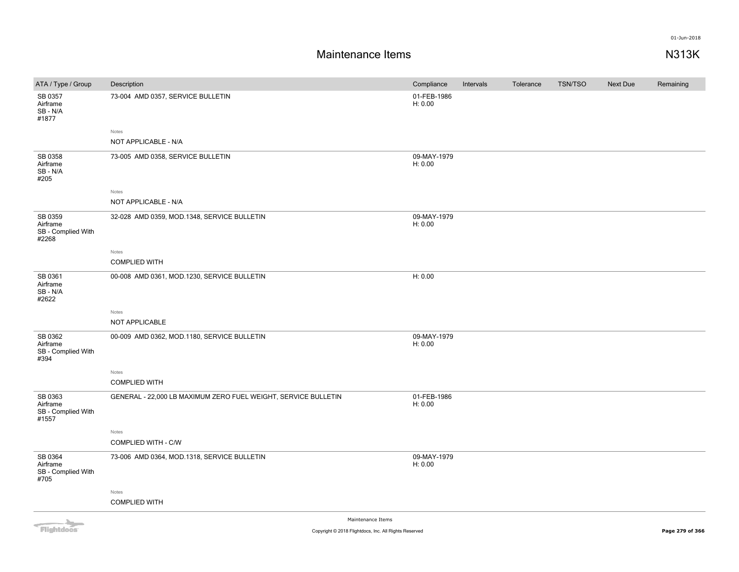## **Maintenance Items N313K**

| ATA / Type / Group                                 | Description                                                    | Compliance             | Intervals | Tolerance | <b>TSN/TSO</b> | Next Due | Remaining |
|----------------------------------------------------|----------------------------------------------------------------|------------------------|-----------|-----------|----------------|----------|-----------|
| SB 0357<br>Airframe<br>SB - N/A<br>#1877           | 73-004 AMD 0357, SERVICE BULLETIN                              | 01-FEB-1986<br>H: 0.00 |           |           |                |          |           |
|                                                    | Notes                                                          |                        |           |           |                |          |           |
|                                                    | NOT APPLICABLE - N/A                                           |                        |           |           |                |          |           |
| SB 0358<br>Airframe<br>SB - N/A<br>#205            | 73-005 AMD 0358, SERVICE BULLETIN                              | 09-MAY-1979<br>H: 0.00 |           |           |                |          |           |
|                                                    | Notes                                                          |                        |           |           |                |          |           |
|                                                    | NOT APPLICABLE - N/A                                           |                        |           |           |                |          |           |
| SB 0359<br>Airframe<br>SB - Complied With<br>#2268 | 32-028 AMD 0359, MOD.1348, SERVICE BULLETIN                    | 09-MAY-1979<br>H: 0.00 |           |           |                |          |           |
|                                                    | Notes                                                          |                        |           |           |                |          |           |
|                                                    | <b>COMPLIED WITH</b>                                           |                        |           |           |                |          |           |
| SB 0361<br>Airframe<br>SB - N/A<br>#2622           | 00-008 AMD 0361, MOD.1230, SERVICE BULLETIN                    | H: 0.00                |           |           |                |          |           |
|                                                    | Notes                                                          |                        |           |           |                |          |           |
|                                                    | NOT APPLICABLE                                                 |                        |           |           |                |          |           |
| SB 0362<br>Airframe<br>SB - Complied With<br>#394  | 00-009 AMD 0362, MOD.1180, SERVICE BULLETIN                    | 09-MAY-1979<br>H: 0.00 |           |           |                |          |           |
|                                                    | Notes                                                          |                        |           |           |                |          |           |
|                                                    | <b>COMPLIED WITH</b>                                           |                        |           |           |                |          |           |
| SB 0363<br>Airframe<br>SB - Complied With<br>#1557 | GENERAL - 22,000 LB MAXIMUM ZERO FUEL WEIGHT, SERVICE BULLETIN | 01-FEB-1986<br>H: 0.00 |           |           |                |          |           |
|                                                    | Notes                                                          |                        |           |           |                |          |           |
|                                                    | COMPLIED WITH - C/W                                            |                        |           |           |                |          |           |
| SB 0364<br>Airframe<br>SB - Complied With<br>#705  | 73-006 AMD 0364, MOD.1318, SERVICE BULLETIN                    | 09-MAY-1979<br>H: 0.00 |           |           |                |          |           |
|                                                    | Notes                                                          |                        |           |           |                |          |           |
|                                                    | <b>COMPLIED WITH</b>                                           |                        |           |           |                |          |           |
| <b>COLLA</b>                                       | Maintenance Items                                              |                        |           |           |                |          |           |

Flightdocs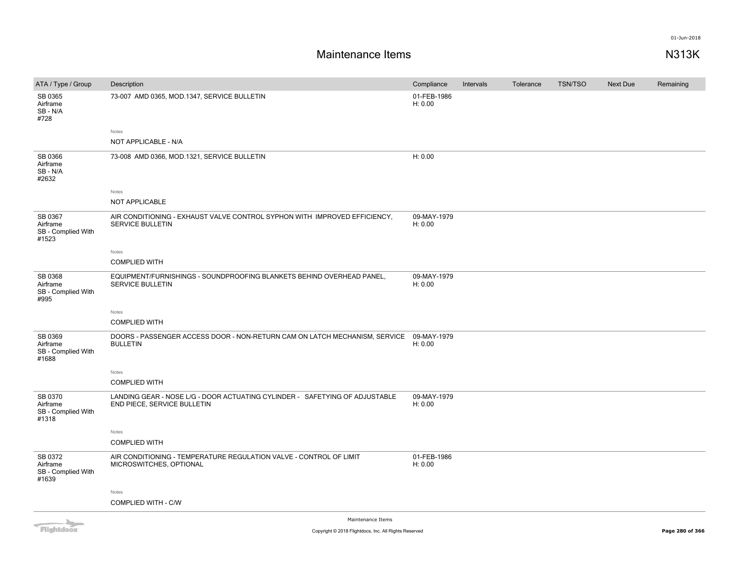| ATA / Type / Group                                 | Description                                                                                                | Compliance             | Intervals | Tolerance | <b>TSN/TSO</b> | Next Due | Remaining |
|----------------------------------------------------|------------------------------------------------------------------------------------------------------------|------------------------|-----------|-----------|----------------|----------|-----------|
| SB 0365<br>Airframe<br>SB-N/A<br>#728              | 73-007 AMD 0365, MOD.1347, SERVICE BULLETIN                                                                | 01-FEB-1986<br>H: 0.00 |           |           |                |          |           |
|                                                    | Notes                                                                                                      |                        |           |           |                |          |           |
|                                                    | NOT APPLICABLE - N/A                                                                                       |                        |           |           |                |          |           |
| SB 0366<br>Airframe<br>SB - N/A<br>#2632           | 73-008 AMD 0366, MOD.1321, SERVICE BULLETIN                                                                | H: 0.00                |           |           |                |          |           |
|                                                    | Notes                                                                                                      |                        |           |           |                |          |           |
|                                                    | NOT APPLICABLE                                                                                             |                        |           |           |                |          |           |
| SB 0367<br>Airframe<br>SB - Complied With<br>#1523 | AIR CONDITIONING - EXHAUST VALVE CONTROL SYPHON WITH IMPROVED EFFICIENCY.<br>SERVICE BULLETIN              | 09-MAY-1979<br>H: 0.00 |           |           |                |          |           |
|                                                    | Notes                                                                                                      |                        |           |           |                |          |           |
|                                                    | <b>COMPLIED WITH</b>                                                                                       |                        |           |           |                |          |           |
| SB 0368<br>Airframe<br>SB - Complied With<br>#995  | EQUIPMENT/FURNISHINGS - SOUNDPROOFING BLANKETS BEHIND OVERHEAD PANEL,<br><b>SERVICE BULLETIN</b>           | 09-MAY-1979<br>H: 0.00 |           |           |                |          |           |
|                                                    | Notes                                                                                                      |                        |           |           |                |          |           |
|                                                    | <b>COMPLIED WITH</b>                                                                                       |                        |           |           |                |          |           |
| SB 0369<br>Airframe<br>SB - Complied With<br>#1688 | DOORS - PASSENGER ACCESS DOOR - NON-RETURN CAM ON LATCH MECHANISM, SERVICE<br><b>BULLETIN</b>              | 09-MAY-1979<br>H: 0.00 |           |           |                |          |           |
|                                                    | Notes                                                                                                      |                        |           |           |                |          |           |
|                                                    | <b>COMPLIED WITH</b>                                                                                       |                        |           |           |                |          |           |
| SB 0370<br>Airframe<br>SB - Complied With<br>#1318 | LANDING GEAR - NOSE L/G - DOOR ACTUATING CYLINDER - SAFETYING OF ADJUSTABLE<br>END PIECE, SERVICE BULLETIN | 09-MAY-1979<br>H: 0.00 |           |           |                |          |           |
|                                                    | Notes                                                                                                      |                        |           |           |                |          |           |
|                                                    | <b>COMPLIED WITH</b>                                                                                       |                        |           |           |                |          |           |
| SB 0372<br>Airframe<br>SB - Complied With<br>#1639 | AIR CONDITIONING - TEMPERATURE REGULATION VALVE - CONTROL OF LIMIT<br>MICROSWITCHES, OPTIONAL              | 01-FEB-1986<br>H: 0.00 |           |           |                |          |           |
|                                                    | Notes                                                                                                      |                        |           |           |                |          |           |
|                                                    | COMPLIED WITH - C/W                                                                                        |                        |           |           |                |          |           |
| <b>ALL</b>                                         | Maintenance Items                                                                                          |                        |           |           |                |          |           |

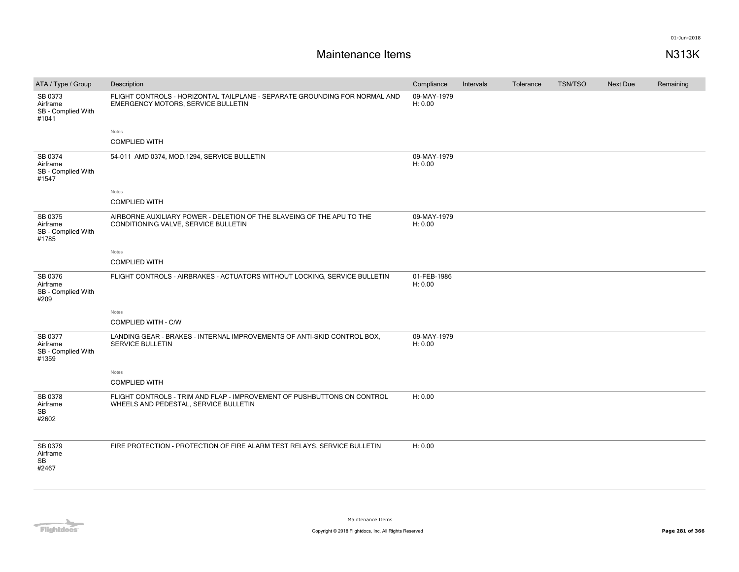| ATA / Type / Group                                 | Description                                                                                                      | Compliance             | Intervals | Tolerance | <b>TSN/TSO</b> | Next Due | Remaining |
|----------------------------------------------------|------------------------------------------------------------------------------------------------------------------|------------------------|-----------|-----------|----------------|----------|-----------|
| SB 0373<br>Airframe<br>SB - Complied With<br>#1041 | FLIGHT CONTROLS - HORIZONTAL TAILPLANE - SEPARATE GROUNDING FOR NORMAL AND<br>EMERGENCY MOTORS, SERVICE BULLETIN | 09-MAY-1979<br>H: 0.00 |           |           |                |          |           |
|                                                    | Notes                                                                                                            |                        |           |           |                |          |           |
|                                                    | <b>COMPLIED WITH</b>                                                                                             |                        |           |           |                |          |           |
| SB 0374<br>Airframe<br>SB - Complied With<br>#1547 | 54-011 AMD 0374, MOD.1294, SERVICE BULLETIN                                                                      | 09-MAY-1979<br>H: 0.00 |           |           |                |          |           |
|                                                    | Notes                                                                                                            |                        |           |           |                |          |           |
|                                                    | <b>COMPLIED WITH</b>                                                                                             |                        |           |           |                |          |           |
| SB 0375<br>Airframe<br>SB - Complied With<br>#1785 | AIRBORNE AUXILIARY POWER - DELETION OF THE SLAVEING OF THE APU TO THE<br>CONDITIONING VALVE, SERVICE BULLETIN    | 09-MAY-1979<br>H: 0.00 |           |           |                |          |           |
|                                                    | Notes                                                                                                            |                        |           |           |                |          |           |
|                                                    | <b>COMPLIED WITH</b>                                                                                             |                        |           |           |                |          |           |
| SB 0376<br>Airframe<br>SB - Complied With<br>#209  | FLIGHT CONTROLS - AIRBRAKES - ACTUATORS WITHOUT LOCKING, SERVICE BULLETIN                                        | 01-FEB-1986<br>H: 0.00 |           |           |                |          |           |
|                                                    | Notes                                                                                                            |                        |           |           |                |          |           |
|                                                    | COMPLIED WITH - C/W                                                                                              |                        |           |           |                |          |           |
| SB 0377<br>Airframe<br>SB - Complied With<br>#1359 | LANDING GEAR - BRAKES - INTERNAL IMPROVEMENTS OF ANTI-SKID CONTROL BOX.<br><b>SERVICE BULLETIN</b>               | 09-MAY-1979<br>H: 0.00 |           |           |                |          |           |
|                                                    | Notes                                                                                                            |                        |           |           |                |          |           |
|                                                    | <b>COMPLIED WITH</b>                                                                                             |                        |           |           |                |          |           |
| SB 0378<br>Airframe<br>SB<br>#2602                 | FLIGHT CONTROLS - TRIM AND FLAP - IMPROVEMENT OF PUSHBUTTONS ON CONTROL<br>WHEELS AND PEDESTAL, SERVICE BULLETIN | H: 0.00                |           |           |                |          |           |
| SB 0379<br>Airframe<br><b>SB</b><br>#2467          | FIRE PROTECTION - PROTECTION OF FIRE ALARM TEST RELAYS, SERVICE BULLETIN                                         | H: 0.00                |           |           |                |          |           |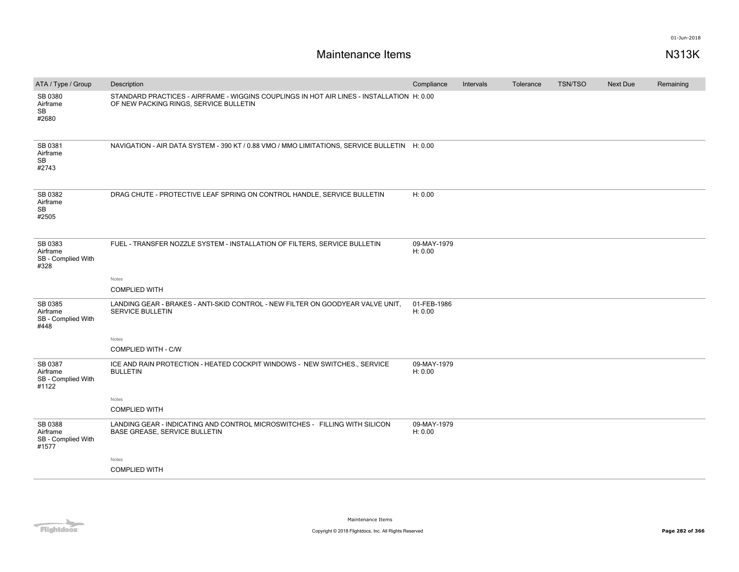| ATA / Type / Group                                 | Description                                                                                                                         | Compliance             | Intervals | Tolerance | <b>TSN/TSO</b> | <b>Next Due</b> | Remaining |
|----------------------------------------------------|-------------------------------------------------------------------------------------------------------------------------------------|------------------------|-----------|-----------|----------------|-----------------|-----------|
| SB 0380<br>Airframe<br>SB<br>#2680                 | STANDARD PRACTICES - AIRFRAME - WIGGINS COUPLINGS IN HOT AIR LINES - INSTALLATION H: 0.00<br>OF NEW PACKING RINGS, SERVICE BULLETIN |                        |           |           |                |                 |           |
| SB 0381<br>Airframe<br>SB<br>#2743                 | NAVIGATION - AIR DATA SYSTEM - 390 KT / 0.88 VMO / MMO LIMITATIONS, SERVICE BULLETIN H: 0.00                                        |                        |           |           |                |                 |           |
| SB 0382<br>Airframe<br>SB<br>#2505                 | DRAG CHUTE - PROTECTIVE LEAF SPRING ON CONTROL HANDLE, SERVICE BULLETIN                                                             | H: 0.00                |           |           |                |                 |           |
| SB 0383<br>Airframe<br>SB - Complied With<br>#328  | FUEL - TRANSFER NOZZLE SYSTEM - INSTALLATION OF FILTERS, SERVICE BULLETIN                                                           | 09-MAY-1979<br>H: 0.00 |           |           |                |                 |           |
|                                                    | Notes                                                                                                                               |                        |           |           |                |                 |           |
|                                                    | <b>COMPLIED WITH</b>                                                                                                                |                        |           |           |                |                 |           |
| SB 0385<br>Airframe<br>SB - Complied With<br>#448  | LANDING GEAR - BRAKES - ANTI-SKID CONTROL - NEW FILTER ON GOODYEAR VALVE UNIT.<br><b>SERVICE BULLETIN</b>                           | 01-FEB-1986<br>H: 0.00 |           |           |                |                 |           |
|                                                    | Notes                                                                                                                               |                        |           |           |                |                 |           |
|                                                    | COMPLIED WITH - C/W                                                                                                                 |                        |           |           |                |                 |           |
| SB 0387<br>Airframe<br>SB - Complied With<br>#1122 | ICE AND RAIN PROTECTION - HEATED COCKPIT WINDOWS - NEW SWITCHES., SERVICE<br><b>BULLETIN</b>                                        | 09-MAY-1979<br>H: 0.00 |           |           |                |                 |           |
|                                                    | Notes                                                                                                                               |                        |           |           |                |                 |           |
|                                                    | <b>COMPLIED WITH</b>                                                                                                                |                        |           |           |                |                 |           |
| SB 0388<br>Airframe<br>SB - Complied With<br>#1577 | LANDING GEAR - INDICATING AND CONTROL MICROSWITCHES - FILLING WITH SILICON<br>BASE GREASE, SERVICE BULLETIN                         | 09-MAY-1979<br>H: 0.00 |           |           |                |                 |           |
|                                                    | Notes                                                                                                                               |                        |           |           |                |                 |           |
|                                                    | <b>COMPLIED WITH</b>                                                                                                                |                        |           |           |                |                 |           |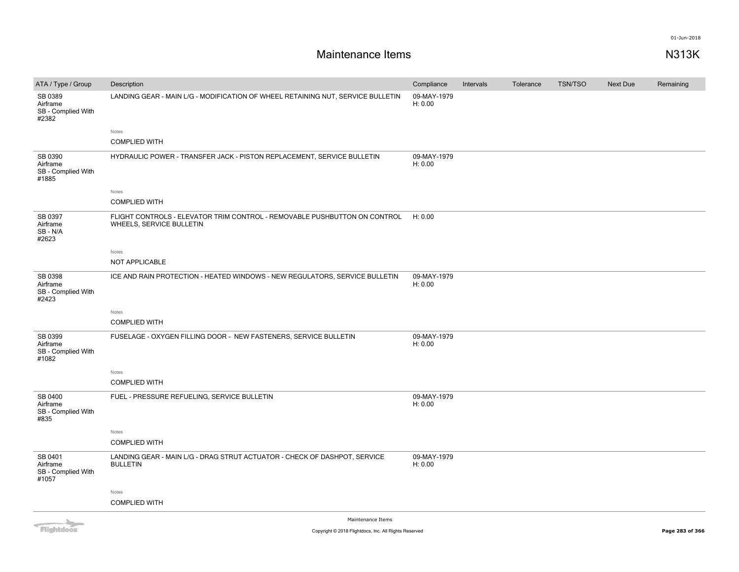## **Maintenance Items N313K**

|                                                    |                                                                                                       |                        |           |           | <b>TSN/TSO</b> |          |           |
|----------------------------------------------------|-------------------------------------------------------------------------------------------------------|------------------------|-----------|-----------|----------------|----------|-----------|
| ATA / Type / Group                                 | Description                                                                                           | Compliance             | Intervals | Tolerance |                | Next Due | Remaining |
| SB 0389<br>Airframe<br>SB - Complied With<br>#2382 | LANDING GEAR - MAIN L/G - MODIFICATION OF WHEEL RETAINING NUT, SERVICE BULLETIN                       | 09-MAY-1979<br>H: 0.00 |           |           |                |          |           |
|                                                    | Notes                                                                                                 |                        |           |           |                |          |           |
|                                                    | <b>COMPLIED WITH</b>                                                                                  |                        |           |           |                |          |           |
| SB 0390<br>Airframe<br>SB - Complied With<br>#1885 | HYDRAULIC POWER - TRANSFER JACK - PISTON REPLACEMENT, SERVICE BULLETIN                                | 09-MAY-1979<br>H: 0.00 |           |           |                |          |           |
|                                                    | Notes                                                                                                 |                        |           |           |                |          |           |
|                                                    | <b>COMPLIED WITH</b>                                                                                  |                        |           |           |                |          |           |
| SB 0397<br>Airframe<br>SB-N/A<br>#2623             | FLIGHT CONTROLS - ELEVATOR TRIM CONTROL - REMOVABLE PUSHBUTTON ON CONTROL<br>WHEELS, SERVICE BULLETIN | H: 0.00                |           |           |                |          |           |
|                                                    | Notes                                                                                                 |                        |           |           |                |          |           |
|                                                    | NOT APPLICABLE                                                                                        |                        |           |           |                |          |           |
| SB 0398<br>Airframe<br>SB - Complied With<br>#2423 | ICE AND RAIN PROTECTION - HEATED WINDOWS - NEW REGULATORS, SERVICE BULLETIN                           | 09-MAY-1979<br>H: 0.00 |           |           |                |          |           |
|                                                    | Notes                                                                                                 |                        |           |           |                |          |           |
|                                                    | <b>COMPLIED WITH</b>                                                                                  |                        |           |           |                |          |           |
| SB 0399<br>Airframe<br>SB - Complied With<br>#1082 | FUSELAGE - OXYGEN FILLING DOOR - NEW FASTENERS, SERVICE BULLETIN                                      | 09-MAY-1979<br>H: 0.00 |           |           |                |          |           |
|                                                    | Notes                                                                                                 |                        |           |           |                |          |           |
|                                                    | <b>COMPLIED WITH</b>                                                                                  |                        |           |           |                |          |           |
| SB 0400<br>Airframe<br>SB - Complied With<br>#835  | FUEL - PRESSURE REFUELING, SERVICE BULLETIN                                                           | 09-MAY-1979<br>H: 0.00 |           |           |                |          |           |
|                                                    | Notes                                                                                                 |                        |           |           |                |          |           |
|                                                    | <b>COMPLIED WITH</b>                                                                                  |                        |           |           |                |          |           |
| SB 0401<br>Airframe<br>SB - Complied With<br>#1057 | LANDING GEAR - MAIN L/G - DRAG STRUT ACTUATOR - CHECK OF DASHPOT, SERVICE<br><b>BULLETIN</b>          | 09-MAY-1979<br>H: 0.00 |           |           |                |          |           |
|                                                    | Notes                                                                                                 |                        |           |           |                |          |           |
|                                                    | <b>COMPLIED WITH</b>                                                                                  |                        |           |           |                |          |           |
|                                                    | Maintenance Theme                                                                                     |                        |           |           |                |          |           |

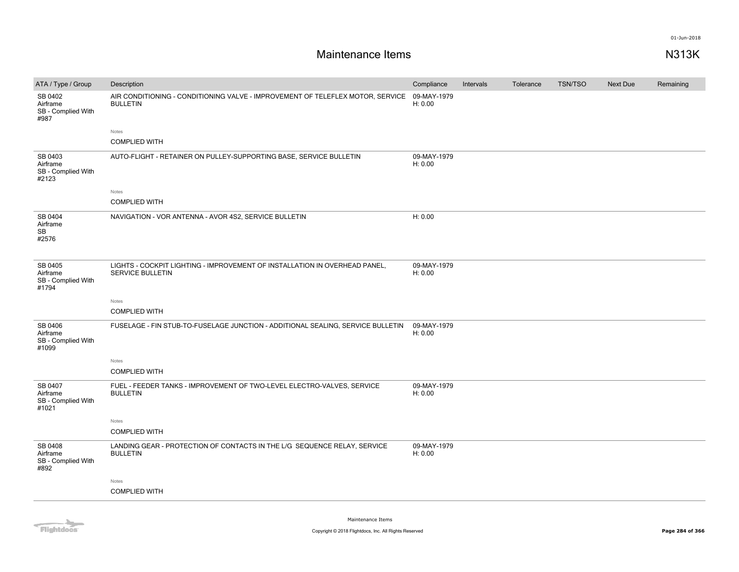| ATA / Type / Group                                 | Description                                                                                           | Compliance             | Intervals | Tolerance | <b>TSN/TSO</b> | Next Due | Remaining |
|----------------------------------------------------|-------------------------------------------------------------------------------------------------------|------------------------|-----------|-----------|----------------|----------|-----------|
| SB 0402<br>Airframe<br>SB - Complied With<br>#987  | AIR CONDITIONING - CONDITIONING VALVE - IMPROVEMENT OF TELEFLEX MOTOR, SERVICE<br><b>BULLETIN</b>     | 09-MAY-1979<br>H: 0.00 |           |           |                |          |           |
|                                                    | Notes                                                                                                 |                        |           |           |                |          |           |
|                                                    | <b>COMPLIED WITH</b>                                                                                  |                        |           |           |                |          |           |
| SB 0403<br>Airframe<br>SB - Complied With<br>#2123 | AUTO-FLIGHT - RETAINER ON PULLEY-SUPPORTING BASE, SERVICE BULLETIN                                    | 09-MAY-1979<br>H: 0.00 |           |           |                |          |           |
|                                                    | Notes                                                                                                 |                        |           |           |                |          |           |
|                                                    | <b>COMPLIED WITH</b>                                                                                  |                        |           |           |                |          |           |
| SB 0404<br>Airframe<br><b>SB</b><br>#2576          | NAVIGATION - VOR ANTENNA - AVOR 4S2, SERVICE BULLETIN                                                 | H: 0.00                |           |           |                |          |           |
| SB 0405<br>Airframe<br>SB - Complied With<br>#1794 | LIGHTS - COCKPIT LIGHTING - IMPROVEMENT OF INSTALLATION IN OVERHEAD PANEL,<br><b>SERVICE BULLETIN</b> | 09-MAY-1979<br>H: 0.00 |           |           |                |          |           |
|                                                    | Notes                                                                                                 |                        |           |           |                |          |           |
|                                                    | <b>COMPLIED WITH</b>                                                                                  |                        |           |           |                |          |           |
| SB 0406<br>Airframe<br>SB - Complied With<br>#1099 | FUSELAGE - FIN STUB-TO-FUSELAGE JUNCTION - ADDITIONAL SEALING, SERVICE BULLETIN                       | 09-MAY-1979<br>H: 0.00 |           |           |                |          |           |
|                                                    | Notes                                                                                                 |                        |           |           |                |          |           |
|                                                    | <b>COMPLIED WITH</b>                                                                                  |                        |           |           |                |          |           |
| SB 0407<br>Airframe<br>SB - Complied With<br>#1021 | FUEL - FEEDER TANKS - IMPROVEMENT OF TWO-LEVEL ELECTRO-VALVES, SERVICE<br><b>BULLETIN</b>             | 09-MAY-1979<br>H: 0.00 |           |           |                |          |           |
|                                                    | Notes                                                                                                 |                        |           |           |                |          |           |
|                                                    | <b>COMPLIED WITH</b>                                                                                  |                        |           |           |                |          |           |
| SB 0408<br>Airframe<br>SB - Complied With<br>#892  | LANDING GEAR - PROTECTION OF CONTACTS IN THE L/G SEQUENCE RELAY, SERVICE<br><b>BULLETIN</b>           | 09-MAY-1979<br>H: 0.00 |           |           |                |          |           |
|                                                    | Notes                                                                                                 |                        |           |           |                |          |           |
|                                                    | <b>COMPLIED WITH</b>                                                                                  |                        |           |           |                |          |           |
|                                                    |                                                                                                       |                        |           |           |                |          |           |

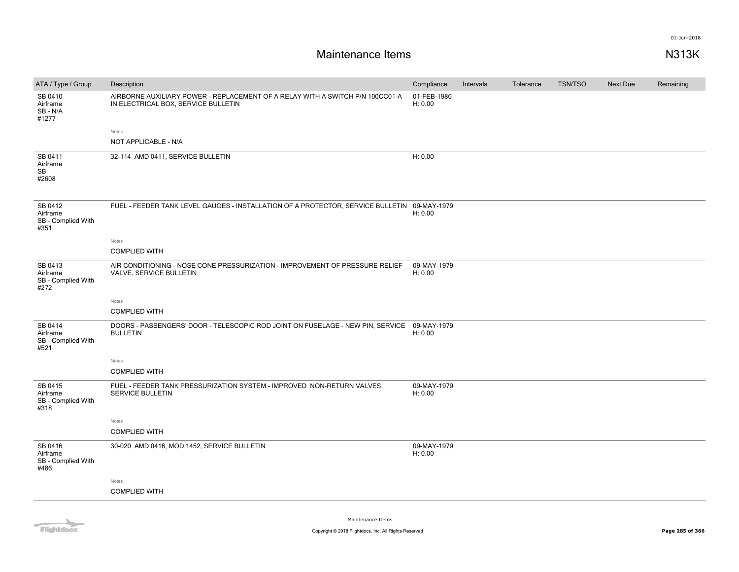# **Maintenance Items N313K**

| ATA / Type / Group                                | Description                                                                                                          | Compliance             | Intervals | Tolerance | <b>TSN/TSO</b> | Next Due | Remaining |
|---------------------------------------------------|----------------------------------------------------------------------------------------------------------------------|------------------------|-----------|-----------|----------------|----------|-----------|
| SB 0410<br>Airframe<br>SB-N/A<br>#1277            | AIRBORNE AUXILIARY POWER - REPLACEMENT OF A RELAY WITH A SWITCH P/N 100CC01-A<br>IN ELECTRICAL BOX, SERVICE BULLETIN | 01-FEB-1986<br>H: 0.00 |           |           |                |          |           |
|                                                   | Notes                                                                                                                |                        |           |           |                |          |           |
|                                                   | NOT APPLICABLE - N/A                                                                                                 |                        |           |           |                |          |           |
| SB 0411<br>Airframe<br>SB<br>#2608                | 32-114 AMD 0411, SERVICE BULLETIN                                                                                    | H: 0.00                |           |           |                |          |           |
| SB 0412<br>Airframe<br>SB - Complied With<br>#351 | FUEL - FEEDER TANK LEVEL GAUGES - INSTALLATION OF A PROTECTOR, SERVICE BULLETIN 09-MAY-1979                          | H: 0.00                |           |           |                |          |           |
|                                                   | Notes<br><b>COMPLIED WITH</b>                                                                                        |                        |           |           |                |          |           |
| SB 0413<br>Airframe<br>SB - Complied With<br>#272 | AIR CONDITIONING - NOSE CONE PRESSURIZATION - IMPROVEMENT OF PRESSURE RELIEF<br>VALVE, SERVICE BULLETIN              | 09-MAY-1979<br>H: 0.00 |           |           |                |          |           |
|                                                   | Notes                                                                                                                |                        |           |           |                |          |           |
|                                                   | <b>COMPLIED WITH</b>                                                                                                 |                        |           |           |                |          |           |
| SB 0414<br>Airframe<br>SB - Complied With<br>#521 | DOORS - PASSENGERS' DOOR - TELESCOPIC ROD JOINT ON FUSELAGE - NEW PIN, SERVICE<br><b>BULLETIN</b>                    | 09-MAY-1979<br>H: 0.00 |           |           |                |          |           |
|                                                   | Notes                                                                                                                |                        |           |           |                |          |           |
|                                                   | <b>COMPLIED WITH</b>                                                                                                 |                        |           |           |                |          |           |
| SB 0415<br>Airframe<br>SB - Complied With<br>#318 | FUEL - FEEDER TANK PRESSURIZATION SYSTEM - IMPROVED NON-RETURN VALVES,<br><b>SERVICE BULLETIN</b>                    | 09-MAY-1979<br>H: 0.00 |           |           |                |          |           |
|                                                   | Notes                                                                                                                |                        |           |           |                |          |           |
|                                                   | <b>COMPLIED WITH</b>                                                                                                 |                        |           |           |                |          |           |
| SB 0416<br>Airframe<br>SB - Complied With<br>#486 | 30-020 AMD 0416, MOD.1452, SERVICE BULLETIN                                                                          | 09-MAY-1979<br>H: 0.00 |           |           |                |          |           |
|                                                   | Notes                                                                                                                |                        |           |           |                |          |           |
|                                                   | <b>COMPLIED WITH</b>                                                                                                 |                        |           |           |                |          |           |
|                                                   |                                                                                                                      |                        |           |           |                |          |           |

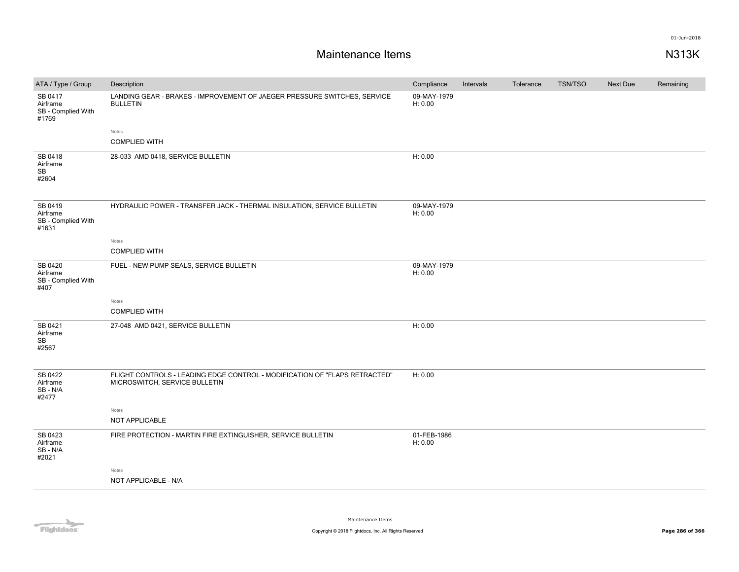| ATA / Type / Group                                 | Description                                                                                                 | Compliance             | Intervals | Tolerance | <b>TSN/TSO</b> | Next Due | Remaining |
|----------------------------------------------------|-------------------------------------------------------------------------------------------------------------|------------------------|-----------|-----------|----------------|----------|-----------|
| SB 0417<br>Airframe<br>SB - Complied With<br>#1769 | LANDING GEAR - BRAKES - IMPROVEMENT OF JAEGER PRESSURE SWITCHES, SERVICE<br><b>BULLETIN</b>                 | 09-MAY-1979<br>H: 0.00 |           |           |                |          |           |
|                                                    | Notes                                                                                                       |                        |           |           |                |          |           |
|                                                    | <b>COMPLIED WITH</b>                                                                                        |                        |           |           |                |          |           |
| SB 0418<br>Airframe<br>SB<br>#2604                 | 28-033 AMD 0418, SERVICE BULLETIN                                                                           | H: 0.00                |           |           |                |          |           |
| SB 0419<br>Airframe<br>SB - Complied With<br>#1631 | HYDRAULIC POWER - TRANSFER JACK - THERMAL INSULATION, SERVICE BULLETIN                                      | 09-MAY-1979<br>H: 0.00 |           |           |                |          |           |
|                                                    | Notes                                                                                                       |                        |           |           |                |          |           |
|                                                    | <b>COMPLIED WITH</b>                                                                                        |                        |           |           |                |          |           |
| SB 0420<br>Airframe<br>SB - Complied With<br>#407  | FUEL - NEW PUMP SEALS, SERVICE BULLETIN                                                                     | 09-MAY-1979<br>H: 0.00 |           |           |                |          |           |
|                                                    | Notes                                                                                                       |                        |           |           |                |          |           |
|                                                    | <b>COMPLIED WITH</b>                                                                                        |                        |           |           |                |          |           |
| SB 0421<br>Airframe<br>SB<br>#2567                 | 27-048 AMD 0421, SERVICE BULLETIN                                                                           | H: 0.00                |           |           |                |          |           |
| SB 0422<br>Airframe<br>SB - N/A<br>#2477           | FLIGHT CONTROLS - LEADING EDGE CONTROL - MODIFICATION OF "FLAPS RETRACTED"<br>MICROSWITCH, SERVICE BULLETIN | H: 0.00                |           |           |                |          |           |
|                                                    | Notes                                                                                                       |                        |           |           |                |          |           |
|                                                    | NOT APPLICABLE                                                                                              |                        |           |           |                |          |           |
| SB 0423<br>Airframe<br>SB-N/A<br>#2021             | FIRE PROTECTION - MARTIN FIRE EXTINGUISHER, SERVICE BULLETIN                                                | 01-FEB-1986<br>H: 0.00 |           |           |                |          |           |
|                                                    | Notes                                                                                                       |                        |           |           |                |          |           |
|                                                    | NOT APPLICABLE - N/A                                                                                        |                        |           |           |                |          |           |
|                                                    |                                                                                                             |                        |           |           |                |          |           |

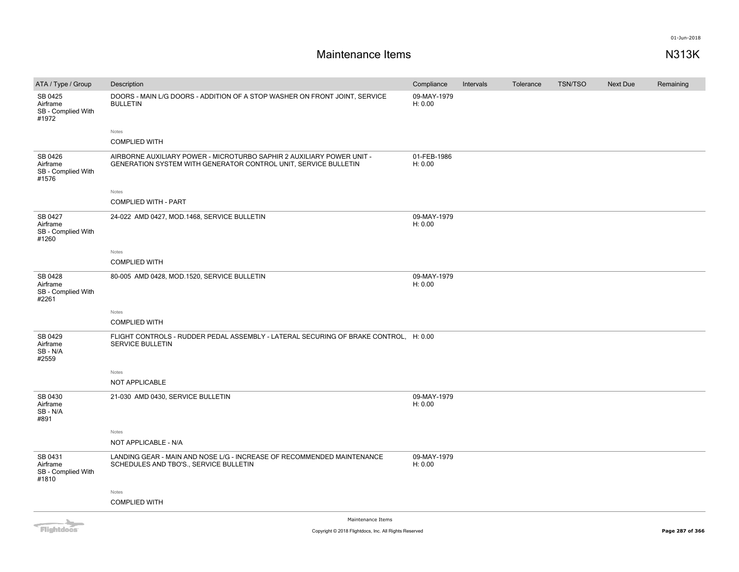# **Maintenance Items N313K**

| ATA / Type / Group                                 | Description                                                                                                                              | Compliance             | Intervals | Tolerance | <b>TSN/TSO</b> | Next Due | Remaining |
|----------------------------------------------------|------------------------------------------------------------------------------------------------------------------------------------------|------------------------|-----------|-----------|----------------|----------|-----------|
| SB 0425<br>Airframe<br>SB - Complied With<br>#1972 | DOORS - MAIN L/G DOORS - ADDITION OF A STOP WASHER ON FRONT JOINT, SERVICE<br><b>BULLETIN</b>                                            | 09-MAY-1979<br>H: 0.00 |           |           |                |          |           |
|                                                    | Notes                                                                                                                                    |                        |           |           |                |          |           |
|                                                    | <b>COMPLIED WITH</b>                                                                                                                     |                        |           |           |                |          |           |
| SB 0426<br>Airframe<br>SB - Complied With<br>#1576 | AIRBORNE AUXILIARY POWER - MICROTURBO SAPHIR 2 AUXILIARY POWER UNIT -<br>GENERATION SYSTEM WITH GENERATOR CONTROL UNIT, SERVICE BULLETIN | 01-FEB-1986<br>H: 0.00 |           |           |                |          |           |
|                                                    | Notes                                                                                                                                    |                        |           |           |                |          |           |
|                                                    | <b>COMPLIED WITH - PART</b>                                                                                                              |                        |           |           |                |          |           |
| SB 0427<br>Airframe<br>SB - Complied With<br>#1260 | 24-022 AMD 0427, MOD.1468, SERVICE BULLETIN                                                                                              | 09-MAY-1979<br>H: 0.00 |           |           |                |          |           |
|                                                    | Notes                                                                                                                                    |                        |           |           |                |          |           |
|                                                    | <b>COMPLIED WITH</b>                                                                                                                     |                        |           |           |                |          |           |
| SB 0428<br>Airframe<br>SB - Complied With<br>#2261 | 80-005 AMD 0428, MOD.1520, SERVICE BULLETIN                                                                                              | 09-MAY-1979<br>H: 0.00 |           |           |                |          |           |
|                                                    | Notes                                                                                                                                    |                        |           |           |                |          |           |
|                                                    | <b>COMPLIED WITH</b>                                                                                                                     |                        |           |           |                |          |           |
| SB 0429<br>Airframe<br>SB-N/A<br>#2559             | FLIGHT CONTROLS - RUDDER PEDAL ASSEMBLY - LATERAL SECURING OF BRAKE CONTROL, H: 0.00<br>SERVICE BULLETIN                                 |                        |           |           |                |          |           |
|                                                    | Notes                                                                                                                                    |                        |           |           |                |          |           |
|                                                    | NOT APPLICABLE                                                                                                                           |                        |           |           |                |          |           |
| SB 0430<br>Airframe<br>$SB - N/A$<br>#891          | 21-030 AMD 0430, SERVICE BULLETIN                                                                                                        | 09-MAY-1979<br>H: 0.00 |           |           |                |          |           |
|                                                    | Notes                                                                                                                                    |                        |           |           |                |          |           |
|                                                    | NOT APPLICABLE - N/A                                                                                                                     |                        |           |           |                |          |           |
| SB 0431<br>Airframe<br>SB - Complied With<br>#1810 | LANDING GEAR - MAIN AND NOSE L/G - INCREASE OF RECOMMENDED MAINTENANCE<br>SCHEDULES AND TBO'S., SERVICE BULLETIN                         | 09-MAY-1979<br>H: 0.00 |           |           |                |          |           |
|                                                    | Notes                                                                                                                                    |                        |           |           |                |          |           |
|                                                    | <b>COMPLIED WITH</b>                                                                                                                     |                        |           |           |                |          |           |
|                                                    | Administration of the control                                                                                                            |                        |           |           |                |          |           |

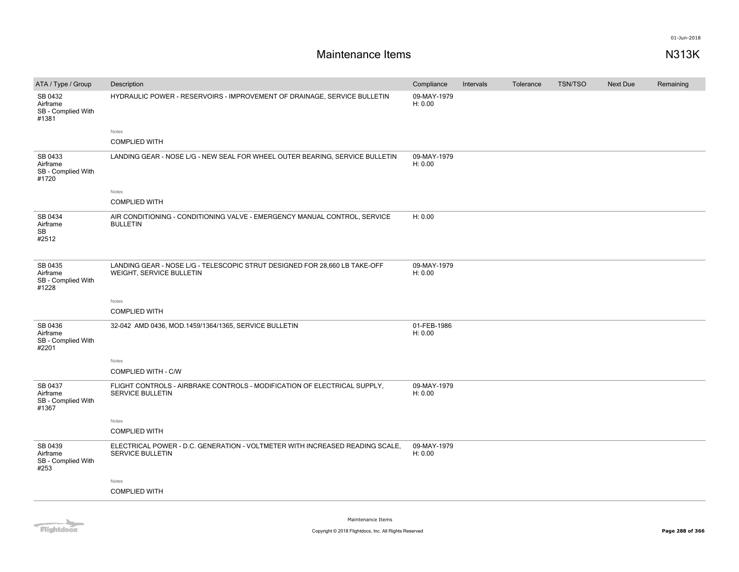| ATA / Type / Group                                 | Description                                                                                            | Compliance             | Intervals | Tolerance | <b>TSN/TSO</b> | <b>Next Due</b> | Remaining |
|----------------------------------------------------|--------------------------------------------------------------------------------------------------------|------------------------|-----------|-----------|----------------|-----------------|-----------|
| SB 0432<br>Airframe<br>SB - Complied With<br>#1381 | HYDRAULIC POWER - RESERVOIRS - IMPROVEMENT OF DRAINAGE, SERVICE BULLETIN                               | 09-MAY-1979<br>H: 0.00 |           |           |                |                 |           |
|                                                    | Notes                                                                                                  |                        |           |           |                |                 |           |
|                                                    | <b>COMPLIED WITH</b>                                                                                   |                        |           |           |                |                 |           |
| SB 0433<br>Airframe<br>SB - Complied With<br>#1720 | LANDING GEAR - NOSE L/G - NEW SEAL FOR WHEEL OUTER BEARING, SERVICE BULLETIN                           | 09-MAY-1979<br>H: 0.00 |           |           |                |                 |           |
|                                                    | Notes                                                                                                  |                        |           |           |                |                 |           |
|                                                    | <b>COMPLIED WITH</b>                                                                                   |                        |           |           |                |                 |           |
| SB 0434<br>Airframe<br>SB<br>#2512                 | AIR CONDITIONING - CONDITIONING VALVE - EMERGENCY MANUAL CONTROL, SERVICE<br><b>BULLETIN</b>           | H: 0.00                |           |           |                |                 |           |
| SB 0435<br>Airframe<br>SB - Complied With<br>#1228 | LANDING GEAR - NOSE L/G - TELESCOPIC STRUT DESIGNED FOR 28,660 LB TAKE-OFF<br>WEIGHT, SERVICE BULLETIN | 09-MAY-1979<br>H: 0.00 |           |           |                |                 |           |
|                                                    | Notes                                                                                                  |                        |           |           |                |                 |           |
|                                                    | <b>COMPLIED WITH</b>                                                                                   |                        |           |           |                |                 |           |
| SB 0436<br>Airframe<br>SB - Complied With<br>#2201 | 32-042 AMD 0436, MOD.1459/1364/1365, SERVICE BULLETIN                                                  | 01-FEB-1986<br>H: 0.00 |           |           |                |                 |           |
|                                                    | Notes                                                                                                  |                        |           |           |                |                 |           |
|                                                    | <b>COMPLIED WITH - C/W</b>                                                                             |                        |           |           |                |                 |           |
| SB 0437<br>Airframe<br>SB - Complied With<br>#1367 | FLIGHT CONTROLS - AIRBRAKE CONTROLS - MODIFICATION OF ELECTRICAL SUPPLY.<br>SERVICE BULLETIN           | 09-MAY-1979<br>H: 0.00 |           |           |                |                 |           |
|                                                    | Notes                                                                                                  |                        |           |           |                |                 |           |
|                                                    | <b>COMPLIED WITH</b>                                                                                   |                        |           |           |                |                 |           |
| SB 0439<br>Airframe<br>SB - Complied With<br>#253  | ELECTRICAL POWER - D.C. GENERATION - VOLTMETER WITH INCREASED READING SCALE,<br>SERVICE BULLETIN       | 09-MAY-1979<br>H: 0.00 |           |           |                |                 |           |
|                                                    | Notes                                                                                                  |                        |           |           |                |                 |           |
|                                                    | <b>COMPLIED WITH</b>                                                                                   |                        |           |           |                |                 |           |
|                                                    |                                                                                                        |                        |           |           |                |                 |           |

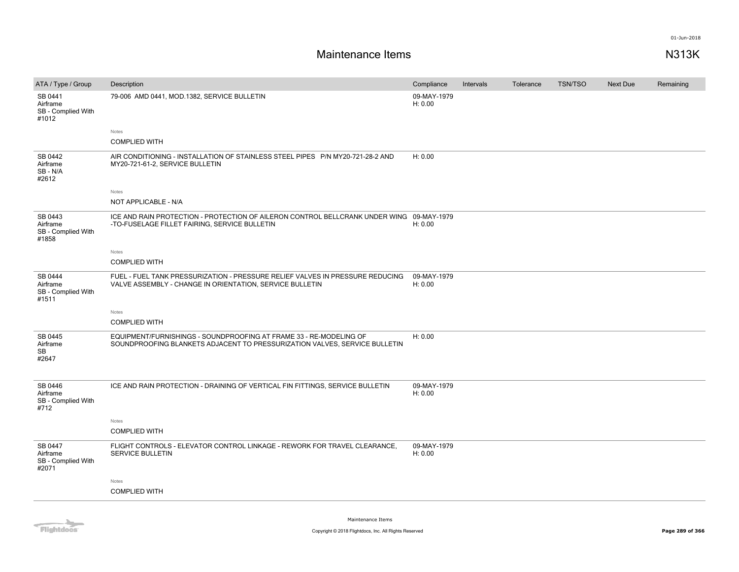| ATA / Type / Group                                 | Description                                                                                                                                      | Compliance             | Intervals | Tolerance | <b>TSN/TSO</b> | Next Due | Remaining |
|----------------------------------------------------|--------------------------------------------------------------------------------------------------------------------------------------------------|------------------------|-----------|-----------|----------------|----------|-----------|
| SB 0441<br>Airframe<br>SB - Complied With<br>#1012 | 79-006 AMD 0441, MOD.1382, SERVICE BULLETIN                                                                                                      | 09-MAY-1979<br>H: 0.00 |           |           |                |          |           |
|                                                    | Notes                                                                                                                                            |                        |           |           |                |          |           |
|                                                    | <b>COMPLIED WITH</b>                                                                                                                             |                        |           |           |                |          |           |
| SB 0442<br>Airframe<br>SB - N/A<br>#2612           | AIR CONDITIONING - INSTALLATION OF STAINLESS STEEL PIPES P/N MY20-721-28-2 AND<br>MY20-721-61-2, SERVICE BULLETIN                                | H: 0.00                |           |           |                |          |           |
|                                                    | Notes                                                                                                                                            |                        |           |           |                |          |           |
|                                                    | NOT APPLICABLE - N/A                                                                                                                             |                        |           |           |                |          |           |
| SB 0443<br>Airframe<br>SB - Complied With<br>#1858 | ICE AND RAIN PROTECTION - PROTECTION OF AILERON CONTROL BELLCRANK UNDER WING 09-MAY-1979<br>-TO-FUSELAGE FILLET FAIRING, SERVICE BULLETIN        | H: 0.00                |           |           |                |          |           |
|                                                    | Notes                                                                                                                                            |                        |           |           |                |          |           |
|                                                    | <b>COMPLIED WITH</b>                                                                                                                             |                        |           |           |                |          |           |
| SB 0444<br>Airframe<br>SB - Complied With<br>#1511 | FUEL - FUEL TANK PRESSURIZATION - PRESSURE RELIEF VALVES IN PRESSURE REDUCING<br>VALVE ASSEMBLY - CHANGE IN ORIENTATION, SERVICE BULLETIN        | 09-MAY-1979<br>H: 0.00 |           |           |                |          |           |
|                                                    | Notes                                                                                                                                            |                        |           |           |                |          |           |
|                                                    | <b>COMPLIED WITH</b>                                                                                                                             |                        |           |           |                |          |           |
| SB 0445<br>Airframe<br><b>SB</b><br>#2647          | EQUIPMENT/FURNISHINGS - SOUNDPROOFING AT FRAME 33 - RE-MODELING OF<br>SOUNDPROOFING BLANKETS ADJACENT TO PRESSURIZATION VALVES, SERVICE BULLETIN | H: 0.00                |           |           |                |          |           |
| SB 0446<br>Airframe<br>SB - Complied With<br>#712  | ICE AND RAIN PROTECTION - DRAINING OF VERTICAL FIN FITTINGS, SERVICE BULLETIN                                                                    | 09-MAY-1979<br>H: 0.00 |           |           |                |          |           |
|                                                    | Notes                                                                                                                                            |                        |           |           |                |          |           |
|                                                    | <b>COMPLIED WITH</b>                                                                                                                             |                        |           |           |                |          |           |
| SB 0447<br>Airframe<br>SB - Complied With<br>#2071 | FLIGHT CONTROLS - ELEVATOR CONTROL LINKAGE - REWORK FOR TRAVEL CLEARANCE,<br>SERVICE BULLETIN                                                    | 09-MAY-1979<br>H: 0.00 |           |           |                |          |           |
|                                                    | Notes                                                                                                                                            |                        |           |           |                |          |           |
|                                                    | <b>COMPLIED WITH</b>                                                                                                                             |                        |           |           |                |          |           |
|                                                    |                                                                                                                                                  |                        |           |           |                |          |           |

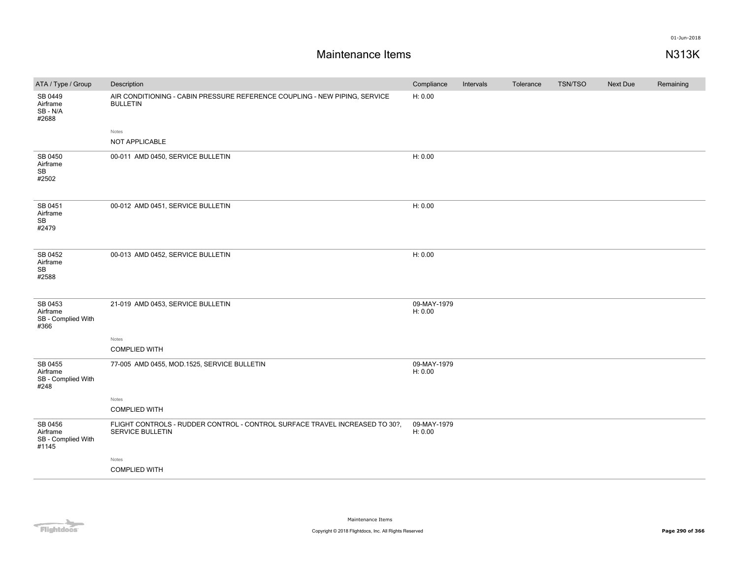| ATA / Type / Group                                   | Description                                                                                            | Compliance             | Intervals | Tolerance | <b>TSN/TSO</b> | Next Due | Remaining |
|------------------------------------------------------|--------------------------------------------------------------------------------------------------------|------------------------|-----------|-----------|----------------|----------|-----------|
| SB 0449<br>Airframe<br>SB - N/A<br>#2688             | AIR CONDITIONING - CABIN PRESSURE REFERENCE COUPLING - NEW PIPING, SERVICE<br><b>BULLETIN</b>          | H: 0.00                |           |           |                |          |           |
|                                                      | Notes                                                                                                  |                        |           |           |                |          |           |
|                                                      | NOT APPLICABLE                                                                                         |                        |           |           |                |          |           |
| SB 0450<br>Airframe<br>$\mathsf{SB}\xspace$<br>#2502 | 00-011 AMD 0450, SERVICE BULLETIN                                                                      | H: 0.00                |           |           |                |          |           |
| SB 0451<br>Airframe<br>SB<br>#2479                   | 00-012 AMD 0451, SERVICE BULLETIN                                                                      | H: 0.00                |           |           |                |          |           |
| SB 0452<br>Airframe<br>SB<br>#2588                   | 00-013 AMD 0452, SERVICE BULLETIN                                                                      | H: 0.00                |           |           |                |          |           |
| SB 0453<br>Airframe<br>SB - Complied With<br>#366    | 21-019 AMD 0453, SERVICE BULLETIN                                                                      | 09-MAY-1979<br>H: 0.00 |           |           |                |          |           |
|                                                      | Notes                                                                                                  |                        |           |           |                |          |           |
|                                                      | <b>COMPLIED WITH</b>                                                                                   |                        |           |           |                |          |           |
| SB 0455<br>Airframe<br>SB - Complied With<br>#248    | 77-005 AMD 0455, MOD.1525, SERVICE BULLETIN                                                            | 09-MAY-1979<br>H: 0.00 |           |           |                |          |           |
|                                                      | Notes                                                                                                  |                        |           |           |                |          |           |
|                                                      | <b>COMPLIED WITH</b>                                                                                   |                        |           |           |                |          |           |
| SB 0456<br>Airframe<br>SB - Complied With<br>#1145   | FLIGHT CONTROLS - RUDDER CONTROL - CONTROL SURFACE TRAVEL INCREASED TO 30?,<br><b>SERVICE BULLETIN</b> | 09-MAY-1979<br>H: 0.00 |           |           |                |          |           |
|                                                      | Notes                                                                                                  |                        |           |           |                |          |           |
|                                                      | <b>COMPLIED WITH</b>                                                                                   |                        |           |           |                |          |           |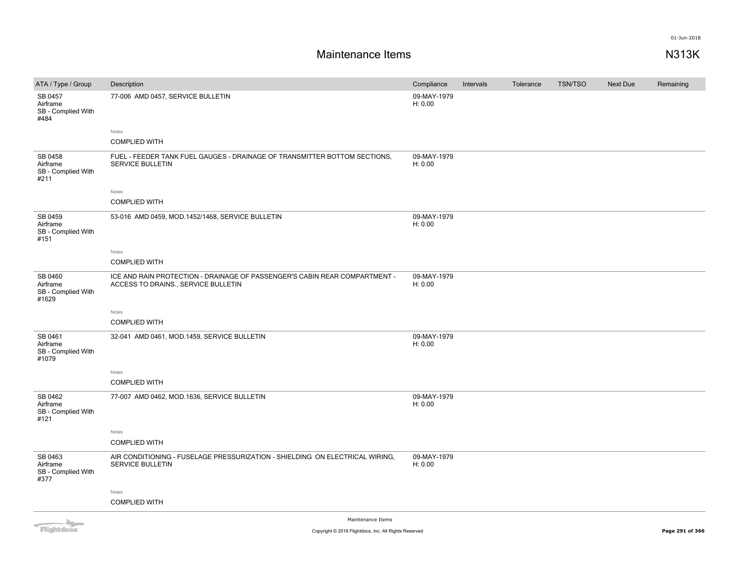| ATA / Type / Group                                                                                                                                                                                                                   | Description                                                                                                       | Compliance             | Intervals | Tolerance | <b>TSN/TSO</b> | Next Due | Remaining |
|--------------------------------------------------------------------------------------------------------------------------------------------------------------------------------------------------------------------------------------|-------------------------------------------------------------------------------------------------------------------|------------------------|-----------|-----------|----------------|----------|-----------|
| SB 0457<br>Airframe<br>SB - Complied With<br>#484                                                                                                                                                                                    | 77-006 AMD 0457, SERVICE BULLETIN                                                                                 | 09-MAY-1979<br>H: 0.00 |           |           |                |          |           |
|                                                                                                                                                                                                                                      | Notes                                                                                                             |                        |           |           |                |          |           |
|                                                                                                                                                                                                                                      | <b>COMPLIED WITH</b>                                                                                              |                        |           |           |                |          |           |
| SB 0458<br>Airframe<br>SB - Complied With<br>#211                                                                                                                                                                                    | FUEL - FEEDER TANK FUEL GAUGES - DRAINAGE OF TRANSMITTER BOTTOM SECTIONS,<br><b>SERVICE BULLETIN</b>              | 09-MAY-1979<br>H: 0.00 |           |           |                |          |           |
|                                                                                                                                                                                                                                      | Notes                                                                                                             |                        |           |           |                |          |           |
|                                                                                                                                                                                                                                      | <b>COMPLIED WITH</b>                                                                                              |                        |           |           |                |          |           |
| SB 0459<br>Airframe<br>SB - Complied With<br>#151                                                                                                                                                                                    | 53-016 AMD 0459, MOD.1452/1468, SERVICE BULLETIN                                                                  | 09-MAY-1979<br>H: 0.00 |           |           |                |          |           |
|                                                                                                                                                                                                                                      | Notes                                                                                                             |                        |           |           |                |          |           |
|                                                                                                                                                                                                                                      | <b>COMPLIED WITH</b>                                                                                              |                        |           |           |                |          |           |
| SB 0460<br>Airframe<br>SB - Complied With<br>#1629                                                                                                                                                                                   | ICE AND RAIN PROTECTION - DRAINAGE OF PASSENGER'S CABIN REAR COMPARTMENT -<br>ACCESS TO DRAINS., SERVICE BULLETIN | 09-MAY-1979<br>H: 0.00 |           |           |                |          |           |
|                                                                                                                                                                                                                                      | Notes                                                                                                             |                        |           |           |                |          |           |
|                                                                                                                                                                                                                                      | <b>COMPLIED WITH</b>                                                                                              |                        |           |           |                |          |           |
| SB 0461<br>Airframe<br>SB - Complied With<br>#1079                                                                                                                                                                                   | 32-041 AMD 0461, MOD.1459, SERVICE BULLETIN                                                                       | 09-MAY-1979<br>H: 0.00 |           |           |                |          |           |
|                                                                                                                                                                                                                                      | Notes                                                                                                             |                        |           |           |                |          |           |
|                                                                                                                                                                                                                                      | <b>COMPLIED WITH</b>                                                                                              |                        |           |           |                |          |           |
| SB 0462<br>Airframe<br>SB - Complied With<br>#121                                                                                                                                                                                    | 77-007 AMD 0462, MOD.1636, SERVICE BULLETIN                                                                       | 09-MAY-1979<br>H: 0.00 |           |           |                |          |           |
|                                                                                                                                                                                                                                      | Notes                                                                                                             |                        |           |           |                |          |           |
|                                                                                                                                                                                                                                      | <b>COMPLIED WITH</b>                                                                                              |                        |           |           |                |          |           |
| SB 0463<br>Airframe<br>SB - Complied With<br>#377                                                                                                                                                                                    | AIR CONDITIONING - FUSELAGE PRESSURIZATION - SHIELDING ON ELECTRICAL WIRING,<br>SERVICE BULLETIN                  | 09-MAY-1979<br>H: 0.00 |           |           |                |          |           |
|                                                                                                                                                                                                                                      | Notes                                                                                                             |                        |           |           |                |          |           |
|                                                                                                                                                                                                                                      | <b>COMPLIED WITH</b>                                                                                              |                        |           |           |                |          |           |
| <b>The Contract of the Contract of the Contract of the Contract of the Contract of the Contract of the Contract of the Contract of the Contract of The Contract of The Contract of The Contract of The Contract of The Contract </b> | Maintenance Items                                                                                                 |                        |           |           |                |          |           |

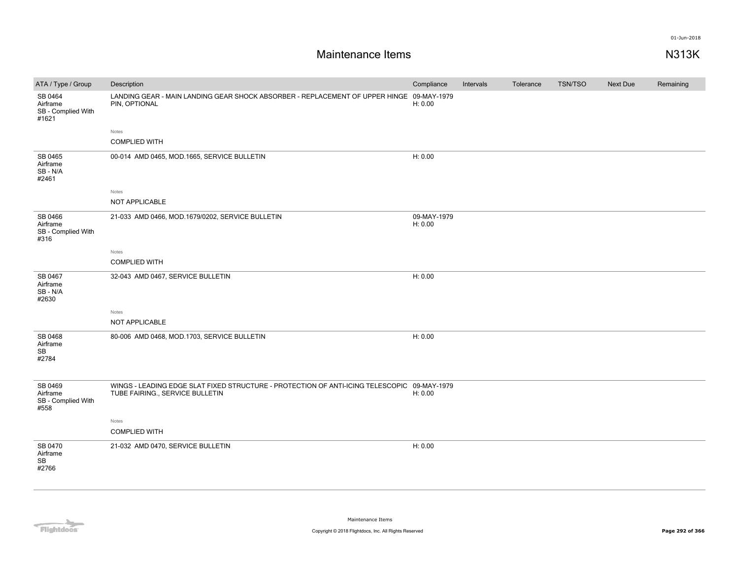| LANDING GEAR - MAIN LANDING GEAR SHOCK ABSORBER - REPLACEMENT OF UPPER HINGE 09-MAY-1979<br>SB 0464<br>PIN, OPTIONAL<br>Airframe<br>H: 0.00<br>SB - Complied With<br>#1621<br>Notes<br><b>COMPLIED WITH</b><br>SB 0465<br>H: 0.00<br>00-014 AMD 0465, MOD.1665, SERVICE BULLETIN<br>Airframe<br>SB-N/A<br>#2461<br>Notes<br>NOT APPLICABLE<br>SB 0466<br>21-033 AMD 0466, MOD.1679/0202, SERVICE BULLETIN<br>09-MAY-1979<br>H: 0.00<br>Airframe<br>SB - Complied With<br>#316<br>Notes<br><b>COMPLIED WITH</b><br>SB 0467<br>32-043 AMD 0467, SERVICE BULLETIN<br>H: 0.00<br>Airframe<br>SB-N/A<br>#2630<br>Notes<br>NOT APPLICABLE<br>SB 0468<br>H: 0.00<br>80-006 AMD 0468, MOD.1703, SERVICE BULLETIN<br>Airframe<br><b>SB</b><br>#2784<br>WINGS - LEADING EDGE SLAT FIXED STRUCTURE - PROTECTION OF ANTI-ICING TELESCOPIC 09-MAY-1979<br>SB 0469<br>TUBE FAIRING., SERVICE BULLETIN<br>Airframe<br>H: 0.00<br>SB - Complied With<br>#558<br>Notes<br><b>COMPLIED WITH</b><br>SB 0470<br>H: 0.00<br>21-032 AMD 0470, SERVICE BULLETIN<br>Airframe<br>SB<br>#2766 | ATA / Type / Group | Description | Compliance | Intervals | Tolerance | <b>TSN/TSO</b> | Next Due | Remaining |
|---------------------------------------------------------------------------------------------------------------------------------------------------------------------------------------------------------------------------------------------------------------------------------------------------------------------------------------------------------------------------------------------------------------------------------------------------------------------------------------------------------------------------------------------------------------------------------------------------------------------------------------------------------------------------------------------------------------------------------------------------------------------------------------------------------------------------------------------------------------------------------------------------------------------------------------------------------------------------------------------------------------------------------------------------------------------|--------------------|-------------|------------|-----------|-----------|----------------|----------|-----------|
|                                                                                                                                                                                                                                                                                                                                                                                                                                                                                                                                                                                                                                                                                                                                                                                                                                                                                                                                                                                                                                                                     |                    |             |            |           |           |                |          |           |
|                                                                                                                                                                                                                                                                                                                                                                                                                                                                                                                                                                                                                                                                                                                                                                                                                                                                                                                                                                                                                                                                     |                    |             |            |           |           |                |          |           |
|                                                                                                                                                                                                                                                                                                                                                                                                                                                                                                                                                                                                                                                                                                                                                                                                                                                                                                                                                                                                                                                                     |                    |             |            |           |           |                |          |           |
|                                                                                                                                                                                                                                                                                                                                                                                                                                                                                                                                                                                                                                                                                                                                                                                                                                                                                                                                                                                                                                                                     |                    |             |            |           |           |                |          |           |
|                                                                                                                                                                                                                                                                                                                                                                                                                                                                                                                                                                                                                                                                                                                                                                                                                                                                                                                                                                                                                                                                     |                    |             |            |           |           |                |          |           |
|                                                                                                                                                                                                                                                                                                                                                                                                                                                                                                                                                                                                                                                                                                                                                                                                                                                                                                                                                                                                                                                                     |                    |             |            |           |           |                |          |           |
|                                                                                                                                                                                                                                                                                                                                                                                                                                                                                                                                                                                                                                                                                                                                                                                                                                                                                                                                                                                                                                                                     |                    |             |            |           |           |                |          |           |
|                                                                                                                                                                                                                                                                                                                                                                                                                                                                                                                                                                                                                                                                                                                                                                                                                                                                                                                                                                                                                                                                     |                    |             |            |           |           |                |          |           |
|                                                                                                                                                                                                                                                                                                                                                                                                                                                                                                                                                                                                                                                                                                                                                                                                                                                                                                                                                                                                                                                                     |                    |             |            |           |           |                |          |           |
|                                                                                                                                                                                                                                                                                                                                                                                                                                                                                                                                                                                                                                                                                                                                                                                                                                                                                                                                                                                                                                                                     |                    |             |            |           |           |                |          |           |
|                                                                                                                                                                                                                                                                                                                                                                                                                                                                                                                                                                                                                                                                                                                                                                                                                                                                                                                                                                                                                                                                     |                    |             |            |           |           |                |          |           |
|                                                                                                                                                                                                                                                                                                                                                                                                                                                                                                                                                                                                                                                                                                                                                                                                                                                                                                                                                                                                                                                                     |                    |             |            |           |           |                |          |           |
|                                                                                                                                                                                                                                                                                                                                                                                                                                                                                                                                                                                                                                                                                                                                                                                                                                                                                                                                                                                                                                                                     |                    |             |            |           |           |                |          |           |
|                                                                                                                                                                                                                                                                                                                                                                                                                                                                                                                                                                                                                                                                                                                                                                                                                                                                                                                                                                                                                                                                     |                    |             |            |           |           |                |          |           |
|                                                                                                                                                                                                                                                                                                                                                                                                                                                                                                                                                                                                                                                                                                                                                                                                                                                                                                                                                                                                                                                                     |                    |             |            |           |           |                |          |           |
|                                                                                                                                                                                                                                                                                                                                                                                                                                                                                                                                                                                                                                                                                                                                                                                                                                                                                                                                                                                                                                                                     |                    |             |            |           |           |                |          |           |
|                                                                                                                                                                                                                                                                                                                                                                                                                                                                                                                                                                                                                                                                                                                                                                                                                                                                                                                                                                                                                                                                     |                    |             |            |           |           |                |          |           |

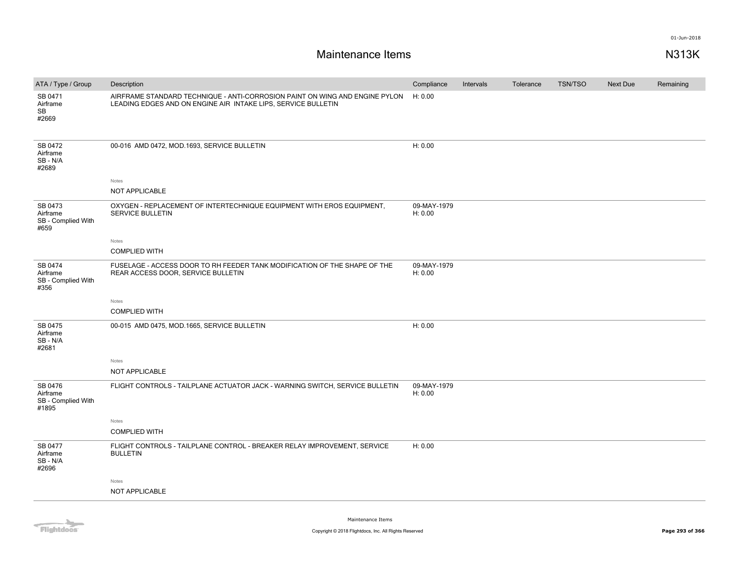# **Maintenance Items N313K**

| ATA / Type / Group                                 | Description                                                                                                                                  | Compliance             | Intervals | Tolerance | <b>TSN/TSO</b> | <b>Next Due</b> | Remaining |
|----------------------------------------------------|----------------------------------------------------------------------------------------------------------------------------------------------|------------------------|-----------|-----------|----------------|-----------------|-----------|
| SB 0471<br>Airframe<br>SB<br>#2669                 | AIRFRAME STANDARD TECHNIQUE - ANTI-CORROSION PAINT ON WING AND ENGINE PYLON<br>LEADING EDGES AND ON ENGINE AIR INTAKE LIPS, SERVICE BULLETIN | H: 0.00                |           |           |                |                 |           |
| SB 0472<br>Airframe<br>SB-N/A<br>#2689             | 00-016 AMD 0472, MOD.1693, SERVICE BULLETIN                                                                                                  | H: 0.00                |           |           |                |                 |           |
|                                                    | Notes                                                                                                                                        |                        |           |           |                |                 |           |
|                                                    | NOT APPLICABLE                                                                                                                               |                        |           |           |                |                 |           |
| SB 0473<br>Airframe<br>SB - Complied With<br>#659  | OXYGEN - REPLACEMENT OF INTERTECHNIQUE EQUIPMENT WITH EROS EQUIPMENT,<br><b>SERVICE BULLETIN</b>                                             | 09-MAY-1979<br>H: 0.00 |           |           |                |                 |           |
|                                                    | Notes                                                                                                                                        |                        |           |           |                |                 |           |
|                                                    | <b>COMPLIED WITH</b>                                                                                                                         |                        |           |           |                |                 |           |
| SB 0474<br>Airframe<br>SB - Complied With<br>#356  | FUSELAGE - ACCESS DOOR TO RH FEEDER TANK MODIFICATION OF THE SHAPE OF THE<br>REAR ACCESS DOOR, SERVICE BULLETIN                              | 09-MAY-1979<br>H: 0.00 |           |           |                |                 |           |
|                                                    | Notes                                                                                                                                        |                        |           |           |                |                 |           |
|                                                    | <b>COMPLIED WITH</b>                                                                                                                         |                        |           |           |                |                 |           |
| SB 0475<br>Airframe<br>SB-N/A<br>#2681             | 00-015 AMD 0475, MOD.1665, SERVICE BULLETIN                                                                                                  | H: 0.00                |           |           |                |                 |           |
|                                                    | Notes                                                                                                                                        |                        |           |           |                |                 |           |
|                                                    | NOT APPLICABLE                                                                                                                               |                        |           |           |                |                 |           |
| SB 0476<br>Airframe<br>SB - Complied With<br>#1895 | FLIGHT CONTROLS - TAILPLANE ACTUATOR JACK - WARNING SWITCH, SERVICE BULLETIN                                                                 | 09-MAY-1979<br>H: 0.00 |           |           |                |                 |           |
|                                                    | Notes                                                                                                                                        |                        |           |           |                |                 |           |
|                                                    | <b>COMPLIED WITH</b>                                                                                                                         |                        |           |           |                |                 |           |
| SB 0477<br>Airframe<br>SB-N/A<br>#2696             | FLIGHT CONTROLS - TAILPLANE CONTROL - BREAKER RELAY IMPROVEMENT, SERVICE<br><b>BULLETIN</b>                                                  | H: 0.00                |           |           |                |                 |           |
|                                                    | Notes                                                                                                                                        |                        |           |           |                |                 |           |
|                                                    | NOT APPLICABLE                                                                                                                               |                        |           |           |                |                 |           |
|                                                    |                                                                                                                                              |                        |           |           |                |                 |           |

Flightdocs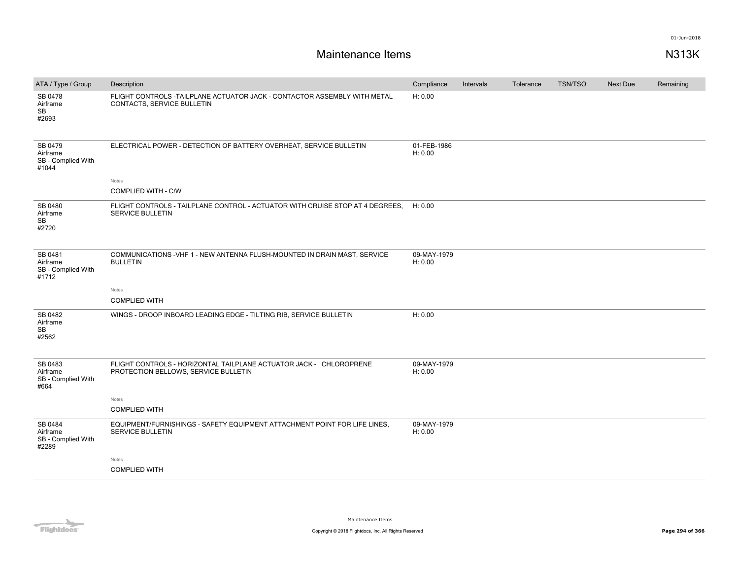| ATA / Type / Group                                 | Description                                                                                                | Compliance             | Intervals | Tolerance | <b>TSN/TSO</b> | Next Due | Remaining |
|----------------------------------------------------|------------------------------------------------------------------------------------------------------------|------------------------|-----------|-----------|----------------|----------|-----------|
| SB 0478<br>Airframe<br>SB<br>#2693                 | FLIGHT CONTROLS - TAILPLANE ACTUATOR JACK - CONTACTOR ASSEMBLY WITH METAL<br>CONTACTS, SERVICE BULLETIN    | H: 0.00                |           |           |                |          |           |
| SB 0479<br>Airframe<br>SB - Complied With<br>#1044 | ELECTRICAL POWER - DETECTION OF BATTERY OVERHEAT, SERVICE BULLETIN                                         | 01-FEB-1986<br>H: 0.00 |           |           |                |          |           |
|                                                    | Notes                                                                                                      |                        |           |           |                |          |           |
|                                                    | <b>COMPLIED WITH - C/W</b>                                                                                 |                        |           |           |                |          |           |
| SB 0480<br>Airframe<br>SB<br>#2720                 | FLIGHT CONTROLS - TAILPLANE CONTROL - ACTUATOR WITH CRUISE STOP AT 4 DEGREES.<br><b>SERVICE BULLETIN</b>   | H: 0.00                |           |           |                |          |           |
| SB 0481<br>Airframe<br>SB - Complied With<br>#1712 | COMMUNICATIONS - VHF 1 - NEW ANTENNA FLUSH-MOUNTED IN DRAIN MAST, SERVICE<br><b>BULLETIN</b>               | 09-MAY-1979<br>H: 0.00 |           |           |                |          |           |
|                                                    | Notes                                                                                                      |                        |           |           |                |          |           |
|                                                    | <b>COMPLIED WITH</b>                                                                                       |                        |           |           |                |          |           |
| SB 0482<br>Airframe<br>SB<br>#2562                 | WINGS - DROOP INBOARD LEADING EDGE - TILTING RIB, SERVICE BULLETIN                                         | H: 0.00                |           |           |                |          |           |
| SB 0483<br>Airframe<br>SB - Complied With<br>#664  | FLIGHT CONTROLS - HORIZONTAL TAILPLANE ACTUATOR JACK - CHLOROPRENE<br>PROTECTION BELLOWS, SERVICE BULLETIN | 09-MAY-1979<br>H: 0.00 |           |           |                |          |           |
|                                                    | Notes                                                                                                      |                        |           |           |                |          |           |
|                                                    | <b>COMPLIED WITH</b>                                                                                       |                        |           |           |                |          |           |
| SB 0484<br>Airframe<br>SB - Complied With<br>#2289 | EQUIPMENT/FURNISHINGS - SAFETY EQUIPMENT ATTACHMENT POINT FOR LIFE LINES.<br><b>SERVICE BULLETIN</b>       | 09-MAY-1979<br>H: 0.00 |           |           |                |          |           |
|                                                    | Notes                                                                                                      |                        |           |           |                |          |           |
|                                                    | <b>COMPLIED WITH</b>                                                                                       |                        |           |           |                |          |           |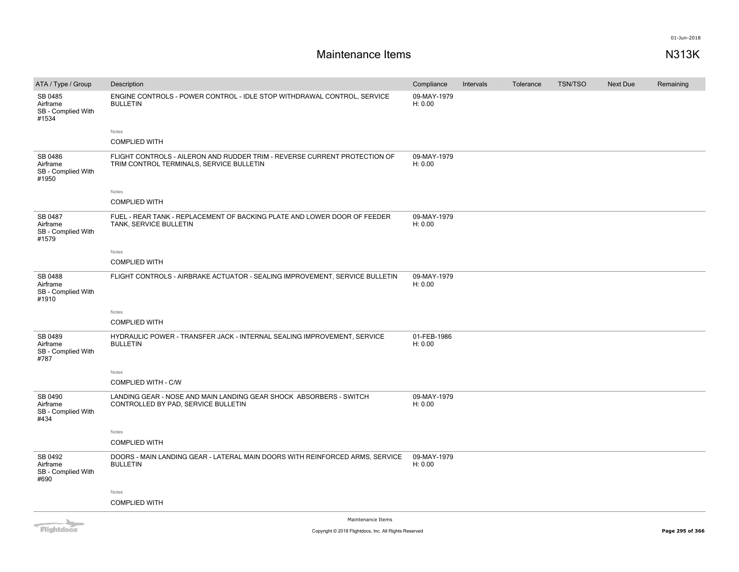# **Maintenance Items N313K**

| ATA / Type / Group                                 | Description                                                                                                           | Compliance             | Intervals | Tolerance | <b>TSN/TSO</b> | Next Due | Remaining |
|----------------------------------------------------|-----------------------------------------------------------------------------------------------------------------------|------------------------|-----------|-----------|----------------|----------|-----------|
| SB 0485<br>Airframe<br>SB - Complied With<br>#1534 | ENGINE CONTROLS - POWER CONTROL - IDLE STOP WITHDRAWAL CONTROL, SERVICE<br><b>BULLETIN</b>                            | 09-MAY-1979<br>H: 0.00 |           |           |                |          |           |
|                                                    | Notes                                                                                                                 |                        |           |           |                |          |           |
|                                                    | <b>COMPLIED WITH</b>                                                                                                  |                        |           |           |                |          |           |
| SB 0486<br>Airframe<br>SB - Complied With<br>#1950 | FLIGHT CONTROLS - AILERON AND RUDDER TRIM - REVERSE CURRENT PROTECTION OF<br>TRIM CONTROL TERMINALS, SERVICE BULLETIN | 09-MAY-1979<br>H: 0.00 |           |           |                |          |           |
|                                                    | Notes                                                                                                                 |                        |           |           |                |          |           |
|                                                    | <b>COMPLIED WITH</b>                                                                                                  |                        |           |           |                |          |           |
| SB 0487<br>Airframe<br>SB - Complied With<br>#1579 | FUEL - REAR TANK - REPLACEMENT OF BACKING PLATE AND LOWER DOOR OF FEEDER<br>TANK, SERVICE BULLETIN                    | 09-MAY-1979<br>H: 0.00 |           |           |                |          |           |
|                                                    | Notes                                                                                                                 |                        |           |           |                |          |           |
|                                                    | <b>COMPLIED WITH</b>                                                                                                  |                        |           |           |                |          |           |
| SB 0488<br>Airframe<br>SB - Complied With<br>#1910 | FLIGHT CONTROLS - AIRBRAKE ACTUATOR - SEALING IMPROVEMENT, SERVICE BULLETIN                                           | 09-MAY-1979<br>H: 0.00 |           |           |                |          |           |
|                                                    | Notes                                                                                                                 |                        |           |           |                |          |           |
|                                                    | <b>COMPLIED WITH</b>                                                                                                  |                        |           |           |                |          |           |
| SB 0489<br>Airframe<br>SB - Complied With<br>#787  | HYDRAULIC POWER - TRANSFER JACK - INTERNAL SEALING IMPROVEMENT, SERVICE<br><b>BULLETIN</b>                            | 01-FEB-1986<br>H: 0.00 |           |           |                |          |           |
|                                                    | Notes                                                                                                                 |                        |           |           |                |          |           |
|                                                    | COMPLIED WITH - C/W                                                                                                   |                        |           |           |                |          |           |
| SB 0490<br>Airframe<br>SB - Complied With<br>#434  | LANDING GEAR - NOSE AND MAIN LANDING GEAR SHOCK ABSORBERS - SWITCH<br>CONTROLLED BY PAD, SERVICE BULLETIN             | 09-MAY-1979<br>H: 0.00 |           |           |                |          |           |
|                                                    | Notes                                                                                                                 |                        |           |           |                |          |           |
|                                                    | <b>COMPLIED WITH</b>                                                                                                  |                        |           |           |                |          |           |
| SB 0492<br>Airframe<br>SB - Complied With<br>#690  | DOORS - MAIN LANDING GEAR - LATERAL MAIN DOORS WITH REINFORCED ARMS, SERVICE<br><b>BULLETIN</b>                       | 09-MAY-1979<br>H: 0.00 |           |           |                |          |           |
|                                                    | Notes                                                                                                                 |                        |           |           |                |          |           |
|                                                    | <b>COMPLIED WITH</b>                                                                                                  |                        |           |           |                |          |           |
|                                                    | Maintenance Thame                                                                                                     |                        |           |           |                |          |           |



Maintenance Items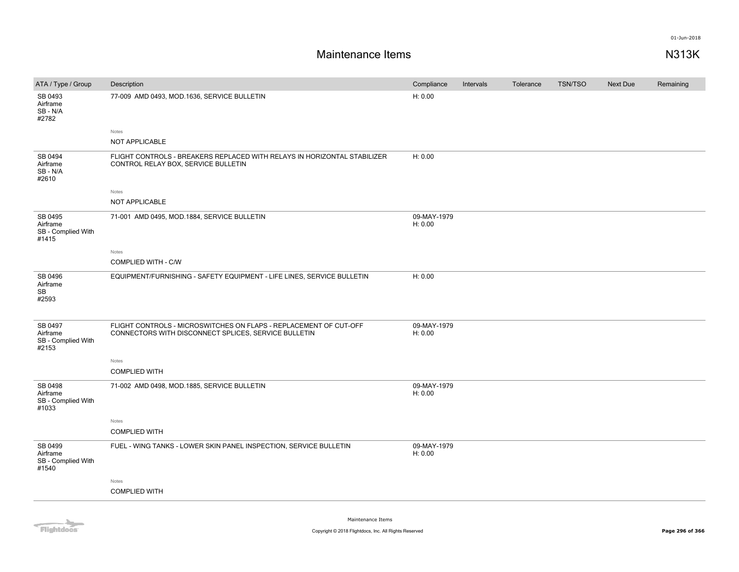| ATA / Type / Group                                 | Description                                                                                                               | Compliance             | Intervals | Tolerance | <b>TSN/TSO</b> | Next Due | Remaining |
|----------------------------------------------------|---------------------------------------------------------------------------------------------------------------------------|------------------------|-----------|-----------|----------------|----------|-----------|
| SB 0493<br>Airframe<br>SB-N/A<br>#2782             | 77-009 AMD 0493, MOD.1636, SERVICE BULLETIN                                                                               | H: 0.00                |           |           |                |          |           |
|                                                    | Notes                                                                                                                     |                        |           |           |                |          |           |
|                                                    | NOT APPLICABLE                                                                                                            |                        |           |           |                |          |           |
| SB 0494<br>Airframe<br>SB - N/A<br>#2610           | FLIGHT CONTROLS - BREAKERS REPLACED WITH RELAYS IN HORIZONTAL STABILIZER<br>CONTROL RELAY BOX, SERVICE BULLETIN           | H: 0.00                |           |           |                |          |           |
|                                                    | Notes                                                                                                                     |                        |           |           |                |          |           |
|                                                    | NOT APPLICABLE                                                                                                            |                        |           |           |                |          |           |
| SB 0495<br>Airframe<br>SB - Complied With<br>#1415 | 71-001 AMD 0495, MOD.1884, SERVICE BULLETIN                                                                               | 09-MAY-1979<br>H: 0.00 |           |           |                |          |           |
|                                                    | Notes                                                                                                                     |                        |           |           |                |          |           |
|                                                    | COMPLIED WITH - C/W                                                                                                       |                        |           |           |                |          |           |
| SB 0496<br>Airframe<br>SB<br>#2593                 | EQUIPMENT/FURNISHING - SAFETY EQUIPMENT - LIFE LINES, SERVICE BULLETIN                                                    | H: 0.00                |           |           |                |          |           |
| SB 0497<br>Airframe<br>SB - Complied With<br>#2153 | FLIGHT CONTROLS - MICROSWITCHES ON FLAPS - REPLACEMENT OF CUT-OFF<br>CONNECTORS WITH DISCONNECT SPLICES, SERVICE BULLETIN | 09-MAY-1979<br>H: 0.00 |           |           |                |          |           |
|                                                    | Notes                                                                                                                     |                        |           |           |                |          |           |
|                                                    | <b>COMPLIED WITH</b>                                                                                                      |                        |           |           |                |          |           |
| SB 0498<br>Airframe<br>SB - Complied With<br>#1033 | 71-002 AMD 0498, MOD.1885, SERVICE BULLETIN                                                                               | 09-MAY-1979<br>H: 0.00 |           |           |                |          |           |
|                                                    | Notes                                                                                                                     |                        |           |           |                |          |           |
|                                                    | <b>COMPLIED WITH</b>                                                                                                      |                        |           |           |                |          |           |
| SB 0499<br>Airframe<br>SB - Complied With<br>#1540 | FUEL - WING TANKS - LOWER SKIN PANEL INSPECTION, SERVICE BULLETIN                                                         | 09-MAY-1979<br>H: 0.00 |           |           |                |          |           |
|                                                    | Notes                                                                                                                     |                        |           |           |                |          |           |
|                                                    | <b>COMPLIED WITH</b>                                                                                                      |                        |           |           |                |          |           |
|                                                    |                                                                                                                           |                        |           |           |                |          |           |

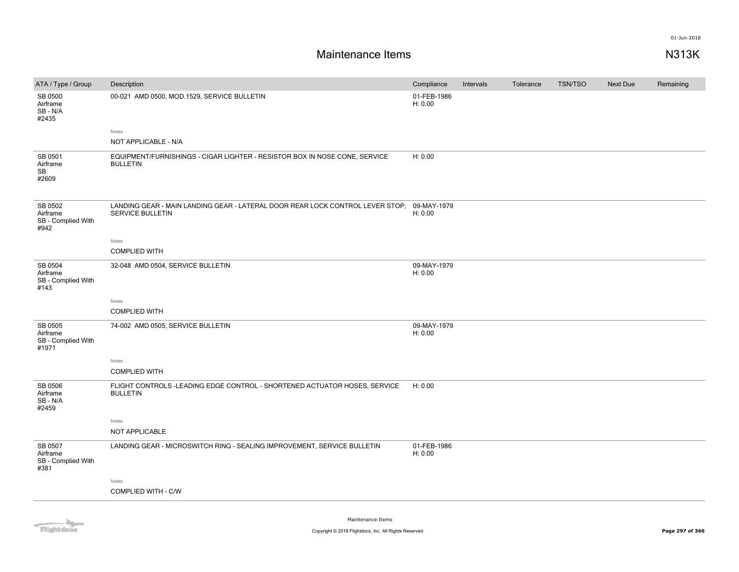| ATA / Type / Group                                 | Description                                                                                              | Compliance             | Intervals | Tolerance | <b>TSN/TSO</b> | <b>Next Due</b> | Remaining |
|----------------------------------------------------|----------------------------------------------------------------------------------------------------------|------------------------|-----------|-----------|----------------|-----------------|-----------|
| SB 0500<br>Airframe<br>SB-N/A<br>#2435             | 00-021 AMD 0500, MOD.1529, SERVICE BULLETIN                                                              | 01-FEB-1986<br>H: 0.00 |           |           |                |                 |           |
|                                                    | Notes                                                                                                    |                        |           |           |                |                 |           |
|                                                    | NOT APPLICABLE - N/A                                                                                     |                        |           |           |                |                 |           |
| SB 0501<br>Airframe<br>SB<br>#2609                 | EQUIPMENT/FURNISHINGS - CIGAR LIGHTER - RESISTOR BOX IN NOSE CONE, SERVICE<br><b>BULLETIN</b>            | H: 0.00                |           |           |                |                 |           |
| SB 0502<br>Airframe<br>SB - Complied With<br>#942  | LANDING GEAR - MAIN LANDING GEAR - LATERAL DOOR REAR LOCK CONTROL LEVER STOP.<br><b>SERVICE BULLETIN</b> | 09-MAY-1979<br>H: 0.00 |           |           |                |                 |           |
|                                                    | Notes                                                                                                    |                        |           |           |                |                 |           |
|                                                    | <b>COMPLIED WITH</b>                                                                                     |                        |           |           |                |                 |           |
| SB 0504<br>Airframe<br>SB - Complied With<br>#143  | 32-048 AMD 0504, SERVICE BULLETIN                                                                        | 09-MAY-1979<br>H: 0.00 |           |           |                |                 |           |
|                                                    | Notes                                                                                                    |                        |           |           |                |                 |           |
|                                                    | <b>COMPLIED WITH</b>                                                                                     |                        |           |           |                |                 |           |
| SB 0505<br>Airframe<br>SB - Complied With<br>#1971 | 74-002 AMD 0505, SERVICE BULLETIN                                                                        | 09-MAY-1979<br>H: 0.00 |           |           |                |                 |           |
|                                                    | Notes                                                                                                    |                        |           |           |                |                 |           |
|                                                    | <b>COMPLIED WITH</b>                                                                                     |                        |           |           |                |                 |           |
| SB 0506<br>Airframe<br>SB-N/A<br>#2459             | FLIGHT CONTROLS-LEADING EDGE CONTROL - SHORTENED ACTUATOR HOSES, SERVICE<br><b>BULLETIN</b>              | H: 0.00                |           |           |                |                 |           |
|                                                    | Notes                                                                                                    |                        |           |           |                |                 |           |
|                                                    | NOT APPLICABLE                                                                                           |                        |           |           |                |                 |           |
| SB 0507<br>Airframe<br>SB - Complied With<br>#381  | LANDING GEAR - MICROSWITCH RING - SEALING IMPROVEMENT, SERVICE BULLETIN                                  | 01-FEB-1986<br>H: 0.00 |           |           |                |                 |           |
|                                                    | Notes                                                                                                    |                        |           |           |                |                 |           |
|                                                    | COMPLIED WITH - C/W                                                                                      |                        |           |           |                |                 |           |
|                                                    |                                                                                                          |                        |           |           |                |                 |           |

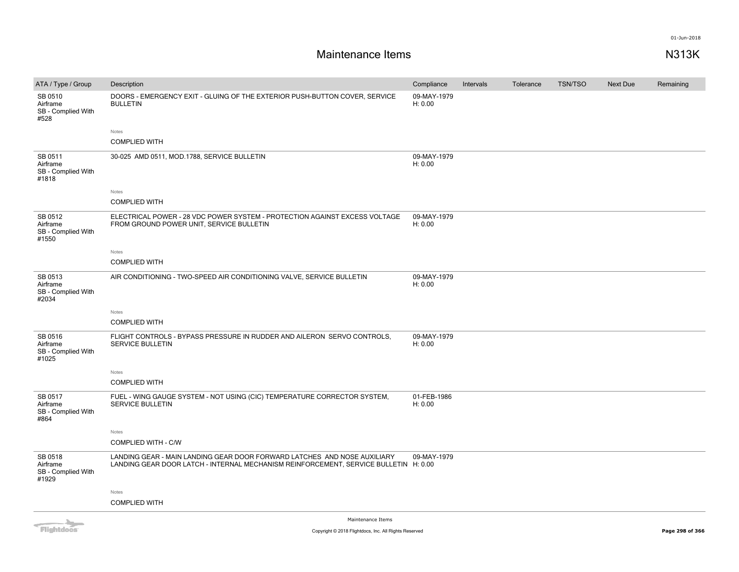| ATA / Type / Group                                                                                                                                                                                                                   | Description                                                                                                                                                      | Compliance             | Intervals | Tolerance | <b>TSN/TSO</b> | Next Due | Remaining |
|--------------------------------------------------------------------------------------------------------------------------------------------------------------------------------------------------------------------------------------|------------------------------------------------------------------------------------------------------------------------------------------------------------------|------------------------|-----------|-----------|----------------|----------|-----------|
| SB 0510<br>Airframe<br>SB - Complied With<br>#528                                                                                                                                                                                    | DOORS - EMERGENCY EXIT - GLUING OF THE EXTERIOR PUSH-BUTTON COVER, SERVICE<br><b>BULLETIN</b>                                                                    | 09-MAY-1979<br>H: 0.00 |           |           |                |          |           |
|                                                                                                                                                                                                                                      | Notes                                                                                                                                                            |                        |           |           |                |          |           |
|                                                                                                                                                                                                                                      | <b>COMPLIED WITH</b>                                                                                                                                             |                        |           |           |                |          |           |
| SB 0511<br>Airframe<br>SB - Complied With<br>#1818                                                                                                                                                                                   | 30-025 AMD 0511, MOD.1788, SERVICE BULLETIN                                                                                                                      | 09-MAY-1979<br>H: 0.00 |           |           |                |          |           |
|                                                                                                                                                                                                                                      | Notes                                                                                                                                                            |                        |           |           |                |          |           |
|                                                                                                                                                                                                                                      | <b>COMPLIED WITH</b>                                                                                                                                             |                        |           |           |                |          |           |
| SB 0512<br>Airframe<br>SB - Complied With<br>#1550                                                                                                                                                                                   | ELECTRICAL POWER - 28 VDC POWER SYSTEM - PROTECTION AGAINST EXCESS VOLTAGE<br>FROM GROUND POWER UNIT, SERVICE BULLETIN                                           | 09-MAY-1979<br>H: 0.00 |           |           |                |          |           |
|                                                                                                                                                                                                                                      | Notes                                                                                                                                                            |                        |           |           |                |          |           |
|                                                                                                                                                                                                                                      | <b>COMPLIED WITH</b>                                                                                                                                             |                        |           |           |                |          |           |
| SB 0513<br>Airframe<br>SB - Complied With<br>#2034                                                                                                                                                                                   | AIR CONDITIONING - TWO-SPEED AIR CONDITIONING VALVE, SERVICE BULLETIN                                                                                            | 09-MAY-1979<br>H: 0.00 |           |           |                |          |           |
|                                                                                                                                                                                                                                      | Notes                                                                                                                                                            |                        |           |           |                |          |           |
|                                                                                                                                                                                                                                      | <b>COMPLIED WITH</b>                                                                                                                                             |                        |           |           |                |          |           |
| SB 0516<br>Airframe<br>SB - Complied With<br>#1025                                                                                                                                                                                   | FLIGHT CONTROLS - BYPASS PRESSURE IN RUDDER AND AILERON SERVO CONTROLS,<br>SERVICE BULLETIN                                                                      | 09-MAY-1979<br>H: 0.00 |           |           |                |          |           |
|                                                                                                                                                                                                                                      | Notes                                                                                                                                                            |                        |           |           |                |          |           |
|                                                                                                                                                                                                                                      | <b>COMPLIED WITH</b>                                                                                                                                             |                        |           |           |                |          |           |
| SB 0517<br>Airframe<br>SB - Complied With<br>#864                                                                                                                                                                                    | FUEL - WING GAUGE SYSTEM - NOT USING (CIC) TEMPERATURE CORRECTOR SYSTEM,<br>SERVICE BULLETIN                                                                     | 01-FEB-1986<br>H: 0.00 |           |           |                |          |           |
|                                                                                                                                                                                                                                      | Notes                                                                                                                                                            |                        |           |           |                |          |           |
|                                                                                                                                                                                                                                      | COMPLIED WITH - C/W                                                                                                                                              |                        |           |           |                |          |           |
| SB 0518<br>Airframe<br>SB - Complied With<br>#1929                                                                                                                                                                                   | LANDING GEAR - MAIN LANDING GEAR DOOR FORWARD LATCHES AND NOSE AUXILIARY<br>LANDING GEAR DOOR LATCH - INTERNAL MECHANISM REINFORCEMENT, SERVICE BULLETIN H: 0.00 | 09-MAY-1979            |           |           |                |          |           |
|                                                                                                                                                                                                                                      | Notes                                                                                                                                                            |                        |           |           |                |          |           |
|                                                                                                                                                                                                                                      | <b>COMPLIED WITH</b>                                                                                                                                             |                        |           |           |                |          |           |
| <b>The Contract of the Contract of the Contract of the Contract of the Contract of the Contract of the Contract of the Contract of the Contract of The Contract of The Contract of The Contract of The Contract of The Contract </b> | Maintenance Items                                                                                                                                                |                        |           |           |                |          |           |

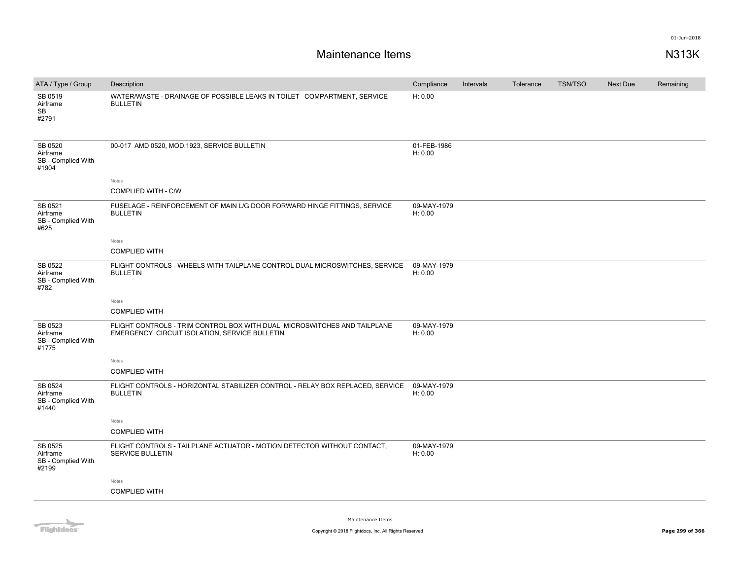| ATA / Type / Group                                 | Description                                                                                                               | Compliance             | Intervals | Tolerance | <b>TSN/TSO</b> | Next Due | Remaining |
|----------------------------------------------------|---------------------------------------------------------------------------------------------------------------------------|------------------------|-----------|-----------|----------------|----------|-----------|
| SB 0519<br>Airframe<br>SB<br>#2791                 | WATER/WASTE - DRAINAGE OF POSSIBLE LEAKS IN TOILET COMPARTMENT, SERVICE<br><b>BULLETIN</b>                                | H: 0.00                |           |           |                |          |           |
| SB 0520<br>Airframe<br>SB - Complied With<br>#1904 | 00-017 AMD 0520, MOD.1923, SERVICE BULLETIN                                                                               | 01-FEB-1986<br>H: 0.00 |           |           |                |          |           |
|                                                    | Notes                                                                                                                     |                        |           |           |                |          |           |
|                                                    | COMPLIED WITH - C/W                                                                                                       |                        |           |           |                |          |           |
| SB 0521<br>Airframe<br>SB - Complied With<br>#625  | FUSELAGE - REINFORCEMENT OF MAIN L/G DOOR FORWARD HINGE FITTINGS, SERVICE<br><b>BULLETIN</b>                              | 09-MAY-1979<br>H: 0.00 |           |           |                |          |           |
|                                                    | Notes                                                                                                                     |                        |           |           |                |          |           |
|                                                    | <b>COMPLIED WITH</b>                                                                                                      |                        |           |           |                |          |           |
| SB 0522<br>Airframe<br>SB - Complied With<br>#782  | FLIGHT CONTROLS - WHEELS WITH TAILPLANE CONTROL DUAL MICROSWITCHES, SERVICE<br><b>BULLETIN</b>                            | 09-MAY-1979<br>H: 0.00 |           |           |                |          |           |
|                                                    | Notes                                                                                                                     |                        |           |           |                |          |           |
|                                                    | <b>COMPLIED WITH</b>                                                                                                      |                        |           |           |                |          |           |
| SB 0523<br>Airframe<br>SB - Complied With<br>#1775 | FLIGHT CONTROLS - TRIM CONTROL BOX WITH DUAL MICROSWITCHES AND TAILPLANE<br>EMERGENCY CIRCUIT ISOLATION, SERVICE BULLETIN | 09-MAY-1979<br>H: 0.00 |           |           |                |          |           |
|                                                    | Notes                                                                                                                     |                        |           |           |                |          |           |
|                                                    | <b>COMPLIED WITH</b>                                                                                                      |                        |           |           |                |          |           |
| SB 0524<br>Airframe<br>SB - Complied With<br>#1440 | FLIGHT CONTROLS - HORIZONTAL STABILIZER CONTROL - RELAY BOX REPLACED, SERVICE<br><b>BULLETIN</b>                          | 09-MAY-1979<br>H: 0.00 |           |           |                |          |           |
|                                                    | Notes                                                                                                                     |                        |           |           |                |          |           |
|                                                    | <b>COMPLIED WITH</b>                                                                                                      |                        |           |           |                |          |           |
| SB 0525<br>Airframe<br>SB - Complied With<br>#2199 | FLIGHT CONTROLS - TAILPLANE ACTUATOR - MOTION DETECTOR WITHOUT CONTACT,<br><b>SERVICE BULLETIN</b>                        | 09-MAY-1979<br>H: 0.00 |           |           |                |          |           |
|                                                    | Notes                                                                                                                     |                        |           |           |                |          |           |
|                                                    | <b>COMPLIED WITH</b>                                                                                                      |                        |           |           |                |          |           |
|                                                    |                                                                                                                           |                        |           |           |                |          |           |

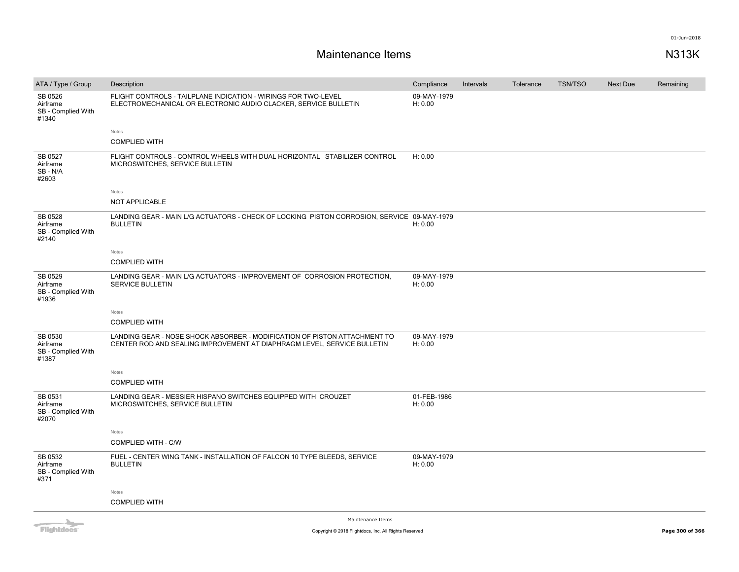| ATA / Type / Group                                 | Description                                                                                                                                          | Compliance             | Intervals | Tolerance | <b>TSN/TSO</b> | Next Due | Remaining |
|----------------------------------------------------|------------------------------------------------------------------------------------------------------------------------------------------------------|------------------------|-----------|-----------|----------------|----------|-----------|
| SB 0526<br>Airframe<br>SB - Complied With<br>#1340 | FLIGHT CONTROLS - TAILPLANE INDICATION - WIRINGS FOR TWO-LEVEL<br>ELECTROMECHANICAL OR ELECTRONIC AUDIO CLACKER, SERVICE BULLETIN                    | 09-MAY-1979<br>H: 0.00 |           |           |                |          |           |
|                                                    | Notes                                                                                                                                                |                        |           |           |                |          |           |
|                                                    | <b>COMPLIED WITH</b>                                                                                                                                 |                        |           |           |                |          |           |
| SB 0527<br>Airframe<br>SB-N/A<br>#2603             | FLIGHT CONTROLS - CONTROL WHEELS WITH DUAL HORIZONTAL STABILIZER CONTROL<br>MICROSWITCHES, SERVICE BULLETIN                                          | H: 0.00                |           |           |                |          |           |
|                                                    | Notes                                                                                                                                                |                        |           |           |                |          |           |
|                                                    | NOT APPLICABLE                                                                                                                                       |                        |           |           |                |          |           |
| SB 0528<br>Airframe<br>SB - Complied With<br>#2140 | LANDING GEAR - MAIN L/G ACTUATORS - CHECK OF LOCKING PISTON CORROSION, SERVICE 09-MAY-1979<br><b>BULLETIN</b>                                        | H: 0.00                |           |           |                |          |           |
|                                                    | Notes                                                                                                                                                |                        |           |           |                |          |           |
|                                                    | <b>COMPLIED WITH</b>                                                                                                                                 |                        |           |           |                |          |           |
| SB 0529<br>Airframe<br>SB - Complied With<br>#1936 | LANDING GEAR - MAIN L/G ACTUATORS - IMPROVEMENT OF CORROSION PROTECTION,<br><b>SERVICE BULLETIN</b>                                                  | 09-MAY-1979<br>H: 0.00 |           |           |                |          |           |
|                                                    | Notes                                                                                                                                                |                        |           |           |                |          |           |
|                                                    | <b>COMPLIED WITH</b>                                                                                                                                 |                        |           |           |                |          |           |
| SB 0530<br>Airframe<br>SB - Complied With<br>#1387 | LANDING GEAR - NOSE SHOCK ABSORBER - MODIFICATION OF PISTON ATTACHMENT TO<br>CENTER ROD AND SEALING IMPROVEMENT AT DIAPHRAGM LEVEL, SERVICE BULLETIN | 09-MAY-1979<br>H: 0.00 |           |           |                |          |           |
|                                                    | Notes                                                                                                                                                |                        |           |           |                |          |           |
|                                                    | <b>COMPLIED WITH</b>                                                                                                                                 |                        |           |           |                |          |           |
| SB 0531<br>Airframe<br>SB - Complied With<br>#2070 | LANDING GEAR - MESSIER HISPANO SWITCHES EQUIPPED WITH CROUZET<br>MICROSWITCHES, SERVICE BULLETIN                                                     | 01-FEB-1986<br>H: 0.00 |           |           |                |          |           |
|                                                    | Notes                                                                                                                                                |                        |           |           |                |          |           |
|                                                    | <b>COMPLIED WITH - C/W</b>                                                                                                                           |                        |           |           |                |          |           |
| SB 0532<br>Airframe<br>SB - Complied With<br>#371  | FUEL - CENTER WING TANK - INSTALLATION OF FALCON 10 TYPE BLEEDS, SERVICE<br><b>BULLETIN</b>                                                          | 09-MAY-1979<br>H: 0.00 |           |           |                |          |           |
|                                                    | Notes                                                                                                                                                |                        |           |           |                |          |           |
|                                                    | <b>COMPLIED WITH</b>                                                                                                                                 |                        |           |           |                |          |           |
|                                                    |                                                                                                                                                      |                        |           |           |                |          |           |

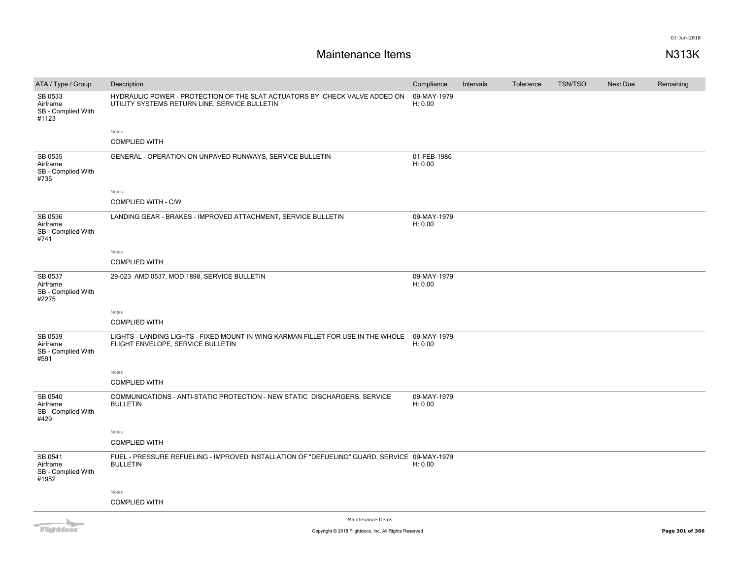| ATA / Type / Group                                                                                                                                                                                                                   | Description                                                                                                                 | Compliance             | Intervals | Tolerance | <b>TSN/TSO</b> | Next Due | Remaining |
|--------------------------------------------------------------------------------------------------------------------------------------------------------------------------------------------------------------------------------------|-----------------------------------------------------------------------------------------------------------------------------|------------------------|-----------|-----------|----------------|----------|-----------|
| SB 0533<br>Airframe<br>SB - Complied With<br>#1123                                                                                                                                                                                   | HYDRAULIC POWER - PROTECTION OF THE SLAT ACTUATORS BY CHECK VALVE ADDED ON<br>UTILITY SYSTEMS RETURN LINE, SERVICE BULLETIN | 09-MAY-1979<br>H: 0.00 |           |           |                |          |           |
|                                                                                                                                                                                                                                      | Notes                                                                                                                       |                        |           |           |                |          |           |
|                                                                                                                                                                                                                                      | <b>COMPLIED WITH</b>                                                                                                        |                        |           |           |                |          |           |
| SB 0535<br>Airframe<br>SB - Complied With<br>#735                                                                                                                                                                                    | GENERAL - OPERATION ON UNPAVED RUNWAYS, SERVICE BULLETIN                                                                    | 01-FEB-1986<br>H: 0.00 |           |           |                |          |           |
|                                                                                                                                                                                                                                      | Notes                                                                                                                       |                        |           |           |                |          |           |
|                                                                                                                                                                                                                                      | <b>COMPLIED WITH - C/W</b>                                                                                                  |                        |           |           |                |          |           |
| SB 0536<br>Airframe<br>SB - Complied With<br>#741                                                                                                                                                                                    | LANDING GEAR - BRAKES - IMPROVED ATTACHMENT, SERVICE BULLETIN                                                               | 09-MAY-1979<br>H: 0.00 |           |           |                |          |           |
|                                                                                                                                                                                                                                      | Notes                                                                                                                       |                        |           |           |                |          |           |
|                                                                                                                                                                                                                                      | <b>COMPLIED WITH</b>                                                                                                        |                        |           |           |                |          |           |
| SB 0537<br>Airframe<br>SB - Complied With<br>#2275                                                                                                                                                                                   | 29-023 AMD 0537, MOD.1898, SERVICE BULLETIN                                                                                 | 09-MAY-1979<br>H: 0.00 |           |           |                |          |           |
|                                                                                                                                                                                                                                      | Notes                                                                                                                       |                        |           |           |                |          |           |
|                                                                                                                                                                                                                                      | <b>COMPLIED WITH</b>                                                                                                        |                        |           |           |                |          |           |
| SB 0539<br>Airframe<br>SB - Complied With<br>#591                                                                                                                                                                                    | LIGHTS - LANDING LIGHTS - FIXED MOUNT IN WING KARMAN FILLET FOR USE IN THE WHOLE<br>FLIGHT ENVELOPE, SERVICE BULLETIN       | 09-MAY-1979<br>H: 0.00 |           |           |                |          |           |
|                                                                                                                                                                                                                                      | Notes                                                                                                                       |                        |           |           |                |          |           |
|                                                                                                                                                                                                                                      | <b>COMPLIED WITH</b>                                                                                                        |                        |           |           |                |          |           |
| SB 0540<br>Airframe<br>SB - Complied With<br>#429                                                                                                                                                                                    | COMMUNICATIONS - ANTI-STATIC PROTECTION - NEW STATIC DISCHARGERS, SERVICE<br><b>BULLETIN</b>                                | 09-MAY-1979<br>H: 0.00 |           |           |                |          |           |
|                                                                                                                                                                                                                                      | Notes                                                                                                                       |                        |           |           |                |          |           |
|                                                                                                                                                                                                                                      | <b>COMPLIED WITH</b>                                                                                                        |                        |           |           |                |          |           |
| SB 0541<br>Airframe<br>SB - Complied With<br>#1952                                                                                                                                                                                   | FUEL - PRESSURE REFUELING - IMPROVED INSTALLATION OF "DEFUELING" GUARD, SERVICE 09-MAY-1979<br><b>BULLETIN</b>              | H: 0.00                |           |           |                |          |           |
|                                                                                                                                                                                                                                      | Notes                                                                                                                       |                        |           |           |                |          |           |
|                                                                                                                                                                                                                                      | <b>COMPLIED WITH</b>                                                                                                        |                        |           |           |                |          |           |
| <b>The Contract of the Contract of the Contract of the Contract of the Contract of the Contract of the Contract of the Contract of the Contract of The Contract of The Contract of The Contract of The Contract of The Contract </b> | Maintenance Items                                                                                                           |                        |           |           |                |          |           |

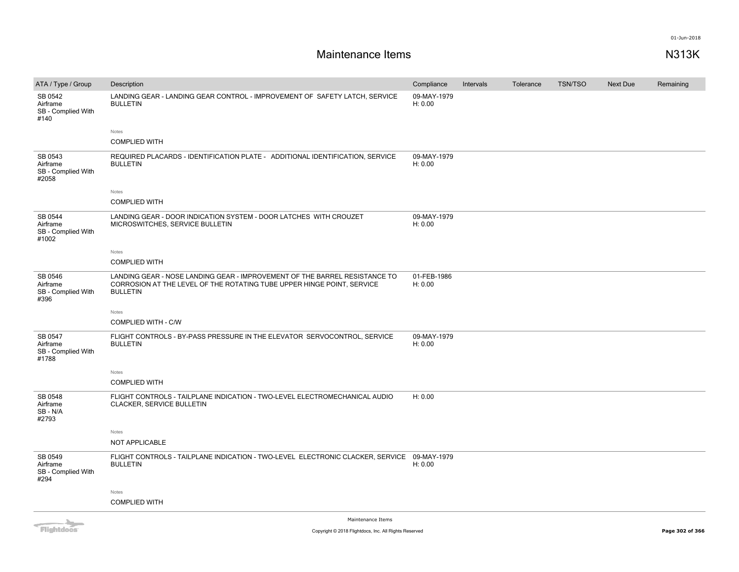| ATA / Type / Group                                                                                                                                                                                                                   | Description                                                                                                                                                             | Compliance             | Intervals | Tolerance | <b>TSN/TSO</b> | <b>Next Due</b> | Remaining |
|--------------------------------------------------------------------------------------------------------------------------------------------------------------------------------------------------------------------------------------|-------------------------------------------------------------------------------------------------------------------------------------------------------------------------|------------------------|-----------|-----------|----------------|-----------------|-----------|
| SB 0542<br>Airframe<br>SB - Complied With<br>#140                                                                                                                                                                                    | LANDING GEAR - LANDING GEAR CONTROL - IMPROVEMENT OF SAFETY LATCH, SERVICE<br><b>BULLETIN</b>                                                                           | 09-MAY-1979<br>H: 0.00 |           |           |                |                 |           |
|                                                                                                                                                                                                                                      | Notes                                                                                                                                                                   |                        |           |           |                |                 |           |
|                                                                                                                                                                                                                                      | <b>COMPLIED WITH</b>                                                                                                                                                    |                        |           |           |                |                 |           |
| SB 0543<br>Airframe<br>SB - Complied With<br>#2058                                                                                                                                                                                   | REQUIRED PLACARDS - IDENTIFICATION PLATE - ADDITIONAL IDENTIFICATION, SERVICE<br><b>BULLETIN</b>                                                                        | 09-MAY-1979<br>H: 0.00 |           |           |                |                 |           |
|                                                                                                                                                                                                                                      | Notes                                                                                                                                                                   |                        |           |           |                |                 |           |
|                                                                                                                                                                                                                                      | <b>COMPLIED WITH</b>                                                                                                                                                    |                        |           |           |                |                 |           |
| SB 0544<br>Airframe<br>SB - Complied With<br>#1002                                                                                                                                                                                   | LANDING GEAR - DOOR INDICATION SYSTEM - DOOR LATCHES WITH CROUZET<br>MICROSWITCHES, SERVICE BULLETIN                                                                    | 09-MAY-1979<br>H: 0.00 |           |           |                |                 |           |
|                                                                                                                                                                                                                                      | Notes                                                                                                                                                                   |                        |           |           |                |                 |           |
|                                                                                                                                                                                                                                      | <b>COMPLIED WITH</b>                                                                                                                                                    |                        |           |           |                |                 |           |
| SB 0546<br>Airframe<br>SB - Complied With<br>#396                                                                                                                                                                                    | LANDING GEAR - NOSE LANDING GEAR - IMPROVEMENT OF THE BARREL RESISTANCE TO<br>CORROSION AT THE LEVEL OF THE ROTATING TUBE UPPER HINGE POINT, SERVICE<br><b>BULLETIN</b> | 01-FEB-1986<br>H: 0.00 |           |           |                |                 |           |
|                                                                                                                                                                                                                                      | Notes                                                                                                                                                                   |                        |           |           |                |                 |           |
|                                                                                                                                                                                                                                      | <b>COMPLIED WITH - C/W</b>                                                                                                                                              |                        |           |           |                |                 |           |
| SB 0547<br>Airframe<br>SB - Complied With<br>#1788                                                                                                                                                                                   | FLIGHT CONTROLS - BY-PASS PRESSURE IN THE ELEVATOR SERVOCONTROL, SERVICE<br><b>BULLETIN</b>                                                                             | 09-MAY-1979<br>H: 0.00 |           |           |                |                 |           |
|                                                                                                                                                                                                                                      | Notes                                                                                                                                                                   |                        |           |           |                |                 |           |
|                                                                                                                                                                                                                                      | <b>COMPLIED WITH</b>                                                                                                                                                    |                        |           |           |                |                 |           |
| SB 0548<br>Airframe<br>SB-N/A<br>#2793                                                                                                                                                                                               | FLIGHT CONTROLS - TAILPLANE INDICATION - TWO-LEVEL ELECTROMECHANICAL AUDIO<br>CLACKER, SERVICE BULLETIN                                                                 | H: 0.00                |           |           |                |                 |           |
|                                                                                                                                                                                                                                      | Notes                                                                                                                                                                   |                        |           |           |                |                 |           |
|                                                                                                                                                                                                                                      | <b>NOT APPLICABLE</b>                                                                                                                                                   |                        |           |           |                |                 |           |
| SB 0549<br>Airframe<br>SB - Complied With<br>#294                                                                                                                                                                                    | FLIGHT CONTROLS - TAILPLANE INDICATION - TWO-LEVEL ELECTRONIC CLACKER, SERVICE 09-MAY-1979<br><b>BULLETIN</b>                                                           | H: 0.00                |           |           |                |                 |           |
|                                                                                                                                                                                                                                      | Notes                                                                                                                                                                   |                        |           |           |                |                 |           |
|                                                                                                                                                                                                                                      | <b>COMPLIED WITH</b>                                                                                                                                                    |                        |           |           |                |                 |           |
| <b>The Contract of the Contract of the Contract of the Contract of the Contract of the Contract of the Contract of the Contract of the Contract of the Contract of the Contract of the Contract of The Contract of The Contract </b> | Maintenance Items                                                                                                                                                       |                        |           |           |                |                 |           |

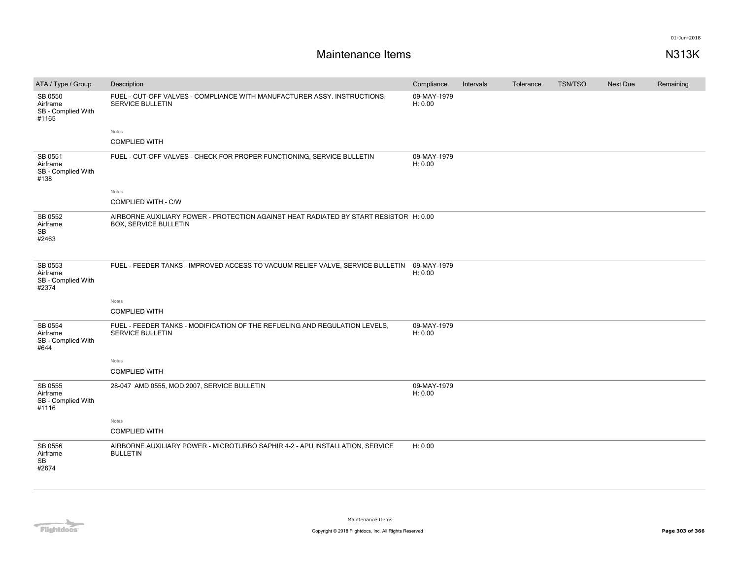| ATA / Type / Group                                 | Description                                                                                                           | Compliance             | Intervals | Tolerance | <b>TSN/TSO</b> | <b>Next Due</b> | Remaining |
|----------------------------------------------------|-----------------------------------------------------------------------------------------------------------------------|------------------------|-----------|-----------|----------------|-----------------|-----------|
| SB 0550<br>Airframe<br>SB - Complied With<br>#1165 | FUEL - CUT-OFF VALVES - COMPLIANCE WITH MANUFACTURER ASSY. INSTRUCTIONS,<br><b>SERVICE BULLETIN</b>                   | 09-MAY-1979<br>H: 0.00 |           |           |                |                 |           |
|                                                    | Notes                                                                                                                 |                        |           |           |                |                 |           |
|                                                    | <b>COMPLIED WITH</b>                                                                                                  |                        |           |           |                |                 |           |
| SB 0551<br>Airframe<br>SB - Complied With<br>#138  | FUEL - CUT-OFF VALVES - CHECK FOR PROPER FUNCTIONING, SERVICE BULLETIN                                                | 09-MAY-1979<br>H: 0.00 |           |           |                |                 |           |
|                                                    | Notes                                                                                                                 |                        |           |           |                |                 |           |
|                                                    | <b>COMPLIED WITH - C/W</b>                                                                                            |                        |           |           |                |                 |           |
| SB 0552<br>Airframe<br>SB<br>#2463                 | AIRBORNE AUXILIARY POWER - PROTECTION AGAINST HEAT RADIATED BY START RESISTOR H: 0.00<br><b>BOX, SERVICE BULLETIN</b> |                        |           |           |                |                 |           |
| SB 0553<br>Airframe<br>SB - Complied With<br>#2374 | FUEL - FEEDER TANKS - IMPROVED ACCESS TO VACUUM RELIEF VALVE, SERVICE BULLETIN 09-MAY-1979                            | H: 0.00                |           |           |                |                 |           |
|                                                    | Notes                                                                                                                 |                        |           |           |                |                 |           |
|                                                    | <b>COMPLIED WITH</b>                                                                                                  |                        |           |           |                |                 |           |
| SB 0554<br>Airframe<br>SB - Complied With<br>#644  | FUEL - FEEDER TANKS - MODIFICATION OF THE REFUELING AND REGULATION LEVELS.<br><b>SERVICE BULLETIN</b>                 | 09-MAY-1979<br>H: 0.00 |           |           |                |                 |           |
|                                                    | Notes                                                                                                                 |                        |           |           |                |                 |           |
|                                                    | <b>COMPLIED WITH</b>                                                                                                  |                        |           |           |                |                 |           |
| SB 0555<br>Airframe<br>SB - Complied With<br>#1116 | 28-047 AMD 0555, MOD.2007, SERVICE BULLETIN                                                                           | 09-MAY-1979<br>H: 0.00 |           |           |                |                 |           |
|                                                    | Notes                                                                                                                 |                        |           |           |                |                 |           |
|                                                    | <b>COMPLIED WITH</b>                                                                                                  |                        |           |           |                |                 |           |
| SB 0556<br>Airframe<br><b>SB</b><br>#2674          | AIRBORNE AUXILIARY POWER - MICROTURBO SAPHIR 4-2 - APU INSTALLATION, SERVICE<br><b>BULLETIN</b>                       | H: 0.00                |           |           |                |                 |           |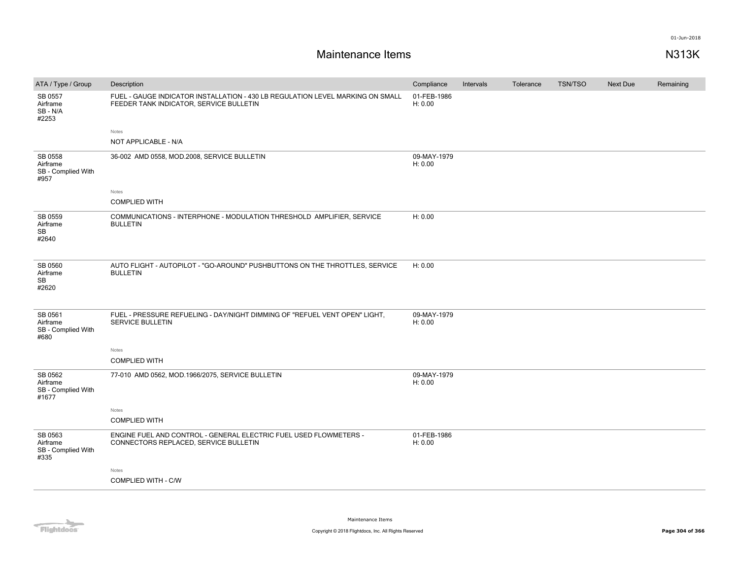| ATA / Type / Group                                 | Description                                                                                                               | Compliance             | Intervals | Tolerance | <b>TSN/TSO</b> | <b>Next Due</b> | Remaining |
|----------------------------------------------------|---------------------------------------------------------------------------------------------------------------------------|------------------------|-----------|-----------|----------------|-----------------|-----------|
| SB 0557<br>Airframe<br>SB-N/A<br>#2253             | FUEL - GAUGE INDICATOR INSTALLATION - 430 LB REGULATION LEVEL MARKING ON SMALL<br>FEEDER TANK INDICATOR, SERVICE BULLETIN | 01-FEB-1986<br>H: 0.00 |           |           |                |                 |           |
|                                                    | Notes                                                                                                                     |                        |           |           |                |                 |           |
|                                                    | NOT APPLICABLE - N/A                                                                                                      |                        |           |           |                |                 |           |
| SB 0558<br>Airframe<br>SB - Complied With<br>#957  | 36-002 AMD 0558, MOD.2008, SERVICE BULLETIN                                                                               | 09-MAY-1979<br>H: 0.00 |           |           |                |                 |           |
|                                                    | Notes                                                                                                                     |                        |           |           |                |                 |           |
|                                                    | <b>COMPLIED WITH</b>                                                                                                      |                        |           |           |                |                 |           |
| SB 0559<br>Airframe<br><b>SB</b><br>#2640          | COMMUNICATIONS - INTERPHONE - MODULATION THRESHOLD AMPLIFIER, SERVICE<br><b>BULLETIN</b>                                  | H: 0.00                |           |           |                |                 |           |
| SB 0560<br>Airframe<br><b>SB</b><br>#2620          | AUTO FLIGHT - AUTOPILOT - "GO-AROUND" PUSHBUTTONS ON THE THROTTLES, SERVICE<br><b>BULLETIN</b>                            | H: 0.00                |           |           |                |                 |           |
| SB 0561<br>Airframe<br>SB - Complied With<br>#680  | FUEL - PRESSURE REFUELING - DAY/NIGHT DIMMING OF "REFUEL VENT OPEN" LIGHT,<br>SERVICE BULLETIN                            | 09-MAY-1979<br>H: 0.00 |           |           |                |                 |           |
|                                                    | Notes                                                                                                                     |                        |           |           |                |                 |           |
|                                                    | <b>COMPLIED WITH</b>                                                                                                      |                        |           |           |                |                 |           |
| SB 0562<br>Airframe<br>SB - Complied With<br>#1677 | 77-010 AMD 0562, MOD.1966/2075, SERVICE BULLETIN                                                                          | 09-MAY-1979<br>H: 0.00 |           |           |                |                 |           |
|                                                    | Notes                                                                                                                     |                        |           |           |                |                 |           |
|                                                    | <b>COMPLIED WITH</b>                                                                                                      |                        |           |           |                |                 |           |
| SB 0563<br>Airframe<br>SB - Complied With<br>#335  | ENGINE FUEL AND CONTROL - GENERAL ELECTRIC FUEL USED FLOWMETERS -<br>CONNECTORS REPLACED, SERVICE BULLETIN                | 01-FEB-1986<br>H: 0.00 |           |           |                |                 |           |
|                                                    | Notes                                                                                                                     |                        |           |           |                |                 |           |
|                                                    | COMPLIED WITH - C/W                                                                                                       |                        |           |           |                |                 |           |
|                                                    |                                                                                                                           |                        |           |           |                |                 |           |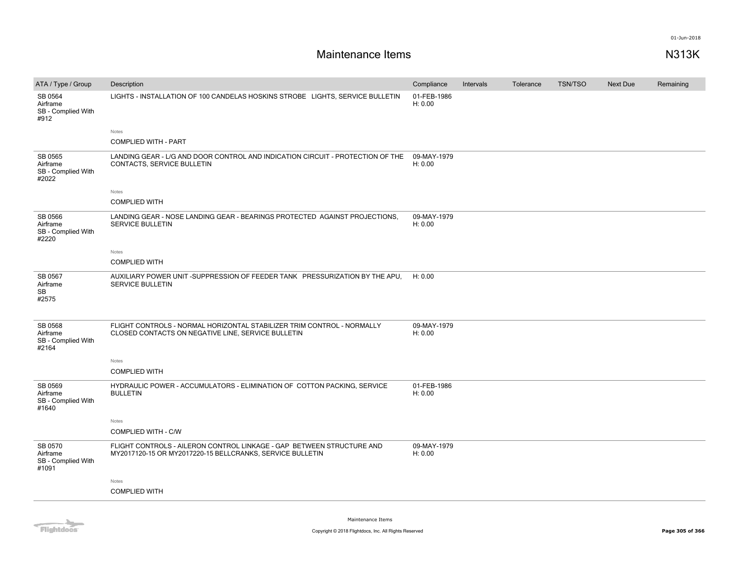| ATA / Type / Group                                 | Description                                                                                                                        | Compliance             | Intervals | Tolerance | <b>TSN/TSO</b> | Next Due | Remaining |
|----------------------------------------------------|------------------------------------------------------------------------------------------------------------------------------------|------------------------|-----------|-----------|----------------|----------|-----------|
| SB 0564<br>Airframe<br>SB - Complied With<br>#912  | LIGHTS - INSTALLATION OF 100 CANDELAS HOSKINS STROBE LIGHTS, SERVICE BULLETIN                                                      | 01-FEB-1986<br>H: 0.00 |           |           |                |          |           |
|                                                    | Notes                                                                                                                              |                        |           |           |                |          |           |
|                                                    | <b>COMPLIED WITH - PART</b>                                                                                                        |                        |           |           |                |          |           |
| SB 0565<br>Airframe<br>SB - Complied With<br>#2022 | LANDING GEAR - L/G AND DOOR CONTROL AND INDICATION CIRCUIT - PROTECTION OF THE<br>CONTACTS, SERVICE BULLETIN                       | 09-MAY-1979<br>H: 0.00 |           |           |                |          |           |
|                                                    | Notes                                                                                                                              |                        |           |           |                |          |           |
|                                                    | <b>COMPLIED WITH</b>                                                                                                               |                        |           |           |                |          |           |
| SB 0566<br>Airframe<br>SB - Complied With<br>#2220 | LANDING GEAR - NOSE LANDING GEAR - BEARINGS PROTECTED AGAINST PROJECTIONS,<br><b>SERVICE BULLETIN</b>                              | 09-MAY-1979<br>H: 0.00 |           |           |                |          |           |
|                                                    | Notes                                                                                                                              |                        |           |           |                |          |           |
|                                                    | <b>COMPLIED WITH</b>                                                                                                               |                        |           |           |                |          |           |
| SB 0567<br>Airframe<br><b>SB</b><br>#2575          | AUXILIARY POWER UNIT -SUPPRESSION OF FEEDER TANK PRESSURIZATION BY THE APU.<br><b>SERVICE BULLETIN</b>                             | H: 0.00                |           |           |                |          |           |
| SB 0568<br>Airframe<br>SB - Complied With<br>#2164 | FLIGHT CONTROLS - NORMAL HORIZONTAL STABILIZER TRIM CONTROL - NORMALLY<br>CLOSED CONTACTS ON NEGATIVE LINE, SERVICE BULLETIN       | 09-MAY-1979<br>H: 0.00 |           |           |                |          |           |
|                                                    | Notes                                                                                                                              |                        |           |           |                |          |           |
|                                                    | <b>COMPLIED WITH</b>                                                                                                               |                        |           |           |                |          |           |
| SB 0569<br>Airframe<br>SB - Complied With<br>#1640 | HYDRAULIC POWER - ACCUMULATORS - ELIMINATION OF COTTON PACKING, SERVICE<br><b>BULLETIN</b>                                         | 01-FEB-1986<br>H: 0.00 |           |           |                |          |           |
|                                                    | Notes                                                                                                                              |                        |           |           |                |          |           |
|                                                    | COMPLIED WITH - C/W                                                                                                                |                        |           |           |                |          |           |
| SB 0570<br>Airframe<br>SB - Complied With<br>#1091 | FLIGHT CONTROLS - AILERON CONTROL LINKAGE - GAP BETWEEN STRUCTURE AND<br>MY2017120-15 OR MY2017220-15 BELLCRANKS, SERVICE BULLETIN | 09-MAY-1979<br>H: 0.00 |           |           |                |          |           |
|                                                    | Notes                                                                                                                              |                        |           |           |                |          |           |
|                                                    | <b>COMPLIED WITH</b>                                                                                                               |                        |           |           |                |          |           |
|                                                    |                                                                                                                                    |                        |           |           |                |          |           |

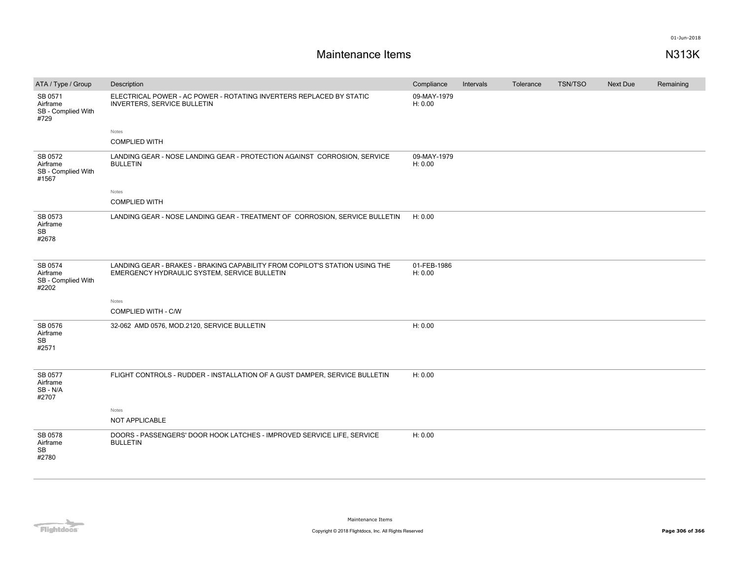| ATA / Type / Group                                 | Description                                                                                                                 | Compliance             | Intervals | Tolerance | <b>TSN/TSO</b> | Next Due | Remaining |
|----------------------------------------------------|-----------------------------------------------------------------------------------------------------------------------------|------------------------|-----------|-----------|----------------|----------|-----------|
| SB 0571<br>Airframe<br>SB - Complied With<br>#729  | ELECTRICAL POWER - AC POWER - ROTATING INVERTERS REPLACED BY STATIC<br><b>INVERTERS, SERVICE BULLETIN</b>                   | 09-MAY-1979<br>H: 0.00 |           |           |                |          |           |
|                                                    | Notes                                                                                                                       |                        |           |           |                |          |           |
|                                                    | <b>COMPLIED WITH</b>                                                                                                        |                        |           |           |                |          |           |
| SB 0572<br>Airframe<br>SB - Complied With<br>#1567 | LANDING GEAR - NOSE LANDING GEAR - PROTECTION AGAINST CORROSION, SERVICE<br><b>BULLETIN</b>                                 | 09-MAY-1979<br>H: 0.00 |           |           |                |          |           |
|                                                    | Notes                                                                                                                       |                        |           |           |                |          |           |
|                                                    | <b>COMPLIED WITH</b>                                                                                                        |                        |           |           |                |          |           |
| SB 0573<br>Airframe<br>SB<br>#2678                 | LANDING GEAR - NOSE LANDING GEAR - TREATMENT OF CORROSION, SERVICE BULLETIN                                                 | H: 0.00                |           |           |                |          |           |
| SB 0574<br>Airframe<br>SB - Complied With<br>#2202 | LANDING GEAR - BRAKES - BRAKING CAPABILITY FROM COPILOT'S STATION USING THE<br>EMERGENCY HYDRAULIC SYSTEM, SERVICE BULLETIN | 01-FEB-1986<br>H: 0.00 |           |           |                |          |           |
|                                                    | Notes                                                                                                                       |                        |           |           |                |          |           |
|                                                    | COMPLIED WITH - C/W                                                                                                         |                        |           |           |                |          |           |
| SB 0576<br>Airframe<br>SB<br>#2571                 | 32-062 AMD 0576, MOD.2120, SERVICE BULLETIN                                                                                 | H: 0.00                |           |           |                |          |           |
| SB 0577<br>Airframe<br>SB - N/A<br>#2707           | FLIGHT CONTROLS - RUDDER - INSTALLATION OF A GUST DAMPER, SERVICE BULLETIN                                                  | H: 0.00                |           |           |                |          |           |
|                                                    | Notes<br>NOT APPLICABLE                                                                                                     |                        |           |           |                |          |           |
| SB 0578<br>Airframe<br>SB<br>#2780                 | DOORS - PASSENGERS' DOOR HOOK LATCHES - IMPROVED SERVICE LIFE, SERVICE<br><b>BULLETIN</b>                                   | H: 0.00                |           |           |                |          |           |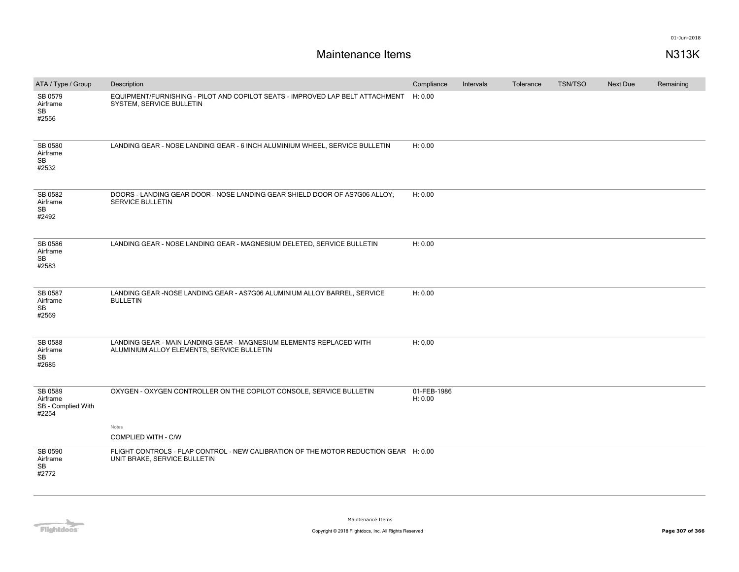| ATA / Type / Group                                 | Description                                                                                                          | Compliance             | Intervals | Tolerance | <b>TSN/TSO</b> | Next Due | Remaining |
|----------------------------------------------------|----------------------------------------------------------------------------------------------------------------------|------------------------|-----------|-----------|----------------|----------|-----------|
| SB 0579<br>Airframe<br>SB<br>#2556                 | EQUIPMENT/FURNISHING - PILOT AND COPILOT SEATS - IMPROVED LAP BELT ATTACHMENT<br>SYSTEM, SERVICE BULLETIN            | H: 0.00                |           |           |                |          |           |
| SB 0580<br>Airframe<br>SB<br>#2532                 | LANDING GEAR - NOSE LANDING GEAR - 6 INCH ALUMINIUM WHEEL, SERVICE BULLETIN                                          | H: 0.00                |           |           |                |          |           |
| SB 0582<br>Airframe<br>SB<br>#2492                 | DOORS - LANDING GEAR DOOR - NOSE LANDING GEAR SHIELD DOOR OF AS7G06 ALLOY.<br><b>SERVICE BULLETIN</b>                | H: 0.00                |           |           |                |          |           |
| SB 0586<br>Airframe<br>SB<br>#2583                 | LANDING GEAR - NOSE LANDING GEAR - MAGNESIUM DELETED, SERVICE BULLETIN                                               | H: 0.00                |           |           |                |          |           |
| SB 0587<br>Airframe<br>SB<br>#2569                 | LANDING GEAR - NOSE LANDING GEAR - AS7G06 ALUMINIUM ALLOY BARREL, SERVICE<br><b>BULLETIN</b>                         | H: 0.00                |           |           |                |          |           |
| SB 0588<br>Airframe<br>SB<br>#2685                 | LANDING GEAR - MAIN LANDING GEAR - MAGNESIUM ELEMENTS REPLACED WITH<br>ALUMINIUM ALLOY ELEMENTS, SERVICE BULLETIN    | H: 0.00                |           |           |                |          |           |
| SB 0589<br>Airframe<br>SB - Complied With<br>#2254 | OXYGEN - OXYGEN CONTROLLER ON THE COPILOT CONSOLE, SERVICE BULLETIN                                                  | 01-FEB-1986<br>H: 0.00 |           |           |                |          |           |
|                                                    | Notes<br>COMPLIED WITH - C/W                                                                                         |                        |           |           |                |          |           |
| SB 0590<br>Airframe<br>SB<br>#2772                 | FLIGHT CONTROLS - FLAP CONTROL - NEW CALIBRATION OF THE MOTOR REDUCTION GEAR H: 0.00<br>UNIT BRAKE, SERVICE BULLETIN |                        |           |           |                |          |           |

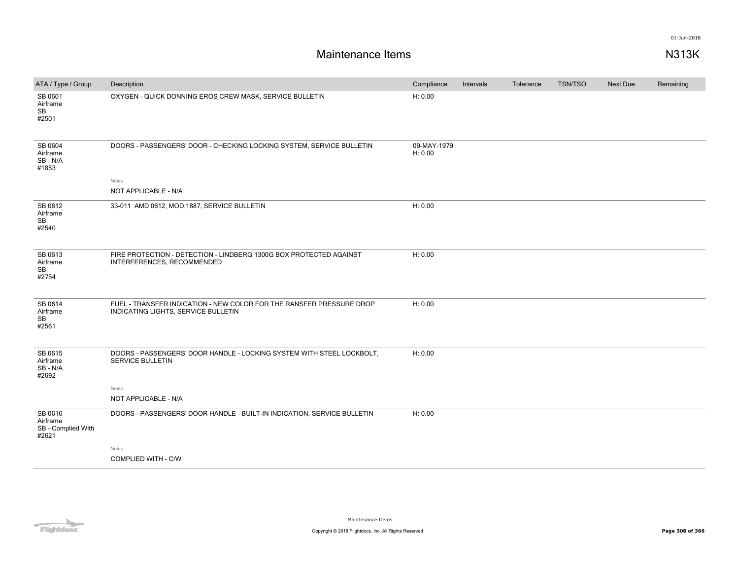| ATA / Type / Group                                 | Description                                                                                                 | Compliance             | Intervals | Tolerance | <b>TSN/TSO</b> | <b>Next Due</b> | Remaining |
|----------------------------------------------------|-------------------------------------------------------------------------------------------------------------|------------------------|-----------|-----------|----------------|-----------------|-----------|
| SB 0601<br>Airframe<br>SB<br>#2501                 | OXYGEN - QUICK DONNING EROS CREW MASK, SERVICE BULLETIN                                                     | H: 0.00                |           |           |                |                 |           |
| SB 0604<br>Airframe<br>SB - N/A<br>#1853           | DOORS - PASSENGERS' DOOR - CHECKING LOCKING SYSTEM, SERVICE BULLETIN                                        | 09-MAY-1979<br>H: 0.00 |           |           |                |                 |           |
|                                                    | Notes                                                                                                       |                        |           |           |                |                 |           |
|                                                    | NOT APPLICABLE - N/A                                                                                        |                        |           |           |                |                 |           |
| SB 0612<br>Airframe<br>SB<br>#2540                 | 33-011 AMD 0612, MOD.1887, SERVICE BULLETIN                                                                 | H: 0.00                |           |           |                |                 |           |
| SB 0613<br>Airframe<br><b>SB</b><br>#2754          | FIRE PROTECTION - DETECTION - LINDBERG 1300G BOX PROTECTED AGAINST<br>INTERFERENCES, RECOMMENDED            | H: 0.00                |           |           |                |                 |           |
| SB 0614<br>Airframe<br>SB<br>#2561                 | FUEL - TRANSFER INDICATION - NEW COLOR FOR THE RANSFER PRESSURE DROP<br>INDICATING LIGHTS, SERVICE BULLETIN | H: 0.00                |           |           |                |                 |           |
| SB 0615<br>Airframe<br>SB - N/A<br>#2692           | DOORS - PASSENGERS' DOOR HANDLE - LOCKING SYSTEM WITH STEEL LOCKBOLT,<br><b>SERVICE BULLETIN</b>            | H: 0.00                |           |           |                |                 |           |
|                                                    | Notes                                                                                                       |                        |           |           |                |                 |           |
|                                                    | NOT APPLICABLE - N/A                                                                                        |                        |           |           |                |                 |           |
| SB 0616<br>Airframe<br>SB - Complied With<br>#2621 | DOORS - PASSENGERS' DOOR HANDLE - BUILT-IN INDICATION, SERVICE BULLETIN                                     | H: 0.00                |           |           |                |                 |           |
|                                                    | Notes                                                                                                       |                        |           |           |                |                 |           |
|                                                    | <b>COMPLIED WITH - C/W</b>                                                                                  |                        |           |           |                |                 |           |

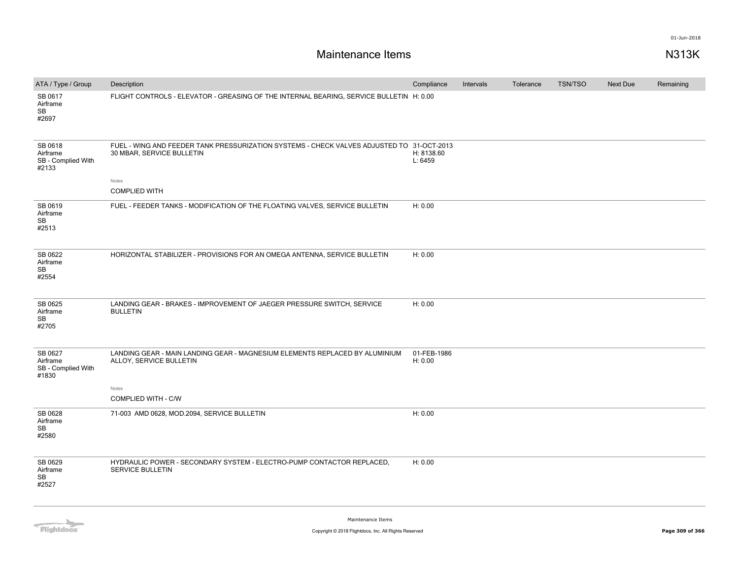| ATA / Type / Group                                 | Description                                                                                                            | Compliance             | Intervals | Tolerance | <b>TSN/TSO</b> | <b>Next Due</b> | Remaining |
|----------------------------------------------------|------------------------------------------------------------------------------------------------------------------------|------------------------|-----------|-----------|----------------|-----------------|-----------|
| SB 0617<br>Airframe<br>SB<br>#2697                 | FLIGHT CONTROLS - ELEVATOR - GREASING OF THE INTERNAL BEARING, SERVICE BULLETIN H: 0.00                                |                        |           |           |                |                 |           |
| SB 0618<br>Airframe<br>SB - Complied With<br>#2133 | FUEL - WING AND FEEDER TANK PRESSURIZATION SYSTEMS - CHECK VALVES ADJUSTED TO 31-OCT-2013<br>30 MBAR, SERVICE BULLETIN | H: 8138.60<br>L: 6459  |           |           |                |                 |           |
|                                                    | Notes<br><b>COMPLIED WITH</b>                                                                                          |                        |           |           |                |                 |           |
| SB 0619<br>Airframe<br>SB<br>#2513                 | FUEL - FEEDER TANKS - MODIFICATION OF THE FLOATING VALVES, SERVICE BULLETIN                                            | H: 0.00                |           |           |                |                 |           |
| SB 0622<br>Airframe<br>SB<br>#2554                 | HORIZONTAL STABILIZER - PROVISIONS FOR AN OMEGA ANTENNA, SERVICE BULLETIN                                              | H: 0.00                |           |           |                |                 |           |
| SB 0625<br>Airframe<br><b>SB</b><br>#2705          | LANDING GEAR - BRAKES - IMPROVEMENT OF JAEGER PRESSURE SWITCH, SERVICE<br><b>BULLETIN</b>                              | H: 0.00                |           |           |                |                 |           |
| SB 0627<br>Airframe<br>SB - Complied With<br>#1830 | LANDING GEAR - MAIN LANDING GEAR - MAGNESIUM ELEMENTS REPLACED BY ALUMINIUM<br>ALLOY, SERVICE BULLETIN                 | 01-FEB-1986<br>H: 0.00 |           |           |                |                 |           |
|                                                    | Notes<br>COMPLIED WITH - C/W                                                                                           |                        |           |           |                |                 |           |
| SB 0628<br>Airframe<br>SB<br>#2580                 | 71-003 AMD 0628, MOD.2094, SERVICE BULLETIN                                                                            | H: 0.00                |           |           |                |                 |           |
| SB 0629<br>Airframe<br><b>SB</b><br>#2527          | HYDRAULIC POWER - SECONDARY SYSTEM - ELECTRO-PUMP CONTACTOR REPLACED.<br><b>SERVICE BULLETIN</b>                       | H: 0.00                |           |           |                |                 |           |

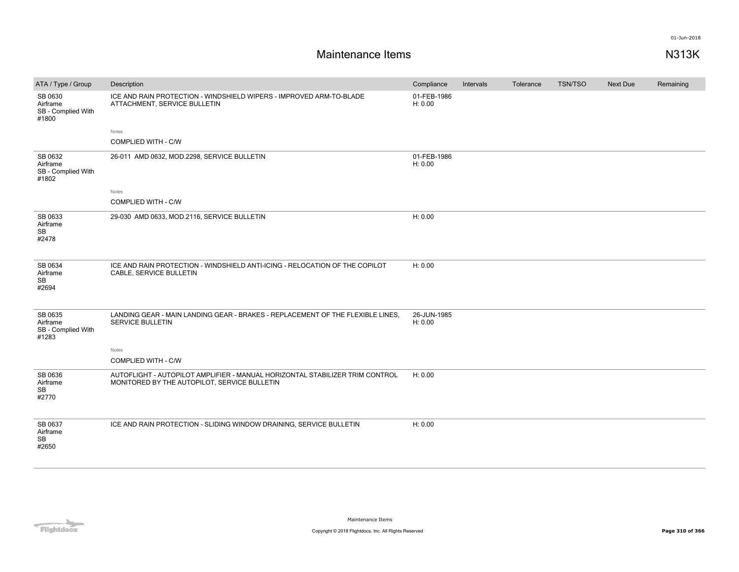| ATA / Type / Group                                 | Description                                                                                                                  | Compliance             | Intervals | Tolerance | TSN/TSO | <b>Next Due</b> | Remaining |
|----------------------------------------------------|------------------------------------------------------------------------------------------------------------------------------|------------------------|-----------|-----------|---------|-----------------|-----------|
| SB 0630<br>Airframe<br>SB - Complied With<br>#1800 | ICE AND RAIN PROTECTION - WINDSHIELD WIPERS - IMPROVED ARM-TO-BLADE<br>ATTACHMENT, SERVICE BULLETIN                          | 01-FEB-1986<br>H: 0.00 |           |           |         |                 |           |
|                                                    | Notes                                                                                                                        |                        |           |           |         |                 |           |
|                                                    | COMPLIED WITH - C/W                                                                                                          |                        |           |           |         |                 |           |
| SB 0632<br>Airframe<br>SB - Complied With<br>#1802 | 26-011 AMD 0632, MOD.2298, SERVICE BULLETIN                                                                                  | 01-FEB-1986<br>H: 0.00 |           |           |         |                 |           |
|                                                    | Notes                                                                                                                        |                        |           |           |         |                 |           |
|                                                    | <b>COMPLIED WITH - C/W</b>                                                                                                   |                        |           |           |         |                 |           |
| SB 0633<br>Airframe<br><b>SB</b><br>#2478          | 29-030 AMD 0633, MOD.2116, SERVICE BULLETIN                                                                                  | H: 0.00                |           |           |         |                 |           |
| SB 0634<br>Airframe<br><b>SB</b><br>#2694          | ICE AND RAIN PROTECTION - WINDSHIELD ANTI-ICING - RELOCATION OF THE COPILOT<br>CABLE, SERVICE BULLETIN                       | H: 0.00                |           |           |         |                 |           |
| SB 0635<br>Airframe<br>SB - Complied With<br>#1283 | LANDING GEAR - MAIN LANDING GEAR - BRAKES - REPLACEMENT OF THE FLEXIBLE LINES.<br>SERVICE BULLETIN<br>Notes                  | 26-JUN-1985<br>H: 0.00 |           |           |         |                 |           |
|                                                    | COMPLIED WITH - C/W                                                                                                          |                        |           |           |         |                 |           |
| SB 0636<br>Airframe<br><b>SB</b><br>#2770          | AUTOFLIGHT - AUTOPILOT AMPLIFIER - MANUAL HORIZONTAL STABILIZER TRIM CONTROL<br>MONITORED BY THE AUTOPILOT, SERVICE BULLETIN | H: 0.00                |           |           |         |                 |           |
| SB 0637<br>Airframe<br>SB<br>#2650                 | ICE AND RAIN PROTECTION - SLIDING WINDOW DRAINING, SERVICE BULLETIN                                                          | H: 0.00                |           |           |         |                 |           |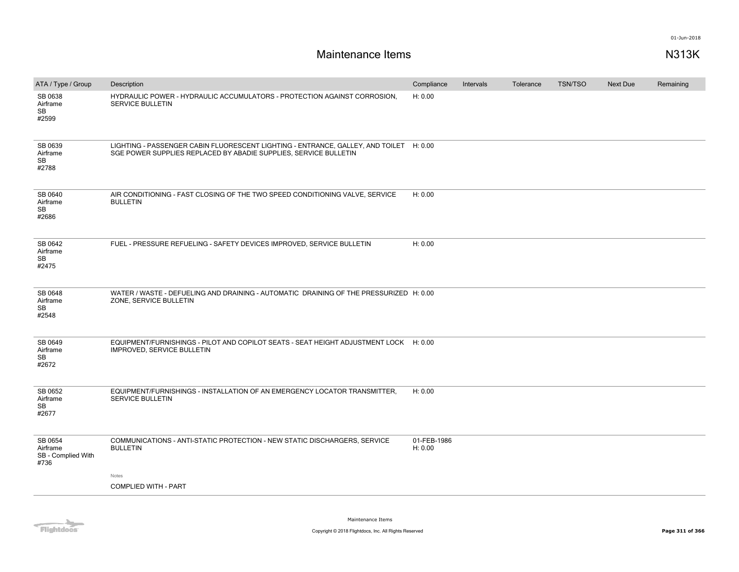| ATA / Type / Group                                | Description                                                                                                                                                | Compliance             | Intervals | Tolerance | <b>TSN/TSO</b> | <b>Next Due</b> | Remaining |
|---------------------------------------------------|------------------------------------------------------------------------------------------------------------------------------------------------------------|------------------------|-----------|-----------|----------------|-----------------|-----------|
| SB 0638<br>Airframe<br>SB<br>#2599                | HYDRAULIC POWER - HYDRAULIC ACCUMULATORS - PROTECTION AGAINST CORROSION.<br><b>SERVICE BULLETIN</b>                                                        | H: 0.00                |           |           |                |                 |           |
| SB 0639<br>Airframe<br>SB<br>#2788                | LIGHTING - PASSENGER CABIN FLUORESCENT LIGHTING - ENTRANCE, GALLEY, AND TOILET H: 0.00<br>SGE POWER SUPPLIES REPLACED BY ABADIE SUPPLIES, SERVICE BULLETIN |                        |           |           |                |                 |           |
| SB 0640<br>Airframe<br>SB<br>#2686                | AIR CONDITIONING - FAST CLOSING OF THE TWO SPEED CONDITIONING VALVE, SERVICE<br><b>BULLETIN</b>                                                            | H: 0.00                |           |           |                |                 |           |
| SB 0642<br>Airframe<br>SB<br>#2475                | FUEL - PRESSURE REFUELING - SAFETY DEVICES IMPROVED, SERVICE BULLETIN                                                                                      | H: 0.00                |           |           |                |                 |           |
| SB 0648<br>Airframe<br>SB<br>#2548                | WATER / WASTE - DEFUELING AND DRAINING - AUTOMATIC DRAINING OF THE PRESSURIZED H: 0.00<br>ZONE, SERVICE BULLETIN                                           |                        |           |           |                |                 |           |
| SB 0649<br>Airframe<br>SB<br>#2672                | EQUIPMENT/FURNISHINGS - PILOT AND COPILOT SEATS - SEAT HEIGHT ADJUSTMENT LOCK H: 0.00<br>IMPROVED, SERVICE BULLETIN                                        |                        |           |           |                |                 |           |
| SB 0652<br>Airframe<br>SB<br>#2677                | EQUIPMENT/FURNISHINGS - INSTALLATION OF AN EMERGENCY LOCATOR TRANSMITTER,<br><b>SERVICE BULLETIN</b>                                                       | H: 0.00                |           |           |                |                 |           |
| SB 0654<br>Airframe<br>SB - Complied With<br>#736 | COMMUNICATIONS - ANTI-STATIC PROTECTION - NEW STATIC DISCHARGERS, SERVICE<br><b>BULLETIN</b><br>Notes                                                      | 01-FEB-1986<br>H: 0.00 |           |           |                |                 |           |
|                                                   | <b>COMPLIED WITH - PART</b>                                                                                                                                |                        |           |           |                |                 |           |
|                                                   |                                                                                                                                                            |                        |           |           |                |                 |           |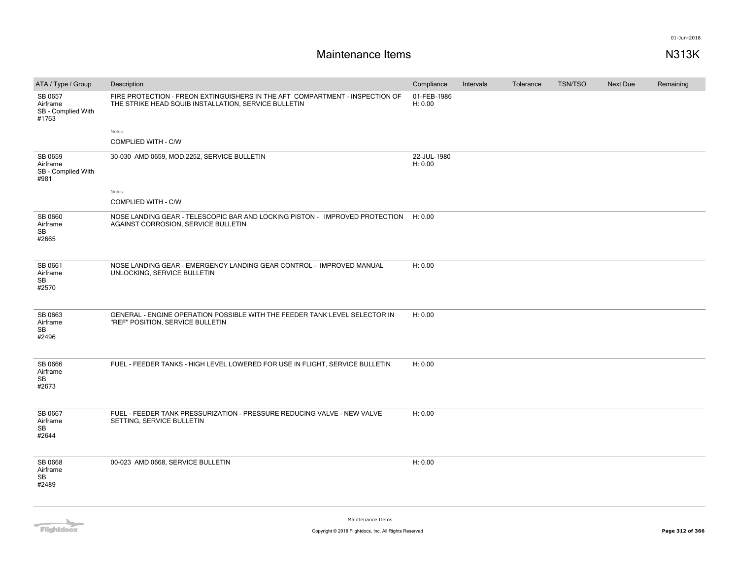| ATA / Type / Group                                 | Description                                                                                                                          | Compliance             | Intervals | Tolerance | <b>TSN/TSO</b> | Next Due | Remaining |
|----------------------------------------------------|--------------------------------------------------------------------------------------------------------------------------------------|------------------------|-----------|-----------|----------------|----------|-----------|
| SB 0657<br>Airframe<br>SB - Complied With<br>#1763 | FIRE PROTECTION - FREON EXTINGUISHERS IN THE AFT COMPARTMENT - INSPECTION OF<br>THE STRIKE HEAD SQUIB INSTALLATION, SERVICE BULLETIN | 01-FEB-1986<br>H: 0.00 |           |           |                |          |           |
|                                                    | Notes                                                                                                                                |                        |           |           |                |          |           |
|                                                    | COMPLIED WITH - C/W                                                                                                                  |                        |           |           |                |          |           |
| SB 0659<br>Airframe<br>SB - Complied With<br>#981  | 30-030 AMD 0659, MOD.2252, SERVICE BULLETIN                                                                                          | 22-JUL-1980<br>H: 0.00 |           |           |                |          |           |
|                                                    | Notes                                                                                                                                |                        |           |           |                |          |           |
|                                                    | <b>COMPLIED WITH - C/W</b>                                                                                                           |                        |           |           |                |          |           |
| SB 0660<br>Airframe<br><b>SB</b><br>#2665          | NOSE LANDING GEAR - TELESCOPIC BAR AND LOCKING PISTON - IMPROVED PROTECTION<br>AGAINST CORROSION, SERVICE BULLETIN                   | H: 0.00                |           |           |                |          |           |
| SB 0661<br>Airframe<br>SB<br>#2570                 | NOSE LANDING GEAR - EMERGENCY LANDING GEAR CONTROL - IMPROVED MANUAL<br>UNLOCKING, SERVICE BULLETIN                                  | H: 0.00                |           |           |                |          |           |
| SB 0663<br>Airframe<br>SB<br>#2496                 | GENERAL - ENGINE OPERATION POSSIBLE WITH THE FEEDER TANK LEVEL SELECTOR IN<br>"REF" POSITION, SERVICE BULLETIN                       | H: 0.00                |           |           |                |          |           |
| SB 0666<br>Airframe<br>SB<br>#2673                 | FUEL - FEEDER TANKS - HIGH LEVEL LOWERED FOR USE IN FLIGHT, SERVICE BULLETIN                                                         | H: 0.00                |           |           |                |          |           |
| SB 0667<br>Airframe<br>SB<br>#2644                 | FUEL - FEEDER TANK PRESSURIZATION - PRESSURE REDUCING VALVE - NEW VALVE<br>SETTING, SERVICE BULLETIN                                 | H: 0.00                |           |           |                |          |           |
| SB 0668<br>Airframe<br>SB<br>#2489                 | 00-023 AMD 0668, SERVICE BULLETIN                                                                                                    | H: 0.00                |           |           |                |          |           |
|                                                    |                                                                                                                                      |                        |           |           |                |          |           |

Flightdocs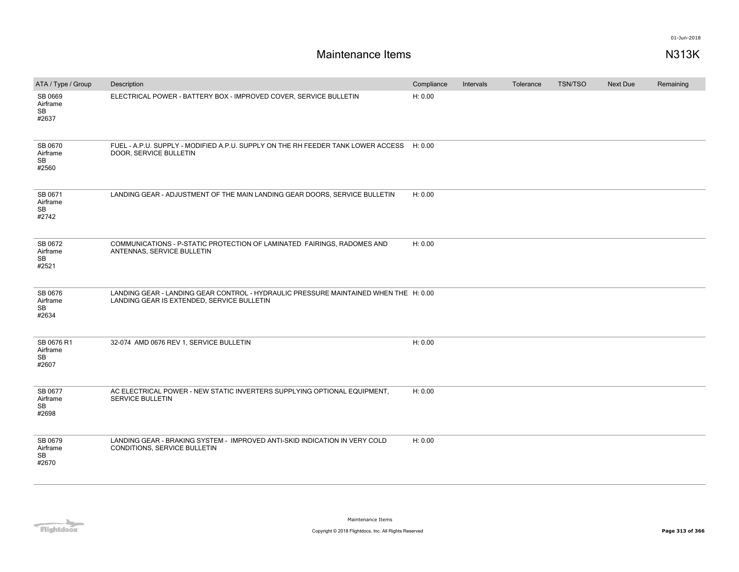| ATA / Type / Group                        | Description                                                                                                                        | Compliance | Intervals | Tolerance | <b>TSN/TSO</b> | <b>Next Due</b> | Remaining |
|-------------------------------------------|------------------------------------------------------------------------------------------------------------------------------------|------------|-----------|-----------|----------------|-----------------|-----------|
| SB 0669<br>Airframe<br>SB<br>#2637        | ELECTRICAL POWER - BATTERY BOX - IMPROVED COVER, SERVICE BULLETIN                                                                  | H: 0.00    |           |           |                |                 |           |
| SB 0670<br>Airframe<br>SB<br>#2560        | FUEL - A.P.U. SUPPLY - MODIFIED A.P.U. SUPPLY ON THE RH FEEDER TANK LOWER ACCESS H: 0.00<br>DOOR, SERVICE BULLETIN                 |            |           |           |                |                 |           |
| SB 0671<br>Airframe<br>SB<br>#2742        | LANDING GEAR - ADJUSTMENT OF THE MAIN LANDING GEAR DOORS, SERVICE BULLETIN                                                         | H: 0.00    |           |           |                |                 |           |
| SB 0672<br>Airframe<br>SB<br>#2521        | COMMUNICATIONS - P-STATIC PROTECTION OF LAMINATED FAIRINGS, RADOMES AND<br>ANTENNAS, SERVICE BULLETIN                              | H: 0.00    |           |           |                |                 |           |
| SB 0676<br>Airframe<br><b>SB</b><br>#2634 | LANDING GEAR - LANDING GEAR CONTROL - HYDRAULIC PRESSURE MAINTAINED WHEN THE H: 0.00<br>LANDING GEAR IS EXTENDED, SERVICE BULLETIN |            |           |           |                |                 |           |
| SB 0676 R1<br>Airframe<br>SB<br>#2607     | 32-074 AMD 0676 REV 1, SERVICE BULLETIN                                                                                            | H: 0.00    |           |           |                |                 |           |
| SB 0677<br>Airframe<br>SB<br>#2698        | AC ELECTRICAL POWER - NEW STATIC INVERTERS SUPPLYING OPTIONAL EQUIPMENT,<br><b>SERVICE BULLETIN</b>                                | H: 0.00    |           |           |                |                 |           |
| SB 0679<br>Airframe<br>SB<br>#2670        | LANDING GEAR - BRAKING SYSTEM - IMPROVED ANTI-SKID INDICATION IN VERY COLD<br>CONDITIONS, SERVICE BULLETIN                         | H: 0.00    |           |           |                |                 |           |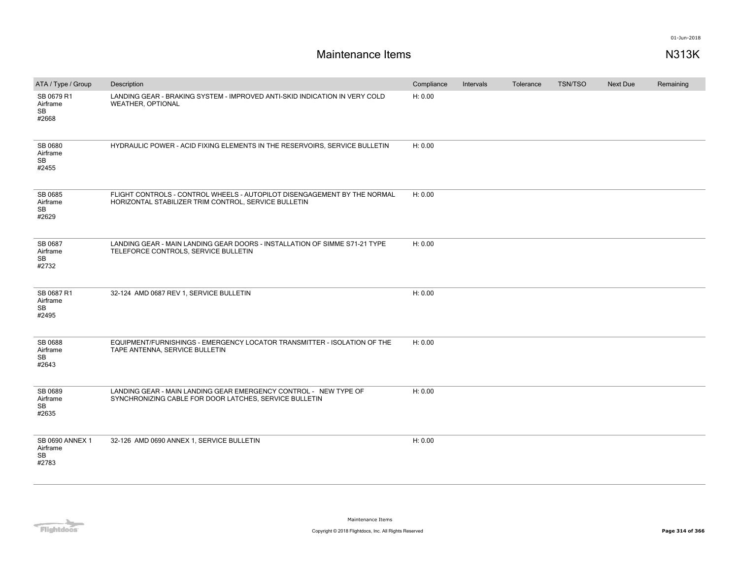| ATA / Type / Group                                | Description                                                                                                                      | Compliance | Intervals | Tolerance | <b>TSN/TSO</b> | Next Due | Remaining |
|---------------------------------------------------|----------------------------------------------------------------------------------------------------------------------------------|------------|-----------|-----------|----------------|----------|-----------|
| SB 0679 R1<br>Airframe<br><b>SB</b><br>#2668      | LANDING GEAR - BRAKING SYSTEM - IMPROVED ANTI-SKID INDICATION IN VERY COLD<br><b>WEATHER, OPTIONAL</b>                           | H: 0.00    |           |           |                |          |           |
| SB 0680<br>Airframe<br><b>SB</b><br>#2455         | HYDRAULIC POWER - ACID FIXING ELEMENTS IN THE RESERVOIRS, SERVICE BULLETIN                                                       | H: 0.00    |           |           |                |          |           |
| SB 0685<br>Airframe<br>SB<br>#2629                | FLIGHT CONTROLS - CONTROL WHEELS - AUTOPILOT DISENGAGEMENT BY THE NORMAL<br>HORIZONTAL STABILIZER TRIM CONTROL, SERVICE BULLETIN | H: 0.00    |           |           |                |          |           |
| SB 0687<br>Airframe<br>SB<br>#2732                | LANDING GEAR - MAIN LANDING GEAR DOORS - INSTALLATION OF SIMME S71-21 TYPE<br>TELEFORCE CONTROLS, SERVICE BULLETIN               | H: 0.00    |           |           |                |          |           |
| SB 0687 R1<br>Airframe<br><b>SB</b><br>#2495      | 32-124 AMD 0687 REV 1, SERVICE BULLETIN                                                                                          | H: 0.00    |           |           |                |          |           |
| SB 0688<br>Airframe<br>SB<br>#2643                | EQUIPMENT/FURNISHINGS - EMERGENCY LOCATOR TRANSMITTER - ISOLATION OF THE<br>TAPE ANTENNA, SERVICE BULLETIN                       | H: 0.00    |           |           |                |          |           |
| SB 0689<br>Airframe<br>SB<br>#2635                | LANDING GEAR - MAIN LANDING GEAR EMERGENCY CONTROL - NEW TYPE OF<br>SYNCHRONIZING CABLE FOR DOOR LATCHES, SERVICE BULLETIN       | H: 0.00    |           |           |                |          |           |
| SB 0690 ANNEX 1<br>Airframe<br><b>SB</b><br>#2783 | 32-126 AMD 0690 ANNEX 1, SERVICE BULLETIN                                                                                        | H: 0.00    |           |           |                |          |           |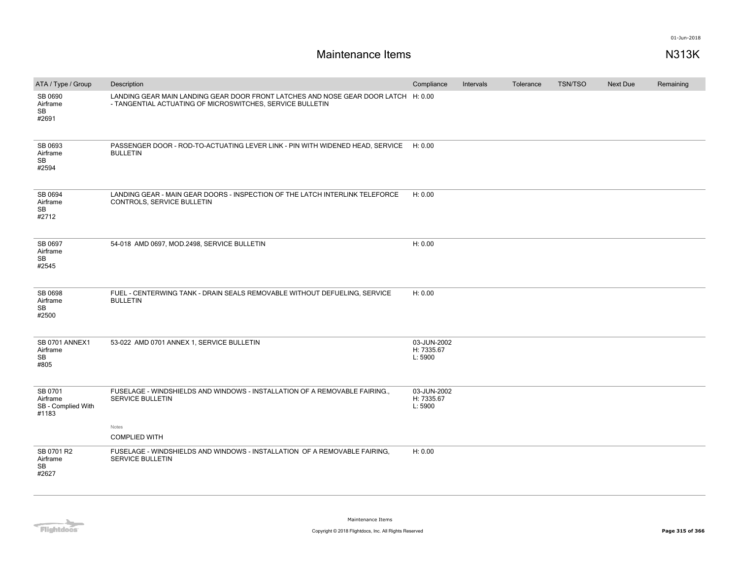| ATA / Type / Group                                 | Description                                                                                                                                     | Compliance                           | Intervals | Tolerance | <b>TSN/TSO</b> | <b>Next Due</b> | Remaining |
|----------------------------------------------------|-------------------------------------------------------------------------------------------------------------------------------------------------|--------------------------------------|-----------|-----------|----------------|-----------------|-----------|
| SB 0690<br>Airframe<br><b>SB</b><br>#2691          | LANDING GEAR MAIN LANDING GEAR DOOR FRONT LATCHES AND NOSE GEAR DOOR LATCH H: 0.00<br>- TANGENTIAL ACTUATING OF MICROSWITCHES, SERVICE BULLETIN |                                      |           |           |                |                 |           |
| SB 0693<br>Airframe<br>SB<br>#2594                 | PASSENGER DOOR - ROD-TO-ACTUATING LEVER LINK - PIN WITH WIDENED HEAD, SERVICE<br><b>BULLETIN</b>                                                | H: 0.00                              |           |           |                |                 |           |
| SB 0694<br>Airframe<br>SB<br>#2712                 | LANDING GEAR - MAIN GEAR DOORS - INSPECTION OF THE LATCH INTERLINK TELEFORCE<br>CONTROLS, SERVICE BULLETIN                                      | H: 0.00                              |           |           |                |                 |           |
| SB 0697<br>Airframe<br>SB<br>#2545                 | 54-018 AMD 0697, MOD.2498, SERVICE BULLETIN                                                                                                     | H: 0.00                              |           |           |                |                 |           |
| SB 0698<br>Airframe<br>SB<br>#2500                 | FUEL - CENTERWING TANK - DRAIN SEALS REMOVABLE WITHOUT DEFUELING, SERVICE<br><b>BULLETIN</b>                                                    | H: 0.00                              |           |           |                |                 |           |
| <b>SB 0701 ANNEX1</b><br>Airframe<br>SB<br>#805    | 53-022 AMD 0701 ANNEX 1, SERVICE BULLETIN                                                                                                       | 03-JUN-2002<br>H: 7335.67<br>L: 5900 |           |           |                |                 |           |
| SB 0701<br>Airframe<br>SB - Complied With<br>#1183 | FUSELAGE - WINDSHIELDS AND WINDOWS - INSTALLATION OF A REMOVABLE FAIRING<br><b>SERVICE BULLETIN</b><br>Notes                                    | 03-JUN-2002<br>H: 7335.67<br>L: 5900 |           |           |                |                 |           |
|                                                    | <b>COMPLIED WITH</b>                                                                                                                            |                                      |           |           |                |                 |           |
| SB 0701 R2<br>Airframe<br>SB<br>#2627              | FUSELAGE - WINDSHIELDS AND WINDOWS - INSTALLATION OF A REMOVABLE FAIRING,<br>SERVICE BULLETIN                                                   | H: 0.00                              |           |           |                |                 |           |

**Flightdocs**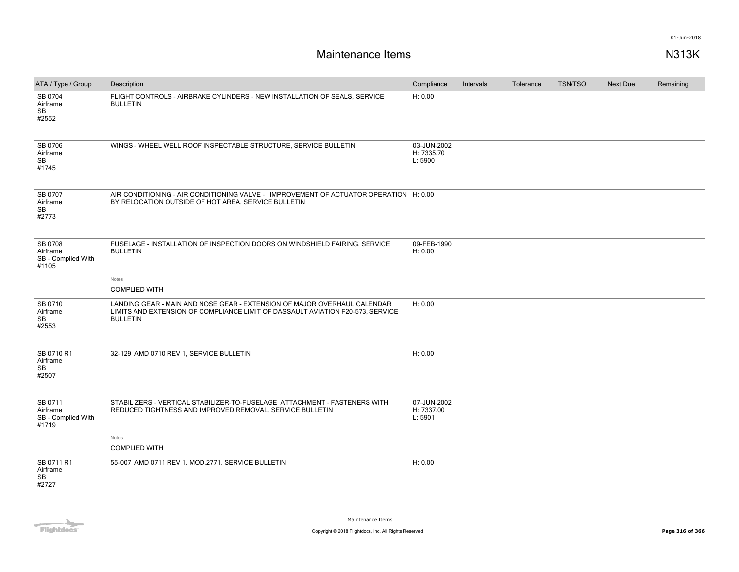| ATA / Type / Group                                 | Description                                                                                                                                                                   | Compliance                           | Intervals | Tolerance | <b>TSN/TSO</b> | Next Due | Remaining |
|----------------------------------------------------|-------------------------------------------------------------------------------------------------------------------------------------------------------------------------------|--------------------------------------|-----------|-----------|----------------|----------|-----------|
| SB 0704<br>Airframe<br><b>SB</b><br>#2552          | FLIGHT CONTROLS - AIRBRAKE CYLINDERS - NEW INSTALLATION OF SEALS, SERVICE<br><b>BULLETIN</b>                                                                                  | H: 0.00                              |           |           |                |          |           |
| SB 0706<br>Airframe<br>SB<br>#1745                 | WINGS - WHEEL WELL ROOF INSPECTABLE STRUCTURE, SERVICE BULLETIN                                                                                                               | 03-JUN-2002<br>H: 7335.70<br>L: 5900 |           |           |                |          |           |
| SB 0707<br>Airframe<br>SB<br>#2773                 | AIR CONDITIONING - AIR CONDITIONING VALVE - IMPROVEMENT OF ACTUATOR OPERATION H: 0.00<br>BY RELOCATION OUTSIDE OF HOT AREA, SERVICE BULLETIN                                  |                                      |           |           |                |          |           |
| SB 0708<br>Airframe<br>SB - Complied With<br>#1105 | FUSELAGE - INSTALLATION OF INSPECTION DOORS ON WINDSHIELD FAIRING, SERVICE<br><b>BULLETIN</b>                                                                                 | 09-FEB-1990<br>H: 0.00               |           |           |                |          |           |
|                                                    | Notes<br><b>COMPLIED WITH</b>                                                                                                                                                 |                                      |           |           |                |          |           |
| SB 0710<br>Airframe<br>SB<br>#2553                 | LANDING GEAR - MAIN AND NOSE GEAR - EXTENSION OF MAJOR OVERHAUL CALENDAR<br>LIMITS AND EXTENSION OF COMPLIANCE LIMIT OF DASSAULT AVIATION F20-573, SERVICE<br><b>BULLETIN</b> | H: 0.00                              |           |           |                |          |           |
| SB 0710 R1<br>Airframe<br>SB<br>#2507              | 32-129 AMD 0710 REV 1, SERVICE BULLETIN                                                                                                                                       | H: 0.00                              |           |           |                |          |           |
| SB 0711<br>Airframe<br>SB - Complied With<br>#1719 | STABILIZERS - VERTICAL STABILIZER-TO-FUSELAGE ATTACHMENT - FASTENERS WITH<br>REDUCED TIGHTNESS AND IMPROVED REMOVAL, SERVICE BULLETIN                                         | 07-JUN-2002<br>H: 7337.00<br>L: 5901 |           |           |                |          |           |
|                                                    | Notes<br><b>COMPLIED WITH</b>                                                                                                                                                 |                                      |           |           |                |          |           |
| SB 0711 R1<br>Airframe<br>SB<br>#2727              | 55-007 AMD 0711 REV 1, MOD.2771, SERVICE BULLETIN                                                                                                                             | H: 0.00                              |           |           |                |          |           |

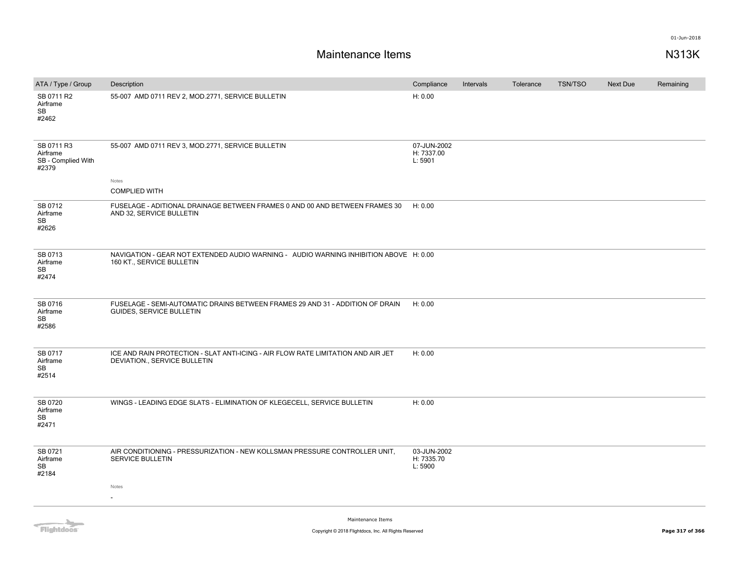### **Maintenance Items N313K**

| ATA / Type / Group                                    | Description                                                                                                        | Compliance                           | Intervals | Tolerance | <b>TSN/TSO</b> | Next Due | Remaining |
|-------------------------------------------------------|--------------------------------------------------------------------------------------------------------------------|--------------------------------------|-----------|-----------|----------------|----------|-----------|
| SB 0711 R2<br>Airframe<br>SB<br>#2462                 | 55-007 AMD 0711 REV 2, MOD.2771, SERVICE BULLETIN                                                                  | H: 0.00                              |           |           |                |          |           |
| SB 0711 R3<br>Airframe<br>SB - Complied With<br>#2379 | 55-007 AMD 0711 REV 3, MOD.2771, SERVICE BULLETIN                                                                  | 07-JUN-2002<br>H: 7337.00<br>L: 5901 |           |           |                |          |           |
|                                                       | Notes                                                                                                              |                                      |           |           |                |          |           |
|                                                       | <b>COMPLIED WITH</b>                                                                                               |                                      |           |           |                |          |           |
| SB 0712<br>Airframe<br>SB<br>#2626                    | FUSELAGE - ADITIONAL DRAINAGE BETWEEN FRAMES 0 AND 00 AND BETWEEN FRAMES 30<br>AND 32, SERVICE BULLETIN            | H: 0.00                              |           |           |                |          |           |
| SB 0713<br>Airframe<br>SB<br>#2474                    | NAVIGATION - GEAR NOT EXTENDED AUDIO WARNING - AUDIO WARNING INHIBITION ABOVE H: 0.00<br>160 KT., SERVICE BULLETIN |                                      |           |           |                |          |           |
| SB 0716<br>Airframe<br>SB<br>#2586                    | FUSELAGE - SEMI-AUTOMATIC DRAINS BETWEEN FRAMES 29 AND 31 - ADDITION OF DRAIN<br><b>GUIDES, SERVICE BULLETIN</b>   | H: 0.00                              |           |           |                |          |           |
| SB 0717<br>Airframe<br>SB<br>#2514                    | ICE AND RAIN PROTECTION - SLAT ANTI-ICING - AIR FLOW RATE LIMITATION AND AIR JET<br>DEVIATION., SERVICE BULLETIN   | H: 0.00                              |           |           |                |          |           |
| SB 0720<br>Airframe<br>SB<br>#2471                    | WINGS - LEADING EDGE SLATS - ELIMINATION OF KLEGECELL, SERVICE BULLETIN                                            | H: 0.00                              |           |           |                |          |           |
| SB 0721<br>Airframe<br>SB<br>#2184                    | AIR CONDITIONING - PRESSURIZATION - NEW KOLLSMAN PRESSURE CONTROLLER UNIT,<br><b>SERVICE BULLETIN</b><br>Notes     | 03-JUN-2002<br>H: 7335.70<br>L: 5900 |           |           |                |          |           |
|                                                       |                                                                                                                    |                                      |           |           |                |          |           |
| $\sim$                                                | Maintenance Items                                                                                                  |                                      |           |           |                |          |           |

# Flightdocs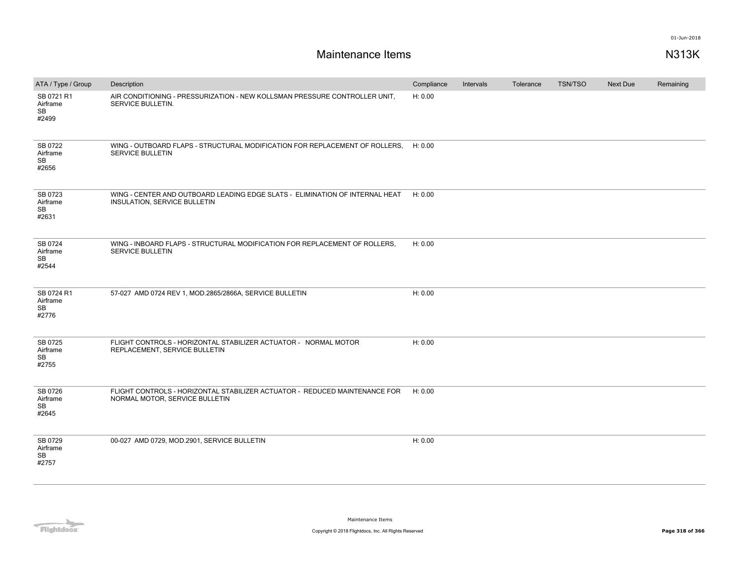| ATA / Type / Group                        | Description                                                                                                  | Compliance | Intervals | Tolerance | <b>TSN/TSO</b> | Next Due | Remaining |
|-------------------------------------------|--------------------------------------------------------------------------------------------------------------|------------|-----------|-----------|----------------|----------|-----------|
| SB 0721 R1<br>Airframe<br>SB<br>#2499     | AIR CONDITIONING - PRESSURIZATION - NEW KOLLSMAN PRESSURE CONTROLLER UNIT.<br>SERVICE BULLETIN.              | H: 0.00    |           |           |                |          |           |
| SB 0722<br>Airframe<br>SB<br>#2656        | WING - OUTBOARD FLAPS - STRUCTURAL MODIFICATION FOR REPLACEMENT OF ROLLERS,<br>SERVICE BULLETIN              | H: 0.00    |           |           |                |          |           |
| SB 0723<br>Airframe<br>SB<br>#2631        | WING - CENTER AND OUTBOARD LEADING EDGE SLATS - ELIMINATION OF INTERNAL HEAT<br>INSULATION, SERVICE BULLETIN | H: 0.00    |           |           |                |          |           |
| SB 0724<br>Airframe<br><b>SB</b><br>#2544 | WING - INBOARD FLAPS - STRUCTURAL MODIFICATION FOR REPLACEMENT OF ROLLERS,<br><b>SERVICE BULLETIN</b>        | H: 0.00    |           |           |                |          |           |
| SB 0724 R1<br>Airframe<br>SB<br>#2776     | 57-027 AMD 0724 REV 1, MOD.2865/2866A, SERVICE BULLETIN                                                      | H: 0.00    |           |           |                |          |           |
| SB 0725<br>Airframe<br>SB<br>#2755        | FLIGHT CONTROLS - HORIZONTAL STABILIZER ACTUATOR - NORMAL MOTOR<br>REPLACEMENT, SERVICE BULLETIN             | H: 0.00    |           |           |                |          |           |
| SB 0726<br>Airframe<br><b>SB</b><br>#2645 | FLIGHT CONTROLS - HORIZONTAL STABILIZER ACTUATOR - REDUCED MAINTENANCE FOR<br>NORMAL MOTOR, SERVICE BULLETIN | H: 0.00    |           |           |                |          |           |
| SB 0729<br>Airframe<br><b>SB</b><br>#2757 | 00-027 AMD 0729, MOD.2901, SERVICE BULLETIN                                                                  | H: 0.00    |           |           |                |          |           |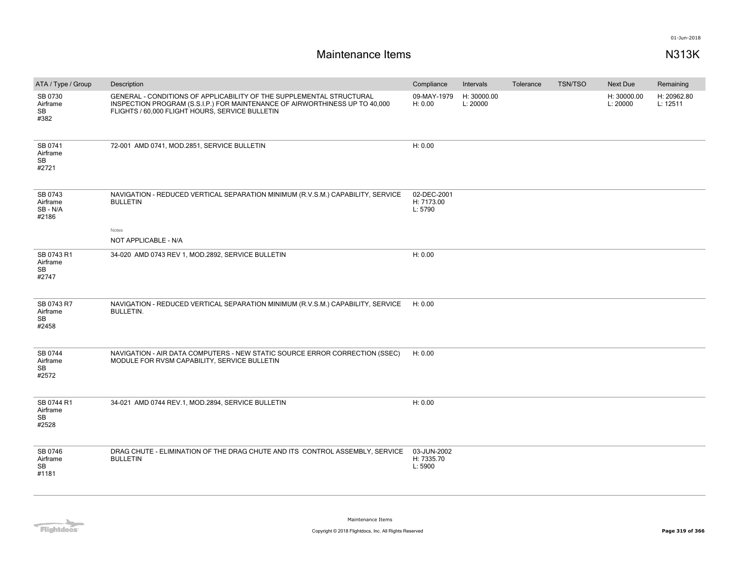| ATA / Type / Group                           | Description                                                                                                                                                                                            | Compliance                           | Intervals               | Tolerance | <b>TSN/TSO</b> | <b>Next Due</b>         | Remaining               |
|----------------------------------------------|--------------------------------------------------------------------------------------------------------------------------------------------------------------------------------------------------------|--------------------------------------|-------------------------|-----------|----------------|-------------------------|-------------------------|
| SB 0730<br>Airframe<br><b>SB</b><br>#382     | GENERAL - CONDITIONS OF APPLICABILITY OF THE SUPPLEMENTAL STRUCTURAL<br>INSPECTION PROGRAM (S.S.I.P.) FOR MAINTENANCE OF AIRWORTHINESS UP TO 40,000<br>FLIGHTS / 60,000 FLIGHT HOURS, SERVICE BULLETIN | 09-MAY-1979<br>H: 0.00               | H: 30000.00<br>L: 20000 |           |                | H: 30000.00<br>L: 20000 | H: 20962.80<br>L: 12511 |
| SB 0741<br>Airframe<br>SB<br>#2721           | 72-001 AMD 0741, MOD.2851, SERVICE BULLETIN                                                                                                                                                            | H: 0.00                              |                         |           |                |                         |                         |
| SB 0743<br>Airframe<br>SB-N/A<br>#2186       | NAVIGATION - REDUCED VERTICAL SEPARATION MINIMUM (R.V.S.M.) CAPABILITY, SERVICE<br><b>BULLETIN</b>                                                                                                     | 02-DEC-2001<br>H: 7173.00<br>L: 5790 |                         |           |                |                         |                         |
|                                              | Notes<br>NOT APPLICABLE - N/A                                                                                                                                                                          |                                      |                         |           |                |                         |                         |
| SB 0743 R1<br>Airframe<br><b>SB</b><br>#2747 | 34-020 AMD 0743 REV 1, MOD.2892, SERVICE BULLETIN                                                                                                                                                      | H: 0.00                              |                         |           |                |                         |                         |
| SB 0743 R7<br>Airframe<br>SB<br>#2458        | NAVIGATION - REDUCED VERTICAL SEPARATION MINIMUM (R.V.S.M.) CAPABILITY, SERVICE<br><b>BULLETIN.</b>                                                                                                    | H: 0.00                              |                         |           |                |                         |                         |
| SB 0744<br>Airframe<br><b>SB</b><br>#2572    | NAVIGATION - AIR DATA COMPUTERS - NEW STATIC SOURCE ERROR CORRECTION (SSEC)<br>MODULE FOR RVSM CAPABILITY, SERVICE BULLETIN                                                                            | H: 0.00                              |                         |           |                |                         |                         |
| SB 0744 R1<br>Airframe<br>SB<br>#2528        | 34-021 AMD 0744 REV.1, MOD.2894, SERVICE BULLETIN                                                                                                                                                      | H: 0.00                              |                         |           |                |                         |                         |
| SB 0746<br>Airframe<br>SB<br>#1181           | DRAG CHUTE - ELIMINATION OF THE DRAG CHUTE AND ITS CONTROL ASSEMBLY, SERVICE<br><b>BULLETIN</b>                                                                                                        | 03-JUN-2002<br>H: 7335.70<br>L: 5900 |                         |           |                |                         |                         |

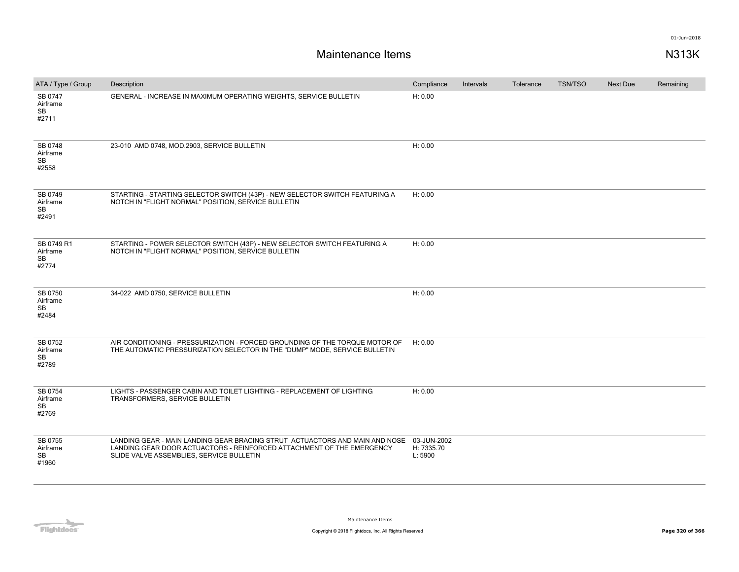| ATA / Type / Group                        | Description                                                                                                                                                                                      | Compliance                           | Intervals | Tolerance | <b>TSN/TSO</b> | Next Due | Remaining |
|-------------------------------------------|--------------------------------------------------------------------------------------------------------------------------------------------------------------------------------------------------|--------------------------------------|-----------|-----------|----------------|----------|-----------|
| SB 0747<br>Airframe<br>SB<br>#2711        | GENERAL - INCREASE IN MAXIMUM OPERATING WEIGHTS, SERVICE BULLETIN                                                                                                                                | H: 0.00                              |           |           |                |          |           |
| SB 0748<br>Airframe<br>SB<br>#2558        | 23-010 AMD 0748, MOD.2903, SERVICE BULLETIN                                                                                                                                                      | H: 0.00                              |           |           |                |          |           |
| SB 0749<br>Airframe<br>SB<br>#2491        | STARTING - STARTING SELECTOR SWITCH (43P) - NEW SELECTOR SWITCH FEATURING A<br>NOTCH IN "FLIGHT NORMAL" POSITION, SERVICE BULLETIN                                                               | H: 0.00                              |           |           |                |          |           |
| SB 0749 R1<br>Airframe<br>SB<br>#2774     | STARTING - POWER SELECTOR SWITCH (43P) - NEW SELECTOR SWITCH FEATURING A<br>NOTCH IN "FLIGHT NORMAL" POSITION, SERVICE BULLETIN                                                                  | H: 0.00                              |           |           |                |          |           |
| SB 0750<br>Airframe<br>SB<br>#2484        | 34-022 AMD 0750, SERVICE BULLETIN                                                                                                                                                                | H: 0.00                              |           |           |                |          |           |
| SB 0752<br>Airframe<br><b>SB</b><br>#2789 | AIR CONDITIONING - PRESSURIZATION - FORCED GROUNDING OF THE TORQUE MOTOR OF<br>THE AUTOMATIC PRESSURIZATION SELECTOR IN THE "DUMP" MODE, SERVICE BULLETIN                                        | H: 0.00                              |           |           |                |          |           |
| SB 0754<br>Airframe<br><b>SB</b><br>#2769 | LIGHTS - PASSENGER CABIN AND TOILET LIGHTING - REPLACEMENT OF LIGHTING<br>TRANSFORMERS, SERVICE BULLETIN                                                                                         | H: 0.00                              |           |           |                |          |           |
| SB 0755<br>Airframe<br>SB<br>#1960        | LANDING GEAR - MAIN LANDING GEAR BRACING STRUT ACTUACTORS AND MAIN AND NOSE<br>LANDING GEAR DOOR ACTUACTORS - REINFORCED ATTACHMENT OF THE EMERGENCY<br>SLIDE VALVE ASSEMBLIES, SERVICE BULLETIN | 03-JUN-2002<br>H: 7335.70<br>L: 5900 |           |           |                |          |           |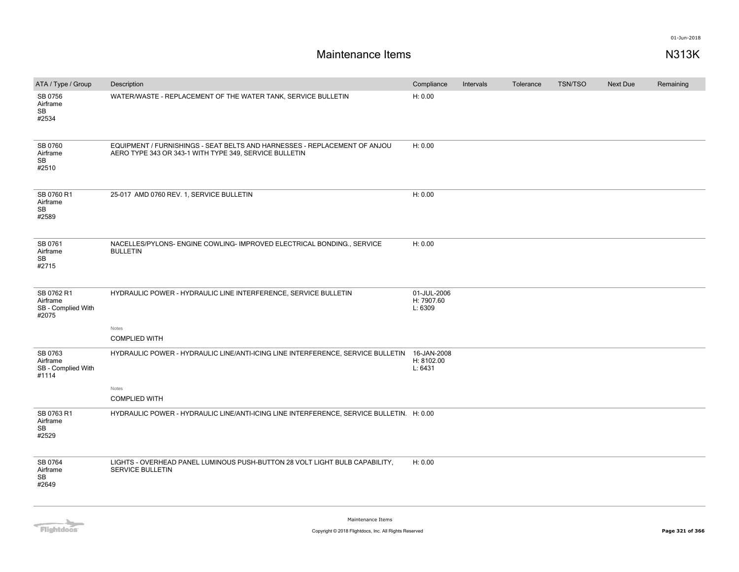| ATA / Type / Group                                    | Description                                                                                                                         | Compliance                           | Intervals | Tolerance | <b>TSN/TSO</b> | Next Due | Remaining |
|-------------------------------------------------------|-------------------------------------------------------------------------------------------------------------------------------------|--------------------------------------|-----------|-----------|----------------|----------|-----------|
| SB 0756<br>Airframe<br><b>SB</b><br>#2534             | WATER/WASTE - REPLACEMENT OF THE WATER TANK, SERVICE BULLETIN                                                                       | H: 0.00                              |           |           |                |          |           |
| SB 0760<br>Airframe<br><b>SB</b><br>#2510             | EQUIPMENT / FURNISHINGS - SEAT BELTS AND HARNESSES - REPLACEMENT OF ANJOU<br>AERO TYPE 343 OR 343-1 WITH TYPE 349, SERVICE BULLETIN | H: 0.00                              |           |           |                |          |           |
| SB 0760 R1<br>Airframe<br>SB<br>#2589                 | 25-017 AMD 0760 REV. 1, SERVICE BULLETIN                                                                                            | H: 0.00                              |           |           |                |          |           |
| SB 0761<br>Airframe<br><b>SB</b><br>#2715             | NACELLES/PYLONS- ENGINE COWLING- IMPROVED ELECTRICAL BONDING., SERVICE<br><b>BULLETIN</b>                                           | H: 0.00                              |           |           |                |          |           |
| SB 0762 R1<br>Airframe<br>SB - Complied With<br>#2075 | HYDRAULIC POWER - HYDRAULIC LINE INTERFERENCE, SERVICE BULLETIN                                                                     | 01-JUL-2006<br>H: 7907.60<br>L: 6309 |           |           |                |          |           |
|                                                       | Notes                                                                                                                               |                                      |           |           |                |          |           |
|                                                       | <b>COMPLIED WITH</b>                                                                                                                |                                      |           |           |                |          |           |
| SB 0763<br>Airframe<br>SB - Complied With<br>#1114    | HYDRAULIC POWER - HYDRAULIC LINE/ANTI-ICING LINE INTERFERENCE, SERVICE BULLETIN 16-JAN-2008                                         | H: 8102.00<br>L: 6431                |           |           |                |          |           |
|                                                       | Notes                                                                                                                               |                                      |           |           |                |          |           |
|                                                       | <b>COMPLIED WITH</b>                                                                                                                |                                      |           |           |                |          |           |
| SB 0763 R1<br>Airframe<br>SB<br>#2529                 | HYDRAULIC POWER - HYDRAULIC LINE/ANTI-ICING LINE INTERFERENCE, SERVICE BULLETIN. H: 0.00                                            |                                      |           |           |                |          |           |
| SB 0764<br>Airframe<br>SB<br>#2649                    | LIGHTS - OVERHEAD PANEL LUMINOUS PUSH-BUTTON 28 VOLT LIGHT BULB CAPABILITY,<br>SERVICE BULLETIN                                     | H: 0.00                              |           |           |                |          |           |
|                                                       |                                                                                                                                     |                                      |           |           |                |          |           |

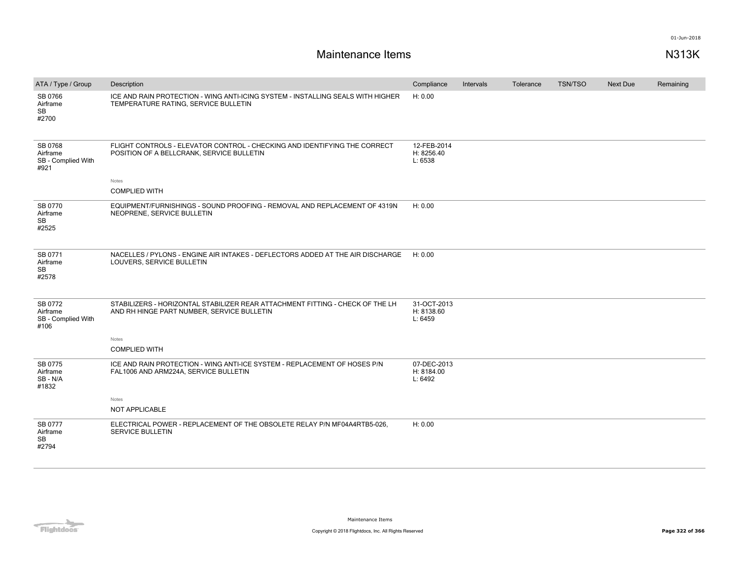| ATA / Type / Group                                | Description                                                                                                                 | Compliance                           | Intervals | Tolerance | TSN/TSO | Next Due | Remaining |
|---------------------------------------------------|-----------------------------------------------------------------------------------------------------------------------------|--------------------------------------|-----------|-----------|---------|----------|-----------|
| SB 0766<br>Airframe<br>SB<br>#2700                | ICE AND RAIN PROTECTION - WING ANTI-ICING SYSTEM - INSTALLING SEALS WITH HIGHER<br>TEMPERATURE RATING, SERVICE BULLETIN     | H: 0.00                              |           |           |         |          |           |
| SB 0768<br>Airframe<br>SB - Complied With<br>#921 | FLIGHT CONTROLS - ELEVATOR CONTROL - CHECKING AND IDENTIFYING THE CORRECT<br>POSITION OF A BELLCRANK, SERVICE BULLETIN      | 12-FEB-2014<br>H: 8256.40<br>L: 6538 |           |           |         |          |           |
|                                                   | Notes                                                                                                                       |                                      |           |           |         |          |           |
|                                                   | <b>COMPLIED WITH</b>                                                                                                        |                                      |           |           |         |          |           |
| SB 0770<br>Airframe<br>SB<br>#2525                | EQUIPMENT/FURNISHINGS - SOUND PROOFING - REMOVAL AND REPLACEMENT OF 4319N<br>NEOPRENE, SERVICE BULLETIN                     | H: 0.00                              |           |           |         |          |           |
| SB 0771<br>Airframe<br>SB<br>#2578                | NACELLES / PYLONS - ENGINE AIR INTAKES - DEFLECTORS ADDED AT THE AIR DISCHARGE<br>LOUVERS, SERVICE BULLETIN                 | H: 0.00                              |           |           |         |          |           |
| SB 0772<br>Airframe<br>SB - Complied With<br>#106 | STABILIZERS - HORIZONTAL STABILIZER REAR ATTACHMENT FITTING - CHECK OF THE LH<br>AND RH HINGE PART NUMBER, SERVICE BULLETIN | 31-OCT-2013<br>H: 8138.60<br>L: 6459 |           |           |         |          |           |
|                                                   | Notes                                                                                                                       |                                      |           |           |         |          |           |
|                                                   | <b>COMPLIED WITH</b>                                                                                                        |                                      |           |           |         |          |           |
| SB 0775<br>Airframe<br>SB-N/A<br>#1832            | ICE AND RAIN PROTECTION - WING ANTI-ICE SYSTEM - REPLACEMENT OF HOSES P/N<br>FAL1006 AND ARM224A, SERVICE BULLETIN          | 07-DEC-2013<br>H: 8184.00<br>L: 6492 |           |           |         |          |           |
|                                                   | Notes                                                                                                                       |                                      |           |           |         |          |           |
|                                                   | NOT APPLICABLE                                                                                                              |                                      |           |           |         |          |           |
| SB 0777<br>Airframe<br><b>SB</b><br>#2794         | ELECTRICAL POWER - REPLACEMENT OF THE OBSOLETE RELAY P/N MF04A4RTB5-026,<br><b>SERVICE BULLETIN</b>                         | H: 0.00                              |           |           |         |          |           |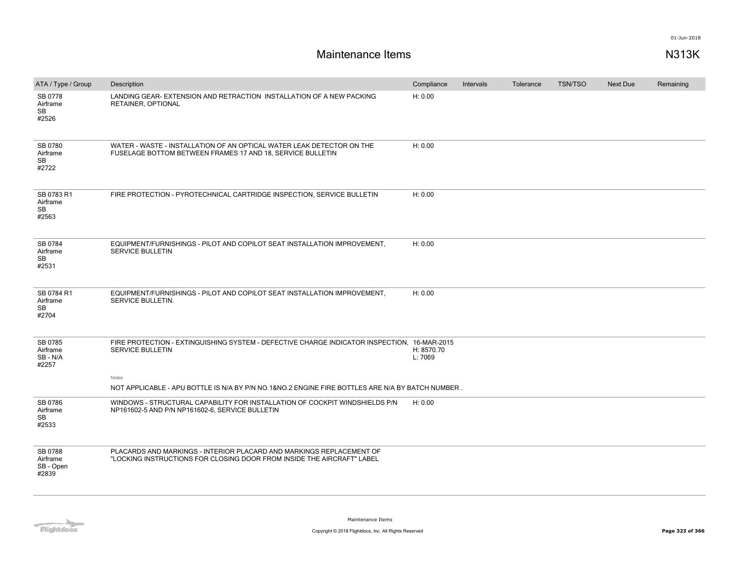| ATA / Type / Group                           | Description                                                                                                                                    | Compliance            | Intervals | Tolerance | <b>TSN/TSO</b> | <b>Next Due</b> | Remaining |
|----------------------------------------------|------------------------------------------------------------------------------------------------------------------------------------------------|-----------------------|-----------|-----------|----------------|-----------------|-----------|
| SB 0778<br>Airframe<br>SB<br>#2526           | LANDING GEAR- EXTENSION AND RETRACTION INSTALLATION OF A NEW PACKING<br>RETAINER, OPTIONAL                                                     | H: 0.00               |           |           |                |                 |           |
| SB 0780<br>Airframe<br>SB<br>#2722           | WATER - WASTE - INSTALLATION OF AN OPTICAL WATER LEAK DETECTOR ON THE<br>FUSELAGE BOTTOM BETWEEN FRAMES 17 AND 18, SERVICE BULLETIN            | H: 0.00               |           |           |                |                 |           |
| SB 0783 R1<br>Airframe<br><b>SB</b><br>#2563 | FIRE PROTECTION - PYROTECHNICAL CARTRIDGE INSPECTION, SERVICE BULLETIN                                                                         | H: 0.00               |           |           |                |                 |           |
| SB 0784<br>Airframe<br>SB<br>#2531           | EQUIPMENT/FURNISHINGS - PILOT AND COPILOT SEAT INSTALLATION IMPROVEMENT,<br><b>SERVICE BULLETIN</b>                                            | H: 0.00               |           |           |                |                 |           |
| SB 0784 R1<br>Airframe<br>SB<br>#2704        | EQUIPMENT/FURNISHINGS - PILOT AND COPILOT SEAT INSTALLATION IMPROVEMENT,<br>SERVICE BULLETIN.                                                  | H: 0.00               |           |           |                |                 |           |
| SB 0785<br>Airframe<br>SB - N/A<br>#2257     | FIRE PROTECTION - EXTINGUISHING SYSTEM - DEFECTIVE CHARGE INDICATOR INSPECTION, 16-MAR-2015<br>SERVICE BULLETIN<br>Notes                       | H: 8570.70<br>L: 7069 |           |           |                |                 |           |
|                                              | NOT APPLICABLE - APU BOTTLE IS N/A BY P/N NO.1&NO.2 ENGINE FIRE BOTTLES ARE N/A BY BATCH NUMBER.                                               |                       |           |           |                |                 |           |
| SB 0786<br>Airframe<br>SB<br>#2533           | WINDOWS - STRUCTURAL CAPABILITY FOR INSTALLATION OF COCKPIT WINDSHIELDS P/N<br>NP161602-5 AND P/N NP161602-6, SERVICE BULLETIN                 | H: 0.00               |           |           |                |                 |           |
| SB 0788<br>Airframe<br>SB - Open<br>#2839    | PLACARDS AND MARKINGS - INTERIOR PLACARD AND MARKINGS REPLACEMENT OF<br>"LOCKING INSTRUCTIONS FOR CLOSING DOOR FROM INSIDE THE AIRCRAFT" LABEL |                       |           |           |                |                 |           |

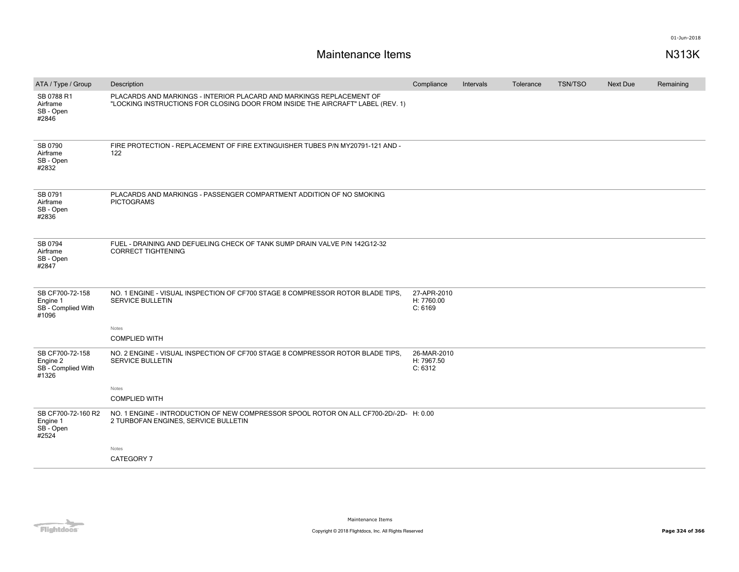| ATA / Type / Group                                         | Description                                                                                                                                             | Compliance                           | Intervals | Tolerance | <b>TSN/TSO</b> | <b>Next Due</b> | Remaining |
|------------------------------------------------------------|---------------------------------------------------------------------------------------------------------------------------------------------------------|--------------------------------------|-----------|-----------|----------------|-----------------|-----------|
| SB 0788 R1<br>Airframe<br>SB - Open<br>#2846               | PLACARDS AND MARKINGS - INTERIOR PLACARD AND MARKINGS REPLACEMENT OF<br>"LOCKING INSTRUCTIONS FOR CLOSING DOOR FROM INSIDE THE AIRCRAFT" LABEL (REV. 1) |                                      |           |           |                |                 |           |
| SB 0790<br>Airframe<br>SB - Open<br>#2832                  | FIRE PROTECTION - REPLACEMENT OF FIRE EXTINGUISHER TUBES P/N MY20791-121 AND -<br>122                                                                   |                                      |           |           |                |                 |           |
| SB 0791<br>Airframe<br>SB - Open<br>#2836                  | PLACARDS AND MARKINGS - PASSENGER COMPARTMENT ADDITION OF NO SMOKING<br><b>PICTOGRAMS</b>                                                               |                                      |           |           |                |                 |           |
| SB 0794<br>Airframe<br>SB - Open<br>#2847                  | FUEL - DRAINING AND DEFUELING CHECK OF TANK SUMP DRAIN VALVE P/N 142G12-32<br><b>CORRECT TIGHTENING</b>                                                 |                                      |           |           |                |                 |           |
| SB CF700-72-158<br>Engine 1<br>SB - Complied With<br>#1096 | NO. 1 ENGINE - VISUAL INSPECTION OF CF700 STAGE 8 COMPRESSOR ROTOR BLADE TIPS.<br><b>SERVICE BULLETIN</b>                                               | 27-APR-2010<br>H: 7760.00<br>C: 6169 |           |           |                |                 |           |
|                                                            | Notes<br><b>COMPLIED WITH</b>                                                                                                                           |                                      |           |           |                |                 |           |
| SB CF700-72-158<br>Engine 2<br>SB - Complied With<br>#1326 | NO. 2 ENGINE - VISUAL INSPECTION OF CF700 STAGE 8 COMPRESSOR ROTOR BLADE TIPS.<br><b>SERVICE BULLETIN</b>                                               | 26-MAR-2010<br>H: 7967.50<br>C: 6312 |           |           |                |                 |           |
|                                                            | Notes<br><b>COMPLIED WITH</b>                                                                                                                           |                                      |           |           |                |                 |           |
| SB CF700-72-160 R2<br>Engine 1<br>SB - Open<br>#2524       | NO. 1 ENGINE - INTRODUCTION OF NEW COMPRESSOR SPOOL ROTOR ON ALL CF700-2D/-2D- H: 0.00<br>2 TURBOFAN ENGINES, SERVICE BULLETIN                          |                                      |           |           |                |                 |           |
|                                                            | Notes<br>CATEGORY 7                                                                                                                                     |                                      |           |           |                |                 |           |
|                                                            |                                                                                                                                                         |                                      |           |           |                |                 |           |

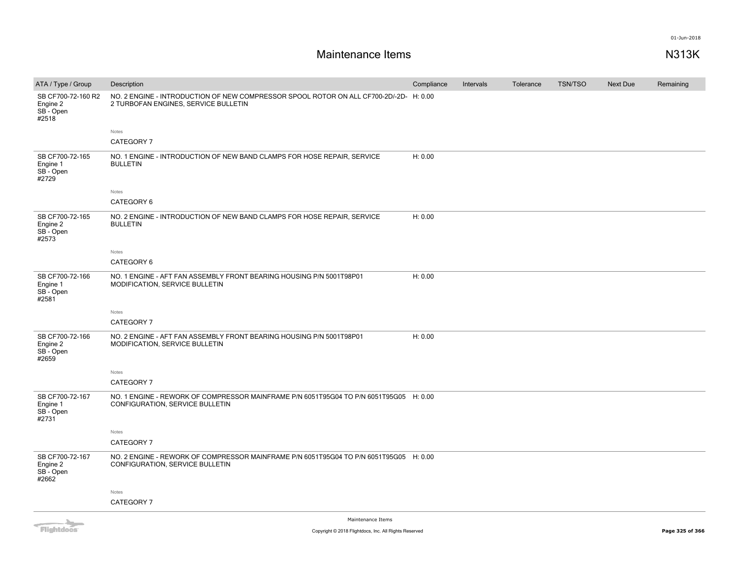| ATA / Type / Group                                 | Description                                                                                                                    | Compliance | Intervals | Tolerance | <b>TSN/TSO</b> | Next Due | Remaining |
|----------------------------------------------------|--------------------------------------------------------------------------------------------------------------------------------|------------|-----------|-----------|----------------|----------|-----------|
| SB CF700-72-160 R2<br>Engine 2<br>SB-Open<br>#2518 | NO. 2 ENGINE - INTRODUCTION OF NEW COMPRESSOR SPOOL ROTOR ON ALL CF700-2D/-2D- H: 0.00<br>2 TURBOFAN ENGINES, SERVICE BULLETIN |            |           |           |                |          |           |
|                                                    | Notes                                                                                                                          |            |           |           |                |          |           |
|                                                    | CATEGORY 7                                                                                                                     |            |           |           |                |          |           |
| SB CF700-72-165<br>Engine 1<br>SB - Open<br>#2729  | NO. 1 ENGINE - INTRODUCTION OF NEW BAND CLAMPS FOR HOSE REPAIR, SERVICE<br><b>BULLETIN</b>                                     | H: 0.00    |           |           |                |          |           |
|                                                    | Notes                                                                                                                          |            |           |           |                |          |           |
|                                                    | CATEGORY 6                                                                                                                     |            |           |           |                |          |           |
| SB CF700-72-165<br>Engine 2<br>SB - Open<br>#2573  | NO. 2 ENGINE - INTRODUCTION OF NEW BAND CLAMPS FOR HOSE REPAIR, SERVICE<br><b>BULLETIN</b>                                     | H: 0.00    |           |           |                |          |           |
|                                                    | Notes                                                                                                                          |            |           |           |                |          |           |
|                                                    | CATEGORY 6                                                                                                                     |            |           |           |                |          |           |
| SB CF700-72-166<br>Engine 1<br>SB-Open<br>#2581    | NO. 1 ENGINE - AFT FAN ASSEMBLY FRONT BEARING HOUSING P/N 5001T98P01<br>MODIFICATION, SERVICE BULLETIN                         | H: 0.00    |           |           |                |          |           |
|                                                    | Notes                                                                                                                          |            |           |           |                |          |           |
|                                                    | CATEGORY 7                                                                                                                     |            |           |           |                |          |           |
| SB CF700-72-166<br>Engine 2<br>SB-Open<br>#2659    | NO. 2 ENGINE - AFT FAN ASSEMBLY FRONT BEARING HOUSING P/N 5001T98P01<br>MODIFICATION, SERVICE BULLETIN                         | H: 0.00    |           |           |                |          |           |
|                                                    | Notes                                                                                                                          |            |           |           |                |          |           |
|                                                    | CATEGORY 7                                                                                                                     |            |           |           |                |          |           |
| SB CF700-72-167<br>Engine 1<br>SB-Open<br>#2731    | NO. 1 ENGINE - REWORK OF COMPRESSOR MAINFRAME P/N 6051T95G04 TO P/N 6051T95G05 H: 0.00<br>CONFIGURATION, SERVICE BULLETIN      |            |           |           |                |          |           |
|                                                    | Notes                                                                                                                          |            |           |           |                |          |           |
|                                                    | CATEGORY 7                                                                                                                     |            |           |           |                |          |           |
| SB CF700-72-167<br>Engine 2<br>SB - Open<br>#2662  | NO. 2 ENGINE - REWORK OF COMPRESSOR MAINFRAME P/N 6051T95G04 TO P/N 6051T95G05 H: 0.00<br>CONFIGURATION, SERVICE BULLETIN      |            |           |           |                |          |           |
|                                                    | Notes                                                                                                                          |            |           |           |                |          |           |
|                                                    | CATEGORY 7                                                                                                                     |            |           |           |                |          |           |
|                                                    |                                                                                                                                |            |           |           |                |          |           |

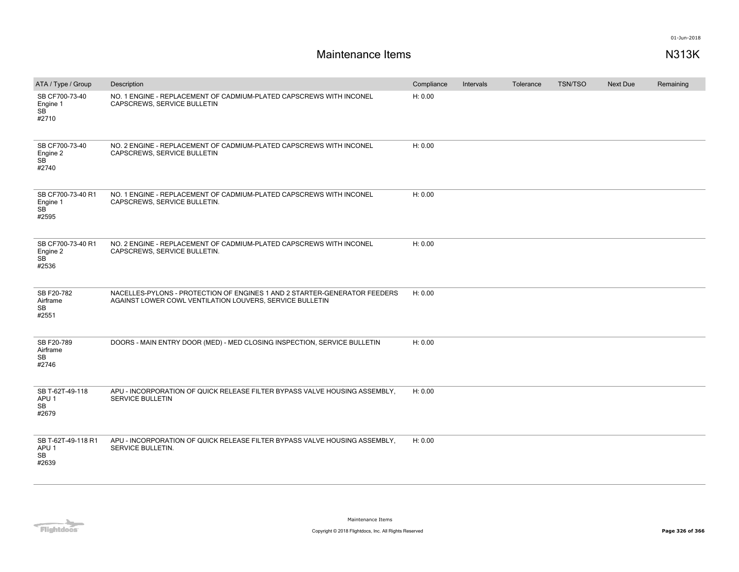| ATA / Type / Group                                        | Description                                                                                                                           | Compliance | Intervals | Tolerance | <b>TSN/TSO</b> | Next Due | Remaining |
|-----------------------------------------------------------|---------------------------------------------------------------------------------------------------------------------------------------|------------|-----------|-----------|----------------|----------|-----------|
| SB CF700-73-40<br>Engine 1<br>SB<br>#2710                 | NO. 1 ENGINE - REPLACEMENT OF CADMIUM-PLATED CAPSCREWS WITH INCONEL<br>CAPSCREWS, SERVICE BULLETIN                                    | H: 0.00    |           |           |                |          |           |
| SB CF700-73-40<br>Engine 2<br><b>SB</b><br>#2740          | NO. 2 ENGINE - REPLACEMENT OF CADMIUM-PLATED CAPSCREWS WITH INCONEL<br>CAPSCREWS, SERVICE BULLETIN                                    | H: 0.00    |           |           |                |          |           |
| SB CF700-73-40 R1<br>Engine 1<br><b>SB</b><br>#2595       | NO. 1 ENGINE - REPLACEMENT OF CADMIUM-PLATED CAPSCREWS WITH INCONEL<br>CAPSCREWS, SERVICE BULLETIN.                                   | H: 0.00    |           |           |                |          |           |
| SB CF700-73-40 R1<br>Engine 2<br>SB <sup>-</sup><br>#2536 | NO. 2 ENGINE - REPLACEMENT OF CADMIUM-PLATED CAPSCREWS WITH INCONEL<br>CAPSCREWS, SERVICE BULLETIN.                                   | H: 0.00    |           |           |                |          |           |
| SB F20-782<br>Airframe<br>SB<br>#2551                     | NACELLES-PYLONS - PROTECTION OF ENGINES 1 AND 2 STARTER-GENERATOR FEEDERS<br>AGAINST LOWER COWL VENTILATION LOUVERS, SERVICE BULLETIN | H: 0.00    |           |           |                |          |           |
| SB F20-789<br>Airframe<br><b>SB</b><br>#2746              | DOORS - MAIN ENTRY DOOR (MED) - MED CLOSING INSPECTION, SERVICE BULLETIN                                                              | H: 0.00    |           |           |                |          |           |
| SB T-62T-49-118<br>APU 1<br>SB<br>#2679                   | APU - INCORPORATION OF QUICK RELEASE FILTER BYPASS VALVE HOUSING ASSEMBLY,<br><b>SERVICE BULLETIN</b>                                 | H: 0.00    |           |           |                |          |           |
| SB T-62T-49-118 R1<br>APU <sub>1</sub><br>SB<br>#2639     | APU - INCORPORATION OF QUICK RELEASE FILTER BYPASS VALVE HOUSING ASSEMBLY,<br>SERVICE BULLETIN.                                       | H: 0.00    |           |           |                |          |           |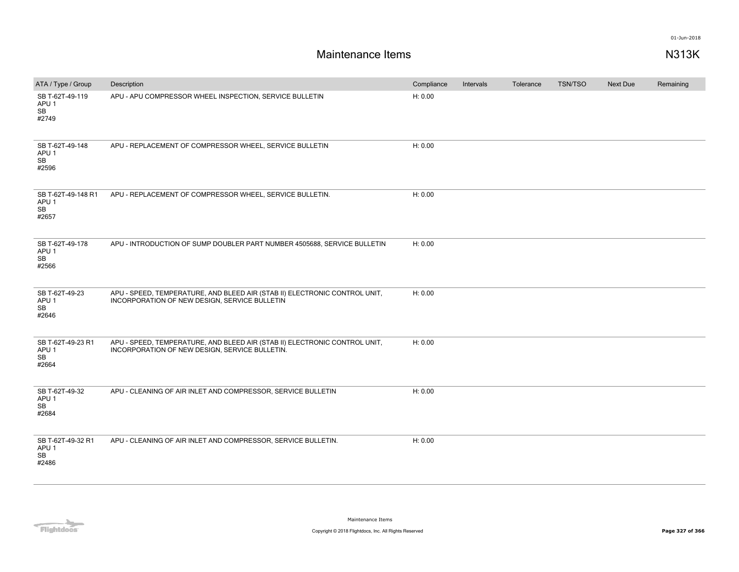| ATA / Type / Group                                    | Description                                                                                                                  | Compliance | Intervals | Tolerance | TSN/TSO | Next Due | Remaining |
|-------------------------------------------------------|------------------------------------------------------------------------------------------------------------------------------|------------|-----------|-----------|---------|----------|-----------|
| SB T-62T-49-119<br>APU <sub>1</sub><br>SB<br>#2749    | APU - APU COMPRESSOR WHEEL INSPECTION, SERVICE BULLETIN                                                                      | H: 0.00    |           |           |         |          |           |
| SB T-62T-49-148<br>APU <sub>1</sub><br>SB<br>#2596    | APU - REPLACEMENT OF COMPRESSOR WHEEL, SERVICE BULLETIN                                                                      | H: 0.00    |           |           |         |          |           |
| SB T-62T-49-148 R1<br>APU <sub>1</sub><br>SB<br>#2657 | APU - REPLACEMENT OF COMPRESSOR WHEEL, SERVICE BULLETIN.                                                                     | H: 0.00    |           |           |         |          |           |
| SB T-62T-49-178<br>APU <sub>1</sub><br>SB<br>#2566    | APU - INTRODUCTION OF SUMP DOUBLER PART NUMBER 4505688, SERVICE BULLETIN                                                     | H: 0.00    |           |           |         |          |           |
| SB T-62T-49-23<br>APU <sub>1</sub><br>SB<br>#2646     | APU - SPEED, TEMPERATURE, AND BLEED AIR (STAB II) ELECTRONIC CONTROL UNIT,<br>INCORPORATION OF NEW DESIGN, SERVICE BULLETIN  | H: 0.00    |           |           |         |          |           |
| SB T-62T-49-23 R1<br>APU <sub>1</sub><br>SB<br>#2664  | APU - SPEED, TEMPERATURE, AND BLEED AIR (STAB II) ELECTRONIC CONTROL UNIT,<br>INCORPORATION OF NEW DESIGN, SERVICE BULLETIN. | H: 0.00    |           |           |         |          |           |
| SB T-62T-49-32<br>APU <sub>1</sub><br>SB<br>#2684     | APU - CLEANING OF AIR INLET AND COMPRESSOR, SERVICE BULLETIN                                                                 | H: 0.00    |           |           |         |          |           |
| SB T-62T-49-32 R1<br>APU <sub>1</sub><br>SB<br>#2486  | APU - CLEANING OF AIR INLET AND COMPRESSOR, SERVICE BULLETIN.                                                                | H: 0.00    |           |           |         |          |           |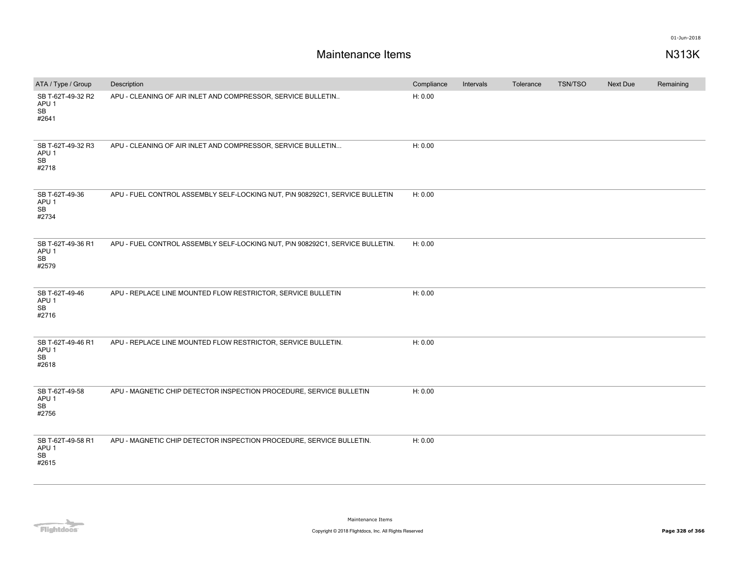| ATA / Type / Group                                   | Description                                                                   | Compliance | Intervals | Tolerance | <b>TSN/TSO</b> | Next Due | Remaining |
|------------------------------------------------------|-------------------------------------------------------------------------------|------------|-----------|-----------|----------------|----------|-----------|
| SB T-62T-49-32 R2<br>APU <sub>1</sub><br>SB<br>#2641 | APU - CLEANING OF AIR INLET AND COMPRESSOR, SERVICE BULLETIN                  | H: 0.00    |           |           |                |          |           |
| SB T-62T-49-32 R3<br>APU <sub>1</sub><br>SB<br>#2718 | APU - CLEANING OF AIR INLET AND COMPRESSOR, SERVICE BULLETIN                  | H: 0.00    |           |           |                |          |           |
| SB T-62T-49-36<br>APU <sub>1</sub><br>SB<br>#2734    | APU - FUEL CONTROL ASSEMBLY SELF-LOCKING NUT, P\N 908292C1, SERVICE BULLETIN  | H: 0.00    |           |           |                |          |           |
| SB T-62T-49-36 R1<br>APU <sub>1</sub><br>SB<br>#2579 | APU - FUEL CONTROL ASSEMBLY SELF-LOCKING NUT, P\N 908292C1, SERVICE BULLETIN. | H: 0.00    |           |           |                |          |           |
| SB T-62T-49-46<br>APU <sub>1</sub><br>SB<br>#2716    | APU - REPLACE LINE MOUNTED FLOW RESTRICTOR, SERVICE BULLETIN                  | H: 0.00    |           |           |                |          |           |
| SB T-62T-49-46 R1<br>APU <sub>1</sub><br>SB<br>#2618 | APU - REPLACE LINE MOUNTED FLOW RESTRICTOR, SERVICE BULLETIN.                 | H: 0.00    |           |           |                |          |           |
| SB T-62T-49-58<br>APU 1<br>SB<br>#2756               | APU - MAGNETIC CHIP DETECTOR INSPECTION PROCEDURE, SERVICE BULLETIN           | H: 0.00    |           |           |                |          |           |
| SB T-62T-49-58 R1<br>APU 1<br>SB<br>#2615            | APU - MAGNETIC CHIP DETECTOR INSPECTION PROCEDURE, SERVICE BULLETIN.          | H: 0.00    |           |           |                |          |           |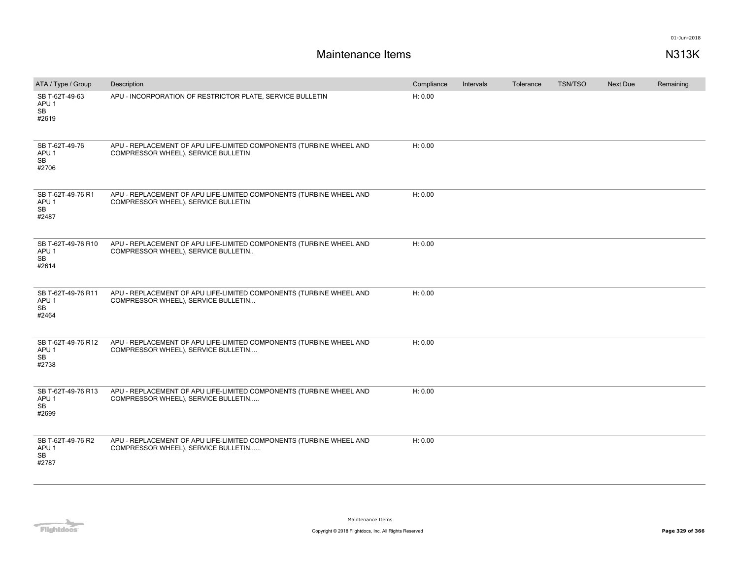| ATA / Type / Group                                           | Description                                                                                                 | Compliance | Intervals | Tolerance | TSN/TSO | Next Due | Remaining |
|--------------------------------------------------------------|-------------------------------------------------------------------------------------------------------------|------------|-----------|-----------|---------|----------|-----------|
| SB T-62T-49-63<br>APU 1<br>SB<br>#2619                       | APU - INCORPORATION OF RESTRICTOR PLATE, SERVICE BULLETIN                                                   | H: 0.00    |           |           |         |          |           |
| SB T-62T-49-76<br>APU <sub>1</sub><br>SB<br>#2706            | APU - REPLACEMENT OF APU LIFE-LIMITED COMPONENTS (TURBINE WHEEL AND<br>COMPRESSOR WHEEL), SERVICE BULLETIN  | H: 0.00    |           |           |         |          |           |
| SB T-62T-49-76 R1<br>APU <sub>1</sub><br>SB<br>#2487         | APU - REPLACEMENT OF APU LIFE-LIMITED COMPONENTS (TURBINE WHEEL AND<br>COMPRESSOR WHEEL), SERVICE BULLETIN. | H: 0.00    |           |           |         |          |           |
| SB T-62T-49-76 R10<br>APU <sub>1</sub><br><b>SB</b><br>#2614 | APU - REPLACEMENT OF APU LIFE-LIMITED COMPONENTS (TURBINE WHEEL AND<br>COMPRESSOR WHEEL), SERVICE BULLETIN  | H: 0.00    |           |           |         |          |           |
| SB T-62T-49-76 R11<br>APU <sub>1</sub><br><b>SB</b><br>#2464 | APU - REPLACEMENT OF APU LIFE-LIMITED COMPONENTS (TURBINE WHEEL AND<br>COMPRESSOR WHEEL), SERVICE BULLETIN  | H: 0.00    |           |           |         |          |           |
| SB T-62T-49-76 R12<br>APU 1<br><b>SB</b><br>#2738            | APU - REPLACEMENT OF APU LIFE-LIMITED COMPONENTS (TURBINE WHEEL AND<br>COMPRESSOR WHEEL), SERVICE BULLETIN  | H: 0.00    |           |           |         |          |           |
| SB T-62T-49-76 R13<br>APU <sub>1</sub><br>SB<br>#2699        | APU - REPLACEMENT OF APU LIFE-LIMITED COMPONENTS (TURBINE WHEEL AND<br>COMPRESSOR WHEEL), SERVICE BULLETIN  | H: 0.00    |           |           |         |          |           |
| SB T-62T-49-76 R2<br>APU 1<br>SB<br>#2787                    | APU - REPLACEMENT OF APU LIFE-LIMITED COMPONENTS (TURBINE WHEEL AND<br>COMPRESSOR WHEEL), SERVICE BULLETIN  | H: 0.00    |           |           |         |          |           |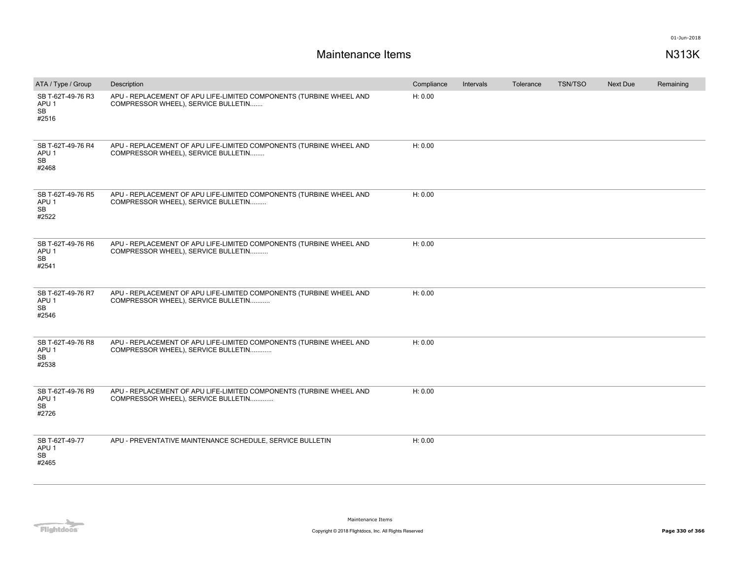| ATA / Type / Group                                   | Description                                                                                                | Compliance | Intervals | Tolerance | <b>TSN/TSO</b> | <b>Next Due</b> | Remaining |
|------------------------------------------------------|------------------------------------------------------------------------------------------------------------|------------|-----------|-----------|----------------|-----------------|-----------|
| SB T-62T-49-76 R3<br>APU <sub>1</sub><br>SB<br>#2516 | APU - REPLACEMENT OF APU LIFE-LIMITED COMPONENTS (TURBINE WHEEL AND<br>COMPRESSOR WHEEL), SERVICE BULLETIN | H: 0.00    |           |           |                |                 |           |
| SB T-62T-49-76 R4<br>APU <sub>1</sub><br>SB<br>#2468 | APU - REPLACEMENT OF APU LIFE-LIMITED COMPONENTS (TURBINE WHEEL AND<br>COMPRESSOR WHEEL), SERVICE BULLETIN | H: 0.00    |           |           |                |                 |           |
| SB T-62T-49-76 R5<br>APU <sub>1</sub><br>SB<br>#2522 | APU - REPLACEMENT OF APU LIFE-LIMITED COMPONENTS (TURBINE WHEEL AND<br>COMPRESSOR WHEEL), SERVICE BULLETIN | H: 0.00    |           |           |                |                 |           |
| SB T-62T-49-76 R6<br>APU <sub>1</sub><br>SB<br>#2541 | APU - REPLACEMENT OF APU LIFE-LIMITED COMPONENTS (TURBINE WHEEL AND<br>COMPRESSOR WHEEL), SERVICE BULLETIN | H: 0.00    |           |           |                |                 |           |
| SB T-62T-49-76 R7<br>APU <sub>1</sub><br>SB<br>#2546 | APU - REPLACEMENT OF APU LIFE-LIMITED COMPONENTS (TURBINE WHEEL AND<br>COMPRESSOR WHEEL), SERVICE BULLETIN | H: 0.00    |           |           |                |                 |           |
| SB T-62T-49-76 R8<br>APU <sub>1</sub><br>SB<br>#2538 | APU - REPLACEMENT OF APU LIFE-LIMITED COMPONENTS (TURBINE WHEEL AND<br>COMPRESSOR WHEEL), SERVICE BULLETIN | H: 0.00    |           |           |                |                 |           |
| SB T-62T-49-76 R9<br>APU <sub>1</sub><br>SB<br>#2726 | APU - REPLACEMENT OF APU LIFE-LIMITED COMPONENTS (TURBINE WHEEL AND<br>COMPRESSOR WHEEL), SERVICE BULLETIN | H: 0.00    |           |           |                |                 |           |
| SB T-62T-49-77<br>APU <sub>1</sub><br>SB<br>#2465    | APU - PREVENTATIVE MAINTENANCE SCHEDULE, SERVICE BULLETIN                                                  | H: 0.00    |           |           |                |                 |           |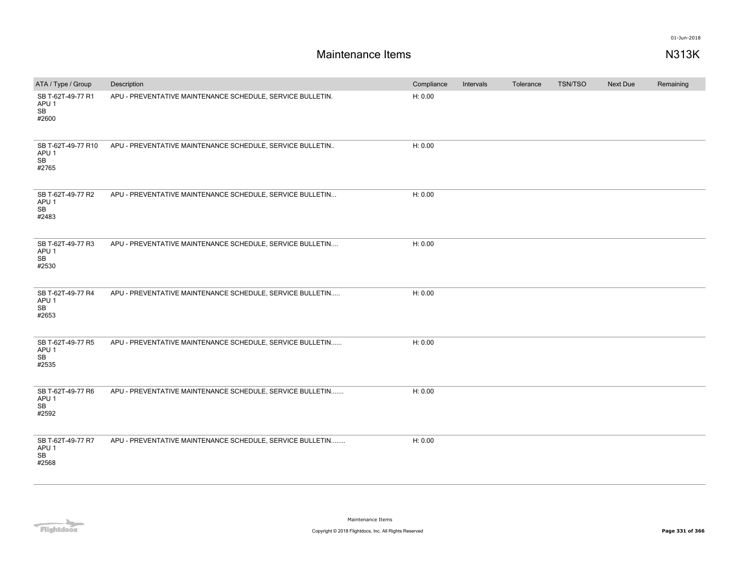| ATA / Type / Group                                    | Description                                                | Compliance | Intervals | Tolerance | TSN/TSO | Next Due | Remaining |
|-------------------------------------------------------|------------------------------------------------------------|------------|-----------|-----------|---------|----------|-----------|
| SB T-62T-49-77 R1<br>APU <sub>1</sub><br>SB<br>#2600  | APU - PREVENTATIVE MAINTENANCE SCHEDULE, SERVICE BULLETIN. | H: 0.00    |           |           |         |          |           |
| SB T-62T-49-77 R10<br>APU <sub>1</sub><br>SB<br>#2765 | APU - PREVENTATIVE MAINTENANCE SCHEDULE, SERVICE BULLETIN  | H: 0.00    |           |           |         |          |           |
| SB T-62T-49-77 R2<br>APU <sub>1</sub><br>SB<br>#2483  | APU - PREVENTATIVE MAINTENANCE SCHEDULE, SERVICE BULLETIN  | H: 0.00    |           |           |         |          |           |
| SB T-62T-49-77 R3<br>APU <sub>1</sub><br>SB<br>#2530  | APU - PREVENTATIVE MAINTENANCE SCHEDULE, SERVICE BULLETIN  | H: 0.00    |           |           |         |          |           |
| SB T-62T-49-77 R4<br>APU <sub>1</sub><br>SB<br>#2653  | APU - PREVENTATIVE MAINTENANCE SCHEDULE, SERVICE BULLETIN  | H: 0.00    |           |           |         |          |           |
| SB T-62T-49-77 R5<br>APU <sub>1</sub><br>SB<br>#2535  | APU - PREVENTATIVE MAINTENANCE SCHEDULE, SERVICE BULLETIN  | H: 0.00    |           |           |         |          |           |
| SB T-62T-49-77 R6<br>APU <sub>1</sub><br>SB<br>#2592  | APU - PREVENTATIVE MAINTENANCE SCHEDULE, SERVICE BULLETIN  | H: 0.00    |           |           |         |          |           |
| SB T-62T-49-77 R7<br>APU <sub>1</sub><br>SB<br>#2568  | APU - PREVENTATIVE MAINTENANCE SCHEDULE, SERVICE BULLETIN  | H: 0.00    |           |           |         |          |           |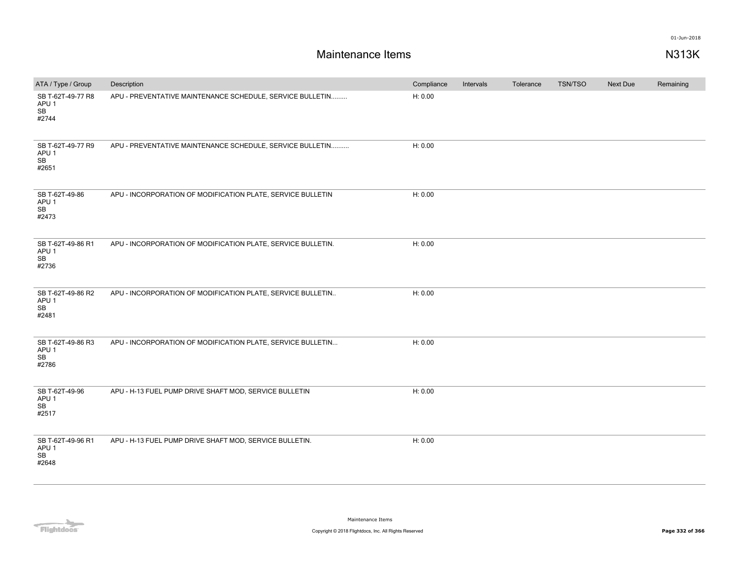| ATA / Type / Group                                   | Description                                                  | Compliance | Intervals | Tolerance | TSN/TSO | Next Due | Remaining |
|------------------------------------------------------|--------------------------------------------------------------|------------|-----------|-----------|---------|----------|-----------|
| SB T-62T-49-77 R8<br>APU <sub>1</sub><br>SB<br>#2744 | APU - PREVENTATIVE MAINTENANCE SCHEDULE, SERVICE BULLETIN    | H: 0.00    |           |           |         |          |           |
| SB T-62T-49-77 R9<br>APU <sub>1</sub><br>SB<br>#2651 | APU - PREVENTATIVE MAINTENANCE SCHEDULE, SERVICE BULLETIN    | H: 0.00    |           |           |         |          |           |
| SB T-62T-49-86<br>APU <sub>1</sub><br>SB<br>#2473    | APU - INCORPORATION OF MODIFICATION PLATE, SERVICE BULLETIN  | H: 0.00    |           |           |         |          |           |
| SB T-62T-49-86 R1<br>APU <sub>1</sub><br>SB<br>#2736 | APU - INCORPORATION OF MODIFICATION PLATE, SERVICE BULLETIN. | H: 0.00    |           |           |         |          |           |
| SB T-62T-49-86 R2<br>APU <sub>1</sub><br>SB<br>#2481 | APU - INCORPORATION OF MODIFICATION PLATE, SERVICE BULLETIN  | H: 0.00    |           |           |         |          |           |
| SB T-62T-49-86 R3<br>APU <sub>1</sub><br>SB<br>#2786 | APU - INCORPORATION OF MODIFICATION PLATE, SERVICE BULLETIN  | H: 0.00    |           |           |         |          |           |
| SB T-62T-49-96<br>APU <sub>1</sub><br>SB<br>#2517    | APU - H-13 FUEL PUMP DRIVE SHAFT MOD, SERVICE BULLETIN       | H: 0.00    |           |           |         |          |           |
| SB T-62T-49-96 R1<br>APU <sub>1</sub><br>SB<br>#2648 | APU - H-13 FUEL PUMP DRIVE SHAFT MOD, SERVICE BULLETIN.      | H: 0.00    |           |           |         |          |           |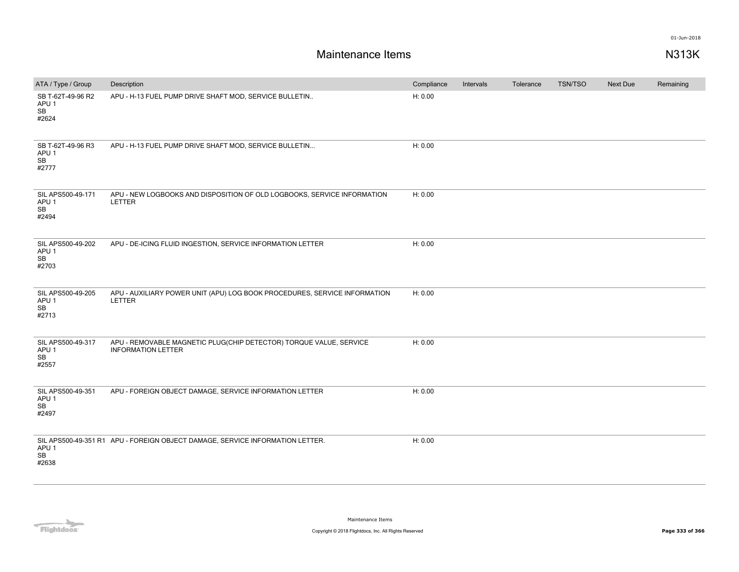| ATA / Type / Group                                   | Description                                                                                     | Compliance | Intervals | Tolerance | TSN/TSO | Next Due | Remaining |
|------------------------------------------------------|-------------------------------------------------------------------------------------------------|------------|-----------|-----------|---------|----------|-----------|
| SB T-62T-49-96 R2<br>APU <sub>1</sub><br>SB<br>#2624 | APU - H-13 FUEL PUMP DRIVE SHAFT MOD, SERVICE BULLETIN                                          | H: 0.00    |           |           |         |          |           |
| SB T-62T-49-96 R3<br>APU <sub>1</sub><br>SB<br>#2777 | APU - H-13 FUEL PUMP DRIVE SHAFT MOD, SERVICE BULLETIN                                          | H: 0.00    |           |           |         |          |           |
| SIL APS500-49-171<br>APU <sub>1</sub><br>SB<br>#2494 | APU - NEW LOGBOOKS AND DISPOSITION OF OLD LOGBOOKS, SERVICE INFORMATION<br>LETTER               | H: 0.00    |           |           |         |          |           |
| SIL APS500-49-202<br>APU <sub>1</sub><br>SB<br>#2703 | APU - DE-ICING FLUID INGESTION, SERVICE INFORMATION LETTER                                      | H: 0.00    |           |           |         |          |           |
| SIL APS500-49-205<br>APU <sub>1</sub><br>SB<br>#2713 | APU - AUXILIARY POWER UNIT (APU) LOG BOOK PROCEDURES, SERVICE INFORMATION<br>LETTER             | H: 0.00    |           |           |         |          |           |
| SIL APS500-49-317<br>APU <sub>1</sub><br>SB<br>#2557 | APU - REMOVABLE MAGNETIC PLUG(CHIP DETECTOR) TORQUE VALUE, SERVICE<br><b>INFORMATION LETTER</b> | H: 0.00    |           |           |         |          |           |
| SIL APS500-49-351<br>APU <sub>1</sub><br>SB<br>#2497 | APU - FOREIGN OBJECT DAMAGE, SERVICE INFORMATION LETTER                                         | H: 0.00    |           |           |         |          |           |
| APU <sub>1</sub><br>SB<br>#2638                      | SIL APS500-49-351 R1 APU - FOREIGN OBJECT DAMAGE, SERVICE INFORMATION LETTER.                   | H: 0.00    |           |           |         |          |           |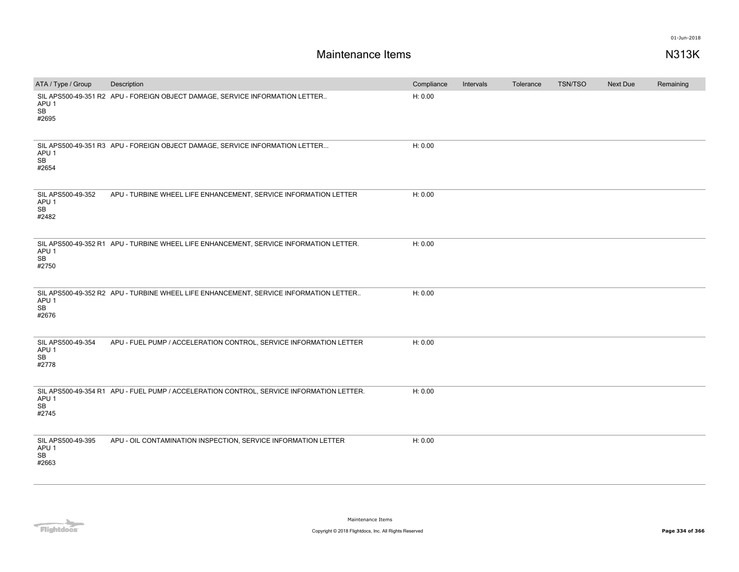| ATA / Type / Group                                   | Description                                                                              | Compliance | Intervals | Tolerance | TSN/TSO | Next Due | Remaining |
|------------------------------------------------------|------------------------------------------------------------------------------------------|------------|-----------|-----------|---------|----------|-----------|
| APU <sub>1</sub><br>SB<br>#2695                      | SIL APS500-49-351 R2 APU - FOREIGN OBJECT DAMAGE, SERVICE INFORMATION LETTER             | H: 0.00    |           |           |         |          |           |
| APU <sub>1</sub><br>SB<br>#2654                      | SIL APS500-49-351 R3 APU - FOREIGN OBJECT DAMAGE, SERVICE INFORMATION LETTER             | H: 0.00    |           |           |         |          |           |
| SIL APS500-49-352<br>APU <sub>1</sub><br>SB<br>#2482 | APU - TURBINE WHEEL LIFE ENHANCEMENT, SERVICE INFORMATION LETTER                         | H: 0.00    |           |           |         |          |           |
| APU <sub>1</sub><br>SB<br>#2750                      | SIL APS500-49-352 R1 APU - TURBINE WHEEL LIFE ENHANCEMENT, SERVICE INFORMATION LETTER.   | H: 0.00    |           |           |         |          |           |
| APU 1<br>SB<br>#2676                                 | SIL APS500-49-352 R2 APU - TURBINE WHEEL LIFE ENHANCEMENT, SERVICE INFORMATION LETTER    | H: 0.00    |           |           |         |          |           |
| SIL APS500-49-354<br>APU <sub>1</sub><br>SB<br>#2778 | APU - FUEL PUMP / ACCELERATION CONTROL, SERVICE INFORMATION LETTER                       | H: 0.00    |           |           |         |          |           |
| APU <sub>1</sub><br><b>SB</b><br>#2745               | SIL APS500-49-354 R1 APU - FUEL PUMP / ACCELERATION CONTROL, SERVICE INFORMATION LETTER. | H: 0.00    |           |           |         |          |           |
| SIL APS500-49-395<br>APU <sub>1</sub><br>SB<br>#2663 | APU - OIL CONTAMINATION INSPECTION, SERVICE INFORMATION LETTER                           | H: 0.00    |           |           |         |          |           |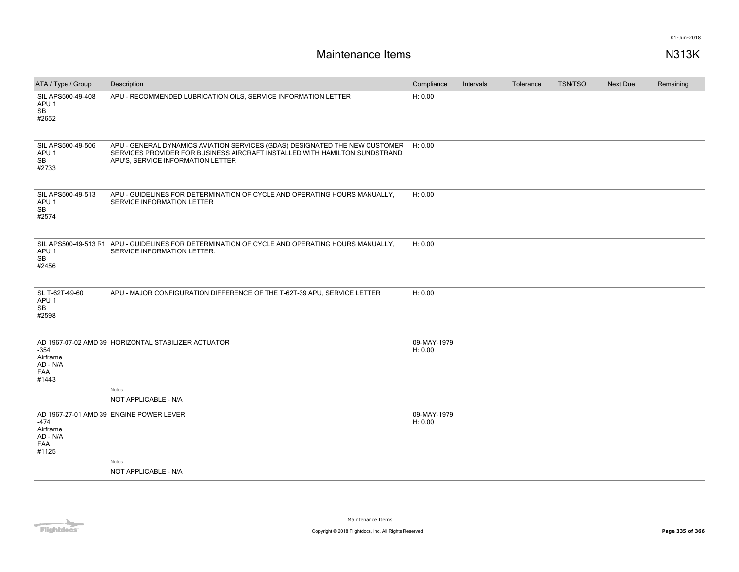| ATA / Type / Group                                   | Description                                                                                                                                                                                            | Compliance             | Intervals | Tolerance | <b>TSN/TSO</b> | <b>Next Due</b> | Remaining |
|------------------------------------------------------|--------------------------------------------------------------------------------------------------------------------------------------------------------------------------------------------------------|------------------------|-----------|-----------|----------------|-----------------|-----------|
| SIL APS500-49-408<br>APU <sub>1</sub><br>SB<br>#2652 | APU - RECOMMENDED LUBRICATION OILS, SERVICE INFORMATION LETTER                                                                                                                                         | H: 0.00                |           |           |                |                 |           |
| SIL APS500-49-506<br>APU <sub>1</sub><br>SB<br>#2733 | APU - GENERAL DYNAMICS AVIATION SERVICES (GDAS) DESIGNATED THE NEW CUSTOMER H: 0.00<br>SERVICES PROVIDER FOR BUSINESS AIRCRAFT INSTALLED WITH HAMILTON SUNDSTRAND<br>APU'S, SERVICE INFORMATION LETTER |                        |           |           |                |                 |           |
| SIL APS500-49-513<br>APU <sub>1</sub><br>SB<br>#2574 | APU - GUIDELINES FOR DETERMINATION OF CYCLE AND OPERATING HOURS MANUALLY,<br>SERVICE INFORMATION LETTER                                                                                                | H: 0.00                |           |           |                |                 |           |
| APU <sub>1</sub><br>SB<br>#2456                      | SIL APS500-49-513 R1 APU - GUIDELINES FOR DETERMINATION OF CYCLE AND OPERATING HOURS MANUALLY.<br>SERVICE INFORMATION LETTER.                                                                          | H: 0.00                |           |           |                |                 |           |
| SL T-62T-49-60<br>APU <sub>1</sub><br>SB<br>#2598    | APU - MAJOR CONFIGURATION DIFFERENCE OF THE T-62T-39 APU, SERVICE LETTER                                                                                                                               | H: 0.00                |           |           |                |                 |           |
| -354<br>Airframe<br>AD - N/A<br><b>FAA</b><br>#1443  | AD 1967-07-02 AMD 39 HORIZONTAL STABILIZER ACTUATOR<br>Notes                                                                                                                                           | 09-MAY-1979<br>H: 0.00 |           |           |                |                 |           |
|                                                      | NOT APPLICABLE - N/A                                                                                                                                                                                   |                        |           |           |                |                 |           |
| -474<br>Airframe<br>AD - N/A<br><b>FAA</b><br>#1125  | AD 1967-27-01 AMD 39 ENGINE POWER LEVER                                                                                                                                                                | 09-MAY-1979<br>H: 0.00 |           |           |                |                 |           |
|                                                      | Notes<br>NOT APPLICABLE - N/A                                                                                                                                                                          |                        |           |           |                |                 |           |
|                                                      |                                                                                                                                                                                                        |                        |           |           |                |                 |           |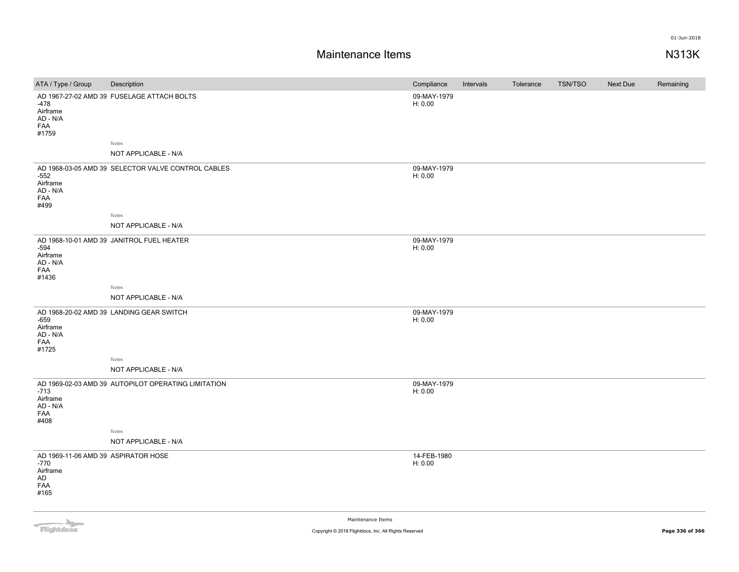## **Maintenance Items N313K**

| ATA / Type / Group                                                           | Description                                                 | Compliance             | Intervals | Tolerance | <b>TSN/TSO</b> | Next Due | Remaining |
|------------------------------------------------------------------------------|-------------------------------------------------------------|------------------------|-----------|-----------|----------------|----------|-----------|
| -478<br>Airframe<br>AD - N/A<br>FAA<br>#1759                                 | AD 1967-27-02 AMD 39 FUSELAGE ATTACH BOLTS                  | 09-MAY-1979<br>H: 0.00 |           |           |                |          |           |
|                                                                              | Notes<br>NOT APPLICABLE - N/A                               |                        |           |           |                |          |           |
| $-552$<br>Airframe<br>$AD - N/A$<br>FAA<br>#499                              | AD 1968-03-05 AMD 39 SELECTOR VALVE CONTROL CABLES<br>Notes | 09-MAY-1979<br>H: 0.00 |           |           |                |          |           |
|                                                                              | NOT APPLICABLE - N/A                                        |                        |           |           |                |          |           |
| $-594$<br>Airframe<br>AD - N/A<br>FAA<br>#1436                               | AD 1968-10-01 AMD 39 JANITROL FUEL HEATER                   | 09-MAY-1979<br>H: 0.00 |           |           |                |          |           |
|                                                                              | Notes                                                       |                        |           |           |                |          |           |
|                                                                              | NOT APPLICABLE - N/A                                        |                        |           |           |                |          |           |
| $-659$<br>Airframe<br>AD - N/A<br>FAA<br>#1725                               | AD 1968-20-02 AMD 39 LANDING GEAR SWITCH                    | 09-MAY-1979<br>H: 0.00 |           |           |                |          |           |
|                                                                              | Notes                                                       |                        |           |           |                |          |           |
|                                                                              | NOT APPLICABLE - N/A                                        |                        |           |           |                |          |           |
| $-713$<br>Airframe<br>AD - N/A<br>FAA<br>#408                                | AD 1969-02-03 AMD 39 AUTOPILOT OPERATING LIMITATION         | 09-MAY-1979<br>H: 0.00 |           |           |                |          |           |
|                                                                              | Notes                                                       |                        |           |           |                |          |           |
|                                                                              | NOT APPLICABLE - N/A                                        |                        |           |           |                |          |           |
| AD 1969-11-06 AMD 39 ASPIRATOR HOSE<br>-770<br>Airframe<br>AD<br>FAA<br>#165 |                                                             | 14-FEB-1980<br>H: 0.00 |           |           |                |          |           |
|                                                                              |                                                             |                        |           |           |                |          |           |



Maintenance Items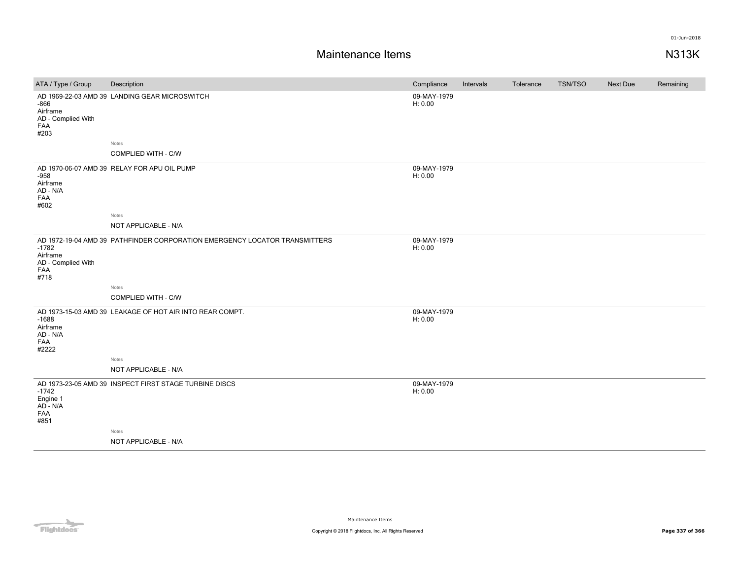| ATA / Type / Group                                       | Description                                                                | Compliance             | Intervals | Tolerance | <b>TSN/TSO</b> | Next Due | Remaining |
|----------------------------------------------------------|----------------------------------------------------------------------------|------------------------|-----------|-----------|----------------|----------|-----------|
| $-866$<br>Airframe<br>AD - Complied With<br>FAA<br>#203  | AD 1969-22-03 AMD 39 LANDING GEAR MICROSWITCH                              | 09-MAY-1979<br>H: 0.00 |           |           |                |          |           |
|                                                          | Notes                                                                      |                        |           |           |                |          |           |
|                                                          | COMPLIED WITH - C/W                                                        |                        |           |           |                |          |           |
| $-958$<br>Airframe<br>AD - N/A<br>FAA<br>#602            | AD 1970-06-07 AMD 39 RELAY FOR APU OIL PUMP                                | 09-MAY-1979<br>H: 0.00 |           |           |                |          |           |
|                                                          | Notes                                                                      |                        |           |           |                |          |           |
|                                                          | NOT APPLICABLE - N/A                                                       |                        |           |           |                |          |           |
| $-1782$<br>Airframe<br>AD - Complied With<br>FAA<br>#718 | AD 1972-19-04 AMD 39 PATHFINDER CORPORATION EMERGENCY LOCATOR TRANSMITTERS | 09-MAY-1979<br>H: 0.00 |           |           |                |          |           |
|                                                          | Notes                                                                      |                        |           |           |                |          |           |
|                                                          | COMPLIED WITH - C/W                                                        |                        |           |           |                |          |           |
| $-1688$<br>Airframe<br>AD - N/A<br>FAA<br>#2222          | AD 1973-15-03 AMD 39 LEAKAGE OF HOT AIR INTO REAR COMPT.                   | 09-MAY-1979<br>H: 0.00 |           |           |                |          |           |
|                                                          | Notes                                                                      |                        |           |           |                |          |           |
|                                                          | NOT APPLICABLE - N/A                                                       |                        |           |           |                |          |           |
| $-1742$<br>Engine 1<br>AD - N/A<br>FAA<br>#851           | AD 1973-23-05 AMD 39 INSPECT FIRST STAGE TURBINE DISCS                     | 09-MAY-1979<br>H: 0.00 |           |           |                |          |           |
|                                                          | Notes                                                                      |                        |           |           |                |          |           |
|                                                          | NOT APPLICABLE - N/A                                                       |                        |           |           |                |          |           |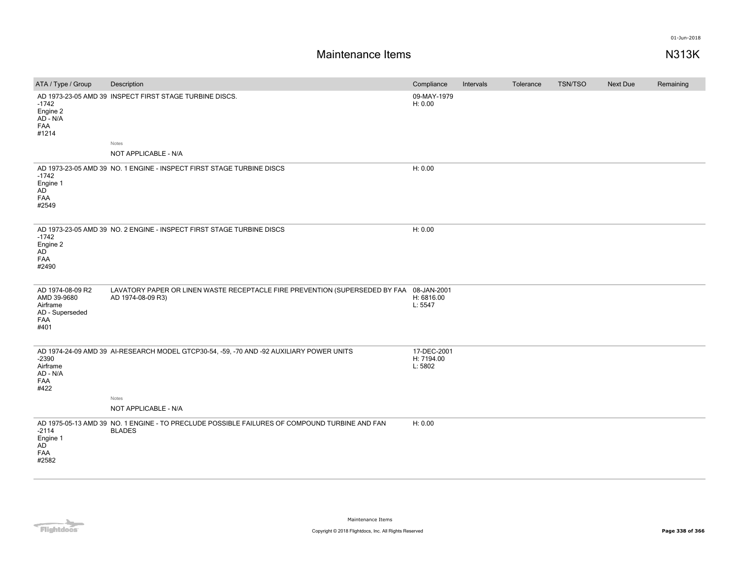| ATA / Type / Group                                                            | Description                                                                                                    | Compliance                           | Intervals | Tolerance | TSN/TSO | Next Due | Remaining |
|-------------------------------------------------------------------------------|----------------------------------------------------------------------------------------------------------------|--------------------------------------|-----------|-----------|---------|----------|-----------|
| $-1742$<br>Engine 2<br>AD - N/A<br>FAA<br>#1214                               | AD 1973-23-05 AMD 39 INSPECT FIRST STAGE TURBINE DISCS.                                                        | 09-MAY-1979<br>H: 0.00               |           |           |         |          |           |
|                                                                               | Notes                                                                                                          |                                      |           |           |         |          |           |
|                                                                               | NOT APPLICABLE - N/A                                                                                           |                                      |           |           |         |          |           |
| $-1742$<br>Engine 1<br>AD <sup>-</sup><br>FAA<br>#2549                        | AD 1973-23-05 AMD 39 NO. 1 ENGINE - INSPECT FIRST STAGE TURBINE DISCS                                          | H: 0.00                              |           |           |         |          |           |
| $-1742$<br>Engine 2<br>AD<br>FAA<br>#2490                                     | AD 1973-23-05 AMD 39 NO. 2 ENGINE - INSPECT FIRST STAGE TURBINE DISCS                                          | H: 0.00                              |           |           |         |          |           |
| AD 1974-08-09 R2<br>AMD 39-9680<br>Airframe<br>AD - Superseded<br>FAA<br>#401 | LAVATORY PAPER OR LINEN WASTE RECEPTACLE FIRE PREVENTION (SUPERSEDED BY FAA 08-JAN-2001<br>AD 1974-08-09 R3)   | H: 6816.00<br>L: 5547                |           |           |         |          |           |
| $-2390$<br>Airframe<br>AD - N/A<br>FAA<br>#422                                | AD 1974-24-09 AMD 39 AI-RESEARCH MODEL GTCP30-54, -59, -70 AND -92 AUXILIARY POWER UNITS                       | 17-DEC-2001<br>H: 7194.00<br>L: 5802 |           |           |         |          |           |
|                                                                               | Notes                                                                                                          |                                      |           |           |         |          |           |
|                                                                               | NOT APPLICABLE - N/A                                                                                           |                                      |           |           |         |          |           |
| $-2114$<br>Engine 1<br><b>AD</b><br>FAA<br>#2582                              | AD 1975-05-13 AMD 39 NO. 1 ENGINE - TO PRECLUDE POSSIBLE FAILURES OF COMPOUND TURBINE AND FAN<br><b>BLADES</b> | H: 0.00                              |           |           |         |          |           |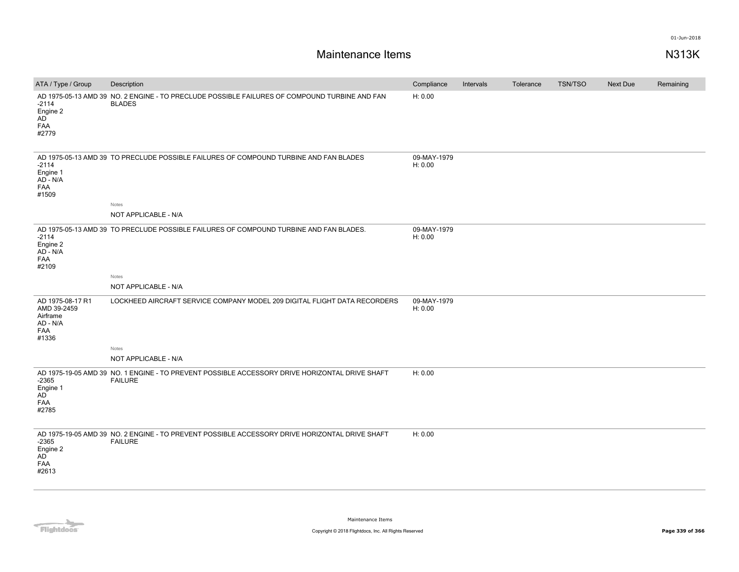| ATA / Type / Group                                                      | Description                                                                                                      | Compliance             | Intervals | Tolerance | <b>TSN/TSO</b> | Next Due | Remaining |
|-------------------------------------------------------------------------|------------------------------------------------------------------------------------------------------------------|------------------------|-----------|-----------|----------------|----------|-----------|
| $-2114$<br>Engine 2<br>AD<br>FAA<br>#2779                               | AD 1975-05-13 AMD 39 NO. 2 ENGINE - TO PRECLUDE POSSIBLE FAILURES OF COMPOUND TURBINE AND FAN<br><b>BLADES</b>   | H: 0.00                |           |           |                |          |           |
| $-2114$<br>Engine 1<br>AD - N/A<br>FAA<br>#1509                         | AD 1975-05-13 AMD 39 TO PRECLUDE POSSIBLE FAILURES OF COMPOUND TURBINE AND FAN BLADES<br>Notes                   | 09-MAY-1979<br>H: 0.00 |           |           |                |          |           |
|                                                                         | NOT APPLICABLE - N/A                                                                                             |                        |           |           |                |          |           |
| $-2114$<br>Engine 2<br>AD - N/A<br>FAA<br>#2109                         | AD 1975-05-13 AMD 39 TO PRECLUDE POSSIBLE FAILURES OF COMPOUND TURBINE AND FAN BLADES.                           | 09-MAY-1979<br>H: 0.00 |           |           |                |          |           |
|                                                                         | Notes                                                                                                            |                        |           |           |                |          |           |
|                                                                         | NOT APPLICABLE - N/A                                                                                             |                        |           |           |                |          |           |
| AD 1975-08-17 R1<br>AMD 39-2459<br>Airframe<br>AD - N/A<br>FAA<br>#1336 | LOCKHEED AIRCRAFT SERVICE COMPANY MODEL 209 DIGITAL FLIGHT DATA RECORDERS                                        | 09-MAY-1979<br>H: 0.00 |           |           |                |          |           |
|                                                                         | Notes                                                                                                            |                        |           |           |                |          |           |
|                                                                         | NOT APPLICABLE - N/A                                                                                             |                        |           |           |                |          |           |
| $-2365$<br>Engine 1<br>AD<br>FAA<br>#2785                               | AD 1975-19-05 AMD 39 NO. 1 ENGINE - TO PREVENT POSSIBLE ACCESSORY DRIVE HORIZONTAL DRIVE SHAFT<br><b>FAILURE</b> | H: 0.00                |           |           |                |          |           |
| $-2365$<br>Engine 2<br>AD<br>FAA<br>#2613                               | AD 1975-19-05 AMD 39 NO. 2 ENGINE - TO PREVENT POSSIBLE ACCESSORY DRIVE HORIZONTAL DRIVE SHAFT<br><b>FAILURE</b> | H: 0.00                |           |           |                |          |           |

**Flightdocs**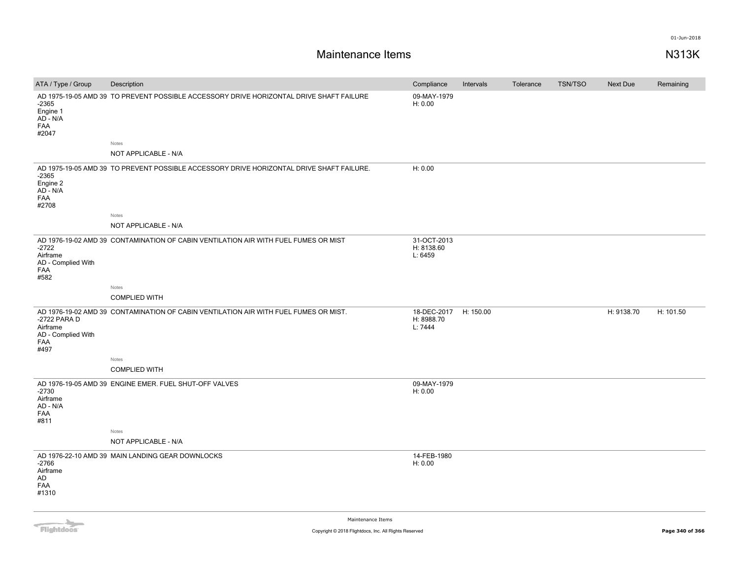| ATA / Type / Group                                                   | Description                                                                              | Compliance                           | Intervals | Tolerance | <b>TSN/TSO</b> | Next Due   | Remaining |
|----------------------------------------------------------------------|------------------------------------------------------------------------------------------|--------------------------------------|-----------|-----------|----------------|------------|-----------|
| $-2365$<br>Engine 1<br>$AD - N/A$<br><b>FAA</b><br>#2047             | AD 1975-19-05 AMD 39 TO PREVENT POSSIBLE ACCESSORY DRIVE HORIZONTAL DRIVE SHAFT FAILURE  | 09-MAY-1979<br>H: 0.00               |           |           |                |            |           |
|                                                                      | Notes                                                                                    |                                      |           |           |                |            |           |
|                                                                      | NOT APPLICABLE - N/A                                                                     |                                      |           |           |                |            |           |
| $-2365$<br>Engine 2<br>AD - N/A<br><b>FAA</b><br>#2708               | AD 1975-19-05 AMD 39 TO PREVENT POSSIBLE ACCESSORY DRIVE HORIZONTAL DRIVE SHAFT FAILURE. | H: 0.00                              |           |           |                |            |           |
|                                                                      | Notes                                                                                    |                                      |           |           |                |            |           |
|                                                                      | NOT APPLICABLE - N/A                                                                     |                                      |           |           |                |            |           |
| $-2722$<br>Airframe<br>AD - Complied With<br><b>FAA</b><br>#582      | AD 1976-19-02 AMD 39 CONTAMINATION OF CABIN VENTILATION AIR WITH FUEL FUMES OR MIST      | 31-OCT-2013<br>H: 8138.60<br>L: 6459 |           |           |                |            |           |
|                                                                      | Notes                                                                                    |                                      |           |           |                |            |           |
|                                                                      | <b>COMPLIED WITH</b>                                                                     |                                      |           |           |                |            |           |
| -2722 PARA D<br>Airframe<br>AD - Complied With<br><b>FAA</b><br>#497 | AD 1976-19-02 AMD 39 CONTAMINATION OF CABIN VENTILATION AIR WITH FUEL FUMES OR MIST.     | 18-DEC-2017<br>H: 8988.70<br>L: 7444 | H: 150.00 |           |                | H: 9138.70 | H: 101.50 |
|                                                                      | Notes                                                                                    |                                      |           |           |                |            |           |
|                                                                      | <b>COMPLIED WITH</b>                                                                     |                                      |           |           |                |            |           |
| $-2730$<br>Airframe<br>AD - N/A<br><b>FAA</b><br>#811                | AD 1976-19-05 AMD 39 ENGINE EMER. FUEL SHUT-OFF VALVES                                   | 09-MAY-1979<br>H: 0.00               |           |           |                |            |           |
|                                                                      | Notes                                                                                    |                                      |           |           |                |            |           |
|                                                                      | NOT APPLICABLE - N/A                                                                     |                                      |           |           |                |            |           |
| $-2766$<br>Airframe<br>AD<br><b>FAA</b><br>#1310                     | AD 1976-22-10 AMD 39 MAIN LANDING GEAR DOWNLOCKS                                         | 14-FEB-1980<br>H: 0.00               |           |           |                |            |           |

Flightdocs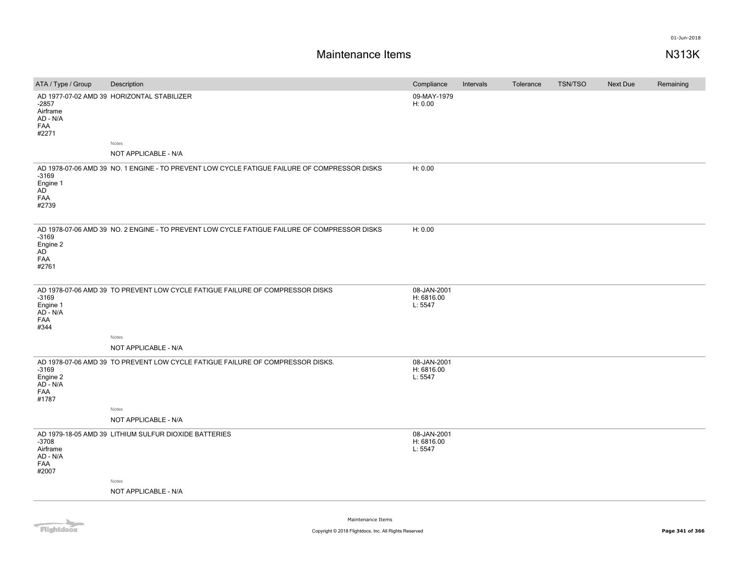| AD 1977-07-02 AMD 39 HORIZONTAL STABILIZER<br>09-MAY-1979<br>H: 0.00<br>-2857                                                                                                  |  |
|--------------------------------------------------------------------------------------------------------------------------------------------------------------------------------|--|
| Airframe<br>AD - N/A<br><b>FAA</b><br>#2271                                                                                                                                    |  |
| Notes<br>NOT APPLICABLE - N/A                                                                                                                                                  |  |
|                                                                                                                                                                                |  |
| H: 0.00<br>AD 1978-07-06 AMD 39 NO. 1 ENGINE - TO PREVENT LOW CYCLE FATIGUE FAILURE OF COMPRESSOR DISKS<br>$-3169$<br>Engine 1<br>AD<br><b>FAA</b><br>#2739                    |  |
| H: 0.00<br>AD 1978-07-06 AMD 39 NO. 2 ENGINE - TO PREVENT LOW CYCLE FATIGUE FAILURE OF COMPRESSOR DISKS<br>$-3169$<br>Engine 2<br>AD<br><b>FAA</b><br>#2761                    |  |
| 08-JAN-2001<br>AD 1978-07-06 AMD 39 TO PREVENT LOW CYCLE FATIGUE FAILURE OF COMPRESSOR DISKS<br>$-3169$<br>H: 6816.00<br>L: 5547<br>Engine 1<br>AD - N/A<br><b>FAA</b><br>#344 |  |
| Notes<br>NOT APPLICABLE - N/A                                                                                                                                                  |  |
| AD 1978-07-06 AMD 39 TO PREVENT LOW CYCLE FATIGUE FAILURE OF COMPRESSOR DISKS.<br>08-JAN-2001<br>H: 6816.00<br>$-3169$<br>L: 5547<br>Engine 2<br>AD - N/A<br>FAA<br>#1787      |  |
| Notes<br>NOT APPLICABLE - N/A                                                                                                                                                  |  |
| 08-JAN-2001<br>AD 1979-18-05 AMD 39 LITHIUM SULFUR DIOXIDE BATTERIES<br>$-3708$<br>H: 6816.00<br>L: 5547<br>Airframe<br>AD - N/A<br><b>FAA</b><br>#2007                        |  |
| Notes                                                                                                                                                                          |  |
| NOT APPLICABLE - N/A                                                                                                                                                           |  |

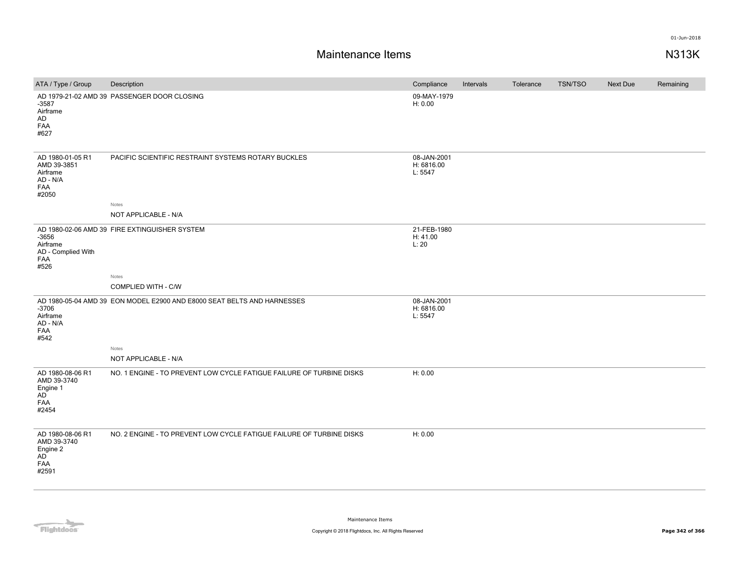| ATA / Type / Group                                                             | Description                                                             | Compliance                           | Intervals | Tolerance | TSN/TSO | Next Due | Remaining |
|--------------------------------------------------------------------------------|-------------------------------------------------------------------------|--------------------------------------|-----------|-----------|---------|----------|-----------|
| $-3587$<br>Airframe<br>AD<br>FAA<br>#627                                       | AD 1979-21-02 AMD 39 PASSENGER DOOR CLOSING                             | 09-MAY-1979<br>H: 0.00               |           |           |         |          |           |
| AD 1980-01-05 R1<br>AMD 39-3851<br>Airframe<br>AD - N/A<br>FAA<br>#2050        | PACIFIC SCIENTIFIC RESTRAINT SYSTEMS ROTARY BUCKLES<br>Notes            | 08-JAN-2001<br>H: 6816.00<br>L: 5547 |           |           |         |          |           |
|                                                                                | NOT APPLICABLE - N/A                                                    |                                      |           |           |         |          |           |
| $-3656$<br>Airframe<br>AD - Complied With<br>FAA<br>#526                       | AD 1980-02-06 AMD 39 FIRE EXTINGUISHER SYSTEM                           | 21-FEB-1980<br>H: 41.00<br>L:20      |           |           |         |          |           |
|                                                                                | Notes                                                                   |                                      |           |           |         |          |           |
|                                                                                | COMPLIED WITH - C/W                                                     |                                      |           |           |         |          |           |
| $-3706$<br>Airframe<br>AD - N/A<br>FAA<br>#542                                 | AD 1980-05-04 AMD 39 EON MODEL E2900 AND E8000 SEAT BELTS AND HARNESSES | 08-JAN-2001<br>H: 6816.00<br>L: 5547 |           |           |         |          |           |
|                                                                                | Notes<br>NOT APPLICABLE - N/A                                           |                                      |           |           |         |          |           |
| AD 1980-08-06 R1<br>AMD 39-3740<br>Engine 1<br>AD <sup>-</sup><br>FAA<br>#2454 | NO. 1 ENGINE - TO PREVENT LOW CYCLE FATIGUE FAILURE OF TURBINE DISKS    | H: 0.00                              |           |           |         |          |           |
| AD 1980-08-06 R1<br>AMD 39-3740<br>Engine 2<br><b>AD</b><br>FAA<br>#2591       | NO. 2 ENGINE - TO PREVENT LOW CYCLE FATIGUE FAILURE OF TURBINE DISKS    | H: 0.00                              |           |           |         |          |           |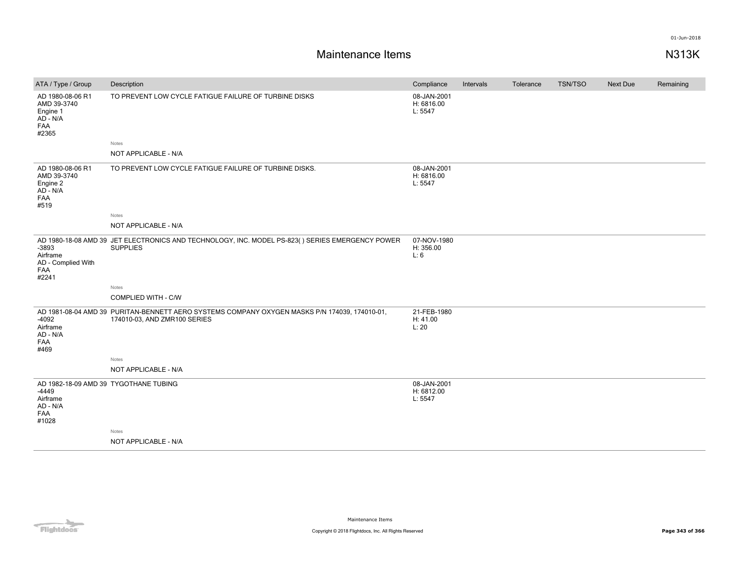| ATA / Type / Group                                                                       | Description                                                                                                                   | Compliance                           | Intervals | Tolerance | TSN/TSO | Next Due | Remaining |
|------------------------------------------------------------------------------------------|-------------------------------------------------------------------------------------------------------------------------------|--------------------------------------|-----------|-----------|---------|----------|-----------|
| AD 1980-08-06 R1<br>AMD 39-3740<br>Engine 1<br>AD - N/A<br>FAA<br>#2365                  | TO PREVENT LOW CYCLE FATIGUE FAILURE OF TURBINE DISKS                                                                         | 08-JAN-2001<br>H: 6816.00<br>L: 5547 |           |           |         |          |           |
|                                                                                          | Notes                                                                                                                         |                                      |           |           |         |          |           |
|                                                                                          | NOT APPLICABLE - N/A                                                                                                          |                                      |           |           |         |          |           |
| AD 1980-08-06 R1<br>AMD 39-3740<br>Engine 2<br>AD - N/A<br>FAA<br>#519                   | TO PREVENT LOW CYCLE FATIGUE FAILURE OF TURBINE DISKS.                                                                        | 08-JAN-2001<br>H: 6816.00<br>L: 5547 |           |           |         |          |           |
|                                                                                          | Notes                                                                                                                         |                                      |           |           |         |          |           |
|                                                                                          | NOT APPLICABLE - N/A                                                                                                          |                                      |           |           |         |          |           |
| $-3893$<br>Airframe<br>AD - Complied With<br>FAA<br>#2241                                | AD 1980-18-08 AMD 39 JET ELECTRONICS AND TECHNOLOGY, INC. MODEL PS-823() SERIES EMERGENCY POWER<br><b>SUPPLIES</b>            | 07-NOV-1980<br>H: 356.00<br>L: 6     |           |           |         |          |           |
|                                                                                          | Notes                                                                                                                         |                                      |           |           |         |          |           |
|                                                                                          | COMPLIED WITH - C/W                                                                                                           |                                      |           |           |         |          |           |
| $-4092$<br>Airframe<br>AD - N/A<br>FAA<br>#469                                           | AD 1981-08-04 AMD 39 PURITAN-BENNETT AERO SYSTEMS COMPANY OXYGEN MASKS P/N 174039, 174010-01,<br>174010-03, AND ZMR100 SERIES | 21-FEB-1980<br>H: 41.00<br>L:20      |           |           |         |          |           |
|                                                                                          | Notes                                                                                                                         |                                      |           |           |         |          |           |
|                                                                                          | NOT APPLICABLE - N/A                                                                                                          |                                      |           |           |         |          |           |
| AD 1982-18-09 AMD 39 TYGOTHANE TUBING<br>$-4449$<br>Airframe<br>AD - N/A<br>FAA<br>#1028 |                                                                                                                               | 08-JAN-2001<br>H: 6812.00<br>L: 5547 |           |           |         |          |           |
|                                                                                          | Notes                                                                                                                         |                                      |           |           |         |          |           |
|                                                                                          | NOT APPLICABLE - N/A                                                                                                          |                                      |           |           |         |          |           |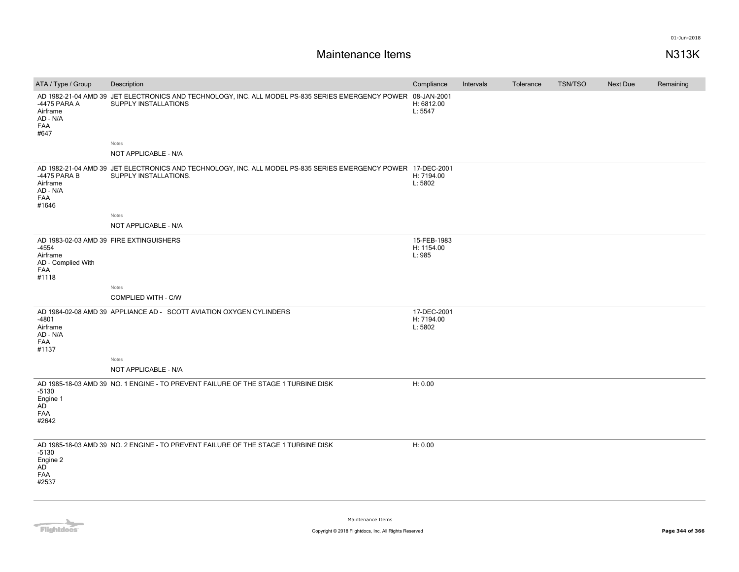| ATA / Type / Group                                             | Description                                                                                                                            | Compliance                           | Intervals | Tolerance | <b>TSN/TSO</b> | <b>Next Due</b> | Remaining |
|----------------------------------------------------------------|----------------------------------------------------------------------------------------------------------------------------------------|--------------------------------------|-----------|-----------|----------------|-----------------|-----------|
| -4475 PARA A<br>Airframe<br>AD - N/A<br>FAA<br>#647            | AD 1982-21-04 AMD 39 JET ELECTRONICS AND TECHNOLOGY, INC. ALL MODEL PS-835 SERIES EMERGENCY POWER<br>SUPPLY INSTALLATIONS              | 08-JAN-2001<br>H: 6812.00<br>L: 5547 |           |           |                |                 |           |
|                                                                | Notes                                                                                                                                  |                                      |           |           |                |                 |           |
|                                                                | NOT APPLICABLE - N/A                                                                                                                   |                                      |           |           |                |                 |           |
| -4475 PARA B<br>Airframe<br>AD - N/A<br>FAA<br>#1646           | AD 1982-21-04 AMD 39 JET ELECTRONICS AND TECHNOLOGY, INC. ALL MODEL PS-835 SERIES EMERGENCY POWER 17-DEC-2001<br>SUPPLY INSTALLATIONS. | H: 7194.00<br>L: 5802                |           |           |                |                 |           |
|                                                                | Notes                                                                                                                                  |                                      |           |           |                |                 |           |
|                                                                | NOT APPLICABLE - N/A                                                                                                                   |                                      |           |           |                |                 |           |
| -4554<br>Airframe<br>AD - Complied With<br><b>FAA</b><br>#1118 | AD 1983-02-03 AMD 39 FIRE EXTINGUISHERS                                                                                                | 15-FEB-1983<br>H: 1154.00<br>L: 985  |           |           |                |                 |           |
|                                                                | Notes                                                                                                                                  |                                      |           |           |                |                 |           |
|                                                                | COMPLIED WITH - C/W                                                                                                                    |                                      |           |           |                |                 |           |
| $-4801$<br>Airframe<br>AD - N/A<br><b>FAA</b><br>#1137         | AD 1984-02-08 AMD 39 APPLIANCE AD - SCOTT AVIATION OXYGEN CYLINDERS                                                                    | 17-DEC-2001<br>H: 7194.00<br>L: 5802 |           |           |                |                 |           |
|                                                                | Notes                                                                                                                                  |                                      |           |           |                |                 |           |
|                                                                | NOT APPLICABLE - N/A                                                                                                                   |                                      |           |           |                |                 |           |
| -5130<br>Engine 1<br>AD<br>FAA<br>#2642                        | AD 1985-18-03 AMD 39 NO. 1 ENGINE - TO PREVENT FAILURE OF THE STAGE 1 TURBINE DISK                                                     | H: 0.00                              |           |           |                |                 |           |
| $-5130$<br>Engine 2<br>AD<br>FAA<br>#2537                      | AD 1985-18-03 AMD 39 NO. 2 ENGINE - TO PREVENT FAILURE OF THE STAGE 1 TURBINE DISK                                                     | H: 0.00                              |           |           |                |                 |           |

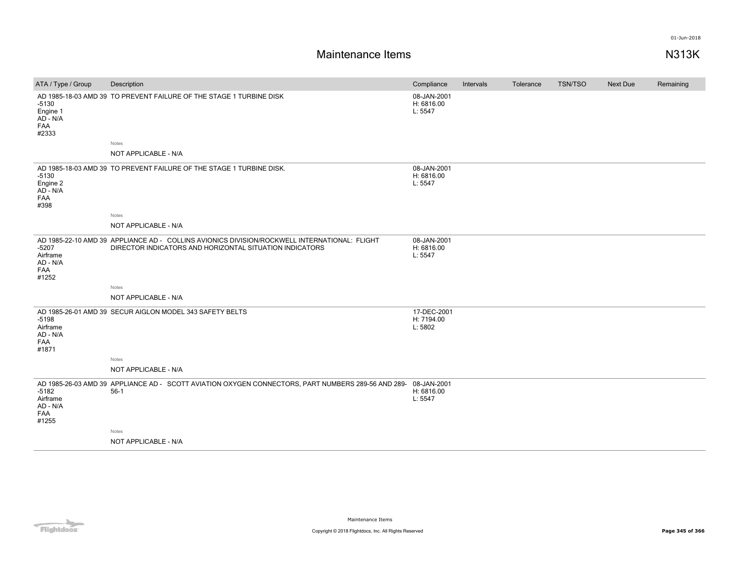# **Maintenance Items N313K**

| ATA / Type / Group                                     | Description                                                                                                                                             | Compliance                           | <b>Intervals</b> | Tolerance | <b>TSN/TSO</b> | Next Due | Remaining |
|--------------------------------------------------------|---------------------------------------------------------------------------------------------------------------------------------------------------------|--------------------------------------|------------------|-----------|----------------|----------|-----------|
| $-5130$<br>Engine 1<br>AD - N/A<br>FAA<br>#2333        | AD 1985-18-03 AMD 39 TO PREVENT FAILURE OF THE STAGE 1 TURBINE DISK                                                                                     | 08-JAN-2001<br>H: 6816.00<br>L: 5547 |                  |           |                |          |           |
|                                                        | Notes                                                                                                                                                   |                                      |                  |           |                |          |           |
|                                                        | NOT APPLICABLE - N/A                                                                                                                                    |                                      |                  |           |                |          |           |
| $-5130$<br>Engine 2<br>$AD - N/A$<br>FAA<br>#398       | AD 1985-18-03 AMD 39 TO PREVENT FAILURE OF THE STAGE 1 TURBINE DISK.                                                                                    | 08-JAN-2001<br>H: 6816.00<br>L: 5547 |                  |           |                |          |           |
|                                                        | Notes                                                                                                                                                   |                                      |                  |           |                |          |           |
|                                                        | NOT APPLICABLE - N/A                                                                                                                                    |                                      |                  |           |                |          |           |
| $-5207$<br>Airframe<br>AD - N/A<br><b>FAA</b><br>#1252 | AD 1985-22-10 AMD 39 APPLIANCE AD - COLLINS AVIONICS DIVISION/ROCKWELL INTERNATIONAL: FLIGHT<br>DIRECTOR INDICATORS AND HORIZONTAL SITUATION INDICATORS | 08-JAN-2001<br>H: 6816.00<br>L: 5547 |                  |           |                |          |           |
|                                                        | Notes                                                                                                                                                   |                                      |                  |           |                |          |           |
|                                                        | NOT APPLICABLE - N/A                                                                                                                                    |                                      |                  |           |                |          |           |
| $-5198$<br>Airframe<br>AD - N/A<br>FAA<br>#1871        | AD 1985-26-01 AMD 39 SECUR AIGLON MODEL 343 SAFETY BELTS                                                                                                | 17-DEC-2001<br>H: 7194.00<br>L: 5802 |                  |           |                |          |           |
|                                                        | Notes                                                                                                                                                   |                                      |                  |           |                |          |           |
|                                                        | NOT APPLICABLE - N/A                                                                                                                                    |                                      |                  |           |                |          |           |
| $-5182$<br>Airframe<br>AD - N/A<br>FAA<br>#1255        | AD 1985-26-03 AMD 39 APPLIANCE AD - SCOTT AVIATION OXYGEN CONNECTORS, PART NUMBERS 289-56 AND 289-08-JAN-2001<br>$56-1$                                 | H: 6816.00<br>L: 5547                |                  |           |                |          |           |
|                                                        | Notes                                                                                                                                                   |                                      |                  |           |                |          |           |
|                                                        | NOT APPLICABLE - N/A                                                                                                                                    |                                      |                  |           |                |          |           |

Flightdocs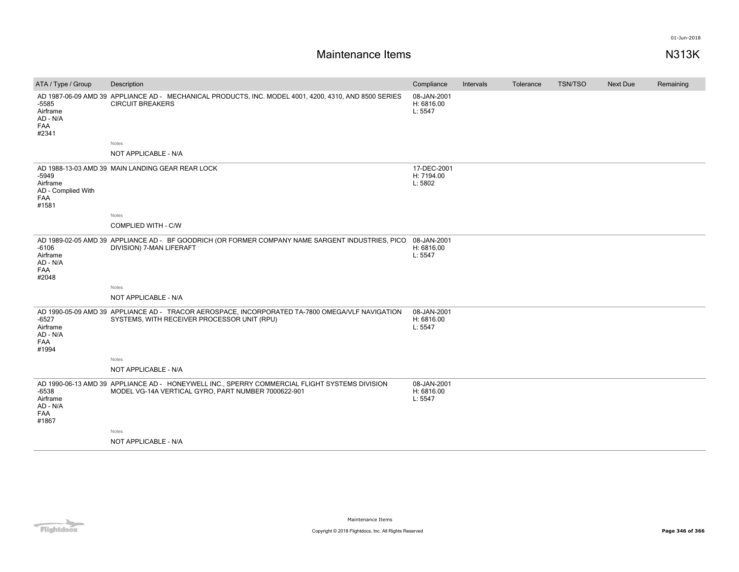| ATA / Type / Group                                               | Description                                                                                                                                          | Compliance                           | Intervals | Tolerance | <b>TSN/TSO</b> | <b>Next Due</b> | Remaining |
|------------------------------------------------------------------|------------------------------------------------------------------------------------------------------------------------------------------------------|--------------------------------------|-----------|-----------|----------------|-----------------|-----------|
| -5585<br>Airframe<br>AD - N/A<br>FAA<br>#2341                    | AD 1987-06-09 AMD 39 APPLIANCE AD - MECHANICAL PRODUCTS, INC. MODEL 4001, 4200, 4310, AND 8500 SERIES<br><b>CIRCUIT BREAKERS</b>                     | 08-JAN-2001<br>H: 6816.00<br>L: 5547 |           |           |                |                 |           |
|                                                                  | Notes                                                                                                                                                |                                      |           |           |                |                 |           |
|                                                                  | NOT APPLICABLE - N/A                                                                                                                                 |                                      |           |           |                |                 |           |
| $-5949$<br>Airframe<br>AD - Complied With<br><b>FAA</b><br>#1581 | AD 1988-13-03 AMD 39 MAIN LANDING GEAR REAR LOCK                                                                                                     | 17-DEC-2001<br>H: 7194.00<br>L: 5802 |           |           |                |                 |           |
|                                                                  | <b>Notes</b>                                                                                                                                         |                                      |           |           |                |                 |           |
|                                                                  | <b>COMPLIED WITH - C/W</b>                                                                                                                           |                                      |           |           |                |                 |           |
| $-6106$<br>Airframe<br>AD - N/A<br>FAA<br>#2048                  | AD 1989-02-05 AMD 39 APPLIANCE AD - BF GOODRICH (OR FORMER COMPANY NAME SARGENT INDUSTRIES, PICO<br>DIVISION) 7-MAN LIFERAFT                         | 08-JAN-2001<br>H: 6816.00<br>L: 5547 |           |           |                |                 |           |
|                                                                  | Notes                                                                                                                                                |                                      |           |           |                |                 |           |
|                                                                  | NOT APPLICABLE - N/A                                                                                                                                 |                                      |           |           |                |                 |           |
| $-6527$<br>Airframe<br>AD - N/A<br>FAA<br>#1994                  | AD 1990-05-09 AMD 39 APPLIANCE AD - TRACOR AEROSPACE, INCORPORATED TA-7800 OMEGA/VLF NAVIGATION<br>SYSTEMS, WITH RECEIVER PROCESSOR UNIT (RPU)       | 08-JAN-2001<br>H: 6816.00<br>L: 5547 |           |           |                |                 |           |
|                                                                  | <b>Notes</b>                                                                                                                                         |                                      |           |           |                |                 |           |
|                                                                  | NOT APPLICABLE - N/A                                                                                                                                 |                                      |           |           |                |                 |           |
| $-6538$<br>Airframe<br>AD - N/A<br>FAA<br>#1867                  | AD 1990-06-13 AMD 39 APPLIANCE AD - HONEYWELL INC., SPERRY COMMERCIAL FLIGHT SYSTEMS DIVISION<br>MODEL VG-14A VERTICAL GYRO, PART NUMBER 7000622-901 | 08-JAN-2001<br>H: 6816.00<br>L: 5547 |           |           |                |                 |           |
|                                                                  | Notes                                                                                                                                                |                                      |           |           |                |                 |           |
|                                                                  | NOT APPLICABLE - N/A                                                                                                                                 |                                      |           |           |                |                 |           |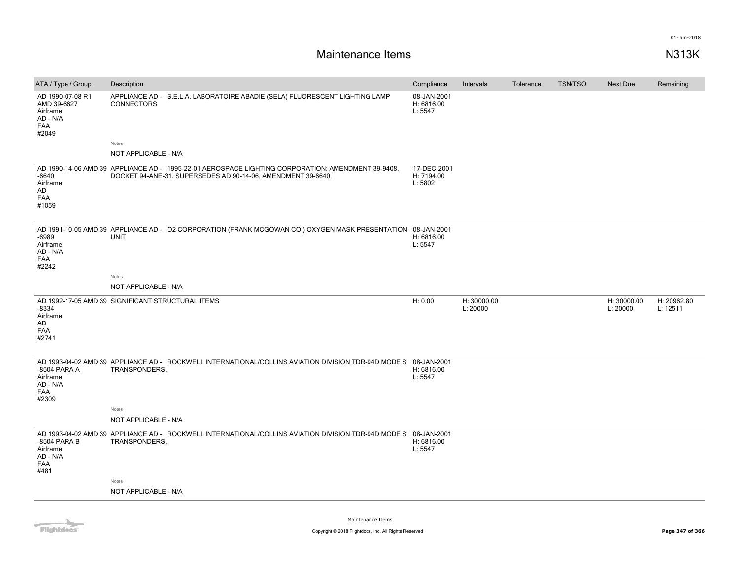# **Maintenance Items N313K**

| ATA / Type / Group                                                      | Description                                                                                                                                                       | Compliance                           | Intervals               | Tolerance | <b>TSN/TSO</b> | <b>Next Due</b>         | Remaining               |
|-------------------------------------------------------------------------|-------------------------------------------------------------------------------------------------------------------------------------------------------------------|--------------------------------------|-------------------------|-----------|----------------|-------------------------|-------------------------|
| AD 1990-07-08 R1<br>AMD 39-6627<br>Airframe<br>AD - N/A<br>FAA<br>#2049 | APPLIANCE AD - S.E.L.A. LABORATOIRE ABADIE (SELA) FLUORESCENT LIGHTING LAMP<br><b>CONNECTORS</b>                                                                  | 08-JAN-2001<br>H: 6816.00<br>L: 5547 |                         |           |                |                         |                         |
|                                                                         | Notes                                                                                                                                                             |                                      |                         |           |                |                         |                         |
|                                                                         | NOT APPLICABLE - N/A                                                                                                                                              |                                      |                         |           |                |                         |                         |
| $-6640$<br>Airframe<br>AD<br><b>FAA</b><br>#1059                        | AD 1990-14-06 AMD 39 APPLIANCE AD - 1995-22-01 AEROSPACE LIGHTING CORPORATION: AMENDMENT 39-9408.<br>DOCKET 94-ANE-31. SUPERSEDES AD 90-14-06, AMENDMENT 39-6640. | 17-DEC-2001<br>H: 7194.00<br>L: 5802 |                         |           |                |                         |                         |
| $-6989$<br>Airframe<br>AD - N/A<br>FAA<br>#2242                         | AD 1991-10-05 AMD 39 APPLIANCE AD - O2 CORPORATION (FRANK MCGOWAN CO.) OXYGEN MASK PRESENTATION 08-JAN-2001<br><b>UNIT</b>                                        | H: 6816.00<br>L: 5547                |                         |           |                |                         |                         |
|                                                                         | Notes                                                                                                                                                             |                                      |                         |           |                |                         |                         |
|                                                                         | NOT APPLICABLE - N/A                                                                                                                                              |                                      |                         |           |                |                         |                         |
|                                                                         |                                                                                                                                                                   |                                      |                         |           |                |                         |                         |
| $-8334$<br>Airframe<br>AD<br>FAA<br>#2741                               | AD 1992-17-05 AMD 39 SIGNIFICANT STRUCTURAL ITEMS                                                                                                                 | H: 0.00                              | H: 30000.00<br>L: 20000 |           |                | H: 30000.00<br>L: 20000 | H: 20962.80<br>L: 12511 |
| -8504 PARA A<br>Airframe<br>AD - N/A<br>FAA<br>#2309                    | AD 1993-04-02 AMD 39 APPLIANCE AD - ROCKWELL INTERNATIONAL/COLLINS AVIATION DIVISION TDR-94D MODE S 08-JAN-2001<br>TRANSPONDERS,<br>Notes                         | H: 6816.00<br>L: 5547                |                         |           |                |                         |                         |
|                                                                         | NOT APPLICABLE - N/A                                                                                                                                              |                                      |                         |           |                |                         |                         |
| -8504 PARA B<br>Airframe<br>AD - N/A<br>FAA<br>#481                     | AD 1993-04-02 AMD 39 APPLIANCE AD - ROCKWELL INTERNATIONAL/COLLINS AVIATION DIVISION TDR-94D MODE S 08-JAN-2001<br>TRANSPONDERS,.                                 | H: 6816.00<br>L: 5547                |                         |           |                |                         |                         |
|                                                                         | Notes                                                                                                                                                             |                                      |                         |           |                |                         |                         |
|                                                                         | NOT APPLICABLE - N/A                                                                                                                                              |                                      |                         |           |                |                         |                         |

Flightdocs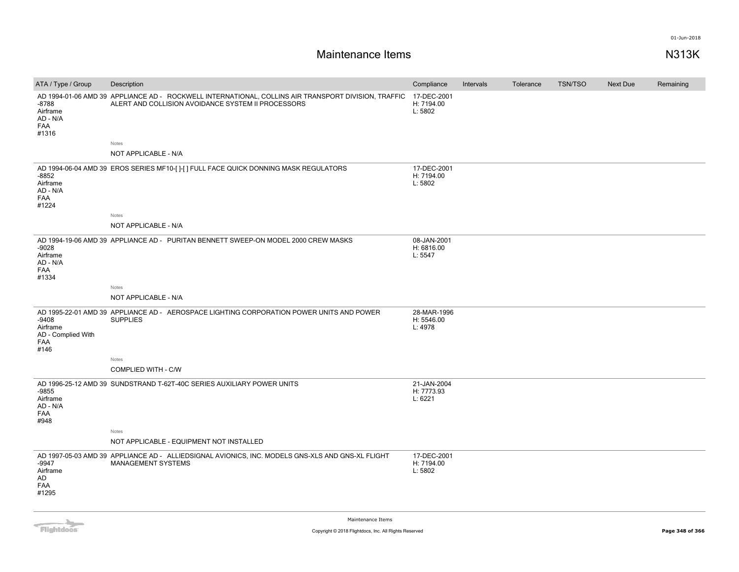# **Maintenance Items N313K**

| ATA / Type / Group                                            | Description                                                                                                                                               | Compliance                           | Intervals | Tolerance | <b>TSN/TSO</b> | <b>Next Due</b> | Remaining |
|---------------------------------------------------------------|-----------------------------------------------------------------------------------------------------------------------------------------------------------|--------------------------------------|-----------|-----------|----------------|-----------------|-----------|
| -8788<br>Airframe<br>AD - N/A<br>FAA<br>#1316                 | AD 1994-01-06 AMD 39 APPLIANCE AD - ROCKWELL INTERNATIONAL, COLLINS AIR TRANSPORT DIVISION, TRAFFIC<br>ALERT AND COLLISION AVOIDANCE SYSTEM II PROCESSORS | 17-DEC-2001<br>H: 7194.00<br>L: 5802 |           |           |                |                 |           |
|                                                               | Notes                                                                                                                                                     |                                      |           |           |                |                 |           |
|                                                               | NOT APPLICABLE - N/A                                                                                                                                      |                                      |           |           |                |                 |           |
| $-8852$<br>Airframe<br>AD - N/A<br>FAA<br>#1224               | AD 1994-06-04 AMD 39 EROS SERIES MF10-[]-[] FULL FACE QUICK DONNING MASK REGULATORS                                                                       | 17-DEC-2001<br>H: 7194.00<br>L: 5802 |           |           |                |                 |           |
|                                                               | Notes                                                                                                                                                     |                                      |           |           |                |                 |           |
|                                                               | NOT APPLICABLE - N/A                                                                                                                                      |                                      |           |           |                |                 |           |
| $-9028$<br>Airframe<br>AD - N/A<br>FAA<br>#1334               | AD 1994-19-06 AMD 39 APPLIANCE AD - PURITAN BENNETT SWEEP-ON MODEL 2000 CREW MASKS                                                                        | 08-JAN-2001<br>H: 6816.00<br>L: 5547 |           |           |                |                 |           |
|                                                               | Notes                                                                                                                                                     |                                      |           |           |                |                 |           |
|                                                               | NOT APPLICABLE - N/A                                                                                                                                      |                                      |           |           |                |                 |           |
| -9408<br>Airframe<br>AD - Complied With<br><b>FAA</b><br>#146 | AD 1995-22-01 AMD 39 APPLIANCE AD - AEROSPACE LIGHTING CORPORATION POWER UNITS AND POWER<br><b>SUPPLIES</b>                                               | 28-MAR-1996<br>H: 5546.00<br>L: 4978 |           |           |                |                 |           |
|                                                               | Notes                                                                                                                                                     |                                      |           |           |                |                 |           |
|                                                               | <b>COMPLIED WITH - C/W</b>                                                                                                                                |                                      |           |           |                |                 |           |
| $-9855$<br>Airframe<br>AD - N/A<br>FAA<br>#948                | AD 1996-25-12 AMD 39 SUNDSTRAND T-62T-40C SERIES AUXILIARY POWER UNITS                                                                                    | 21-JAN-2004<br>H: 7773.93<br>L: 6221 |           |           |                |                 |           |
|                                                               | Notes                                                                                                                                                     |                                      |           |           |                |                 |           |
|                                                               | NOT APPLICABLE - EQUIPMENT NOT INSTALLED                                                                                                                  |                                      |           |           |                |                 |           |
| $-9947$<br>Airframe<br>AD<br>FAA<br>#1295                     | AD 1997-05-03 AMD 39 APPLIANCE AD - ALLIEDSIGNAL AVIONICS, INC. MODELS GNS-XLS AND GNS-XL FLIGHT<br>MANAGEMENT SYSTEMS                                    | 17-DEC-2001<br>H: 7194.00<br>L: 5802 |           |           |                |                 |           |

Flightdocs

Maintenance Items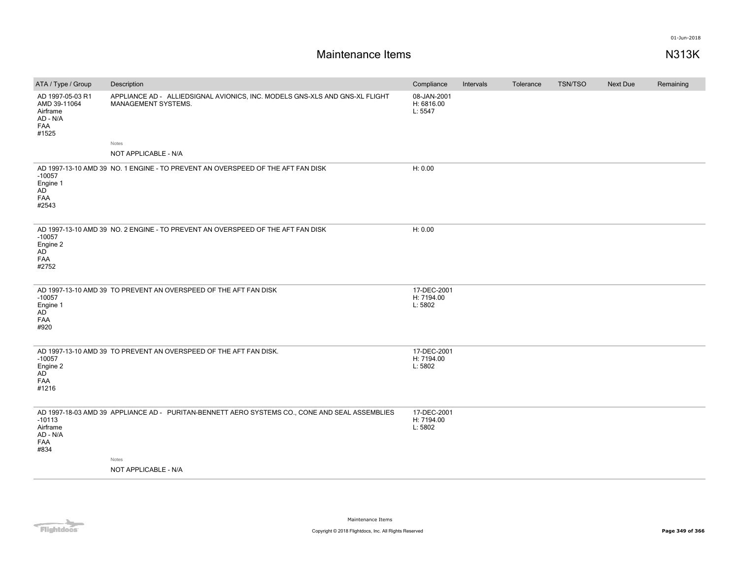| ATA / Type / Group                                                       | Description                                                                                                                     | Compliance                           | Intervals | Tolerance | TSN/TSO | <b>Next Due</b> | Remaining |
|--------------------------------------------------------------------------|---------------------------------------------------------------------------------------------------------------------------------|--------------------------------------|-----------|-----------|---------|-----------------|-----------|
| AD 1997-05-03 R1<br>AMD 39-11064<br>Airframe<br>AD - N/A<br>FAA<br>#1525 | APPLIANCE AD - ALLIEDSIGNAL AVIONICS, INC. MODELS GNS-XLS AND GNS-XL FLIGHT<br><b>MANAGEMENT SYSTEMS.</b>                       | 08-JAN-2001<br>H: 6816.00<br>L: 5547 |           |           |         |                 |           |
|                                                                          | Notes                                                                                                                           |                                      |           |           |         |                 |           |
|                                                                          | NOT APPLICABLE - N/A                                                                                                            |                                      |           |           |         |                 |           |
| $-10057$<br>Engine 1<br>AD<br>FAA<br>#2543                               | AD 1997-13-10 AMD 39 NO. 1 ENGINE - TO PREVENT AN OVERSPEED OF THE AFT FAN DISK                                                 | H: 0.00                              |           |           |         |                 |           |
| $-10057$<br>Engine 2<br>AD<br>FAA<br>#2752                               | AD 1997-13-10 AMD 39 NO. 2 ENGINE - TO PREVENT AN OVERSPEED OF THE AFT FAN DISK                                                 | H: 0.00                              |           |           |         |                 |           |
| $-10057$<br>Engine 1<br>AD <sup>-</sup><br>FAA<br>#920                   | AD 1997-13-10 AMD 39 TO PREVENT AN OVERSPEED OF THE AFT FAN DISK                                                                | 17-DEC-2001<br>H: 7194.00<br>L: 5802 |           |           |         |                 |           |
| $-10057$<br>Engine 2<br>AD<br>FAA<br>#1216                               | AD 1997-13-10 AMD 39 TO PREVENT AN OVERSPEED OF THE AFT FAN DISK.                                                               | 17-DEC-2001<br>H: 7194.00<br>L: 5802 |           |           |         |                 |           |
| $-10113$<br>Airframe<br>AD - N/A<br>FAA<br>#834                          | AD 1997-18-03 AMD 39 APPLIANCE AD - PURITAN-BENNETT AERO SYSTEMS CO., CONE AND SEAL ASSEMBLIES<br>Notes<br>NOT APPLICABLE - N/A | 17-DEC-2001<br>H: 7194.00<br>L: 5802 |           |           |         |                 |           |

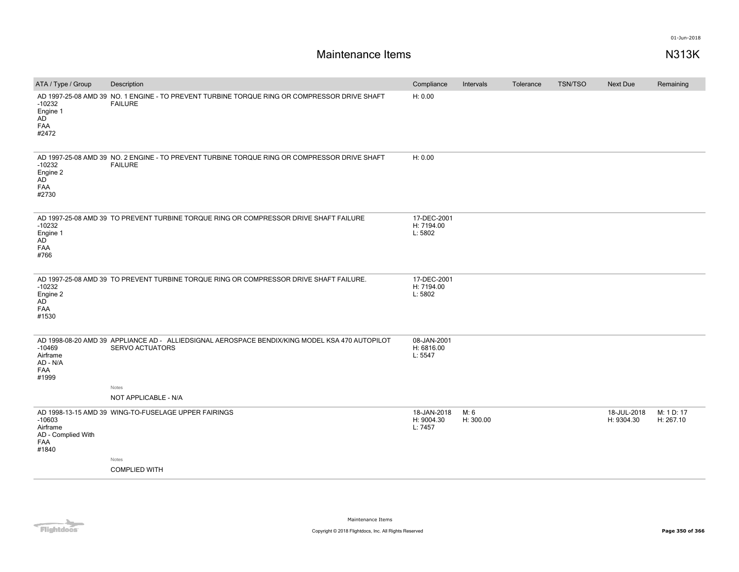| ATA / Type / Group                                                | Description                                                                                                                                               | Compliance                           | Intervals         | Tolerance | <b>TSN/TSO</b> | Next Due                  | Remaining               |
|-------------------------------------------------------------------|-----------------------------------------------------------------------------------------------------------------------------------------------------------|--------------------------------------|-------------------|-----------|----------------|---------------------------|-------------------------|
| $-10232$<br>Engine 1<br>AD<br>FAA<br>#2472                        | AD 1997-25-08 AMD 39 NO. 1 ENGINE - TO PREVENT TURBINE TORQUE RING OR COMPRESSOR DRIVE SHAFT<br><b>FAILURE</b>                                            | H: 0.00                              |                   |           |                |                           |                         |
| $-10232$<br>Engine 2<br>AD<br>FAA<br>#2730                        | AD 1997-25-08 AMD 39 NO. 2 ENGINE - TO PREVENT TURBINE TORQUE RING OR COMPRESSOR DRIVE SHAFT<br><b>FAILURE</b>                                            | H: 0.00                              |                   |           |                |                           |                         |
| $-10232$<br>Engine 1<br>AD <sup></sup><br><b>FAA</b><br>#766      | AD 1997-25-08 AMD 39 TO PREVENT TURBINE TORQUE RING OR COMPRESSOR DRIVE SHAFT FAILURE                                                                     | 17-DEC-2001<br>H: 7194.00<br>L: 5802 |                   |           |                |                           |                         |
| $-10232$<br>Engine 2<br>AD<br>FAA<br>#1530                        | AD 1997-25-08 AMD 39 TO PREVENT TURBINE TORQUE RING OR COMPRESSOR DRIVE SHAFT FAILURE.                                                                    | 17-DEC-2001<br>H: 7194.00<br>L: 5802 |                   |           |                |                           |                         |
| $-10469$<br>Airframe<br>AD - N/A<br>FAA<br>#1999                  | AD 1998-08-20 AMD 39 APPLIANCE AD - ALLIEDSIGNAL AEROSPACE BENDIX/KING MODEL KSA 470 AUTOPILOT<br><b>SERVO ACTUATORS</b><br>Notes<br>NOT APPLICABLE - N/A | 08-JAN-2001<br>H: 6816.00<br>L: 5547 |                   |           |                |                           |                         |
| $-10603$<br>Airframe<br>AD - Complied With<br><b>FAA</b><br>#1840 | AD 1998-13-15 AMD 39 WING-TO-FUSELAGE UPPER FAIRINGS<br>Notes<br><b>COMPLIED WITH</b>                                                                     | 18-JAN-2018<br>H: 9004.30<br>L: 7457 | M: 6<br>H: 300.00 |           |                | 18-JUL-2018<br>H: 9304.30 | M: 1 D: 17<br>H: 267.10 |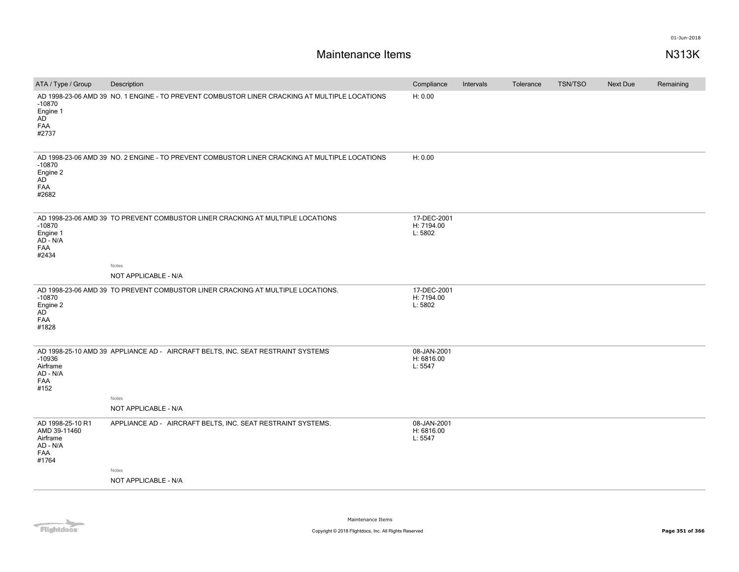| ATA / Type / Group                                                       | Description                                                                                   | Compliance                           | Intervals | Tolerance | <b>TSN/TSO</b> | Next Due | Remaining |
|--------------------------------------------------------------------------|-----------------------------------------------------------------------------------------------|--------------------------------------|-----------|-----------|----------------|----------|-----------|
| $-10870$<br>Engine 1<br>AD<br>FAA<br>#2737                               | AD 1998-23-06 AMD 39 NO. 1 ENGINE - TO PREVENT COMBUSTOR LINER CRACKING AT MULTIPLE LOCATIONS | H: 0.00                              |           |           |                |          |           |
| $-10870$<br>Engine 2<br>AD<br>FAA<br>#2682                               | AD 1998-23-06 AMD 39 NO. 2 ENGINE - TO PREVENT COMBUSTOR LINER CRACKING AT MULTIPLE LOCATIONS | H: 0.00                              |           |           |                |          |           |
| $-10870$<br>Engine 1<br>AD - N/A<br><b>FAA</b><br>#2434                  | AD 1998-23-06 AMD 39 TO PREVENT COMBUSTOR LINER CRACKING AT MULTIPLE LOCATIONS<br>Notes       | 17-DEC-2001<br>H: 7194.00<br>L: 5802 |           |           |                |          |           |
|                                                                          | NOT APPLICABLE - N/A                                                                          |                                      |           |           |                |          |           |
| $-10870$<br>Engine 2<br>AD<br>FAA<br>#1828                               | AD 1998-23-06 AMD 39 TO PREVENT COMBUSTOR LINER CRACKING AT MULTIPLE LOCATIONS.               | 17-DEC-2001<br>H: 7194.00<br>L: 5802 |           |           |                |          |           |
| $-10936$<br>Airframe<br>AD - N/A<br>FAA<br>#152                          | AD 1998-25-10 AMD 39 APPLIANCE AD - AIRCRAFT BELTS, INC. SEAT RESTRAINT SYSTEMS<br>Notes      | 08-JAN-2001<br>H: 6816.00<br>L: 5547 |           |           |                |          |           |
|                                                                          | NOT APPLICABLE - N/A                                                                          |                                      |           |           |                |          |           |
| AD 1998-25-10 R1<br>AMD 39-11460<br>Airframe<br>AD - N/A<br>FAA<br>#1764 | APPLIANCE AD - AIRCRAFT BELTS, INC. SEAT RESTRAINT SYSTEMS.                                   | 08-JAN-2001<br>H: 6816.00<br>L: 5547 |           |           |                |          |           |
|                                                                          | Notes<br>NOT APPLICABLE - N/A                                                                 |                                      |           |           |                |          |           |
|                                                                          |                                                                                               |                                      |           |           |                |          |           |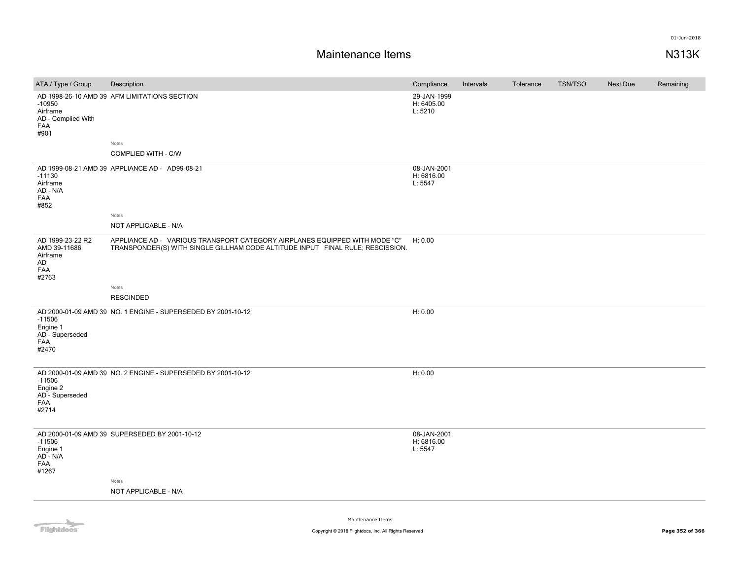| ATA / Type / Group                                                        | Description                                                                                                                                                  | Compliance                           | Intervals | Tolerance | TSN/TSO | Next Due | Remaining |
|---------------------------------------------------------------------------|--------------------------------------------------------------------------------------------------------------------------------------------------------------|--------------------------------------|-----------|-----------|---------|----------|-----------|
| $-10950$<br>Airframe<br>AD - Complied With<br>FAA<br>#901                 | AD 1998-26-10 AMD 39 AFM LIMITATIONS SECTION                                                                                                                 | 29-JAN-1999<br>H: 6405.00<br>L: 5210 |           |           |         |          |           |
|                                                                           | Notes                                                                                                                                                        |                                      |           |           |         |          |           |
|                                                                           | COMPLIED WITH - C/W                                                                                                                                          |                                      |           |           |         |          |           |
| $-11130$<br>Airframe<br>AD - N/A<br>FAA<br>#852                           | AD 1999-08-21 AMD 39 APPLIANCE AD - AD99-08-21                                                                                                               | 08-JAN-2001<br>H: 6816.00<br>L: 5547 |           |           |         |          |           |
|                                                                           | Notes                                                                                                                                                        |                                      |           |           |         |          |           |
|                                                                           | NOT APPLICABLE - N/A                                                                                                                                         |                                      |           |           |         |          |           |
| AD 1999-23-22 R2<br>AMD 39-11686<br>Airframe<br>AD<br><b>FAA</b><br>#2763 | APPLIANCE AD - VARIOUS TRANSPORT CATEGORY AIRPLANES EQUIPPED WITH MODE "C"<br>TRANSPONDER(S) WITH SINGLE GILLHAM CODE ALTITUDE INPUT FINAL RULE; RESCISSION. | H: 0.00                              |           |           |         |          |           |
|                                                                           |                                                                                                                                                              |                                      |           |           |         |          |           |
|                                                                           | Notes<br><b>RESCINDED</b>                                                                                                                                    |                                      |           |           |         |          |           |
|                                                                           |                                                                                                                                                              |                                      |           |           |         |          |           |
| $-11506$<br>Engine 1<br>AD - Superseded<br>FAA<br>#2470                   | AD 2000-01-09 AMD 39 NO. 1 ENGINE - SUPERSEDED BY 2001-10-12                                                                                                 | H: 0.00                              |           |           |         |          |           |
| $-11506$<br>Engine 2<br>AD - Superseded<br>FAA<br>#2714                   | AD 2000-01-09 AMD 39 NO. 2 ENGINE - SUPERSEDED BY 2001-10-12                                                                                                 | H: 0.00                              |           |           |         |          |           |
| $-11506$<br>Engine 1<br>AD - N/A<br>FAA<br>#1267                          | AD 2000-01-09 AMD 39 SUPERSEDED BY 2001-10-12                                                                                                                | 08-JAN-2001<br>H: 6816.00<br>L: 5547 |           |           |         |          |           |
|                                                                           | Notes                                                                                                                                                        |                                      |           |           |         |          |           |
|                                                                           | NOT APPLICABLE - N/A                                                                                                                                         |                                      |           |           |         |          |           |
|                                                                           |                                                                                                                                                              |                                      |           |           |         |          |           |

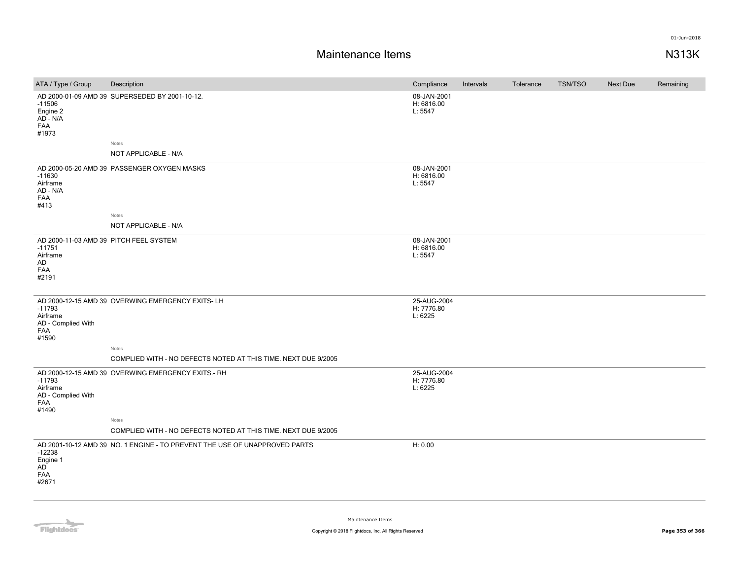| ATA / Type / Group                                                                   | Description                                                                | Compliance                           | Intervals | Tolerance | <b>TSN/TSO</b> | Next Due | Remaining |
|--------------------------------------------------------------------------------------|----------------------------------------------------------------------------|--------------------------------------|-----------|-----------|----------------|----------|-----------|
| $-11506$<br>Engine 2<br>AD - N/A<br>FAA<br>#1973                                     | AD 2000-01-09 AMD 39 SUPERSEDED BY 2001-10-12.                             | 08-JAN-2001<br>H: 6816.00<br>L: 5547 |           |           |                |          |           |
|                                                                                      | Notes                                                                      |                                      |           |           |                |          |           |
|                                                                                      | NOT APPLICABLE - N/A                                                       |                                      |           |           |                |          |           |
| $-11630$<br>Airframe<br>AD - N/A<br>FAA<br>#413                                      | AD 2000-05-20 AMD 39 PASSENGER OXYGEN MASKS                                | 08-JAN-2001<br>H: 6816.00<br>L: 5547 |           |           |                |          |           |
|                                                                                      | Notes                                                                      |                                      |           |           |                |          |           |
|                                                                                      | NOT APPLICABLE - N/A                                                       |                                      |           |           |                |          |           |
| AD 2000-11-03 AMD 39 PITCH FEEL SYSTEM<br>$-11751$<br>Airframe<br>AD<br>FAA<br>#2191 |                                                                            | 08-JAN-2001<br>H: 6816.00<br>L: 5547 |           |           |                |          |           |
| $-11793$<br>Airframe<br>AD - Complied With<br>FAA<br>#1590                           | AD 2000-12-15 AMD 39 OVERWING EMERGENCY EXITS-LH<br>Notes                  | 25-AUG-2004<br>H: 7776.80<br>L: 6225 |           |           |                |          |           |
|                                                                                      | COMPLIED WITH - NO DEFECTS NOTED AT THIS TIME. NEXT DUE 9/2005             |                                      |           |           |                |          |           |
| $-11793$<br>Airframe<br>AD - Complied With<br>FAA<br>#1490                           | AD 2000-12-15 AMD 39 OVERWING EMERGENCY EXITS.- RH                         | 25-AUG-2004<br>H: 7776.80<br>L: 6225 |           |           |                |          |           |
|                                                                                      | Notes<br>COMPLIED WITH - NO DEFECTS NOTED AT THIS TIME. NEXT DUE 9/2005    |                                      |           |           |                |          |           |
|                                                                                      |                                                                            |                                      |           |           |                |          |           |
| $-12238$<br>Engine 1<br><b>AD</b><br>FAA<br>#2671                                    | AD 2001-10-12 AMD 39 NO. 1 ENGINE - TO PREVENT THE USE OF UNAPPROVED PARTS | H: 0.00                              |           |           |                |          |           |

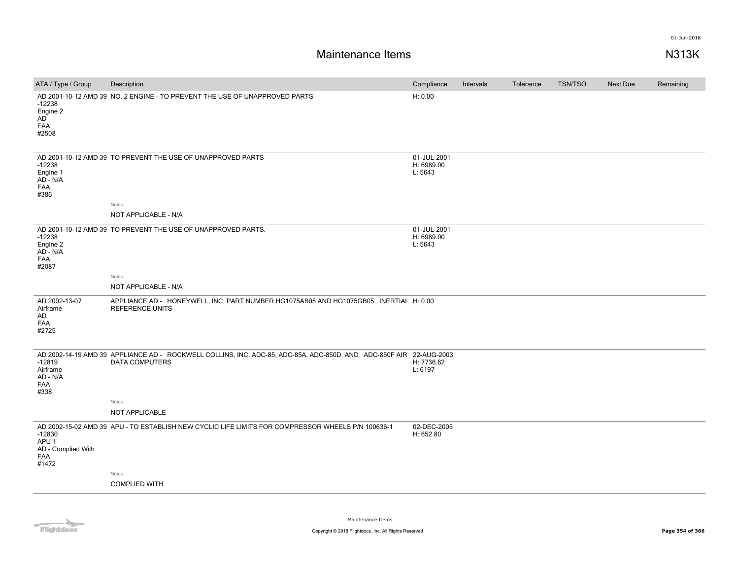## **Maintenance Items N313K**

| H: 0.00<br>AD 2001-10-12 AMD 39 NO. 2 ENGINE - TO PREVENT THE USE OF UNAPPROVED PARTS<br>$-12238$<br>Engine 2<br>AD<br>FAA<br>#2508<br>AD 2001-10-12 AMD 39 TO PREVENT THE USE OF UNAPPROVED PARTS<br>01-JUL-2001<br>H: 6989.00<br>$-12238$<br>L: 5643<br>Engine 1<br>AD - N/A<br>FAA<br>#386<br>Notes<br>NOT APPLICABLE - N/A<br>AD 2001-10-12 AMD 39 TO PREVENT THE USE OF UNAPPROVED PARTS.<br>01-JUL-2001<br>$-12238$<br>H: 6989.00<br>L: 5643<br>Engine 2<br>AD - N/A<br>FAA<br>#2087<br>Notes<br>NOT APPLICABLE - N/A<br>AD 2002-13-07<br>APPLIANCE AD - HONEYWELL, INC. PART NUMBER HG1075AB05 AND HG1075GB05 INERTIAL H: 0.00<br>Airframe<br><b>REFERENCE UNITS</b><br>AD<br>FAA<br>#2725<br>AD 2002-14-19 AMD 39 APPLIANCE AD - ROCKWELL COLLINS, INC. ADC-85, ADC-85A, ADC-850D, AND ADC-850F AIR 22-AUG-2003<br>$-12819$<br><b>DATA COMPUTERS</b><br>H: 7736.62<br>L: 6197<br>Airframe<br>AD - N/A<br><b>FAA</b><br>#338<br>Notes<br>NOT APPLICABLE<br>02-DEC-2005<br>AD 2002-15-02 AMD 39 APU - TO ESTABLISH NEW CYCLIC LIFE LIMITS FOR COMPRESSOR WHEELS P/N 100636-1<br>$-12830$<br>H: 652.80<br>APU <sub>1</sub><br>AD - Complied With<br>FAA | ATA / Type / Group | Description | Compliance | Intervals | Tolerance | <b>TSN/TSO</b> | Next Due | Remaining |
|--------------------------------------------------------------------------------------------------------------------------------------------------------------------------------------------------------------------------------------------------------------------------------------------------------------------------------------------------------------------------------------------------------------------------------------------------------------------------------------------------------------------------------------------------------------------------------------------------------------------------------------------------------------------------------------------------------------------------------------------------------------------------------------------------------------------------------------------------------------------------------------------------------------------------------------------------------------------------------------------------------------------------------------------------------------------------------------------------------------------------------------------------------------|--------------------|-------------|------------|-----------|-----------|----------------|----------|-----------|
|                                                                                                                                                                                                                                                                                                                                                                                                                                                                                                                                                                                                                                                                                                                                                                                                                                                                                                                                                                                                                                                                                                                                                              |                    |             |            |           |           |                |          |           |
|                                                                                                                                                                                                                                                                                                                                                                                                                                                                                                                                                                                                                                                                                                                                                                                                                                                                                                                                                                                                                                                                                                                                                              |                    |             |            |           |           |                |          |           |
|                                                                                                                                                                                                                                                                                                                                                                                                                                                                                                                                                                                                                                                                                                                                                                                                                                                                                                                                                                                                                                                                                                                                                              |                    |             |            |           |           |                |          |           |
|                                                                                                                                                                                                                                                                                                                                                                                                                                                                                                                                                                                                                                                                                                                                                                                                                                                                                                                                                                                                                                                                                                                                                              |                    |             |            |           |           |                |          |           |
|                                                                                                                                                                                                                                                                                                                                                                                                                                                                                                                                                                                                                                                                                                                                                                                                                                                                                                                                                                                                                                                                                                                                                              |                    |             |            |           |           |                |          |           |
|                                                                                                                                                                                                                                                                                                                                                                                                                                                                                                                                                                                                                                                                                                                                                                                                                                                                                                                                                                                                                                                                                                                                                              |                    |             |            |           |           |                |          |           |
|                                                                                                                                                                                                                                                                                                                                                                                                                                                                                                                                                                                                                                                                                                                                                                                                                                                                                                                                                                                                                                                                                                                                                              |                    |             |            |           |           |                |          |           |
|                                                                                                                                                                                                                                                                                                                                                                                                                                                                                                                                                                                                                                                                                                                                                                                                                                                                                                                                                                                                                                                                                                                                                              |                    |             |            |           |           |                |          |           |
|                                                                                                                                                                                                                                                                                                                                                                                                                                                                                                                                                                                                                                                                                                                                                                                                                                                                                                                                                                                                                                                                                                                                                              |                    |             |            |           |           |                |          |           |
|                                                                                                                                                                                                                                                                                                                                                                                                                                                                                                                                                                                                                                                                                                                                                                                                                                                                                                                                                                                                                                                                                                                                                              |                    |             |            |           |           |                |          |           |
|                                                                                                                                                                                                                                                                                                                                                                                                                                                                                                                                                                                                                                                                                                                                                                                                                                                                                                                                                                                                                                                                                                                                                              | #1472              |             |            |           |           |                |          |           |
| Notes                                                                                                                                                                                                                                                                                                                                                                                                                                                                                                                                                                                                                                                                                                                                                                                                                                                                                                                                                                                                                                                                                                                                                        |                    |             |            |           |           |                |          |           |
| <b>COMPLIED WITH</b>                                                                                                                                                                                                                                                                                                                                                                                                                                                                                                                                                                                                                                                                                                                                                                                                                                                                                                                                                                                                                                                                                                                                         |                    |             |            |           |           |                |          |           |

Flightdocs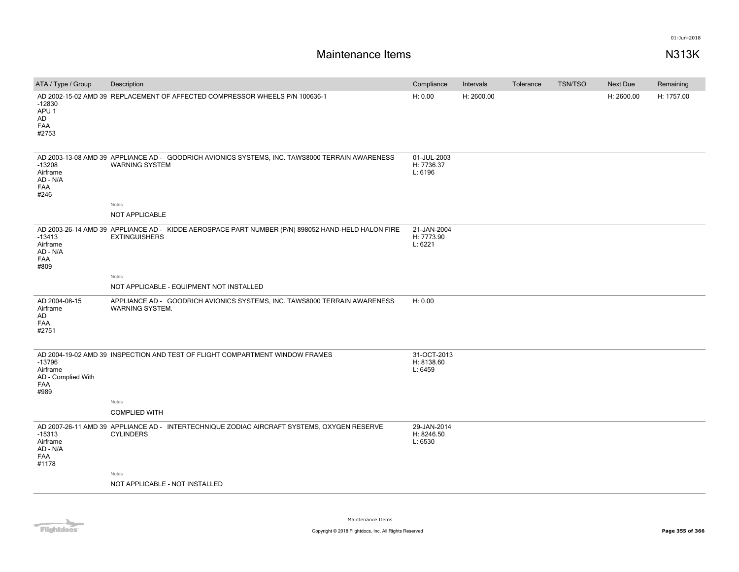# **Maintenance Items N313K**

| ATA / Type / Group                                        | Description                                                                                                                      | Compliance                           | Intervals  | Tolerance | <b>TSN/TSO</b> | Next Due   | Remaining  |
|-----------------------------------------------------------|----------------------------------------------------------------------------------------------------------------------------------|--------------------------------------|------------|-----------|----------------|------------|------------|
| $-12830$<br>APU <sub>1</sub><br>AD<br><b>FAA</b><br>#2753 | AD 2002-15-02 AMD 39 REPLACEMENT OF AFFECTED COMPRESSOR WHEELS P/N 100636-1                                                      | H: 0.00                              | H: 2600.00 |           |                | H: 2600.00 | H: 1757.00 |
| $-13208$<br>Airframe<br>AD - N/A<br>FAA<br>#246           | AD 2003-13-08 AMD 39 APPLIANCE AD - GOODRICH AVIONICS SYSTEMS, INC. TAWS8000 TERRAIN AWARENESS<br><b>WARNING SYSTEM</b><br>Notes | 01-JUL-2003<br>H: 7736.37<br>L: 6196 |            |           |                |            |            |
|                                                           | NOT APPLICABLE                                                                                                                   |                                      |            |           |                |            |            |
| $-13413$<br>Airframe<br>AD - N/A<br>FAA<br>#809           | AD 2003-26-14 AMD 39 APPLIANCE AD - KIDDE AEROSPACE PART NUMBER (P/N) 898052 HAND-HELD HALON FIRE<br><b>EXTINGUISHERS</b>        | 21-JAN-2004<br>H: 7773.90<br>L: 6221 |            |           |                |            |            |
|                                                           | Notes                                                                                                                            |                                      |            |           |                |            |            |
|                                                           | NOT APPLICABLE - EQUIPMENT NOT INSTALLED                                                                                         |                                      |            |           |                |            |            |
| AD 2004-08-15<br>Airframe<br>AD<br>FAA<br>#2751           | APPLIANCE AD - GOODRICH AVIONICS SYSTEMS, INC. TAWS8000 TERRAIN AWARENESS<br>WARNING SYSTEM.                                     | H: 0.00                              |            |           |                |            |            |
| $-13796$<br>Airframe<br>AD - Complied With<br>FAA<br>#989 | AD 2004-19-02 AMD 39 INSPECTION AND TEST OF FLIGHT COMPARTMENT WINDOW FRAMES<br>Notes                                            | 31-OCT-2013<br>H: 8138.60<br>L: 6459 |            |           |                |            |            |
|                                                           | <b>COMPLIED WITH</b>                                                                                                             |                                      |            |           |                |            |            |
| $-15313$<br>Airframe<br>AD - N/A<br><b>FAA</b><br>#1178   | AD 2007-26-11 AMD 39 APPLIANCE AD - INTERTECHNIQUE ZODIAC AIRCRAFT SYSTEMS, OXYGEN RESERVE<br><b>CYLINDERS</b>                   | 29-JAN-2014<br>H: 8246.50<br>L: 6530 |            |           |                |            |            |
|                                                           | Notes                                                                                                                            |                                      |            |           |                |            |            |
|                                                           | NOT APPLICABLE - NOT INSTALLED                                                                                                   |                                      |            |           |                |            |            |
|                                                           |                                                                                                                                  |                                      |            |           |                |            |            |

Flightdocs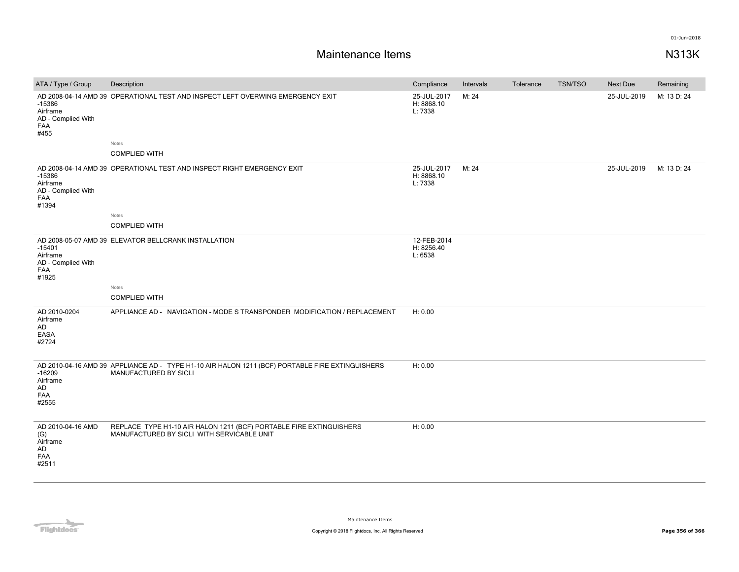| ATA / Type / Group                                                | Description                                                                                                              | Compliance                           | Intervals | Tolerance | <b>TSN/TSO</b> | Next Due    | Remaining   |
|-------------------------------------------------------------------|--------------------------------------------------------------------------------------------------------------------------|--------------------------------------|-----------|-----------|----------------|-------------|-------------|
| $-15386$<br>Airframe<br>AD - Complied With<br>FAA<br>#455         | AD 2008-04-14 AMD 39 OPERATIONAL TEST AND INSPECT LEFT OVERWING EMERGENCY EXIT                                           | 25-JUL-2017<br>H: 8868.10<br>L: 7338 | M: 24     |           |                | 25-JUL-2019 | M: 13 D: 24 |
|                                                                   | Notes                                                                                                                    |                                      |           |           |                |             |             |
|                                                                   | <b>COMPLIED WITH</b>                                                                                                     |                                      |           |           |                |             |             |
| $-15386$<br>Airframe<br>AD - Complied With<br><b>FAA</b><br>#1394 | AD 2008-04-14 AMD 39 OPERATIONAL TEST AND INSPECT RIGHT EMERGENCY EXIT                                                   | 25-JUL-2017<br>H: 8868.10<br>L: 7338 | M: 24     |           |                | 25-JUL-2019 | M: 13 D: 24 |
|                                                                   | Notes                                                                                                                    |                                      |           |           |                |             |             |
|                                                                   | <b>COMPLIED WITH</b>                                                                                                     |                                      |           |           |                |             |             |
| $-15401$<br>Airframe<br>AD - Complied With<br>FAA<br>#1925        | AD 2008-05-07 AMD 39 ELEVATOR BELLCRANK INSTALLATION                                                                     | 12-FEB-2014<br>H: 8256.40<br>L: 6538 |           |           |                |             |             |
|                                                                   | Notes                                                                                                                    |                                      |           |           |                |             |             |
|                                                                   | <b>COMPLIED WITH</b>                                                                                                     |                                      |           |           |                |             |             |
| AD 2010-0204<br>Airframe<br>AD<br>EASA<br>#2724                   | APPLIANCE AD - NAVIGATION - MODE S TRANSPONDER MODIFICATION / REPLACEMENT                                                | H: 0.00                              |           |           |                |             |             |
| $-16209$<br>Airframe<br>AD<br>FAA<br>#2555                        | AD 2010-04-16 AMD 39 APPLIANCE AD - TYPE H1-10 AIR HALON 1211 (BCF) PORTABLE FIRE EXTINGUISHERS<br>MANUFACTURED BY SICLI | H: 0.00                              |           |           |                |             |             |
| AD 2010-04-16 AMD<br>(G)<br>Airframe<br>AD<br>FAA<br>#2511        | REPLACE TYPE H1-10 AIR HALON 1211 (BCF) PORTABLE FIRE EXTINGUISHERS<br>MANUFACTURED BY SICLI WITH SERVICABLE UNIT        | H: 0.00                              |           |           |                |             |             |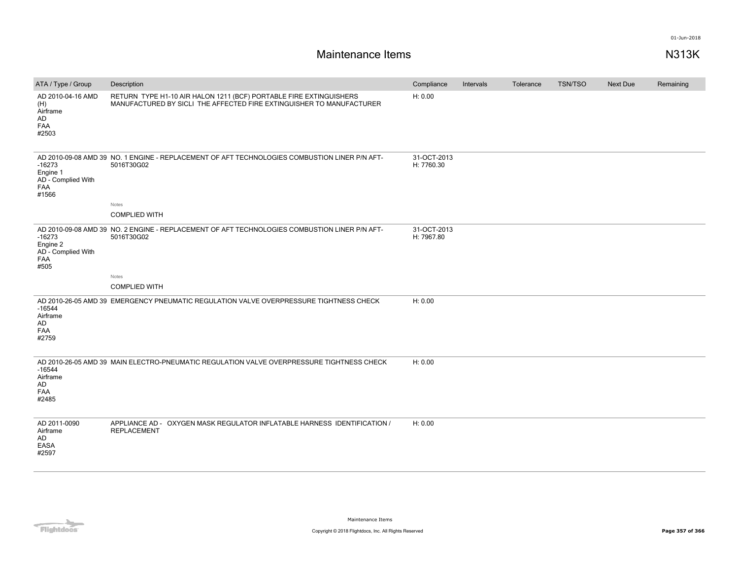| ATA / Type / Group                                                | Description                                                                                                                                | Compliance                | Intervals | Tolerance | TSN/TSO | <b>Next Due</b> | Remaining |
|-------------------------------------------------------------------|--------------------------------------------------------------------------------------------------------------------------------------------|---------------------------|-----------|-----------|---------|-----------------|-----------|
| AD 2010-04-16 AMD<br>(H)<br>Airframe<br>AD<br>FAA<br>#2503        | RETURN TYPE H1-10 AIR HALON 1211 (BCF) PORTABLE FIRE EXTINGUISHERS<br>MANUFACTURED BY SICLI THE AFFECTED FIRE EXTINGUISHER TO MANUFACTURER | H: 0.00                   |           |           |         |                 |           |
| $-16273$<br>Engine 1<br>AD - Complied With<br><b>FAA</b><br>#1566 | AD 2010-09-08 AMD 39 NO. 1 ENGINE - REPLACEMENT OF AFT TECHNOLOGIES COMBUSTION LINER P/N AFT-<br>5016T30G02                                | 31-OCT-2013<br>H: 7760.30 |           |           |         |                 |           |
|                                                                   | Notes                                                                                                                                      |                           |           |           |         |                 |           |
|                                                                   | <b>COMPLIED WITH</b>                                                                                                                       |                           |           |           |         |                 |           |
| $-16273$<br>Engine 2<br>AD - Complied With<br>FAA<br>#505         | AD 2010-09-08 AMD 39 NO. 2 ENGINE - REPLACEMENT OF AFT TECHNOLOGIES COMBUSTION LINER P/N AFT-<br>5016T30G02                                | 31-OCT-2013<br>H: 7967.80 |           |           |         |                 |           |
|                                                                   | Notes                                                                                                                                      |                           |           |           |         |                 |           |
|                                                                   | <b>COMPLIED WITH</b>                                                                                                                       |                           |           |           |         |                 |           |
| $-16544$<br>Airframe<br>AD<br>FAA<br>#2759                        | AD 2010-26-05 AMD 39 EMERGENCY PNEUMATIC REGULATION VALVE OVERPRESSURE TIGHTNESS CHECK                                                     | H: 0.00                   |           |           |         |                 |           |
| $-16544$<br>Airframe<br>AD<br>FAA<br>#2485                        | AD 2010-26-05 AMD 39 MAIN ELECTRO-PNEUMATIC REGULATION VALVE OVERPRESSURE TIGHTNESS CHECK                                                  | H: 0.00                   |           |           |         |                 |           |
| AD 2011-0090<br>Airframe<br>AD<br>EASA<br>#2597                   | APPLIANCE AD - OXYGEN MASK REGULATOR INFLATABLE HARNESS IDENTIFICATION /<br><b>REPLACEMENT</b>                                             | H: 0.00                   |           |           |         |                 |           |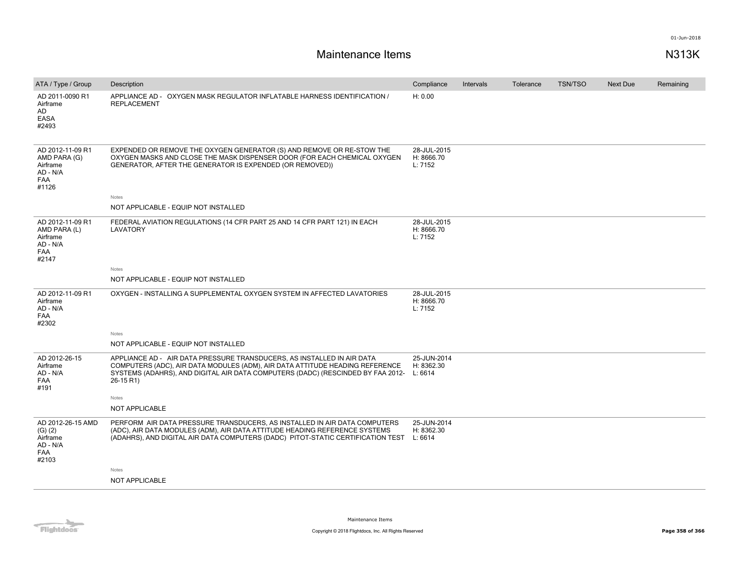| ATA / Type / Group                                                              | Description                                                                                                                                                                                                                                                    | Compliance                           | Intervals | Tolerance | <b>TSN/TSO</b> | <b>Next Due</b> | Remaining |
|---------------------------------------------------------------------------------|----------------------------------------------------------------------------------------------------------------------------------------------------------------------------------------------------------------------------------------------------------------|--------------------------------------|-----------|-----------|----------------|-----------------|-----------|
| AD 2011-0090 R1<br>Airframe<br>AD<br><b>EASA</b><br>#2493                       | APPLIANCE AD - OXYGEN MASK REGULATOR INFLATABLE HARNESS IDENTIFICATION /<br><b>REPLACEMENT</b>                                                                                                                                                                 | H: 0.00                              |           |           |                |                 |           |
| AD 2012-11-09 R1<br>AMD PARA (G)<br>Airframe<br>AD - N/A<br>FAA<br>#1126        | EXPENDED OR REMOVE THE OXYGEN GENERATOR (S) AND REMOVE OR RE-STOW THE<br>OXYGEN MASKS AND CLOSE THE MASK DISPENSER DOOR (FOR EACH CHEMICAL OXYGEN<br>GENERATOR, AFTER THE GENERATOR IS EXPENDED (OR REMOVED))                                                  | 28-JUL-2015<br>H: 8666.70<br>L: 7152 |           |           |                |                 |           |
|                                                                                 | Notes<br>NOT APPLICABLE - EQUIP NOT INSTALLED                                                                                                                                                                                                                  |                                      |           |           |                |                 |           |
|                                                                                 |                                                                                                                                                                                                                                                                |                                      |           |           |                |                 |           |
| AD 2012-11-09 R1<br>AMD PARA (L)<br>Airframe<br>AD - N/A<br><b>FAA</b><br>#2147 | FEDERAL AVIATION REGULATIONS (14 CFR PART 25 AND 14 CFR PART 121) IN EACH<br>LAVATORY                                                                                                                                                                          | 28-JUL-2015<br>H: 8666.70<br>L: 7152 |           |           |                |                 |           |
|                                                                                 | Notes                                                                                                                                                                                                                                                          |                                      |           |           |                |                 |           |
|                                                                                 | NOT APPLICABLE - EQUIP NOT INSTALLED                                                                                                                                                                                                                           |                                      |           |           |                |                 |           |
| AD 2012-11-09 R1<br>Airframe<br>AD - N/A<br><b>FAA</b><br>#2302                 | OXYGEN - INSTALLING A SUPPLEMENTAL OXYGEN SYSTEM IN AFFECTED LAVATORIES                                                                                                                                                                                        | 28-JUL-2015<br>H: 8666.70<br>L: 7152 |           |           |                |                 |           |
|                                                                                 | Notes                                                                                                                                                                                                                                                          |                                      |           |           |                |                 |           |
|                                                                                 | NOT APPLICABLE - EQUIP NOT INSTALLED                                                                                                                                                                                                                           |                                      |           |           |                |                 |           |
| AD 2012-26-15<br>Airframe<br>AD - N/A<br><b>FAA</b><br>#191                     | APPLIANCE AD - AIR DATA PRESSURE TRANSDUCERS, AS INSTALLED IN AIR DATA<br>COMPUTERS (ADC), AIR DATA MODULES (ADM), AIR DATA ATTITUDE HEADING REFERENCE<br>SYSTEMS (ADAHRS), AND DIGITAL AIR DATA COMPUTERS (DADC) (RESCINDED BY FAA 2012- L: 6614<br>26-15 R1) | 25-JUN-2014<br>H: 8362.30            |           |           |                |                 |           |
|                                                                                 | Notes                                                                                                                                                                                                                                                          |                                      |           |           |                |                 |           |
|                                                                                 | NOT APPLICABLE                                                                                                                                                                                                                                                 |                                      |           |           |                |                 |           |
| AD 2012-26-15 AMD<br>(G) (2)<br>Airframe<br>AD - N/A<br><b>FAA</b><br>#2103     | PERFORM AIR DATA PRESSURE TRANSDUCERS, AS INSTALLED IN AIR DATA COMPUTERS<br>(ADC), AIR DATA MODULES (ADM), AIR DATA ATTITUDE HEADING REFERENCE SYSTEMS<br>(ADAHRS), AND DIGITAL AIR DATA COMPUTERS (DADC) PITOT-STATIC CERTIFICATION TEST L: 6614             | 25-JUN-2014<br>H: 8362.30            |           |           |                |                 |           |
|                                                                                 | Notes                                                                                                                                                                                                                                                          |                                      |           |           |                |                 |           |
|                                                                                 | NOT APPLICABLE                                                                                                                                                                                                                                                 |                                      |           |           |                |                 |           |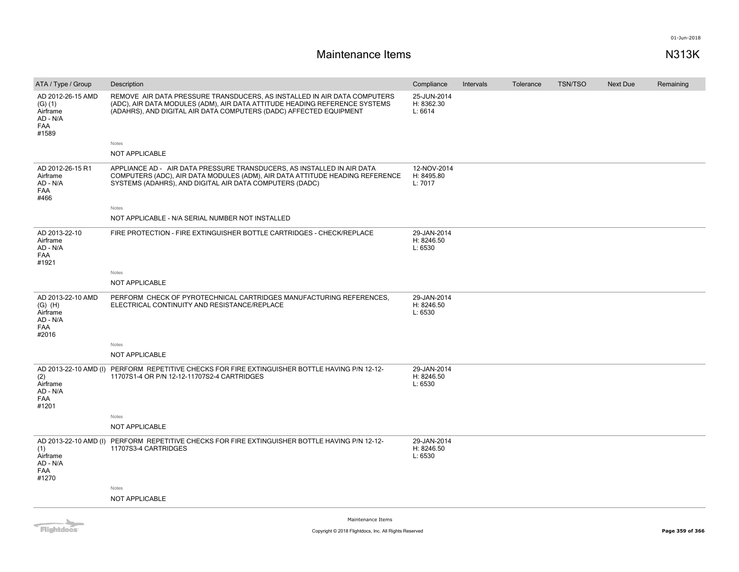| AD 2012-26-15 AMD<br>25-JUN-2014<br>REMOVE AIR DATA PRESSURE TRANSDUCERS, AS INSTALLED IN AIR DATA COMPUTERS<br>(ADC), AIR DATA MODULES (ADM), AIR DATA ATTITUDE HEADING REFERENCE SYSTEMS<br>H: 8362.30<br>(G) (1)<br>(ADAHRS), AND DIGITAL AIR DATA COMPUTERS (DADC) AFFECTED EQUIPMENT<br>L: 6614<br>Airframe<br>AD - N/A<br>FAA<br>#1589<br>Notes<br>NOT APPLICABLE<br>AD 2012-26-15 R1<br>APPLIANCE AD - AIR DATA PRESSURE TRANSDUCERS, AS INSTALLED IN AIR DATA<br>12-NOV-2014<br>COMPUTERS (ADC), AIR DATA MODULES (ADM), AIR DATA ATTITUDE HEADING REFERENCE<br>H: 8495.80<br>Airframe<br>AD - N/A<br>SYSTEMS (ADAHRS), AND DIGITAL AIR DATA COMPUTERS (DADC)<br>L: 7017<br>FAA<br>#466<br>Notes<br>NOT APPLICABLE - N/A SERIAL NUMBER NOT INSTALLED<br>AD 2013-22-10<br>FIRE PROTECTION - FIRE EXTINGUISHER BOTTLE CARTRIDGES - CHECK/REPLACE<br>29-JAN-2014<br>H: 8246.50<br>Airframe<br>L: 6530<br>AD - N/A<br><b>FAA</b><br>#1921<br><b>Notes</b><br>NOT APPLICABLE<br>AD 2013-22-10 AMD<br>PERFORM CHECK OF PYROTECHNICAL CARTRIDGES MANUFACTURING REFERENCES,<br>29-JAN-2014<br>H: 8246.50<br>$(G)$ $(H)$<br>ELECTRICAL CONTINUITY AND RESISTANCE/REPLACE<br>L: 6530<br>Airframe<br>AD - N/A<br>FAA<br>#2016<br>Notes<br>NOT APPLICABLE<br>AD 2013-22-10 AMD (I) PERFORM REPETITIVE CHECKS FOR FIRE EXTINGUISHER BOTTLE HAVING P/N 12-12-<br>29-JAN-2014<br>11707S1-4 OR P/N 12-12-11707S2-4 CARTRIDGES<br>H: 8246.50<br>(2)<br>L: 6530<br>Airframe<br>AD - N/A<br>FAA<br>#1201<br>Notes<br><b>NOT APPLICABLE</b><br>AD 2013-22-10 AMD (I)<br>PERFORM REPETITIVE CHECKS FOR FIRE EXTINGUISHER BOTTLE HAVING P/N 12-12-<br>29-JAN-2014<br>H: 8246.50<br>11707S3-4 CARTRIDGES<br>(1)<br>L: 6530<br>Airframe<br>AD - N/A<br>FAA<br>#1270<br>Notes<br><b>NOT APPLICABLE</b> | ATA / Type / Group | Description | Compliance | Intervals | Tolerance | <b>TSN/TSO</b> | <b>Next Due</b> | Remaining |
|---------------------------------------------------------------------------------------------------------------------------------------------------------------------------------------------------------------------------------------------------------------------------------------------------------------------------------------------------------------------------------------------------------------------------------------------------------------------------------------------------------------------------------------------------------------------------------------------------------------------------------------------------------------------------------------------------------------------------------------------------------------------------------------------------------------------------------------------------------------------------------------------------------------------------------------------------------------------------------------------------------------------------------------------------------------------------------------------------------------------------------------------------------------------------------------------------------------------------------------------------------------------------------------------------------------------------------------------------------------------------------------------------------------------------------------------------------------------------------------------------------------------------------------------------------------------------------------------------------------------------------------------------------------------------------------------------------------------------------------------------------------------------------------|--------------------|-------------|------------|-----------|-----------|----------------|-----------------|-----------|
|                                                                                                                                                                                                                                                                                                                                                                                                                                                                                                                                                                                                                                                                                                                                                                                                                                                                                                                                                                                                                                                                                                                                                                                                                                                                                                                                                                                                                                                                                                                                                                                                                                                                                                                                                                                       |                    |             |            |           |           |                |                 |           |
|                                                                                                                                                                                                                                                                                                                                                                                                                                                                                                                                                                                                                                                                                                                                                                                                                                                                                                                                                                                                                                                                                                                                                                                                                                                                                                                                                                                                                                                                                                                                                                                                                                                                                                                                                                                       |                    |             |            |           |           |                |                 |           |
|                                                                                                                                                                                                                                                                                                                                                                                                                                                                                                                                                                                                                                                                                                                                                                                                                                                                                                                                                                                                                                                                                                                                                                                                                                                                                                                                                                                                                                                                                                                                                                                                                                                                                                                                                                                       |                    |             |            |           |           |                |                 |           |
|                                                                                                                                                                                                                                                                                                                                                                                                                                                                                                                                                                                                                                                                                                                                                                                                                                                                                                                                                                                                                                                                                                                                                                                                                                                                                                                                                                                                                                                                                                                                                                                                                                                                                                                                                                                       |                    |             |            |           |           |                |                 |           |
|                                                                                                                                                                                                                                                                                                                                                                                                                                                                                                                                                                                                                                                                                                                                                                                                                                                                                                                                                                                                                                                                                                                                                                                                                                                                                                                                                                                                                                                                                                                                                                                                                                                                                                                                                                                       |                    |             |            |           |           |                |                 |           |
|                                                                                                                                                                                                                                                                                                                                                                                                                                                                                                                                                                                                                                                                                                                                                                                                                                                                                                                                                                                                                                                                                                                                                                                                                                                                                                                                                                                                                                                                                                                                                                                                                                                                                                                                                                                       |                    |             |            |           |           |                |                 |           |
|                                                                                                                                                                                                                                                                                                                                                                                                                                                                                                                                                                                                                                                                                                                                                                                                                                                                                                                                                                                                                                                                                                                                                                                                                                                                                                                                                                                                                                                                                                                                                                                                                                                                                                                                                                                       |                    |             |            |           |           |                |                 |           |
|                                                                                                                                                                                                                                                                                                                                                                                                                                                                                                                                                                                                                                                                                                                                                                                                                                                                                                                                                                                                                                                                                                                                                                                                                                                                                                                                                                                                                                                                                                                                                                                                                                                                                                                                                                                       |                    |             |            |           |           |                |                 |           |
|                                                                                                                                                                                                                                                                                                                                                                                                                                                                                                                                                                                                                                                                                                                                                                                                                                                                                                                                                                                                                                                                                                                                                                                                                                                                                                                                                                                                                                                                                                                                                                                                                                                                                                                                                                                       |                    |             |            |           |           |                |                 |           |
|                                                                                                                                                                                                                                                                                                                                                                                                                                                                                                                                                                                                                                                                                                                                                                                                                                                                                                                                                                                                                                                                                                                                                                                                                                                                                                                                                                                                                                                                                                                                                                                                                                                                                                                                                                                       |                    |             |            |           |           |                |                 |           |
|                                                                                                                                                                                                                                                                                                                                                                                                                                                                                                                                                                                                                                                                                                                                                                                                                                                                                                                                                                                                                                                                                                                                                                                                                                                                                                                                                                                                                                                                                                                                                                                                                                                                                                                                                                                       |                    |             |            |           |           |                |                 |           |
|                                                                                                                                                                                                                                                                                                                                                                                                                                                                                                                                                                                                                                                                                                                                                                                                                                                                                                                                                                                                                                                                                                                                                                                                                                                                                                                                                                                                                                                                                                                                                                                                                                                                                                                                                                                       |                    |             |            |           |           |                |                 |           |
|                                                                                                                                                                                                                                                                                                                                                                                                                                                                                                                                                                                                                                                                                                                                                                                                                                                                                                                                                                                                                                                                                                                                                                                                                                                                                                                                                                                                                                                                                                                                                                                                                                                                                                                                                                                       |                    |             |            |           |           |                |                 |           |
|                                                                                                                                                                                                                                                                                                                                                                                                                                                                                                                                                                                                                                                                                                                                                                                                                                                                                                                                                                                                                                                                                                                                                                                                                                                                                                                                                                                                                                                                                                                                                                                                                                                                                                                                                                                       |                    |             |            |           |           |                |                 |           |
|                                                                                                                                                                                                                                                                                                                                                                                                                                                                                                                                                                                                                                                                                                                                                                                                                                                                                                                                                                                                                                                                                                                                                                                                                                                                                                                                                                                                                                                                                                                                                                                                                                                                                                                                                                                       |                    |             |            |           |           |                |                 |           |
|                                                                                                                                                                                                                                                                                                                                                                                                                                                                                                                                                                                                                                                                                                                                                                                                                                                                                                                                                                                                                                                                                                                                                                                                                                                                                                                                                                                                                                                                                                                                                                                                                                                                                                                                                                                       |                    |             |            |           |           |                |                 |           |
|                                                                                                                                                                                                                                                                                                                                                                                                                                                                                                                                                                                                                                                                                                                                                                                                                                                                                                                                                                                                                                                                                                                                                                                                                                                                                                                                                                                                                                                                                                                                                                                                                                                                                                                                                                                       |                    |             |            |           |           |                |                 |           |
|                                                                                                                                                                                                                                                                                                                                                                                                                                                                                                                                                                                                                                                                                                                                                                                                                                                                                                                                                                                                                                                                                                                                                                                                                                                                                                                                                                                                                                                                                                                                                                                                                                                                                                                                                                                       |                    |             |            |           |           |                |                 |           |

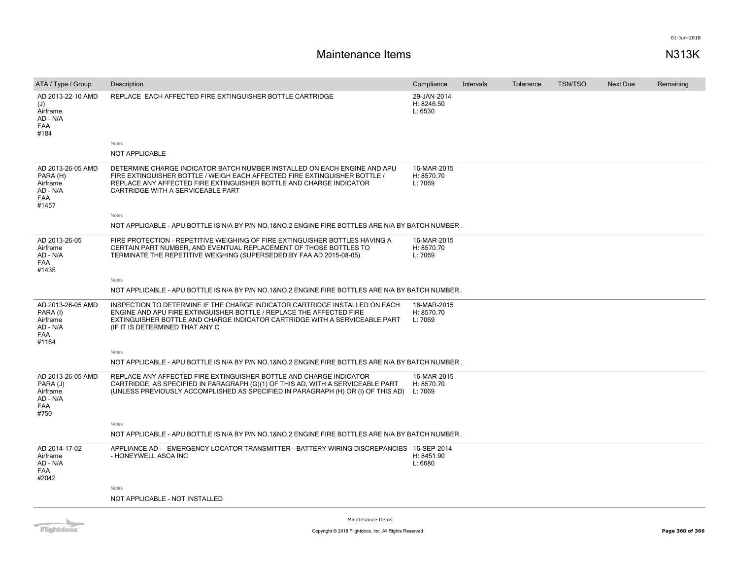# **Maintenance Items N313K**

| ATA / Type / Group                                                           | Description                                                                                                                                                                                                                                                         | Compliance                           | Intervals | Tolerance | <b>TSN/TSO</b> | <b>Next Due</b> | Remaining |
|------------------------------------------------------------------------------|---------------------------------------------------------------------------------------------------------------------------------------------------------------------------------------------------------------------------------------------------------------------|--------------------------------------|-----------|-----------|----------------|-----------------|-----------|
| AD 2013-22-10 AMD<br>(J)<br>Airframe<br>AD - N/A<br><b>FAA</b><br>#184       | REPLACE EACH AFFECTED FIRE EXTINGUISHER BOTTLE CARTRIDGE                                                                                                                                                                                                            | 29-JAN-2014<br>H: 8246.50<br>L: 6530 |           |           |                |                 |           |
|                                                                              | Notes                                                                                                                                                                                                                                                               |                                      |           |           |                |                 |           |
|                                                                              | <b>NOT APPLICABLE</b>                                                                                                                                                                                                                                               |                                      |           |           |                |                 |           |
| AD 2013-26-05 AMD<br>PARA (H)<br>Airframe<br>AD - N/A<br><b>FAA</b><br>#1457 | DETERMINE CHARGE INDICATOR BATCH NUMBER INSTALLED ON EACH ENGINE AND APU<br>FIRE EXTINGUISHER BOTTLE / WEIGH EACH AFFECTED FIRE EXTINGUISHER BOTTLE /<br>REPLACE ANY AFFECTED FIRE EXTINGUISHER BOTTLE AND CHARGE INDICATOR<br>CARTRIDGE WITH A SERVICEABLE PART    | 16-MAR-2015<br>H: 8570.70<br>L: 7069 |           |           |                |                 |           |
|                                                                              | Notes                                                                                                                                                                                                                                                               |                                      |           |           |                |                 |           |
|                                                                              | NOT APPLICABLE - APU BOTTLE IS N/A BY P/N NO.1&NO.2 ENGINE FIRE BOTTLES ARE N/A BY BATCH NUMBER.                                                                                                                                                                    |                                      |           |           |                |                 |           |
| AD 2013-26-05<br>Airframe<br>AD - N/A<br><b>FAA</b><br>#1435                 | FIRE PROTECTION - REPETITIVE WEIGHING OF FIRE EXTINGUISHER BOTTLES HAVING A<br>CERTAIN PART NUMBER, AND EVENTUAL REPLACEMENT OF THOSE BOTTLES TO<br>TERMINATE THE REPETITIVE WEIGHING (SUPERSEDED BY FAA AD 2015-08-05)                                             | 16-MAR-2015<br>H: 8570.70<br>L: 7069 |           |           |                |                 |           |
|                                                                              | Notes                                                                                                                                                                                                                                                               |                                      |           |           |                |                 |           |
|                                                                              | NOT APPLICABLE - APU BOTTLE IS N/A BY P/N NO.1&NO.2 ENGINE FIRE BOTTLES ARE N/A BY BATCH NUMBER.                                                                                                                                                                    |                                      |           |           |                |                 |           |
| AD 2013-26-05 AMD<br>PARA (I)<br>Airframe<br>AD - N/A<br><b>FAA</b><br>#1164 | INSPECTION TO DETERMINE IF THE CHARGE INDICATOR CARTRIDGE INSTALLED ON EACH<br>ENGINE AND APU FIRE EXTINGUISHER BOTTLE / REPLACE THE AFFECTED FIRE<br>EXTINGUISHER BOTTLE AND CHARGE INDICATOR CARTRIDGE WITH A SERVICEABLE PART<br>(IF IT IS DETERMINED THAT ANY C | 16-MAR-2015<br>H: 8570.70<br>L: 7069 |           |           |                |                 |           |
|                                                                              | Notes                                                                                                                                                                                                                                                               |                                      |           |           |                |                 |           |
|                                                                              | NOT APPLICABLE - APU BOTTLE IS N/A BY P/N NO.1&NO.2 ENGINE FIRE BOTTLES ARE N/A BY BATCH NUMBER.                                                                                                                                                                    |                                      |           |           |                |                 |           |
| AD 2013-26-05 AMD<br>PARA (J)<br>Airframe<br>AD - N/A<br><b>FAA</b><br>#750  | REPLACE ANY AFFECTED FIRE EXTINGUISHER BOTTLE AND CHARGE INDICATOR<br>CARTRIDGE, AS SPECIFIED IN PARAGRAPH (G)(1) OF THIS AD, WITH A SERVICEABLE PART<br>(UNLESS PREVIOUSLY ACCOMPLISHED AS SPECIFIED IN PARAGRAPH (H) OR (I) OF THIS AD)                           | 16-MAR-2015<br>H: 8570.70<br>L: 7069 |           |           |                |                 |           |
|                                                                              | Notes                                                                                                                                                                                                                                                               |                                      |           |           |                |                 |           |
|                                                                              | NOT APPLICABLE - APU BOTTLE IS N/A BY P/N NO.1&NO.2 ENGINE FIRE BOTTLES ARE N/A BY BATCH NUMBER.                                                                                                                                                                    |                                      |           |           |                |                 |           |
| AD 2014-17-02<br>Airframe<br>AD - N/A<br><b>FAA</b><br>#2042                 | APPLIANCE AD - EMERGENCY LOCATOR TRANSMITTER - BATTERY WIRING DISCREPANCIES 16-SEP-2014<br>- HONEYWELL ASCA INC                                                                                                                                                     | H: 8451.90<br>L: 6680                |           |           |                |                 |           |
|                                                                              | Notes                                                                                                                                                                                                                                                               |                                      |           |           |                |                 |           |
|                                                                              | NOT APPLICABLE - NOT INSTALLED                                                                                                                                                                                                                                      |                                      |           |           |                |                 |           |



Maintenance Items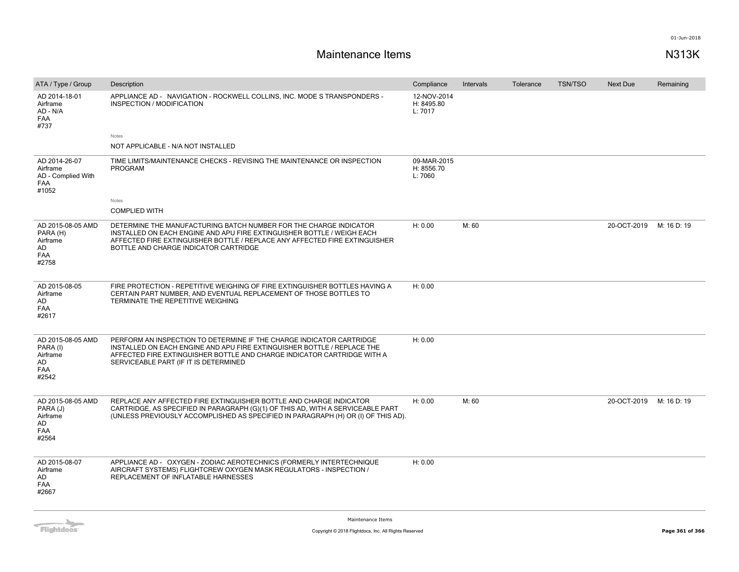# **Maintenance Items N313K**

| ATA / Type / Group                                                     | Description                                                                                                                                                                                                                                                         | Compliance                           | Intervals | Tolerance | <b>TSN/TSO</b> | <b>Next Due</b> | Remaining   |
|------------------------------------------------------------------------|---------------------------------------------------------------------------------------------------------------------------------------------------------------------------------------------------------------------------------------------------------------------|--------------------------------------|-----------|-----------|----------------|-----------------|-------------|
| AD 2014-18-01<br>Airframe<br>AD - N/A<br><b>FAA</b><br>#737            | APPLIANCE AD - NAVIGATION - ROCKWELL COLLINS, INC. MODE S TRANSPONDERS -<br>INSPECTION / MODIFICATION                                                                                                                                                               | 12-NOV-2014<br>H: 8495.80<br>L: 7017 |           |           |                |                 |             |
|                                                                        | Notes                                                                                                                                                                                                                                                               |                                      |           |           |                |                 |             |
|                                                                        | NOT APPLICABLE - N/A NOT INSTALLED                                                                                                                                                                                                                                  |                                      |           |           |                |                 |             |
| AD 2014-26-07<br>Airframe<br>AD - Complied With<br><b>FAA</b><br>#1052 | TIME LIMITS/MAINTENANCE CHECKS - REVISING THE MAINTENANCE OR INSPECTION<br>PROGRAM                                                                                                                                                                                  | 09-MAR-2015<br>H: 8556.70<br>L: 7060 |           |           |                |                 |             |
|                                                                        | Notes                                                                                                                                                                                                                                                               |                                      |           |           |                |                 |             |
|                                                                        | <b>COMPLIED WITH</b>                                                                                                                                                                                                                                                |                                      |           |           |                |                 |             |
| AD 2015-08-05 AMD<br>PARA (H)<br>Airframe<br>AD<br><b>FAA</b><br>#2758 | DETERMINE THE MANUFACTURING BATCH NUMBER FOR THE CHARGE INDICATOR<br>INSTALLED ON EACH ENGINE AND APU FIRE EXTINGUISHER BOTTLE / WEIGH EACH<br>AFFECTED FIRE EXTINGUISHER BOTTLE / REPLACE ANY AFFECTED FIRE EXTINGUISHER<br>BOTTLE AND CHARGE INDICATOR CARTRIDGE  | H: 0.00                              | M: 60     |           |                | 20-OCT-2019     | M: 16 D: 19 |
| AD 2015-08-05<br>Airframe<br>AD<br>FAA<br>#2617                        | FIRE PROTECTION - REPETITIVE WEIGHING OF FIRE EXTINGUISHER BOTTLES HAVING A<br>CERTAIN PART NUMBER, AND EVENTUAL REPLACEMENT OF THOSE BOTTLES TO<br>TERMINATE THE REPETITIVE WEIGHING                                                                               | H: 0.00                              |           |           |                |                 |             |
| AD 2015-08-05 AMD<br>PARA (I)<br>Airframe<br>AD<br>FAA<br>#2542        | PERFORM AN INSPECTION TO DETERMINE IF THE CHARGE INDICATOR CARTRIDGE<br>INSTALLED ON EACH ENGINE AND APU FIRE EXTINGUISHER BOTTLE / REPLACE THE<br>AFFECTED FIRE EXTINGUISHER BOTTLE AND CHARGE INDICATOR CARTRIDGE WITH A<br>SERVICEABLE PART (IF IT IS DETERMINED | H: 0.00                              |           |           |                |                 |             |
| AD 2015-08-05 AMD<br>PARA (J)<br>Airframe<br>AD<br>FAA<br>#2564        | REPLACE ANY AFFECTED FIRE EXTINGUISHER BOTTLE AND CHARGE INDICATOR<br>CARTRIDGE, AS SPECIFIED IN PARAGRAPH (G)(1) OF THIS AD, WITH A SERVICEABLE PART<br>(UNLESS PREVIOUSLY ACCOMPLISHED AS SPECIFIED IN PARAGRAPH (H) OR (I) OF THIS AD).                          | H: 0.00                              | M: 60     |           |                | 20-OCT-2019     | M: 16 D: 19 |
| AD 2015-08-07<br>Airframe<br>AD<br>FAA<br>#2667                        | APPLIANCE AD - OXYGEN - ZODIAC AEROTECHNICS (FORMERLY INTERTECHNIQUE<br>AIRCRAFT SYSTEMS) FLIGHTCREW OXYGEN MASK REGULATORS - INSPECTION /<br>REPLACEMENT OF INFLATABLE HARNESSES                                                                                   | H: 0.00                              |           |           |                |                 |             |

**Flightdocs**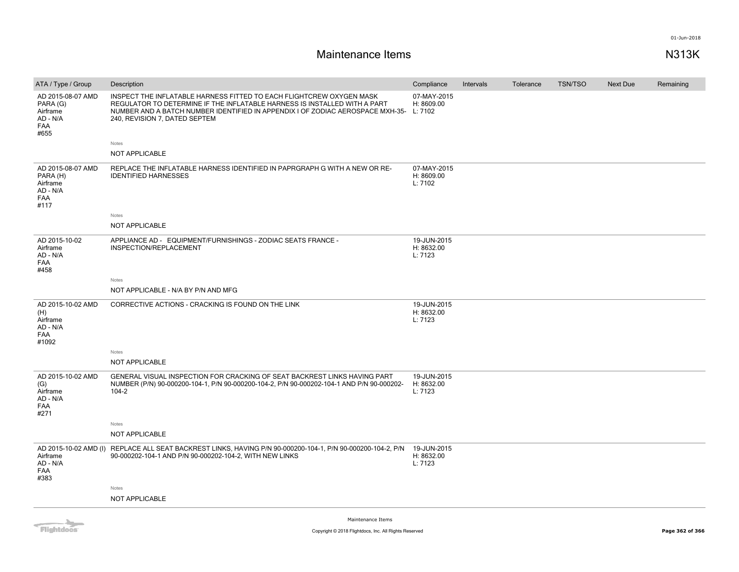# **Maintenance Items N313K**

| ATA / Type / Group                                                      | Description                                                                                                                                                                                                                                                                  | Compliance                           | Intervals | Tolerance | <b>TSN/TSO</b> | <b>Next Due</b> | Remaining |
|-------------------------------------------------------------------------|------------------------------------------------------------------------------------------------------------------------------------------------------------------------------------------------------------------------------------------------------------------------------|--------------------------------------|-----------|-----------|----------------|-----------------|-----------|
| AD 2015-08-07 AMD<br>PARA (G)<br>Airframe<br>AD - N/A<br>FAA<br>#655    | INSPECT THE INFLATABLE HARNESS FITTED TO EACH FLIGHTCREW OXYGEN MASK<br>REGULATOR TO DETERMINE IF THE INFLATABLE HARNESS IS INSTALLED WITH A PART<br>NUMBER AND A BATCH NUMBER IDENTIFIED IN APPENDIX I OF ZODIAC AEROSPACE MXH-35- L: 7102<br>240, REVISION 7, DATED SEPTEM | 07-MAY-2015<br>H: 8609.00            |           |           |                |                 |           |
|                                                                         | Notes                                                                                                                                                                                                                                                                        |                                      |           |           |                |                 |           |
|                                                                         | NOT APPLICABLE                                                                                                                                                                                                                                                               |                                      |           |           |                |                 |           |
| AD 2015-08-07 AMD<br>PARA (H)<br>Airframe<br>AD - N/A<br>FAA<br>#117    | REPLACE THE INFLATABLE HARNESS IDENTIFIED IN PAPRGRAPH G WITH A NEW OR RE-<br><b>IDENTIFIED HARNESSES</b>                                                                                                                                                                    | 07-MAY-2015<br>H: 8609.00<br>L: 7102 |           |           |                |                 |           |
|                                                                         | Notes                                                                                                                                                                                                                                                                        |                                      |           |           |                |                 |           |
|                                                                         | NOT APPLICABLE                                                                                                                                                                                                                                                               |                                      |           |           |                |                 |           |
| AD 2015-10-02<br>Airframe<br>AD - N/A<br>FAA<br>#458                    | APPLIANCE AD - EQUIPMENT/FURNISHINGS - ZODIAC SEATS FRANCE -<br>INSPECTION/REPLACEMENT                                                                                                                                                                                       | 19-JUN-2015<br>H: 8632.00<br>L: 7123 |           |           |                |                 |           |
|                                                                         | Notes                                                                                                                                                                                                                                                                        |                                      |           |           |                |                 |           |
|                                                                         | NOT APPLICABLE - N/A BY P/N AND MFG                                                                                                                                                                                                                                          |                                      |           |           |                |                 |           |
| AD 2015-10-02 AMD<br>(H)<br>Airframe<br>AD - N/A<br><b>FAA</b><br>#1092 | CORRECTIVE ACTIONS - CRACKING IS FOUND ON THE LINK                                                                                                                                                                                                                           | 19-JUN-2015<br>H: 8632.00<br>L: 7123 |           |           |                |                 |           |
|                                                                         | Notes                                                                                                                                                                                                                                                                        |                                      |           |           |                |                 |           |
|                                                                         | NOT APPLICABLE                                                                                                                                                                                                                                                               |                                      |           |           |                |                 |           |
| AD 2015-10-02 AMD<br>(G)<br>Airframe<br>AD - N/A<br>FAA<br>#271         | GENERAL VISUAL INSPECTION FOR CRACKING OF SEAT BACKREST LINKS HAVING PART<br>NUMBER (P/N) 90-000200-104-1, P/N 90-000200-104-2, P/N 90-000202-104-1 AND P/N 90-000202-<br>$104 - 2$                                                                                          | 19-JUN-2015<br>H: 8632.00<br>L: 7123 |           |           |                |                 |           |
|                                                                         | Notes                                                                                                                                                                                                                                                                        |                                      |           |           |                |                 |           |
|                                                                         | NOT APPLICABLE                                                                                                                                                                                                                                                               |                                      |           |           |                |                 |           |
| AD 2015-10-02 AMD (I)<br>Airframe<br>AD - N/A<br><b>FAA</b><br>#383     | REPLACE ALL SEAT BACKREST LINKS, HAVING P/N 90-000200-104-1, P/N 90-000200-104-2, P/N<br>90-000202-104-1 AND P/N 90-000202-104-2, WITH NEW LINKS                                                                                                                             | 19-JUN-2015<br>H: 8632.00<br>L: 7123 |           |           |                |                 |           |
|                                                                         | Notes                                                                                                                                                                                                                                                                        |                                      |           |           |                |                 |           |
|                                                                         | <b>NOT APPLICABLE</b>                                                                                                                                                                                                                                                        |                                      |           |           |                |                 |           |
|                                                                         |                                                                                                                                                                                                                                                                              |                                      |           |           |                |                 |           |



Maintenance Items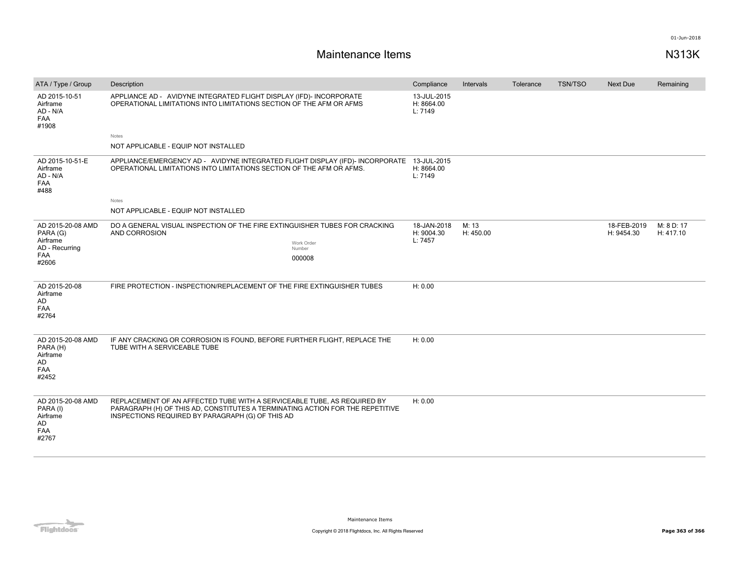## **Maintenance Items N313K**

| ATA / Type / Group                                                          | Description                                                                                                                                                                                                  | Compliance                           | Intervals          | Tolerance | <b>TSN/TSO</b> | <b>Next Due</b>           | Remaining               |
|-----------------------------------------------------------------------------|--------------------------------------------------------------------------------------------------------------------------------------------------------------------------------------------------------------|--------------------------------------|--------------------|-----------|----------------|---------------------------|-------------------------|
| AD 2015-10-51<br>Airframe<br>AD - N/A<br><b>FAA</b><br>#1908                | APPLIANCE AD - AVIDYNE INTEGRATED FLIGHT DISPLAY (IFD)- INCORPORATE<br>OPERATIONAL LIMITATIONS INTO LIMITATIONS SECTION OF THE AFM OR AFMS                                                                   | 13-JUL-2015<br>H: 8664.00<br>L: 7149 |                    |           |                |                           |                         |
|                                                                             | Notes                                                                                                                                                                                                        |                                      |                    |           |                |                           |                         |
|                                                                             | NOT APPLICABLE - EQUIP NOT INSTALLED                                                                                                                                                                         |                                      |                    |           |                |                           |                         |
| AD 2015-10-51-E<br>Airframe<br>AD - N/A<br><b>FAA</b><br>#488               | APPLIANCE/EMERGENCY AD - AVIDYNE INTEGRATED FLIGHT DISPLAY (IFD) - INCORPORATE 13-JUL-2015<br>OPERATIONAL LIMITATIONS INTO LIMITATIONS SECTION OF THE AFM OR AFMS.                                           | H: 8664.00<br>L: 7149                |                    |           |                |                           |                         |
|                                                                             | Notes                                                                                                                                                                                                        |                                      |                    |           |                |                           |                         |
|                                                                             | NOT APPLICABLE - EQUIP NOT INSTALLED                                                                                                                                                                         |                                      |                    |           |                |                           |                         |
| AD 2015-20-08 AMD<br>PARA (G)<br>Airframe<br>AD - Recurring<br>FAA<br>#2606 | DO A GENERAL VISUAL INSPECTION OF THE FIRE EXTINGUISHER TUBES FOR CRACKING<br>AND CORROSION<br>Work Order<br>Number<br>000008                                                                                | 18-JAN-2018<br>H: 9004.30<br>L: 7457 | M: 13<br>H: 450.00 |           |                | 18-FEB-2019<br>H: 9454.30 | M: 8 D: 17<br>H: 417.10 |
| AD 2015-20-08<br>Airframe<br>AD<br>FAA<br>#2764                             | FIRE PROTECTION - INSPECTION/REPLACEMENT OF THE FIRE EXTINGUISHER TUBES                                                                                                                                      | H: 0.00                              |                    |           |                |                           |                         |
| AD 2015-20-08 AMD<br>PARA (H)<br>Airframe<br>AD<br><b>FAA</b><br>#2452      | IF ANY CRACKING OR CORROSION IS FOUND, BEFORE FURTHER FLIGHT, REPLACE THE<br>TUBE WITH A SERVICEABLE TUBE                                                                                                    | H: 0.00                              |                    |           |                |                           |                         |
| AD 2015-20-08 AMD<br>PARA (I)<br>Airframe<br>AD<br>FAA<br>#2767             | REPLACEMENT OF AN AFFECTED TUBE WITH A SERVICEABLE TUBE, AS REQUIRED BY<br>PARAGRAPH (H) OF THIS AD, CONSTITUTES A TERMINATING ACTION FOR THE REPETITIVE<br>INSPECTIONS REQUIRED BY PARAGRAPH (G) OF THIS AD | H: 0.00                              |                    |           |                |                           |                         |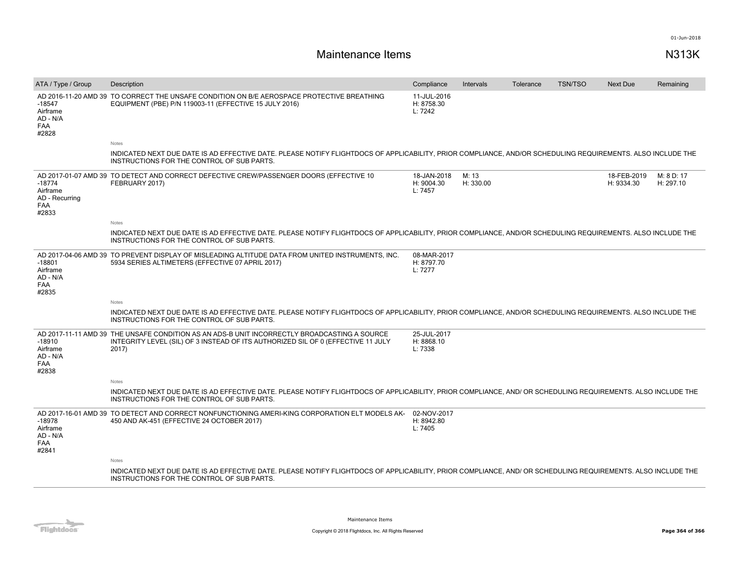# **Maintenance Items N313K**

| ATA / Type / Group                                      | Description                                                                                                                                                                                                | Compliance                           | Intervals          | Tolerance | <b>TSN/TSO</b> | <b>Next Due</b>           | Remaining               |
|---------------------------------------------------------|------------------------------------------------------------------------------------------------------------------------------------------------------------------------------------------------------------|--------------------------------------|--------------------|-----------|----------------|---------------------------|-------------------------|
| $-18547$<br>Airframe<br>AD - N/A<br>FAA<br>#2828        | AD 2016-11-20 AMD 39 TO CORRECT THE UNSAFE CONDITION ON B/E AEROSPACE PROTECTIVE BREATHING<br>EQUIPMENT (PBE) P/N 119003-11 (EFFECTIVE 15 JULY 2016)                                                       | 11-JUL-2016<br>H: 8758.30<br>L: 7242 |                    |           |                |                           |                         |
|                                                         | Notes                                                                                                                                                                                                      |                                      |                    |           |                |                           |                         |
|                                                         | INDICATED NEXT DUE DATE IS AD EFFECTIVE DATE. PLEASE NOTIFY FLIGHTDOCS OF APPLICABILITY, PRIOR COMPLIANCE, AND/OR SCHEDULING REQUIREMENTS. ALSO INCLUDE THE<br>INSTRUCTIONS FOR THE CONTROL OF SUB PARTS.  |                                      |                    |           |                |                           |                         |
| $-18774$<br>Airframe<br>AD - Recurring<br>FAA<br>#2833  | AD 2017-01-07 AMD 39 TO DETECT AND CORRECT DEFECTIVE CREW/PASSENGER DOORS (EFFECTIVE 10<br>FEBRUARY 2017)                                                                                                  | 18-JAN-2018<br>H: 9004.30<br>L: 7457 | M: 13<br>H: 330.00 |           |                | 18-FEB-2019<br>H: 9334.30 | M: 8 D: 17<br>H: 297.10 |
|                                                         | Notes                                                                                                                                                                                                      |                                      |                    |           |                |                           |                         |
|                                                         | INDICATED NEXT DUE DATE IS AD EFFECTIVE DATE. PLEASE NOTIFY FLIGHTDOCS OF APPLICABILITY, PRIOR COMPLIANCE, AND/OR SCHEDULING REQUIREMENTS. ALSO INCLUDE THE<br>INSTRUCTIONS FOR THE CONTROL OF SUB PARTS.  |                                      |                    |           |                |                           |                         |
| $-18801$<br>Airframe<br>AD - N/A<br><b>FAA</b><br>#2835 | AD 2017-04-06 AMD 39 TO PREVENT DISPLAY OF MISLEADING ALTITUDE DATA FROM UNITED INSTRUMENTS. INC.<br>5934 SERIES ALTIMETERS (EFFECTIVE 07 APRIL 2017)                                                      | 08-MAR-2017<br>H: 8797.70<br>L: 7277 |                    |           |                |                           |                         |
|                                                         | <b>Notes</b>                                                                                                                                                                                               |                                      |                    |           |                |                           |                         |
|                                                         | INDICATED NEXT DUE DATE IS AD EFFECTIVE DATE. PLEASE NOTIFY FLIGHTDOCS OF APPLICABILITY, PRIOR COMPLIANCE, AND/OR SCHEDULING REQUIREMENTS. ALSO INCLUDE THE<br>INSTRUCTIONS FOR THE CONTROL OF SUB PARTS.  |                                      |                    |           |                |                           |                         |
| $-18910$<br>Airframe<br>AD - N/A<br><b>FAA</b><br>#2838 | AD 2017-11-11 AMD 39 THE UNSAFE CONDITION AS AN ADS-B UNIT INCORRECTLY BROADCASTING A SOURCE<br>INTEGRITY LEVEL (SIL) OF 3 INSTEAD OF ITS AUTHORIZED SIL OF 0 (EFFECTIVE 11 JULY<br>2017)                  | 25-JUL-2017<br>H: 8868.10<br>L: 7338 |                    |           |                |                           |                         |
|                                                         | Notes                                                                                                                                                                                                      |                                      |                    |           |                |                           |                         |
|                                                         | INDICATED NEXT DUE DATE IS AD EFFECTIVE DATE. PLEASE NOTIFY FLIGHTDOCS OF APPLICABILITY, PRIOR COMPLIANCE, AND/ OR SCHEDULING REQUIREMENTS. ALSO INCLUDE THE<br>INSTRUCTIONS FOR THE CONTROL OF SUB PARTS. |                                      |                    |           |                |                           |                         |
| $-18978$<br>Airframe<br>AD - N/A<br>FAA<br>#2841        | AD 2017-16-01 AMD 39 TO DETECT AND CORRECT NONFUNCTIONING AMERI-KING CORPORATION ELT MODELS AK-<br>450 AND AK-451 (EFFECTIVE 24 OCTOBER 2017)                                                              | 02-NOV-2017<br>H: 8942.80<br>L: 7405 |                    |           |                |                           |                         |
|                                                         | Notes                                                                                                                                                                                                      |                                      |                    |           |                |                           |                         |
|                                                         | INDICATED NEXT DUE DATE IS AD EFFECTIVE DATE. PLEASE NOTIFY FLIGHTDOCS OF APPLICABILITY, PRIOR COMPLIANCE, AND/ OR SCHEDULING REQUIREMENTS. ALSO INCLUDE THE<br>INSTRUCTIONS FOR THE CONTROL OF SUB PARTS. |                                      |                    |           |                |                           |                         |



Maintenance Items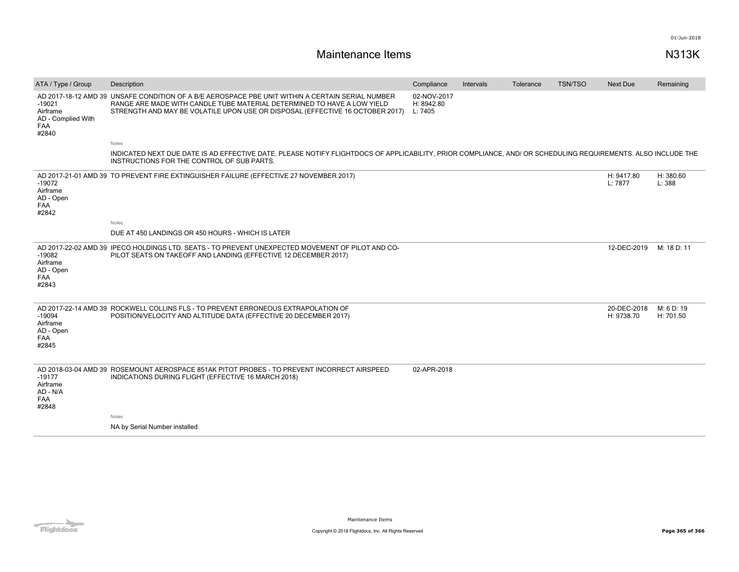# **Maintenance Items N313K**

| ATA / Type / Group                                         | Description                                                                                                                                                                                                                                                  | Compliance                           | Intervals | Tolerance | <b>TSN/TSO</b> | Next Due                  | Remaining               |
|------------------------------------------------------------|--------------------------------------------------------------------------------------------------------------------------------------------------------------------------------------------------------------------------------------------------------------|--------------------------------------|-----------|-----------|----------------|---------------------------|-------------------------|
| $-19021$<br>Airframe<br>AD - Complied With<br>FAA<br>#2840 | AD 2017-18-12 AMD 39 UNSAFE CONDITION OF A B/E AEROSPACE PBE UNIT WITHIN A CERTAIN SERIAL NUMBER<br>RANGE ARE MADE WITH CANDLE TUBE MATERIAL DETERMINED TO HAVE A LOW YIELD<br>STRENGTH AND MAY BE VOLATILE UPON USE OR DISPOSAL (EFFECTIVE 16 OCTOBER 2017) | 02-NOV-2017<br>H: 8942.80<br>L: 7405 |           |           |                |                           |                         |
|                                                            | Notes                                                                                                                                                                                                                                                        |                                      |           |           |                |                           |                         |
|                                                            | INDICATED NEXT DUE DATE IS AD EFFECTIVE DATE. PLEASE NOTIFY FLIGHTDOCS OF APPLICABILITY, PRIOR COMPLIANCE, AND/ OR SCHEDULING REQUIREMENTS. ALSO INCLUDE THE<br>INSTRUCTIONS FOR THE CONTROL OF SUB PARTS.                                                   |                                      |           |           |                |                           |                         |
| $-19072$<br>Airframe<br>AD - Open<br>FAA<br>#2842          | AD 2017-21-01 AMD 39 TO PREVENT FIRE EXTINGUISHER FAILURE (EFFECTIVE 27 NOVEMBER 2017)                                                                                                                                                                       |                                      |           |           |                | H: 9417.80<br>L: 7877     | H: 380.60<br>L: 388     |
|                                                            | <b>Notes</b>                                                                                                                                                                                                                                                 |                                      |           |           |                |                           |                         |
|                                                            | DUE AT 450 LANDINGS OR 450 HOURS - WHICH IS LATER                                                                                                                                                                                                            |                                      |           |           |                |                           |                         |
| $-19082$<br>Airframe<br>AD - Open<br>FAA<br>#2843          | AD 2017-22-02 AMD 39 IPECO HOLDINGS LTD. SEATS - TO PREVENT UNEXPECTED MOVEMENT OF PILOT AND CO-<br>PILOT SEATS ON TAKEOFF AND LANDING (EFFECTIVE 12 DECEMBER 2017)                                                                                          |                                      |           |           |                | 12-DEC-2019               | M: 18 D: 11             |
| $-19094$<br>Airframe<br>AD - Open<br><b>FAA</b><br>#2845   | AD 2017-22-14 AMD 39 ROCKWELL COLLINS FLS - TO PREVENT ERRONEOUS EXTRAPOLATION OF<br>POSITION/VELOCITY AND ALTITUDE DATA (EFFECTIVE 20 DECEMBER 2017)                                                                                                        |                                      |           |           |                | 20-DEC-2018<br>H: 9738.70 | M: 6 D: 19<br>H: 701.50 |
| $-19177$<br>Airframe<br>AD - N/A<br>FAA<br>#2848           | AD 2018-03-04 AMD 39 ROSEMOUNT AEROSPACE 851AK PITOT PROBES - TO PREVENT INCORRECT AIRSPEED<br>INDICATIONS DURING FLIGHT (EFFECTIVE 16 MARCH 2018)                                                                                                           | 02-APR-2018                          |           |           |                |                           |                         |
|                                                            | Notes                                                                                                                                                                                                                                                        |                                      |           |           |                |                           |                         |
|                                                            | NA by Serial Number installed                                                                                                                                                                                                                                |                                      |           |           |                |                           |                         |